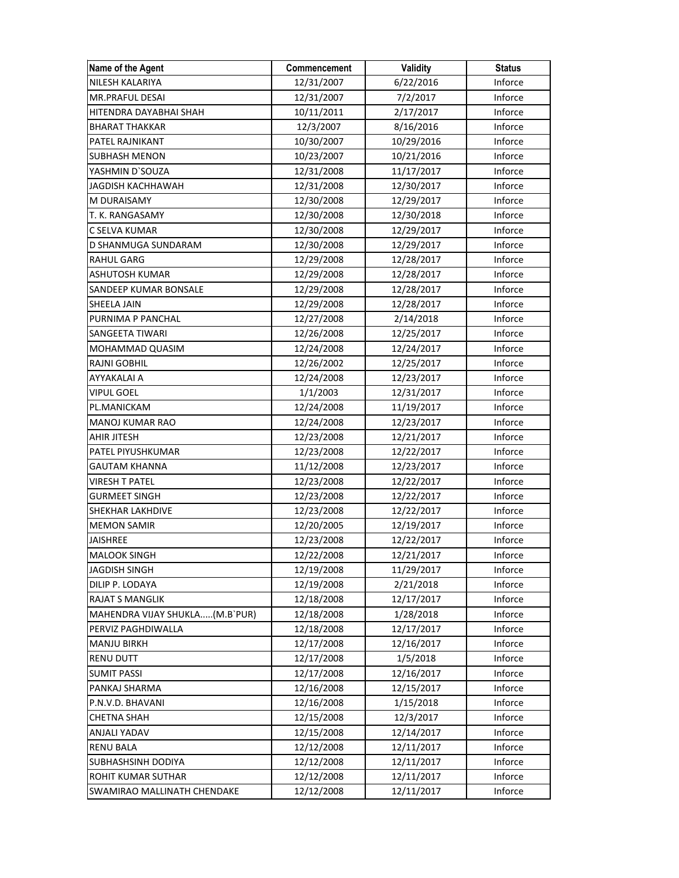| Name of the Agent              | Commencement | Validity   | <b>Status</b> |
|--------------------------------|--------------|------------|---------------|
| NILESH KALARIYA                | 12/31/2007   | 6/22/2016  | Inforce       |
| MR.PRAFUL DESAI                | 12/31/2007   | 7/2/2017   | Inforce       |
| HITENDRA DAYABHAI SHAH         | 10/11/2011   | 2/17/2017  | Inforce       |
| <b>BHARAT THAKKAR</b>          | 12/3/2007    | 8/16/2016  | Inforce       |
| PATEL RAJNIKANT                | 10/30/2007   | 10/29/2016 | Inforce       |
| <b>SUBHASH MENON</b>           | 10/23/2007   | 10/21/2016 | Inforce       |
| YASHMIN D`SOUZA                | 12/31/2008   | 11/17/2017 | Inforce       |
| <b>JAGDISH KACHHAWAH</b>       | 12/31/2008   | 12/30/2017 | Inforce       |
| M DURAISAMY                    | 12/30/2008   | 12/29/2017 | Inforce       |
| T. K. RANGASAMY                | 12/30/2008   | 12/30/2018 | Inforce       |
| C SELVA KUMAR                  | 12/30/2008   | 12/29/2017 | Inforce       |
| D SHANMUGA SUNDARAM            | 12/30/2008   | 12/29/2017 | Inforce       |
| <b>RAHUL GARG</b>              | 12/29/2008   | 12/28/2017 | Inforce       |
| ASHUTOSH KUMAR                 | 12/29/2008   | 12/28/2017 | Inforce       |
| SANDEEP KUMAR BONSALE          | 12/29/2008   | 12/28/2017 | Inforce       |
| SHEELA JAIN                    | 12/29/2008   | 12/28/2017 | Inforce       |
| PURNIMA P PANCHAL              | 12/27/2008   | 2/14/2018  | Inforce       |
| SANGEETA TIWARI                | 12/26/2008   | 12/25/2017 | Inforce       |
| MOHAMMAD QUASIM                | 12/24/2008   | 12/24/2017 | Inforce       |
| <b>RAJNI GOBHIL</b>            | 12/26/2002   | 12/25/2017 | Inforce       |
| AYYAKALAI A                    | 12/24/2008   | 12/23/2017 | Inforce       |
| VIPUL GOEL                     | 1/1/2003     | 12/31/2017 | Inforce       |
| PL.MANICKAM                    | 12/24/2008   | 11/19/2017 | Inforce       |
| MANOJ KUMAR RAO                | 12/24/2008   | 12/23/2017 | Inforce       |
| AHIR JITESH                    | 12/23/2008   | 12/21/2017 | Inforce       |
| PATEL PIYUSHKUMAR              | 12/23/2008   | 12/22/2017 | Inforce       |
| <b>GAUTAM KHANNA</b>           | 11/12/2008   | 12/23/2017 | Inforce       |
| <b>VIRESH T PATEL</b>          | 12/23/2008   | 12/22/2017 | Inforce       |
| <b>GURMEET SINGH</b>           | 12/23/2008   | 12/22/2017 | Inforce       |
| SHEKHAR LAKHDIVE               | 12/23/2008   | 12/22/2017 | Inforce       |
| MEMON SAMIR                    | 12/20/2005   | 12/19/2017 | Inforce       |
| <b>JAISHREE</b>                | 12/23/2008   | 12/22/2017 | Inforce       |
| <b>MALOOK SINGH</b>            | 12/22/2008   | 12/21/2017 | Inforce       |
| JAGDISH SINGH                  | 12/19/2008   | 11/29/2017 | Inforce       |
| DILIP P. LODAYA                | 12/19/2008   | 2/21/2018  | Inforce       |
| RAJAT S MANGLIK                | 12/18/2008   | 12/17/2017 | Inforce       |
| MAHENDRA VIJAY SHUKLA(M.B`PUR) | 12/18/2008   | 1/28/2018  | Inforce       |
| PERVIZ PAGHDIWALLA             | 12/18/2008   | 12/17/2017 | Inforce       |
| <b>MANJU BIRKH</b>             | 12/17/2008   | 12/16/2017 | Inforce       |
| RENU DUTT                      | 12/17/2008   | 1/5/2018   | Inforce       |
| <b>SUMIT PASSI</b>             | 12/17/2008   | 12/16/2017 | Inforce       |
| PANKAJ SHARMA                  | 12/16/2008   | 12/15/2017 | Inforce       |
| P.N.V.D. BHAVANI               | 12/16/2008   | 1/15/2018  | Inforce       |
| <b>CHETNA SHAH</b>             | 12/15/2008   | 12/3/2017  | Inforce       |
| ANJALI YADAV                   | 12/15/2008   | 12/14/2017 | Inforce       |
| <b>RENU BALA</b>               | 12/12/2008   | 12/11/2017 | Inforce       |
| SUBHASHSINH DODIYA             | 12/12/2008   | 12/11/2017 | Inforce       |
| ROHIT KUMAR SUTHAR             | 12/12/2008   | 12/11/2017 | Inforce       |
| SWAMIRAO MALLINATH CHENDAKE    | 12/12/2008   | 12/11/2017 | Inforce       |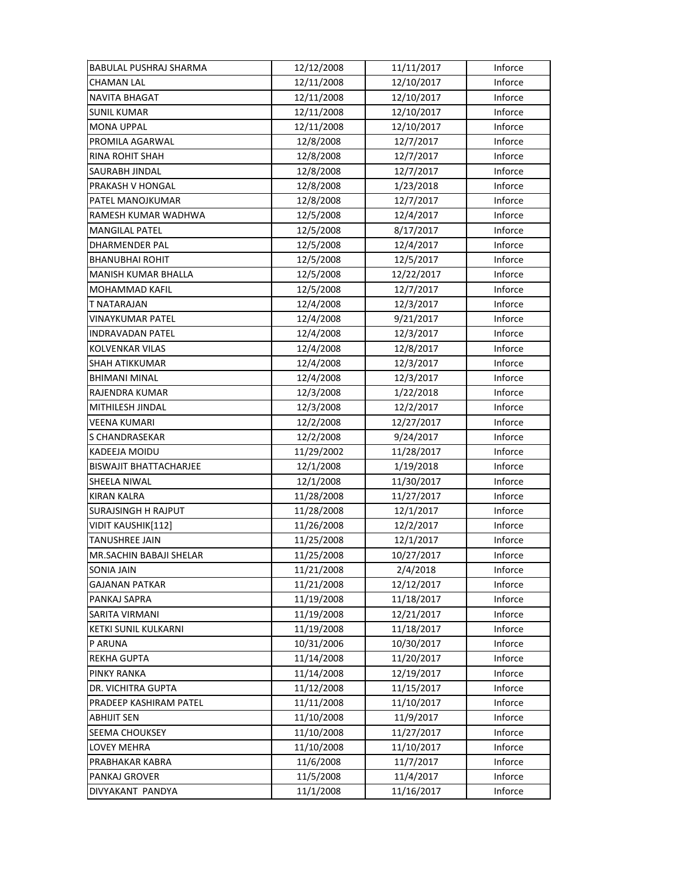| BABULAL PUSHRAJ SHARMA        | 12/12/2008 | 11/11/2017 | Inforce        |
|-------------------------------|------------|------------|----------------|
| CHAMAN LAL                    | 12/11/2008 | 12/10/2017 | Inforce        |
| <b>NAVITA BHAGAT</b>          | 12/11/2008 | 12/10/2017 | Inforce        |
| <b>SUNIL KUMAR</b>            | 12/11/2008 | 12/10/2017 | Inforce        |
| <b>MONA UPPAL</b>             | 12/11/2008 | 12/10/2017 | Inforce        |
| PROMILA AGARWAL               | 12/8/2008  | 12/7/2017  | Inforce        |
| <b>RINA ROHIT SHAH</b>        | 12/8/2008  | 12/7/2017  | Inforce        |
| SAURABH JINDAL                | 12/8/2008  | 12/7/2017  | <b>Inforce</b> |
| PRAKASH V HONGAL              | 12/8/2008  | 1/23/2018  | Inforce        |
| PATEL MANOJKUMAR              | 12/8/2008  | 12/7/2017  | Inforce        |
| RAMESH KUMAR WADHWA           | 12/5/2008  | 12/4/2017  | Inforce        |
| <b>MANGILAL PATEL</b>         | 12/5/2008  | 8/17/2017  | Inforce        |
| DHARMENDER PAL                | 12/5/2008  | 12/4/2017  | Inforce        |
| <b>BHANUBHAI ROHIT</b>        | 12/5/2008  | 12/5/2017  | Inforce        |
| MANISH KUMAR BHALLA           | 12/5/2008  | 12/22/2017 | Inforce        |
| <b>MOHAMMAD KAFIL</b>         | 12/5/2008  | 12/7/2017  | Inforce        |
| T NATARAJAN                   | 12/4/2008  | 12/3/2017  | Inforce        |
| VINAYKUMAR PATEL              | 12/4/2008  | 9/21/2017  | Inforce        |
| INDRAVADAN PATEL              | 12/4/2008  | 12/3/2017  | Inforce        |
| KOLVENKAR VILAS               | 12/4/2008  | 12/8/2017  | Inforce        |
| <b>SHAH ATIKKUMAR</b>         | 12/4/2008  | 12/3/2017  | Inforce        |
| <b>BHIMANI MINAL</b>          | 12/4/2008  | 12/3/2017  | Inforce        |
| RAJENDRA KUMAR                | 12/3/2008  | 1/22/2018  | Inforce        |
| MITHILESH JINDAL              | 12/3/2008  | 12/2/2017  | Inforce        |
| <b>VEENA KUMARI</b>           | 12/2/2008  | 12/27/2017 | Inforce        |
| S CHANDRASEKAR                | 12/2/2008  | 9/24/2017  | Inforce        |
| KADEEJA MOIDU                 | 11/29/2002 | 11/28/2017 | Inforce        |
| <b>BISWAJIT BHATTACHARJEE</b> | 12/1/2008  | 1/19/2018  | Inforce        |
| SHEELA NIWAL                  | 12/1/2008  | 11/30/2017 | Inforce        |
| <b>KIRAN KALRA</b>            | 11/28/2008 | 11/27/2017 | Inforce        |
| <b>SURAJSINGH H RAJPUT</b>    | 11/28/2008 | 12/1/2017  | Inforce        |
| VIDIT KAUSHIK[112]            | 11/26/2008 | 12/2/2017  | Inforce        |
| TANUSHREE JAIN                | 11/25/2008 | 12/1/2017  | Inforce        |
| MR.SACHIN BABAJI SHELAR       | 11/25/2008 | 10/27/2017 | Inforce        |
| SONIA JAIN                    | 11/21/2008 | 2/4/2018   | Inforce        |
| <b>GAJANAN PATKAR</b>         | 11/21/2008 | 12/12/2017 | Inforce        |
| PANKAJ SAPRA                  | 11/19/2008 | 11/18/2017 | Inforce        |
| SARITA VIRMANI                | 11/19/2008 | 12/21/2017 | Inforce        |
| KETKI SUNIL KULKARNI          | 11/19/2008 | 11/18/2017 | Inforce        |
| P ARUNA                       | 10/31/2006 | 10/30/2017 | Inforce        |
| REKHA GUPTA                   | 11/14/2008 | 11/20/2017 | Inforce        |
| PINKY RANKA                   | 11/14/2008 | 12/19/2017 | Inforce        |
| DR. VICHITRA GUPTA            | 11/12/2008 | 11/15/2017 | Inforce        |
| PRADEEP KASHIRAM PATEL        | 11/11/2008 | 11/10/2017 | Inforce        |
| ABHIJIT SEN                   | 11/10/2008 | 11/9/2017  | Inforce        |
| SEEMA CHOUKSEY                | 11/10/2008 | 11/27/2017 | Inforce        |
| LOVEY MEHRA                   | 11/10/2008 | 11/10/2017 | Inforce        |
| PRABHAKAR KABRA               | 11/6/2008  | 11/7/2017  | Inforce        |
| PANKAJ GROVER                 | 11/5/2008  | 11/4/2017  | Inforce        |
| DIVYAKANT PANDYA              | 11/1/2008  | 11/16/2017 | Inforce        |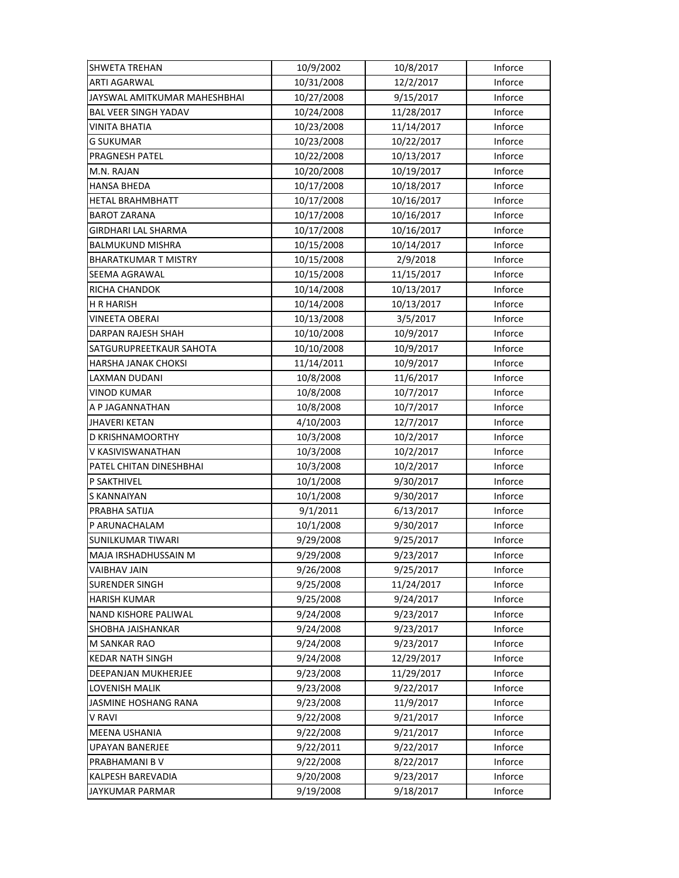| <b>SHWETA TREHAN</b>         | 10/9/2002  | 10/8/2017  | Inforce |
|------------------------------|------------|------------|---------|
| <b>ARTI AGARWAL</b>          | 10/31/2008 | 12/2/2017  | Inforce |
| JAYSWAL AMITKUMAR MAHESHBHAI | 10/27/2008 | 9/15/2017  | Inforce |
| <b>BAL VEER SINGH YADAV</b>  | 10/24/2008 | 11/28/2017 | Inforce |
| <b>VINITA BHATIA</b>         | 10/23/2008 | 11/14/2017 | Inforce |
| <b>G SUKUMAR</b>             | 10/23/2008 | 10/22/2017 | Inforce |
| PRAGNESH PATEL               | 10/22/2008 | 10/13/2017 | Inforce |
| M.N. RAJAN                   | 10/20/2008 | 10/19/2017 | Inforce |
| HANSA BHEDA                  | 10/17/2008 | 10/18/2017 | Inforce |
| <b>HETAL BRAHMBHATT</b>      | 10/17/2008 | 10/16/2017 | Inforce |
| <b>BAROT ZARANA</b>          | 10/17/2008 | 10/16/2017 | Inforce |
| GIRDHARI LAL SHARMA          | 10/17/2008 | 10/16/2017 | Inforce |
| <b>BALMUKUND MISHRA</b>      | 10/15/2008 | 10/14/2017 | Inforce |
| <b>BHARATKUMAR T MISTRY</b>  | 10/15/2008 | 2/9/2018   | Inforce |
| SEEMA AGRAWAL                | 10/15/2008 | 11/15/2017 | Inforce |
| RICHA CHANDOK                | 10/14/2008 | 10/13/2017 | Inforce |
| H R HARISH                   | 10/14/2008 | 10/13/2017 | Inforce |
| <b>VINEETA OBERAI</b>        | 10/13/2008 | 3/5/2017   | Inforce |
| DARPAN RAJESH SHAH           | 10/10/2008 | 10/9/2017  | Inforce |
| SATGURUPREETKAUR SAHOTA      | 10/10/2008 | 10/9/2017  | Inforce |
| HARSHA JANAK CHOKSI          | 11/14/2011 | 10/9/2017  | Inforce |
| LAXMAN DUDANI                | 10/8/2008  | 11/6/2017  | Inforce |
| VINOD KUMAR                  | 10/8/2008  | 10/7/2017  | Inforce |
| A P JAGANNATHAN              | 10/8/2008  | 10/7/2017  | Inforce |
| <b>JHAVERI KETAN</b>         | 4/10/2003  | 12/7/2017  | Inforce |
| D KRISHNAMOORTHY             | 10/3/2008  | 10/2/2017  | Inforce |
| V KASIVISWANATHAN            | 10/3/2008  | 10/2/2017  | Inforce |
| PATEL CHITAN DINESHBHAI      | 10/3/2008  | 10/2/2017  | Inforce |
| P SAKTHIVEL                  | 10/1/2008  | 9/30/2017  | Inforce |
| S KANNAIYAN                  | 10/1/2008  | 9/30/2017  | Inforce |
| PRABHA SATIJA                | 9/1/2011   | 6/13/2017  | Inforce |
| P ARUNACHALAM                | 10/1/2008  | 9/30/2017  | Inforce |
| SUNILKUMAR TIWARI            | 9/29/2008  | 9/25/2017  | Inforce |
| MAJA IRSHADHUSSAIN M         | 9/29/2008  | 9/23/2017  | Inforce |
| <b>VAIBHAV JAIN</b>          | 9/26/2008  | 9/25/2017  | Inforce |
| <b>SURENDER SINGH</b>        | 9/25/2008  | 11/24/2017 | Inforce |
| <b>HARISH KUMAR</b>          | 9/25/2008  | 9/24/2017  | Inforce |
| NAND KISHORE PALIWAL         | 9/24/2008  | 9/23/2017  | Inforce |
| <b>SHOBHA JAISHANKAR</b>     | 9/24/2008  | 9/23/2017  | Inforce |
| <b>M SANKAR RAO</b>          | 9/24/2008  | 9/23/2017  | Inforce |
| <b>KEDAR NATH SINGH</b>      | 9/24/2008  | 12/29/2017 | Inforce |
| DEEPANJAN MUKHERJEE          | 9/23/2008  | 11/29/2017 | Inforce |
| LOVENISH MALIK               | 9/23/2008  | 9/22/2017  | Inforce |
| JASMINE HOSHANG RANA         | 9/23/2008  | 11/9/2017  | Inforce |
| V RAVI                       | 9/22/2008  | 9/21/2017  | Inforce |
| MEENA USHANIA                | 9/22/2008  | 9/21/2017  | Inforce |
| UPAYAN BANERJEE              | 9/22/2011  | 9/22/2017  | Inforce |
| PRABHAMANI B V               | 9/22/2008  | 8/22/2017  | Inforce |
| KALPESH BAREVADIA            | 9/20/2008  | 9/23/2017  | Inforce |
| JAYKUMAR PARMAR              | 9/19/2008  | 9/18/2017  | Inforce |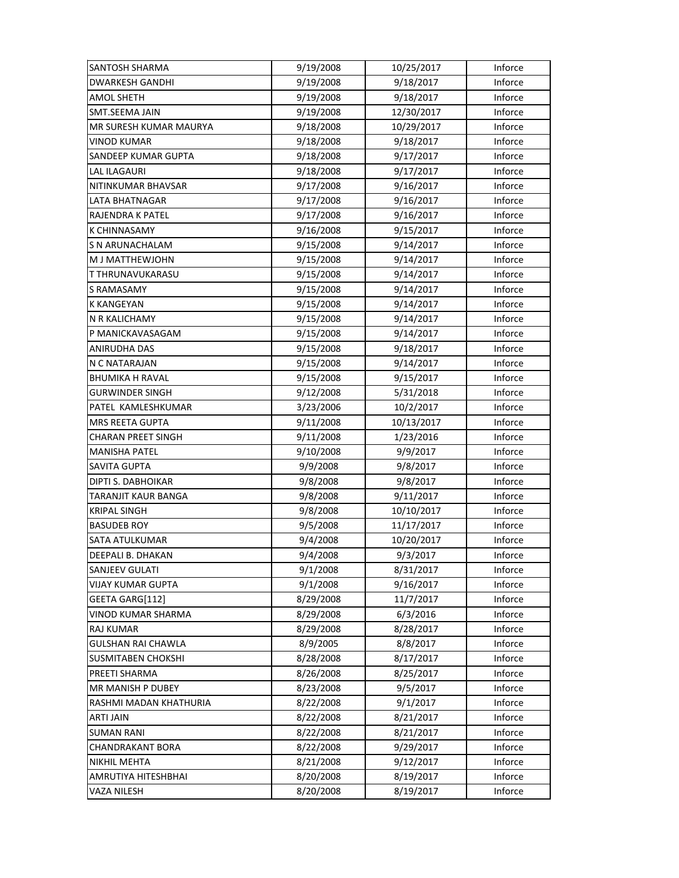| <b>SANTOSH SHARMA</b>     | 9/19/2008 | 10/25/2017 | Inforce |
|---------------------------|-----------|------------|---------|
| <b>DWARKESH GANDHI</b>    | 9/19/2008 | 9/18/2017  | Inforce |
| AMOL SHETH                | 9/19/2008 | 9/18/2017  | Inforce |
| SMT.SEEMA JAIN            | 9/19/2008 | 12/30/2017 | Inforce |
| MR SURESH KUMAR MAURYA    | 9/18/2008 | 10/29/2017 | Inforce |
| <b>VINOD KUMAR</b>        | 9/18/2008 | 9/18/2017  | Inforce |
| SANDEEP KUMAR GUPTA       | 9/18/2008 | 9/17/2017  | Inforce |
| <b>LAL ILAGAURI</b>       | 9/18/2008 | 9/17/2017  | Inforce |
| NITINKUMAR BHAVSAR        | 9/17/2008 | 9/16/2017  | Inforce |
| LATA BHATNAGAR            | 9/17/2008 | 9/16/2017  | Inforce |
| RAJENDRA K PATEL          | 9/17/2008 | 9/16/2017  | Inforce |
| <b>K CHINNASAMY</b>       | 9/16/2008 | 9/15/2017  | Inforce |
| S N ARUNACHALAM           | 9/15/2008 | 9/14/2017  | Inforce |
| M J MATTHEWJOHN           | 9/15/2008 | 9/14/2017  | Inforce |
| T THRUNAVUKARASU          | 9/15/2008 | 9/14/2017  | Inforce |
| <b>S RAMASAMY</b>         | 9/15/2008 | 9/14/2017  | Inforce |
| <b>K KANGEYAN</b>         | 9/15/2008 | 9/14/2017  | Inforce |
| N R KALICHAMY             | 9/15/2008 | 9/14/2017  | Inforce |
| P MANICKAVASAGAM          | 9/15/2008 | 9/14/2017  | Inforce |
| ANIRUDHA DAS              | 9/15/2008 | 9/18/2017  | Inforce |
| N C NATARAJAN             | 9/15/2008 | 9/14/2017  | Inforce |
| <b>BHUMIKA H RAVAL</b>    | 9/15/2008 | 9/15/2017  | Inforce |
| <b>GURWINDER SINGH</b>    | 9/12/2008 | 5/31/2018  | Inforce |
| PATEL KAMLESHKUMAR        | 3/23/2006 | 10/2/2017  | Inforce |
| MRS REETA GUPTA           | 9/11/2008 | 10/13/2017 | Inforce |
| <b>CHARAN PREET SINGH</b> | 9/11/2008 | 1/23/2016  | Inforce |
| <b>MANISHA PATEL</b>      | 9/10/2008 | 9/9/2017   | Inforce |
| <b>SAVITA GUPTA</b>       | 9/9/2008  | 9/8/2017   | Inforce |
| DIPTI S. DABHOIKAR        | 9/8/2008  | 9/8/2017   | Inforce |
| TARANJIT KAUR BANGA       | 9/8/2008  | 9/11/2017  | Inforce |
| <b>KRIPAL SINGH</b>       | 9/8/2008  | 10/10/2017 | Inforce |
| <b>BASUDEB ROY</b>        | 9/5/2008  | 11/17/2017 | Inforce |
| SATA ATULKUMAR            | 9/4/2008  | 10/20/2017 | Inforce |
| DEEPALI B. DHAKAN         | 9/4/2008  | 9/3/2017   | Inforce |
| SANJEEV GULATI            | 9/1/2008  | 8/31/2017  | Inforce |
| <b>VIJAY KUMAR GUPTA</b>  | 9/1/2008  | 9/16/2017  | Inforce |
| GEETA GARG[112]           | 8/29/2008 | 11/7/2017  | Inforce |
| VINOD KUMAR SHARMA        | 8/29/2008 | 6/3/2016   | Inforce |
| RAJ KUMAR                 | 8/29/2008 | 8/28/2017  | Inforce |
| <b>GULSHAN RAI CHAWLA</b> | 8/9/2005  | 8/8/2017   | Inforce |
| <b>SUSMITABEN CHOKSHI</b> | 8/28/2008 | 8/17/2017  | Inforce |
| PREETI SHARMA             | 8/26/2008 | 8/25/2017  | Inforce |
| MR MANISH P DUBEY         | 8/23/2008 | 9/5/2017   | Inforce |
| RASHMI MADAN KHATHURIA    | 8/22/2008 | 9/1/2017   | Inforce |
| <b>ARTI JAIN</b>          | 8/22/2008 | 8/21/2017  | Inforce |
| <b>SUMAN RANI</b>         | 8/22/2008 | 8/21/2017  | Inforce |
| <b>CHANDRAKANT BORA</b>   | 8/22/2008 | 9/29/2017  | Inforce |
| NIKHIL MEHTA              | 8/21/2008 | 9/12/2017  | Inforce |
| AMRUTIYA HITESHBHAI       | 8/20/2008 | 8/19/2017  | Inforce |
| VAZA NILESH               | 8/20/2008 | 8/19/2017  | Inforce |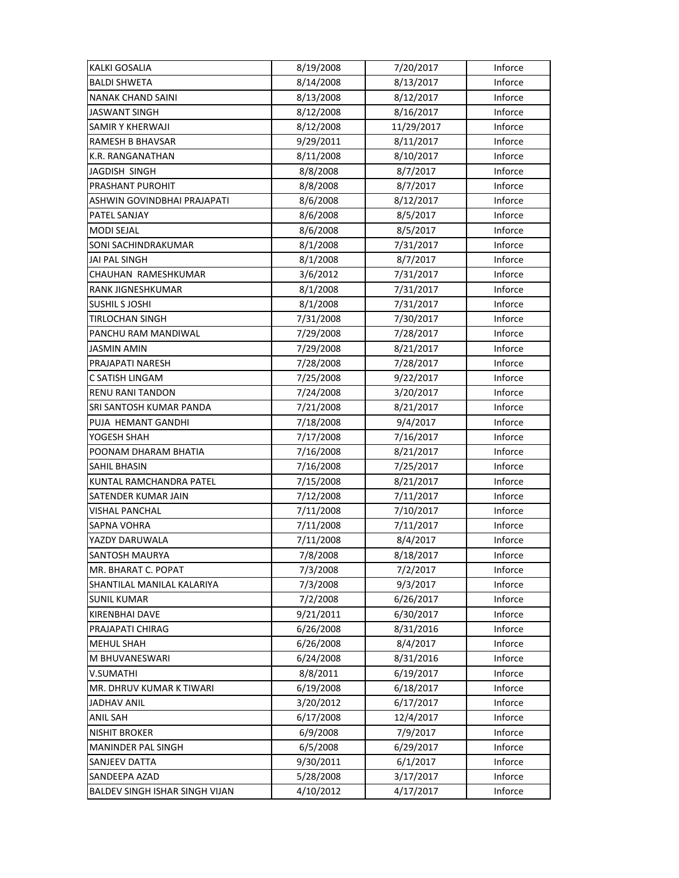| <b>KALKI GOSALIA</b>           | 8/19/2008 | 7/20/2017  | Inforce |
|--------------------------------|-----------|------------|---------|
| <b>BALDI SHWETA</b>            | 8/14/2008 | 8/13/2017  | Inforce |
| <b>NANAK CHAND SAINI</b>       | 8/13/2008 | 8/12/2017  | Inforce |
| <b>JASWANT SINGH</b>           | 8/12/2008 | 8/16/2017  | Inforce |
| SAMIR Y KHERWAJI               | 8/12/2008 | 11/29/2017 | Inforce |
| <b>RAMESH B BHAVSAR</b>        | 9/29/2011 | 8/11/2017  | Inforce |
| K.R. RANGANATHAN               | 8/11/2008 | 8/10/2017  | Inforce |
| JAGDISH SINGH                  | 8/8/2008  | 8/7/2017   | Inforce |
| PRASHANT PUROHIT               | 8/8/2008  | 8/7/2017   | Inforce |
| ASHWIN GOVINDBHAI PRAJAPATI    | 8/6/2008  | 8/12/2017  | Inforce |
| PATEL SANJAY                   | 8/6/2008  | 8/5/2017   | Inforce |
| <b>MODI SEJAL</b>              | 8/6/2008  | 8/5/2017   | Inforce |
| SONI SACHINDRAKUMAR            | 8/1/2008  | 7/31/2017  | Inforce |
| JAI PAL SINGH                  | 8/1/2008  | 8/7/2017   | Inforce |
| CHAUHAN RAMESHKUMAR            | 3/6/2012  | 7/31/2017  | Inforce |
| <b>RANK JIGNESHKUMAR</b>       | 8/1/2008  | 7/31/2017  | Inforce |
| <b>SUSHIL S JOSHI</b>          | 8/1/2008  | 7/31/2017  | Inforce |
| TIRLOCHAN SINGH                | 7/31/2008 | 7/30/2017  | Inforce |
| PANCHU RAM MANDIWAL            | 7/29/2008 | 7/28/2017  | Inforce |
| <b>JASMIN AMIN</b>             | 7/29/2008 | 8/21/2017  | Inforce |
| PRAJAPATI NARESH               | 7/28/2008 | 7/28/2017  | Inforce |
| C SATISH LINGAM                | 7/25/2008 | 9/22/2017  | Inforce |
| <b>RENU RANI TANDON</b>        | 7/24/2008 | 3/20/2017  | Inforce |
| SRI SANTOSH KUMAR PANDA        | 7/21/2008 | 8/21/2017  | Inforce |
| PUJA HEMANT GANDHI             | 7/18/2008 | 9/4/2017   | Inforce |
| YOGESH SHAH                    | 7/17/2008 | 7/16/2017  | Inforce |
| POONAM DHARAM BHATIA           | 7/16/2008 | 8/21/2017  | Inforce |
| SAHIL BHASIN                   | 7/16/2008 | 7/25/2017  | Inforce |
| KUNTAL RAMCHANDRA PATEL        | 7/15/2008 | 8/21/2017  | Inforce |
| SATENDER KUMAR JAIN            | 7/12/2008 | 7/11/2017  | Inforce |
| <b>VISHAL PANCHAL</b>          | 7/11/2008 | 7/10/2017  | Inforce |
| <b>SAPNA VOHRA</b>             | 7/11/2008 | 7/11/2017  | Inforce |
| YAZDY DARUWALA                 | 7/11/2008 | 8/4/2017   | Inforce |
| <b>SANTOSH MAURYA</b>          | 7/8/2008  | 8/18/2017  | Inforce |
| MR. BHARAT C. POPAT            | 7/3/2008  | 7/2/2017   | Inforce |
| SHANTILAL MANILAL KALARIYA     | 7/3/2008  | 9/3/2017   | Inforce |
| <b>SUNIL KUMAR</b>             | 7/2/2008  | 6/26/2017  | Inforce |
| <b>KIRENBHAI DAVE</b>          | 9/21/2011 | 6/30/2017  | Inforce |
| PRAJAPATI CHIRAG               | 6/26/2008 | 8/31/2016  | Inforce |
| <b>MEHUL SHAH</b>              | 6/26/2008 | 8/4/2017   | Inforce |
| M BHUVANESWARI                 | 6/24/2008 | 8/31/2016  | Inforce |
| V.SUMATHI                      | 8/8/2011  | 6/19/2017  | Inforce |
| MR. DHRUV KUMAR K TIWARI       | 6/19/2008 | 6/18/2017  | Inforce |
| <b>JADHAV ANIL</b>             | 3/20/2012 | 6/17/2017  | Inforce |
| <b>ANIL SAH</b>                | 6/17/2008 | 12/4/2017  | Inforce |
| <b>NISHIT BROKER</b>           | 6/9/2008  | 7/9/2017   | Inforce |
| <b>MANINDER PAL SINGH</b>      | 6/5/2008  | 6/29/2017  | Inforce |
| SANJEEV DATTA                  | 9/30/2011 | 6/1/2017   | Inforce |
| SANDEEPA AZAD                  | 5/28/2008 | 3/17/2017  | Inforce |
| BALDEV SINGH ISHAR SINGH VIJAN | 4/10/2012 | 4/17/2017  | Inforce |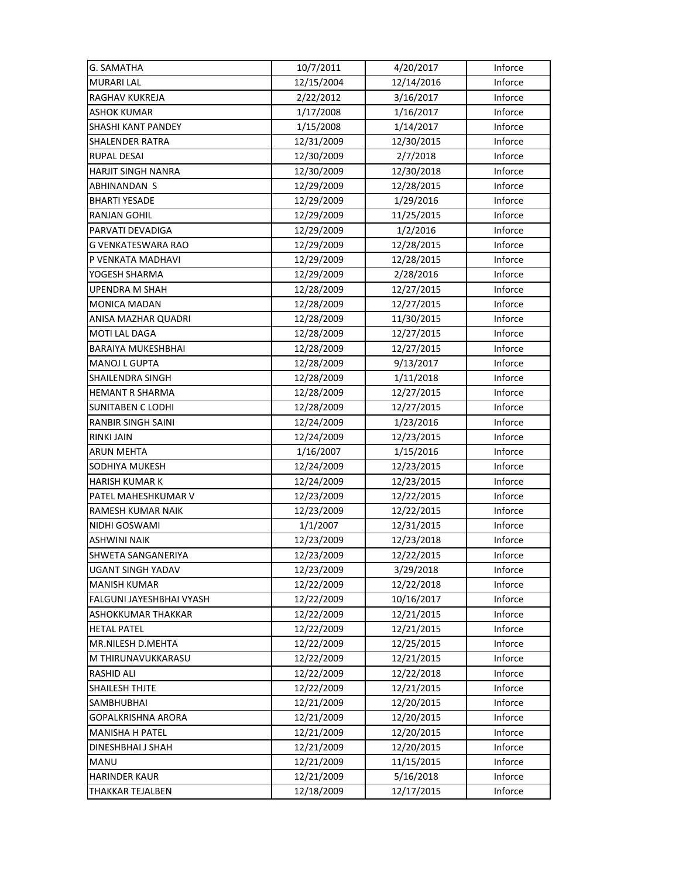| <b>G. SAMATHA</b>         | 10/7/2011  | 4/20/2017  | Inforce |
|---------------------------|------------|------------|---------|
| <b>MURARI LAL</b>         | 12/15/2004 | 12/14/2016 | Inforce |
| RAGHAV KUKREJA            | 2/22/2012  | 3/16/2017  | Inforce |
| <b>ASHOK KUMAR</b>        | 1/17/2008  | 1/16/2017  | Inforce |
| SHASHI KANT PANDEY        | 1/15/2008  | 1/14/2017  | Inforce |
| <b>SHALENDER RATRA</b>    | 12/31/2009 | 12/30/2015 | Inforce |
| <b>RUPAL DESAI</b>        | 12/30/2009 | 2/7/2018   | Inforce |
| <b>HARJIT SINGH NANRA</b> | 12/30/2009 | 12/30/2018 | Inforce |
| ABHINANDAN S              | 12/29/2009 | 12/28/2015 | Inforce |
| <b>BHARTI YESADE</b>      | 12/29/2009 | 1/29/2016  | Inforce |
| <b>RANJAN GOHIL</b>       | 12/29/2009 | 11/25/2015 | Inforce |
| PARVATI DEVADIGA          | 12/29/2009 | 1/2/2016   | Inforce |
| G VENKATESWARA RAO        | 12/29/2009 | 12/28/2015 | Inforce |
| P VENKATA MADHAVI         | 12/29/2009 | 12/28/2015 | Inforce |
| YOGESH SHARMA             | 12/29/2009 | 2/28/2016  | Inforce |
| <b>UPENDRA M SHAH</b>     | 12/28/2009 | 12/27/2015 | Inforce |
| <b>MONICA MADAN</b>       | 12/28/2009 | 12/27/2015 | Inforce |
| ANISA MAZHAR QUADRI       | 12/28/2009 | 11/30/2015 | Inforce |
| MOTI LAL DAGA             | 12/28/2009 | 12/27/2015 | Inforce |
| <b>BARAIYA MUKESHBHAI</b> | 12/28/2009 | 12/27/2015 | Inforce |
| <b>MANOJ L GUPTA</b>      | 12/28/2009 | 9/13/2017  | Inforce |
| SHAILENDRA SINGH          | 12/28/2009 | 1/11/2018  | Inforce |
| HEMANT R SHARMA           | 12/28/2009 | 12/27/2015 | Inforce |
| <b>SUNITABEN C LODHI</b>  | 12/28/2009 | 12/27/2015 | Inforce |
| <b>RANBIR SINGH SAINI</b> | 12/24/2009 | 1/23/2016  | Inforce |
| <b>RINKI JAIN</b>         | 12/24/2009 | 12/23/2015 | Inforce |
| <b>ARUN MEHTA</b>         | 1/16/2007  | 1/15/2016  | Inforce |
| SODHIYA MUKESH            | 12/24/2009 | 12/23/2015 | Inforce |
| <b>HARISH KUMAR K</b>     | 12/24/2009 | 12/23/2015 | Inforce |
| PATEL MAHESHKUMAR V       | 12/23/2009 | 12/22/2015 | Inforce |
| <b>RAMESH KUMAR NAIK</b>  | 12/23/2009 | 12/22/2015 | Inforce |
| NIDHI GOSWAMI             | 1/1/2007   | 12/31/2015 | Inforce |
| <b>ASHWINI NAIK</b>       | 12/23/2009 | 12/23/2018 | Inforce |
| SHWETA SANGANERIYA        | 12/23/2009 | 12/22/2015 | Inforce |
| UGANT SINGH YADAV         | 12/23/2009 | 3/29/2018  | Inforce |
| <b>MANISH KUMAR</b>       | 12/22/2009 | 12/22/2018 | Inforce |
| FALGUNI JAYESHBHAI VYASH  | 12/22/2009 | 10/16/2017 | Inforce |
| ASHOKKUMAR THAKKAR        | 12/22/2009 | 12/21/2015 | Inforce |
| <b>HETAL PATEL</b>        | 12/22/2009 | 12/21/2015 | Inforce |
| MR.NILESH D.MEHTA         | 12/22/2009 | 12/25/2015 | Inforce |
| M THIRUNAVUKKARASU        | 12/22/2009 | 12/21/2015 | Inforce |
| RASHID ALI                | 12/22/2009 | 12/22/2018 | Inforce |
| <b>SHAILESH THJTE</b>     | 12/22/2009 | 12/21/2015 | Inforce |
| SAMBHUBHAI                | 12/21/2009 | 12/20/2015 | Inforce |
| GOPALKRISHNA ARORA        | 12/21/2009 | 12/20/2015 | Inforce |
| <b>MANISHA H PATEL</b>    | 12/21/2009 | 12/20/2015 | Inforce |
| DINESHBHAI J SHAH         | 12/21/2009 | 12/20/2015 | Inforce |
| <b>MANU</b>               | 12/21/2009 | 11/15/2015 | Inforce |
| <b>HARINDER KAUR</b>      | 12/21/2009 | 5/16/2018  | Inforce |
| THAKKAR TEJALBEN          | 12/18/2009 | 12/17/2015 | Inforce |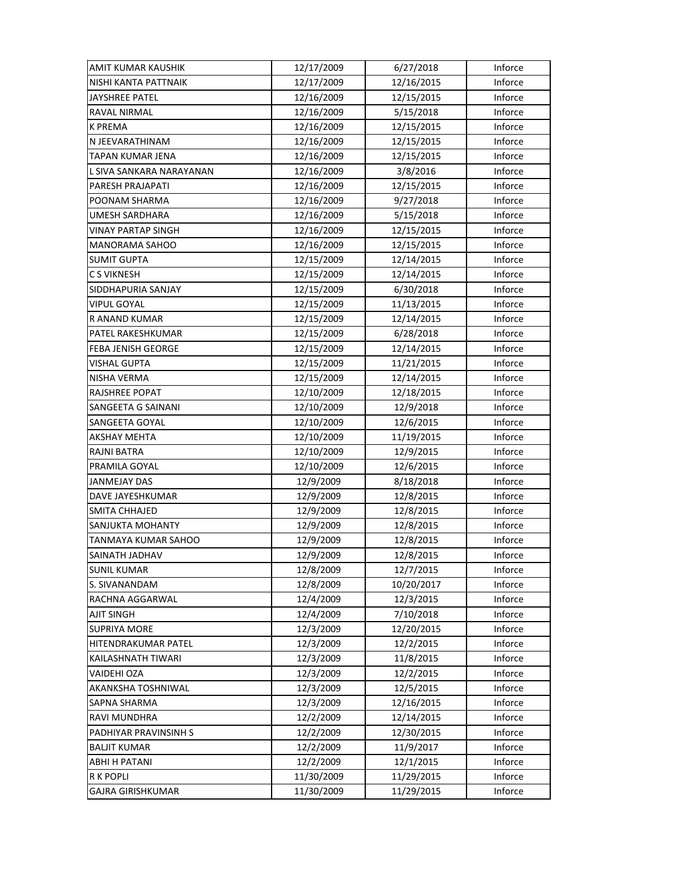| AMIT KUMAR KAUSHIK        | 12/17/2009 | 6/27/2018  | Inforce |
|---------------------------|------------|------------|---------|
| NISHI KANTA PATTNAIK      | 12/17/2009 | 12/16/2015 | Inforce |
| JAYSHREE PATEL            | 12/16/2009 | 12/15/2015 | Inforce |
| RAVAL NIRMAL              | 12/16/2009 | 5/15/2018  | Inforce |
| <b>K PREMA</b>            | 12/16/2009 | 12/15/2015 | Inforce |
| N JEEVARATHINAM           | 12/16/2009 | 12/15/2015 | Inforce |
| TAPAN KUMAR JENA          | 12/16/2009 | 12/15/2015 | Inforce |
| L SIVA SANKARA NARAYANAN  | 12/16/2009 | 3/8/2016   | Inforce |
| PARESH PRAJAPATI          | 12/16/2009 | 12/15/2015 | Inforce |
| POONAM SHARMA             | 12/16/2009 | 9/27/2018  | Inforce |
| <b>UMESH SARDHARA</b>     | 12/16/2009 | 5/15/2018  | Inforce |
| <b>VINAY PARTAP SINGH</b> | 12/16/2009 | 12/15/2015 | Inforce |
| MANORAMA SAHOO            | 12/16/2009 | 12/15/2015 | Inforce |
| <b>SUMIT GUPTA</b>        | 12/15/2009 | 12/14/2015 | Inforce |
| <b>CS VIKNESH</b>         | 12/15/2009 | 12/14/2015 | Inforce |
| SIDDHAPURIA SANJAY        | 12/15/2009 | 6/30/2018  | Inforce |
| <b>VIPUL GOYAL</b>        | 12/15/2009 | 11/13/2015 | Inforce |
| R ANAND KUMAR             | 12/15/2009 | 12/14/2015 | Inforce |
| PATEL RAKESHKUMAR         | 12/15/2009 | 6/28/2018  | Inforce |
| FEBA JENISH GEORGE        | 12/15/2009 | 12/14/2015 | Inforce |
| VISHAL GUPTA              | 12/15/2009 | 11/21/2015 | Inforce |
| NISHA VERMA               | 12/15/2009 | 12/14/2015 | Inforce |
| RAJSHREE POPAT            | 12/10/2009 | 12/18/2015 | Inforce |
| SANGEETA G SAINANI        | 12/10/2009 | 12/9/2018  | Inforce |
| SANGEETA GOYAL            | 12/10/2009 | 12/6/2015  | Inforce |
| <b>AKSHAY MEHTA</b>       | 12/10/2009 | 11/19/2015 | Inforce |
| <b>RAJNI BATRA</b>        | 12/10/2009 | 12/9/2015  | Inforce |
| PRAMILA GOYAL             | 12/10/2009 | 12/6/2015  | Inforce |
| JANMEJAY DAS              | 12/9/2009  | 8/18/2018  | Inforce |
| DAVE JAYESHKUMAR          | 12/9/2009  | 12/8/2015  | Inforce |
| SMITA CHHAJED             | 12/9/2009  | 12/8/2015  | Inforce |
| SANJUKTA MOHANTY          | 12/9/2009  | 12/8/2015  | Inforce |
| TANMAYA KUMAR SAHOO       | 12/9/2009  | 12/8/2015  | Inforce |
| SAINATH JADHAV            | 12/9/2009  | 12/8/2015  | Inforce |
| SUNIL KUMAR               | 12/8/2009  | 12/7/2015  | Inforce |
| S. SIVANANDAM             | 12/8/2009  | 10/20/2017 | Inforce |
| RACHNA AGGARWAL           | 12/4/2009  | 12/3/2015  | Inforce |
| <b>AJIT SINGH</b>         | 12/4/2009  | 7/10/2018  | Inforce |
| <b>SUPRIYA MORE</b>       | 12/3/2009  | 12/20/2015 | Inforce |
| HITENDRAKUMAR PATEL       | 12/3/2009  | 12/2/2015  | Inforce |
| KAILASHNATH TIWARI        | 12/3/2009  | 11/8/2015  | Inforce |
| VAIDEHI OZA               | 12/3/2009  | 12/2/2015  | Inforce |
| AKANKSHA TOSHNIWAL        | 12/3/2009  | 12/5/2015  | Inforce |
| SAPNA SHARMA              | 12/3/2009  | 12/16/2015 | Inforce |
| RAVI MUNDHRA              | 12/2/2009  | 12/14/2015 | Inforce |
| PADHIYAR PRAVINSINH S     | 12/2/2009  | 12/30/2015 | Inforce |
| <b>BALJIT KUMAR</b>       | 12/2/2009  | 11/9/2017  | Inforce |
| ABHI H PATANI             | 12/2/2009  | 12/1/2015  | Inforce |
| <b>R K POPLI</b>          | 11/30/2009 | 11/29/2015 | Inforce |
| GAJRA GIRISHKUMAR         | 11/30/2009 | 11/29/2015 | Inforce |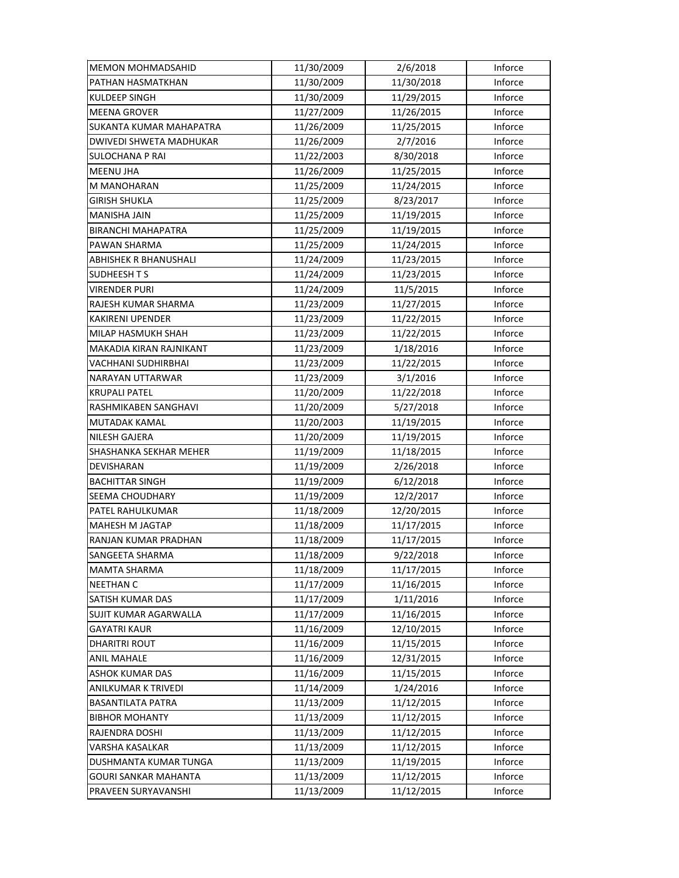| <b>MEMON MOHMADSAHID</b>  | 11/30/2009 | 2/6/2018   | Inforce |
|---------------------------|------------|------------|---------|
| PATHAN HASMATKHAN         | 11/30/2009 | 11/30/2018 | Inforce |
| <b>KULDEEP SINGH</b>      | 11/30/2009 | 11/29/2015 | Inforce |
| <b>MEENA GROVER</b>       | 11/27/2009 | 11/26/2015 | Inforce |
| SUKANTA KUMAR MAHAPATRA   | 11/26/2009 | 11/25/2015 | Inforce |
| DWIVEDI SHWETA MADHUKAR   | 11/26/2009 | 2/7/2016   | Inforce |
| <b>SULOCHANA P RAI</b>    | 11/22/2003 | 8/30/2018  | Inforce |
| <b>MEENU JHA</b>          | 11/26/2009 | 11/25/2015 | Inforce |
| M MANOHARAN               | 11/25/2009 | 11/24/2015 | Inforce |
| GIRISH SHUKLA             | 11/25/2009 | 8/23/2017  | Inforce |
| <b>MANISHA JAIN</b>       | 11/25/2009 | 11/19/2015 | Inforce |
| <b>BIRANCHI MAHAPATRA</b> | 11/25/2009 | 11/19/2015 | Inforce |
| PAWAN SHARMA              | 11/25/2009 | 11/24/2015 | Inforce |
| ABHISHEK R BHANUSHALI     | 11/24/2009 | 11/23/2015 | Inforce |
| SUDHEESH T S              | 11/24/2009 | 11/23/2015 | Inforce |
| <b>VIRENDER PURI</b>      | 11/24/2009 | 11/5/2015  | Inforce |
| RAJESH KUMAR SHARMA       | 11/23/2009 | 11/27/2015 | Inforce |
| <b>KAKIRENI UPENDER</b>   | 11/23/2009 | 11/22/2015 | Inforce |
| MILAP HASMUKH SHAH        | 11/23/2009 | 11/22/2015 | Inforce |
| MAKADIA KIRAN RAJNIKANT   | 11/23/2009 | 1/18/2016  | Inforce |
| VACHHANI SUDHIRBHAI       | 11/23/2009 | 11/22/2015 | Inforce |
| NARAYAN UTTARWAR          | 11/23/2009 | 3/1/2016   | Inforce |
| <b>KRUPALI PATEL</b>      | 11/20/2009 | 11/22/2018 | Inforce |
| RASHMIKABEN SANGHAVI      | 11/20/2009 | 5/27/2018  | Inforce |
| MUTADAK KAMAL             | 11/20/2003 | 11/19/2015 | Inforce |
| <b>NILESH GAJERA</b>      | 11/20/2009 | 11/19/2015 | Inforce |
| SHASHANKA SEKHAR MEHER    | 11/19/2009 | 11/18/2015 | Inforce |
| DEVISHARAN                | 11/19/2009 | 2/26/2018  | Inforce |
| <b>BACHITTAR SINGH</b>    | 11/19/2009 | 6/12/2018  | Inforce |
| SEEMA CHOUDHARY           | 11/19/2009 | 12/2/2017  | Inforce |
| PATEL RAHULKUMAR          | 11/18/2009 | 12/20/2015 | Inforce |
| MAHESH M JAGTAP           | 11/18/2009 | 11/17/2015 | Inforce |
| RANJAN KUMAR PRADHAN      | 11/18/2009 | 11/17/2015 | Inforce |
| SANGEETA SHARMA           | 11/18/2009 | 9/22/2018  | Inforce |
| <b>MAMTA SHARMA</b>       | 11/18/2009 | 11/17/2015 | Inforce |
| <b>NEETHAN C</b>          | 11/17/2009 | 11/16/2015 | Inforce |
| SATISH KUMAR DAS          | 11/17/2009 | 1/11/2016  | Inforce |
| SUJIT KUMAR AGARWALLA     | 11/17/2009 | 11/16/2015 | Inforce |
| <b>GAYATRI KAUR</b>       | 11/16/2009 | 12/10/2015 | Inforce |
| <b>DHARITRI ROUT</b>      | 11/16/2009 | 11/15/2015 | Inforce |
| <b>ANIL MAHALE</b>        | 11/16/2009 | 12/31/2015 | Inforce |
| <b>ASHOK KUMAR DAS</b>    | 11/16/2009 | 11/15/2015 | Inforce |
| ANILKUMAR K TRIVEDI       | 11/14/2009 | 1/24/2016  | Inforce |
| <b>BASANTILATA PATRA</b>  | 11/13/2009 | 11/12/2015 | Inforce |
| <b>BIBHOR MOHANTY</b>     | 11/13/2009 | 11/12/2015 | Inforce |
| RAJENDRA DOSHI            | 11/13/2009 | 11/12/2015 | Inforce |
| VARSHA KASALKAR           | 11/13/2009 | 11/12/2015 | Inforce |
| DUSHMANTA KUMAR TUNGA     | 11/13/2009 | 11/19/2015 | Inforce |
| GOURI SANKAR MAHANTA      | 11/13/2009 | 11/12/2015 | Inforce |
| PRAVEEN SURYAVANSHI       | 11/13/2009 | 11/12/2015 | Inforce |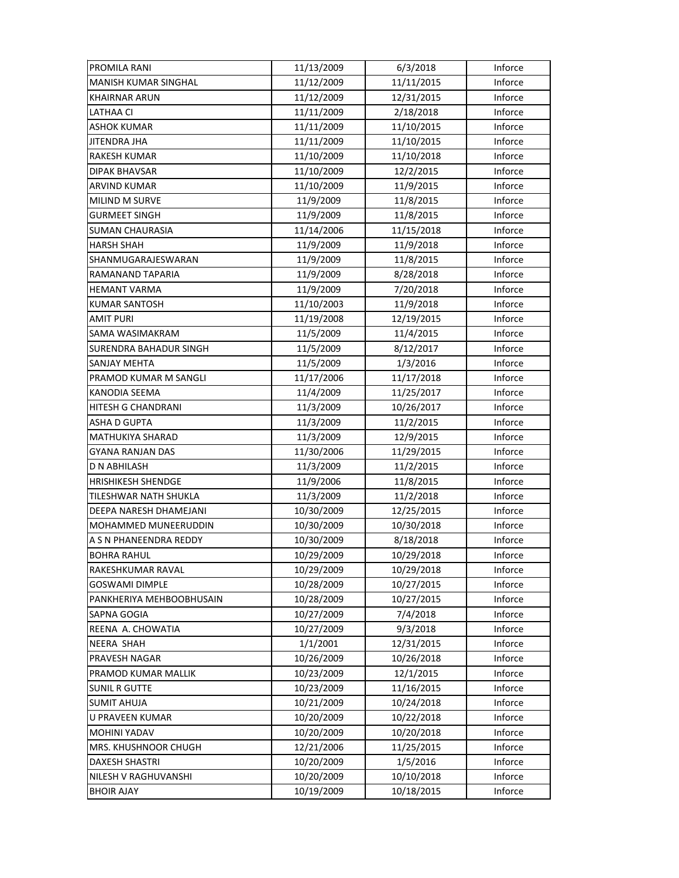| PROMILA RANI                  | 11/13/2009 | 6/3/2018   | Inforce |
|-------------------------------|------------|------------|---------|
| <b>MANISH KUMAR SINGHAL</b>   | 11/12/2009 | 11/11/2015 | Inforce |
| <b>KHAIRNAR ARUN</b>          | 11/12/2009 | 12/31/2015 | Inforce |
| LATHAA CI                     | 11/11/2009 | 2/18/2018  | Inforce |
| ASHOK KUMAR                   | 11/11/2009 | 11/10/2015 | Inforce |
| JITENDRA JHA                  | 11/11/2009 | 11/10/2015 | Inforce |
| <b>RAKESH KUMAR</b>           | 11/10/2009 | 11/10/2018 | Inforce |
| <b>DIPAK BHAVSAR</b>          | 11/10/2009 | 12/2/2015  | Inforce |
| <b>ARVIND KUMAR</b>           | 11/10/2009 | 11/9/2015  | Inforce |
| MILIND M SURVE                | 11/9/2009  | 11/8/2015  | Inforce |
| <b>GURMEET SINGH</b>          | 11/9/2009  | 11/8/2015  | Inforce |
| <b>SUMAN CHAURASIA</b>        | 11/14/2006 | 11/15/2018 | Inforce |
| <b>HARSH SHAH</b>             | 11/9/2009  | 11/9/2018  | Inforce |
| SHANMUGARAJESWARAN            | 11/9/2009  | 11/8/2015  | Inforce |
| RAMANAND TAPARIA              | 11/9/2009  | 8/28/2018  | Inforce |
| <b>HEMANT VARMA</b>           | 11/9/2009  | 7/20/2018  | Inforce |
| <b>KUMAR SANTOSH</b>          | 11/10/2003 | 11/9/2018  | Inforce |
| <b>AMIT PURI</b>              | 11/19/2008 | 12/19/2015 | Inforce |
| SAMA WASIMAKRAM               | 11/5/2009  | 11/4/2015  | Inforce |
| <b>SURENDRA BAHADUR SINGH</b> | 11/5/2009  | 8/12/2017  | Inforce |
| SANJAY MEHTA                  | 11/5/2009  | 1/3/2016   | Inforce |
| PRAMOD KUMAR M SANGLI         | 11/17/2006 | 11/17/2018 | Inforce |
| KANODIA SEEMA                 | 11/4/2009  | 11/25/2017 | Inforce |
| HITESH G CHANDRANI            | 11/3/2009  | 10/26/2017 | Inforce |
| <b>ASHA D GUPTA</b>           | 11/3/2009  | 11/2/2015  | Inforce |
| <b>MATHUKIYA SHARAD</b>       | 11/3/2009  | 12/9/2015  | Inforce |
| <b>GYANA RANJAN DAS</b>       | 11/30/2006 | 11/29/2015 | Inforce |
| D N ABHILASH                  | 11/3/2009  | 11/2/2015  | Inforce |
| <b>HRISHIKESH SHENDGE</b>     | 11/9/2006  | 11/8/2015  | Inforce |
| TILESHWAR NATH SHUKLA         | 11/3/2009  | 11/2/2018  | Inforce |
| DEEPA NARESH DHAMEJANI        | 10/30/2009 | 12/25/2015 | Inforce |
| MOHAMMED MUNEERUDDIN          | 10/30/2009 | 10/30/2018 | Inforce |
| A S N PHANEENDRA REDDY        | 10/30/2009 | 8/18/2018  | Inforce |
| <b>BOHRA RAHUL</b>            | 10/29/2009 | 10/29/2018 | Inforce |
| RAKESHKUMAR RAVAL             | 10/29/2009 | 10/29/2018 | Inforce |
| <b>GOSWAMI DIMPLE</b>         | 10/28/2009 | 10/27/2015 | Inforce |
| PANKHERIYA MEHBOOBHUSAIN      | 10/28/2009 | 10/27/2015 | Inforce |
| <b>SAPNA GOGIA</b>            | 10/27/2009 | 7/4/2018   | Inforce |
| REENA A. CHOWATIA             | 10/27/2009 | 9/3/2018   | Inforce |
| <b>NEERA SHAH</b>             | 1/1/2001   | 12/31/2015 | Inforce |
| PRAVESH NAGAR                 | 10/26/2009 | 10/26/2018 | Inforce |
| PRAMOD KUMAR MALLIK           | 10/23/2009 | 12/1/2015  | Inforce |
| <b>SUNIL R GUTTE</b>          | 10/23/2009 | 11/16/2015 | Inforce |
| <b>SUMIT AHUJA</b>            | 10/21/2009 | 10/24/2018 | Inforce |
| U PRAVEEN KUMAR               | 10/20/2009 | 10/22/2018 | Inforce |
| <b>MOHINI YADAV</b>           | 10/20/2009 | 10/20/2018 | Inforce |
| MRS. KHUSHNOOR CHUGH          | 12/21/2006 | 11/25/2015 | Inforce |
| <b>DAXESH SHASTRI</b>         | 10/20/2009 | 1/5/2016   | Inforce |
| NILESH V RAGHUVANSHI          | 10/20/2009 | 10/10/2018 | Inforce |
| <b>BHOIR AJAY</b>             | 10/19/2009 | 10/18/2015 | Inforce |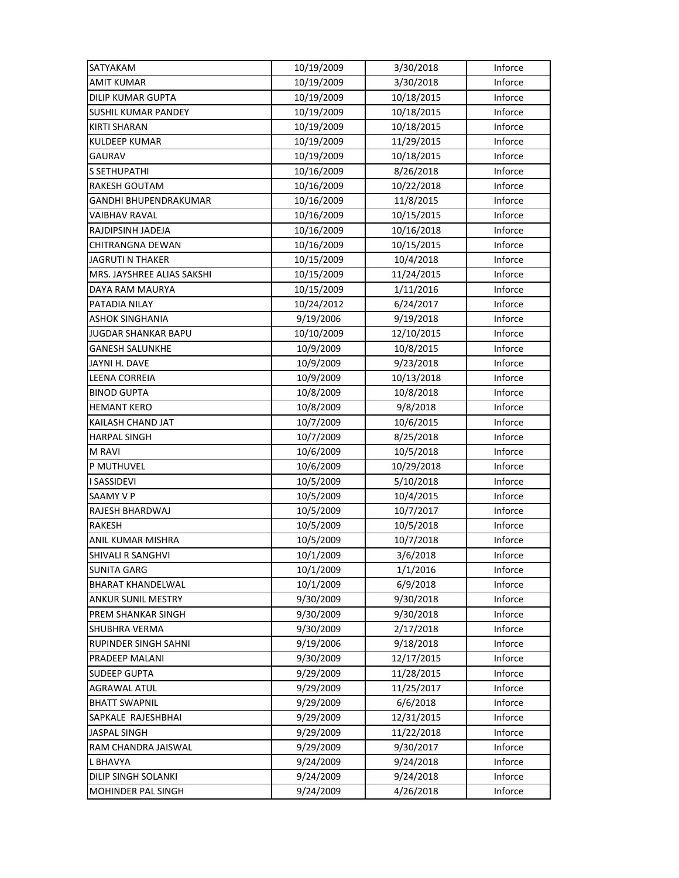| SATYAKAM                    | 10/19/2009 | 3/30/2018  | Inforce |
|-----------------------------|------------|------------|---------|
| <b>AMIT KUMAR</b>           | 10/19/2009 | 3/30/2018  | Inforce |
| <b>DILIP KUMAR GUPTA</b>    | 10/19/2009 | 10/18/2015 | Inforce |
| SUSHIL KUMAR PANDEY         | 10/19/2009 | 10/18/2015 | Inforce |
| <b>KIRTI SHARAN</b>         | 10/19/2009 | 10/18/2015 | Inforce |
| <b>KULDEEP KUMAR</b>        | 10/19/2009 | 11/29/2015 | Inforce |
| <b>GAURAV</b>               | 10/19/2009 | 10/18/2015 | Inforce |
| <b>S SETHUPATHI</b>         | 10/16/2009 | 8/26/2018  | Inforce |
| <b>RAKESH GOUTAM</b>        | 10/16/2009 | 10/22/2018 | Inforce |
| GANDHI BHUPENDRAKUMAR       | 10/16/2009 | 11/8/2015  | Inforce |
| VAIBHAV RAVAL               | 10/16/2009 | 10/15/2015 | Inforce |
| RAJDIPSINH JADEJA           | 10/16/2009 | 10/16/2018 | Inforce |
| CHITRANGNA DEWAN            | 10/16/2009 | 10/15/2015 | Inforce |
| <b>JAGRUTI N THAKER</b>     | 10/15/2009 | 10/4/2018  | Inforce |
| MRS. JAYSHREE ALIAS SAKSHI  | 10/15/2009 | 11/24/2015 | Inforce |
| DAYA RAM MAURYA             | 10/15/2009 | 1/11/2016  | Inforce |
| PATADIA NILAY               | 10/24/2012 | 6/24/2017  | Inforce |
| <b>ASHOK SINGHANIA</b>      | 9/19/2006  | 9/19/2018  | Inforce |
| JUGDAR SHANKAR BAPU         | 10/10/2009 | 12/10/2015 | Inforce |
| <b>GANESH SALUNKHE</b>      | 10/9/2009  | 10/8/2015  | Inforce |
| JAYNI H. DAVE               | 10/9/2009  | 9/23/2018  | Inforce |
| LEENA CORREIA               | 10/9/2009  | 10/13/2018 | Inforce |
| <b>BINOD GUPTA</b>          | 10/8/2009  | 10/8/2018  | Inforce |
| <b>HEMANT KERO</b>          | 10/8/2009  | 9/8/2018   | Inforce |
| KAILASH CHAND JAT           | 10/7/2009  | 10/6/2015  | Inforce |
| <b>HARPAL SINGH</b>         | 10/7/2009  | 8/25/2018  | Inforce |
| M RAVI                      | 10/6/2009  | 10/5/2018  | Inforce |
| P MUTHUVEL                  | 10/6/2009  | 10/29/2018 | Inforce |
| <b>I SASSIDEVI</b>          | 10/5/2009  | 5/10/2018  | Inforce |
| SAAMY V P                   | 10/5/2009  | 10/4/2015  | Inforce |
| RAJESH BHARDWAJ             | 10/5/2009  | 10/7/2017  | Inforce |
| <b>RAKESH</b>               | 10/5/2009  | 10/5/2018  | Inforce |
| ANIL KUMAR MISHRA           | 10/5/2009  | 10/7/2018  | Inforce |
| SHIVALI R SANGHVI           | 10/1/2009  | 3/6/2018   | Inforce |
| SUNITA GARG                 | 10/1/2009  | 1/1/2016   | Inforce |
| <b>BHARAT KHANDELWAL</b>    | 10/1/2009  | 6/9/2018   | Inforce |
| <b>ANKUR SUNIL MESTRY</b>   | 9/30/2009  | 9/30/2018  | Inforce |
| PREM SHANKAR SINGH          | 9/30/2009  | 9/30/2018  | Inforce |
| <b>SHUBHRA VERMA</b>        | 9/30/2009  | 2/17/2018  | Inforce |
| <b>RUPINDER SINGH SAHNI</b> | 9/19/2006  | 9/18/2018  | Inforce |
| PRADEEP MALANI              | 9/30/2009  | 12/17/2015 | Inforce |
| <b>SUDEEP GUPTA</b>         | 9/29/2009  | 11/28/2015 | Inforce |
| <b>AGRAWAL ATUL</b>         | 9/29/2009  | 11/25/2017 | Inforce |
| <b>BHATT SWAPNIL</b>        | 9/29/2009  | 6/6/2018   | Inforce |
| SAPKALE RAJESHBHAI          | 9/29/2009  | 12/31/2015 | Inforce |
| JASPAL SINGH                | 9/29/2009  | 11/22/2018 | Inforce |
| RAM CHANDRA JAISWAL         | 9/29/2009  | 9/30/2017  | Inforce |
| <b>L BHAVYA</b>             | 9/24/2009  | 9/24/2018  | Inforce |
| DILIP SINGH SOLANKI         | 9/24/2009  | 9/24/2018  | Inforce |
| MOHINDER PAL SINGH          | 9/24/2009  | 4/26/2018  | Inforce |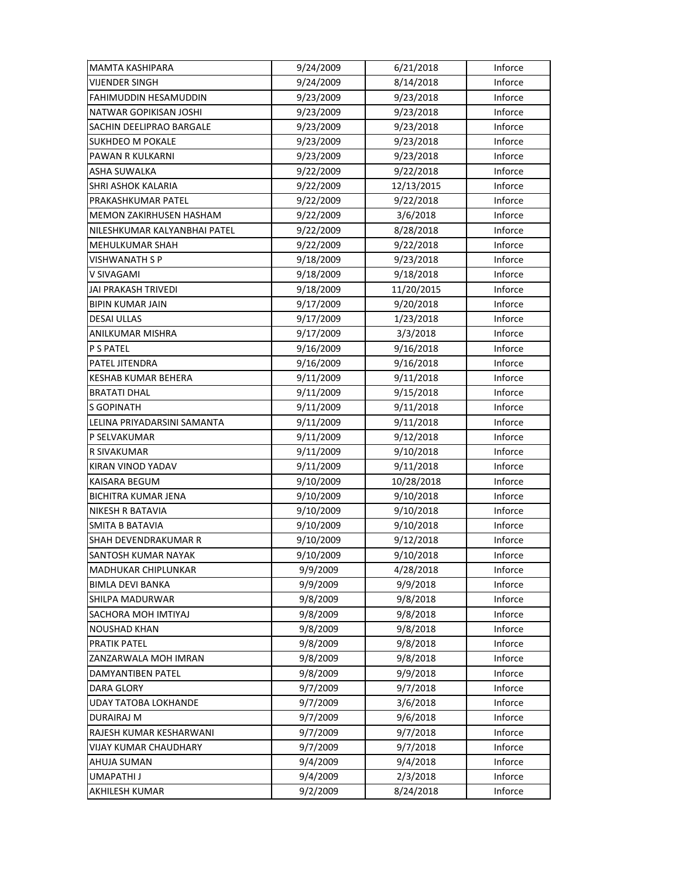| MAMTA KASHIPARA              | 9/24/2009 | 6/21/2018  | Inforce |
|------------------------------|-----------|------------|---------|
| <b>VIJENDER SINGH</b>        | 9/24/2009 | 8/14/2018  | Inforce |
| <b>FAHIMUDDIN HESAMUDDIN</b> | 9/23/2009 | 9/23/2018  | Inforce |
| NATWAR GOPIKISAN JOSHI       | 9/23/2009 | 9/23/2018  | Inforce |
| SACHIN DEELIPRAO BARGALE     | 9/23/2009 | 9/23/2018  | Inforce |
| SUKHDEO M POKALE             | 9/23/2009 | 9/23/2018  | Inforce |
| PAWAN R KULKARNI             | 9/23/2009 | 9/23/2018  | Inforce |
| ASHA SUWALKA                 | 9/22/2009 | 9/22/2018  | Inforce |
| SHRI ASHOK KALARIA           | 9/22/2009 | 12/13/2015 | Inforce |
| PRAKASHKUMAR PATEL           | 9/22/2009 | 9/22/2018  | Inforce |
| MEMON ZAKIRHUSEN HASHAM      | 9/22/2009 | 3/6/2018   | Inforce |
| NILESHKUMAR KALYANBHAI PATEL | 9/22/2009 | 8/28/2018  | Inforce |
| MEHULKUMAR SHAH              | 9/22/2009 | 9/22/2018  | Inforce |
| VISHWANATH S P               | 9/18/2009 | 9/23/2018  | Inforce |
| V SIVAGAMI                   | 9/18/2009 | 9/18/2018  | Inforce |
| <b>JAI PRAKASH TRIVEDI</b>   | 9/18/2009 | 11/20/2015 | Inforce |
| <b>BIPIN KUMAR JAIN</b>      | 9/17/2009 | 9/20/2018  | Inforce |
| <b>DESAI ULLAS</b>           | 9/17/2009 | 1/23/2018  | Inforce |
| ANILKUMAR MISHRA             | 9/17/2009 | 3/3/2018   | Inforce |
| P S PATEL                    | 9/16/2009 | 9/16/2018  | Inforce |
| PATEL JITENDRA               | 9/16/2009 | 9/16/2018  | Inforce |
| KESHAB KUMAR BEHERA          | 9/11/2009 | 9/11/2018  | Inforce |
| <b>BRATATI DHAL</b>          | 9/11/2009 | 9/15/2018  | Inforce |
| <b>S GOPINATH</b>            | 9/11/2009 | 9/11/2018  | Inforce |
| LELINA PRIYADARSINI SAMANTA  | 9/11/2009 | 9/11/2018  | Inforce |
| P SELVAKUMAR                 | 9/11/2009 | 9/12/2018  | Inforce |
| R SIVAKUMAR                  | 9/11/2009 | 9/10/2018  | Inforce |
| KIRAN VINOD YADAV            | 9/11/2009 | 9/11/2018  | Inforce |
| KAISARA BEGUM                | 9/10/2009 | 10/28/2018 | Inforce |
| <b>BICHITRA KUMAR JENA</b>   | 9/10/2009 | 9/10/2018  | Inforce |
| NIKESH R BATAVIA             | 9/10/2009 | 9/10/2018  | Inforce |
| <b>SMITA B BATAVIA</b>       | 9/10/2009 | 9/10/2018  | Inforce |
| SHAH DEVENDRAKUMAR R         | 9/10/2009 | 9/12/2018  | Inforce |
| SANTOSH KUMAR NAYAK          | 9/10/2009 | 9/10/2018  | Inforce |
| MADHUKAR CHIPLUNKAR          | 9/9/2009  | 4/28/2018  | Inforce |
| <b>BIMLA DEVI BANKA</b>      | 9/9/2009  | 9/9/2018   | Inforce |
| SHILPA MADURWAR              | 9/8/2009  | 9/8/2018   | Inforce |
| SACHORA MOH IMTIYAJ          | 9/8/2009  | 9/8/2018   | Inforce |
| <b>NOUSHAD KHAN</b>          | 9/8/2009  | 9/8/2018   | Inforce |
| <b>PRATIK PATEL</b>          | 9/8/2009  | 9/8/2018   | Inforce |
| ZANZARWALA MOH IMRAN         | 9/8/2009  | 9/8/2018   | Inforce |
| DAMYANTIBEN PATEL            | 9/8/2009  | 9/9/2018   | Inforce |
| DARA GLORY                   | 9/7/2009  | 9/7/2018   | Inforce |
| <b>UDAY TATOBA LOKHANDE</b>  | 9/7/2009  | 3/6/2018   | Inforce |
| DURAIRAJ M                   | 9/7/2009  | 9/6/2018   | Inforce |
| RAJESH KUMAR KESHARWANI      | 9/7/2009  | 9/7/2018   | Inforce |
| <b>VIJAY KUMAR CHAUDHARY</b> | 9/7/2009  | 9/7/2018   | Inforce |
| AHUJA SUMAN                  | 9/4/2009  | 9/4/2018   | Inforce |
| UMAPATHI J                   | 9/4/2009  | 2/3/2018   | Inforce |
| AKHILESH KUMAR               | 9/2/2009  | 8/24/2018  | Inforce |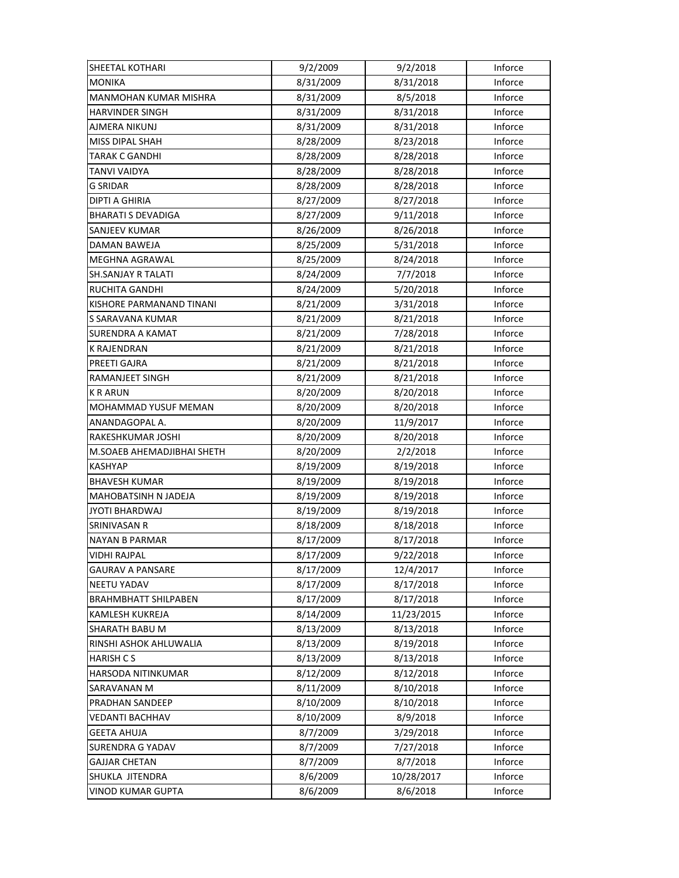| SHEETAL KOTHARI              | 9/2/2009  | 9/2/2018   | Inforce |
|------------------------------|-----------|------------|---------|
| <b>MONIKA</b>                | 8/31/2009 | 8/31/2018  | Inforce |
| <b>MANMOHAN KUMAR MISHRA</b> | 8/31/2009 | 8/5/2018   | Inforce |
| <b>HARVINDER SINGH</b>       | 8/31/2009 | 8/31/2018  | Inforce |
| AJMERA NIKUNJ                | 8/31/2009 | 8/31/2018  | Inforce |
| MISS DIPAL SHAH              | 8/28/2009 | 8/23/2018  | Inforce |
| TARAK C GANDHI               | 8/28/2009 | 8/28/2018  | Inforce |
| <b>TANVI VAIDYA</b>          | 8/28/2009 | 8/28/2018  | Inforce |
| <b>G SRIDAR</b>              | 8/28/2009 | 8/28/2018  | Inforce |
| <b>DIPTI A GHIRIA</b>        | 8/27/2009 | 8/27/2018  | Inforce |
| <b>BHARATI S DEVADIGA</b>    | 8/27/2009 | 9/11/2018  | Inforce |
| SANJEEV KUMAR                | 8/26/2009 | 8/26/2018  | Inforce |
| DAMAN BAWEJA                 | 8/25/2009 | 5/31/2018  | Inforce |
| MEGHNA AGRAWAL               | 8/25/2009 | 8/24/2018  | Inforce |
| <b>SH.SANJAY R TALATI</b>    | 8/24/2009 | 7/7/2018   | Inforce |
| <b>RUCHITA GANDHI</b>        | 8/24/2009 | 5/20/2018  | Inforce |
| KISHORE PARMANAND TINANI     | 8/21/2009 | 3/31/2018  | Inforce |
| S SARAVANA KUMAR             | 8/21/2009 | 8/21/2018  | Inforce |
| <b>SURENDRA A KAMAT</b>      | 8/21/2009 | 7/28/2018  | Inforce |
| <b>K RAJENDRAN</b>           | 8/21/2009 | 8/21/2018  | Inforce |
| PREETI GAJRA                 | 8/21/2009 | 8/21/2018  | Inforce |
| RAMANJEET SINGH              | 8/21/2009 | 8/21/2018  | Inforce |
| <b>K R ARUN</b>              | 8/20/2009 | 8/20/2018  | Inforce |
| MOHAMMAD YUSUF MEMAN         | 8/20/2009 | 8/20/2018  | Inforce |
| ANANDAGOPAL A.               | 8/20/2009 | 11/9/2017  | Inforce |
| RAKESHKUMAR JOSHI            | 8/20/2009 | 8/20/2018  | Inforce |
| M.SOAEB AHEMADJIBHAI SHETH   | 8/20/2009 | 2/2/2018   | Inforce |
| KASHYAP                      | 8/19/2009 | 8/19/2018  | Inforce |
| <b>BHAVESH KUMAR</b>         | 8/19/2009 | 8/19/2018  | Inforce |
| <b>MAHOBATSINH N JADEJA</b>  | 8/19/2009 | 8/19/2018  | Inforce |
| <b>JYOTI BHARDWAJ</b>        | 8/19/2009 | 8/19/2018  | Inforce |
| SRINIVASAN R                 | 8/18/2009 | 8/18/2018  | Inforce |
| <b>NAYAN B PARMAR</b>        | 8/17/2009 | 8/17/2018  | Inforce |
| <b>VIDHI RAJPAL</b>          | 8/17/2009 | 9/22/2018  | Inforce |
| <b>GAURAV A PANSARE</b>      | 8/17/2009 | 12/4/2017  | Inforce |
| <b>NEETU YADAV</b>           | 8/17/2009 | 8/17/2018  | Inforce |
| <b>BRAHMBHATT SHILPABEN</b>  | 8/17/2009 | 8/17/2018  | Inforce |
| <b>KAMLESH KUKREJA</b>       | 8/14/2009 | 11/23/2015 | Inforce |
| SHARATH BABU M               | 8/13/2009 | 8/13/2018  | Inforce |
| RINSHI ASHOK AHLUWALIA       | 8/13/2009 | 8/19/2018  | Inforce |
| <b>HARISH CS</b>             | 8/13/2009 | 8/13/2018  | Inforce |
| HARSODA NITINKUMAR           | 8/12/2009 | 8/12/2018  | Inforce |
| SARAVANAN M                  | 8/11/2009 | 8/10/2018  | Inforce |
| PRADHAN SANDEEP              | 8/10/2009 | 8/10/2018  | Inforce |
| VEDANTI BACHHAV              | 8/10/2009 | 8/9/2018   | Inforce |
| <b>GEETA AHUJA</b>           | 8/7/2009  | 3/29/2018  | Inforce |
| <b>SURENDRA G YADAV</b>      | 8/7/2009  | 7/27/2018  | Inforce |
| <b>GAJJAR CHETAN</b>         | 8/7/2009  | 8/7/2018   | Inforce |
| SHUKLA JITENDRA              | 8/6/2009  | 10/28/2017 | Inforce |
| VINOD KUMAR GUPTA            | 8/6/2009  | 8/6/2018   | Inforce |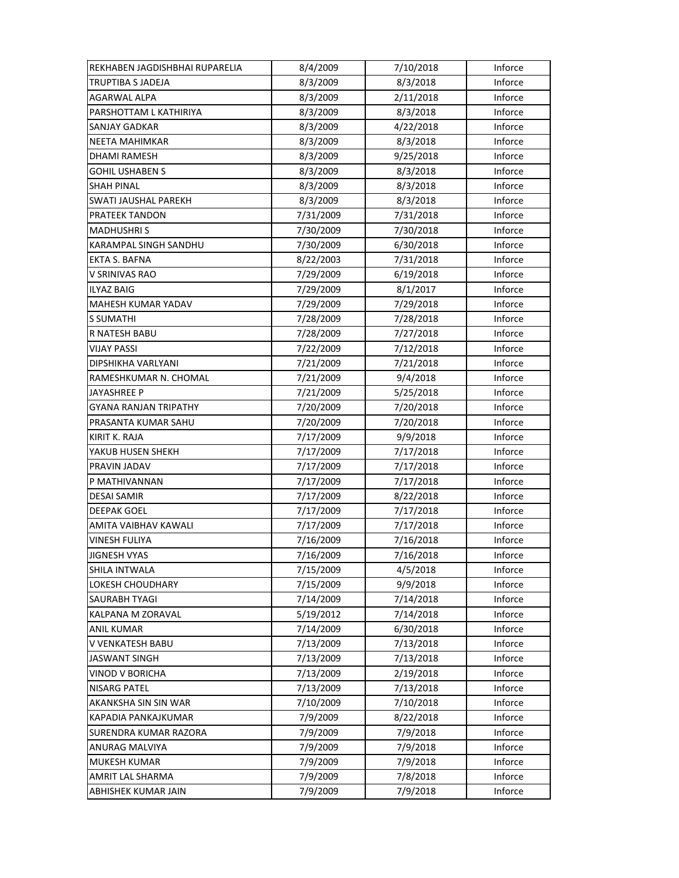| REKHABEN JAGDISHBHAI RUPARELIA | 8/4/2009  | 7/10/2018 | Inforce |
|--------------------------------|-----------|-----------|---------|
| TRUPTIBA S JADEJA              | 8/3/2009  | 8/3/2018  | Inforce |
| AGARWAL ALPA                   | 8/3/2009  | 2/11/2018 | Inforce |
| PARSHOTTAM L KATHIRIYA         | 8/3/2009  | 8/3/2018  | Inforce |
| <b>SANJAY GADKAR</b>           | 8/3/2009  | 4/22/2018 | Inforce |
| <b>NEETA MAHIMKAR</b>          | 8/3/2009  | 8/3/2018  | Inforce |
| <b>DHAMI RAMESH</b>            | 8/3/2009  | 9/25/2018 | Inforce |
| <b>GOHIL USHABEN S</b>         | 8/3/2009  | 8/3/2018  | Inforce |
| SHAH PINAL                     | 8/3/2009  | 8/3/2018  | Inforce |
| SWATI JAUSHAL PAREKH           | 8/3/2009  | 8/3/2018  | Inforce |
| PRATEEK TANDON                 | 7/31/2009 | 7/31/2018 | Inforce |
| <b>MADHUSHRIS</b>              | 7/30/2009 | 7/30/2018 | Inforce |
| <b>KARAMPAL SINGH SANDHU</b>   | 7/30/2009 | 6/30/2018 | Inforce |
| EKTA S. BAFNA                  | 8/22/2003 | 7/31/2018 | Inforce |
| V SRINIVAS RAO                 | 7/29/2009 | 6/19/2018 | Inforce |
| <b>ILYAZ BAIG</b>              | 7/29/2009 | 8/1/2017  | Inforce |
| <b>MAHESH KUMAR YADAV</b>      | 7/29/2009 | 7/29/2018 | Inforce |
| S SUMATHI                      | 7/28/2009 | 7/28/2018 | Inforce |
| R NATESH BABU                  | 7/28/2009 | 7/27/2018 | Inforce |
| <b>VIJAY PASSI</b>             | 7/22/2009 | 7/12/2018 | Inforce |
| DIPSHIKHA VARLYANI             | 7/21/2009 | 7/21/2018 | Inforce |
| RAMESHKUMAR N. CHOMAL          | 7/21/2009 | 9/4/2018  | Inforce |
| JAYASHREE P                    | 7/21/2009 | 5/25/2018 | Inforce |
| GYANA RANJAN TRIPATHY          | 7/20/2009 | 7/20/2018 | Inforce |
| PRASANTA KUMAR SAHU            | 7/20/2009 | 7/20/2018 | Inforce |
| KIRIT K. RAJA                  | 7/17/2009 | 9/9/2018  | Inforce |
| YAKUB HUSEN SHEKH              | 7/17/2009 | 7/17/2018 | Inforce |
| PRAVIN JADAV                   | 7/17/2009 | 7/17/2018 | Inforce |
| P MATHIVANNAN                  | 7/17/2009 | 7/17/2018 | Inforce |
| <b>DESAI SAMIR</b>             | 7/17/2009 | 8/22/2018 | Inforce |
| <b>DEEPAK GOEL</b>             | 7/17/2009 | 7/17/2018 | Inforce |
| AMITA VAIBHAV KAWALI           | 7/17/2009 | 7/17/2018 | Inforce |
| <b>VINESH FULIYA</b>           | 7/16/2009 | 7/16/2018 | Inforce |
| <b>JIGNESH VYAS</b>            | 7/16/2009 | 7/16/2018 | Inforce |
| SHILA INTWALA                  | 7/15/2009 | 4/5/2018  | Inforce |
| <b>LOKESH CHOUDHARY</b>        | 7/15/2009 | 9/9/2018  | Inforce |
| SAURABH TYAGI                  | 7/14/2009 | 7/14/2018 | Inforce |
| KALPANA M ZORAVAL              | 5/19/2012 | 7/14/2018 | Inforce |
| <b>ANIL KUMAR</b>              | 7/14/2009 | 6/30/2018 | Inforce |
| V VENKATESH BABU               | 7/13/2009 | 7/13/2018 | Inforce |
| <b>JASWANT SINGH</b>           | 7/13/2009 | 7/13/2018 | Inforce |
| VINOD V BORICHA                | 7/13/2009 | 2/19/2018 | Inforce |
| NISARG PATEL                   | 7/13/2009 | 7/13/2018 | Inforce |
| AKANKSHA SIN SIN WAR           | 7/10/2009 | 7/10/2018 | Inforce |
| KAPADIA PANKAJKUMAR            | 7/9/2009  | 8/22/2018 | Inforce |
| SURENDRA KUMAR RAZORA          | 7/9/2009  | 7/9/2018  | Inforce |
| ANURAG MALVIYA                 | 7/9/2009  | 7/9/2018  | Inforce |
| <b>MUKESH KUMAR</b>            | 7/9/2009  | 7/9/2018  | Inforce |
| AMRIT LAL SHARMA               | 7/9/2009  | 7/8/2018  | Inforce |
| ABHISHEK KUMAR JAIN            | 7/9/2009  | 7/9/2018  | Inforce |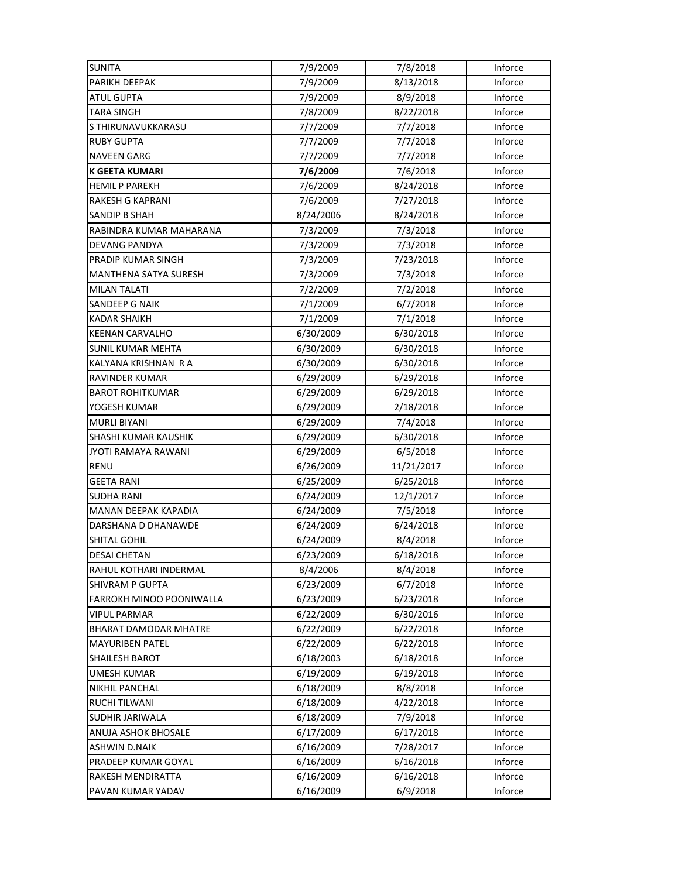| <b>SUNITA</b>                | 7/9/2009  | 7/8/2018   | Inforce |
|------------------------------|-----------|------------|---------|
| PARIKH DEEPAK                | 7/9/2009  | 8/13/2018  | Inforce |
| <b>ATUL GUPTA</b>            | 7/9/2009  | 8/9/2018   | Inforce |
| <b>TARA SINGH</b>            | 7/8/2009  | 8/22/2018  | Inforce |
| S THIRUNAVUKKARASU           | 7/7/2009  | 7/7/2018   | Inforce |
| <b>RUBY GUPTA</b>            | 7/7/2009  | 7/7/2018   | Inforce |
| <b>NAVEEN GARG</b>           | 7/7/2009  | 7/7/2018   | Inforce |
| <b>K GEETA KUMARI</b>        | 7/6/2009  | 7/6/2018   | Inforce |
| <b>HEMIL P PAREKH</b>        | 7/6/2009  | 8/24/2018  | Inforce |
| <b>RAKESH G KAPRANI</b>      | 7/6/2009  | 7/27/2018  | Inforce |
| SANDIP B SHAH                | 8/24/2006 | 8/24/2018  | Inforce |
| RABINDRA KUMAR MAHARANA      | 7/3/2009  | 7/3/2018   | Inforce |
| DEVANG PANDYA                | 7/3/2009  | 7/3/2018   | Inforce |
| PRADIP KUMAR SINGH           | 7/3/2009  | 7/23/2018  | Inforce |
| <b>MANTHENA SATYA SURESH</b> | 7/3/2009  | 7/3/2018   | Inforce |
| <b>MILAN TALATI</b>          | 7/2/2009  | 7/2/2018   | Inforce |
| SANDEEP G NAIK               | 7/1/2009  | 6/7/2018   | Inforce |
| <b>KADAR SHAIKH</b>          | 7/1/2009  | 7/1/2018   | Inforce |
| <b>KEENAN CARVALHO</b>       | 6/30/2009 | 6/30/2018  | Inforce |
| <b>SUNIL KUMAR MEHTA</b>     | 6/30/2009 | 6/30/2018  | Inforce |
| KALYANA KRISHNAN R A         | 6/30/2009 | 6/30/2018  | Inforce |
| RAVINDER KUMAR               | 6/29/2009 | 6/29/2018  | Inforce |
| <b>BAROT ROHITKUMAR</b>      | 6/29/2009 | 6/29/2018  | Inforce |
| YOGESH KUMAR                 | 6/29/2009 | 2/18/2018  | Inforce |
| <b>MURLI BIYANI</b>          | 6/29/2009 | 7/4/2018   | Inforce |
| SHASHI KUMAR KAUSHIK         | 6/29/2009 | 6/30/2018  | Inforce |
| JYOTI RAMAYA RAWANI          | 6/29/2009 | 6/5/2018   | Inforce |
| <b>RENU</b>                  | 6/26/2009 | 11/21/2017 | Inforce |
| <b>GEETA RANI</b>            | 6/25/2009 | 6/25/2018  | Inforce |
| <b>SUDHA RANI</b>            | 6/24/2009 | 12/1/2017  | Inforce |
| <b>MANAN DEEPAK KAPADIA</b>  | 6/24/2009 | 7/5/2018   | Inforce |
| DARSHANA D DHANAWDE          | 6/24/2009 | 6/24/2018  | Inforce |
| SHITAL GOHIL                 | 6/24/2009 | 8/4/2018   | Inforce |
| <b>DESAI CHETAN</b>          | 6/23/2009 | 6/18/2018  | Inforce |
| RAHUL KOTHARI INDERMAL       | 8/4/2006  | 8/4/2018   | Inforce |
| SHIVRAM P GUPTA              | 6/23/2009 | 6/7/2018   | Inforce |
| FARROKH MINOO POONIWALLA     | 6/23/2009 | 6/23/2018  | Inforce |
| <b>VIPUL PARMAR</b>          | 6/22/2009 | 6/30/2016  | Inforce |
| <b>BHARAT DAMODAR MHATRE</b> | 6/22/2009 | 6/22/2018  | Inforce |
| <b>MAYURIBEN PATEL</b>       | 6/22/2009 | 6/22/2018  | Inforce |
| <b>SHAILESH BAROT</b>        | 6/18/2003 | 6/18/2018  | Inforce |
| <b>UMESH KUMAR</b>           | 6/19/2009 | 6/19/2018  | Inforce |
| <b>NIKHIL PANCHAL</b>        | 6/18/2009 | 8/8/2018   | Inforce |
| <b>RUCHI TILWANI</b>         | 6/18/2009 | 4/22/2018  | Inforce |
| SUDHIR JARIWALA              | 6/18/2009 | 7/9/2018   | Inforce |
| ANUJA ASHOK BHOSALE          | 6/17/2009 | 6/17/2018  | Inforce |
| <b>ASHWIN D.NAIK</b>         | 6/16/2009 | 7/28/2017  | Inforce |
| PRADEEP KUMAR GOYAL          | 6/16/2009 | 6/16/2018  | Inforce |
| RAKESH MENDIRATTA            | 6/16/2009 | 6/16/2018  | Inforce |
| PAVAN KUMAR YADAV            | 6/16/2009 | 6/9/2018   | Inforce |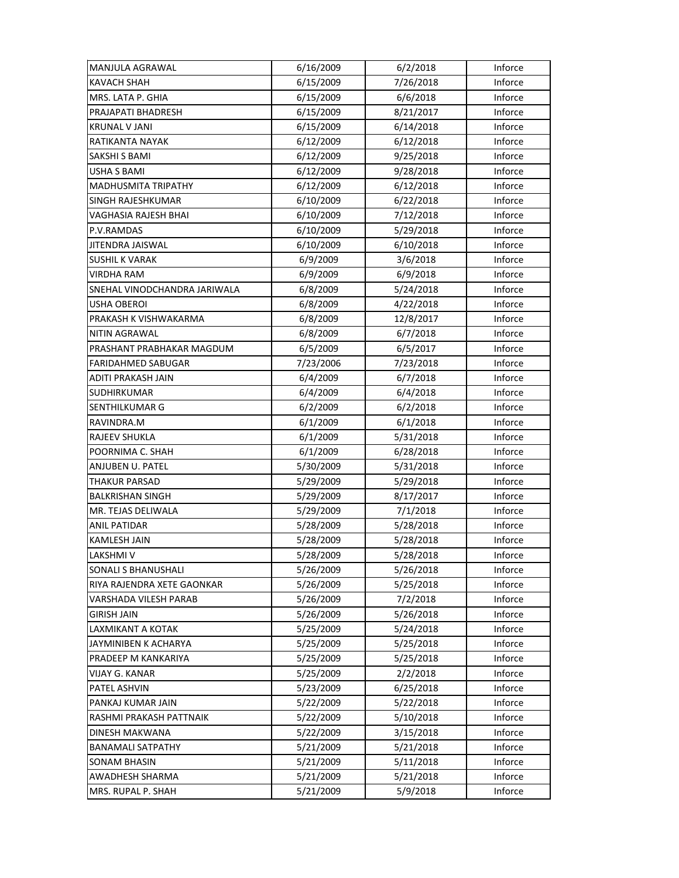| MANJULA AGRAWAL              | 6/16/2009 | 6/2/2018  | Inforce |
|------------------------------|-----------|-----------|---------|
| <b>KAVACH SHAH</b>           | 6/15/2009 | 7/26/2018 | Inforce |
| MRS. LATA P. GHIA            | 6/15/2009 | 6/6/2018  | Inforce |
| PRAJAPATI BHADRESH           | 6/15/2009 | 8/21/2017 | Inforce |
| <b>KRUNAL V JANI</b>         | 6/15/2009 | 6/14/2018 | Inforce |
| RATIKANTA NAYAK              | 6/12/2009 | 6/12/2018 | Inforce |
| SAKSHI S BAMI                | 6/12/2009 | 9/25/2018 | Inforce |
| USHA S BAMI                  | 6/12/2009 | 9/28/2018 | Inforce |
| MADHUSMITA TRIPATHY          | 6/12/2009 | 6/12/2018 | Inforce |
| SINGH RAJESHKUMAR            | 6/10/2009 | 6/22/2018 | Inforce |
| VAGHASIA RAJESH BHAI         | 6/10/2009 | 7/12/2018 | Inforce |
| P.V.RAMDAS                   | 6/10/2009 | 5/29/2018 | Inforce |
| JITENDRA JAISWAL             | 6/10/2009 | 6/10/2018 | Inforce |
| <b>SUSHIL K VARAK</b>        | 6/9/2009  | 3/6/2018  | Inforce |
| <b>VIRDHA RAM</b>            | 6/9/2009  | 6/9/2018  | Inforce |
| SNEHAL VINODCHANDRA JARIWALA | 6/8/2009  | 5/24/2018 | Inforce |
| USHA OBEROI                  | 6/8/2009  | 4/22/2018 | Inforce |
| PRAKASH K VISHWAKARMA        | 6/8/2009  | 12/8/2017 | Inforce |
| <b>NITIN AGRAWAL</b>         | 6/8/2009  | 6/7/2018  | Inforce |
| PRASHANT PRABHAKAR MAGDUM    | 6/5/2009  | 6/5/2017  | Inforce |
| <b>FARIDAHMED SABUGAR</b>    | 7/23/2006 | 7/23/2018 | Inforce |
| ADITI PRAKASH JAIN           | 6/4/2009  | 6/7/2018  | Inforce |
| SUDHIRKUMAR                  | 6/4/2009  | 6/4/2018  | Inforce |
| SENTHILKUMAR G               | 6/2/2009  | 6/2/2018  | Inforce |
| RAVINDRA.M                   | 6/1/2009  | 6/1/2018  | Inforce |
| RAJEEV SHUKLA                | 6/1/2009  | 5/31/2018 | Inforce |
| POORNIMA C. SHAH             | 6/1/2009  | 6/28/2018 | Inforce |
| ANJUBEN U. PATEL             | 5/30/2009 | 5/31/2018 | Inforce |
| THAKUR PARSAD                | 5/29/2009 | 5/29/2018 | Inforce |
| <b>BALKRISHAN SINGH</b>      | 5/29/2009 | 8/17/2017 | Inforce |
| MR. TEJAS DELIWALA           | 5/29/2009 | 7/1/2018  | Inforce |
| <b>ANIL PATIDAR</b>          | 5/28/2009 | 5/28/2018 | Inforce |
| KAMLESH JAIN                 | 5/28/2009 | 5/28/2018 | Inforce |
| LAKSHMI V                    | 5/28/2009 | 5/28/2018 | Inforce |
| SONALI S BHANUSHALI          | 5/26/2009 | 5/26/2018 | Inforce |
| RIYA RAJENDRA XETE GAONKAR   | 5/26/2009 | 5/25/2018 | Inforce |
| VARSHADA VILESH PARAB        | 5/26/2009 | 7/2/2018  | Inforce |
| <b>GIRISH JAIN</b>           | 5/26/2009 | 5/26/2018 | Inforce |
| LAXMIKANT A KOTAK            | 5/25/2009 | 5/24/2018 | Inforce |
| JAYMINIBEN K ACHARYA         | 5/25/2009 | 5/25/2018 | Inforce |
| PRADEEP M KANKARIYA          | 5/25/2009 | 5/25/2018 | Inforce |
| VIJAY G. KANAR               | 5/25/2009 | 2/2/2018  | Inforce |
| PATEL ASHVIN                 | 5/23/2009 | 6/25/2018 | Inforce |
| PANKAJ KUMAR JAIN            | 5/22/2009 | 5/22/2018 | Inforce |
| RASHMI PRAKASH PATTNAIK      | 5/22/2009 | 5/10/2018 | Inforce |
| DINESH MAKWANA               | 5/22/2009 | 3/15/2018 | Inforce |
| <b>BANAMALI SATPATHY</b>     | 5/21/2009 | 5/21/2018 | Inforce |
| <b>SONAM BHASIN</b>          | 5/21/2009 | 5/11/2018 | Inforce |
| AWADHESH SHARMA              | 5/21/2009 | 5/21/2018 | Inforce |
| MRS. RUPAL P. SHAH           | 5/21/2009 | 5/9/2018  | Inforce |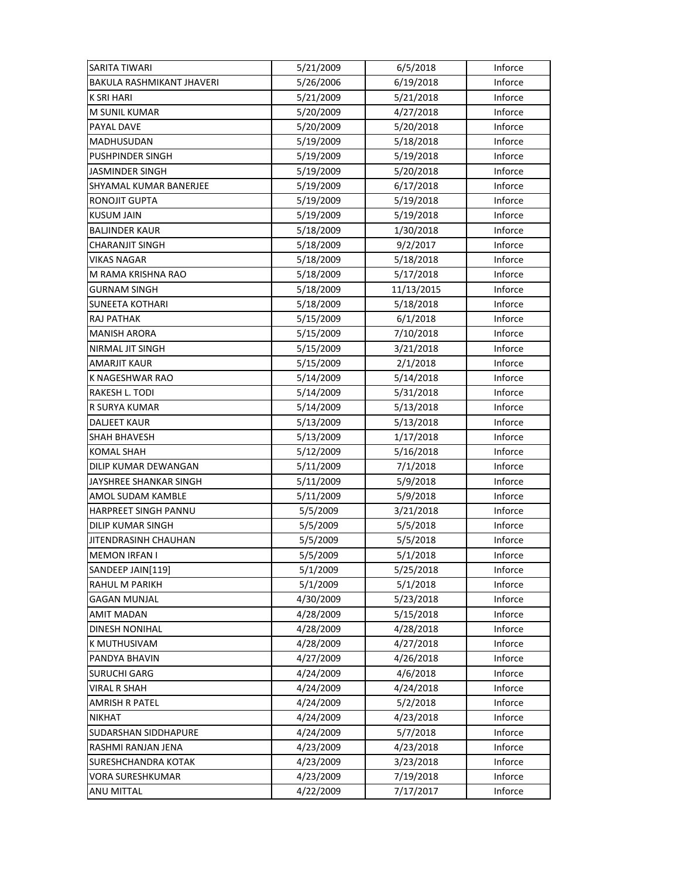| <b>SARITA TIWARI</b>             | 5/21/2009 | 6/5/2018   | Inforce |
|----------------------------------|-----------|------------|---------|
| <b>BAKULA RASHMIKANT JHAVERI</b> | 5/26/2006 | 6/19/2018  | Inforce |
| K SRI HARI                       | 5/21/2009 | 5/21/2018  | Inforce |
| M SUNIL KUMAR                    | 5/20/2009 | 4/27/2018  | Inforce |
| PAYAL DAVE                       | 5/20/2009 | 5/20/2018  | Inforce |
| MADHUSUDAN                       | 5/19/2009 | 5/18/2018  | Inforce |
| <b>PUSHPINDER SINGH</b>          | 5/19/2009 | 5/19/2018  | Inforce |
| JASMINDER SINGH                  | 5/19/2009 | 5/20/2018  | Inforce |
| SHYAMAL KUMAR BANERJEE           | 5/19/2009 | 6/17/2018  | Inforce |
| <b>RONOJIT GUPTA</b>             | 5/19/2009 | 5/19/2018  | Inforce |
| <b>KUSUM JAIN</b>                | 5/19/2009 | 5/19/2018  | Inforce |
| <b>BALJINDER KAUR</b>            | 5/18/2009 | 1/30/2018  | Inforce |
| <b>CHARANJIT SINGH</b>           | 5/18/2009 | 9/2/2017   | Inforce |
| VIKAS NAGAR                      | 5/18/2009 | 5/18/2018  | Inforce |
| M RAMA KRISHNA RAO               | 5/18/2009 | 5/17/2018  | Inforce |
| <b>GURNAM SINGH</b>              | 5/18/2009 | 11/13/2015 | Inforce |
| <b>SUNEETA KOTHARI</b>           | 5/18/2009 | 5/18/2018  | Inforce |
| RAJ PATHAK                       | 5/15/2009 | 6/1/2018   | Inforce |
| <b>MANISH ARORA</b>              | 5/15/2009 | 7/10/2018  | Inforce |
| NIRMAL JIT SINGH                 | 5/15/2009 | 3/21/2018  | Inforce |
| <b>AMARJIT KAUR</b>              | 5/15/2009 | 2/1/2018   | Inforce |
| K NAGESHWAR RAO                  | 5/14/2009 | 5/14/2018  | Inforce |
| RAKESH L. TODI                   | 5/14/2009 | 5/31/2018  | Inforce |
| R SURYA KUMAR                    | 5/14/2009 | 5/13/2018  | Inforce |
| <b>DALJEET KAUR</b>              | 5/13/2009 | 5/13/2018  | Inforce |
| <b>SHAH BHAVESH</b>              | 5/13/2009 | 1/17/2018  | Inforce |
| <b>KOMAL SHAH</b>                | 5/12/2009 | 5/16/2018  | Inforce |
| DILIP KUMAR DEWANGAN             | 5/11/2009 | 7/1/2018   | Inforce |
| JAYSHREE SHANKAR SINGH           | 5/11/2009 | 5/9/2018   | Inforce |
| AMOL SUDAM KAMBLE                | 5/11/2009 | 5/9/2018   | Inforce |
| HARPREET SINGH PANNU             | 5/5/2009  | 3/21/2018  | Inforce |
| <b>DILIP KUMAR SINGH</b>         | 5/5/2009  | 5/5/2018   | Inforce |
| JITENDRASINH CHAUHAN             | 5/5/2009  | 5/5/2018   | Inforce |
| <b>MEMON IRFAN I</b>             | 5/5/2009  | 5/1/2018   | Inforce |
| SANDEEP JAIN[119]                | 5/1/2009  | 5/25/2018  | Inforce |
| <b>RAHUL M PARIKH</b>            | 5/1/2009  | 5/1/2018   | Inforce |
| <b>GAGAN MUNJAL</b>              | 4/30/2009 | 5/23/2018  | Inforce |
| <b>AMIT MADAN</b>                | 4/28/2009 | 5/15/2018  | Inforce |
| DINESH NONIHAL                   | 4/28/2009 | 4/28/2018  | Inforce |
| <b>K MUTHUSIVAM</b>              | 4/28/2009 | 4/27/2018  | Inforce |
| PANDYA BHAVIN                    | 4/27/2009 | 4/26/2018  | Inforce |
| <b>SURUCHI GARG</b>              | 4/24/2009 | 4/6/2018   | Inforce |
| VIRAL R SHAH                     | 4/24/2009 | 4/24/2018  | Inforce |
| <b>AMRISH R PATEL</b>            | 4/24/2009 | 5/2/2018   | Inforce |
| <b>NIKHAT</b>                    | 4/24/2009 | 4/23/2018  | Inforce |
| SUDARSHAN SIDDHAPURE             | 4/24/2009 | 5/7/2018   | Inforce |
| RASHMI RANJAN JENA               | 4/23/2009 | 4/23/2018  | Inforce |
| SURESHCHANDRA KOTAK              | 4/23/2009 | 3/23/2018  | Inforce |
| <b>VORA SURESHKUMAR</b>          | 4/23/2009 | 7/19/2018  | Inforce |
| ANU MITTAL                       | 4/22/2009 | 7/17/2017  | Inforce |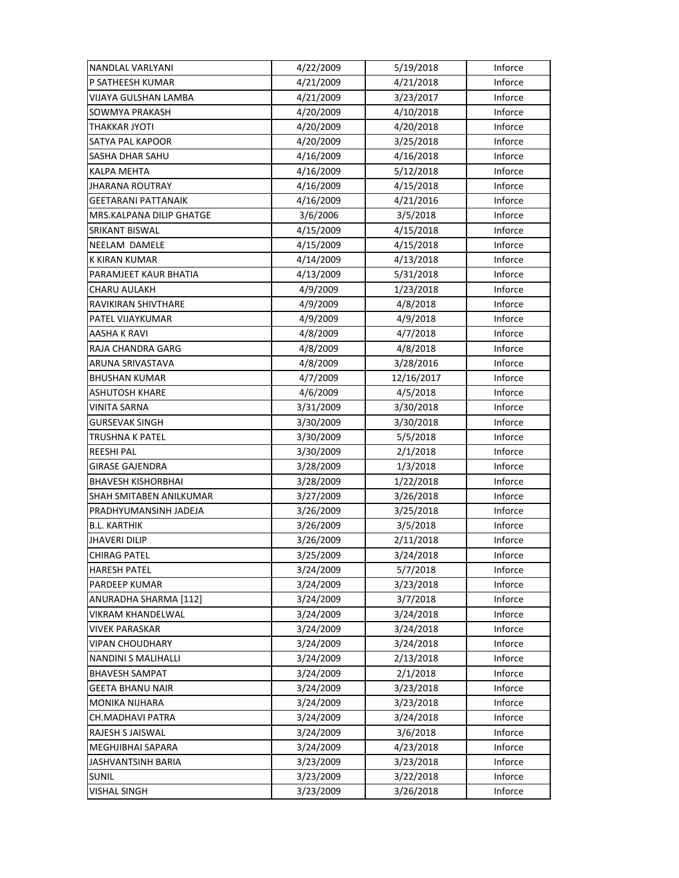| NANDLAL VARLYANI           | 4/22/2009 | 5/19/2018  | Inforce |
|----------------------------|-----------|------------|---------|
| P SATHEESH KUMAR           | 4/21/2009 | 4/21/2018  | Inforce |
| VIJAYA GULSHAN LAMBA       | 4/21/2009 | 3/23/2017  | Inforce |
| SOWMYA PRAKASH             | 4/20/2009 | 4/10/2018  | Inforce |
| THAKKAR JYOTI              | 4/20/2009 | 4/20/2018  | Inforce |
| SATYA PAL KAPOOR           | 4/20/2009 | 3/25/2018  | Inforce |
| SASHA DHAR SAHU            | 4/16/2009 | 4/16/2018  | Inforce |
| KALPA MEHTA                | 4/16/2009 | 5/12/2018  | Inforce |
| JHARANA ROUTRAY            | 4/16/2009 | 4/15/2018  | Inforce |
| <b>GEETARANI PATTANAIK</b> | 4/16/2009 | 4/21/2016  | Inforce |
| MRS.KALPANA DILIP GHATGE   | 3/6/2006  | 3/5/2018   | Inforce |
| SRIKANT BISWAL             | 4/15/2009 | 4/15/2018  | Inforce |
| NEELAM DAMELE              | 4/15/2009 | 4/15/2018  | Inforce |
| K KIRAN KUMAR              | 4/14/2009 | 4/13/2018  | Inforce |
| PARAMJEET KAUR BHATIA      | 4/13/2009 | 5/31/2018  | Inforce |
| CHARU AULAKH               | 4/9/2009  | 1/23/2018  | Inforce |
| RAVIKIRAN SHIVTHARE        | 4/9/2009  | 4/8/2018   | Inforce |
| PATEL VIJAYKUMAR           | 4/9/2009  | 4/9/2018   | Inforce |
| AASHA K RAVI               | 4/8/2009  | 4/7/2018   | Inforce |
| RAJA CHANDRA GARG          | 4/8/2009  | 4/8/2018   | Inforce |
| ARUNA SRIVASTAVA           | 4/8/2009  | 3/28/2016  | Inforce |
| <b>BHUSHAN KUMAR</b>       | 4/7/2009  | 12/16/2017 | Inforce |
| <b>ASHUTOSH KHARE</b>      | 4/6/2009  | 4/5/2018   | Inforce |
| <b>VINITA SARNA</b>        | 3/31/2009 | 3/30/2018  | Inforce |
| <b>GURSEVAK SINGH</b>      | 3/30/2009 | 3/30/2018  | Inforce |
| TRUSHNA K PATEL            | 3/30/2009 | 5/5/2018   | Inforce |
| <b>REESHI PAL</b>          | 3/30/2009 | 2/1/2018   | Inforce |
| <b>GIRASE GAJENDRA</b>     | 3/28/2009 | 1/3/2018   | Inforce |
| BHAVESH KISHORBHAI         | 3/28/2009 | 1/22/2018  | Inforce |
| SHAH SMITABEN ANILKUMAR    | 3/27/2009 | 3/26/2018  | Inforce |
| PRADHYUMANSINH JADEJA      | 3/26/2009 | 3/25/2018  | Inforce |
| <b>B.L. KARTHIK</b>        | 3/26/2009 | 3/5/2018   | Inforce |
| <b>JHAVERI DILIP</b>       | 3/26/2009 | 2/11/2018  | Inforce |
| <b>CHIRAG PATEL</b>        | 3/25/2009 | 3/24/2018  | Inforce |
| <b>HARESH PATEL</b>        | 3/24/2009 | 5/7/2018   | Inforce |
| PARDEEP KUMAR              | 3/24/2009 | 3/23/2018  | Inforce |
| ANURADHA SHARMA [112]      | 3/24/2009 | 3/7/2018   | Inforce |
| VIKRAM KHANDELWAL          | 3/24/2009 | 3/24/2018  | Inforce |
| VIVEK PARASKAR             | 3/24/2009 | 3/24/2018  | Inforce |
| VIPAN CHOUDHARY            | 3/24/2009 | 3/24/2018  | Inforce |
| NANDINI S MALIHALLI        | 3/24/2009 | 2/13/2018  | Inforce |
| <b>BHAVESH SAMPAT</b>      | 3/24/2009 | 2/1/2018   | Inforce |
| <b>GEETA BHANU NAIR</b>    | 3/24/2009 | 3/23/2018  | Inforce |
| MONIKA NIJHARA             | 3/24/2009 | 3/23/2018  | Inforce |
| CH.MADHAVI PATRA           | 3/24/2009 | 3/24/2018  | Inforce |
| RAJESH S JAISWAL           | 3/24/2009 | 3/6/2018   | Inforce |
| MEGHJIBHAI SAPARA          | 3/24/2009 | 4/23/2018  | Inforce |
| JASHVANTSINH BARIA         | 3/23/2009 | 3/23/2018  | Inforce |
| <b>SUNIL</b>               | 3/23/2009 | 3/22/2018  | Inforce |
| VISHAL SINGH               | 3/23/2009 | 3/26/2018  | Inforce |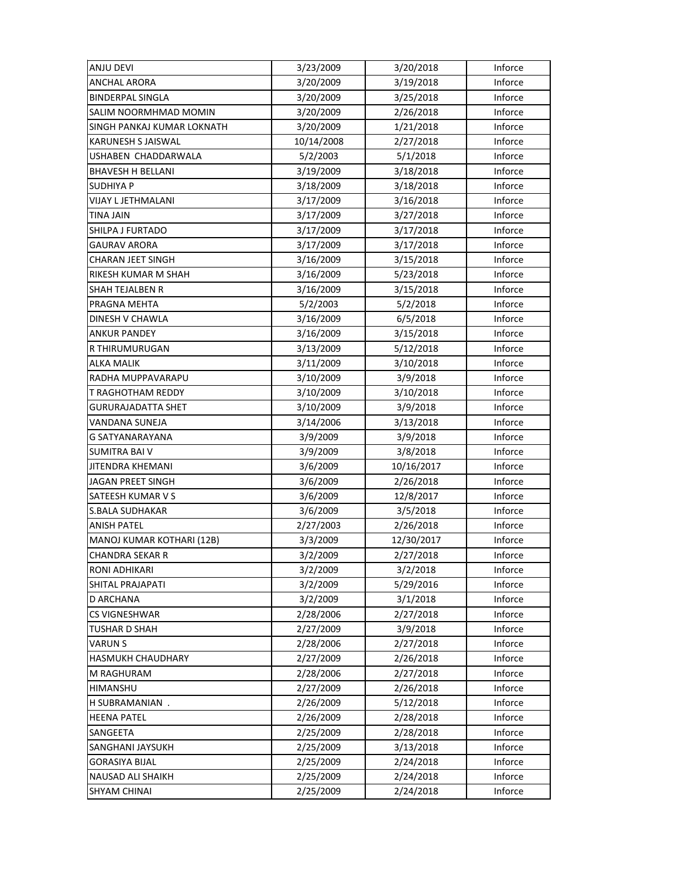| <b>ANJU DEVI</b>           | 3/23/2009  | 3/20/2018  | Inforce |
|----------------------------|------------|------------|---------|
| <b>ANCHAL ARORA</b>        | 3/20/2009  | 3/19/2018  | Inforce |
| <b>BINDERPAL SINGLA</b>    | 3/20/2009  | 3/25/2018  | Inforce |
| SALIM NOORMHMAD MOMIN      | 3/20/2009  | 2/26/2018  | Inforce |
| SINGH PANKAJ KUMAR LOKNATH | 3/20/2009  | 1/21/2018  | Inforce |
| KARUNESH S JAISWAL         | 10/14/2008 | 2/27/2018  | Inforce |
| USHABEN CHADDARWALA        | 5/2/2003   | 5/1/2018   | Inforce |
| <b>BHAVESH H BELLANI</b>   | 3/19/2009  | 3/18/2018  | Inforce |
| SUDHIYA P                  | 3/18/2009  | 3/18/2018  | Inforce |
| <b>VIJAY L JETHMALANI</b>  | 3/17/2009  | 3/16/2018  | Inforce |
| TINA JAIN                  | 3/17/2009  | 3/27/2018  | Inforce |
| SHILPA J FURTADO           | 3/17/2009  | 3/17/2018  | Inforce |
| <b>GAURAV ARORA</b>        | 3/17/2009  | 3/17/2018  | Inforce |
| CHARAN JEET SINGH          | 3/16/2009  | 3/15/2018  | Inforce |
| RIKESH KUMAR M SHAH        | 3/16/2009  | 5/23/2018  | Inforce |
| <b>SHAH TEJALBEN R</b>     | 3/16/2009  | 3/15/2018  | Inforce |
| PRAGNA MEHTA               | 5/2/2003   | 5/2/2018   | Inforce |
| DINESH V CHAWLA            | 3/16/2009  | 6/5/2018   | Inforce |
| <b>ANKUR PANDEY</b>        | 3/16/2009  | 3/15/2018  | Inforce |
| R THIRUMURUGAN             | 3/13/2009  | 5/12/2018  | Inforce |
| ALKA MALIK                 | 3/11/2009  | 3/10/2018  | Inforce |
| RADHA MUPPAVARAPU          | 3/10/2009  | 3/9/2018   | Inforce |
| T RAGHOTHAM REDDY          | 3/10/2009  | 3/10/2018  | Inforce |
| GURURAJADATTA SHET         | 3/10/2009  | 3/9/2018   | Inforce |
| VANDANA SUNEJA             | 3/14/2006  | 3/13/2018  | Inforce |
| G SATYANARAYANA            | 3/9/2009   | 3/9/2018   | Inforce |
| <b>SUMITRA BAI V</b>       | 3/9/2009   | 3/8/2018   | Inforce |
| JITENDRA KHEMANI           | 3/6/2009   | 10/16/2017 | Inforce |
| JAGAN PREET SINGH          | 3/6/2009   | 2/26/2018  | Inforce |
| SATEESH KUMAR V S          | 3/6/2009   | 12/8/2017  | Inforce |
| <b>S.BALA SUDHAKAR</b>     | 3/6/2009   | 3/5/2018   | Inforce |
| <b>ANISH PATEL</b>         | 2/27/2003  | 2/26/2018  | Inforce |
| MANOJ KUMAR KOTHARI (12B)  | 3/3/2009   | 12/30/2017 | Inforce |
| <b>CHANDRA SEKAR R</b>     | 3/2/2009   | 2/27/2018  | Inforce |
| RONI ADHIKARI              | 3/2/2009   | 3/2/2018   | Inforce |
| SHITAL PRAJAPATI           | 3/2/2009   | 5/29/2016  | Inforce |
| D ARCHANA                  | 3/2/2009   | 3/1/2018   | Inforce |
| CS VIGNESHWAR              | 2/28/2006  | 2/27/2018  | Inforce |
| TUSHAR D SHAH              | 2/27/2009  | 3/9/2018   | Inforce |
| <b>VARUN S</b>             | 2/28/2006  | 2/27/2018  | Inforce |
| HASMUKH CHAUDHARY          | 2/27/2009  | 2/26/2018  | Inforce |
| M RAGHURAM                 | 2/28/2006  | 2/27/2018  | Inforce |
| HIMANSHU                   | 2/27/2009  | 2/26/2018  | Inforce |
| H SUBRAMANIAN.             | 2/26/2009  | 5/12/2018  | Inforce |
| <b>HEENA PATEL</b>         | 2/26/2009  | 2/28/2018  | Inforce |
| SANGEETA                   | 2/25/2009  | 2/28/2018  | Inforce |
| SANGHANI JAYSUKH           | 2/25/2009  | 3/13/2018  | Inforce |
| <b>GORASIYA BIJAL</b>      | 2/25/2009  | 2/24/2018  | Inforce |
| <b>NAUSAD ALI SHAIKH</b>   | 2/25/2009  | 2/24/2018  | Inforce |
| SHYAM CHINAI               | 2/25/2009  | 2/24/2018  | Inforce |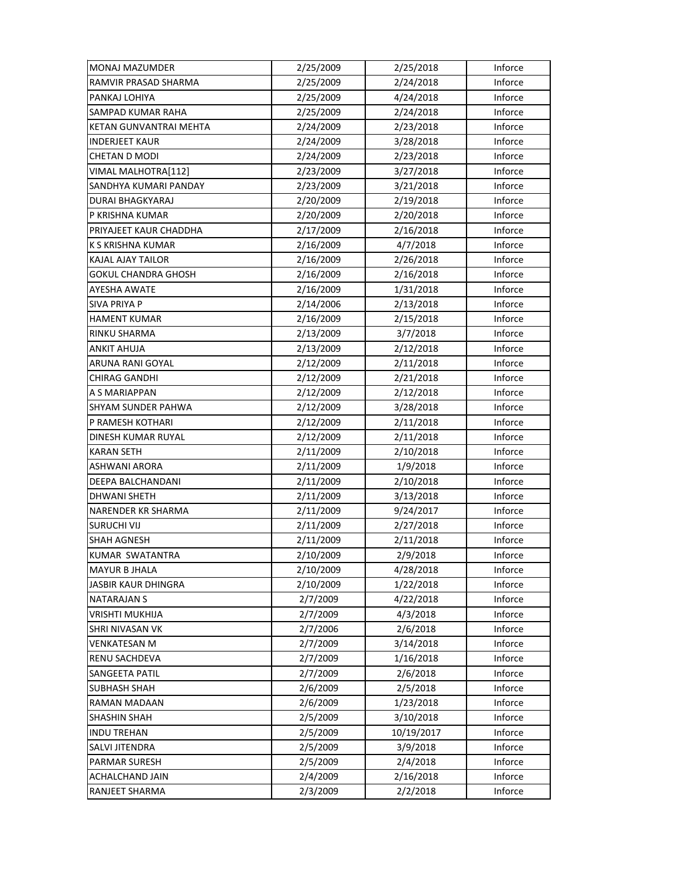| MONAJ MAZUMDER             | 2/25/2009 | 2/25/2018  | Inforce |
|----------------------------|-----------|------------|---------|
| RAMVIR PRASAD SHARMA       | 2/25/2009 | 2/24/2018  | Inforce |
| PANKAJ LOHIYA              | 2/25/2009 | 4/24/2018  | Inforce |
| SAMPAD KUMAR RAHA          | 2/25/2009 | 2/24/2018  | Inforce |
| KETAN GUNVANTRAI MEHTA     | 2/24/2009 | 2/23/2018  | Inforce |
| <b>INDERJEET KAUR</b>      | 2/24/2009 | 3/28/2018  | Inforce |
| <b>CHETAN D MODI</b>       | 2/24/2009 | 2/23/2018  | Inforce |
| VIMAL MALHOTRA[112]        | 2/23/2009 | 3/27/2018  | Inforce |
| SANDHYA KUMARI PANDAY      | 2/23/2009 | 3/21/2018  | Inforce |
| <b>DURAI BHAGKYARAJ</b>    | 2/20/2009 | 2/19/2018  | Inforce |
| P KRISHNA KUMAR            | 2/20/2009 | 2/20/2018  | Inforce |
| PRIYAJEET KAUR CHADDHA     | 2/17/2009 | 2/16/2018  | Inforce |
| K S KRISHNA KUMAR          | 2/16/2009 | 4/7/2018   | Inforce |
| KAJAL AJAY TAILOR          | 2/16/2009 | 2/26/2018  | Inforce |
| GOKUL CHANDRA GHOSH        | 2/16/2009 | 2/16/2018  | Inforce |
| AYESHA AWATE               | 2/16/2009 | 1/31/2018  | Inforce |
| <b>SIVA PRIYA P</b>        | 2/14/2006 | 2/13/2018  | Inforce |
| <b>HAMENT KUMAR</b>        | 2/16/2009 | 2/15/2018  | Inforce |
| RINKU SHARMA               | 2/13/2009 | 3/7/2018   | Inforce |
| <b>ANKIT AHUJA</b>         | 2/13/2009 | 2/12/2018  | Inforce |
| ARUNA RANI GOYAL           | 2/12/2009 | 2/11/2018  | Inforce |
| <b>CHIRAG GANDHI</b>       | 2/12/2009 | 2/21/2018  | Inforce |
| A S MARIAPPAN              | 2/12/2009 | 2/12/2018  | Inforce |
| SHYAM SUNDER PAHWA         | 2/12/2009 | 3/28/2018  | Inforce |
| P RAMESH KOTHARI           | 2/12/2009 | 2/11/2018  | Inforce |
| DINESH KUMAR RUYAL         | 2/12/2009 | 2/11/2018  | Inforce |
| <b>KARAN SETH</b>          | 2/11/2009 | 2/10/2018  | Inforce |
| ASHWANI ARORA              | 2/11/2009 | 1/9/2018   | Inforce |
| DEEPA BALCHANDANI          | 2/11/2009 | 2/10/2018  | Inforce |
| <b>DHWANI SHETH</b>        | 2/11/2009 | 3/13/2018  | Inforce |
| <b>NARENDER KR SHARMA</b>  | 2/11/2009 | 9/24/2017  | Inforce |
| <b>SURUCHI VIJ</b>         | 2/11/2009 | 2/27/2018  | Inforce |
| <b>SHAH AGNESH</b>         | 2/11/2009 | 2/11/2018  | Inforce |
| KUMAR SWATANTRA            | 2/10/2009 | 2/9/2018   | Inforce |
| <b>MAYUR B JHALA</b>       | 2/10/2009 | 4/28/2018  | Inforce |
| <b>JASBIR KAUR DHINGRA</b> | 2/10/2009 | 1/22/2018  | Inforce |
| <b>NATARAJAN S</b>         | 2/7/2009  | 4/22/2018  | Inforce |
| <b>VRISHTI MUKHIJA</b>     | 2/7/2009  | 4/3/2018   | Inforce |
| <b>SHRI NIVASAN VK</b>     | 2/7/2006  | 2/6/2018   | Inforce |
| <b>VENKATESAN M</b>        | 2/7/2009  | 3/14/2018  | Inforce |
| RENU SACHDEVA              | 2/7/2009  | 1/16/2018  | Inforce |
| SANGEETA PATIL             | 2/7/2009  | 2/6/2018   | Inforce |
| <b>SUBHASH SHAH</b>        | 2/6/2009  | 2/5/2018   | Inforce |
| RAMAN MADAAN               | 2/6/2009  | 1/23/2018  | Inforce |
| SHASHIN SHAH               | 2/5/2009  | 3/10/2018  | Inforce |
| <b>INDU TREHAN</b>         | 2/5/2009  | 10/19/2017 | Inforce |
| SALVI JITENDRA             | 2/5/2009  | 3/9/2018   | Inforce |
| PARMAR SURESH              | 2/5/2009  | 2/4/2018   | Inforce |
| ACHALCHAND JAIN            | 2/4/2009  | 2/16/2018  | Inforce |
| RANJEET SHARMA             | 2/3/2009  | 2/2/2018   | Inforce |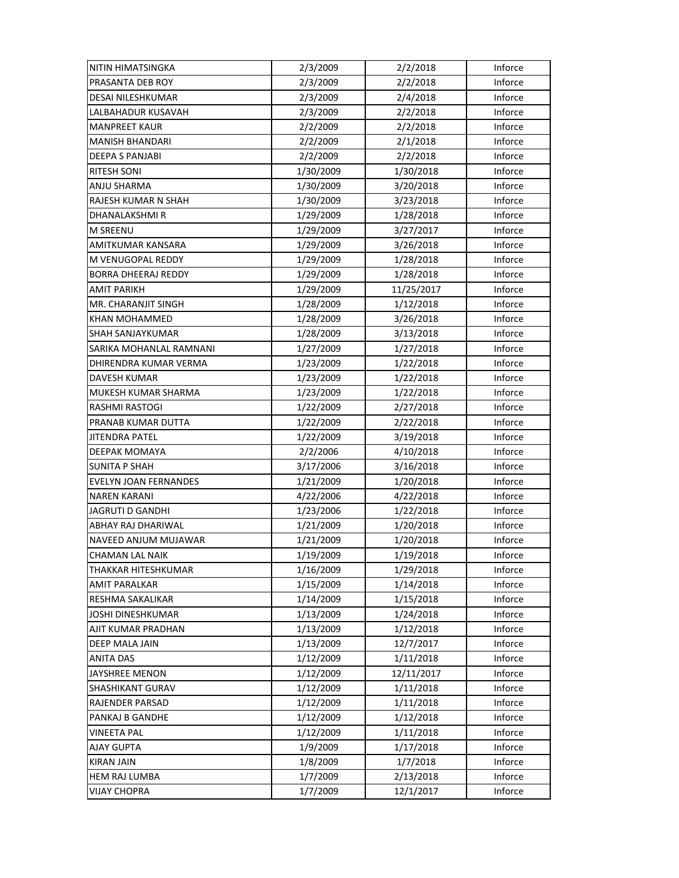| NITIN HIMATSINGKA            | 2/3/2009  | 2/2/2018   | Inforce |
|------------------------------|-----------|------------|---------|
| PRASANTA DEB ROY             | 2/3/2009  | 2/2/2018   | Inforce |
| <b>DESAI NILESHKUMAR</b>     | 2/3/2009  | 2/4/2018   | Inforce |
| LALBAHADUR KUSAVAH           | 2/3/2009  | 2/2/2018   | Inforce |
| <b>MANPREET KAUR</b>         | 2/2/2009  | 2/2/2018   | Inforce |
| <b>MANISH BHANDARI</b>       | 2/2/2009  | 2/1/2018   | Inforce |
| <b>DEEPA S PANJABI</b>       | 2/2/2009  | 2/2/2018   | Inforce |
| <b>RITESH SONI</b>           | 1/30/2009 | 1/30/2018  | Inforce |
| ANJU SHARMA                  | 1/30/2009 | 3/20/2018  | Inforce |
| RAJESH KUMAR N SHAH          | 1/30/2009 | 3/23/2018  | Inforce |
| DHANALAKSHMI R               | 1/29/2009 | 1/28/2018  | Inforce |
| <b>M SREENU</b>              | 1/29/2009 | 3/27/2017  | Inforce |
| AMITKUMAR KANSARA            | 1/29/2009 | 3/26/2018  | Inforce |
| M VENUGOPAL REDDY            | 1/29/2009 | 1/28/2018  | Inforce |
| <b>BORRA DHEERAJ REDDY</b>   | 1/29/2009 | 1/28/2018  | Inforce |
| <b>AMIT PARIKH</b>           | 1/29/2009 | 11/25/2017 | Inforce |
| MR. CHARANJIT SINGH          | 1/28/2009 | 1/12/2018  | Inforce |
| <b>KHAN MOHAMMED</b>         | 1/28/2009 | 3/26/2018  | Inforce |
| SHAH SANJAYKUMAR             | 1/28/2009 | 3/13/2018  | Inforce |
| SARIKA MOHANLAL RAMNANI      | 1/27/2009 | 1/27/2018  | Inforce |
| DHIRENDRA KUMAR VERMA        | 1/23/2009 | 1/22/2018  | Inforce |
| DAVESH KUMAR                 | 1/23/2009 | 1/22/2018  | Inforce |
| MUKESH KUMAR SHARMA          | 1/23/2009 | 1/22/2018  | Inforce |
| <b>RASHMI RASTOGI</b>        | 1/22/2009 | 2/27/2018  | Inforce |
| PRANAB KUMAR DUTTA           | 1/22/2009 | 2/22/2018  | Inforce |
| <b>JITENDRA PATEL</b>        | 1/22/2009 | 3/19/2018  | Inforce |
| DEEPAK MOMAYA                | 2/2/2006  | 4/10/2018  | Inforce |
| <b>SUNITA P SHAH</b>         | 3/17/2006 | 3/16/2018  | Inforce |
| <b>EVELYN JOAN FERNANDES</b> | 1/21/2009 | 1/20/2018  | Inforce |
| <b>NAREN KARANI</b>          | 4/22/2006 | 4/22/2018  | Inforce |
| <b>JAGRUTI D GANDHI</b>      | 1/23/2006 | 1/22/2018  | Inforce |
| ABHAY RAJ DHARIWAL           | 1/21/2009 | 1/20/2018  | Inforce |
| NAVEED ANJUM MUJAWAR         | 1/21/2009 | 1/20/2018  | Inforce |
| <b>CHAMAN LAL NAIK</b>       | 1/19/2009 | 1/19/2018  | Inforce |
| THAKKAR HITESHKUMAR          | 1/16/2009 | 1/29/2018  | Inforce |
| AMIT PARALKAR                | 1/15/2009 | 1/14/2018  | Inforce |
| RESHMA SAKALIKAR             | 1/14/2009 | 1/15/2018  | Inforce |
| <b>JOSHI DINESHKUMAR</b>     | 1/13/2009 | 1/24/2018  | Inforce |
| AJIT KUMAR PRADHAN           | 1/13/2009 | 1/12/2018  | Inforce |
| DEEP MALA JAIN               | 1/13/2009 | 12/7/2017  | Inforce |
| <b>ANITA DAS</b>             | 1/12/2009 | 1/11/2018  | Inforce |
| JAYSHREE MENON               | 1/12/2009 | 12/11/2017 | Inforce |
| <b>SHASHIKANT GURAV</b>      | 1/12/2009 | 1/11/2018  | Inforce |
| <b>RAJENDER PARSAD</b>       | 1/12/2009 | 1/11/2018  | Inforce |
| PANKAJ B GANDHE              | 1/12/2009 | 1/12/2018  | Inforce |
| VINEETA PAL                  | 1/12/2009 | 1/11/2018  | Inforce |
| AJAY GUPTA                   | 1/9/2009  | 1/17/2018  | Inforce |
| <b>KIRAN JAIN</b>            | 1/8/2009  | 1/7/2018   | Inforce |
| <b>HEM RAJ LUMBA</b>         | 1/7/2009  | 2/13/2018  | Inforce |
| <b>VIJAY CHOPRA</b>          | 1/7/2009  | 12/1/2017  | Inforce |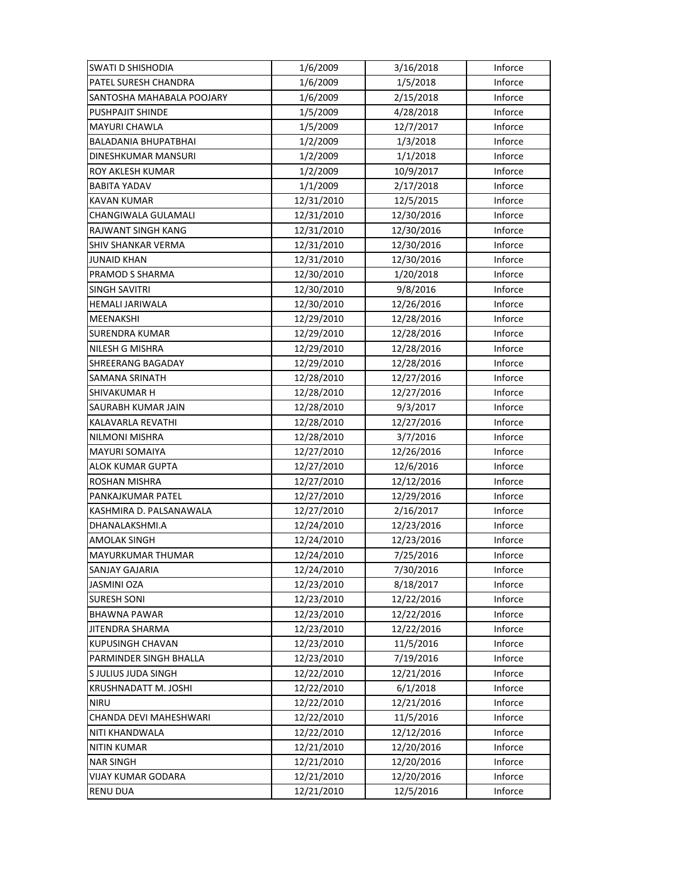| <b>SWATI D SHISHODIA</b>    | 1/6/2009   | 3/16/2018  | Inforce |
|-----------------------------|------------|------------|---------|
| PATEL SURESH CHANDRA        | 1/6/2009   | 1/5/2018   | Inforce |
| SANTOSHA MAHABALA POOJARY   | 1/6/2009   | 2/15/2018  | Inforce |
| PUSHPAJIT SHINDE            | 1/5/2009   | 4/28/2018  | Inforce |
| MAYURI CHAWLA               | 1/5/2009   | 12/7/2017  | Inforce |
| <b>BALADANIA BHUPATBHAI</b> | 1/2/2009   | 1/3/2018   | Inforce |
| DINESHKUMAR MANSURI         | 1/2/2009   | 1/1/2018   | Inforce |
| <b>ROY AKLESH KUMAR</b>     | 1/2/2009   | 10/9/2017  | Inforce |
| <b>BABITA YADAV</b>         | 1/1/2009   | 2/17/2018  | Inforce |
| <b>KAVAN KUMAR</b>          | 12/31/2010 | 12/5/2015  | Inforce |
| CHANGIWALA GULAMALI         | 12/31/2010 | 12/30/2016 | Inforce |
| RAJWANT SINGH KANG          | 12/31/2010 | 12/30/2016 | Inforce |
| SHIV SHANKAR VERMA          | 12/31/2010 | 12/30/2016 | Inforce |
| <b>JUNAID KHAN</b>          | 12/31/2010 | 12/30/2016 | Inforce |
| PRAMOD S SHARMA             | 12/30/2010 | 1/20/2018  | Inforce |
| <b>SINGH SAVITRI</b>        | 12/30/2010 | 9/8/2016   | Inforce |
| <b>HEMALI JARIWALA</b>      | 12/30/2010 | 12/26/2016 | Inforce |
| <b>MEENAKSHI</b>            | 12/29/2010 | 12/28/2016 | Inforce |
| SURENDRA KUMAR              | 12/29/2010 | 12/28/2016 | Inforce |
| NILESH G MISHRA             | 12/29/2010 | 12/28/2016 | Inforce |
| SHREERANG BAGADAY           | 12/29/2010 | 12/28/2016 | Inforce |
| SAMANA SRINATH              | 12/28/2010 | 12/27/2016 | Inforce |
| SHIVAKUMAR H                | 12/28/2010 | 12/27/2016 | Inforce |
| SAURABH KUMAR JAIN          | 12/28/2010 | 9/3/2017   | Inforce |
| KALAVARLA REVATHI           | 12/28/2010 | 12/27/2016 | Inforce |
| NILMONI MISHRA              | 12/28/2010 | 3/7/2016   | Inforce |
| <b>MAYURI SOMAIYA</b>       | 12/27/2010 | 12/26/2016 | Inforce |
| ALOK KUMAR GUPTA            | 12/27/2010 | 12/6/2016  | Inforce |
| ROSHAN MISHRA               | 12/27/2010 | 12/12/2016 | Inforce |
| PANKAJKUMAR PATEL           | 12/27/2010 | 12/29/2016 | Inforce |
| KASHMIRA D. PALSANAWALA     | 12/27/2010 | 2/16/2017  | Inforce |
| DHANALAKSHMI.A              | 12/24/2010 | 12/23/2016 | Inforce |
| <b>AMOLAK SINGH</b>         | 12/24/2010 | 12/23/2016 | Inforce |
| MAYURKUMAR THUMAR           | 12/24/2010 | 7/25/2016  | Inforce |
| SANJAY GAJARIA              | 12/24/2010 | 7/30/2016  | Inforce |
| <b>JASMINI OZA</b>          | 12/23/2010 | 8/18/2017  | Inforce |
| <b>SURESH SONI</b>          | 12/23/2010 | 12/22/2016 | Inforce |
| <b>BHAWNA PAWAR</b>         | 12/23/2010 | 12/22/2016 | Inforce |
| <b>JITENDRA SHARMA</b>      | 12/23/2010 | 12/22/2016 | Inforce |
| <b>KUPUSINGH CHAVAN</b>     | 12/23/2010 | 11/5/2016  | Inforce |
| PARMINDER SINGH BHALLA      | 12/23/2010 | 7/19/2016  | Inforce |
| S JULIUS JUDA SINGH         | 12/22/2010 | 12/21/2016 | Inforce |
| KRUSHNADATT M. JOSHI        | 12/22/2010 | 6/1/2018   | Inforce |
| <b>NIRU</b>                 | 12/22/2010 | 12/21/2016 | Inforce |
| CHANDA DEVI MAHESHWARI      | 12/22/2010 | 11/5/2016  | Inforce |
| NITI KHANDWALA              | 12/22/2010 | 12/12/2016 | Inforce |
| <b>NITIN KUMAR</b>          | 12/21/2010 | 12/20/2016 | Inforce |
| <b>NAR SINGH</b>            | 12/21/2010 | 12/20/2016 | Inforce |
| <b>VIJAY KUMAR GODARA</b>   | 12/21/2010 | 12/20/2016 | Inforce |
| <b>RENU DUA</b>             | 12/21/2010 | 12/5/2016  | Inforce |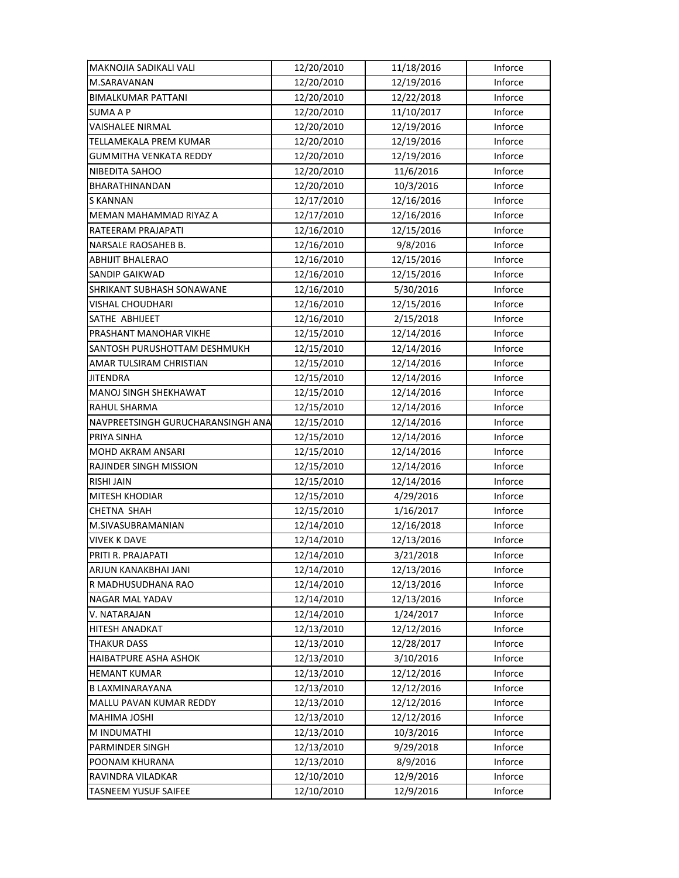| MAKNOJIA SADIKALI VALI            | 12/20/2010 | 11/18/2016 | Inforce |
|-----------------------------------|------------|------------|---------|
| M.SARAVANAN                       | 12/20/2010 | 12/19/2016 | Inforce |
| <b>BIMALKUMAR PATTANI</b>         | 12/20/2010 | 12/22/2018 | Inforce |
| <b>SUMA A P</b>                   | 12/20/2010 | 11/10/2017 | Inforce |
| VAISHALEE NIRMAL                  | 12/20/2010 | 12/19/2016 | Inforce |
| TELLAMEKALA PREM KUMAR            | 12/20/2010 | 12/19/2016 | Inforce |
| <b>GUMMITHA VENKATA REDDY</b>     | 12/20/2010 | 12/19/2016 | Inforce |
| NIBEDITA SAHOO                    | 12/20/2010 | 11/6/2016  | Inforce |
| BHARATHINANDAN                    | 12/20/2010 | 10/3/2016  | Inforce |
| S KANNAN                          | 12/17/2010 | 12/16/2016 | Inforce |
| MEMAN MAHAMMAD RIYAZ A            | 12/17/2010 | 12/16/2016 | Inforce |
| RATEERAM PRAJAPATI                | 12/16/2010 | 12/15/2016 | Inforce |
| NARSALE RAOSAHEB B.               | 12/16/2010 | 9/8/2016   | Inforce |
| ABHIJIT BHALERAO                  | 12/16/2010 | 12/15/2016 | Inforce |
| <b>SANDIP GAIKWAD</b>             | 12/16/2010 | 12/15/2016 | Inforce |
| SHRIKANT SUBHASH SONAWANE         | 12/16/2010 | 5/30/2016  | Inforce |
| VISHAL CHOUDHARI                  | 12/16/2010 | 12/15/2016 | Inforce |
| SATHE ABHIJEET                    | 12/16/2010 | 2/15/2018  | Inforce |
| PRASHANT MANOHAR VIKHE            | 12/15/2010 | 12/14/2016 | Inforce |
| SANTOSH PURUSHOTTAM DESHMUKH      | 12/15/2010 | 12/14/2016 | Inforce |
| AMAR TULSIRAM CHRISTIAN           | 12/15/2010 | 12/14/2016 | Inforce |
| <b>JITENDRA</b>                   | 12/15/2010 | 12/14/2016 | Inforce |
| MANOJ SINGH SHEKHAWAT             | 12/15/2010 | 12/14/2016 | Inforce |
| RAHUL SHARMA                      | 12/15/2010 | 12/14/2016 | Inforce |
| NAVPREETSINGH GURUCHARANSINGH ANA | 12/15/2010 | 12/14/2016 | Inforce |
| PRIYA SINHA                       | 12/15/2010 | 12/14/2016 | Inforce |
| MOHD AKRAM ANSARI                 | 12/15/2010 | 12/14/2016 | Inforce |
| RAJINDER SINGH MISSION            | 12/15/2010 | 12/14/2016 | Inforce |
| <b>RISHI JAIN</b>                 | 12/15/2010 | 12/14/2016 | Inforce |
| <b>MITESH KHODIAR</b>             | 12/15/2010 | 4/29/2016  | Inforce |
| <b>CHETNA SHAH</b>                | 12/15/2010 | 1/16/2017  | Inforce |
| M.SIVASUBRAMANIAN                 | 12/14/2010 | 12/16/2018 | Inforce |
| <b>VIVEK K DAVE</b>               | 12/14/2010 | 12/13/2016 | Inforce |
| PRITI R. PRAJAPATI                | 12/14/2010 | 3/21/2018  | Inforce |
| ARJUN KANAKBHAI JANI              | 12/14/2010 | 12/13/2016 | Inforce |
| R MADHUSUDHANA RAO                | 12/14/2010 | 12/13/2016 | Inforce |
| NAGAR MAL YADAV                   | 12/14/2010 | 12/13/2016 | Inforce |
| V. NATARAJAN                      | 12/14/2010 | 1/24/2017  | Inforce |
| HITESH ANADKAT                    | 12/13/2010 | 12/12/2016 | Inforce |
| <b>THAKUR DASS</b>                | 12/13/2010 | 12/28/2017 | Inforce |
| HAIBATPURE ASHA ASHOK             | 12/13/2010 | 3/10/2016  | Inforce |
| <b>HEMANT KUMAR</b>               | 12/13/2010 | 12/12/2016 | Inforce |
| <b>B LAXMINARAYANA</b>            | 12/13/2010 | 12/12/2016 | Inforce |
| MALLU PAVAN KUMAR REDDY           | 12/13/2010 | 12/12/2016 | Inforce |
| MAHIMA JOSHI                      | 12/13/2010 | 12/12/2016 | Inforce |
| M INDUMATHI                       | 12/13/2010 | 10/3/2016  | Inforce |
| PARMINDER SINGH                   | 12/13/2010 | 9/29/2018  | Inforce |
| POONAM KHURANA                    | 12/13/2010 | 8/9/2016   | Inforce |
| RAVINDRA VILADKAR                 | 12/10/2010 | 12/9/2016  | Inforce |
| TASNEEM YUSUF SAIFEE              | 12/10/2010 | 12/9/2016  | Inforce |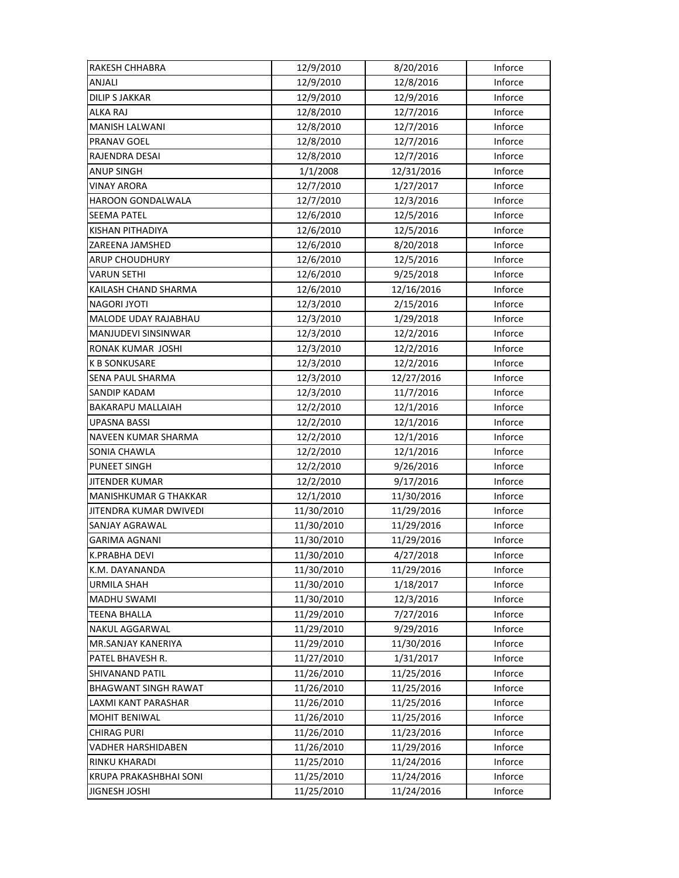| RAKESH CHHABRA              | 12/9/2010  | 8/20/2016  | Inforce |
|-----------------------------|------------|------------|---------|
| ANJALI                      | 12/9/2010  | 12/8/2016  | Inforce |
| <b>DILIP S JAKKAR</b>       | 12/9/2010  | 12/9/2016  | Inforce |
| <b>ALKA RAJ</b>             | 12/8/2010  | 12/7/2016  | Inforce |
| MANISH LALWANI              | 12/8/2010  | 12/7/2016  | Inforce |
| PRANAV GOEL                 | 12/8/2010  | 12/7/2016  | Inforce |
| RAJENDRA DESAI              | 12/8/2010  | 12/7/2016  | Inforce |
| <b>ANUP SINGH</b>           | 1/1/2008   | 12/31/2016 | Inforce |
| VINAY ARORA                 | 12/7/2010  | 1/27/2017  | Inforce |
| HAROON GONDALWALA           | 12/7/2010  | 12/3/2016  | Inforce |
| <b>SEEMA PATEL</b>          | 12/6/2010  | 12/5/2016  | Inforce |
| KISHAN PITHADIYA            | 12/6/2010  | 12/5/2016  | Inforce |
| ZAREENA JAMSHED             | 12/6/2010  | 8/20/2018  | Inforce |
| <b>ARUP CHOUDHURY</b>       | 12/6/2010  | 12/5/2016  | Inforce |
| <b>VARUN SETHI</b>          | 12/6/2010  | 9/25/2018  | Inforce |
| KAILASH CHAND SHARMA        | 12/6/2010  | 12/16/2016 | Inforce |
| <b>NAGORI JYOTI</b>         | 12/3/2010  | 2/15/2016  | Inforce |
| MALODE UDAY RAJABHAU        | 12/3/2010  | 1/29/2018  | Inforce |
| MANJUDEVI SINSINWAR         | 12/3/2010  | 12/2/2016  | Inforce |
| RONAK KUMAR JOSHI           | 12/3/2010  | 12/2/2016  | Inforce |
| <b>K B SONKUSARE</b>        | 12/3/2010  | 12/2/2016  | Inforce |
| SENA PAUL SHARMA            | 12/3/2010  | 12/27/2016 | Inforce |
| SANDIP KADAM                | 12/3/2010  | 11/7/2016  | Inforce |
| <b>BAKARAPU MALLAIAH</b>    | 12/2/2010  | 12/1/2016  | Inforce |
| <b>UPASNA BASSI</b>         | 12/2/2010  | 12/1/2016  | Inforce |
| NAVEEN KUMAR SHARMA         | 12/2/2010  | 12/1/2016  | Inforce |
| SONIA CHAWLA                | 12/2/2010  | 12/1/2016  | Inforce |
| PUNEET SINGH                | 12/2/2010  | 9/26/2016  | Inforce |
| JITENDER KUMAR              | 12/2/2010  | 9/17/2016  | Inforce |
| MANISHKUMAR G THAKKAR       | 12/1/2010  | 11/30/2016 | Inforce |
| JITENDRA KUMAR DWIVEDI      | 11/30/2010 | 11/29/2016 | Inforce |
| SANJAY AGRAWAL              | 11/30/2010 | 11/29/2016 | Inforce |
| <b>GARIMA AGNANI</b>        | 11/30/2010 | 11/29/2016 | Inforce |
| K.PRABHA DEVI               | 11/30/2010 | 4/27/2018  | Inforce |
| K.M. DAYANANDA              | 11/30/2010 | 11/29/2016 | Inforce |
| <b>URMILA SHAH</b>          | 11/30/2010 | 1/18/2017  | Inforce |
| <b>MADHU SWAMI</b>          | 11/30/2010 | 12/3/2016  | Inforce |
| <b>TEENA BHALLA</b>         | 11/29/2010 | 7/27/2016  | Inforce |
| <b>NAKUL AGGARWAL</b>       | 11/29/2010 | 9/29/2016  | Inforce |
| MR.SANJAY KANERIYA          | 11/29/2010 | 11/30/2016 | Inforce |
| PATEL BHAVESH R.            | 11/27/2010 | 1/31/2017  | Inforce |
| SHIVANAND PATIL             | 11/26/2010 | 11/25/2016 | Inforce |
| <b>BHAGWANT SINGH RAWAT</b> | 11/26/2010 | 11/25/2016 | Inforce |
| LAXMI KANT PARASHAR         | 11/26/2010 | 11/25/2016 | Inforce |
| MOHIT BENIWAL               | 11/26/2010 | 11/25/2016 | Inforce |
| CHIRAG PURI                 | 11/26/2010 | 11/23/2016 | Inforce |
| VADHER HARSHIDABEN          | 11/26/2010 | 11/29/2016 | Inforce |
| RINKU KHARADI               | 11/25/2010 | 11/24/2016 | Inforce |
| KRUPA PRAKASHBHAI SONI      | 11/25/2010 | 11/24/2016 | Inforce |
| <b>JIGNESH JOSHI</b>        | 11/25/2010 | 11/24/2016 | Inforce |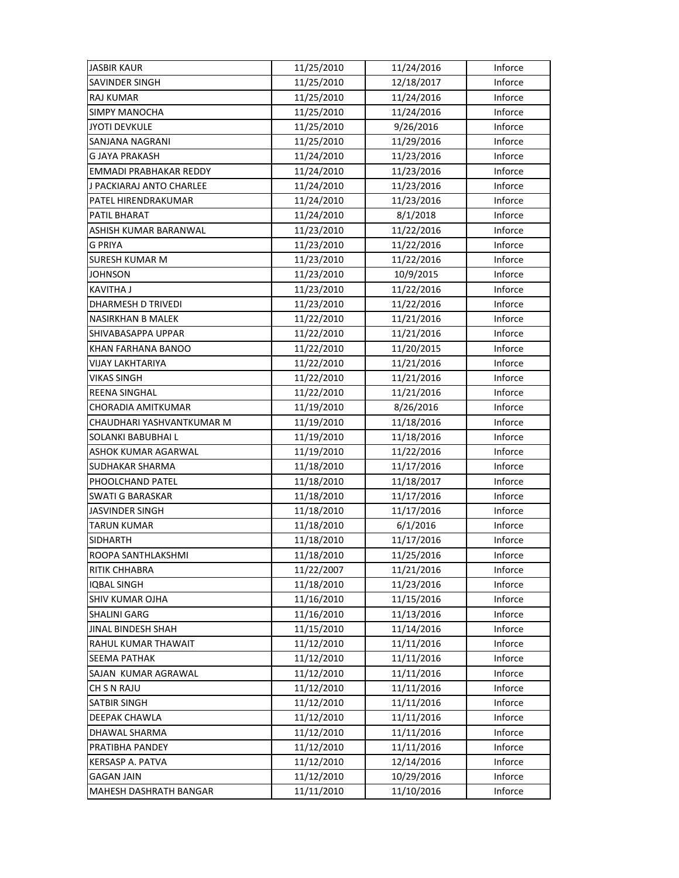| <b>JASBIR KAUR</b>         | 11/25/2010 | 11/24/2016 | Inforce |
|----------------------------|------------|------------|---------|
| <b>SAVINDER SINGH</b>      | 11/25/2010 | 12/18/2017 | Inforce |
| <b>RAJ KUMAR</b>           | 11/25/2010 | 11/24/2016 | Inforce |
| <b>SIMPY MANOCHA</b>       | 11/25/2010 | 11/24/2016 | Inforce |
| <b>JYOTI DEVKULE</b>       | 11/25/2010 | 9/26/2016  | Inforce |
| SANJANA NAGRANI            | 11/25/2010 | 11/29/2016 | Inforce |
| <b>G JAYA PRAKASH</b>      | 11/24/2010 | 11/23/2016 | Inforce |
| EMMADI PRABHAKAR REDDY     | 11/24/2010 | 11/23/2016 | Inforce |
| J PACKIARAJ ANTO CHARLEE   | 11/24/2010 | 11/23/2016 | Inforce |
| PATEL HIRENDRAKUMAR        | 11/24/2010 | 11/23/2016 | Inforce |
| PATIL BHARAT               | 11/24/2010 | 8/1/2018   | Inforce |
| ASHISH KUMAR BARANWAL      | 11/23/2010 | 11/22/2016 | Inforce |
| <b>G PRIYA</b>             | 11/23/2010 | 11/22/2016 | Inforce |
| <b>SURESH KUMAR M</b>      | 11/23/2010 | 11/22/2016 | Inforce |
| <b>JOHNSON</b>             | 11/23/2010 | 10/9/2015  | Inforce |
| <b>KAVITHA J</b>           | 11/23/2010 | 11/22/2016 | Inforce |
| <b>DHARMESH D TRIVEDI</b>  | 11/23/2010 | 11/22/2016 | Inforce |
| NASIRKHAN B MALEK          | 11/22/2010 | 11/21/2016 | Inforce |
| SHIVABASAPPA UPPAR         | 11/22/2010 | 11/21/2016 | Inforce |
| KHAN FARHANA BANOO         | 11/22/2010 | 11/20/2015 | Inforce |
| VIJAY LAKHTARIYA           | 11/22/2010 | 11/21/2016 | Inforce |
| VIKAS SINGH                | 11/22/2010 | 11/21/2016 | Inforce |
| REENA SINGHAL              | 11/22/2010 | 11/21/2016 | Inforce |
| CHORADIA AMITKUMAR         | 11/19/2010 | 8/26/2016  | Inforce |
| CHAUDHARI YASHVANTKUMAR M  | 11/19/2010 | 11/18/2016 | Inforce |
| SOLANKI BABUBHAI L         | 11/19/2010 | 11/18/2016 | Inforce |
| ASHOK KUMAR AGARWAL        | 11/19/2010 | 11/22/2016 | Inforce |
| SUDHAKAR SHARMA            | 11/18/2010 | 11/17/2016 | Inforce |
| PHOOLCHAND PATEL           | 11/18/2010 | 11/18/2017 | Inforce |
| <b>SWATI G BARASKAR</b>    | 11/18/2010 | 11/17/2016 | Inforce |
| <b>JASVINDER SINGH</b>     | 11/18/2010 | 11/17/2016 | Inforce |
| <b>TARUN KUMAR</b>         | 11/18/2010 | 6/1/2016   | Inforce |
| <b>SIDHARTH</b>            | 11/18/2010 | 11/17/2016 | Inforce |
| ROOPA SANTHLAKSHMI         | 11/18/2010 | 11/25/2016 | Inforce |
| <b>RITIK CHHABRA</b>       | 11/22/2007 | 11/21/2016 | Inforce |
| <b>IQBAL SINGH</b>         | 11/18/2010 | 11/23/2016 | Inforce |
| SHIV KUMAR OJHA            | 11/16/2010 | 11/15/2016 | Inforce |
| <b>SHALINI GARG</b>        | 11/16/2010 | 11/13/2016 | Inforce |
| <b>JINAL BINDESH SHAH</b>  | 11/15/2010 | 11/14/2016 | Inforce |
| <b>RAHUL KUMAR THAWAIT</b> | 11/12/2010 | 11/11/2016 | Inforce |
| <b>SEEMA PATHAK</b>        | 11/12/2010 | 11/11/2016 | Inforce |
| SAJAN KUMAR AGRAWAL        | 11/12/2010 | 11/11/2016 | Inforce |
| CH S N RAJU                | 11/12/2010 | 11/11/2016 | Inforce |
| <b>SATBIR SINGH</b>        | 11/12/2010 | 11/11/2016 | Inforce |
| DEEPAK CHAWLA              | 11/12/2010 | 11/11/2016 | Inforce |
| DHAWAL SHARMA              | 11/12/2010 | 11/11/2016 | Inforce |
| PRATIBHA PANDEY            | 11/12/2010 | 11/11/2016 | Inforce |
| KERSASP A. PATVA           | 11/12/2010 | 12/14/2016 | Inforce |
| <b>GAGAN JAIN</b>          | 11/12/2010 | 10/29/2016 | Inforce |
| MAHESH DASHRATH BANGAR     | 11/11/2010 | 11/10/2016 | Inforce |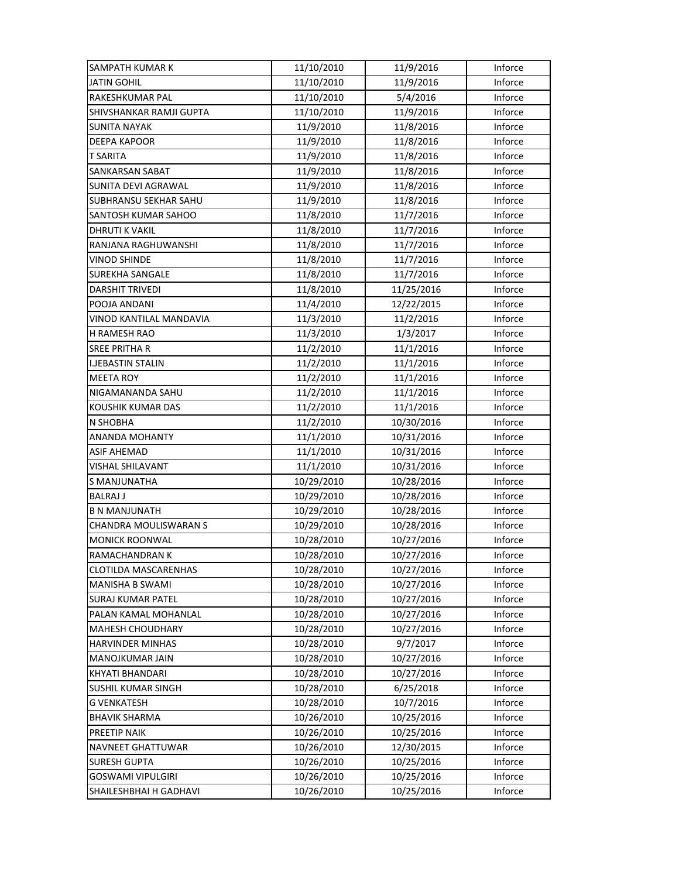| SAMPATH KUMAR K                | 11/10/2010 | 11/9/2016  | Inforce |
|--------------------------------|------------|------------|---------|
| <b>JATIN GOHIL</b>             | 11/10/2010 | 11/9/2016  | Inforce |
| <b>RAKESHKUMAR PAL</b>         | 11/10/2010 | 5/4/2016   | Inforce |
| SHIVSHANKAR RAMJI GUPTA        | 11/10/2010 | 11/9/2016  | Inforce |
| <b>SUNITA NAYAK</b>            | 11/9/2010  | 11/8/2016  | Inforce |
| <b>DEEPA KAPOOR</b>            | 11/9/2010  | 11/8/2016  | Inforce |
| <b>T SARITA</b>                | 11/9/2010  | 11/8/2016  | Inforce |
| SANKARSAN SABAT                | 11/9/2010  | 11/8/2016  | Inforce |
| SUNITA DEVI AGRAWAL            | 11/9/2010  | 11/8/2016  | Inforce |
| SUBHRANSU SEKHAR SAHU          | 11/9/2010  | 11/8/2016  | Inforce |
| SANTOSH KUMAR SAHOO            | 11/8/2010  | 11/7/2016  | Inforce |
| <b>DHRUTI K VAKIL</b>          | 11/8/2010  | 11/7/2016  | Inforce |
| RANJANA RAGHUWANSHI            | 11/8/2010  | 11/7/2016  | Inforce |
| VINOD SHINDE                   | 11/8/2010  | 11/7/2016  | Inforce |
| <b>SUREKHA SANGALE</b>         | 11/8/2010  | 11/7/2016  | Inforce |
| <b>DARSHIT TRIVEDI</b>         | 11/8/2010  | 11/25/2016 | Inforce |
| POOJA ANDANI                   | 11/4/2010  | 12/22/2015 | Inforce |
| <b>VINOD KANTILAL MANDAVIA</b> | 11/3/2010  | 11/2/2016  | Inforce |
| H RAMESH RAO                   | 11/3/2010  | 1/3/2017   | Inforce |
| <b>SREE PRITHA R</b>           | 11/2/2010  | 11/1/2016  | Inforce |
| <b>I.JEBASTIN STALIN</b>       | 11/2/2010  | 11/1/2016  | Inforce |
| <b>MEETA ROY</b>               | 11/2/2010  | 11/1/2016  | Inforce |
| NIGAMANANDA SAHU               | 11/2/2010  | 11/1/2016  | Inforce |
| KOUSHIK KUMAR DAS              | 11/2/2010  | 11/1/2016  | Inforce |
| <b>N SHOBHA</b>                | 11/2/2010  | 10/30/2016 | Inforce |
| <b>ANANDA MOHANTY</b>          | 11/1/2010  | 10/31/2016 | Inforce |
| <b>ASIF AHEMAD</b>             | 11/1/2010  | 10/31/2016 | Inforce |
| VISHAL SHILAVANT               | 11/1/2010  | 10/31/2016 | Inforce |
| S MANJUNATHA                   | 10/29/2010 | 10/28/2016 | Inforce |
| <b>BALRAJ J</b>                | 10/29/2010 | 10/28/2016 | Inforce |
| <b>B N MANJUNATH</b>           | 10/29/2010 | 10/28/2016 | Inforce |
| CHANDRA MOULISWARAN S          | 10/29/2010 | 10/28/2016 | Inforce |
| <b>MONICK ROONWAL</b>          | 10/28/2010 | 10/27/2016 | Inforce |
| RAMACHANDRAN K                 | 10/28/2010 | 10/27/2016 | Inforce |
| <b>CLOTILDA MASCARENHAS</b>    | 10/28/2010 | 10/27/2016 | Inforce |
| <b>MANISHA B SWAMI</b>         | 10/28/2010 | 10/27/2016 | Inforce |
| <b>SURAJ KUMAR PATEL</b>       | 10/28/2010 | 10/27/2016 | Inforce |
| PALAN KAMAL MOHANLAL           | 10/28/2010 | 10/27/2016 | Inforce |
| <b>MAHESH CHOUDHARY</b>        | 10/28/2010 | 10/27/2016 | Inforce |
| <b>HARVINDER MINHAS</b>        | 10/28/2010 | 9/7/2017   | Inforce |
| <b>MANOJKUMAR JAIN</b>         | 10/28/2010 | 10/27/2016 | Inforce |
| <b>KHYATI BHANDARI</b>         | 10/28/2010 | 10/27/2016 | Inforce |
| <b>SUSHIL KUMAR SINGH</b>      | 10/28/2010 | 6/25/2018  | Inforce |
| <b>G VENKATESH</b>             | 10/28/2010 | 10/7/2016  | Inforce |
| <b>BHAVIK SHARMA</b>           | 10/26/2010 | 10/25/2016 | Inforce |
| PREETIP NAIK                   | 10/26/2010 | 10/25/2016 | Inforce |
| NAVNEET GHATTUWAR              | 10/26/2010 | 12/30/2015 | Inforce |
| <b>SURESH GUPTA</b>            | 10/26/2010 | 10/25/2016 | Inforce |
| GOSWAMI VIPULGIRI              | 10/26/2010 | 10/25/2016 | Inforce |
| SHAILESHBHAI H GADHAVI         | 10/26/2010 | 10/25/2016 | Inforce |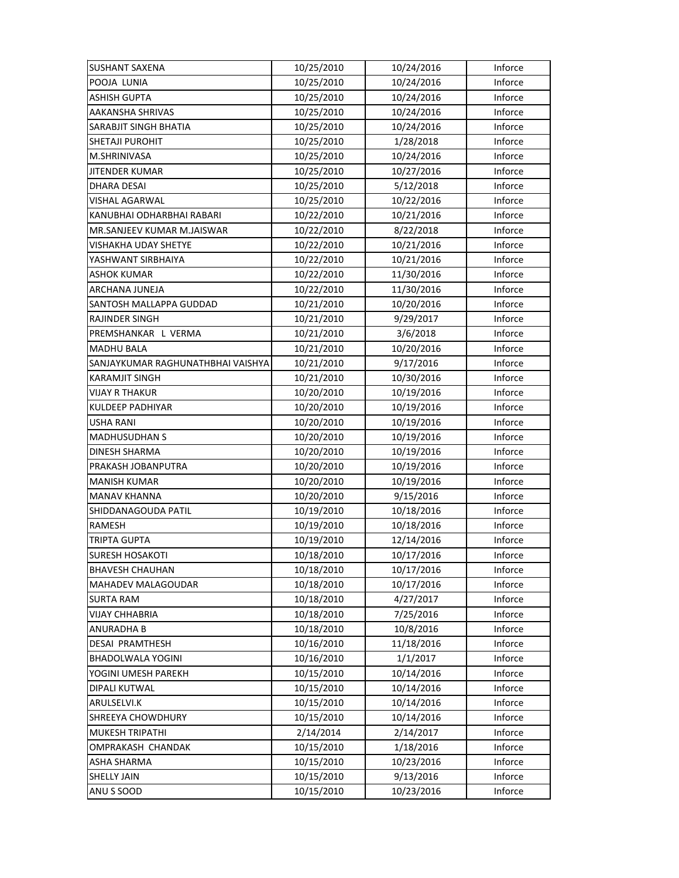| <b>SUSHANT SAXENA</b>             | 10/25/2010 | 10/24/2016 | Inforce |
|-----------------------------------|------------|------------|---------|
| POOJA LUNIA                       | 10/25/2010 | 10/24/2016 | Inforce |
| ASHISH GUPTA                      | 10/25/2010 | 10/24/2016 | Inforce |
| AAKANSHA SHRIVAS                  | 10/25/2010 | 10/24/2016 | Inforce |
| SARABJIT SINGH BHATIA             | 10/25/2010 | 10/24/2016 | Inforce |
| SHETAJI PUROHIT                   | 10/25/2010 | 1/28/2018  | Inforce |
| M.SHRINIVASA                      | 10/25/2010 | 10/24/2016 | Inforce |
| <b>JITENDER KUMAR</b>             | 10/25/2010 | 10/27/2016 | Inforce |
| <b>DHARA DESAI</b>                | 10/25/2010 | 5/12/2018  | Inforce |
| VISHAL AGARWAL                    | 10/25/2010 | 10/22/2016 | Inforce |
| KANUBHAI ODHARBHAI RABARI         | 10/22/2010 | 10/21/2016 | Inforce |
| MR.SANJEEV KUMAR M.JAISWAR        | 10/22/2010 | 8/22/2018  | Inforce |
| VISHAKHA UDAY SHETYE              | 10/22/2010 | 10/21/2016 | Inforce |
| YASHWANT SIRBHAIYA                | 10/22/2010 | 10/21/2016 | Inforce |
| ASHOK KUMAR                       | 10/22/2010 | 11/30/2016 | Inforce |
| ARCHANA JUNEJA                    | 10/22/2010 | 11/30/2016 | Inforce |
| SANTOSH MALLAPPA GUDDAD           | 10/21/2010 | 10/20/2016 | Inforce |
| <b>RAJINDER SINGH</b>             | 10/21/2010 | 9/29/2017  | Inforce |
| PREMSHANKAR L VERMA               | 10/21/2010 | 3/6/2018   | Inforce |
| <b>MADHU BALA</b>                 | 10/21/2010 | 10/20/2016 | Inforce |
| SANJAYKUMAR RAGHUNATHBHAI VAISHYA | 10/21/2010 | 9/17/2016  | Inforce |
| <b>KARAMJIT SINGH</b>             | 10/21/2010 | 10/30/2016 | Inforce |
| <b>VIJAY R THAKUR</b>             | 10/20/2010 | 10/19/2016 | Inforce |
| KULDEEP PADHIYAR                  | 10/20/2010 | 10/19/2016 | Inforce |
| <b>USHA RANI</b>                  | 10/20/2010 | 10/19/2016 | Inforce |
| <b>MADHUSUDHAN S</b>              | 10/20/2010 | 10/19/2016 | Inforce |
| <b>DINESH SHARMA</b>              | 10/20/2010 | 10/19/2016 | Inforce |
| PRAKASH JOBANPUTRA                | 10/20/2010 | 10/19/2016 | Inforce |
| <b>MANISH KUMAR</b>               | 10/20/2010 | 10/19/2016 | Inforce |
| <b>MANAV KHANNA</b>               | 10/20/2010 | 9/15/2016  | Inforce |
| SHIDDANAGOUDA PATIL               | 10/19/2010 | 10/18/2016 | Inforce |
| RAMESH                            | 10/19/2010 | 10/18/2016 | Inforce |
| <b>TRIPTA GUPTA</b>               | 10/19/2010 | 12/14/2016 | Inforce |
| <b>SURESH HOSAKOTI</b>            | 10/18/2010 | 10/17/2016 | Inforce |
| <b>BHAVESH CHAUHAN</b>            | 10/18/2010 | 10/17/2016 | Inforce |
| <b>MAHADEV MALAGOUDAR</b>         | 10/18/2010 | 10/17/2016 | Inforce |
| <b>SURTA RAM</b>                  | 10/18/2010 | 4/27/2017  | Inforce |
| <b>VIJAY CHHABRIA</b>             | 10/18/2010 | 7/25/2016  | Inforce |
| <b>ANURADHA B</b>                 | 10/18/2010 | 10/8/2016  | Inforce |
| <b>DESAI PRAMTHESH</b>            | 10/16/2010 | 11/18/2016 | Inforce |
| BHADOLWALA YOGINI                 | 10/16/2010 | 1/1/2017   | Inforce |
| YOGINI UMESH PAREKH               | 10/15/2010 | 10/14/2016 | Inforce |
| DIPALI KUTWAL                     | 10/15/2010 | 10/14/2016 | Inforce |
| ARULSELVI.K                       | 10/15/2010 | 10/14/2016 | Inforce |
| SHREEYA CHOWDHURY                 | 10/15/2010 | 10/14/2016 | Inforce |
| MUKESH TRIPATHI                   | 2/14/2014  | 2/14/2017  | Inforce |
| OMPRAKASH CHANDAK                 | 10/15/2010 | 1/18/2016  | Inforce |
| ASHA SHARMA                       | 10/15/2010 | 10/23/2016 | Inforce |
| <b>SHELLY JAIN</b>                | 10/15/2010 | 9/13/2016  | Inforce |
| ANU S SOOD                        | 10/15/2010 | 10/23/2016 | Inforce |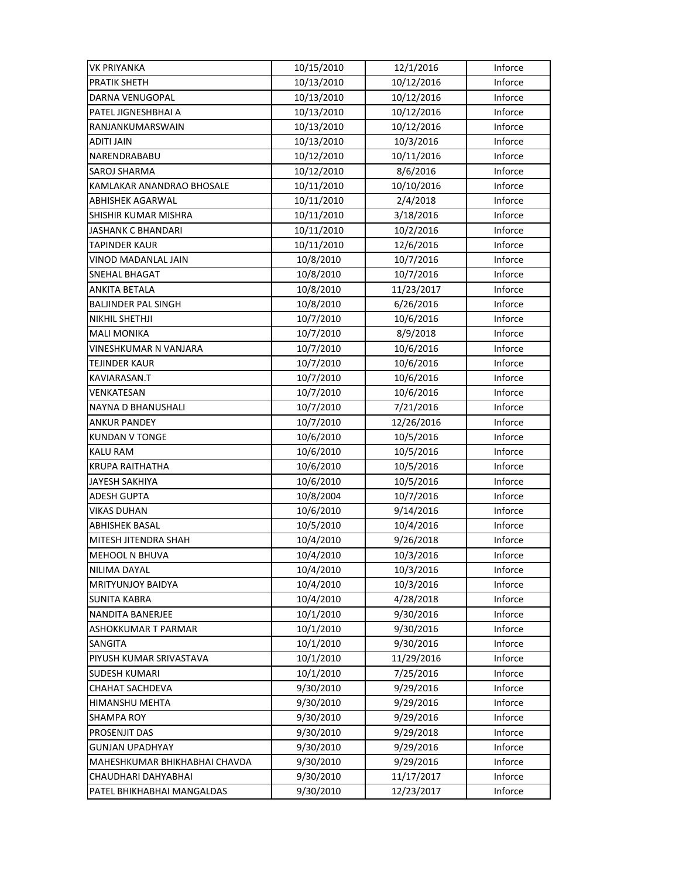| <b>VK PRIYANKA</b>            | 10/15/2010 | 12/1/2016  | Inforce |
|-------------------------------|------------|------------|---------|
| <b>PRATIK SHETH</b>           | 10/13/2010 | 10/12/2016 | Inforce |
| <b>DARNA VENUGOPAL</b>        | 10/13/2010 | 10/12/2016 | Inforce |
| PATEL JIGNESHBHAI A           | 10/13/2010 | 10/12/2016 | Inforce |
| RANJANKUMARSWAIN              | 10/13/2010 | 10/12/2016 | Inforce |
| <b>ADITI JAIN</b>             | 10/13/2010 | 10/3/2016  | Inforce |
| NARENDRABABU                  | 10/12/2010 | 10/11/2016 | Inforce |
| SAROJ SHARMA                  | 10/12/2010 | 8/6/2016   | Inforce |
| KAMLAKAR ANANDRAO BHOSALE     | 10/11/2010 | 10/10/2016 | Inforce |
| <b>ABHISHEK AGARWAL</b>       | 10/11/2010 | 2/4/2018   | Inforce |
| SHISHIR KUMAR MISHRA          | 10/11/2010 | 3/18/2016  | Inforce |
| <b>JASHANK C BHANDARI</b>     | 10/11/2010 | 10/2/2016  | Inforce |
| <b>TAPINDER KAUR</b>          | 10/11/2010 | 12/6/2016  | Inforce |
| VINOD MADANLAL JAIN           | 10/8/2010  | 10/7/2016  | Inforce |
| SNEHAL BHAGAT                 | 10/8/2010  | 10/7/2016  | Inforce |
| <b>ANKITA BETALA</b>          | 10/8/2010  | 11/23/2017 | Inforce |
| <b>BALJINDER PAL SINGH</b>    | 10/8/2010  | 6/26/2016  | Inforce |
| NIKHIL SHETHJI                | 10/7/2010  | 10/6/2016  | Inforce |
| <b>MALI MONIKA</b>            | 10/7/2010  | 8/9/2018   | Inforce |
| VINESHKUMAR N VANJARA         | 10/7/2010  | 10/6/2016  | Inforce |
| <b>TEJINDER KAUR</b>          | 10/7/2010  | 10/6/2016  | Inforce |
| KAVIARASAN.T                  | 10/7/2010  | 10/6/2016  | Inforce |
| VENKATESAN                    | 10/7/2010  | 10/6/2016  | Inforce |
| NAYNA D BHANUSHALI            | 10/7/2010  | 7/21/2016  | Inforce |
| <b>ANKUR PANDEY</b>           | 10/7/2010  | 12/26/2016 | Inforce |
| <b>KUNDAN V TONGE</b>         | 10/6/2010  | 10/5/2016  | Inforce |
| <b>KALU RAM</b>               | 10/6/2010  | 10/5/2016  | Inforce |
| <b>KRUPA RAITHATHA</b>        | 10/6/2010  | 10/5/2016  | Inforce |
| <b>JAYESH SAKHIYA</b>         | 10/6/2010  | 10/5/2016  | Inforce |
| <b>ADESH GUPTA</b>            | 10/8/2004  | 10/7/2016  | Inforce |
| VIKAS DUHAN                   | 10/6/2010  | 9/14/2016  | Inforce |
| <b>ABHISHEK BASAL</b>         | 10/5/2010  | 10/4/2016  | Inforce |
| MITESH JITENDRA SHAH          | 10/4/2010  | 9/26/2018  | Inforce |
| MEHOOL N BHUVA                | 10/4/2010  | 10/3/2016  | Inforce |
| NILIMA DAYAL                  | 10/4/2010  | 10/3/2016  | Inforce |
| <b>MRITYUNJOY BAIDYA</b>      | 10/4/2010  | 10/3/2016  | Inforce |
| <b>SUNITA KABRA</b>           | 10/4/2010  | 4/28/2018  | Inforce |
| <b>NANDITA BANERJEE</b>       | 10/1/2010  | 9/30/2016  | Inforce |
| ASHOKKUMAR T PARMAR           | 10/1/2010  | 9/30/2016  | Inforce |
| SANGITA                       | 10/1/2010  | 9/30/2016  | Inforce |
| PIYUSH KUMAR SRIVASTAVA       | 10/1/2010  | 11/29/2016 | Inforce |
| SUDESH KUMARI                 | 10/1/2010  | 7/25/2016  | Inforce |
| CHAHAT SACHDEVA               | 9/30/2010  | 9/29/2016  | Inforce |
| HIMANSHU MEHTA                | 9/30/2010  | 9/29/2016  | Inforce |
| <b>SHAMPA ROY</b>             | 9/30/2010  | 9/29/2016  | Inforce |
| PROSENJIT DAS                 | 9/30/2010  | 9/29/2018  | Inforce |
| <b>GUNJAN UPADHYAY</b>        | 9/30/2010  | 9/29/2016  | Inforce |
| MAHESHKUMAR BHIKHABHAI CHAVDA | 9/30/2010  | 9/29/2016  | Inforce |
| CHAUDHARI DAHYABHAI           | 9/30/2010  | 11/17/2017 | Inforce |
| PATEL BHIKHABHAI MANGALDAS    | 9/30/2010  | 12/23/2017 | Inforce |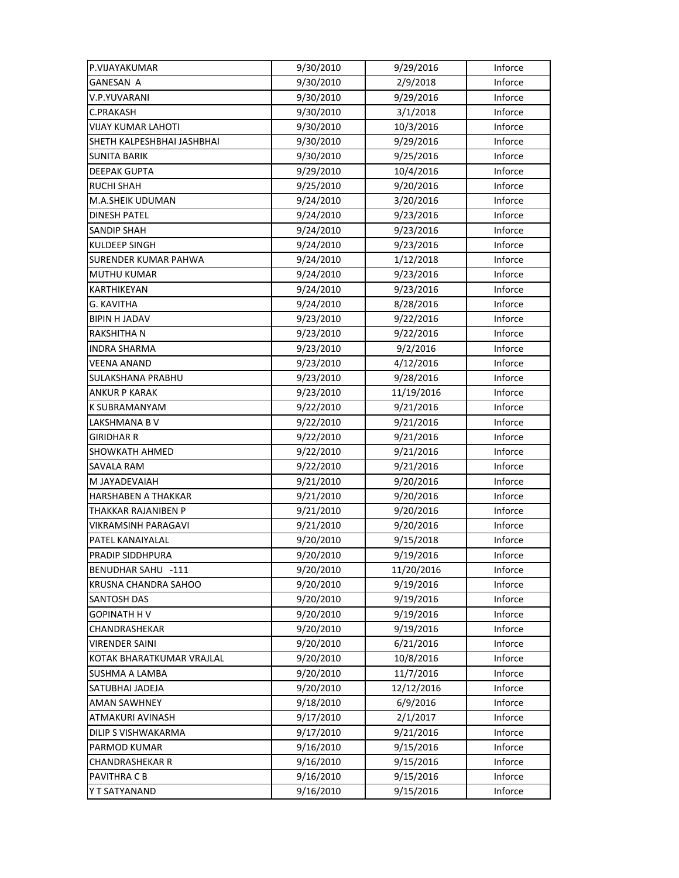| P.VIJAYAKUMAR              | 9/30/2010 | 9/29/2016  | Inforce |
|----------------------------|-----------|------------|---------|
| <b>GANESAN A</b>           | 9/30/2010 | 2/9/2018   | Inforce |
| V.P.YUVARANI               | 9/30/2010 | 9/29/2016  | Inforce |
| C.PRAKASH                  | 9/30/2010 | 3/1/2018   | Inforce |
| <b>VIJAY KUMAR LAHOTI</b>  | 9/30/2010 | 10/3/2016  | Inforce |
| SHETH KALPESHBHAI JASHBHAI | 9/30/2010 | 9/29/2016  | Inforce |
| <b>SUNITA BARIK</b>        | 9/30/2010 | 9/25/2016  | Inforce |
| <b>DEEPAK GUPTA</b>        | 9/29/2010 | 10/4/2016  | Inforce |
| RUCHI SHAH                 | 9/25/2010 | 9/20/2016  | Inforce |
| M.A.SHEIK UDUMAN           | 9/24/2010 | 3/20/2016  | Inforce |
| <b>DINESH PATEL</b>        | 9/24/2010 | 9/23/2016  | Inforce |
| SANDIP SHAH                | 9/24/2010 | 9/23/2016  | Inforce |
| KULDEEP SINGH              | 9/24/2010 | 9/23/2016  | Inforce |
| SURENDER KUMAR PAHWA       | 9/24/2010 | 1/12/2018  | Inforce |
| <b>MUTHU KUMAR</b>         | 9/24/2010 | 9/23/2016  | Inforce |
| <b>KARTHIKEYAN</b>         | 9/24/2010 | 9/23/2016  | Inforce |
| <b>G. KAVITHA</b>          | 9/24/2010 | 8/28/2016  | Inforce |
| <b>BIPIN H JADAV</b>       | 9/23/2010 | 9/22/2016  | Inforce |
| RAKSHITHA N                | 9/23/2010 | 9/22/2016  | Inforce |
| INDRA SHARMA               | 9/23/2010 | 9/2/2016   | Inforce |
| VEENA ANAND                | 9/23/2010 | 4/12/2016  | Inforce |
| SULAKSHANA PRABHU          | 9/23/2010 | 9/28/2016  | Inforce |
| ANKUR P KARAK              | 9/23/2010 | 11/19/2016 | Inforce |
| K SUBRAMANYAM              | 9/22/2010 | 9/21/2016  | Inforce |
| LAKSHMANA B V              | 9/22/2010 | 9/21/2016  | Inforce |
| GIRIDHAR R                 | 9/22/2010 | 9/21/2016  | Inforce |
| SHOWKATH AHMED             | 9/22/2010 | 9/21/2016  | Inforce |
| SAVALA RAM                 | 9/22/2010 | 9/21/2016  | Inforce |
| M JAYADEVAIAH              | 9/21/2010 | 9/20/2016  | Inforce |
| HARSHABEN A THAKKAR        | 9/21/2010 | 9/20/2016  | Inforce |
| THAKKAR RAJANIBEN P        | 9/21/2010 | 9/20/2016  | Inforce |
| VIKRAMSINH PARAGAVI        | 9/21/2010 | 9/20/2016  | Inforce |
| PATEL KANAIYALAL           | 9/20/2010 | 9/15/2018  | Inforce |
| PRADIP SIDDHPURA           | 9/20/2010 | 9/19/2016  | Inforce |
| BENUDHAR SAHU -111         | 9/20/2010 | 11/20/2016 | Inforce |
| KRUSNA CHANDRA SAHOO       | 9/20/2010 | 9/19/2016  | Inforce |
| SANTOSH DAS                | 9/20/2010 | 9/19/2016  | Inforce |
| <b>GOPINATH HV</b>         | 9/20/2010 | 9/19/2016  | Inforce |
| CHANDRASHEKAR              | 9/20/2010 | 9/19/2016  | Inforce |
| VIRENDER SAINI             | 9/20/2010 | 6/21/2016  | Inforce |
| KOTAK BHARATKUMAR VRAJLAL  | 9/20/2010 | 10/8/2016  | Inforce |
| SUSHMA A LAMBA             | 9/20/2010 | 11/7/2016  | Inforce |
| SATUBHAI JADEJA            | 9/20/2010 | 12/12/2016 | Inforce |
| AMAN SAWHNEY               | 9/18/2010 | 6/9/2016   | Inforce |
| ATMAKURI AVINASH           | 9/17/2010 | 2/1/2017   | Inforce |
| DILIP S VISHWAKARMA        | 9/17/2010 | 9/21/2016  | Inforce |
| PARMOD KUMAR               | 9/16/2010 | 9/15/2016  | Inforce |
| <b>CHANDRASHEKAR R</b>     | 9/16/2010 | 9/15/2016  | Inforce |
| PAVITHRA C B               | 9/16/2010 | 9/15/2016  | Inforce |
| Y T SATYANAND              | 9/16/2010 | 9/15/2016  | Inforce |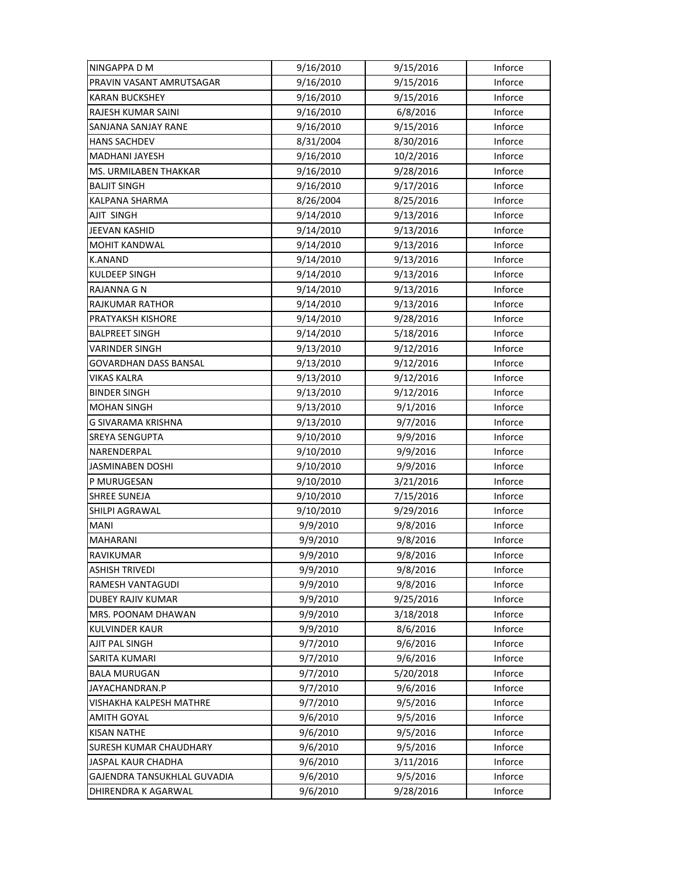| NINGAPPA D M                  | 9/16/2010 | 9/15/2016 | Inforce |
|-------------------------------|-----------|-----------|---------|
| PRAVIN VASANT AMRUTSAGAR      | 9/16/2010 | 9/15/2016 | Inforce |
| <b>KARAN BUCKSHEY</b>         | 9/16/2010 | 9/15/2016 | Inforce |
| RAJESH KUMAR SAINI            | 9/16/2010 | 6/8/2016  | Inforce |
| SANJANA SANJAY RANE           | 9/16/2010 | 9/15/2016 | Inforce |
| <b>HANS SACHDEV</b>           | 8/31/2004 | 8/30/2016 | Inforce |
| <b>MADHANI JAYESH</b>         | 9/16/2010 | 10/2/2016 | Inforce |
| MS. URMILABEN THAKKAR         | 9/16/2010 | 9/28/2016 | Inforce |
| <b>BALJIT SINGH</b>           | 9/16/2010 | 9/17/2016 | Inforce |
| <b>KALPANA SHARMA</b>         | 8/26/2004 | 8/25/2016 | Inforce |
| AJIT SINGH                    | 9/14/2010 | 9/13/2016 | Inforce |
| JEEVAN KASHID                 | 9/14/2010 | 9/13/2016 | Inforce |
| <b>MOHIT KANDWAL</b>          | 9/14/2010 | 9/13/2016 | Inforce |
| <b>K.ANAND</b>                | 9/14/2010 | 9/13/2016 | Inforce |
| KULDEEP SINGH                 | 9/14/2010 | 9/13/2016 | Inforce |
| <b>RAJANNA G N</b>            | 9/14/2010 | 9/13/2016 | Inforce |
| <b>RAJKUMAR RATHOR</b>        | 9/14/2010 | 9/13/2016 | Inforce |
| PRATYAKSH KISHORE             | 9/14/2010 | 9/28/2016 | Inforce |
| <b>BALPREET SINGH</b>         | 9/14/2010 | 5/18/2016 | Inforce |
| VARINDER SINGH                | 9/13/2010 | 9/12/2016 | Inforce |
| GOVARDHAN DASS BANSAL         | 9/13/2010 | 9/12/2016 | Inforce |
| VIKAS KALRA                   | 9/13/2010 | 9/12/2016 | Inforce |
| <b>BINDER SINGH</b>           | 9/13/2010 | 9/12/2016 | Inforce |
| <b>MOHAN SINGH</b>            | 9/13/2010 | 9/1/2016  | Inforce |
| G SIVARAMA KRISHNA            | 9/13/2010 | 9/7/2016  | Inforce |
| <b>SREYA SENGUPTA</b>         | 9/10/2010 | 9/9/2016  | Inforce |
| NARENDERPAL                   | 9/10/2010 | 9/9/2016  | Inforce |
| JASMINABEN DOSHI              | 9/10/2010 | 9/9/2016  | Inforce |
| P MURUGESAN                   | 9/10/2010 | 3/21/2016 | Inforce |
| <b>SHREE SUNEJA</b>           | 9/10/2010 | 7/15/2016 | Inforce |
| SHILPI AGRAWAL                | 9/10/2010 | 9/29/2016 | Inforce |
| <b>MANI</b>                   | 9/9/2010  | 9/8/2016  | Inforce |
| MAHARANI                      | 9/9/2010  | 9/8/2016  | Inforce |
| RAVIKUMAR                     | 9/9/2010  | 9/8/2016  | Inforce |
| <b>ASHISH TRIVEDI</b>         | 9/9/2010  | 9/8/2016  | Inforce |
| RAMESH VANTAGUDI              | 9/9/2010  | 9/8/2016  | Inforce |
| DUBEY RAJIV KUMAR             | 9/9/2010  | 9/25/2016 | Inforce |
| MRS. POONAM DHAWAN            | 9/9/2010  | 3/18/2018 | Inforce |
| <b>KULVINDER KAUR</b>         | 9/9/2010  | 8/6/2016  | Inforce |
| AJIT PAL SINGH                | 9/7/2010  | 9/6/2016  | Inforce |
| SARITA KUMARI                 | 9/7/2010  | 9/6/2016  | Inforce |
| <b>BALA MURUGAN</b>           | 9/7/2010  | 5/20/2018 | Inforce |
| JAYACHANDRAN.P                | 9/7/2010  | 9/6/2016  | Inforce |
| VISHAKHA KALPESH MATHRE       | 9/7/2010  | 9/5/2016  | Inforce |
| AMITH GOYAL                   | 9/6/2010  | 9/5/2016  | Inforce |
| <b>KISAN NATHE</b>            | 9/6/2010  | 9/5/2016  | Inforce |
| <b>SURESH KUMAR CHAUDHARY</b> | 9/6/2010  | 9/5/2016  | Inforce |
| JASPAL KAUR CHADHA            | 9/6/2010  | 3/11/2016 | Inforce |
| GAJENDRA TANSUKHLAL GUVADIA   | 9/6/2010  | 9/5/2016  | Inforce |
| DHIRENDRA K AGARWAL           | 9/6/2010  | 9/28/2016 | Inforce |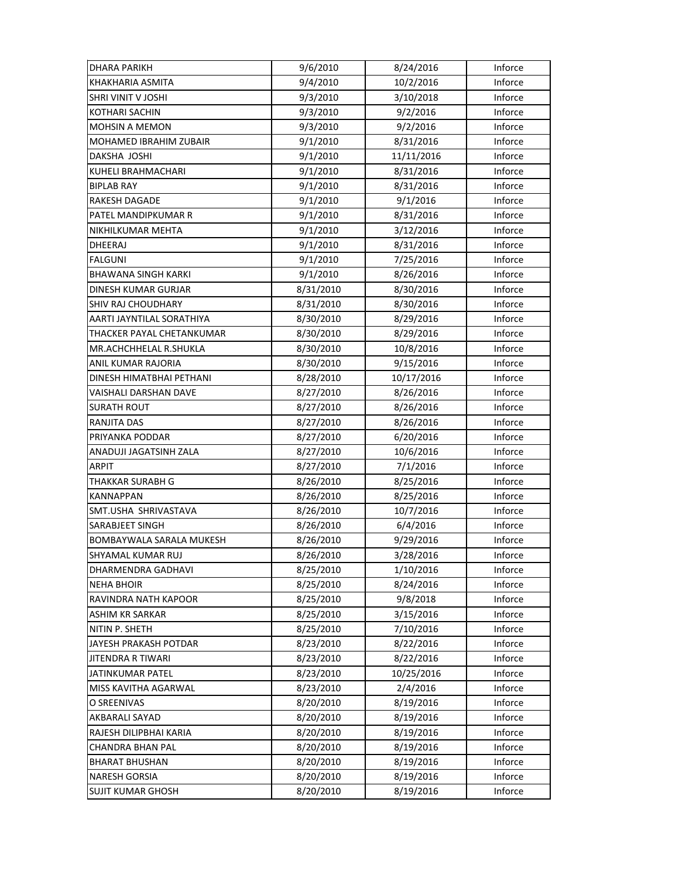| DHARA PARIKH               | 9/6/2010  | 8/24/2016  | Inforce |
|----------------------------|-----------|------------|---------|
| KHAKHARIA ASMITA           | 9/4/2010  | 10/2/2016  | Inforce |
| SHRI VINIT V JOSHI         | 9/3/2010  | 3/10/2018  | Inforce |
| <b>KOTHARI SACHIN</b>      | 9/3/2010  | 9/2/2016   | Inforce |
| <b>MOHSIN A MEMON</b>      | 9/3/2010  | 9/2/2016   | Inforce |
| MOHAMED IBRAHIM ZUBAIR     | 9/1/2010  | 8/31/2016  | Inforce |
| DAKSHA JOSHI               | 9/1/2010  | 11/11/2016 | Inforce |
| KUHELI BRAHMACHARI         | 9/1/2010  | 8/31/2016  | Inforce |
| <b>BIPLAB RAY</b>          | 9/1/2010  | 8/31/2016  | Inforce |
| RAKESH DAGADE              | 9/1/2010  | 9/1/2016   | Inforce |
| PATEL MANDIPKUMAR R        | 9/1/2010  | 8/31/2016  | Inforce |
| NIKHILKUMAR MEHTA          | 9/1/2010  | 3/12/2016  | Inforce |
| DHEERAJ                    | 9/1/2010  | 8/31/2016  | Inforce |
| FALGUNI                    | 9/1/2010  | 7/25/2016  | Inforce |
| <b>BHAWANA SINGH KARKI</b> | 9/1/2010  | 8/26/2016  | Inforce |
| DINESH KUMAR GURJAR        | 8/31/2010 | 8/30/2016  | Inforce |
| <b>SHIV RAJ CHOUDHARY</b>  | 8/31/2010 | 8/30/2016  | Inforce |
| AARTI JAYNTILAL SORATHIYA  | 8/30/2010 | 8/29/2016  | Inforce |
| THACKER PAYAL CHETANKUMAR  | 8/30/2010 | 8/29/2016  | Inforce |
| MR.ACHCHHELAL R.SHUKLA     | 8/30/2010 | 10/8/2016  | Inforce |
| ANIL KUMAR RAJORIA         | 8/30/2010 | 9/15/2016  | Inforce |
| DINESH HIMATBHAI PETHANI   | 8/28/2010 | 10/17/2016 | Inforce |
| VAISHALI DARSHAN DAVE      | 8/27/2010 | 8/26/2016  | Inforce |
| SURATH ROUT                | 8/27/2010 | 8/26/2016  | Inforce |
| RANJITA DAS                | 8/27/2010 | 8/26/2016  | Inforce |
| PRIYANKA PODDAR            | 8/27/2010 | 6/20/2016  | Inforce |
| ANADUJI JAGATSINH ZALA     | 8/27/2010 | 10/6/2016  | Inforce |
| <b>ARPIT</b>               | 8/27/2010 | 7/1/2016   | Inforce |
| THAKKAR SURABH G           | 8/26/2010 | 8/25/2016  | Inforce |
| KANNAPPAN                  | 8/26/2010 | 8/25/2016  | Inforce |
| SMT.USHA SHRIVASTAVA       | 8/26/2010 | 10/7/2016  | Inforce |
| SARABJEET SINGH            | 8/26/2010 | 6/4/2016   | Inforce |
| BOMBAYWALA SARALA MUKESH   | 8/26/2010 | 9/29/2016  | Inforce |
| SHYAMAL KUMAR RUJ          | 8/26/2010 | 3/28/2016  | Inforce |
| DHARMENDRA GADHAVI         | 8/25/2010 | 1/10/2016  | Inforce |
| <b>NEHA BHOIR</b>          | 8/25/2010 | 8/24/2016  | Inforce |
| RAVINDRA NATH KAPOOR       | 8/25/2010 | 9/8/2018   | Inforce |
| ASHIM KR SARKAR            | 8/25/2010 | 3/15/2016  | Inforce |
| NITIN P. SHETH             | 8/25/2010 | 7/10/2016  | Inforce |
| JAYESH PRAKASH POTDAR      | 8/23/2010 | 8/22/2016  | Inforce |
| <b>JITENDRA R TIWARI</b>   | 8/23/2010 | 8/22/2016  | Inforce |
| JATINKUMAR PATEL           | 8/23/2010 | 10/25/2016 | Inforce |
| MISS KAVITHA AGARWAL       | 8/23/2010 | 2/4/2016   | Inforce |
| O SREENIVAS                | 8/20/2010 | 8/19/2016  | Inforce |
| AKBARALI SAYAD             | 8/20/2010 | 8/19/2016  | Inforce |
| RAJESH DILIPBHAI KARIA     | 8/20/2010 | 8/19/2016  | Inforce |
| CHANDRA BHAN PAL           | 8/20/2010 | 8/19/2016  | Inforce |
| <b>BHARAT BHUSHAN</b>      | 8/20/2010 | 8/19/2016  | Inforce |
| <b>NARESH GORSIA</b>       | 8/20/2010 | 8/19/2016  | Inforce |
| <b>SUJIT KUMAR GHOSH</b>   | 8/20/2010 | 8/19/2016  | Inforce |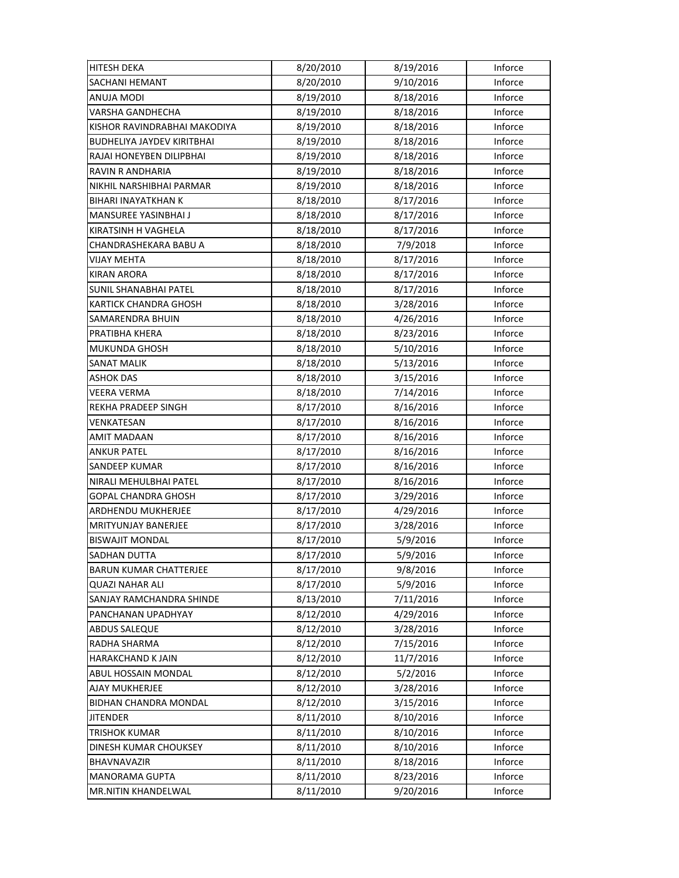| HITESH DEKA                       | 8/20/2010 | 8/19/2016 | Inforce |
|-----------------------------------|-----------|-----------|---------|
| SACHANI HEMANT                    | 8/20/2010 | 9/10/2016 | Inforce |
| ANUJA MODI                        | 8/19/2010 | 8/18/2016 | Inforce |
| VARSHA GANDHECHA                  | 8/19/2010 | 8/18/2016 | Inforce |
| KISHOR RAVINDRABHAI MAKODIYA      | 8/19/2010 | 8/18/2016 | Inforce |
| <b>BUDHELIYA JAYDEV KIRITBHAI</b> | 8/19/2010 | 8/18/2016 | Inforce |
| RAJAI HONEYBEN DILIPBHAI          | 8/19/2010 | 8/18/2016 | Inforce |
| <b>RAVIN R ANDHARIA</b>           | 8/19/2010 | 8/18/2016 | Inforce |
| NIKHIL NARSHIBHAI PARMAR          | 8/19/2010 | 8/18/2016 | Inforce |
| BIHARI INAYATKHAN K               | 8/18/2010 | 8/17/2016 | Inforce |
| MANSUREE YASINBHAI J              | 8/18/2010 | 8/17/2016 | Inforce |
| KIRATSINH H VAGHELA               | 8/18/2010 | 8/17/2016 | Inforce |
| CHANDRASHEKARA BABU A             | 8/18/2010 | 7/9/2018  | Inforce |
| <b>VIJAY MEHTA</b>                | 8/18/2010 | 8/17/2016 | Inforce |
| <b>KIRAN ARORA</b>                | 8/18/2010 | 8/17/2016 | Inforce |
| <b>SUNIL SHANABHAI PATEL</b>      | 8/18/2010 | 8/17/2016 | Inforce |
| <b>KARTICK CHANDRA GHOSH</b>      | 8/18/2010 | 3/28/2016 | Inforce |
| SAMARENDRA BHUIN                  | 8/18/2010 | 4/26/2016 | Inforce |
| PRATIBHA KHERA                    | 8/18/2010 | 8/23/2016 | Inforce |
| MUKUNDA GHOSH                     | 8/18/2010 | 5/10/2016 | Inforce |
| <b>SANAT MALIK</b>                | 8/18/2010 | 5/13/2016 | Inforce |
| <b>ASHOK DAS</b>                  | 8/18/2010 | 3/15/2016 | Inforce |
| VEERA VERMA                       | 8/18/2010 | 7/14/2016 | Inforce |
| REKHA PRADEEP SINGH               | 8/17/2010 | 8/16/2016 | Inforce |
| VENKATESAN                        | 8/17/2010 | 8/16/2016 | Inforce |
| AMIT MADAAN                       | 8/17/2010 | 8/16/2016 | Inforce |
| <b>ANKUR PATEL</b>                | 8/17/2010 | 8/16/2016 | Inforce |
| SANDEEP KUMAR                     | 8/17/2010 | 8/16/2016 | Inforce |
| NIRALI MEHULBHAI PATEL            | 8/17/2010 | 8/16/2016 | Inforce |
| GOPAL CHANDRA GHOSH               | 8/17/2010 | 3/29/2016 | Inforce |
| ARDHENDU MUKHERJEE                | 8/17/2010 | 4/29/2016 | Inforce |
| MRITYUNJAY BANERJEE               | 8/17/2010 | 3/28/2016 | Inforce |
| <b>BISWAJIT MONDAL</b>            | 8/17/2010 | 5/9/2016  | Inforce |
| SADHAN DUTTA                      | 8/17/2010 | 5/9/2016  | Inforce |
| <b>BARUN KUMAR CHATTERJEE</b>     | 8/17/2010 | 9/8/2016  | Inforce |
| <b>QUAZI NAHAR ALI</b>            | 8/17/2010 | 5/9/2016  | Inforce |
| SANJAY RAMCHANDRA SHINDE          | 8/13/2010 | 7/11/2016 | Inforce |
| PANCHANAN UPADHYAY                | 8/12/2010 | 4/29/2016 | Inforce |
| ABDUS SALEQUE                     | 8/12/2010 | 3/28/2016 | Inforce |
| RADHA SHARMA                      | 8/12/2010 | 7/15/2016 | Inforce |
| HARAKCHAND K JAIN                 | 8/12/2010 | 11/7/2016 | Inforce |
| ABUL HOSSAIN MONDAL               | 8/12/2010 | 5/2/2016  | Inforce |
| AJAY MUKHERJEE                    | 8/12/2010 | 3/28/2016 | Inforce |
| <b>BIDHAN CHANDRA MONDAL</b>      | 8/12/2010 | 3/15/2016 | Inforce |
| <b>JITENDER</b>                   | 8/11/2010 | 8/10/2016 | Inforce |
| TRISHOK KUMAR                     | 8/11/2010 | 8/10/2016 | Inforce |
| DINESH KUMAR CHOUKSEY             | 8/11/2010 | 8/10/2016 | Inforce |
| BHAVNAVAZIR                       | 8/11/2010 | 8/18/2016 | Inforce |
| <b>MANORAMA GUPTA</b>             | 8/11/2010 | 8/23/2016 | Inforce |
| <b>MR.NITIN KHANDELWAL</b>        | 8/11/2010 | 9/20/2016 | Inforce |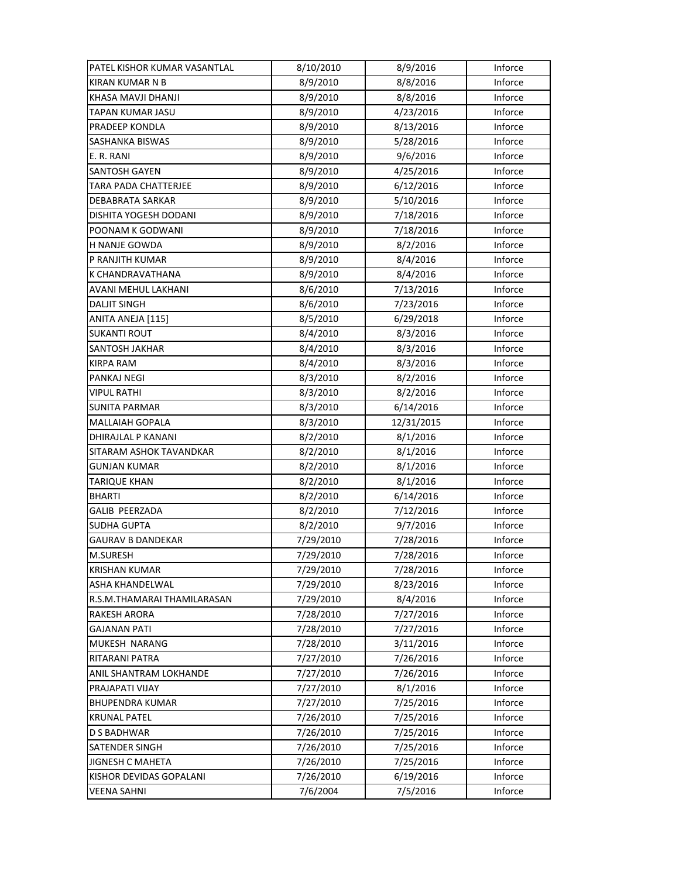| PATEL KISHOR KUMAR VASANTLAL | 8/10/2010 | 8/9/2016   | Inforce |
|------------------------------|-----------|------------|---------|
| <b>KIRAN KUMAR N B</b>       | 8/9/2010  | 8/8/2016   | Inforce |
| KHASA MAVJI DHANJI           | 8/9/2010  | 8/8/2016   | Inforce |
| TAPAN KUMAR JASU             | 8/9/2010  | 4/23/2016  | Inforce |
| PRADEEP KONDLA               | 8/9/2010  | 8/13/2016  | Inforce |
| SASHANKA BISWAS              | 8/9/2010  | 5/28/2016  | Inforce |
| E. R. RANI                   | 8/9/2010  | 9/6/2016   | Inforce |
| SANTOSH GAYEN                | 8/9/2010  | 4/25/2016  | Inforce |
| TARA PADA CHATTERJEE         | 8/9/2010  | 6/12/2016  | Inforce |
| DEBABRATA SARKAR             | 8/9/2010  | 5/10/2016  | Inforce |
| DISHITA YOGESH DODANI        | 8/9/2010  | 7/18/2016  | Inforce |
| POONAM K GODWANI             | 8/9/2010  | 7/18/2016  | Inforce |
| H NANJE GOWDA                | 8/9/2010  | 8/2/2016   | Inforce |
| P RANJITH KUMAR              | 8/9/2010  | 8/4/2016   | Inforce |
| K CHANDRAVATHANA             | 8/9/2010  | 8/4/2016   | Inforce |
| AVANI MEHUL LAKHANI          | 8/6/2010  | 7/13/2016  | Inforce |
| <b>DALJIT SINGH</b>          | 8/6/2010  | 7/23/2016  | Inforce |
| ANITA ANEJA [115]            | 8/5/2010  | 6/29/2018  | Inforce |
| <b>SUKANTI ROUT</b>          | 8/4/2010  | 8/3/2016   | Inforce |
| SANTOSH JAKHAR               | 8/4/2010  | 8/3/2016   | Inforce |
| <b>KIRPA RAM</b>             | 8/4/2010  | 8/3/2016   | Inforce |
| PANKAJ NEGI                  | 8/3/2010  | 8/2/2016   | Inforce |
| <b>VIPUL RATHI</b>           | 8/3/2010  | 8/2/2016   | Inforce |
| <b>SUNITA PARMAR</b>         | 8/3/2010  | 6/14/2016  | Inforce |
| <b>MALLAIAH GOPALA</b>       | 8/3/2010  | 12/31/2015 | Inforce |
| DHIRAJLAL P KANANI           | 8/2/2010  | 8/1/2016   | Inforce |
| SITARAM ASHOK TAVANDKAR      | 8/2/2010  | 8/1/2016   | Inforce |
| GUNJAN KUMAR                 | 8/2/2010  | 8/1/2016   | Inforce |
| TARIQUE KHAN                 | 8/2/2010  | 8/1/2016   | Inforce |
| <b>BHARTI</b>                | 8/2/2010  | 6/14/2016  | Inforce |
| GALIB PEERZADA               | 8/2/2010  | 7/12/2016  | Inforce |
| <b>SUDHA GUPTA</b>           | 8/2/2010  | 9/7/2016   | Inforce |
| <b>GAURAV B DANDEKAR</b>     | 7/29/2010 | 7/28/2016  | Inforce |
| M.SURESH                     | 7/29/2010 | 7/28/2016  | Inforce |
| <b>KRISHAN KUMAR</b>         | 7/29/2010 | 7/28/2016  | Inforce |
| ASHA KHANDELWAL              | 7/29/2010 | 8/23/2016  | Inforce |
| R.S.M.THAMARAI THAMILARASAN  | 7/29/2010 | 8/4/2016   | Inforce |
| RAKESH ARORA                 | 7/28/2010 | 7/27/2016  | Inforce |
| <b>GAJANAN PATI</b>          | 7/28/2010 | 7/27/2016  | Inforce |
| MUKESH NARANG                | 7/28/2010 | 3/11/2016  | Inforce |
| RITARANI PATRA               | 7/27/2010 | 7/26/2016  | Inforce |
| ANIL SHANTRAM LOKHANDE       | 7/27/2010 | 7/26/2016  | Inforce |
| PRAJAPATI VIJAY              | 7/27/2010 | 8/1/2016   | Inforce |
| <b>BHUPENDRA KUMAR</b>       | 7/27/2010 | 7/25/2016  | Inforce |
| <b>KRUNAL PATEL</b>          | 7/26/2010 | 7/25/2016  | Inforce |
| D S BADHWAR                  | 7/26/2010 | 7/25/2016  | Inforce |
| <b>SATENDER SINGH</b>        | 7/26/2010 | 7/25/2016  | Inforce |
| JIGNESH C MAHETA             | 7/26/2010 | 7/25/2016  | Inforce |
| KISHOR DEVIDAS GOPALANI      | 7/26/2010 | 6/19/2016  | Inforce |
| VEENA SAHNI                  | 7/6/2004  | 7/5/2016   | Inforce |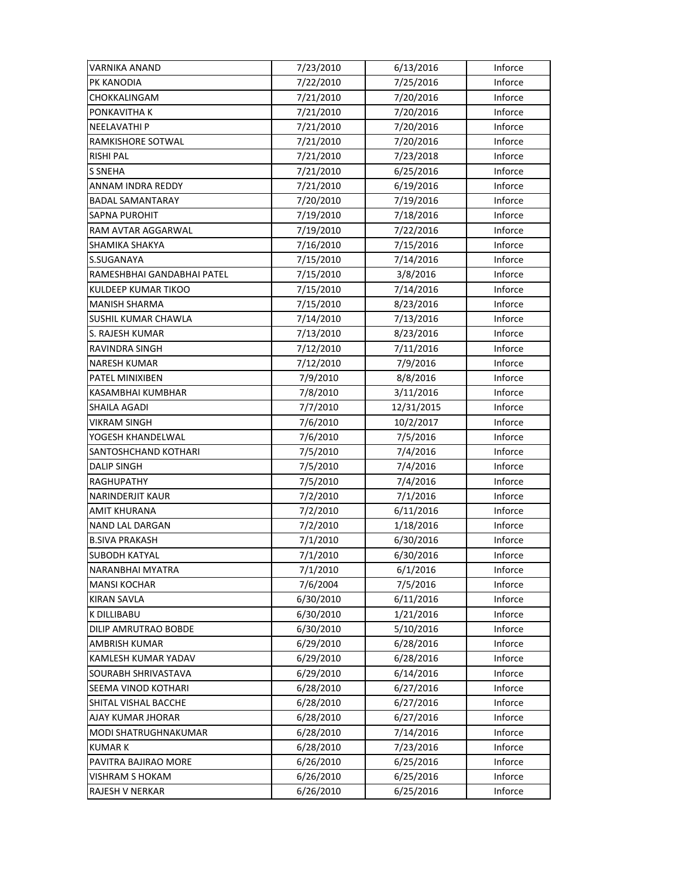| VARNIKA ANAND              | 7/23/2010 | 6/13/2016  | Inforce |
|----------------------------|-----------|------------|---------|
| PK KANODIA                 | 7/22/2010 | 7/25/2016  | Inforce |
| CHOKKALINGAM               | 7/21/2010 | 7/20/2016  | Inforce |
| PONKAVITHA K               | 7/21/2010 | 7/20/2016  | Inforce |
| NEELAVATHI P               | 7/21/2010 | 7/20/2016  | Inforce |
| RAMKISHORE SOTWAL          | 7/21/2010 | 7/20/2016  | Inforce |
| <b>RISHI PAL</b>           | 7/21/2010 | 7/23/2018  | Inforce |
| <b>S SNEHA</b>             | 7/21/2010 | 6/25/2016  | Inforce |
| ANNAM INDRA REDDY          | 7/21/2010 | 6/19/2016  | Inforce |
| BADAL SAMANTARAY           | 7/20/2010 | 7/19/2016  | Inforce |
| <b>SAPNA PUROHIT</b>       | 7/19/2010 | 7/18/2016  | Inforce |
| RAM AVTAR AGGARWAL         | 7/19/2010 | 7/22/2016  | Inforce |
| SHAMIKA SHAKYA             | 7/16/2010 | 7/15/2016  | Inforce |
| S.SUGANAYA                 | 7/15/2010 | 7/14/2016  | Inforce |
| RAMESHBHAI GANDABHAI PATEL | 7/15/2010 | 3/8/2016   | Inforce |
| KULDEEP KUMAR TIKOO        | 7/15/2010 | 7/14/2016  | Inforce |
| <b>MANISH SHARMA</b>       | 7/15/2010 | 8/23/2016  | Inforce |
| SUSHIL KUMAR CHAWLA        | 7/14/2010 | 7/13/2016  | Inforce |
| S. RAJESH KUMAR            | 7/13/2010 | 8/23/2016  | Inforce |
| RAVINDRA SINGH             | 7/12/2010 | 7/11/2016  | Inforce |
| <b>NARESH KUMAR</b>        | 7/12/2010 | 7/9/2016   | Inforce |
| PATEL MINIXIBEN            | 7/9/2010  | 8/8/2016   | Inforce |
| KASAMBHAI KUMBHAR          | 7/8/2010  | 3/11/2016  | Inforce |
| SHAILA AGADI               | 7/7/2010  | 12/31/2015 | Inforce |
| <b>VIKRAM SINGH</b>        | 7/6/2010  | 10/2/2017  | Inforce |
| YOGESH KHANDELWAL          | 7/6/2010  | 7/5/2016   | Inforce |
| SANTOSHCHAND KOTHARI       | 7/5/2010  | 7/4/2016   | Inforce |
| <b>DALIP SINGH</b>         | 7/5/2010  | 7/4/2016   | Inforce |
| <b>RAGHUPATHY</b>          | 7/5/2010  | 7/4/2016   | Inforce |
|                            |           |            |         |
| <b>NARINDERJIT KAUR</b>    | 7/2/2010  | 7/1/2016   | Inforce |
| <b>AMIT KHURANA</b>        | 7/2/2010  | 6/11/2016  | Inforce |
| <b>NAND LAL DARGAN</b>     | 7/2/2010  | 1/18/2016  | Inforce |
| <b>B.SIVA PRAKASH</b>      | 7/1/2010  | 6/30/2016  | Inforce |
| <b>SUBODH KATYAL</b>       | 7/1/2010  | 6/30/2016  | Inforce |
| NARANBHAI MYATRA           | 7/1/2010  | 6/1/2016   | Inforce |
| <b>MANSI KOCHAR</b>        | 7/6/2004  | 7/5/2016   | Inforce |
| <b>KIRAN SAVLA</b>         | 6/30/2010 | 6/11/2016  | Inforce |
| K DILLIBABU                | 6/30/2010 | 1/21/2016  | Inforce |
| DILIP AMRUTRAO BOBDE       | 6/30/2010 | 5/10/2016  | Inforce |
| AMBRISH KUMAR              | 6/29/2010 | 6/28/2016  | Inforce |
| KAMLESH KUMAR YADAV        | 6/29/2010 | 6/28/2016  | Inforce |
| SOURABH SHRIVASTAVA        | 6/29/2010 | 6/14/2016  | Inforce |
| SEEMA VINOD KOTHARI        | 6/28/2010 | 6/27/2016  | Inforce |
| SHITAL VISHAL BACCHE       | 6/28/2010 | 6/27/2016  | Inforce |
| AJAY KUMAR JHORAR          | 6/28/2010 | 6/27/2016  | Inforce |
| MODI SHATRUGHNAKUMAR       | 6/28/2010 | 7/14/2016  | Inforce |
| <b>KUMARK</b>              | 6/28/2010 | 7/23/2016  | Inforce |
| PAVITRA BAJIRAO MORE       | 6/26/2010 | 6/25/2016  | Inforce |
| VISHRAM S HOKAM            | 6/26/2010 | 6/25/2016  | Inforce |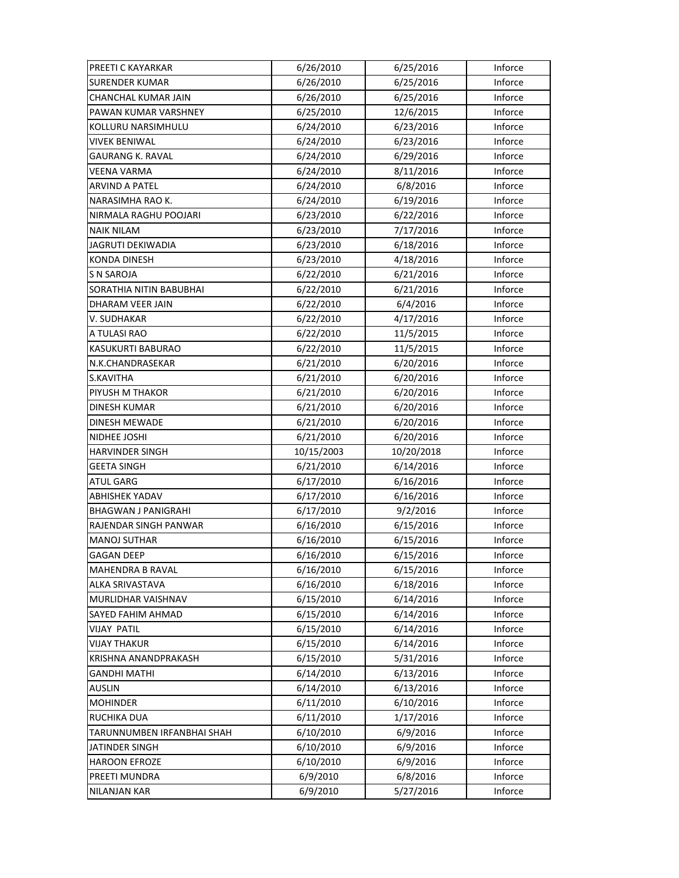| PREETI C KAYARKAR          | 6/26/2010  | 6/25/2016  | Inforce |
|----------------------------|------------|------------|---------|
| <b>SURENDER KUMAR</b>      | 6/26/2010  | 6/25/2016  | Inforce |
| <b>CHANCHAL KUMAR JAIN</b> | 6/26/2010  | 6/25/2016  | Inforce |
| PAWAN KUMAR VARSHNEY       | 6/25/2010  | 12/6/2015  | Inforce |
| KOLLURU NARSIMHULU         | 6/24/2010  | 6/23/2016  | Inforce |
| <b>VIVEK BENIWAL</b>       | 6/24/2010  | 6/23/2016  | Inforce |
| GAURANG K. RAVAL           | 6/24/2010  | 6/29/2016  | Inforce |
| <b>VEENA VARMA</b>         | 6/24/2010  | 8/11/2016  | Inforce |
| <b>ARVIND A PATEL</b>      | 6/24/2010  | 6/8/2016   | Inforce |
| NARASIMHA RAO K.           | 6/24/2010  | 6/19/2016  | Inforce |
| NIRMALA RAGHU POOJARI      | 6/23/2010  | 6/22/2016  | Inforce |
| <b>NAIK NILAM</b>          | 6/23/2010  | 7/17/2016  | Inforce |
| JAGRUTI DEKIWADIA          | 6/23/2010  | 6/18/2016  | Inforce |
| <b>KONDA DINESH</b>        | 6/23/2010  | 4/18/2016  | Inforce |
| <b>S N SAROJA</b>          | 6/22/2010  | 6/21/2016  | Inforce |
| SORATHIA NITIN BABUBHAI    | 6/22/2010  | 6/21/2016  | Inforce |
| DHARAM VEER JAIN           | 6/22/2010  | 6/4/2016   | Inforce |
| V. SUDHAKAR                | 6/22/2010  | 4/17/2016  | Inforce |
| A TULASI RAO               | 6/22/2010  | 11/5/2015  | Inforce |
| KASUKURTI BABURAO          | 6/22/2010  | 11/5/2015  | Inforce |
| N.K.CHANDRASEKAR           | 6/21/2010  | 6/20/2016  | Inforce |
| S.KAVITHA                  | 6/21/2010  | 6/20/2016  | Inforce |
| PIYUSH M THAKOR            | 6/21/2010  | 6/20/2016  | Inforce |
| <b>DINESH KUMAR</b>        | 6/21/2010  | 6/20/2016  | Inforce |
| <b>DINESH MEWADE</b>       | 6/21/2010  | 6/20/2016  | Inforce |
|                            |            |            |         |
| NIDHEE JOSHI               | 6/21/2010  | 6/20/2016  | Inforce |
| <b>HARVINDER SINGH</b>     | 10/15/2003 | 10/20/2018 | Inforce |
| <b>GEETA SINGH</b>         | 6/21/2010  | 6/14/2016  | Inforce |
| <b>ATUL GARG</b>           | 6/17/2010  | 6/16/2016  | Inforce |
| <b>ABHISHEK YADAV</b>      | 6/17/2010  | 6/16/2016  | Inforce |
| <b>BHAGWAN J PANIGRAHI</b> | 6/17/2010  | 9/2/2016   | Inforce |
| RAJENDAR SINGH PANWAR      | 6/16/2010  | 6/15/2016  | Inforce |
| <b>MANOJ SUTHAR</b>        | 6/16/2010  | 6/15/2016  | Inforce |
| <b>GAGAN DEEP</b>          | 6/16/2010  | 6/15/2016  | Inforce |
| <b>MAHENDRA B RAVAL</b>    | 6/16/2010  | 6/15/2016  | Inforce |
| ALKA SRIVASTAVA            | 6/16/2010  | 6/18/2016  | Inforce |
| MURLIDHAR VAISHNAV         | 6/15/2010  | 6/14/2016  | Inforce |
| SAYED FAHIM AHMAD          | 6/15/2010  | 6/14/2016  | Inforce |
| <b>VIJAY PATIL</b>         | 6/15/2010  | 6/14/2016  | Inforce |
| <b>VIJAY THAKUR</b>        | 6/15/2010  | 6/14/2016  | Inforce |
| KRISHNA ANANDPRAKASH       | 6/15/2010  | 5/31/2016  | Inforce |
| GANDHI MATHI               | 6/14/2010  | 6/13/2016  | Inforce |
| <b>AUSLIN</b>              | 6/14/2010  | 6/13/2016  | Inforce |
| <b>MOHINDER</b>            | 6/11/2010  | 6/10/2016  | Inforce |
| RUCHIKA DUA                | 6/11/2010  | 1/17/2016  | Inforce |
| TARUNNUMBEN IRFANBHAI SHAH | 6/10/2010  | 6/9/2016   | Inforce |
| <b>JATINDER SINGH</b>      | 6/10/2010  | 6/9/2016   | Inforce |
| <b>HAROON EFROZE</b>       | 6/10/2010  | 6/9/2016   | Inforce |
| PREETI MUNDRA              | 6/9/2010   | 6/8/2016   | Inforce |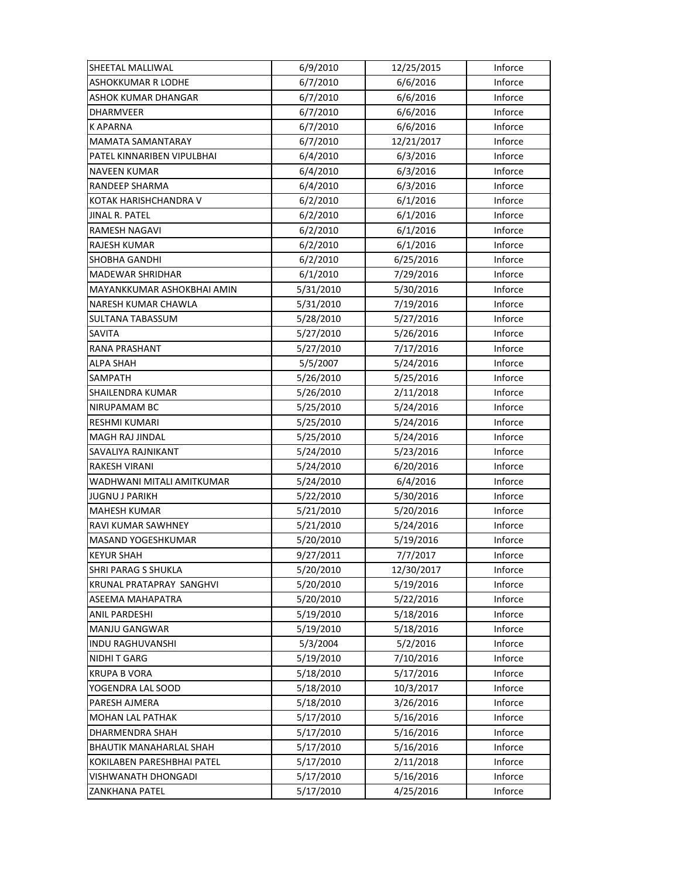| SHEETAL MALLIWAL               | 6/9/2010  | 12/25/2015 | Inforce |
|--------------------------------|-----------|------------|---------|
| <b>ASHOKKUMAR R LODHE</b>      | 6/7/2010  | 6/6/2016   | Inforce |
| ASHOK KUMAR DHANGAR            | 6/7/2010  | 6/6/2016   | Inforce |
| DHARMVEER                      | 6/7/2010  | 6/6/2016   | Inforce |
| K APARNA                       | 6/7/2010  | 6/6/2016   | Inforce |
| <b>MAMATA SAMANTARAY</b>       | 6/7/2010  | 12/21/2017 | Inforce |
| PATEL KINNARIBEN VIPULBHAI     | 6/4/2010  | 6/3/2016   | Inforce |
| <b>NAVEEN KUMAR</b>            | 6/4/2010  | 6/3/2016   | Inforce |
| <b>RANDEEP SHARMA</b>          | 6/4/2010  | 6/3/2016   | Inforce |
| KOTAK HARISHCHANDRA V          | 6/2/2010  | 6/1/2016   | Inforce |
| JINAL R. PATEL                 | 6/2/2010  | 6/1/2016   | Inforce |
| RAMESH NAGAVI                  | 6/2/2010  | 6/1/2016   | Inforce |
| RAJESH KUMAR                   | 6/2/2010  | 6/1/2016   | Inforce |
| SHOBHA GANDHI                  | 6/2/2010  | 6/25/2016  | Inforce |
| <b>MADEWAR SHRIDHAR</b>        | 6/1/2010  | 7/29/2016  | Inforce |
| MAYANKKUMAR ASHOKBHAI AMIN     | 5/31/2010 | 5/30/2016  | Inforce |
| NARESH KUMAR CHAWLA            | 5/31/2010 | 7/19/2016  | Inforce |
| SULTANA TABASSUM               | 5/28/2010 | 5/27/2016  | Inforce |
| <b>SAVITA</b>                  | 5/27/2010 | 5/26/2016  | Inforce |
| RANA PRASHANT                  | 5/27/2010 | 7/17/2016  | Inforce |
| ALPA SHAH                      | 5/5/2007  | 5/24/2016  | Inforce |
| SAMPATH                        | 5/26/2010 | 5/25/2016  | Inforce |
| SHAILENDRA KUMAR               | 5/26/2010 | 2/11/2018  | Inforce |
| NIRUPAMAM BC                   | 5/25/2010 | 5/24/2016  | Inforce |
| RESHMI KUMARI                  | 5/25/2010 | 5/24/2016  | Inforce |
| <b>MAGH RAJ JINDAL</b>         | 5/25/2010 | 5/24/2016  | Inforce |
| SAVALIYA RAJNIKANT             | 5/24/2010 | 5/23/2016  | Inforce |
| RAKESH VIRANI                  | 5/24/2010 | 6/20/2016  | Inforce |
| WADHWANI MITALI AMITKUMAR      | 5/24/2010 | 6/4/2016   | Inforce |
| <b>JUGNU J PARIKH</b>          | 5/22/2010 | 5/30/2016  | Inforce |
| <b>MAHESH KUMAR</b>            | 5/21/2010 | 5/20/2016  | Inforce |
| <b>RAVI KUMAR SAWHNEY</b>      | 5/21/2010 | 5/24/2016  | Inforce |
| MASAND YOGESHKUMAR             | 5/20/2010 | 5/19/2016  | Inforce |
| <b>KEYUR SHAH</b>              | 9/27/2011 | 7/7/2017   | Inforce |
| <b>SHRI PARAG S SHUKLA</b>     | 5/20/2010 | 12/30/2017 | Inforce |
| KRUNAL PRATAPRAY SANGHVI       | 5/20/2010 | 5/19/2016  | Inforce |
| ASEEMA MAHAPATRA               | 5/20/2010 | 5/22/2016  | Inforce |
| ANIL PARDESHI                  | 5/19/2010 | 5/18/2016  | Inforce |
| <b>MANJU GANGWAR</b>           | 5/19/2010 | 5/18/2016  | Inforce |
| <b>INDU RAGHUVANSHI</b>        | 5/3/2004  | 5/2/2016   | Inforce |
| <b>NIDHIT GARG</b>             | 5/19/2010 | 7/10/2016  | Inforce |
| <b>KRUPA B VORA</b>            | 5/18/2010 | 5/17/2016  | Inforce |
| YOGENDRA LAL SOOD              | 5/18/2010 | 10/3/2017  | Inforce |
| PARESH AJMERA                  | 5/18/2010 | 3/26/2016  | Inforce |
| <b>MOHAN LAL PATHAK</b>        | 5/17/2010 | 5/16/2016  | Inforce |
| DHARMENDRA SHAH                | 5/17/2010 | 5/16/2016  | Inforce |
| <b>BHAUTIK MANAHARLAL SHAH</b> | 5/17/2010 | 5/16/2016  | Inforce |
| KOKILABEN PARESHBHAI PATEL     | 5/17/2010 | 2/11/2018  | Inforce |
| VISHWANATH DHONGADI            | 5/17/2010 | 5/16/2016  | Inforce |
| ZANKHANA PATEL                 | 5/17/2010 | 4/25/2016  | Inforce |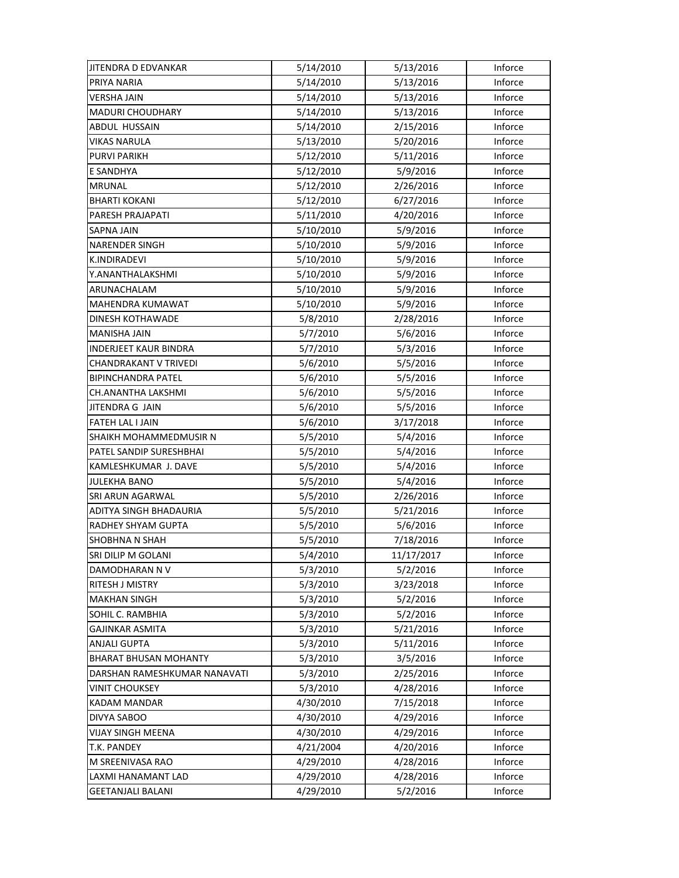| JITENDRA D EDVANKAR          | 5/14/2010 | 5/13/2016  | Inforce |
|------------------------------|-----------|------------|---------|
| PRIYA NARIA                  | 5/14/2010 | 5/13/2016  | Inforce |
| <b>VERSHA JAIN</b>           | 5/14/2010 | 5/13/2016  | Inforce |
| <b>MADURI CHOUDHARY</b>      | 5/14/2010 | 5/13/2016  | Inforce |
| ABDUL HUSSAIN                | 5/14/2010 | 2/15/2016  | Inforce |
| <b>VIKAS NARULA</b>          | 5/13/2010 | 5/20/2016  | Inforce |
| <b>PURVI PARIKH</b>          | 5/12/2010 | 5/11/2016  | Inforce |
| <b>E SANDHYA</b>             | 5/12/2010 | 5/9/2016   | Inforce |
| <b>MRUNAL</b>                | 5/12/2010 | 2/26/2016  | Inforce |
| <b>BHARTI KOKANI</b>         | 5/12/2010 | 6/27/2016  | Inforce |
| PARESH PRAJAPATI             | 5/11/2010 | 4/20/2016  | Inforce |
| SAPNA JAIN                   | 5/10/2010 | 5/9/2016   | Inforce |
| <b>NARENDER SINGH</b>        | 5/10/2010 | 5/9/2016   | Inforce |
| K.INDIRADEVI                 | 5/10/2010 | 5/9/2016   | Inforce |
| Y.ANANTHALAKSHMI             | 5/10/2010 | 5/9/2016   | Inforce |
| ARUNACHALAM                  | 5/10/2010 | 5/9/2016   | Inforce |
| MAHENDRA KUMAWAT             | 5/10/2010 | 5/9/2016   | Inforce |
| DINESH KOTHAWADE             | 5/8/2010  | 2/28/2016  | Inforce |
| MANISHA JAIN                 | 5/7/2010  | 5/6/2016   | Inforce |
| INDERJEET KAUR BINDRA        | 5/7/2010  | 5/3/2016   | Inforce |
| CHANDRAKANT V TRIVEDI        | 5/6/2010  | 5/5/2016   | Inforce |
| <b>BIPINCHANDRA PATEL</b>    | 5/6/2010  | 5/5/2016   | Inforce |
| CH.ANANTHA LAKSHMI           | 5/6/2010  | 5/5/2016   | Inforce |
| JITENDRA G JAIN              | 5/6/2010  | 5/5/2016   | Inforce |
| <b>FATEH LAL I JAIN</b>      | 5/6/2010  | 3/17/2018  | Inforce |
| SHAIKH MOHAMMEDMUSIR N       | 5/5/2010  | 5/4/2016   | Inforce |
| PATEL SANDIP SURESHBHAI      | 5/5/2010  | 5/4/2016   | Inforce |
| KAMLESHKUMAR J. DAVE         | 5/5/2010  | 5/4/2016   | Inforce |
| JULEKHA BANO                 | 5/5/2010  | 5/4/2016   | Inforce |
| <b>SRI ARUN AGARWAL</b>      | 5/5/2010  | 2/26/2016  | Inforce |
| ADITYA SINGH BHADAURIA       | 5/5/2010  | 5/21/2016  | Inforce |
| <b>RADHEY SHYAM GUPTA</b>    | 5/5/2010  | 5/6/2016   | Inforce |
| <b>SHOBHNA N SHAH</b>        | 5/5/2010  | 7/18/2016  | Inforce |
| SRI DILIP M GOLANI           | 5/4/2010  | 11/17/2017 | Inforce |
| DAMODHARAN N V               | 5/3/2010  | 5/2/2016   | Inforce |
| <b>RITESH J MISTRY</b>       | 5/3/2010  | 3/23/2018  | Inforce |
| <b>MAKHAN SINGH</b>          | 5/3/2010  | 5/2/2016   | Inforce |
| SOHIL C. RAMBHIA             | 5/3/2010  | 5/2/2016   | Inforce |
| <b>GAJINKAR ASMITA</b>       | 5/3/2010  | 5/21/2016  | Inforce |
| <b>ANJALI GUPTA</b>          | 5/3/2010  | 5/11/2016  | Inforce |
| <b>BHARAT BHUSAN MOHANTY</b> | 5/3/2010  | 3/5/2016   | Inforce |
| DARSHAN RAMESHKUMAR NANAVATI | 5/3/2010  | 2/25/2016  | Inforce |
| <b>VINIT CHOUKSEY</b>        | 5/3/2010  | 4/28/2016  | Inforce |
| KADAM MANDAR                 | 4/30/2010 | 7/15/2018  | Inforce |
| DIVYA SABOO                  | 4/30/2010 | 4/29/2016  | Inforce |
| VIJAY SINGH MEENA            | 4/30/2010 | 4/29/2016  | Inforce |
| T.K. PANDEY                  | 4/21/2004 | 4/20/2016  | Inforce |
| M SREENIVASA RAO             | 4/29/2010 | 4/28/2016  | Inforce |
| LAXMI HANAMANT LAD           | 4/29/2010 | 4/28/2016  | Inforce |
| <b>GEETANJALI BALANI</b>     | 4/29/2010 | 5/2/2016   | Inforce |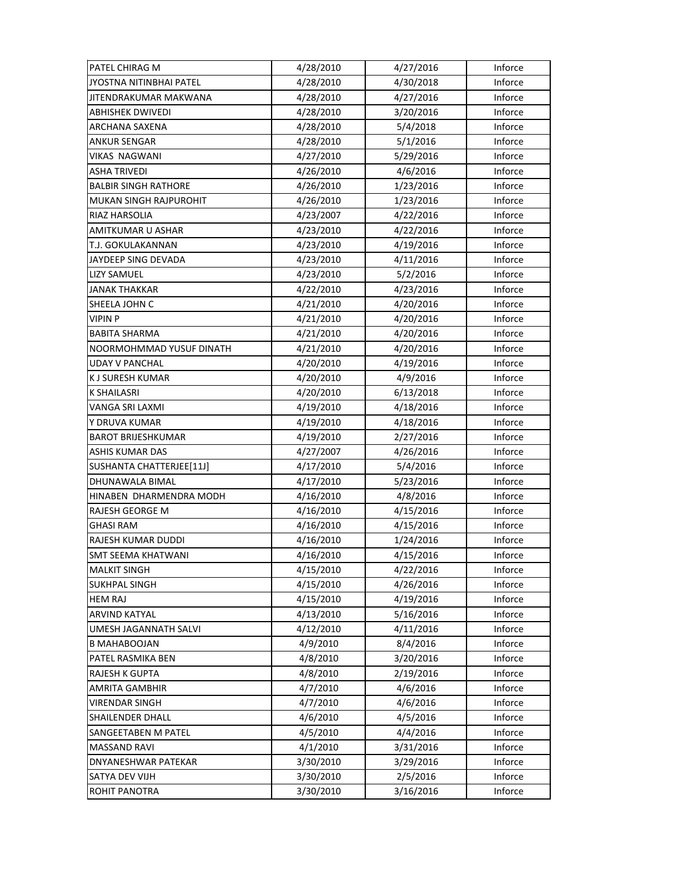| PATEL CHIRAG M              | 4/28/2010 | 4/27/2016 | Inforce |
|-----------------------------|-----------|-----------|---------|
| JYOSTNA NITINBHAI PATEL     | 4/28/2010 | 4/30/2018 | Inforce |
| JITENDRAKUMAR MAKWANA       | 4/28/2010 | 4/27/2016 | Inforce |
| <b>ABHISHEK DWIVEDI</b>     | 4/28/2010 | 3/20/2016 | Inforce |
| ARCHANA SAXENA              | 4/28/2010 | 5/4/2018  | Inforce |
| <b>ANKUR SENGAR</b>         | 4/28/2010 | 5/1/2016  | Inforce |
| VIKAS NAGWANI               | 4/27/2010 | 5/29/2016 | Inforce |
| <b>ASHA TRIVEDI</b>         | 4/26/2010 | 4/6/2016  | Inforce |
| <b>BALBIR SINGH RATHORE</b> | 4/26/2010 | 1/23/2016 | Inforce |
| MUKAN SINGH RAJPUROHIT      | 4/26/2010 | 1/23/2016 | Inforce |
| RIAZ HARSOLIA               | 4/23/2007 | 4/22/2016 | Inforce |
| AMITKUMAR U ASHAR           | 4/23/2010 | 4/22/2016 | Inforce |
| T.J. GOKULAKANNAN           | 4/23/2010 | 4/19/2016 | Inforce |
| JAYDEEP SING DEVADA         | 4/23/2010 | 4/11/2016 | Inforce |
| <b>LIZY SAMUEL</b>          | 4/23/2010 | 5/2/2016  | Inforce |
| <b>JANAK THAKKAR</b>        | 4/22/2010 | 4/23/2016 | Inforce |
| SHEELA JOHN C               | 4/21/2010 | 4/20/2016 | Inforce |
| <b>VIPIN P</b>              | 4/21/2010 | 4/20/2016 | Inforce |
| <b>BABITA SHARMA</b>        | 4/21/2010 | 4/20/2016 | Inforce |
| NOORMOHMMAD YUSUF DINATH    | 4/21/2010 | 4/20/2016 | Inforce |
| <b>UDAY V PANCHAL</b>       | 4/20/2010 | 4/19/2016 | Inforce |
| K J SURESH KUMAR            | 4/20/2010 | 4/9/2016  | Inforce |
| <b>K SHAILASRI</b>          | 4/20/2010 | 6/13/2018 | Inforce |
| VANGA SRI LAXMI             | 4/19/2010 | 4/18/2016 | Inforce |
| Y DRUVA KUMAR               | 4/19/2010 | 4/18/2016 | Inforce |
| <b>BAROT BRIJESHKUMAR</b>   | 4/19/2010 | 2/27/2016 | Inforce |
| <b>ASHIS KUMAR DAS</b>      | 4/27/2007 | 4/26/2016 | Inforce |
| SUSHANTA CHATTERJEE[11J]    | 4/17/2010 | 5/4/2016  | Inforce |
| DHUNAWALA BIMAL             | 4/17/2010 | 5/23/2016 | Inforce |
| HINABEN DHARMENDRA MODH     | 4/16/2010 | 4/8/2016  | Inforce |
| RAJESH GEORGE M             | 4/16/2010 | 4/15/2016 | Inforce |
| GHASI RAM                   | 4/16/2010 | 4/15/2016 | Inforce |
| RAJESH KUMAR DUDDI          | 4/16/2010 | 1/24/2016 | Inforce |
| <b>SMT SEEMA KHATWANI</b>   | 4/16/2010 | 4/15/2016 | Inforce |
| <b>MALKIT SINGH</b>         | 4/15/2010 | 4/22/2016 | Inforce |
| <b>SUKHPAL SINGH</b>        | 4/15/2010 | 4/26/2016 | Inforce |
| <b>HEM RAJ</b>              | 4/15/2010 | 4/19/2016 | Inforce |
| <b>ARVIND KATYAL</b>        | 4/13/2010 | 5/16/2016 | Inforce |
| UMESH JAGANNATH SALVI       | 4/12/2010 | 4/11/2016 | Inforce |
| <b>B MAHABOOJAN</b>         | 4/9/2010  | 8/4/2016  | Inforce |
| PATEL RASMIKA BEN           | 4/8/2010  | 3/20/2016 | Inforce |
| RAJESH K GUPTA              | 4/8/2010  | 2/19/2016 | Inforce |
| <b>AMRITA GAMBHIR</b>       | 4/7/2010  | 4/6/2016  | Inforce |
| <b>VIRENDAR SINGH</b>       | 4/7/2010  | 4/6/2016  | Inforce |
| SHAILENDER DHALL            | 4/6/2010  | 4/5/2016  | Inforce |
| SANGEETABEN M PATEL         | 4/5/2010  | 4/4/2016  | Inforce |
| <b>MASSAND RAVI</b>         | 4/1/2010  | 3/31/2016 | Inforce |
| DNYANESHWAR PATEKAR         | 3/30/2010 | 3/29/2016 | Inforce |
| SATYA DEV VIJH              | 3/30/2010 | 2/5/2016  | Inforce |
| ROHIT PANOTRA               | 3/30/2010 | 3/16/2016 | Inforce |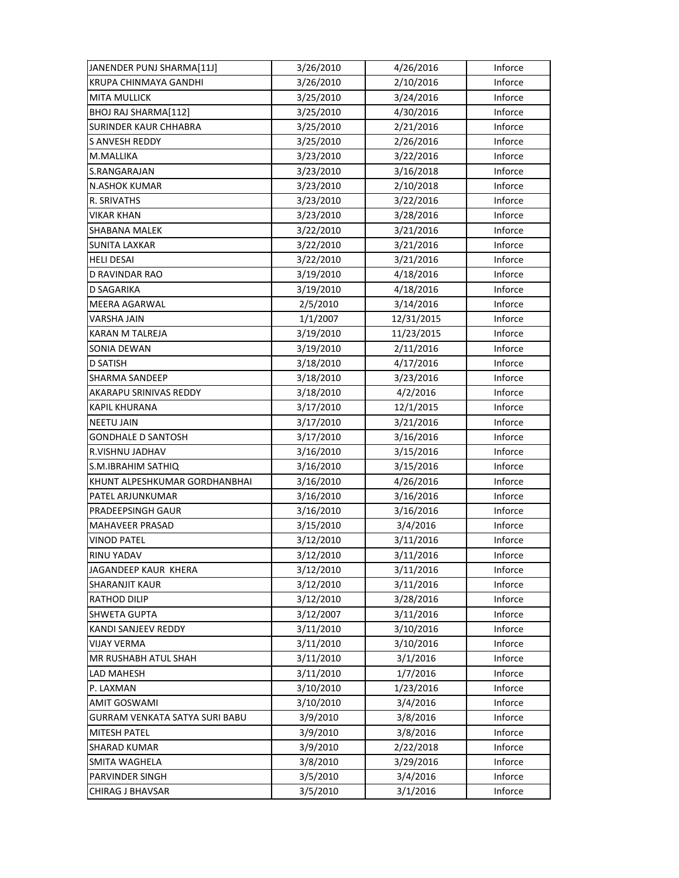| JANENDER PUNJ SHARMA[11J]      | 3/26/2010 | 4/26/2016  | Inforce |
|--------------------------------|-----------|------------|---------|
| KRUPA CHINMAYA GANDHI          | 3/26/2010 | 2/10/2016  | Inforce |
| <b>MITA MULLICK</b>            | 3/25/2010 | 3/24/2016  | Inforce |
| BHOJ RAJ SHARMA[112]           | 3/25/2010 | 4/30/2016  | Inforce |
| SURINDER KAUR CHHABRA          | 3/25/2010 | 2/21/2016  | Inforce |
| <b>S ANVESH REDDY</b>          | 3/25/2010 | 2/26/2016  | Inforce |
| M.MALLIKA                      | 3/23/2010 | 3/22/2016  | Inforce |
| S.RANGARAJAN                   | 3/23/2010 | 3/16/2018  | Inforce |
| N.ASHOK KUMAR                  | 3/23/2010 | 2/10/2018  | Inforce |
| R. SRIVATHS                    | 3/23/2010 | 3/22/2016  | Inforce |
| <b>VIKAR KHAN</b>              | 3/23/2010 | 3/28/2016  | Inforce |
| SHABANA MALEK                  | 3/22/2010 | 3/21/2016  | Inforce |
| <b>SUNITA LAXKAR</b>           | 3/22/2010 | 3/21/2016  | Inforce |
| <b>HELI DESAI</b>              | 3/22/2010 | 3/21/2016  | Inforce |
| D RAVINDAR RAO                 | 3/19/2010 | 4/18/2016  | Inforce |
| <b>D SAGARIKA</b>              | 3/19/2010 | 4/18/2016  | Inforce |
| <b>MEERA AGARWAL</b>           | 2/5/2010  | 3/14/2016  | Inforce |
| VARSHA JAIN                    | 1/1/2007  | 12/31/2015 | Inforce |
| <b>KARAN M TALREJA</b>         | 3/19/2010 | 11/23/2015 | Inforce |
| SONIA DEWAN                    | 3/19/2010 | 2/11/2016  | Inforce |
| <b>D SATISH</b>                | 3/18/2010 | 4/17/2016  | Inforce |
| SHARMA SANDEEP                 | 3/18/2010 | 3/23/2016  | Inforce |
| AKARAPU SRINIVAS REDDY         | 3/18/2010 | 4/2/2016   | Inforce |
| <b>KAPIL KHURANA</b>           | 3/17/2010 | 12/1/2015  | Inforce |
| <b>NEETU JAIN</b>              | 3/17/2010 | 3/21/2016  | Inforce |
| <b>GONDHALE D SANTOSH</b>      | 3/17/2010 | 3/16/2016  | Inforce |
| R.VISHNU JADHAV                | 3/16/2010 | 3/15/2016  | Inforce |
| S.M.IBRAHIM SATHIQ             | 3/16/2010 | 3/15/2016  | Inforce |
| KHUNT ALPESHKUMAR GORDHANBHAI  | 3/16/2010 | 4/26/2016  | Inforce |
| PATEL ARJUNKUMAR               | 3/16/2010 | 3/16/2016  | Inforce |
| PRADEEPSINGH GAUR              | 3/16/2010 | 3/16/2016  | Inforce |
| MAHAVEER PRASAD                | 3/15/2010 | 3/4/2016   | Inforce |
| <b>VINOD PATEL</b>             | 3/12/2010 | 3/11/2016  | Inforce |
| RINU YADAV                     | 3/12/2010 | 3/11/2016  | Inforce |
| JAGANDEEP KAUR KHERA           | 3/12/2010 | 3/11/2016  | Inforce |
| <b>SHARANJIT KAUR</b>          | 3/12/2010 | 3/11/2016  | Inforce |
| <b>RATHOD DILIP</b>            | 3/12/2010 | 3/28/2016  | Inforce |
| <b>SHWETA GUPTA</b>            | 3/12/2007 | 3/11/2016  | Inforce |
| KANDI SANJEEV REDDY            | 3/11/2010 | 3/10/2016  | Inforce |
| <b>VIJAY VERMA</b>             | 3/11/2010 | 3/10/2016  | Inforce |
| MR RUSHABH ATUL SHAH           | 3/11/2010 | 3/1/2016   | Inforce |
| LAD MAHESH                     | 3/11/2010 | 1/7/2016   | Inforce |
| P. LAXMAN                      | 3/10/2010 | 1/23/2016  | Inforce |
| AMIT GOSWAMI                   | 3/10/2010 | 3/4/2016   | Inforce |
| GURRAM VENKATA SATYA SURI BABU | 3/9/2010  | 3/8/2016   | Inforce |
| <b>MITESH PATEL</b>            | 3/9/2010  | 3/8/2016   | Inforce |
| <b>SHARAD KUMAR</b>            | 3/9/2010  | 2/22/2018  | Inforce |
| SMITA WAGHELA                  | 3/8/2010  | 3/29/2016  | Inforce |
| PARVINDER SINGH                | 3/5/2010  | 3/4/2016   | Inforce |
| CHIRAG J BHAVSAR               | 3/5/2010  | 3/1/2016   | Inforce |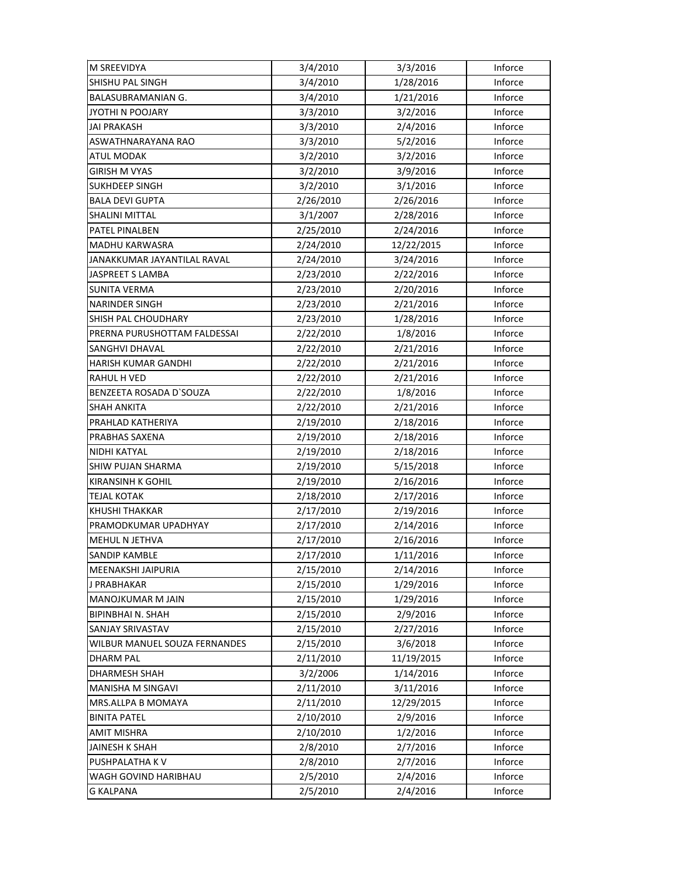| <b>M SREEVIDYA</b>            | 3/4/2010  | 3/3/2016   | Inforce |
|-------------------------------|-----------|------------|---------|
| <b>SHISHU PAL SINGH</b>       | 3/4/2010  | 1/28/2016  | Inforce |
| <b>BALASUBRAMANIAN G.</b>     | 3/4/2010  | 1/21/2016  | Inforce |
| JYOTHI N POOJARY              | 3/3/2010  | 3/2/2016   | Inforce |
| <b>JAI PRAKASH</b>            | 3/3/2010  | 2/4/2016   | Inforce |
| ASWATHNARAYANA RAO            | 3/3/2010  | 5/2/2016   | Inforce |
| <b>ATUL MODAK</b>             | 3/2/2010  | 3/2/2016   | Inforce |
| <b>GIRISH M VYAS</b>          | 3/2/2010  | 3/9/2016   | Inforce |
| <b>SUKHDEEP SINGH</b>         | 3/2/2010  | 3/1/2016   | Inforce |
| <b>BALA DEVI GUPTA</b>        | 2/26/2010 | 2/26/2016  | Inforce |
| <b>SHALINI MITTAL</b>         | 3/1/2007  | 2/28/2016  | Inforce |
| PATEL PINALBEN                | 2/25/2010 | 2/24/2016  | Inforce |
| MADHU KARWASRA                | 2/24/2010 | 12/22/2015 | Inforce |
| JANAKKUMAR JAYANTILAL RAVAL   | 2/24/2010 | 3/24/2016  | Inforce |
| JASPREET S LAMBA              | 2/23/2010 | 2/22/2016  | Inforce |
| <b>SUNITA VERMA</b>           | 2/23/2010 | 2/20/2016  | Inforce |
| <b>NARINDER SINGH</b>         | 2/23/2010 | 2/21/2016  | Inforce |
| SHISH PAL CHOUDHARY           | 2/23/2010 | 1/28/2016  | Inforce |
| PRERNA PURUSHOTTAM FALDESSAI  | 2/22/2010 | 1/8/2016   | Inforce |
| SANGHVI DHAVAL                | 2/22/2010 | 2/21/2016  | Inforce |
| <b>HARISH KUMAR GANDHI</b>    | 2/22/2010 | 2/21/2016  | Inforce |
| RAHUL H VED                   | 2/22/2010 | 2/21/2016  | Inforce |
| BENZEETA ROSADA D'SOUZA       | 2/22/2010 | 1/8/2016   | Inforce |
| <b>SHAH ANKITA</b>            | 2/22/2010 | 2/21/2016  | Inforce |
| PRAHLAD KATHERIYA             | 2/19/2010 | 2/18/2016  | Inforce |
| PRABHAS SAXENA                | 2/19/2010 | 2/18/2016  | Inforce |
| NIDHI KATYAL                  | 2/19/2010 | 2/18/2016  | Inforce |
| SHIW PUJAN SHARMA             | 2/19/2010 | 5/15/2018  | Inforce |
| <b>KIRANSINH K GOHIL</b>      | 2/19/2010 | 2/16/2016  | Inforce |
| <b>TEJAL KOTAK</b>            | 2/18/2010 | 2/17/2016  | Inforce |
| <b>KHUSHI THAKKAR</b>         | 2/17/2010 | 2/19/2016  | Inforce |
| PRAMODKUMAR UPADHYAY          | 2/17/2010 | 2/14/2016  | Inforce |
| MEHUL N JETHVA                | 2/17/2010 | 2/16/2016  | Inforce |
| SANDIP KAMBLE                 | 2/17/2010 | 1/11/2016  | Inforce |
| MEENAKSHI JAIPURIA            | 2/15/2010 | 2/14/2016  | Inforce |
| J PRABHAKAR                   | 2/15/2010 | 1/29/2016  | Inforce |
| <b>MANOJKUMAR M JAIN</b>      | 2/15/2010 | 1/29/2016  | Inforce |
| <b>BIPINBHAI N. SHAH</b>      | 2/15/2010 | 2/9/2016   | Inforce |
| SANJAY SRIVASTAV              | 2/15/2010 | 2/27/2016  | Inforce |
| WILBUR MANUEL SOUZA FERNANDES | 2/15/2010 | 3/6/2018   | Inforce |
| <b>DHARM PAL</b>              | 2/11/2010 | 11/19/2015 | Inforce |
| <b>DHARMESH SHAH</b>          | 3/2/2006  | 1/14/2016  | Inforce |
| <b>MANISHA M SINGAVI</b>      | 2/11/2010 | 3/11/2016  | Inforce |
| MRS.ALLPA B MOMAYA            | 2/11/2010 | 12/29/2015 | Inforce |
| <b>BINITA PATEL</b>           | 2/10/2010 | 2/9/2016   | Inforce |
| <b>AMIT MISHRA</b>            | 2/10/2010 | 1/2/2016   | Inforce |
| <b>JAINESH K SHAH</b>         | 2/8/2010  | 2/7/2016   | Inforce |
| PUSHPALATHA K V               | 2/8/2010  | 2/7/2016   | Inforce |
| WAGH GOVIND HARIBHAU          | 2/5/2010  | 2/4/2016   | Inforce |
| G KALPANA                     | 2/5/2010  | 2/4/2016   | Inforce |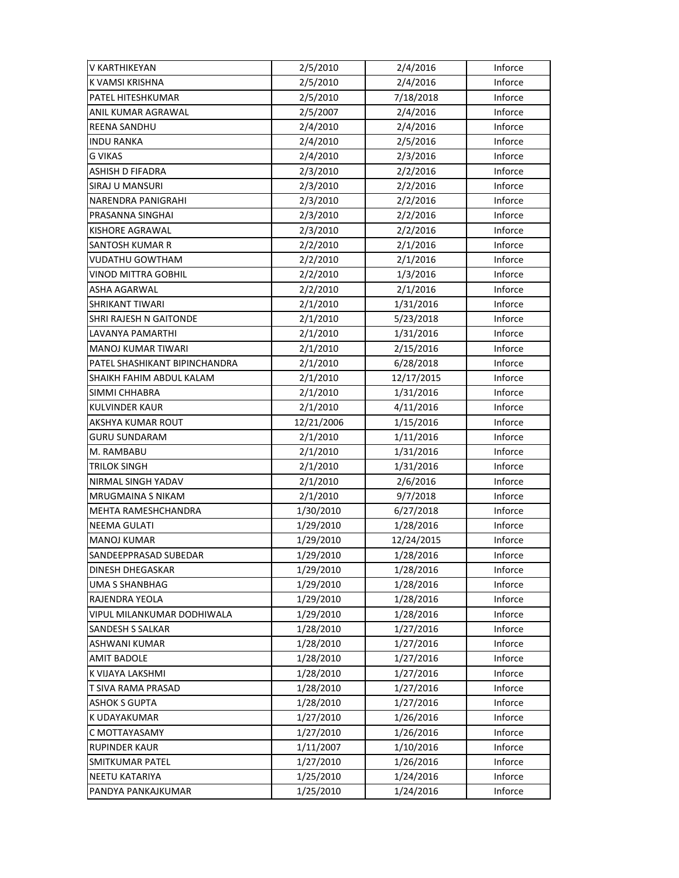| V KARTHIKEYAN                 | 2/5/2010   | 2/4/2016   | Inforce |
|-------------------------------|------------|------------|---------|
| <b>K VAMSI KRISHNA</b>        | 2/5/2010   | 2/4/2016   | Inforce |
| PATEL HITESHKUMAR             | 2/5/2010   | 7/18/2018  | Inforce |
| ANIL KUMAR AGRAWAL            | 2/5/2007   | 2/4/2016   | Inforce |
| REENA SANDHU                  | 2/4/2010   | 2/4/2016   | Inforce |
| <b>INDU RANKA</b>             | 2/4/2010   | 2/5/2016   | Inforce |
| <b>G VIKAS</b>                | 2/4/2010   | 2/3/2016   | Inforce |
| <b>ASHISH D FIFADRA</b>       | 2/3/2010   | 2/2/2016   | Inforce |
| SIRAJ U MANSURI               | 2/3/2010   | 2/2/2016   | Inforce |
| NARENDRA PANIGRAHI            | 2/3/2010   | 2/2/2016   | Inforce |
| PRASANNA SINGHAI              | 2/3/2010   | 2/2/2016   | Inforce |
| KISHORE AGRAWAL               | 2/3/2010   | 2/2/2016   | Inforce |
| SANTOSH KUMAR R               | 2/2/2010   | 2/1/2016   | Inforce |
| VUDATHU GOWTHAM               | 2/2/2010   | 2/1/2016   | Inforce |
| VINOD MITTRA GOBHIL           | 2/2/2010   | 1/3/2016   | Inforce |
| ASHA AGARWAL                  | 2/2/2010   | 2/1/2016   | Inforce |
| <b>SHRIKANT TIWARI</b>        | 2/1/2010   | 1/31/2016  | Inforce |
| <b>SHRI RAJESH N GAITONDE</b> | 2/1/2010   | 5/23/2018  | Inforce |
| LAVANYA PAMARTHI              | 2/1/2010   | 1/31/2016  | Inforce |
| MANOJ KUMAR TIWARI            | 2/1/2010   | 2/15/2016  | Inforce |
| PATEL SHASHIKANT BIPINCHANDRA | 2/1/2010   | 6/28/2018  | Inforce |
| SHAIKH FAHIM ABDUL KALAM      | 2/1/2010   | 12/17/2015 | Inforce |
| SIMMI CHHABRA                 | 2/1/2010   | 1/31/2016  | Inforce |
| KULVINDER KAUR                | 2/1/2010   | 4/11/2016  | Inforce |
| AKSHYA KUMAR ROUT             | 12/21/2006 | 1/15/2016  | Inforce |
| <b>GURU SUNDARAM</b>          | 2/1/2010   | 1/11/2016  | Inforce |
| M. RAMBABU                    | 2/1/2010   | 1/31/2016  | Inforce |
| TRILOK SINGH                  | 2/1/2010   | 1/31/2016  | Inforce |
| NIRMAL SINGH YADAV            | 2/1/2010   | 2/6/2016   | Inforce |
| <b>MRUGMAINA S NIKAM</b>      | 2/1/2010   | 9/7/2018   | Inforce |
| MEHTA RAMESHCHANDRA           | 1/30/2010  | 6/27/2018  | Inforce |
| <b>NEEMA GULATI</b>           | 1/29/2010  | 1/28/2016  | Inforce |
| <b>MANOJ KUMAR</b>            | 1/29/2010  | 12/24/2015 | Inforce |
| SANDEEPPRASAD SUBEDAR         | 1/29/2010  | 1/28/2016  | Inforce |
| DINESH DHEGASKAR              | 1/29/2010  | 1/28/2016  | Inforce |
| UMA S SHANBHAG                | 1/29/2010  | 1/28/2016  | Inforce |
| RAJENDRA YEOLA                | 1/29/2010  | 1/28/2016  | Inforce |
| VIPUL MILANKUMAR DODHIWALA    | 1/29/2010  | 1/28/2016  | Inforce |
| <b>SANDESH S SALKAR</b>       | 1/28/2010  | 1/27/2016  | Inforce |
| ASHWANI KUMAR                 | 1/28/2010  | 1/27/2016  | Inforce |
| <b>AMIT BADOLE</b>            | 1/28/2010  | 1/27/2016  | Inforce |
| K VIJAYA LAKSHMI              | 1/28/2010  | 1/27/2016  | Inforce |
| T SIVA RAMA PRASAD            | 1/28/2010  | 1/27/2016  | Inforce |
| <b>ASHOK S GUPTA</b>          | 1/28/2010  | 1/27/2016  | Inforce |
| K UDAYAKUMAR                  | 1/27/2010  | 1/26/2016  | Inforce |
| C MOTTAYASAMY                 | 1/27/2010  | 1/26/2016  | Inforce |
| <b>RUPINDER KAUR</b>          | 1/11/2007  | 1/10/2016  | Inforce |
| SMITKUMAR PATEL               | 1/27/2010  | 1/26/2016  | Inforce |
| <b>NEETU KATARIYA</b>         | 1/25/2010  | 1/24/2016  | Inforce |
| PANDYA PANKAJKUMAR            | 1/25/2010  | 1/24/2016  | Inforce |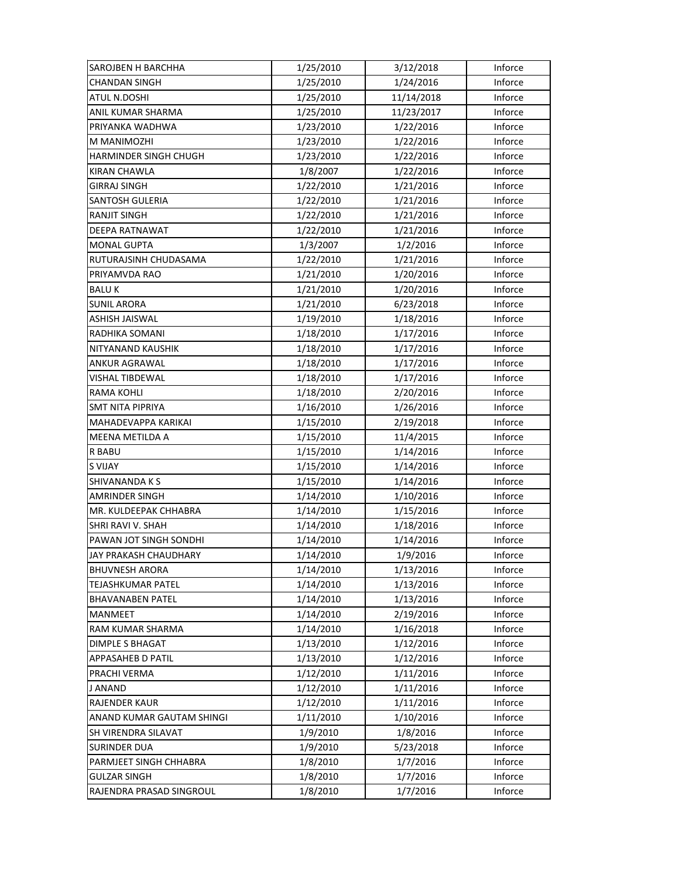| <b>SAROJBEN H BARCHHA</b> | 1/25/2010 | 3/12/2018  | Inforce |
|---------------------------|-----------|------------|---------|
| <b>CHANDAN SINGH</b>      | 1/25/2010 | 1/24/2016  | Inforce |
| ATUL N.DOSHI              | 1/25/2010 | 11/14/2018 | Inforce |
| ANIL KUMAR SHARMA         | 1/25/2010 | 11/23/2017 | Inforce |
| PRIYANKA WADHWA           | 1/23/2010 | 1/22/2016  | Inforce |
| M MANIMOZHI               | 1/23/2010 | 1/22/2016  | Inforce |
| HARMINDER SINGH CHUGH     | 1/23/2010 | 1/22/2016  | Inforce |
| <b>KIRAN CHAWLA</b>       | 1/8/2007  | 1/22/2016  | Inforce |
| <b>GIRRAJ SINGH</b>       | 1/22/2010 | 1/21/2016  | Inforce |
| <b>SANTOSH GULERIA</b>    | 1/22/2010 | 1/21/2016  | Inforce |
| <b>RANJIT SINGH</b>       | 1/22/2010 | 1/21/2016  | Inforce |
| <b>DEEPA RATNAWAT</b>     | 1/22/2010 | 1/21/2016  | Inforce |
| <b>MONAL GUPTA</b>        | 1/3/2007  | 1/2/2016   | Inforce |
| RUTURAJSINH CHUDASAMA     | 1/22/2010 | 1/21/2016  | Inforce |
| PRIYAMVDA RAO             | 1/21/2010 | 1/20/2016  | Inforce |
| <b>BALUK</b>              | 1/21/2010 | 1/20/2016  | Inforce |
| <b>SUNIL ARORA</b>        | 1/21/2010 | 6/23/2018  | Inforce |
| ASHISH JAISWAL            | 1/19/2010 | 1/18/2016  | Inforce |
| RADHIKA SOMANI            | 1/18/2010 | 1/17/2016  | Inforce |
| NITYANAND KAUSHIK         | 1/18/2010 | 1/17/2016  | Inforce |
| ANKUR AGRAWAL             | 1/18/2010 | 1/17/2016  | Inforce |
| VISHAL TIBDEWAL           | 1/18/2010 | 1/17/2016  | Inforce |
| RAMA KOHLI                | 1/18/2010 | 2/20/2016  | Inforce |
| <b>SMT NITA PIPRIYA</b>   | 1/16/2010 | 1/26/2016  | Inforce |
| MAHADEVAPPA KARIKAI       | 1/15/2010 | 2/19/2018  | Inforce |
| <b>MEENA METILDA A</b>    | 1/15/2010 | 11/4/2015  | Inforce |
| <b>R BABU</b>             | 1/15/2010 | 1/14/2016  | Inforce |
| <b>S VIJAY</b>            | 1/15/2010 | 1/14/2016  | Inforce |
| SHIVANANDA K S            | 1/15/2010 | 1/14/2016  | Inforce |
| <b>AMRINDER SINGH</b>     | 1/14/2010 | 1/10/2016  | Inforce |
| MR. KULDEEPAK CHHABRA     | 1/14/2010 | 1/15/2016  | Inforce |
| SHRI RAVI V. SHAH         | 1/14/2010 | 1/18/2016  | Inforce |
| PAWAN JOT SINGH SONDHI    | 1/14/2010 | 1/14/2016  | Inforce |
| JAY PRAKASH CHAUDHARY     | 1/14/2010 | 1/9/2016   | Inforce |
| <b>BHUVNESH ARORA</b>     | 1/14/2010 | 1/13/2016  | Inforce |
| <b>TEJASHKUMAR PATEL</b>  | 1/14/2010 | 1/13/2016  | Inforce |
| <b>BHAVANABEN PATEL</b>   | 1/14/2010 | 1/13/2016  | Inforce |
| <b>MANMEET</b>            | 1/14/2010 | 2/19/2016  | Inforce |
| RAM KUMAR SHARMA          | 1/14/2010 | 1/16/2018  | Inforce |
| <b>DIMPLE S BHAGAT</b>    | 1/13/2010 | 1/12/2016  | Inforce |
| APPASAHEB D PATIL         | 1/13/2010 | 1/12/2016  | Inforce |
| PRACHI VERMA              | 1/12/2010 | 1/11/2016  | Inforce |
| J ANAND                   | 1/12/2010 | 1/11/2016  | Inforce |
| <b>RAJENDER KAUR</b>      | 1/12/2010 | 1/11/2016  | Inforce |
| ANAND KUMAR GAUTAM SHINGI | 1/11/2010 | 1/10/2016  | Inforce |
| SH VIRENDRA SILAVAT       | 1/9/2010  | 1/8/2016   | Inforce |
| <b>SURINDER DUA</b>       | 1/9/2010  | 5/23/2018  | Inforce |
| PARMJEET SINGH CHHABRA    | 1/8/2010  | 1/7/2016   | Inforce |
| <b>GULZAR SINGH</b>       | 1/8/2010  | 1/7/2016   | Inforce |
| RAJENDRA PRASAD SINGROUL  | 1/8/2010  | 1/7/2016   | Inforce |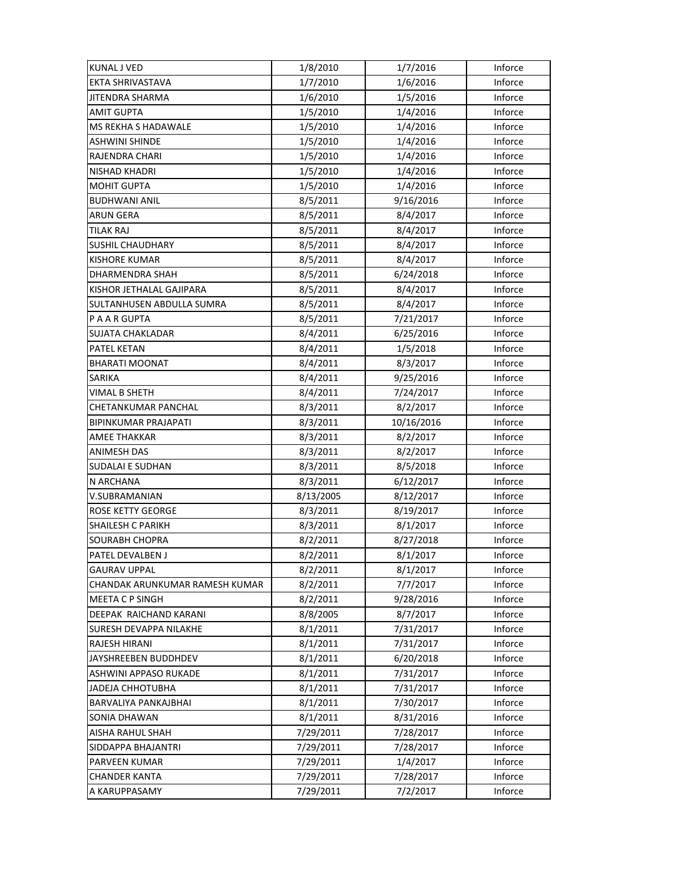| <b>KUNAL J VED</b>             | 1/8/2010  | 1/7/2016   | Inforce |
|--------------------------------|-----------|------------|---------|
| <b>EKTA SHRIVASTAVA</b>        | 1/7/2010  | 1/6/2016   | Inforce |
| <b>JITENDRA SHARMA</b>         | 1/6/2010  | 1/5/2016   | Inforce |
| AMIT GUPTA                     | 1/5/2010  | 1/4/2016   | Inforce |
| <b>MS REKHA S HADAWALE</b>     | 1/5/2010  | 1/4/2016   | Inforce |
| <b>ASHWINI SHINDE</b>          | 1/5/2010  | 1/4/2016   | Inforce |
| RAJENDRA CHARI                 | 1/5/2010  | 1/4/2016   | Inforce |
| <b>NISHAD KHADRI</b>           | 1/5/2010  | 1/4/2016   | Inforce |
| <b>MOHIT GUPTA</b>             | 1/5/2010  | 1/4/2016   | Inforce |
| <b>BUDHWANI ANIL</b>           | 8/5/2011  | 9/16/2016  | Inforce |
| <b>ARUN GERA</b>               | 8/5/2011  | 8/4/2017   | Inforce |
| <b>TILAK RAJ</b>               | 8/5/2011  | 8/4/2017   | Inforce |
| <b>SUSHIL CHAUDHARY</b>        | 8/5/2011  | 8/4/2017   | Inforce |
| <b>KISHORE KUMAR</b>           | 8/5/2011  | 8/4/2017   | Inforce |
| DHARMENDRA SHAH                | 8/5/2011  | 6/24/2018  | Inforce |
| KISHOR JETHALAL GAJIPARA       | 8/5/2011  | 8/4/2017   | Inforce |
| SULTANHUSEN ABDULLA SUMRA      | 8/5/2011  | 8/4/2017   | Inforce |
| P A A R GUPTA                  | 8/5/2011  | 7/21/2017  | Inforce |
| SUJATA CHAKLADAR               | 8/4/2011  | 6/25/2016  | Inforce |
| PATEL KETAN                    | 8/4/2011  | 1/5/2018   | Inforce |
| <b>BHARATI MOONAT</b>          | 8/4/2011  | 8/3/2017   | Inforce |
| SARIKA                         | 8/4/2011  | 9/25/2016  | Inforce |
| VIMAL B SHETH                  | 8/4/2011  | 7/24/2017  | Inforce |
| CHETANKUMAR PANCHAL            | 8/3/2011  | 8/2/2017   | Inforce |
| <b>BIPINKUMAR PRAJAPATI</b>    | 8/3/2011  | 10/16/2016 | Inforce |
| <b>AMEE THAKKAR</b>            | 8/3/2011  | 8/2/2017   | Inforce |
| <b>ANIMESH DAS</b>             | 8/3/2011  | 8/2/2017   | Inforce |
| SUDALAI E SUDHAN               | 8/3/2011  | 8/5/2018   | Inforce |
| N ARCHANA                      | 8/3/2011  | 6/12/2017  | Inforce |
| V.SUBRAMANIAN                  | 8/13/2005 | 8/12/2017  | Inforce |
| ROSE KETTY GEORGE              | 8/3/2011  | 8/19/2017  | Inforce |
| <b>SHAILESH C PARIKH</b>       | 8/3/2011  | 8/1/2017   | Inforce |
| SOURABH CHOPRA                 | 8/2/2011  | 8/27/2018  | Inforce |
| PATEL DEVALBEN J               | 8/2/2011  | 8/1/2017   | Inforce |
| GAURAV UPPAL                   | 8/2/2011  | 8/1/2017   | Inforce |
| CHANDAK ARUNKUMAR RAMESH KUMAR | 8/2/2011  | 7/7/2017   | Inforce |
| <b>MEETA C P SINGH</b>         | 8/2/2011  | 9/28/2016  | Inforce |
| DEEPAK RAICHAND KARANI         | 8/8/2005  | 8/7/2017   | Inforce |
| SURESH DEVAPPA NILAKHE         | 8/1/2011  | 7/31/2017  | Inforce |
| RAJESH HIRANI                  | 8/1/2011  | 7/31/2017  | Inforce |
| JAYSHREEBEN BUDDHDEV           | 8/1/2011  | 6/20/2018  | Inforce |
| ASHWINI APPASO RUKADE          | 8/1/2011  | 7/31/2017  | Inforce |
| <b>JADEJA CHHOTUBHA</b>        | 8/1/2011  | 7/31/2017  | Inforce |
| <b>BARVALIYA PANKAJBHAI</b>    | 8/1/2011  | 7/30/2017  | Inforce |
| SONIA DHAWAN                   | 8/1/2011  | 8/31/2016  | Inforce |
| AISHA RAHUL SHAH               | 7/29/2011 | 7/28/2017  | Inforce |
| SIDDAPPA BHAJANTRI             | 7/29/2011 | 7/28/2017  | Inforce |
| PARVEEN KUMAR                  | 7/29/2011 | 1/4/2017   | Inforce |
| CHANDER KANTA                  | 7/29/2011 | 7/28/2017  | Inforce |
| A KARUPPASAMY                  | 7/29/2011 | 7/2/2017   | Inforce |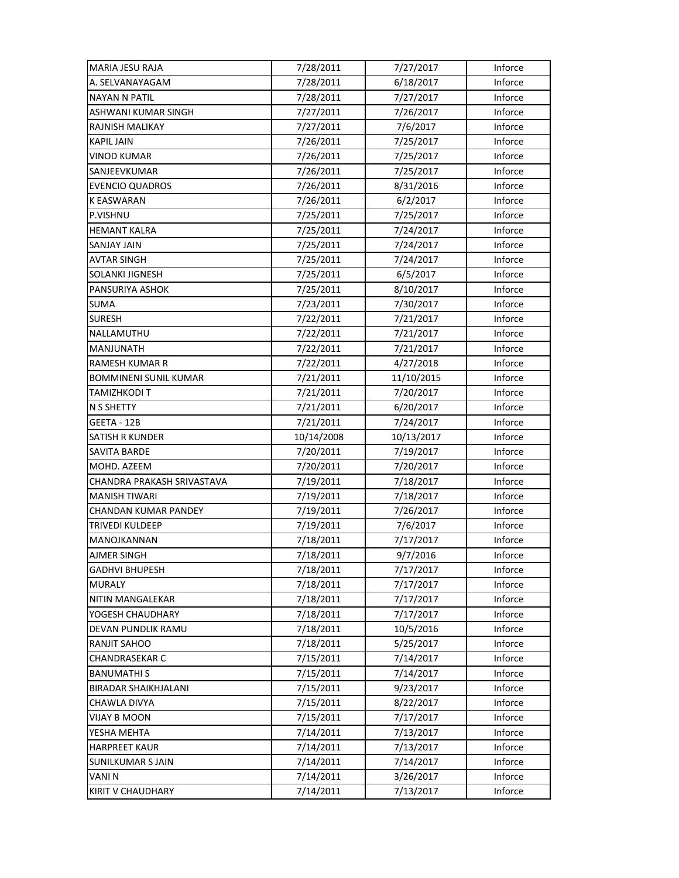| <b>MARIA JESU RAJA</b>     | 7/28/2011  | 7/27/2017  | Inforce |
|----------------------------|------------|------------|---------|
| A. SELVANAYAGAM            | 7/28/2011  | 6/18/2017  | Inforce |
| NAYAN N PATIL              | 7/28/2011  | 7/27/2017  | Inforce |
| ASHWANI KUMAR SINGH        | 7/27/2011  | 7/26/2017  | Inforce |
| RAJNISH MALIKAY            | 7/27/2011  | 7/6/2017   | Inforce |
| <b>KAPIL JAIN</b>          | 7/26/2011  | 7/25/2017  | Inforce |
| <b>VINOD KUMAR</b>         | 7/26/2011  | 7/25/2017  | Inforce |
| SANJEEVKUMAR               | 7/26/2011  | 7/25/2017  | Inforce |
| <b>EVENCIO QUADROS</b>     | 7/26/2011  | 8/31/2016  | Inforce |
| <b>K EASWARAN</b>          | 7/26/2011  | 6/2/2017   | Inforce |
| P.VISHNU                   | 7/25/2011  | 7/25/2017  | Inforce |
| <b>HEMANT KALRA</b>        | 7/25/2011  | 7/24/2017  | Inforce |
| SANJAY JAIN                | 7/25/2011  | 7/24/2017  | Inforce |
| <b>AVTAR SINGH</b>         | 7/25/2011  | 7/24/2017  | Inforce |
| SOLANKI JIGNESH            | 7/25/2011  | 6/5/2017   | Inforce |
| PANSURIYA ASHOK            | 7/25/2011  | 8/10/2017  | Inforce |
| <b>SUMA</b>                | 7/23/2011  | 7/30/2017  | Inforce |
| SURESH                     | 7/22/2011  | 7/21/2017  | Inforce |
| NALLAMUTHU                 | 7/22/2011  | 7/21/2017  | Inforce |
| MANJUNATH                  | 7/22/2011  | 7/21/2017  | Inforce |
| RAMESH KUMAR R             | 7/22/2011  | 4/27/2018  | Inforce |
| BOMMINENI SUNIL KUMAR      | 7/21/2011  | 11/10/2015 | Inforce |
| TAMIZHKODI T               | 7/21/2011  | 7/20/2017  | Inforce |
| N S SHETTY                 | 7/21/2011  | 6/20/2017  | Inforce |
| GEETA - 12B                | 7/21/2011  | 7/24/2017  | Inforce |
|                            |            |            |         |
| <b>SATISH R KUNDER</b>     | 10/14/2008 | 10/13/2017 | Inforce |
| SAVITA BARDE               | 7/20/2011  | 7/19/2017  | Inforce |
| MOHD. AZEEM                | 7/20/2011  | 7/20/2017  | Inforce |
| CHANDRA PRAKASH SRIVASTAVA | 7/19/2011  | 7/18/2017  | Inforce |
| <b>MANISH TIWARI</b>       | 7/19/2011  | 7/18/2017  | Inforce |
| CHANDAN KUMAR PANDEY       | 7/19/2011  | 7/26/2017  | Inforce |
| TRIVEDI KULDEEP            | 7/19/2011  | 7/6/2017   | Inforce |
| MANOJKANNAN                | 7/18/2011  | 7/17/2017  | Inforce |
| AJMER SINGH                | 7/18/2011  | 9/7/2016   | Inforce |
| <b>GADHVI BHUPESH</b>      | 7/18/2011  | 7/17/2017  | Inforce |
| <b>MURALY</b>              | 7/18/2011  | 7/17/2017  | Inforce |
| NITIN MANGALEKAR           | 7/18/2011  | 7/17/2017  | Inforce |
| YOGESH CHAUDHARY           | 7/18/2011  | 7/17/2017  | Inforce |
| DEVAN PUNDLIK RAMU         | 7/18/2011  | 10/5/2016  | Inforce |
| RANJIT SAHOO               | 7/18/2011  | 5/25/2017  | Inforce |
| CHANDRASEKAR C             | 7/15/2011  | 7/14/2017  | Inforce |
| <b>BANUMATHIS</b>          | 7/15/2011  | 7/14/2017  | Inforce |
| BIRADAR SHAIKHJALANI       | 7/15/2011  | 9/23/2017  | Inforce |
| CHAWLA DIVYA               | 7/15/2011  | 8/22/2017  | Inforce |
| VIJAY B MOON               | 7/15/2011  | 7/17/2017  | Inforce |
| YESHA MEHTA                | 7/14/2011  | 7/13/2017  | Inforce |
| <b>HARPREET KAUR</b>       | 7/14/2011  | 7/13/2017  | Inforce |
| <b>SUNILKUMAR S JAIN</b>   | 7/14/2011  | 7/14/2017  | Inforce |
| VANIN                      | 7/14/2011  | 3/26/2017  | Inforce |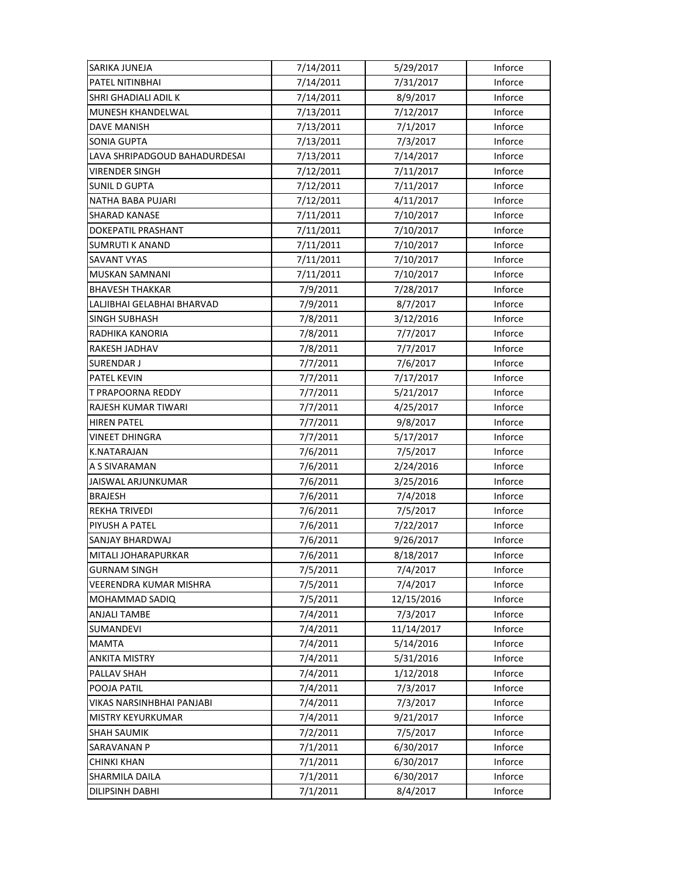| SARIKA JUNEJA                 | 7/14/2011 | 5/29/2017  | Inforce |
|-------------------------------|-----------|------------|---------|
| PATEL NITINBHAI               | 7/14/2011 | 7/31/2017  | Inforce |
| SHRI GHADIALI ADIL K          | 7/14/2011 | 8/9/2017   | Inforce |
| MUNESH KHANDELWAL             | 7/13/2011 | 7/12/2017  | Inforce |
| <b>DAVE MANISH</b>            | 7/13/2011 | 7/1/2017   | Inforce |
| <b>SONIA GUPTA</b>            | 7/13/2011 | 7/3/2017   | Inforce |
| LAVA SHRIPADGOUD BAHADURDESAI | 7/13/2011 | 7/14/2017  | Inforce |
| <b>VIRENDER SINGH</b>         | 7/12/2011 | 7/11/2017  | Inforce |
| <b>SUNIL D GUPTA</b>          | 7/12/2011 | 7/11/2017  | Inforce |
| NATHA BABA PUJARI             | 7/12/2011 | 4/11/2017  | Inforce |
| <b>SHARAD KANASE</b>          | 7/11/2011 | 7/10/2017  | Inforce |
| DOKEPATIL PRASHANT            | 7/11/2011 | 7/10/2017  | Inforce |
| SUMRUTI K ANAND               | 7/11/2011 | 7/10/2017  | Inforce |
| <b>SAVANT VYAS</b>            | 7/11/2011 | 7/10/2017  | Inforce |
| MUSKAN SAMNANI                | 7/11/2011 | 7/10/2017  | Inforce |
| <b>BHAVESH THAKKAR</b>        | 7/9/2011  | 7/28/2017  | Inforce |
| LALJIBHAI GELABHAI BHARVAD    | 7/9/2011  | 8/7/2017   | Inforce |
| SINGH SUBHASH                 | 7/8/2011  | 3/12/2016  | Inforce |
| RADHIKA KANORIA               | 7/8/2011  | 7/7/2017   | Inforce |
| RAKESH JADHAV                 | 7/8/2011  | 7/7/2017   | Inforce |
| <b>SURENDAR J</b>             | 7/7/2011  | 7/6/2017   | Inforce |
| <b>PATEL KEVIN</b>            | 7/7/2011  | 7/17/2017  | Inforce |
| T PRAPOORNA REDDY             | 7/7/2011  | 5/21/2017  | Inforce |
| RAJESH KUMAR TIWARI           | 7/7/2011  | 4/25/2017  | Inforce |
| <b>HIREN PATEL</b>            | 7/7/2011  | 9/8/2017   | Inforce |
| VINEET DHINGRA                | 7/7/2011  | 5/17/2017  | Inforce |
| K.NATARAJAN                   | 7/6/2011  | 7/5/2017   | Inforce |
| A S SIVARAMAN                 | 7/6/2011  | 2/24/2016  | Inforce |
| JAISWAL ARJUNKUMAR            | 7/6/2011  | 3/25/2016  | Inforce |
| <b>BRAJESH</b>                | 7/6/2011  | 7/4/2018   | Inforce |
| <b>REKHA TRIVEDI</b>          | 7/6/2011  | 7/5/2017   | Inforce |
| PIYUSH A PATEL                | 7/6/2011  | 7/22/2017  | Inforce |
| SANJAY BHARDWAJ               | 7/6/2011  | 9/26/2017  | Inforce |
| MITALI JOHARAPURKAR           | 7/6/2011  | 8/18/2017  | Inforce |
| GURNAM SINGH                  | 7/5/2011  | 7/4/2017   | Inforce |
| VEERENDRA KUMAR MISHRA        | 7/5/2011  | 7/4/2017   | Inforce |
| MOHAMMAD SADIQ                | 7/5/2011  | 12/15/2016 | Inforce |
| <b>ANJALI TAMBE</b>           | 7/4/2011  | 7/3/2017   | Inforce |
| <b>SUMANDEVI</b>              | 7/4/2011  | 11/14/2017 | Inforce |
| MAMTA                         | 7/4/2011  | 5/14/2016  | Inforce |
| <b>ANKITA MISTRY</b>          | 7/4/2011  | 5/31/2016  | Inforce |
| PALLAV SHAH                   | 7/4/2011  | 1/12/2018  | Inforce |
| POOJA PATIL                   | 7/4/2011  | 7/3/2017   | Inforce |
| VIKAS NARSINHBHAI PANJABI     | 7/4/2011  | 7/3/2017   | Inforce |
| MISTRY KEYURKUMAR             | 7/4/2011  | 9/21/2017  | Inforce |
| <b>SHAH SAUMIK</b>            | 7/2/2011  | 7/5/2017   | Inforce |
| SARAVANAN P                   | 7/1/2011  | 6/30/2017  | Inforce |
| <b>CHINKI KHAN</b>            | 7/1/2011  | 6/30/2017  | Inforce |
| SHARMILA DAILA                | 7/1/2011  | 6/30/2017  | Inforce |
| DILIPSINH DABHI               | 7/1/2011  | 8/4/2017   | Inforce |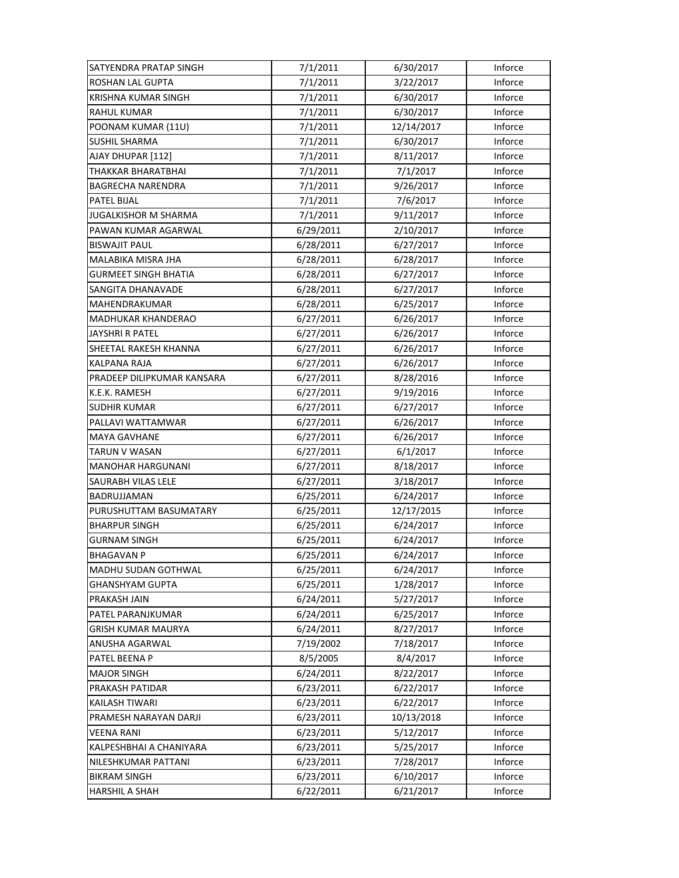| SATYENDRA PRATAP SINGH      | 7/1/2011  | 6/30/2017  | Inforce |
|-----------------------------|-----------|------------|---------|
| <b>ROSHAN LAL GUPTA</b>     | 7/1/2011  | 3/22/2017  | Inforce |
| <b>KRISHNA KUMAR SINGH</b>  | 7/1/2011  | 6/30/2017  | Inforce |
| <b>RAHUL KUMAR</b>          | 7/1/2011  | 6/30/2017  | Inforce |
| POONAM KUMAR (11U)          | 7/1/2011  | 12/14/2017 | Inforce |
| <b>SUSHIL SHARMA</b>        | 7/1/2011  | 6/30/2017  | Inforce |
| AJAY DHUPAR [112]           | 7/1/2011  | 8/11/2017  | Inforce |
| <b>THAKKAR BHARATBHAI</b>   | 7/1/2011  | 7/1/2017   | Inforce |
| <b>BAGRECHA NARENDRA</b>    | 7/1/2011  | 9/26/2017  | Inforce |
| PATEL BIJAL                 | 7/1/2011  | 7/6/2017   | Inforce |
| <b>JUGALKISHOR M SHARMA</b> | 7/1/2011  | 9/11/2017  | Inforce |
| PAWAN KUMAR AGARWAL         | 6/29/2011 | 2/10/2017  | Inforce |
| <b>BISWAJIT PAUL</b>        | 6/28/2011 | 6/27/2017  | Inforce |
| MALABIKA MISRA JHA          | 6/28/2011 | 6/28/2017  | Inforce |
| <b>GURMEET SINGH BHATIA</b> | 6/28/2011 | 6/27/2017  | Inforce |
| <b>SANGITA DHANAVADE</b>    | 6/28/2011 | 6/27/2017  | Inforce |
| MAHENDRAKUMAR               | 6/28/2011 | 6/25/2017  | Inforce |
| MADHUKAR KHANDERAO          | 6/27/2011 | 6/26/2017  | Inforce |
| JAYSHRI R PATEL             | 6/27/2011 | 6/26/2017  | Inforce |
| SHEETAL RAKESH KHANNA       | 6/27/2011 | 6/26/2017  | Inforce |
| KALPANA RAJA                | 6/27/2011 | 6/26/2017  | Inforce |
| PRADEEP DILIPKUMAR KANSARA  | 6/27/2011 | 8/28/2016  | Inforce |
| K.E.K. RAMESH               | 6/27/2011 | 9/19/2016  | Inforce |
| <b>SUDHIR KUMAR</b>         | 6/27/2011 | 6/27/2017  | Inforce |
| PALLAVI WATTAMWAR           | 6/27/2011 | 6/26/2017  | Inforce |
| <b>MAYA GAVHANE</b>         | 6/27/2011 | 6/26/2017  | Inforce |
| TARUN V WASAN               | 6/27/2011 | 6/1/2017   | Inforce |
| <b>MANOHAR HARGUNANI</b>    | 6/27/2011 | 8/18/2017  | Inforce |
| SAURABH VILAS LELE          | 6/27/2011 | 3/18/2017  | Inforce |
| BADRUJJAMAN                 | 6/25/2011 | 6/24/2017  | Inforce |
| PURUSHUTTAM BASUMATARY      | 6/25/2011 | 12/17/2015 | Inforce |
| <b>BHARPUR SINGH</b>        | 6/25/2011 | 6/24/2017  | Inforce |
| <b>GURNAM SINGH</b>         | 6/25/2011 | 6/24/2017  | Inforce |
| <b>BHAGAVAN P</b>           | 6/25/2011 | 6/24/2017  | Inforce |
| MADHU SUDAN GOTHWAL         | 6/25/2011 | 6/24/2017  | Inforce |
| <b>GHANSHYAM GUPTA</b>      | 6/25/2011 | 1/28/2017  | Inforce |
| PRAKASH JAIN                | 6/24/2011 | 5/27/2017  | Inforce |
| PATEL PARANJKUMAR           | 6/24/2011 | 6/25/2017  | Inforce |
| <b>GRISH KUMAR MAURYA</b>   | 6/24/2011 | 8/27/2017  | Inforce |
| ANUSHA AGARWAL              | 7/19/2002 | 7/18/2017  | Inforce |
| PATEL BEENA P               | 8/5/2005  | 8/4/2017   | Inforce |
| <b>MAJOR SINGH</b>          | 6/24/2011 | 8/22/2017  | Inforce |
| PRAKASH PATIDAR             | 6/23/2011 | 6/22/2017  | Inforce |
| <b>KAILASH TIWARI</b>       | 6/23/2011 | 6/22/2017  | Inforce |
| PRAMESH NARAYAN DARJI       | 6/23/2011 | 10/13/2018 | Inforce |
| VEENA RANI                  | 6/23/2011 | 5/12/2017  | Inforce |
| KALPESHBHAI A CHANIYARA     | 6/23/2011 | 5/25/2017  | Inforce |
| NILESHKUMAR PATTANI         | 6/23/2011 | 7/28/2017  | Inforce |
| <b>BIKRAM SINGH</b>         | 6/23/2011 | 6/10/2017  | Inforce |
| <b>HARSHIL A SHAH</b>       | 6/22/2011 | 6/21/2017  | Inforce |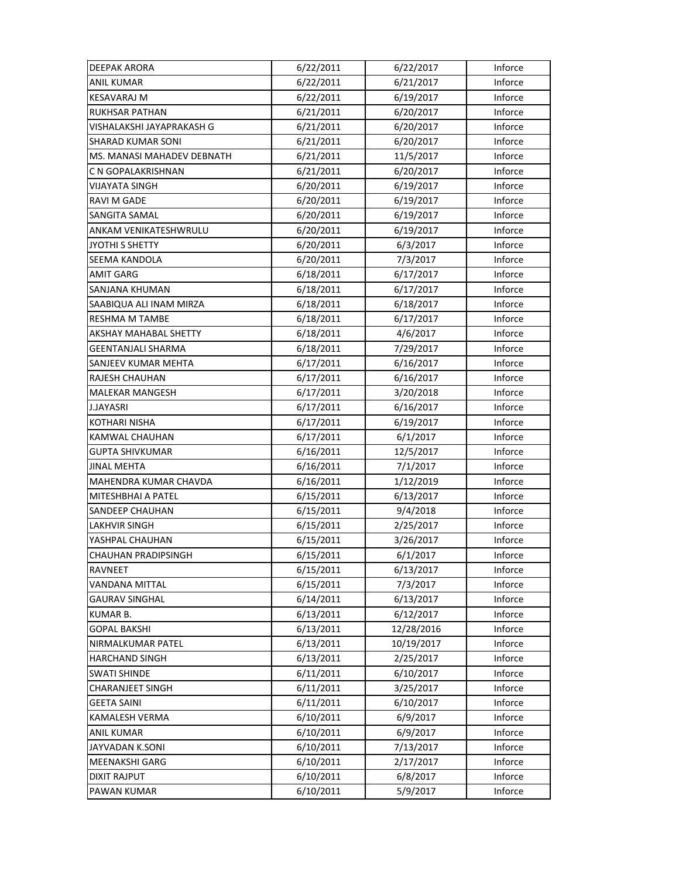| DEEPAK ARORA               | 6/22/2011 | 6/22/2017  | Inforce |
|----------------------------|-----------|------------|---------|
| <b>ANIL KUMAR</b>          | 6/22/2011 | 6/21/2017  | Inforce |
| <b>KESAVARAJ M</b>         | 6/22/2011 | 6/19/2017  | Inforce |
| <b>RUKHSAR PATHAN</b>      | 6/21/2011 | 6/20/2017  | Inforce |
| VISHALAKSHI JAYAPRAKASH G  | 6/21/2011 | 6/20/2017  | Inforce |
| <b>SHARAD KUMAR SONI</b>   | 6/21/2011 | 6/20/2017  | Inforce |
| MS. MANASI MAHADEV DEBNATH | 6/21/2011 | 11/5/2017  | Inforce |
| C N GOPALAKRISHNAN         | 6/21/2011 | 6/20/2017  | Inforce |
| VIJAYATA SINGH             | 6/20/2011 | 6/19/2017  | Inforce |
| <b>RAVI M GADE</b>         | 6/20/2011 | 6/19/2017  | Inforce |
| SANGITA SAMAL              | 6/20/2011 | 6/19/2017  | Inforce |
| ANKAM VENIKATESHWRULU      | 6/20/2011 | 6/19/2017  | Inforce |
| JYOTHI S SHETTY            | 6/20/2011 | 6/3/2017   | Inforce |
| SEEMA KANDOLA              | 6/20/2011 | 7/3/2017   | Inforce |
| <b>AMIT GARG</b>           | 6/18/2011 | 6/17/2017  | Inforce |
| <b>SANJANA KHUMAN</b>      | 6/18/2011 | 6/17/2017  | Inforce |
| SAABIQUA ALI INAM MIRZA    | 6/18/2011 | 6/18/2017  | Inforce |
| <b>RESHMA M TAMBE</b>      | 6/18/2011 | 6/17/2017  | Inforce |
| AKSHAY MAHABAL SHETTY      | 6/18/2011 | 4/6/2017   | Inforce |
| GEENTANJALI SHARMA         | 6/18/2011 | 7/29/2017  | Inforce |
| SANJEEV KUMAR MEHTA        | 6/17/2011 | 6/16/2017  | Inforce |
| RAJESH CHAUHAN             | 6/17/2011 | 6/16/2017  | Inforce |
| MALEKAR MANGESH            | 6/17/2011 | 3/20/2018  | Inforce |
| J.JAYASRI                  | 6/17/2011 | 6/16/2017  | Inforce |
| <b>KOTHARI NISHA</b>       | 6/17/2011 | 6/19/2017  | Inforce |
| KAMWAL CHAUHAN             | 6/17/2011 | 6/1/2017   | Inforce |
| <b>GUPTA SHIVKUMAR</b>     | 6/16/2011 | 12/5/2017  | Inforce |
| JINAL MEHTA                | 6/16/2011 | 7/1/2017   | Inforce |
| MAHENDRA KUMAR CHAVDA      | 6/16/2011 | 1/12/2019  | Inforce |
| MITESHBHAI A PATEL         | 6/15/2011 | 6/13/2017  | Inforce |
| SANDEEP CHAUHAN            | 6/15/2011 | 9/4/2018   | Inforce |
| LAKHVIR SINGH              | 6/15/2011 | 2/25/2017  | Inforce |
| YASHPAL CHAUHAN            | 6/15/2011 | 3/26/2017  | Inforce |
| <b>CHAUHAN PRADIPSINGH</b> | 6/15/2011 | 6/1/2017   | Inforce |
| RAVNEET                    | 6/15/2011 | 6/13/2017  | Inforce |
| <b>VANDANA MITTAL</b>      | 6/15/2011 | 7/3/2017   | Inforce |
| <b>GAURAV SINGHAL</b>      | 6/14/2011 | 6/13/2017  | Inforce |
| <b>KUMAR B.</b>            | 6/13/2011 | 6/12/2017  | Inforce |
| <b>GOPAL BAKSHI</b>        | 6/13/2011 | 12/28/2016 | Inforce |
| <b>NIRMALKUMAR PATEL</b>   | 6/13/2011 | 10/19/2017 | Inforce |
| <b>HARCHAND SINGH</b>      | 6/13/2011 | 2/25/2017  | Inforce |
| <b>SWATI SHINDE</b>        | 6/11/2011 | 6/10/2017  | Inforce |
| <b>CHARANJEET SINGH</b>    | 6/11/2011 | 3/25/2017  | Inforce |
| <b>GEETA SAINI</b>         | 6/11/2011 | 6/10/2017  | Inforce |
| KAMALESH VERMA             | 6/10/2011 | 6/9/2017   | Inforce |
| <b>ANIL KUMAR</b>          | 6/10/2011 | 6/9/2017   | Inforce |
| JAYVADAN K.SONI            | 6/10/2011 | 7/13/2017  | Inforce |
| MEENAKSHI GARG             | 6/10/2011 | 2/17/2017  | Inforce |
| <b>DIXIT RAJPUT</b>        | 6/10/2011 | 6/8/2017   | Inforce |
| PAWAN KUMAR                | 6/10/2011 | 5/9/2017   | Inforce |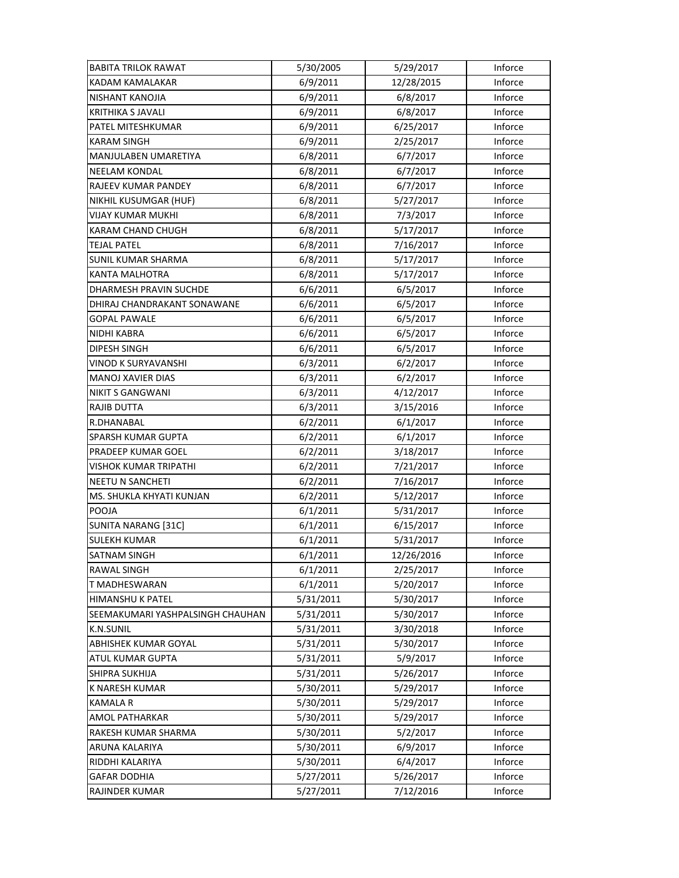| <b>BABITA TRILOK RAWAT</b>       | 5/30/2005 | 5/29/2017  | Inforce |
|----------------------------------|-----------|------------|---------|
| <b>KADAM KAMALAKAR</b>           | 6/9/2011  | 12/28/2015 | Inforce |
| NISHANT KANOJIA                  | 6/9/2011  | 6/8/2017   | Inforce |
| <b>KRITHIKA S JAVALI</b>         | 6/9/2011  | 6/8/2017   | Inforce |
| PATEL MITESHKUMAR                | 6/9/2011  | 6/25/2017  | Inforce |
| <b>KARAM SINGH</b>               | 6/9/2011  | 2/25/2017  | Inforce |
| MANJULABEN UMARETIYA             | 6/8/2011  | 6/7/2017   | Inforce |
| <b>NEELAM KONDAL</b>             | 6/8/2011  | 6/7/2017   | Inforce |
| RAJEEV KUMAR PANDEY              | 6/8/2011  | 6/7/2017   | Inforce |
| NIKHIL KUSUMGAR (HUF)            | 6/8/2011  | 5/27/2017  | Inforce |
| VIJAY KUMAR MUKHI                | 6/8/2011  | 7/3/2017   | Inforce |
| KARAM CHAND CHUGH                | 6/8/2011  | 5/17/2017  | Inforce |
| <b>TEJAL PATEL</b>               | 6/8/2011  | 7/16/2017  | Inforce |
| <b>SUNIL KUMAR SHARMA</b>        | 6/8/2011  | 5/17/2017  | Inforce |
| <b>KANTA MALHOTRA</b>            | 6/8/2011  | 5/17/2017  | Inforce |
| <b>DHARMESH PRAVIN SUCHDE</b>    | 6/6/2011  | 6/5/2017   | Inforce |
| DHIRAJ CHANDRAKANT SONAWANE      | 6/6/2011  | 6/5/2017   | Inforce |
| <b>GOPAL PAWALE</b>              | 6/6/2011  | 6/5/2017   | Inforce |
| NIDHI KABRA                      | 6/6/2011  | 6/5/2017   | Inforce |
| DIPESH SINGH                     | 6/6/2011  | 6/5/2017   | Inforce |
| <b>VINOD K SURYAVANSHI</b>       | 6/3/2011  | 6/2/2017   | Inforce |
| <b>MANOJ XAVIER DIAS</b>         | 6/3/2011  | 6/2/2017   | Inforce |
| <b>NIKIT S GANGWANI</b>          | 6/3/2011  | 4/12/2017  | Inforce |
| RAJIB DUTTA                      | 6/3/2011  | 3/15/2016  | Inforce |
| R.DHANABAL                       | 6/2/2011  | 6/1/2017   | Inforce |
| <b>SPARSH KUMAR GUPTA</b>        | 6/2/2011  | 6/1/2017   | Inforce |
| PRADEEP KUMAR GOEL               | 6/2/2011  | 3/18/2017  | Inforce |
| VISHOK KUMAR TRIPATHI            | 6/2/2011  | 7/21/2017  | Inforce |
| <b>NEETU N SANCHETI</b>          | 6/2/2011  | 7/16/2017  | Inforce |
| MS. SHUKLA KHYATI KUNJAN         | 6/2/2011  | 5/12/2017  | Inforce |
| POOJA                            | 6/1/2011  | 5/31/2017  | Inforce |
| <b>SUNITA NARANG [31C]</b>       | 6/1/2011  | 6/15/2017  | Inforce |
| <b>SULEKH KUMAR</b>              | 6/1/2011  | 5/31/2017  | Inforce |
| SATNAM SINGH                     | 6/1/2011  | 12/26/2016 | Inforce |
| RAWAL SINGH                      | 6/1/2011  | 2/25/2017  | Inforce |
| T MADHESWARAN                    | 6/1/2011  | 5/20/2017  | Inforce |
| HIMANSHU K PATEL                 | 5/31/2011 | 5/30/2017  | Inforce |
| SEEMAKUMARI YASHPALSINGH CHAUHAN | 5/31/2011 | 5/30/2017  | Inforce |
| <b>K.N.SUNIL</b>                 | 5/31/2011 | 3/30/2018  | Inforce |
| ABHISHEK KUMAR GOYAL             | 5/31/2011 | 5/30/2017  | Inforce |
| ATUL KUMAR GUPTA                 | 5/31/2011 | 5/9/2017   | Inforce |
| SHIPRA SUKHIJA                   | 5/31/2011 | 5/26/2017  | Inforce |
| K NARESH KUMAR                   | 5/30/2011 | 5/29/2017  | Inforce |
| <b>KAMALA R</b>                  | 5/30/2011 | 5/29/2017  | Inforce |
| AMOL PATHARKAR                   | 5/30/2011 | 5/29/2017  | Inforce |
| RAKESH KUMAR SHARMA              | 5/30/2011 | 5/2/2017   | Inforce |
| ARUNA KALARIYA                   | 5/30/2011 | 6/9/2017   | Inforce |
| RIDDHI KALARIYA                  | 5/30/2011 | 6/4/2017   | Inforce |
| <b>GAFAR DODHIA</b>              | 5/27/2011 | 5/26/2017  | Inforce |
| <b>RAJINDER KUMAR</b>            | 5/27/2011 | 7/12/2016  | Inforce |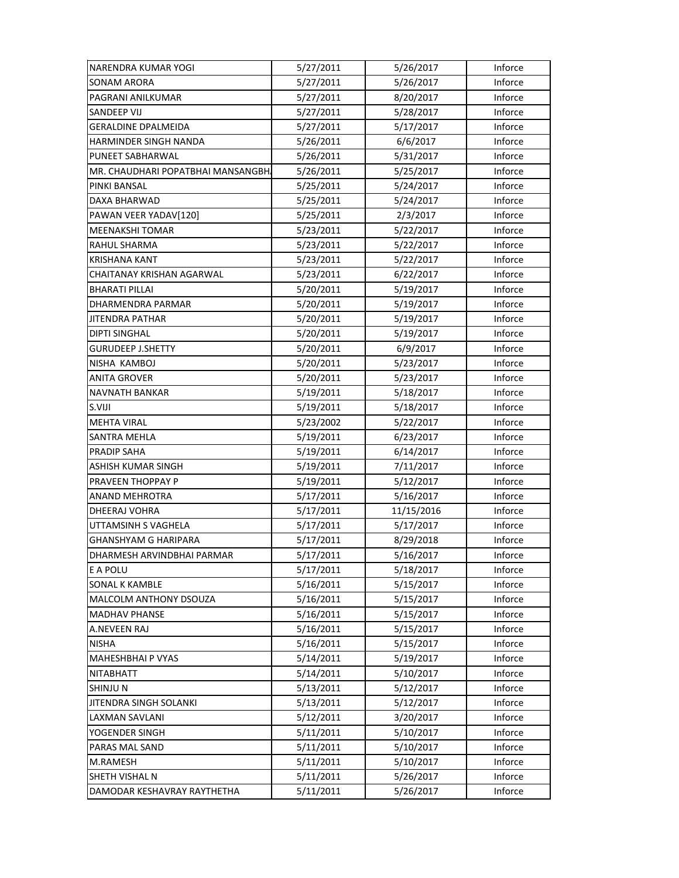| NARENDRA KUMAR YOGI                | 5/27/2011 | 5/26/2017  | Inforce |
|------------------------------------|-----------|------------|---------|
| <b>SONAM ARORA</b>                 | 5/27/2011 | 5/26/2017  | Inforce |
| PAGRANI ANILKUMAR                  | 5/27/2011 | 8/20/2017  | Inforce |
| SANDEEP VIJ                        | 5/27/2011 | 5/28/2017  | Inforce |
| <b>GERALDINE DPALMEIDA</b>         | 5/27/2011 | 5/17/2017  | Inforce |
| HARMINDER SINGH NANDA              | 5/26/2011 | 6/6/2017   | Inforce |
| PUNEET SABHARWAL                   | 5/26/2011 | 5/31/2017  | Inforce |
| MR. CHAUDHARI POPATBHAI MANSANGBH. | 5/26/2011 | 5/25/2017  | Inforce |
| PINKI BANSAL                       | 5/25/2011 | 5/24/2017  | Inforce |
| <b>DAXA BHARWAD</b>                | 5/25/2011 | 5/24/2017  | Inforce |
| PAWAN VEER YADAV[120]              | 5/25/2011 | 2/3/2017   | Inforce |
| <b>MEENAKSHI TOMAR</b>             | 5/23/2011 | 5/22/2017  | Inforce |
| RAHUL SHARMA                       | 5/23/2011 | 5/22/2017  | Inforce |
| <b>KRISHANA KANT</b>               | 5/23/2011 | 5/22/2017  | Inforce |
| CHAITANAY KRISHAN AGARWAL          | 5/23/2011 | 6/22/2017  | Inforce |
| <b>BHARATI PILLAI</b>              | 5/20/2011 | 5/19/2017  | Inforce |
| DHARMENDRA PARMAR                  | 5/20/2011 | 5/19/2017  | Inforce |
| <b>JITENDRA PATHAR</b>             | 5/20/2011 | 5/19/2017  | Inforce |
| <b>DIPTI SINGHAL</b>               | 5/20/2011 | 5/19/2017  | Inforce |
| <b>GURUDEEP J.SHETTY</b>           | 5/20/2011 | 6/9/2017   | Inforce |
| NISHA KAMBOJ                       | 5/20/2011 | 5/23/2017  | Inforce |
| <b>ANITA GROVER</b>                | 5/20/2011 | 5/23/2017  | Inforce |
| NAVNATH BANKAR                     | 5/19/2011 | 5/18/2017  | Inforce |
| S.VIJI                             | 5/19/2011 | 5/18/2017  | Inforce |
| <b>MEHTA VIRAL</b>                 | 5/23/2002 | 5/22/2017  | Inforce |
| SANTRA MEHLA                       | 5/19/2011 | 6/23/2017  | Inforce |
| PRADIP SAHA                        | 5/19/2011 | 6/14/2017  | Inforce |
| ASHISH KUMAR SINGH                 | 5/19/2011 | 7/11/2017  | Inforce |
| PRAVEEN THOPPAY P                  | 5/19/2011 | 5/12/2017  | Inforce |
| ANAND MEHROTRA                     | 5/17/2011 | 5/16/2017  | Inforce |
| <b>DHEERAJ VOHRA</b>               | 5/17/2011 | 11/15/2016 | Inforce |
| UTTAMSINH S VAGHELA                | 5/17/2011 | 5/17/2017  | Inforce |
| GHANSHYAM G HARIPARA               | 5/17/2011 | 8/29/2018  | Inforce |
| DHARMESH ARVINDBHAI PARMAR         | 5/17/2011 | 5/16/2017  | Inforce |
| E A POLU                           | 5/17/2011 | 5/18/2017  | Inforce |
| <b>SONAL K KAMBLE</b>              | 5/16/2011 | 5/15/2017  | Inforce |
| MALCOLM ANTHONY DSOUZA             | 5/16/2011 | 5/15/2017  | Inforce |
| <b>MADHAV PHANSE</b>               | 5/16/2011 | 5/15/2017  | Inforce |
| A.NEVEEN RAJ                       | 5/16/2011 | 5/15/2017  | Inforce |
| <b>NISHA</b>                       | 5/16/2011 | 5/15/2017  | Inforce |
| MAHESHBHAI P VYAS                  | 5/14/2011 | 5/19/2017  | Inforce |
| <b>NITABHATT</b>                   | 5/14/2011 | 5/10/2017  | Inforce |
| <b>SHINJUN</b>                     | 5/13/2011 | 5/12/2017  | Inforce |
| JITENDRA SINGH SOLANKI             | 5/13/2011 | 5/12/2017  | Inforce |
| LAXMAN SAVLANI                     | 5/12/2011 | 3/20/2017  | Inforce |
| YOGENDER SINGH                     | 5/11/2011 | 5/10/2017  | Inforce |
| PARAS MAL SAND                     | 5/11/2011 | 5/10/2017  | Inforce |
| M.RAMESH                           | 5/11/2011 | 5/10/2017  | Inforce |
| SHETH VISHAL N                     | 5/11/2011 | 5/26/2017  | Inforce |
| DAMODAR KESHAVRAY RAYTHETHA        | 5/11/2011 | 5/26/2017  | Inforce |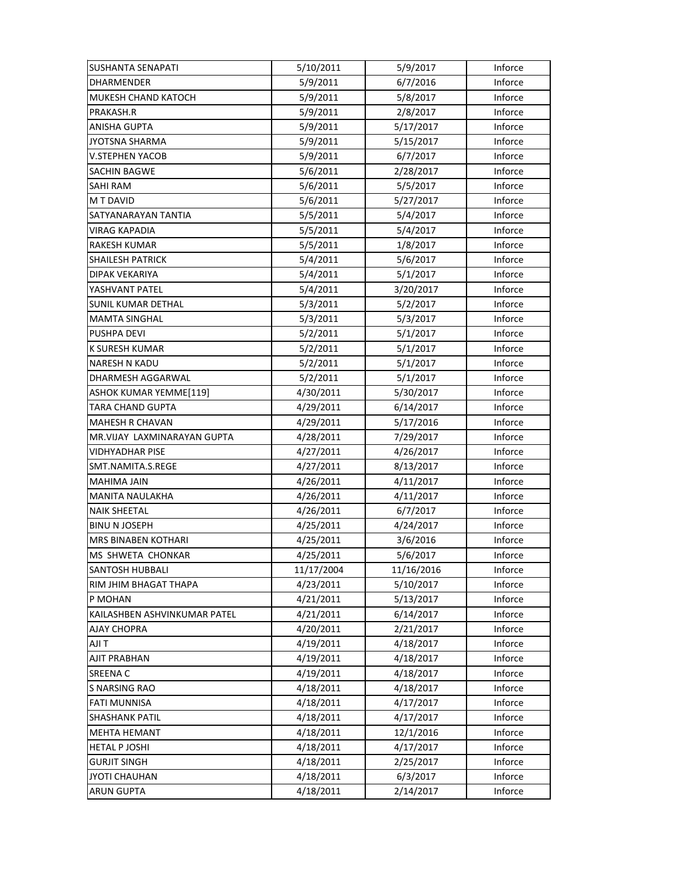| <b>SUSHANTA SENAPATI</b>     | 5/10/2011  | 5/9/2017   | Inforce |
|------------------------------|------------|------------|---------|
| <b>DHARMENDER</b>            | 5/9/2011   | 6/7/2016   | Inforce |
| MUKESH CHAND KATOCH          | 5/9/2011   | 5/8/2017   | Inforce |
| PRAKASH.R                    | 5/9/2011   | 2/8/2017   | Inforce |
| ANISHA GUPTA                 | 5/9/2011   | 5/17/2017  | Inforce |
| <b>JYOTSNA SHARMA</b>        | 5/9/2011   | 5/15/2017  | Inforce |
| <b>V.STEPHEN YACOB</b>       | 5/9/2011   | 6/7/2017   | Inforce |
| <b>SACHIN BAGWE</b>          | 5/6/2011   | 2/28/2017  | Inforce |
| SAHI RAM                     | 5/6/2011   | 5/5/2017   | Inforce |
| M T DAVID                    | 5/6/2011   | 5/27/2017  | Inforce |
| SATYANARAYAN TANTIA          | 5/5/2011   | 5/4/2017   | Inforce |
| VIRAG KAPADIA                | 5/5/2011   | 5/4/2017   | Inforce |
| <b>RAKESH KUMAR</b>          | 5/5/2011   | 1/8/2017   | Inforce |
| <b>SHAILESH PATRICK</b>      | 5/4/2011   | 5/6/2017   | Inforce |
| DIPAK VEKARIYA               | 5/4/2011   | 5/1/2017   | Inforce |
| YASHVANT PATEL               | 5/4/2011   | 3/20/2017  | Inforce |
| <b>SUNIL KUMAR DETHAL</b>    | 5/3/2011   | 5/2/2017   | Inforce |
| <b>MAMTA SINGHAL</b>         | 5/3/2011   | 5/3/2017   | Inforce |
| PUSHPA DEVI                  | 5/2/2011   | 5/1/2017   | Inforce |
| <b>K SURESH KUMAR</b>        | 5/2/2011   | 5/1/2017   | Inforce |
| <b>NARESH N KADU</b>         | 5/2/2011   | 5/1/2017   | Inforce |
| DHARMESH AGGARWAL            | 5/2/2011   | 5/1/2017   | Inforce |
| ASHOK KUMAR YEMME[119]       | 4/30/2011  | 5/30/2017  | Inforce |
| TARA CHAND GUPTA             | 4/29/2011  | 6/14/2017  | Inforce |
| <b>MAHESH R CHAVAN</b>       | 4/29/2011  | 5/17/2016  | Inforce |
| MR.VIJAY LAXMINARAYAN GUPTA  | 4/28/2011  | 7/29/2017  | Inforce |
| <b>VIDHYADHAR PISE</b>       | 4/27/2011  | 4/26/2017  | Inforce |
| SMT.NAMITA.S.REGE            | 4/27/2011  | 8/13/2017  | Inforce |
| MAHIMA JAIN                  | 4/26/2011  | 4/11/2017  | Inforce |
| <b>MANITA NAULAKHA</b>       | 4/26/2011  | 4/11/2017  | Inforce |
| <b>NAIK SHEETAL</b>          | 4/26/2011  | 6/7/2017   | Inforce |
| <b>BINU N JOSEPH</b>         | 4/25/2011  | 4/24/2017  | Inforce |
| MRS BINABEN KOTHARI          | 4/25/2011  | 3/6/2016   | Inforce |
| MS SHWETA CHONKAR            | 4/25/2011  | 5/6/2017   | Inforce |
| <b>SANTOSH HUBBALI</b>       | 11/17/2004 | 11/16/2016 | Inforce |
| RIM JHIM BHAGAT THAPA        | 4/23/2011  | 5/10/2017  | Inforce |
| P MOHAN                      | 4/21/2011  | 5/13/2017  | Inforce |
| KAILASHBEN ASHVINKUMAR PATEL | 4/21/2011  | 6/14/2017  | Inforce |
| AJAY CHOPRA                  | 4/20/2011  | 2/21/2017  | Inforce |
| T ILA                        | 4/19/2011  | 4/18/2017  | Inforce |
| AJIT PRABHAN                 | 4/19/2011  | 4/18/2017  | Inforce |
| <b>SREENA C</b>              | 4/19/2011  | 4/18/2017  | Inforce |
| <b>S NARSING RAO</b>         | 4/18/2011  | 4/18/2017  | Inforce |
| <b>FATI MUNNISA</b>          | 4/18/2011  | 4/17/2017  | Inforce |
| <b>SHASHANK PATIL</b>        | 4/18/2011  | 4/17/2017  | Inforce |
| <b>MEHTA HEMANT</b>          | 4/18/2011  | 12/1/2016  | Inforce |
| <b>HETAL P JOSHI</b>         | 4/18/2011  | 4/17/2017  | Inforce |
| <b>GURJIT SINGH</b>          | 4/18/2011  | 2/25/2017  | Inforce |
| <b>JYOTI CHAUHAN</b>         | 4/18/2011  | 6/3/2017   | Inforce |
| ARUN GUPTA                   | 4/18/2011  | 2/14/2017  | Inforce |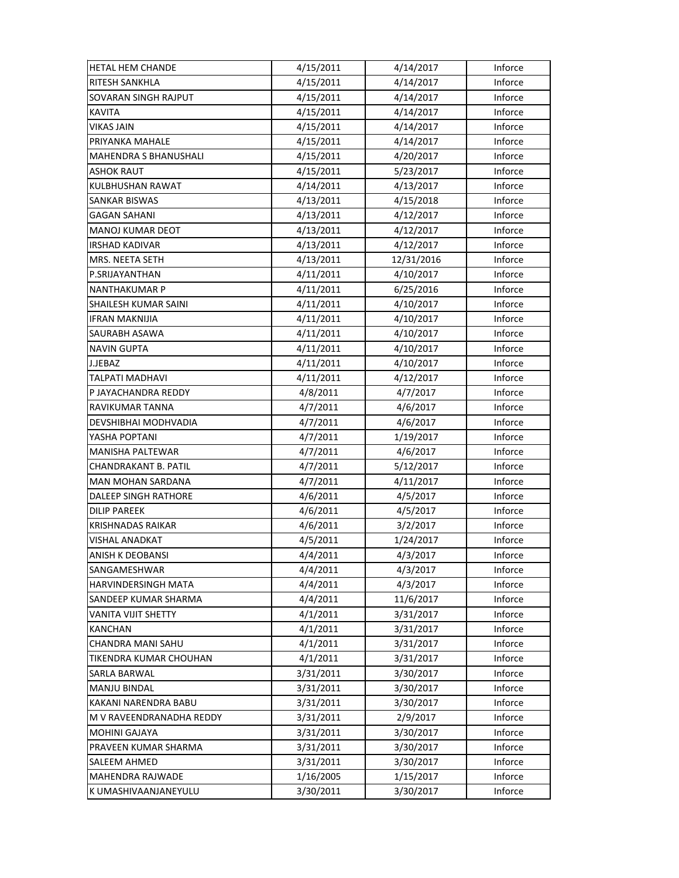| <b>HETAL HEM CHANDE</b>      | 4/15/2011 | 4/14/2017  | Inforce |
|------------------------------|-----------|------------|---------|
| RITESH SANKHLA               | 4/15/2011 | 4/14/2017  | Inforce |
| <b>SOVARAN SINGH RAJPUT</b>  | 4/15/2011 | 4/14/2017  | Inforce |
| <b>KAVITA</b>                | 4/15/2011 | 4/14/2017  | Inforce |
| VIKAS JAIN                   | 4/15/2011 | 4/14/2017  | Inforce |
| PRIYANKA MAHALE              | 4/15/2011 | 4/14/2017  | Inforce |
| <b>MAHENDRA S BHANUSHALI</b> | 4/15/2011 | 4/20/2017  | Inforce |
| <b>ASHOK RAUT</b>            | 4/15/2011 | 5/23/2017  | Inforce |
| KULBHUSHAN RAWAT             | 4/14/2011 | 4/13/2017  | Inforce |
| <b>SANKAR BISWAS</b>         | 4/13/2011 | 4/15/2018  | Inforce |
| <b>GAGAN SAHANI</b>          | 4/13/2011 | 4/12/2017  | Inforce |
| <b>MANOJ KUMAR DEOT</b>      | 4/13/2011 | 4/12/2017  | Inforce |
| <b>IRSHAD KADIVAR</b>        | 4/13/2011 | 4/12/2017  | Inforce |
| MRS. NEETA SETH              | 4/13/2011 | 12/31/2016 | Inforce |
| P.SRIJAYANTHAN               | 4/11/2011 | 4/10/2017  | Inforce |
| <b>NANTHAKUMAR P</b>         | 4/11/2011 | 6/25/2016  | Inforce |
| SHAILESH KUMAR SAINI         | 4/11/2011 | 4/10/2017  | Inforce |
| <b>IFRAN MAKNIJIA</b>        | 4/11/2011 | 4/10/2017  | Inforce |
| SAURABH ASAWA                | 4/11/2011 | 4/10/2017  | Inforce |
| <b>NAVIN GUPTA</b>           | 4/11/2011 | 4/10/2017  | Inforce |
| J.JEBAZ                      | 4/11/2011 | 4/10/2017  | Inforce |
| TALPATI MADHAVI              | 4/11/2011 | 4/12/2017  | Inforce |
| P JAYACHANDRA REDDY          | 4/8/2011  | 4/7/2017   | Inforce |
| RAVIKUMAR TANNA              | 4/7/2011  | 4/6/2017   | Inforce |
| DEVSHIBHAI MODHVADIA         | 4/7/2011  | 4/6/2017   | Inforce |
| YASHA POPTANI                | 4/7/2011  | 1/19/2017  | Inforce |
| MANISHA PALTEWAR             | 4/7/2011  | 4/6/2017   | Inforce |
| CHANDRAKANT B. PATIL         | 4/7/2011  | 5/12/2017  | Inforce |
| <b>MAN MOHAN SARDANA</b>     | 4/7/2011  | 4/11/2017  | Inforce |
| DALEEP SINGH RATHORE         | 4/6/2011  | 4/5/2017   | Inforce |
| <b>DILIP PAREEK</b>          | 4/6/2011  | 4/5/2017   | Inforce |
| <b>KRISHNADAS RAIKAR</b>     | 4/6/2011  | 3/2/2017   | Inforce |
| VISHAL ANADKAT               | 4/5/2011  | 1/24/2017  | Inforce |
| ANISH K DEOBANSI             | 4/4/2011  | 4/3/2017   | Inforce |
| SANGAMESHWAR                 | 4/4/2011  | 4/3/2017   | Inforce |
| <b>HARVINDERSINGH MATA</b>   | 4/4/2011  | 4/3/2017   | Inforce |
| SANDEEP KUMAR SHARMA         | 4/4/2011  | 11/6/2017  | Inforce |
| VANITA VIJIT SHETTY          | 4/1/2011  | 3/31/2017  | Inforce |
| KANCHAN                      | 4/1/2011  | 3/31/2017  | Inforce |
| CHANDRA MANI SAHU            | 4/1/2011  | 3/31/2017  | Inforce |
| TIKENDRA KUMAR CHOUHAN       | 4/1/2011  | 3/31/2017  | Inforce |
| SARLA BARWAL                 | 3/31/2011 | 3/30/2017  | Inforce |
| <b>MANJU BINDAL</b>          | 3/31/2011 | 3/30/2017  | Inforce |
| KAKANI NARENDRA BABU         | 3/31/2011 | 3/30/2017  | Inforce |
| M V RAVEENDRANADHA REDDY     | 3/31/2011 | 2/9/2017   | Inforce |
| <b>MOHINI GAJAYA</b>         | 3/31/2011 | 3/30/2017  | Inforce |
| PRAVEEN KUMAR SHARMA         | 3/31/2011 | 3/30/2017  | Inforce |
| <b>SALEEM AHMED</b>          | 3/31/2011 | 3/30/2017  | Inforce |
| <b>MAHENDRA RAJWADE</b>      | 1/16/2005 | 1/15/2017  | Inforce |
| K UMASHIVAANJANEYULU         | 3/30/2011 | 3/30/2017  | Inforce |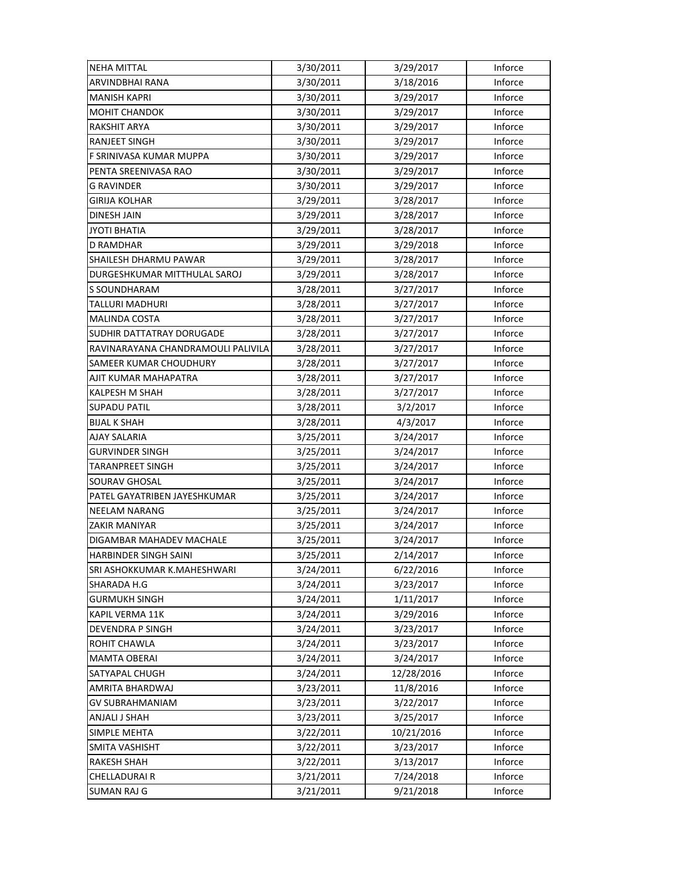| <b>NEHA MITTAL</b>                 | 3/30/2011 | 3/29/2017  | Inforce |
|------------------------------------|-----------|------------|---------|
| ARVINDBHAI RANA                    | 3/30/2011 | 3/18/2016  | Inforce |
| <b>MANISH KAPRI</b>                | 3/30/2011 | 3/29/2017  | Inforce |
| <b>MOHIT CHANDOK</b>               | 3/30/2011 | 3/29/2017  | Inforce |
| RAKSHIT ARYA                       | 3/30/2011 | 3/29/2017  | Inforce |
| <b>RANJEET SINGH</b>               | 3/30/2011 | 3/29/2017  | Inforce |
| F SRINIVASA KUMAR MUPPA            | 3/30/2011 | 3/29/2017  | Inforce |
| PENTA SREENIVASA RAO               | 3/30/2011 | 3/29/2017  | Inforce |
| G RAVINDER                         | 3/30/2011 | 3/29/2017  | Inforce |
| GIRIJA KOLHAR                      | 3/29/2011 | 3/28/2017  | Inforce |
| <b>DINESH JAIN</b>                 | 3/29/2011 | 3/28/2017  | Inforce |
| JYOTI BHATIA                       | 3/29/2011 | 3/28/2017  | Inforce |
| D RAMDHAR                          | 3/29/2011 | 3/29/2018  | Inforce |
| SHAILESH DHARMU PAWAR              | 3/29/2011 | 3/28/2017  | Inforce |
| DURGESHKUMAR MITTHULAL SAROJ       | 3/29/2011 | 3/28/2017  | Inforce |
| S SOUNDHARAM                       | 3/28/2011 | 3/27/2017  | Inforce |
| TALLURI MADHURI                    | 3/28/2011 | 3/27/2017  | Inforce |
| <b>MALINDA COSTA</b>               | 3/28/2011 | 3/27/2017  | Inforce |
| SUDHIR DATTATRAY DORUGADE          | 3/28/2011 | 3/27/2017  | Inforce |
| RAVINARAYANA CHANDRAMOULI PALIVILA | 3/28/2011 | 3/27/2017  | Inforce |
| SAMEER KUMAR CHOUDHURY             | 3/28/2011 | 3/27/2017  | Inforce |
| AJIT KUMAR MAHAPATRA               | 3/28/2011 | 3/27/2017  | Inforce |
| KALPESH M SHAH                     | 3/28/2011 | 3/27/2017  | Inforce |
| <b>SUPADU PATIL</b>                | 3/28/2011 | 3/2/2017   | Inforce |
| <b>BIJAL K SHAH</b>                | 3/28/2011 | 4/3/2017   | Inforce |
| <b>AJAY SALARIA</b>                | 3/25/2011 | 3/24/2017  | Inforce |
| <b>GURVINDER SINGH</b>             | 3/25/2011 | 3/24/2017  | Inforce |
| TARANPREET SINGH                   | 3/25/2011 | 3/24/2017  | Inforce |
| SOURAV GHOSAL                      | 3/25/2011 | 3/24/2017  | Inforce |
| PATEL GAYATRIBEN JAYESHKUMAR       | 3/25/2011 | 3/24/2017  | Inforce |
| <b>NEELAM NARANG</b>               | 3/25/2011 | 3/24/2017  | Inforce |
| ZAKIR MANIYAR                      | 3/25/2011 | 3/24/2017  | Inforce |
| DIGAMBAR MAHADEV MACHALE           | 3/25/2011 | 3/24/2017  | Inforce |
| HARBINDER SINGH SAINI              | 3/25/2011 | 2/14/2017  | Inforce |
| SRI ASHOKKUMAR K.MAHESHWARI        | 3/24/2011 | 6/22/2016  | Inforce |
| SHARADA H.G                        | 3/24/2011 | 3/23/2017  | Inforce |
| <b>GURMUKH SINGH</b>               | 3/24/2011 | 1/11/2017  | Inforce |
| KAPIL VERMA 11K                    | 3/24/2011 | 3/29/2016  | Inforce |
| DEVENDRA P SINGH                   | 3/24/2011 | 3/23/2017  | Inforce |
| <b>ROHIT CHAWLA</b>                | 3/24/2011 | 3/23/2017  | Inforce |
| <b>MAMTA OBERAI</b>                | 3/24/2011 | 3/24/2017  | Inforce |
| SATYAPAL CHUGH                     | 3/24/2011 | 12/28/2016 | Inforce |
| AMRITA BHARDWAJ                    | 3/23/2011 | 11/8/2016  | Inforce |
| <b>GV SUBRAHMANIAM</b>             | 3/23/2011 | 3/22/2017  | Inforce |
| ANJALI J SHAH                      | 3/23/2011 | 3/25/2017  | Inforce |
| SIMPLE MEHTA                       | 3/22/2011 | 10/21/2016 | Inforce |
| <b>SMITA VASHISHT</b>              | 3/22/2011 | 3/23/2017  | Inforce |
| <b>RAKESH SHAH</b>                 | 3/22/2011 | 3/13/2017  | Inforce |
| <b>CHELLADURAIR</b>                | 3/21/2011 | 7/24/2018  | Inforce |
| <b>SUMAN RAJ G</b>                 | 3/21/2011 | 9/21/2018  | Inforce |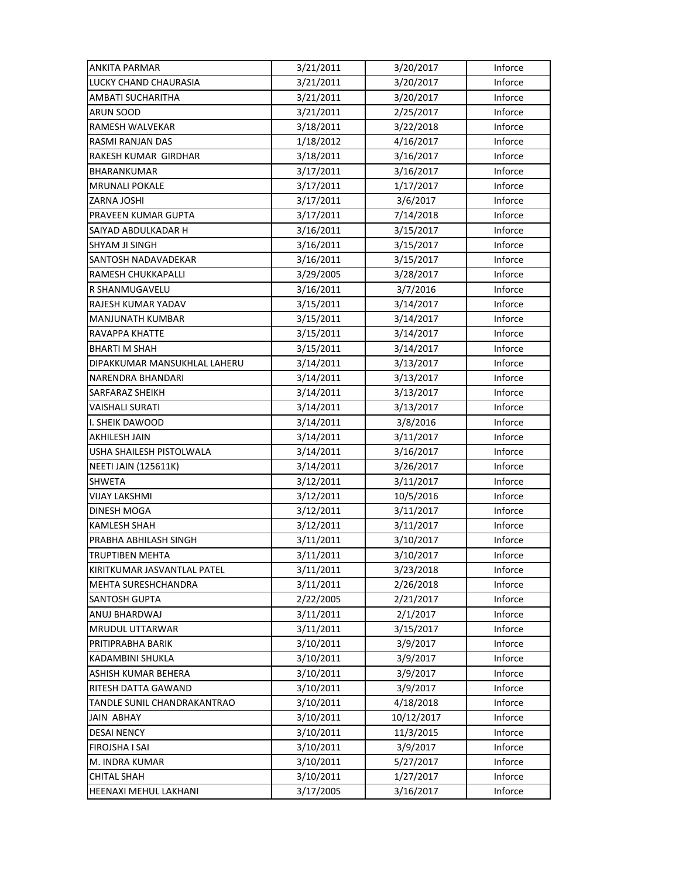| <b>ANKITA PARMAR</b>         | 3/21/2011 | 3/20/2017  | Inforce |
|------------------------------|-----------|------------|---------|
| LUCKY CHAND CHAURASIA        | 3/21/2011 | 3/20/2017  | Inforce |
| AMBATI SUCHARITHA            | 3/21/2011 | 3/20/2017  | Inforce |
| ARUN SOOD                    | 3/21/2011 | 2/25/2017  | Inforce |
| RAMESH WALVEKAR              | 3/18/2011 | 3/22/2018  | Inforce |
| RASMI RANJAN DAS             | 1/18/2012 | 4/16/2017  | Inforce |
| RAKESH KUMAR GIRDHAR         | 3/18/2011 | 3/16/2017  | Inforce |
| BHARANKUMAR                  | 3/17/2011 | 3/16/2017  | Inforce |
| <b>MRUNALI POKALE</b>        | 3/17/2011 | 1/17/2017  | Inforce |
| ZARNA JOSHI                  | 3/17/2011 | 3/6/2017   | Inforce |
| PRAVEEN KUMAR GUPTA          | 3/17/2011 | 7/14/2018  | Inforce |
| SAIYAD ABDULKADAR H          | 3/16/2011 | 3/15/2017  | Inforce |
| <b>SHYAM JI SINGH</b>        | 3/16/2011 | 3/15/2017  | Inforce |
| SANTOSH NADAVADEKAR          | 3/16/2011 | 3/15/2017  | Inforce |
| RAMESH CHUKKAPALLI           | 3/29/2005 | 3/28/2017  | Inforce |
| R SHANMUGAVELU               | 3/16/2011 | 3/7/2016   | Inforce |
| RAJESH KUMAR YADAV           | 3/15/2011 | 3/14/2017  | Inforce |
| <b>MANJUNATH KUMBAR</b>      | 3/15/2011 | 3/14/2017  | Inforce |
| <b>RAVAPPA KHATTE</b>        | 3/15/2011 | 3/14/2017  | Inforce |
| <b>BHARTI M SHAH</b>         | 3/15/2011 | 3/14/2017  | Inforce |
| DIPAKKUMAR MANSUKHLAL LAHERU | 3/14/2011 | 3/13/2017  | Inforce |
| NARENDRA BHANDARI            | 3/14/2011 | 3/13/2017  | Inforce |
| SARFARAZ SHEIKH              | 3/14/2011 | 3/13/2017  | Inforce |
| VAISHALI SURATI              | 3/14/2011 | 3/13/2017  | Inforce |
| I. SHEIK DAWOOD              | 3/14/2011 | 3/8/2016   | Inforce |
| <b>AKHILESH JAIN</b>         | 3/14/2011 | 3/11/2017  | Inforce |
| USHA SHAILESH PISTOLWALA     | 3/14/2011 | 3/16/2017  | Inforce |
| <b>NEETI JAIN (125611K)</b>  | 3/14/2011 | 3/26/2017  | Inforce |
| <b>SHWETA</b>                | 3/12/2011 | 3/11/2017  | Inforce |
| VIJAY LAKSHMI                | 3/12/2011 | 10/5/2016  | Inforce |
| DINESH MOGA                  | 3/12/2011 | 3/11/2017  | Inforce |
| KAMLESH SHAH                 | 3/12/2011 | 3/11/2017  | Inforce |
| PRABHA ABHILASH SINGH        | 3/11/2011 | 3/10/2017  | Inforce |
| <b>TRUPTIBEN MEHTA</b>       | 3/11/2011 | 3/10/2017  | Inforce |
| KIRITKUMAR JASVANTLAL PATEL  | 3/11/2011 | 3/23/2018  | Inforce |
| MEHTA SURESHCHANDRA          | 3/11/2011 | 2/26/2018  | Inforce |
| <b>SANTOSH GUPTA</b>         | 2/22/2005 | 2/21/2017  | Inforce |
| ANUJ BHARDWAJ                | 3/11/2011 | 2/1/2017   | Inforce |
| MRUDUL UTTARWAR              | 3/11/2011 | 3/15/2017  | Inforce |
| PRITIPRABHA BARIK            | 3/10/2011 | 3/9/2017   | Inforce |
| KADAMBINI SHUKLA             | 3/10/2011 | 3/9/2017   | Inforce |
| ASHISH KUMAR BEHERA          | 3/10/2011 | 3/9/2017   | Inforce |
| RITESH DATTA GAWAND          | 3/10/2011 | 3/9/2017   | Inforce |
| TANDLE SUNIL CHANDRAKANTRAO  | 3/10/2011 | 4/18/2018  | Inforce |
| <b>JAIN ABHAY</b>            | 3/10/2011 | 10/12/2017 | Inforce |
| <b>DESAI NENCY</b>           | 3/10/2011 | 11/3/2015  | Inforce |
| <b>FIROJSHA I SAI</b>        | 3/10/2011 | 3/9/2017   | Inforce |
| M. INDRA KUMAR               | 3/10/2011 | 5/27/2017  | Inforce |
| <b>CHITAL SHAH</b>           | 3/10/2011 | 1/27/2017  | Inforce |
| HEENAXI MEHUL LAKHANI        | 3/17/2005 | 3/16/2017  | Inforce |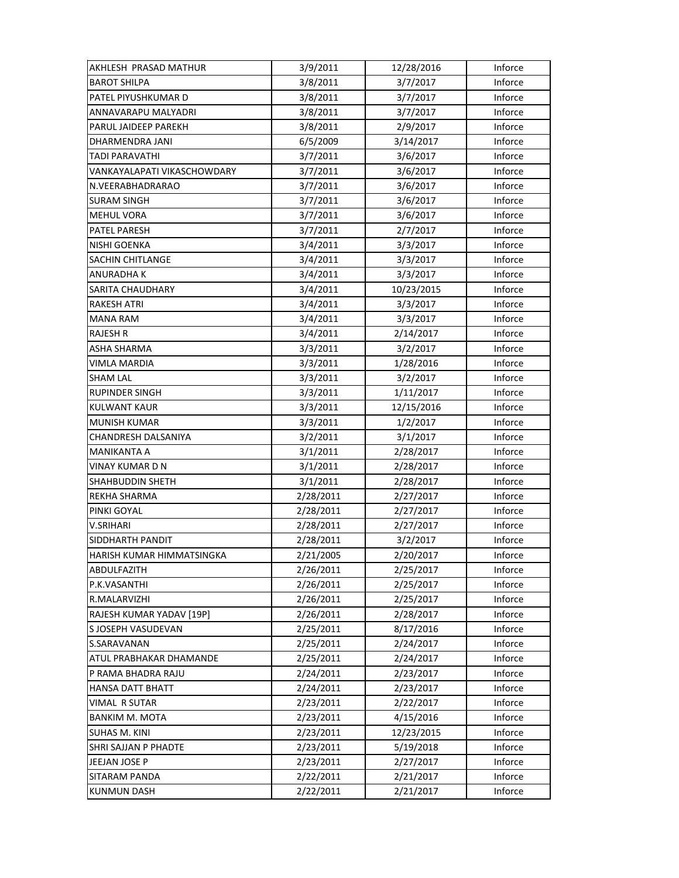| AKHLESH PRASAD MATHUR       | 3/9/2011  | 12/28/2016 | Inforce |
|-----------------------------|-----------|------------|---------|
| <b>BAROT SHILPA</b>         | 3/8/2011  | 3/7/2017   | Inforce |
| PATEL PIYUSHKUMAR D         | 3/8/2011  | 3/7/2017   | Inforce |
| ANNAVARAPU MALYADRI         | 3/8/2011  | 3/7/2017   | Inforce |
| PARUL JAIDEEP PAREKH        | 3/8/2011  | 2/9/2017   | Inforce |
| DHARMENDRA JANI             | 6/5/2009  | 3/14/2017  | Inforce |
| TADI PARAVATHI              | 3/7/2011  | 3/6/2017   | Inforce |
| VANKAYALAPATI VIKASCHOWDARY | 3/7/2011  | 3/6/2017   | Inforce |
| N.VEERABHADRARAO            | 3/7/2011  | 3/6/2017   | Inforce |
| <b>SURAM SINGH</b>          | 3/7/2011  | 3/6/2017   | Inforce |
| MEHUL VORA                  | 3/7/2011  | 3/6/2017   | Inforce |
| PATEL PARESH                | 3/7/2011  | 2/7/2017   | Inforce |
| NISHI GOENKA                | 3/4/2011  | 3/3/2017   | Inforce |
| SACHIN CHITLANGE            | 3/4/2011  | 3/3/2017   | Inforce |
| ANURADHA K                  | 3/4/2011  | 3/3/2017   | Inforce |
| SARITA CHAUDHARY            | 3/4/2011  | 10/23/2015 | Inforce |
| RAKESH ATRI                 | 3/4/2011  | 3/3/2017   | Inforce |
| MANA RAM                    | 3/4/2011  | 3/3/2017   | Inforce |
| <b>RAJESH R</b>             | 3/4/2011  | 2/14/2017  | Inforce |
| ASHA SHARMA                 | 3/3/2011  | 3/2/2017   | Inforce |
| VIMLA MARDIA                | 3/3/2011  | 1/28/2016  | Inforce |
| <b>SHAM LAL</b>             | 3/3/2011  | 3/2/2017   | Inforce |
| RUPINDER SINGH              | 3/3/2011  | 1/11/2017  | Inforce |
| <b>KULWANT KAUR</b>         | 3/3/2011  | 12/15/2016 | Inforce |
| <b>MUNISH KUMAR</b>         | 3/3/2011  | 1/2/2017   | Inforce |
| CHANDRESH DALSANIYA         | 3/2/2011  | 3/1/2017   | Inforce |
| MANIKANTA A                 | 3/1/2011  | 2/28/2017  | Inforce |
| VINAY KUMAR D N             | 3/1/2011  | 2/28/2017  | Inforce |
| SHAHBUDDIN SHETH            | 3/1/2011  | 2/28/2017  | Inforce |
| REKHA SHARMA                | 2/28/2011 | 2/27/2017  | Inforce |
| PINKI GOYAL                 | 2/28/2011 | 2/27/2017  | Inforce |
| V.SRIHARI                   | 2/28/2011 | 2/27/2017  | Inforce |
| SIDDHARTH PANDIT            | 2/28/2011 | 3/2/2017   | Inforce |
| HARISH KUMAR HIMMATSINGKA   | 2/21/2005 | 2/20/2017  | Inforce |
| ABDULFAZITH                 | 2/26/2011 | 2/25/2017  | Inforce |
| P.K.VASANTHI                | 2/26/2011 | 2/25/2017  | Inforce |
| R.MALARVIZHI                | 2/26/2011 | 2/25/2017  | Inforce |
| RAJESH KUMAR YADAV [19P]    | 2/26/2011 | 2/28/2017  | Inforce |
| S JOSEPH VASUDEVAN          | 2/25/2011 | 8/17/2016  | Inforce |
| S.SARAVANAN                 | 2/25/2011 | 2/24/2017  | Inforce |
| ATUL PRABHAKAR DHAMANDE     | 2/25/2011 | 2/24/2017  | Inforce |
| P RAMA BHADRA RAJU          | 2/24/2011 | 2/23/2017  | Inforce |
| HANSA DATT BHATT            | 2/24/2011 | 2/23/2017  | Inforce |
| VIMAL R SUTAR               | 2/23/2011 | 2/22/2017  | Inforce |
| <b>BANKIM M. MOTA</b>       | 2/23/2011 | 4/15/2016  | Inforce |
| SUHAS M. KINI               | 2/23/2011 | 12/23/2015 | Inforce |
| SHRI SAJJAN P PHADTE        | 2/23/2011 | 5/19/2018  | Inforce |
| JEEJAN JOSE P               | 2/23/2011 | 2/27/2017  | Inforce |
| SITARAM PANDA               | 2/22/2011 | 2/21/2017  | Inforce |
| KUNMUN DASH                 | 2/22/2011 | 2/21/2017  | Inforce |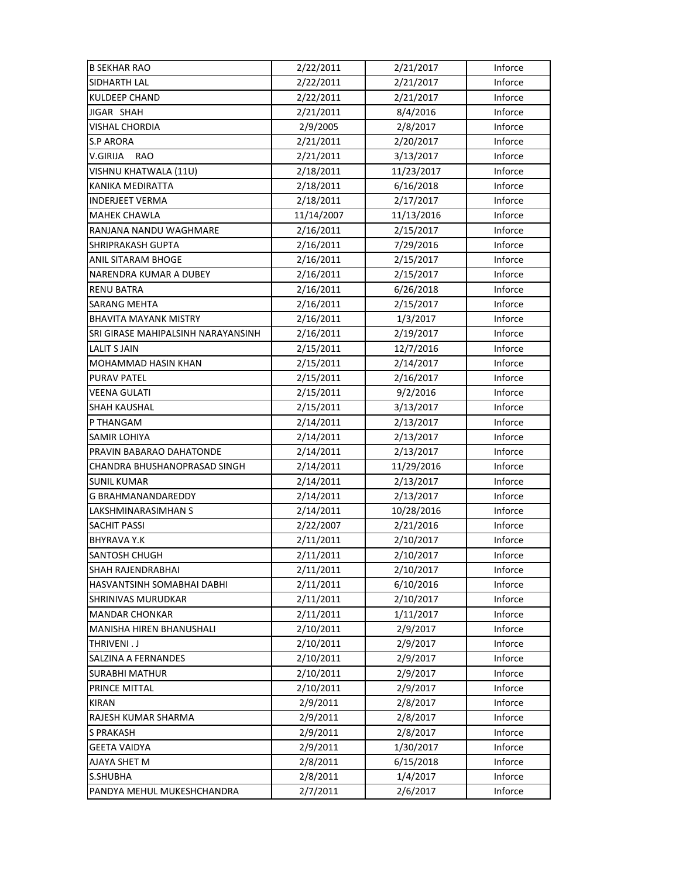| <b>B SEKHAR RAO</b>                | 2/22/2011  | 2/21/2017  | Inforce |
|------------------------------------|------------|------------|---------|
| SIDHARTH LAL                       | 2/22/2011  | 2/21/2017  | Inforce |
| <b>KULDEEP CHAND</b>               | 2/22/2011  | 2/21/2017  | Inforce |
| JIGAR SHAH                         | 2/21/2011  | 8/4/2016   | Inforce |
| <b>VISHAL CHORDIA</b>              | 2/9/2005   | 2/8/2017   | Inforce |
| <b>S.P ARORA</b>                   | 2/21/2011  | 2/20/2017  | Inforce |
| V.GIRIJA<br><b>RAO</b>             | 2/21/2011  | 3/13/2017  | Inforce |
| VISHNU KHATWALA (11U)              | 2/18/2011  | 11/23/2017 | Inforce |
| KANIKA MEDIRATTA                   | 2/18/2011  | 6/16/2018  | Inforce |
| <b>INDERJEET VERMA</b>             | 2/18/2011  | 2/17/2017  | Inforce |
| <b>MAHEK CHAWLA</b>                | 11/14/2007 | 11/13/2016 | Inforce |
| RANJANA NANDU WAGHMARE             | 2/16/2011  | 2/15/2017  | Inforce |
| SHRIPRAKASH GUPTA                  | 2/16/2011  | 7/29/2016  | Inforce |
| ANIL SITARAM BHOGE                 | 2/16/2011  | 2/15/2017  | Inforce |
| NARENDRA KUMAR A DUBEY             | 2/16/2011  | 2/15/2017  | Inforce |
| <b>RENU BATRA</b>                  | 2/16/2011  | 6/26/2018  | Inforce |
| <b>SARANG MEHTA</b>                | 2/16/2011  | 2/15/2017  | Inforce |
| <b>BHAVITA MAYANK MISTRY</b>       | 2/16/2011  | 1/3/2017   | Inforce |
| SRI GIRASE MAHIPALSINH NARAYANSINH | 2/16/2011  | 2/19/2017  | Inforce |
| <b>LALIT S JAIN</b>                | 2/15/2011  | 12/7/2016  | Inforce |
| MOHAMMAD HASIN KHAN                | 2/15/2011  | 2/14/2017  | Inforce |
| PURAV PATEL                        | 2/15/2011  | 2/16/2017  | Inforce |
| VEENA GULATI                       | 2/15/2011  | 9/2/2016   | Inforce |
| <b>SHAH KAUSHAL</b>                | 2/15/2011  | 3/13/2017  | Inforce |
| P THANGAM                          | 2/14/2011  | 2/13/2017  | Inforce |
| SAMIR LOHIYA                       | 2/14/2011  | 2/13/2017  | Inforce |
| PRAVIN BABARAO DAHATONDE           | 2/14/2011  | 2/13/2017  | Inforce |
| CHANDRA BHUSHANOPRASAD SINGH       | 2/14/2011  | 11/29/2016 | Inforce |
| <b>SUNIL KUMAR</b>                 | 2/14/2011  | 2/13/2017  | Inforce |
| G BRAHMANANDAREDDY                 | 2/14/2011  | 2/13/2017  | Inforce |
| LAKSHMINARASIMHAN S                | 2/14/2011  | 10/28/2016 | Inforce |
| <b>SACHIT PASSI</b>                | 2/22/2007  | 2/21/2016  | Inforce |
| <b>BHYRAVA Y.K</b>                 | 2/11/2011  | 2/10/2017  | Inforce |
| SANTOSH CHUGH                      | 2/11/2011  | 2/10/2017  | Inforce |
| SHAH RAJENDRABHAI                  | 2/11/2011  | 2/10/2017  | Inforce |
| HASVANTSINH SOMABHAI DABHI         | 2/11/2011  | 6/10/2016  | Inforce |
| SHRINIVAS MURUDKAR                 | 2/11/2011  | 2/10/2017  | Inforce |
| <b>MANDAR CHONKAR</b>              | 2/11/2011  | 1/11/2017  | Inforce |
| MANISHA HIREN BHANUSHALI           | 2/10/2011  | 2/9/2017   | Inforce |
| THRIVENI.J                         | 2/10/2011  | 2/9/2017   | Inforce |
| SALZINA A FERNANDES                | 2/10/2011  | 2/9/2017   | Inforce |
| <b>SURABHI MATHUR</b>              | 2/10/2011  | 2/9/2017   | Inforce |
| PRINCE MITTAL                      | 2/10/2011  | 2/9/2017   | Inforce |
| <b>KIRAN</b>                       | 2/9/2011   | 2/8/2017   | Inforce |
| RAJESH KUMAR SHARMA                | 2/9/2011   | 2/8/2017   | Inforce |
| S PRAKASH                          | 2/9/2011   | 2/8/2017   | Inforce |
| <b>GEETA VAIDYA</b>                | 2/9/2011   | 1/30/2017  | Inforce |
| AJAYA SHET M                       | 2/8/2011   | 6/15/2018  | Inforce |
| S.SHUBHA                           | 2/8/2011   | 1/4/2017   | Inforce |
| PANDYA MEHUL MUKESHCHANDRA         | 2/7/2011   | 2/6/2017   | Inforce |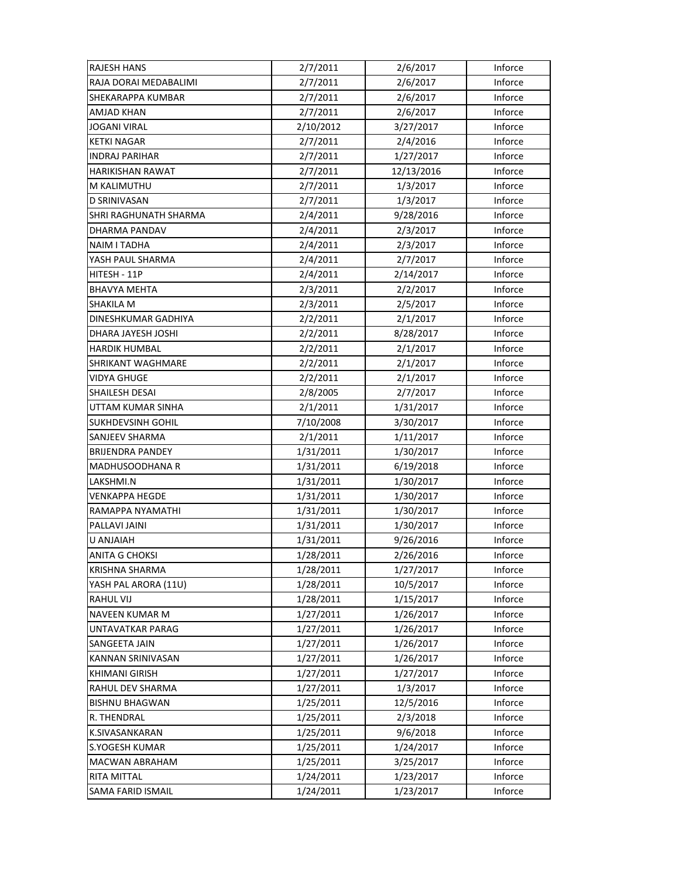| <b>RAJESH HANS</b>      | 2/7/2011  | 2/6/2017   | Inforce |
|-------------------------|-----------|------------|---------|
| RAJA DORAI MEDABALIMI   | 2/7/2011  | 2/6/2017   | Inforce |
| SHEKARAPPA KUMBAR       | 2/7/2011  | 2/6/2017   | Inforce |
| AMJAD KHAN              | 2/7/2011  | 2/6/2017   | Inforce |
| JOGANI VIRAL            | 2/10/2012 | 3/27/2017  | Inforce |
| KETKI NAGAR             | 2/7/2011  | 2/4/2016   | Inforce |
| <b>INDRAJ PARIHAR</b>   | 2/7/2011  | 1/27/2017  | Inforce |
| <b>HARIKISHAN RAWAT</b> | 2/7/2011  | 12/13/2016 | Inforce |
| M KALIMUTHU             | 2/7/2011  | 1/3/2017   | Inforce |
| D SRINIVASAN            | 2/7/2011  | 1/3/2017   | Inforce |
| SHRI RAGHUNATH SHARMA   | 2/4/2011  | 9/28/2016  | Inforce |
| DHARMA PANDAV           | 2/4/2011  | 2/3/2017   | Inforce |
| NAIM I TADHA            | 2/4/2011  | 2/3/2017   | Inforce |
| YASH PAUL SHARMA        | 2/4/2011  | 2/7/2017   | Inforce |
| HITESH - 11P            | 2/4/2011  | 2/14/2017  | Inforce |
| <b>BHAVYA MEHTA</b>     | 2/3/2011  | 2/2/2017   | Inforce |
| <b>SHAKILA M</b>        | 2/3/2011  | 2/5/2017   | Inforce |
| DINESHKUMAR GADHIYA     | 2/2/2011  | 2/1/2017   | Inforce |
| DHARA JAYESH JOSHI      | 2/2/2011  | 8/28/2017  | Inforce |
| <b>HARDIK HUMBAL</b>    | 2/2/2011  | 2/1/2017   | Inforce |
| SHRIKANT WAGHMARE       | 2/2/2011  | 2/1/2017   | Inforce |
| VIDYA GHUGE             | 2/2/2011  | 2/1/2017   | Inforce |
| SHAILESH DESAI          | 2/8/2005  | 2/7/2017   | Inforce |
| UTTAM KUMAR SINHA       | 2/1/2011  | 1/31/2017  | Inforce |
| SUKHDEVSINH GOHIL       | 7/10/2008 | 3/30/2017  | Inforce |
| SANJEEV SHARMA          | 2/1/2011  | 1/11/2017  | Inforce |
| <b>BRIJENDRA PANDEY</b> | 1/31/2011 | 1/30/2017  | Inforce |
| MADHUSOODHANA R         | 1/31/2011 | 6/19/2018  | Inforce |
| LAKSHMI.N               | 1/31/2011 | 1/30/2017  | Inforce |
| <b>VENKAPPA HEGDE</b>   | 1/31/2011 | 1/30/2017  | Inforce |
| RAMAPPA NYAMATHI        | 1/31/2011 | 1/30/2017  | Inforce |
| PALLAVI JAINI           | 1/31/2011 | 1/30/2017  | Inforce |
| <b>U ANJAIAH</b>        | 1/31/2011 | 9/26/2016  | Inforce |
| ANITA G CHOKSI          | 1/28/2011 | 2/26/2016  | Inforce |
| KRISHNA SHARMA          | 1/28/2011 | 1/27/2017  | Inforce |
| YASH PAL ARORA (11U)    | 1/28/2011 | 10/5/2017  | Inforce |
| RAHUL VIJ               | 1/28/2011 | 1/15/2017  | Inforce |
| NAVEEN KUMAR M          | 1/27/2011 | 1/26/2017  | Inforce |
| <b>UNTAVATKAR PARAG</b> | 1/27/2011 | 1/26/2017  | Inforce |
| SANGEETA JAIN           | 1/27/2011 | 1/26/2017  | Inforce |
| KANNAN SRINIVASAN       | 1/27/2011 | 1/26/2017  | Inforce |
| KHIMANI GIRISH          | 1/27/2011 | 1/27/2017  | Inforce |
| RAHUL DEV SHARMA        | 1/27/2011 | 1/3/2017   | Inforce |
| <b>BISHNU BHAGWAN</b>   | 1/25/2011 | 12/5/2016  | Inforce |
| R. THENDRAL             | 1/25/2011 | 2/3/2018   | Inforce |
| K.SIVASANKARAN          | 1/25/2011 | 9/6/2018   | Inforce |
| S.YOGESH KUMAR          | 1/25/2011 | 1/24/2017  | Inforce |
| MACWAN ABRAHAM          | 1/25/2011 | 3/25/2017  | Inforce |
| RITA MITTAL             | 1/24/2011 | 1/23/2017  | Inforce |
| SAMA FARID ISMAIL       | 1/24/2011 | 1/23/2017  | Inforce |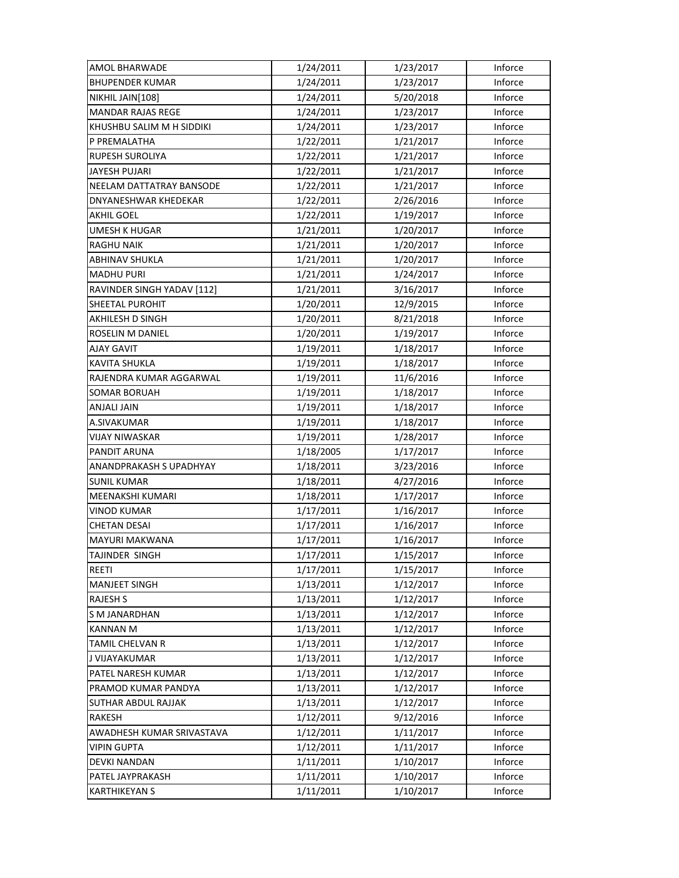| AMOL BHARWADE              | 1/24/2011 | 1/23/2017 | Inforce |
|----------------------------|-----------|-----------|---------|
| <b>BHUPENDER KUMAR</b>     | 1/24/2011 | 1/23/2017 | Inforce |
| NIKHIL JAIN[108]           | 1/24/2011 | 5/20/2018 | Inforce |
| <b>MANDAR RAJAS REGE</b>   | 1/24/2011 | 1/23/2017 | Inforce |
| KHUSHBU SALIM M H SIDDIKI  | 1/24/2011 | 1/23/2017 | Inforce |
| P PREMALATHA               | 1/22/2011 | 1/21/2017 | Inforce |
| <b>RUPESH SUROLIYA</b>     | 1/22/2011 | 1/21/2017 | Inforce |
| <b>JAYESH PUJARI</b>       | 1/22/2011 | 1/21/2017 | Inforce |
| NEELAM DATTATRAY BANSODE   | 1/22/2011 | 1/21/2017 | Inforce |
| DNYANESHWAR KHEDEKAR       | 1/22/2011 | 2/26/2016 | Inforce |
| <b>AKHIL GOEL</b>          | 1/22/2011 | 1/19/2017 | Inforce |
| <b>UMESH K HUGAR</b>       | 1/21/2011 | 1/20/2017 | Inforce |
| <b>RAGHU NAIK</b>          | 1/21/2011 | 1/20/2017 | Inforce |
| ABHINAV SHUKLA             | 1/21/2011 | 1/20/2017 | Inforce |
| <b>MADHU PURI</b>          | 1/21/2011 | 1/24/2017 | Inforce |
| RAVINDER SINGH YADAV [112] | 1/21/2011 | 3/16/2017 | Inforce |
| <b>SHEETAL PUROHIT</b>     | 1/20/2011 | 12/9/2015 | Inforce |
| AKHILESH D SINGH           | 1/20/2011 | 8/21/2018 | Inforce |
| ROSELIN M DANIEL           | 1/20/2011 | 1/19/2017 | Inforce |
| AJAY GAVIT                 | 1/19/2011 | 1/18/2017 | Inforce |
| <b>KAVITA SHUKLA</b>       | 1/19/2011 | 1/18/2017 | Inforce |
| RAJENDRA KUMAR AGGARWAL    | 1/19/2011 | 11/6/2016 | Inforce |
| <b>SOMAR BORUAH</b>        | 1/19/2011 | 1/18/2017 | Inforce |
| ANJALI JAIN                | 1/19/2011 | 1/18/2017 | Inforce |
| A.SIVAKUMAR                | 1/19/2011 | 1/18/2017 | Inforce |
| VIJAY NIWASKAR             | 1/19/2011 | 1/28/2017 | Inforce |
| PANDIT ARUNA               | 1/18/2005 | 1/17/2017 | Inforce |
| ANANDPRAKASH S UPADHYAY    | 1/18/2011 | 3/23/2016 | Inforce |
| <b>SUNIL KUMAR</b>         | 1/18/2011 | 4/27/2016 | Inforce |
| MEENAKSHI KUMARI           | 1/18/2011 | 1/17/2017 | Inforce |
| <b>VINOD KUMAR</b>         | 1/17/2011 | 1/16/2017 | Inforce |
| <b>CHETAN DESAI</b>        | 1/17/2011 | 1/16/2017 | Inforce |
| <b>MAYURI MAKWANA</b>      | 1/17/2011 | 1/16/2017 | Inforce |
| TAJINDER SINGH             | 1/17/2011 | 1/15/2017 | Inforce |
| REETI                      | 1/17/2011 | 1/15/2017 | Inforce |
| <b>MANJEET SINGH</b>       | 1/13/2011 | 1/12/2017 | Inforce |
| <b>RAJESH S</b>            | 1/13/2011 | 1/12/2017 | Inforce |
| S M JANARDHAN              | 1/13/2011 | 1/12/2017 | Inforce |
| <b>KANNAN M</b>            | 1/13/2011 | 1/12/2017 | Inforce |
| <b>TAMIL CHELVAN R</b>     | 1/13/2011 | 1/12/2017 | Inforce |
| J VIJAYAKUMAR              | 1/13/2011 | 1/12/2017 | Inforce |
| PATEL NARESH KUMAR         | 1/13/2011 | 1/12/2017 | Inforce |
| PRAMOD KUMAR PANDYA        | 1/13/2011 | 1/12/2017 | Inforce |
| SUTHAR ABDUL RAJJAK        | 1/13/2011 | 1/12/2017 | Inforce |
| RAKESH                     | 1/12/2011 | 9/12/2016 | Inforce |
| AWADHESH KUMAR SRIVASTAVA  | 1/12/2011 | 1/11/2017 | Inforce |
| <b>VIPIN GUPTA</b>         | 1/12/2011 | 1/11/2017 | Inforce |
| DEVKI NANDAN               | 1/11/2011 | 1/10/2017 | Inforce |
| PATEL JAYPRAKASH           | 1/11/2011 | 1/10/2017 | Inforce |
| <b>KARTHIKEYAN S</b>       | 1/11/2011 | 1/10/2017 | Inforce |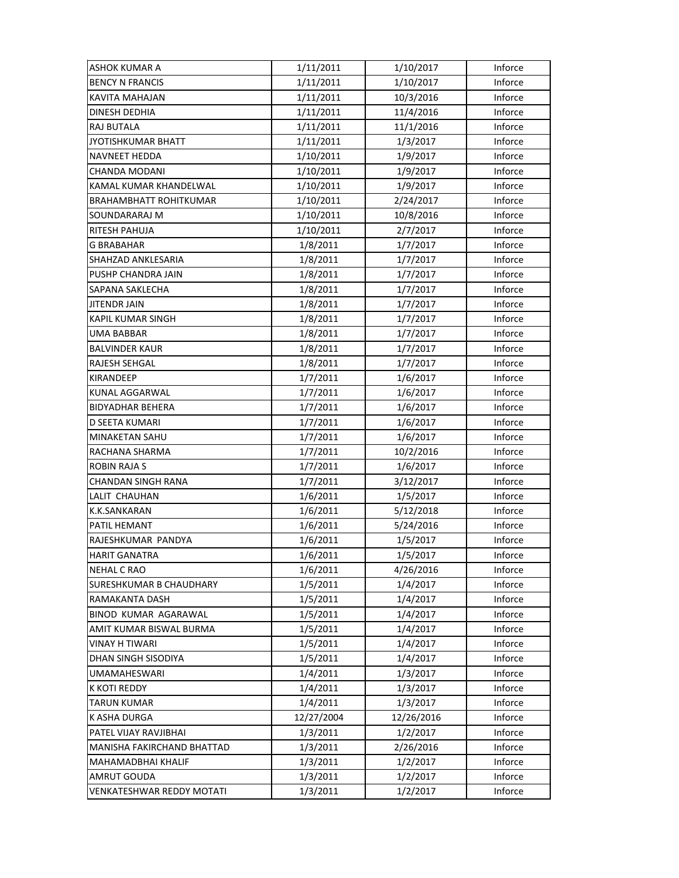| ASHOK KUMAR A                  | 1/11/2011  | 1/10/2017  | Inforce |
|--------------------------------|------------|------------|---------|
| <b>BENCY N FRANCIS</b>         | 1/11/2011  | 1/10/2017  | Inforce |
| KAVITA MAHAJAN                 | 1/11/2011  | 10/3/2016  | Inforce |
| DINESH DEDHIA                  | 1/11/2011  | 11/4/2016  | Inforce |
| RAJ BUTALA                     | 1/11/2011  | 11/1/2016  | Inforce |
| <b>JYOTISHKUMAR BHATT</b>      | 1/11/2011  | 1/3/2017   | Inforce |
| NAVNEET HEDDA                  | 1/10/2011  | 1/9/2017   | Inforce |
| CHANDA MODANI                  | 1/10/2011  | 1/9/2017   | Inforce |
| KAMAL KUMAR KHANDELWAL         | 1/10/2011  | 1/9/2017   | Inforce |
| <b>BRAHAMBHATT ROHITKUMAR</b>  | 1/10/2011  | 2/24/2017  | Inforce |
| SOUNDARARAJ M                  | 1/10/2011  | 10/8/2016  | Inforce |
| RITESH PAHUJA                  | 1/10/2011  | 2/7/2017   | Inforce |
| <b>G BRABAHAR</b>              | 1/8/2011   | 1/7/2017   | Inforce |
| SHAHZAD ANKLESARIA             | 1/8/2011   | 1/7/2017   | Inforce |
| PUSHP CHANDRA JAIN             | 1/8/2011   | 1/7/2017   | Inforce |
| SAPANA SAKLECHA                | 1/8/2011   | 1/7/2017   | Inforce |
| <b>JITENDR JAIN</b>            | 1/8/2011   | 1/7/2017   | Inforce |
| KAPIL KUMAR SINGH              | 1/8/2011   | 1/7/2017   | Inforce |
| UMA BABBAR                     | 1/8/2011   | 1/7/2017   | Inforce |
| <b>BALVINDER KAUR</b>          | 1/8/2011   | 1/7/2017   | Inforce |
| RAJESH SEHGAL                  | 1/8/2011   | 1/7/2017   | Inforce |
| <b>KIRANDEEP</b>               | 1/7/2011   | 1/6/2017   | Inforce |
| KUNAL AGGARWAL                 | 1/7/2011   | 1/6/2017   | Inforce |
| <b>BIDYADHAR BEHERA</b>        | 1/7/2011   | 1/6/2017   | Inforce |
| D SEETA KUMARI                 | 1/7/2011   | 1/6/2017   | Inforce |
| <b>MINAKETAN SAHU</b>          | 1/7/2011   | 1/6/2017   | Inforce |
| RACHANA SHARMA                 | 1/7/2011   | 10/2/2016  | Inforce |
| ROBIN RAJA S                   | 1/7/2011   | 1/6/2017   | Inforce |
| CHANDAN SINGH RANA             | 1/7/2011   | 3/12/2017  | Inforce |
| LALIT CHAUHAN                  | 1/6/2011   | 1/5/2017   | Inforce |
| K.K.SANKARAN                   | 1/6/2011   | 5/12/2018  | Inforce |
| PATIL HEMANT                   | 1/6/2011   | 5/24/2016  | Inforce |
| RAJESHKUMAR PANDYA             | 1/6/2011   | 1/5/2017   | Inforce |
| <b>HARIT GANATRA</b>           | 1/6/2011   | 1/5/2017   | Inforce |
| <b>NEHAL C RAO</b>             | 1/6/2011   | 4/26/2016  | Inforce |
| <b>SURESHKUMAR B CHAUDHARY</b> | 1/5/2011   | 1/4/2017   | Inforce |
| RAMAKANTA DASH                 | 1/5/2011   | 1/4/2017   | Inforce |
| <b>BINOD KUMAR AGARAWAL</b>    | 1/5/2011   | 1/4/2017   | Inforce |
| AMIT KUMAR BISWAL BURMA        | 1/5/2011   | 1/4/2017   | Inforce |
| <b>VINAY H TIWARI</b>          | 1/5/2011   | 1/4/2017   | Inforce |
| DHAN SINGH SISODIYA            | 1/5/2011   | 1/4/2017   | Inforce |
| UMAMAHESWARI                   | 1/4/2011   | 1/3/2017   | Inforce |
| K KOTI REDDY                   | 1/4/2011   | 1/3/2017   | Inforce |
| <b>TARUN KUMAR</b>             | 1/4/2011   | 1/3/2017   | Inforce |
| K ASHA DURGA                   | 12/27/2004 | 12/26/2016 | Inforce |
| PATEL VIJAY RAVJIBHAI          | 1/3/2011   | 1/2/2017   | Inforce |
| MANISHA FAKIRCHAND BHATTAD     | 1/3/2011   | 2/26/2016  | Inforce |
| MAHAMADBHAI KHALIF             | 1/3/2011   | 1/2/2017   | Inforce |
| AMRUT GOUDA                    | 1/3/2011   | 1/2/2017   | Inforce |
| VENKATESHWAR REDDY MOTATI      | 1/3/2011   | 1/2/2017   | Inforce |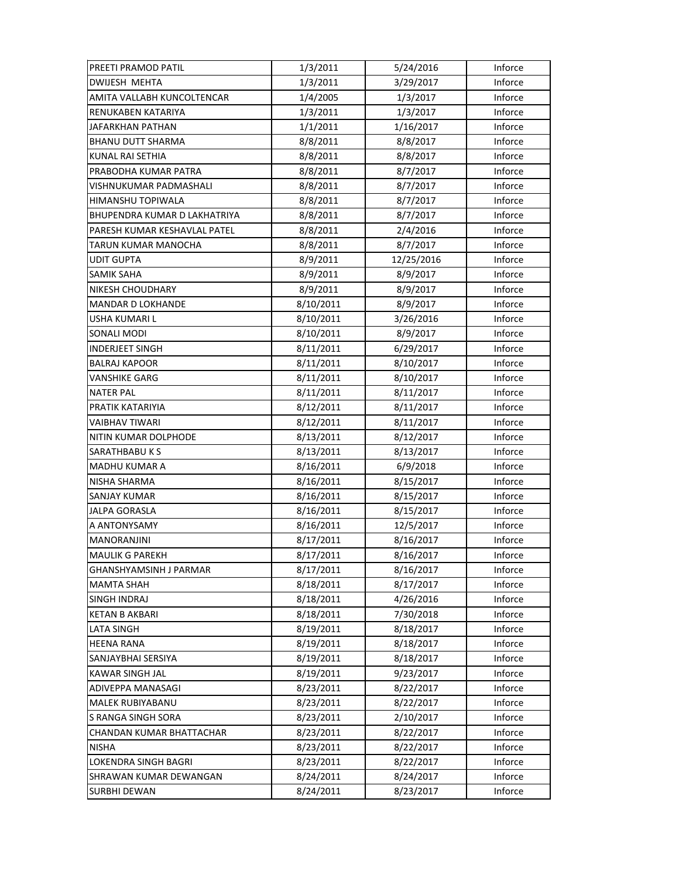| PREETI PRAMOD PATIL          | 1/3/2011  | 5/24/2016  | Inforce |
|------------------------------|-----------|------------|---------|
| <b>DWIJESH MEHTA</b>         | 1/3/2011  | 3/29/2017  | Inforce |
| AMITA VALLABH KUNCOLTENCAR   | 1/4/2005  | 1/3/2017   | Inforce |
| RENUKABEN KATARIYA           | 1/3/2011  | 1/3/2017   | Inforce |
| JAFARKHAN PATHAN             | 1/1/2011  | 1/16/2017  | Inforce |
| <b>BHANU DUTT SHARMA</b>     | 8/8/2011  | 8/8/2017   | Inforce |
| KUNAL RAI SETHIA             | 8/8/2011  | 8/8/2017   | Inforce |
| PRABODHA KUMAR PATRA         | 8/8/2011  | 8/7/2017   | Inforce |
| VISHNUKUMAR PADMASHALI       | 8/8/2011  | 8/7/2017   | Inforce |
| HIMANSHU TOPIWALA            | 8/8/2011  | 8/7/2017   | Inforce |
| BHUPENDRA KUMAR D LAKHATRIYA | 8/8/2011  | 8/7/2017   | Inforce |
| PARESH KUMAR KESHAVLAL PATEL | 8/8/2011  | 2/4/2016   | Inforce |
| TARUN KUMAR MANOCHA          | 8/8/2011  | 8/7/2017   | Inforce |
| <b>UDIT GUPTA</b>            | 8/9/2011  | 12/25/2016 | Inforce |
| SAMIK SAHA                   | 8/9/2011  | 8/9/2017   | Inforce |
| NIKESH CHOUDHARY             | 8/9/2011  | 8/9/2017   | Inforce |
| <b>MANDAR D LOKHANDE</b>     | 8/10/2011 | 8/9/2017   | Inforce |
| USHA KUMARI L                | 8/10/2011 | 3/26/2016  | Inforce |
| SONALI MODI                  | 8/10/2011 | 8/9/2017   | Inforce |
| <b>INDERJEET SINGH</b>       | 8/11/2011 | 6/29/2017  | Inforce |
| <b>BALRAJ KAPOOR</b>         | 8/11/2011 | 8/10/2017  | Inforce |
| VANSHIKE GARG                | 8/11/2011 | 8/10/2017  | Inforce |
| <b>NATER PAL</b>             | 8/11/2011 | 8/11/2017  | Inforce |
| PRATIK KATARIYIA             | 8/12/2011 | 8/11/2017  | Inforce |
| <b>VAIBHAV TIWARI</b>        | 8/12/2011 | 8/11/2017  | Inforce |
| NITIN KUMAR DOLPHODE         | 8/13/2011 | 8/12/2017  | Inforce |
| <b>SARATHBABU KS</b>         | 8/13/2011 | 8/13/2017  | Inforce |
| MADHU KUMAR A                | 8/16/2011 | 6/9/2018   | Inforce |
| NISHA SHARMA                 | 8/16/2011 | 8/15/2017  | Inforce |
| SANJAY KUMAR                 | 8/16/2011 | 8/15/2017  | Inforce |
| <b>JALPA GORASLA</b>         | 8/16/2011 | 8/15/2017  | Inforce |
| A ANTONYSAMY                 | 8/16/2011 | 12/5/2017  | Inforce |
| MANORANJINI                  | 8/17/2011 | 8/16/2017  | Inforce |
| <b>MAULIK G PAREKH</b>       | 8/17/2011 | 8/16/2017  | Inforce |
| GHANSHYAMSINH J PARMAR       | 8/17/2011 | 8/16/2017  | Inforce |
| <b>MAMTA SHAH</b>            | 8/18/2011 | 8/17/2017  | Inforce |
| SINGH INDRAJ                 | 8/18/2011 | 4/26/2016  | Inforce |
| <b>KETAN B AKBARI</b>        | 8/18/2011 | 7/30/2018  | Inforce |
| <b>LATA SINGH</b>            | 8/19/2011 | 8/18/2017  | Inforce |
| <b>HEENA RANA</b>            | 8/19/2011 | 8/18/2017  | Inforce |
| SANJAYBHAI SERSIYA           | 8/19/2011 | 8/18/2017  | Inforce |
| KAWAR SINGH JAL              | 8/19/2011 | 9/23/2017  | Inforce |
| ADIVEPPA MANASAGI            | 8/23/2011 | 8/22/2017  | Inforce |
| <b>MALEK RUBIYABANU</b>      | 8/23/2011 | 8/22/2017  | Inforce |
| S RANGA SINGH SORA           | 8/23/2011 | 2/10/2017  | Inforce |
| CHANDAN KUMAR BHATTACHAR     | 8/23/2011 | 8/22/2017  | Inforce |
| <b>NISHA</b>                 | 8/23/2011 | 8/22/2017  | Inforce |
| LOKENDRA SINGH BAGRI         | 8/23/2011 | 8/22/2017  | Inforce |
| SHRAWAN KUMAR DEWANGAN       | 8/24/2011 | 8/24/2017  | Inforce |
| <b>SURBHI DEWAN</b>          | 8/24/2011 | 8/23/2017  | Inforce |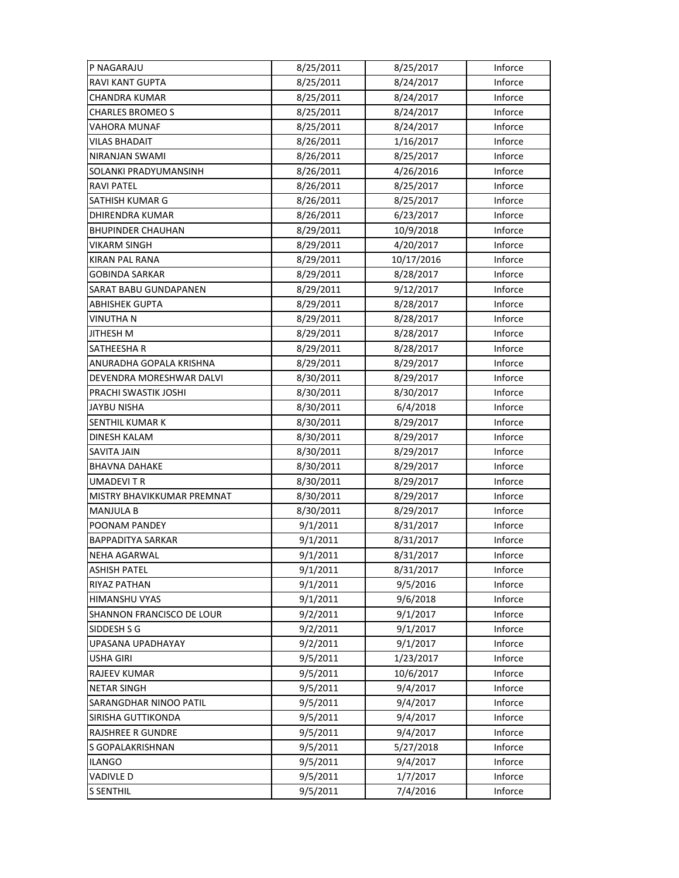| P NAGARAJU                       | 8/25/2011 | 8/25/2017  | Inforce |
|----------------------------------|-----------|------------|---------|
| <b>RAVI KANT GUPTA</b>           | 8/25/2011 | 8/24/2017  | Inforce |
| CHANDRA KUMAR                    | 8/25/2011 | 8/24/2017  | Inforce |
| <b>CHARLES BROMEO S</b>          | 8/25/2011 | 8/24/2017  | Inforce |
| VAHORA MUNAF                     | 8/25/2011 | 8/24/2017  | Inforce |
| <b>VILAS BHADAIT</b>             | 8/26/2011 | 1/16/2017  | Inforce |
| NIRANJAN SWAMI                   | 8/26/2011 | 8/25/2017  | Inforce |
| SOLANKI PRADYUMANSINH            | 8/26/2011 | 4/26/2016  | Inforce |
| <b>RAVI PATEL</b>                | 8/26/2011 | 8/25/2017  | Inforce |
| SATHISH KUMAR G                  | 8/26/2011 | 8/25/2017  | Inforce |
| <b>DHIRENDRA KUMAR</b>           | 8/26/2011 | 6/23/2017  | Inforce |
| <b>BHUPINDER CHAUHAN</b>         | 8/29/2011 | 10/9/2018  | Inforce |
| <b>VIKARM SINGH</b>              | 8/29/2011 | 4/20/2017  | Inforce |
| <b>KIRAN PAL RANA</b>            | 8/29/2011 | 10/17/2016 | Inforce |
| <b>GOBINDA SARKAR</b>            | 8/29/2011 | 8/28/2017  | Inforce |
| SARAT BABU GUNDAPANEN            | 8/29/2011 | 9/12/2017  | Inforce |
| <b>ABHISHEK GUPTA</b>            | 8/29/2011 | 8/28/2017  | Inforce |
| VINUTHA N                        | 8/29/2011 | 8/28/2017  | Inforce |
| <b>JITHESH M</b>                 | 8/29/2011 | 8/28/2017  | Inforce |
| SATHEESHA R                      | 8/29/2011 | 8/28/2017  | Inforce |
| ANURADHA GOPALA KRISHNA          | 8/29/2011 | 8/29/2017  | Inforce |
| DEVENDRA MORESHWAR DALVI         | 8/30/2011 | 8/29/2017  | Inforce |
| PRACHI SWASTIK JOSHI             | 8/30/2011 | 8/30/2017  | Inforce |
| <b>JAYBU NISHA</b>               | 8/30/2011 | 6/4/2018   | Inforce |
| <b>SENTHIL KUMAR K</b>           | 8/30/2011 | 8/29/2017  | Inforce |
| <b>DINESH KALAM</b>              | 8/30/2011 | 8/29/2017  | Inforce |
| SAVITA JAIN                      | 8/30/2011 | 8/29/2017  | Inforce |
| <b>BHAVNA DAHAKE</b>             | 8/30/2011 | 8/29/2017  | Inforce |
| <b>UMADEVITR</b>                 | 8/30/2011 | 8/29/2017  | Inforce |
| MISTRY BHAVIKKUMAR PREMNAT       | 8/30/2011 | 8/29/2017  | Inforce |
| <b>MANJULA B</b>                 | 8/30/2011 | 8/29/2017  | Inforce |
| POONAM PANDEY                    | 9/1/2011  | 8/31/2017  | Inforce |
| <b>BAPPADITYA SARKAR</b>         | 9/1/2011  | 8/31/2017  | Inforce |
| <b>NEHA AGARWAL</b>              | 9/1/2011  | 8/31/2017  | Inforce |
| <b>ASHISH PATEL</b>              | 9/1/2011  | 8/31/2017  | Inforce |
| RIYAZ PATHAN                     | 9/1/2011  | 9/5/2016   | Inforce |
| <b>HIMANSHU VYAS</b>             | 9/1/2011  | 9/6/2018   | Inforce |
| <b>SHANNON FRANCISCO DE LOUR</b> | 9/2/2011  | 9/1/2017   | Inforce |
| SIDDESH S G                      | 9/2/2011  | 9/1/2017   | Inforce |
| UPASANA UPADHAYAY                | 9/2/2011  | 9/1/2017   | Inforce |
| USHA GIRI                        | 9/5/2011  | 1/23/2017  | Inforce |
| RAJEEV KUMAR                     | 9/5/2011  | 10/6/2017  | Inforce |
| <b>NETAR SINGH</b>               | 9/5/2011  | 9/4/2017   | Inforce |
| SARANGDHAR NINOO PATIL           | 9/5/2011  | 9/4/2017   | Inforce |
| SIRISHA GUTTIKONDA               | 9/5/2011  | 9/4/2017   | Inforce |
| RAJSHREE R GUNDRE                | 9/5/2011  | 9/4/2017   | Inforce |
| S GOPALAKRISHNAN                 | 9/5/2011  | 5/27/2018  | Inforce |
| <b>ILANGO</b>                    | 9/5/2011  | 9/4/2017   | Inforce |
| <b>VADIVLE D</b>                 | 9/5/2011  | 1/7/2017   | Inforce |
| <b>S SENTHIL</b>                 | 9/5/2011  | 7/4/2016   | Inforce |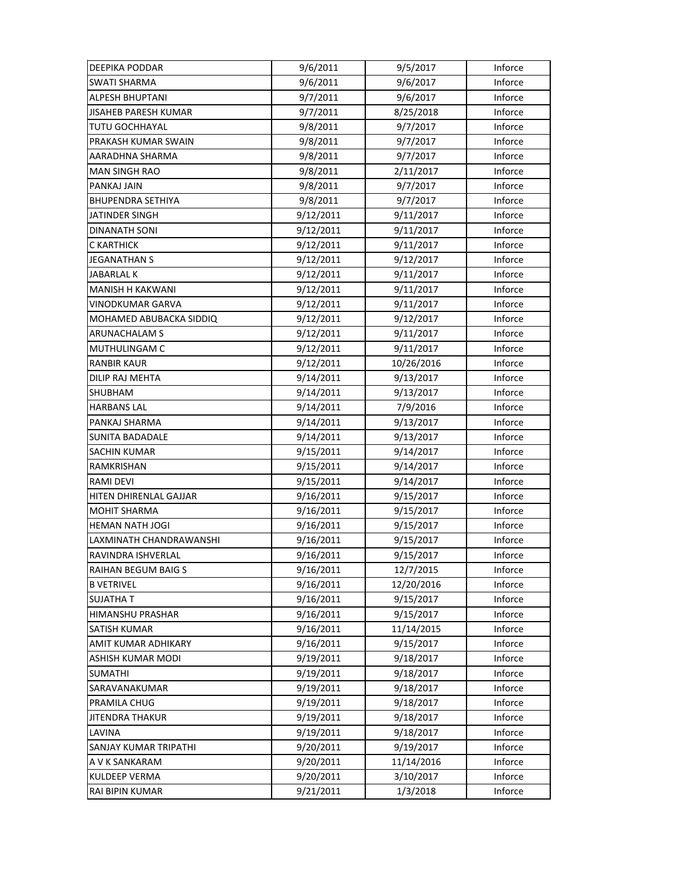| DEEPIKA PODDAR             | 9/6/2011  | 9/5/2017   | Inforce |
|----------------------------|-----------|------------|---------|
| <b>SWATI SHARMA</b>        | 9/6/2011  | 9/6/2017   | Inforce |
| ALPESH BHUPTANI            | 9/7/2011  | 9/6/2017   | Inforce |
| JISAHEB PARESH KUMAR       | 9/7/2011  | 8/25/2018  | Inforce |
| TUTU GOCHHAYAL             | 9/8/2011  | 9/7/2017   | Inforce |
| PRAKASH KUMAR SWAIN        | 9/8/2011  | 9/7/2017   | Inforce |
| AARADHNA SHARMA            | 9/8/2011  | 9/7/2017   | Inforce |
| <b>MAN SINGH RAO</b>       | 9/8/2011  | 2/11/2017  | Inforce |
| PANKAJ JAIN                | 9/8/2011  | 9/7/2017   | Inforce |
| <b>BHUPENDRA SETHIYA</b>   | 9/8/2011  | 9/7/2017   | Inforce |
| JATINDER SINGH             | 9/12/2011 | 9/11/2017  | Inforce |
| <b>DINANATH SONI</b>       | 9/12/2011 | 9/11/2017  | Inforce |
| C KARTHICK                 | 9/12/2011 | 9/11/2017  | Inforce |
| <b>JEGANATHAN S</b>        | 9/12/2011 | 9/12/2017  | Inforce |
| <b>JABARLAL K</b>          | 9/12/2011 | 9/11/2017  | Inforce |
| <b>MANISH H KAKWANI</b>    | 9/12/2011 | 9/11/2017  | Inforce |
| <b>VINODKUMAR GARVA</b>    | 9/12/2011 | 9/11/2017  | Inforce |
| MOHAMED ABUBACKA SIDDIQ    | 9/12/2011 | 9/12/2017  | Inforce |
| ARUNACHALAM S              | 9/12/2011 | 9/11/2017  | Inforce |
| MUTHULINGAM C              | 9/12/2011 | 9/11/2017  | Inforce |
| <b>RANBIR KAUR</b>         | 9/12/2011 | 10/26/2016 | Inforce |
| DILIP RAJ MEHTA            | 9/14/2011 | 9/13/2017  | Inforce |
| <b>SHUBHAM</b>             | 9/14/2011 | 9/13/2017  | Inforce |
| HARBANS LAL                | 9/14/2011 | 7/9/2016   | Inforce |
| PANKAJ SHARMA              | 9/14/2011 | 9/13/2017  | Inforce |
| <b>SUNITA BADADALE</b>     | 9/14/2011 | 9/13/2017  | Inforce |
| <b>SACHIN KUMAR</b>        | 9/15/2011 | 9/14/2017  | Inforce |
| RAMKRISHAN                 | 9/15/2011 | 9/14/2017  | Inforce |
| <b>RAMI DEVI</b>           | 9/15/2011 | 9/14/2017  | Inforce |
| HITEN DHIRENLAL GAJJAR     | 9/16/2011 | 9/15/2017  | Inforce |
| <b>MOHIT SHARMA</b>        | 9/16/2011 | 9/15/2017  | Inforce |
| <b>HEMAN NATH JOGI</b>     | 9/16/2011 | 9/15/2017  | Inforce |
| LAXMINATH CHANDRAWANSHI    | 9/16/2011 | 9/15/2017  | Inforce |
| RAVINDRA ISHVERLAL         | 9/16/2011 | 9/15/2017  | Inforce |
| <b>RAIHAN BEGUM BAIG S</b> | 9/16/2011 | 12/7/2015  | Inforce |
| <b>B VETRIVEL</b>          | 9/16/2011 | 12/20/2016 | Inforce |
| <b>SUJATHAT</b>            | 9/16/2011 | 9/15/2017  | Inforce |
| HIMANSHU PRASHAR           | 9/16/2011 | 9/15/2017  | Inforce |
| SATISH KUMAR               | 9/16/2011 | 11/14/2015 | Inforce |
| AMIT KUMAR ADHIKARY        | 9/16/2011 | 9/15/2017  | Inforce |
| ASHISH KUMAR MODI          | 9/19/2011 | 9/18/2017  | Inforce |
| <b>SUMATHI</b>             | 9/19/2011 | 9/18/2017  | Inforce |
| SARAVANAKUMAR              | 9/19/2011 | 9/18/2017  | Inforce |
| PRAMILA CHUG               | 9/19/2011 | 9/18/2017  | Inforce |
| <b>JITENDRA THAKUR</b>     | 9/19/2011 | 9/18/2017  | Inforce |
| LAVINA                     | 9/19/2011 | 9/18/2017  | Inforce |
| SANJAY KUMAR TRIPATHI      | 9/20/2011 | 9/19/2017  | Inforce |
| A V K SANKARAM             | 9/20/2011 | 11/14/2016 | Inforce |
| <b>KULDEEP VERMA</b>       | 9/20/2011 | 3/10/2017  | Inforce |
| RAI BIPIN KUMAR            | 9/21/2011 | 1/3/2018   | Inforce |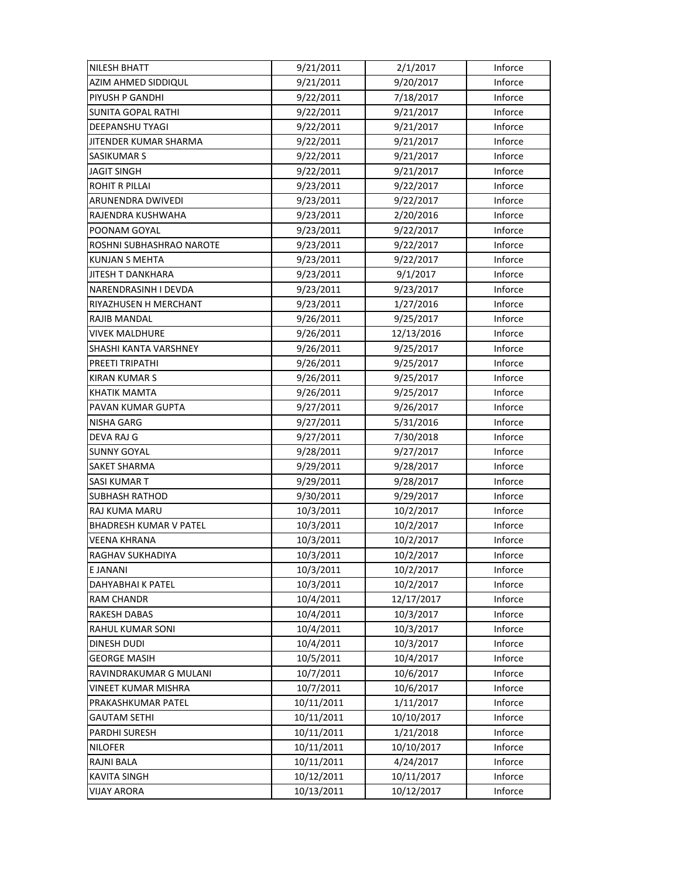| <b>NILESH BHATT</b>           | 9/21/2011  | 2/1/2017   | Inforce |
|-------------------------------|------------|------------|---------|
| AZIM AHMED SIDDIQUL           | 9/21/2011  | 9/20/2017  | Inforce |
| PIYUSH P GANDHI               | 9/22/2011  | 7/18/2017  | Inforce |
| <b>SUNITA GOPAL RATHI</b>     | 9/22/2011  | 9/21/2017  | Inforce |
| DEEPANSHU TYAGI               | 9/22/2011  | 9/21/2017  | Inforce |
| <b>JITENDER KUMAR SHARMA</b>  | 9/22/2011  | 9/21/2017  | Inforce |
| <b>SASIKUMAR S</b>            | 9/22/2011  | 9/21/2017  | Inforce |
| <b>JAGIT SINGH</b>            | 9/22/2011  | 9/21/2017  | Inforce |
| <b>ROHIT R PILLAI</b>         | 9/23/2011  | 9/22/2017  | Inforce |
| ARUNENDRA DWIVEDI             | 9/23/2011  | 9/22/2017  | Inforce |
| RAJENDRA KUSHWAHA             | 9/23/2011  | 2/20/2016  | Inforce |
| POONAM GOYAL                  | 9/23/2011  | 9/22/2017  | Inforce |
| ROSHNI SUBHASHRAO NAROTE      | 9/23/2011  | 9/22/2017  | Inforce |
| <b>KUNJAN S MEHTA</b>         | 9/23/2011  | 9/22/2017  | Inforce |
| <b>JITESH T DANKHARA</b>      | 9/23/2011  | 9/1/2017   | Inforce |
| NARENDRASINH I DEVDA          | 9/23/2011  | 9/23/2017  | Inforce |
| RIYAZHUSEN H MERCHANT         | 9/23/2011  | 1/27/2016  | Inforce |
| RAJIB MANDAL                  | 9/26/2011  | 9/25/2017  | Inforce |
| <b>VIVEK MALDHURE</b>         | 9/26/2011  | 12/13/2016 | Inforce |
| SHASHI KANTA VARSHNEY         | 9/26/2011  | 9/25/2017  | Inforce |
| PREETI TRIPATHI               | 9/26/2011  | 9/25/2017  | Inforce |
| <b>KIRAN KUMAR S</b>          | 9/26/2011  | 9/25/2017  | Inforce |
| <b>KHATIK MAMTA</b>           | 9/26/2011  | 9/25/2017  | Inforce |
| PAVAN KUMAR GUPTA             | 9/27/2011  | 9/26/2017  | Inforce |
| <b>NISHA GARG</b>             | 9/27/2011  | 5/31/2016  | Inforce |
| DEVA RAJ G                    | 9/27/2011  | 7/30/2018  | Inforce |
| <b>SUNNY GOYAL</b>            | 9/28/2011  | 9/27/2017  | Inforce |
| SAKET SHARMA                  | 9/29/2011  | 9/28/2017  | Inforce |
| SASI KUMAR T                  | 9/29/2011  | 9/28/2017  | Inforce |
| <b>SUBHASH RATHOD</b>         | 9/30/2011  | 9/29/2017  | Inforce |
| RAJ KUMA MARU                 | 10/3/2011  | 10/2/2017  | Inforce |
| <b>BHADRESH KUMAR V PATEL</b> | 10/3/2011  | 10/2/2017  | Inforce |
| <b>VEENA KHRANA</b>           | 10/3/2011  | 10/2/2017  | Inforce |
| RAGHAV SUKHADIYA              | 10/3/2011  | 10/2/2017  | Inforce |
| E JANANI                      | 10/3/2011  | 10/2/2017  | Inforce |
| DAHYABHAI K PATEL             | 10/3/2011  | 10/2/2017  | Inforce |
| <b>RAM CHANDR</b>             | 10/4/2011  | 12/17/2017 | Inforce |
| <b>RAKESH DABAS</b>           | 10/4/2011  | 10/3/2017  | Inforce |
| RAHUL KUMAR SONI              | 10/4/2011  | 10/3/2017  | Inforce |
| DINESH DUDI                   | 10/4/2011  | 10/3/2017  | Inforce |
| <b>GEORGE MASIH</b>           | 10/5/2011  | 10/4/2017  | Inforce |
| RAVINDRAKUMAR G MULANI        | 10/7/2011  | 10/6/2017  | Inforce |
| VINEET KUMAR MISHRA           | 10/7/2011  | 10/6/2017  | Inforce |
| PRAKASHKUMAR PATEL            | 10/11/2011 | 1/11/2017  | Inforce |
| <b>GAUTAM SETHI</b>           | 10/11/2011 | 10/10/2017 | Inforce |
| PARDHI SURESH                 | 10/11/2011 | 1/21/2018  | Inforce |
| <b>NILOFER</b>                | 10/11/2011 | 10/10/2017 | Inforce |
| RAJNI BALA                    | 10/11/2011 | 4/24/2017  | Inforce |
| <b>KAVITA SINGH</b>           | 10/12/2011 | 10/11/2017 | Inforce |
| <b>VIJAY ARORA</b>            | 10/13/2011 | 10/12/2017 | Inforce |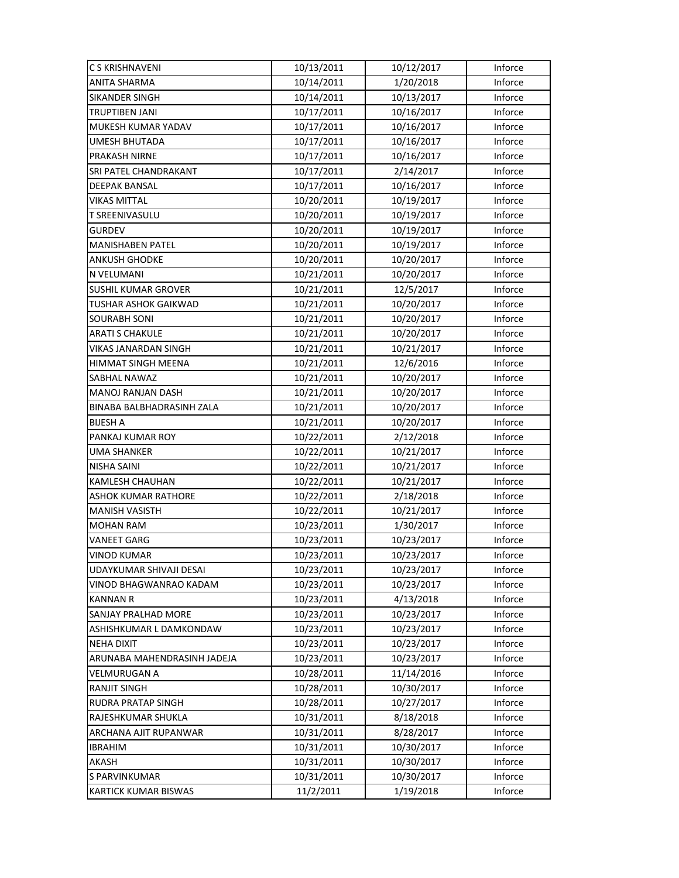| C S KRISHNAVENI              | 10/13/2011 | 10/12/2017 | Inforce |
|------------------------------|------------|------------|---------|
| <b>ANITA SHARMA</b>          | 10/14/2011 | 1/20/2018  | Inforce |
| SIKANDER SINGH               | 10/14/2011 | 10/13/2017 | Inforce |
| TRUPTIBEN JANI               | 10/17/2011 | 10/16/2017 | Inforce |
| MUKESH KUMAR YADAV           | 10/17/2011 | 10/16/2017 | Inforce |
| <b>UMESH BHUTADA</b>         | 10/17/2011 | 10/16/2017 | Inforce |
| PRAKASH NIRNE                | 10/17/2011 | 10/16/2017 | Inforce |
| <b>SRI PATEL CHANDRAKANT</b> | 10/17/2011 | 2/14/2017  | Inforce |
| <b>DEEPAK BANSAL</b>         | 10/17/2011 | 10/16/2017 | Inforce |
| <b>VIKAS MITTAL</b>          | 10/20/2011 | 10/19/2017 | Inforce |
| T SREENIVASULU               | 10/20/2011 | 10/19/2017 | Inforce |
| <b>GURDEV</b>                | 10/20/2011 | 10/19/2017 | Inforce |
| MANISHABEN PATEL             | 10/20/2011 | 10/19/2017 | Inforce |
| ANKUSH GHODKE                | 10/20/2011 | 10/20/2017 | Inforce |
| N VELUMANI                   | 10/21/2011 | 10/20/2017 | Inforce |
| <b>SUSHIL KUMAR GROVER</b>   | 10/21/2011 | 12/5/2017  | Inforce |
| <b>TUSHAR ASHOK GAIKWAD</b>  | 10/21/2011 | 10/20/2017 | Inforce |
| <b>SOURABH SONI</b>          | 10/21/2011 | 10/20/2017 | Inforce |
| <b>ARATI S CHAKULE</b>       | 10/21/2011 | 10/20/2017 | Inforce |
| VIKAS JANARDAN SINGH         | 10/21/2011 | 10/21/2017 | Inforce |
| HIMMAT SINGH MEENA           | 10/21/2011 | 12/6/2016  | Inforce |
| SABHAL NAWAZ                 | 10/21/2011 | 10/20/2017 | Inforce |
| MANOJ RANJAN DASH            | 10/21/2011 | 10/20/2017 | Inforce |
| BINABA BALBHADRASINH ZALA    | 10/21/2011 | 10/20/2017 | Inforce |
| <b>BIJESH A</b>              | 10/21/2011 | 10/20/2017 | Inforce |
| PANKAJ KUMAR ROY             | 10/22/2011 | 2/12/2018  | Inforce |
| <b>UMA SHANKER</b>           | 10/22/2011 | 10/21/2017 | Inforce |
| NISHA SAINI                  | 10/22/2011 | 10/21/2017 | Inforce |
| KAMLESH CHAUHAN              | 10/22/2011 | 10/21/2017 | Inforce |
| <b>ASHOK KUMAR RATHORE</b>   | 10/22/2011 | 2/18/2018  | Inforce |
| <b>MANISH VASISTH</b>        | 10/22/2011 | 10/21/2017 | Inforce |
| <b>MOHAN RAM</b>             | 10/23/2011 | 1/30/2017  | Inforce |
| <b>VANEET GARG</b>           | 10/23/2011 | 10/23/2017 | Inforce |
| <b>VINOD KUMAR</b>           | 10/23/2011 | 10/23/2017 | Inforce |
| UDAYKUMAR SHIVAJI DESAI      | 10/23/2011 | 10/23/2017 | Inforce |
| VINOD BHAGWANRAO KADAM       | 10/23/2011 | 10/23/2017 | Inforce |
| <b>KANNAN R</b>              | 10/23/2011 | 4/13/2018  | Inforce |
| <b>SANJAY PRALHAD MORE</b>   | 10/23/2011 | 10/23/2017 | Inforce |
| ASHISHKUMAR L DAMKONDAW      | 10/23/2011 | 10/23/2017 | Inforce |
| <b>NEHA DIXIT</b>            | 10/23/2011 | 10/23/2017 | Inforce |
| ARUNABA MAHENDRASINH JADEJA  | 10/23/2011 | 10/23/2017 | Inforce |
| VELMURUGAN A                 | 10/28/2011 | 11/14/2016 | Inforce |
| <b>RANJIT SINGH</b>          | 10/28/2011 | 10/30/2017 | Inforce |
| <b>RUDRA PRATAP SINGH</b>    | 10/28/2011 | 10/27/2017 | Inforce |
| RAJESHKUMAR SHUKLA           | 10/31/2011 | 8/18/2018  | Inforce |
| ARCHANA AJIT RUPANWAR        | 10/31/2011 | 8/28/2017  | Inforce |
| <b>IBRAHIM</b>               | 10/31/2011 | 10/30/2017 | Inforce |
| AKASH                        | 10/31/2011 | 10/30/2017 | Inforce |
| S PARVINKUMAR                | 10/31/2011 | 10/30/2017 | Inforce |
| <b>KARTICK KUMAR BISWAS</b>  | 11/2/2011  | 1/19/2018  | Inforce |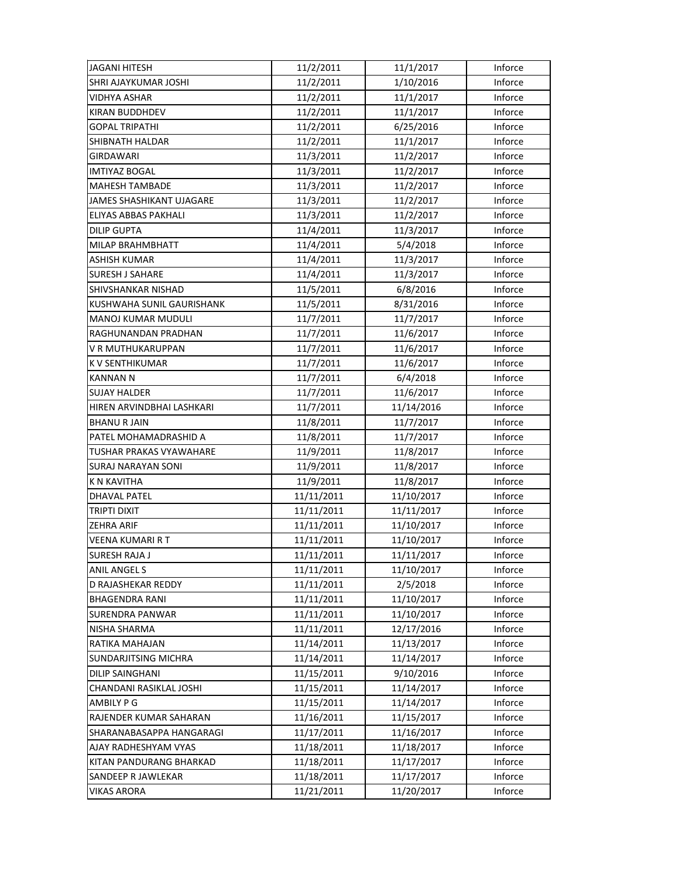| <b>JAGANI HITESH</b>            | 11/2/2011  | 11/1/2017  | Inforce |
|---------------------------------|------------|------------|---------|
| <b>SHRI AJAYKUMAR JOSHI</b>     | 11/2/2011  | 1/10/2016  | Inforce |
| VIDHYA ASHAR                    | 11/2/2011  | 11/1/2017  | Inforce |
| KIRAN BUDDHDEV                  | 11/2/2011  | 11/1/2017  | Inforce |
| <b>GOPAL TRIPATHI</b>           | 11/2/2011  | 6/25/2016  | Inforce |
| SHIBNATH HALDAR                 | 11/2/2011  | 11/1/2017  | Inforce |
| <b>GIRDAWARI</b>                | 11/3/2011  | 11/2/2017  | Inforce |
| <b>IMTIYAZ BOGAL</b>            | 11/3/2011  | 11/2/2017  | Inforce |
| <b>MAHESH TAMBADE</b>           | 11/3/2011  | 11/2/2017  | Inforce |
| <b>JAMES SHASHIKANT UJAGARE</b> | 11/3/2011  | 11/2/2017  | Inforce |
| ELIYAS ABBAS PAKHALI            | 11/3/2011  | 11/2/2017  | Inforce |
| DILIP GUPTA                     | 11/4/2011  | 11/3/2017  | Inforce |
| MILAP BRAHMBHATT                | 11/4/2011  | 5/4/2018   | Inforce |
| ASHISH KUMAR                    | 11/4/2011  | 11/3/2017  | Inforce |
| <b>SURESH J SAHARE</b>          | 11/4/2011  | 11/3/2017  | Inforce |
| <b>SHIVSHANKAR NISHAD</b>       | 11/5/2011  | 6/8/2016   | Inforce |
| KUSHWAHA SUNIL GAURISHANK       | 11/5/2011  | 8/31/2016  | Inforce |
| <b>MANOJ KUMAR MUDULI</b>       | 11/7/2011  | 11/7/2017  | Inforce |
| RAGHUNANDAN PRADHAN             | 11/7/2011  | 11/6/2017  | Inforce |
| V R MUTHUKARUPPAN               | 11/7/2011  | 11/6/2017  | Inforce |
| K V SENTHIKUMAR                 | 11/7/2011  | 11/6/2017  | Inforce |
| <b>KANNAN N</b>                 | 11/7/2011  | 6/4/2018   | Inforce |
| SUJAY HALDER                    | 11/7/2011  | 11/6/2017  | Inforce |
| HIREN ARVINDBHAI LASHKARI       | 11/7/2011  | 11/14/2016 | Inforce |
| <b>BHANU R JAIN</b>             | 11/8/2011  | 11/7/2017  | Inforce |
| PATEL MOHAMADRASHID A           | 11/8/2011  | 11/7/2017  | Inforce |
| TUSHAR PRAKAS VYAWAHARE         | 11/9/2011  | 11/8/2017  | Inforce |
| SURAJ NARAYAN SONI              | 11/9/2011  | 11/8/2017  | Inforce |
| K N KAVITHA                     | 11/9/2011  | 11/8/2017  | Inforce |
| <b>DHAVAL PATEL</b>             | 11/11/2011 | 11/10/2017 | Inforce |
| <b>TRIPTI DIXIT</b>             | 11/11/2011 | 11/11/2017 | Inforce |
| <b>ZEHRA ARIF</b>               | 11/11/2011 | 11/10/2017 | Inforce |
| VEENA KUMARI R T                | 11/11/2011 | 11/10/2017 | Inforce |
| <b>SURESH RAJA J</b>            | 11/11/2011 | 11/11/2017 | Inforce |
| <b>ANIL ANGELS</b>              | 11/11/2011 | 11/10/2017 | Inforce |
| D RAJASHEKAR REDDY              | 11/11/2011 | 2/5/2018   | Inforce |
| <b>BHAGENDRA RANI</b>           | 11/11/2011 | 11/10/2017 | Inforce |
| <b>SURENDRA PANWAR</b>          | 11/11/2011 | 11/10/2017 | Inforce |
| NISHA SHARMA                    | 11/11/2011 | 12/17/2016 | Inforce |
| RATIKA MAHAJAN                  | 11/14/2011 | 11/13/2017 | Inforce |
| <b>SUNDARJITSING MICHRA</b>     | 11/14/2011 | 11/14/2017 | Inforce |
| <b>DILIP SAINGHANI</b>          | 11/15/2011 | 9/10/2016  | Inforce |
| CHANDANI RASIKLAL JOSHI         | 11/15/2011 | 11/14/2017 | Inforce |
| AMBILY P G                      | 11/15/2011 | 11/14/2017 | Inforce |
| RAJENDER KUMAR SAHARAN          | 11/16/2011 | 11/15/2017 | Inforce |
| SHARANABASAPPA HANGARAGI        | 11/17/2011 | 11/16/2017 | Inforce |
| AJAY RADHESHYAM VYAS            | 11/18/2011 | 11/18/2017 | Inforce |
| KITAN PANDURANG BHARKAD         | 11/18/2011 | 11/17/2017 | Inforce |
| SANDEEP R JAWLEKAR              | 11/18/2011 | 11/17/2017 | Inforce |
| VIKAS ARORA                     | 11/21/2011 | 11/20/2017 | Inforce |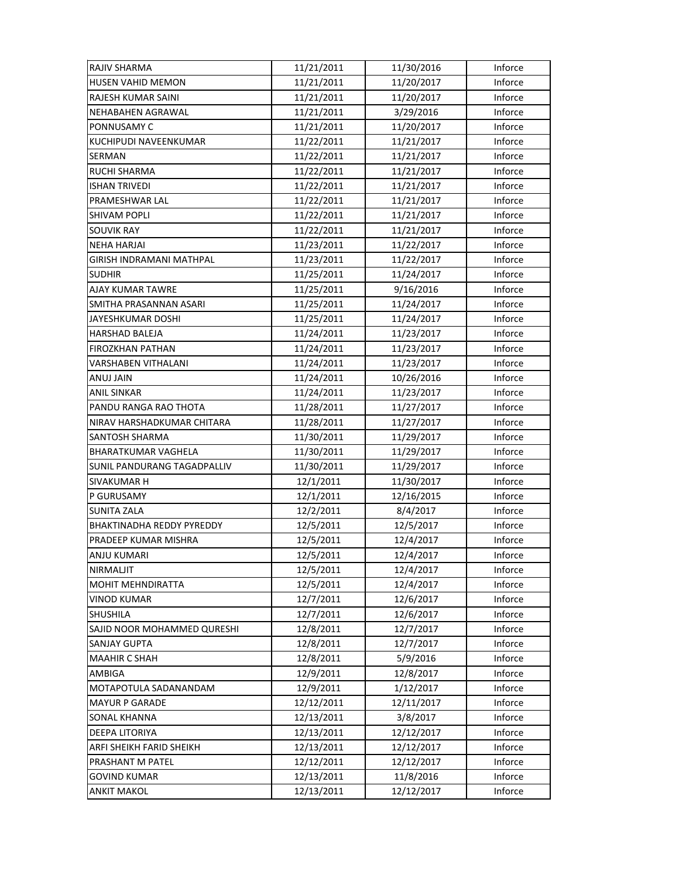| <b>RAJIV SHARMA</b>              | 11/21/2011 | 11/30/2016 | Inforce |
|----------------------------------|------------|------------|---------|
| <b>HUSEN VAHID MEMON</b>         | 11/21/2011 | 11/20/2017 | Inforce |
| RAJESH KUMAR SAINI               | 11/21/2011 | 11/20/2017 | Inforce |
| NEHABAHEN AGRAWAL                | 11/21/2011 | 3/29/2016  | Inforce |
| PONNUSAMY C                      | 11/21/2011 | 11/20/2017 | Inforce |
| <b>KUCHIPUDI NAVEENKUMAR</b>     | 11/22/2011 | 11/21/2017 | Inforce |
| SERMAN                           | 11/22/2011 | 11/21/2017 | Inforce |
| RUCHI SHARMA                     | 11/22/2011 | 11/21/2017 | Inforce |
| <b>ISHAN TRIVEDI</b>             | 11/22/2011 | 11/21/2017 | Inforce |
| PRAMESHWAR LAL                   | 11/22/2011 | 11/21/2017 | Inforce |
| SHIVAM POPLI                     | 11/22/2011 | 11/21/2017 | Inforce |
| <b>SOUVIK RAY</b>                | 11/22/2011 | 11/21/2017 | Inforce |
| <b>NEHA HARJAI</b>               | 11/23/2011 | 11/22/2017 | Inforce |
| GIRISH INDRAMANI MATHPAL         | 11/23/2011 | 11/22/2017 | Inforce |
| <b>SUDHIR</b>                    | 11/25/2011 | 11/24/2017 | Inforce |
| AJAY KUMAR TAWRE                 | 11/25/2011 | 9/16/2016  | Inforce |
| SMITHA PRASANNAN ASARI           | 11/25/2011 | 11/24/2017 | Inforce |
| JAYESHKUMAR DOSHI                | 11/25/2011 | 11/24/2017 | Inforce |
| <b>HARSHAD BALEJA</b>            | 11/24/2011 | 11/23/2017 | Inforce |
| <b>FIROZKHAN PATHAN</b>          | 11/24/2011 | 11/23/2017 | Inforce |
| VARSHABEN VITHALANI              | 11/24/2011 | 11/23/2017 | Inforce |
| ANUJ JAIN                        | 11/24/2011 | 10/26/2016 | Inforce |
| ANIL SINKAR                      | 11/24/2011 | 11/23/2017 | Inforce |
| PANDU RANGA RAO THOTA            | 11/28/2011 | 11/27/2017 | Inforce |
| NIRAV HARSHADKUMAR CHITARA       | 11/28/2011 | 11/27/2017 | Inforce |
| SANTOSH SHARMA                   | 11/30/2011 | 11/29/2017 | Inforce |
| <b>BHARATKUMAR VAGHELA</b>       | 11/30/2011 | 11/29/2017 | Inforce |
| SUNIL PANDURANG TAGADPALLIV      | 11/30/2011 | 11/29/2017 | Inforce |
| SIVAKUMAR H                      | 12/1/2011  | 11/30/2017 | Inforce |
| P GURUSAMY                       | 12/1/2011  | 12/16/2015 | Inforce |
| <b>SUNITA ZALA</b>               | 12/2/2011  | 8/4/2017   | Inforce |
| <b>BHAKTINADHA REDDY PYREDDY</b> | 12/5/2011  | 12/5/2017  | Inforce |
| PRADEEP KUMAR MISHRA             | 12/5/2011  | 12/4/2017  | Inforce |
| ANJU KUMARI                      | 12/5/2011  | 12/4/2017  | Inforce |
| NIRMALJIT                        | 12/5/2011  | 12/4/2017  | Inforce |
| <b>MOHIT MEHNDIRATTA</b>         | 12/5/2011  | 12/4/2017  | Inforce |
| VINOD KUMAR                      | 12/7/2011  | 12/6/2017  | Inforce |
| <b>SHUSHILA</b>                  | 12/7/2011  | 12/6/2017  | Inforce |
| SAJID NOOR MOHAMMED QURESHI      | 12/8/2011  | 12/7/2017  | Inforce |
| <b>SANJAY GUPTA</b>              | 12/8/2011  | 12/7/2017  | Inforce |
| <b>MAAHIR C SHAH</b>             | 12/8/2011  | 5/9/2016   | Inforce |
| AMBIGA                           | 12/9/2011  | 12/8/2017  | Inforce |
| MOTAPOTULA SADANANDAM            | 12/9/2011  | 1/12/2017  | Inforce |
| <b>MAYUR P GARADE</b>            | 12/12/2011 | 12/11/2017 | Inforce |
| SONAL KHANNA                     | 12/13/2011 | 3/8/2017   | Inforce |
| DEEPA LITORIYA                   | 12/13/2011 | 12/12/2017 | Inforce |
| ARFI SHEIKH FARID SHEIKH         | 12/13/2011 | 12/12/2017 | Inforce |
| PRASHANT M PATEL                 | 12/12/2011 | 12/12/2017 | Inforce |
| <b>GOVIND KUMAR</b>              | 12/13/2011 | 11/8/2016  | Inforce |
| <b>ANKIT MAKOL</b>               | 12/13/2011 | 12/12/2017 | Inforce |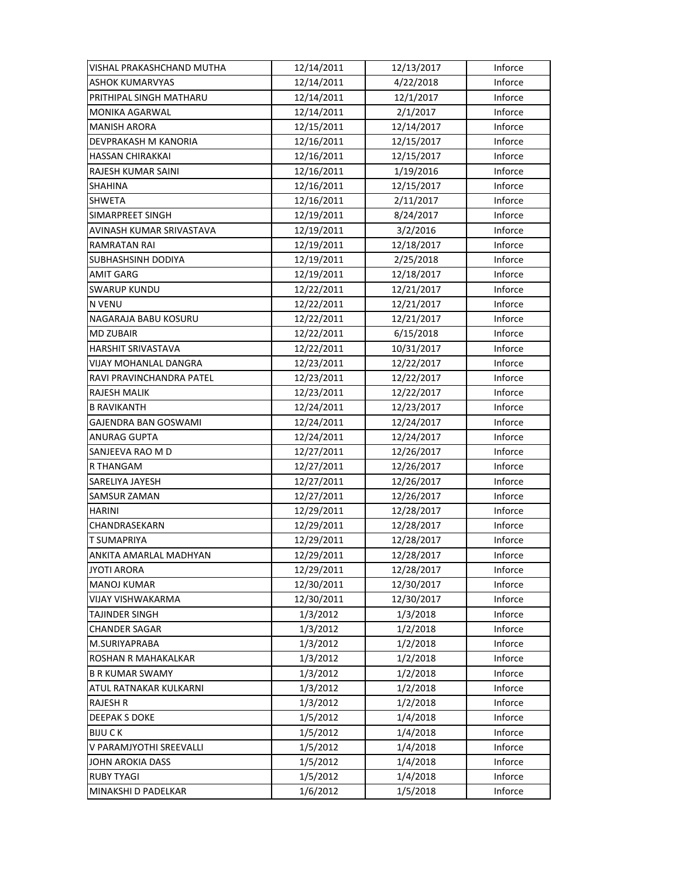| VISHAL PRAKASHCHAND MUTHA    | 12/14/2011 | 12/13/2017 | Inforce |
|------------------------------|------------|------------|---------|
| <b>ASHOK KUMARVYAS</b>       | 12/14/2011 | 4/22/2018  | Inforce |
| PRITHIPAL SINGH MATHARU      | 12/14/2011 | 12/1/2017  | Inforce |
| <b>MONIKA AGARWAL</b>        | 12/14/2011 | 2/1/2017   | Inforce |
| <b>MANISH ARORA</b>          | 12/15/2011 | 12/14/2017 | Inforce |
| DEVPRAKASH M KANORIA         | 12/16/2011 | 12/15/2017 | Inforce |
| <b>HASSAN CHIRAKKAI</b>      | 12/16/2011 | 12/15/2017 | Inforce |
| RAJESH KUMAR SAINI           | 12/16/2011 | 1/19/2016  | Inforce |
| <b>SHAHINA</b>               | 12/16/2011 | 12/15/2017 | Inforce |
| <b>SHWETA</b>                | 12/16/2011 | 2/11/2017  | Inforce |
| <b>SIMARPREET SINGH</b>      | 12/19/2011 | 8/24/2017  | Inforce |
| AVINASH KUMAR SRIVASTAVA     | 12/19/2011 | 3/2/2016   | Inforce |
| RAMRATAN RAI                 | 12/19/2011 | 12/18/2017 | Inforce |
| SUBHASHSINH DODIYA           | 12/19/2011 | 2/25/2018  | Inforce |
| <b>AMIT GARG</b>             | 12/19/2011 | 12/18/2017 | Inforce |
| <b>SWARUP KUNDU</b>          | 12/22/2011 | 12/21/2017 | Inforce |
| <b>N VENU</b>                | 12/22/2011 | 12/21/2017 | Inforce |
| NAGARAJA BABU KOSURU         | 12/22/2011 | 12/21/2017 | Inforce |
| <b>MD ZUBAIR</b>             | 12/22/2011 | 6/15/2018  | Inforce |
| <b>HARSHIT SRIVASTAVA</b>    | 12/22/2011 | 10/31/2017 | Inforce |
| <b>VIJAY MOHANLAL DANGRA</b> | 12/23/2011 | 12/22/2017 | Inforce |
| RAVI PRAVINCHANDRA PATEL     | 12/23/2011 | 12/22/2017 | Inforce |
| RAJESH MALIK                 | 12/23/2011 | 12/22/2017 | Inforce |
| <b>B RAVIKANTH</b>           | 12/24/2011 | 12/23/2017 | Inforce |
| GAJENDRA BAN GOSWAMI         | 12/24/2011 | 12/24/2017 | Inforce |
| ANURAG GUPTA                 | 12/24/2011 | 12/24/2017 | Inforce |
| SANJEEVA RAO M D             | 12/27/2011 | 12/26/2017 | Inforce |
| R THANGAM                    | 12/27/2011 | 12/26/2017 | Inforce |
| SARELIYA JAYESH              | 12/27/2011 | 12/26/2017 | Inforce |
| <b>SAMSUR ZAMAN</b>          | 12/27/2011 | 12/26/2017 | Inforce |
| <b>HARINI</b>                | 12/29/2011 | 12/28/2017 | Inforce |
| CHANDRASEKARN                | 12/29/2011 | 12/28/2017 | Inforce |
| <b>T SUMAPRIYA</b>           | 12/29/2011 | 12/28/2017 | Inforce |
| ANKITA AMARLAL MADHYAN       | 12/29/2011 | 12/28/2017 | Inforce |
| <b>JYOTI ARORA</b>           | 12/29/2011 | 12/28/2017 | Inforce |
| <b>MANOJ KUMAR</b>           | 12/30/2011 | 12/30/2017 | Inforce |
| VIJAY VISHWAKARMA            | 12/30/2011 | 12/30/2017 | Inforce |
| <b>TAJINDER SINGH</b>        | 1/3/2012   | 1/3/2018   | Inforce |
| <b>CHANDER SAGAR</b>         | 1/3/2012   | 1/2/2018   | Inforce |
| M.SURIYAPRABA                | 1/3/2012   | 1/2/2018   | Inforce |
| ROSHAN R MAHAKALKAR          | 1/3/2012   | 1/2/2018   | Inforce |
| <b>B R KUMAR SWAMY</b>       | 1/3/2012   | 1/2/2018   | Inforce |
| ATUL RATNAKAR KULKARNI       | 1/3/2012   | 1/2/2018   | Inforce |
| <b>RAJESH R</b>              | 1/3/2012   | 1/2/2018   | Inforce |
| <b>DEEPAK S DOKE</b>         | 1/5/2012   | 1/4/2018   | Inforce |
| <b>BIJUCK</b>                | 1/5/2012   | 1/4/2018   | Inforce |
| V PARAMJYOTHI SREEVALLI      | 1/5/2012   | 1/4/2018   | Inforce |
| JOHN AROKIA DASS             | 1/5/2012   | 1/4/2018   | Inforce |
| <b>RUBY TYAGI</b>            | 1/5/2012   | 1/4/2018   | Inforce |
| MINAKSHI D PADELKAR          | 1/6/2012   | 1/5/2018   | Inforce |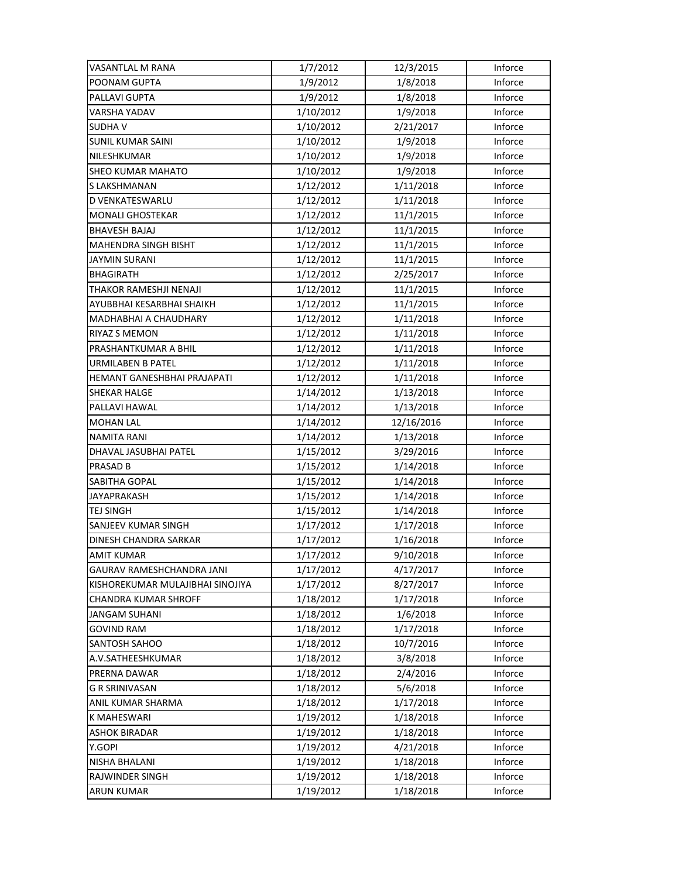| VASANTLAL M RANA                   | 1/7/2012  | 12/3/2015  | Inforce        |
|------------------------------------|-----------|------------|----------------|
| POONAM GUPTA                       | 1/9/2012  | 1/8/2018   | Inforce        |
| PALLAVI GUPTA                      | 1/9/2012  | 1/8/2018   | Inforce        |
| VARSHA YADAV                       | 1/10/2012 | 1/9/2018   | Inforce        |
| <b>SUDHAV</b>                      | 1/10/2012 | 2/21/2017  | Inforce        |
| <b>SUNIL KUMAR SAINI</b>           | 1/10/2012 | 1/9/2018   | Inforce        |
| NILESHKUMAR                        | 1/10/2012 | 1/9/2018   | Inforce        |
| <b>SHEO KUMAR MAHATO</b>           | 1/10/2012 | 1/9/2018   | Inforce        |
| S LAKSHMANAN                       | 1/12/2012 | 1/11/2018  | Inforce        |
| D VENKATESWARLU                    | 1/12/2012 | 1/11/2018  | Inforce        |
| <b>MONALI GHOSTEKAR</b>            | 1/12/2012 | 11/1/2015  | Inforce        |
| <b>BHAVESH BAJAJ</b>               | 1/12/2012 | 11/1/2015  | Inforce        |
| <b>MAHENDRA SINGH BISHT</b>        | 1/12/2012 | 11/1/2015  | Inforce        |
| JAYMIN SURANI                      | 1/12/2012 | 11/1/2015  | Inforce        |
| <b>BHAGIRATH</b>                   | 1/12/2012 | 2/25/2017  | Inforce        |
| THAKOR RAMESHJI NENAJI             | 1/12/2012 | 11/1/2015  | Inforce        |
| AYUBBHAI KESARBHAI SHAIKH          | 1/12/2012 | 11/1/2015  | Inforce        |
| <b>MADHABHAI A CHAUDHARY</b>       | 1/12/2012 | 1/11/2018  | Inforce        |
| RIYAZ S MEMON                      | 1/12/2012 | 1/11/2018  | Inforce        |
| PRASHANTKUMAR A BHIL               | 1/12/2012 | 1/11/2018  | Inforce        |
| URMILABEN B PATEL                  | 1/12/2012 | 1/11/2018  | Inforce        |
| <b>HEMANT GANESHBHAI PRAJAPATI</b> | 1/12/2012 | 1/11/2018  | Inforce        |
| SHEKAR HALGE                       | 1/14/2012 | 1/13/2018  | Inforce        |
| PALLAVI HAWAL                      | 1/14/2012 | 1/13/2018  | Inforce        |
| <b>MOHAN LAL</b>                   | 1/14/2012 | 12/16/2016 | Inforce        |
| <b>NAMITA RANI</b>                 | 1/14/2012 | 1/13/2018  | Inforce        |
| DHAVAL JASUBHAI PATEL              | 1/15/2012 | 3/29/2016  | Inforce        |
| PRASAD B                           | 1/15/2012 | 1/14/2018  | Inforce        |
| SABITHA GOPAL                      | 1/15/2012 | 1/14/2018  | Inforce        |
| <b>JAYAPRAKASH</b>                 | 1/15/2012 | 1/14/2018  | Inforce        |
| <b>TEJ SINGH</b>                   | 1/15/2012 | 1/14/2018  | Inforce        |
| <b>SANJEEV KUMAR SINGH</b>         | 1/17/2012 | 1/17/2018  | Inforce        |
| DINESH CHANDRA SARKAR              | 1/17/2012 | 1/16/2018  | Inforce        |
| <b>AMIT KUMAR</b>                  | 1/17/2012 | 9/10/2018  | Inforce        |
| GAURAV RAMESHCHANDRA JANI          | 1/17/2012 | 4/17/2017  | <b>Inforce</b> |
| KISHOREKUMAR MULAJIBHAI SINOJIYA   | 1/17/2012 | 8/27/2017  | Inforce        |
| <b>CHANDRA KUMAR SHROFF</b>        | 1/18/2012 | 1/17/2018  | Inforce        |
| <b>JANGAM SUHANI</b>               | 1/18/2012 | 1/6/2018   | Inforce        |
| <b>GOVIND RAM</b>                  | 1/18/2012 | 1/17/2018  | Inforce        |
| SANTOSH SAHOO                      | 1/18/2012 | 10/7/2016  | Inforce        |
| A.V.SATHEESHKUMAR                  | 1/18/2012 | 3/8/2018   | Inforce        |
| PRERNA DAWAR                       | 1/18/2012 | 2/4/2016   | Inforce        |
| <b>G R SRINIVASAN</b>              | 1/18/2012 | 5/6/2018   | Inforce        |
| ANIL KUMAR SHARMA                  | 1/18/2012 | 1/17/2018  | Inforce        |
| <b>K MAHESWARI</b>                 | 1/19/2012 | 1/18/2018  | Inforce        |
| <b>ASHOK BIRADAR</b>               | 1/19/2012 | 1/18/2018  | Inforce        |
| Y.GOPI                             | 1/19/2012 | 4/21/2018  | Inforce        |
| <b>NISHA BHALANI</b>               | 1/19/2012 | 1/18/2018  | Inforce        |
| RAJWINDER SINGH                    | 1/19/2012 | 1/18/2018  | Inforce        |
| <b>ARUN KUMAR</b>                  | 1/19/2012 | 1/18/2018  | Inforce        |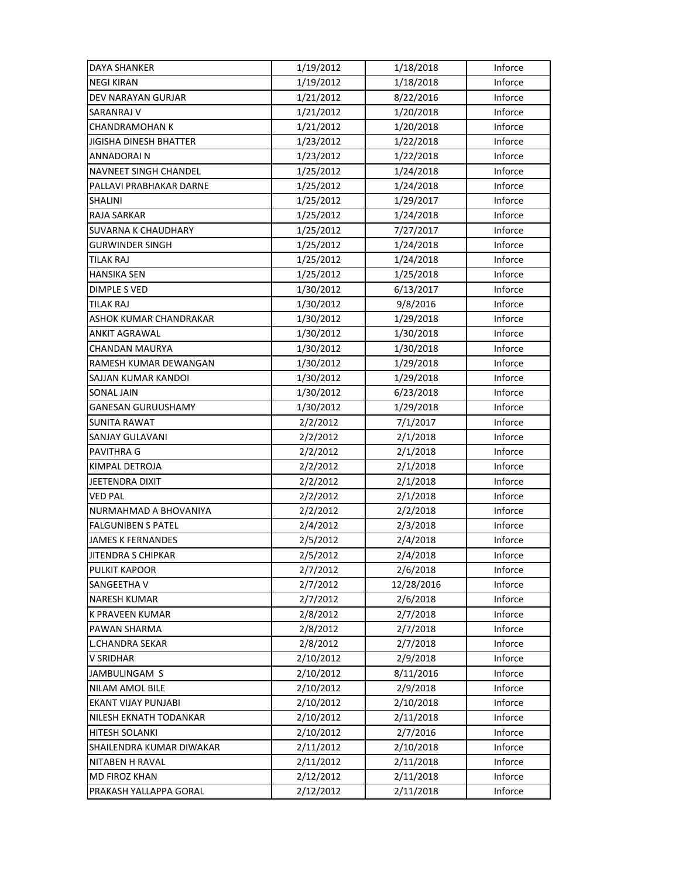| DAYA SHANKER                  | 1/19/2012 | 1/18/2018  | Inforce |
|-------------------------------|-----------|------------|---------|
| <b>NEGI KIRAN</b>             | 1/19/2012 | 1/18/2018  | Inforce |
| <b>DEV NARAYAN GURJAR</b>     | 1/21/2012 | 8/22/2016  | Inforce |
| SARANRAJ V                    | 1/21/2012 | 1/20/2018  | Inforce |
| <b>CHANDRAMOHAN K</b>         | 1/21/2012 | 1/20/2018  | Inforce |
| <b>JIGISHA DINESH BHATTER</b> | 1/23/2012 | 1/22/2018  | Inforce |
| <b>ANNADORAIN</b>             | 1/23/2012 | 1/22/2018  | Inforce |
| <b>NAVNEET SINGH CHANDEL</b>  | 1/25/2012 | 1/24/2018  | Inforce |
| PALLAVI PRABHAKAR DARNE       | 1/25/2012 | 1/24/2018  | Inforce |
| SHALINI                       | 1/25/2012 | 1/29/2017  | Inforce |
| <b>RAJA SARKAR</b>            | 1/25/2012 | 1/24/2018  | Inforce |
| SUVARNA K CHAUDHARY           | 1/25/2012 | 7/27/2017  | Inforce |
| <b>GURWINDER SINGH</b>        | 1/25/2012 | 1/24/2018  | Inforce |
| TILAK RAJ                     | 1/25/2012 | 1/24/2018  | Inforce |
| HANSIKA SEN                   | 1/25/2012 | 1/25/2018  | Inforce |
| <b>DIMPLE S VED</b>           | 1/30/2012 | 6/13/2017  | Inforce |
| <b>TILAK RAJ</b>              | 1/30/2012 | 9/8/2016   | Inforce |
| ASHOK KUMAR CHANDRAKAR        | 1/30/2012 | 1/29/2018  | Inforce |
| ANKIT AGRAWAL                 | 1/30/2012 | 1/30/2018  | Inforce |
| CHANDAN MAURYA                | 1/30/2012 | 1/30/2018  | Inforce |
| RAMESH KUMAR DEWANGAN         | 1/30/2012 | 1/29/2018  | Inforce |
| SAJJAN KUMAR KANDOI           | 1/30/2012 | 1/29/2018  | Inforce |
| SONAL JAIN                    | 1/30/2012 | 6/23/2018  | Inforce |
| GANESAN GURUUSHAMY            | 1/30/2012 | 1/29/2018  | Inforce |
| <b>SUNITA RAWAT</b>           | 2/2/2012  | 7/1/2017   | Inforce |
| <b>SANJAY GULAVANI</b>        | 2/2/2012  | 2/1/2018   | Inforce |
| PAVITHRA G                    | 2/2/2012  | 2/1/2018   | Inforce |
| KIMPAL DETROJA                | 2/2/2012  | 2/1/2018   | Inforce |
| JEETENDRA DIXIT               | 2/2/2012  | 2/1/2018   | Inforce |
| <b>VED PAL</b>                | 2/2/2012  | 2/1/2018   | Inforce |
| NURMAHMAD A BHOVANIYA         | 2/2/2012  | 2/2/2018   | Inforce |
| <b>FALGUNIBEN S PATEL</b>     | 2/4/2012  | 2/3/2018   | Inforce |
| <b>JAMES K FERNANDES</b>      | 2/5/2012  | 2/4/2018   | Inforce |
| <b>JITENDRA S CHIPKAR</b>     | 2/5/2012  | 2/4/2018   | Inforce |
| PULKIT KAPOOR                 | 2/7/2012  | 2/6/2018   | Inforce |
| SANGEETHA V                   | 2/7/2012  | 12/28/2016 | Inforce |
| <b>NARESH KUMAR</b>           | 2/7/2012  | 2/6/2018   | Inforce |
| <b>K PRAVEEN KUMAR</b>        | 2/8/2012  | 2/7/2018   | Inforce |
| PAWAN SHARMA                  | 2/8/2012  | 2/7/2018   | Inforce |
| <b>L.CHANDRA SEKAR</b>        | 2/8/2012  | 2/7/2018   | Inforce |
| V SRIDHAR                     | 2/10/2012 | 2/9/2018   | Inforce |
| JAMBULINGAM S                 | 2/10/2012 | 8/11/2016  | Inforce |
| NILAM AMOL BILE               | 2/10/2012 | 2/9/2018   | Inforce |
| <b>EKANT VIJAY PUNJABI</b>    | 2/10/2012 | 2/10/2018  | Inforce |
| NILESH EKNATH TODANKAR        | 2/10/2012 | 2/11/2018  | Inforce |
| HITESH SOLANKI                | 2/10/2012 | 2/7/2016   | Inforce |
| SHAILENDRA KUMAR DIWAKAR      | 2/11/2012 | 2/10/2018  | Inforce |
| NITABEN H RAVAL               | 2/11/2012 | 2/11/2018  | Inforce |
| <b>MD FIROZ KHAN</b>          | 2/12/2012 | 2/11/2018  | Inforce |
| PRAKASH YALLAPPA GORAL        | 2/12/2012 | 2/11/2018  | Inforce |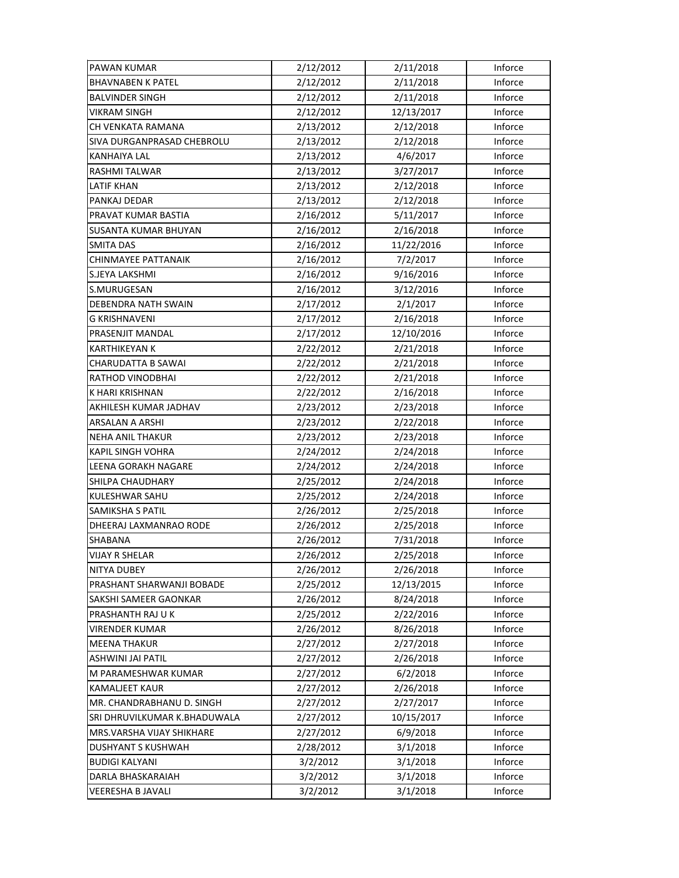| <b>PAWAN KUMAR</b>           | 2/12/2012 | 2/11/2018  | Inforce |
|------------------------------|-----------|------------|---------|
| <b>BHAVNABEN K PATEL</b>     | 2/12/2012 | 2/11/2018  | Inforce |
| <b>BALVINDER SINGH</b>       | 2/12/2012 | 2/11/2018  | Inforce |
| VIKRAM SINGH                 | 2/12/2012 | 12/13/2017 | Inforce |
| CH VENKATA RAMANA            | 2/13/2012 | 2/12/2018  | Inforce |
| SIVA DURGANPRASAD CHEBROLU   | 2/13/2012 | 2/12/2018  | Inforce |
| <b>KANHAIYA LAL</b>          | 2/13/2012 | 4/6/2017   | Inforce |
| RASHMI TALWAR                | 2/13/2012 | 3/27/2017  | Inforce |
| <b>LATIF KHAN</b>            | 2/13/2012 | 2/12/2018  | Inforce |
| PANKAJ DEDAR                 | 2/13/2012 | 2/12/2018  | Inforce |
| PRAVAT KUMAR BASTIA          | 2/16/2012 | 5/11/2017  | Inforce |
| SUSANTA KUMAR BHUYAN         | 2/16/2012 | 2/16/2018  | Inforce |
| <b>SMITA DAS</b>             | 2/16/2012 | 11/22/2016 | Inforce |
| CHINMAYEE PATTANAIK          | 2/16/2012 | 7/2/2017   | Inforce |
| S.JEYA LAKSHMI               | 2/16/2012 | 9/16/2016  | Inforce |
| S.MURUGESAN                  | 2/16/2012 | 3/12/2016  | Inforce |
| <b>DEBENDRA NATH SWAIN</b>   | 2/17/2012 | 2/1/2017   | Inforce |
| <b>G KRISHNAVENI</b>         | 2/17/2012 | 2/16/2018  | Inforce |
| PRASENJIT MANDAL             | 2/17/2012 | 12/10/2016 | Inforce |
| <b>KARTHIKEYAN K</b>         | 2/22/2012 | 2/21/2018  | Inforce |
| CHARUDATTA B SAWAI           | 2/22/2012 | 2/21/2018  | Inforce |
| RATHOD VINODBHAI             | 2/22/2012 | 2/21/2018  | Inforce |
| K HARI KRISHNAN              | 2/22/2012 | 2/16/2018  | Inforce |
| AKHILESH KUMAR JADHAV        | 2/23/2012 | 2/23/2018  | Inforce |
| ARSALAN A ARSHI              | 2/23/2012 | 2/22/2018  | Inforce |
| <b>NEHA ANIL THAKUR</b>      | 2/23/2012 | 2/23/2018  | Inforce |
| <b>KAPIL SINGH VOHRA</b>     | 2/24/2012 | 2/24/2018  | Inforce |
| LEENA GORAKH NAGARE          | 2/24/2012 | 2/24/2018  | Inforce |
| SHILPA CHAUDHARY             | 2/25/2012 | 2/24/2018  | Inforce |
| KULESHWAR SAHU               | 2/25/2012 | 2/24/2018  | Inforce |
| SAMIKSHA S PATIL             | 2/26/2012 | 2/25/2018  | Inforce |
| DHEERAJ LAXMANRAO RODE       | 2/26/2012 | 2/25/2018  | Inforce |
| SHABANA                      | 2/26/2012 | 7/31/2018  | Inforce |
| <b>VIJAY R SHELAR</b>        | 2/26/2012 | 2/25/2018  | Inforce |
| NITYA DUBEY                  | 2/26/2012 | 2/26/2018  | Inforce |
| PRASHANT SHARWANJI BOBADE    | 2/25/2012 | 12/13/2015 | Inforce |
| SAKSHI SAMEER GAONKAR        | 2/26/2012 | 8/24/2018  | Inforce |
| PRASHANTH RAJ U K            | 2/25/2012 | 2/22/2016  | Inforce |
| <b>VIRENDER KUMAR</b>        | 2/26/2012 | 8/26/2018  | Inforce |
| <b>MEENA THAKUR</b>          | 2/27/2012 | 2/27/2018  | Inforce |
| ASHWINI JAI PATIL            | 2/27/2012 | 2/26/2018  | Inforce |
| M PARAMESHWAR KUMAR          | 2/27/2012 | 6/2/2018   | Inforce |
| <b>KAMALJEET KAUR</b>        | 2/27/2012 | 2/26/2018  | Inforce |
| MR. CHANDRABHANU D. SINGH    | 2/27/2012 | 2/27/2017  | Inforce |
| SRI DHRUVILKUMAR K.BHADUWALA | 2/27/2012 | 10/15/2017 | Inforce |
| MRS.VARSHA VIJAY SHIKHARE    | 2/27/2012 | 6/9/2018   | Inforce |
| <b>DUSHYANT S KUSHWAH</b>    | 2/28/2012 | 3/1/2018   | Inforce |
| <b>BUDIGI KALYANI</b>        | 3/2/2012  | 3/1/2018   | Inforce |
| DARLA BHASKARAIAH            | 3/2/2012  | 3/1/2018   | Inforce |
| VEERESHA B JAVALI            | 3/2/2012  | 3/1/2018   | Inforce |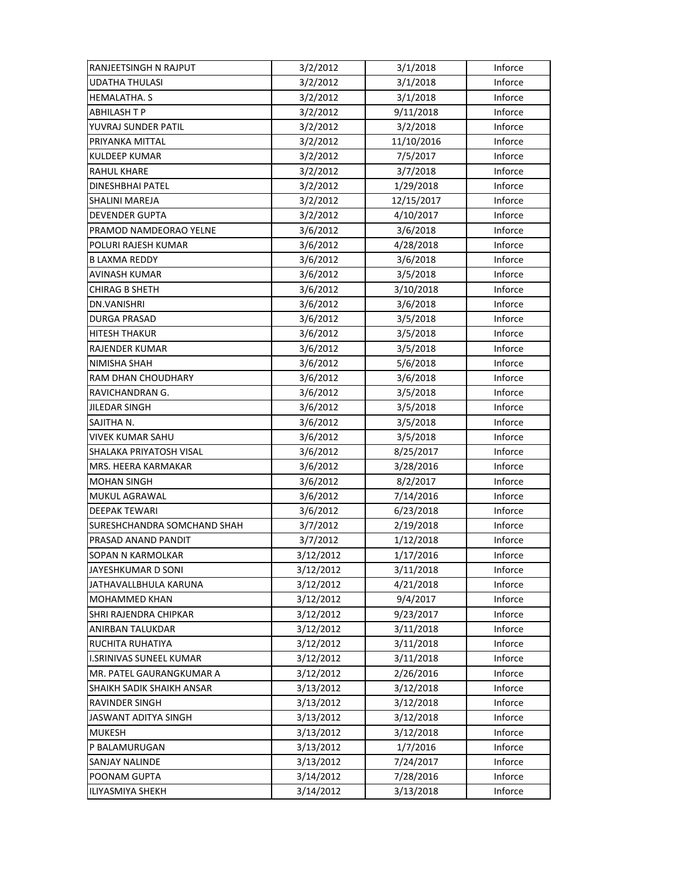| RANJEETSINGH N RAJPUT            | 3/2/2012  | 3/1/2018   | Inforce |
|----------------------------------|-----------|------------|---------|
| <b>UDATHA THULASI</b>            | 3/2/2012  | 3/1/2018   | Inforce |
| HEMALATHA. S                     | 3/2/2012  | 3/1/2018   | Inforce |
| <b>ABHILASH T P</b>              | 3/2/2012  | 9/11/2018  | Inforce |
| YUVRAJ SUNDER PATIL              | 3/2/2012  | 3/2/2018   | Inforce |
| PRIYANKA MITTAL                  | 3/2/2012  | 11/10/2016 | Inforce |
| <b>KULDEEP KUMAR</b>             | 3/2/2012  | 7/5/2017   | Inforce |
| <b>RAHUL KHARE</b>               | 3/2/2012  | 3/7/2018   | Inforce |
| DINESHBHAI PATEL                 | 3/2/2012  | 1/29/2018  | Inforce |
| SHALINI MAREJA                   | 3/2/2012  | 12/15/2017 | Inforce |
| <b>DEVENDER GUPTA</b>            | 3/2/2012  | 4/10/2017  | Inforce |
| PRAMOD NAMDEORAO YELNE           | 3/6/2012  | 3/6/2018   | Inforce |
| POLURI RAJESH KUMAR              | 3/6/2012  | 4/28/2018  | Inforce |
| <b>B LAXMA REDDY</b>             | 3/6/2012  | 3/6/2018   | Inforce |
| AVINASH KUMAR                    | 3/6/2012  | 3/5/2018   | Inforce |
| <b>CHIRAG B SHETH</b>            | 3/6/2012  | 3/10/2018  | Inforce |
| DN.VANISHRI                      | 3/6/2012  | 3/6/2018   | Inforce |
| DURGA PRASAD                     | 3/6/2012  | 3/5/2018   | Inforce |
| <b>HITESH THAKUR</b>             | 3/6/2012  | 3/5/2018   | Inforce |
| <b>RAJENDER KUMAR</b>            | 3/6/2012  | 3/5/2018   | Inforce |
| <b>NIMISHA SHAH</b>              | 3/6/2012  | 5/6/2018   | Inforce |
| RAM DHAN CHOUDHARY               | 3/6/2012  | 3/6/2018   | Inforce |
| RAVICHANDRAN G.                  | 3/6/2012  | 3/5/2018   | Inforce |
| JILEDAR SINGH                    | 3/6/2012  | 3/5/2018   | Inforce |
| SAJITHA N.                       | 3/6/2012  | 3/5/2018   | Inforce |
| <b>VIVEK KUMAR SAHU</b>          | 3/6/2012  | 3/5/2018   | Inforce |
| SHALAKA PRIYATOSH VISAL          | 3/6/2012  | 8/25/2017  | Inforce |
| MRS. HEERA KARMAKAR              | 3/6/2012  | 3/28/2016  | Inforce |
| <b>MOHAN SINGH</b>               | 3/6/2012  | 8/2/2017   | Inforce |
| <b>MUKUL AGRAWAL</b>             | 3/6/2012  | 7/14/2016  | Inforce |
| <b>DEEPAK TEWARI</b>             | 3/6/2012  | 6/23/2018  | Inforce |
| SURESHCHANDRA SOMCHAND SHAH      | 3/7/2012  | 2/19/2018  | Inforce |
| PRASAD ANAND PANDIT              | 3/7/2012  | 1/12/2018  | Inforce |
| SOPAN N KARMOLKAR                | 3/12/2012 | 1/17/2016  | Inforce |
| JAYESHKUMAR D SONI               | 3/12/2012 | 3/11/2018  | Inforce |
| JATHAVALLBHULA KARUNA            | 3/12/2012 | 4/21/2018  | Inforce |
| MOHAMMED KHAN                    | 3/12/2012 | 9/4/2017   | Inforce |
| SHRI RAJENDRA CHIPKAR            | 3/12/2012 | 9/23/2017  | Inforce |
| ANIRBAN TALUKDAR                 | 3/12/2012 | 3/11/2018  | Inforce |
| RUCHITA RUHATIYA                 | 3/12/2012 | 3/11/2018  | Inforce |
| <b>I.SRINIVAS SUNEEL KUMAR</b>   | 3/12/2012 | 3/11/2018  | Inforce |
| MR. PATEL GAURANGKUMAR A         | 3/12/2012 | 2/26/2016  | Inforce |
| <b>SHAIKH SADIK SHAIKH ANSAR</b> | 3/13/2012 | 3/12/2018  | Inforce |
| RAVINDER SINGH                   | 3/13/2012 | 3/12/2018  | Inforce |
| JASWANT ADITYA SINGH             | 3/13/2012 | 3/12/2018  | Inforce |
| MUKESH                           | 3/13/2012 | 3/12/2018  | Inforce |
| P BALAMURUGAN                    | 3/13/2012 | 1/7/2016   | Inforce |
| SANJAY NALINDE                   | 3/13/2012 | 7/24/2017  | Inforce |
| POONAM GUPTA                     | 3/14/2012 | 7/28/2016  | Inforce |
| <b>ILIYASMIYA SHEKH</b>          | 3/14/2012 | 3/13/2018  | Inforce |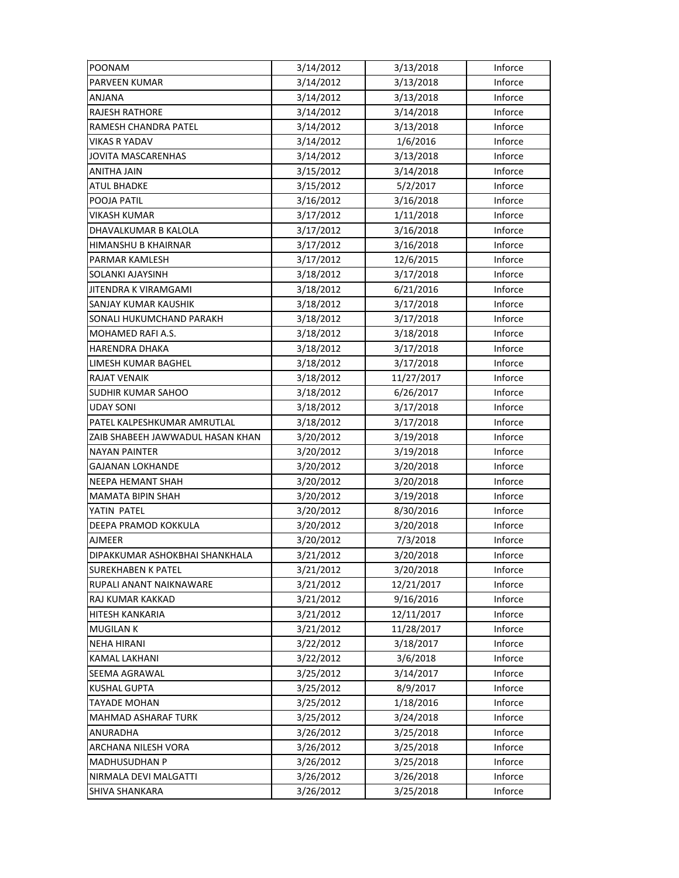| POONAM                           | 3/14/2012 | 3/13/2018  | Inforce |
|----------------------------------|-----------|------------|---------|
| <b>PARVEEN KUMAR</b>             | 3/14/2012 | 3/13/2018  | Inforce |
| ANJANA                           | 3/14/2012 | 3/13/2018  | Inforce |
| <b>RAJESH RATHORE</b>            | 3/14/2012 | 3/14/2018  | Inforce |
| RAMESH CHANDRA PATEL             | 3/14/2012 | 3/13/2018  | Inforce |
| <b>VIKAS R YADAV</b>             | 3/14/2012 | 1/6/2016   | Inforce |
| <b>JOVITA MASCARENHAS</b>        | 3/14/2012 | 3/13/2018  | Inforce |
| <b>ANITHA JAIN</b>               | 3/15/2012 | 3/14/2018  | Inforce |
| <b>ATUL BHADKE</b>               | 3/15/2012 | 5/2/2017   | Inforce |
| POOJA PATIL                      | 3/16/2012 | 3/16/2018  | Inforce |
| VIKASH KUMAR                     | 3/17/2012 | 1/11/2018  | Inforce |
| DHAVALKUMAR B KALOLA             | 3/17/2012 | 3/16/2018  | Inforce |
| HIMANSHU B KHAIRNAR              | 3/17/2012 | 3/16/2018  | Inforce |
| PARMAR KAMLESH                   | 3/17/2012 | 12/6/2015  | Inforce |
| SOLANKI AJAYSINH                 | 3/18/2012 | 3/17/2018  | Inforce |
| JITENDRA K VIRAMGAMI             | 3/18/2012 | 6/21/2016  | Inforce |
| SANJAY KUMAR KAUSHIK             | 3/18/2012 | 3/17/2018  | Inforce |
| SONALI HUKUMCHAND PARAKH         | 3/18/2012 | 3/17/2018  | Inforce |
| MOHAMED RAFI A.S.                | 3/18/2012 | 3/18/2018  | Inforce |
| <b>HARENDRA DHAKA</b>            | 3/18/2012 | 3/17/2018  | Inforce |
| LIMESH KUMAR BAGHEL              | 3/18/2012 | 3/17/2018  | Inforce |
| <b>RAJAT VENAIK</b>              | 3/18/2012 | 11/27/2017 | Inforce |
| SUDHIR KUMAR SAHOO               | 3/18/2012 | 6/26/2017  | Inforce |
| <b>UDAY SONI</b>                 | 3/18/2012 | 3/17/2018  | Inforce |
| PATEL KALPESHKUMAR AMRUTLAL      | 3/18/2012 | 3/17/2018  | Inforce |
| ZAIB SHABEEH JAWWADUL HASAN KHAN | 3/20/2012 | 3/19/2018  | Inforce |
| <b>NAYAN PAINTER</b>             | 3/20/2012 | 3/19/2018  | Inforce |
| GAJANAN LOKHANDE                 | 3/20/2012 | 3/20/2018  | Inforce |
| NEEPA HEMANT SHAH                | 3/20/2012 | 3/20/2018  | Inforce |
| <b>MAMATA BIPIN SHAH</b>         | 3/20/2012 | 3/19/2018  | Inforce |
| YATIN PATEL                      | 3/20/2012 | 8/30/2016  | Inforce |
| DEEPA PRAMOD KOKKULA             | 3/20/2012 | 3/20/2018  | Inforce |
| <b>AJMEER</b>                    | 3/20/2012 | 7/3/2018   | Inforce |
| DIPAKKUMAR ASHOKBHAI SHANKHALA   | 3/21/2012 | 3/20/2018  | Inforce |
| <b>SUREKHABEN K PATEL</b>        | 3/21/2012 | 3/20/2018  | Inforce |
| RUPALI ANANT NAIKNAWARE          | 3/21/2012 | 12/21/2017 | Inforce |
| RAJ KUMAR KAKKAD                 | 3/21/2012 | 9/16/2016  | Inforce |
| HITESH KANKARIA                  | 3/21/2012 | 12/11/2017 | Inforce |
| <b>MUGILAN K</b>                 | 3/21/2012 | 11/28/2017 | Inforce |
| <b>NEHA HIRANI</b>               | 3/22/2012 | 3/18/2017  | Inforce |
| <b>KAMAL LAKHANI</b>             | 3/22/2012 | 3/6/2018   | Inforce |
| SEEMA AGRAWAL                    | 3/25/2012 | 3/14/2017  | Inforce |
| <b>KUSHAL GUPTA</b>              | 3/25/2012 | 8/9/2017   | Inforce |
| <b>TAYADE MOHAN</b>              | 3/25/2012 | 1/18/2016  | Inforce |
| <b>MAHMAD ASHARAF TURK</b>       | 3/25/2012 | 3/24/2018  | Inforce |
| ANURADHA                         | 3/26/2012 | 3/25/2018  | Inforce |
| ARCHANA NILESH VORA              | 3/26/2012 | 3/25/2018  | Inforce |
| <b>MADHUSUDHAN P</b>             | 3/26/2012 | 3/25/2018  | Inforce |
| NIRMALA DEVI MALGATTI            | 3/26/2012 | 3/26/2018  | Inforce |
| SHIVA SHANKARA                   | 3/26/2012 | 3/25/2018  | Inforce |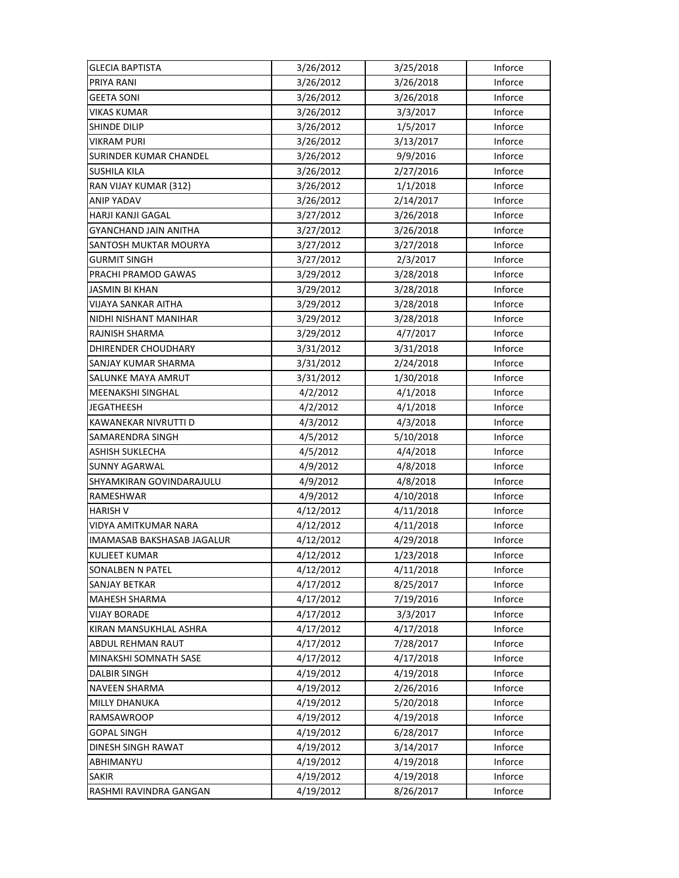| <b>GLECIA BAPTISTA</b>        | 3/26/2012 | 3/25/2018 | Inforce |
|-------------------------------|-----------|-----------|---------|
| PRIYA RANI                    | 3/26/2012 | 3/26/2018 | Inforce |
| <b>GEETA SONI</b>             | 3/26/2012 | 3/26/2018 | Inforce |
| VIKAS KUMAR                   | 3/26/2012 | 3/3/2017  | Inforce |
| SHINDE DILIP                  | 3/26/2012 | 1/5/2017  | Inforce |
| <b>VIKRAM PURI</b>            | 3/26/2012 | 3/13/2017 | Inforce |
| <b>SURINDER KUMAR CHANDEL</b> | 3/26/2012 | 9/9/2016  | Inforce |
| <b>SUSHILA KILA</b>           | 3/26/2012 | 2/27/2016 | Inforce |
| RAN VIJAY KUMAR (312)         | 3/26/2012 | 1/1/2018  | Inforce |
| <b>ANIP YADAV</b>             | 3/26/2012 | 2/14/2017 | Inforce |
| HARJI KANJI GAGAL             | 3/27/2012 | 3/26/2018 | Inforce |
| GYANCHAND JAIN ANITHA         | 3/27/2012 | 3/26/2018 | Inforce |
| SANTOSH MUKTAR MOURYA         | 3/27/2012 | 3/27/2018 | Inforce |
| <b>GURMIT SINGH</b>           | 3/27/2012 | 2/3/2017  | Inforce |
| PRACHI PRAMOD GAWAS           | 3/29/2012 | 3/28/2018 | Inforce |
| <b>JASMIN BI KHAN</b>         | 3/29/2012 | 3/28/2018 | Inforce |
| <b>VIJAYA SANKAR AITHA</b>    | 3/29/2012 | 3/28/2018 | Inforce |
| NIDHI NISHANT MANIHAR         | 3/29/2012 | 3/28/2018 | Inforce |
| RAJNISH SHARMA                | 3/29/2012 | 4/7/2017  | Inforce |
| DHIRENDER CHOUDHARY           | 3/31/2012 | 3/31/2018 | Inforce |
| SANJAY KUMAR SHARMA           | 3/31/2012 | 2/24/2018 | Inforce |
| SALUNKE MAYA AMRUT            | 3/31/2012 | 1/30/2018 | Inforce |
| MEENAKSHI SINGHAL             | 4/2/2012  | 4/1/2018  | Inforce |
| <b>JEGATHEESH</b>             | 4/2/2012  | 4/1/2018  | Inforce |
| KAWANEKAR NIVRUTTI D          | 4/3/2012  | 4/3/2018  | Inforce |
| SAMARENDRA SINGH              | 4/5/2012  | 5/10/2018 | Inforce |
| ASHISH SUKLECHA               | 4/5/2012  | 4/4/2018  | Inforce |
| SUNNY AGARWAL                 | 4/9/2012  | 4/8/2018  | Inforce |
| SHYAMKIRAN GOVINDARAJULU      | 4/9/2012  | 4/8/2018  | Inforce |
| RAMESHWAR                     | 4/9/2012  | 4/10/2018 | Inforce |
| <b>HARISH V</b>               | 4/12/2012 | 4/11/2018 | Inforce |
| <b>VIDYA AMITKUMAR NARA</b>   | 4/12/2012 | 4/11/2018 | Inforce |
| IMAMASAB BAKSHASAB JAGALUR    | 4/12/2012 | 4/29/2018 | Inforce |
| <b>KULJEET KUMAR</b>          | 4/12/2012 | 1/23/2018 | Inforce |
| <b>SONALBEN N PATEL</b>       | 4/12/2012 | 4/11/2018 | Inforce |
| <b>SANJAY BETKAR</b>          | 4/17/2012 | 8/25/2017 | Inforce |
| <b>MAHESH SHARMA</b>          | 4/17/2012 | 7/19/2016 | Inforce |
| <b>VIJAY BORADE</b>           | 4/17/2012 | 3/3/2017  | Inforce |
| KIRAN MANSUKHLAL ASHRA        | 4/17/2012 | 4/17/2018 | Inforce |
| ABDUL REHMAN RAUT             | 4/17/2012 | 7/28/2017 | Inforce |
| MINAKSHI SOMNATH SASE         | 4/17/2012 | 4/17/2018 | Inforce |
| <b>DALBIR SINGH</b>           | 4/19/2012 | 4/19/2018 | Inforce |
| NAVEEN SHARMA                 | 4/19/2012 | 2/26/2016 | Inforce |
| <b>MILLY DHANUKA</b>          | 4/19/2012 | 5/20/2018 | Inforce |
| RAMSAWROOP                    | 4/19/2012 | 4/19/2018 | Inforce |
| <b>GOPAL SINGH</b>            | 4/19/2012 | 6/28/2017 | Inforce |
| DINESH SINGH RAWAT            | 4/19/2012 | 3/14/2017 | Inforce |
| ABHIMANYU                     | 4/19/2012 | 4/19/2018 | Inforce |
| <b>SAKIR</b>                  | 4/19/2012 | 4/19/2018 | Inforce |
| RASHMI RAVINDRA GANGAN        | 4/19/2012 | 8/26/2017 | Inforce |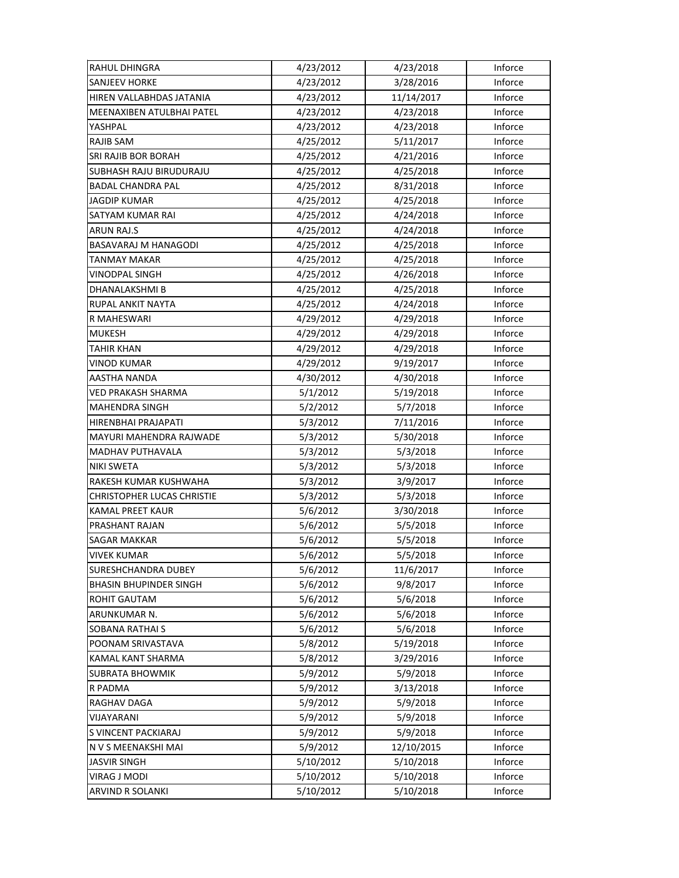| RAHUL DHINGRA                  | 4/23/2012 | 4/23/2018  | Inforce |
|--------------------------------|-----------|------------|---------|
| <b>SANJEEV HORKE</b>           | 4/23/2012 | 3/28/2016  | Inforce |
| HIREN VALLABHDAS JATANIA       | 4/23/2012 | 11/14/2017 | Inforce |
| MEENAXIBEN ATULBHAI PATEL      | 4/23/2012 | 4/23/2018  | Inforce |
| YASHPAL                        | 4/23/2012 | 4/23/2018  | Inforce |
| RAJIB SAM                      | 4/25/2012 | 5/11/2017  | Inforce |
| <b>SRI RAJIB BOR BORAH</b>     | 4/25/2012 | 4/21/2016  | Inforce |
| <b>SUBHASH RAJU BIRUDURAJU</b> | 4/25/2012 | 4/25/2018  | Inforce |
| <b>BADAL CHANDRA PAL</b>       | 4/25/2012 | 8/31/2018  | Inforce |
| <b>JAGDIP KUMAR</b>            | 4/25/2012 | 4/25/2018  | Inforce |
| SATYAM KUMAR RAI               | 4/25/2012 | 4/24/2018  | Inforce |
| <b>ARUN RAJ.S</b>              | 4/25/2012 | 4/24/2018  | Inforce |
| BASAVARAJ M HANAGODI           | 4/25/2012 | 4/25/2018  | Inforce |
| TANMAY MAKAR                   | 4/25/2012 | 4/25/2018  | Inforce |
| <b>VINODPAL SINGH</b>          | 4/25/2012 | 4/26/2018  | Inforce |
| DHANALAKSHMI B                 | 4/25/2012 | 4/25/2018  | Inforce |
| RUPAL ANKIT NAYTA              | 4/25/2012 | 4/24/2018  | Inforce |
| R MAHESWARI                    | 4/29/2012 | 4/29/2018  | Inforce |
| <b>MUKESH</b>                  | 4/29/2012 | 4/29/2018  | Inforce |
| <b>TAHIR KHAN</b>              | 4/29/2012 | 4/29/2018  | Inforce |
| VINOD KUMAR                    | 4/29/2012 | 9/19/2017  | Inforce |
| AASTHA NANDA                   | 4/30/2012 | 4/30/2018  | Inforce |
| VED PRAKASH SHARMA             | 5/1/2012  | 5/19/2018  | Inforce |
| <b>MAHENDRA SINGH</b>          | 5/2/2012  | 5/7/2018   | Inforce |
| HIRENBHAI PRAJAPATI            | 5/3/2012  | 7/11/2016  | Inforce |
| MAYURI MAHENDRA RAJWADE        | 5/3/2012  | 5/30/2018  | Inforce |
| MADHAV PUTHAVALA               | 5/3/2012  | 5/3/2018   | Inforce |
| NIKI SWETA                     | 5/3/2012  | 5/3/2018   | Inforce |
| RAKESH KUMAR KUSHWAHA          | 5/3/2012  | 3/9/2017   | Inforce |
| CHRISTOPHER LUCAS CHRISTIE     | 5/3/2012  | 5/3/2018   | Inforce |
| KAMAL PREET KAUR               | 5/6/2012  | 3/30/2018  | Inforce |
| PRASHANT RAJAN                 | 5/6/2012  | 5/5/2018   | Inforce |
| <b>SAGAR MAKKAR</b>            | 5/6/2012  | 5/5/2018   | Inforce |
| <b>VIVEK KUMAR</b>             | 5/6/2012  | 5/5/2018   | Inforce |
| SURESHCHANDRA DUBEY            | 5/6/2012  | 11/6/2017  | Inforce |
| <b>BHASIN BHUPINDER SINGH</b>  | 5/6/2012  | 9/8/2017   | Inforce |
| ROHIT GAUTAM                   | 5/6/2012  | 5/6/2018   | Inforce |
| ARUNKUMAR N.                   | 5/6/2012  | 5/6/2018   | Inforce |
| <b>SOBANA RATHAI S</b>         | 5/6/2012  | 5/6/2018   | Inforce |
| POONAM SRIVASTAVA              | 5/8/2012  | 5/19/2018  | Inforce |
| KAMAL KANT SHARMA              | 5/8/2012  | 3/29/2016  | Inforce |
| <b>SUBRATA BHOWMIK</b>         | 5/9/2012  | 5/9/2018   | Inforce |
| R PADMA                        | 5/9/2012  | 3/13/2018  | Inforce |
| RAGHAV DAGA                    | 5/9/2012  | 5/9/2018   | Inforce |
| VIJAYARANI                     | 5/9/2012  | 5/9/2018   | Inforce |
| S VINCENT PACKIARAJ            | 5/9/2012  | 5/9/2018   | Inforce |
| N V S MEENAKSHI MAI            | 5/9/2012  | 12/10/2015 | Inforce |
| <b>JASVIR SINGH</b>            | 5/10/2012 | 5/10/2018  | Inforce |
| VIRAG J MODI                   | 5/10/2012 | 5/10/2018  | Inforce |
| ARVIND R SOLANKI               | 5/10/2012 | 5/10/2018  | Inforce |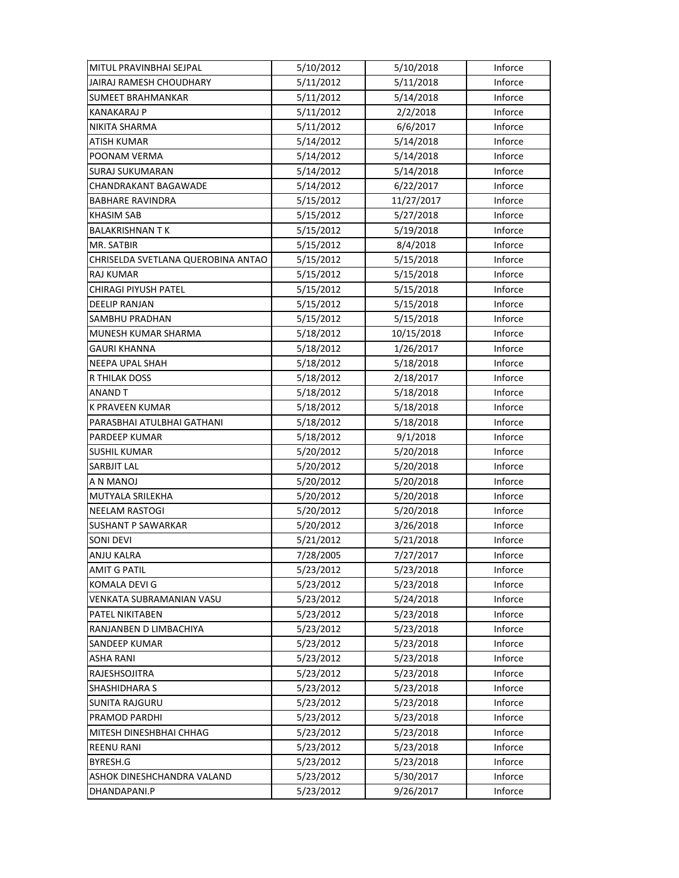| MITUL PRAVINBHAI SEJPAL            | 5/10/2012 | 5/10/2018  | Inforce |
|------------------------------------|-----------|------------|---------|
| JAIRAJ RAMESH CHOUDHARY            | 5/11/2012 | 5/11/2018  | Inforce |
| SUMEET BRAHMANKAR                  | 5/11/2012 | 5/14/2018  | Inforce |
| <b>KANAKARAJ P</b>                 | 5/11/2012 | 2/2/2018   | Inforce |
| NIKITA SHARMA                      | 5/11/2012 | 6/6/2017   | Inforce |
| <b>ATISH KUMAR</b>                 | 5/14/2012 | 5/14/2018  | Inforce |
| POONAM VERMA                       | 5/14/2012 | 5/14/2018  | Inforce |
| <b>SURAJ SUKUMARAN</b>             | 5/14/2012 | 5/14/2018  | Inforce |
| CHANDRAKANT BAGAWADE               | 5/14/2012 | 6/22/2017  | Inforce |
| <b>BABHARE RAVINDRA</b>            | 5/15/2012 | 11/27/2017 | Inforce |
| <b>KHASIM SAB</b>                  | 5/15/2012 | 5/27/2018  | Inforce |
| <b>BALAKRISHNAN TK</b>             | 5/15/2012 | 5/19/2018  | Inforce |
| MR. SATBIR                         | 5/15/2012 | 8/4/2018   | Inforce |
| CHRISELDA SVETLANA QUEROBINA ANTAO | 5/15/2012 | 5/15/2018  | Inforce |
| <b>RAJ KUMAR</b>                   | 5/15/2012 | 5/15/2018  | Inforce |
| CHIRAGI PIYUSH PATEL               | 5/15/2012 | 5/15/2018  | Inforce |
| <b>DEELIP RANJAN</b>               | 5/15/2012 | 5/15/2018  | Inforce |
| <b>SAMBHU PRADHAN</b>              | 5/15/2012 | 5/15/2018  | Inforce |
| MUNESH KUMAR SHARMA                | 5/18/2012 | 10/15/2018 | Inforce |
| <b>GAURI KHANNA</b>                | 5/18/2012 | 1/26/2017  | Inforce |
| NEEPA UPAL SHAH                    | 5/18/2012 | 5/18/2018  | Inforce |
| R THILAK DOSS                      | 5/18/2012 | 2/18/2017  | Inforce |
| ANAND T                            | 5/18/2012 | 5/18/2018  | Inforce |
| K PRAVEEN KUMAR                    | 5/18/2012 | 5/18/2018  | Inforce |
| PARASBHAI ATULBHAI GATHANI         | 5/18/2012 | 5/18/2018  | Inforce |
| <b>PARDEEP KUMAR</b>               | 5/18/2012 | 9/1/2018   | Inforce |
| <b>SUSHIL KUMAR</b>                | 5/20/2012 | 5/20/2018  | Inforce |
| SARBJIT LAL                        | 5/20/2012 | 5/20/2018  | Inforce |
| A N MANOJ                          | 5/20/2012 | 5/20/2018  | Inforce |
| MUTYALA SRILEKHA                   | 5/20/2012 | 5/20/2018  | Inforce |
| <b>NEELAM RASTOGI</b>              | 5/20/2012 | 5/20/2018  | Inforce |
| <b>SUSHANT P SAWARKAR</b>          | 5/20/2012 | 3/26/2018  | Inforce |
| SONI DEVI                          | 5/21/2012 | 5/21/2018  | Inforce |
| ANJU KALRA                         | 7/28/2005 | 7/27/2017  | Inforce |
| <b>AMIT G PATIL</b>                | 5/23/2012 | 5/23/2018  | Inforce |
| <b>KOMALA DEVI G</b>               | 5/23/2012 | 5/23/2018  | Inforce |
| VENKATA SUBRAMANIAN VASU           | 5/23/2012 | 5/24/2018  | Inforce |
| PATEL NIKITABEN                    | 5/23/2012 | 5/23/2018  | Inforce |
| RANJANBEN D LIMBACHIYA             | 5/23/2012 | 5/23/2018  | Inforce |
| <b>SANDEEP KUMAR</b>               | 5/23/2012 | 5/23/2018  | Inforce |
| <b>ASHA RANI</b>                   | 5/23/2012 | 5/23/2018  | Inforce |
| RAJESHSOJITRA                      | 5/23/2012 | 5/23/2018  | Inforce |
| SHASHIDHARA S                      | 5/23/2012 | 5/23/2018  | Inforce |
| <b>SUNITA RAJGURU</b>              | 5/23/2012 | 5/23/2018  | Inforce |
| PRAMOD PARDHI                      | 5/23/2012 | 5/23/2018  | Inforce |
| MITESH DINESHBHAI CHHAG            | 5/23/2012 | 5/23/2018  | Inforce |
| <b>REENU RANI</b>                  | 5/23/2012 | 5/23/2018  | Inforce |
| BYRESH.G                           | 5/23/2012 | 5/23/2018  | Inforce |
| ASHOK DINESHCHANDRA VALAND         | 5/23/2012 | 5/30/2017  | Inforce |
| DHANDAPANI.P                       | 5/23/2012 | 9/26/2017  | Inforce |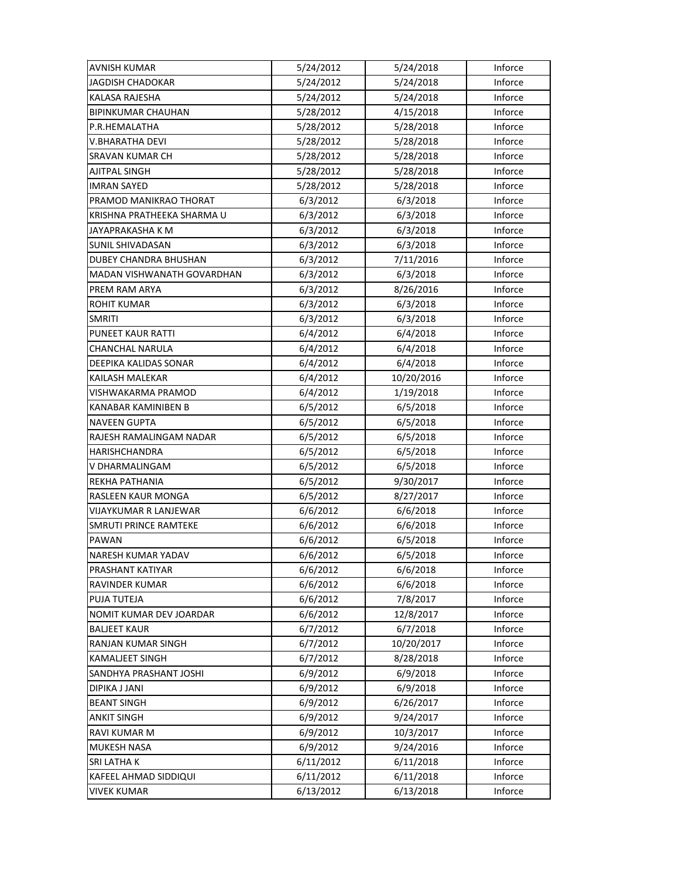| <b>AVNISH KUMAR</b>        | 5/24/2012 | 5/24/2018  | Inforce |
|----------------------------|-----------|------------|---------|
| JAGDISH CHADOKAR           | 5/24/2012 | 5/24/2018  | Inforce |
| KALASA RAJESHA             | 5/24/2012 | 5/24/2018  | Inforce |
| BIPINKUMAR CHAUHAN         | 5/28/2012 | 4/15/2018  | Inforce |
| P.R.HEMALATHA              | 5/28/2012 | 5/28/2018  | Inforce |
| V.BHARATHA DEVI            | 5/28/2012 | 5/28/2018  | Inforce |
| SRAVAN KUMAR CH            | 5/28/2012 | 5/28/2018  | Inforce |
| AJITPAL SINGH              | 5/28/2012 | 5/28/2018  | Inforce |
| <b>IMRAN SAYED</b>         | 5/28/2012 | 5/28/2018  | Inforce |
| PRAMOD MANIKRAO THORAT     | 6/3/2012  | 6/3/2018   | Inforce |
| KRISHNA PRATHEEKA SHARMA U | 6/3/2012  | 6/3/2018   | Inforce |
| JAYAPRAKASHA K M           | 6/3/2012  | 6/3/2018   | Inforce |
| SUNIL SHIVADASAN           | 6/3/2012  | 6/3/2018   | Inforce |
| DUBEY CHANDRA BHUSHAN      | 6/3/2012  | 7/11/2016  | Inforce |
| MADAN VISHWANATH GOVARDHAN | 6/3/2012  | 6/3/2018   | Inforce |
| PREM RAM ARYA              | 6/3/2012  | 8/26/2016  | Inforce |
| ROHIT KUMAR                | 6/3/2012  | 6/3/2018   | Inforce |
| <b>SMRITI</b>              | 6/3/2012  | 6/3/2018   | Inforce |
| PUNEET KAUR RATTI          | 6/4/2012  | 6/4/2018   | Inforce |
| CHANCHAL NARULA            | 6/4/2012  | 6/4/2018   | Inforce |
| DEEPIKA KALIDAS SONAR      | 6/4/2012  | 6/4/2018   | Inforce |
| KAILASH MALEKAR            | 6/4/2012  | 10/20/2016 | Inforce |
| VISHWAKARMA PRAMOD         | 6/4/2012  | 1/19/2018  | Inforce |
| KANABAR KAMINIBEN B        | 6/5/2012  | 6/5/2018   | Inforce |
| <b>NAVEEN GUPTA</b>        | 6/5/2012  | 6/5/2018   | Inforce |
| RAJESH RAMALINGAM NADAR    | 6/5/2012  | 6/5/2018   | Inforce |
| <b>HARISHCHANDRA</b>       | 6/5/2012  | 6/5/2018   | Inforce |
| V DHARMALINGAM             | 6/5/2012  | 6/5/2018   | Inforce |
| REKHA PATHANIA             | 6/5/2012  | 9/30/2017  | Inforce |
| RASLEEN KAUR MONGA         | 6/5/2012  | 8/27/2017  | Inforce |
| VIJAYKUMAR R LANJEWAR      | 6/6/2012  | 6/6/2018   | Inforce |
| SMRUTI PRINCE RAMTEKE      | 6/6/2012  | 6/6/2018   | Inforce |
| PAWAN                      | 6/6/2012  | 6/5/2018   | Inforce |
| NARESH KUMAR YADAV         | 6/6/2012  | 6/5/2018   | Inforce |
| PRASHANT KATIYAR           | 6/6/2012  | 6/6/2018   | Inforce |
| RAVINDER KUMAR             | 6/6/2012  | 6/6/2018   | Inforce |
| PUJA TUTEJA                | 6/6/2012  | 7/8/2017   | Inforce |
| NOMIT KUMAR DEV JOARDAR    | 6/6/2012  | 12/8/2017  | Inforce |
| <b>BALJEET KAUR</b>        | 6/7/2012  | 6/7/2018   | Inforce |
| RANJAN KUMAR SINGH         | 6/7/2012  | 10/20/2017 | Inforce |
| KAMALJEET SINGH            | 6/7/2012  | 8/28/2018  | Inforce |
| SANDHYA PRASHANT JOSHI     | 6/9/2012  | 6/9/2018   | Inforce |
| DIPIKA J JANI              | 6/9/2012  | 6/9/2018   | Inforce |
| <b>BEANT SINGH</b>         | 6/9/2012  | 6/26/2017  | Inforce |
| ANKIT SINGH                | 6/9/2012  | 9/24/2017  | Inforce |
| RAVI KUMAR M               | 6/9/2012  | 10/3/2017  | Inforce |
| MUKESH NASA                | 6/9/2012  | 9/24/2016  | Inforce |
| SRI LATHA K                | 6/11/2012 | 6/11/2018  | Inforce |
| KAFEEL AHMAD SIDDIQUI      | 6/11/2012 | 6/11/2018  | Inforce |
| VIVEK KUMAR                | 6/13/2012 | 6/13/2018  | Inforce |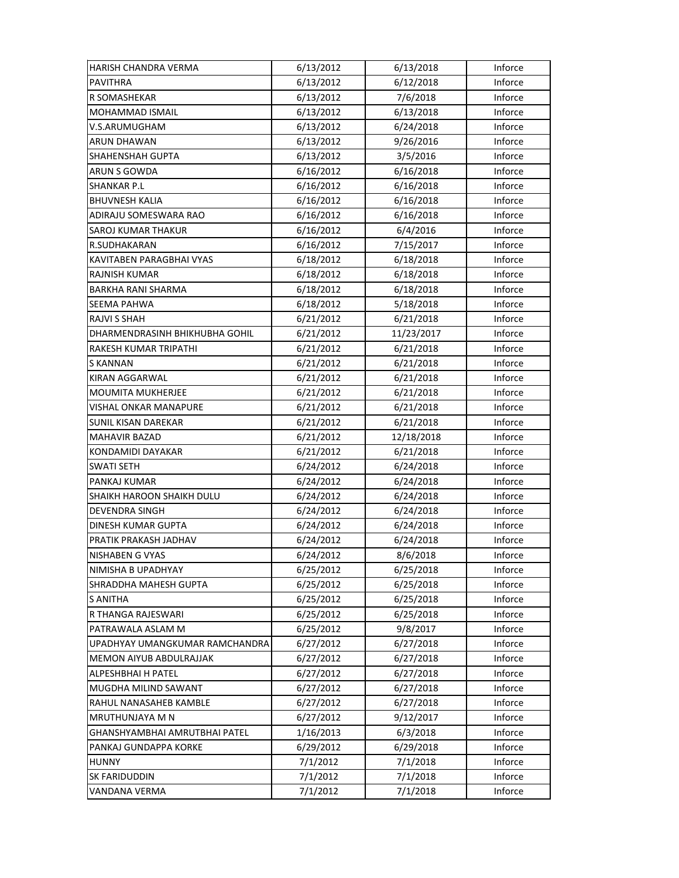| HARISH CHANDRA VERMA           | 6/13/2012 | 6/13/2018  | Inforce |
|--------------------------------|-----------|------------|---------|
| <b>PAVITHRA</b>                | 6/13/2012 | 6/12/2018  | Inforce |
| R SOMASHEKAR                   | 6/13/2012 | 7/6/2018   | Inforce |
| MOHAMMAD ISMAIL                | 6/13/2012 | 6/13/2018  | Inforce |
| V.S.ARUMUGHAM                  | 6/13/2012 | 6/24/2018  | Inforce |
| <b>ARUN DHAWAN</b>             | 6/13/2012 | 9/26/2016  | Inforce |
| SHAHENSHAH GUPTA               | 6/13/2012 | 3/5/2016   | Inforce |
| ARUN S GOWDA                   | 6/16/2012 | 6/16/2018  | Inforce |
| <b>SHANKAR P.L</b>             | 6/16/2012 | 6/16/2018  | Inforce |
| <b>BHUVNESH KALIA</b>          | 6/16/2012 | 6/16/2018  | Inforce |
| ADIRAJU SOMESWARA RAO          | 6/16/2012 | 6/16/2018  | Inforce |
| SAROJ KUMAR THAKUR             | 6/16/2012 | 6/4/2016   | Inforce |
| R.SUDHAKARAN                   | 6/16/2012 | 7/15/2017  | Inforce |
| KAVITABEN PARAGBHAI VYAS       | 6/18/2012 | 6/18/2018  | Inforce |
| <b>RAJNISH KUMAR</b>           | 6/18/2012 | 6/18/2018  | Inforce |
| BARKHA RANI SHARMA             | 6/18/2012 | 6/18/2018  | Inforce |
| SEEMA PAHWA                    | 6/18/2012 | 5/18/2018  | Inforce |
| <b>RAJVI S SHAH</b>            | 6/21/2012 | 6/21/2018  | Inforce |
| DHARMENDRASINH BHIKHUBHA GOHIL | 6/21/2012 | 11/23/2017 | Inforce |
| RAKESH KUMAR TRIPATHI          | 6/21/2012 | 6/21/2018  | Inforce |
| S KANNAN                       | 6/21/2012 | 6/21/2018  | Inforce |
| KIRAN AGGARWAL                 | 6/21/2012 | 6/21/2018  | Inforce |
| MOUMITA MUKHERJEE              | 6/21/2012 | 6/21/2018  | Inforce |
| VISHAL ONKAR MANAPURE          | 6/21/2012 | 6/21/2018  | Inforce |
| <b>SUNIL KISAN DAREKAR</b>     | 6/21/2012 | 6/21/2018  | Inforce |
| <b>MAHAVIR BAZAD</b>           | 6/21/2012 | 12/18/2018 | Inforce |
| KONDAMIDI DAYAKAR              | 6/21/2012 | 6/21/2018  | Inforce |
| <b>SWATI SETH</b>              | 6/24/2012 | 6/24/2018  | Inforce |
| PANKAJ KUMAR                   | 6/24/2012 | 6/24/2018  | Inforce |
| SHAIKH HAROON SHAIKH DULU      | 6/24/2012 | 6/24/2018  | Inforce |
| DEVENDRA SINGH                 | 6/24/2012 | 6/24/2018  | Inforce |
| DINESH KUMAR GUPTA             | 6/24/2012 | 6/24/2018  | Inforce |
| PRATIK PRAKASH JADHAV          | 6/24/2012 | 6/24/2018  | Inforce |
| NISHABEN G VYAS                | 6/24/2012 | 8/6/2018   | Inforce |
| NIMISHA B UPADHYAY             | 6/25/2012 | 6/25/2018  | Inforce |
| SHRADDHA MAHESH GUPTA          | 6/25/2012 | 6/25/2018  | Inforce |
| <b>S ANITHA</b>                | 6/25/2012 | 6/25/2018  | Inforce |
| R THANGA RAJESWARI             | 6/25/2012 | 6/25/2018  | Inforce |
| PATRAWALA ASLAM M              | 6/25/2012 | 9/8/2017   | Inforce |
| UPADHYAY UMANGKUMAR RAMCHANDRA | 6/27/2012 | 6/27/2018  | Inforce |
| <b>MEMON AIYUB ABDULRAJJAK</b> | 6/27/2012 | 6/27/2018  | Inforce |
| ALPESHBHAI H PATEL             | 6/27/2012 | 6/27/2018  | Inforce |
| MUGDHA MILIND SAWANT           | 6/27/2012 | 6/27/2018  | Inforce |
| RAHUL NANASAHEB KAMBLE         | 6/27/2012 | 6/27/2018  | Inforce |
| MRUTHUNJAYA M N                | 6/27/2012 | 9/12/2017  | Inforce |
| GHANSHYAMBHAI AMRUTBHAI PATEL  | 1/16/2013 | 6/3/2018   | Inforce |
| PANKAJ GUNDAPPA KORKE          | 6/29/2012 | 6/29/2018  | Inforce |
| <b>HUNNY</b>                   | 7/1/2012  | 7/1/2018   | Inforce |
| <b>SK FARIDUDDIN</b>           | 7/1/2012  | 7/1/2018   | Inforce |
| VANDANA VERMA                  | 7/1/2012  | 7/1/2018   | Inforce |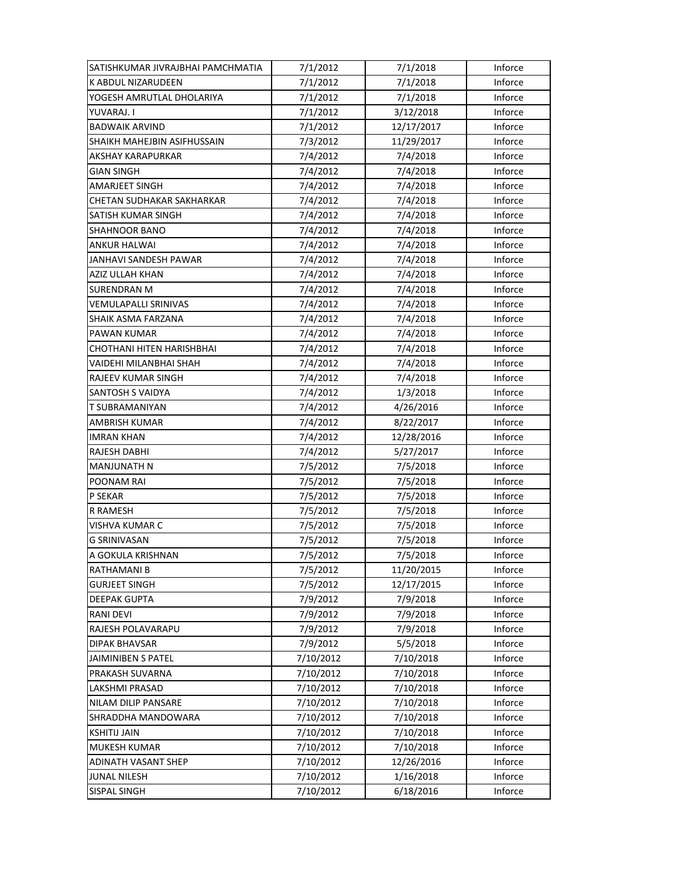| SATISHKUMAR JIVRAJBHAI PAMCHMATIA | 7/1/2012  | 7/1/2018   | Inforce |
|-----------------------------------|-----------|------------|---------|
| <b>K ABDUL NIZARUDEEN</b>         | 7/1/2012  | 7/1/2018   | Inforce |
| YOGESH AMRUTLAL DHOLARIYA         | 7/1/2012  | 7/1/2018   | Inforce |
| YUVARAJ. I                        | 7/1/2012  | 3/12/2018  | Inforce |
| <b>BADWAIK ARVIND</b>             | 7/1/2012  | 12/17/2017 | Inforce |
| SHAIKH MAHEJBIN ASIFHUSSAIN       | 7/3/2012  | 11/29/2017 | Inforce |
| <b>AKSHAY KARAPURKAR</b>          | 7/4/2012  | 7/4/2018   | Inforce |
| GIAN SINGH                        | 7/4/2012  | 7/4/2018   | Inforce |
| <b>AMARJEET SINGH</b>             | 7/4/2012  | 7/4/2018   | Inforce |
| CHETAN SUDHAKAR SAKHARKAR         | 7/4/2012  | 7/4/2018   | Inforce |
| SATISH KUMAR SINGH                | 7/4/2012  | 7/4/2018   | Inforce |
| SHAHNOOR BANO                     | 7/4/2012  | 7/4/2018   | Inforce |
| ANKUR HALWAI                      | 7/4/2012  | 7/4/2018   | Inforce |
| JANHAVI SANDESH PAWAR             | 7/4/2012  | 7/4/2018   | Inforce |
| AZIZ ULLAH KHAN                   | 7/4/2012  | 7/4/2018   | Inforce |
| <b>SURENDRAN M</b>                | 7/4/2012  | 7/4/2018   | Inforce |
| VEMULAPALLI SRINIVAS              | 7/4/2012  | 7/4/2018   | Inforce |
| SHAIK ASMA FARZANA                | 7/4/2012  | 7/4/2018   | Inforce |
| PAWAN KUMAR                       | 7/4/2012  | 7/4/2018   | Inforce |
| CHOTHANI HITEN HARISHBHAI         | 7/4/2012  | 7/4/2018   | Inforce |
| VAIDEHI MILANBHAI SHAH            | 7/4/2012  | 7/4/2018   | Inforce |
| RAJEEV KUMAR SINGH                | 7/4/2012  | 7/4/2018   | Inforce |
| SANTOSH S VAIDYA                  | 7/4/2012  | 1/3/2018   | Inforce |
| T SUBRAMANIYAN                    | 7/4/2012  | 4/26/2016  | Inforce |
| AMBRISH KUMAR                     | 7/4/2012  | 8/22/2017  | Inforce |
| <b>IMRAN KHAN</b>                 | 7/4/2012  | 12/28/2016 | Inforce |
| RAJESH DABHI                      | 7/4/2012  | 5/27/2017  | Inforce |
| <b>MANJUNATH N</b>                | 7/5/2012  | 7/5/2018   | Inforce |
| POONAM RAI                        | 7/5/2012  | 7/5/2018   | Inforce |
| P SEKAR                           | 7/5/2012  | 7/5/2018   | Inforce |
| R RAMESH                          | 7/5/2012  | 7/5/2018   | Inforce |
| VISHVA KUMAR C                    | 7/5/2012  | 7/5/2018   | Inforce |
| <b>G SRINIVASAN</b>               | 7/5/2012  | 7/5/2018   | Inforce |
| A GOKULA KRISHNAN                 | 7/5/2012  | 7/5/2018   | Inforce |
| RATHAMANI B                       | 7/5/2012  | 11/20/2015 | Inforce |
| <b>GURJEET SINGH</b>              | 7/5/2012  | 12/17/2015 | Inforce |
| <b>DEEPAK GUPTA</b>               | 7/9/2012  | 7/9/2018   | Inforce |
| <b>RANI DEVI</b>                  | 7/9/2012  | 7/9/2018   | Inforce |
| RAJESH POLAVARAPU                 | 7/9/2012  | 7/9/2018   | Inforce |
| <b>DIPAK BHAVSAR</b>              | 7/9/2012  | 5/5/2018   | Inforce |
| JAIMINIBEN S PATEL                | 7/10/2012 | 7/10/2018  | Inforce |
| PRAKASH SUVARNA                   | 7/10/2012 | 7/10/2018  | Inforce |
| LAKSHMI PRASAD                    | 7/10/2012 | 7/10/2018  | Inforce |
| NILAM DILIP PANSARE               | 7/10/2012 | 7/10/2018  | Inforce |
| SHRADDHA MANDOWARA                | 7/10/2012 | 7/10/2018  | Inforce |
| <b>KSHITIJ JAIN</b>               | 7/10/2012 | 7/10/2018  | Inforce |
| <b>MUKESH KUMAR</b>               | 7/10/2012 | 7/10/2018  | Inforce |
| <b>ADINATH VASANT SHEP</b>        | 7/10/2012 | 12/26/2016 | Inforce |
| <b>JUNAL NILESH</b>               |           |            |         |
|                                   | 7/10/2012 | 1/16/2018  | Inforce |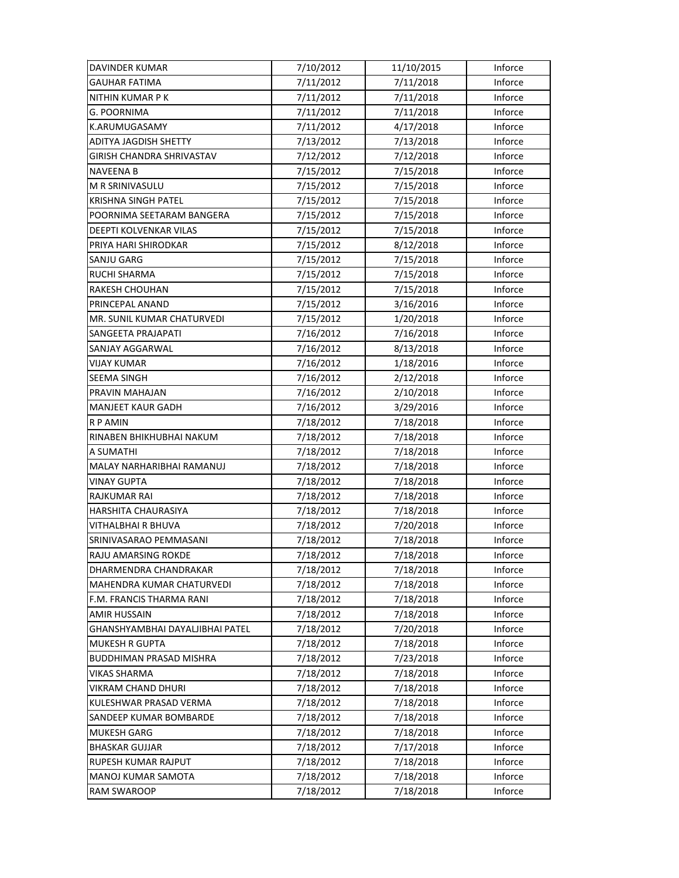| DAVINDER KUMAR                  | 7/10/2012 | 11/10/2015 | Inforce |
|---------------------------------|-----------|------------|---------|
| <b>GAUHAR FATIMA</b>            | 7/11/2012 | 7/11/2018  | Inforce |
| <b>NITHIN KUMAR PK</b>          | 7/11/2012 | 7/11/2018  | Inforce |
| G. POORNIMA                     | 7/11/2012 | 7/11/2018  | Inforce |
| K.ARUMUGASAMY                   | 7/11/2012 | 4/17/2018  | Inforce |
| ADITYA JAGDISH SHETTY           | 7/13/2012 | 7/13/2018  | Inforce |
| GIRISH CHANDRA SHRIVASTAV       | 7/12/2012 | 7/12/2018  | Inforce |
| <b>NAVEENA B</b>                | 7/15/2012 | 7/15/2018  | Inforce |
| M R SRINIVASULU                 | 7/15/2012 | 7/15/2018  | Inforce |
| <b>KRISHNA SINGH PATEL</b>      | 7/15/2012 | 7/15/2018  | Inforce |
| POORNIMA SEETARAM BANGERA       | 7/15/2012 | 7/15/2018  | Inforce |
| DEEPTI KOLVENKAR VILAS          | 7/15/2012 | 7/15/2018  | Inforce |
| PRIYA HARI SHIRODKAR            | 7/15/2012 | 8/12/2018  | Inforce |
| SANJU GARG                      | 7/15/2012 | 7/15/2018  | Inforce |
| <b>RUCHI SHARMA</b>             | 7/15/2012 | 7/15/2018  | Inforce |
| RAKESH CHOUHAN                  | 7/15/2012 | 7/15/2018  | Inforce |
| PRINCEPAL ANAND                 | 7/15/2012 | 3/16/2016  | Inforce |
| MR. SUNIL KUMAR CHATURVEDI      | 7/15/2012 | 1/20/2018  | Inforce |
| SANGEETA PRAJAPATI              | 7/16/2012 | 7/16/2018  | Inforce |
| SANJAY AGGARWAL                 | 7/16/2012 | 8/13/2018  | Inforce |
| <b>VIJAY KUMAR</b>              | 7/16/2012 | 1/18/2016  | Inforce |
| SEEMA SINGH                     | 7/16/2012 | 2/12/2018  | Inforce |
| PRAVIN MAHAJAN                  | 7/16/2012 | 2/10/2018  | Inforce |
| <b>MANJEET KAUR GADH</b>        | 7/16/2012 | 3/29/2016  | Inforce |
| <b>RP AMIN</b>                  | 7/18/2012 | 7/18/2018  | Inforce |
| RINABEN BHIKHUBHAI NAKUM        | 7/18/2012 | 7/18/2018  | Inforce |
| A SUMATHI                       | 7/18/2012 | 7/18/2018  | Inforce |
| MALAY NARHARIBHAI RAMANUJ       | 7/18/2012 | 7/18/2018  | Inforce |
| VINAY GUPTA                     | 7/18/2012 | 7/18/2018  | Inforce |
| <b>RAJKUMAR RAI</b>             | 7/18/2012 | 7/18/2018  | Inforce |
| HARSHITA CHAURASIYA             | 7/18/2012 | 7/18/2018  | Inforce |
| VITHALBHAI R BHUVA              | 7/18/2012 | 7/20/2018  | Inforce |
| SRINIVASARAO PEMMASANI          | 7/18/2012 | 7/18/2018  | Inforce |
| RAJU AMARSING ROKDE             | 7/18/2012 | 7/18/2018  | Inforce |
| DHARMENDRA CHANDRAKAR           | 7/18/2012 | 7/18/2018  | Inforce |
| MAHENDRA KUMAR CHATURVEDI       | 7/18/2012 | 7/18/2018  | Inforce |
| F.M. FRANCIS THARMA RANI        | 7/18/2012 | 7/18/2018  | Inforce |
| AMIR HUSSAIN                    | 7/18/2012 | 7/18/2018  | Inforce |
| GHANSHYAMBHAI DAYALJIBHAI PATEL | 7/18/2012 | 7/20/2018  | Inforce |
| <b>MUKESH R GUPTA</b>           | 7/18/2012 | 7/18/2018  | Inforce |
| <b>BUDDHIMAN PRASAD MISHRA</b>  | 7/18/2012 | 7/23/2018  | Inforce |
| VIKAS SHARMA                    | 7/18/2012 | 7/18/2018  | Inforce |
| VIKRAM CHAND DHURI              | 7/18/2012 | 7/18/2018  | Inforce |
| KULESHWAR PRASAD VERMA          | 7/18/2012 | 7/18/2018  | Inforce |
| SANDEEP KUMAR BOMBARDE          | 7/18/2012 | 7/18/2018  | Inforce |
| <b>MUKESH GARG</b>              | 7/18/2012 | 7/18/2018  | Inforce |
| <b>BHASKAR GUJJAR</b>           | 7/18/2012 | 7/17/2018  | Inforce |
| RUPESH KUMAR RAJPUT             | 7/18/2012 | 7/18/2018  | Inforce |
| <b>MANOJ KUMAR SAMOTA</b>       | 7/18/2012 | 7/18/2018  | Inforce |
| RAM SWAROOP                     | 7/18/2012 | 7/18/2018  | Inforce |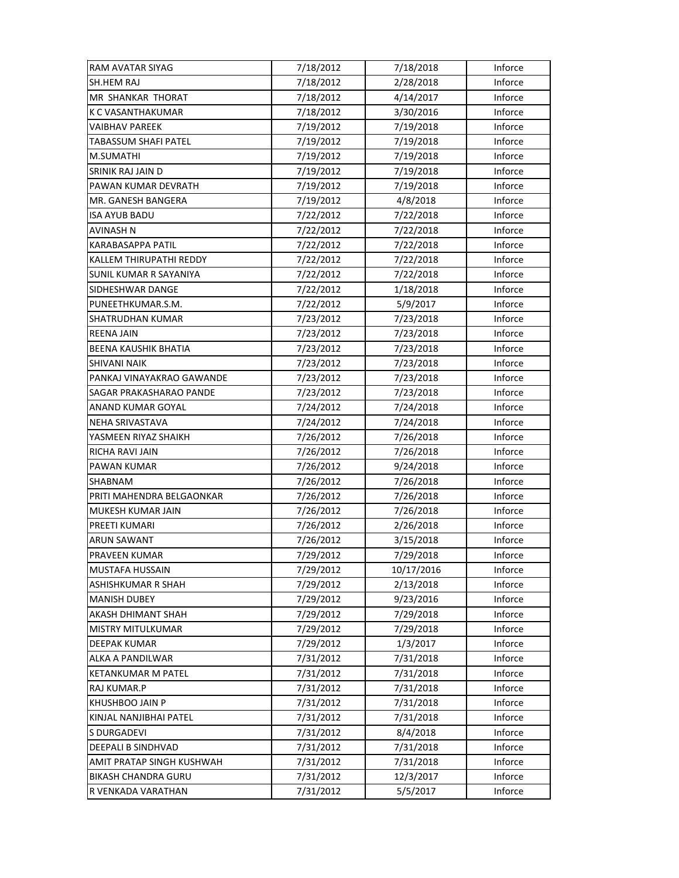| RAM AVATAR SIYAG              | 7/18/2012 | 7/18/2018  | Inforce |
|-------------------------------|-----------|------------|---------|
| <b>SH.HEM RAJ</b>             | 7/18/2012 | 2/28/2018  | Inforce |
| <b>MR SHANKAR THORAT</b>      | 7/18/2012 | 4/14/2017  | Inforce |
| K C VASANTHAKUMAR             | 7/18/2012 | 3/30/2016  | Inforce |
| VAIBHAV PAREEK                | 7/19/2012 | 7/19/2018  | Inforce |
| TABASSUM SHAFI PATEL          | 7/19/2012 | 7/19/2018  | Inforce |
| M.SUMATHI                     | 7/19/2012 | 7/19/2018  | Inforce |
| SRINIK RAJ JAIN D             | 7/19/2012 | 7/19/2018  | Inforce |
| PAWAN KUMAR DEVRATH           | 7/19/2012 | 7/19/2018  | Inforce |
| MR. GANESH BANGERA            | 7/19/2012 | 4/8/2018   | Inforce |
| <b>ISA AYUB BADU</b>          | 7/22/2012 | 7/22/2018  | Inforce |
| AVINASH N                     | 7/22/2012 | 7/22/2018  | Inforce |
| KARABASAPPA PATIL             | 7/22/2012 | 7/22/2018  | Inforce |
| KALLEM THIRUPATHI REDDY       | 7/22/2012 | 7/22/2018  | Inforce |
| <b>SUNIL KUMAR R SAYANIYA</b> | 7/22/2012 | 7/22/2018  | Inforce |
| SIDHESHWAR DANGE              | 7/22/2012 | 1/18/2018  | Inforce |
| PUNEETHKUMAR.S.M.             | 7/22/2012 | 5/9/2017   | Inforce |
| SHATRUDHAN KUMAR              | 7/23/2012 | 7/23/2018  | Inforce |
| <b>REENA JAIN</b>             | 7/23/2012 | 7/23/2018  | Inforce |
| BEENA KAUSHIK BHATIA          | 7/23/2012 | 7/23/2018  | Inforce |
| SHIVANI NAIK                  | 7/23/2012 | 7/23/2018  | Inforce |
| PANKAJ VINAYAKRAO GAWANDE     | 7/23/2012 | 7/23/2018  | Inforce |
| SAGAR PRAKASHARAO PANDE       | 7/23/2012 | 7/23/2018  | Inforce |
| ANAND KUMAR GOYAL             | 7/24/2012 | 7/24/2018  | Inforce |
| NEHA SRIVASTAVA               | 7/24/2012 | 7/24/2018  | Inforce |
| YASMEEN RIYAZ SHAIKH          | 7/26/2012 | 7/26/2018  | Inforce |
| RICHA RAVI JAIN               | 7/26/2012 | 7/26/2018  | Inforce |
| PAWAN KUMAR                   | 7/26/2012 | 9/24/2018  | Inforce |
| SHABNAM                       | 7/26/2012 | 7/26/2018  | Inforce |
| PRITI MAHENDRA BELGAONKAR     | 7/26/2012 | 7/26/2018  | Inforce |
| MUKESH KUMAR JAIN             | 7/26/2012 | 7/26/2018  | Inforce |
| PREETI KUMARI                 | 7/26/2012 | 2/26/2018  | Inforce |
| <b>ARUN SAWANT</b>            | 7/26/2012 | 3/15/2018  | Inforce |
| PRAVEEN KUMAR                 | 7/29/2012 | 7/29/2018  | Inforce |
| <b>MUSTAFA HUSSAIN</b>        | 7/29/2012 | 10/17/2016 | Inforce |
| ASHISHKUMAR R SHAH            | 7/29/2012 | 2/13/2018  | Inforce |
| <b>MANISH DUBEY</b>           | 7/29/2012 | 9/23/2016  | Inforce |
| AKASH DHIMANT SHAH            | 7/29/2012 | 7/29/2018  | Inforce |
| MISTRY MITULKUMAR             | 7/29/2012 | 7/29/2018  | Inforce |
| <b>DEEPAK KUMAR</b>           | 7/29/2012 | 1/3/2017   | Inforce |
| ALKA A PANDILWAR              | 7/31/2012 | 7/31/2018  | Inforce |
| KETANKUMAR M PATEL            | 7/31/2012 | 7/31/2018  | Inforce |
| RAJ KUMAR.P                   | 7/31/2012 | 7/31/2018  | Inforce |
| <b>KHUSHBOO JAIN P</b>        | 7/31/2012 | 7/31/2018  | Inforce |
| KINJAL NANJIBHAI PATEL        | 7/31/2012 | 7/31/2018  | Inforce |
| S DURGADEVI                   | 7/31/2012 | 8/4/2018   | Inforce |
| DEEPALI B SINDHVAD            | 7/31/2012 | 7/31/2018  | Inforce |
| AMIT PRATAP SINGH KUSHWAH     | 7/31/2012 | 7/31/2018  | Inforce |
| <b>BIKASH CHANDRA GURU</b>    | 7/31/2012 | 12/3/2017  | Inforce |
| R VENKADA VARATHAN            | 7/31/2012 | 5/5/2017   | Inforce |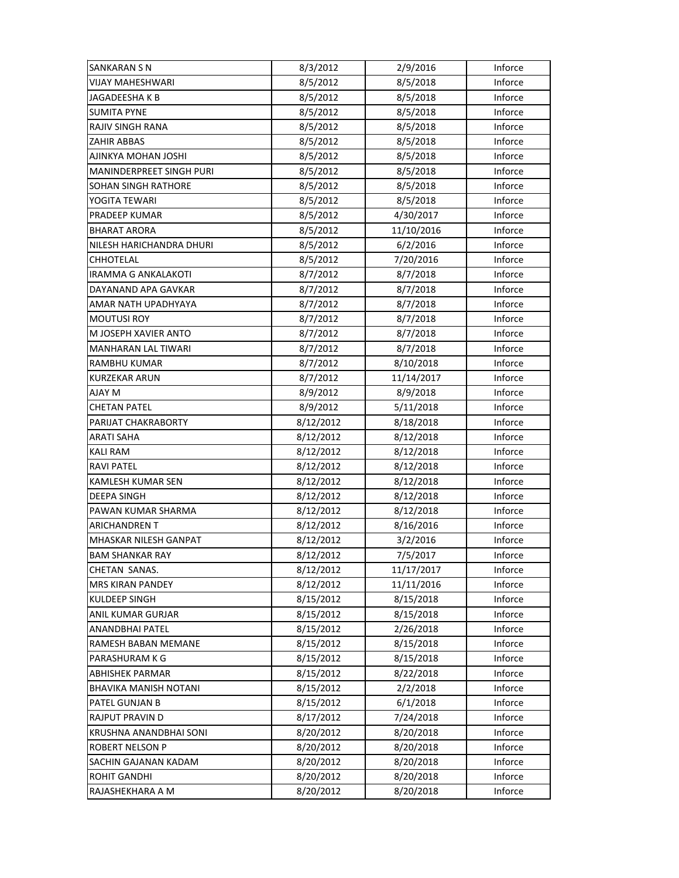| SANKARAN S N                    | 8/3/2012  | 2/9/2016   | Inforce |
|---------------------------------|-----------|------------|---------|
| <b>VIJAY MAHESHWARI</b>         | 8/5/2012  | 8/5/2018   | Inforce |
| JAGADEESHA K B                  | 8/5/2012  | 8/5/2018   | Inforce |
| <b>SUMITA PYNE</b>              | 8/5/2012  | 8/5/2018   | Inforce |
| RAJIV SINGH RANA                | 8/5/2012  | 8/5/2018   | Inforce |
| ZAHIR ABBAS                     | 8/5/2012  | 8/5/2018   | Inforce |
| AJINKYA MOHAN JOSHI             | 8/5/2012  | 8/5/2018   | Inforce |
| <b>MANINDERPREET SINGH PURI</b> | 8/5/2012  | 8/5/2018   | Inforce |
| SOHAN SINGH RATHORE             | 8/5/2012  | 8/5/2018   | Inforce |
| YOGITA TEWARI                   | 8/5/2012  | 8/5/2018   | Inforce |
| PRADEEP KUMAR                   | 8/5/2012  | 4/30/2017  | Inforce |
| <b>BHARAT ARORA</b>             | 8/5/2012  | 11/10/2016 | Inforce |
| NILESH HARICHANDRA DHURI        | 8/5/2012  | 6/2/2016   | Inforce |
| CHHOTELAL                       | 8/5/2012  | 7/20/2016  | Inforce |
| IRAMMA G ANKALAKOTI             | 8/7/2012  | 8/7/2018   | Inforce |
| DAYANAND APA GAVKAR             | 8/7/2012  | 8/7/2018   | Inforce |
| AMAR NATH UPADHYAYA             | 8/7/2012  | 8/7/2018   | Inforce |
| <b>MOUTUSI ROY</b>              | 8/7/2012  | 8/7/2018   | Inforce |
| M JOSEPH XAVIER ANTO            | 8/7/2012  | 8/7/2018   | Inforce |
| <b>MANHARAN LAL TIWARI</b>      | 8/7/2012  | 8/7/2018   | Inforce |
| RAMBHU KUMAR                    | 8/7/2012  | 8/10/2018  | Inforce |
| <b>KURZEKAR ARUN</b>            | 8/7/2012  | 11/14/2017 | Inforce |
| AJAY M                          | 8/9/2012  | 8/9/2018   | Inforce |
| <b>CHETAN PATEL</b>             | 8/9/2012  | 5/11/2018  | Inforce |
| PARIJAT CHAKRABORTY             | 8/12/2012 | 8/18/2018  | Inforce |
| ARATI SAHA                      | 8/12/2012 | 8/12/2018  | Inforce |
| KALI RAM                        | 8/12/2012 | 8/12/2018  | Inforce |
| RAVI PATEL                      | 8/12/2012 | 8/12/2018  | Inforce |
| KAMLESH KUMAR SEN               | 8/12/2012 | 8/12/2018  | Inforce |
| <b>DEEPA SINGH</b>              | 8/12/2012 | 8/12/2018  | Inforce |
| PAWAN KUMAR SHARMA              | 8/12/2012 | 8/12/2018  | Inforce |
| <b>ARICHANDREN T</b>            | 8/12/2012 | 8/16/2016  | Inforce |
| MHASKAR NILESH GANPAT           | 8/12/2012 | 3/2/2016   | Inforce |
| <b>BAM SHANKAR RAY</b>          | 8/12/2012 | 7/5/2017   | Inforce |
| CHETAN SANAS.                   | 8/12/2012 | 11/17/2017 | Inforce |
| <b>MRS KIRAN PANDEY</b>         | 8/12/2012 | 11/11/2016 | Inforce |
| KULDEEP SINGH                   | 8/15/2012 | 8/15/2018  | Inforce |
| ANIL KUMAR GURJAR               | 8/15/2012 | 8/15/2018  | Inforce |
| ANANDBHAI PATEL                 | 8/15/2012 | 2/26/2018  | Inforce |
| RAMESH BABAN MEMANE             | 8/15/2012 | 8/15/2018  | Inforce |
| PARASHURAM K G                  | 8/15/2012 | 8/15/2018  | Inforce |
| <b>ABHISHEK PARMAR</b>          | 8/15/2012 | 8/22/2018  | Inforce |
| BHAVIKA MANISH NOTANI           | 8/15/2012 | 2/2/2018   | Inforce |
| PATEL GUNJAN B                  | 8/15/2012 | 6/1/2018   | Inforce |
| <b>RAJPUT PRAVIN D</b>          | 8/17/2012 | 7/24/2018  | Inforce |
| KRUSHNA ANANDBHAI SONI          | 8/20/2012 | 8/20/2018  | Inforce |
| ROBERT NELSON P                 | 8/20/2012 | 8/20/2018  | Inforce |
| SACHIN GAJANAN KADAM            | 8/20/2012 | 8/20/2018  | Inforce |
| <b>ROHIT GANDHI</b>             | 8/20/2012 | 8/20/2018  | Inforce |
| RAJASHEKHARA A M                | 8/20/2012 | 8/20/2018  | Inforce |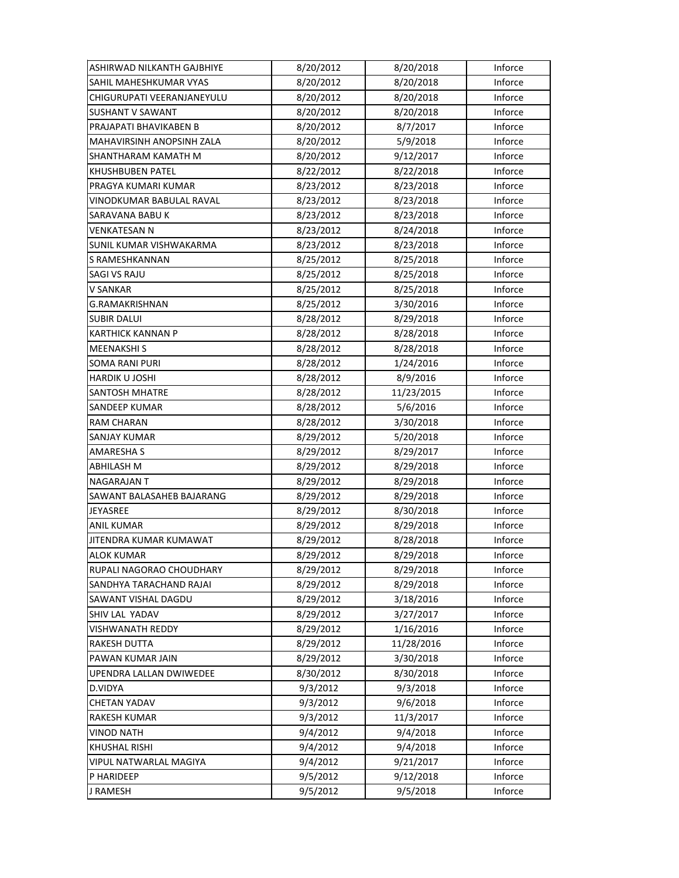| ASHIRWAD NILKANTH GAJBHIYE | 8/20/2012 | 8/20/2018  | Inforce |
|----------------------------|-----------|------------|---------|
| SAHIL MAHESHKUMAR VYAS     | 8/20/2012 | 8/20/2018  | Inforce |
| CHIGURUPATI VEERANJANEYULU | 8/20/2012 | 8/20/2018  | Inforce |
| <b>SUSHANT V SAWANT</b>    | 8/20/2012 | 8/20/2018  | Inforce |
| PRAJAPATI BHAVIKABEN B     | 8/20/2012 | 8/7/2017   | Inforce |
| MAHAVIRSINH ANOPSINH ZALA  | 8/20/2012 | 5/9/2018   | Inforce |
| SHANTHARAM KAMATH M        | 8/20/2012 | 9/12/2017  | Inforce |
| KHUSHBUBEN PATEL           | 8/22/2012 | 8/22/2018  | Inforce |
| PRAGYA KUMARI KUMAR        | 8/23/2012 | 8/23/2018  | Inforce |
| VINODKUMAR BABULAL RAVAL   | 8/23/2012 | 8/23/2018  | Inforce |
| SARAVANA BABU K            | 8/23/2012 | 8/23/2018  | Inforce |
| <b>VENKATESAN N</b>        | 8/23/2012 | 8/24/2018  | Inforce |
| SUNIL KUMAR VISHWAKARMA    | 8/23/2012 | 8/23/2018  | Inforce |
| S RAMESHKANNAN             | 8/25/2012 | 8/25/2018  | Inforce |
| SAGI VS RAJU               | 8/25/2012 | 8/25/2018  | Inforce |
| V SANKAR                   | 8/25/2012 | 8/25/2018  | Inforce |
| <b>G.RAMAKRISHNAN</b>      | 8/25/2012 | 3/30/2016  | Inforce |
| <b>SUBIR DALUI</b>         | 8/28/2012 | 8/29/2018  | Inforce |
| <b>KARTHICK KANNAN P</b>   | 8/28/2012 | 8/28/2018  | Inforce |
| <b>MEENAKSHIS</b>          | 8/28/2012 | 8/28/2018  | Inforce |
| <b>SOMA RANI PURI</b>      | 8/28/2012 | 1/24/2016  | Inforce |
| HARDIK U JOSHI             | 8/28/2012 | 8/9/2016   | Inforce |
| SANTOSH MHATRE             | 8/28/2012 | 11/23/2015 | Inforce |
| <b>SANDEEP KUMAR</b>       | 8/28/2012 | 5/6/2016   | Inforce |
| <b>RAM CHARAN</b>          | 8/28/2012 | 3/30/2018  | Inforce |
| <b>SANJAY KUMAR</b>        | 8/29/2012 | 5/20/2018  | Inforce |
| <b>AMARESHA S</b>          | 8/29/2012 | 8/29/2017  | Inforce |
| ABHILASH M                 | 8/29/2012 | 8/29/2018  | Inforce |
| <b>NAGARAJAN T</b>         | 8/29/2012 | 8/29/2018  | Inforce |
| SAWANT BALASAHEB BAJARANG  | 8/29/2012 | 8/29/2018  | Inforce |
| JEYASREE                   | 8/29/2012 | 8/30/2018  | Inforce |
| ANIL KUMAR                 | 8/29/2012 | 8/29/2018  | Inforce |
| JITENDRA KUMAR KUMAWAT     | 8/29/2012 | 8/28/2018  | Inforce |
| <b>ALOK KUMAR</b>          | 8/29/2012 | 8/29/2018  | Inforce |
| RUPALI NAGORAO CHOUDHARY   | 8/29/2012 | 8/29/2018  | Inforce |
| SANDHYA TARACHAND RAJAI    | 8/29/2012 | 8/29/2018  | Inforce |
| SAWANT VISHAL DAGDU        | 8/29/2012 | 3/18/2016  | Inforce |
| SHIV LAL YADAV             | 8/29/2012 | 3/27/2017  | Inforce |
| <b>VISHWANATH REDDY</b>    | 8/29/2012 | 1/16/2016  | Inforce |
| RAKESH DUTTA               | 8/29/2012 | 11/28/2016 | Inforce |
| PAWAN KUMAR JAIN           | 8/29/2012 | 3/30/2018  | Inforce |
| UPENDRA LALLAN DWIWEDEE    | 8/30/2012 | 8/30/2018  | Inforce |
| D.VIDYA                    | 9/3/2012  | 9/3/2018   | Inforce |
| <b>CHETAN YADAV</b>        | 9/3/2012  | 9/6/2018   | Inforce |
| RAKESH KUMAR               | 9/3/2012  | 11/3/2017  | Inforce |
| <b>VINOD NATH</b>          | 9/4/2012  | 9/4/2018   | Inforce |
| KHUSHAL RISHI              | 9/4/2012  | 9/4/2018   | Inforce |
| VIPUL NATWARLAL MAGIYA     | 9/4/2012  | 9/21/2017  | Inforce |
| P HARIDEEP                 | 9/5/2012  | 9/12/2018  | Inforce |
| J RAMESH                   | 9/5/2012  | 9/5/2018   | Inforce |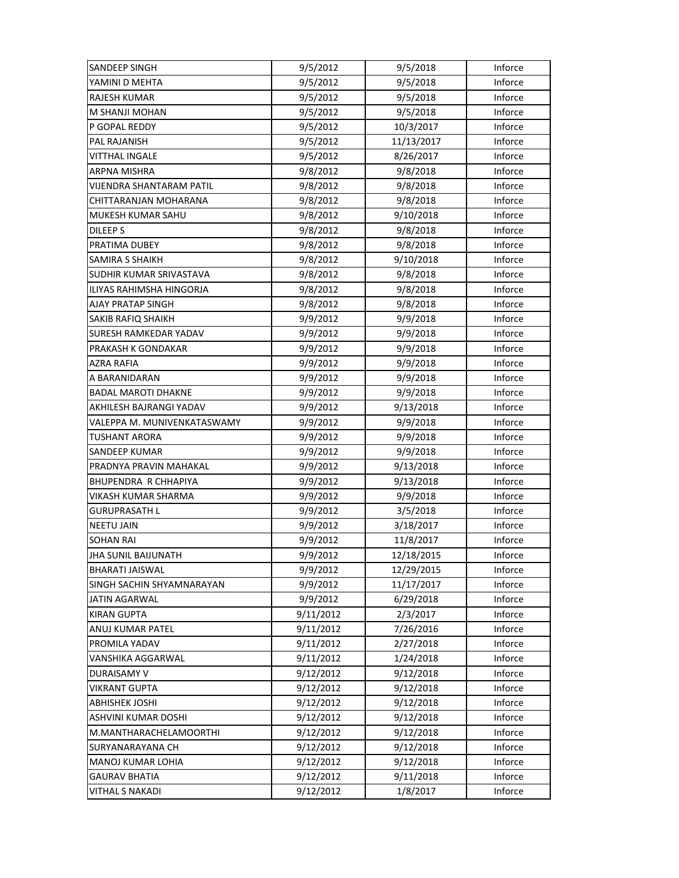| <b>SANDEEP SINGH</b>            | 9/5/2012  | 9/5/2018   | Inforce |
|---------------------------------|-----------|------------|---------|
| YAMINI D MEHTA                  | 9/5/2012  | 9/5/2018   | Inforce |
| RAJESH KUMAR                    | 9/5/2012  | 9/5/2018   | Inforce |
| M SHANJI MOHAN                  | 9/5/2012  | 9/5/2018   | Inforce |
| P GOPAL REDDY                   | 9/5/2012  | 10/3/2017  | Inforce |
| PAL RAJANISH                    | 9/5/2012  | 11/13/2017 | Inforce |
| <b>VITTHAL INGALE</b>           | 9/5/2012  | 8/26/2017  | Inforce |
| ARPNA MISHRA                    | 9/8/2012  | 9/8/2018   | Inforce |
| VIJENDRA SHANTARAM PATIL        | 9/8/2012  | 9/8/2018   | Inforce |
| CHITTARANJAN MOHARANA           | 9/8/2012  | 9/8/2018   | Inforce |
| MUKESH KUMAR SAHU               | 9/8/2012  | 9/10/2018  | Inforce |
| DILEEP S                        | 9/8/2012  | 9/8/2018   | Inforce |
| PRATIMA DUBEY                   | 9/8/2012  | 9/8/2018   | Inforce |
| SAMIRA S SHAIKH                 | 9/8/2012  | 9/10/2018  | Inforce |
| SUDHIR KUMAR SRIVASTAVA         | 9/8/2012  | 9/8/2018   | Inforce |
| <b>ILIYAS RAHIMSHA HINGORJA</b> | 9/8/2012  | 9/8/2018   | Inforce |
| AJAY PRATAP SINGH               | 9/8/2012  | 9/8/2018   | Inforce |
| <b>SAKIB RAFIQ SHAIKH</b>       | 9/9/2012  | 9/9/2018   | Inforce |
| SURESH RAMKEDAR YADAV           | 9/9/2012  | 9/9/2018   | Inforce |
| PRAKASH K GONDAKAR              | 9/9/2012  | 9/9/2018   | Inforce |
| AZRA RAFIA                      | 9/9/2012  | 9/9/2018   | Inforce |
| A BARANIDARAN                   | 9/9/2012  | 9/9/2018   | Inforce |
| <b>BADAL MAROTI DHAKNE</b>      | 9/9/2012  | 9/9/2018   | Inforce |
| AKHILESH BAJRANGI YADAV         | 9/9/2012  | 9/13/2018  | Inforce |
| VALEPPA M. MUNIVENKATASWAMY     | 9/9/2012  | 9/9/2018   | Inforce |
| <b>TUSHANT ARORA</b>            | 9/9/2012  | 9/9/2018   | Inforce |
| <b>SANDEEP KUMAR</b>            | 9/9/2012  | 9/9/2018   | Inforce |
| PRADNYA PRAVIN MAHAKAL          | 9/9/2012  | 9/13/2018  | Inforce |
| BHUPENDRA R CHHAPIYA            | 9/9/2012  | 9/13/2018  | Inforce |
| VIKASH KUMAR SHARMA             | 9/9/2012  | 9/9/2018   | Inforce |
| GURUPRASATH L                   | 9/9/2012  | 3/5/2018   | Inforce |
| <b>NEETU JAIN</b>               | 9/9/2012  | 3/18/2017  | Inforce |
| SOHAN RAI                       | 9/9/2012  | 11/8/2017  | Inforce |
| JHA SUNIL BAIJUNATH             | 9/9/2012  | 12/18/2015 | Inforce |
| <b>BHARATI JAISWAL</b>          | 9/9/2012  | 12/29/2015 | Inforce |
| SINGH SACHIN SHYAMNARAYAN       | 9/9/2012  | 11/17/2017 | Inforce |
| <b>JATIN AGARWAL</b>            | 9/9/2012  | 6/29/2018  | Inforce |
| <b>KIRAN GUPTA</b>              | 9/11/2012 | 2/3/2017   | Inforce |
| ANUJ KUMAR PATEL                | 9/11/2012 | 7/26/2016  | Inforce |
| PROMILA YADAV                   | 9/11/2012 | 2/27/2018  | Inforce |
| VANSHIKA AGGARWAL               | 9/11/2012 | 1/24/2018  | Inforce |
| DURAISAMY V                     | 9/12/2012 | 9/12/2018  | Inforce |
| VIKRANT GUPTA                   | 9/12/2012 | 9/12/2018  | Inforce |
| <b>ABHISHEK JOSHI</b>           | 9/12/2012 | 9/12/2018  | Inforce |
| ASHVINI KUMAR DOSHI             | 9/12/2012 | 9/12/2018  | Inforce |
| M.MANTHARACHELAMOORTHI          | 9/12/2012 | 9/12/2018  | Inforce |
| SURYANARAYANA CH                | 9/12/2012 | 9/12/2018  | Inforce |
| MANOJ KUMAR LOHIA               | 9/12/2012 | 9/12/2018  | Inforce |
| <b>GAURAV BHATIA</b>            | 9/12/2012 | 9/11/2018  | Inforce |
| VITHAL S NAKADI                 | 9/12/2012 | 1/8/2017   | Inforce |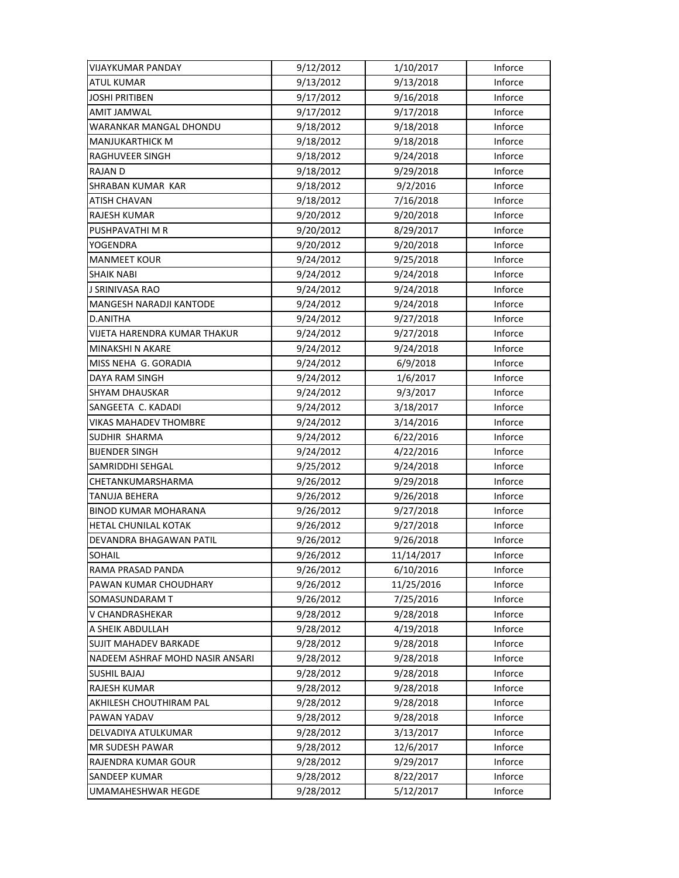| VIJAYKUMAR PANDAY               | 9/12/2012 | 1/10/2017  | Inforce |
|---------------------------------|-----------|------------|---------|
| <b>ATUL KUMAR</b>               | 9/13/2012 | 9/13/2018  | Inforce |
| JOSHI PRITIBEN                  | 9/17/2012 | 9/16/2018  | Inforce |
| <b>AMIT JAMWAL</b>              | 9/17/2012 | 9/17/2018  | Inforce |
| WARANKAR MANGAL DHONDU          | 9/18/2012 | 9/18/2018  | Inforce |
| <b>MANJUKARTHICK M</b>          | 9/18/2012 | 9/18/2018  | Inforce |
| RAGHUVEER SINGH                 | 9/18/2012 | 9/24/2018  | Inforce |
| <b>RAJAN D</b>                  | 9/18/2012 | 9/29/2018  | Inforce |
| SHRABAN KUMAR KAR               | 9/18/2012 | 9/2/2016   | Inforce |
| ATISH CHAVAN                    | 9/18/2012 | 7/16/2018  | Inforce |
| <b>RAJESH KUMAR</b>             | 9/20/2012 | 9/20/2018  | Inforce |
| PUSHPAVATHI M R                 | 9/20/2012 | 8/29/2017  | Inforce |
| YOGENDRA                        | 9/20/2012 | 9/20/2018  | Inforce |
| <b>MANMEET KOUR</b>             | 9/24/2012 | 9/25/2018  | Inforce |
| <b>SHAIK NABI</b>               | 9/24/2012 | 9/24/2018  | Inforce |
| <b>J SRINIVASA RAO</b>          | 9/24/2012 | 9/24/2018  | Inforce |
| <b>MANGESH NARADJI KANTODE</b>  | 9/24/2012 | 9/24/2018  | Inforce |
| D.ANITHA                        | 9/24/2012 | 9/27/2018  | Inforce |
| VIJETA HARENDRA KUMAR THAKUR    | 9/24/2012 | 9/27/2018  | Inforce |
| MINAKSHI N AKARE                | 9/24/2012 | 9/24/2018  | Inforce |
| MISS NEHA G. GORADIA            | 9/24/2012 | 6/9/2018   | Inforce |
| DAYA RAM SINGH                  | 9/24/2012 | 1/6/2017   | Inforce |
| <b>SHYAM DHAUSKAR</b>           | 9/24/2012 | 9/3/2017   | Inforce |
| SANGEETA C. KADADI              | 9/24/2012 | 3/18/2017  | Inforce |
| <b>VIKAS MAHADEV THOMBRE</b>    | 9/24/2012 | 3/14/2016  | Inforce |
| SUDHIR SHARMA                   | 9/24/2012 | 6/22/2016  | Inforce |
| <b>BIJENDER SINGH</b>           | 9/24/2012 | 4/22/2016  | Inforce |
| SAMRIDDHI SEHGAL                | 9/25/2012 | 9/24/2018  | Inforce |
| CHETANKUMARSHARMA               | 9/26/2012 | 9/29/2018  | Inforce |
| TANUJA BEHERA                   | 9/26/2012 | 9/26/2018  | Inforce |
| <b>BINOD KUMAR MOHARANA</b>     | 9/26/2012 | 9/27/2018  | Inforce |
| HETAL CHUNILAL KOTAK            | 9/26/2012 | 9/27/2018  | Inforce |
| DEVANDRA BHAGAWAN PATIL         | 9/26/2012 | 9/26/2018  | Inforce |
| <b>SOHAIL</b>                   | 9/26/2012 | 11/14/2017 | Inforce |
| RAMA PRASAD PANDA               | 9/26/2012 | 6/10/2016  | Inforce |
| PAWAN KUMAR CHOUDHARY           | 9/26/2012 | 11/25/2016 | Inforce |
| SOMASUNDARAM T                  | 9/26/2012 | 7/25/2016  | Inforce |
| V CHANDRASHEKAR                 | 9/28/2012 | 9/28/2018  | Inforce |
| A SHEIK ABDULLAH                | 9/28/2012 | 4/19/2018  | Inforce |
| <b>SUJIT MAHADEV BARKADE</b>    | 9/28/2012 | 9/28/2018  | Inforce |
| NADEEM ASHRAF MOHD NASIR ANSARI | 9/28/2012 | 9/28/2018  | Inforce |
| <b>SUSHIL BAJAJ</b>             | 9/28/2012 | 9/28/2018  | Inforce |
| <b>RAJESH KUMAR</b>             | 9/28/2012 | 9/28/2018  | Inforce |
| AKHILESH CHOUTHIRAM PAL         | 9/28/2012 | 9/28/2018  | Inforce |
| PAWAN YADAV                     | 9/28/2012 | 9/28/2018  | Inforce |
| DELVADIYA ATULKUMAR             | 9/28/2012 | 3/13/2017  | Inforce |
| <b>MR SUDESH PAWAR</b>          | 9/28/2012 | 12/6/2017  | Inforce |
| RAJENDRA KUMAR GOUR             | 9/28/2012 | 9/29/2017  | Inforce |
| SANDEEP KUMAR                   | 9/28/2012 | 8/22/2017  | Inforce |
| UMAMAHESHWAR HEGDE              | 9/28/2012 | 5/12/2017  | Inforce |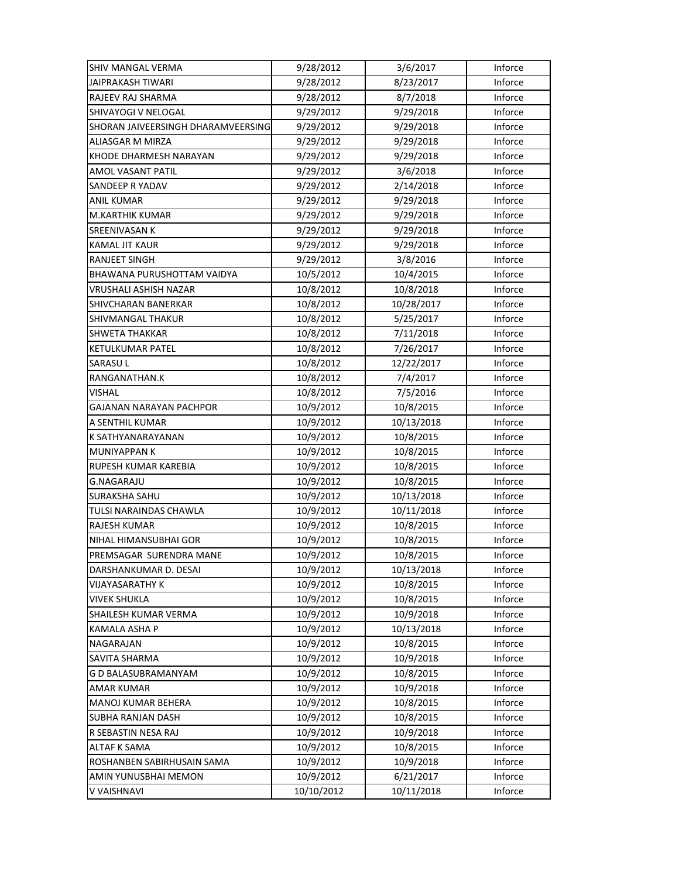| SHIV MANGAL VERMA                  | 9/28/2012  | 3/6/2017   | Inforce |
|------------------------------------|------------|------------|---------|
| <b>JAIPRAKASH TIWARI</b>           | 9/28/2012  | 8/23/2017  | Inforce |
| RAJEEV RAJ SHARMA                  | 9/28/2012  | 8/7/2018   | Inforce |
| SHIVAYOGI V NELOGAL                | 9/29/2012  | 9/29/2018  | Inforce |
| SHORAN JAIVEERSINGH DHARAMVEERSING | 9/29/2012  | 9/29/2018  | Inforce |
| <b>ALIASGAR M MIRZA</b>            | 9/29/2012  | 9/29/2018  | Inforce |
| KHODE DHARMESH NARAYAN             | 9/29/2012  | 9/29/2018  | Inforce |
| AMOL VASANT PATIL                  | 9/29/2012  | 3/6/2018   | Inforce |
| SANDEEP R YADAV                    | 9/29/2012  | 2/14/2018  | Inforce |
| ANIL KUMAR                         | 9/29/2012  | 9/29/2018  | Inforce |
| M.KARTHIK KUMAR                    | 9/29/2012  | 9/29/2018  | Inforce |
| <b>SREENIVASAN K</b>               | 9/29/2012  | 9/29/2018  | Inforce |
| KAMAL JIT KAUR                     | 9/29/2012  | 9/29/2018  | Inforce |
| RANJEET SINGH                      | 9/29/2012  | 3/8/2016   | Inforce |
| BHAWANA PURUSHOTTAM VAIDYA         | 10/5/2012  | 10/4/2015  | Inforce |
| <b>VRUSHALI ASHISH NAZAR</b>       | 10/8/2012  | 10/8/2018  | Inforce |
| SHIVCHARAN BANERKAR                | 10/8/2012  | 10/28/2017 | Inforce |
| SHIVMANGAL THAKUR                  | 10/8/2012  | 5/25/2017  | Inforce |
| SHWETA THAKKAR                     | 10/8/2012  | 7/11/2018  | Inforce |
| <b>KETULKUMAR PATEL</b>            | 10/8/2012  | 7/26/2017  | Inforce |
| <b>SARASUL</b>                     | 10/8/2012  | 12/22/2017 | Inforce |
| RANGANATHAN.K                      | 10/8/2012  | 7/4/2017   | Inforce |
| VISHAL                             | 10/8/2012  | 7/5/2016   | Inforce |
| GAJANAN NARAYAN PACHPOR            | 10/9/2012  | 10/8/2015  | Inforce |
| A SENTHIL KUMAR                    | 10/9/2012  | 10/13/2018 | Inforce |
| K SATHYANARAYANAN                  | 10/9/2012  | 10/8/2015  | Inforce |
| <b>MUNIYAPPAN K</b>                | 10/9/2012  | 10/8/2015  | Inforce |
| RUPESH KUMAR KAREBIA               | 10/9/2012  | 10/8/2015  | Inforce |
| G.NAGARAJU                         | 10/9/2012  | 10/8/2015  | Inforce |
| <b>SURAKSHA SAHU</b>               | 10/9/2012  | 10/13/2018 | Inforce |
| <b>TULSI NARAINDAS CHAWLA</b>      | 10/9/2012  | 10/11/2018 | Inforce |
| <b>RAJESH KUMAR</b>                | 10/9/2012  | 10/8/2015  | Inforce |
| NIHAL HIMANSUBHAI GOR              | 10/9/2012  | 10/8/2015  | Inforce |
| PREMSAGAR SURENDRA MANE            | 10/9/2012  | 10/8/2015  | Inforce |
| DARSHANKUMAR D. DESAI              | 10/9/2012  | 10/13/2018 | Inforce |
| VIJAYASARATHY K                    | 10/9/2012  | 10/8/2015  | Inforce |
| VIVEK SHUKLA                       | 10/9/2012  | 10/8/2015  | Inforce |
| SHAILESH KUMAR VERMA               | 10/9/2012  | 10/9/2018  | Inforce |
| KAMALA ASHA P                      | 10/9/2012  | 10/13/2018 | Inforce |
| NAGARAJAN                          | 10/9/2012  | 10/8/2015  | Inforce |
| SAVITA SHARMA                      | 10/9/2012  | 10/9/2018  | Inforce |
| G D BALASUBRAMANYAM                | 10/9/2012  | 10/8/2015  | Inforce |
| <b>AMAR KUMAR</b>                  | 10/9/2012  | 10/9/2018  | Inforce |
| MANOJ KUMAR BEHERA                 | 10/9/2012  | 10/8/2015  | Inforce |
| SUBHA RANJAN DASH                  | 10/9/2012  | 10/8/2015  | Inforce |
| R SEBASTIN NESA RAJ                | 10/9/2012  | 10/9/2018  | Inforce |
| ALTAF K SAMA                       | 10/9/2012  | 10/8/2015  | Inforce |
| ROSHANBEN SABIRHUSAIN SAMA         | 10/9/2012  | 10/9/2018  | Inforce |
| AMIN YUNUSBHAI MEMON               | 10/9/2012  | 6/21/2017  | Inforce |
| V VAISHNAVI                        | 10/10/2012 | 10/11/2018 | Inforce |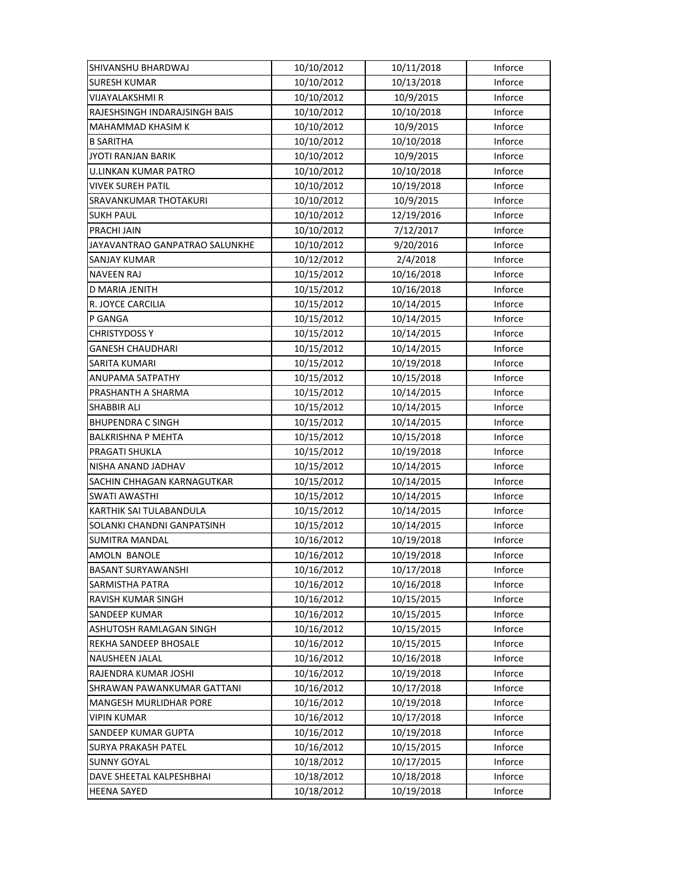| SHIVANSHU BHARDWAJ             | 10/10/2012 | 10/11/2018 | Inforce |
|--------------------------------|------------|------------|---------|
| <b>SURESH KUMAR</b>            | 10/10/2012 | 10/13/2018 | Inforce |
| VIJAYALAKSHMI R                | 10/10/2012 | 10/9/2015  | Inforce |
| RAJESHSINGH INDARAJSINGH BAIS  | 10/10/2012 | 10/10/2018 | Inforce |
| MAHAMMAD KHASIM K              | 10/10/2012 | 10/9/2015  | Inforce |
| <b>B SARITHA</b>               | 10/10/2012 | 10/10/2018 | Inforce |
| <b>JYOTI RANJAN BARIK</b>      | 10/10/2012 | 10/9/2015  | Inforce |
| <b>U.LINKAN KUMAR PATRO</b>    | 10/10/2012 | 10/10/2018 | Inforce |
| <b>VIVEK SUREH PATIL</b>       | 10/10/2012 | 10/19/2018 | Inforce |
| <b>SRAVANKUMAR THOTAKURI</b>   | 10/10/2012 | 10/9/2015  | Inforce |
| <b>SUKH PAUL</b>               | 10/10/2012 | 12/19/2016 | Inforce |
| PRACHI JAIN                    | 10/10/2012 | 7/12/2017  | Inforce |
| JAYAVANTRAO GANPATRAO SALUNKHE | 10/10/2012 | 9/20/2016  | Inforce |
| SANJAY KUMAR                   | 10/12/2012 | 2/4/2018   | Inforce |
| <b>NAVEEN RAJ</b>              | 10/15/2012 | 10/16/2018 | Inforce |
| D MARIA JENITH                 | 10/15/2012 | 10/16/2018 | Inforce |
| R. JOYCE CARCILIA              | 10/15/2012 | 10/14/2015 | Inforce |
| P GANGA                        | 10/15/2012 | 10/14/2015 | Inforce |
| <b>CHRISTYDOSS Y</b>           | 10/15/2012 | 10/14/2015 | Inforce |
| <b>GANESH CHAUDHARI</b>        | 10/15/2012 | 10/14/2015 | Inforce |
| SARITA KUMARI                  | 10/15/2012 | 10/19/2018 | Inforce |
| ANUPAMA SATPATHY               | 10/15/2012 | 10/15/2018 | Inforce |
| PRASHANTH A SHARMA             | 10/15/2012 | 10/14/2015 | Inforce |
| <b>SHABBIR ALI</b>             | 10/15/2012 | 10/14/2015 | Inforce |
| <b>BHUPENDRA C SINGH</b>       | 10/15/2012 | 10/14/2015 | Inforce |
| <b>BALKRISHNA P MEHTA</b>      | 10/15/2012 | 10/15/2018 | Inforce |
| PRAGATI SHUKLA                 | 10/15/2012 | 10/19/2018 | Inforce |
| NISHA ANAND JADHAV             | 10/15/2012 | 10/14/2015 | Inforce |
| SACHIN CHHAGAN KARNAGUTKAR     | 10/15/2012 | 10/14/2015 | Inforce |
| <b>SWATI AWASTHI</b>           | 10/15/2012 | 10/14/2015 | Inforce |
| KARTHIK SAI TULABANDULA        | 10/15/2012 | 10/14/2015 | Inforce |
| SOLANKI CHANDNI GANPATSINH     | 10/15/2012 | 10/14/2015 | Inforce |
| <b>SUMITRA MANDAL</b>          | 10/16/2012 | 10/19/2018 | Inforce |
| AMOLN BANOLE                   | 10/16/2012 | 10/19/2018 | Inforce |
| BASANT SURYAWANSHI             | 10/16/2012 | 10/17/2018 | Inforce |
| <b>SARMISTHA PATRA</b>         | 10/16/2012 | 10/16/2018 | Inforce |
| RAVISH KUMAR SINGH             | 10/16/2012 | 10/15/2015 | Inforce |
| SANDEEP KUMAR                  | 10/16/2012 | 10/15/2015 | Inforce |
| ASHUTOSH RAMLAGAN SINGH        | 10/16/2012 | 10/15/2015 | Inforce |
| REKHA SANDEEP BHOSALE          | 10/16/2012 | 10/15/2015 | Inforce |
| NAUSHEEN JALAL                 | 10/16/2012 | 10/16/2018 | Inforce |
| RAJENDRA KUMAR JOSHI           | 10/16/2012 | 10/19/2018 | Inforce |
| SHRAWAN PAWANKUMAR GATTANI     | 10/16/2012 | 10/17/2018 | Inforce |
| MANGESH MURLIDHAR PORE         | 10/16/2012 | 10/19/2018 | Inforce |
| <b>VIPIN KUMAR</b>             | 10/16/2012 | 10/17/2018 | Inforce |
| SANDEEP KUMAR GUPTA            | 10/16/2012 | 10/19/2018 | Inforce |
| SURYA PRAKASH PATEL            | 10/16/2012 | 10/15/2015 | Inforce |
| <b>SUNNY GOYAL</b>             | 10/18/2012 | 10/17/2015 | Inforce |
| DAVE SHEETAL KALPESHBHAI       | 10/18/2012 | 10/18/2018 | Inforce |
| <b>HEENA SAYED</b>             | 10/18/2012 | 10/19/2018 | Inforce |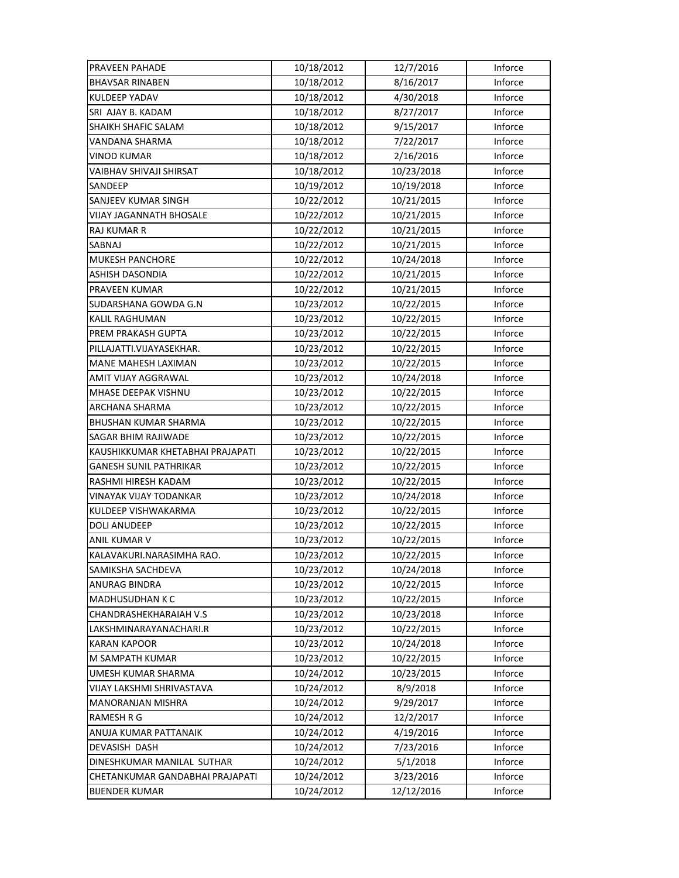| PRAVEEN PAHADE                   | 10/18/2012 | 12/7/2016  | Inforce |
|----------------------------------|------------|------------|---------|
| <b>BHAVSAR RINABEN</b>           | 10/18/2012 | 8/16/2017  | Inforce |
| <b>KULDEEP YADAV</b>             | 10/18/2012 | 4/30/2018  | Inforce |
| SRI AJAY B. KADAM                | 10/18/2012 | 8/27/2017  | Inforce |
| SHAIKH SHAFIC SALAM              | 10/18/2012 | 9/15/2017  | Inforce |
| VANDANA SHARMA                   | 10/18/2012 | 7/22/2017  | Inforce |
| <b>VINOD KUMAR</b>               | 10/18/2012 | 2/16/2016  | Inforce |
| VAIBHAV SHIVAJI SHIRSAT          | 10/18/2012 | 10/23/2018 | Inforce |
| SANDEEP                          | 10/19/2012 | 10/19/2018 | Inforce |
| SANJEEV KUMAR SINGH              | 10/22/2012 | 10/21/2015 | Inforce |
| VIJAY JAGANNATH BHOSALE          | 10/22/2012 | 10/21/2015 | Inforce |
| RAJ KUMAR R                      | 10/22/2012 | 10/21/2015 | Inforce |
| SABNAJ                           | 10/22/2012 | 10/21/2015 | Inforce |
| <b>MUKESH PANCHORE</b>           | 10/22/2012 | 10/24/2018 | Inforce |
| ASHISH DASONDIA                  | 10/22/2012 | 10/21/2015 | Inforce |
| PRAVEEN KUMAR                    | 10/22/2012 | 10/21/2015 | Inforce |
| SUDARSHANA GOWDA G.N             | 10/23/2012 | 10/22/2015 | Inforce |
| KALIL RAGHUMAN                   | 10/23/2012 | 10/22/2015 | Inforce |
| PREM PRAKASH GUPTA               | 10/23/2012 | 10/22/2015 | Inforce |
| PILLAJATTI.VIJAYASEKHAR.         | 10/23/2012 | 10/22/2015 | Inforce |
| MANE MAHESH LAXIMAN              | 10/23/2012 | 10/22/2015 | Inforce |
| AMIT VIJAY AGGRAWAL              | 10/23/2012 | 10/24/2018 | Inforce |
| MHASE DEEPAK VISHNU              | 10/23/2012 | 10/22/2015 | Inforce |
| ARCHANA SHARMA                   | 10/23/2012 | 10/22/2015 | Inforce |
| <b>BHUSHAN KUMAR SHARMA</b>      | 10/23/2012 | 10/22/2015 | Inforce |
| SAGAR BHIM RAJIWADE              | 10/23/2012 | 10/22/2015 | Inforce |
| KAUSHIKKUMAR KHETABHAI PRAJAPATI | 10/23/2012 | 10/22/2015 | Inforce |
| <b>GANESH SUNIL PATHRIKAR</b>    | 10/23/2012 | 10/22/2015 | Inforce |
| RASHMI HIRESH KADAM              | 10/23/2012 | 10/22/2015 | Inforce |
| VINAYAK VIJAY TODANKAR           | 10/23/2012 | 10/24/2018 | Inforce |
| KULDEEP VISHWAKARMA              | 10/23/2012 | 10/22/2015 | Inforce |
| DOLI ANUDEEP                     | 10/23/2012 | 10/22/2015 | Inforce |
| ANIL KUMAR V                     | 10/23/2012 | 10/22/2015 | Inforce |
| KALAVAKURI.NARASIMHA RAO.        | 10/23/2012 | 10/22/2015 | Inforce |
| SAMIKSHA SACHDEVA                | 10/23/2012 | 10/24/2018 | Inforce |
| <b>ANURAG BINDRA</b>             | 10/23/2012 | 10/22/2015 | Inforce |
| <b>MADHUSUDHAN K C</b>           | 10/23/2012 | 10/22/2015 | Inforce |
| CHANDRASHEKHARAIAH V.S           | 10/23/2012 | 10/23/2018 | Inforce |
| LAKSHMINARAYANACHARI.R           | 10/23/2012 | 10/22/2015 | Inforce |
| <b>KARAN KAPOOR</b>              | 10/23/2012 | 10/24/2018 | Inforce |
| M SAMPATH KUMAR                  | 10/23/2012 | 10/22/2015 | Inforce |
| UMESH KUMAR SHARMA               | 10/24/2012 | 10/23/2015 | Inforce |
| VIJAY LAKSHMI SHRIVASTAVA        | 10/24/2012 | 8/9/2018   | Inforce |
| <b>MANORANJAN MISHRA</b>         | 10/24/2012 | 9/29/2017  | Inforce |
| RAMESH R G                       | 10/24/2012 | 12/2/2017  | Inforce |
| ANUJA KUMAR PATTANAIK            | 10/24/2012 | 4/19/2016  | Inforce |
| DEVASISH DASH                    | 10/24/2012 | 7/23/2016  | Inforce |
| DINESHKUMAR MANILAL SUTHAR       | 10/24/2012 | 5/1/2018   | Inforce |
| CHETANKUMAR GANDABHAI PRAJAPATI  | 10/24/2012 | 3/23/2016  | Inforce |
| <b>BIJENDER KUMAR</b>            | 10/24/2012 | 12/12/2016 | Inforce |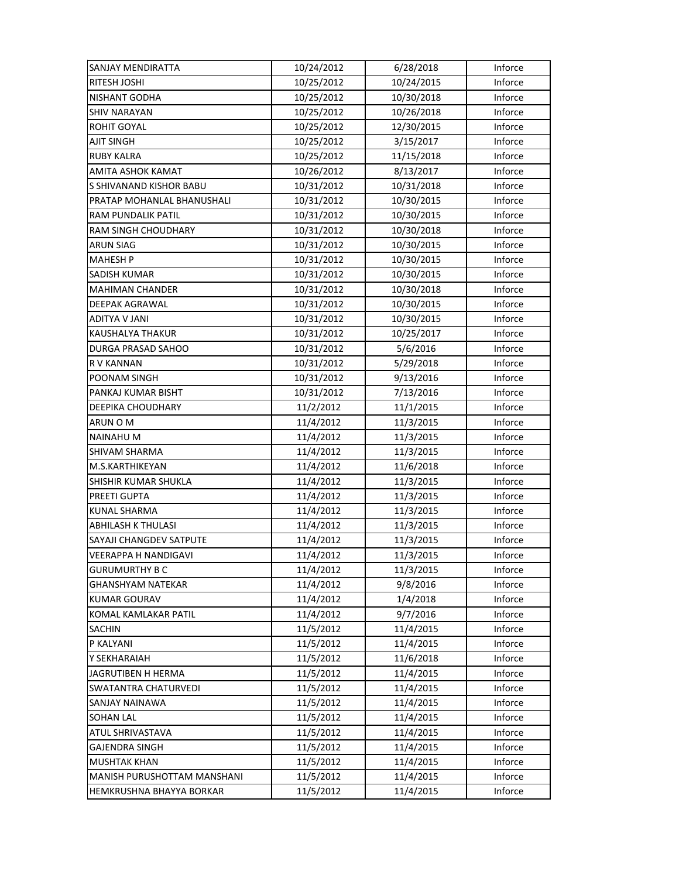| SANJAY MENDIRATTA           | 10/24/2012 | 6/28/2018  | Inforce |
|-----------------------------|------------|------------|---------|
| RITESH JOSHI                | 10/25/2012 | 10/24/2015 | Inforce |
| NISHANT GODHA               | 10/25/2012 | 10/30/2018 | Inforce |
| <b>SHIV NARAYAN</b>         | 10/25/2012 | 10/26/2018 | Inforce |
| ROHIT GOYAL                 | 10/25/2012 | 12/30/2015 | Inforce |
| <b>AJIT SINGH</b>           | 10/25/2012 | 3/15/2017  | Inforce |
| <b>RUBY KALRA</b>           | 10/25/2012 | 11/15/2018 | Inforce |
| AMITA ASHOK KAMAT           | 10/26/2012 | 8/13/2017  | Inforce |
| S SHIVANAND KISHOR BABU     | 10/31/2012 | 10/31/2018 | Inforce |
| PRATAP MOHANLAL BHANUSHALI  | 10/31/2012 | 10/30/2015 | Inforce |
| RAM PUNDALIK PATIL          | 10/31/2012 | 10/30/2015 | Inforce |
| RAM SINGH CHOUDHARY         | 10/31/2012 | 10/30/2018 | Inforce |
| ARUN SIAG                   | 10/31/2012 | 10/30/2015 | Inforce |
| <b>MAHESH P</b>             | 10/31/2012 | 10/30/2015 | Inforce |
| SADISH KUMAR                | 10/31/2012 | 10/30/2015 | Inforce |
| <b>MAHIMAN CHANDER</b>      | 10/31/2012 | 10/30/2018 | Inforce |
| <b>DEEPAK AGRAWAL</b>       | 10/31/2012 | 10/30/2015 | Inforce |
| ADITYA V JANI               | 10/31/2012 | 10/30/2015 | Inforce |
| KAUSHALYA THAKUR            | 10/31/2012 | 10/25/2017 | Inforce |
| DURGA PRASAD SAHOO          | 10/31/2012 | 5/6/2016   | Inforce |
| R V KANNAN                  | 10/31/2012 | 5/29/2018  | Inforce |
| POONAM SINGH                | 10/31/2012 | 9/13/2016  | Inforce |
| PANKAJ KUMAR BISHT          | 10/31/2012 | 7/13/2016  | Inforce |
| DEEPIKA CHOUDHARY           | 11/2/2012  | 11/1/2015  | Inforce |
| ARUN O M                    | 11/4/2012  | 11/3/2015  | Inforce |
| <b>NAINAHU M</b>            | 11/4/2012  | 11/3/2015  | Inforce |
| <b>SHIVAM SHARMA</b>        | 11/4/2012  | 11/3/2015  | Inforce |
| M.S.KARTHIKEYAN             | 11/4/2012  | 11/6/2018  | Inforce |
| SHISHIR KUMAR SHUKLA        | 11/4/2012  | 11/3/2015  | Inforce |
| PREETI GUPTA                | 11/4/2012  | 11/3/2015  | Inforce |
| <b>KUNAL SHARMA</b>         | 11/4/2012  | 11/3/2015  | Inforce |
| <b>ABHILASH K THULASI</b>   | 11/4/2012  | 11/3/2015  | Inforce |
| SAYAJI CHANGDEV SATPUTE     | 11/4/2012  | 11/3/2015  | Inforce |
| VEERAPPA H NANDIGAVI        | 11/4/2012  | 11/3/2015  | Inforce |
| <b>GURUMURTHY B C</b>       | 11/4/2012  | 11/3/2015  | Inforce |
| <b>GHANSHYAM NATEKAR</b>    | 11/4/2012  | 9/8/2016   | Inforce |
| <b>KUMAR GOURAV</b>         | 11/4/2012  | 1/4/2018   | Inforce |
| KOMAL KAMLAKAR PATIL        | 11/4/2012  | 9/7/2016   | Inforce |
| <b>SACHIN</b>               | 11/5/2012  | 11/4/2015  | Inforce |
| P KALYANI                   | 11/5/2012  | 11/4/2015  | Inforce |
| Y SEKHARAIAH                | 11/5/2012  | 11/6/2018  | Inforce |
| JAGRUTIBEN H HERMA          | 11/5/2012  | 11/4/2015  | Inforce |
| <b>SWATANTRA CHATURVEDI</b> | 11/5/2012  | 11/4/2015  | Inforce |
| SANJAY NAINAWA              | 11/5/2012  | 11/4/2015  | Inforce |
| <b>SOHAN LAL</b>            | 11/5/2012  | 11/4/2015  | Inforce |
| ATUL SHRIVASTAVA            | 11/5/2012  | 11/4/2015  | Inforce |
| <b>GAJENDRA SINGH</b>       | 11/5/2012  | 11/4/2015  | Inforce |
| <b>MUSHTAK KHAN</b>         | 11/5/2012  | 11/4/2015  | Inforce |
| MANISH PURUSHOTTAM MANSHANI | 11/5/2012  | 11/4/2015  | Inforce |
| HEMKRUSHNA BHAYYA BORKAR    | 11/5/2012  | 11/4/2015  | Inforce |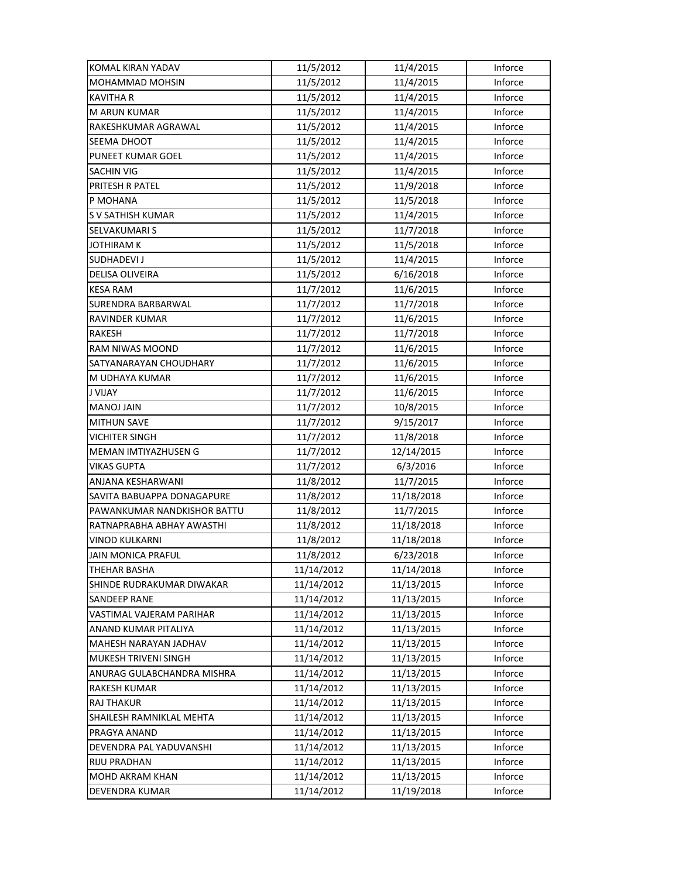| KOMAL KIRAN YADAV           | 11/5/2012  | 11/4/2015  | Inforce |
|-----------------------------|------------|------------|---------|
| MOHAMMAD MOHSIN             | 11/5/2012  | 11/4/2015  | Inforce |
| KAVITHA R                   | 11/5/2012  | 11/4/2015  | Inforce |
| <b>M ARUN KUMAR</b>         | 11/5/2012  | 11/4/2015  | Inforce |
| RAKESHKUMAR AGRAWAL         | 11/5/2012  | 11/4/2015  | Inforce |
| SEEMA DHOOT                 | 11/5/2012  | 11/4/2015  | Inforce |
| PUNEET KUMAR GOEL           | 11/5/2012  | 11/4/2015  | Inforce |
| <b>SACHIN VIG</b>           | 11/5/2012  | 11/4/2015  | Inforce |
| PRITESH R PATEL             | 11/5/2012  | 11/9/2018  | Inforce |
| P MOHANA                    | 11/5/2012  | 11/5/2018  | Inforce |
| S V SATHISH KUMAR           | 11/5/2012  | 11/4/2015  | Inforce |
| SELVAKUMARI S               | 11/5/2012  | 11/7/2018  | Inforce |
| JOTHIRAM K                  | 11/5/2012  | 11/5/2018  | Inforce |
| SUDHADEVI J                 | 11/5/2012  | 11/4/2015  | Inforce |
| DELISA OLIVEIRA             | 11/5/2012  | 6/16/2018  | Inforce |
| <b>KESA RAM</b>             | 11/7/2012  | 11/6/2015  | Inforce |
| SURENDRA BARBARWAL          | 11/7/2012  | 11/7/2018  | Inforce |
| RAVINDER KUMAR              | 11/7/2012  | 11/6/2015  | Inforce |
| RAKESH                      | 11/7/2012  | 11/7/2018  | Inforce |
| RAM NIWAS MOOND             | 11/7/2012  | 11/6/2015  | Inforce |
| SATYANARAYAN CHOUDHARY      | 11/7/2012  | 11/6/2015  | Inforce |
| M UDHAYA KUMAR              | 11/7/2012  | 11/6/2015  | Inforce |
| <b>J VIJAY</b>              | 11/7/2012  | 11/6/2015  | Inforce |
| <b>MANOJ JAIN</b>           | 11/7/2012  | 10/8/2015  | Inforce |
| <b>MITHUN SAVE</b>          | 11/7/2012  | 9/15/2017  | Inforce |
| <b>VICHITER SINGH</b>       | 11/7/2012  | 11/8/2018  | Inforce |
| MEMAN IMTIYAZHUSEN G        | 11/7/2012  | 12/14/2015 | Inforce |
| <b>VIKAS GUPTA</b>          | 11/7/2012  | 6/3/2016   | Inforce |
| ANJANA KESHARWANI           | 11/8/2012  | 11/7/2015  | Inforce |
| SAVITA BABUAPPA DONAGAPURE  | 11/8/2012  | 11/18/2018 | Inforce |
| PAWANKUMAR NANDKISHOR BATTU | 11/8/2012  | 11/7/2015  | Inforce |
| RATNAPRABHA ABHAY AWASTHI   | 11/8/2012  | 11/18/2018 | Inforce |
| VINOD KULKARNI              | 11/8/2012  | 11/18/2018 | Inforce |
| <b>JAIN MONICA PRAFUL</b>   | 11/8/2012  | 6/23/2018  | Inforce |
| THEHAR BASHA                | 11/14/2012 | 11/14/2018 | Inforce |
| SHINDE RUDRAKUMAR DIWAKAR   | 11/14/2012 | 11/13/2015 | Inforce |
| <b>SANDEEP RANE</b>         | 11/14/2012 | 11/13/2015 | Inforce |
| VASTIMAL VAJERAM PARIHAR    | 11/14/2012 | 11/13/2015 | Inforce |
| ANAND KUMAR PITALIYA        | 11/14/2012 | 11/13/2015 | Inforce |
| MAHESH NARAYAN JADHAV       | 11/14/2012 | 11/13/2015 | Inforce |
| <b>MUKESH TRIVENI SINGH</b> | 11/14/2012 | 11/13/2015 | Inforce |
| ANURAG GULABCHANDRA MISHRA  | 11/14/2012 | 11/13/2015 | Inforce |
| <b>RAKESH KUMAR</b>         | 11/14/2012 | 11/13/2015 | Inforce |
| <b>RAJ THAKUR</b>           | 11/14/2012 | 11/13/2015 | Inforce |
| SHAILESH RAMNIKLAL MEHTA    | 11/14/2012 | 11/13/2015 | Inforce |
| PRAGYA ANAND                | 11/14/2012 | 11/13/2015 | Inforce |
| DEVENDRA PAL YADUVANSHI     | 11/14/2012 | 11/13/2015 | Inforce |
| <b>RIJU PRADHAN</b>         | 11/14/2012 | 11/13/2015 | Inforce |
| MOHD AKRAM KHAN             | 11/14/2012 | 11/13/2015 | Inforce |
| DEVENDRA KUMAR              | 11/14/2012 | 11/19/2018 | Inforce |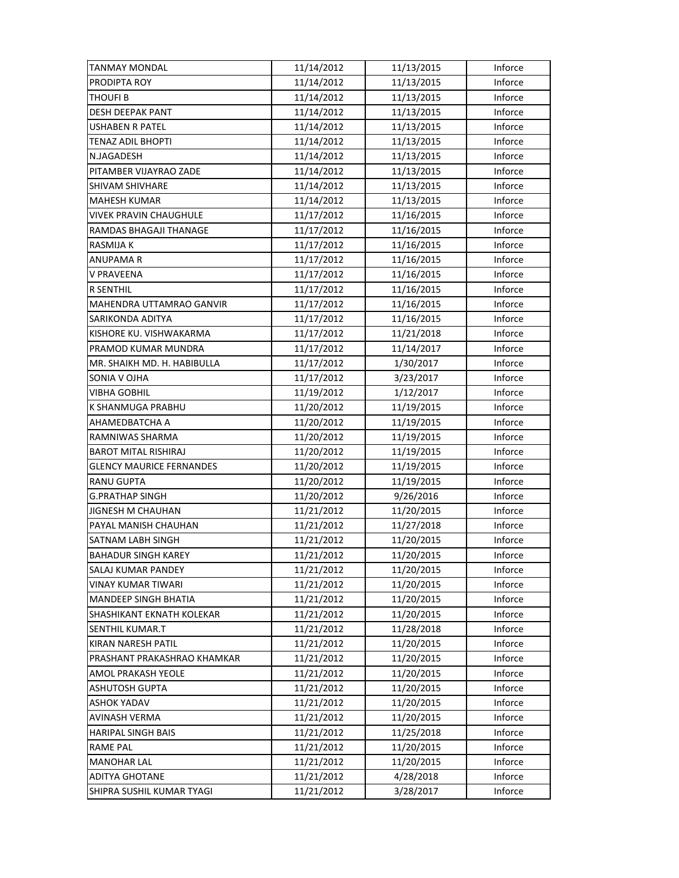| TANMAY MONDAL                   | 11/14/2012 | 11/13/2015 | Inforce |
|---------------------------------|------------|------------|---------|
| PRODIPTA ROY                    | 11/14/2012 | 11/13/2015 | Inforce |
| THOUFI B                        | 11/14/2012 | 11/13/2015 | Inforce |
| <b>DESH DEEPAK PANT</b>         | 11/14/2012 | 11/13/2015 | Inforce |
| USHABEN R PATEL                 | 11/14/2012 | 11/13/2015 | Inforce |
| <b>TENAZ ADIL BHOPTI</b>        | 11/14/2012 | 11/13/2015 | Inforce |
| N.JAGADESH                      | 11/14/2012 | 11/13/2015 | Inforce |
| PITAMBER VIJAYRAO ZADE          | 11/14/2012 | 11/13/2015 | Inforce |
| <b>SHIVAM SHIVHARE</b>          | 11/14/2012 | 11/13/2015 | Inforce |
| <b>MAHESH KUMAR</b>             | 11/14/2012 | 11/13/2015 | Inforce |
| <b>VIVEK PRAVIN CHAUGHULE</b>   | 11/17/2012 | 11/16/2015 | Inforce |
| RAMDAS BHAGAJI THANAGE          | 11/17/2012 | 11/16/2015 | Inforce |
| RASMIJA K                       | 11/17/2012 | 11/16/2015 | Inforce |
| ANUPAMA R                       | 11/17/2012 | 11/16/2015 | Inforce |
| V PRAVEENA                      | 11/17/2012 | 11/16/2015 | Inforce |
| R SENTHIL                       | 11/17/2012 | 11/16/2015 | Inforce |
| <b>MAHENDRA UTTAMRAO GANVIR</b> | 11/17/2012 | 11/16/2015 | Inforce |
| SARIKONDA ADITYA                | 11/17/2012 | 11/16/2015 | Inforce |
| KISHORE KU. VISHWAKARMA         | 11/17/2012 | 11/21/2018 | Inforce |
| PRAMOD KUMAR MUNDRA             | 11/17/2012 | 11/14/2017 | Inforce |
| MR. SHAIKH MD. H. HABIBULLA     | 11/17/2012 | 1/30/2017  | Inforce |
| SONIA V OJHA                    | 11/17/2012 | 3/23/2017  | Inforce |
| <b>VIBHA GOBHIL</b>             | 11/19/2012 | 1/12/2017  | Inforce |
| K SHANMUGA PRABHU               | 11/20/2012 | 11/19/2015 | Inforce |
| AHAMEDBATCHA A                  | 11/20/2012 | 11/19/2015 | Inforce |
| RAMNIWAS SHARMA                 | 11/20/2012 | 11/19/2015 | Inforce |
| <b>BAROT MITAL RISHIRAJ</b>     | 11/20/2012 | 11/19/2015 | Inforce |
| <b>GLENCY MAURICE FERNANDES</b> | 11/20/2012 | 11/19/2015 | Inforce |
| RANU GUPTA                      | 11/20/2012 | 11/19/2015 | Inforce |
| <b>G.PRATHAP SINGH</b>          | 11/20/2012 | 9/26/2016  | Inforce |
| JIGNESH M CHAUHAN               | 11/21/2012 | 11/20/2015 | Inforce |
| PAYAL MANISH CHAUHAN            | 11/21/2012 | 11/27/2018 | Inforce |
| SATNAM LABH SINGH               | 11/21/2012 | 11/20/2015 | Inforce |
| <b>BAHADUR SINGH KAREY</b>      | 11/21/2012 | 11/20/2015 | Inforce |
| SALAJ KUMAR PANDEY              | 11/21/2012 | 11/20/2015 | Inforce |
| <b>VINAY KUMAR TIWARI</b>       | 11/21/2012 | 11/20/2015 | Inforce |
| <b>MANDEEP SINGH BHATIA</b>     | 11/21/2012 | 11/20/2015 | Inforce |
| SHASHIKANT EKNATH KOLEKAR       | 11/21/2012 | 11/20/2015 | Inforce |
| SENTHIL KUMAR.T                 | 11/21/2012 | 11/28/2018 | Inforce |
| <b>KIRAN NARESH PATIL</b>       | 11/21/2012 | 11/20/2015 | Inforce |
| PRASHANT PRAKASHRAO KHAMKAR     | 11/21/2012 | 11/20/2015 | Inforce |
| AMOL PRAKASH YEOLE              | 11/21/2012 | 11/20/2015 | Inforce |
| <b>ASHUTOSH GUPTA</b>           | 11/21/2012 | 11/20/2015 | Inforce |
| <b>ASHOK YADAV</b>              | 11/21/2012 | 11/20/2015 | Inforce |
| AVINASH VERMA                   | 11/21/2012 | 11/20/2015 | Inforce |
| <b>HARIPAL SINGH BAIS</b>       | 11/21/2012 | 11/25/2018 | Inforce |
| <b>RAME PAL</b>                 | 11/21/2012 | 11/20/2015 | Inforce |
| <b>MANOHAR LAL</b>              | 11/21/2012 | 11/20/2015 | Inforce |
| <b>ADITYA GHOTANE</b>           | 11/21/2012 | 4/28/2018  | Inforce |
| SHIPRA SUSHIL KUMAR TYAGI       | 11/21/2012 | 3/28/2017  | Inforce |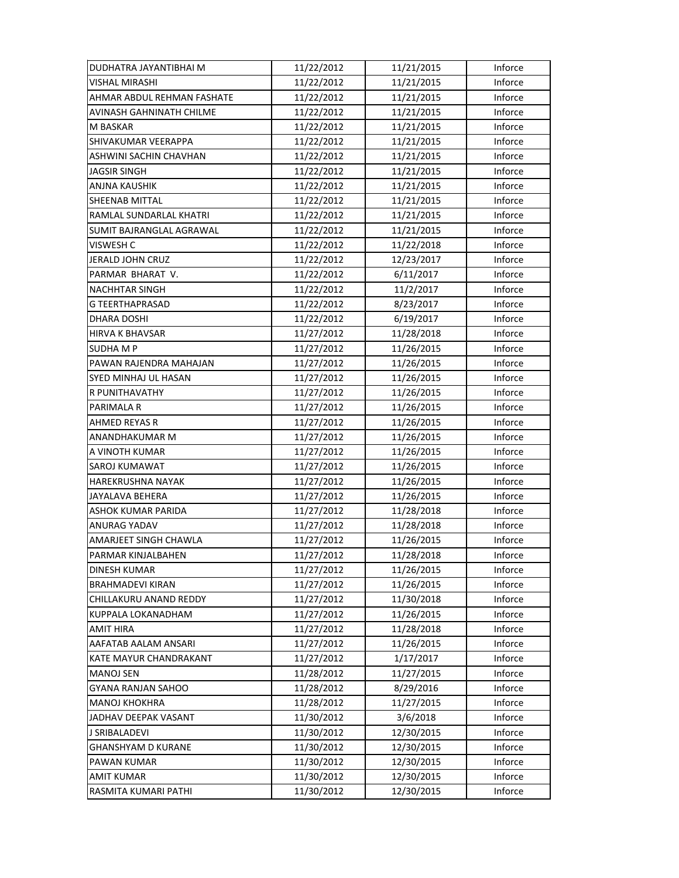| DUDHATRA JAYANTIBHAI M     | 11/22/2012 | 11/21/2015 | Inforce |
|----------------------------|------------|------------|---------|
| VISHAL MIRASHI             | 11/22/2012 | 11/21/2015 | Inforce |
| AHMAR ABDUL REHMAN FASHATE | 11/22/2012 | 11/21/2015 | Inforce |
| AVINASH GAHNINATH CHILME   | 11/22/2012 | 11/21/2015 | Inforce |
| M BASKAR                   | 11/22/2012 | 11/21/2015 | Inforce |
| SHIVAKUMAR VEERAPPA        | 11/22/2012 | 11/21/2015 | Inforce |
| ASHWINI SACHIN CHAVHAN     | 11/22/2012 | 11/21/2015 | Inforce |
| <b>JAGSIR SINGH</b>        | 11/22/2012 | 11/21/2015 | Inforce |
| ANJNA KAUSHIK              | 11/22/2012 | 11/21/2015 | Inforce |
| <b>SHEENAB MITTAL</b>      | 11/22/2012 | 11/21/2015 | Inforce |
| RAMLAL SUNDARLAL KHATRI    | 11/22/2012 | 11/21/2015 | Inforce |
| SUMIT BAJRANGLAL AGRAWAL   | 11/22/2012 | 11/21/2015 | Inforce |
| VISWESH C                  | 11/22/2012 | 11/22/2018 | Inforce |
| JERALD JOHN CRUZ           | 11/22/2012 | 12/23/2017 | Inforce |
| PARMAR BHARAT V.           | 11/22/2012 | 6/11/2017  | Inforce |
| <b>NACHHTAR SINGH</b>      | 11/22/2012 | 11/2/2017  | Inforce |
| <b>G TEERTHAPRASAD</b>     | 11/22/2012 | 8/23/2017  | Inforce |
| DHARA DOSHI                | 11/22/2012 | 6/19/2017  | Inforce |
| <b>HIRVA K BHAVSAR</b>     | 11/27/2012 | 11/28/2018 | Inforce |
| <b>SUDHA M P</b>           | 11/27/2012 | 11/26/2015 | Inforce |
| PAWAN RAJENDRA MAHAJAN     | 11/27/2012 | 11/26/2015 | Inforce |
| SYED MINHAJ UL HASAN       | 11/27/2012 | 11/26/2015 | Inforce |
| R PUNITHAVATHY             | 11/27/2012 | 11/26/2015 | Inforce |
| PARIMALA R                 | 11/27/2012 | 11/26/2015 | Inforce |
| <b>AHMED REYAS R</b>       | 11/27/2012 | 11/26/2015 | Inforce |
| ANANDHAKUMAR M             | 11/27/2012 | 11/26/2015 | Inforce |
| A VINOTH KUMAR             | 11/27/2012 | 11/26/2015 | Inforce |
| SAROJ KUMAWAT              | 11/27/2012 | 11/26/2015 | Inforce |
| <b>HAREKRUSHNA NAYAK</b>   | 11/27/2012 | 11/26/2015 | Inforce |
| JAYALAVA BEHERA            | 11/27/2012 | 11/26/2015 | Inforce |
| ASHOK KUMAR PARIDA         | 11/27/2012 | 11/28/2018 | Inforce |
| ANURAG YADAV               | 11/27/2012 | 11/28/2018 | Inforce |
| AMARJEET SINGH CHAWLA      | 11/27/2012 | 11/26/2015 | Inforce |
| PARMAR KINJALBAHEN         | 11/27/2012 | 11/28/2018 | Inforce |
| DINESH KUMAR               | 11/27/2012 | 11/26/2015 | Inforce |
| <b>BRAHMADEVI KIRAN</b>    | 11/27/2012 | 11/26/2015 | Inforce |
| CHILLAKURU ANAND REDDY     | 11/27/2012 | 11/30/2018 | Inforce |
| KUPPALA LOKANADHAM         | 11/27/2012 | 11/26/2015 | Inforce |
| AMIT HIRA                  | 11/27/2012 | 11/28/2018 | Inforce |
| AAFATAB AALAM ANSARI       | 11/27/2012 | 11/26/2015 | Inforce |
| KATE MAYUR CHANDRAKANT     | 11/27/2012 | 1/17/2017  | Inforce |
| <b>MANOJ SEN</b>           | 11/28/2012 | 11/27/2015 | Inforce |
| <b>GYANA RANJAN SAHOO</b>  | 11/28/2012 | 8/29/2016  | Inforce |
| <b>MANOJ KHOKHRA</b>       | 11/28/2012 | 11/27/2015 | Inforce |
| JADHAV DEEPAK VASANT       | 11/30/2012 | 3/6/2018   | Inforce |
| J SRIBALADEVI              | 11/30/2012 | 12/30/2015 | Inforce |
| <b>GHANSHYAM D KURANE</b>  | 11/30/2012 | 12/30/2015 | Inforce |
| PAWAN KUMAR                | 11/30/2012 | 12/30/2015 | Inforce |
| <b>AMIT KUMAR</b>          | 11/30/2012 | 12/30/2015 | Inforce |
| RASMITA KUMARI PATHI       | 11/30/2012 | 12/30/2015 | Inforce |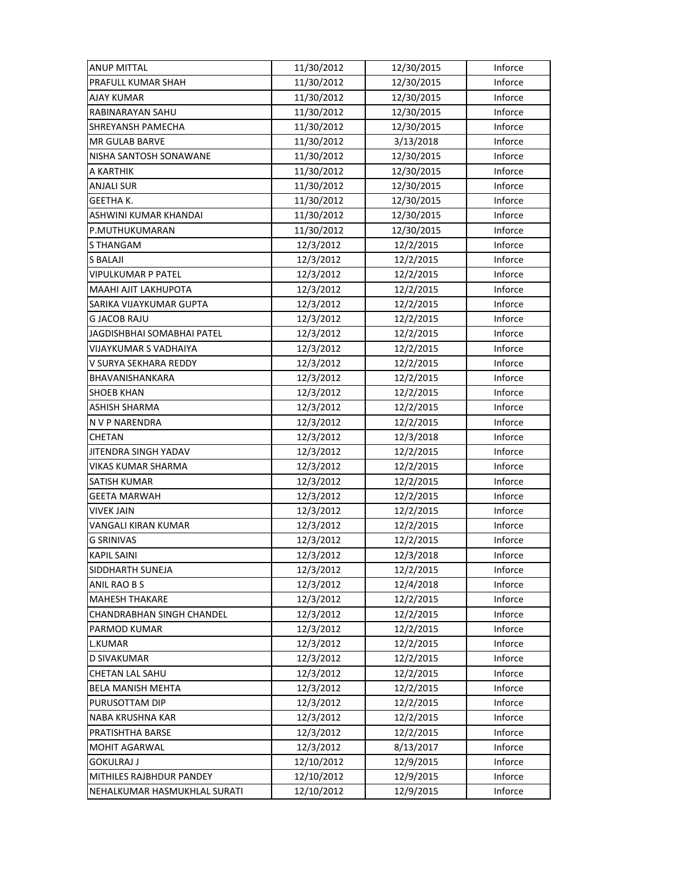| <b>ANUP MITTAL</b>           | 11/30/2012 | 12/30/2015 | Inforce |
|------------------------------|------------|------------|---------|
| PRAFULL KUMAR SHAH           | 11/30/2012 | 12/30/2015 | Inforce |
| AJAY KUMAR                   | 11/30/2012 | 12/30/2015 | Inforce |
| RABINARAYAN SAHU             | 11/30/2012 | 12/30/2015 | Inforce |
| SHREYANSH PAMECHA            | 11/30/2012 | 12/30/2015 | Inforce |
| <b>MR GULAB BARVE</b>        | 11/30/2012 | 3/13/2018  | Inforce |
| NISHA SANTOSH SONAWANE       | 11/30/2012 | 12/30/2015 | Inforce |
| A KARTHIK                    | 11/30/2012 | 12/30/2015 | Inforce |
| ANJALI SUR                   | 11/30/2012 | 12/30/2015 | Inforce |
| <b>GEETHA K.</b>             | 11/30/2012 | 12/30/2015 | Inforce |
| ASHWINI KUMAR KHANDAI        | 11/30/2012 | 12/30/2015 | Inforce |
| P.MUTHUKUMARAN               | 11/30/2012 | 12/30/2015 | Inforce |
| S THANGAM                    | 12/3/2012  | 12/2/2015  | Inforce |
| S BALAJI                     | 12/3/2012  | 12/2/2015  | Inforce |
| VIPULKUMAR P PATEL           | 12/3/2012  | 12/2/2015  | Inforce |
| MAAHI AJIT LAKHUPOTA         | 12/3/2012  | 12/2/2015  | Inforce |
| SARIKA VIJAYKUMAR GUPTA      | 12/3/2012  | 12/2/2015  | Inforce |
| <b>G JACOB RAJU</b>          | 12/3/2012  | 12/2/2015  | Inforce |
| JAGDISHBHAI SOMABHAI PATEL   | 12/3/2012  | 12/2/2015  | Inforce |
| VIJAYKUMAR S VADHAIYA        | 12/3/2012  | 12/2/2015  | Inforce |
| V SURYA SEKHARA REDDY        | 12/3/2012  | 12/2/2015  | Inforce |
| BHAVANISHANKARA              | 12/3/2012  | 12/2/2015  | Inforce |
| <b>SHOEB KHAN</b>            | 12/3/2012  | 12/2/2015  | Inforce |
| <b>ASHISH SHARMA</b>         | 12/3/2012  | 12/2/2015  | Inforce |
| N V P NARENDRA               | 12/3/2012  | 12/2/2015  | Inforce |
| CHETAN                       | 12/3/2012  | 12/3/2018  | Inforce |
| JITENDRA SINGH YADAV         | 12/3/2012  | 12/2/2015  | Inforce |
| VIKAS KUMAR SHARMA           | 12/3/2012  | 12/2/2015  | Inforce |
| SATISH KUMAR                 | 12/3/2012  | 12/2/2015  | Inforce |
| GEETA MARWAH                 | 12/3/2012  | 12/2/2015  | Inforce |
| <b>VIVEK JAIN</b>            | 12/3/2012  | 12/2/2015  | Inforce |
| VANGALI KIRAN KUMAR          | 12/3/2012  | 12/2/2015  | Inforce |
| <b>G SRINIVAS</b>            | 12/3/2012  | 12/2/2015  | Inforce |
| <b>KAPIL SAINI</b>           | 12/3/2012  | 12/3/2018  | Inforce |
| SIDDHARTH SUNEJA             | 12/3/2012  | 12/2/2015  | Inforce |
| ANIL RAO B S                 | 12/3/2012  | 12/4/2018  | Inforce |
| <b>MAHESH THAKARE</b>        | 12/3/2012  | 12/2/2015  | Inforce |
| CHANDRABHAN SINGH CHANDEL    | 12/3/2012  | 12/2/2015  | Inforce |
| PARMOD KUMAR                 | 12/3/2012  | 12/2/2015  | Inforce |
| <b>L.KUMAR</b>               | 12/3/2012  | 12/2/2015  | Inforce |
| D SIVAKUMAR                  | 12/3/2012  | 12/2/2015  | Inforce |
| CHETAN LAL SAHU              | 12/3/2012  | 12/2/2015  | Inforce |
| <b>BELA MANISH MEHTA</b>     | 12/3/2012  | 12/2/2015  | Inforce |
| PURUSOTTAM DIP               | 12/3/2012  | 12/2/2015  | Inforce |
| <b>NABA KRUSHNA KAR</b>      | 12/3/2012  | 12/2/2015  | Inforce |
| PRATISHTHA BARSE             | 12/3/2012  | 12/2/2015  | Inforce |
| MOHIT AGARWAL                | 12/3/2012  | 8/13/2017  | Inforce |
| <b>GOKULRAJ J</b>            | 12/10/2012 | 12/9/2015  | Inforce |
| MITHILES RAJBHDUR PANDEY     | 12/10/2012 | 12/9/2015  | Inforce |
| NEHALKUMAR HASMUKHLAL SURATI | 12/10/2012 | 12/9/2015  | Inforce |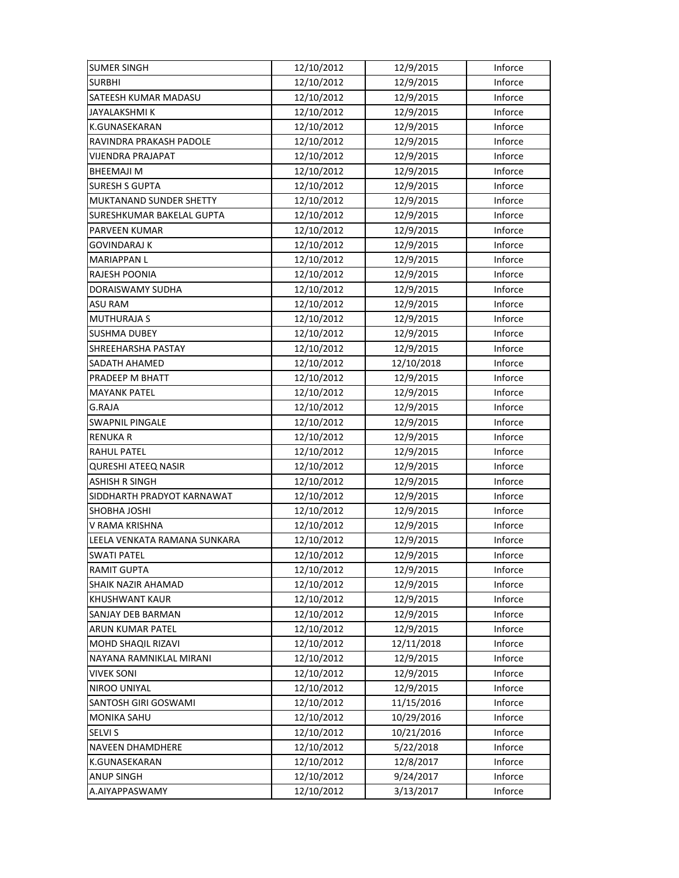| <b>SUMER SINGH</b>           | 12/10/2012 | 12/9/2015  | Inforce |
|------------------------------|------------|------------|---------|
| <b>SURBHI</b>                | 12/10/2012 | 12/9/2015  | Inforce |
| SATEESH KUMAR MADASU         | 12/10/2012 | 12/9/2015  | Inforce |
| JAYALAKSHMI K                | 12/10/2012 | 12/9/2015  | Inforce |
| <b>K.GUNASEKARAN</b>         | 12/10/2012 | 12/9/2015  | Inforce |
| RAVINDRA PRAKASH PADOLE      | 12/10/2012 | 12/9/2015  | Inforce |
| <b>VIJENDRA PRAJAPAT</b>     | 12/10/2012 | 12/9/2015  | Inforce |
| <b>BHEEMAJI M</b>            | 12/10/2012 | 12/9/2015  | Inforce |
| <b>SURESH S GUPTA</b>        | 12/10/2012 | 12/9/2015  | Inforce |
| MUKTANAND SUNDER SHETTY      | 12/10/2012 | 12/9/2015  | Inforce |
| SURESHKUMAR BAKELAL GUPTA    | 12/10/2012 | 12/9/2015  | Inforce |
| PARVEEN KUMAR                | 12/10/2012 | 12/9/2015  | Inforce |
| GOVINDARAJ K                 | 12/10/2012 | 12/9/2015  | Inforce |
| <b>MARIAPPAN L</b>           | 12/10/2012 | 12/9/2015  | Inforce |
| RAJESH POONIA                | 12/10/2012 | 12/9/2015  | Inforce |
| DORAISWAMY SUDHA             | 12/10/2012 | 12/9/2015  | Inforce |
| <b>ASU RAM</b>               | 12/10/2012 | 12/9/2015  | Inforce |
| <b>MUTHURAJA S</b>           | 12/10/2012 | 12/9/2015  | Inforce |
| <b>SUSHMA DUBEY</b>          | 12/10/2012 | 12/9/2015  | Inforce |
| SHREEHARSHA PASTAY           | 12/10/2012 | 12/9/2015  | Inforce |
| SADATH AHAMED                | 12/10/2012 | 12/10/2018 | Inforce |
| PRADEEP M BHATT              | 12/10/2012 | 12/9/2015  | Inforce |
| <b>MAYANK PATEL</b>          | 12/10/2012 | 12/9/2015  | Inforce |
| G.RAJA                       | 12/10/2012 | 12/9/2015  | Inforce |
| <b>SWAPNIL PINGALE</b>       | 12/10/2012 | 12/9/2015  | Inforce |
| <b>RENUKAR</b>               | 12/10/2012 | 12/9/2015  | Inforce |
| <b>RAHUL PATEL</b>           | 12/10/2012 | 12/9/2015  | Inforce |
| QURESHI ATEEQ NASIR          | 12/10/2012 | 12/9/2015  | Inforce |
| <b>ASHISH R SINGH</b>        | 12/10/2012 | 12/9/2015  | Inforce |
| SIDDHARTH PRADYOT KARNAWAT   | 12/10/2012 | 12/9/2015  | Inforce |
| <b>SHOBHA JOSHI</b>          | 12/10/2012 | 12/9/2015  | Inforce |
| V RAMA KRISHNA               | 12/10/2012 | 12/9/2015  | Inforce |
| LEELA VENKATA RAMANA SUNKARA | 12/10/2012 | 12/9/2015  | Inforce |
| <b>SWATI PATEL</b>           | 12/10/2012 | 12/9/2015  | Inforce |
| <b>RAMIT GUPTA</b>           | 12/10/2012 | 12/9/2015  | Inforce |
| SHAIK NAZIR AHAMAD           | 12/10/2012 | 12/9/2015  | Inforce |
| <b>KHUSHWANT KAUR</b>        | 12/10/2012 | 12/9/2015  | Inforce |
| <b>SANJAY DEB BARMAN</b>     | 12/10/2012 | 12/9/2015  | Inforce |
| ARUN KUMAR PATEL             | 12/10/2012 | 12/9/2015  | Inforce |
| MOHD SHAQIL RIZAVI           | 12/10/2012 | 12/11/2018 | Inforce |
| NAYANA RAMNIKLAL MIRANI      | 12/10/2012 | 12/9/2015  | Inforce |
| <b>VIVEK SONI</b>            | 12/10/2012 | 12/9/2015  | Inforce |
| NIROO UNIYAL                 | 12/10/2012 | 12/9/2015  | Inforce |
| SANTOSH GIRI GOSWAMI         | 12/10/2012 | 11/15/2016 | Inforce |
| <b>MONIKA SAHU</b>           | 12/10/2012 | 10/29/2016 | Inforce |
| <b>SELVI S</b>               | 12/10/2012 | 10/21/2016 | Inforce |
| NAVEEN DHAMDHERE             | 12/10/2012 | 5/22/2018  | Inforce |
| K.GUNASEKARAN                | 12/10/2012 | 12/8/2017  | Inforce |
| <b>ANUP SINGH</b>            | 12/10/2012 | 9/24/2017  | Inforce |
| A.AIYAPPASWAMY               | 12/10/2012 | 3/13/2017  | Inforce |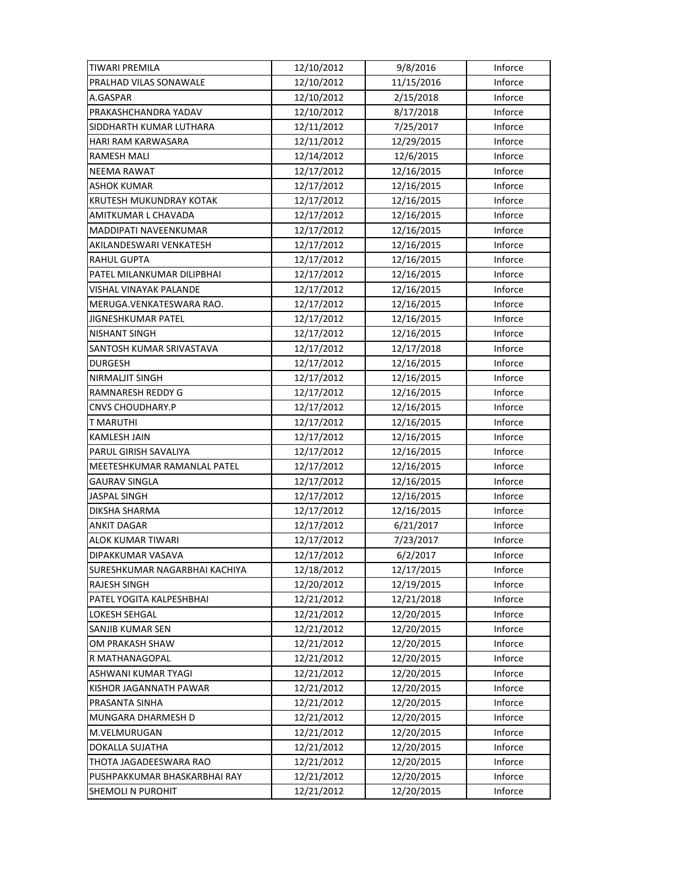| <b>TIWARI PREMILA</b>         | 12/10/2012 | 9/8/2016   | Inforce |
|-------------------------------|------------|------------|---------|
| PRALHAD VILAS SONAWALE        | 12/10/2012 | 11/15/2016 | Inforce |
| A.GASPAR                      | 12/10/2012 | 2/15/2018  | Inforce |
| PRAKASHCHANDRA YADAV          | 12/10/2012 | 8/17/2018  | Inforce |
| SIDDHARTH KUMAR LUTHARA       | 12/11/2012 | 7/25/2017  | Inforce |
| HARI RAM KARWASARA            | 12/11/2012 | 12/29/2015 | Inforce |
| <b>RAMESH MALI</b>            | 12/14/2012 | 12/6/2015  | Inforce |
| <b>NEEMA RAWAT</b>            | 12/17/2012 | 12/16/2015 | Inforce |
| <b>ASHOK KUMAR</b>            | 12/17/2012 | 12/16/2015 | Inforce |
| KRUTESH MUKUNDRAY KOTAK       | 12/17/2012 | 12/16/2015 | Inforce |
| AMITKUMAR L CHAVADA           | 12/17/2012 | 12/16/2015 | Inforce |
| MADDIPATI NAVEENKUMAR         | 12/17/2012 | 12/16/2015 | Inforce |
| AKILANDESWARI VENKATESH       | 12/17/2012 | 12/16/2015 | Inforce |
| RAHUL GUPTA                   | 12/17/2012 | 12/16/2015 | Inforce |
| PATEL MILANKUMAR DILIPBHAI    | 12/17/2012 | 12/16/2015 | Inforce |
| <b>VISHAL VINAYAK PALANDE</b> | 12/17/2012 | 12/16/2015 | Inforce |
| MERUGA.VENKATESWARA RAO.      | 12/17/2012 | 12/16/2015 | Inforce |
| JIGNESHKUMAR PATEL            | 12/17/2012 | 12/16/2015 | Inforce |
| <b>NISHANT SINGH</b>          | 12/17/2012 | 12/16/2015 | Inforce |
| SANTOSH KUMAR SRIVASTAVA      | 12/17/2012 | 12/17/2018 | Inforce |
| <b>DURGESH</b>                | 12/17/2012 | 12/16/2015 | Inforce |
| NIRMALJIT SINGH               | 12/17/2012 | 12/16/2015 | Inforce |
| RAMNARESH REDDY G             | 12/17/2012 | 12/16/2015 | Inforce |
| <b>CNVS CHOUDHARY.P</b>       | 12/17/2012 | 12/16/2015 | Inforce |
| <b>T MARUTHI</b>              | 12/17/2012 | 12/16/2015 | Inforce |
| <b>KAMLESH JAIN</b>           | 12/17/2012 | 12/16/2015 | Inforce |
| PARUL GIRISH SAVALIYA         | 12/17/2012 | 12/16/2015 | Inforce |
| MEETESHKUMAR RAMANLAL PATEL   | 12/17/2012 | 12/16/2015 | Inforce |
| <b>GAURAV SINGLA</b>          | 12/17/2012 | 12/16/2015 | Inforce |
| <b>JASPAL SINGH</b>           | 12/17/2012 | 12/16/2015 | Inforce |
| DIKSHA SHARMA                 | 12/17/2012 | 12/16/2015 | Inforce |
| <b>ANKIT DAGAR</b>            | 12/17/2012 | 6/21/2017  | Inforce |
| ALOK KUMAR TIWARI             | 12/17/2012 | 7/23/2017  | Inforce |
| DIPAKKUMAR VASAVA             | 12/17/2012 | 6/2/2017   | Inforce |
| SURESHKUMAR NAGARBHAI KACHIYA | 12/18/2012 | 12/17/2015 | Inforce |
| <b>RAJESH SINGH</b>           | 12/20/2012 | 12/19/2015 | Inforce |
| PATEL YOGITA KALPESHBHAI      | 12/21/2012 | 12/21/2018 | Inforce |
| LOKESH SEHGAL                 | 12/21/2012 | 12/20/2015 | Inforce |
| SANJIB KUMAR SEN              | 12/21/2012 | 12/20/2015 | Inforce |
| OM PRAKASH SHAW               | 12/21/2012 | 12/20/2015 | Inforce |
| R MATHANAGOPAL                | 12/21/2012 | 12/20/2015 | Inforce |
| ASHWANI KUMAR TYAGI           | 12/21/2012 | 12/20/2015 | Inforce |
| KISHOR JAGANNATH PAWAR        | 12/21/2012 | 12/20/2015 | Inforce |
| PRASANTA SINHA                | 12/21/2012 | 12/20/2015 | Inforce |
| MUNGARA DHARMESH D            | 12/21/2012 | 12/20/2015 | Inforce |
| M.VELMURUGAN                  | 12/21/2012 | 12/20/2015 | Inforce |
| DOKALLA SUJATHA               | 12/21/2012 | 12/20/2015 | Inforce |
| THOTA JAGADEESWARA RAO        | 12/21/2012 | 12/20/2015 | Inforce |
| PUSHPAKKUMAR BHASKARBHAI RAY  | 12/21/2012 | 12/20/2015 | Inforce |
| SHEMOLI N PUROHIT             | 12/21/2012 | 12/20/2015 | Inforce |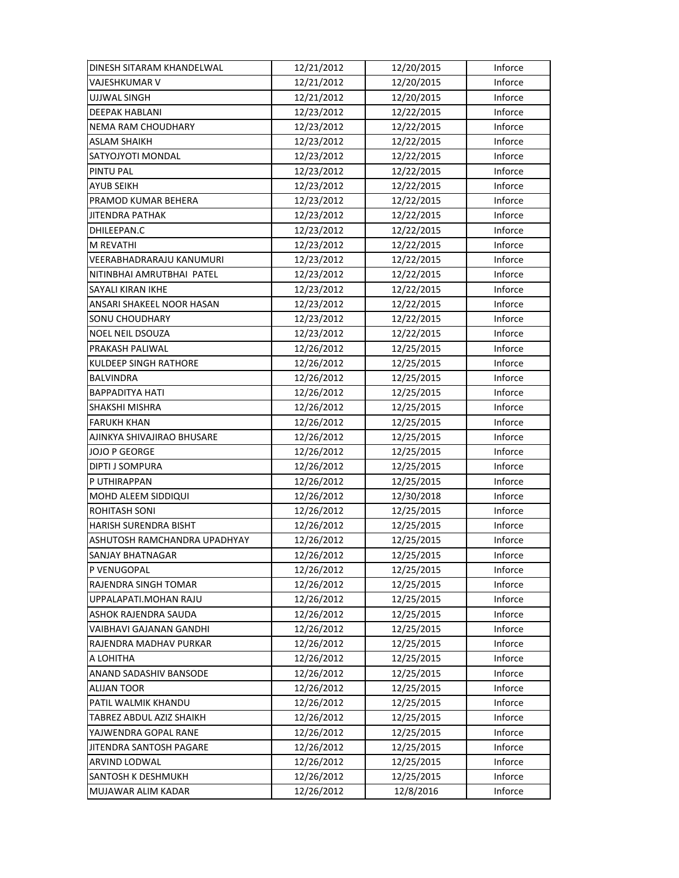| DINESH SITARAM KHANDELWAL    | 12/21/2012 | 12/20/2015 | Inforce |
|------------------------------|------------|------------|---------|
| VAJESHKUMAR V                | 12/21/2012 | 12/20/2015 | Inforce |
| <b>UJJWAL SINGH</b>          | 12/21/2012 | 12/20/2015 | Inforce |
| DEEPAK HABLANI               | 12/23/2012 | 12/22/2015 | Inforce |
| NEMA RAM CHOUDHARY           | 12/23/2012 | 12/22/2015 | Inforce |
| <b>ASLAM SHAIKH</b>          | 12/23/2012 | 12/22/2015 | Inforce |
| SATYOJYOTI MONDAL            | 12/23/2012 | 12/22/2015 | Inforce |
| <b>PINTU PAL</b>             | 12/23/2012 | 12/22/2015 | Inforce |
| <b>AYUB SEIKH</b>            | 12/23/2012 | 12/22/2015 | Inforce |
| PRAMOD KUMAR BEHERA          | 12/23/2012 | 12/22/2015 | Inforce |
| <b>JITENDRA PATHAK</b>       | 12/23/2012 | 12/22/2015 | Inforce |
| DHILEEPAN.C                  | 12/23/2012 | 12/22/2015 | Inforce |
| <b>M REVATHI</b>             | 12/23/2012 | 12/22/2015 | Inforce |
| VEERABHADRARAJU KANUMURI     | 12/23/2012 | 12/22/2015 | Inforce |
| NITINBHAI AMRUTBHAI PATEL    | 12/23/2012 | 12/22/2015 | Inforce |
| <b>SAYALI KIRAN IKHE</b>     | 12/23/2012 | 12/22/2015 | Inforce |
| ANSARI SHAKEEL NOOR HASAN    | 12/23/2012 | 12/22/2015 | Inforce |
| SONU CHOUDHARY               | 12/23/2012 | 12/22/2015 | Inforce |
| NOEL NEIL DSOUZA             | 12/23/2012 | 12/22/2015 | Inforce |
| PRAKASH PALIWAL              | 12/26/2012 | 12/25/2015 | Inforce |
| <b>KULDEEP SINGH RATHORE</b> | 12/26/2012 | 12/25/2015 | Inforce |
| <b>BALVINDRA</b>             | 12/26/2012 | 12/25/2015 | Inforce |
| <b>BAPPADITYA HATI</b>       | 12/26/2012 | 12/25/2015 | Inforce |
| SHAKSHI MISHRA               | 12/26/2012 | 12/25/2015 | Inforce |
| <b>FARUKH KHAN</b>           | 12/26/2012 | 12/25/2015 | Inforce |
| AJINKYA SHIVAJIRAO BHUSARE   | 12/26/2012 | 12/25/2015 | Inforce |
| JOJO P GEORGE                | 12/26/2012 | 12/25/2015 | Inforce |
| DIPTI J SOMPURA              | 12/26/2012 | 12/25/2015 | Inforce |
| P UTHIRAPPAN                 | 12/26/2012 | 12/25/2015 | Inforce |
| MOHD ALEEM SIDDIQUI          | 12/26/2012 | 12/30/2018 | Inforce |
| <b>ROHITASH SONI</b>         | 12/26/2012 | 12/25/2015 | Inforce |
| HARISH SURENDRA BISHT        | 12/26/2012 | 12/25/2015 | Inforce |
| ASHUTOSH RAMCHANDRA UPADHYAY | 12/26/2012 | 12/25/2015 | Inforce |
| SANJAY BHATNAGAR             | 12/26/2012 | 12/25/2015 | Inforce |
| P VENUGOPAL                  | 12/26/2012 | 12/25/2015 | Inforce |
| RAJENDRA SINGH TOMAR         | 12/26/2012 | 12/25/2015 | Inforce |
| UPPALAPATI.MOHAN RAJU        | 12/26/2012 | 12/25/2015 | Inforce |
| ASHOK RAJENDRA SAUDA         | 12/26/2012 | 12/25/2015 | Inforce |
| VAIBHAVI GAJANAN GANDHI      | 12/26/2012 | 12/25/2015 | Inforce |
| RAJENDRA MADHAV PURKAR       | 12/26/2012 | 12/25/2015 | Inforce |
| A LOHITHA                    | 12/26/2012 | 12/25/2015 | Inforce |
| ANAND SADASHIV BANSODE       | 12/26/2012 | 12/25/2015 | Inforce |
| <b>ALIJAN TOOR</b>           | 12/26/2012 | 12/25/2015 | Inforce |
| PATIL WALMIK KHANDU          | 12/26/2012 | 12/25/2015 | Inforce |
| TABREZ ABDUL AZIZ SHAIKH     | 12/26/2012 | 12/25/2015 | Inforce |
| YAJWENDRA GOPAL RANE         | 12/26/2012 | 12/25/2015 | Inforce |
| JITENDRA SANTOSH PAGARE      | 12/26/2012 | 12/25/2015 | Inforce |
| ARVIND LODWAL                | 12/26/2012 | 12/25/2015 | Inforce |
| SANTOSH K DESHMUKH           | 12/26/2012 | 12/25/2015 | Inforce |
| MUJAWAR ALIM KADAR           | 12/26/2012 | 12/8/2016  | Inforce |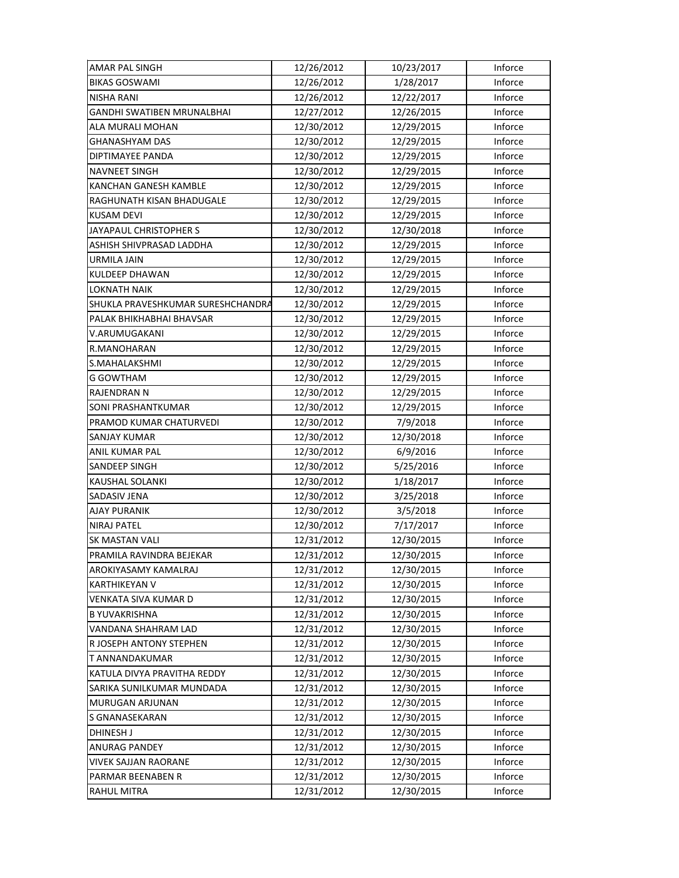| AMAR PAL SINGH                    | 12/26/2012 | 10/23/2017 | Inforce |
|-----------------------------------|------------|------------|---------|
| <b>BIKAS GOSWAMI</b>              | 12/26/2012 | 1/28/2017  | Inforce |
| <b>NISHA RANI</b>                 | 12/26/2012 | 12/22/2017 | Inforce |
| GANDHI SWATIBEN MRUNALBHAI        | 12/27/2012 | 12/26/2015 | Inforce |
| ALA MURALI MOHAN                  | 12/30/2012 | 12/29/2015 | Inforce |
| GHANASHYAM DAS                    | 12/30/2012 | 12/29/2015 | Inforce |
| DIPTIMAYEE PANDA                  | 12/30/2012 | 12/29/2015 | Inforce |
| <b>NAVNEET SINGH</b>              | 12/30/2012 | 12/29/2015 | Inforce |
| KANCHAN GANESH KAMBLE             | 12/30/2012 | 12/29/2015 | Inforce |
| RAGHUNATH KISAN BHADUGALE         | 12/30/2012 | 12/29/2015 | Inforce |
| <b>KUSAM DEVI</b>                 | 12/30/2012 | 12/29/2015 | Inforce |
| JAYAPAUL CHRISTOPHER S            | 12/30/2012 | 12/30/2018 | Inforce |
| ASHISH SHIVPRASAD LADDHA          | 12/30/2012 | 12/29/2015 | Inforce |
| <b>URMILA JAIN</b>                | 12/30/2012 | 12/29/2015 | Inforce |
| <b>KULDEEP DHAWAN</b>             | 12/30/2012 | 12/29/2015 | Inforce |
| <b>LOKNATH NAIK</b>               | 12/30/2012 | 12/29/2015 | Inforce |
| SHUKLA PRAVESHKUMAR SURESHCHANDRA | 12/30/2012 | 12/29/2015 | Inforce |
| PALAK BHIKHABHAI BHAVSAR          | 12/30/2012 | 12/29/2015 | Inforce |
| V.ARUMUGAKANI                     | 12/30/2012 | 12/29/2015 | Inforce |
| R.MANOHARAN                       | 12/30/2012 | 12/29/2015 | Inforce |
| S.MAHALAKSHMI                     | 12/30/2012 | 12/29/2015 | Inforce |
| G GOWTHAM                         | 12/30/2012 | 12/29/2015 | Inforce |
| <b>RAJENDRAN N</b>                | 12/30/2012 | 12/29/2015 | Inforce |
| SONI PRASHANTKUMAR                | 12/30/2012 | 12/29/2015 | Inforce |
| PRAMOD KUMAR CHATURVEDI           | 12/30/2012 | 7/9/2018   | Inforce |
| <b>SANJAY KUMAR</b>               | 12/30/2012 | 12/30/2018 | Inforce |
| ANIL KUMAR PAL                    | 12/30/2012 | 6/9/2016   | Inforce |
| SANDEEP SINGH                     | 12/30/2012 | 5/25/2016  | Inforce |
| KAUSHAL SOLANKI                   | 12/30/2012 | 1/18/2017  | Inforce |
| SADASIV JENA                      | 12/30/2012 | 3/25/2018  | Inforce |
| <b>AJAY PURANIK</b>               | 12/30/2012 | 3/5/2018   | Inforce |
| <b>NIRAJ PATEL</b>                | 12/30/2012 | 7/17/2017  | Inforce |
| <b>SK MASTAN VALI</b>             | 12/31/2012 | 12/30/2015 | Inforce |
| PRAMILA RAVINDRA BEJEKAR          | 12/31/2012 | 12/30/2015 | Inforce |
| AROKIYASAMY KAMALRAJ              | 12/31/2012 | 12/30/2015 | Inforce |
| <b>KARTHIKEYAN V</b>              | 12/31/2012 | 12/30/2015 | Inforce |
| VENKATA SIVA KUMAR D              | 12/31/2012 | 12/30/2015 | Inforce |
| <b>B YUVAKRISHNA</b>              | 12/31/2012 | 12/30/2015 | Inforce |
| VANDANA SHAHRAM LAD               | 12/31/2012 | 12/30/2015 | Inforce |
| R JOSEPH ANTONY STEPHEN           | 12/31/2012 | 12/30/2015 | Inforce |
| T ANNANDAKUMAR                    | 12/31/2012 | 12/30/2015 | Inforce |
| KATULA DIVYA PRAVITHA REDDY       | 12/31/2012 | 12/30/2015 | Inforce |
| SARIKA SUNILKUMAR MUNDADA         | 12/31/2012 | 12/30/2015 | Inforce |
| MURUGAN ARJUNAN                   | 12/31/2012 | 12/30/2015 | Inforce |
| S GNANASEKARAN                    | 12/31/2012 | 12/30/2015 | Inforce |
| DHINESH J                         | 12/31/2012 | 12/30/2015 | Inforce |
| <b>ANURAG PANDEY</b>              | 12/31/2012 | 12/30/2015 | Inforce |
| <b>VIVEK SAJJAN RAORANE</b>       | 12/31/2012 | 12/30/2015 | Inforce |
| PARMAR BEENABEN R                 | 12/31/2012 | 12/30/2015 | Inforce |
| RAHUL MITRA                       | 12/31/2012 | 12/30/2015 | Inforce |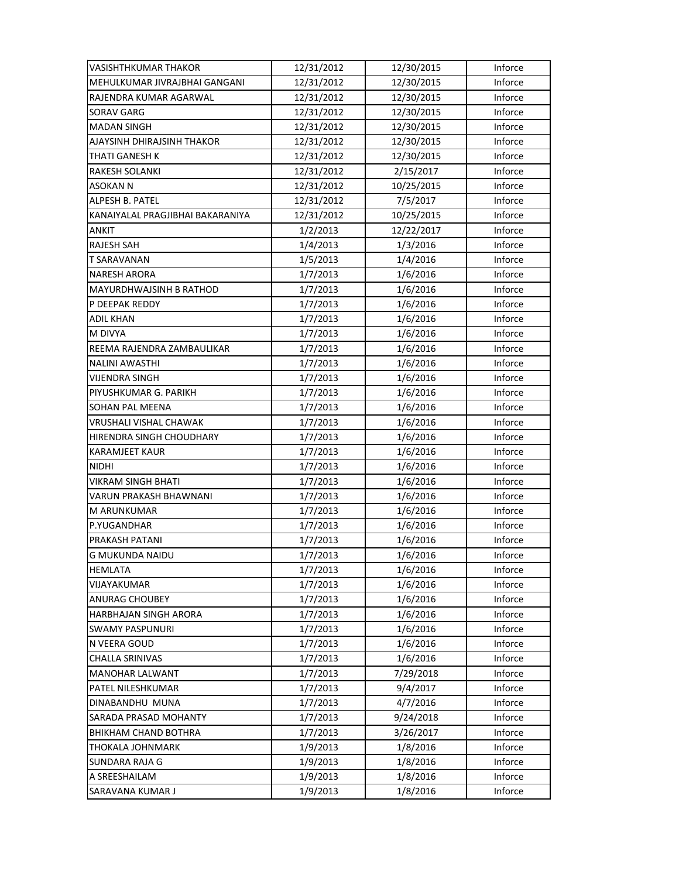| VASISHTHKUMAR THAKOR             | 12/31/2012 | 12/30/2015 | Inforce |
|----------------------------------|------------|------------|---------|
| MEHULKUMAR JIVRAJBHAI GANGANI    | 12/31/2012 | 12/30/2015 | Inforce |
| RAJENDRA KUMAR AGARWAL           | 12/31/2012 | 12/30/2015 | Inforce |
| SORAV GARG                       | 12/31/2012 | 12/30/2015 | Inforce |
| <b>MADAN SINGH</b>               | 12/31/2012 | 12/30/2015 | Inforce |
| AJAYSINH DHIRAJSINH THAKOR       | 12/31/2012 | 12/30/2015 | Inforce |
| THATI GANESH K                   | 12/31/2012 | 12/30/2015 | Inforce |
| RAKESH SOLANKI                   | 12/31/2012 | 2/15/2017  | Inforce |
| <b>ASOKAN N</b>                  | 12/31/2012 | 10/25/2015 | Inforce |
| ALPESH B. PATEL                  | 12/31/2012 | 7/5/2017   | Inforce |
| KANAIYALAL PRAGJIBHAI BAKARANIYA | 12/31/2012 | 10/25/2015 | Inforce |
| <b>ANKIT</b>                     | 1/2/2013   | 12/22/2017 | Inforce |
| RAJESH SAH                       | 1/4/2013   | 1/3/2016   | Inforce |
| T SARAVANAN                      | 1/5/2013   | 1/4/2016   | Inforce |
| <b>NARESH ARORA</b>              | 1/7/2013   | 1/6/2016   | Inforce |
| <b>MAYURDHWAJSINH B RATHOD</b>   | 1/7/2013   | 1/6/2016   | Inforce |
| P DEEPAK REDDY                   | 1/7/2013   | 1/6/2016   | Inforce |
| <b>ADIL KHAN</b>                 | 1/7/2013   | 1/6/2016   | Inforce |
| M DIVYA                          | 1/7/2013   | 1/6/2016   | Inforce |
| REEMA RAJENDRA ZAMBAULIKAR       | 1/7/2013   | 1/6/2016   | Inforce |
| <b>NALINI AWASTHI</b>            | 1/7/2013   | 1/6/2016   | Inforce |
| VIJENDRA SINGH                   | 1/7/2013   | 1/6/2016   | Inforce |
| PIYUSHKUMAR G. PARIKH            | 1/7/2013   | 1/6/2016   | Inforce |
| SOHAN PAL MEENA                  | 1/7/2013   | 1/6/2016   | Inforce |
| VRUSHALI VISHAL CHAWAK           | 1/7/2013   | 1/6/2016   | Inforce |
| HIRENDRA SINGH CHOUDHARY         | 1/7/2013   | 1/6/2016   | Inforce |
| <b>KARAMJEET KAUR</b>            | 1/7/2013   | 1/6/2016   | Inforce |
| NIDHI                            | 1/7/2013   | 1/6/2016   | Inforce |
| VIKRAM SINGH BHATI               | 1/7/2013   | 1/6/2016   | Inforce |
| <b>VARUN PRAKASH BHAWNANI</b>    | 1/7/2013   | 1/6/2016   | Inforce |
| M ARUNKUMAR                      | 1/7/2013   | 1/6/2016   | Inforce |
| P.YUGANDHAR                      | 1/7/2013   | 1/6/2016   | Inforce |
| PRAKASH PATANI                   | 1/7/2013   | 1/6/2016   | Inforce |
| <b>G MUKUNDA NAIDU</b>           | 1/7/2013   | 1/6/2016   | Inforce |
| <b>HEMLATA</b>                   | 1/7/2013   | 1/6/2016   | Inforce |
| VIJAYAKUMAR                      | 1/7/2013   | 1/6/2016   | Inforce |
| ANURAG CHOUBEY                   | 1/7/2013   | 1/6/2016   | Inforce |
| HARBHAJAN SINGH ARORA            | 1/7/2013   | 1/6/2016   | Inforce |
| <b>SWAMY PASPUNURI</b>           | 1/7/2013   | 1/6/2016   | Inforce |
| N VEERA GOUD                     | 1/7/2013   | 1/6/2016   | Inforce |
| <b>CHALLA SRINIVAS</b>           | 1/7/2013   | 1/6/2016   | Inforce |
| MANOHAR LALWANT                  | 1/7/2013   | 7/29/2018  | Inforce |
| PATEL NILESHKUMAR                | 1/7/2013   | 9/4/2017   | Inforce |
| DINABANDHU MUNA                  | 1/7/2013   | 4/7/2016   | Inforce |
| SARADA PRASAD MOHANTY            | 1/7/2013   | 9/24/2018  | Inforce |
| BHIKHAM CHAND BOTHRA             | 1/7/2013   | 3/26/2017  | Inforce |
| THOKALA JOHNMARK                 | 1/9/2013   | 1/8/2016   | Inforce |
| SUNDARA RAJA G                   | 1/9/2013   | 1/8/2016   | Inforce |
| A SREESHAILAM                    | 1/9/2013   | 1/8/2016   | Inforce |
| SARAVANA KUMAR J                 | 1/9/2013   | 1/8/2016   | Inforce |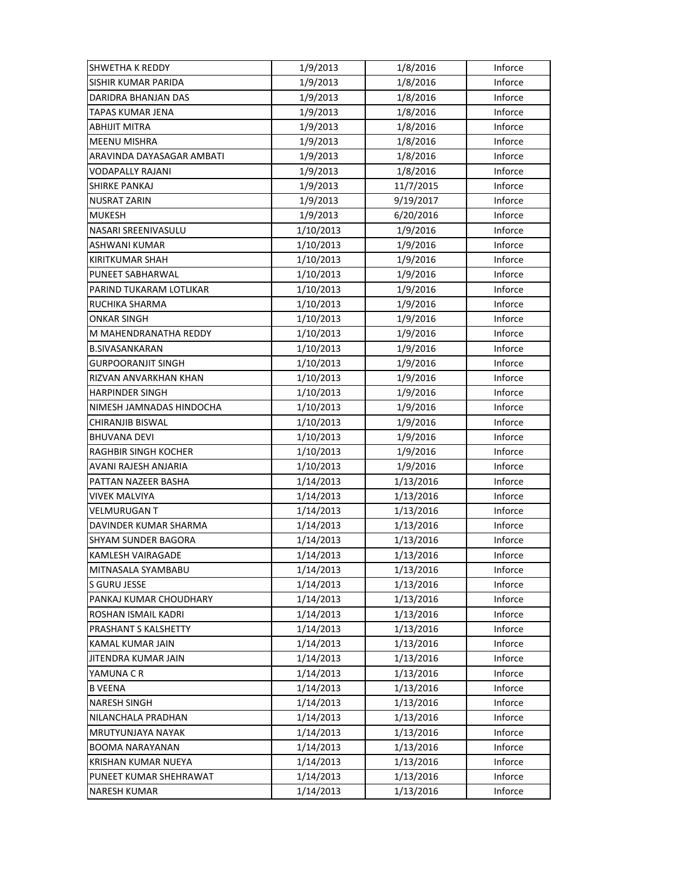| <b>SHWETHA K REDDY</b>     | 1/9/2013  | 1/8/2016  | Inforce |
|----------------------------|-----------|-----------|---------|
| <b>SISHIR KUMAR PARIDA</b> | 1/9/2013  | 1/8/2016  | Inforce |
| DARIDRA BHANJAN DAS        | 1/9/2013  | 1/8/2016  | Inforce |
| TAPAS KUMAR JENA           | 1/9/2013  | 1/8/2016  | Inforce |
| ABHIJIT MITRA              | 1/9/2013  | 1/8/2016  | Inforce |
| <b>MEENU MISHRA</b>        | 1/9/2013  | 1/8/2016  | Inforce |
| ARAVINDA DAYASAGAR AMBATI  | 1/9/2013  | 1/8/2016  | Inforce |
| VODAPALLY RAJANI           | 1/9/2013  | 1/8/2016  | Inforce |
| SHIRKE PANKAJ              | 1/9/2013  | 11/7/2015 | Inforce |
| NUSRAT ZARIN               | 1/9/2013  | 9/19/2017 | Inforce |
| <b>MUKESH</b>              | 1/9/2013  | 6/20/2016 | Inforce |
| NASARI SREENIVASULU        | 1/10/2013 | 1/9/2016  | Inforce |
| ASHWANI KUMAR              | 1/10/2013 | 1/9/2016  | Inforce |
| KIRITKUMAR SHAH            | 1/10/2013 | 1/9/2016  | Inforce |
| PUNEET SABHARWAL           | 1/10/2013 | 1/9/2016  | Inforce |
| PARIND TUKARAM LOTLIKAR    | 1/10/2013 | 1/9/2016  | Inforce |
| RUCHIKA SHARMA             | 1/10/2013 | 1/9/2016  | Inforce |
| ONKAR SINGH                | 1/10/2013 | 1/9/2016  | Inforce |
| M MAHENDRANATHA REDDY      | 1/10/2013 | 1/9/2016  | Inforce |
| <b>B.SIVASANKARAN</b>      | 1/10/2013 | 1/9/2016  | Inforce |
| <b>GURPOORANJIT SINGH</b>  | 1/10/2013 | 1/9/2016  | Inforce |
| RIZVAN ANVARKHAN KHAN      | 1/10/2013 | 1/9/2016  | Inforce |
| <b>HARPINDER SINGH</b>     | 1/10/2013 | 1/9/2016  | Inforce |
| NIMESH JAMNADAS HINDOCHA   | 1/10/2013 | 1/9/2016  | Inforce |
| CHIRANJIB BISWAL           | 1/10/2013 | 1/9/2016  | Inforce |
| <b>BHUVANA DEVI</b>        | 1/10/2013 | 1/9/2016  | Inforce |
| RAGHBIR SINGH KOCHER       | 1/10/2013 | 1/9/2016  | Inforce |
| AVANI RAJESH ANJARIA       | 1/10/2013 | 1/9/2016  | Inforce |
| PATTAN NAZEER BASHA        | 1/14/2013 | 1/13/2016 | Inforce |
| <b>VIVEK MALVIYA</b>       | 1/14/2013 | 1/13/2016 | Inforce |
| <b>VELMURUGAN T</b>        | 1/14/2013 | 1/13/2016 | Inforce |
| DAVINDER KUMAR SHARMA      | 1/14/2013 | 1/13/2016 | Inforce |
| <b>SHYAM SUNDER BAGORA</b> | 1/14/2013 | 1/13/2016 | Inforce |
| KAMLESH VAIRAGADE          | 1/14/2013 | 1/13/2016 | Inforce |
| MITNASALA SYAMBABU         | 1/14/2013 | 1/13/2016 | Inforce |
| S GURU JESSE               | 1/14/2013 | 1/13/2016 | Inforce |
| PANKAJ KUMAR CHOUDHARY     | 1/14/2013 | 1/13/2016 | Inforce |
| ROSHAN ISMAIL KADRI        | 1/14/2013 | 1/13/2016 | Inforce |
| PRASHANT S KALSHETTY       | 1/14/2013 | 1/13/2016 | Inforce |
| KAMAL KUMAR JAIN           | 1/14/2013 | 1/13/2016 | Inforce |
| JITENDRA KUMAR JAIN        | 1/14/2013 | 1/13/2016 | Inforce |
| YAMUNA C R                 | 1/14/2013 | 1/13/2016 | Inforce |
| <b>B VEENA</b>             | 1/14/2013 | 1/13/2016 | Inforce |
| <b>NARESH SINGH</b>        | 1/14/2013 | 1/13/2016 | Inforce |
| NILANCHALA PRADHAN         | 1/14/2013 | 1/13/2016 | Inforce |
| MRUTYUNJAYA NAYAK          | 1/14/2013 | 1/13/2016 | Inforce |
| <b>BOOMA NARAYANAN</b>     | 1/14/2013 | 1/13/2016 | Inforce |
| KRISHAN KUMAR NUEYA        | 1/14/2013 | 1/13/2016 | Inforce |
| PUNEET KUMAR SHEHRAWAT     | 1/14/2013 | 1/13/2016 | Inforce |
| <b>NARESH KUMAR</b>        | 1/14/2013 | 1/13/2016 | Inforce |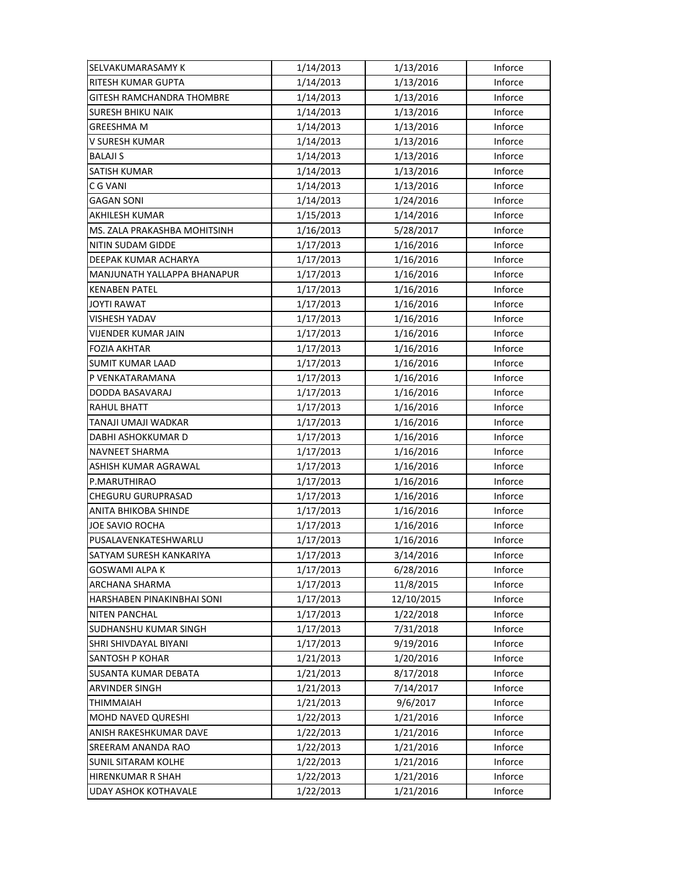| SELVAKUMARASAMY K                | 1/14/2013 | 1/13/2016  | Inforce |
|----------------------------------|-----------|------------|---------|
| RITESH KUMAR GUPTA               | 1/14/2013 | 1/13/2016  | Inforce |
| <b>GITESH RAMCHANDRA THOMBRE</b> | 1/14/2013 | 1/13/2016  | Inforce |
| <b>SURESH BHIKU NAIK</b>         | 1/14/2013 | 1/13/2016  | Inforce |
| <b>GREESHMA M</b>                | 1/14/2013 | 1/13/2016  | Inforce |
| V SURESH KUMAR                   | 1/14/2013 | 1/13/2016  | Inforce |
| <b>BALAJI S</b>                  | 1/14/2013 | 1/13/2016  | Inforce |
| <b>SATISH KUMAR</b>              | 1/14/2013 | 1/13/2016  | Inforce |
| C G VANI                         | 1/14/2013 | 1/13/2016  | Inforce |
| <b>GAGAN SONI</b>                | 1/14/2013 | 1/24/2016  | Inforce |
| AKHILESH KUMAR                   | 1/15/2013 | 1/14/2016  | Inforce |
| MS. ZALA PRAKASHBA MOHITSINH     | 1/16/2013 | 5/28/2017  | Inforce |
| NITIN SUDAM GIDDE                | 1/17/2013 | 1/16/2016  | Inforce |
| DEEPAK KUMAR ACHARYA             | 1/17/2013 | 1/16/2016  | Inforce |
| MANJUNATH YALLAPPA BHANAPUR      | 1/17/2013 | 1/16/2016  | Inforce |
| <b>KENABEN PATEL</b>             | 1/17/2013 | 1/16/2016  | Inforce |
| <b>JOYTI RAWAT</b>               | 1/17/2013 | 1/16/2016  | Inforce |
| <b>VISHESH YADAV</b>             | 1/17/2013 | 1/16/2016  | Inforce |
| VIJENDER KUMAR JAIN              | 1/17/2013 | 1/16/2016  | Inforce |
| <b>FOZIA AKHTAR</b>              | 1/17/2013 | 1/16/2016  | Inforce |
| <b>SUMIT KUMAR LAAD</b>          | 1/17/2013 | 1/16/2016  | Inforce |
| P VENKATARAMANA                  | 1/17/2013 | 1/16/2016  | Inforce |
| DODDA BASAVARAJ                  | 1/17/2013 | 1/16/2016  | Inforce |
| <b>RAHUL BHATT</b>               | 1/17/2013 | 1/16/2016  | Inforce |
| TANAJI UMAJI WADKAR              | 1/17/2013 | 1/16/2016  | Inforce |
| DABHI ASHOKKUMAR D               | 1/17/2013 | 1/16/2016  | Inforce |
| NAVNEET SHARMA                   | 1/17/2013 | 1/16/2016  | Inforce |
| ASHISH KUMAR AGRAWAL             | 1/17/2013 | 1/16/2016  | Inforce |
| P.MARUTHIRAO                     | 1/17/2013 | 1/16/2016  | Inforce |
| CHEGURU GURUPRASAD               | 1/17/2013 | 1/16/2016  | Inforce |
| ANITA BHIKOBA SHINDE             | 1/17/2013 | 1/16/2016  | Inforce |
| <b>JOE SAVIO ROCHA</b>           | 1/17/2013 | 1/16/2016  | Inforce |
| PUSALAVENKATESHWARLU             | 1/17/2013 | 1/16/2016  | Inforce |
| SATYAM SURESH KANKARIYA          | 1/17/2013 | 3/14/2016  | Inforce |
| GOSWAMI ALPA K                   | 1/17/2013 | 6/28/2016  | Inforce |
| ARCHANA SHARMA                   | 1/17/2013 | 11/8/2015  | Inforce |
| HARSHABEN PINAKINBHAI SONI       | 1/17/2013 | 12/10/2015 | Inforce |
| <b>NITEN PANCHAL</b>             | 1/17/2013 | 1/22/2018  | Inforce |
| SUDHANSHU KUMAR SINGH            | 1/17/2013 | 7/31/2018  | Inforce |
| SHRI SHIVDAYAL BIYANI            | 1/17/2013 | 9/19/2016  | Inforce |
| <b>SANTOSH P KOHAR</b>           | 1/21/2013 | 1/20/2016  | Inforce |
| SUSANTA KUMAR DEBATA             | 1/21/2013 | 8/17/2018  | Inforce |
| <b>ARVINDER SINGH</b>            | 1/21/2013 | 7/14/2017  | Inforce |
| THIMMAIAH                        | 1/21/2013 | 9/6/2017   | Inforce |
| <b>MOHD NAVED QURESHI</b>        | 1/22/2013 | 1/21/2016  | Inforce |
| ANISH RAKESHKUMAR DAVE           | 1/22/2013 | 1/21/2016  | Inforce |
| SREERAM ANANDA RAO               | 1/22/2013 | 1/21/2016  | Inforce |
| <b>SUNIL SITARAM KOLHE</b>       | 1/22/2013 | 1/21/2016  | Inforce |
| <b>HIRENKUMAR R SHAH</b>         | 1/22/2013 | 1/21/2016  | Inforce |
| <b>UDAY ASHOK KOTHAVALE</b>      | 1/22/2013 | 1/21/2016  | Inforce |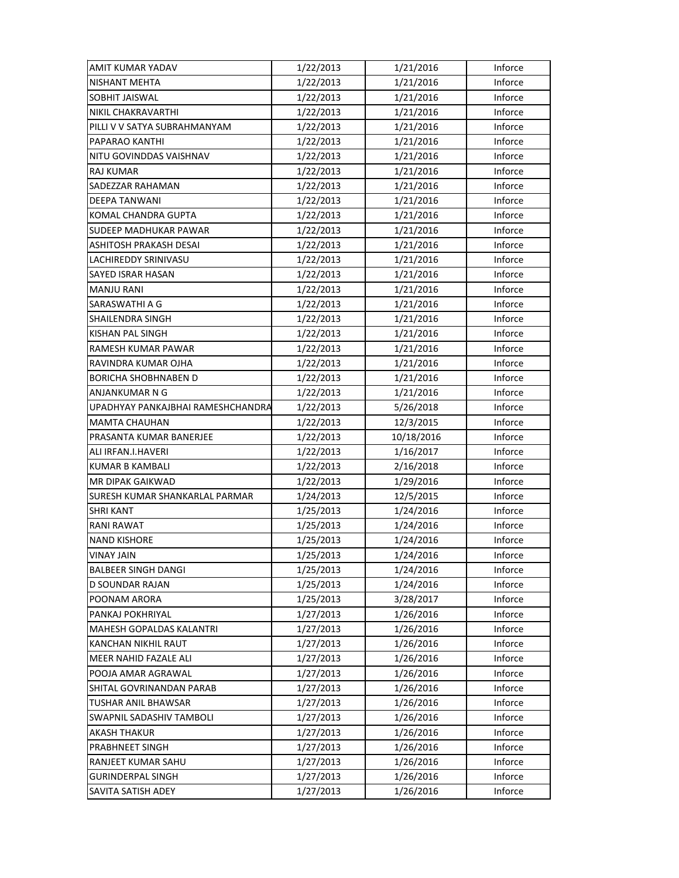| AMIT KUMAR YADAV                  | 1/22/2013 | 1/21/2016  | Inforce |
|-----------------------------------|-----------|------------|---------|
| <b>NISHANT MEHTA</b>              | 1/22/2013 | 1/21/2016  | Inforce |
| SOBHIT JAISWAL                    | 1/22/2013 | 1/21/2016  | Inforce |
| NIKIL CHAKRAVARTHI                | 1/22/2013 | 1/21/2016  | Inforce |
| PILLI V V SATYA SUBRAHMANYAM      | 1/22/2013 | 1/21/2016  | Inforce |
| PAPARAO KANTHI                    | 1/22/2013 | 1/21/2016  | Inforce |
| NITU GOVINDDAS VAISHNAV           | 1/22/2013 | 1/21/2016  | Inforce |
| <b>RAJ KUMAR</b>                  | 1/22/2013 | 1/21/2016  | Inforce |
| SADEZZAR RAHAMAN                  | 1/22/2013 | 1/21/2016  | Inforce |
| DEEPA TANWANI                     | 1/22/2013 | 1/21/2016  | Inforce |
| KOMAL CHANDRA GUPTA               | 1/22/2013 | 1/21/2016  | Inforce |
| <b>SUDEEP MADHUKAR PAWAR</b>      | 1/22/2013 | 1/21/2016  | Inforce |
| ASHITOSH PRAKASH DESAI            | 1/22/2013 | 1/21/2016  | Inforce |
| LACHIREDDY SRINIVASU              | 1/22/2013 | 1/21/2016  | Inforce |
| SAYED ISRAR HASAN                 | 1/22/2013 | 1/21/2016  | Inforce |
| <b>MANJU RANI</b>                 | 1/22/2013 | 1/21/2016  | Inforce |
| SARASWATHI A G                    | 1/22/2013 | 1/21/2016  | Inforce |
| SHAILENDRA SINGH                  | 1/22/2013 | 1/21/2016  | Inforce |
| KISHAN PAL SINGH                  | 1/22/2013 | 1/21/2016  | Inforce |
| RAMESH KUMAR PAWAR                | 1/22/2013 | 1/21/2016  | Inforce |
| RAVINDRA KUMAR OJHA               | 1/22/2013 | 1/21/2016  | Inforce |
| <b>BORICHA SHOBHNABEN D</b>       | 1/22/2013 | 1/21/2016  | Inforce |
| ANJANKUMAR N G                    | 1/22/2013 | 1/21/2016  | Inforce |
| UPADHYAY PANKAJBHAI RAMESHCHANDRA | 1/22/2013 | 5/26/2018  | Inforce |
| <b>MAMTA CHAUHAN</b>              | 1/22/2013 | 12/3/2015  | Inforce |
| PRASANTA KUMAR BANERJEE           | 1/22/2013 | 10/18/2016 | Inforce |
| ALI IRFAN.I.HAVERI                | 1/22/2013 | 1/16/2017  | Inforce |
| KUMAR B KAMBALI                   | 1/22/2013 | 2/16/2018  | Inforce |
| MR DIPAK GAIKWAD                  | 1/22/2013 | 1/29/2016  | Inforce |
| SURESH KUMAR SHANKARLAL PARMAR    | 1/24/2013 | 12/5/2015  | Inforce |
|                                   |           |            |         |
| <b>SHRI KANT</b>                  | 1/25/2013 | 1/24/2016  | Inforce |
| <b>RANI RAWAT</b>                 | 1/25/2013 | 1/24/2016  | Inforce |
| <b>NAND KISHORE</b>               | 1/25/2013 | 1/24/2016  | Inforce |
| <b>VINAY JAIN</b>                 | 1/25/2013 | 1/24/2016  | Inforce |
| <b>BALBEER SINGH DANGI</b>        | 1/25/2013 | 1/24/2016  | Inforce |
| D SOUNDAR RAJAN                   | 1/25/2013 | 1/24/2016  | Inforce |
| POONAM ARORA                      | 1/25/2013 | 3/28/2017  | Inforce |
| PANKAJ POKHRIYAL                  | 1/27/2013 | 1/26/2016  | Inforce |
| <b>MAHESH GOPALDAS KALANTRI</b>   | 1/27/2013 | 1/26/2016  | Inforce |
| KANCHAN NIKHIL RAUT               | 1/27/2013 | 1/26/2016  | Inforce |
| MEER NAHID FAZALE ALI             | 1/27/2013 | 1/26/2016  | Inforce |
| POOJA AMAR AGRAWAL                | 1/27/2013 | 1/26/2016  | Inforce |
| SHITAL GOVRINANDAN PARAB          | 1/27/2013 | 1/26/2016  | Inforce |
| TUSHAR ANIL BHAWSAR               | 1/27/2013 | 1/26/2016  | Inforce |
| SWAPNIL SADASHIV TAMBOLI          | 1/27/2013 | 1/26/2016  | Inforce |
| AKASH THAKUR                      | 1/27/2013 | 1/26/2016  | Inforce |
| PRABHNEET SINGH                   | 1/27/2013 | 1/26/2016  | Inforce |
| RANJEET KUMAR SAHU                | 1/27/2013 | 1/26/2016  | Inforce |
| <b>GURINDERPAL SINGH</b>          | 1/27/2013 | 1/26/2016  | Inforce |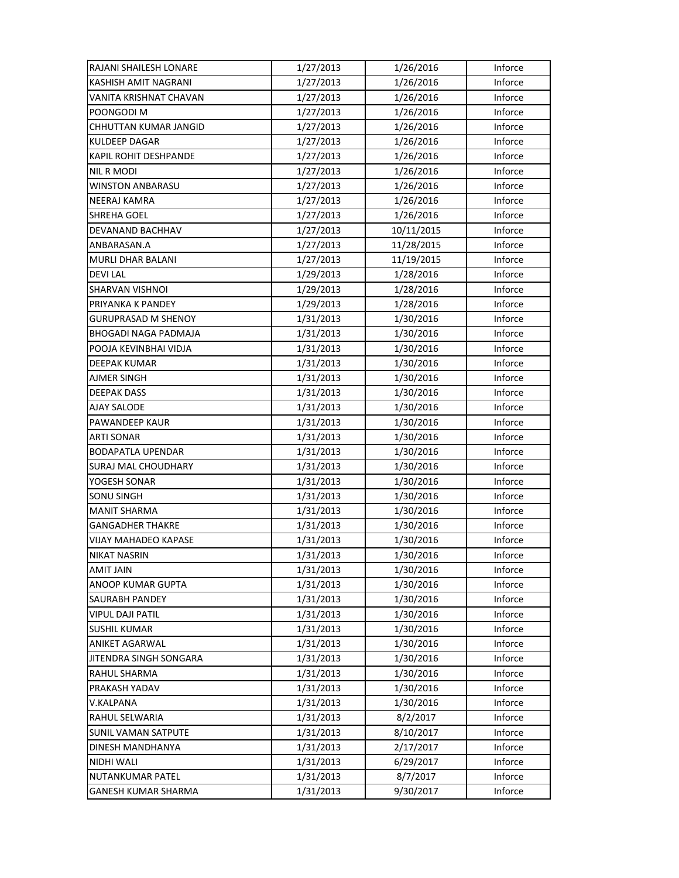| RAJANI SHAILESH LONARE      | 1/27/2013 | 1/26/2016  | Inforce |
|-----------------------------|-----------|------------|---------|
| KASHISH AMIT NAGRANI        | 1/27/2013 | 1/26/2016  | Inforce |
| VANITA KRISHNAT CHAVAN      | 1/27/2013 | 1/26/2016  | Inforce |
| POONGODI M                  | 1/27/2013 | 1/26/2016  | Inforce |
| CHHUTTAN KUMAR JANGID       | 1/27/2013 | 1/26/2016  | Inforce |
| <b>KULDEEP DAGAR</b>        | 1/27/2013 | 1/26/2016  | Inforce |
| KAPIL ROHIT DESHPANDE       | 1/27/2013 | 1/26/2016  | Inforce |
| NIL R MODI                  | 1/27/2013 | 1/26/2016  | Inforce |
| <b>WINSTON ANBARASU</b>     | 1/27/2013 | 1/26/2016  | Inforce |
| NEERAJ KAMRA                | 1/27/2013 | 1/26/2016  | Inforce |
| <b>SHREHA GOEL</b>          | 1/27/2013 | 1/26/2016  | Inforce |
| DEVANAND BACHHAV            | 1/27/2013 | 10/11/2015 | Inforce |
| ANBARASAN.A                 | 1/27/2013 | 11/28/2015 | Inforce |
| MURLI DHAR BALANI           | 1/27/2013 | 11/19/2015 | Inforce |
| <b>DEVILAL</b>              | 1/29/2013 | 1/28/2016  | Inforce |
| <b>SHARVAN VISHNOI</b>      | 1/29/2013 | 1/28/2016  | Inforce |
| PRIYANKA K PANDEY           | 1/29/2013 | 1/28/2016  | Inforce |
| <b>GURUPRASAD M SHENOY</b>  | 1/31/2013 | 1/30/2016  | Inforce |
| BHOGADI NAGA PADMAJA        | 1/31/2013 | 1/30/2016  | Inforce |
| POOJA KEVINBHAI VIDJA       | 1/31/2013 | 1/30/2016  | Inforce |
| DEEPAK KUMAR                | 1/31/2013 | 1/30/2016  | Inforce |
| AJMER SINGH                 | 1/31/2013 | 1/30/2016  | Inforce |
| <b>DEEPAK DASS</b>          | 1/31/2013 | 1/30/2016  | Inforce |
| <b>AJAY SALODE</b>          | 1/31/2013 | 1/30/2016  | Inforce |
| PAWANDEEP KAUR              | 1/31/2013 | 1/30/2016  | Inforce |
| <b>ARTI SONAR</b>           | 1/31/2013 | 1/30/2016  | Inforce |
| <b>BODAPATLA UPENDAR</b>    | 1/31/2013 | 1/30/2016  | Inforce |
| SURAJ MAL CHOUDHARY         | 1/31/2013 | 1/30/2016  | Inforce |
| YOGESH SONAR                | 1/31/2013 | 1/30/2016  | Inforce |
| SONU SINGH                  | 1/31/2013 | 1/30/2016  | Inforce |
| <b>MANIT SHARMA</b>         | 1/31/2013 | 1/30/2016  | Inforce |
| <b>GANGADHER THAKRE</b>     | 1/31/2013 | 1/30/2016  | Inforce |
| <b>VIJAY MAHADEO KAPASE</b> | 1/31/2013 | 1/30/2016  | Inforce |
| NIKAT NASRIN                | 1/31/2013 | 1/30/2016  | Inforce |
| <b>AMIT JAIN</b>            | 1/31/2013 | 1/30/2016  | Inforce |
| ANOOP KUMAR GUPTA           | 1/31/2013 | 1/30/2016  | Inforce |
| SAURABH PANDEY              | 1/31/2013 | 1/30/2016  | Inforce |
| <b>VIPUL DAJI PATIL</b>     | 1/31/2013 | 1/30/2016  | Inforce |
| <b>SUSHIL KUMAR</b>         | 1/31/2013 | 1/30/2016  | Inforce |
| <b>ANIKET AGARWAL</b>       | 1/31/2013 | 1/30/2016  | Inforce |
| JITENDRA SINGH SONGARA      | 1/31/2013 | 1/30/2016  | Inforce |
| RAHUL SHARMA                | 1/31/2013 | 1/30/2016  | Inforce |
| PRAKASH YADAV               | 1/31/2013 | 1/30/2016  | Inforce |
| V.KALPANA                   | 1/31/2013 | 1/30/2016  | Inforce |
| RAHUL SELWARIA              | 1/31/2013 | 8/2/2017   | Inforce |
| SUNIL VAMAN SATPUTE         | 1/31/2013 | 8/10/2017  | Inforce |
| DINESH MANDHANYA            | 1/31/2013 | 2/17/2017  | Inforce |
| NIDHI WALI                  | 1/31/2013 | 6/29/2017  | Inforce |
| <b>NUTANKUMAR PATEL</b>     | 1/31/2013 | 8/7/2017   | Inforce |
| GANESH KUMAR SHARMA         | 1/31/2013 | 9/30/2017  | Inforce |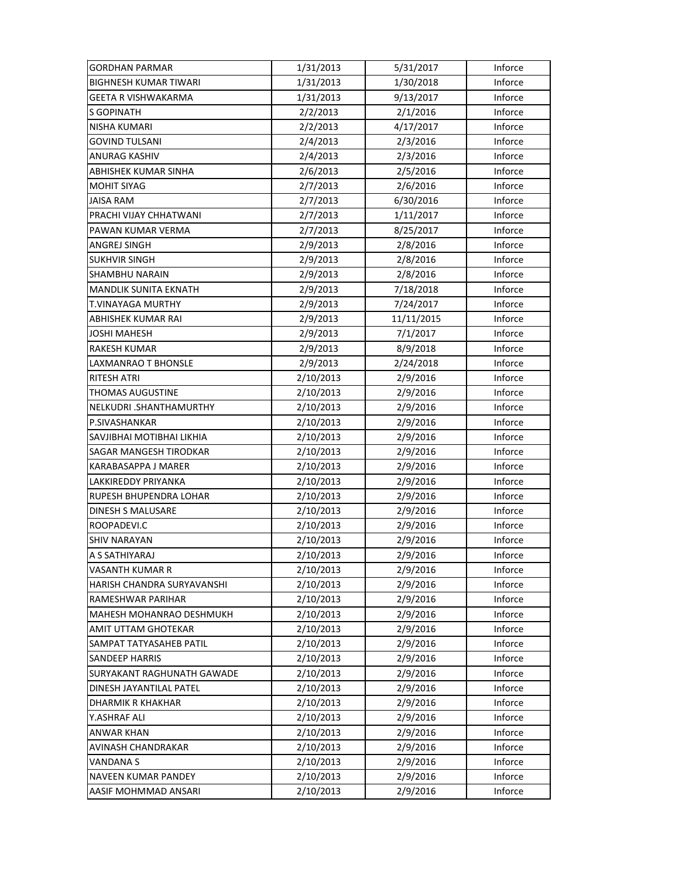| <b>GORDHAN PARMAR</b>           | 1/31/2013 | 5/31/2017  | Inforce |
|---------------------------------|-----------|------------|---------|
| <b>BIGHNESH KUMAR TIWARI</b>    | 1/31/2013 | 1/30/2018  | Inforce |
| GEETA R VISHWAKARMA             | 1/31/2013 | 9/13/2017  | Inforce |
| S GOPINATH                      | 2/2/2013  | 2/1/2016   | Inforce |
| NISHA KUMARI                    | 2/2/2013  | 4/17/2017  | Inforce |
| <b>GOVIND TULSANI</b>           | 2/4/2013  | 2/3/2016   | Inforce |
| <b>ANURAG KASHIV</b>            | 2/4/2013  | 2/3/2016   | Inforce |
| ABHISHEK KUMAR SINHA            | 2/6/2013  | 2/5/2016   | Inforce |
| <b>MOHIT SIYAG</b>              | 2/7/2013  | 2/6/2016   | Inforce |
| JAISA RAM                       | 2/7/2013  | 6/30/2016  | Inforce |
| PRACHI VIJAY CHHATWANI          | 2/7/2013  | 1/11/2017  | Inforce |
| PAWAN KUMAR VERMA               | 2/7/2013  | 8/25/2017  | Inforce |
| ANGREJ SINGH                    | 2/9/2013  | 2/8/2016   | Inforce |
| <b>SUKHVIR SINGH</b>            | 2/9/2013  | 2/8/2016   | Inforce |
| SHAMBHU NARAIN                  | 2/9/2013  | 2/8/2016   | Inforce |
| <b>MANDLIK SUNITA EKNATH</b>    | 2/9/2013  | 7/18/2018  | Inforce |
| <b>T.VINAYAGA MURTHY</b>        | 2/9/2013  | 7/24/2017  | Inforce |
| ABHISHEK KUMAR RAI              | 2/9/2013  | 11/11/2015 | Inforce |
| JOSHI MAHESH                    | 2/9/2013  | 7/1/2017   | Inforce |
| <b>RAKESH KUMAR</b>             | 2/9/2013  | 8/9/2018   | Inforce |
| LAXMANRAO T BHONSLE             | 2/9/2013  | 2/24/2018  | Inforce |
| <b>RITESH ATRI</b>              | 2/10/2013 | 2/9/2016   | Inforce |
| <b>THOMAS AUGUSTINE</b>         | 2/10/2013 | 2/9/2016   | Inforce |
| NELKUDRI .SHANTHAMURTHY         | 2/10/2013 | 2/9/2016   | Inforce |
| P.SIVASHANKAR                   | 2/10/2013 | 2/9/2016   | Inforce |
| SAVJIBHAI MOTIBHAI LIKHIA       | 2/10/2013 | 2/9/2016   | Inforce |
| <b>SAGAR MANGESH TIRODKAR</b>   | 2/10/2013 | 2/9/2016   | Inforce |
| KARABASAPPA J MARER             | 2/10/2013 | 2/9/2016   | Inforce |
| LAKKIREDDY PRIYANKA             | 2/10/2013 | 2/9/2016   | Inforce |
| RUPESH BHUPENDRA LOHAR          | 2/10/2013 | 2/9/2016   | Inforce |
| DINESH S MALUSARE               | 2/10/2013 | 2/9/2016   | Inforce |
| ROOPADEVI.C                     | 2/10/2013 | 2/9/2016   | Inforce |
| <b>SHIV NARAYAN</b>             | 2/10/2013 | 2/9/2016   | Inforce |
| A S SATHIYARAJ                  | 2/10/2013 | 2/9/2016   | Inforce |
| VASANTH KUMAR R                 | 2/10/2013 | 2/9/2016   | Inforce |
| HARISH CHANDRA SURYAVANSHI      | 2/10/2013 | 2/9/2016   | Inforce |
| RAMESHWAR PARIHAR               | 2/10/2013 | 2/9/2016   | Inforce |
| <b>MAHESH MOHANRAO DESHMUKH</b> | 2/10/2013 | 2/9/2016   | Inforce |
| AMIT UTTAM GHOTEKAR             | 2/10/2013 | 2/9/2016   | Inforce |
| SAMPAT TATYASAHEB PATIL         | 2/10/2013 | 2/9/2016   | Inforce |
| <b>SANDEEP HARRIS</b>           | 2/10/2013 | 2/9/2016   | Inforce |
| SURYAKANT RAGHUNATH GAWADE      | 2/10/2013 | 2/9/2016   | Inforce |
| DINESH JAYANTILAL PATEL         | 2/10/2013 | 2/9/2016   | Inforce |
| DHARMIK R KHAKHAR               | 2/10/2013 | 2/9/2016   | Inforce |
| Y.ASHRAF ALI                    | 2/10/2013 | 2/9/2016   | Inforce |
| ANWAR KHAN                      | 2/10/2013 | 2/9/2016   | Inforce |
| AVINASH CHANDRAKAR              | 2/10/2013 | 2/9/2016   | Inforce |
| <b>VANDANAS</b>                 | 2/10/2013 | 2/9/2016   | Inforce |
| <b>NAVEEN KUMAR PANDEY</b>      | 2/10/2013 | 2/9/2016   | Inforce |
| AASIF MOHMMAD ANSARI            | 2/10/2013 | 2/9/2016   | Inforce |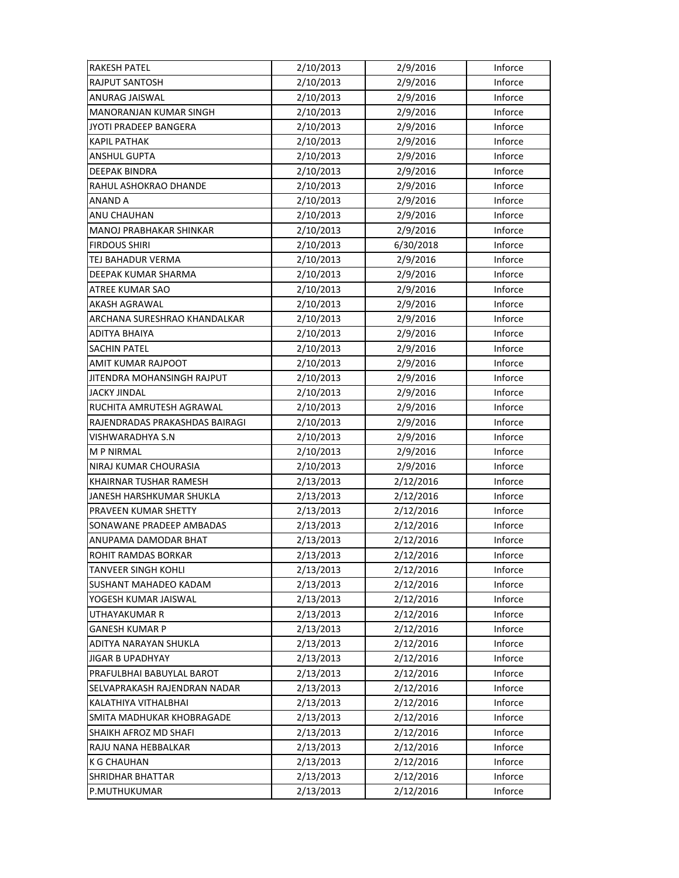| <b>RAKESH PATEL</b>            | 2/10/2013 | 2/9/2016  | Inforce |
|--------------------------------|-----------|-----------|---------|
| <b>RAJPUT SANTOSH</b>          | 2/10/2013 | 2/9/2016  | Inforce |
| ANURAG JAISWAL                 | 2/10/2013 | 2/9/2016  | Inforce |
| <b>MANORANJAN KUMAR SINGH</b>  | 2/10/2013 | 2/9/2016  | Inforce |
| JYOTI PRADEEP BANGERA          | 2/10/2013 | 2/9/2016  | Inforce |
| <b>KAPIL PATHAK</b>            | 2/10/2013 | 2/9/2016  | Inforce |
| <b>ANSHUL GUPTA</b>            | 2/10/2013 | 2/9/2016  | Inforce |
| <b>DEEPAK BINDRA</b>           | 2/10/2013 | 2/9/2016  | Inforce |
| RAHUL ASHOKRAO DHANDE          | 2/10/2013 | 2/9/2016  | Inforce |
| ANAND A                        | 2/10/2013 | 2/9/2016  | Inforce |
| ANU CHAUHAN                    | 2/10/2013 | 2/9/2016  | Inforce |
| MANOJ PRABHAKAR SHINKAR        | 2/10/2013 | 2/9/2016  | Inforce |
| <b>FIRDOUS SHIRI</b>           | 2/10/2013 | 6/30/2018 | Inforce |
| TEJ BAHADUR VERMA              | 2/10/2013 | 2/9/2016  | Inforce |
| DEEPAK KUMAR SHARMA            | 2/10/2013 | 2/9/2016  | Inforce |
| <b>ATREE KUMAR SAO</b>         | 2/10/2013 | 2/9/2016  | Inforce |
| AKASH AGRAWAL                  | 2/10/2013 | 2/9/2016  | Inforce |
| ARCHANA SURESHRAO KHANDALKAR   | 2/10/2013 | 2/9/2016  | Inforce |
| ADITYA BHAIYA                  | 2/10/2013 | 2/9/2016  | Inforce |
| <b>SACHIN PATEL</b>            | 2/10/2013 | 2/9/2016  | Inforce |
| AMIT KUMAR RAJPOOT             | 2/10/2013 | 2/9/2016  | Inforce |
| JITENDRA MOHANSINGH RAJPUT     | 2/10/2013 | 2/9/2016  | Inforce |
| JACKY JINDAL                   | 2/10/2013 | 2/9/2016  | Inforce |
| RUCHITA AMRUTESH AGRAWAL       | 2/10/2013 | 2/9/2016  | Inforce |
| RAJENDRADAS PRAKASHDAS BAIRAGI | 2/10/2013 | 2/9/2016  | Inforce |
| VISHWARADHYA S.N               | 2/10/2013 | 2/9/2016  | Inforce |
| <b>MP NIRMAL</b>               | 2/10/2013 | 2/9/2016  | Inforce |
| NIRAJ KUMAR CHOURASIA          | 2/10/2013 | 2/9/2016  | Inforce |
| KHAIRNAR TUSHAR RAMESH         | 2/13/2013 | 2/12/2016 | Inforce |
| JANESH HARSHKUMAR SHUKLA       | 2/13/2013 | 2/12/2016 | Inforce |
| PRAVEEN KUMAR SHETTY           | 2/13/2013 | 2/12/2016 | Inforce |
| SONAWANE PRADEEP AMBADAS       | 2/13/2013 | 2/12/2016 | Inforce |
| ANUPAMA DAMODAR BHAT           | 2/13/2013 | 2/12/2016 | Inforce |
| ROHIT RAMDAS BORKAR            | 2/13/2013 | 2/12/2016 | Inforce |
| <b>TANVEER SINGH KOHLI</b>     | 2/13/2013 | 2/12/2016 | Inforce |
| SUSHANT MAHADEO KADAM          | 2/13/2013 | 2/12/2016 | Inforce |
| YOGESH KUMAR JAISWAL           | 2/13/2013 | 2/12/2016 | Inforce |
| UTHAYAKUMAR R                  | 2/13/2013 | 2/12/2016 | Inforce |
| <b>GANESH KUMAR P</b>          | 2/13/2013 | 2/12/2016 | Inforce |
| ADITYA NARAYAN SHUKLA          | 2/13/2013 | 2/12/2016 | Inforce |
| <b>JIGAR B UPADHYAY</b>        | 2/13/2013 | 2/12/2016 | Inforce |
| PRAFULBHAI BABUYLAL BAROT      | 2/13/2013 | 2/12/2016 | Inforce |
| SELVAPRAKASH RAJENDRAN NADAR   | 2/13/2013 | 2/12/2016 | Inforce |
| KALATHIYA VITHALBHAI           | 2/13/2013 | 2/12/2016 | Inforce |
| SMITA MADHUKAR KHOBRAGADE      | 2/13/2013 | 2/12/2016 | Inforce |
| SHAIKH AFROZ MD SHAFI          | 2/13/2013 | 2/12/2016 | Inforce |
| RAJU NANA HEBBALKAR            | 2/13/2013 | 2/12/2016 | Inforce |
| <b>K G CHAUHAN</b>             | 2/13/2013 | 2/12/2016 | Inforce |
| SHRIDHAR BHATTAR               | 2/13/2013 | 2/12/2016 | Inforce |
| P.MUTHUKUMAR                   | 2/13/2013 | 2/12/2016 | Inforce |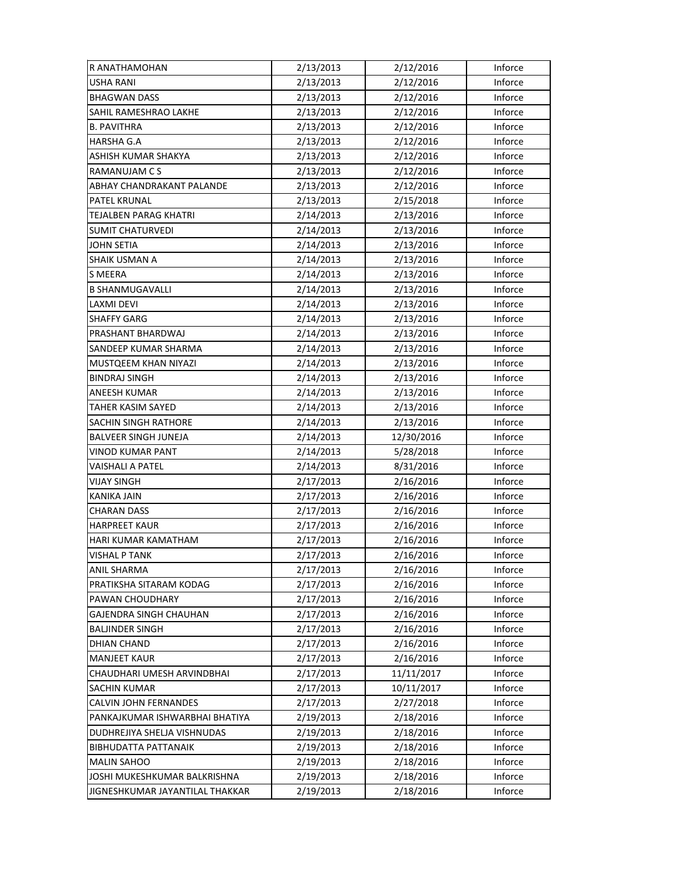| R ANATHAMOHAN                   | 2/13/2013 | 2/12/2016  | Inforce |
|---------------------------------|-----------|------------|---------|
| <b>USHA RANI</b>                | 2/13/2013 | 2/12/2016  | Inforce |
| <b>BHAGWAN DASS</b>             | 2/13/2013 | 2/12/2016  | Inforce |
| SAHIL RAMESHRAO LAKHE           | 2/13/2013 | 2/12/2016  | Inforce |
| <b>B. PAVITHRA</b>              | 2/13/2013 | 2/12/2016  | Inforce |
| <b>HARSHA G.A</b>               | 2/13/2013 | 2/12/2016  | Inforce |
| ASHISH KUMAR SHAKYA             | 2/13/2013 | 2/12/2016  | Inforce |
| RAMANUJAM C S                   | 2/13/2013 | 2/12/2016  | Inforce |
| ABHAY CHANDRAKANT PALANDE       | 2/13/2013 | 2/12/2016  | Inforce |
| PATEL KRUNAL                    | 2/13/2013 | 2/15/2018  | Inforce |
| <b>TEJALBEN PARAG KHATRI</b>    | 2/14/2013 | 2/13/2016  | Inforce |
| SUMIT CHATURVEDI                | 2/14/2013 | 2/13/2016  | Inforce |
| <b>JOHN SETIA</b>               | 2/14/2013 | 2/13/2016  | Inforce |
| SHAIK USMAN A                   | 2/14/2013 | 2/13/2016  | Inforce |
| <b>S MEERA</b>                  | 2/14/2013 | 2/13/2016  | Inforce |
| <b>B SHANMUGAVALLI</b>          | 2/14/2013 | 2/13/2016  | Inforce |
| <b>LAXMI DEVI</b>               | 2/14/2013 | 2/13/2016  | Inforce |
| <b>SHAFFY GARG</b>              | 2/14/2013 | 2/13/2016  | Inforce |
| PRASHANT BHARDWAJ               | 2/14/2013 | 2/13/2016  | Inforce |
| SANDEEP KUMAR SHARMA            | 2/14/2013 | 2/13/2016  | Inforce |
| MUSTQEEM KHAN NIYAZI            | 2/14/2013 | 2/13/2016  | Inforce |
| <b>BINDRAJ SINGH</b>            | 2/14/2013 | 2/13/2016  | Inforce |
| ANEESH KUMAR                    | 2/14/2013 | 2/13/2016  | Inforce |
| TAHER KASIM SAYED               | 2/14/2013 | 2/13/2016  | Inforce |
| SACHIN SINGH RATHORE            | 2/14/2013 | 2/13/2016  | Inforce |
| <b>BALVEER SINGH JUNEJA</b>     | 2/14/2013 | 12/30/2016 | Inforce |
| <b>VINOD KUMAR PANT</b>         | 2/14/2013 | 5/28/2018  | Inforce |
| VAISHALI A PATEL                | 2/14/2013 | 8/31/2016  | Inforce |
| VIJAY SINGH                     | 2/17/2013 | 2/16/2016  | Inforce |
| <b>KANIKA JAIN</b>              | 2/17/2013 | 2/16/2016  | Inforce |
| <b>CHARAN DASS</b>              | 2/17/2013 | 2/16/2016  | Inforce |
| <b>HARPREET KAUR</b>            | 2/17/2013 | 2/16/2016  | Inforce |
| HARI KUMAR KAMATHAM             | 2/17/2013 | 2/16/2016  | Inforce |
| <b>VISHAL P TANK</b>            | 2/17/2013 | 2/16/2016  | Inforce |
| ANIL SHARMA                     | 2/17/2013 | 2/16/2016  | Inforce |
| PRATIKSHA SITARAM KODAG         | 2/17/2013 | 2/16/2016  | Inforce |
| PAWAN CHOUDHARY                 | 2/17/2013 | 2/16/2016  | Inforce |
| GAJENDRA SINGH CHAUHAN          | 2/17/2013 | 2/16/2016  | Inforce |
| <b>BALJINDER SINGH</b>          | 2/17/2013 | 2/16/2016  | Inforce |
| <b>DHIAN CHAND</b>              | 2/17/2013 | 2/16/2016  | Inforce |
| <b>MANJEET KAUR</b>             | 2/17/2013 | 2/16/2016  | Inforce |
| CHAUDHARI UMESH ARVINDBHAI      | 2/17/2013 | 11/11/2017 | Inforce |
| SACHIN KUMAR                    | 2/17/2013 | 10/11/2017 | Inforce |
| CALVIN JOHN FERNANDES           | 2/17/2013 | 2/27/2018  | Inforce |
| PANKAJKUMAR ISHWARBHAI BHATIYA  | 2/19/2013 | 2/18/2016  | Inforce |
| DUDHREJIYA SHELJA VISHNUDAS     | 2/19/2013 | 2/18/2016  | Inforce |
| <b>BIBHUDATTA PATTANAIK</b>     | 2/19/2013 | 2/18/2016  | Inforce |
| <b>MALIN SAHOO</b>              | 2/19/2013 | 2/18/2016  | Inforce |
| JOSHI MUKESHKUMAR BALKRISHNA    | 2/19/2013 | 2/18/2016  | Inforce |
| JIGNESHKUMAR JAYANTILAL THAKKAR | 2/19/2013 | 2/18/2016  | Inforce |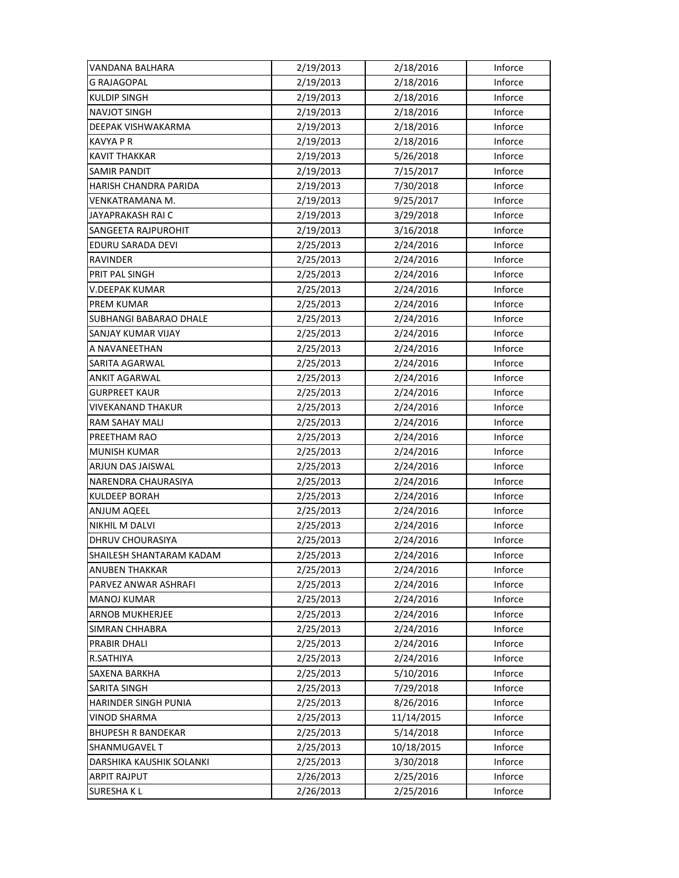| VANDANA BALHARA               | 2/19/2013 | 2/18/2016  | Inforce |
|-------------------------------|-----------|------------|---------|
| <b>G RAJAGOPAL</b>            | 2/19/2013 | 2/18/2016  | Inforce |
| KULDIP SINGH                  | 2/19/2013 | 2/18/2016  | Inforce |
| <b>NAVJOT SINGH</b>           | 2/19/2013 | 2/18/2016  | Inforce |
| DEEPAK VISHWAKARMA            | 2/19/2013 | 2/18/2016  | Inforce |
| <b>KAVYA P R</b>              | 2/19/2013 | 2/18/2016  | Inforce |
| <b>KAVIT THAKKAR</b>          | 2/19/2013 | 5/26/2018  | Inforce |
| SAMIR PANDIT                  | 2/19/2013 | 7/15/2017  | Inforce |
| HARISH CHANDRA PARIDA         | 2/19/2013 | 7/30/2018  | Inforce |
| VENKATRAMANA M.               | 2/19/2013 | 9/25/2017  | Inforce |
| JAYAPRAKASH RAI C             | 2/19/2013 | 3/29/2018  | Inforce |
| SANGEETA RAJPUROHIT           | 2/19/2013 | 3/16/2018  | Inforce |
| EDURU SARADA DEVI             | 2/25/2013 | 2/24/2016  | Inforce |
| RAVINDER                      | 2/25/2013 | 2/24/2016  | Inforce |
| PRIT PAL SINGH                | 2/25/2013 | 2/24/2016  | Inforce |
| V.DEEPAK KUMAR                | 2/25/2013 | 2/24/2016  | Inforce |
| PREM KUMAR                    | 2/25/2013 | 2/24/2016  | Inforce |
| <b>SUBHANGI BABARAO DHALE</b> | 2/25/2013 | 2/24/2016  | Inforce |
| SANJAY KUMAR VIJAY            | 2/25/2013 | 2/24/2016  | Inforce |
| A NAVANEETHAN                 | 2/25/2013 | 2/24/2016  | Inforce |
| SARITA AGARWAL                | 2/25/2013 | 2/24/2016  | Inforce |
| ANKIT AGARWAL                 | 2/25/2013 | 2/24/2016  | Inforce |
| <b>GURPREET KAUR</b>          | 2/25/2013 | 2/24/2016  | Inforce |
| VIVEKANAND THAKUR             | 2/25/2013 | 2/24/2016  | Inforce |
| RAM SAHAY MALI                | 2/25/2013 | 2/24/2016  | Inforce |
| PREETHAM RAO                  | 2/25/2013 | 2/24/2016  | Inforce |
| <b>MUNISH KUMAR</b>           | 2/25/2013 | 2/24/2016  | Inforce |
| ARJUN DAS JAISWAL             | 2/25/2013 | 2/24/2016  | Inforce |
| NARENDRA CHAURASIYA           | 2/25/2013 | 2/24/2016  | Inforce |
| KULDEEP BORAH                 | 2/25/2013 | 2/24/2016  | Inforce |
| ANJUM AQEEL                   | 2/25/2013 | 2/24/2016  | Inforce |
| NIKHIL M DALVI                | 2/25/2013 | 2/24/2016  | Inforce |
| DHRUV CHOURASIYA              | 2/25/2013 | 2/24/2016  | Inforce |
| SHAILESH SHANTARAM KADAM      | 2/25/2013 | 2/24/2016  | Inforce |
| ANUBEN THAKKAR                | 2/25/2013 | 2/24/2016  | Inforce |
| PARVEZ ANWAR ASHRAFI          | 2/25/2013 | 2/24/2016  | Inforce |
| <b>MANOJ KUMAR</b>            | 2/25/2013 | 2/24/2016  | Inforce |
| ARNOB MUKHERJEE               | 2/25/2013 | 2/24/2016  | Inforce |
| SIMRAN CHHABRA                | 2/25/2013 | 2/24/2016  | Inforce |
| PRABIR DHALI                  | 2/25/2013 | 2/24/2016  | Inforce |
| R.SATHIYA                     | 2/25/2013 | 2/24/2016  | Inforce |
| SAXENA BARKHA                 | 2/25/2013 | 5/10/2016  | Inforce |
| SARITA SINGH                  | 2/25/2013 | 7/29/2018  | Inforce |
| HARINDER SINGH PUNIA          | 2/25/2013 | 8/26/2016  | Inforce |
| VINOD SHARMA                  | 2/25/2013 | 11/14/2015 | Inforce |
| <b>BHUPESH R BANDEKAR</b>     | 2/25/2013 | 5/14/2018  | Inforce |
| SHANMUGAVEL T                 | 2/25/2013 | 10/18/2015 | Inforce |
| DARSHIKA KAUSHIK SOLANKI      | 2/25/2013 | 3/30/2018  | Inforce |
| <b>ARPIT RAJPUT</b>           | 2/26/2013 | 2/25/2016  | Inforce |
| <b>SURESHAKL</b>              | 2/26/2013 | 2/25/2016  | Inforce |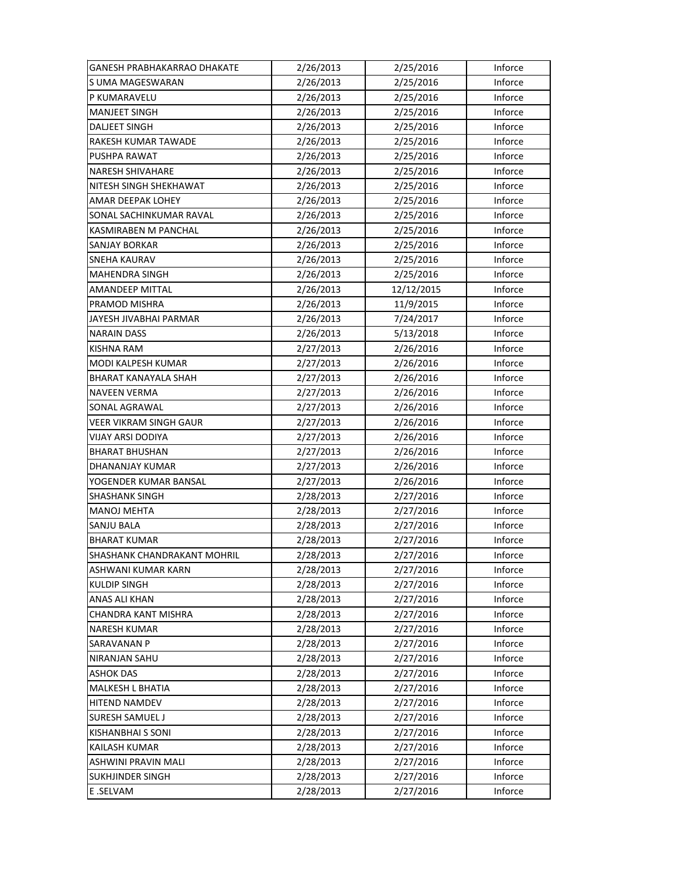| GANESH PRABHAKARRAO DHAKATE   | 2/26/2013 | 2/25/2016  | Inforce |
|-------------------------------|-----------|------------|---------|
| S UMA MAGESWARAN              | 2/26/2013 | 2/25/2016  | Inforce |
| P KUMARAVELU                  | 2/26/2013 | 2/25/2016  | Inforce |
| <b>MANJEET SINGH</b>          | 2/26/2013 | 2/25/2016  | Inforce |
| <b>DALJEET SINGH</b>          | 2/26/2013 | 2/25/2016  | Inforce |
| <b>RAKESH KUMAR TAWADE</b>    | 2/26/2013 | 2/25/2016  | Inforce |
| PUSHPA RAWAT                  | 2/26/2013 | 2/25/2016  | Inforce |
| <b>NARESH SHIVAHARE</b>       | 2/26/2013 | 2/25/2016  | Inforce |
| NITESH SINGH SHEKHAWAT        | 2/26/2013 | 2/25/2016  | Inforce |
| AMAR DEEPAK LOHEY             | 2/26/2013 | 2/25/2016  | Inforce |
| SONAL SACHINKUMAR RAVAL       | 2/26/2013 | 2/25/2016  | Inforce |
| KASMIRABEN M PANCHAL          | 2/26/2013 | 2/25/2016  | Inforce |
| SANJAY BORKAR                 | 2/26/2013 | 2/25/2016  | Inforce |
| <b>SNEHA KAURAV</b>           | 2/26/2013 | 2/25/2016  | Inforce |
| <b>MAHENDRA SINGH</b>         | 2/26/2013 | 2/25/2016  | Inforce |
| <b>AMANDEEP MITTAL</b>        | 2/26/2013 | 12/12/2015 | Inforce |
| PRAMOD MISHRA                 | 2/26/2013 | 11/9/2015  | Inforce |
| JAYESH JIVABHAI PARMAR        | 2/26/2013 | 7/24/2017  | Inforce |
| <b>NARAIN DASS</b>            | 2/26/2013 | 5/13/2018  | Inforce |
| <b>KISHNA RAM</b>             | 2/27/2013 | 2/26/2016  | Inforce |
| MODI KALPESH KUMAR            | 2/27/2013 | 2/26/2016  | Inforce |
| BHARAT KANAYALA SHAH          | 2/27/2013 | 2/26/2016  | Inforce |
| <b>NAVEEN VERMA</b>           | 2/27/2013 | 2/26/2016  | Inforce |
| SONAL AGRAWAL                 | 2/27/2013 | 2/26/2016  | Inforce |
| <b>VEER VIKRAM SINGH GAUR</b> | 2/27/2013 | 2/26/2016  | Inforce |
| <b>VIJAY ARSI DODIYA</b>      | 2/27/2013 | 2/26/2016  | Inforce |
| <b>BHARAT BHUSHAN</b>         | 2/27/2013 | 2/26/2016  | Inforce |
| DHANANJAY KUMAR               | 2/27/2013 | 2/26/2016  | Inforce |
| YOGENDER KUMAR BANSAL         | 2/27/2013 | 2/26/2016  | Inforce |
| <b>SHASHANK SINGH</b>         | 2/28/2013 | 2/27/2016  | Inforce |
| <b>MANOJ MEHTA</b>            | 2/28/2013 | 2/27/2016  | Inforce |
| SANJU BALA                    | 2/28/2013 | 2/27/2016  | Inforce |
| <b>BHARAT KUMAR</b>           | 2/28/2013 | 2/27/2016  | Inforce |
| SHASHANK CHANDRAKANT MOHRIL   | 2/28/2013 | 2/27/2016  | Inforce |
| ASHWANI KUMAR KARN            | 2/28/2013 | 2/27/2016  | Inforce |
| <b>KULDIP SINGH</b>           | 2/28/2013 | 2/27/2016  | Inforce |
| ANAS ALI KHAN                 | 2/28/2013 | 2/27/2016  | Inforce |
| CHANDRA KANT MISHRA           | 2/28/2013 | 2/27/2016  | Inforce |
| <b>NARESH KUMAR</b>           | 2/28/2013 | 2/27/2016  | Inforce |
| <b>SARAVANAN P</b>            | 2/28/2013 | 2/27/2016  | Inforce |
| NIRANJAN SAHU                 | 2/28/2013 | 2/27/2016  | Inforce |
| <b>ASHOK DAS</b>              | 2/28/2013 | 2/27/2016  | Inforce |
| MALKESH L BHATIA              | 2/28/2013 | 2/27/2016  | Inforce |
| <b>HITEND NAMDEV</b>          | 2/28/2013 | 2/27/2016  | Inforce |
| <b>SURESH SAMUEL J</b>        | 2/28/2013 | 2/27/2016  | Inforce |
| KISHANBHAI S SONI             | 2/28/2013 | 2/27/2016  | Inforce |
| <b>KAILASH KUMAR</b>          | 2/28/2013 | 2/27/2016  | Inforce |
| ASHWINI PRAVIN MALI           | 2/28/2013 | 2/27/2016  | Inforce |
| <b>SUKHJINDER SINGH</b>       | 2/28/2013 | 2/27/2016  | Inforce |
| E.SELVAM                      | 2/28/2013 | 2/27/2016  | Inforce |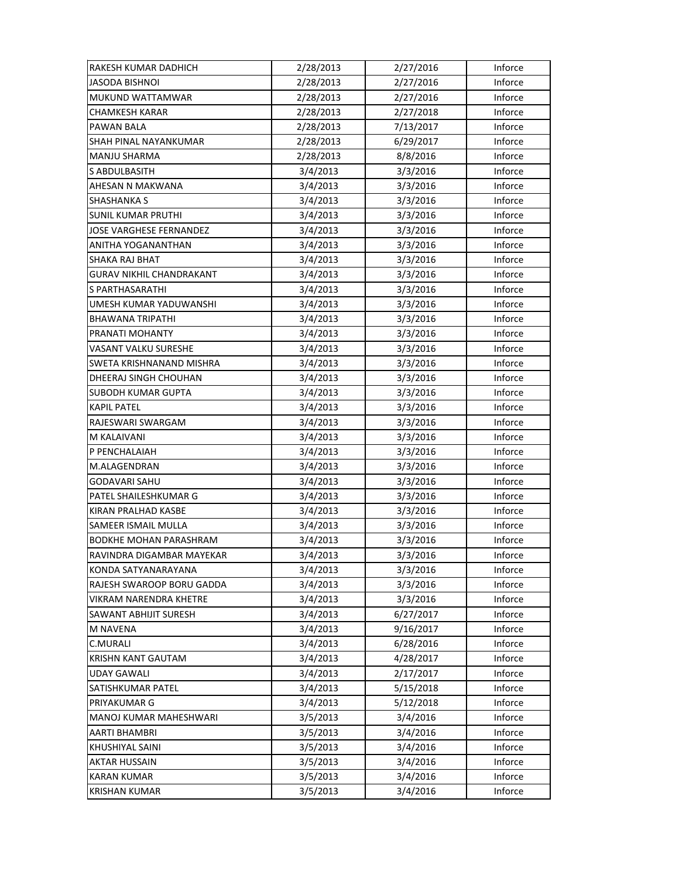| RAKESH KUMAR DADHICH           | 2/28/2013 | 2/27/2016 | Inforce |
|--------------------------------|-----------|-----------|---------|
| <b>JASODA BISHNOI</b>          | 2/28/2013 | 2/27/2016 | Inforce |
| MUKUND WATTAMWAR               | 2/28/2013 | 2/27/2016 | Inforce |
| CHAMKESH KARAR                 | 2/28/2013 | 2/27/2018 | Inforce |
| PAWAN BALA                     | 2/28/2013 | 7/13/2017 | Inforce |
| SHAH PINAL NAYANKUMAR          | 2/28/2013 | 6/29/2017 | Inforce |
| <b>MANJU SHARMA</b>            | 2/28/2013 | 8/8/2016  | Inforce |
| <b>S ABDULBASITH</b>           | 3/4/2013  | 3/3/2016  | Inforce |
| AHESAN N MAKWANA               | 3/4/2013  | 3/3/2016  | Inforce |
| <b>SHASHANKA S</b>             | 3/4/2013  | 3/3/2016  | Inforce |
| <b>SUNIL KUMAR PRUTHI</b>      | 3/4/2013  | 3/3/2016  | Inforce |
| <b>JOSE VARGHESE FERNANDEZ</b> | 3/4/2013  | 3/3/2016  | Inforce |
| ANITHA YOGANANTHAN             | 3/4/2013  | 3/3/2016  | Inforce |
| SHAKA RAJ BHAT                 | 3/4/2013  | 3/3/2016  | Inforce |
| GURAV NIKHIL CHANDRAKANT       | 3/4/2013  | 3/3/2016  | Inforce |
| S PARTHASARATHI                | 3/4/2013  | 3/3/2016  | Inforce |
| UMESH KUMAR YADUWANSHI         | 3/4/2013  | 3/3/2016  | Inforce |
| <b>BHAWANA TRIPATHI</b>        | 3/4/2013  | 3/3/2016  | Inforce |
| PRANATI MOHANTY                | 3/4/2013  | 3/3/2016  | Inforce |
| VASANT VALKU SURESHE           | 3/4/2013  | 3/3/2016  | Inforce |
| SWETA KRISHNANAND MISHRA       | 3/4/2013  | 3/3/2016  | Inforce |
| DHEERAJ SINGH CHOUHAN          | 3/4/2013  | 3/3/2016  | Inforce |
| SUBODH KUMAR GUPTA             | 3/4/2013  | 3/3/2016  | Inforce |
| <b>KAPIL PATEL</b>             | 3/4/2013  | 3/3/2016  | Inforce |
| RAJESWARI SWARGAM              | 3/4/2013  | 3/3/2016  | Inforce |
| M KALAIVANI                    | 3/4/2013  | 3/3/2016  | Inforce |
| P PENCHALAIAH                  | 3/4/2013  | 3/3/2016  | Inforce |
| M.ALAGENDRAN                   | 3/4/2013  | 3/3/2016  | Inforce |
| GODAVARI SAHU                  | 3/4/2013  | 3/3/2016  | Inforce |
| PATEL SHAILESHKUMAR G          | 3/4/2013  | 3/3/2016  | Inforce |
| <b>KIRAN PRALHAD KASBE</b>     | 3/4/2013  | 3/3/2016  | Inforce |
| <b>SAMEER ISMAIL MULLA</b>     | 3/4/2013  | 3/3/2016  | Inforce |
| BODKHE MOHAN PARASHRAM         | 3/4/2013  | 3/3/2016  | Inforce |
| RAVINDRA DIGAMBAR MAYEKAR      | 3/4/2013  | 3/3/2016  | Inforce |
| KONDA SATYANARAYANA            | 3/4/2013  | 3/3/2016  | Inforce |
| RAJESH SWAROOP BORU GADDA      | 3/4/2013  | 3/3/2016  | Inforce |
| VIKRAM NARENDRA KHETRE         | 3/4/2013  | 3/3/2016  | Inforce |
| <b>SAWANT ABHIJIT SURESH</b>   | 3/4/2013  | 6/27/2017 | Inforce |
| M NAVENA                       | 3/4/2013  | 9/16/2017 | Inforce |
| C.MURALI                       | 3/4/2013  | 6/28/2016 | Inforce |
| KRISHN KANT GAUTAM             | 3/4/2013  | 4/28/2017 | Inforce |
| <b>UDAY GAWALI</b>             | 3/4/2013  | 2/17/2017 | Inforce |
| <b>SATISHKUMAR PATEL</b>       | 3/4/2013  | 5/15/2018 | Inforce |
| PRIYAKUMAR G                   | 3/4/2013  | 5/12/2018 | Inforce |
| MANOJ KUMAR MAHESHWARI         | 3/5/2013  | 3/4/2016  | Inforce |
| AARTI BHAMBRI                  | 3/5/2013  | 3/4/2016  | Inforce |
| KHUSHIYAL SAINI                | 3/5/2013  | 3/4/2016  | Inforce |
| <b>AKTAR HUSSAIN</b>           | 3/5/2013  | 3/4/2016  | Inforce |
| <b>KARAN KUMAR</b>             | 3/5/2013  | 3/4/2016  | Inforce |
| <b>KRISHAN KUMAR</b>           | 3/5/2013  | 3/4/2016  | Inforce |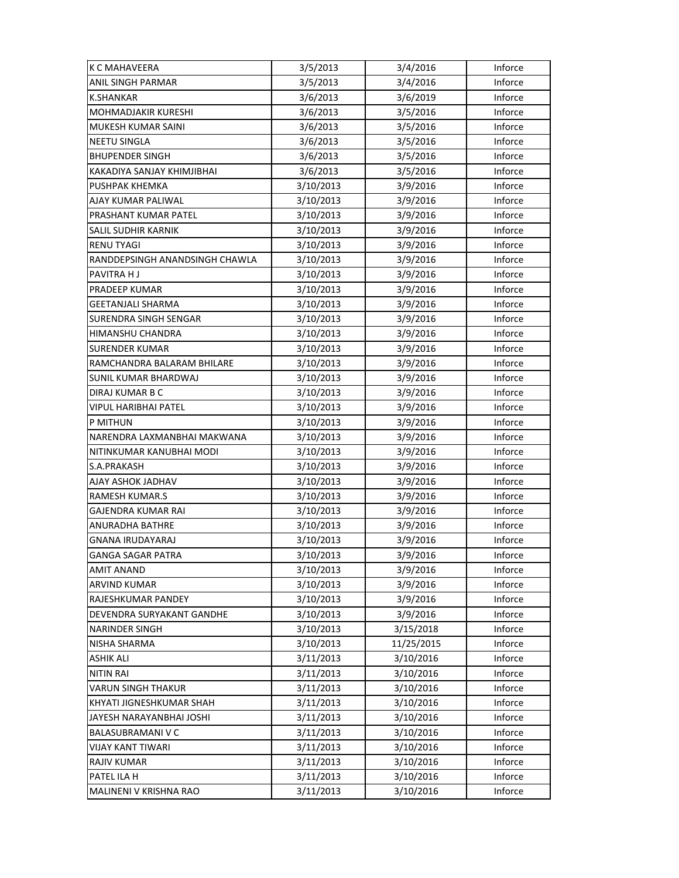| K C MAHAVEERA                  | 3/5/2013  | 3/4/2016   | Inforce |
|--------------------------------|-----------|------------|---------|
| ANIL SINGH PARMAR              | 3/5/2013  | 3/4/2016   | Inforce |
| <b>K.SHANKAR</b>               | 3/6/2013  | 3/6/2019   | Inforce |
| MOHMADJAKIR KURESHI            | 3/6/2013  | 3/5/2016   | Inforce |
| MUKESH KUMAR SAINI             | 3/6/2013  | 3/5/2016   | Inforce |
| <b>NEETU SINGLA</b>            | 3/6/2013  | 3/5/2016   | Inforce |
| <b>BHUPENDER SINGH</b>         | 3/6/2013  | 3/5/2016   | Inforce |
| KAKADIYA SANJAY KHIMJIBHAI     | 3/6/2013  | 3/5/2016   | Inforce |
| PUSHPAK KHEMKA                 | 3/10/2013 | 3/9/2016   | Inforce |
| AJAY KUMAR PALIWAL             | 3/10/2013 | 3/9/2016   | Inforce |
| PRASHANT KUMAR PATEL           | 3/10/2013 | 3/9/2016   | Inforce |
| SALIL SUDHIR KARNIK            | 3/10/2013 | 3/9/2016   | Inforce |
| <b>RENU TYAGI</b>              | 3/10/2013 | 3/9/2016   | Inforce |
| RANDDEPSINGH ANANDSINGH CHAWLA | 3/10/2013 | 3/9/2016   | Inforce |
| PAVITRA H J                    | 3/10/2013 | 3/9/2016   | Inforce |
| PRADEEP KUMAR                  | 3/10/2013 | 3/9/2016   | Inforce |
| GEETANJALI SHARMA              | 3/10/2013 | 3/9/2016   | Inforce |
| SURENDRA SINGH SENGAR          | 3/10/2013 | 3/9/2016   | Inforce |
| HIMANSHU CHANDRA               | 3/10/2013 | 3/9/2016   | Inforce |
| <b>SURENDER KUMAR</b>          | 3/10/2013 | 3/9/2016   | Inforce |
| RAMCHANDRA BALARAM BHILARE     | 3/10/2013 | 3/9/2016   | Inforce |
| SUNIL KUMAR BHARDWAJ           | 3/10/2013 | 3/9/2016   | Inforce |
| DIRAJ KUMAR B C                | 3/10/2013 | 3/9/2016   | Inforce |
| VIPUL HARIBHAI PATEL           | 3/10/2013 | 3/9/2016   | Inforce |
| P MITHUN                       | 3/10/2013 | 3/9/2016   | Inforce |
| NARENDRA LAXMANBHAI MAKWANA    | 3/10/2013 | 3/9/2016   | Inforce |
| NITINKUMAR KANUBHAI MODI       | 3/10/2013 | 3/9/2016   | Inforce |
| S.A.PRAKASH                    | 3/10/2013 | 3/9/2016   | Inforce |
| AJAY ASHOK JADHAV              | 3/10/2013 | 3/9/2016   | Inforce |
| <b>RAMESH KUMAR.S</b>          | 3/10/2013 | 3/9/2016   | Inforce |
| GAJENDRA KUMAR RAI             | 3/10/2013 | 3/9/2016   | Inforce |
| ANURADHA BATHRE                | 3/10/2013 | 3/9/2016   | Inforce |
| GNANA IRUDAYARAJ               | 3/10/2013 | 3/9/2016   | Inforce |
| <b>GANGA SAGAR PATRA</b>       | 3/10/2013 | 3/9/2016   | Inforce |
| AMIT ANAND                     | 3/10/2013 | 3/9/2016   | Inforce |
| <b>ARVIND KUMAR</b>            | 3/10/2013 | 3/9/2016   | Inforce |
| RAJESHKUMAR PANDEY             | 3/10/2013 | 3/9/2016   | Inforce |
| DEVENDRA SURYAKANT GANDHE      | 3/10/2013 | 3/9/2016   | Inforce |
| <b>NARINDER SINGH</b>          | 3/10/2013 | 3/15/2018  | Inforce |
| <b>NISHA SHARMA</b>            | 3/10/2013 | 11/25/2015 | Inforce |
| <b>ASHIK ALI</b>               | 3/11/2013 | 3/10/2016  | Inforce |
| <b>NITIN RAI</b>               | 3/11/2013 | 3/10/2016  | Inforce |
| VARUN SINGH THAKUR             | 3/11/2013 | 3/10/2016  | Inforce |
| KHYATI JIGNESHKUMAR SHAH       | 3/11/2013 | 3/10/2016  | Inforce |
| JAYESH NARAYANBHAI JOSHI       | 3/11/2013 | 3/10/2016  | Inforce |
| <b>BALASUBRAMANI V C</b>       | 3/11/2013 | 3/10/2016  | Inforce |
| <b>VIJAY KANT TIWARI</b>       | 3/11/2013 | 3/10/2016  | Inforce |
| <b>RAJIV KUMAR</b>             | 3/11/2013 | 3/10/2016  | Inforce |
| PATEL ILA H                    | 3/11/2013 | 3/10/2016  | Inforce |
| MALINENI V KRISHNA RAO         | 3/11/2013 | 3/10/2016  | Inforce |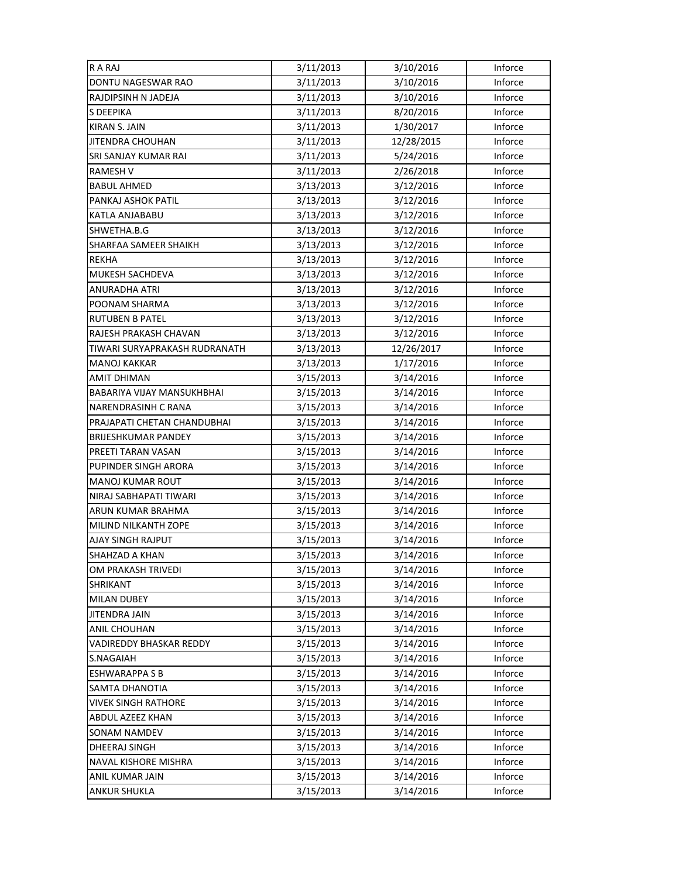| R A RAJ                       | 3/11/2013 | 3/10/2016  | Inforce |
|-------------------------------|-----------|------------|---------|
| DONTU NAGESWAR RAO            | 3/11/2013 | 3/10/2016  | Inforce |
| RAJDIPSINH N JADEJA           | 3/11/2013 | 3/10/2016  | Inforce |
| S DEEPIKA                     | 3/11/2013 | 8/20/2016  | Inforce |
| KIRAN S. JAIN                 | 3/11/2013 | 1/30/2017  | Inforce |
| JITENDRA CHOUHAN              | 3/11/2013 | 12/28/2015 | Inforce |
| SRI SANJAY KUMAR RAI          | 3/11/2013 | 5/24/2016  | Inforce |
| <b>RAMESH V</b>               | 3/11/2013 | 2/26/2018  | Inforce |
| <b>BABUL AHMED</b>            | 3/13/2013 | 3/12/2016  | Inforce |
| PANKAJ ASHOK PATIL            | 3/13/2013 | 3/12/2016  | Inforce |
| KATLA ANJABABU                | 3/13/2013 | 3/12/2016  | Inforce |
| SHWETHA.B.G                   | 3/13/2013 | 3/12/2016  | Inforce |
| SHARFAA SAMEER SHAIKH         | 3/13/2013 | 3/12/2016  | Inforce |
| REKHA                         | 3/13/2013 | 3/12/2016  | Inforce |
| MUKESH SACHDEVA               | 3/13/2013 | 3/12/2016  | Inforce |
| <b>ANURADHA ATRI</b>          | 3/13/2013 | 3/12/2016  | Inforce |
| POONAM SHARMA                 | 3/13/2013 | 3/12/2016  | Inforce |
| <b>RUTUBEN B PATEL</b>        | 3/13/2013 | 3/12/2016  | Inforce |
| RAJESH PRAKASH CHAVAN         | 3/13/2013 | 3/12/2016  | Inforce |
| TIWARI SURYAPRAKASH RUDRANATH | 3/13/2013 | 12/26/2017 | Inforce |
| <b>MANOJ KAKKAR</b>           | 3/13/2013 | 1/17/2016  | Inforce |
| AMIT DHIMAN                   | 3/15/2013 | 3/14/2016  | Inforce |
| BABARIYA VIJAY MANSUKHBHAI    | 3/15/2013 | 3/14/2016  | Inforce |
| NARENDRASINH C RANA           | 3/15/2013 | 3/14/2016  | Inforce |
| PRAJAPATI CHETAN CHANDUBHAI   | 3/15/2013 | 3/14/2016  | Inforce |
| <b>BRIJESHKUMAR PANDEY</b>    | 3/15/2013 | 3/14/2016  | Inforce |
| PREETI TARAN VASAN            | 3/15/2013 | 3/14/2016  | Inforce |
| PUPINDER SINGH ARORA          | 3/15/2013 | 3/14/2016  | Inforce |
| <b>MANOJ KUMAR ROUT</b>       | 3/15/2013 | 3/14/2016  | Inforce |
| NIRAJ SABHAPATI TIWARI        | 3/15/2013 | 3/14/2016  | Inforce |
| ARUN KUMAR BRAHMA             | 3/15/2013 | 3/14/2016  | Inforce |
| MILIND NILKANTH ZOPE          | 3/15/2013 | 3/14/2016  | Inforce |
| AJAY SINGH RAJPUT             | 3/15/2013 | 3/14/2016  | Inforce |
| SHAHZAD A KHAN                | 3/15/2013 | 3/14/2016  | Inforce |
| OM PRAKASH TRIVEDI            | 3/15/2013 | 3/14/2016  | Inforce |
| <b>SHRIKANT</b>               | 3/15/2013 | 3/14/2016  | Inforce |
| MILAN DUBEY                   | 3/15/2013 | 3/14/2016  | Inforce |
| <b>JITENDRA JAIN</b>          | 3/15/2013 | 3/14/2016  | Inforce |
| <b>ANIL CHOUHAN</b>           | 3/15/2013 | 3/14/2016  | Inforce |
| VADIREDDY BHASKAR REDDY       | 3/15/2013 | 3/14/2016  | Inforce |
| S.NAGAIAH                     | 3/15/2013 | 3/14/2016  | Inforce |
| <b>ESHWARAPPA S B</b>         | 3/15/2013 | 3/14/2016  | Inforce |
| SAMTA DHANOTIA                | 3/15/2013 | 3/14/2016  | Inforce |
| <b>VIVEK SINGH RATHORE</b>    | 3/15/2013 | 3/14/2016  | Inforce |
| ABDUL AZEEZ KHAN              | 3/15/2013 | 3/14/2016  | Inforce |
| SONAM NAMDEV                  | 3/15/2013 | 3/14/2016  | Inforce |
| <b>DHEERAJ SINGH</b>          | 3/15/2013 | 3/14/2016  | Inforce |
| NAVAL KISHORE MISHRA          | 3/15/2013 | 3/14/2016  | Inforce |
| ANIL KUMAR JAIN               | 3/15/2013 | 3/14/2016  | Inforce |
| <b>ANKUR SHUKLA</b>           | 3/15/2013 | 3/14/2016  | Inforce |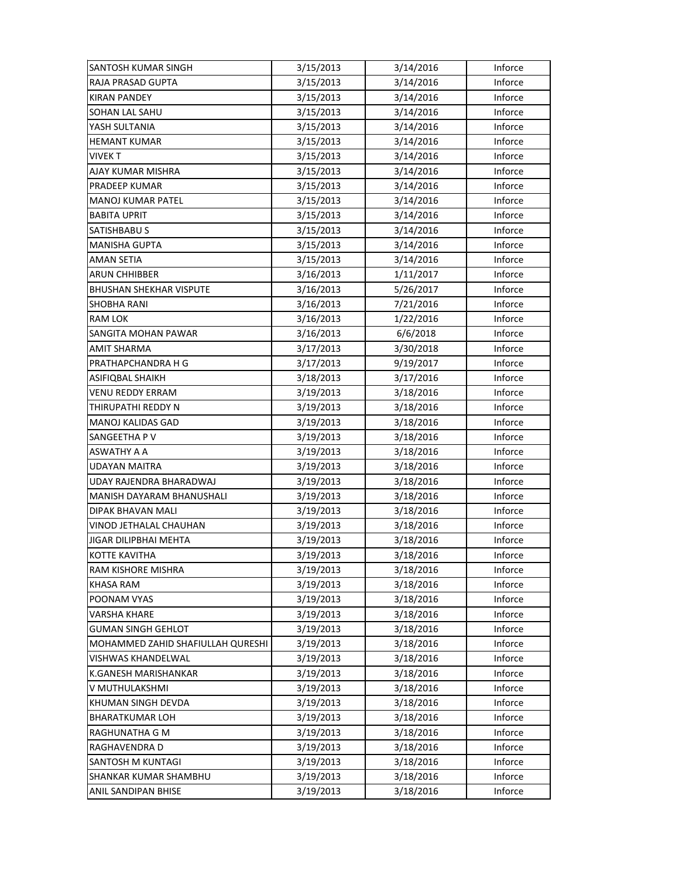| SANTOSH KUMAR SINGH               | 3/15/2013 | 3/14/2016 | Inforce |
|-----------------------------------|-----------|-----------|---------|
| <b>RAJA PRASAD GUPTA</b>          | 3/15/2013 | 3/14/2016 | Inforce |
| <b>KIRAN PANDEY</b>               | 3/15/2013 | 3/14/2016 | Inforce |
| SOHAN LAL SAHU                    | 3/15/2013 | 3/14/2016 | Inforce |
| YASH SULTANIA                     | 3/15/2013 | 3/14/2016 | Inforce |
| <b>HEMANT KUMAR</b>               | 3/15/2013 | 3/14/2016 | Inforce |
| <b>VIVEKT</b>                     | 3/15/2013 | 3/14/2016 | Inforce |
| <b>AJAY KUMAR MISHRA</b>          | 3/15/2013 | 3/14/2016 | Inforce |
| PRADEEP KUMAR                     | 3/15/2013 | 3/14/2016 | Inforce |
| <b>MANOJ KUMAR PATEL</b>          | 3/15/2013 | 3/14/2016 | Inforce |
| <b>BABITA UPRIT</b>               | 3/15/2013 | 3/14/2016 | Inforce |
| SATISHBABU S                      | 3/15/2013 | 3/14/2016 | Inforce |
| <b>MANISHA GUPTA</b>              | 3/15/2013 | 3/14/2016 | Inforce |
| AMAN SETIA                        | 3/15/2013 | 3/14/2016 | Inforce |
| <b>ARUN CHHIBBER</b>              | 3/16/2013 | 1/11/2017 | Inforce |
| <b>BHUSHAN SHEKHAR VISPUTE</b>    | 3/16/2013 | 5/26/2017 | Inforce |
| <b>SHOBHA RANI</b>                | 3/16/2013 | 7/21/2016 | Inforce |
| RAM LOK                           | 3/16/2013 | 1/22/2016 | Inforce |
| SANGITA MOHAN PAWAR               | 3/16/2013 | 6/6/2018  | Inforce |
| AMIT SHARMA                       | 3/17/2013 | 3/30/2018 | Inforce |
| PRATHAPCHANDRA H G                | 3/17/2013 | 9/19/2017 | Inforce |
| ASIFIQBAL SHAIKH                  | 3/18/2013 | 3/17/2016 | Inforce |
| VENU REDDY ERRAM                  | 3/19/2013 | 3/18/2016 | Inforce |
| THIRUPATHI REDDY N                | 3/19/2013 | 3/18/2016 | Inforce |
| MANOJ KALIDAS GAD                 | 3/19/2013 | 3/18/2016 | Inforce |
| SANGEETHA P V                     | 3/19/2013 | 3/18/2016 | Inforce |
| ASWATHY A A                       | 3/19/2013 | 3/18/2016 | Inforce |
| UDAYAN MAITRA                     | 3/19/2013 | 3/18/2016 | Inforce |
| UDAY RAJENDRA BHARADWAJ           | 3/19/2013 | 3/18/2016 | Inforce |
| MANISH DAYARAM BHANUSHALI         | 3/19/2013 | 3/18/2016 | Inforce |
| DIPAK BHAVAN MALI                 | 3/19/2013 | 3/18/2016 | Inforce |
| VINOD JETHALAL CHAUHAN            | 3/19/2013 | 3/18/2016 | Inforce |
| <b>JIGAR DILIPBHAI MEHTA</b>      | 3/19/2013 | 3/18/2016 | Inforce |
| KOTTE KAVITHA                     | 3/19/2013 | 3/18/2016 | Inforce |
| RAM KISHORE MISHRA                | 3/19/2013 | 3/18/2016 | Inforce |
| KHASA RAM                         | 3/19/2013 | 3/18/2016 | Inforce |
| POONAM VYAS                       | 3/19/2013 | 3/18/2016 | Inforce |
| <b>VARSHA KHARE</b>               | 3/19/2013 | 3/18/2016 | Inforce |
| <b>GUMAN SINGH GEHLOT</b>         | 3/19/2013 | 3/18/2016 | Inforce |
| MOHAMMED ZAHID SHAFIULLAH QURESHI | 3/19/2013 | 3/18/2016 | Inforce |
| VISHWAS KHANDELWAL                | 3/19/2013 | 3/18/2016 | Inforce |
| K.GANESH MARISHANKAR              | 3/19/2013 | 3/18/2016 | Inforce |
| V MUTHULAKSHMI                    | 3/19/2013 | 3/18/2016 | Inforce |
| KHUMAN SINGH DEVDA                | 3/19/2013 | 3/18/2016 | Inforce |
| <b>BHARATKUMAR LOH</b>            | 3/19/2013 | 3/18/2016 | Inforce |
| RAGHUNATHA G M                    | 3/19/2013 | 3/18/2016 | Inforce |
| RAGHAVENDRA D                     | 3/19/2013 | 3/18/2016 | Inforce |
| SANTOSH M KUNTAGI                 | 3/19/2013 | 3/18/2016 | Inforce |
| SHANKAR KUMAR SHAMBHU             | 3/19/2013 | 3/18/2016 | Inforce |
| ANIL SANDIPAN BHISE               | 3/19/2013 | 3/18/2016 | Inforce |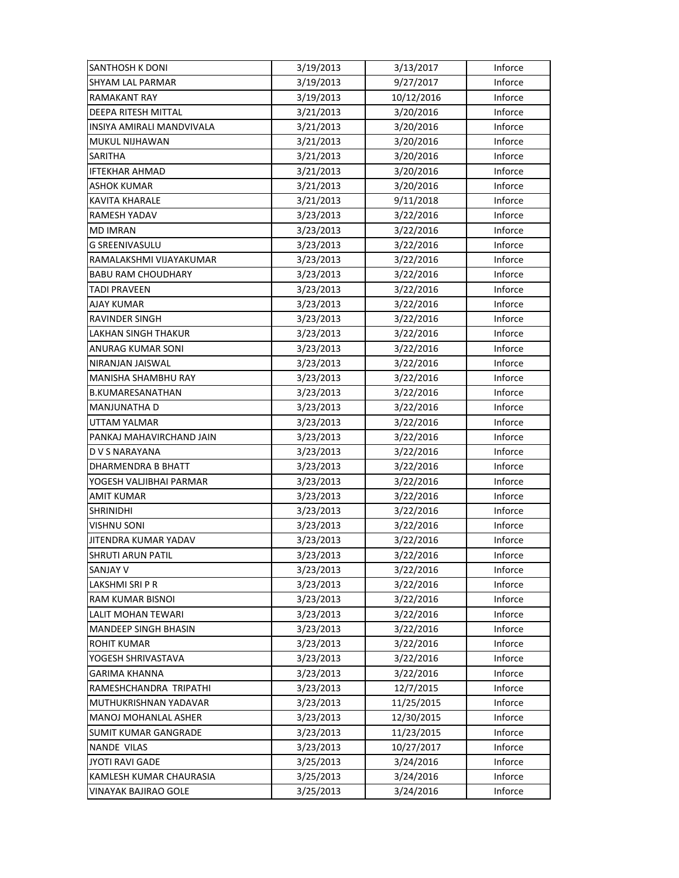| <b>SANTHOSH K DONI</b>      | 3/19/2013 | 3/13/2017  | Inforce |
|-----------------------------|-----------|------------|---------|
| <b>SHYAM LAL PARMAR</b>     | 3/19/2013 | 9/27/2017  | Inforce |
| <b>RAMAKANT RAY</b>         | 3/19/2013 | 10/12/2016 | Inforce |
| DEEPA RITESH MITTAL         | 3/21/2013 | 3/20/2016  | Inforce |
| INSIYA AMIRALI MANDVIVALA   | 3/21/2013 | 3/20/2016  | Inforce |
| MUKUL NIJHAWAN              | 3/21/2013 | 3/20/2016  | Inforce |
| <b>SARITHA</b>              | 3/21/2013 | 3/20/2016  | Inforce |
| <b>IFTEKHAR AHMAD</b>       | 3/21/2013 | 3/20/2016  | Inforce |
| ASHOK KUMAR                 | 3/21/2013 | 3/20/2016  | Inforce |
| <b>KAVITA KHARALE</b>       | 3/21/2013 | 9/11/2018  | Inforce |
| RAMESH YADAV                | 3/23/2013 | 3/22/2016  | Inforce |
| <b>MD IMRAN</b>             | 3/23/2013 | 3/22/2016  | Inforce |
| G SREENIVASULU              | 3/23/2013 | 3/22/2016  | Inforce |
| RAMALAKSHMI VIJAYAKUMAR     | 3/23/2013 | 3/22/2016  | Inforce |
| <b>BABU RAM CHOUDHARY</b>   | 3/23/2013 | 3/22/2016  | Inforce |
| <b>TADI PRAVEEN</b>         | 3/23/2013 | 3/22/2016  | Inforce |
| <b>AJAY KUMAR</b>           | 3/23/2013 | 3/22/2016  | Inforce |
| RAVINDER SINGH              | 3/23/2013 | 3/22/2016  | Inforce |
| LAKHAN SINGH THAKUR         | 3/23/2013 | 3/22/2016  | Inforce |
| ANURAG KUMAR SONI           | 3/23/2013 | 3/22/2016  | Inforce |
| NIRANJAN JAISWAL            | 3/23/2013 | 3/22/2016  | Inforce |
| MANISHA SHAMBHU RAY         | 3/23/2013 | 3/22/2016  | Inforce |
| B.KUMARESANATHAN            | 3/23/2013 | 3/22/2016  | Inforce |
| MANJUNATHA D                | 3/23/2013 | 3/22/2016  | Inforce |
| UTTAM YALMAR                | 3/23/2013 | 3/22/2016  | Inforce |
| PANKAJ MAHAVIRCHAND JAIN    | 3/23/2013 | 3/22/2016  | Inforce |
| D V S NARAYANA              | 3/23/2013 | 3/22/2016  | Inforce |
| DHARMENDRA B BHATT          | 3/23/2013 | 3/22/2016  | Inforce |
| YOGESH VALJIBHAI PARMAR     | 3/23/2013 | 3/22/2016  | Inforce |
| <b>AMIT KUMAR</b>           | 3/23/2013 | 3/22/2016  | Inforce |
| <b>SHRINIDHI</b>            | 3/23/2013 | 3/22/2016  | Inforce |
| <b>VISHNU SONI</b>          | 3/23/2013 | 3/22/2016  | Inforce |
| JITENDRA KUMAR YADAV        | 3/23/2013 | 3/22/2016  | Inforce |
| SHRUTI ARUN PATIL           | 3/23/2013 | 3/22/2016  | Inforce |
| <b>SANJAY V</b>             | 3/23/2013 | 3/22/2016  | Inforce |
| LAKSHMI SRI P R             | 3/23/2013 | 3/22/2016  | Inforce |
| RAM KUMAR BISNOI            | 3/23/2013 | 3/22/2016  | Inforce |
| LALIT MOHAN TEWARI          | 3/23/2013 | 3/22/2016  | Inforce |
| <b>MANDEEP SINGH BHASIN</b> | 3/23/2013 | 3/22/2016  | Inforce |
| <b>ROHIT KUMAR</b>          | 3/23/2013 | 3/22/2016  | Inforce |
| YOGESH SHRIVASTAVA          | 3/23/2013 | 3/22/2016  | Inforce |
| GARIMA KHANNA               | 3/23/2013 | 3/22/2016  | Inforce |
| RAMESHCHANDRA TRIPATHI      | 3/23/2013 | 12/7/2015  | Inforce |
| MUTHUKRISHNAN YADAVAR       | 3/23/2013 | 11/25/2015 | Inforce |
| <b>MANOJ MOHANLAL ASHER</b> | 3/23/2013 | 12/30/2015 | Inforce |
| SUMIT KUMAR GANGRADE        | 3/23/2013 | 11/23/2015 | Inforce |
| <b>NANDE VILAS</b>          | 3/23/2013 | 10/27/2017 | Inforce |
| <b>JYOTI RAVI GADE</b>      | 3/25/2013 | 3/24/2016  | Inforce |
| KAMLESH KUMAR CHAURASIA     | 3/25/2013 | 3/24/2016  | Inforce |
| VINAYAK BAJIRAO GOLE        | 3/25/2013 | 3/24/2016  | Inforce |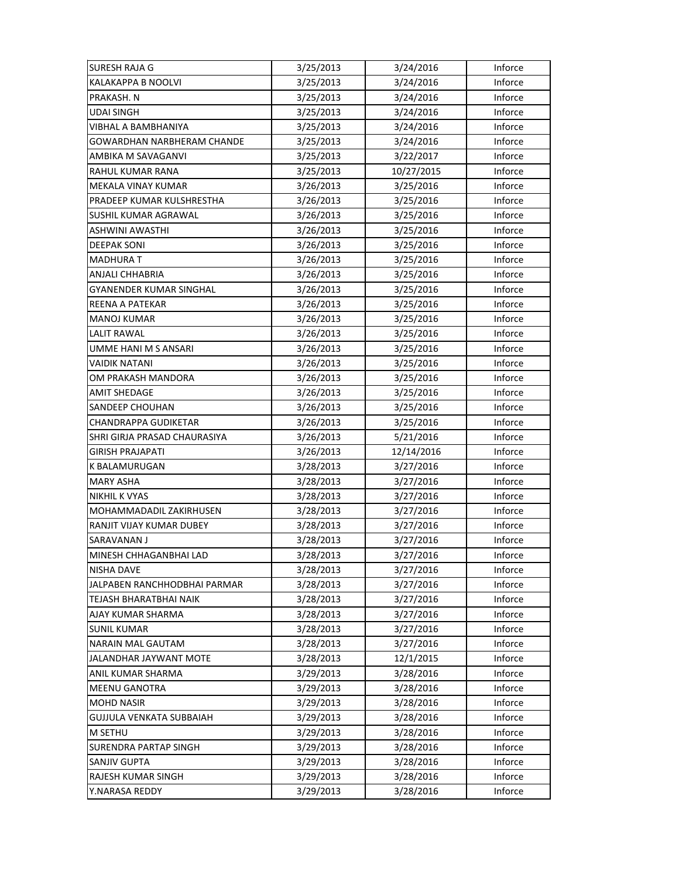| <b>SURESH RAJA G</b>           | 3/25/2013 | 3/24/2016  | Inforce |
|--------------------------------|-----------|------------|---------|
| <b>KALAKAPPA B NOOLVI</b>      | 3/25/2013 | 3/24/2016  | Inforce |
| PRAKASH. N                     | 3/25/2013 | 3/24/2016  | Inforce |
| UDAI SINGH                     | 3/25/2013 | 3/24/2016  | Inforce |
| VIBHAL A BAMBHANIYA            | 3/25/2013 | 3/24/2016  | Inforce |
| GOWARDHAN NARBHERAM CHANDE     | 3/25/2013 | 3/24/2016  | Inforce |
| AMBIKA M SAVAGANVI             | 3/25/2013 | 3/22/2017  | Inforce |
| RAHUL KUMAR RANA               | 3/25/2013 | 10/27/2015 | Inforce |
| MEKALA VINAY KUMAR             | 3/26/2013 | 3/25/2016  | Inforce |
| PRADEEP KUMAR KULSHRESTHA      | 3/26/2013 | 3/25/2016  | Inforce |
| SUSHIL KUMAR AGRAWAL           | 3/26/2013 | 3/25/2016  | Inforce |
| <b>ASHWINI AWASTHI</b>         | 3/26/2013 | 3/25/2016  | Inforce |
| <b>DEEPAK SONI</b>             | 3/26/2013 | 3/25/2016  | Inforce |
| <b>MADHURAT</b>                | 3/26/2013 | 3/25/2016  | Inforce |
| <b>ANJALI CHHABRIA</b>         | 3/26/2013 | 3/25/2016  | Inforce |
| <b>GYANENDER KUMAR SINGHAL</b> | 3/26/2013 | 3/25/2016  | Inforce |
| REENA A PATEKAR                | 3/26/2013 | 3/25/2016  | Inforce |
| <b>MANOJ KUMAR</b>             | 3/26/2013 | 3/25/2016  | Inforce |
| LALIT RAWAL                    | 3/26/2013 | 3/25/2016  | Inforce |
| UMME HANI M S ANSARI           | 3/26/2013 | 3/25/2016  | Inforce |
| <b>VAIDIK NATANI</b>           | 3/26/2013 | 3/25/2016  | Inforce |
| OM PRAKASH MANDORA             | 3/26/2013 | 3/25/2016  | Inforce |
| <b>AMIT SHEDAGE</b>            | 3/26/2013 | 3/25/2016  | Inforce |
| SANDEEP CHOUHAN                | 3/26/2013 | 3/25/2016  | Inforce |
| <b>CHANDRAPPA GUDIKETAR</b>    | 3/26/2013 | 3/25/2016  | Inforce |
| SHRI GIRJA PRASAD CHAURASIYA   | 3/26/2013 | 5/21/2016  | Inforce |
| GIRISH PRAJAPATI               | 3/26/2013 | 12/14/2016 | Inforce |
| K BALAMURUGAN                  | 3/28/2013 | 3/27/2016  | Inforce |
| <b>MARY ASHA</b>               | 3/28/2013 | 3/27/2016  | Inforce |
| <b>NIKHIL K VYAS</b>           | 3/28/2013 | 3/27/2016  | Inforce |
| MOHAMMADADIL ZAKIRHUSEN        | 3/28/2013 | 3/27/2016  | Inforce |
| RANJIT VIJAY KUMAR DUBEY       | 3/28/2013 | 3/27/2016  | Inforce |
| SARAVANAN J                    | 3/28/2013 | 3/27/2016  | Inforce |
| MINESH CHHAGANBHAI LAD         | 3/28/2013 | 3/27/2016  | Inforce |
| NISHA DAVE                     | 3/28/2013 | 3/27/2016  | Inforce |
| JALPABEN RANCHHODBHAI PARMAR   | 3/28/2013 | 3/27/2016  | Inforce |
| TEJASH BHARATBHAI NAIK         | 3/28/2013 | 3/27/2016  | Inforce |
| AJAY KUMAR SHARMA              | 3/28/2013 | 3/27/2016  | Inforce |
| <b>SUNIL KUMAR</b>             | 3/28/2013 | 3/27/2016  | Inforce |
| <b>NARAIN MAL GAUTAM</b>       | 3/28/2013 | 3/27/2016  | Inforce |
| JALANDHAR JAYWANT MOTE         | 3/28/2013 | 12/1/2015  | Inforce |
| ANIL KUMAR SHARMA              | 3/29/2013 | 3/28/2016  | Inforce |
| <b>MEENU GANOTRA</b>           | 3/29/2013 | 3/28/2016  | Inforce |
| <b>MOHD NASIR</b>              | 3/29/2013 | 3/28/2016  | Inforce |
| GUJJULA VENKATA SUBBAIAH       | 3/29/2013 | 3/28/2016  | Inforce |
| M SETHU                        | 3/29/2013 | 3/28/2016  | Inforce |
| <b>SURENDRA PARTAP SINGH</b>   | 3/29/2013 | 3/28/2016  | Inforce |
| SANJIV GUPTA                   | 3/29/2013 | 3/28/2016  | Inforce |
| RAJESH KUMAR SINGH             | 3/29/2013 | 3/28/2016  | Inforce |
| Y.NARASA REDDY                 | 3/29/2013 | 3/28/2016  | Inforce |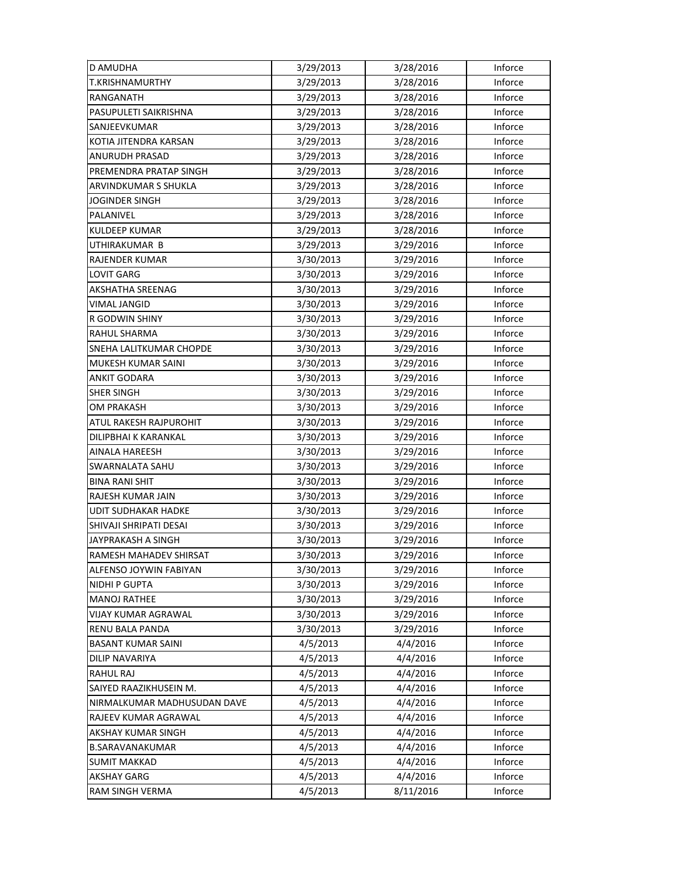| D AMUDHA                    | 3/29/2013 | 3/28/2016 | Inforce |
|-----------------------------|-----------|-----------|---------|
| <b>T.KRISHNAMURTHY</b>      | 3/29/2013 | 3/28/2016 | Inforce |
| RANGANATH                   | 3/29/2013 | 3/28/2016 | Inforce |
| PASUPULETI SAIKRISHNA       | 3/29/2013 | 3/28/2016 | Inforce |
| SANJEEVKUMAR                | 3/29/2013 | 3/28/2016 | Inforce |
| KOTIA JITENDRA KARSAN       | 3/29/2013 | 3/28/2016 | Inforce |
| ANURUDH PRASAD              | 3/29/2013 | 3/28/2016 | Inforce |
| PREMENDRA PRATAP SINGH      | 3/29/2013 | 3/28/2016 | Inforce |
| ARVINDKUMAR S SHUKLA        | 3/29/2013 | 3/28/2016 | Inforce |
| <b>JOGINDER SINGH</b>       | 3/29/2013 | 3/28/2016 | Inforce |
| PALANIVEL                   | 3/29/2013 | 3/28/2016 | Inforce |
| <b>KULDEEP KUMAR</b>        | 3/29/2013 | 3/28/2016 | Inforce |
| UTHIRAKUMAR B               | 3/29/2013 | 3/29/2016 | Inforce |
| RAJENDER KUMAR              | 3/30/2013 | 3/29/2016 | Inforce |
| <b>LOVIT GARG</b>           | 3/30/2013 | 3/29/2016 | Inforce |
| AKSHATHA SREENAG            | 3/30/2013 | 3/29/2016 | Inforce |
| <b>VIMAL JANGID</b>         | 3/30/2013 | 3/29/2016 | Inforce |
| R GODWIN SHINY              | 3/30/2013 | 3/29/2016 | Inforce |
| <b>RAHUL SHARMA</b>         | 3/30/2013 | 3/29/2016 | Inforce |
| SNEHA LALITKUMAR CHOPDE     | 3/30/2013 | 3/29/2016 | Inforce |
| <b>MUKESH KUMAR SAINI</b>   | 3/30/2013 | 3/29/2016 | Inforce |
| <b>ANKIT GODARA</b>         | 3/30/2013 | 3/29/2016 | Inforce |
| <b>SHER SINGH</b>           | 3/30/2013 | 3/29/2016 | Inforce |
| OM PRAKASH                  | 3/30/2013 | 3/29/2016 | Inforce |
| ATUL RAKESH RAJPUROHIT      | 3/30/2013 | 3/29/2016 | Inforce |
| DILIPBHAI K KARANKAL        | 3/30/2013 | 3/29/2016 | Inforce |
| AINALA HAREESH              | 3/30/2013 | 3/29/2016 | Inforce |
| SWARNALATA SAHU             | 3/30/2013 | 3/29/2016 | Inforce |
| <b>BINA RANI SHIT</b>       | 3/30/2013 | 3/29/2016 | Inforce |
| RAJESH KUMAR JAIN           | 3/30/2013 | 3/29/2016 | Inforce |
| <b>UDIT SUDHAKAR HADKE</b>  | 3/30/2013 | 3/29/2016 | Inforce |
| SHIVAJI SHRIPATI DESAI      | 3/30/2013 | 3/29/2016 | Inforce |
| <b>JAYPRAKASH A SINGH</b>   | 3/30/2013 | 3/29/2016 | Inforce |
| RAMESH MAHADEV SHIRSAT      | 3/30/2013 | 3/29/2016 | Inforce |
| ALFENSO JOYWIN FABIYAN      | 3/30/2013 | 3/29/2016 | Inforce |
| <b>NIDHI P GUPTA</b>        | 3/30/2013 | 3/29/2016 | Inforce |
| <b>MANOJ RATHEE</b>         | 3/30/2013 | 3/29/2016 | Inforce |
| VIJAY KUMAR AGRAWAL         | 3/30/2013 | 3/29/2016 | Inforce |
| <b>RENU BALA PANDA</b>      | 3/30/2013 | 3/29/2016 | Inforce |
| <b>BASANT KUMAR SAINI</b>   | 4/5/2013  | 4/4/2016  | Inforce |
| DILIP NAVARIYA              | 4/5/2013  | 4/4/2016  | Inforce |
| RAHUL RAJ                   | 4/5/2013  | 4/4/2016  | Inforce |
| SAIYED RAAZIKHUSEIN M.      | 4/5/2013  | 4/4/2016  | Inforce |
| NIRMALKUMAR MADHUSUDAN DAVE | 4/5/2013  | 4/4/2016  | Inforce |
| RAJEEV KUMAR AGRAWAL        | 4/5/2013  | 4/4/2016  | Inforce |
| AKSHAY KUMAR SINGH          | 4/5/2013  | 4/4/2016  | Inforce |
| <b>B.SARAVANAKUMAR</b>      | 4/5/2013  | 4/4/2016  | Inforce |
| <b>SUMIT MAKKAD</b>         | 4/5/2013  | 4/4/2016  | Inforce |
| <b>AKSHAY GARG</b>          | 4/5/2013  | 4/4/2016  | Inforce |
| RAM SINGH VERMA             | 4/5/2013  | 8/11/2016 | Inforce |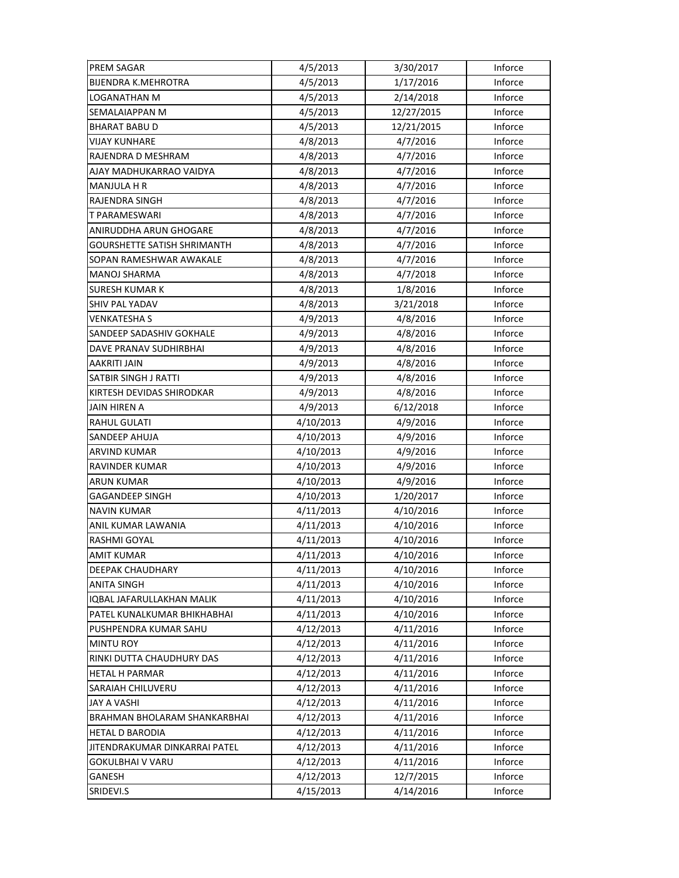| <b>PREM SAGAR</b>                  | 4/5/2013  | 3/30/2017  | Inforce |
|------------------------------------|-----------|------------|---------|
| <b>BIJENDRA K.MEHROTRA</b>         | 4/5/2013  | 1/17/2016  | Inforce |
| LOGANATHAN M                       | 4/5/2013  | 2/14/2018  | Inforce |
| SEMALAIAPPAN M                     | 4/5/2013  | 12/27/2015 | Inforce |
| <b>BHARAT BABU D</b>               | 4/5/2013  | 12/21/2015 | Inforce |
| <b>VIJAY KUNHARE</b>               | 4/8/2013  | 4/7/2016   | Inforce |
| RAJENDRA D MESHRAM                 | 4/8/2013  | 4/7/2016   | Inforce |
| AJAY MADHUKARRAO VAIDYA            | 4/8/2013  | 4/7/2016   | Inforce |
| <b>MANJULA H R</b>                 | 4/8/2013  | 4/7/2016   | Inforce |
| RAJENDRA SINGH                     | 4/8/2013  | 4/7/2016   | Inforce |
| T PARAMESWARI                      | 4/8/2013  | 4/7/2016   | Inforce |
| ANIRUDDHA ARUN GHOGARE             | 4/8/2013  | 4/7/2016   | Inforce |
| <b>GOURSHETTE SATISH SHRIMANTH</b> | 4/8/2013  | 4/7/2016   | Inforce |
| SOPAN RAMESHWAR AWAKALE            | 4/8/2013  | 4/7/2016   | Inforce |
| <b>MANOJ SHARMA</b>                | 4/8/2013  | 4/7/2018   | Inforce |
| <b>SURESH KUMAR K</b>              | 4/8/2013  | 1/8/2016   | Inforce |
| SHIV PAL YADAV                     | 4/8/2013  | 3/21/2018  | Inforce |
| VENKATESHA S                       | 4/9/2013  | 4/8/2016   | Inforce |
| SANDEEP SADASHIV GOKHALE           | 4/9/2013  | 4/8/2016   | Inforce |
| DAVE PRANAV SUDHIRBHAI             | 4/9/2013  | 4/8/2016   | Inforce |
| AAKRITI JAIN                       | 4/9/2013  | 4/8/2016   | Inforce |
| SATBIR SINGH J RATTI               | 4/9/2013  | 4/8/2016   | Inforce |
| KIRTESH DEVIDAS SHIRODKAR          | 4/9/2013  | 4/8/2016   | Inforce |
| <b>JAIN HIREN A</b>                | 4/9/2013  | 6/12/2018  | Inforce |
| <b>RAHUL GULATI</b>                | 4/10/2013 | 4/9/2016   | Inforce |
| <b>SANDEEP AHUJA</b>               | 4/10/2013 | 4/9/2016   | Inforce |
| <b>ARVIND KUMAR</b>                | 4/10/2013 | 4/9/2016   | Inforce |
| RAVINDER KUMAR                     | 4/10/2013 | 4/9/2016   | Inforce |
| ARUN KUMAR                         | 4/10/2013 | 4/9/2016   | Inforce |
| GAGANDEEP SINGH                    | 4/10/2013 | 1/20/2017  | Inforce |
| <b>NAVIN KUMAR</b>                 | 4/11/2013 | 4/10/2016  | Inforce |
| ANIL KUMAR LAWANIA                 | 4/11/2013 | 4/10/2016  | Inforce |
| RASHMI GOYAL                       | 4/11/2013 | 4/10/2016  | Inforce |
| <b>AMIT KUMAR</b>                  | 4/11/2013 | 4/10/2016  | Inforce |
| DEEPAK CHAUDHARY                   | 4/11/2013 | 4/10/2016  | Inforce |
| <b>ANITA SINGH</b>                 | 4/11/2013 | 4/10/2016  | Inforce |
| IQBAL JAFARULLAKHAN MALIK          | 4/11/2013 | 4/10/2016  | Inforce |
| PATEL KUNALKUMAR BHIKHABHAI        | 4/11/2013 | 4/10/2016  | Inforce |
| PUSHPENDRA KUMAR SAHU              | 4/12/2013 | 4/11/2016  | Inforce |
| <b>MINTU ROY</b>                   | 4/12/2013 | 4/11/2016  | Inforce |
| RINKI DUTTA CHAUDHURY DAS          | 4/12/2013 | 4/11/2016  | Inforce |
| <b>HETAL H PARMAR</b>              | 4/12/2013 | 4/11/2016  | Inforce |
| SARAIAH CHILUVERU                  | 4/12/2013 | 4/11/2016  | Inforce |
| JAY A VASHI                        | 4/12/2013 | 4/11/2016  | Inforce |
| BRAHMAN BHOLARAM SHANKARBHAI       | 4/12/2013 | 4/11/2016  | Inforce |
| <b>HETAL D BARODIA</b>             | 4/12/2013 | 4/11/2016  | Inforce |
| JITENDRAKUMAR DINKARRAI PATEL      | 4/12/2013 | 4/11/2016  | Inforce |
| <b>GOKULBHAI V VARU</b>            | 4/12/2013 | 4/11/2016  | Inforce |
| GANESH                             | 4/12/2013 | 12/7/2015  | Inforce |
| SRIDEVI.S                          | 4/15/2013 | 4/14/2016  | Inforce |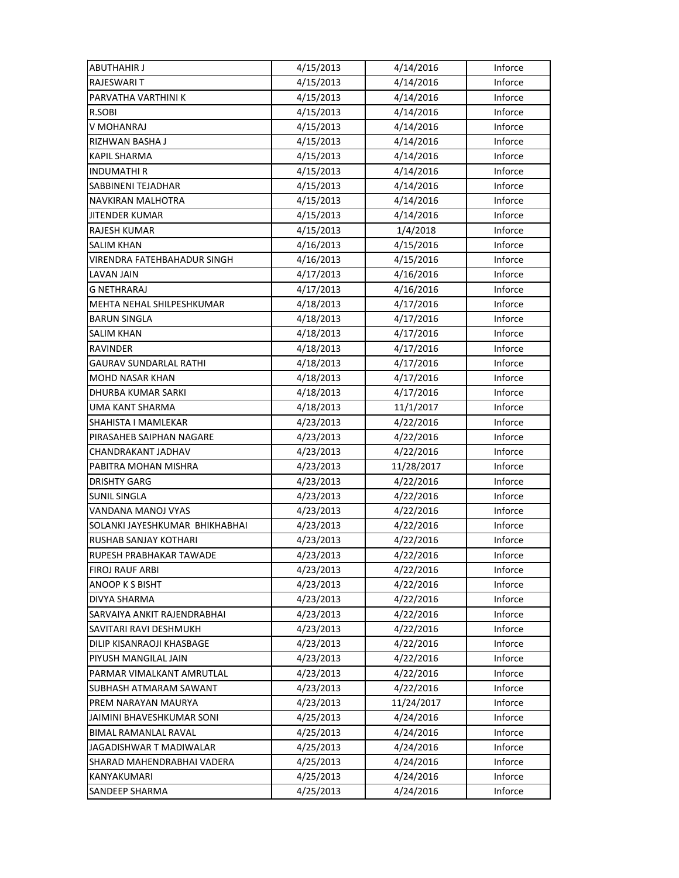| <b>ABUTHAHIR J</b>             | 4/15/2013 | 4/14/2016  | Inforce |
|--------------------------------|-----------|------------|---------|
| RAJESWARI T                    | 4/15/2013 | 4/14/2016  | Inforce |
| PARVATHA VARTHINI K            | 4/15/2013 | 4/14/2016  | Inforce |
| R.SOBI                         | 4/15/2013 | 4/14/2016  | Inforce |
| V MOHANRAJ                     | 4/15/2013 | 4/14/2016  | Inforce |
| RIZHWAN BASHA J                | 4/15/2013 | 4/14/2016  | Inforce |
| <b>KAPIL SHARMA</b>            | 4/15/2013 | 4/14/2016  | Inforce |
| <b>INDUMATHIR</b>              | 4/15/2013 | 4/14/2016  | Inforce |
| SABBINENI TEJADHAR             | 4/15/2013 | 4/14/2016  | Inforce |
| NAVKIRAN MALHOTRA              | 4/15/2013 | 4/14/2016  | Inforce |
| JITENDER KUMAR                 | 4/15/2013 | 4/14/2016  | Inforce |
| RAJESH KUMAR                   | 4/15/2013 | 1/4/2018   | Inforce |
| <b>SALIM KHAN</b>              | 4/16/2013 | 4/15/2016  | Inforce |
| VIRENDRA FATEHBAHADUR SINGH    | 4/16/2013 | 4/15/2016  | Inforce |
| LAVAN JAIN                     | 4/17/2013 | 4/16/2016  | Inforce |
| <b>G NETHRARAJ</b>             | 4/17/2013 | 4/16/2016  | Inforce |
| MEHTA NEHAL SHILPESHKUMAR      | 4/18/2013 | 4/17/2016  | Inforce |
| <b>BARUN SINGLA</b>            | 4/18/2013 | 4/17/2016  | Inforce |
| SALIM KHAN                     | 4/18/2013 | 4/17/2016  | Inforce |
| RAVINDER                       | 4/18/2013 | 4/17/2016  | Inforce |
| GAURAV SUNDARLAL RATHI         | 4/18/2013 | 4/17/2016  | Inforce |
| <b>MOHD NASAR KHAN</b>         | 4/18/2013 | 4/17/2016  | Inforce |
| DHURBA KUMAR SARKI             | 4/18/2013 | 4/17/2016  | Inforce |
| <b>UMA KANT SHARMA</b>         | 4/18/2013 | 11/1/2017  | Inforce |
| SHAHISTA I MAMLEKAR            | 4/23/2013 | 4/22/2016  | Inforce |
| PIRASAHEB SAIPHAN NAGARE       | 4/23/2013 | 4/22/2016  | Inforce |
| CHANDRAKANT JADHAV             | 4/23/2013 | 4/22/2016  | Inforce |
| PABITRA MOHAN MISHRA           | 4/23/2013 | 11/28/2017 | Inforce |
| <b>DRISHTY GARG</b>            | 4/23/2013 | 4/22/2016  | Inforce |
| <b>SUNIL SINGLA</b>            | 4/23/2013 | 4/22/2016  | Inforce |
| VANDANA MANOJ VYAS             | 4/23/2013 | 4/22/2016  | Inforce |
| SOLANKI JAYESHKUMAR BHIKHABHAI | 4/23/2013 | 4/22/2016  | Inforce |
| RUSHAB SANJAY KOTHARI          | 4/23/2013 | 4/22/2016  | Inforce |
| RUPESH PRABHAKAR TAWADE        | 4/23/2013 | 4/22/2016  | Inforce |
| FIROJ RAUF ARBI                | 4/23/2013 | 4/22/2016  | Inforce |
| ANOOP K S BISHT                | 4/23/2013 | 4/22/2016  | Inforce |
| DIVYA SHARMA                   | 4/23/2013 | 4/22/2016  | Inforce |
| SARVAIYA ANKIT RAJENDRABHAI    | 4/23/2013 | 4/22/2016  | Inforce |
| SAVITARI RAVI DESHMUKH         | 4/23/2013 | 4/22/2016  | Inforce |
| DILIP KISANRAOJI KHASBAGE      | 4/23/2013 | 4/22/2016  | Inforce |
| PIYUSH MANGILAL JAIN           | 4/23/2013 | 4/22/2016  | Inforce |
| PARMAR VIMALKANT AMRUTLAL      | 4/23/2013 | 4/22/2016  | Inforce |
| SUBHASH ATMARAM SAWANT         | 4/23/2013 | 4/22/2016  | Inforce |
| PREM NARAYAN MAURYA            | 4/23/2013 | 11/24/2017 | Inforce |
| JAIMINI BHAVESHKUMAR SONI      | 4/25/2013 | 4/24/2016  | Inforce |
| BIMAL RAMANLAL RAVAL           | 4/25/2013 | 4/24/2016  | Inforce |
| JAGADISHWAR T MADIWALAR        | 4/25/2013 | 4/24/2016  | Inforce |
| SHARAD MAHENDRABHAI VADERA     | 4/25/2013 | 4/24/2016  | Inforce |
| KANYAKUMARI                    | 4/25/2013 | 4/24/2016  | Inforce |
| SANDEEP SHARMA                 | 4/25/2013 | 4/24/2016  | Inforce |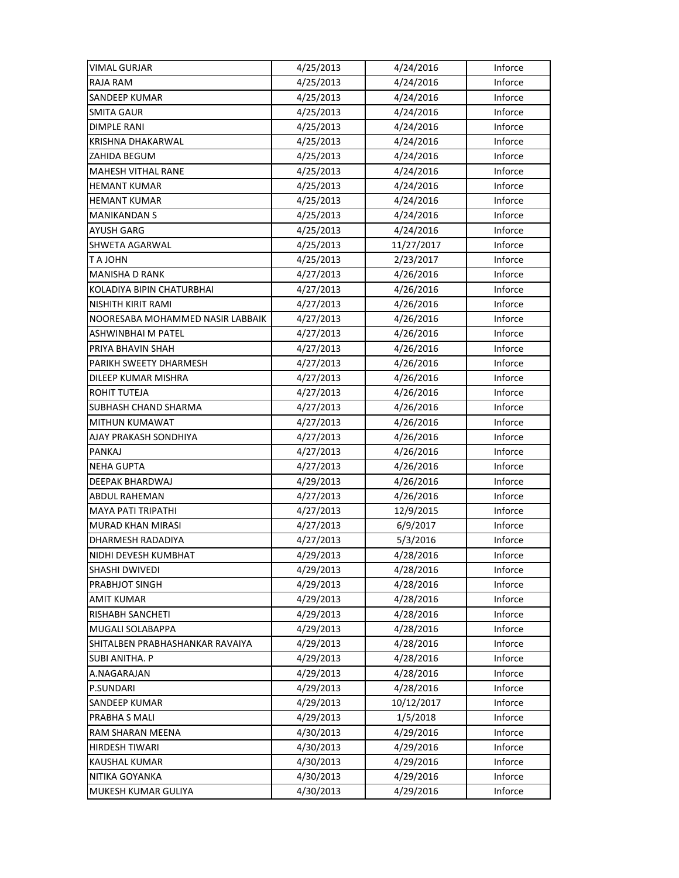| VIMAL GURJAR                     | 4/25/2013 | 4/24/2016  | Inforce |
|----------------------------------|-----------|------------|---------|
| <b>RAJA RAM</b>                  | 4/25/2013 | 4/24/2016  | Inforce |
| SANDEEP KUMAR                    | 4/25/2013 | 4/24/2016  | Inforce |
| <b>SMITA GAUR</b>                | 4/25/2013 | 4/24/2016  | Inforce |
| <b>DIMPLE RANI</b>               | 4/25/2013 | 4/24/2016  | Inforce |
| KRISHNA DHAKARWAL                | 4/25/2013 | 4/24/2016  | Inforce |
| ZAHIDA BEGUM                     | 4/25/2013 | 4/24/2016  | Inforce |
| <b>MAHESH VITHAL RANE</b>        | 4/25/2013 | 4/24/2016  | Inforce |
| <b>HEMANT KUMAR</b>              | 4/25/2013 | 4/24/2016  | Inforce |
| <b>HEMANT KUMAR</b>              | 4/25/2013 | 4/24/2016  | Inforce |
| <b>MANIKANDAN S</b>              | 4/25/2013 | 4/24/2016  | Inforce |
| AYUSH GARG                       | 4/25/2013 | 4/24/2016  | Inforce |
| SHWETA AGARWAL                   | 4/25/2013 | 11/27/2017 | Inforce |
| T A JOHN                         | 4/25/2013 | 2/23/2017  | Inforce |
| <b>MANISHA D RANK</b>            | 4/27/2013 | 4/26/2016  | Inforce |
| KOLADIYA BIPIN CHATURBHAI        | 4/27/2013 | 4/26/2016  | Inforce |
| NISHITH KIRIT RAMI               | 4/27/2013 | 4/26/2016  | Inforce |
| NOORESABA MOHAMMED NASIR LABBAIK | 4/27/2013 | 4/26/2016  | Inforce |
| ASHWINBHAI M PATEL               | 4/27/2013 | 4/26/2016  | Inforce |
| PRIYA BHAVIN SHAH                | 4/27/2013 | 4/26/2016  | Inforce |
| PARIKH SWEETY DHARMESH           | 4/27/2013 | 4/26/2016  | Inforce |
| DILEEP KUMAR MISHRA              | 4/27/2013 | 4/26/2016  | Inforce |
| ROHIT TUTEJA                     | 4/27/2013 | 4/26/2016  | Inforce |
| SUBHASH CHAND SHARMA             | 4/27/2013 | 4/26/2016  | Inforce |
| MITHUN KUMAWAT                   | 4/27/2013 | 4/26/2016  | Inforce |
| AJAY PRAKASH SONDHIYA            | 4/27/2013 | 4/26/2016  | Inforce |
| PANKAJ                           | 4/27/2013 | 4/26/2016  | Inforce |
| <b>NEHA GUPTA</b>                | 4/27/2013 | 4/26/2016  | Inforce |
| DEEPAK BHARDWAJ                  | 4/29/2013 | 4/26/2016  | Inforce |
| <b>ABDUL RAHEMAN</b>             | 4/27/2013 | 4/26/2016  | Inforce |
| <b>MAYA PATI TRIPATHI</b>        | 4/27/2013 | 12/9/2015  | Inforce |
| <b>MURAD KHAN MIRASI</b>         | 4/27/2013 | 6/9/2017   | Inforce |
| DHARMESH RADADIYA                | 4/27/2013 | 5/3/2016   | Inforce |
| NIDHI DEVESH KUMBHAT             | 4/29/2013 | 4/28/2016  | Inforce |
| SHASHI DWIVEDI                   | 4/29/2013 | 4/28/2016  | Inforce |
| PRABHJOT SINGH                   | 4/29/2013 | 4/28/2016  | Inforce |
| <b>AMIT KUMAR</b>                | 4/29/2013 | 4/28/2016  | Inforce |
| RISHABH SANCHETI                 | 4/29/2013 | 4/28/2016  | Inforce |
| MUGALI SOLABAPPA                 | 4/29/2013 | 4/28/2016  | Inforce |
| SHITALBEN PRABHASHANKAR RAVAIYA  | 4/29/2013 | 4/28/2016  | Inforce |
| <b>SUBI ANITHA. P</b>            | 4/29/2013 | 4/28/2016  | Inforce |
| A.NAGARAJAN                      | 4/29/2013 | 4/28/2016  | Inforce |
| P.SUNDARI                        | 4/29/2013 | 4/28/2016  | Inforce |
| SANDEEP KUMAR                    | 4/29/2013 | 10/12/2017 | Inforce |
| PRABHA S MALI                    | 4/29/2013 | 1/5/2018   | Inforce |
| RAM SHARAN MEENA                 | 4/30/2013 | 4/29/2016  | Inforce |
| HIRDESH TIWARI                   | 4/30/2013 | 4/29/2016  | Inforce |
| <b>KAUSHAL KUMAR</b>             | 4/30/2013 | 4/29/2016  | Inforce |
| NITIKA GOYANKA                   | 4/30/2013 | 4/29/2016  | Inforce |
| MUKESH KUMAR GULIYA              | 4/30/2013 | 4/29/2016  | Inforce |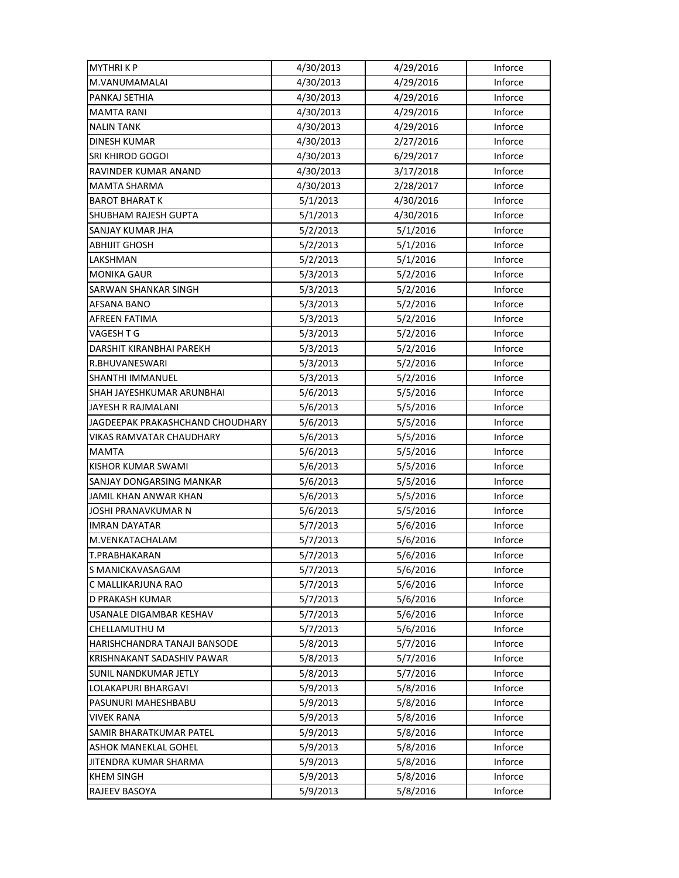| <b>MYTHRIKP</b>                  | 4/30/2013 | 4/29/2016 | Inforce |
|----------------------------------|-----------|-----------|---------|
| M.VANUMAMALAI                    | 4/30/2013 | 4/29/2016 | Inforce |
| PANKAJ SETHIA                    | 4/30/2013 | 4/29/2016 | Inforce |
| <b>MAMTA RANI</b>                | 4/30/2013 | 4/29/2016 | Inforce |
| <b>NALIN TANK</b>                | 4/30/2013 | 4/29/2016 | Inforce |
| <b>DINESH KUMAR</b>              | 4/30/2013 | 2/27/2016 | Inforce |
| SRI KHIROD GOGOI                 | 4/30/2013 | 6/29/2017 | Inforce |
| RAVINDER KUMAR ANAND             | 4/30/2013 | 3/17/2018 | Inforce |
| MAMTA SHARMA                     | 4/30/2013 | 2/28/2017 | Inforce |
| <b>BAROT BHARAT K</b>            | 5/1/2013  | 4/30/2016 | Inforce |
| SHUBHAM RAJESH GUPTA             | 5/1/2013  | 4/30/2016 | Inforce |
| SANJAY KUMAR JHA                 | 5/2/2013  | 5/1/2016  | Inforce |
| <b>ABHIJIT GHOSH</b>             | 5/2/2013  | 5/1/2016  | Inforce |
| LAKSHMAN                         | 5/2/2013  | 5/1/2016  | Inforce |
| <b>MONIKA GAUR</b>               | 5/3/2013  | 5/2/2016  | Inforce |
| <b>SARWAN SHANKAR SINGH</b>      | 5/3/2013  | 5/2/2016  | Inforce |
| <b>AFSANA BANO</b>               | 5/3/2013  | 5/2/2016  | Inforce |
| <b>AFREEN FATIMA</b>             | 5/3/2013  | 5/2/2016  | Inforce |
| VAGESH T G                       | 5/3/2013  | 5/2/2016  | Inforce |
| DARSHIT KIRANBHAI PAREKH         | 5/3/2013  | 5/2/2016  | Inforce |
| R.BHUVANESWARI                   | 5/3/2013  | 5/2/2016  | Inforce |
| SHANTHI IMMANUEL                 | 5/3/2013  | 5/2/2016  | Inforce |
| SHAH JAYESHKUMAR ARUNBHAI        | 5/6/2013  | 5/5/2016  | Inforce |
| JAYESH R RAJMALANI               | 5/6/2013  | 5/5/2016  | Inforce |
| JAGDEEPAK PRAKASHCHAND CHOUDHARY | 5/6/2013  | 5/5/2016  | Inforce |
| VIKAS RAMVATAR CHAUDHARY         | 5/6/2013  | 5/5/2016  | Inforce |
| <b>MAMTA</b>                     | 5/6/2013  | 5/5/2016  | Inforce |
| KISHOR KUMAR SWAMI               | 5/6/2013  | 5/5/2016  | Inforce |
| SANJAY DONGARSING MANKAR         | 5/6/2013  | 5/5/2016  | Inforce |
| JAMIL KHAN ANWAR KHAN            | 5/6/2013  | 5/5/2016  | Inforce |
| <b>JOSHI PRANAVKUMAR N</b>       | 5/6/2013  | 5/5/2016  | Inforce |
| <b>IMRAN DAYATAR</b>             | 5/7/2013  | 5/6/2016  | Inforce |
| M.VENKATACHALAM                  | 5/7/2013  | 5/6/2016  | Inforce |
| T.PRABHAKARAN                    | 5/7/2013  | 5/6/2016  | Inforce |
| S MANICKAVASAGAM                 | 5/7/2013  | 5/6/2016  | Inforce |
| C MALLIKARJUNA RAO               | 5/7/2013  | 5/6/2016  | Inforce |
| D PRAKASH KUMAR                  | 5/7/2013  | 5/6/2016  | Inforce |
| USANALE DIGAMBAR KESHAV          | 5/7/2013  | 5/6/2016  | Inforce |
| CHELLAMUTHU M                    | 5/7/2013  | 5/6/2016  | Inforce |
| HARISHCHANDRA TANAJI BANSODE     | 5/8/2013  | 5/7/2016  | Inforce |
| KRISHNAKANT SADASHIV PAWAR       | 5/8/2013  | 5/7/2016  | Inforce |
| <b>SUNIL NANDKUMAR JETLY</b>     | 5/8/2013  | 5/7/2016  | Inforce |
| LOLAKAPURI BHARGAVI              | 5/9/2013  | 5/8/2016  | Inforce |
| PASUNURI MAHESHBABU              | 5/9/2013  | 5/8/2016  | Inforce |
| VIVEK RANA                       | 5/9/2013  | 5/8/2016  | Inforce |
| SAMIR BHARATKUMAR PATEL          | 5/9/2013  | 5/8/2016  | Inforce |
| ASHOK MANEKLAL GOHEL             | 5/9/2013  | 5/8/2016  | Inforce |
| JITENDRA KUMAR SHARMA            | 5/9/2013  | 5/8/2016  | Inforce |
| <b>KHEM SINGH</b>                | 5/9/2013  | 5/8/2016  | Inforce |
| RAJEEV BASOYA                    | 5/9/2013  | 5/8/2016  | Inforce |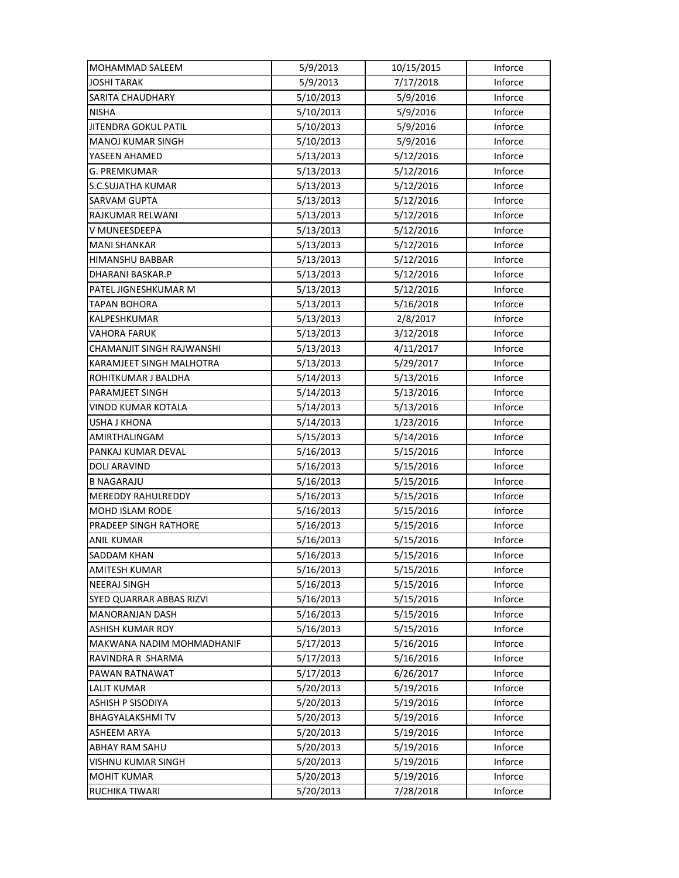| MOHAMMAD SALEEM           | 5/9/2013  | 10/15/2015 | Inforce |
|---------------------------|-----------|------------|---------|
| <b>JOSHI TARAK</b>        | 5/9/2013  | 7/17/2018  | Inforce |
| <b>SARITA CHAUDHARY</b>   | 5/10/2013 | 5/9/2016   | Inforce |
| <b>NISHA</b>              | 5/10/2013 | 5/9/2016   | Inforce |
| JITENDRA GOKUL PATIL      | 5/10/2013 | 5/9/2016   | Inforce |
| <b>MANOJ KUMAR SINGH</b>  | 5/10/2013 | 5/9/2016   | Inforce |
| YASEEN AHAMED             | 5/13/2013 | 5/12/2016  | Inforce |
| <b>G. PREMKUMAR</b>       | 5/13/2013 | 5/12/2016  | Inforce |
| <b>S.C.SUJATHA KUMAR</b>  | 5/13/2013 | 5/12/2016  | Inforce |
| <b>SARVAM GUPTA</b>       | 5/13/2013 | 5/12/2016  | Inforce |
| RAJKUMAR RELWANI          | 5/13/2013 | 5/12/2016  | Inforce |
| V MUNEESDEEPA             | 5/13/2013 | 5/12/2016  | Inforce |
| <b>MANI SHANKAR</b>       | 5/13/2013 | 5/12/2016  | Inforce |
| HIMANSHU BABBAR           | 5/13/2013 | 5/12/2016  | Inforce |
| DHARANI BASKAR.P          | 5/13/2013 | 5/12/2016  | Inforce |
| PATEL JIGNESHKUMAR M      | 5/13/2013 | 5/12/2016  | Inforce |
| TAPAN BOHORA              | 5/13/2013 | 5/16/2018  | Inforce |
| KALPESHKUMAR              | 5/13/2013 | 2/8/2017   | Inforce |
| VAHORA FARUK              | 5/13/2013 | 3/12/2018  | Inforce |
| CHAMANJIT SINGH RAJWANSHI | 5/13/2013 | 4/11/2017  | Inforce |
| KARAMJEET SINGH MALHOTRA  | 5/13/2013 | 5/29/2017  | Inforce |
| ROHITKUMAR J BALDHA       | 5/14/2013 | 5/13/2016  | Inforce |
| PARAMJEET SINGH           | 5/14/2013 | 5/13/2016  | Inforce |
| VINOD KUMAR KOTALA        | 5/14/2013 | 5/13/2016  | Inforce |
| <b>USHA J KHONA</b>       | 5/14/2013 | 1/23/2016  | Inforce |
| AMIRTHALINGAM             | 5/15/2013 | 5/14/2016  | Inforce |
| PANKAJ KUMAR DEVAL        | 5/16/2013 | 5/15/2016  | Inforce |
| DOLI ARAVIND              | 5/16/2013 | 5/15/2016  | Inforce |
| <b>B NAGARAJU</b>         | 5/16/2013 | 5/15/2016  | Inforce |
| MEREDDY RAHULREDDY        | 5/16/2013 | 5/15/2016  | Inforce |
| MOHD ISLAM RODE           | 5/16/2013 | 5/15/2016  | Inforce |
| PRADEEP SINGH RATHORE     | 5/16/2013 | 5/15/2016  | Inforce |
| ANIL KUMAR                | 5/16/2013 | 5/15/2016  | Inforce |
| <b>SADDAM KHAN</b>        | 5/16/2013 | 5/15/2016  | Inforce |
| AMITESH KUMAR             | 5/16/2013 | 5/15/2016  | Inforce |
| <b>NEERAJ SINGH</b>       | 5/16/2013 | 5/15/2016  | Inforce |
| SYED QUARRAR ABBAS RIZVI  | 5/16/2013 | 5/15/2016  | Inforce |
| <b>MANORANJAN DASH</b>    | 5/16/2013 | 5/15/2016  | Inforce |
| ASHISH KUMAR ROY          | 5/16/2013 | 5/15/2016  | Inforce |
| MAKWANA NADIM MOHMADHANIF | 5/17/2013 | 5/16/2016  | Inforce |
| RAVINDRA R SHARMA         | 5/17/2013 | 5/16/2016  | Inforce |
| PAWAN RATNAWAT            | 5/17/2013 | 6/26/2017  | Inforce |
| <b>LALIT KUMAR</b>        | 5/20/2013 | 5/19/2016  | Inforce |
| ASHISH P SISODIYA         | 5/20/2013 | 5/19/2016  | Inforce |
| <b>BHAGYALAKSHMITV</b>    | 5/20/2013 | 5/19/2016  | Inforce |
| <b>ASHEEM ARYA</b>        | 5/20/2013 | 5/19/2016  | Inforce |
| ABHAY RAM SAHU            | 5/20/2013 | 5/19/2016  | Inforce |
| VISHNU KUMAR SINGH        | 5/20/2013 | 5/19/2016  | Inforce |
| <b>MOHIT KUMAR</b>        | 5/20/2013 | 5/19/2016  | Inforce |
| RUCHIKA TIWARI            | 5/20/2013 | 7/28/2018  | Inforce |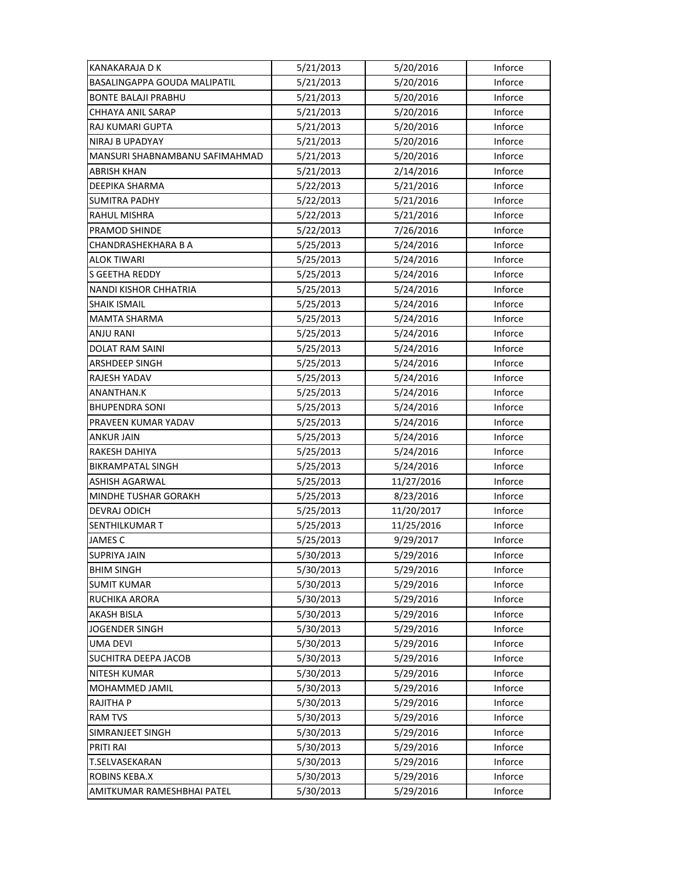| <b>KANAKARAJA D K</b>          | 5/21/2013 | 5/20/2016  | Inforce |
|--------------------------------|-----------|------------|---------|
| BASALINGAPPA GOUDA MALIPATIL   | 5/21/2013 | 5/20/2016  | Inforce |
| <b>BONTE BALAJI PRABHU</b>     | 5/21/2013 | 5/20/2016  | Inforce |
| CHHAYA ANIL SARAP              | 5/21/2013 | 5/20/2016  | Inforce |
| RAJ KUMARI GUPTA               | 5/21/2013 | 5/20/2016  | Inforce |
| NIRAJ B UPADYAY                | 5/21/2013 | 5/20/2016  | Inforce |
| MANSURI SHABNAMBANU SAFIMAHMAD | 5/21/2013 | 5/20/2016  | Inforce |
| <b>ABRISH KHAN</b>             | 5/21/2013 | 2/14/2016  | Inforce |
| DEEPIKA SHARMA                 | 5/22/2013 | 5/21/2016  | Inforce |
| <b>SUMITRA PADHY</b>           | 5/22/2013 | 5/21/2016  | Inforce |
| RAHUL MISHRA                   | 5/22/2013 | 5/21/2016  | Inforce |
| PRAMOD SHINDE                  | 5/22/2013 | 7/26/2016  | Inforce |
| CHANDRASHEKHARA B A            | 5/25/2013 | 5/24/2016  | Inforce |
| ALOK TIWARI                    | 5/25/2013 | 5/24/2016  | Inforce |
| <b>S GEETHA REDDY</b>          | 5/25/2013 | 5/24/2016  | Inforce |
| <b>NANDI KISHOR CHHATRIA</b>   | 5/25/2013 | 5/24/2016  | Inforce |
| <b>SHAIK ISMAIL</b>            | 5/25/2013 | 5/24/2016  | Inforce |
| <b>MAMTA SHARMA</b>            | 5/25/2013 | 5/24/2016  | Inforce |
| <b>ANJU RANI</b>               | 5/25/2013 | 5/24/2016  | Inforce |
| <b>DOLAT RAM SAINI</b>         | 5/25/2013 | 5/24/2016  | Inforce |
| ARSHDEEP SINGH                 | 5/25/2013 | 5/24/2016  | Inforce |
| RAJESH YADAV                   | 5/25/2013 | 5/24/2016  | Inforce |
| ANANTHAN.K                     | 5/25/2013 | 5/24/2016  | Inforce |
| <b>BHUPENDRA SONI</b>          | 5/25/2013 | 5/24/2016  | Inforce |
| PRAVEEN KUMAR YADAV            | 5/25/2013 | 5/24/2016  | Inforce |
| ANKUR JAIN                     | 5/25/2013 | 5/24/2016  | Inforce |
| RAKESH DAHIYA                  | 5/25/2013 | 5/24/2016  | Inforce |
| BIKRAMPATAL SINGH              | 5/25/2013 | 5/24/2016  | Inforce |
| <b>ASHISH AGARWAL</b>          | 5/25/2013 | 11/27/2016 | Inforce |
| <b>MINDHE TUSHAR GORAKH</b>    | 5/25/2013 | 8/23/2016  | Inforce |
| DEVRAJ ODICH                   | 5/25/2013 | 11/20/2017 | Inforce |
| SENTHILKUMAR T                 | 5/25/2013 | 11/25/2016 | Inforce |
| JAMES C                        | 5/25/2013 | 9/29/2017  | Inforce |
| <b>SUPRIYA JAIN</b>            | 5/30/2013 | 5/29/2016  | Inforce |
| <b>BHIM SINGH</b>              | 5/30/2013 | 5/29/2016  | Inforce |
| <b>SUMIT KUMAR</b>             | 5/30/2013 | 5/29/2016  | Inforce |
| RUCHIKA ARORA                  | 5/30/2013 | 5/29/2016  | Inforce |
| <b>AKASH BISLA</b>             | 5/30/2013 | 5/29/2016  | Inforce |
| <b>JOGENDER SINGH</b>          | 5/30/2013 | 5/29/2016  | Inforce |
| <b>UMA DEVI</b>                | 5/30/2013 | 5/29/2016  | Inforce |
| SUCHITRA DEEPA JACOB           | 5/30/2013 | 5/29/2016  | Inforce |
| NITESH KUMAR                   | 5/30/2013 | 5/29/2016  | Inforce |
| MOHAMMED JAMIL                 | 5/30/2013 | 5/29/2016  | Inforce |
| <b>RAJITHA P</b>               | 5/30/2013 | 5/29/2016  | Inforce |
| <b>RAM TVS</b>                 | 5/30/2013 | 5/29/2016  | Inforce |
| SIMRANJEET SINGH               | 5/30/2013 | 5/29/2016  | Inforce |
| <b>PRITI RAI</b>               | 5/30/2013 | 5/29/2016  | Inforce |
| T.SELVASEKARAN                 | 5/30/2013 | 5/29/2016  | Inforce |
| ROBINS KEBA.X                  | 5/30/2013 | 5/29/2016  | Inforce |
| AMITKUMAR RAMESHBHAI PATEL     | 5/30/2013 | 5/29/2016  | Inforce |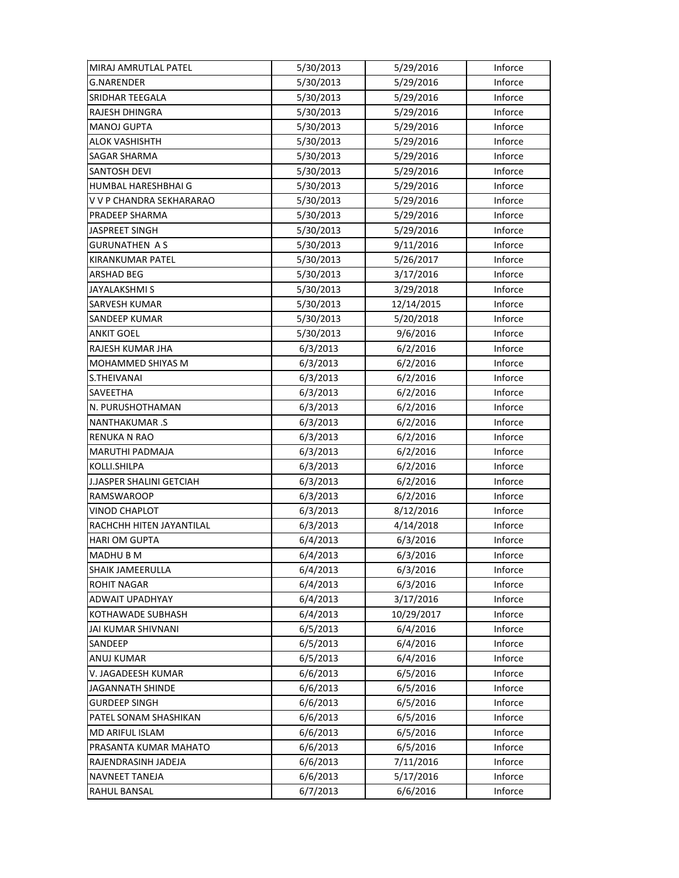| MIRAJ AMRUTLAL PATEL      | 5/30/2013 | 5/29/2016  | Inforce |
|---------------------------|-----------|------------|---------|
| <b>G.NARENDER</b>         | 5/30/2013 | 5/29/2016  | Inforce |
| SRIDHAR TEEGALA           | 5/30/2013 | 5/29/2016  | Inforce |
| RAJESH DHINGRA            | 5/30/2013 | 5/29/2016  | Inforce |
| <b>MANOJ GUPTA</b>        | 5/30/2013 | 5/29/2016  | Inforce |
| <b>ALOK VASHISHTH</b>     | 5/30/2013 | 5/29/2016  | Inforce |
| SAGAR SHARMA              | 5/30/2013 | 5/29/2016  | Inforce |
| SANTOSH DEVI              | 5/30/2013 | 5/29/2016  | Inforce |
| HUMBAL HARESHBHAI G       | 5/30/2013 | 5/29/2016  | Inforce |
| V V P CHANDRA SEKHARARAO  | 5/30/2013 | 5/29/2016  | Inforce |
| PRADEEP SHARMA            | 5/30/2013 | 5/29/2016  | Inforce |
| <b>JASPREET SINGH</b>     | 5/30/2013 | 5/29/2016  | Inforce |
| <b>GURUNATHEN AS</b>      | 5/30/2013 | 9/11/2016  | Inforce |
| KIRANKUMAR PATEL          | 5/30/2013 | 5/26/2017  | Inforce |
| <b>ARSHAD BEG</b>         | 5/30/2013 | 3/17/2016  | Inforce |
| <b>JAYALAKSHMI S</b>      | 5/30/2013 | 3/29/2018  | Inforce |
| <b>SARVESH KUMAR</b>      | 5/30/2013 | 12/14/2015 | Inforce |
| <b>SANDEEP KUMAR</b>      | 5/30/2013 | 5/20/2018  | Inforce |
| <b>ANKIT GOEL</b>         | 5/30/2013 | 9/6/2016   | Inforce |
| RAJESH KUMAR JHA          | 6/3/2013  | 6/2/2016   | Inforce |
| MOHAMMED SHIYAS M         | 6/3/2013  | 6/2/2016   | Inforce |
| S.THEIVANAI               | 6/3/2013  | 6/2/2016   | Inforce |
| SAVEETHA                  | 6/3/2013  | 6/2/2016   | Inforce |
| N. PURUSHOTHAMAN          | 6/3/2013  | 6/2/2016   | Inforce |
| <b>NANTHAKUMAR.S</b>      | 6/3/2013  | 6/2/2016   | Inforce |
| <b>RENUKA N RAO</b>       | 6/3/2013  | 6/2/2016   | Inforce |
| MARUTHI PADMAJA           | 6/3/2013  | 6/2/2016   | Inforce |
| KOLLI.SHILPA              | 6/3/2013  | 6/2/2016   | Inforce |
| J.JASPER SHALINI GETCIAH  | 6/3/2013  | 6/2/2016   | Inforce |
| RAMSWAROOP                | 6/3/2013  | 6/2/2016   | Inforce |
| <b>VINOD CHAPLOT</b>      | 6/3/2013  | 8/12/2016  | Inforce |
| RACHCHH HITEN JAYANTILAL  | 6/3/2013  | 4/14/2018  | Inforce |
| <b>HARI OM GUPTA</b>      | 6/4/2013  | 6/3/2016   | Inforce |
| MADHU B M                 | 6/4/2013  | 6/3/2016   | Inforce |
| <b>SHAIK JAMEERULLA</b>   | 6/4/2013  | 6/3/2016   | Inforce |
| <b>ROHIT NAGAR</b>        | 6/4/2013  | 6/3/2016   | Inforce |
| ADWAIT UPADHYAY           | 6/4/2013  | 3/17/2016  | Inforce |
| KOTHAWADE SUBHASH         | 6/4/2013  | 10/29/2017 | Inforce |
| <b>JAI KUMAR SHIVNANI</b> | 6/5/2013  | 6/4/2016   | Inforce |
| SANDEEP                   | 6/5/2013  | 6/4/2016   | Inforce |
| ANUJ KUMAR                | 6/5/2013  | 6/4/2016   | Inforce |
| V. JAGADEESH KUMAR        | 6/6/2013  | 6/5/2016   | Inforce |
| JAGANNATH SHINDE          | 6/6/2013  | 6/5/2016   | Inforce |
| <b>GURDEEP SINGH</b>      | 6/6/2013  | 6/5/2016   | Inforce |
| PATEL SONAM SHASHIKAN     | 6/6/2013  | 6/5/2016   | Inforce |
| MD ARIFUL ISLAM           | 6/6/2013  | 6/5/2016   | Inforce |
| PRASANTA KUMAR MAHATO     | 6/6/2013  | 6/5/2016   | Inforce |
| RAJENDRASINH JADEJA       | 6/6/2013  | 7/11/2016  | Inforce |
| <b>NAVNEET TANEJA</b>     | 6/6/2013  | 5/17/2016  | Inforce |
| RAHUL BANSAL              | 6/7/2013  | 6/6/2016   | Inforce |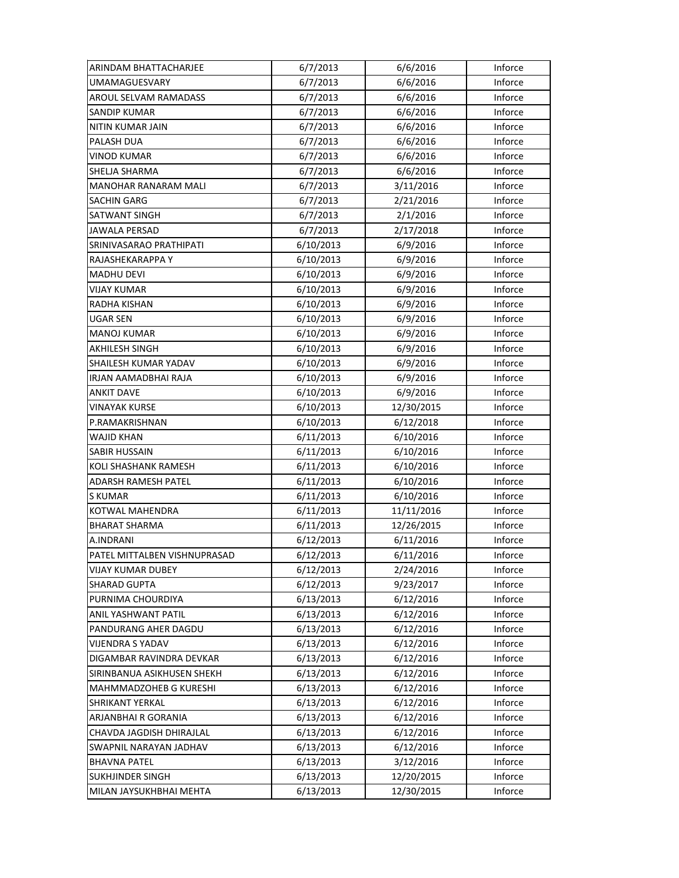| ARINDAM BHATTACHARJEE         | 6/7/2013  | 6/6/2016   | Inforce |
|-------------------------------|-----------|------------|---------|
| <b>UMAMAGUESVARY</b>          | 6/7/2013  | 6/6/2016   | Inforce |
| AROUL SELVAM RAMADASS         | 6/7/2013  | 6/6/2016   | Inforce |
| SANDIP KUMAR                  | 6/7/2013  | 6/6/2016   | Inforce |
| NITIN KUMAR JAIN              | 6/7/2013  | 6/6/2016   | Inforce |
| PALASH DUA                    | 6/7/2013  | 6/6/2016   | Inforce |
| <b>VINOD KUMAR</b>            | 6/7/2013  | 6/6/2016   | Inforce |
| SHELJA SHARMA                 | 6/7/2013  | 6/6/2016   | Inforce |
| MANOHAR RANARAM MALI          | 6/7/2013  | 3/11/2016  | Inforce |
| SACHIN GARG                   | 6/7/2013  | 2/21/2016  | Inforce |
| SATWANT SINGH                 | 6/7/2013  | 2/1/2016   | Inforce |
| JAWALA PERSAD                 | 6/7/2013  | 2/17/2018  | Inforce |
| SRINIVASARAO PRATHIPATI       | 6/10/2013 | 6/9/2016   | Inforce |
| RAJASHEKARAPPA Y              | 6/10/2013 | 6/9/2016   | Inforce |
| <b>MADHU DEVI</b>             | 6/10/2013 | 6/9/2016   | Inforce |
| <b>VIJAY KUMAR</b>            | 6/10/2013 | 6/9/2016   | Inforce |
| RADHA KISHAN                  | 6/10/2013 | 6/9/2016   | Inforce |
| UGAR SEN                      | 6/10/2013 | 6/9/2016   | Inforce |
| <b>MANOJ KUMAR</b>            | 6/10/2013 | 6/9/2016   | Inforce |
| AKHILESH SINGH                | 6/10/2013 | 6/9/2016   | Inforce |
| SHAILESH KUMAR YADAV          | 6/10/2013 | 6/9/2016   | Inforce |
| IRJAN AAMADBHAI RAJA          | 6/10/2013 | 6/9/2016   | Inforce |
| ANKIT DAVE                    | 6/10/2013 | 6/9/2016   | Inforce |
| <b>VINAYAK KURSE</b>          | 6/10/2013 | 12/30/2015 | Inforce |
| P.RAMAKRISHNAN                | 6/10/2013 | 6/12/2018  | Inforce |
|                               |           |            |         |
| WAJID KHAN                    | 6/11/2013 | 6/10/2016  | Inforce |
| <b>SABIR HUSSAIN</b>          | 6/11/2013 | 6/10/2016  | Inforce |
| KOLI SHASHANK RAMESH          | 6/11/2013 | 6/10/2016  | Inforce |
| ADARSH RAMESH PATEL           | 6/11/2013 | 6/10/2016  | Inforce |
| <b>SKUMAR</b>                 | 6/11/2013 | 6/10/2016  | Inforce |
| KOTWAL MAHENDRA               | 6/11/2013 | 11/11/2016 | Inforce |
| <b>BHARAT SHARMA</b>          | 6/11/2013 | 12/26/2015 | Inforce |
| A.INDRANI                     | 6/12/2013 | 6/11/2016  | Inforce |
| PATEL MITTALBEN VISHNUPRASAD  | 6/12/2013 | 6/11/2016  | Inforce |
| <b>VIJAY KUMAR DUBEY</b>      | 6/12/2013 | 2/24/2016  | Inforce |
| <b>SHARAD GUPTA</b>           | 6/12/2013 | 9/23/2017  | Inforce |
| PURNIMA CHOURDIYA             | 6/13/2013 | 6/12/2016  | Inforce |
| ANIL YASHWANT PATIL           | 6/13/2013 | 6/12/2016  | Inforce |
| PANDURANG AHER DAGDU          | 6/13/2013 | 6/12/2016  | Inforce |
| <b>VIJENDRA S YADAV</b>       | 6/13/2013 | 6/12/2016  | Inforce |
| DIGAMBAR RAVINDRA DEVKAR      | 6/13/2013 | 6/12/2016  | Inforce |
| SIRINBANUA ASIKHUSEN SHEKH    | 6/13/2013 | 6/12/2016  | Inforce |
| <b>MAHMMADZOHEB G KURESHI</b> | 6/13/2013 | 6/12/2016  | Inforce |
| <b>SHRIKANT YERKAL</b>        | 6/13/2013 | 6/12/2016  | Inforce |
| ARJANBHAI R GORANIA           | 6/13/2013 | 6/12/2016  | Inforce |
| CHAVDA JAGDISH DHIRAJLAL      | 6/13/2013 | 6/12/2016  | Inforce |
| SWAPNIL NARAYAN JADHAV        | 6/13/2013 | 6/12/2016  | Inforce |
| <b>BHAVNA PATEL</b>           | 6/13/2013 | 3/12/2016  | Inforce |
| <b>SUKHJINDER SINGH</b>       | 6/13/2013 | 12/20/2015 | Inforce |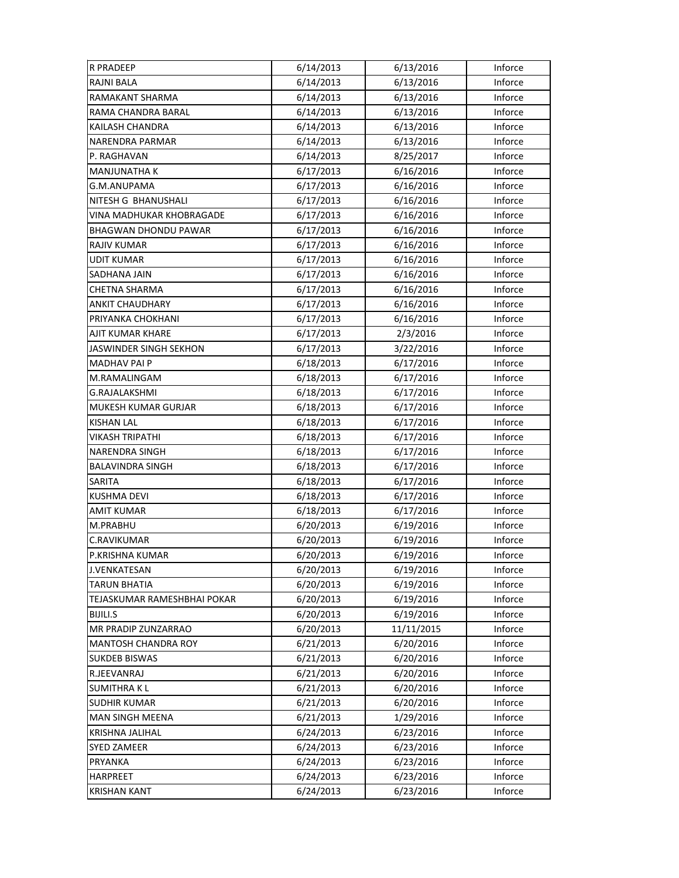| <b>R PRADEEP</b>            | 6/14/2013 | 6/13/2016  | Inforce |
|-----------------------------|-----------|------------|---------|
| <b>RAJNI BALA</b>           | 6/14/2013 | 6/13/2016  | Inforce |
| RAMAKANT SHARMA             | 6/14/2013 | 6/13/2016  | Inforce |
| RAMA CHANDRA BARAL          | 6/14/2013 | 6/13/2016  | Inforce |
| KAILASH CHANDRA             | 6/14/2013 | 6/13/2016  | Inforce |
| <b>NARENDRA PARMAR</b>      | 6/14/2013 | 6/13/2016  | Inforce |
| P. RAGHAVAN                 | 6/14/2013 | 8/25/2017  | Inforce |
| <b>MANJUNATHA K</b>         | 6/17/2013 | 6/16/2016  | Inforce |
| G.M.ANUPAMA                 | 6/17/2013 | 6/16/2016  | Inforce |
| NITESH G BHANUSHALI         | 6/17/2013 | 6/16/2016  | Inforce |
| VINA MADHUKAR KHOBRAGADE    | 6/17/2013 | 6/16/2016  | Inforce |
| <b>BHAGWAN DHONDU PAWAR</b> | 6/17/2013 | 6/16/2016  | Inforce |
| RAJIV KUMAR                 | 6/17/2013 | 6/16/2016  | Inforce |
| <b>UDIT KUMAR</b>           | 6/17/2013 | 6/16/2016  | Inforce |
| SADHANA JAIN                | 6/17/2013 | 6/16/2016  | Inforce |
| <b>CHETNA SHARMA</b>        | 6/17/2013 | 6/16/2016  | Inforce |
| <b>ANKIT CHAUDHARY</b>      | 6/17/2013 | 6/16/2016  | Inforce |
| PRIYANKA CHOKHANI           | 6/17/2013 | 6/16/2016  | Inforce |
| AJIT KUMAR KHARE            | 6/17/2013 | 2/3/2016   | Inforce |
| JASWINDER SINGH SEKHON      | 6/17/2013 | 3/22/2016  | Inforce |
| <b>MADHAV PAI P</b>         | 6/18/2013 | 6/17/2016  | Inforce |
| M.RAMALINGAM                | 6/18/2013 | 6/17/2016  | Inforce |
| <b>G.RAJALAKSHMI</b>        | 6/18/2013 | 6/17/2016  | Inforce |
| MUKESH KUMAR GURJAR         | 6/18/2013 | 6/17/2016  | Inforce |
| <b>KISHAN LAL</b>           | 6/18/2013 | 6/17/2016  | Inforce |
| <b>VIKASH TRIPATHI</b>      | 6/18/2013 | 6/17/2016  | Inforce |
| <b>NARENDRA SINGH</b>       | 6/18/2013 | 6/17/2016  | Inforce |
| <b>BALAVINDRA SINGH</b>     | 6/18/2013 | 6/17/2016  | Inforce |
| SARITA                      | 6/18/2013 | 6/17/2016  | Inforce |
| <b>KUSHMA DEVI</b>          | 6/18/2013 | 6/17/2016  | Inforce |
| <b>AMIT KUMAR</b>           | 6/18/2013 | 6/17/2016  | Inforce |
| M.PRABHU                    | 6/20/2013 | 6/19/2016  | Inforce |
| C.RAVIKUMAR                 | 6/20/2013 | 6/19/2016  | Inforce |
| P.KRISHNA KUMAR             | 6/20/2013 | 6/19/2016  | Inforce |
| J.VENKATESAN                | 6/20/2013 | 6/19/2016  | Inforce |
| <b>TARUN BHATIA</b>         | 6/20/2013 | 6/19/2016  | Inforce |
| TEJASKUMAR RAMESHBHAI POKAR | 6/20/2013 | 6/19/2016  | Inforce |
| <b>BIJILI.S</b>             | 6/20/2013 | 6/19/2016  | Inforce |
| MR PRADIP ZUNZARRAO         | 6/20/2013 | 11/11/2015 | Inforce |
| <b>MANTOSH CHANDRA ROY</b>  | 6/21/2013 | 6/20/2016  | Inforce |
| <b>SUKDEB BISWAS</b>        | 6/21/2013 | 6/20/2016  | Inforce |
| R.JEEVANRAJ                 | 6/21/2013 | 6/20/2016  | Inforce |
| <b>SUMITHRAKL</b>           | 6/21/2013 | 6/20/2016  | Inforce |
| <b>SUDHIR KUMAR</b>         | 6/21/2013 | 6/20/2016  | Inforce |
| <b>MAN SINGH MEENA</b>      | 6/21/2013 | 1/29/2016  | Inforce |
| KRISHNA JALIHAL             | 6/24/2013 | 6/23/2016  | Inforce |
| <b>SYED ZAMEER</b>          | 6/24/2013 | 6/23/2016  | Inforce |
| PRYANKA                     | 6/24/2013 | 6/23/2016  | Inforce |
| <b>HARPREET</b>             | 6/24/2013 | 6/23/2016  | Inforce |
| <b>KRISHAN KANT</b>         | 6/24/2013 | 6/23/2016  | Inforce |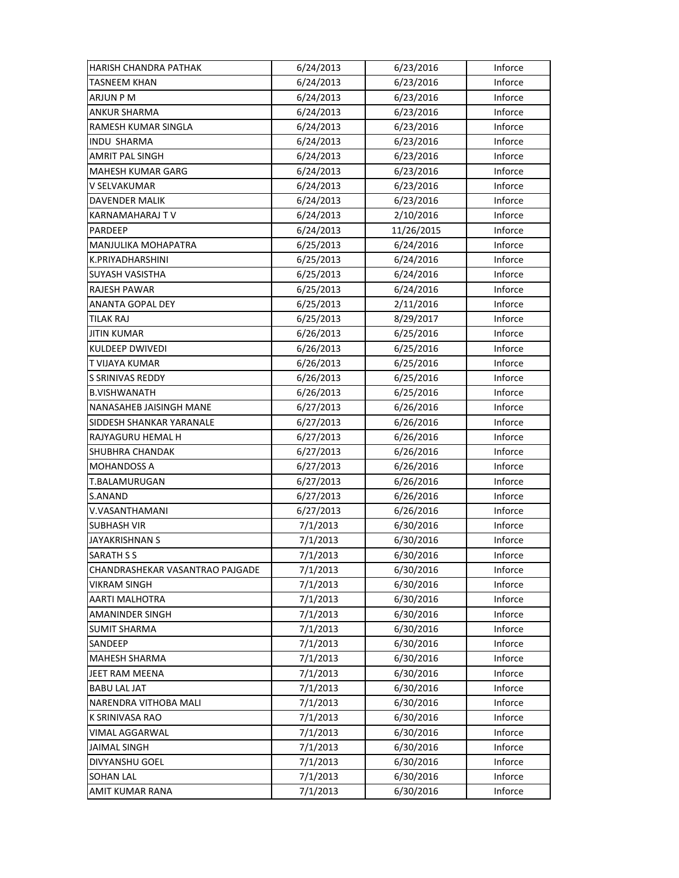| HARISH CHANDRA PATHAK           | 6/24/2013 | 6/23/2016  | Inforce |
|---------------------------------|-----------|------------|---------|
| <b>TASNEEM KHAN</b>             | 6/24/2013 | 6/23/2016  | Inforce |
| ARJUN P M                       | 6/24/2013 | 6/23/2016  | Inforce |
| <b>ANKUR SHARMA</b>             | 6/24/2013 | 6/23/2016  | Inforce |
| RAMESH KUMAR SINGLA             | 6/24/2013 | 6/23/2016  | Inforce |
| <b>INDU SHARMA</b>              | 6/24/2013 | 6/23/2016  | Inforce |
| AMRIT PAL SINGH                 | 6/24/2013 | 6/23/2016  | Inforce |
| <b>MAHESH KUMAR GARG</b>        | 6/24/2013 | 6/23/2016  | Inforce |
| V SELVAKUMAR                    | 6/24/2013 | 6/23/2016  | Inforce |
| <b>DAVENDER MALIK</b>           | 6/24/2013 | 6/23/2016  | Inforce |
| KARNAMAHARAJ TV                 | 6/24/2013 | 2/10/2016  | Inforce |
| PARDEEP                         | 6/24/2013 | 11/26/2015 | Inforce |
| MANJULIKA MOHAPATRA             | 6/25/2013 | 6/24/2016  | Inforce |
| K.PRIYADHARSHINI                | 6/25/2013 | 6/24/2016  | Inforce |
| <b>SUYASH VASISTHA</b>          | 6/25/2013 | 6/24/2016  | Inforce |
| RAJESH PAWAR                    | 6/25/2013 | 6/24/2016  | Inforce |
| <b>ANANTA GOPAL DEY</b>         | 6/25/2013 | 2/11/2016  | Inforce |
| <b>TILAK RAJ</b>                | 6/25/2013 | 8/29/2017  | Inforce |
| <b>JITIN KUMAR</b>              | 6/26/2013 | 6/25/2016  | Inforce |
| KULDEEP DWIVEDI                 | 6/26/2013 | 6/25/2016  | Inforce |
| T VIJAYA KUMAR                  | 6/26/2013 | 6/25/2016  | Inforce |
| S SRINIVAS REDDY                | 6/26/2013 | 6/25/2016  | Inforce |
| <b>B.VISHWANATH</b>             | 6/26/2013 | 6/25/2016  | Inforce |
| NANASAHEB JAISINGH MANE         | 6/27/2013 | 6/26/2016  | Inforce |
| SIDDESH SHANKAR YARANALE        | 6/27/2013 | 6/26/2016  | Inforce |
| RAJYAGURU HEMAL H               | 6/27/2013 | 6/26/2016  | Inforce |
| <b>SHUBHRA CHANDAK</b>          | 6/27/2013 | 6/26/2016  | Inforce |
| <b>MOHANDOSS A</b>              | 6/27/2013 | 6/26/2016  | Inforce |
| T.BALAMURUGAN                   | 6/27/2013 | 6/26/2016  | Inforce |
| S.ANAND                         | 6/27/2013 | 6/26/2016  | Inforce |
| V.VASANTHAMANI                  | 6/27/2013 | 6/26/2016  | Inforce |
| <b>SUBHASH VIR</b>              | 7/1/2013  | 6/30/2016  | Inforce |
| JAYAKRISHNAN S                  | 7/1/2013  | 6/30/2016  | Inforce |
| <b>SARATH S S</b>               | 7/1/2013  | 6/30/2016  | Inforce |
| CHANDRASHEKAR VASANTRAO PAJGADE | 7/1/2013  | 6/30/2016  | Inforce |
| VIKRAM SINGH                    | 7/1/2013  | 6/30/2016  | Inforce |
| AARTI MALHOTRA                  | 7/1/2013  | 6/30/2016  | Inforce |
| <b>AMANINDER SINGH</b>          | 7/1/2013  | 6/30/2016  | Inforce |
| <b>SUMIT SHARMA</b>             | 7/1/2013  | 6/30/2016  | Inforce |
| SANDEEP                         | 7/1/2013  | 6/30/2016  | Inforce |
| <b>MAHESH SHARMA</b>            | 7/1/2013  | 6/30/2016  | Inforce |
| JEET RAM MEENA                  | 7/1/2013  | 6/30/2016  | Inforce |
| <b>BABU LAL JAT</b>             | 7/1/2013  | 6/30/2016  | Inforce |
| NARENDRA VITHOBA MALI           | 7/1/2013  | 6/30/2016  | Inforce |
| K SRINIVASA RAO                 | 7/1/2013  | 6/30/2016  | Inforce |
| VIMAL AGGARWAL                  | 7/1/2013  | 6/30/2016  | Inforce |
| <b>JAIMAL SINGH</b>             | 7/1/2013  | 6/30/2016  | Inforce |
| DIVYANSHU GOEL                  | 7/1/2013  | 6/30/2016  | Inforce |
| <b>SOHAN LAL</b>                | 7/1/2013  | 6/30/2016  | Inforce |
| AMIT KUMAR RANA                 | 7/1/2013  | 6/30/2016  | Inforce |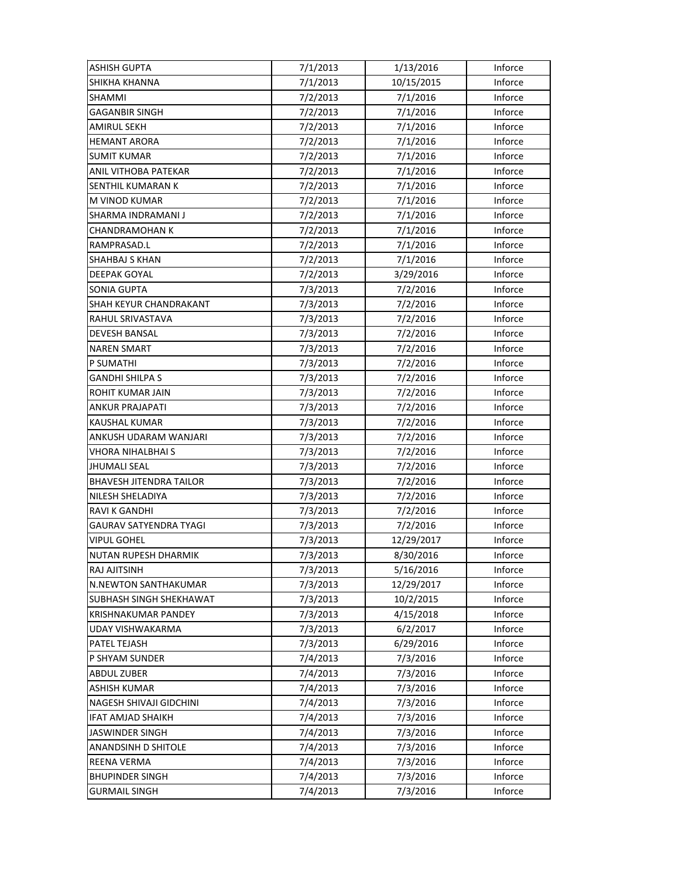| <b>ASHISH GUPTA</b>            | 7/1/2013 | 1/13/2016  | Inforce |
|--------------------------------|----------|------------|---------|
| SHIKHA KHANNA                  | 7/1/2013 | 10/15/2015 | Inforce |
| SHAMMI                         | 7/2/2013 | 7/1/2016   | Inforce |
| GAGANBIR SINGH                 | 7/2/2013 | 7/1/2016   | Inforce |
| <b>AMIRUL SEKH</b>             | 7/2/2013 | 7/1/2016   | Inforce |
| <b>HEMANT ARORA</b>            | 7/2/2013 | 7/1/2016   | Inforce |
| <b>SUMIT KUMAR</b>             | 7/2/2013 | 7/1/2016   | Inforce |
| ANIL VITHOBA PATEKAR           | 7/2/2013 | 7/1/2016   | Inforce |
| SENTHIL KUMARAN K              | 7/2/2013 | 7/1/2016   | Inforce |
| M VINOD KUMAR                  | 7/2/2013 | 7/1/2016   | Inforce |
| SHARMA INDRAMANI J             | 7/2/2013 | 7/1/2016   | Inforce |
| CHANDRAMOHAN K                 | 7/2/2013 | 7/1/2016   | Inforce |
| RAMPRASAD.L                    | 7/2/2013 | 7/1/2016   | Inforce |
| SHAHBAJ S KHAN                 | 7/2/2013 | 7/1/2016   | Inforce |
| <b>DEEPAK GOYAL</b>            | 7/2/2013 | 3/29/2016  | Inforce |
| <b>SONIA GUPTA</b>             | 7/3/2013 | 7/2/2016   | Inforce |
| SHAH KEYUR CHANDRAKANT         | 7/3/2013 | 7/2/2016   | Inforce |
| RAHUL SRIVASTAVA               | 7/3/2013 | 7/2/2016   | Inforce |
| <b>DEVESH BANSAL</b>           | 7/3/2013 | 7/2/2016   | Inforce |
| <b>NAREN SMART</b>             | 7/3/2013 | 7/2/2016   | Inforce |
| P SUMATHI                      | 7/3/2013 | 7/2/2016   | Inforce |
| <b>GANDHI SHILPA S</b>         | 7/3/2013 | 7/2/2016   | Inforce |
| ROHIT KUMAR JAIN               | 7/3/2013 | 7/2/2016   | Inforce |
| <b>ANKUR PRAJAPATI</b>         | 7/3/2013 | 7/2/2016   | Inforce |
| KAUSHAL KUMAR                  | 7/3/2013 | 7/2/2016   | Inforce |
| ANKUSH UDARAM WANJARI          | 7/3/2013 | 7/2/2016   | Inforce |
| VHORA NIHALBHAI S              | 7/3/2013 | 7/2/2016   | Inforce |
| JHUMALI SEAL                   | 7/3/2013 | 7/2/2016   | Inforce |
| <b>BHAVESH JITENDRA TAILOR</b> | 7/3/2013 | 7/2/2016   | Inforce |
| NILESH SHELADIYA               | 7/3/2013 | 7/2/2016   | Inforce |
| <b>RAVI K GANDHI</b>           | 7/3/2013 | 7/2/2016   | Inforce |
| GAURAV SATYENDRA TYAGI         | 7/3/2013 | 7/2/2016   | Inforce |
| <b>VIPUL GOHEL</b>             | 7/3/2013 | 12/29/2017 | Inforce |
| NUTAN RUPESH DHARMIK           | 7/3/2013 | 8/30/2016  | Inforce |
| RAJ AJITSINH                   | 7/3/2013 | 5/16/2016  | Inforce |
| <b>N.NEWTON SANTHAKUMAR</b>    | 7/3/2013 | 12/29/2017 | Inforce |
| SUBHASH SINGH SHEKHAWAT        | 7/3/2013 | 10/2/2015  | Inforce |
| <b>KRISHNAKUMAR PANDEY</b>     | 7/3/2013 | 4/15/2018  | Inforce |
| UDAY VISHWAKARMA               | 7/3/2013 | 6/2/2017   | Inforce |
| PATEL TEJASH                   | 7/3/2013 | 6/29/2016  | Inforce |
| P SHYAM SUNDER                 | 7/4/2013 | 7/3/2016   | Inforce |
| <b>ABDUL ZUBER</b>             | 7/4/2013 | 7/3/2016   | Inforce |
| ASHISH KUMAR                   | 7/4/2013 | 7/3/2016   | Inforce |
| NAGESH SHIVAJI GIDCHINI        | 7/4/2013 | 7/3/2016   | Inforce |
| <b>IFAT AMJAD SHAIKH</b>       | 7/4/2013 | 7/3/2016   | Inforce |
| <b>JASWINDER SINGH</b>         | 7/4/2013 | 7/3/2016   | Inforce |
| ANANDSINH D SHITOLE            | 7/4/2013 | 7/3/2016   | Inforce |
| REENA VERMA                    | 7/4/2013 | 7/3/2016   | Inforce |
| <b>BHUPINDER SINGH</b>         | 7/4/2013 | 7/3/2016   | Inforce |
| <b>GURMAIL SINGH</b>           | 7/4/2013 | 7/3/2016   | Inforce |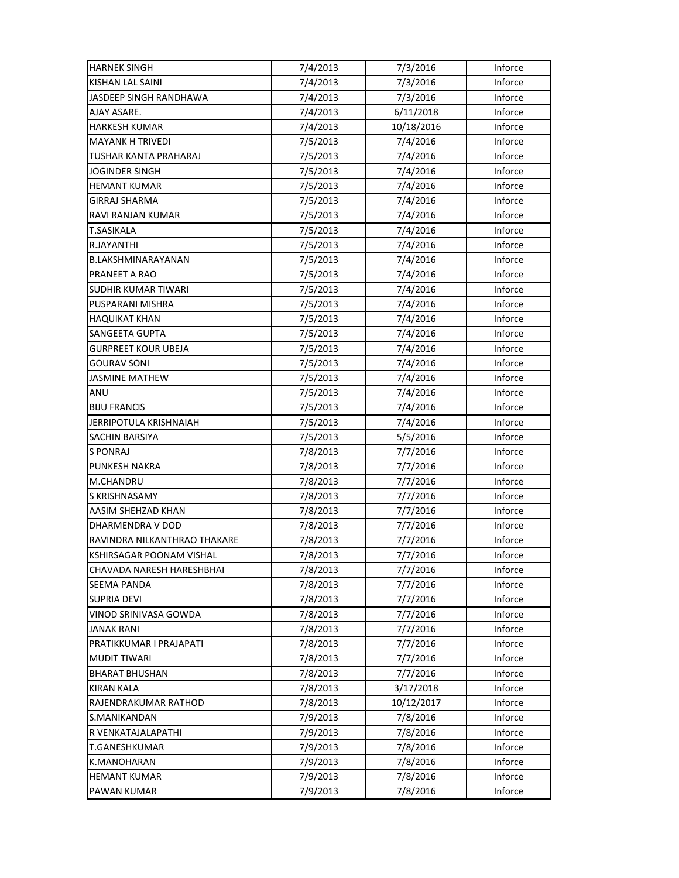| <b>HARNEK SINGH</b>          | 7/4/2013 | 7/3/2016   | Inforce |
|------------------------------|----------|------------|---------|
| KISHAN LAL SAINI             | 7/4/2013 | 7/3/2016   | Inforce |
| JASDEEP SINGH RANDHAWA       | 7/4/2013 | 7/3/2016   | Inforce |
| AJAY ASARE.                  | 7/4/2013 | 6/11/2018  | Inforce |
| HARKESH KUMAR                | 7/4/2013 | 10/18/2016 | Inforce |
| <b>MAYANK H TRIVEDI</b>      | 7/5/2013 | 7/4/2016   | Inforce |
| TUSHAR KANTA PRAHARAJ        | 7/5/2013 | 7/4/2016   | Inforce |
| <b>JOGINDER SINGH</b>        | 7/5/2013 | 7/4/2016   | Inforce |
| <b>HEMANT KUMAR</b>          | 7/5/2013 | 7/4/2016   | Inforce |
| <b>GIRRAJ SHARMA</b>         | 7/5/2013 | 7/4/2016   | Inforce |
| <b>RAVI RANJAN KUMAR</b>     | 7/5/2013 | 7/4/2016   | Inforce |
| T.SASIKALA                   | 7/5/2013 | 7/4/2016   | Inforce |
| R.JAYANTHI                   | 7/5/2013 | 7/4/2016   | Inforce |
| B.LAKSHMINARAYANAN           | 7/5/2013 | 7/4/2016   | Inforce |
| PRANEET A RAO                | 7/5/2013 | 7/4/2016   | Inforce |
| <b>SUDHIR KUMAR TIWARI</b>   | 7/5/2013 | 7/4/2016   | Inforce |
| PUSPARANI MISHRA             | 7/5/2013 | 7/4/2016   | Inforce |
| <b>HAQUIKAT KHAN</b>         | 7/5/2013 | 7/4/2016   | Inforce |
| <b>SANGEETA GUPTA</b>        | 7/5/2013 | 7/4/2016   | Inforce |
| <b>GURPREET KOUR UBEJA</b>   | 7/5/2013 | 7/4/2016   | Inforce |
| GOURAV SONI                  | 7/5/2013 | 7/4/2016   | Inforce |
| <b>JASMINE MATHEW</b>        | 7/5/2013 | 7/4/2016   | Inforce |
| ANU                          | 7/5/2013 | 7/4/2016   | Inforce |
| <b>BIJU FRANCIS</b>          | 7/5/2013 | 7/4/2016   | Inforce |
| JERRIPOTULA KRISHNAIAH       | 7/5/2013 | 7/4/2016   | Inforce |
| <b>SACHIN BARSIYA</b>        | 7/5/2013 | 5/5/2016   | Inforce |
| S PONRAJ                     | 7/8/2013 | 7/7/2016   | Inforce |
| <b>PUNKESH NAKRA</b>         | 7/8/2013 | 7/7/2016   | Inforce |
| M.CHANDRU                    | 7/8/2013 | 7/7/2016   | Inforce |
| S KRISHNASAMY                | 7/8/2013 | 7/7/2016   | Inforce |
| AASIM SHEHZAD KHAN           | 7/8/2013 | 7/7/2016   | Inforce |
| DHARMENDRA V DOD             | 7/8/2013 | 7/7/2016   | Inforce |
| RAVINDRA NILKANTHRAO THAKARE | 7/8/2013 | 7/7/2016   | Inforce |
| KSHIRSAGAR POONAM VISHAL     | 7/8/2013 | 7/7/2016   | Inforce |
| CHAVADA NARESH HARESHBHAI    | 7/8/2013 | 7/7/2016   | Inforce |
| <b>SEEMA PANDA</b>           | 7/8/2013 | 7/7/2016   | Inforce |
| <b>SUPRIA DEVI</b>           | 7/8/2013 | 7/7/2016   | Inforce |
| VINOD SRINIVASA GOWDA        | 7/8/2013 | 7/7/2016   | Inforce |
| <b>JANAK RANI</b>            | 7/8/2013 | 7/7/2016   | Inforce |
| PRATIKKUMAR I PRAJAPATI      | 7/8/2013 | 7/7/2016   | Inforce |
| <b>MUDIT TIWARI</b>          | 7/8/2013 | 7/7/2016   | Inforce |
| <b>BHARAT BHUSHAN</b>        | 7/8/2013 | 7/7/2016   | Inforce |
| <b>KIRAN KALA</b>            | 7/8/2013 | 3/17/2018  | Inforce |
| RAJENDRAKUMAR RATHOD         | 7/8/2013 | 10/12/2017 | Inforce |
| S.MANIKANDAN                 | 7/9/2013 | 7/8/2016   | Inforce |
| R VENKATAJALAPATHI           | 7/9/2013 | 7/8/2016   | Inforce |
| T.GANESHKUMAR                | 7/9/2013 | 7/8/2016   | Inforce |
| K.MANOHARAN                  | 7/9/2013 | 7/8/2016   | Inforce |
| <b>HEMANT KUMAR</b>          | 7/9/2013 | 7/8/2016   | Inforce |
| PAWAN KUMAR                  | 7/9/2013 | 7/8/2016   | Inforce |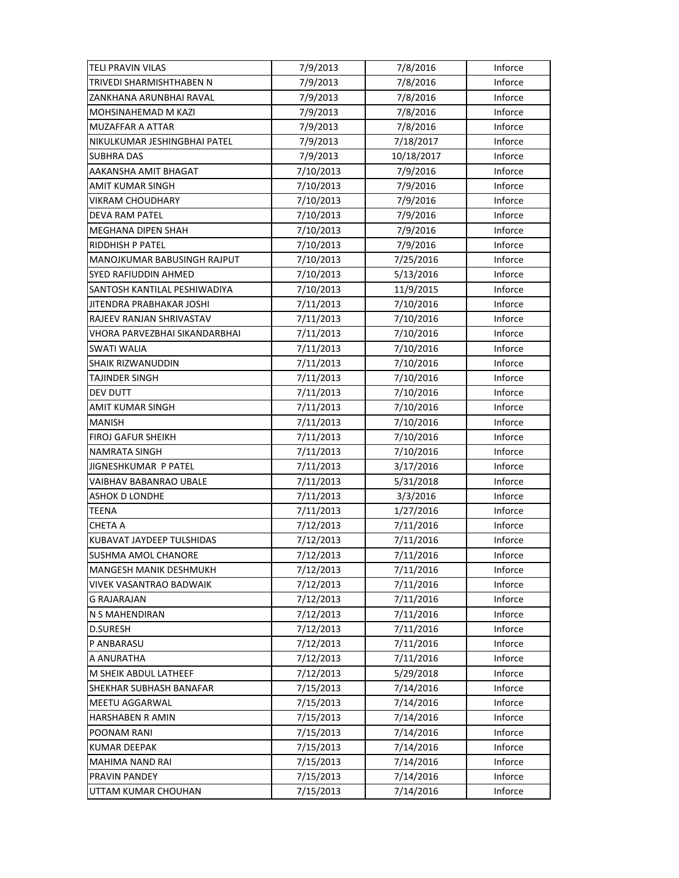| <b>TELI PRAVIN VILAS</b>      | 7/9/2013  | 7/8/2016   | Inforce |
|-------------------------------|-----------|------------|---------|
| TRIVEDI SHARMISHTHABEN N      | 7/9/2013  | 7/8/2016   | Inforce |
| ZANKHANA ARUNBHAI RAVAL       | 7/9/2013  | 7/8/2016   | Inforce |
| MOHSINAHEMAD M KAZI           | 7/9/2013  | 7/8/2016   | Inforce |
| MUZAFFAR A ATTAR              | 7/9/2013  | 7/8/2016   | Inforce |
| NIKULKUMAR JESHINGBHAI PATEL  | 7/9/2013  | 7/18/2017  | Inforce |
| <b>SUBHRA DAS</b>             | 7/9/2013  | 10/18/2017 | Inforce |
| AAKANSHA AMIT BHAGAT          | 7/10/2013 | 7/9/2016   | Inforce |
| AMIT KUMAR SINGH              | 7/10/2013 | 7/9/2016   | Inforce |
| <b>VIKRAM CHOUDHARY</b>       | 7/10/2013 | 7/9/2016   | Inforce |
| <b>DEVA RAM PATEL</b>         | 7/10/2013 | 7/9/2016   | Inforce |
| MEGHANA DIPEN SHAH            | 7/10/2013 | 7/9/2016   | Inforce |
| RIDDHISH P PATEL              | 7/10/2013 | 7/9/2016   | Inforce |
| MANOJKUMAR BABUSINGH RAJPUT   | 7/10/2013 | 7/25/2016  | Inforce |
| SYED RAFIUDDIN AHMED          | 7/10/2013 | 5/13/2016  | Inforce |
| SANTOSH KANTILAL PESHIWADIYA  | 7/10/2013 | 11/9/2015  | Inforce |
| JITENDRA PRABHAKAR JOSHI      | 7/11/2013 | 7/10/2016  | Inforce |
| RAJEEV RANJAN SHRIVASTAV      | 7/11/2013 | 7/10/2016  | Inforce |
| VHORA PARVEZBHAI SIKANDARBHAI | 7/11/2013 | 7/10/2016  | Inforce |
| SWATI WALIA                   | 7/11/2013 | 7/10/2016  | Inforce |
| <b>SHAIK RIZWANUDDIN</b>      | 7/11/2013 | 7/10/2016  | Inforce |
| TAJINDER SINGH                | 7/11/2013 | 7/10/2016  | Inforce |
| DEV DUTT                      | 7/11/2013 | 7/10/2016  | Inforce |
| AMIT KUMAR SINGH              | 7/11/2013 | 7/10/2016  | Inforce |
| <b>MANISH</b>                 | 7/11/2013 | 7/10/2016  | Inforce |
| <b>FIROJ GAFUR SHEIKH</b>     | 7/11/2013 | 7/10/2016  | Inforce |
| <b>NAMRATA SINGH</b>          | 7/11/2013 | 7/10/2016  | Inforce |
| JIGNESHKUMAR P PATEL          | 7/11/2013 | 3/17/2016  | Inforce |
| VAIBHAV BABANRAO UBALE        | 7/11/2013 | 5/31/2018  | Inforce |
| <b>ASHOK D LONDHE</b>         | 7/11/2013 | 3/3/2016   | Inforce |
| <b>TEENA</b>                  | 7/11/2013 | 1/27/2016  | Inforce |
| <b>CHETA A</b>                | 7/12/2013 | 7/11/2016  | Inforce |
| KUBAVAT JAYDEEP TULSHIDAS     | 7/12/2013 | 7/11/2016  | Inforce |
| SUSHMA AMOL CHANORE           | 7/12/2013 | 7/11/2016  | Inforce |
| <b>MANGESH MANIK DESHMUKH</b> | 7/12/2013 | 7/11/2016  | Inforce |
| VIVEK VASANTRAO BADWAIK       | 7/12/2013 | 7/11/2016  | Inforce |
| <b>G RAJARAJAN</b>            | 7/12/2013 | 7/11/2016  | Inforce |
| N S MAHENDIRAN                | 7/12/2013 | 7/11/2016  | Inforce |
| <b>D.SURESH</b>               | 7/12/2013 | 7/11/2016  | Inforce |
| P ANBARASU                    | 7/12/2013 | 7/11/2016  | Inforce |
| A ANURATHA                    | 7/12/2013 | 7/11/2016  | Inforce |
| M SHEIK ABDUL LATHEEF         | 7/12/2013 | 5/29/2018  | Inforce |
| SHEKHAR SUBHASH BANAFAR       | 7/15/2013 | 7/14/2016  | Inforce |
| MEETU AGGARWAL                | 7/15/2013 | 7/14/2016  | Inforce |
| HARSHABEN R AMIN              | 7/15/2013 | 7/14/2016  | Inforce |
| POONAM RANI                   | 7/15/2013 | 7/14/2016  | Inforce |
| <b>KUMAR DEEPAK</b>           | 7/15/2013 | 7/14/2016  | Inforce |
| MAHIMA NAND RAI               | 7/15/2013 | 7/14/2016  | Inforce |
| PRAVIN PANDEY                 | 7/15/2013 | 7/14/2016  | Inforce |
| UTTAM KUMAR CHOUHAN           | 7/15/2013 | 7/14/2016  | Inforce |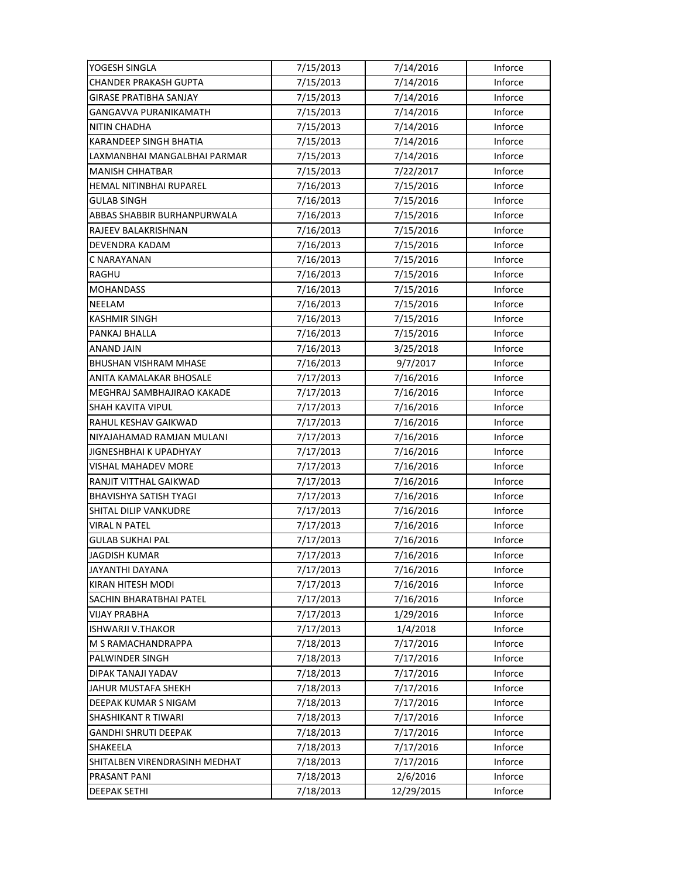| YOGESH SINGLA                 | 7/15/2013 | 7/14/2016  | Inforce |
|-------------------------------|-----------|------------|---------|
| <b>CHANDER PRAKASH GUPTA</b>  | 7/15/2013 | 7/14/2016  | Inforce |
| <b>GIRASE PRATIBHA SANJAY</b> | 7/15/2013 | 7/14/2016  | Inforce |
| GANGAVVA PURANIKAMATH         | 7/15/2013 | 7/14/2016  | Inforce |
| NITIN CHADHA                  | 7/15/2013 | 7/14/2016  | Inforce |
| <b>KARANDEEP SINGH BHATIA</b> | 7/15/2013 | 7/14/2016  | Inforce |
| LAXMANBHAI MANGALBHAI PARMAR  | 7/15/2013 | 7/14/2016  | Inforce |
| <b>MANISH CHHATBAR</b>        | 7/15/2013 | 7/22/2017  | Inforce |
| HEMAL NITINBHAI RUPAREL       | 7/16/2013 | 7/15/2016  | Inforce |
| <b>GULAB SINGH</b>            | 7/16/2013 | 7/15/2016  | Inforce |
| ABBAS SHABBIR BURHANPURWALA   | 7/16/2013 | 7/15/2016  | Inforce |
| RAJEEV BALAKRISHNAN           | 7/16/2013 | 7/15/2016  | Inforce |
| DEVENDRA KADAM                | 7/16/2013 | 7/15/2016  | Inforce |
| C NARAYANAN                   | 7/16/2013 | 7/15/2016  | Inforce |
| <b>RAGHU</b>                  | 7/16/2013 | 7/15/2016  | Inforce |
| <b>MOHANDASS</b>              | 7/16/2013 | 7/15/2016  | Inforce |
| NEELAM                        | 7/16/2013 | 7/15/2016  | Inforce |
| <b>KASHMIR SINGH</b>          | 7/16/2013 | 7/15/2016  | Inforce |
| PANKAJ BHALLA                 | 7/16/2013 | 7/15/2016  | Inforce |
| ANAND JAIN                    | 7/16/2013 | 3/25/2018  | Inforce |
| <b>BHUSHAN VISHRAM MHASE</b>  | 7/16/2013 | 9/7/2017   | Inforce |
| ANITA KAMALAKAR BHOSALE       | 7/17/2013 | 7/16/2016  | Inforce |
| MEGHRAJ SAMBHAJIRAO KAKADE    | 7/17/2013 | 7/16/2016  | Inforce |
| SHAH KAVITA VIPUL             | 7/17/2013 | 7/16/2016  | Inforce |
| RAHUL KESHAV GAIKWAD          | 7/17/2013 | 7/16/2016  | Inforce |
| NIYAJAHAMAD RAMJAN MULANI     | 7/17/2013 | 7/16/2016  | Inforce |
| JIGNESHBHAI K UPADHYAY        | 7/17/2013 | 7/16/2016  | Inforce |
| VISHAL MAHADEV MORE           | 7/17/2013 | 7/16/2016  | Inforce |
| RANJIT VITTHAL GAIKWAD        | 7/17/2013 | 7/16/2016  | Inforce |
| BHAVISHYA SATISH TYAGI        | 7/17/2013 | 7/16/2016  | Inforce |
| SHITAL DILIP VANKUDRE         | 7/17/2013 | 7/16/2016  | Inforce |
| <b>VIRAL N PATEL</b>          | 7/17/2013 | 7/16/2016  | Inforce |
| <b>GULAB SUKHAI PAL</b>       | 7/17/2013 | 7/16/2016  | Inforce |
| JAGDISH KUMAR                 | 7/17/2013 | 7/16/2016  | Inforce |
| JAYANTHI DAYANA               | 7/17/2013 | 7/16/2016  | Inforce |
| KIRAN HITESH MODI             | 7/17/2013 | 7/16/2016  | Inforce |
| SACHIN BHARATBHAI PATEL       | 7/17/2013 | 7/16/2016  | Inforce |
| VIJAY PRABHA                  | 7/17/2013 | 1/29/2016  | Inforce |
| <b>ISHWARJI V.THAKOR</b>      | 7/17/2013 | 1/4/2018   | Inforce |
| M S RAMACHANDRAPPA            | 7/18/2013 | 7/17/2016  | Inforce |
| PALWINDER SINGH               | 7/18/2013 | 7/17/2016  | Inforce |
| DIPAK TANAJI YADAV            | 7/18/2013 | 7/17/2016  | Inforce |
| <b>JAHUR MUSTAFA SHEKH</b>    | 7/18/2013 | 7/17/2016  | Inforce |
| DEEPAK KUMAR S NIGAM          | 7/18/2013 | 7/17/2016  | Inforce |
| SHASHIKANT R TIWARI           | 7/18/2013 | 7/17/2016  | Inforce |
| <b>GANDHI SHRUTI DEEPAK</b>   | 7/18/2013 | 7/17/2016  | Inforce |
| SHAKEELA                      | 7/18/2013 | 7/17/2016  | Inforce |
| SHITALBEN VIRENDRASINH MEDHAT | 7/18/2013 | 7/17/2016  | Inforce |
| PRASANT PANI                  | 7/18/2013 | 2/6/2016   | Inforce |
| <b>DEEPAK SETHI</b>           | 7/18/2013 | 12/29/2015 | Inforce |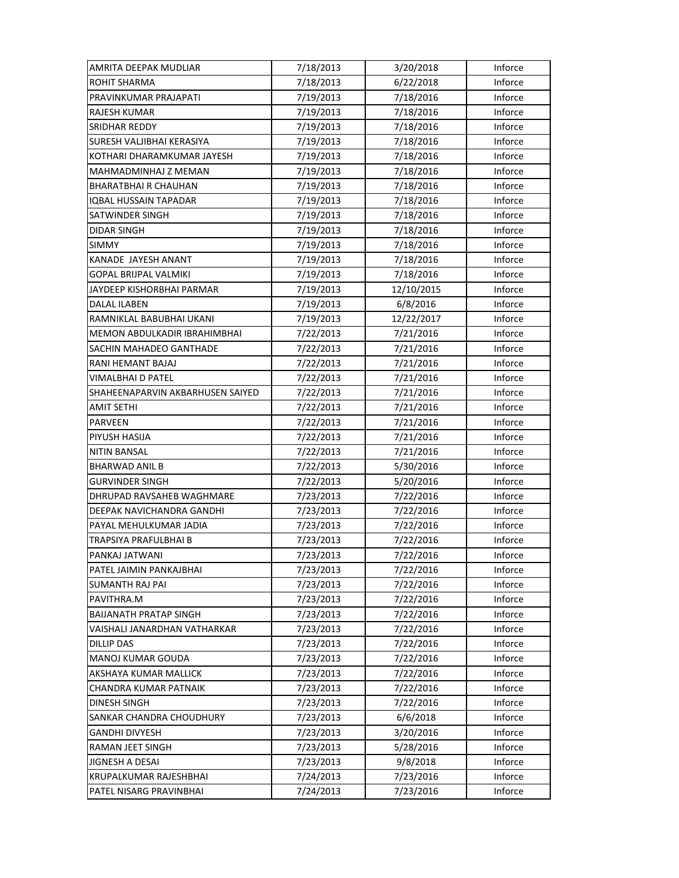| AMRITA DEEPAK MUDLIAR            | 7/18/2013 | 3/20/2018  | Inforce |
|----------------------------------|-----------|------------|---------|
| ROHIT SHARMA                     | 7/18/2013 | 6/22/2018  | Inforce |
| PRAVINKUMAR PRAJAPATI            | 7/19/2013 | 7/18/2016  | Inforce |
| RAJESH KUMAR                     | 7/19/2013 | 7/18/2016  | Inforce |
| SRIDHAR REDDY                    | 7/19/2013 | 7/18/2016  | Inforce |
| SURESH VALJIBHAI KERASIYA        | 7/19/2013 | 7/18/2016  | Inforce |
| KOTHARI DHARAMKUMAR JAYESH       | 7/19/2013 | 7/18/2016  | Inforce |
| MAHMADMINHAJ Z MEMAN             | 7/19/2013 | 7/18/2016  | Inforce |
| <b>BHARATBHAIR CHAUHAN</b>       | 7/19/2013 | 7/18/2016  | Inforce |
| IQBAL HUSSAIN TAPADAR            | 7/19/2013 | 7/18/2016  | Inforce |
| SATWINDER SINGH                  | 7/19/2013 | 7/18/2016  | Inforce |
| <b>DIDAR SINGH</b>               | 7/19/2013 | 7/18/2016  | Inforce |
| <b>SIMMY</b>                     | 7/19/2013 | 7/18/2016  | Inforce |
| KANADE JAYESH ANANT              | 7/19/2013 | 7/18/2016  | Inforce |
| <b>GOPAL BRIJPAL VALMIKI</b>     | 7/19/2013 | 7/18/2016  | Inforce |
| <b>JAYDEEP KISHORBHAI PARMAR</b> | 7/19/2013 | 12/10/2015 | Inforce |
| <b>DALAL ILABEN</b>              | 7/19/2013 | 6/8/2016   | Inforce |
| RAMNIKLAL BABUBHAI UKANI         | 7/19/2013 | 12/22/2017 | Inforce |
| MEMON ABDULKADIR IBRAHIMBHAI     | 7/22/2013 | 7/21/2016  | Inforce |
| SACHIN MAHADEO GANTHADE          | 7/22/2013 | 7/21/2016  | Inforce |
| RANI HEMANT BAJAJ                | 7/22/2013 | 7/21/2016  | Inforce |
| VIMALBHAI D PATEL                | 7/22/2013 | 7/21/2016  | Inforce |
| SHAHEENAPARVIN AKBARHUSEN SAIYED | 7/22/2013 | 7/21/2016  | Inforce |
| <b>AMIT SETHI</b>                | 7/22/2013 | 7/21/2016  | Inforce |
| <b>PARVEEN</b>                   | 7/22/2013 | 7/21/2016  | Inforce |
| PIYUSH HASIJA                    | 7/22/2013 | 7/21/2016  | Inforce |
| NITIN BANSAL                     | 7/22/2013 | 7/21/2016  | Inforce |
| <b>BHARWAD ANIL B</b>            | 7/22/2013 | 5/30/2016  | Inforce |
| <b>GURVINDER SINGH</b>           | 7/22/2013 | 5/20/2016  | Inforce |
| DHRUPAD RAVSAHEB WAGHMARE        | 7/23/2013 | 7/22/2016  | Inforce |
| DEEPAK NAVICHANDRA GANDHI        | 7/23/2013 | 7/22/2016  | Inforce |
| PAYAL MEHULKUMAR JADIA           | 7/23/2013 | 7/22/2016  | Inforce |
| TRAPSIYA PRAFULBHAI B            | 7/23/2013 | 7/22/2016  | Inforce |
| PANKAJ JATWANI                   | 7/23/2013 | 7/22/2016  | Inforce |
| PATEL JAIMIN PANKAJBHAI          | 7/23/2013 | 7/22/2016  | Inforce |
| <b>SUMANTH RAJ PAI</b>           | 7/23/2013 | 7/22/2016  | Inforce |
| PAVITHRA.M                       | 7/23/2013 | 7/22/2016  | Inforce |
| <b>BAIJANATH PRATAP SINGH</b>    | 7/23/2013 | 7/22/2016  | Inforce |
| VAISHALI JANARDHAN VATHARKAR     | 7/23/2013 | 7/22/2016  | Inforce |
| <b>DILLIP DAS</b>                | 7/23/2013 | 7/22/2016  | Inforce |
| MANOJ KUMAR GOUDA                | 7/23/2013 | 7/22/2016  | Inforce |
| AKSHAYA KUMAR MALLICK            | 7/23/2013 | 7/22/2016  | Inforce |
| CHANDRA KUMAR PATNAIK            | 7/23/2013 | 7/22/2016  | Inforce |
| DINESH SINGH                     | 7/23/2013 | 7/22/2016  | Inforce |
| SANKAR CHANDRA CHOUDHURY         | 7/23/2013 | 6/6/2018   | Inforce |
| <b>GANDHI DIVYESH</b>            | 7/23/2013 | 3/20/2016  | Inforce |
| RAMAN JEET SINGH                 | 7/23/2013 | 5/28/2016  | Inforce |
| <b>JIGNESH A DESAI</b>           | 7/23/2013 | 9/8/2018   | Inforce |
| KRUPALKUMAR RAJESHBHAI           | 7/24/2013 | 7/23/2016  | Inforce |
| PATEL NISARG PRAVINBHAI          | 7/24/2013 | 7/23/2016  | Inforce |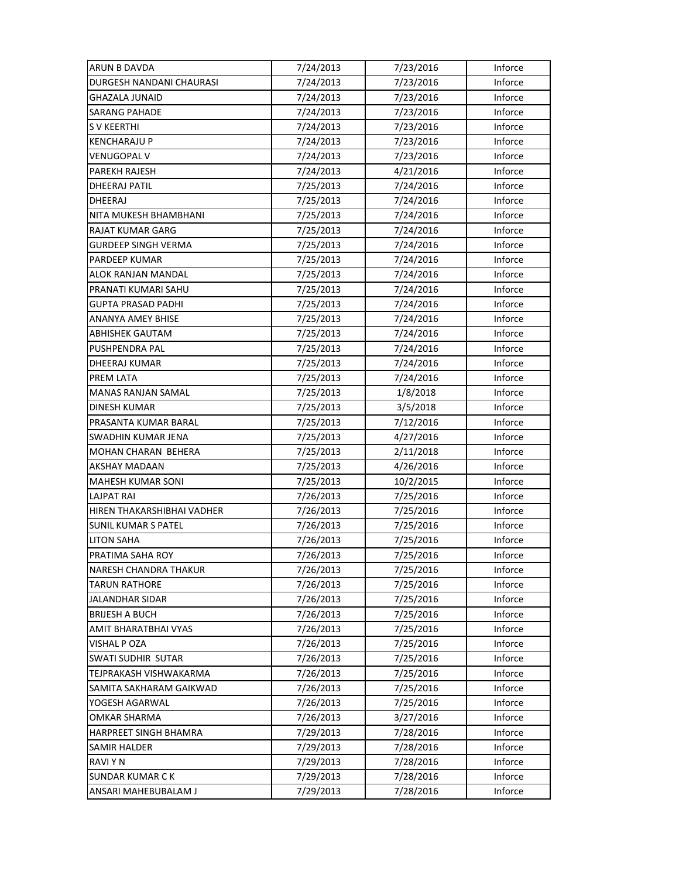| ARUN B DAVDA                    | 7/24/2013 | 7/23/2016 | Inforce |
|---------------------------------|-----------|-----------|---------|
| <b>DURGESH NANDANI CHAURASI</b> | 7/24/2013 | 7/23/2016 | Inforce |
| GHAZALA JUNAID                  | 7/24/2013 | 7/23/2016 | Inforce |
| SARANG PAHADE                   | 7/24/2013 | 7/23/2016 | Inforce |
| S V KEERTHI                     | 7/24/2013 | 7/23/2016 | Inforce |
| <b>KENCHARAJU P</b>             | 7/24/2013 | 7/23/2016 | Inforce |
| <b>VENUGOPAL V</b>              | 7/24/2013 | 7/23/2016 | Inforce |
| PAREKH RAJESH                   | 7/24/2013 | 4/21/2016 | Inforce |
| DHEERAJ PATIL                   | 7/25/2013 | 7/24/2016 | Inforce |
| DHEERAJ                         | 7/25/2013 | 7/24/2016 | Inforce |
| NITA MUKESH BHAMBHANI           | 7/25/2013 | 7/24/2016 | Inforce |
| RAJAT KUMAR GARG                | 7/25/2013 | 7/24/2016 | Inforce |
| <b>GURDEEP SINGH VERMA</b>      | 7/25/2013 | 7/24/2016 | Inforce |
| PARDEEP KUMAR                   | 7/25/2013 | 7/24/2016 | Inforce |
| ALOK RANJAN MANDAL              | 7/25/2013 | 7/24/2016 | Inforce |
| PRANATI KUMARI SAHU             | 7/25/2013 | 7/24/2016 | Inforce |
| <b>GUPTA PRASAD PADHI</b>       | 7/25/2013 | 7/24/2016 | Inforce |
| <b>ANANYA AMEY BHISE</b>        | 7/25/2013 | 7/24/2016 | Inforce |
| ABHISHEK GAUTAM                 | 7/25/2013 | 7/24/2016 | Inforce |
| PUSHPENDRA PAL                  | 7/25/2013 | 7/24/2016 | Inforce |
| DHEERAJ KUMAR                   | 7/25/2013 | 7/24/2016 | Inforce |
| PREM LATA                       | 7/25/2013 | 7/24/2016 | Inforce |
| MANAS RANJAN SAMAL              | 7/25/2013 | 1/8/2018  | Inforce |
| <b>DINESH KUMAR</b>             | 7/25/2013 | 3/5/2018  | Inforce |
| PRASANTA KUMAR BARAL            | 7/25/2013 | 7/12/2016 | Inforce |
| SWADHIN KUMAR JENA              | 7/25/2013 | 4/27/2016 | Inforce |
| MOHAN CHARAN BEHERA             | 7/25/2013 | 2/11/2018 | Inforce |
| AKSHAY MADAAN                   | 7/25/2013 | 4/26/2016 | Inforce |
| MAHESH KUMAR SONI               | 7/25/2013 | 10/2/2015 | Inforce |
| LAJPAT RAI                      | 7/26/2013 | 7/25/2016 | Inforce |
| HIREN THAKARSHIBHAI VADHER      | 7/26/2013 | 7/25/2016 | Inforce |
| <b>SUNIL KUMAR S PATEL</b>      | 7/26/2013 | 7/25/2016 | Inforce |
| <b>LITON SAHA</b>               | 7/26/2013 | 7/25/2016 | Inforce |
| PRATIMA SAHA ROY                | 7/26/2013 | 7/25/2016 | Inforce |
| <b>NARESH CHANDRA THAKUR</b>    | 7/26/2013 | 7/25/2016 | Inforce |
| TARUN RATHORE                   | 7/26/2013 | 7/25/2016 | Inforce |
| JALANDHAR SIDAR                 | 7/26/2013 | 7/25/2016 | Inforce |
| <b>BRIJESH A BUCH</b>           | 7/26/2013 | 7/25/2016 | Inforce |
| AMIT BHARATBHAI VYAS            | 7/26/2013 | 7/25/2016 | Inforce |
| VISHAL P OZA                    | 7/26/2013 | 7/25/2016 | Inforce |
| SWATI SUDHIR SUTAR              | 7/26/2013 | 7/25/2016 | Inforce |
| TEJPRAKASH VISHWAKARMA          | 7/26/2013 | 7/25/2016 | Inforce |
| SAMITA SAKHARAM GAIKWAD         | 7/26/2013 | 7/25/2016 | Inforce |
| YOGESH AGARWAL                  | 7/26/2013 | 7/25/2016 | Inforce |
| OMKAR SHARMA                    | 7/26/2013 | 3/27/2016 | Inforce |
| HARPREET SINGH BHAMRA           | 7/29/2013 | 7/28/2016 | Inforce |
| SAMIR HALDER                    | 7/29/2013 | 7/28/2016 | Inforce |
| RAVI Y N                        | 7/29/2013 | 7/28/2016 | Inforce |
| <b>SUNDAR KUMAR CK</b>          | 7/29/2013 | 7/28/2016 | Inforce |
| ANSARI MAHEBUBALAM J            | 7/29/2013 | 7/28/2016 | Inforce |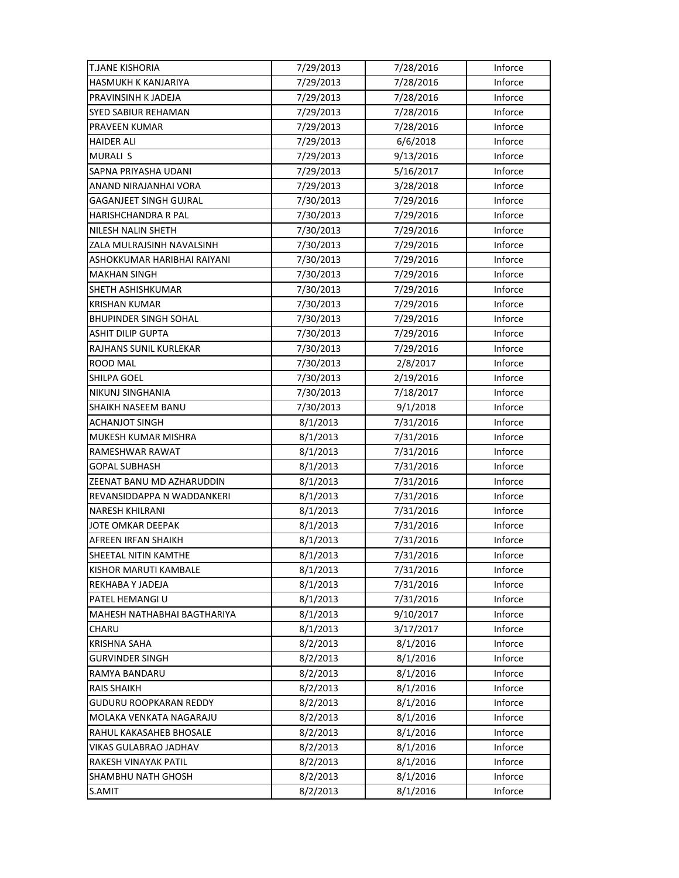| <b>T.JANE KISHORIA</b>        | 7/29/2013 | 7/28/2016 | Inforce |
|-------------------------------|-----------|-----------|---------|
| <b>HASMUKH K KANJARIYA</b>    | 7/29/2013 | 7/28/2016 | Inforce |
| PRAVINSINH K JADEJA           | 7/29/2013 | 7/28/2016 | Inforce |
| SYED SABIUR REHAMAN           | 7/29/2013 | 7/28/2016 | Inforce |
| PRAVEEN KUMAR                 | 7/29/2013 | 7/28/2016 | Inforce |
| <b>HAIDER ALI</b>             | 7/29/2013 | 6/6/2018  | Inforce |
| <b>MURALI S</b>               | 7/29/2013 | 9/13/2016 | Inforce |
| SAPNA PRIYASHA UDANI          | 7/29/2013 | 5/16/2017 | Inforce |
| ANAND NIRAJANHAI VORA         | 7/29/2013 | 3/28/2018 | Inforce |
| <b>GAGANJEET SINGH GUJRAL</b> | 7/30/2013 | 7/29/2016 | Inforce |
| HARISHCHANDRA R PAL           | 7/30/2013 | 7/29/2016 | Inforce |
| NILESH NALIN SHETH            | 7/30/2013 | 7/29/2016 | Inforce |
| ZALA MULRAJSINH NAVALSINH     | 7/30/2013 | 7/29/2016 | Inforce |
| ASHOKKUMAR HARIBHAI RAIYANI   | 7/30/2013 | 7/29/2016 | Inforce |
| <b>MAKHAN SINGH</b>           | 7/30/2013 | 7/29/2016 | Inforce |
| <b>SHETH ASHISHKUMAR</b>      | 7/30/2013 | 7/29/2016 | Inforce |
| <b>KRISHAN KUMAR</b>          | 7/30/2013 | 7/29/2016 | Inforce |
| <b>BHUPINDER SINGH SOHAL</b>  | 7/30/2013 | 7/29/2016 | Inforce |
| <b>ASHIT DILIP GUPTA</b>      | 7/30/2013 | 7/29/2016 | Inforce |
| RAJHANS SUNIL KURLEKAR        | 7/30/2013 | 7/29/2016 | Inforce |
| ROOD MAL                      | 7/30/2013 | 2/8/2017  | Inforce |
| SHILPA GOEL                   | 7/30/2013 | 2/19/2016 | Inforce |
| NIKUNJ SINGHANIA              | 7/30/2013 | 7/18/2017 | Inforce |
| SHAIKH NASEEM BANU            | 7/30/2013 | 9/1/2018  | Inforce |
| <b>ACHANJOT SINGH</b>         | 8/1/2013  | 7/31/2016 | Inforce |
| MUKESH KUMAR MISHRA           | 8/1/2013  | 7/31/2016 | Inforce |
| RAMESHWAR RAWAT               | 8/1/2013  | 7/31/2016 | Inforce |
| GOPAL SUBHASH                 | 8/1/2013  | 7/31/2016 | Inforce |
| ZEENAT BANU MD AZHARUDDIN     | 8/1/2013  | 7/31/2016 | Inforce |
| REVANSIDDAPPA N WADDANKERI    | 8/1/2013  | 7/31/2016 | Inforce |
| <b>NARESH KHILRANI</b>        | 8/1/2013  | 7/31/2016 | Inforce |
| JOTE OMKAR DEEPAK             | 8/1/2013  | 7/31/2016 | Inforce |
| AFREEN IRFAN SHAIKH           | 8/1/2013  | 7/31/2016 | Inforce |
| SHEETAL NITIN KAMTHE          | 8/1/2013  | 7/31/2016 | Inforce |
| KISHOR MARUTI KAMBALE         | 8/1/2013  | 7/31/2016 | Inforce |
| REKHABA Y JADEJA              | 8/1/2013  | 7/31/2016 | Inforce |
| PATEL HEMANGIU                | 8/1/2013  | 7/31/2016 | Inforce |
| MAHESH NATHABHAI BAGTHARIYA   | 8/1/2013  | 9/10/2017 | Inforce |
| CHARU                         | 8/1/2013  | 3/17/2017 | Inforce |
| <b>KRISHNA SAHA</b>           | 8/2/2013  | 8/1/2016  | Inforce |
| <b>GURVINDER SINGH</b>        | 8/2/2013  | 8/1/2016  | Inforce |
| RAMYA BANDARU                 | 8/2/2013  | 8/1/2016  | Inforce |
| <b>RAIS SHAIKH</b>            | 8/2/2013  | 8/1/2016  | Inforce |
| GUDURU ROOPKARAN REDDY        | 8/2/2013  | 8/1/2016  | Inforce |
| MOLAKA VENKATA NAGARAJU       | 8/2/2013  | 8/1/2016  | Inforce |
| RAHUL KAKASAHEB BHOSALE       | 8/2/2013  | 8/1/2016  | Inforce |
| VIKAS GULABRAO JADHAV         | 8/2/2013  | 8/1/2016  | Inforce |
| RAKESH VINAYAK PATIL          | 8/2/2013  | 8/1/2016  | Inforce |
| <b>SHAMBHU NATH GHOSH</b>     | 8/2/2013  | 8/1/2016  | Inforce |
| S.AMIT                        | 8/2/2013  | 8/1/2016  | Inforce |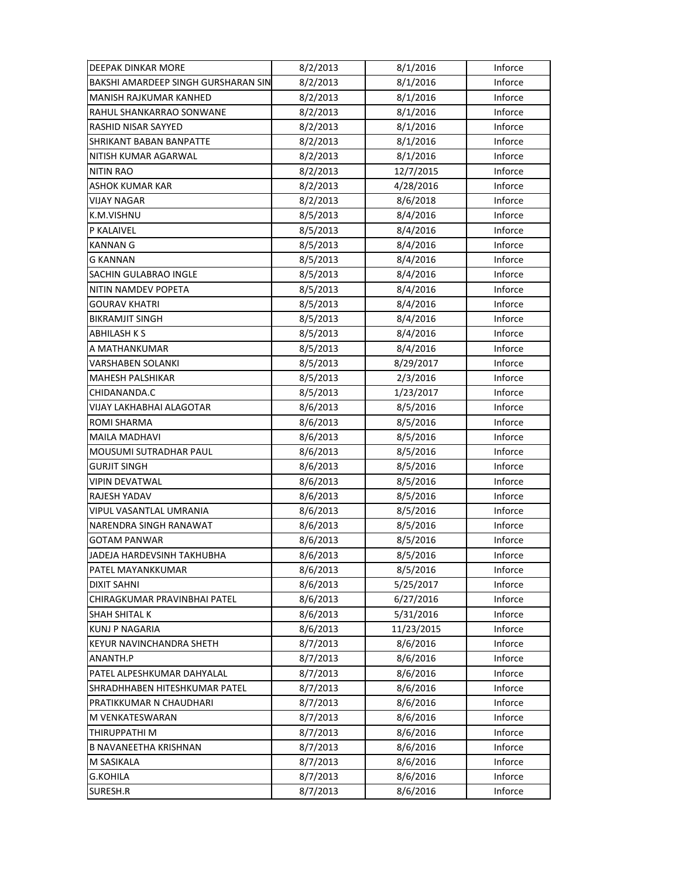| DEEPAK DINKAR MORE                  | 8/2/2013 | 8/1/2016   | Inforce |
|-------------------------------------|----------|------------|---------|
| BAKSHI AMARDEEP SINGH GURSHARAN SIN | 8/2/2013 | 8/1/2016   | Inforce |
| MANISH RAJKUMAR KANHED              | 8/2/2013 | 8/1/2016   | Inforce |
| RAHUL SHANKARRAO SONWANE            | 8/2/2013 | 8/1/2016   | Inforce |
| RASHID NISAR SAYYED                 | 8/2/2013 | 8/1/2016   | Inforce |
| <b>SHRIKANT BABAN BANPATTE</b>      | 8/2/2013 | 8/1/2016   | Inforce |
| NITISH KUMAR AGARWAL                | 8/2/2013 | 8/1/2016   | Inforce |
| <b>NITIN RAO</b>                    | 8/2/2013 | 12/7/2015  | Inforce |
| ASHOK KUMAR KAR                     | 8/2/2013 | 4/28/2016  | Inforce |
| VIJAY NAGAR                         | 8/2/2013 | 8/6/2018   | Inforce |
| K.M.VISHNU                          | 8/5/2013 | 8/4/2016   | Inforce |
| P KALAIVEL                          | 8/5/2013 | 8/4/2016   | Inforce |
| <b>KANNAN G</b>                     | 8/5/2013 | 8/4/2016   | Inforce |
| G KANNAN                            | 8/5/2013 | 8/4/2016   | Inforce |
| SACHIN GULABRAO INGLE               | 8/5/2013 | 8/4/2016   | Inforce |
| NITIN NAMDEV POPETA                 | 8/5/2013 | 8/4/2016   | Inforce |
| <b>GOURAV KHATRI</b>                | 8/5/2013 | 8/4/2016   | Inforce |
| <b>BIKRAMJIT SINGH</b>              | 8/5/2013 | 8/4/2016   | Inforce |
| ABHILASH K S                        | 8/5/2013 | 8/4/2016   | Inforce |
| A MATHANKUMAR                       | 8/5/2013 | 8/4/2016   | Inforce |
| VARSHABEN SOLANKI                   | 8/5/2013 | 8/29/2017  | Inforce |
| MAHESH PALSHIKAR                    | 8/5/2013 | 2/3/2016   | Inforce |
| CHIDANANDA.C                        | 8/5/2013 | 1/23/2017  | Inforce |
| VIJAY LAKHABHAI ALAGOTAR            | 8/6/2013 | 8/5/2016   | Inforce |
| <b>ROMI SHARMA</b>                  | 8/6/2013 | 8/5/2016   | Inforce |
| <b>MAILA MADHAVI</b>                | 8/6/2013 | 8/5/2016   | Inforce |
| MOUSUMI SUTRADHAR PAUL              | 8/6/2013 | 8/5/2016   | Inforce |
| GURJIT SINGH                        | 8/6/2013 | 8/5/2016   | Inforce |
| VIPIN DEVATWAL                      | 8/6/2013 | 8/5/2016   | Inforce |
| RAJESH YADAV                        | 8/6/2013 | 8/5/2016   | Inforce |
| VIPUL VASANTLAL UMRANIA             | 8/6/2013 | 8/5/2016   | Inforce |
| NARENDRA SINGH RANAWAT              | 8/6/2013 | 8/5/2016   | Inforce |
| <b>GOTAM PANWAR</b>                 | 8/6/2013 | 8/5/2016   | Inforce |
| JADEJA HARDEVSINH TAKHUBHA          | 8/6/2013 | 8/5/2016   | Inforce |
| PATEL MAYANKKUMAR                   | 8/6/2013 | 8/5/2016   | Inforce |
| <b>DIXIT SAHNI</b>                  | 8/6/2013 | 5/25/2017  | Inforce |
| CHIRAGKUMAR PRAVINBHAI PATEL        | 8/6/2013 | 6/27/2016  | Inforce |
| <b>SHAH SHITAL K</b>                | 8/6/2013 | 5/31/2016  | Inforce |
| <b>KUNJ P NAGARIA</b>               | 8/6/2013 | 11/23/2015 | Inforce |
| KEYUR NAVINCHANDRA SHETH            | 8/7/2013 | 8/6/2016   | Inforce |
| ANANTH.P                            | 8/7/2013 | 8/6/2016   | Inforce |
| PATEL ALPESHKUMAR DAHYALAL          | 8/7/2013 | 8/6/2016   | Inforce |
| SHRADHHABEN HITESHKUMAR PATEL       | 8/7/2013 | 8/6/2016   | Inforce |
| PRATIKKUMAR N CHAUDHARI             | 8/7/2013 | 8/6/2016   | Inforce |
| M VENKATESWARAN                     | 8/7/2013 | 8/6/2016   | Inforce |
| THIRUPPATHI M                       | 8/7/2013 | 8/6/2016   | Inforce |
| <b>B NAVANEETHA KRISHNAN</b>        | 8/7/2013 | 8/6/2016   | Inforce |
| M SASIKALA                          | 8/7/2013 | 8/6/2016   | Inforce |
| G.KOHILA                            | 8/7/2013 | 8/6/2016   | Inforce |
| SURESH.R                            | 8/7/2013 | 8/6/2016   | Inforce |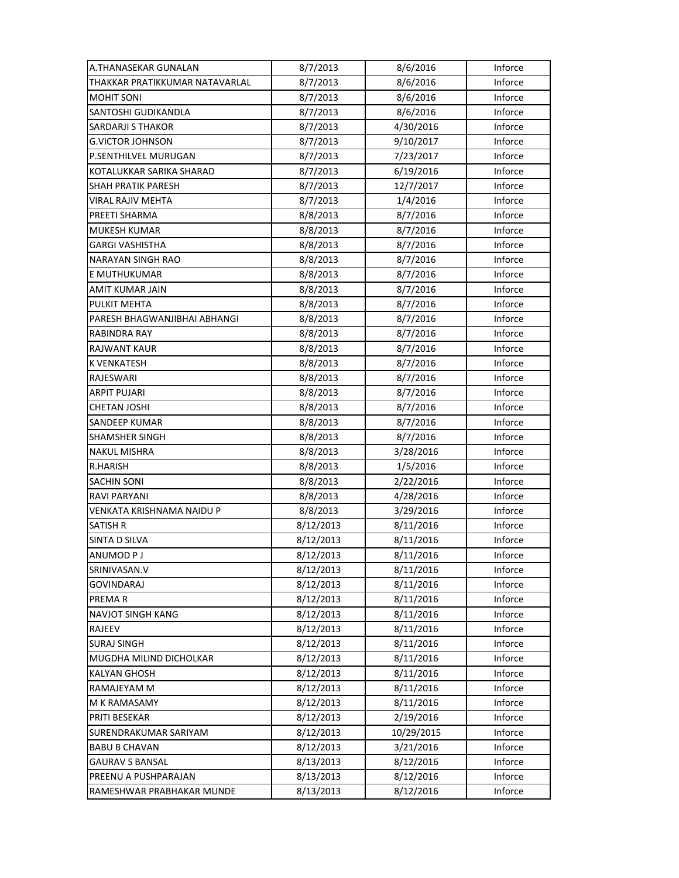| A.THANASEKAR GUNALAN           | 8/7/2013  | 8/6/2016   | Inforce |
|--------------------------------|-----------|------------|---------|
| THAKKAR PRATIKKUMAR NATAVARLAL | 8/7/2013  | 8/6/2016   | Inforce |
| <b>MOHIT SONI</b>              | 8/7/2013  | 8/6/2016   | Inforce |
| SANTOSHI GUDIKANDLA            | 8/7/2013  | 8/6/2016   | Inforce |
| <b>SARDARJI S THAKOR</b>       | 8/7/2013  | 4/30/2016  | Inforce |
| <b>G.VICTOR JOHNSON</b>        | 8/7/2013  | 9/10/2017  | Inforce |
| P.SENTHILVEL MURUGAN           | 8/7/2013  | 7/23/2017  | Inforce |
| KOTALUKKAR SARIKA SHARAD       | 8/7/2013  | 6/19/2016  | Inforce |
| <b>SHAH PRATIK PARESH</b>      | 8/7/2013  | 12/7/2017  | Inforce |
| VIRAL RAJIV MEHTA              | 8/7/2013  | 1/4/2016   | Inforce |
| PREETI SHARMA                  | 8/8/2013  | 8/7/2016   | Inforce |
| <b>MUKESH KUMAR</b>            | 8/8/2013  | 8/7/2016   | Inforce |
| GARGI VASHISTHA                | 8/8/2013  | 8/7/2016   | Inforce |
| NARAYAN SINGH RAO              | 8/8/2013  | 8/7/2016   | Inforce |
| E MUTHUKUMAR                   | 8/8/2013  | 8/7/2016   | Inforce |
| AMIT KUMAR JAIN                | 8/8/2013  | 8/7/2016   | Inforce |
| <b>PULKIT MEHTA</b>            | 8/8/2013  | 8/7/2016   | Inforce |
| PARESH BHAGWANJIBHAI ABHANGI   | 8/8/2013  | 8/7/2016   | Inforce |
| RABINDRA RAY                   | 8/8/2013  | 8/7/2016   | Inforce |
| <b>RAJWANT KAUR</b>            | 8/8/2013  | 8/7/2016   | Inforce |
| <b>K VENKATESH</b>             | 8/8/2013  | 8/7/2016   | Inforce |
| RAJESWARI                      | 8/8/2013  | 8/7/2016   | Inforce |
| ARPIT PUJARI                   | 8/8/2013  | 8/7/2016   | Inforce |
| <b>CHETAN JOSHI</b>            | 8/8/2013  | 8/7/2016   | Inforce |
| <b>SANDEEP KUMAR</b>           | 8/8/2013  | 8/7/2016   | Inforce |
| <b>SHAMSHER SINGH</b>          | 8/8/2013  | 8/7/2016   | Inforce |
| <b>NAKUL MISHRA</b>            | 8/8/2013  | 3/28/2016  | Inforce |
| R.HARISH                       | 8/8/2013  | 1/5/2016   | Inforce |
| <b>SACHIN SONI</b>             | 8/8/2013  | 2/22/2016  | Inforce |
| <b>RAVI PARYANI</b>            | 8/8/2013  | 4/28/2016  | Inforce |
| VENKATA KRISHNAMA NAIDU P      | 8/8/2013  | 3/29/2016  | Inforce |
| <b>SATISH R</b>                | 8/12/2013 | 8/11/2016  | Inforce |
| SINTA D SILVA                  | 8/12/2013 | 8/11/2016  | Inforce |
| ANUMOD P J                     | 8/12/2013 | 8/11/2016  | Inforce |
| SRINIVASAN.V                   | 8/12/2013 | 8/11/2016  | Inforce |
| <b>GOVINDARAJ</b>              | 8/12/2013 | 8/11/2016  | Inforce |
| PREMA R                        | 8/12/2013 | 8/11/2016  | Inforce |
| <b>NAVJOT SINGH KANG</b>       | 8/12/2013 | 8/11/2016  | Inforce |
| <b>RAJEEV</b>                  | 8/12/2013 | 8/11/2016  | Inforce |
| <b>SURAJ SINGH</b>             | 8/12/2013 | 8/11/2016  | Inforce |
| MUGDHA MILIND DICHOLKAR        | 8/12/2013 | 8/11/2016  | Inforce |
| <b>KALYAN GHOSH</b>            | 8/12/2013 | 8/11/2016  | Inforce |
| RAMAJEYAM M                    | 8/12/2013 | 8/11/2016  | Inforce |
| M K RAMASAMY                   | 8/12/2013 | 8/11/2016  | Inforce |
| PRITI BESEKAR                  | 8/12/2013 | 2/19/2016  | Inforce |
| SURENDRAKUMAR SARIYAM          | 8/12/2013 | 10/29/2015 | Inforce |
| <b>BABU B CHAVAN</b>           | 8/12/2013 | 3/21/2016  | Inforce |
| <b>GAURAV S BANSAL</b>         | 8/13/2013 | 8/12/2016  | Inforce |
| PREENU A PUSHPARAJAN           | 8/13/2013 | 8/12/2016  | Inforce |
| RAMESHWAR PRABHAKAR MUNDE      | 8/13/2013 | 8/12/2016  | Inforce |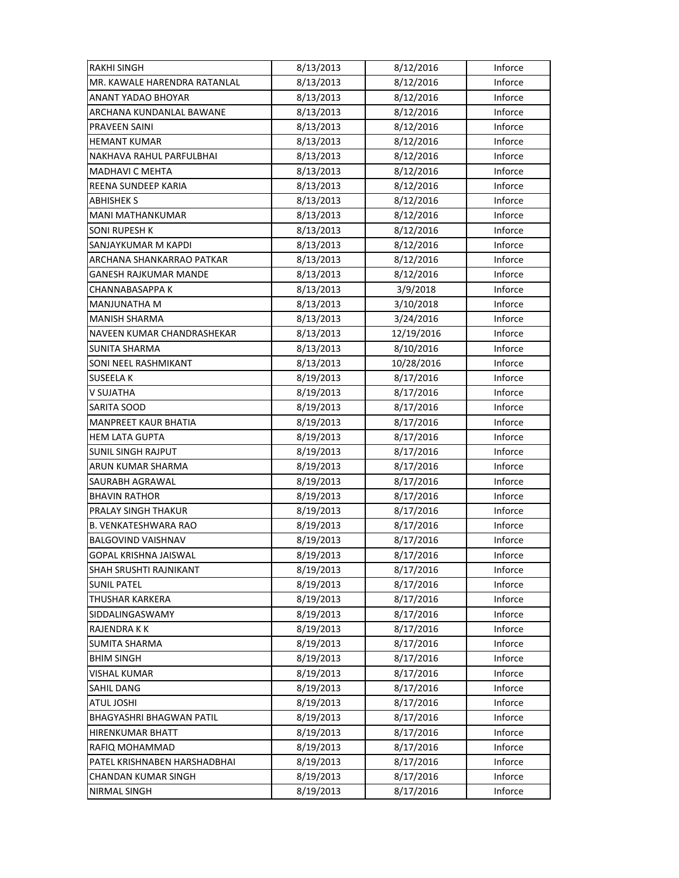| <b>RAKHI SINGH</b>           | 8/13/2013 | 8/12/2016  | Inforce |
|------------------------------|-----------|------------|---------|
| MR. KAWALE HARENDRA RATANLAL | 8/13/2013 | 8/12/2016  | Inforce |
| ANANT YADAO BHOYAR           | 8/13/2013 | 8/12/2016  | Inforce |
| ARCHANA KUNDANLAL BAWANE     | 8/13/2013 | 8/12/2016  | Inforce |
| PRAVEEN SAINI                | 8/13/2013 | 8/12/2016  | Inforce |
| <b>HEMANT KUMAR</b>          | 8/13/2013 | 8/12/2016  | Inforce |
| NAKHAVA RAHUL PARFULBHAI     | 8/13/2013 | 8/12/2016  | Inforce |
| <b>MADHAVI C MEHTA</b>       | 8/13/2013 | 8/12/2016  | Inforce |
| REENA SUNDEEP KARIA          | 8/13/2013 | 8/12/2016  | Inforce |
| <b>ABHISHEK S</b>            | 8/13/2013 | 8/12/2016  | Inforce |
| <b>MANI MATHANKUMAR</b>      | 8/13/2013 | 8/12/2016  | Inforce |
| <b>SONI RUPESH K</b>         | 8/13/2013 | 8/12/2016  | Inforce |
| SANJAYKUMAR M KAPDI          | 8/13/2013 | 8/12/2016  | Inforce |
| ARCHANA SHANKARRAO PATKAR    | 8/13/2013 | 8/12/2016  | Inforce |
| GANESH RAJKUMAR MANDE        | 8/13/2013 | 8/12/2016  | Inforce |
| CHANNABASAPPA K              | 8/13/2013 | 3/9/2018   | Inforce |
| <b>MANJUNATHA M</b>          | 8/13/2013 | 3/10/2018  | Inforce |
| <b>MANISH SHARMA</b>         | 8/13/2013 | 3/24/2016  | Inforce |
| NAVEEN KUMAR CHANDRASHEKAR   | 8/13/2013 | 12/19/2016 | Inforce |
| <b>SUNITA SHARMA</b>         | 8/13/2013 | 8/10/2016  | Inforce |
| SONI NEEL RASHMIKANT         | 8/13/2013 | 10/28/2016 | Inforce |
| <b>SUSEELAK</b>              | 8/19/2013 | 8/17/2016  | Inforce |
| V SUJATHA                    | 8/19/2013 | 8/17/2016  | Inforce |
| SARITA SOOD                  | 8/19/2013 | 8/17/2016  | Inforce |
| <b>MANPREET KAUR BHATIA</b>  | 8/19/2013 | 8/17/2016  | Inforce |
| <b>HEM LATA GUPTA</b>        | 8/19/2013 | 8/17/2016  | Inforce |
| <b>SUNIL SINGH RAJPUT</b>    | 8/19/2013 | 8/17/2016  | Inforce |
| ARUN KUMAR SHARMA            | 8/19/2013 | 8/17/2016  | Inforce |
| SAURABH AGRAWAL              | 8/19/2013 | 8/17/2016  | Inforce |
| <b>BHAVIN RATHOR</b>         | 8/19/2013 | 8/17/2016  | Inforce |
| PRALAY SINGH THAKUR          | 8/19/2013 | 8/17/2016  | Inforce |
| <b>B. VENKATESHWARA RAO</b>  | 8/19/2013 | 8/17/2016  | Inforce |
| <b>BALGOVIND VAISHNAV</b>    | 8/19/2013 | 8/17/2016  | Inforce |
| <b>GOPAL KRISHNA JAISWAL</b> | 8/19/2013 | 8/17/2016  | Inforce |
| SHAH SRUSHTI RAJNIKANT       | 8/19/2013 | 8/17/2016  | Inforce |
| <b>SUNIL PATEL</b>           | 8/19/2013 | 8/17/2016  | Inforce |
| <b>THUSHAR KARKERA</b>       | 8/19/2013 | 8/17/2016  | Inforce |
| SIDDALINGASWAMY              | 8/19/2013 | 8/17/2016  | Inforce |
| RAJENDRA K K                 | 8/19/2013 | 8/17/2016  | Inforce |
| <b>SUMITA SHARMA</b>         | 8/19/2013 | 8/17/2016  | Inforce |
| <b>BHIM SINGH</b>            | 8/19/2013 | 8/17/2016  | Inforce |
| VISHAL KUMAR                 | 8/19/2013 | 8/17/2016  | Inforce |
| SAHIL DANG                   | 8/19/2013 | 8/17/2016  | Inforce |
| ATUL JOSHI                   | 8/19/2013 | 8/17/2016  | Inforce |
| BHAGYASHRI BHAGWAN PATIL     | 8/19/2013 | 8/17/2016  | Inforce |
| HIRENKUMAR BHATT             | 8/19/2013 | 8/17/2016  | Inforce |
| RAFIQ MOHAMMAD               | 8/19/2013 | 8/17/2016  | Inforce |
| PATEL KRISHNABEN HARSHADBHAI | 8/19/2013 | 8/17/2016  | Inforce |
| CHANDAN KUMAR SINGH          | 8/19/2013 | 8/17/2016  | Inforce |
| NIRMAL SINGH                 | 8/19/2013 | 8/17/2016  | Inforce |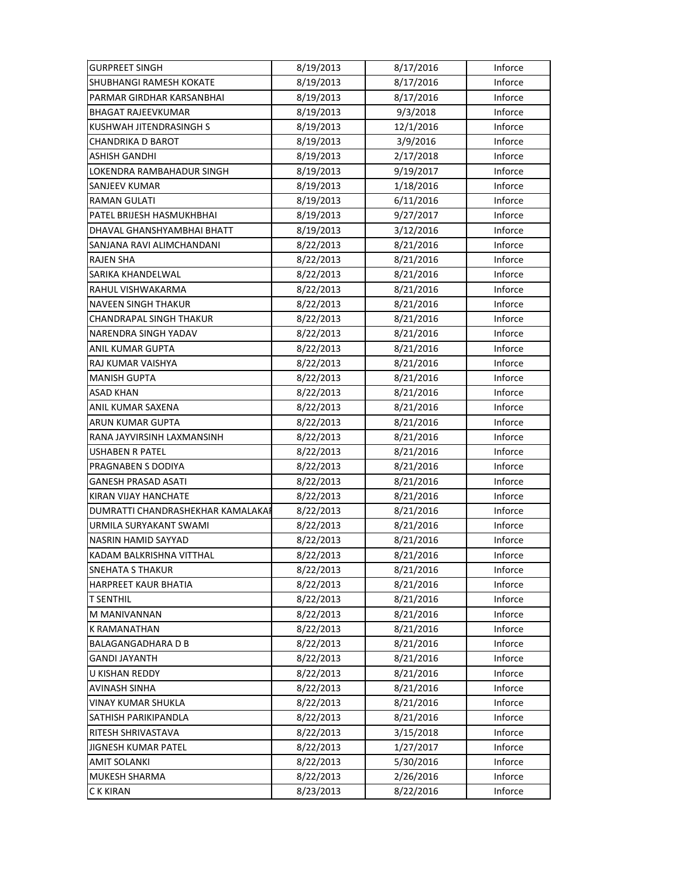| <b>GURPREET SINGH</b>             | 8/19/2013 | 8/17/2016 | Inforce |
|-----------------------------------|-----------|-----------|---------|
| <b>SHUBHANGI RAMESH KOKATE</b>    | 8/19/2013 | 8/17/2016 | Inforce |
| PARMAR GIRDHAR KARSANBHAI         | 8/19/2013 | 8/17/2016 | Inforce |
| <b>BHAGAT RAJEEVKUMAR</b>         | 8/19/2013 | 9/3/2018  | Inforce |
| KUSHWAH JITENDRASINGH S           | 8/19/2013 | 12/1/2016 | Inforce |
| CHANDRIKA D BAROT                 | 8/19/2013 | 3/9/2016  | Inforce |
| <b>ASHISH GANDHI</b>              | 8/19/2013 | 2/17/2018 | Inforce |
| LOKENDRA RAMBAHADUR SINGH         | 8/19/2013 | 9/19/2017 | Inforce |
| SANJEEV KUMAR                     | 8/19/2013 | 1/18/2016 | Inforce |
| <b>RAMAN GULATI</b>               | 8/19/2013 | 6/11/2016 | Inforce |
| PATEL BRIJESH HASMUKHBHAI         | 8/19/2013 | 9/27/2017 | Inforce |
| DHAVAL GHANSHYAMBHAI BHATT        | 8/19/2013 | 3/12/2016 | Inforce |
| SANJANA RAVI ALIMCHANDANI         | 8/22/2013 | 8/21/2016 | Inforce |
| <b>RAJEN SHA</b>                  | 8/22/2013 | 8/21/2016 | Inforce |
| SARIKA KHANDELWAL                 | 8/22/2013 | 8/21/2016 | Inforce |
| RAHUL VISHWAKARMA                 | 8/22/2013 | 8/21/2016 | Inforce |
| <b>NAVEEN SINGH THAKUR</b>        | 8/22/2013 | 8/21/2016 | Inforce |
| CHANDRAPAL SINGH THAKUR           | 8/22/2013 | 8/21/2016 | Inforce |
| NARENDRA SINGH YADAV              | 8/22/2013 | 8/21/2016 | Inforce |
| ANIL KUMAR GUPTA                  | 8/22/2013 | 8/21/2016 | Inforce |
| RAJ KUMAR VAISHYA                 | 8/22/2013 | 8/21/2016 | Inforce |
| <b>MANISH GUPTA</b>               | 8/22/2013 | 8/21/2016 | Inforce |
| ASAD KHAN                         | 8/22/2013 | 8/21/2016 | Inforce |
| ANIL KUMAR SAXENA                 | 8/22/2013 | 8/21/2016 | Inforce |
| ARUN KUMAR GUPTA                  | 8/22/2013 | 8/21/2016 | Inforce |
| RANA JAYVIRSINH LAXMANSINH        | 8/22/2013 | 8/21/2016 | Inforce |
| <b>USHABEN R PATEL</b>            | 8/22/2013 | 8/21/2016 | Inforce |
| PRAGNABEN S DODIYA                | 8/22/2013 | 8/21/2016 | Inforce |
| <b>GANESH PRASAD ASATI</b>        | 8/22/2013 | 8/21/2016 | Inforce |
| KIRAN VIJAY HANCHATE              | 8/22/2013 | 8/21/2016 | Inforce |
| DUMRATTI CHANDRASHEKHAR KAMALAKAI | 8/22/2013 | 8/21/2016 | Inforce |
| URMILA SURYAKANT SWAMI            | 8/22/2013 | 8/21/2016 | Inforce |
| NASRIN HAMID SAYYAD               | 8/22/2013 | 8/21/2016 | Inforce |
| KADAM BALKRISHNA VITTHAL          | 8/22/2013 | 8/21/2016 | Inforce |
| <b>SNEHATA S THAKUR</b>           | 8/22/2013 | 8/21/2016 | Inforce |
| <b>HARPREET KAUR BHATIA</b>       | 8/22/2013 | 8/21/2016 | Inforce |
| <b>T SENTHIL</b>                  | 8/22/2013 | 8/21/2016 | Inforce |
| M MANIVANNAN                      | 8/22/2013 | 8/21/2016 | Inforce |
| <b>K RAMANATHAN</b>               | 8/22/2013 | 8/21/2016 | Inforce |
| <b>BALAGANGADHARA D B</b>         | 8/22/2013 | 8/21/2016 | Inforce |
| <b>GANDI JAYANTH</b>              | 8/22/2013 | 8/21/2016 | Inforce |
| U KISHAN REDDY                    | 8/22/2013 | 8/21/2016 | Inforce |
| AVINASH SINHA                     | 8/22/2013 | 8/21/2016 | Inforce |
| <b>VINAY KUMAR SHUKLA</b>         | 8/22/2013 | 8/21/2016 | Inforce |
| SATHISH PARIKIPANDLA              | 8/22/2013 | 8/21/2016 | Inforce |
| RITESH SHRIVASTAVA                | 8/22/2013 | 3/15/2018 | Inforce |
| JIGNESH KUMAR PATEL               | 8/22/2013 | 1/27/2017 | Inforce |
| <b>AMIT SOLANKI</b>               | 8/22/2013 | 5/30/2016 | Inforce |
| MUKESH SHARMA                     | 8/22/2013 | 2/26/2016 | Inforce |
| C K KIRAN                         | 8/23/2013 | 8/22/2016 | Inforce |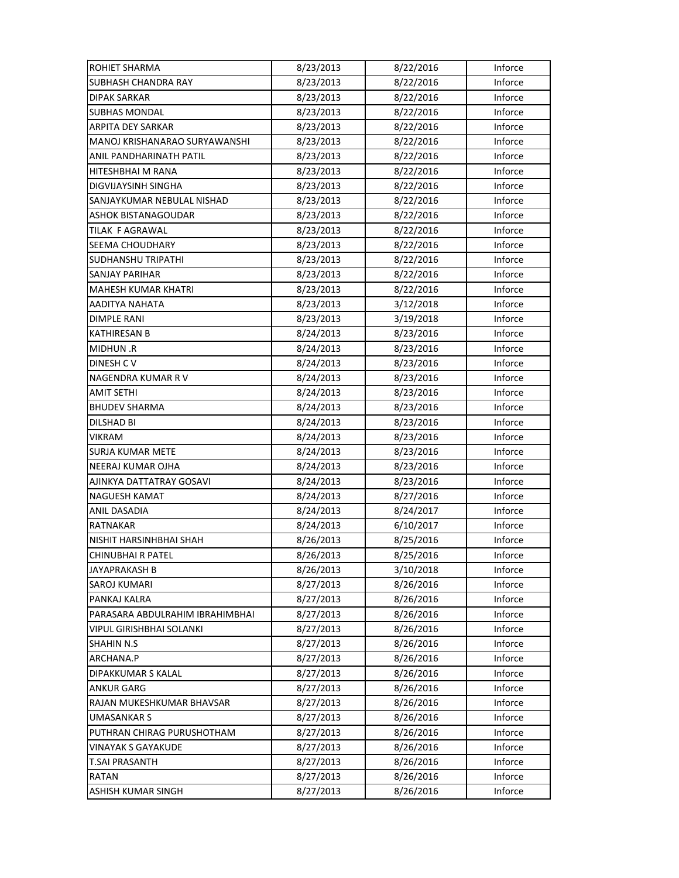| <b>ROHIET SHARMA</b>            | 8/23/2013 | 8/22/2016 | Inforce |
|---------------------------------|-----------|-----------|---------|
| <b>SUBHASH CHANDRA RAY</b>      | 8/23/2013 | 8/22/2016 | Inforce |
| <b>DIPAK SARKAR</b>             | 8/23/2013 | 8/22/2016 | Inforce |
| <b>SUBHAS MONDAL</b>            | 8/23/2013 | 8/22/2016 | Inforce |
| ARPITA DEY SARKAR               | 8/23/2013 | 8/22/2016 | Inforce |
| MANOJ KRISHANARAO SURYAWANSHI   | 8/23/2013 | 8/22/2016 | Inforce |
| ANIL PANDHARINATH PATIL         | 8/23/2013 | 8/22/2016 | Inforce |
| HITESHBHAI M RANA               | 8/23/2013 | 8/22/2016 | Inforce |
| DIGVIJAYSINH SINGHA             | 8/23/2013 | 8/22/2016 | Inforce |
| SANJAYKUMAR NEBULAL NISHAD      | 8/23/2013 | 8/22/2016 | Inforce |
| <b>ASHOK BISTANAGOUDAR</b>      | 8/23/2013 | 8/22/2016 | Inforce |
| TILAK F AGRAWAL                 | 8/23/2013 | 8/22/2016 | Inforce |
| SEEMA CHOUDHARY                 | 8/23/2013 | 8/22/2016 | Inforce |
| SUDHANSHU TRIPATHI              | 8/23/2013 | 8/22/2016 | Inforce |
| <b>SANJAY PARIHAR</b>           | 8/23/2013 | 8/22/2016 | Inforce |
| <b>MAHESH KUMAR KHATRI</b>      | 8/23/2013 | 8/22/2016 | Inforce |
| AADITYA NAHATA                  | 8/23/2013 | 3/12/2018 | Inforce |
| <b>DIMPLE RANI</b>              | 8/23/2013 | 3/19/2018 | Inforce |
| <b>KATHIRESAN B</b>             | 8/24/2013 | 8/23/2016 | Inforce |
| MIDHUN.R                        | 8/24/2013 | 8/23/2016 | Inforce |
| DINESH CV                       | 8/24/2013 | 8/23/2016 | Inforce |
| NAGENDRA KUMAR R V              | 8/24/2013 | 8/23/2016 | Inforce |
| <b>AMIT SETHI</b>               | 8/24/2013 | 8/23/2016 | Inforce |
| <b>BHUDEV SHARMA</b>            | 8/24/2013 | 8/23/2016 | Inforce |
| <b>DILSHAD BI</b>               | 8/24/2013 | 8/23/2016 | Inforce |
| <b>VIKRAM</b>                   | 8/24/2013 | 8/23/2016 | Inforce |
| <b>SURJA KUMAR METE</b>         | 8/24/2013 | 8/23/2016 | Inforce |
| NEERAJ KUMAR OJHA               | 8/24/2013 | 8/23/2016 | Inforce |
| AJINKYA DATTATRAY GOSAVI        | 8/24/2013 | 8/23/2016 | Inforce |
| NAGUESH KAMAT                   | 8/24/2013 | 8/27/2016 | Inforce |
| ANIL DASADIA                    | 8/24/2013 | 8/24/2017 | Inforce |
| <b>RATNAKAR</b>                 | 8/24/2013 | 6/10/2017 | Inforce |
| NISHIT HARSINHBHAI SHAH         | 8/26/2013 | 8/25/2016 | Inforce |
| <b>CHINUBHAI R PATEL</b>        | 8/26/2013 | 8/25/2016 | Inforce |
| JAYAPRAKASH B                   | 8/26/2013 | 3/10/2018 | Inforce |
| SAROJ KUMARI                    | 8/27/2013 | 8/26/2016 | Inforce |
| PANKAJ KALRA                    | 8/27/2013 | 8/26/2016 | Inforce |
| PARASARA ABDULRAHIM IBRAHIMBHAI | 8/27/2013 | 8/26/2016 | Inforce |
| <b>VIPUL GIRISHBHAI SOLANKI</b> | 8/27/2013 | 8/26/2016 | Inforce |
| <b>SHAHIN N.S</b>               | 8/27/2013 | 8/26/2016 | Inforce |
| ARCHANA.P                       | 8/27/2013 | 8/26/2016 | Inforce |
| DIPAKKUMAR S KALAL              | 8/27/2013 | 8/26/2016 | Inforce |
| <b>ANKUR GARG</b>               | 8/27/2013 | 8/26/2016 | Inforce |
| RAJAN MUKESHKUMAR BHAVSAR       | 8/27/2013 | 8/26/2016 | Inforce |
| <b>UMASANKAR S</b>              | 8/27/2013 | 8/26/2016 | Inforce |
| PUTHRAN CHIRAG PURUSHOTHAM      | 8/27/2013 | 8/26/2016 | Inforce |
| VINAYAK S GAYAKUDE              | 8/27/2013 | 8/26/2016 | Inforce |
| <b>T.SAI PRASANTH</b>           | 8/27/2013 | 8/26/2016 | Inforce |
| <b>RATAN</b>                    | 8/27/2013 | 8/26/2016 | Inforce |
| ASHISH KUMAR SINGH              | 8/27/2013 | 8/26/2016 | Inforce |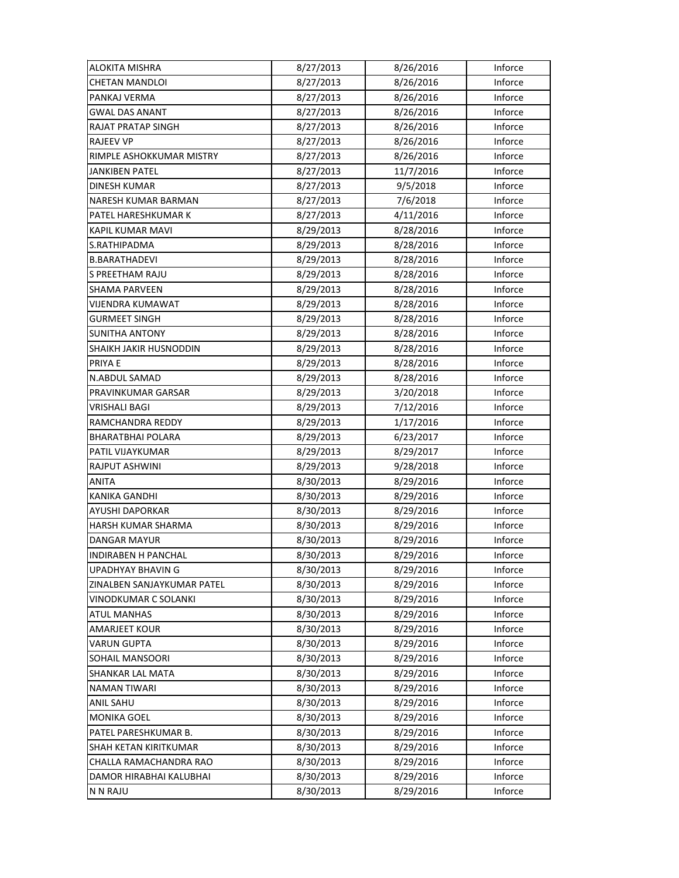| <b>ALOKITA MISHRA</b>      | 8/27/2013 | 8/26/2016 | Inforce |
|----------------------------|-----------|-----------|---------|
| <b>CHETAN MANDLOI</b>      | 8/27/2013 | 8/26/2016 | Inforce |
| PANKAJ VERMA               | 8/27/2013 | 8/26/2016 | Inforce |
| <b>GWAL DAS ANANT</b>      | 8/27/2013 | 8/26/2016 | Inforce |
| RAJAT PRATAP SINGH         | 8/27/2013 | 8/26/2016 | Inforce |
| <b>RAJEEV VP</b>           | 8/27/2013 | 8/26/2016 | Inforce |
| RIMPLE ASHOKKUMAR MISTRY   | 8/27/2013 | 8/26/2016 | Inforce |
| <b>JANKIBEN PATEL</b>      | 8/27/2013 | 11/7/2016 | Inforce |
| <b>DINESH KUMAR</b>        | 8/27/2013 | 9/5/2018  | Inforce |
| NARESH KUMAR BARMAN        | 8/27/2013 | 7/6/2018  | Inforce |
| PATEL HARESHKUMAR K        | 8/27/2013 | 4/11/2016 | Inforce |
| KAPIL KUMAR MAVI           | 8/29/2013 | 8/28/2016 | Inforce |
| S.RATHIPADMA               | 8/29/2013 | 8/28/2016 | Inforce |
| <b>B.BARATHADEVI</b>       | 8/29/2013 | 8/28/2016 | Inforce |
| S PREETHAM RAJU            | 8/29/2013 | 8/28/2016 | Inforce |
| <b>SHAMA PARVEEN</b>       | 8/29/2013 | 8/28/2016 | Inforce |
| <b>VIJENDRA KUMAWAT</b>    | 8/29/2013 | 8/28/2016 | Inforce |
| <b>GURMEET SINGH</b>       | 8/29/2013 | 8/28/2016 | Inforce |
| <b>SUNITHA ANTONY</b>      | 8/29/2013 | 8/28/2016 | Inforce |
| SHAIKH JAKIR HUSNODDIN     | 8/29/2013 | 8/28/2016 | Inforce |
| PRIYA E                    | 8/29/2013 | 8/28/2016 | Inforce |
| N.ABDUL SAMAD              | 8/29/2013 | 8/28/2016 | Inforce |
| PRAVINKUMAR GARSAR         | 8/29/2013 | 3/20/2018 | Inforce |
| VRISHALI BAGI              | 8/29/2013 | 7/12/2016 | Inforce |
| RAMCHANDRA REDDY           | 8/29/2013 | 1/17/2016 | Inforce |
| <b>BHARATBHAI POLARA</b>   | 8/29/2013 | 6/23/2017 | Inforce |
| PATIL VIJAYKUMAR           | 8/29/2013 | 8/29/2017 | Inforce |
| RAJPUT ASHWINI             | 8/29/2013 | 9/28/2018 | Inforce |
| <b>ANITA</b>               | 8/30/2013 | 8/29/2016 | Inforce |
| <b>KANIKA GANDHI</b>       | 8/30/2013 | 8/29/2016 | Inforce |
| AYUSHI DAPORKAR            | 8/30/2013 | 8/29/2016 | Inforce |
| HARSH KUMAR SHARMA         | 8/30/2013 | 8/29/2016 | Inforce |
| <b>DANGAR MAYUR</b>        | 8/30/2013 | 8/29/2016 | Inforce |
| INDIRABEN H PANCHAL        | 8/30/2013 | 8/29/2016 | Inforce |
| UPADHYAY BHAVIN G          | 8/30/2013 | 8/29/2016 | Inforce |
| ZINALBEN SANJAYKUMAR PATEL | 8/30/2013 | 8/29/2016 | Inforce |
| VINODKUMAR C SOLANKI       | 8/30/2013 | 8/29/2016 | Inforce |
| <b>ATUL MANHAS</b>         | 8/30/2013 | 8/29/2016 | Inforce |
| <b>AMARJEET KOUR</b>       | 8/30/2013 | 8/29/2016 | Inforce |
| <b>VARUN GUPTA</b>         | 8/30/2013 | 8/29/2016 | Inforce |
| SOHAIL MANSOORI            | 8/30/2013 | 8/29/2016 | Inforce |
| SHANKAR LAL MATA           | 8/30/2013 | 8/29/2016 | Inforce |
| <b>NAMAN TIWARI</b>        | 8/30/2013 | 8/29/2016 | Inforce |
| ANIL SAHU                  | 8/30/2013 | 8/29/2016 | Inforce |
| <b>MONIKA GOEL</b>         | 8/30/2013 | 8/29/2016 | Inforce |
| PATEL PARESHKUMAR B.       | 8/30/2013 | 8/29/2016 | Inforce |
| SHAH KETAN KIRITKUMAR      | 8/30/2013 | 8/29/2016 | Inforce |
| CHALLA RAMACHANDRA RAO     | 8/30/2013 | 8/29/2016 | Inforce |
| DAMOR HIRABHAI KALUBHAI    | 8/30/2013 | 8/29/2016 | Inforce |
| N N RAJU                   | 8/30/2013 | 8/29/2016 | Inforce |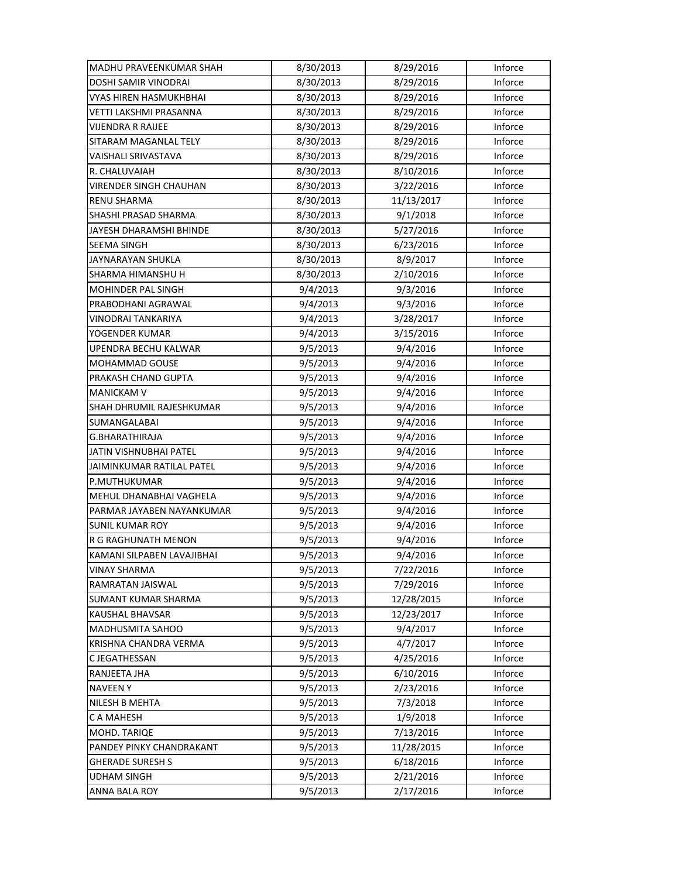| MADHU PRAVEENKUMAR SHAH    | 8/30/2013 | 8/29/2016  | Inforce |
|----------------------------|-----------|------------|---------|
| DOSHI SAMIR VINODRAI       | 8/30/2013 | 8/29/2016  | Inforce |
| VYAS HIREN HASMUKHBHAI     | 8/30/2013 | 8/29/2016  | Inforce |
| VETTI LAKSHMI PRASANNA     | 8/30/2013 | 8/29/2016  | Inforce |
| VIJENDRA R RAIJEE          | 8/30/2013 | 8/29/2016  | Inforce |
| SITARAM MAGANLAL TELY      | 8/30/2013 | 8/29/2016  | Inforce |
| VAISHALI SRIVASTAVA        | 8/30/2013 | 8/29/2016  | Inforce |
| R. CHALUVAIAH              | 8/30/2013 | 8/10/2016  | Inforce |
| VIRENDER SINGH CHAUHAN     | 8/30/2013 | 3/22/2016  | Inforce |
| RENU SHARMA                | 8/30/2013 | 11/13/2017 | Inforce |
| SHASHI PRASAD SHARMA       | 8/30/2013 | 9/1/2018   | Inforce |
| JAYESH DHARAMSHI BHINDE    | 8/30/2013 | 5/27/2016  | Inforce |
| <b>SEEMA SINGH</b>         | 8/30/2013 | 6/23/2016  | Inforce |
| JAYNARAYAN SHUKLA          | 8/30/2013 | 8/9/2017   | Inforce |
| SHARMA HIMANSHU H          | 8/30/2013 | 2/10/2016  | Inforce |
| <b>MOHINDER PAL SINGH</b>  | 9/4/2013  | 9/3/2016   | Inforce |
| PRABODHANI AGRAWAL         | 9/4/2013  | 9/3/2016   | Inforce |
| VINODRAI TANKARIYA         | 9/4/2013  | 3/28/2017  | Inforce |
| YOGENDER KUMAR             | 9/4/2013  | 3/15/2016  | Inforce |
| UPENDRA BECHU KALWAR       | 9/5/2013  | 9/4/2016   | Inforce |
| <b>MOHAMMAD GOUSE</b>      | 9/5/2013  | 9/4/2016   | Inforce |
| PRAKASH CHAND GUPTA        | 9/5/2013  | 9/4/2016   | Inforce |
| <b>MANICKAM V</b>          | 9/5/2013  | 9/4/2016   | Inforce |
| SHAH DHRUMIL RAJESHKUMAR   | 9/5/2013  | 9/4/2016   | Inforce |
| SUMANGALABAI               | 9/5/2013  | 9/4/2016   | Inforce |
| G.BHARATHIRAJA             | 9/5/2013  | 9/4/2016   | Inforce |
| JATIN VISHNUBHAI PATEL     | 9/5/2013  | 9/4/2016   | Inforce |
| JAIMINKUMAR RATILAL PATEL  | 9/5/2013  | 9/4/2016   | Inforce |
| P.MUTHUKUMAR               | 9/5/2013  | 9/4/2016   | Inforce |
| MEHUL DHANABHAI VAGHELA    | 9/5/2013  | 9/4/2016   | Inforce |
| PARMAR JAYABEN NAYANKUMAR  | 9/5/2013  | 9/4/2016   | Inforce |
| SUNIL KUMAR ROY            | 9/5/2013  | 9/4/2016   | Inforce |
| R G RAGHUNATH MENON        | 9/5/2013  | 9/4/2016   | Inforce |
| KAMANI SILPABEN LAVAJIBHAI | 9/5/2013  | 9/4/2016   | Inforce |
| VINAY SHARMA               | 9/5/2013  | 7/22/2016  | Inforce |
| RAMRATAN JAISWAL           | 9/5/2013  | 7/29/2016  | Inforce |
| <b>SUMANT KUMAR SHARMA</b> | 9/5/2013  | 12/28/2015 | Inforce |
| <b>KAUSHAL BHAVSAR</b>     | 9/5/2013  | 12/23/2017 | Inforce |
| MADHUSMITA SAHOO           | 9/5/2013  | 9/4/2017   | Inforce |
| KRISHNA CHANDRA VERMA      | 9/5/2013  | 4/7/2017   | Inforce |
| C JEGATHESSAN              | 9/5/2013  | 4/25/2016  | Inforce |
| RANJEETA JHA               | 9/5/2013  | 6/10/2016  | Inforce |
| <b>NAVEEN Y</b>            | 9/5/2013  | 2/23/2016  | Inforce |
| <b>NILESH B MEHTA</b>      | 9/5/2013  | 7/3/2018   | Inforce |
| C A MAHESH                 | 9/5/2013  | 1/9/2018   | Inforce |
| MOHD. TARIQE               | 9/5/2013  | 7/13/2016  | Inforce |
| PANDEY PINKY CHANDRAKANT   | 9/5/2013  | 11/28/2015 | Inforce |
| <b>GHERADE SURESH S</b>    | 9/5/2013  | 6/18/2016  | Inforce |
| <b>UDHAM SINGH</b>         | 9/5/2013  | 2/21/2016  | Inforce |
| ANNA BALA ROY              | 9/5/2013  | 2/17/2016  | Inforce |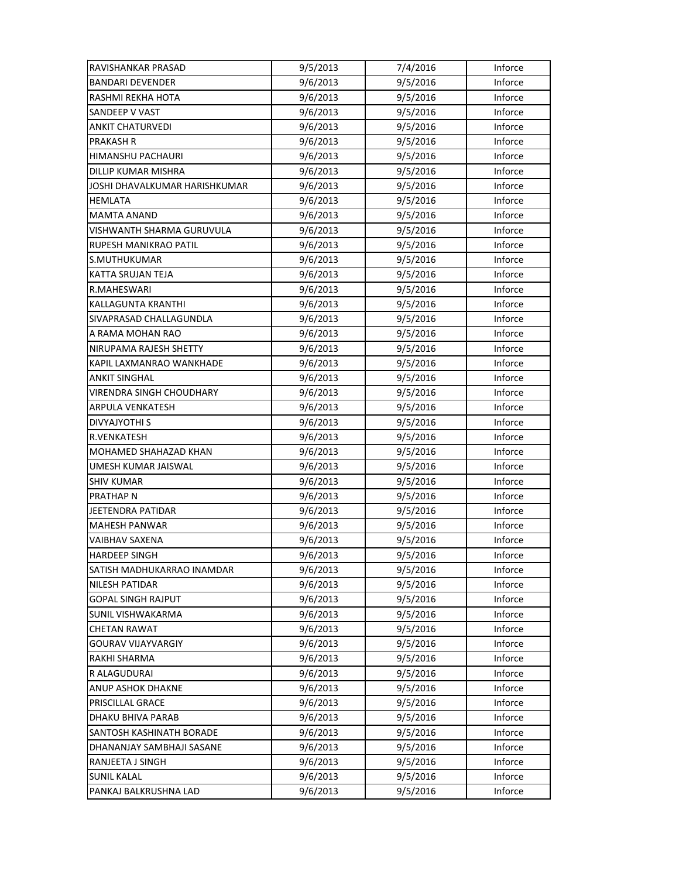| RAVISHANKAR PRASAD            | 9/5/2013 | 7/4/2016 | Inforce |
|-------------------------------|----------|----------|---------|
| <b>BANDARI DEVENDER</b>       | 9/6/2013 | 9/5/2016 | Inforce |
| RASHMI REKHA HOTA             | 9/6/2013 | 9/5/2016 | Inforce |
| SANDEEP V VAST                | 9/6/2013 | 9/5/2016 | Inforce |
| <b>ANKIT CHATURVEDI</b>       | 9/6/2013 | 9/5/2016 | Inforce |
| <b>PRAKASH R</b>              | 9/6/2013 | 9/5/2016 | Inforce |
| HIMANSHU PACHAURI             | 9/6/2013 | 9/5/2016 | Inforce |
| <b>DILLIP KUMAR MISHRA</b>    | 9/6/2013 | 9/5/2016 | Inforce |
| JOSHI DHAVALKUMAR HARISHKUMAR | 9/6/2013 | 9/5/2016 | Inforce |
| HEMLATA                       | 9/6/2013 | 9/5/2016 | Inforce |
| <b>MAMTA ANAND</b>            | 9/6/2013 | 9/5/2016 | Inforce |
| VISHWANTH SHARMA GURUVULA     | 9/6/2013 | 9/5/2016 | Inforce |
| RUPESH MANIKRAO PATIL         | 9/6/2013 | 9/5/2016 | Inforce |
| S.MUTHUKUMAR                  | 9/6/2013 | 9/5/2016 | Inforce |
| KATTA SRUJAN TEJA             | 9/6/2013 | 9/5/2016 | Inforce |
| R.MAHESWARI                   | 9/6/2013 | 9/5/2016 | Inforce |
| <b>KALLAGUNTA KRANTHI</b>     | 9/6/2013 | 9/5/2016 | Inforce |
| SIVAPRASAD CHALLAGUNDLA       | 9/6/2013 | 9/5/2016 | Inforce |
| A RAMA MOHAN RAO              | 9/6/2013 | 9/5/2016 | Inforce |
| NIRUPAMA RAJESH SHETTY        | 9/6/2013 | 9/5/2016 | Inforce |
| KAPIL LAXMANRAO WANKHADE      | 9/6/2013 | 9/5/2016 | Inforce |
| <b>ANKIT SINGHAL</b>          | 9/6/2013 | 9/5/2016 | Inforce |
| VIRENDRA SINGH CHOUDHARY      | 9/6/2013 | 9/5/2016 | Inforce |
| ARPULA VENKATESH              | 9/6/2013 | 9/5/2016 | Inforce |
| DIVYAJYOTHI S                 | 9/6/2013 | 9/5/2016 | Inforce |
| R.VENKATESH                   | 9/6/2013 | 9/5/2016 | Inforce |
| MOHAMED SHAHAZAD KHAN         | 9/6/2013 | 9/5/2016 | Inforce |
| UMESH KUMAR JAISWAL           | 9/6/2013 | 9/5/2016 | Inforce |
| <b>SHIV KUMAR</b>             | 9/6/2013 | 9/5/2016 | Inforce |
| <b>PRATHAP N</b>              | 9/6/2013 | 9/5/2016 | Inforce |
| JEETENDRA PATIDAR             | 9/6/2013 | 9/5/2016 | Inforce |
| <b>MAHESH PANWAR</b>          | 9/6/2013 | 9/5/2016 | Inforce |
| VAIBHAV SAXENA                | 9/6/2013 | 9/5/2016 | Inforce |
| <b>HARDEEP SINGH</b>          | 9/6/2013 | 9/5/2016 | Inforce |
| SATISH MADHUKARRAO INAMDAR    | 9/6/2013 | 9/5/2016 | Inforce |
| <b>NILESH PATIDAR</b>         | 9/6/2013 | 9/5/2016 | Inforce |
| <b>GOPAL SINGH RAJPUT</b>     | 9/6/2013 | 9/5/2016 | Inforce |
| SUNIL VISHWAKARMA             | 9/6/2013 | 9/5/2016 | Inforce |
| <b>CHETAN RAWAT</b>           | 9/6/2013 | 9/5/2016 | Inforce |
| <b>GOURAV VIJAYVARGIY</b>     | 9/6/2013 | 9/5/2016 | Inforce |
| RAKHI SHARMA                  | 9/6/2013 | 9/5/2016 | Inforce |
| R ALAGUDURAI                  | 9/6/2013 | 9/5/2016 | Inforce |
| ANUP ASHOK DHAKNE             | 9/6/2013 | 9/5/2016 | Inforce |
| PRISCILLAL GRACE              | 9/6/2013 | 9/5/2016 | Inforce |
| DHAKU BHIVA PARAB             | 9/6/2013 | 9/5/2016 | Inforce |
| SANTOSH KASHINATH BORADE      | 9/6/2013 | 9/5/2016 | Inforce |
| DHANANJAY SAMBHAJI SASANE     | 9/6/2013 | 9/5/2016 | Inforce |
| RANJEETA J SINGH              | 9/6/2013 | 9/5/2016 | Inforce |
| <b>SUNIL KALAL</b>            | 9/6/2013 | 9/5/2016 | Inforce |
|                               | 9/6/2013 |          |         |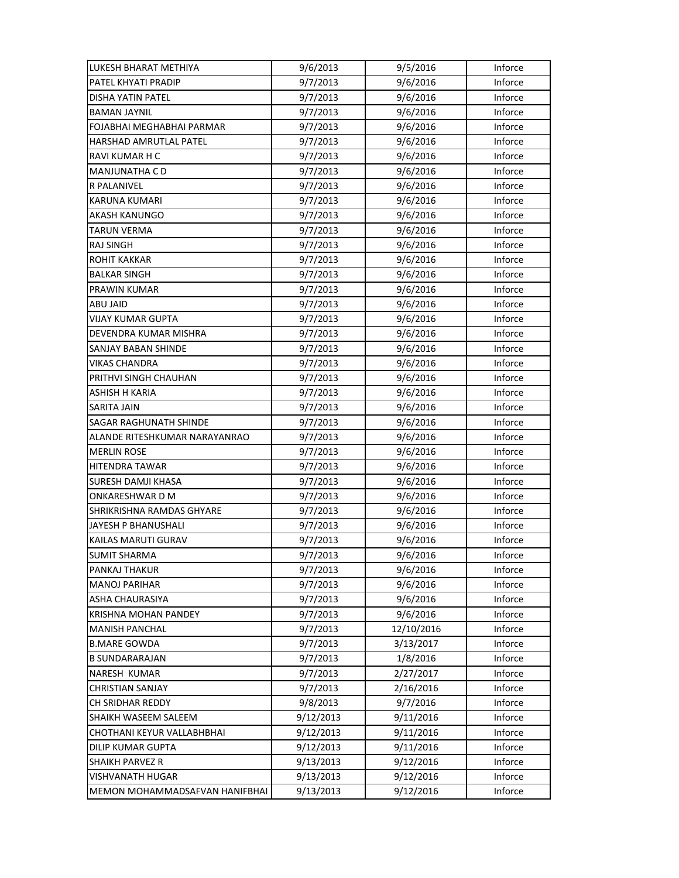| LUKESH BHARAT METHIYA          | 9/6/2013  | 9/5/2016   | Inforce |
|--------------------------------|-----------|------------|---------|
| PATEL KHYATI PRADIP            | 9/7/2013  | 9/6/2016   | Inforce |
| DISHA YATIN PATEL              | 9/7/2013  | 9/6/2016   | Inforce |
| <b>BAMAN JAYNIL</b>            | 9/7/2013  | 9/6/2016   | Inforce |
| FOJABHAI MEGHABHAI PARMAR      | 9/7/2013  | 9/6/2016   | Inforce |
| HARSHAD AMRUTLAL PATEL         | 9/7/2013  | 9/6/2016   | Inforce |
| RAVI KUMAR H C                 | 9/7/2013  | 9/6/2016   | Inforce |
| <b>MANJUNATHA CD</b>           | 9/7/2013  | 9/6/2016   | Inforce |
| R PALANIVEL                    | 9/7/2013  | 9/6/2016   | Inforce |
| KARUNA KUMARI                  | 9/7/2013  | 9/6/2016   | Inforce |
| AKASH KANUNGO                  | 9/7/2013  | 9/6/2016   | Inforce |
| <b>TARUN VERMA</b>             | 9/7/2013  | 9/6/2016   | Inforce |
| <b>RAJ SINGH</b>               | 9/7/2013  | 9/6/2016   | Inforce |
| <b>ROHIT KAKKAR</b>            | 9/7/2013  | 9/6/2016   | Inforce |
| <b>BALKAR SINGH</b>            | 9/7/2013  | 9/6/2016   | Inforce |
| <b>PRAWIN KUMAR</b>            | 9/7/2013  | 9/6/2016   | Inforce |
| ABU JAID                       | 9/7/2013  | 9/6/2016   | Inforce |
| <b>VIJAY KUMAR GUPTA</b>       | 9/7/2013  | 9/6/2016   | Inforce |
| DEVENDRA KUMAR MISHRA          | 9/7/2013  | 9/6/2016   | Inforce |
| SANJAY BABAN SHINDE            | 9/7/2013  | 9/6/2016   | Inforce |
| <b>VIKAS CHANDRA</b>           | 9/7/2013  | 9/6/2016   | Inforce |
| PRITHVI SINGH CHAUHAN          | 9/7/2013  | 9/6/2016   | Inforce |
| ASHISH H KARIA                 | 9/7/2013  | 9/6/2016   | Inforce |
| SARITA JAIN                    | 9/7/2013  | 9/6/2016   | Inforce |
| <b>SAGAR RAGHUNATH SHINDE</b>  | 9/7/2013  | 9/6/2016   | Inforce |
| ALANDE RITESHKUMAR NARAYANRAO  | 9/7/2013  | 9/6/2016   | Inforce |
| <b>MERLIN ROSE</b>             | 9/7/2013  | 9/6/2016   | Inforce |
| HITENDRA TAWAR                 | 9/7/2013  | 9/6/2016   | Inforce |
| SURESH DAMJI KHASA             | 9/7/2013  | 9/6/2016   | Inforce |
| <b>ONKARESHWARDM</b>           | 9/7/2013  | 9/6/2016   | Inforce |
| SHRIKRISHNA RAMDAS GHYARE      | 9/7/2013  | 9/6/2016   | Inforce |
| JAYESH P BHANUSHALI            | 9/7/2013  | 9/6/2016   | Inforce |
| KAILAS MARUTI GURAV            | 9/7/2013  | 9/6/2016   | Inforce |
| <b>SUMIT SHARMA</b>            | 9/7/2013  | 9/6/2016   | Inforce |
| PANKAJ THAKUR                  | 9/7/2013  | 9/6/2016   | Inforce |
| <b>MANOJ PARIHAR</b>           | 9/7/2013  | 9/6/2016   | Inforce |
| ASHA CHAURASIYA                | 9/7/2013  | 9/6/2016   | Inforce |
| <b>KRISHNA MOHAN PANDEY</b>    | 9/7/2013  | 9/6/2016   | Inforce |
| <b>MANISH PANCHAL</b>          | 9/7/2013  | 12/10/2016 | Inforce |
| <b>B.MARE GOWDA</b>            | 9/7/2013  | 3/13/2017  | Inforce |
| <b>B SUNDARARAJAN</b>          | 9/7/2013  | 1/8/2016   | Inforce |
| NARESH KUMAR                   | 9/7/2013  | 2/27/2017  | Inforce |
| <b>CHRISTIAN SANJAY</b>        | 9/7/2013  | 2/16/2016  | Inforce |
| CH SRIDHAR REDDY               | 9/8/2013  | 9/7/2016   | Inforce |
| SHAIKH WASEEM SALEEM           | 9/12/2013 | 9/11/2016  | Inforce |
| CHOTHANI KEYUR VALLABHBHAI     | 9/12/2013 | 9/11/2016  | Inforce |
| DILIP KUMAR GUPTA              | 9/12/2013 | 9/11/2016  | Inforce |
| <b>SHAIKH PARVEZ R</b>         | 9/13/2013 | 9/12/2016  | Inforce |
| <b>VISHVANATH HUGAR</b>        | 9/13/2013 | 9/12/2016  | Inforce |
| MEMON MOHAMMADSAFVAN HANIFBHAI | 9/13/2013 | 9/12/2016  | Inforce |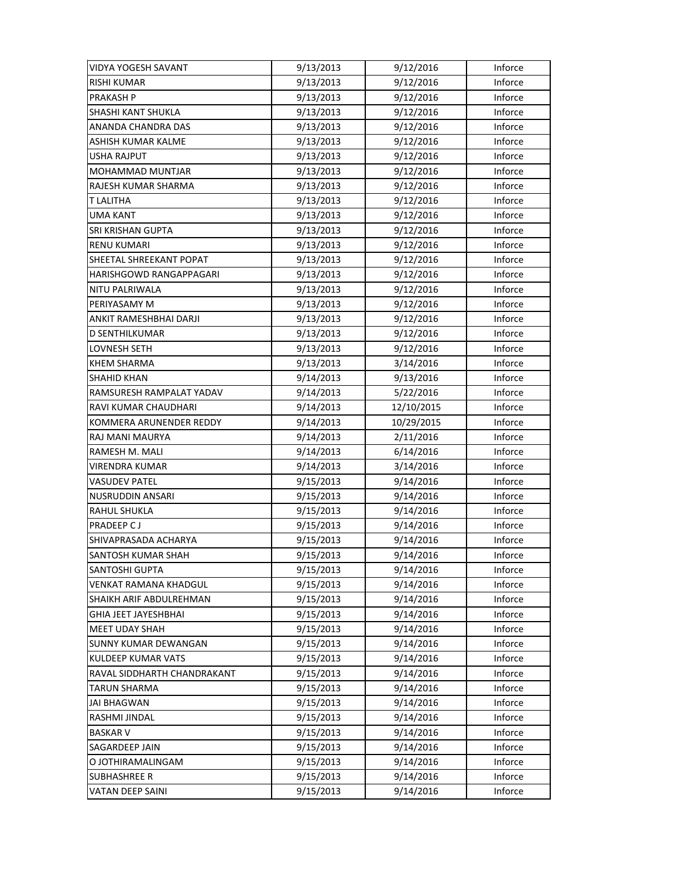| VIDYA YOGESH SAVANT         | 9/13/2013 | 9/12/2016  | Inforce |
|-----------------------------|-----------|------------|---------|
| <b>RISHI KUMAR</b>          | 9/13/2013 | 9/12/2016  | Inforce |
| <b>PRAKASH P</b>            | 9/13/2013 | 9/12/2016  | Inforce |
| SHASHI KANT SHUKLA          | 9/13/2013 | 9/12/2016  | Inforce |
| ANANDA CHANDRA DAS          | 9/13/2013 | 9/12/2016  | Inforce |
| ASHISH KUMAR KALME          | 9/13/2013 | 9/12/2016  | Inforce |
| <b>USHA RAJPUT</b>          | 9/13/2013 | 9/12/2016  | Inforce |
| MOHAMMAD MUNTJAR            | 9/13/2013 | 9/12/2016  | Inforce |
| RAJESH KUMAR SHARMA         | 9/13/2013 | 9/12/2016  | Inforce |
| T LALITHA                   | 9/13/2013 | 9/12/2016  | Inforce |
| <b>UMA KANT</b>             | 9/13/2013 | 9/12/2016  | Inforce |
| SRI KRISHAN GUPTA           | 9/13/2013 | 9/12/2016  | Inforce |
| <b>RENU KUMARI</b>          | 9/13/2013 | 9/12/2016  | Inforce |
| SHEETAL SHREEKANT POPAT     | 9/13/2013 | 9/12/2016  | Inforce |
| HARISHGOWD RANGAPPAGARI     | 9/13/2013 | 9/12/2016  | Inforce |
| NITU PALRIWALA              | 9/13/2013 | 9/12/2016  | Inforce |
| PERIYASAMY M                | 9/13/2013 | 9/12/2016  | Inforce |
| ANKIT RAMESHBHAI DARJI      | 9/13/2013 | 9/12/2016  | Inforce |
| D SENTHILKUMAR              | 9/13/2013 | 9/12/2016  | Inforce |
| LOVNESH SETH                | 9/13/2013 | 9/12/2016  | Inforce |
| KHEM SHARMA                 | 9/13/2013 | 3/14/2016  | Inforce |
| <b>SHAHID KHAN</b>          | 9/14/2013 | 9/13/2016  | Inforce |
| RAMSURESH RAMPALAT YADAV    | 9/14/2013 | 5/22/2016  | Inforce |
| RAVI KUMAR CHAUDHARI        | 9/14/2013 | 12/10/2015 | Inforce |
| KOMMERA ARUNENDER REDDY     | 9/14/2013 | 10/29/2015 | Inforce |
| RAJ MANI MAURYA             | 9/14/2013 | 2/11/2016  | Inforce |
| RAMESH M. MALI              | 9/14/2013 | 6/14/2016  | Inforce |
| VIRENDRA KUMAR              | 9/14/2013 | 3/14/2016  | Inforce |
| <b>VASUDEV PATEL</b>        | 9/15/2013 | 9/14/2016  | Inforce |
| NUSRUDDIN ANSARI            | 9/15/2013 | 9/14/2016  | Inforce |
| RAHUL SHUKLA                | 9/15/2013 | 9/14/2016  | Inforce |
| <b>PRADEEP CJ</b>           | 9/15/2013 | 9/14/2016  | Inforce |
| SHIVAPRASADA ACHARYA        | 9/15/2013 | 9/14/2016  | Inforce |
| SANTOSH KUMAR SHAH          | 9/15/2013 | 9/14/2016  | Inforce |
| <b>SANTOSHI GUPTA</b>       | 9/15/2013 | 9/14/2016  | Inforce |
| VENKAT RAMANA KHADGUL       | 9/15/2013 | 9/14/2016  | Inforce |
| SHAIKH ARIF ABDULREHMAN     | 9/15/2013 | 9/14/2016  | Inforce |
| <b>GHIA JEET JAYESHBHAI</b> | 9/15/2013 | 9/14/2016  | Inforce |
| <b>MEET UDAY SHAH</b>       | 9/15/2013 | 9/14/2016  | Inforce |
| <b>SUNNY KUMAR DEWANGAN</b> | 9/15/2013 | 9/14/2016  | Inforce |
| KULDEEP KUMAR VATS          | 9/15/2013 | 9/14/2016  | Inforce |
| RAVAL SIDDHARTH CHANDRAKANT | 9/15/2013 | 9/14/2016  | Inforce |
| TARUN SHARMA                | 9/15/2013 | 9/14/2016  | Inforce |
| JAI BHAGWAN                 | 9/15/2013 | 9/14/2016  | Inforce |
| RASHMI JINDAL               | 9/15/2013 | 9/14/2016  | Inforce |
| <b>BASKAR V</b>             | 9/15/2013 | 9/14/2016  | Inforce |
| SAGARDEEP JAIN              | 9/15/2013 | 9/14/2016  | Inforce |
| O JOTHIRAMALINGAM           | 9/15/2013 | 9/14/2016  | Inforce |
| <b>SUBHASHREE R</b>         | 9/15/2013 | 9/14/2016  | Inforce |
| VATAN DEEP SAINI            | 9/15/2013 | 9/14/2016  | Inforce |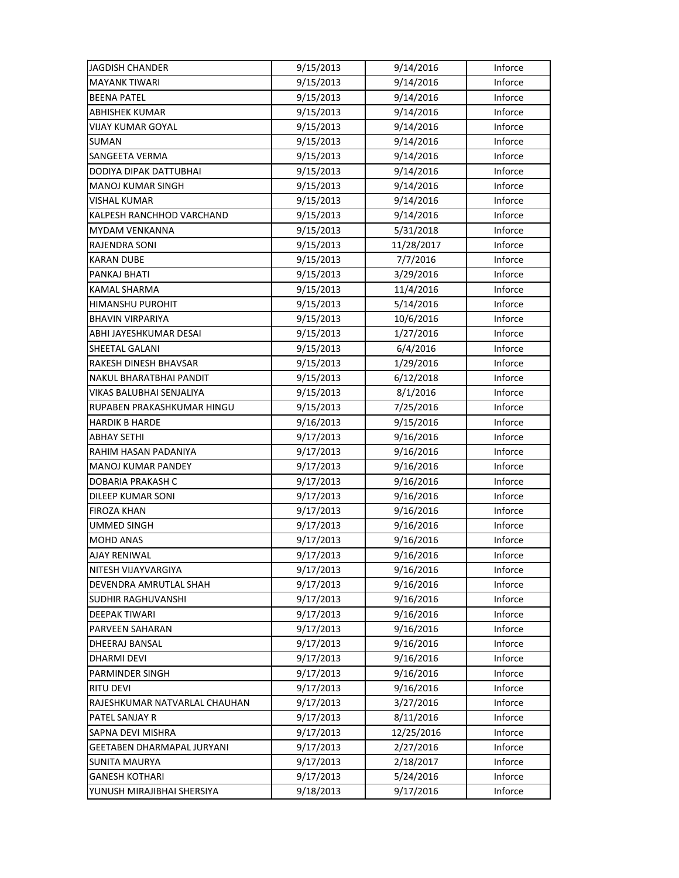| JAGDISH CHANDER               | 9/15/2013 | 9/14/2016  | Inforce |
|-------------------------------|-----------|------------|---------|
| <b>MAYANK TIWARI</b>          | 9/15/2013 | 9/14/2016  | Inforce |
| <b>BEENA PATEL</b>            | 9/15/2013 | 9/14/2016  | Inforce |
| <b>ABHISHEK KUMAR</b>         | 9/15/2013 | 9/14/2016  | Inforce |
| <b>VIJAY KUMAR GOYAL</b>      | 9/15/2013 | 9/14/2016  | Inforce |
| SUMAN                         | 9/15/2013 | 9/14/2016  | Inforce |
| SANGEETA VERMA                | 9/15/2013 | 9/14/2016  | Inforce |
| DODIYA DIPAK DATTUBHAI        | 9/15/2013 | 9/14/2016  | Inforce |
| <b>MANOJ KUMAR SINGH</b>      | 9/15/2013 | 9/14/2016  | Inforce |
| VISHAL KUMAR                  | 9/15/2013 | 9/14/2016  | Inforce |
| KALPESH RANCHHOD VARCHAND     | 9/15/2013 | 9/14/2016  | Inforce |
| MYDAM VENKANNA                | 9/15/2013 | 5/31/2018  | Inforce |
| RAJENDRA SONI                 | 9/15/2013 | 11/28/2017 | Inforce |
| <b>KARAN DUBE</b>             | 9/15/2013 | 7/7/2016   | Inforce |
| PANKAJ BHATI                  | 9/15/2013 | 3/29/2016  | Inforce |
| <b>KAMAL SHARMA</b>           | 9/15/2013 | 11/4/2016  | Inforce |
| <b>HIMANSHU PUROHIT</b>       | 9/15/2013 | 5/14/2016  | Inforce |
| <b>BHAVIN VIRPARIYA</b>       | 9/15/2013 | 10/6/2016  | Inforce |
| ABHI JAYESHKUMAR DESAI        | 9/15/2013 | 1/27/2016  | Inforce |
| SHEETAL GALANI                | 9/15/2013 | 6/4/2016   | Inforce |
| RAKESH DINESH BHAVSAR         | 9/15/2013 | 1/29/2016  | Inforce |
| NAKUL BHARATBHAI PANDIT       | 9/15/2013 | 6/12/2018  | Inforce |
| VIKAS BALUBHAI SENJALIYA      | 9/15/2013 | 8/1/2016   | Inforce |
| RUPABEN PRAKASHKUMAR HINGU    | 9/15/2013 | 7/25/2016  | Inforce |
| <b>HARDIK B HARDE</b>         | 9/16/2013 | 9/15/2016  | Inforce |
| <b>ABHAY SETHI</b>            | 9/17/2013 | 9/16/2016  | Inforce |
| RAHIM HASAN PADANIYA          | 9/17/2013 | 9/16/2016  | Inforce |
| MANOJ KUMAR PANDEY            | 9/17/2013 | 9/16/2016  | Inforce |
| DOBARIA PRAKASH C             | 9/17/2013 | 9/16/2016  | Inforce |
| DILEEP KUMAR SONI             | 9/17/2013 | 9/16/2016  | Inforce |
| <b>FIROZA KHAN</b>            | 9/17/2013 | 9/16/2016  | Inforce |
| UMMED SINGH                   | 9/17/2013 | 9/16/2016  | Inforce |
| <b>MOHD ANAS</b>              | 9/17/2013 | 9/16/2016  | Inforce |
| <b>AJAY RENIWAL</b>           | 9/17/2013 | 9/16/2016  | Inforce |
| NITESH VIJAYVARGIYA           | 9/17/2013 | 9/16/2016  | Inforce |
| DEVENDRA AMRUTLAL SHAH        | 9/17/2013 | 9/16/2016  | Inforce |
| SUDHIR RAGHUVANSHI            | 9/17/2013 | 9/16/2016  | Inforce |
| <b>DEEPAK TIWARI</b>          | 9/17/2013 | 9/16/2016  | Inforce |
| PARVEEN SAHARAN               | 9/17/2013 | 9/16/2016  | Inforce |
| DHEERAJ BANSAL                | 9/17/2013 | 9/16/2016  | Inforce |
| DHARMI DEVI                   | 9/17/2013 | 9/16/2016  | Inforce |
| PARMINDER SINGH               | 9/17/2013 | 9/16/2016  | Inforce |
| <b>RITU DEVI</b>              | 9/17/2013 | 9/16/2016  | Inforce |
| RAJESHKUMAR NATVARLAL CHAUHAN | 9/17/2013 | 3/27/2016  | Inforce |
| PATEL SANJAY R                | 9/17/2013 | 8/11/2016  | Inforce |
| SAPNA DEVI MISHRA             | 9/17/2013 | 12/25/2016 | Inforce |
| GEETABEN DHARMAPAL JURYANI    | 9/17/2013 | 2/27/2016  | Inforce |
| <b>SUNITA MAURYA</b>          | 9/17/2013 | 2/18/2017  | Inforce |
| <b>GANESH KOTHARI</b>         | 9/17/2013 | 5/24/2016  | Inforce |
| YUNUSH MIRAJIBHAI SHERSIYA    | 9/18/2013 | 9/17/2016  | Inforce |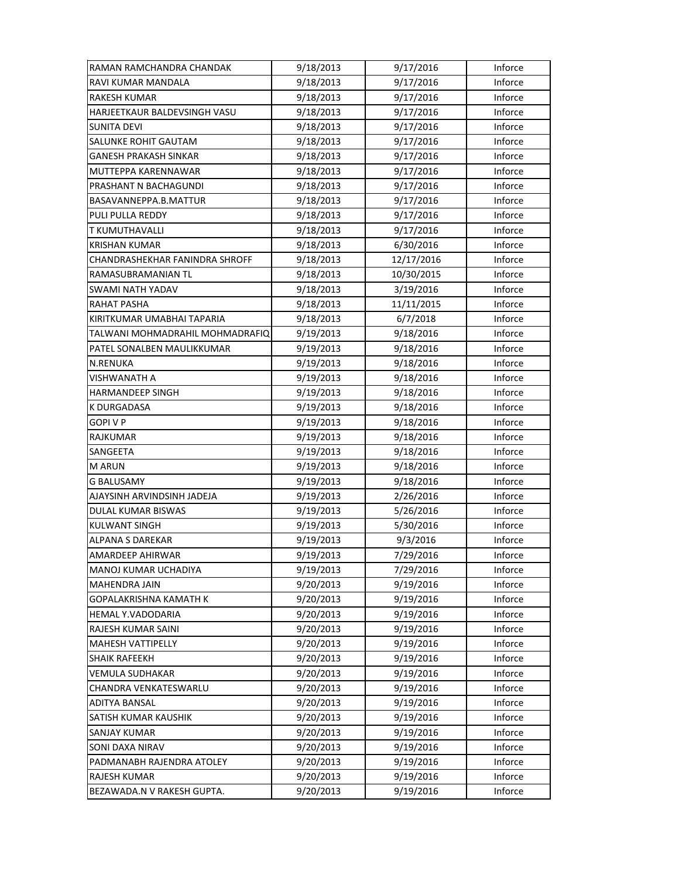| RAMAN RAMCHANDRA CHANDAK        | 9/18/2013 | 9/17/2016  | Inforce |
|---------------------------------|-----------|------------|---------|
| RAVI KUMAR MANDALA              | 9/18/2013 | 9/17/2016  | Inforce |
| RAKESH KUMAR                    | 9/18/2013 | 9/17/2016  | Inforce |
| HARJEETKAUR BALDEVSINGH VASU    | 9/18/2013 | 9/17/2016  | Inforce |
| <b>SUNITA DEVI</b>              | 9/18/2013 | 9/17/2016  | Inforce |
| SALUNKE ROHIT GAUTAM            | 9/18/2013 | 9/17/2016  | Inforce |
| <b>GANESH PRAKASH SINKAR</b>    | 9/18/2013 | 9/17/2016  | Inforce |
| MUTTEPPA KARENNAWAR             | 9/18/2013 | 9/17/2016  | Inforce |
| PRASHANT N BACHAGUNDI           | 9/18/2013 | 9/17/2016  | Inforce |
| BASAVANNEPPA.B.MATTUR           | 9/18/2013 | 9/17/2016  | Inforce |
| PULI PULLA REDDY                | 9/18/2013 | 9/17/2016  | Inforce |
| T KUMUTHAVALLI                  | 9/18/2013 | 9/17/2016  | Inforce |
| <b>KRISHAN KUMAR</b>            | 9/18/2013 | 6/30/2016  | Inforce |
| CHANDRASHEKHAR FANINDRA SHROFF  | 9/18/2013 | 12/17/2016 | Inforce |
| RAMASUBRAMANIAN TL              | 9/18/2013 | 10/30/2015 | Inforce |
| <b>SWAMI NATH YADAV</b>         | 9/18/2013 | 3/19/2016  | Inforce |
| <b>RAHAT PASHA</b>              | 9/18/2013 | 11/11/2015 | Inforce |
| KIRITKUMAR UMABHAI TAPARIA      | 9/18/2013 | 6/7/2018   | Inforce |
| TALWANI MOHMADRAHIL MOHMADRAFIQ | 9/19/2013 | 9/18/2016  | Inforce |
| PATEL SONALBEN MAULIKKUMAR      | 9/19/2013 | 9/18/2016  | Inforce |
| N.RENUKA                        | 9/19/2013 | 9/18/2016  | Inforce |
| VISHWANATH A                    | 9/19/2013 | 9/18/2016  | Inforce |
| HARMANDEEP SINGH                | 9/19/2013 | 9/18/2016  | Inforce |
| K DURGADASA                     | 9/19/2013 | 9/18/2016  | Inforce |
| <b>GOPIVP</b>                   | 9/19/2013 | 9/18/2016  | Inforce |
| <b>RAJKUMAR</b>                 | 9/19/2013 | 9/18/2016  | Inforce |
| SANGEETA                        | 9/19/2013 | 9/18/2016  | Inforce |
| <b>M ARUN</b>                   | 9/19/2013 | 9/18/2016  | Inforce |
| <b>G BALUSAMY</b>               | 9/19/2013 | 9/18/2016  | Inforce |
| AJAYSINH ARVINDSINH JADEJA      | 9/19/2013 | 2/26/2016  | Inforce |
| DULAL KUMAR BISWAS              | 9/19/2013 | 5/26/2016  | Inforce |
| <b>KULWANT SINGH</b>            | 9/19/2013 | 5/30/2016  | Inforce |
| <b>ALPANA S DAREKAR</b>         | 9/19/2013 | 9/3/2016   | Inforce |
| AMARDEEP AHIRWAR                | 9/19/2013 | 7/29/2016  | Inforce |
| MANOJ KUMAR UCHADIYA            | 9/19/2013 | 7/29/2016  | Inforce |
| <b>MAHENDRA JAIN</b>            | 9/20/2013 | 9/19/2016  | Inforce |
| GOPALAKRISHNA KAMATH K          | 9/20/2013 | 9/19/2016  | Inforce |
| HEMAL Y.VADODARIA               | 9/20/2013 | 9/19/2016  | Inforce |
| RAJESH KUMAR SAINI              | 9/20/2013 | 9/19/2016  | Inforce |
| <b>MAHESH VATTIPELLY</b>        | 9/20/2013 | 9/19/2016  | Inforce |
| <b>SHAIK RAFEEKH</b>            | 9/20/2013 | 9/19/2016  | Inforce |
| VEMULA SUDHAKAR                 | 9/20/2013 | 9/19/2016  | Inforce |
| CHANDRA VENKATESWARLU           | 9/20/2013 | 9/19/2016  | Inforce |
| ADITYA BANSAL                   | 9/20/2013 | 9/19/2016  | Inforce |
| SATISH KUMAR KAUSHIK            | 9/20/2013 | 9/19/2016  | Inforce |
| SANJAY KUMAR                    | 9/20/2013 | 9/19/2016  | Inforce |
| SONI DAXA NIRAV                 | 9/20/2013 | 9/19/2016  | Inforce |
| PADMANABH RAJENDRA ATOLEY       | 9/20/2013 | 9/19/2016  | Inforce |
| <b>RAJESH KUMAR</b>             | 9/20/2013 | 9/19/2016  | Inforce |
| BEZAWADA.N V RAKESH GUPTA.      | 9/20/2013 | 9/19/2016  | Inforce |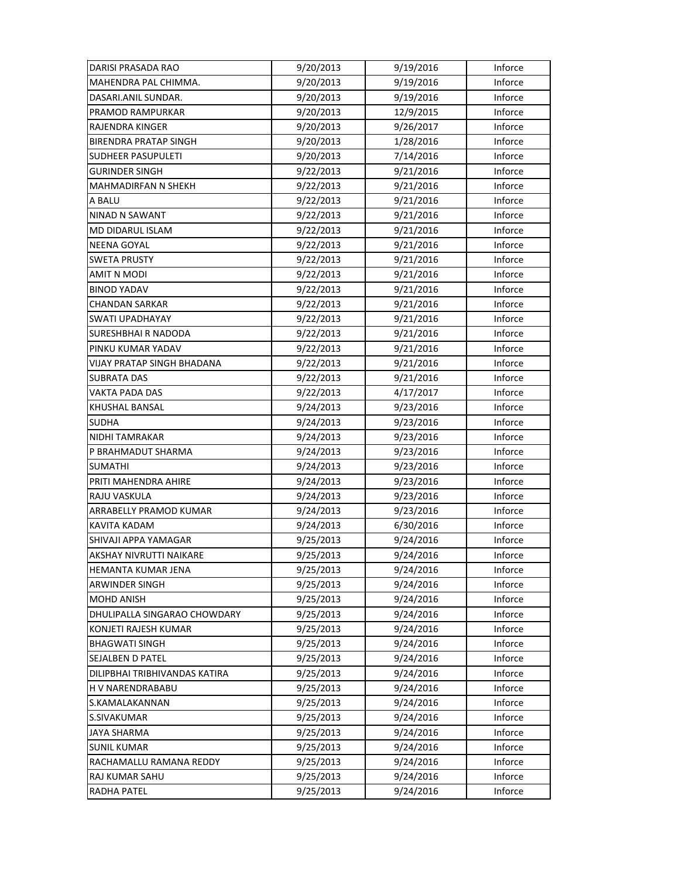| DARISI PRASADA RAO            | 9/20/2013 | 9/19/2016 | Inforce |
|-------------------------------|-----------|-----------|---------|
| MAHENDRA PAL CHIMMA.          | 9/20/2013 | 9/19/2016 | Inforce |
| DASARI.ANIL SUNDAR.           | 9/20/2013 | 9/19/2016 | Inforce |
| PRAMOD RAMPURKAR              | 9/20/2013 | 12/9/2015 | Inforce |
| RAJENDRA KINGER               | 9/20/2013 | 9/26/2017 | Inforce |
| <b>BIRENDRA PRATAP SINGH</b>  | 9/20/2013 | 1/28/2016 | Inforce |
| <b>SUDHEER PASUPULETI</b>     | 9/20/2013 | 7/14/2016 | Inforce |
| <b>GURINDER SINGH</b>         | 9/22/2013 | 9/21/2016 | Inforce |
| <b>MAHMADIRFAN N SHEKH</b>    | 9/22/2013 | 9/21/2016 | Inforce |
| A BALU                        | 9/22/2013 | 9/21/2016 | Inforce |
| NINAD N SAWANT                | 9/22/2013 | 9/21/2016 | Inforce |
| MD DIDARUL ISLAM              | 9/22/2013 | 9/21/2016 | Inforce |
| NEENA GOYAL                   | 9/22/2013 | 9/21/2016 | Inforce |
| <b>SWETA PRUSTY</b>           | 9/22/2013 | 9/21/2016 | Inforce |
| <b>AMIT N MODI</b>            | 9/22/2013 | 9/21/2016 | Inforce |
| <b>BINOD YADAV</b>            | 9/22/2013 | 9/21/2016 | Inforce |
| <b>CHANDAN SARKAR</b>         | 9/22/2013 | 9/21/2016 | Inforce |
| <b>SWATI UPADHAYAY</b>        | 9/22/2013 | 9/21/2016 | Inforce |
| SURESHBHAI R NADODA           | 9/22/2013 | 9/21/2016 | Inforce |
| PINKU KUMAR YADAV             | 9/22/2013 | 9/21/2016 | Inforce |
| VIJAY PRATAP SINGH BHADANA    | 9/22/2013 | 9/21/2016 | Inforce |
| <b>SUBRATA DAS</b>            | 9/22/2013 | 9/21/2016 | Inforce |
| VAKTA PADA DAS                | 9/22/2013 | 4/17/2017 | Inforce |
| KHUSHAL BANSAL                | 9/24/2013 | 9/23/2016 | Inforce |
| <b>SUDHA</b>                  | 9/24/2013 | 9/23/2016 | Inforce |
| <b>NIDHI TAMRAKAR</b>         | 9/24/2013 | 9/23/2016 | Inforce |
| P BRAHMADUT SHARMA            | 9/24/2013 | 9/23/2016 | Inforce |
| <b>SUMATHI</b>                | 9/24/2013 | 9/23/2016 | Inforce |
| PRITI MAHENDRA AHIRE          | 9/24/2013 | 9/23/2016 | Inforce |
| RAJU VASKULA                  | 9/24/2013 | 9/23/2016 | Inforce |
| ARRABELLY PRAMOD KUMAR        | 9/24/2013 | 9/23/2016 | Inforce |
| <b>KAVITA KADAM</b>           | 9/24/2013 | 6/30/2016 | Inforce |
| SHIVAJI APPA YAMAGAR          | 9/25/2013 | 9/24/2016 | Inforce |
| AKSHAY NIVRUTTI NAIKARE       | 9/25/2013 | 9/24/2016 | Inforce |
| HEMANTA KUMAR JENA            | 9/25/2013 | 9/24/2016 | Inforce |
| ARWINDER SINGH                | 9/25/2013 | 9/24/2016 | Inforce |
| MOHD ANISH                    | 9/25/2013 | 9/24/2016 | Inforce |
| DHULIPALLA SINGARAO CHOWDARY  | 9/25/2013 | 9/24/2016 | Inforce |
| KONJETI RAJESH KUMAR          | 9/25/2013 | 9/24/2016 | Inforce |
| <b>BHAGWATI SINGH</b>         | 9/25/2013 | 9/24/2016 | Inforce |
| SEJALBEN D PATEL              | 9/25/2013 | 9/24/2016 | Inforce |
| DILIPBHAI TRIBHIVANDAS KATIRA | 9/25/2013 | 9/24/2016 | Inforce |
| H V NARENDRABABU              | 9/25/2013 | 9/24/2016 | Inforce |
| S.KAMALAKANNAN                | 9/25/2013 | 9/24/2016 | Inforce |
| S.SIVAKUMAR                   | 9/25/2013 | 9/24/2016 | Inforce |
| <b>JAYA SHARMA</b>            | 9/25/2013 | 9/24/2016 | Inforce |
| <b>SUNIL KUMAR</b>            | 9/25/2013 |           | Inforce |
|                               |           | 9/24/2016 |         |
| RACHAMALLU RAMANA REDDY       | 9/25/2013 | 9/24/2016 | Inforce |
| RAJ KUMAR SAHU                | 9/25/2013 | 9/24/2016 | Inforce |
| <b>RADHA PATEL</b>            | 9/25/2013 | 9/24/2016 | Inforce |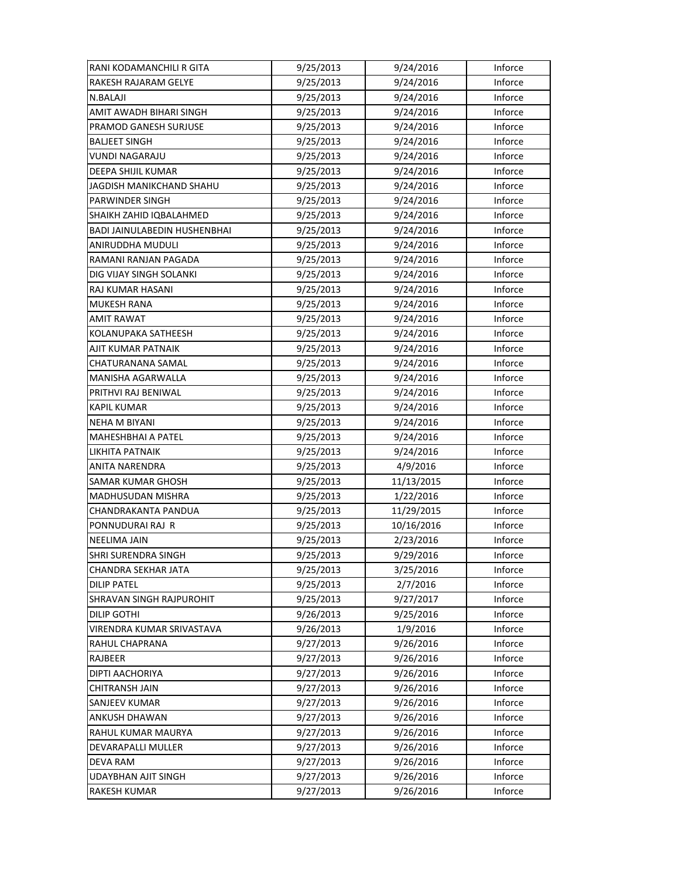| RANI KODAMANCHILI R GITA     | 9/25/2013 | 9/24/2016  | Inforce |
|------------------------------|-----------|------------|---------|
| RAKESH RAJARAM GELYE         | 9/25/2013 | 9/24/2016  | Inforce |
| N.BALAJI                     | 9/25/2013 | 9/24/2016  | Inforce |
| AMIT AWADH BIHARI SINGH      | 9/25/2013 | 9/24/2016  | Inforce |
| PRAMOD GANESH SURJUSE        | 9/25/2013 | 9/24/2016  | Inforce |
| <b>BALJEET SINGH</b>         | 9/25/2013 | 9/24/2016  | Inforce |
| <b>VUNDI NAGARAJU</b>        | 9/25/2013 | 9/24/2016  | Inforce |
| DEEPA SHIJIL KUMAR           | 9/25/2013 | 9/24/2016  | Inforce |
| JAGDISH MANIKCHAND SHAHU     | 9/25/2013 | 9/24/2016  | Inforce |
| PARWINDER SINGH              | 9/25/2013 | 9/24/2016  | Inforce |
| SHAIKH ZAHID IQBALAHMED      | 9/25/2013 | 9/24/2016  | Inforce |
| BADI JAINULABEDIN HUSHENBHAI | 9/25/2013 | 9/24/2016  | Inforce |
| ANIRUDDHA MUDULI             | 9/25/2013 | 9/24/2016  | Inforce |
| RAMANI RANJAN PAGADA         | 9/25/2013 | 9/24/2016  | Inforce |
| DIG VIJAY SINGH SOLANKI      | 9/25/2013 | 9/24/2016  | Inforce |
| RAJ KUMAR HASANI             | 9/25/2013 | 9/24/2016  | Inforce |
| <b>MUKESH RANA</b>           | 9/25/2013 | 9/24/2016  | Inforce |
| <b>AMIT RAWAT</b>            | 9/25/2013 | 9/24/2016  | Inforce |
| KOLANUPAKA SATHEESH          | 9/25/2013 | 9/24/2016  | Inforce |
| AJIT KUMAR PATNAIK           | 9/25/2013 | 9/24/2016  | Inforce |
| CHATURANANA SAMAL            | 9/25/2013 | 9/24/2016  | Inforce |
| MANISHA AGARWALLA            | 9/25/2013 | 9/24/2016  | Inforce |
| PRITHVI RAJ BENIWAL          | 9/25/2013 | 9/24/2016  | Inforce |
| KAPIL KUMAR                  | 9/25/2013 | 9/24/2016  | Inforce |
| <b>NEHA M BIYANI</b>         | 9/25/2013 | 9/24/2016  | Inforce |
| <b>MAHESHBHAI A PATEL</b>    | 9/25/2013 | 9/24/2016  | Inforce |
| LIKHITA PATNAIK              | 9/25/2013 | 9/24/2016  | Inforce |
| ANITA NARENDRA               | 9/25/2013 | 4/9/2016   | Inforce |
| SAMAR KUMAR GHOSH            | 9/25/2013 | 11/13/2015 | Inforce |
| MADHUSUDAN MISHRA            | 9/25/2013 | 1/22/2016  | Inforce |
| CHANDRAKANTA PANDUA          | 9/25/2013 | 11/29/2015 | Inforce |
| PONNUDURAI RAJ R             | 9/25/2013 | 10/16/2016 | Inforce |
| <b>NEELIMA JAIN</b>          | 9/25/2013 | 2/23/2016  | Inforce |
| SHRI SURENDRA SINGH          | 9/25/2013 | 9/29/2016  | Inforce |
| CHANDRA SEKHAR JATA          | 9/25/2013 | 3/25/2016  | Inforce |
| DILIP PATEL                  | 9/25/2013 | 2/7/2016   | Inforce |
| SHRAVAN SINGH RAJPUROHIT     | 9/25/2013 | 9/27/2017  | Inforce |
| <b>DILIP GOTHI</b>           | 9/26/2013 | 9/25/2016  | Inforce |
| VIRENDRA KUMAR SRIVASTAVA    | 9/26/2013 | 1/9/2016   | Inforce |
| RAHUL CHAPRANA               | 9/27/2013 | 9/26/2016  | Inforce |
| RAJBEER                      | 9/27/2013 | 9/26/2016  | Inforce |
| DIPTI AACHORIYA              | 9/27/2013 | 9/26/2016  | Inforce |
| CHITRANSH JAIN               | 9/27/2013 | 9/26/2016  | Inforce |
| SANJEEV KUMAR                | 9/27/2013 | 9/26/2016  | Inforce |
| ANKUSH DHAWAN                | 9/27/2013 | 9/26/2016  | Inforce |
| RAHUL KUMAR MAURYA           | 9/27/2013 | 9/26/2016  | Inforce |
| DEVARAPALLI MULLER           | 9/27/2013 | 9/26/2016  | Inforce |
| <b>DEVA RAM</b>              | 9/27/2013 | 9/26/2016  | Inforce |
| <b>UDAYBHAN AJIT SINGH</b>   | 9/27/2013 | 9/26/2016  | Inforce |
| RAKESH KUMAR                 | 9/27/2013 | 9/26/2016  | Inforce |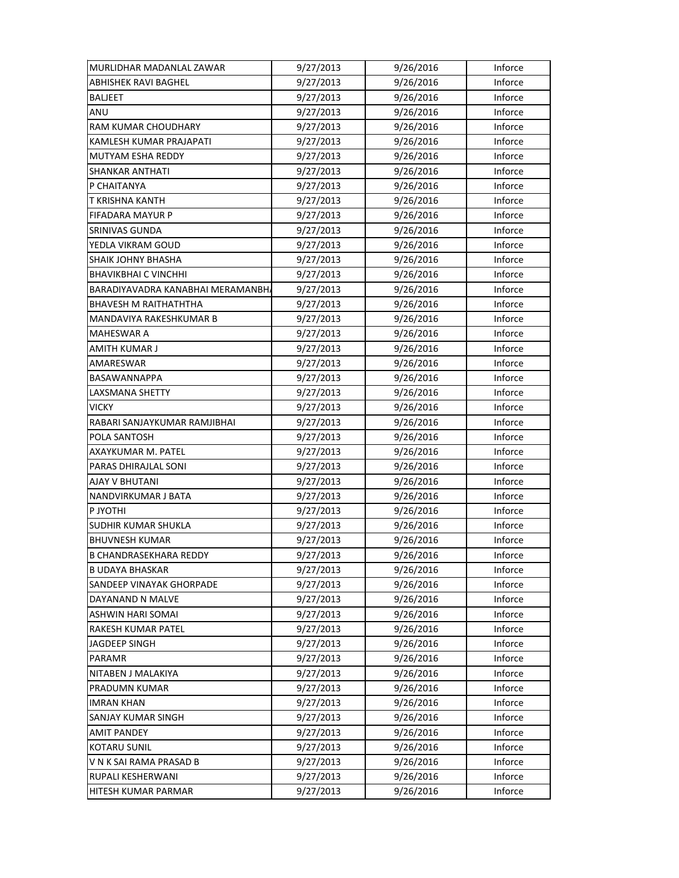| MURLIDHAR MADANLAL ZAWAR         | 9/27/2013 | 9/26/2016 | Inforce |
|----------------------------------|-----------|-----------|---------|
| <b>ABHISHEK RAVI BAGHEL</b>      | 9/27/2013 | 9/26/2016 | Inforce |
| <b>BALJEET</b>                   | 9/27/2013 | 9/26/2016 | Inforce |
| ANU                              | 9/27/2013 | 9/26/2016 | Inforce |
| RAM KUMAR CHOUDHARY              | 9/27/2013 | 9/26/2016 | Inforce |
| KAMLESH KUMAR PRAJAPATI          | 9/27/2013 | 9/26/2016 | Inforce |
| MUTYAM ESHA REDDY                | 9/27/2013 | 9/26/2016 | Inforce |
| <b>SHANKAR ANTHATI</b>           | 9/27/2013 | 9/26/2016 | Inforce |
| P CHAITANYA                      | 9/27/2013 | 9/26/2016 | Inforce |
| T KRISHNA KANTH                  | 9/27/2013 | 9/26/2016 | Inforce |
| <b>FIFADARA MAYUR P</b>          | 9/27/2013 | 9/26/2016 | Inforce |
| <b>SRINIVAS GUNDA</b>            | 9/27/2013 | 9/26/2016 | Inforce |
| YEDLA VIKRAM GOUD                | 9/27/2013 | 9/26/2016 | Inforce |
| SHAIK JOHNY BHASHA               | 9/27/2013 | 9/26/2016 | Inforce |
| <b>BHAVIKBHAI C VINCHHI</b>      | 9/27/2013 | 9/26/2016 | Inforce |
| BARADIYAVADRA KANABHAI MERAMANBH | 9/27/2013 | 9/26/2016 | Inforce |
| <b>BHAVESH M RAITHATHTHA</b>     | 9/27/2013 | 9/26/2016 | Inforce |
| MANDAVIYA RAKESHKUMAR B          | 9/27/2013 | 9/26/2016 | Inforce |
| MAHESWAR A                       | 9/27/2013 | 9/26/2016 | Inforce |
| AMITH KUMAR J                    | 9/27/2013 | 9/26/2016 | Inforce |
| AMARESWAR                        | 9/27/2013 | 9/26/2016 | Inforce |
| BASAWANNAPPA                     | 9/27/2013 | 9/26/2016 | Inforce |
| LAXSMANA SHETTY                  | 9/27/2013 | 9/26/2016 | Inforce |
| <b>VICKY</b>                     | 9/27/2013 | 9/26/2016 | Inforce |
| RABARI SANJAYKUMAR RAMJIBHAI     | 9/27/2013 | 9/26/2016 | Inforce |
| POLA SANTOSH                     | 9/27/2013 | 9/26/2016 | Inforce |
| AXAYKUMAR M. PATEL               | 9/27/2013 | 9/26/2016 | Inforce |
| PARAS DHIRAJLAL SONI             | 9/27/2013 | 9/26/2016 | Inforce |
| <b>AJAY V BHUTANI</b>            | 9/27/2013 | 9/26/2016 | Inforce |
| NANDVIRKUMAR J BATA              | 9/27/2013 | 9/26/2016 | Inforce |
| P JYOTHI                         | 9/27/2013 | 9/26/2016 | Inforce |
| <b>SUDHIR KUMAR SHUKLA</b>       | 9/27/2013 | 9/26/2016 | Inforce |
| <b>BHUVNESH KUMAR</b>            | 9/27/2013 | 9/26/2016 | Inforce |
| <b>B CHANDRASEKHARA REDDY</b>    | 9/27/2013 | 9/26/2016 | Inforce |
| <b>B UDAYA BHASKAR</b>           | 9/27/2013 | 9/26/2016 | Inforce |
| <b>SANDEEP VINAYAK GHORPADE</b>  | 9/27/2013 | 9/26/2016 | Inforce |
| DAYANAND N MALVE                 | 9/27/2013 | 9/26/2016 | Inforce |
| <b>ASHWIN HARI SOMAI</b>         | 9/27/2013 | 9/26/2016 | Inforce |
| RAKESH KUMAR PATEL               | 9/27/2013 | 9/26/2016 | Inforce |
| <b>JAGDEEP SINGH</b>             | 9/27/2013 | 9/26/2016 | Inforce |
| PARAMR                           | 9/27/2013 | 9/26/2016 | Inforce |
| NITABEN J MALAKIYA               | 9/27/2013 | 9/26/2016 | Inforce |
| PRADUMN KUMAR                    | 9/27/2013 | 9/26/2016 | Inforce |
| <b>IMRAN KHAN</b>                | 9/27/2013 | 9/26/2016 | Inforce |
| SANJAY KUMAR SINGH               | 9/27/2013 | 9/26/2016 | Inforce |
| <b>AMIT PANDEY</b>               | 9/27/2013 | 9/26/2016 | Inforce |
| <b>KOTARU SUNIL</b>              | 9/27/2013 | 9/26/2016 | Inforce |
| V N K SAI RAMA PRASAD B          | 9/27/2013 | 9/26/2016 | Inforce |
| RUPALI KESHERWANI                | 9/27/2013 | 9/26/2016 | Inforce |
| HITESH KUMAR PARMAR              | 9/27/2013 | 9/26/2016 | Inforce |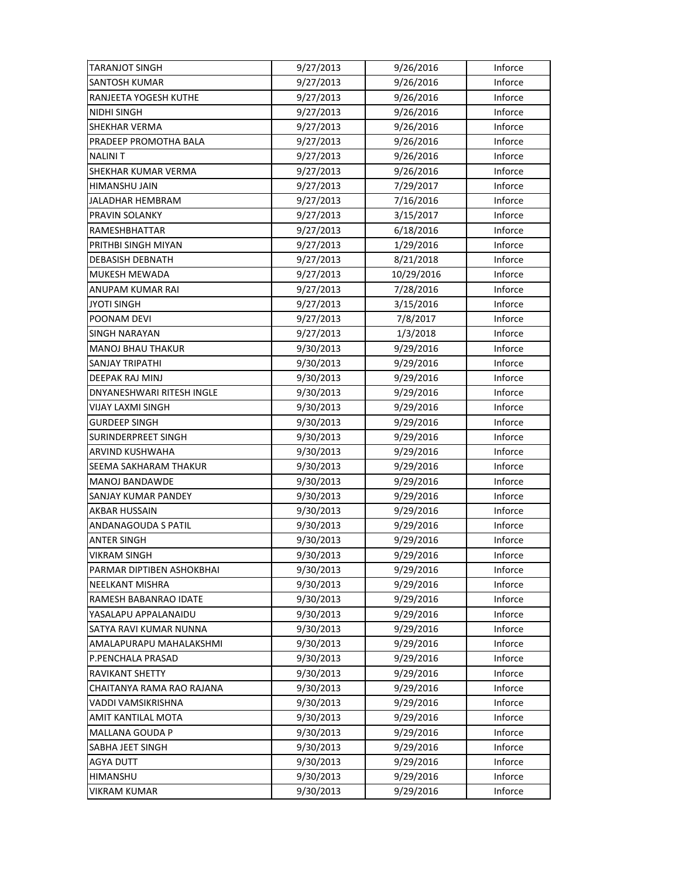| <b>TARANJOT SINGH</b>      | 9/27/2013 | 9/26/2016  | Inforce |
|----------------------------|-----------|------------|---------|
| <b>SANTOSH KUMAR</b>       | 9/27/2013 | 9/26/2016  | Inforce |
| RANJEETA YOGESH KUTHE      | 9/27/2013 | 9/26/2016  | Inforce |
| NIDHI SINGH                | 9/27/2013 | 9/26/2016  | Inforce |
| <b>SHEKHAR VERMA</b>       | 9/27/2013 | 9/26/2016  | Inforce |
| PRADEEP PROMOTHA BALA      | 9/27/2013 | 9/26/2016  | Inforce |
| <b>NALINIT</b>             | 9/27/2013 | 9/26/2016  | Inforce |
| <b>SHEKHAR KUMAR VERMA</b> | 9/27/2013 | 9/26/2016  | Inforce |
| HIMANSHU JAIN              | 9/27/2013 | 7/29/2017  | Inforce |
| JALADHAR HEMBRAM           | 9/27/2013 | 7/16/2016  | Inforce |
| PRAVIN SOLANKY             | 9/27/2013 | 3/15/2017  | Inforce |
| RAMESHBHATTAR              | 9/27/2013 | 6/18/2016  | Inforce |
| PRITHBI SINGH MIYAN        | 9/27/2013 | 1/29/2016  | Inforce |
| DEBASISH DEBNATH           | 9/27/2013 | 8/21/2018  | Inforce |
| MUKESH MEWADA              | 9/27/2013 | 10/29/2016 | Inforce |
| ANUPAM KUMAR RAI           | 9/27/2013 | 7/28/2016  | Inforce |
| <b>JYOTI SINGH</b>         | 9/27/2013 | 3/15/2016  | Inforce |
| POONAM DEVI                | 9/27/2013 | 7/8/2017   | Inforce |
| <b>SINGH NARAYAN</b>       | 9/27/2013 | 1/3/2018   | Inforce |
| <b>MANOJ BHAU THAKUR</b>   | 9/30/2013 | 9/29/2016  | Inforce |
| SANJAY TRIPATHI            | 9/30/2013 | 9/29/2016  | Inforce |
| DEEPAK RAJ MINJ            | 9/30/2013 | 9/29/2016  | Inforce |
| DNYANESHWARI RITESH INGLE  | 9/30/2013 | 9/29/2016  | Inforce |
| VIJAY LAXMI SINGH          | 9/30/2013 | 9/29/2016  | Inforce |
| <b>GURDEEP SINGH</b>       | 9/30/2013 | 9/29/2016  | Inforce |
| <b>SURINDERPREET SINGH</b> | 9/30/2013 | 9/29/2016  | Inforce |
| ARVIND KUSHWAHA            | 9/30/2013 | 9/29/2016  | Inforce |
| SEEMA SAKHARAM THAKUR      | 9/30/2013 | 9/29/2016  | Inforce |
| MANOJ BANDAWDE             | 9/30/2013 | 9/29/2016  | Inforce |
| SANJAY KUMAR PANDEY        | 9/30/2013 | 9/29/2016  | Inforce |
| AKBAR HUSSAIN              | 9/30/2013 | 9/29/2016  | Inforce |
| <b>ANDANAGOUDA S PATIL</b> | 9/30/2013 | 9/29/2016  | Inforce |
| <b>ANTER SINGH</b>         | 9/30/2013 | 9/29/2016  | Inforce |
| <b>VIKRAM SINGH</b>        | 9/30/2013 | 9/29/2016  | Inforce |
| PARMAR DIPTIBEN ASHOKBHAI  | 9/30/2013 | 9/29/2016  | Inforce |
| NEELKANT MISHRA            | 9/30/2013 | 9/29/2016  | Inforce |
| RAMESH BABANRAO IDATE      | 9/30/2013 | 9/29/2016  | Inforce |
| YASALAPU APPALANAIDU       | 9/30/2013 | 9/29/2016  | Inforce |
| SATYA RAVI KUMAR NUNNA     | 9/30/2013 | 9/29/2016  | Inforce |
| AMALAPURAPU MAHALAKSHMI    | 9/30/2013 | 9/29/2016  | Inforce |
| P.PENCHALA PRASAD          | 9/30/2013 | 9/29/2016  | Inforce |
| RAVIKANT SHETTY            | 9/30/2013 | 9/29/2016  | Inforce |
| CHAITANYA RAMA RAO RAJANA  | 9/30/2013 | 9/29/2016  | Inforce |
| VADDI VAMSIKRISHNA         | 9/30/2013 | 9/29/2016  | Inforce |
| AMIT KANTILAL MOTA         | 9/30/2013 | 9/29/2016  | Inforce |
| MALLANA GOUDA P            | 9/30/2013 | 9/29/2016  | Inforce |
| SABHA JEET SINGH           | 9/30/2013 | 9/29/2016  | Inforce |
| <b>AGYA DUTT</b>           | 9/30/2013 | 9/29/2016  | Inforce |
| HIMANSHU                   | 9/30/2013 | 9/29/2016  | Inforce |
| VIKRAM KUMAR               | 9/30/2013 | 9/29/2016  | Inforce |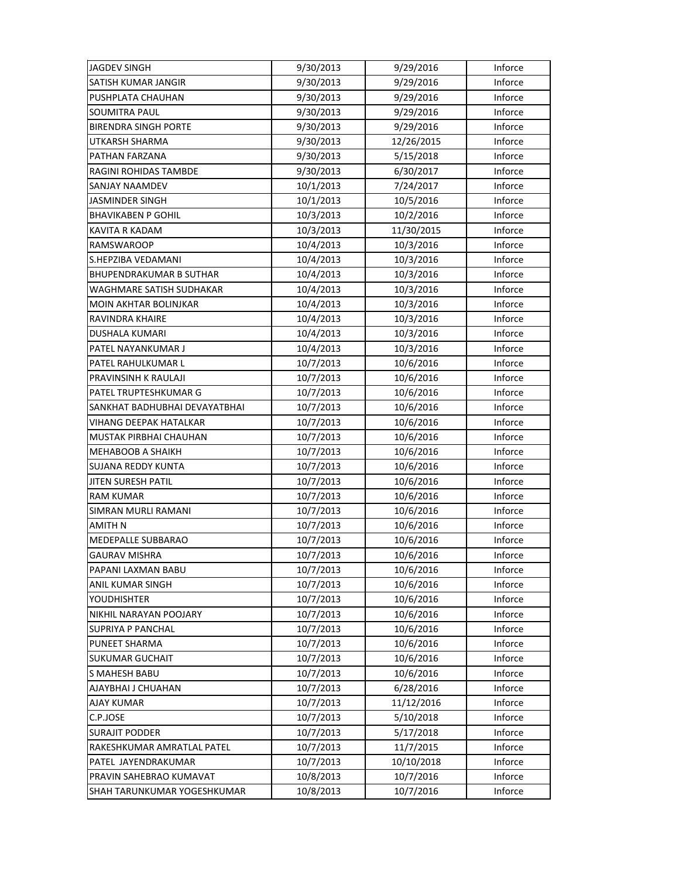| <b>JAGDEV SINGH</b>            | 9/30/2013 | 9/29/2016  | Inforce |
|--------------------------------|-----------|------------|---------|
| SATISH KUMAR JANGIR            | 9/30/2013 | 9/29/2016  | Inforce |
| PUSHPLATA CHAUHAN              | 9/30/2013 | 9/29/2016  | Inforce |
| SOUMITRA PAUL                  | 9/30/2013 | 9/29/2016  | Inforce |
| <b>BIRENDRA SINGH PORTE</b>    | 9/30/2013 | 9/29/2016  | Inforce |
| UTKARSH SHARMA                 | 9/30/2013 | 12/26/2015 | Inforce |
| PATHAN FARZANA                 | 9/30/2013 | 5/15/2018  | Inforce |
| <b>RAGINI ROHIDAS TAMBDE</b>   | 9/30/2013 | 6/30/2017  | Inforce |
| SANJAY NAAMDEV                 | 10/1/2013 | 7/24/2017  | Inforce |
| <b>JASMINDER SINGH</b>         | 10/1/2013 | 10/5/2016  | Inforce |
| <b>BHAVIKABEN P GOHIL</b>      | 10/3/2013 | 10/2/2016  | Inforce |
| KAVITA R KADAM                 | 10/3/2013 | 11/30/2015 | Inforce |
| RAMSWAROOP                     | 10/4/2013 | 10/3/2016  | Inforce |
| S.HEPZIBA VEDAMANI             | 10/4/2013 | 10/3/2016  | Inforce |
| <b>BHUPENDRAKUMAR B SUTHAR</b> | 10/4/2013 | 10/3/2016  | Inforce |
| WAGHMARE SATISH SUDHAKAR       | 10/4/2013 | 10/3/2016  | Inforce |
| MOIN AKHTAR BOLINJKAR          | 10/4/2013 | 10/3/2016  | Inforce |
| RAVINDRA KHAIRE                | 10/4/2013 | 10/3/2016  | Inforce |
| DUSHALA KUMARI                 | 10/4/2013 | 10/3/2016  | Inforce |
| PATEL NAYANKUMAR J             | 10/4/2013 | 10/3/2016  | Inforce |
| PATEL RAHULKUMAR L             | 10/7/2013 | 10/6/2016  | Inforce |
| PRAVINSINH K RAULAJI           | 10/7/2013 | 10/6/2016  | Inforce |
| PATEL TRUPTESHKUMAR G          | 10/7/2013 | 10/6/2016  | Inforce |
| SANKHAT BADHUBHAI DEVAYATBHAI  | 10/7/2013 | 10/6/2016  | Inforce |
| VIHANG DEEPAK HATALKAR         | 10/7/2013 | 10/6/2016  | Inforce |
| MUSTAK PIRBHAI CHAUHAN         | 10/7/2013 | 10/6/2016  | Inforce |
| MEHABOOB A SHAIKH              | 10/7/2013 | 10/6/2016  | Inforce |
| SUJANA REDDY KUNTA             | 10/7/2013 | 10/6/2016  | Inforce |
| <b>JITEN SURESH PATIL</b>      | 10/7/2013 | 10/6/2016  | Inforce |
| <b>RAM KUMAR</b>               | 10/7/2013 | 10/6/2016  | Inforce |
| <b>SIMRAN MURLI RAMANI</b>     | 10/7/2013 | 10/6/2016  | Inforce |
| <b>AMITH N</b>                 | 10/7/2013 | 10/6/2016  | Inforce |
| MEDEPALLE SUBBARAO             | 10/7/2013 | 10/6/2016  | Inforce |
| <b>GAURAV MISHRA</b>           | 10/7/2013 | 10/6/2016  | Inforce |
| PAPANI LAXMAN BABU             | 10/7/2013 | 10/6/2016  | Inforce |
| ANIL KUMAR SINGH               | 10/7/2013 | 10/6/2016  | Inforce |
| <b>YOUDHISHTER</b>             | 10/7/2013 | 10/6/2016  | Inforce |
| NIKHIL NARAYAN POOJARY         | 10/7/2013 | 10/6/2016  | Inforce |
| <b>SUPRIYA P PANCHAL</b>       | 10/7/2013 | 10/6/2016  | Inforce |
| PUNEET SHARMA                  | 10/7/2013 | 10/6/2016  | Inforce |
| <b>SUKUMAR GUCHAIT</b>         | 10/7/2013 | 10/6/2016  | Inforce |
| <b>S MAHESH BABU</b>           | 10/7/2013 | 10/6/2016  | Inforce |
| AJAYBHAI J CHUAHAN             | 10/7/2013 | 6/28/2016  | Inforce |
| <b>AJAY KUMAR</b>              | 10/7/2013 | 11/12/2016 | Inforce |
| C.P.JOSE                       | 10/7/2013 | 5/10/2018  | Inforce |
| <b>SURAJIT PODDER</b>          | 10/7/2013 | 5/17/2018  | Inforce |
| RAKESHKUMAR AMRATLAL PATEL     | 10/7/2013 | 11/7/2015  | Inforce |
| PATEL JAYENDRAKUMAR            | 10/7/2013 | 10/10/2018 | Inforce |
| PRAVIN SAHEBRAO KUMAVAT        | 10/8/2013 | 10/7/2016  | Inforce |
| SHAH TARUNKUMAR YOGESHKUMAR    | 10/8/2013 | 10/7/2016  | Inforce |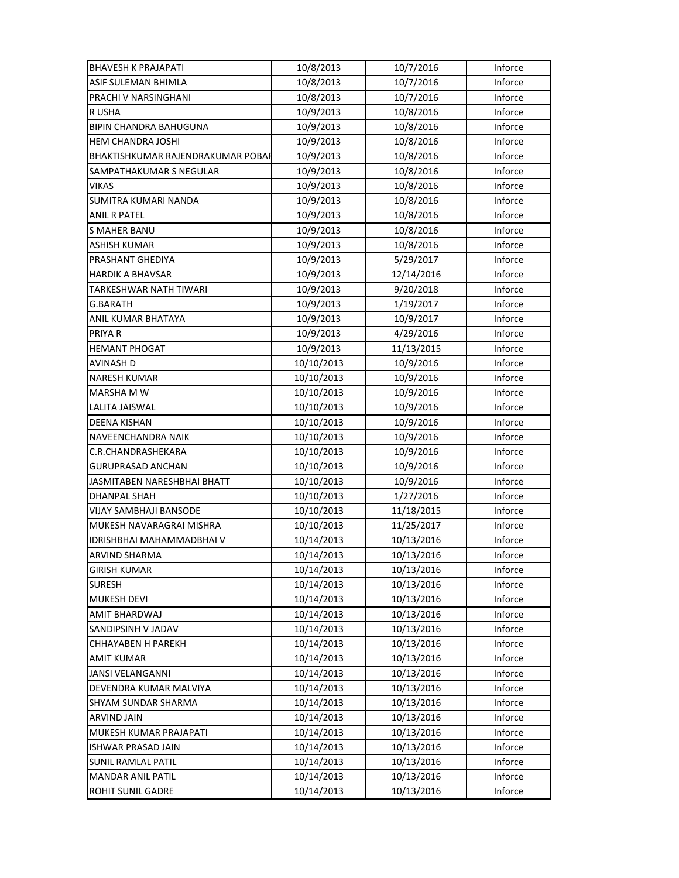| <b>BHAVESH K PRAJAPATI</b>        | 10/8/2013  | 10/7/2016  | Inforce |
|-----------------------------------|------------|------------|---------|
| ASIF SULEMAN BHIMLA               | 10/8/2013  | 10/7/2016  | Inforce |
| PRACHI V NARSINGHANI              | 10/8/2013  | 10/7/2016  | Inforce |
| R USHA                            | 10/9/2013  | 10/8/2016  | Inforce |
| <b>BIPIN CHANDRA BAHUGUNA</b>     | 10/9/2013  | 10/8/2016  | Inforce |
| <b>HEM CHANDRA JOSHI</b>          | 10/9/2013  | 10/8/2016  | Inforce |
| BHAKTISHKUMAR RAJENDRAKUMAR POBAF | 10/9/2013  | 10/8/2016  | Inforce |
| SAMPATHAKUMAR S NEGULAR           | 10/9/2013  | 10/8/2016  | Inforce |
| VIKAS                             | 10/9/2013  | 10/8/2016  | Inforce |
| SUMITRA KUMARI NANDA              | 10/9/2013  | 10/8/2016  | Inforce |
| ANIL R PATEL                      | 10/9/2013  | 10/8/2016  | Inforce |
| <b>S MAHER BANU</b>               | 10/9/2013  | 10/8/2016  | Inforce |
| <b>ASHISH KUMAR</b>               | 10/9/2013  | 10/8/2016  | Inforce |
| PRASHANT GHEDIYA                  | 10/9/2013  | 5/29/2017  | Inforce |
| <b>HARDIK A BHAVSAR</b>           | 10/9/2013  | 12/14/2016 | Inforce |
| TARKESHWAR NATH TIWARI            | 10/9/2013  | 9/20/2018  | Inforce |
| G.BARATH                          | 10/9/2013  | 1/19/2017  | Inforce |
| ANIL KUMAR BHATAYA                | 10/9/2013  | 10/9/2017  | Inforce |
| PRIYA R                           | 10/9/2013  | 4/29/2016  | Inforce |
| <b>HEMANT PHOGAT</b>              | 10/9/2013  | 11/13/2015 | Inforce |
| <b>AVINASH D</b>                  | 10/10/2013 | 10/9/2016  | Inforce |
| <b>NARESH KUMAR</b>               | 10/10/2013 | 10/9/2016  | Inforce |
| MARSHA M W                        | 10/10/2013 | 10/9/2016  | Inforce |
| LALITA JAISWAL                    | 10/10/2013 | 10/9/2016  | Inforce |
| <b>DEENA KISHAN</b>               | 10/10/2013 | 10/9/2016  | Inforce |
| NAVEENCHANDRA NAIK                | 10/10/2013 | 10/9/2016  | Inforce |
| C.R.CHANDRASHEKARA                | 10/10/2013 | 10/9/2016  | Inforce |
| <b>GURUPRASAD ANCHAN</b>          | 10/10/2013 | 10/9/2016  | Inforce |
| JASMITABEN NARESHBHAI BHATT       | 10/10/2013 | 10/9/2016  | Inforce |
| <b>DHANPAL SHAH</b>               | 10/10/2013 | 1/27/2016  | Inforce |
| <b>VIJAY SAMBHAJI BANSODE</b>     | 10/10/2013 | 11/18/2015 | Inforce |
| MUKESH NAVARAGRAI MISHRA          | 10/10/2013 | 11/25/2017 | Inforce |
| IDRISHBHAI MAHAMMADBHAI V         | 10/14/2013 | 10/13/2016 | Inforce |
| <b>ARVIND SHARMA</b>              | 10/14/2013 | 10/13/2016 | Inforce |
| GIRISH KUMAR                      | 10/14/2013 | 10/13/2016 | Inforce |
| <b>SURESH</b>                     | 10/14/2013 | 10/13/2016 | Inforce |
| MUKESH DEVI                       | 10/14/2013 | 10/13/2016 | Inforce |
| AMIT BHARDWAJ                     | 10/14/2013 | 10/13/2016 | Inforce |
| SANDIPSINH V JADAV                | 10/14/2013 | 10/13/2016 | Inforce |
| <b>CHHAYABEN H PAREKH</b>         | 10/14/2013 | 10/13/2016 | Inforce |
| <b>AMIT KUMAR</b>                 | 10/14/2013 | 10/13/2016 | Inforce |
| JANSI VELANGANNI                  | 10/14/2013 | 10/13/2016 | Inforce |
| DEVENDRA KUMAR MALVIYA            | 10/14/2013 | 10/13/2016 | Inforce |
| SHYAM SUNDAR SHARMA               | 10/14/2013 | 10/13/2016 | Inforce |
| <b>ARVIND JAIN</b>                | 10/14/2013 | 10/13/2016 | Inforce |
| MUKESH KUMAR PRAJAPATI            | 10/14/2013 | 10/13/2016 | Inforce |
| <b>ISHWAR PRASAD JAIN</b>         | 10/14/2013 | 10/13/2016 | Inforce |
| <b>SUNIL RAMLAL PATIL</b>         | 10/14/2013 | 10/13/2016 | Inforce |
| <b>MANDAR ANIL PATIL</b>          | 10/14/2013 | 10/13/2016 | Inforce |
| ROHIT SUNIL GADRE                 | 10/14/2013 | 10/13/2016 | Inforce |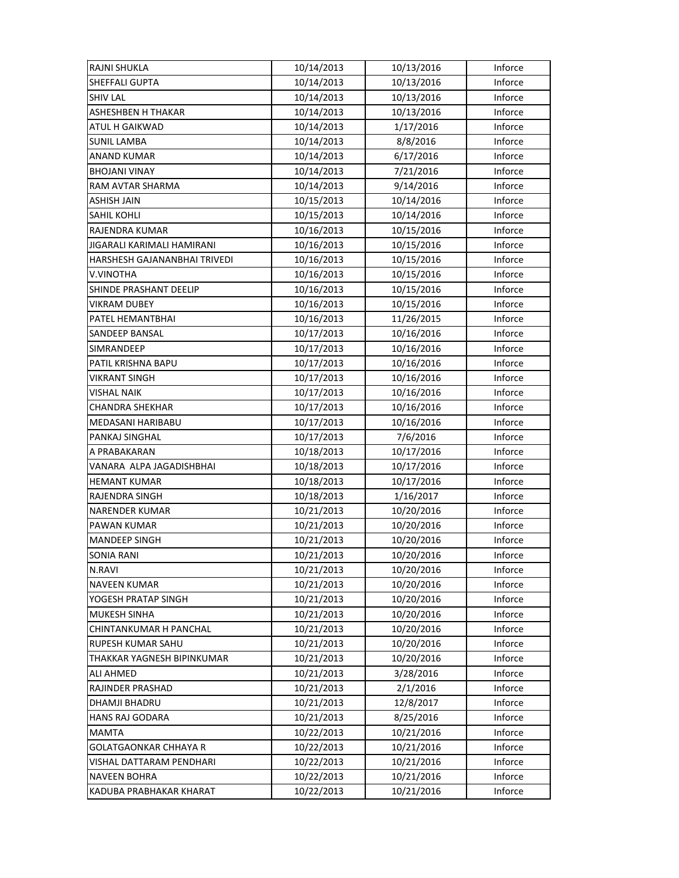| <b>RAJNI SHUKLA</b>          | 10/14/2013 | 10/13/2016 | Inforce |
|------------------------------|------------|------------|---------|
| <b>SHEFFALI GUPTA</b>        | 10/14/2013 | 10/13/2016 | Inforce |
| <b>SHIV LAL</b>              | 10/14/2013 | 10/13/2016 | Inforce |
| ASHESHBEN H THAKAR           | 10/14/2013 | 10/13/2016 | Inforce |
| ATUL H GAIKWAD               | 10/14/2013 | 1/17/2016  | Inforce |
| <b>SUNIL LAMBA</b>           | 10/14/2013 | 8/8/2016   | Inforce |
| <b>ANAND KUMAR</b>           | 10/14/2013 | 6/17/2016  | Inforce |
| <b>BHOJANI VINAY</b>         | 10/14/2013 | 7/21/2016  | Inforce |
| RAM AVTAR SHARMA             | 10/14/2013 | 9/14/2016  | Inforce |
| ASHISH JAIN                  | 10/15/2013 | 10/14/2016 | Inforce |
| SAHIL KOHLI                  | 10/15/2013 | 10/14/2016 | Inforce |
| RAJENDRA KUMAR               | 10/16/2013 | 10/15/2016 | Inforce |
| JIGARALI KARIMALI HAMIRANI   | 10/16/2013 | 10/15/2016 | Inforce |
| HARSHESH GAJANANBHAI TRIVEDI | 10/16/2013 | 10/15/2016 | Inforce |
| V.VINOTHA                    | 10/16/2013 | 10/15/2016 | Inforce |
| SHINDE PRASHANT DEELIP       | 10/16/2013 | 10/15/2016 | Inforce |
| <b>VIKRAM DUBEY</b>          | 10/16/2013 | 10/15/2016 | Inforce |
| PATEL HEMANTBHAI             | 10/16/2013 | 11/26/2015 | Inforce |
| SANDEEP BANSAL               | 10/17/2013 | 10/16/2016 | Inforce |
| SIMRANDEEP                   | 10/17/2013 | 10/16/2016 | Inforce |
| PATIL KRISHNA BAPU           | 10/17/2013 | 10/16/2016 | Inforce |
| VIKRANT SINGH                | 10/17/2013 | 10/16/2016 | Inforce |
| <b>VISHAL NAIK</b>           | 10/17/2013 | 10/16/2016 | Inforce |
| <b>CHANDRA SHEKHAR</b>       | 10/17/2013 | 10/16/2016 | Inforce |
| MEDASANI HARIBABU            | 10/17/2013 | 10/16/2016 | Inforce |
| PANKAJ SINGHAL               | 10/17/2013 | 7/6/2016   | Inforce |
| A PRABAKARAN                 | 10/18/2013 | 10/17/2016 | Inforce |
| VANARA ALPA JAGADISHBHAI     | 10/18/2013 | 10/17/2016 | Inforce |
| <b>HEMANT KUMAR</b>          | 10/18/2013 | 10/17/2016 | Inforce |
| RAJENDRA SINGH               | 10/18/2013 | 1/16/2017  | Inforce |
| NARENDER KUMAR               | 10/21/2013 | 10/20/2016 | Inforce |
| PAWAN KUMAR                  | 10/21/2013 | 10/20/2016 | Inforce |
| <b>MANDEEP SINGH</b>         | 10/21/2013 | 10/20/2016 | Inforce |
| <b>SONIA RANI</b>            | 10/21/2013 | 10/20/2016 | Inforce |
| N.RAVI                       | 10/21/2013 | 10/20/2016 | Inforce |
| <b>NAVEEN KUMAR</b>          | 10/21/2013 | 10/20/2016 | Inforce |
| YOGESH PRATAP SINGH          | 10/21/2013 | 10/20/2016 | Inforce |
| <b>MUKESH SINHA</b>          | 10/21/2013 | 10/20/2016 | Inforce |
| CHINTANKUMAR H PANCHAL       | 10/21/2013 | 10/20/2016 | Inforce |
| RUPESH KUMAR SAHU            | 10/21/2013 | 10/20/2016 | Inforce |
| THAKKAR YAGNESH BIPINKUMAR   | 10/21/2013 | 10/20/2016 | Inforce |
| ALI AHMED                    | 10/21/2013 | 3/28/2016  | Inforce |
| RAJINDER PRASHAD             | 10/21/2013 | 2/1/2016   | Inforce |
| DHAMJI BHADRU                | 10/21/2013 | 12/8/2017  | Inforce |
| <b>HANS RAJ GODARA</b>       | 10/21/2013 | 8/25/2016  | Inforce |
| <b>MAMTA</b>                 | 10/22/2013 | 10/21/2016 | Inforce |
| <b>GOLATGAONKAR CHHAYA R</b> | 10/22/2013 | 10/21/2016 | Inforce |
| VISHAL DATTARAM PENDHARI     | 10/22/2013 | 10/21/2016 | Inforce |
| <b>NAVEEN BOHRA</b>          | 10/22/2013 | 10/21/2016 | Inforce |
| KADUBA PRABHAKAR KHARAT      | 10/22/2013 | 10/21/2016 | Inforce |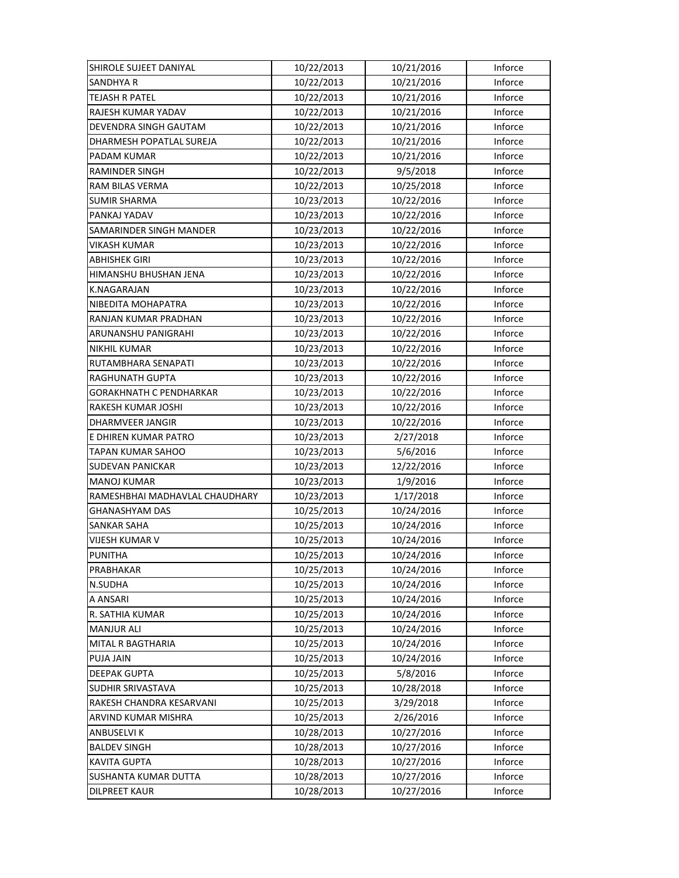| SHIROLE SUJEET DANIYAL         | 10/22/2013 | 10/21/2016 | Inforce |
|--------------------------------|------------|------------|---------|
| <b>SANDHYA R</b>               | 10/22/2013 | 10/21/2016 | Inforce |
| <b>TEJASH R PATEL</b>          | 10/22/2013 | 10/21/2016 | Inforce |
| RAJESH KUMAR YADAV             | 10/22/2013 | 10/21/2016 | Inforce |
| DEVENDRA SINGH GAUTAM          | 10/22/2013 | 10/21/2016 | Inforce |
| DHARMESH POPATLAL SUREJA       | 10/22/2013 | 10/21/2016 | Inforce |
| PADAM KUMAR                    | 10/22/2013 | 10/21/2016 | Inforce |
| <b>RAMINDER SINGH</b>          | 10/22/2013 | 9/5/2018   | Inforce |
| RAM BILAS VERMA                | 10/22/2013 | 10/25/2018 | Inforce |
| <b>SUMIR SHARMA</b>            | 10/23/2013 | 10/22/2016 | Inforce |
| PANKAJ YADAV                   | 10/23/2013 | 10/22/2016 | Inforce |
| SAMARINDER SINGH MANDER        | 10/23/2013 | 10/22/2016 | Inforce |
| VIKASH KUMAR                   | 10/23/2013 | 10/22/2016 | Inforce |
| ABHISHEK GIRI                  | 10/23/2013 | 10/22/2016 | Inforce |
| HIMANSHU BHUSHAN JENA          | 10/23/2013 | 10/22/2016 | Inforce |
| <b>K.NAGARAJAN</b>             | 10/23/2013 | 10/22/2016 | Inforce |
| NIBEDITA MOHAPATRA             | 10/23/2013 | 10/22/2016 | Inforce |
| RANJAN KUMAR PRADHAN           | 10/23/2013 | 10/22/2016 | Inforce |
| ARUNANSHU PANIGRAHI            | 10/23/2013 | 10/22/2016 | Inforce |
| NIKHIL KUMAR                   | 10/23/2013 | 10/22/2016 | Inforce |
| RUTAMBHARA SENAPATI            | 10/23/2013 | 10/22/2016 | Inforce |
| RAGHUNATH GUPTA                | 10/23/2013 | 10/22/2016 | Inforce |
| GORAKHNATH C PENDHARKAR        | 10/23/2013 | 10/22/2016 | Inforce |
| RAKESH KUMAR JOSHI             | 10/23/2013 | 10/22/2016 | Inforce |
| <b>DHARMVEER JANGIR</b>        | 10/23/2013 | 10/22/2016 | Inforce |
| E DHIREN KUMAR PATRO           | 10/23/2013 | 2/27/2018  | Inforce |
| TAPAN KUMAR SAHOO              | 10/23/2013 | 5/6/2016   | Inforce |
| <b>SUDEVAN PANICKAR</b>        | 10/23/2013 | 12/22/2016 | Inforce |
| <b>MANOJ KUMAR</b>             | 10/23/2013 | 1/9/2016   | Inforce |
| RAMESHBHAI MADHAVLAL CHAUDHARY | 10/23/2013 | 1/17/2018  | Inforce |
| <b>GHANASHYAM DAS</b>          | 10/25/2013 | 10/24/2016 | Inforce |
| SANKAR SAHA                    | 10/25/2013 | 10/24/2016 | Inforce |
| VIJESH KUMAR V                 | 10/25/2013 | 10/24/2016 | Inforce |
| <b>PUNITHA</b>                 | 10/25/2013 | 10/24/2016 | Inforce |
| PRABHAKAR                      | 10/25/2013 | 10/24/2016 | Inforce |
| N.SUDHA                        | 10/25/2013 | 10/24/2016 | Inforce |
| A ANSARI                       | 10/25/2013 | 10/24/2016 | Inforce |
| R. SATHIA KUMAR                | 10/25/2013 | 10/24/2016 | Inforce |
| <b>MANJUR ALI</b>              | 10/25/2013 | 10/24/2016 | Inforce |
| MITAL R BAGTHARIA              | 10/25/2013 | 10/24/2016 | Inforce |
| PUJA JAIN                      | 10/25/2013 | 10/24/2016 | Inforce |
| <b>DEEPAK GUPTA</b>            | 10/25/2013 | 5/8/2016   | Inforce |
| SUDHIR SRIVASTAVA              | 10/25/2013 | 10/28/2018 | Inforce |
| RAKESH CHANDRA KESARVANI       | 10/25/2013 | 3/29/2018  | Inforce |
| ARVIND KUMAR MISHRA            | 10/25/2013 | 2/26/2016  | Inforce |
| ANBUSELVI K                    | 10/28/2013 | 10/27/2016 | Inforce |
| <b>BALDEV SINGH</b>            | 10/28/2013 | 10/27/2016 | Inforce |
| <b>KAVITA GUPTA</b>            | 10/28/2013 | 10/27/2016 | Inforce |
| <b>SUSHANTA KUMAR DUTTA</b>    | 10/28/2013 | 10/27/2016 | Inforce |
| <b>DILPREET KAUR</b>           | 10/28/2013 | 10/27/2016 | Inforce |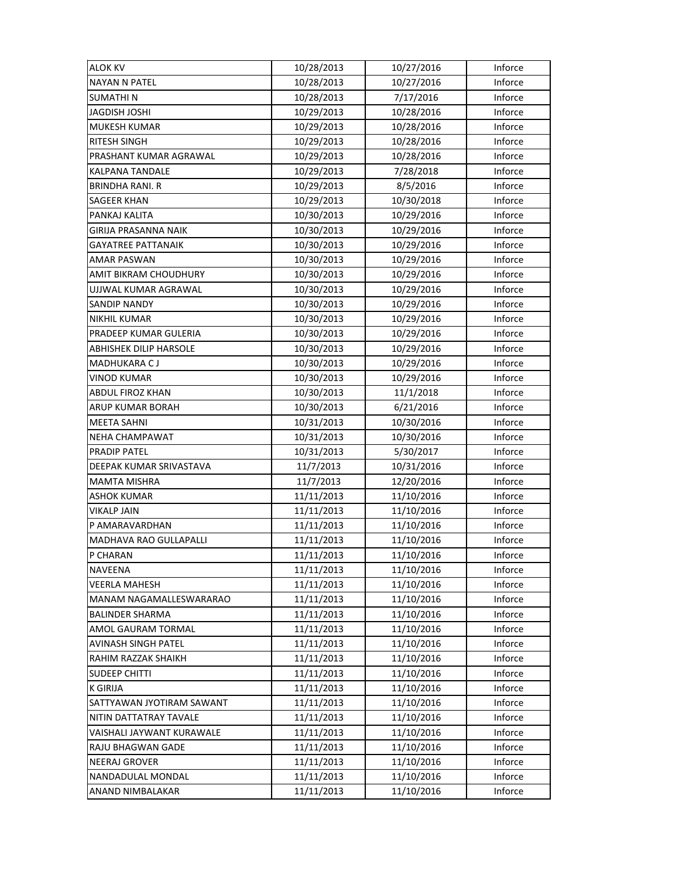| <b>ALOK KV</b>                | 10/28/2013 | 10/27/2016 | Inforce |
|-------------------------------|------------|------------|---------|
| <b>NAYAN N PATEL</b>          | 10/28/2013 | 10/27/2016 | Inforce |
| <b>SUMATHIN</b>               | 10/28/2013 | 7/17/2016  | Inforce |
| <b>JAGDISH JOSHI</b>          | 10/29/2013 | 10/28/2016 | Inforce |
| <b>MUKESH KUMAR</b>           | 10/29/2013 | 10/28/2016 | Inforce |
| <b>RITESH SINGH</b>           | 10/29/2013 | 10/28/2016 | Inforce |
| PRASHANT KUMAR AGRAWAL        | 10/29/2013 | 10/28/2016 | Inforce |
| <b>KALPANA TANDALE</b>        | 10/29/2013 | 7/28/2018  | Inforce |
| <b>BRINDHA RANI, R</b>        | 10/29/2013 | 8/5/2016   | Inforce |
| <b>SAGEER KHAN</b>            | 10/29/2013 | 10/30/2018 | Inforce |
| PANKAJ KALITA                 | 10/30/2013 | 10/29/2016 | Inforce |
| GIRIJA PRASANNA NAIK          | 10/30/2013 | 10/29/2016 | Inforce |
| <b>GAYATREE PATTANAIK</b>     | 10/30/2013 | 10/29/2016 | Inforce |
| AMAR PASWAN                   | 10/30/2013 | 10/29/2016 | Inforce |
| AMIT BIKRAM CHOUDHURY         | 10/30/2013 | 10/29/2016 | Inforce |
| UJJWAL KUMAR AGRAWAL          | 10/30/2013 | 10/29/2016 | Inforce |
| <b>SANDIP NANDY</b>           | 10/30/2013 | 10/29/2016 | Inforce |
| <b>NIKHIL KUMAR</b>           | 10/30/2013 | 10/29/2016 | Inforce |
| PRADEEP KUMAR GULERIA         | 10/30/2013 | 10/29/2016 | Inforce |
| ABHISHEK DILIP HARSOLE        | 10/30/2013 | 10/29/2016 | Inforce |
| <b>MADHUKARA CJ</b>           | 10/30/2013 | 10/29/2016 | Inforce |
| VINOD KUMAR                   | 10/30/2013 | 10/29/2016 | Inforce |
| ABDUL FIROZ KHAN              | 10/30/2013 | 11/1/2018  | Inforce |
| ARUP KUMAR BORAH              | 10/30/2013 | 6/21/2016  | Inforce |
| <b>MEETA SAHNI</b>            | 10/31/2013 | 10/30/2016 | Inforce |
| <b>NEHA CHAMPAWAT</b>         | 10/31/2013 | 10/30/2016 | Inforce |
| PRADIP PATEL                  | 10/31/2013 | 5/30/2017  | Inforce |
| DEEPAK KUMAR SRIVASTAVA       | 11/7/2013  | 10/31/2016 | Inforce |
| <b>MAMTA MISHRA</b>           | 11/7/2013  | 12/20/2016 | Inforce |
| <b>ASHOK KUMAR</b>            | 11/11/2013 | 11/10/2016 | Inforce |
| <b>VIKALP JAIN</b>            | 11/11/2013 | 11/10/2016 | Inforce |
| P AMARAVARDHAN                | 11/11/2013 | 11/10/2016 | Inforce |
| <b>MADHAVA RAO GULLAPALLI</b> | 11/11/2013 | 11/10/2016 | Inforce |
| P CHARAN                      | 11/11/2013 | 11/10/2016 | Inforce |
| NAVEENA                       | 11/11/2013 | 11/10/2016 | Inforce |
| <b>VEERLA MAHESH</b>          | 11/11/2013 | 11/10/2016 | Inforce |
| MANAM NAGAMALLESWARARAO       | 11/11/2013 | 11/10/2016 | Inforce |
| <b>BALINDER SHARMA</b>        | 11/11/2013 | 11/10/2016 | Inforce |
| AMOL GAURAM TORMAL            | 11/11/2013 | 11/10/2016 | Inforce |
| AVINASH SINGH PATEL           | 11/11/2013 | 11/10/2016 | Inforce |
| RAHIM RAZZAK SHAIKH           | 11/11/2013 | 11/10/2016 | Inforce |
| <b>SUDEEP CHITTI</b>          | 11/11/2013 | 11/10/2016 | Inforce |
| <b>K GIRIJA</b>               | 11/11/2013 | 11/10/2016 | Inforce |
| SATTYAWAN JYOTIRAM SAWANT     | 11/11/2013 | 11/10/2016 | Inforce |
| NITIN DATTATRAY TAVALE        | 11/11/2013 | 11/10/2016 | Inforce |
| VAISHALI JAYWANT KURAWALE     | 11/11/2013 | 11/10/2016 | Inforce |
| RAJU BHAGWAN GADE             | 11/11/2013 | 11/10/2016 | Inforce |
| <b>NEERAJ GROVER</b>          | 11/11/2013 | 11/10/2016 | Inforce |
| NANDADULAL MONDAL             | 11/11/2013 | 11/10/2016 | Inforce |
| ANAND NIMBALAKAR              | 11/11/2013 | 11/10/2016 | Inforce |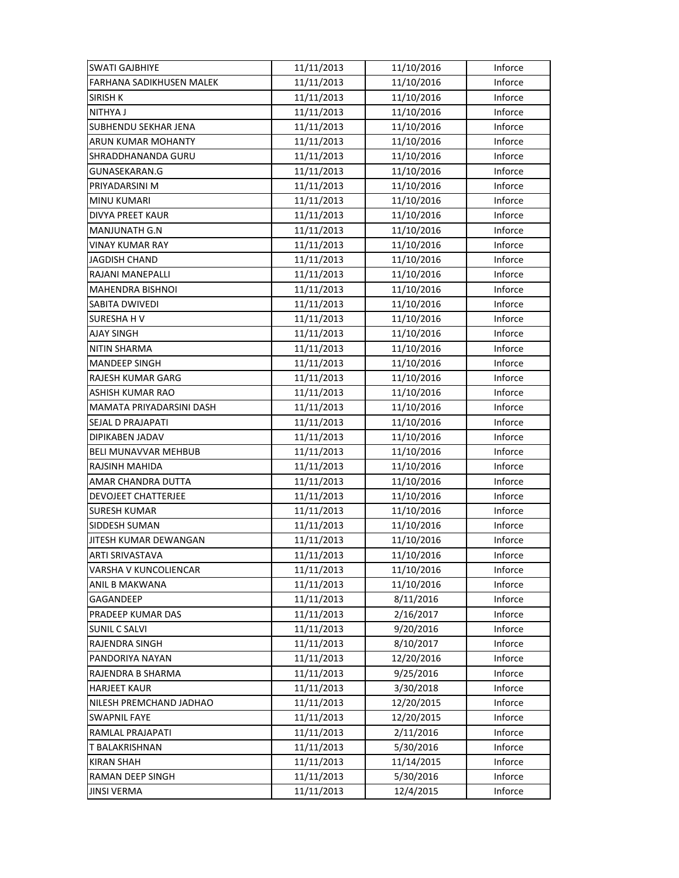| <b>SWATI GAJBHIYE</b>       | 11/11/2013 | 11/10/2016 | Inforce |
|-----------------------------|------------|------------|---------|
| FARHANA SADIKHUSEN MALEK    | 11/11/2013 | 11/10/2016 | Inforce |
| <b>SIRISH K</b>             | 11/11/2013 | 11/10/2016 | Inforce |
| NITHYA J                    | 11/11/2013 | 11/10/2016 | Inforce |
| SUBHENDU SEKHAR JENA        | 11/11/2013 | 11/10/2016 | Inforce |
| <b>ARUN KUMAR MOHANTY</b>   | 11/11/2013 | 11/10/2016 | Inforce |
| SHRADDHANANDA GURU          | 11/11/2013 | 11/10/2016 | Inforce |
| GUNASEKARAN.G               | 11/11/2013 | 11/10/2016 | Inforce |
| PRIYADARSINI M              | 11/11/2013 | 11/10/2016 | Inforce |
| <b>MINU KUMARI</b>          | 11/11/2013 | 11/10/2016 | Inforce |
| DIVYA PREET KAUR            | 11/11/2013 | 11/10/2016 | Inforce |
| MANJUNATH G.N               | 11/11/2013 | 11/10/2016 | Inforce |
| <b>VINAY KUMAR RAY</b>      | 11/11/2013 | 11/10/2016 | Inforce |
| JAGDISH CHAND               | 11/11/2013 | 11/10/2016 | Inforce |
| RAJANI MANEPALLI            | 11/11/2013 | 11/10/2016 | Inforce |
| <b>MAHENDRA BISHNOI</b>     | 11/11/2013 | 11/10/2016 | Inforce |
| SABITA DWIVEDI              | 11/11/2013 | 11/10/2016 | Inforce |
| <b>SURESHAHV</b>            | 11/11/2013 | 11/10/2016 | Inforce |
| <b>AJAY SINGH</b>           | 11/11/2013 | 11/10/2016 | Inforce |
| NITIN SHARMA                | 11/11/2013 | 11/10/2016 | Inforce |
| <b>MANDEEP SINGH</b>        | 11/11/2013 | 11/10/2016 | Inforce |
| RAJESH KUMAR GARG           | 11/11/2013 | 11/10/2016 | Inforce |
| ASHISH KUMAR RAO            | 11/11/2013 | 11/10/2016 | Inforce |
| MAMATA PRIYADARSINI DASH    | 11/11/2013 | 11/10/2016 | Inforce |
| SEJAL D PRAJAPATI           | 11/11/2013 | 11/10/2016 | Inforce |
| DIPIKABEN JADAV             | 11/11/2013 | 11/10/2016 | Inforce |
| <b>BELI MUNAVVAR MEHBUB</b> | 11/11/2013 | 11/10/2016 | Inforce |
| RAJSINH MAHIDA              | 11/11/2013 | 11/10/2016 | Inforce |
| AMAR CHANDRA DUTTA          | 11/11/2013 | 11/10/2016 | Inforce |
| DEVOJEET CHATTERJEE         | 11/11/2013 | 11/10/2016 | Inforce |
| <b>SURESH KUMAR</b>         | 11/11/2013 | 11/10/2016 | Inforce |
| SIDDESH SUMAN               | 11/11/2013 | 11/10/2016 | Inforce |
| JITESH KUMAR DEWANGAN       | 11/11/2013 | 11/10/2016 | Inforce |
| ARTI SRIVASTAVA             | 11/11/2013 | 11/10/2016 | Inforce |
| VARSHA V KUNCOLIENCAR       | 11/11/2013 | 11/10/2016 | Inforce |
| ANIL B MAKWANA              | 11/11/2013 | 11/10/2016 | Inforce |
| GAGANDEEP                   | 11/11/2013 | 8/11/2016  | Inforce |
| PRADEEP KUMAR DAS           | 11/11/2013 | 2/16/2017  | Inforce |
| <b>SUNIL C SALVI</b>        | 11/11/2013 | 9/20/2016  | Inforce |
| RAJENDRA SINGH              | 11/11/2013 | 8/10/2017  | Inforce |
| PANDORIYA NAYAN             | 11/11/2013 | 12/20/2016 | Inforce |
| RAJENDRA B SHARMA           | 11/11/2013 | 9/25/2016  | Inforce |
| <b>HARJEET KAUR</b>         | 11/11/2013 | 3/30/2018  | Inforce |
| NILESH PREMCHAND JADHAO     | 11/11/2013 | 12/20/2015 | Inforce |
| <b>SWAPNIL FAYE</b>         | 11/11/2013 | 12/20/2015 | Inforce |
| RAMLAL PRAJAPATI            | 11/11/2013 | 2/11/2016  | Inforce |
| T BALAKRISHNAN              | 11/11/2013 | 5/30/2016  | Inforce |
| <b>KIRAN SHAH</b>           | 11/11/2013 | 11/14/2015 | Inforce |
| <b>RAMAN DEEP SINGH</b>     | 11/11/2013 | 5/30/2016  | Inforce |
| <b>JINSI VERMA</b>          | 11/11/2013 | 12/4/2015  | Inforce |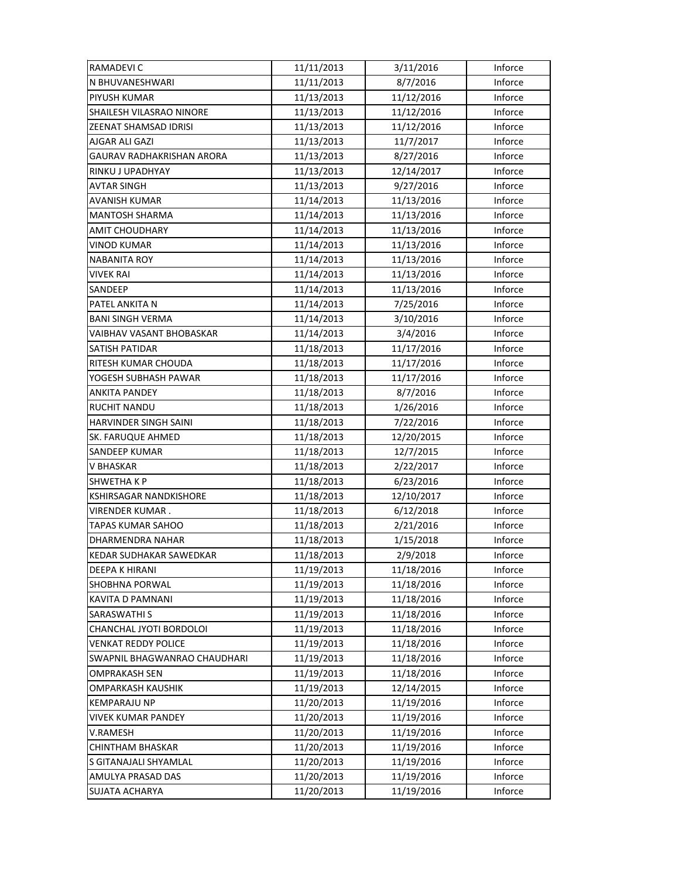| <b>RAMADEVIC</b>               | 11/11/2013 | 3/11/2016  | Inforce |
|--------------------------------|------------|------------|---------|
| N BHUVANESHWARI                | 11/11/2013 | 8/7/2016   | Inforce |
| PIYUSH KUMAR                   | 11/13/2013 | 11/12/2016 | Inforce |
| SHAILESH VILASRAO NINORE       | 11/13/2013 | 11/12/2016 | Inforce |
| ZEENAT SHAMSAD IDRISI          | 11/13/2013 | 11/12/2016 | Inforce |
| AJGAR ALI GAZI                 | 11/13/2013 | 11/7/2017  | Inforce |
| GAURAV RADHAKRISHAN ARORA      | 11/13/2013 | 8/27/2016  | Inforce |
| RINKU J UPADHYAY               | 11/13/2013 | 12/14/2017 | Inforce |
| <b>AVTAR SINGH</b>             | 11/13/2013 | 9/27/2016  | Inforce |
| <b>AVANISH KUMAR</b>           | 11/14/2013 | 11/13/2016 | Inforce |
| <b>MANTOSH SHARMA</b>          | 11/14/2013 | 11/13/2016 | Inforce |
| AMIT CHOUDHARY                 | 11/14/2013 | 11/13/2016 | Inforce |
| <b>VINOD KUMAR</b>             | 11/14/2013 | 11/13/2016 | Inforce |
| <b>NABANITA ROY</b>            | 11/14/2013 | 11/13/2016 | Inforce |
| <b>VIVEK RAI</b>               | 11/14/2013 | 11/13/2016 | Inforce |
| SANDEEP                        | 11/14/2013 | 11/13/2016 | Inforce |
| PATEL ANKITA N                 | 11/14/2013 | 7/25/2016  | Inforce |
| <b>BANI SINGH VERMA</b>        | 11/14/2013 | 3/10/2016  | Inforce |
| VAIBHAV VASANT BHOBASKAR       | 11/14/2013 | 3/4/2016   | Inforce |
| <b>SATISH PATIDAR</b>          | 11/18/2013 | 11/17/2016 | Inforce |
| RITESH KUMAR CHOUDA            | 11/18/2013 | 11/17/2016 | Inforce |
| YOGESH SUBHASH PAWAR           | 11/18/2013 | 11/17/2016 | Inforce |
| ANKITA PANDEY                  | 11/18/2013 | 8/7/2016   | Inforce |
| <b>RUCHIT NANDU</b>            | 11/18/2013 | 1/26/2016  | Inforce |
| HARVINDER SINGH SAINI          | 11/18/2013 | 7/22/2016  | Inforce |
| <b>SK. FARUQUE AHMED</b>       | 11/18/2013 | 12/20/2015 | Inforce |
| SANDEEP KUMAR                  | 11/18/2013 | 12/7/2015  | Inforce |
| V BHASKAR                      | 11/18/2013 | 2/22/2017  | Inforce |
| <b>SHWETHAKP</b>               | 11/18/2013 | 6/23/2016  | Inforce |
| <b>KSHIRSAGAR NANDKISHORE</b>  | 11/18/2013 | 12/10/2017 | Inforce |
| VIRENDER KUMAR.                | 11/18/2013 | 6/12/2018  | Inforce |
| TAPAS KUMAR SAHOO              | 11/18/2013 | 2/21/2016  | Inforce |
| DHARMENDRA NAHAR               | 11/18/2013 | 1/15/2018  | Inforce |
| <b>KEDAR SUDHAKAR SAWEDKAR</b> | 11/18/2013 | 2/9/2018   | Inforce |
| DEEPA K HIRANI                 | 11/19/2013 | 11/18/2016 | Inforce |
| SHOBHNA PORWAL                 | 11/19/2013 | 11/18/2016 | Inforce |
| KAVITA D PAMNANI               | 11/19/2013 | 11/18/2016 | Inforce |
| SARASWATHI S                   | 11/19/2013 | 11/18/2016 | Inforce |
| CHANCHAL JYOTI BORDOLOI        | 11/19/2013 | 11/18/2016 | Inforce |
| <b>VENKAT REDDY POLICE</b>     | 11/19/2013 | 11/18/2016 | Inforce |
| SWAPNIL BHAGWANRAO CHAUDHARI   | 11/19/2013 | 11/18/2016 | Inforce |
| OMPRAKASH SEN                  | 11/19/2013 | 11/18/2016 | Inforce |
| OMPARKASH KAUSHIK              | 11/19/2013 | 12/14/2015 | Inforce |
| <b>KEMPARAJU NP</b>            | 11/20/2013 | 11/19/2016 | Inforce |
| VIVEK KUMAR PANDEY             | 11/20/2013 | 11/19/2016 | Inforce |
| V.RAMESH                       | 11/20/2013 | 11/19/2016 | Inforce |
| CHINTHAM BHASKAR               | 11/20/2013 | 11/19/2016 | Inforce |
| S GITANAJALI SHYAMLAL          | 11/20/2013 | 11/19/2016 | Inforce |
| AMULYA PRASAD DAS              | 11/20/2013 | 11/19/2016 | Inforce |
| SUJATA ACHARYA                 | 11/20/2013 | 11/19/2016 | Inforce |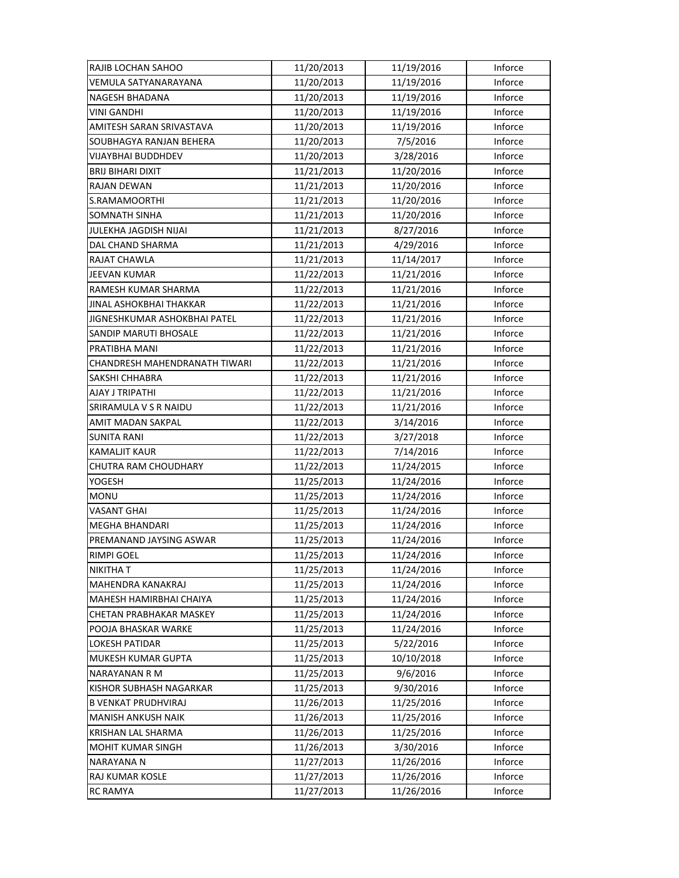| RAJIB LOCHAN SAHOO            | 11/20/2013 | 11/19/2016 | Inforce |
|-------------------------------|------------|------------|---------|
| VEMULA SATYANARAYANA          | 11/20/2013 | 11/19/2016 | Inforce |
| NAGESH BHADANA                | 11/20/2013 | 11/19/2016 | Inforce |
| VINI GANDHI                   | 11/20/2013 | 11/19/2016 | Inforce |
| AMITESH SARAN SRIVASTAVA      | 11/20/2013 | 11/19/2016 | Inforce |
| SOUBHAGYA RANJAN BEHERA       | 11/20/2013 | 7/5/2016   | Inforce |
| VIJAYBHAI BUDDHDEV            | 11/20/2013 | 3/28/2016  | Inforce |
| <b>BRIJ BIHARI DIXIT</b>      | 11/21/2013 | 11/20/2016 | Inforce |
| RAJAN DEWAN                   | 11/21/2013 | 11/20/2016 | Inforce |
| S.RAMAMOORTHI                 | 11/21/2013 | 11/20/2016 | Inforce |
| SOMNATH SINHA                 | 11/21/2013 | 11/20/2016 | Inforce |
| JULEKHA JAGDISH NIJAI         | 11/21/2013 | 8/27/2016  | Inforce |
| DAL CHAND SHARMA              | 11/21/2013 | 4/29/2016  | Inforce |
| RAJAT CHAWLA                  | 11/21/2013 | 11/14/2017 | Inforce |
| <b>JEEVAN KUMAR</b>           | 11/22/2013 | 11/21/2016 | Inforce |
| RAMESH KUMAR SHARMA           | 11/22/2013 | 11/21/2016 | Inforce |
| JINAL ASHOKBHAI THAKKAR       | 11/22/2013 | 11/21/2016 | Inforce |
| JIGNESHKUMAR ASHOKBHAI PATEL  | 11/22/2013 | 11/21/2016 | Inforce |
| <b>SANDIP MARUTI BHOSALE</b>  | 11/22/2013 | 11/21/2016 | Inforce |
| PRATIBHA MANI                 | 11/22/2013 | 11/21/2016 | Inforce |
| CHANDRESH MAHENDRANATH TIWARI | 11/22/2013 | 11/21/2016 | Inforce |
| SAKSHI CHHABRA                | 11/22/2013 | 11/21/2016 | Inforce |
| AJAY J TRIPATHI               | 11/22/2013 | 11/21/2016 | Inforce |
| SRIRAMULA V S R NAIDU         | 11/22/2013 | 11/21/2016 | Inforce |
| AMIT MADAN SAKPAL             | 11/22/2013 | 3/14/2016  | Inforce |
| <b>SUNITA RANI</b>            | 11/22/2013 | 3/27/2018  | Inforce |
| <b>KAMALJIT KAUR</b>          | 11/22/2013 | 7/14/2016  | Inforce |
| CHUTRA RAM CHOUDHARY          | 11/22/2013 | 11/24/2015 | Inforce |
| YOGESH                        | 11/25/2013 | 11/24/2016 | Inforce |
| <b>MONU</b>                   | 11/25/2013 | 11/24/2016 | Inforce |
| <b>VASANT GHAI</b>            | 11/25/2013 | 11/24/2016 | Inforce |
| <b>MEGHA BHANDARI</b>         | 11/25/2013 | 11/24/2016 | Inforce |
| PREMANAND JAYSING ASWAR       | 11/25/2013 | 11/24/2016 | Inforce |
| <b>RIMPI GOEL</b>             | 11/25/2013 | 11/24/2016 | Inforce |
| NIKITHA T                     | 11/25/2013 | 11/24/2016 | Inforce |
| MAHENDRA KANAKRAJ             | 11/25/2013 | 11/24/2016 | Inforce |
| MAHESH HAMIRBHAI CHAIYA       | 11/25/2013 | 11/24/2016 | Inforce |
| CHETAN PRABHAKAR MASKEY       | 11/25/2013 | 11/24/2016 | Inforce |
| POOJA BHASKAR WARKE           | 11/25/2013 | 11/24/2016 | Inforce |
| <b>LOKESH PATIDAR</b>         | 11/25/2013 | 5/22/2016  | Inforce |
| MUKESH KUMAR GUPTA            | 11/25/2013 | 10/10/2018 | Inforce |
| NARAYANAN R M                 | 11/25/2013 | 9/6/2016   | Inforce |
| KISHOR SUBHASH NAGARKAR       | 11/25/2013 | 9/30/2016  | Inforce |
| <b>B VENKAT PRUDHVIRAJ</b>    | 11/26/2013 | 11/25/2016 | Inforce |
| <b>MANISH ANKUSH NAIK</b>     | 11/26/2013 | 11/25/2016 | Inforce |
| KRISHAN LAL SHARMA            | 11/26/2013 | 11/25/2016 | Inforce |
| MOHIT KUMAR SINGH             | 11/26/2013 | 3/30/2016  | Inforce |
| <b>NARAYANA N</b>             | 11/27/2013 | 11/26/2016 | Inforce |
| RAJ KUMAR KOSLE               | 11/27/2013 | 11/26/2016 | Inforce |
| <b>RC RAMYA</b>               | 11/27/2013 | 11/26/2016 | Inforce |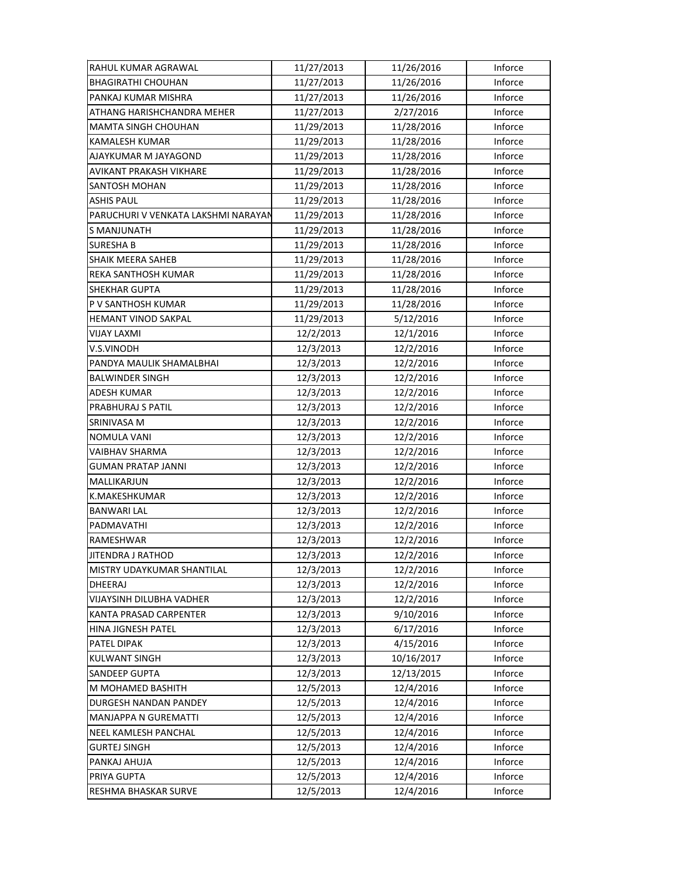| RAHUL KUMAR AGRAWAL                 | 11/27/2013 | 11/26/2016 | Inforce |
|-------------------------------------|------------|------------|---------|
| <b>BHAGIRATHI CHOUHAN</b>           | 11/27/2013 | 11/26/2016 | Inforce |
| PANKAJ KUMAR MISHRA                 | 11/27/2013 | 11/26/2016 | Inforce |
| ATHANG HARISHCHANDRA MEHER          | 11/27/2013 | 2/27/2016  | Inforce |
| <b>MAMTA SINGH CHOUHAN</b>          | 11/29/2013 | 11/28/2016 | Inforce |
| KAMALESH KUMAR                      | 11/29/2013 | 11/28/2016 | Inforce |
| AJAYKUMAR M JAYAGOND                | 11/29/2013 | 11/28/2016 | Inforce |
| AVIKANT PRAKASH VIKHARE             | 11/29/2013 | 11/28/2016 | Inforce |
| <b>SANTOSH MOHAN</b>                | 11/29/2013 | 11/28/2016 | Inforce |
| <b>ASHIS PAUL</b>                   | 11/29/2013 | 11/28/2016 | Inforce |
| PARUCHURI V VENKATA LAKSHMI NARAYAN | 11/29/2013 | 11/28/2016 | Inforce |
| S MANJUNATH                         | 11/29/2013 | 11/28/2016 | Inforce |
| <b>SURESHA B</b>                    | 11/29/2013 | 11/28/2016 | Inforce |
| SHAIK MEERA SAHEB                   | 11/29/2013 | 11/28/2016 | Inforce |
| REKA SANTHOSH KUMAR                 | 11/29/2013 | 11/28/2016 | Inforce |
| <b>SHEKHAR GUPTA</b>                | 11/29/2013 | 11/28/2016 | Inforce |
| P V SANTHOSH KUMAR                  | 11/29/2013 | 11/28/2016 | Inforce |
| <b>HEMANT VINOD SAKPAL</b>          | 11/29/2013 | 5/12/2016  | Inforce |
| VIJAY LAXMI                         | 12/2/2013  | 12/1/2016  | Inforce |
| V.S.VINODH                          | 12/3/2013  | 12/2/2016  | Inforce |
| PANDYA MAULIK SHAMALBHAI            | 12/3/2013  | 12/2/2016  | Inforce |
| <b>BALWINDER SINGH</b>              | 12/3/2013  | 12/2/2016  | Inforce |
| ADESH KUMAR                         | 12/3/2013  | 12/2/2016  | Inforce |
| PRABHURAJ S PATIL                   | 12/3/2013  | 12/2/2016  | Inforce |
| SRINIVASA M                         | 12/3/2013  | 12/2/2016  | Inforce |
| <b>NOMULA VANI</b>                  | 12/3/2013  | 12/2/2016  | Inforce |
| VAIBHAV SHARMA                      | 12/3/2013  | 12/2/2016  | Inforce |
| <b>GUMAN PRATAP JANNI</b>           | 12/3/2013  | 12/2/2016  | Inforce |
| MALLIKARJUN                         | 12/3/2013  | 12/2/2016  | Inforce |
| K.MAKESHKUMAR                       | 12/3/2013  | 12/2/2016  | Inforce |
| <b>BANWARI LAL</b>                  | 12/3/2013  | 12/2/2016  | Inforce |
| PADMAVATHI                          | 12/3/2013  | 12/2/2016  | Inforce |
| RAMESHWAR                           | 12/3/2013  | 12/2/2016  | Inforce |
| JITENDRA J RATHOD                   | 12/3/2013  | 12/2/2016  | Inforce |
| MISTRY UDAYKUMAR SHANTILAL          | 12/3/2013  | 12/2/2016  | Inforce |
| DHEERAJ                             | 12/3/2013  | 12/2/2016  | Inforce |
| VIJAYSINH DILUBHA VADHER            | 12/3/2013  | 12/2/2016  | Inforce |
| KANTA PRASAD CARPENTER              | 12/3/2013  | 9/10/2016  | Inforce |
| <b>HINA JIGNESH PATEL</b>           | 12/3/2013  | 6/17/2016  | Inforce |
| PATEL DIPAK                         | 12/3/2013  | 4/15/2016  | Inforce |
| <b>KULWANT SINGH</b>                | 12/3/2013  | 10/16/2017 | Inforce |
| <b>SANDEEP GUPTA</b>                | 12/3/2013  | 12/13/2015 | Inforce |
| M MOHAMED BASHITH                   | 12/5/2013  | 12/4/2016  | Inforce |
| DURGESH NANDAN PANDEY               | 12/5/2013  | 12/4/2016  | Inforce |
| <b>MANJAPPA N GUREMATTI</b>         | 12/5/2013  | 12/4/2016  | Inforce |
| NEEL KAMLESH PANCHAL                | 12/5/2013  | 12/4/2016  | Inforce |
| <b>GURTEJ SINGH</b>                 | 12/5/2013  | 12/4/2016  | Inforce |
| PANKAJ AHUJA                        | 12/5/2013  | 12/4/2016  | Inforce |
| PRIYA GUPTA                         | 12/5/2013  | 12/4/2016  | Inforce |
| RESHMA BHASKAR SURVE                | 12/5/2013  | 12/4/2016  | Inforce |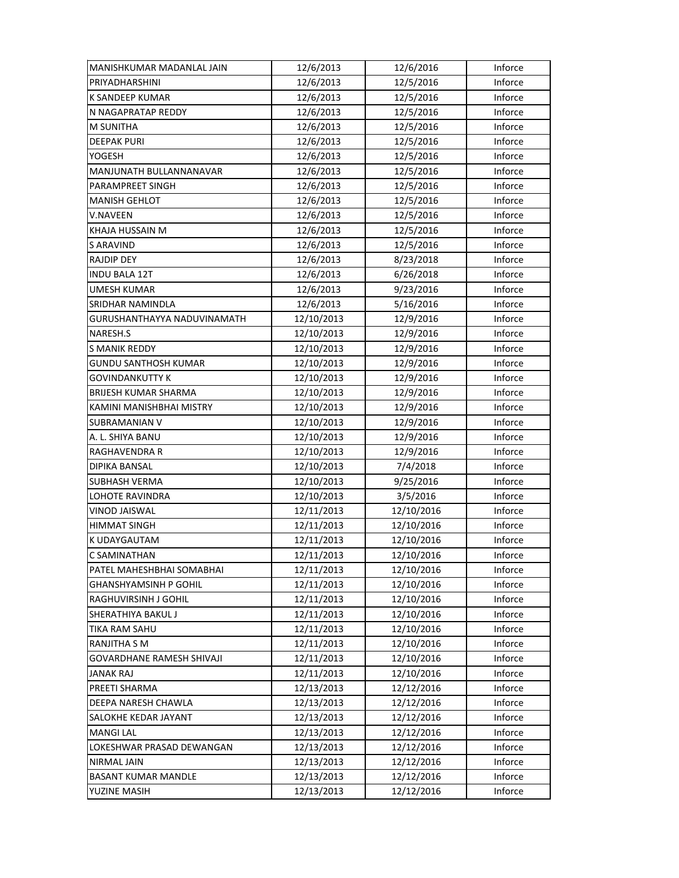| MANISHKUMAR MADANLAL JAIN        | 12/6/2013  | 12/6/2016  | Inforce |
|----------------------------------|------------|------------|---------|
| PRIYADHARSHINI                   | 12/6/2013  | 12/5/2016  | Inforce |
| K SANDEEP KUMAR                  | 12/6/2013  | 12/5/2016  | Inforce |
| N NAGAPRATAP REDDY               | 12/6/2013  | 12/5/2016  | Inforce |
| M SUNITHA                        | 12/6/2013  | 12/5/2016  | Inforce |
| <b>DEEPAK PURI</b>               | 12/6/2013  | 12/5/2016  | Inforce |
| YOGESH                           | 12/6/2013  | 12/5/2016  | Inforce |
| MANJUNATH BULLANNANAVAR          | 12/6/2013  | 12/5/2016  | Inforce |
| PARAMPREET SINGH                 | 12/6/2013  | 12/5/2016  | Inforce |
| <b>MANISH GEHLOT</b>             | 12/6/2013  | 12/5/2016  | Inforce |
| <b>V.NAVEEN</b>                  | 12/6/2013  | 12/5/2016  | Inforce |
| KHAJA HUSSAIN M                  | 12/6/2013  | 12/5/2016  | Inforce |
| <b>S ARAVIND</b>                 | 12/6/2013  | 12/5/2016  | Inforce |
| RAJDIP DEY                       | 12/6/2013  | 8/23/2018  | Inforce |
| <b>INDU BALA 12T</b>             | 12/6/2013  | 6/26/2018  | Inforce |
| <b>UMESH KUMAR</b>               | 12/6/2013  | 9/23/2016  | Inforce |
| SRIDHAR NAMINDLA                 | 12/6/2013  | 5/16/2016  | Inforce |
| GURUSHANTHAYYA NADUVINAMATH      | 12/10/2013 | 12/9/2016  | Inforce |
| NARESH.S                         | 12/10/2013 | 12/9/2016  | Inforce |
| S MANIK REDDY                    | 12/10/2013 | 12/9/2016  | Inforce |
| <b>GUNDU SANTHOSH KUMAR</b>      | 12/10/2013 | 12/9/2016  | Inforce |
| <b>GOVINDANKUTTY K</b>           | 12/10/2013 | 12/9/2016  | Inforce |
| BRIJESH KUMAR SHARMA             | 12/10/2013 | 12/9/2016  | Inforce |
| KAMINI MANISHBHAI MISTRY         | 12/10/2013 | 12/9/2016  | Inforce |
| <b>SUBRAMANIAN V</b>             | 12/10/2013 | 12/9/2016  | Inforce |
| A. L. SHIYA BANU                 | 12/10/2013 | 12/9/2016  | Inforce |
| RAGHAVENDRA R                    | 12/10/2013 | 12/9/2016  | Inforce |
| DIPIKA BANSAL                    | 12/10/2013 | 7/4/2018   | Inforce |
| SUBHASH VERMA                    | 12/10/2013 | 9/25/2016  | Inforce |
| LOHOTE RAVINDRA                  | 12/10/2013 | 3/5/2016   | Inforce |
| <b>VINOD JAISWAL</b>             | 12/11/2013 | 12/10/2016 | Inforce |
| <b>HIMMAT SINGH</b>              | 12/11/2013 | 12/10/2016 | Inforce |
| K UDAYGAUTAM                     | 12/11/2013 | 12/10/2016 | Inforce |
| C SAMINATHAN                     | 12/11/2013 | 12/10/2016 | Inforce |
| PATEL MAHESHBHAI SOMABHAI        | 12/11/2013 | 12/10/2016 | Inforce |
| <b>GHANSHYAMSINH P GOHIL</b>     | 12/11/2013 | 12/10/2016 | Inforce |
| RAGHUVIRSINH J GOHIL             | 12/11/2013 | 12/10/2016 | Inforce |
| SHERATHIYA BAKUL J               | 12/11/2013 | 12/10/2016 | Inforce |
| TIKA RAM SAHU                    | 12/11/2013 | 12/10/2016 | Inforce |
| RANJITHA S M                     | 12/11/2013 | 12/10/2016 | Inforce |
| <b>GOVARDHANE RAMESH SHIVAJI</b> | 12/11/2013 | 12/10/2016 | Inforce |
| <b>JANAK RAJ</b>                 | 12/11/2013 | 12/10/2016 | Inforce |
| PREETI SHARMA                    | 12/13/2013 | 12/12/2016 | Inforce |
| DEEPA NARESH CHAWLA              | 12/13/2013 | 12/12/2016 | Inforce |
| SALOKHE KEDAR JAYANT             | 12/13/2013 | 12/12/2016 | Inforce |
| <b>MANGI LAL</b>                 | 12/13/2013 | 12/12/2016 | Inforce |
| LOKESHWAR PRASAD DEWANGAN        | 12/13/2013 | 12/12/2016 | Inforce |
| NIRMAL JAIN                      | 12/13/2013 | 12/12/2016 | Inforce |
| <b>BASANT KUMAR MANDLE</b>       | 12/13/2013 | 12/12/2016 | Inforce |
| YUZINE MASIH                     | 12/13/2013 | 12/12/2016 | Inforce |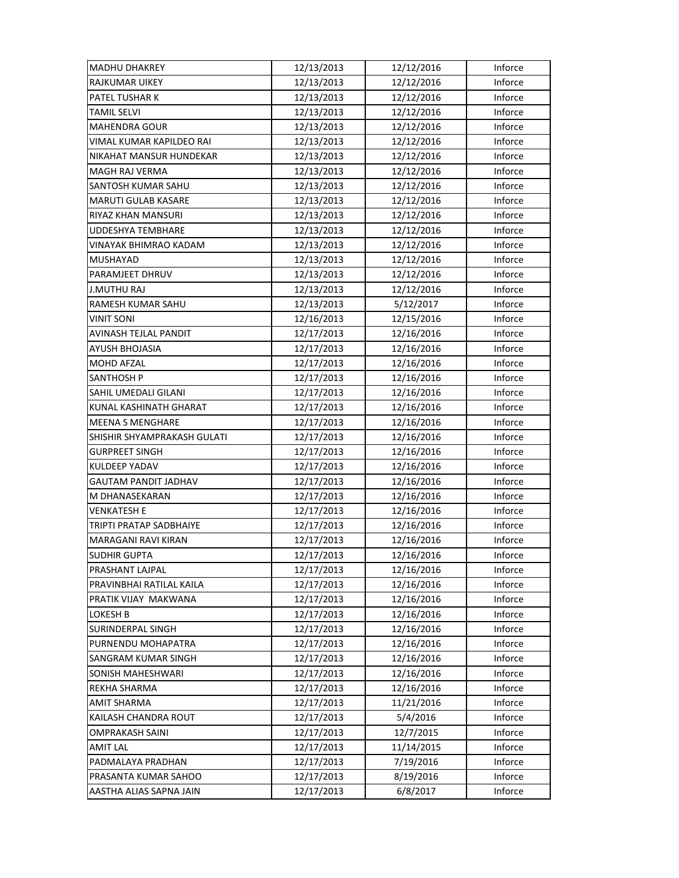| <b>MADHU DHAKREY</b>        | 12/13/2013 | 12/12/2016 | Inforce |
|-----------------------------|------------|------------|---------|
| <b>RAJKUMAR UIKEY</b>       | 12/13/2013 | 12/12/2016 | Inforce |
| PATEL TUSHAR K              | 12/13/2013 | 12/12/2016 | Inforce |
| TAMIL SELVI                 | 12/13/2013 | 12/12/2016 | Inforce |
| <b>MAHENDRA GOUR</b>        | 12/13/2013 | 12/12/2016 | Inforce |
| VIMAL KUMAR KAPILDEO RAI    | 12/13/2013 | 12/12/2016 | Inforce |
| NIKAHAT MANSUR HUNDEKAR     | 12/13/2013 | 12/12/2016 | Inforce |
| <b>MAGH RAJ VERMA</b>       | 12/13/2013 | 12/12/2016 | Inforce |
| SANTOSH KUMAR SAHU          | 12/13/2013 | 12/12/2016 | Inforce |
| MARUTI GULAB KASARE         | 12/13/2013 | 12/12/2016 | Inforce |
| <b>RIYAZ KHAN MANSURI</b>   | 12/13/2013 | 12/12/2016 | Inforce |
| UDDESHYA TEMBHARE           | 12/13/2013 | 12/12/2016 | Inforce |
| VINAYAK BHIMRAO KADAM       | 12/13/2013 | 12/12/2016 | Inforce |
| MUSHAYAD                    | 12/13/2013 | 12/12/2016 | Inforce |
| PARAMJEET DHRUV             | 12/13/2013 | 12/12/2016 | Inforce |
| <b>J.MUTHU RAJ</b>          | 12/13/2013 | 12/12/2016 | Inforce |
| RAMESH KUMAR SAHU           | 12/13/2013 | 5/12/2017  | Inforce |
| <b>VINIT SONI</b>           | 12/16/2013 | 12/15/2016 | Inforce |
| AVINASH TEJLAL PANDIT       | 12/17/2013 | 12/16/2016 | Inforce |
| <b>AYUSH BHOJASIA</b>       | 12/17/2013 | 12/16/2016 | Inforce |
| MOHD AFZAL                  | 12/17/2013 | 12/16/2016 | Inforce |
| SANTHOSH P                  | 12/17/2013 | 12/16/2016 | Inforce |
| SAHIL UMEDALI GILANI        | 12/17/2013 | 12/16/2016 | Inforce |
| KUNAL KASHINATH GHARAT      | 12/17/2013 | 12/16/2016 | Inforce |
| <b>MEENA S MENGHARE</b>     | 12/17/2013 | 12/16/2016 | Inforce |
| SHISHIR SHYAMPRAKASH GULATI | 12/17/2013 | 12/16/2016 | Inforce |
| <b>GURPREET SINGH</b>       | 12/17/2013 | 12/16/2016 | Inforce |
| KULDEEP YADAV               | 12/17/2013 | 12/16/2016 | Inforce |
| GAUTAM PANDIT JADHAV        | 12/17/2013 | 12/16/2016 | Inforce |
| M DHANASEKARAN              | 12/17/2013 | 12/16/2016 | Inforce |
| <b>VENKATESH E</b>          | 12/17/2013 | 12/16/2016 | Inforce |
| TRIPTI PRATAP SADBHAIYE     | 12/17/2013 | 12/16/2016 | Inforce |
| <b>MARAGANI RAVI KIRAN</b>  | 12/17/2013 | 12/16/2016 | Inforce |
| <b>SUDHIR GUPTA</b>         | 12/17/2013 | 12/16/2016 | Inforce |
| PRASHANT LAJPAL             | 12/17/2013 | 12/16/2016 | Inforce |
| PRAVINBHAI RATILAL KAILA    | 12/17/2013 | 12/16/2016 | Inforce |
| PRATIK VIJAY MAKWANA        | 12/17/2013 | 12/16/2016 | Inforce |
| LOKESH B                    | 12/17/2013 | 12/16/2016 | Inforce |
| SURINDERPAL SINGH           | 12/17/2013 | 12/16/2016 | Inforce |
| PURNENDU MOHAPATRA          | 12/17/2013 | 12/16/2016 | Inforce |
| <b>SANGRAM KUMAR SINGH</b>  | 12/17/2013 | 12/16/2016 | Inforce |
| SONISH MAHESHWARI           | 12/17/2013 | 12/16/2016 | Inforce |
| REKHA SHARMA                | 12/17/2013 | 12/16/2016 | Inforce |
| <b>AMIT SHARMA</b>          | 12/17/2013 | 11/21/2016 | Inforce |
| KAILASH CHANDRA ROUT        | 12/17/2013 | 5/4/2016   | Inforce |
| OMPRAKASH SAINI             | 12/17/2013 | 12/7/2015  | Inforce |
| <b>AMIT LAL</b>             | 12/17/2013 | 11/14/2015 | Inforce |
| PADMALAYA PRADHAN           | 12/17/2013 | 7/19/2016  | Inforce |
| PRASANTA KUMAR SAHOO        | 12/17/2013 | 8/19/2016  | Inforce |
|                             |            |            |         |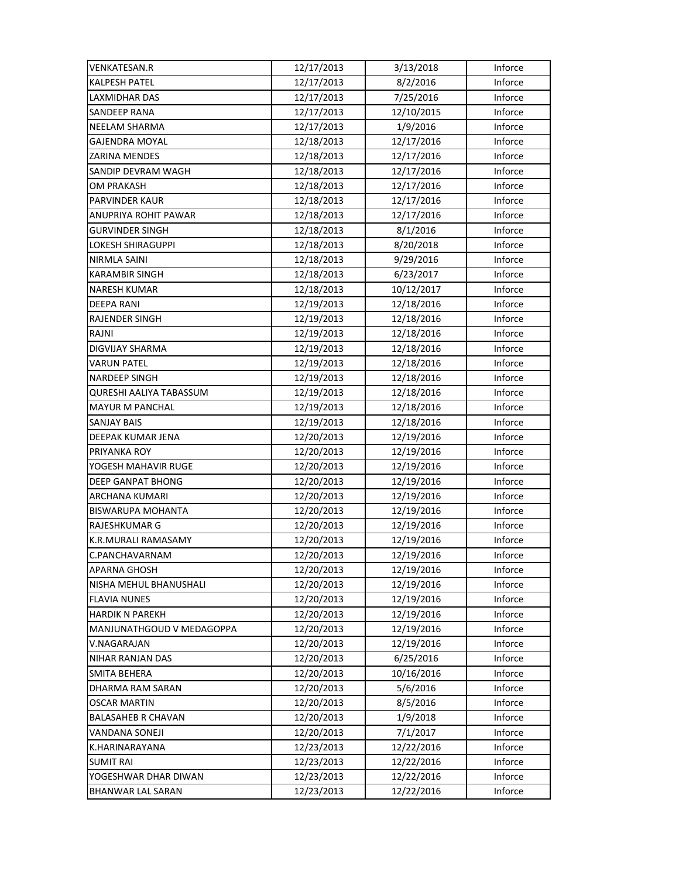| <b>VENKATESAN.R</b>       | 12/17/2013 | 3/13/2018  | Inforce |
|---------------------------|------------|------------|---------|
| <b>KALPESH PATEL</b>      | 12/17/2013 | 8/2/2016   | Inforce |
| LAXMIDHAR DAS             | 12/17/2013 | 7/25/2016  | Inforce |
| <b>SANDEEP RANA</b>       | 12/17/2013 | 12/10/2015 | Inforce |
| NEELAM SHARMA             | 12/17/2013 | 1/9/2016   | Inforce |
| <b>GAJENDRA MOYAL</b>     | 12/18/2013 | 12/17/2016 | Inforce |
| ZARINA MENDES             | 12/18/2013 | 12/17/2016 | Inforce |
| SANDIP DEVRAM WAGH        | 12/18/2013 | 12/17/2016 | Inforce |
| <b>OM PRAKASH</b>         | 12/18/2013 | 12/17/2016 | Inforce |
| <b>PARVINDER KAUR</b>     | 12/18/2013 | 12/17/2016 | Inforce |
| ANUPRIYA ROHIT PAWAR      | 12/18/2013 | 12/17/2016 | Inforce |
| <b>GURVINDER SINGH</b>    | 12/18/2013 | 8/1/2016   | Inforce |
| LOKESH SHIRAGUPPI         | 12/18/2013 | 8/20/2018  | Inforce |
| NIRMLA SAINI              | 12/18/2013 | 9/29/2016  | Inforce |
| <b>KARAMBIR SINGH</b>     | 12/18/2013 | 6/23/2017  | Inforce |
| <b>NARESH KUMAR</b>       | 12/18/2013 | 10/12/2017 | Inforce |
| <b>DEEPA RANI</b>         | 12/19/2013 | 12/18/2016 | Inforce |
| <b>RAJENDER SINGH</b>     | 12/19/2013 | 12/18/2016 | Inforce |
| RAJNI                     | 12/19/2013 | 12/18/2016 | Inforce |
| <b>DIGVIJAY SHARMA</b>    | 12/19/2013 | 12/18/2016 | Inforce |
| <b>VARUN PATEL</b>        | 12/19/2013 | 12/18/2016 | Inforce |
| <b>NARDEEP SINGH</b>      | 12/19/2013 | 12/18/2016 | Inforce |
| QURESHI AALIYA TABASSUM   | 12/19/2013 | 12/18/2016 | Inforce |
| <b>MAYUR M PANCHAL</b>    | 12/19/2013 | 12/18/2016 | Inforce |
| <b>SANJAY BAIS</b>        | 12/19/2013 | 12/18/2016 | Inforce |
| DEEPAK KUMAR JENA         | 12/20/2013 | 12/19/2016 | Inforce |
| PRIYANKA ROY              | 12/20/2013 | 12/19/2016 | Inforce |
| YOGESH MAHAVIR RUGE       | 12/20/2013 | 12/19/2016 | Inforce |
| <b>DEEP GANPAT BHONG</b>  | 12/20/2013 | 12/19/2016 | Inforce |
| ARCHANA KUMARI            | 12/20/2013 | 12/19/2016 | Inforce |
| <b>BISWARUPA MOHANTA</b>  | 12/20/2013 | 12/19/2016 | Inforce |
| RAJESHKUMAR G             | 12/20/2013 | 12/19/2016 | Inforce |
| K.R.MURALI RAMASAMY       | 12/20/2013 | 12/19/2016 | Inforce |
| C.PANCHAVARNAM            | 12/20/2013 | 12/19/2016 | Inforce |
| <b>APARNA GHOSH</b>       | 12/20/2013 | 12/19/2016 | Inforce |
| NISHA MEHUL BHANUSHALI    | 12/20/2013 | 12/19/2016 | Inforce |
| <b>FLAVIA NUNES</b>       | 12/20/2013 | 12/19/2016 | Inforce |
| <b>HARDIK N PAREKH</b>    | 12/20/2013 | 12/19/2016 | Inforce |
| MANJUNATHGOUD V MEDAGOPPA | 12/20/2013 | 12/19/2016 | Inforce |
| V.NAGARAJAN               | 12/20/2013 | 12/19/2016 | Inforce |
| NIHAR RANJAN DAS          | 12/20/2013 | 6/25/2016  | Inforce |
| <b>SMITA BEHERA</b>       | 12/20/2013 | 10/16/2016 | Inforce |
| DHARMA RAM SARAN          | 12/20/2013 | 5/6/2016   | Inforce |
| <b>OSCAR MARTIN</b>       | 12/20/2013 | 8/5/2016   | Inforce |
| <b>BALASAHEB R CHAVAN</b> | 12/20/2013 | 1/9/2018   | Inforce |
| VANDANA SONEJI            | 12/20/2013 | 7/1/2017   | Inforce |
| K.HARINARAYANA            | 12/23/2013 | 12/22/2016 | Inforce |
| <b>SUMIT RAI</b>          | 12/23/2013 | 12/22/2016 | Inforce |
| YOGESHWAR DHAR DIWAN      | 12/23/2013 | 12/22/2016 | Inforce |
| BHANWAR LAL SARAN         | 12/23/2013 | 12/22/2016 | Inforce |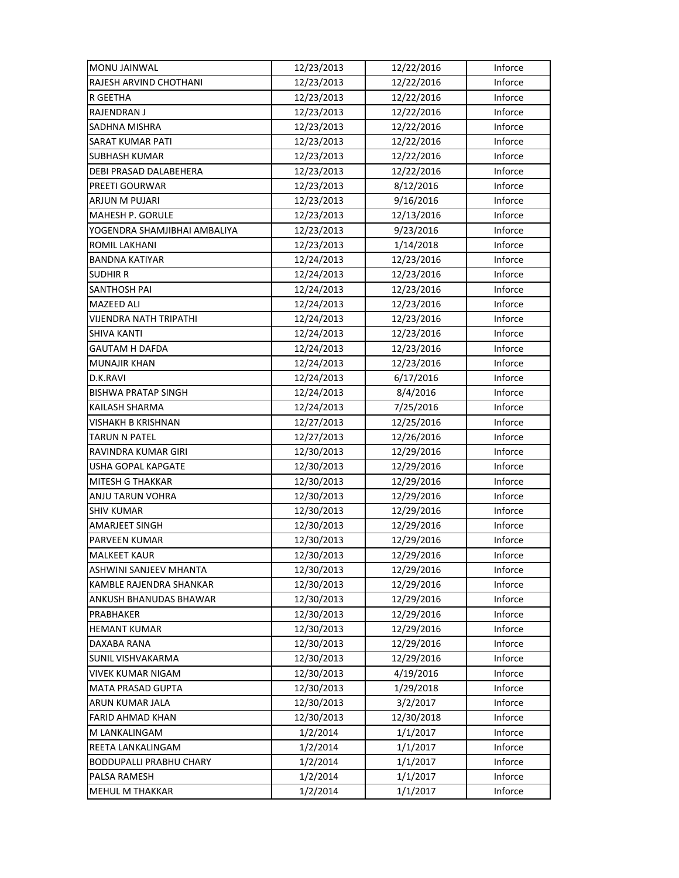| MONU JAINWAL                   | 12/23/2013 | 12/22/2016 | Inforce |
|--------------------------------|------------|------------|---------|
| RAJESH ARVIND CHOTHANI         | 12/23/2013 | 12/22/2016 | Inforce |
| R GEETHA                       | 12/23/2013 | 12/22/2016 | Inforce |
| RAJENDRAN J                    | 12/23/2013 | 12/22/2016 | Inforce |
| SADHNA MISHRA                  | 12/23/2013 | 12/22/2016 | Inforce |
| <b>SARAT KUMAR PATI</b>        | 12/23/2013 | 12/22/2016 | Inforce |
| SUBHASH KUMAR                  | 12/23/2013 | 12/22/2016 | Inforce |
| DEBI PRASAD DALABEHERA         | 12/23/2013 | 12/22/2016 | Inforce |
| <b>PREETI GOURWAR</b>          | 12/23/2013 | 8/12/2016  | Inforce |
| <b>ARJUN M PUJARI</b>          | 12/23/2013 | 9/16/2016  | Inforce |
| MAHESH P. GORULE               | 12/23/2013 | 12/13/2016 | Inforce |
| YOGENDRA SHAMJIBHAI AMBALIYA   | 12/23/2013 | 9/23/2016  | Inforce |
| ROMIL LAKHANI                  | 12/23/2013 | 1/14/2018  | Inforce |
| <b>BANDNA KATIYAR</b>          | 12/24/2013 | 12/23/2016 | Inforce |
| <b>SUDHIR R</b>                | 12/24/2013 | 12/23/2016 | Inforce |
| <b>SANTHOSH PAI</b>            | 12/24/2013 | 12/23/2016 | Inforce |
| <b>MAZEED ALI</b>              | 12/24/2013 | 12/23/2016 | Inforce |
| <b>VIJENDRA NATH TRIPATHI</b>  | 12/24/2013 | 12/23/2016 | Inforce |
| <b>SHIVA KANTI</b>             | 12/24/2013 | 12/23/2016 | Inforce |
| <b>GAUTAM H DAFDA</b>          | 12/24/2013 | 12/23/2016 | Inforce |
| <b>MUNAJIR KHAN</b>            | 12/24/2013 | 12/23/2016 | Inforce |
| D.K.RAVI                       | 12/24/2013 | 6/17/2016  | Inforce |
| BISHWA PRATAP SINGH            | 12/24/2013 | 8/4/2016   | Inforce |
| KAILASH SHARMA                 | 12/24/2013 | 7/25/2016  | Inforce |
| VISHAKH B KRISHNAN             | 12/27/2013 | 12/25/2016 | Inforce |
| <b>TARUN N PATEL</b>           | 12/27/2013 | 12/26/2016 | Inforce |
| RAVINDRA KUMAR GIRI            | 12/30/2013 | 12/29/2016 | Inforce |
| USHA GOPAL KAPGATE             | 12/30/2013 | 12/29/2016 | Inforce |
| <b>MITESH G THAKKAR</b>        | 12/30/2013 | 12/29/2016 | Inforce |
| ANJU TARUN VOHRA               | 12/30/2013 | 12/29/2016 | Inforce |
| <b>SHIV KUMAR</b>              | 12/30/2013 | 12/29/2016 | Inforce |
| AMARJEET SINGH                 | 12/30/2013 | 12/29/2016 | Inforce |
| PARVEEN KUMAR                  | 12/30/2013 | 12/29/2016 | Inforce |
| <b>MALKEET KAUR</b>            | 12/30/2013 | 12/29/2016 | Inforce |
| ASHWINI SANJEEV MHANTA         | 12/30/2013 | 12/29/2016 | Inforce |
| KAMBLE RAJENDRA SHANKAR        | 12/30/2013 | 12/29/2016 | Inforce |
| ANKUSH BHANUDAS BHAWAR         | 12/30/2013 | 12/29/2016 | Inforce |
| PRABHAKER                      | 12/30/2013 | 12/29/2016 | Inforce |
| <b>HEMANT KUMAR</b>            | 12/30/2013 | 12/29/2016 | Inforce |
| DAXABA RANA                    | 12/30/2013 | 12/29/2016 | Inforce |
| SUNIL VISHVAKARMA              | 12/30/2013 | 12/29/2016 | Inforce |
| VIVEK KUMAR NIGAM              | 12/30/2013 | 4/19/2016  | Inforce |
| <b>MATA PRASAD GUPTA</b>       | 12/30/2013 | 1/29/2018  | Inforce |
| ARUN KUMAR JALA                | 12/30/2013 | 3/2/2017   | Inforce |
| FARID AHMAD KHAN               | 12/30/2013 | 12/30/2018 | Inforce |
| M LANKALINGAM                  | 1/2/2014   | 1/1/2017   | Inforce |
| REETA LANKALINGAM              | 1/2/2014   | 1/1/2017   | Inforce |
| <b>BODDUPALLI PRABHU CHARY</b> | 1/2/2014   | 1/1/2017   | Inforce |
| PALSA RAMESH                   | 1/2/2014   | 1/1/2017   | Inforce |
| MEHUL M THAKKAR                | 1/2/2014   | 1/1/2017   | Inforce |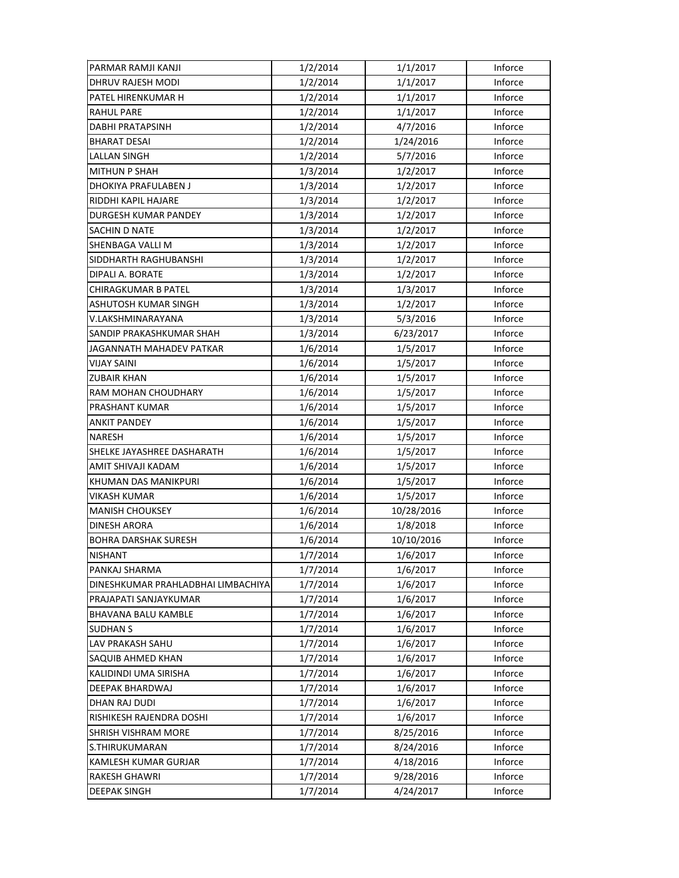| PARMAR RAMJI KANJI                 | 1/2/2014 | 1/1/2017   | Inforce |
|------------------------------------|----------|------------|---------|
| DHRUV RAJESH MODI                  | 1/2/2014 | 1/1/2017   | Inforce |
| PATEL HIRENKUMAR H                 | 1/2/2014 | 1/1/2017   | Inforce |
| <b>RAHUL PARE</b>                  | 1/2/2014 | 1/1/2017   | Inforce |
| DABHI PRATAPSINH                   | 1/2/2014 | 4/7/2016   | Inforce |
| <b>BHARAT DESAI</b>                | 1/2/2014 | 1/24/2016  | Inforce |
| <b>LALLAN SINGH</b>                | 1/2/2014 | 5/7/2016   | Inforce |
| <b>MITHUN P SHAH</b>               | 1/3/2014 | 1/2/2017   | Inforce |
| DHOKIYA PRAFULABEN J               | 1/3/2014 | 1/2/2017   | Inforce |
| RIDDHI KAPIL HAJARE                | 1/3/2014 | 1/2/2017   | Inforce |
| DURGESH KUMAR PANDEY               | 1/3/2014 | 1/2/2017   | Inforce |
| SACHIN D NATE                      | 1/3/2014 | 1/2/2017   | Inforce |
| SHENBAGA VALLI M                   | 1/3/2014 | 1/2/2017   | Inforce |
| SIDDHARTH RAGHUBANSHI              | 1/3/2014 | 1/2/2017   | Inforce |
| DIPALI A. BORATE                   | 1/3/2014 | 1/2/2017   | Inforce |
| <b>CHIRAGKUMAR B PATEL</b>         | 1/3/2014 | 1/3/2017   | Inforce |
| ASHUTOSH KUMAR SINGH               | 1/3/2014 | 1/2/2017   | Inforce |
| V.LAKSHMINARAYANA                  | 1/3/2014 | 5/3/2016   | Inforce |
| SANDIP PRAKASHKUMAR SHAH           | 1/3/2014 | 6/23/2017  | Inforce |
| JAGANNATH MAHADEV PATKAR           | 1/6/2014 | 1/5/2017   | Inforce |
| VIJAY SAINI                        | 1/6/2014 | 1/5/2017   | Inforce |
| <b>ZUBAIR KHAN</b>                 | 1/6/2014 | 1/5/2017   | Inforce |
| RAM MOHAN CHOUDHARY                | 1/6/2014 | 1/5/2017   | Inforce |
| PRASHANT KUMAR                     | 1/6/2014 | 1/5/2017   | Inforce |
| <b>ANKIT PANDEY</b>                | 1/6/2014 | 1/5/2017   | Inforce |
| <b>NARESH</b>                      | 1/6/2014 | 1/5/2017   | Inforce |
| SHELKE JAYASHREE DASHARATH         | 1/6/2014 | 1/5/2017   | Inforce |
| AMIT SHIVAJI KADAM                 | 1/6/2014 | 1/5/2017   | Inforce |
| KHUMAN DAS MANIKPURI               | 1/6/2014 | 1/5/2017   | Inforce |
| <b>VIKASH KUMAR</b>                | 1/6/2014 | 1/5/2017   | Inforce |
| <b>MANISH CHOUKSEY</b>             | 1/6/2014 | 10/28/2016 | Inforce |
| <b>DINESH ARORA</b>                | 1/6/2014 | 1/8/2018   | Inforce |
| <b>BOHRA DARSHAK SURESH</b>        | 1/6/2014 | 10/10/2016 | Inforce |
| NISHANT                            | 1/7/2014 | 1/6/2017   | Inforce |
| PANKAJ SHARMA                      | 1/7/2014 | 1/6/2017   | Inforce |
| DINESHKUMAR PRAHLADBHAI LIMBACHIYA | 1/7/2014 | 1/6/2017   | Inforce |
| PRAJAPATI SANJAYKUMAR              | 1/7/2014 | 1/6/2017   | Inforce |
| BHAVANA BALU KAMBLE                | 1/7/2014 | 1/6/2017   | Inforce |
| <b>SUDHAN S</b>                    | 1/7/2014 | 1/6/2017   | Inforce |
| LAV PRAKASH SAHU                   | 1/7/2014 | 1/6/2017   | Inforce |
| SAQUIB AHMED KHAN                  | 1/7/2014 | 1/6/2017   | Inforce |
| KALIDINDI UMA SIRISHA              | 1/7/2014 | 1/6/2017   | Inforce |
| DEEPAK BHARDWAJ                    | 1/7/2014 | 1/6/2017   | Inforce |
| DHAN RAJ DUDI                      | 1/7/2014 | 1/6/2017   | Inforce |
| RISHIKESH RAJENDRA DOSHI           | 1/7/2014 | 1/6/2017   | Inforce |
| <b>SHRISH VISHRAM MORE</b>         | 1/7/2014 | 8/25/2016  | Inforce |
|                                    |          |            |         |
| S.THIRUKUMARAN                     | 1/7/2014 | 8/24/2016  | Inforce |
| KAMLESH KUMAR GURJAR               | 1/7/2014 | 4/18/2016  | Inforce |
| RAKESH GHAWRI                      | 1/7/2014 | 9/28/2016  | Inforce |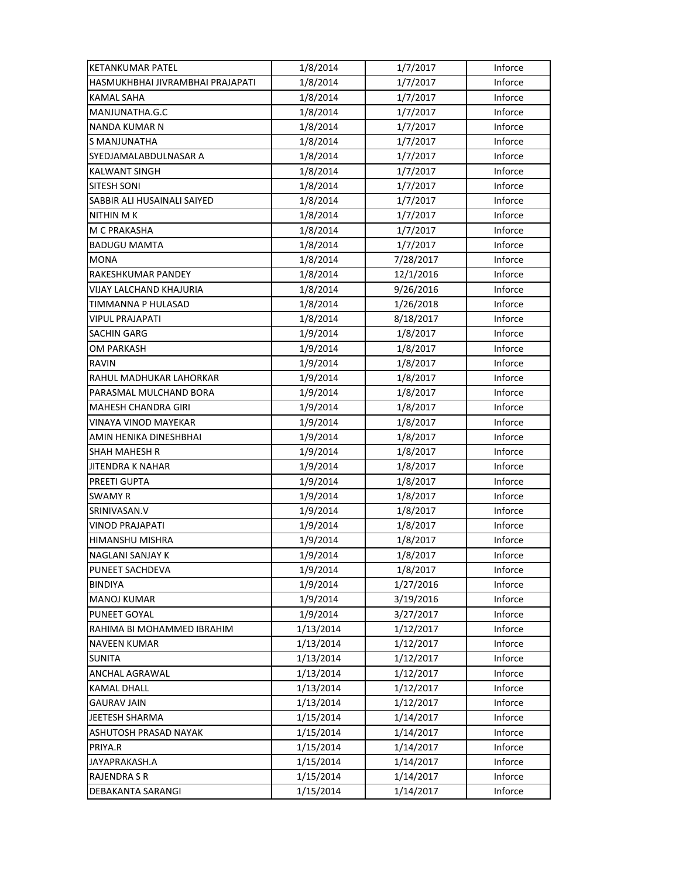| <b>KETANKUMAR PATEL</b>          | 1/8/2014  | 1/7/2017  | Inforce |
|----------------------------------|-----------|-----------|---------|
| HASMUKHBHAI JIVRAMBHAI PRAJAPATI | 1/8/2014  | 1/7/2017  | Inforce |
| <b>KAMAL SAHA</b>                | 1/8/2014  | 1/7/2017  | Inforce |
| MANJUNATHA.G.C                   | 1/8/2014  | 1/7/2017  | Inforce |
| <b>NANDA KUMAR N</b>             | 1/8/2014  | 1/7/2017  | Inforce |
| S MANJUNATHA                     | 1/8/2014  | 1/7/2017  | Inforce |
| SYEDJAMALABDULNASAR A            | 1/8/2014  | 1/7/2017  | Inforce |
| <b>KALWANT SINGH</b>             | 1/8/2014  | 1/7/2017  | Inforce |
| <b>SITESH SONI</b>               | 1/8/2014  | 1/7/2017  | Inforce |
| SABBIR ALI HUSAINALI SAIYED      | 1/8/2014  | 1/7/2017  | Inforce |
| <b>NITHIN MK</b>                 | 1/8/2014  | 1/7/2017  | Inforce |
| M C PRAKASHA                     | 1/8/2014  | 1/7/2017  | Inforce |
| <b>BADUGU MAMTA</b>              | 1/8/2014  | 1/7/2017  | Inforce |
| <b>MONA</b>                      | 1/8/2014  | 7/28/2017 | Inforce |
| RAKESHKUMAR PANDEY               | 1/8/2014  | 12/1/2016 | Inforce |
| VIJAY LALCHAND KHAJURIA          | 1/8/2014  | 9/26/2016 | Inforce |
| TIMMANNA P HULASAD               | 1/8/2014  | 1/26/2018 | Inforce |
| <b>VIPUL PRAJAPATI</b>           | 1/8/2014  | 8/18/2017 | Inforce |
| <b>SACHIN GARG</b>               | 1/9/2014  | 1/8/2017  | Inforce |
| <b>OM PARKASH</b>                | 1/9/2014  | 1/8/2017  | Inforce |
| RAVIN                            | 1/9/2014  | 1/8/2017  | Inforce |
| RAHUL MADHUKAR LAHORKAR          | 1/9/2014  | 1/8/2017  | Inforce |
| PARASMAL MULCHAND BORA           | 1/9/2014  | 1/8/2017  | Inforce |
| <b>MAHESH CHANDRA GIRI</b>       | 1/9/2014  | 1/8/2017  | Inforce |
| <b>VINAYA VINOD MAYEKAR</b>      | 1/9/2014  | 1/8/2017  | Inforce |
| AMIN HENIKA DINESHBHAI           | 1/9/2014  | 1/8/2017  | Inforce |
| <b>SHAH MAHESH R</b>             | 1/9/2014  | 1/8/2017  | Inforce |
| JITENDRA K NAHAR                 | 1/9/2014  | 1/8/2017  | Inforce |
| PREETI GUPTA                     | 1/9/2014  | 1/8/2017  | Inforce |
| <b>SWAMY R</b>                   | 1/9/2014  | 1/8/2017  | Inforce |
| SRINIVASAN.V                     | 1/9/2014  | 1/8/2017  | Inforce |
| VINOD PRAJAPATI                  | 1/9/2014  | 1/8/2017  | Inforce |
| HIMANSHU MISHRA                  | 1/9/2014  | 1/8/2017  | Inforce |
| NAGLANI SANJAY K                 | 1/9/2014  | 1/8/2017  | Inforce |
| <b>PUNEET SACHDEVA</b>           | 1/9/2014  | 1/8/2017  | Inforce |
| <b>BINDIYA</b>                   | 1/9/2014  | 1/27/2016 | Inforce |
| <b>MANOJ KUMAR</b>               | 1/9/2014  | 3/19/2016 | Inforce |
| PUNEET GOYAL                     | 1/9/2014  | 3/27/2017 | Inforce |
| RAHIMA BI MOHAMMED IBRAHIM       | 1/13/2014 | 1/12/2017 | Inforce |
| <b>NAVEEN KUMAR</b>              | 1/13/2014 | 1/12/2017 | Inforce |
| <b>SUNITA</b>                    | 1/13/2014 | 1/12/2017 | Inforce |
| ANCHAL AGRAWAL                   | 1/13/2014 | 1/12/2017 | Inforce |
| <b>KAMAL DHALL</b>               | 1/13/2014 | 1/12/2017 | Inforce |
| <b>GAURAV JAIN</b>               | 1/13/2014 | 1/12/2017 | Inforce |
| JEETESH SHARMA                   | 1/15/2014 | 1/14/2017 | Inforce |
| ASHUTOSH PRASAD NAYAK            | 1/15/2014 | 1/14/2017 | Inforce |
| PRIYA.R                          | 1/15/2014 | 1/14/2017 | Inforce |
| JAYAPRAKASH.A                    | 1/15/2014 | 1/14/2017 | Inforce |
| <b>RAJENDRA S R</b>              | 1/15/2014 | 1/14/2017 | Inforce |
| DEBAKANTA SARANGI                | 1/15/2014 | 1/14/2017 | Inforce |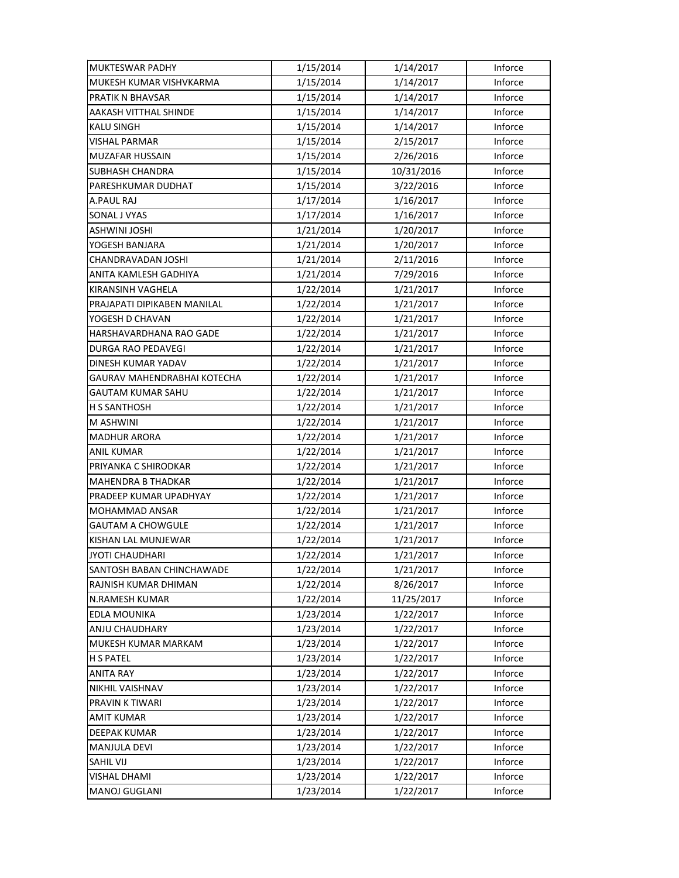| MUKTESWAR PADHY             | 1/15/2014 | 1/14/2017  | Inforce |
|-----------------------------|-----------|------------|---------|
| MUKESH KUMAR VISHVKARMA     | 1/15/2014 | 1/14/2017  | Inforce |
| <b>PRATIK N BHAVSAR</b>     | 1/15/2014 | 1/14/2017  | Inforce |
| AAKASH VITTHAL SHINDE       | 1/15/2014 | 1/14/2017  | Inforce |
| <b>KALU SINGH</b>           | 1/15/2014 | 1/14/2017  | Inforce |
| <b>VISHAL PARMAR</b>        | 1/15/2014 | 2/15/2017  | Inforce |
| <b>MUZAFAR HUSSAIN</b>      | 1/15/2014 | 2/26/2016  | Inforce |
| <b>SUBHASH CHANDRA</b>      | 1/15/2014 | 10/31/2016 | Inforce |
| PARESHKUMAR DUDHAT          | 1/15/2014 | 3/22/2016  | Inforce |
| A.PAUL RAJ                  | 1/17/2014 | 1/16/2017  | Inforce |
| SONAL J VYAS                | 1/17/2014 | 1/16/2017  | Inforce |
| <b>ASHWINI JOSHI</b>        | 1/21/2014 | 1/20/2017  | Inforce |
| YOGESH BANJARA              | 1/21/2014 | 1/20/2017  | Inforce |
| CHANDRAVADAN JOSHI          | 1/21/2014 | 2/11/2016  | Inforce |
| ANITA KAMLESH GADHIYA       | 1/21/2014 | 7/29/2016  | Inforce |
| KIRANSINH VAGHELA           | 1/22/2014 | 1/21/2017  | Inforce |
| PRAJAPATI DIPIKABEN MANILAL | 1/22/2014 | 1/21/2017  | Inforce |
| YOGESH D CHAVAN             | 1/22/2014 | 1/21/2017  | Inforce |
| HARSHAVARDHANA RAO GADE     | 1/22/2014 | 1/21/2017  | Inforce |
| DURGA RAO PEDAVEGI          | 1/22/2014 | 1/21/2017  | Inforce |
| DINESH KUMAR YADAV          | 1/22/2014 | 1/21/2017  | Inforce |
| GAURAV MAHENDRABHAI KOTECHA | 1/22/2014 | 1/21/2017  | Inforce |
| GAUTAM KUMAR SAHU           | 1/22/2014 | 1/21/2017  | Inforce |
| H S SANTHOSH                | 1/22/2014 | 1/21/2017  | Inforce |
| M ASHWINI                   | 1/22/2014 | 1/21/2017  | Inforce |
| <b>MADHUR ARORA</b>         | 1/22/2014 | 1/21/2017  | Inforce |
| <b>ANIL KUMAR</b>           | 1/22/2014 | 1/21/2017  | Inforce |
| PRIYANKA C SHIRODKAR        | 1/22/2014 | 1/21/2017  | Inforce |
| <b>MAHENDRA B THADKAR</b>   | 1/22/2014 | 1/21/2017  | Inforce |
| PRADEEP KUMAR UPADHYAY      | 1/22/2014 | 1/21/2017  | Inforce |
| MOHAMMAD ANSAR              | 1/22/2014 | 1/21/2017  | Inforce |
| <b>GAUTAM A CHOWGULE</b>    | 1/22/2014 | 1/21/2017  | Inforce |
| KISHAN LAL MUNJEWAR         | 1/22/2014 | 1/21/2017  | Inforce |
| JYOTI CHAUDHARI             | 1/22/2014 | 1/21/2017  | Inforce |
| SANTOSH BABAN CHINCHAWADE   | 1/22/2014 | 1/21/2017  | Inforce |
| RAJNISH KUMAR DHIMAN        | 1/22/2014 | 8/26/2017  | Inforce |
| <b>N.RAMESH KUMAR</b>       | 1/22/2014 | 11/25/2017 | Inforce |
| <b>EDLA MOUNIKA</b>         | 1/23/2014 | 1/22/2017  | Inforce |
| ANJU CHAUDHARY              | 1/23/2014 | 1/22/2017  | Inforce |
| MUKESH KUMAR MARKAM         | 1/23/2014 | 1/22/2017  | Inforce |
| H S PATEL                   | 1/23/2014 | 1/22/2017  | Inforce |
| <b>ANITA RAY</b>            | 1/23/2014 | 1/22/2017  | Inforce |
| NIKHIL VAISHNAV             | 1/23/2014 | 1/22/2017  | Inforce |
| PRAVIN K TIWARI             | 1/23/2014 | 1/22/2017  | Inforce |
| <b>AMIT KUMAR</b>           | 1/23/2014 | 1/22/2017  | Inforce |
| DEEPAK KUMAR                | 1/23/2014 | 1/22/2017  | Inforce |
| MANJULA DEVI                | 1/23/2014 | 1/22/2017  | Inforce |
| <b>SAHIL VIJ</b>            | 1/23/2014 | 1/22/2017  | Inforce |
| <b>VISHAL DHAMI</b>         | 1/23/2014 | 1/22/2017  | Inforce |
| MANOJ GUGLANI               | 1/23/2014 | 1/22/2017  | Inforce |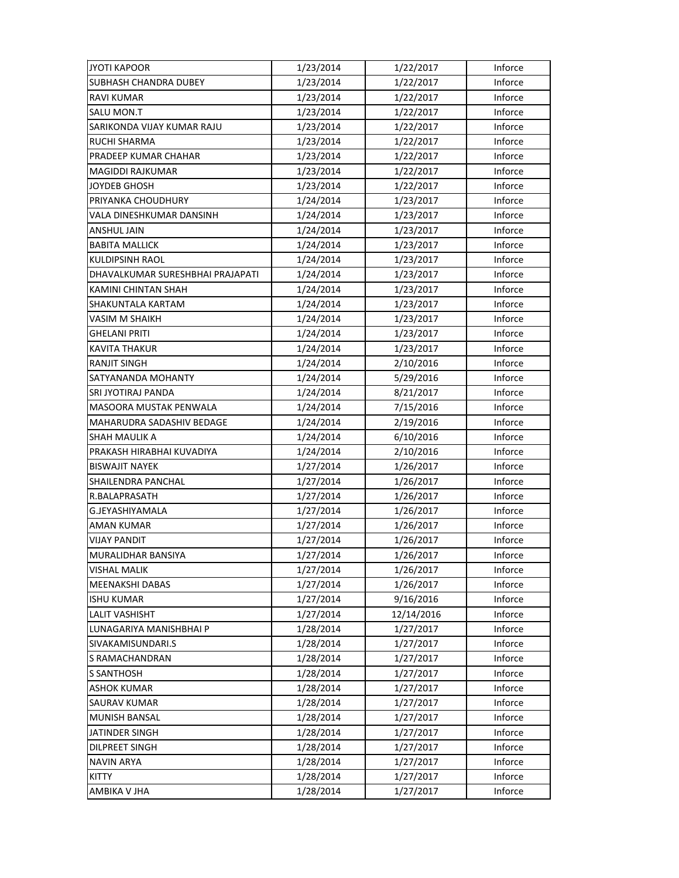| <b>JYOTI KAPOOR</b>              | 1/23/2014 | 1/22/2017  | Inforce |
|----------------------------------|-----------|------------|---------|
| SUBHASH CHANDRA DUBEY            | 1/23/2014 | 1/22/2017  | Inforce |
| <b>RAVI KUMAR</b>                | 1/23/2014 | 1/22/2017  | Inforce |
| <b>SALU MON.T</b>                | 1/23/2014 | 1/22/2017  | Inforce |
| SARIKONDA VIJAY KUMAR RAJU       | 1/23/2014 | 1/22/2017  | Inforce |
| <b>RUCHI SHARMA</b>              | 1/23/2014 | 1/22/2017  | Inforce |
| PRADEEP KUMAR CHAHAR             | 1/23/2014 | 1/22/2017  | Inforce |
| <b>MAGIDDI RAJKUMAR</b>          | 1/23/2014 | 1/22/2017  | Inforce |
| <b>JOYDEB GHOSH</b>              | 1/23/2014 | 1/22/2017  | Inforce |
| PRIYANKA CHOUDHURY               | 1/24/2014 | 1/23/2017  | Inforce |
| VALA DINESHKUMAR DANSINH         | 1/24/2014 | 1/23/2017  | Inforce |
| ANSHUL JAIN                      | 1/24/2014 | 1/23/2017  | Inforce |
| <b>BABITA MALLICK</b>            | 1/24/2014 | 1/23/2017  | Inforce |
| KULDIPSINH RAOL                  | 1/24/2014 | 1/23/2017  | Inforce |
| DHAVALKUMAR SURESHBHAI PRAJAPATI | 1/24/2014 | 1/23/2017  | Inforce |
| KAMINI CHINTAN SHAH              | 1/24/2014 | 1/23/2017  | Inforce |
| SHAKUNTALA KARTAM                | 1/24/2014 | 1/23/2017  | Inforce |
| VASIM M SHAIKH                   | 1/24/2014 | 1/23/2017  | Inforce |
| GHELANI PRITI                    | 1/24/2014 | 1/23/2017  | Inforce |
| <b>KAVITA THAKUR</b>             | 1/24/2014 | 1/23/2017  | Inforce |
| <b>RANJIT SINGH</b>              | 1/24/2014 | 2/10/2016  | Inforce |
| SATYANANDA MOHANTY               | 1/24/2014 | 5/29/2016  | Inforce |
| SRI JYOTIRAJ PANDA               | 1/24/2014 | 8/21/2017  | Inforce |
| MASOORA MUSTAK PENWALA           | 1/24/2014 | 7/15/2016  | Inforce |
| MAHARUDRA SADASHIV BEDAGE        | 1/24/2014 | 2/19/2016  | Inforce |
| <b>SHAH MAULIK A</b>             | 1/24/2014 | 6/10/2016  | Inforce |
| PRAKASH HIRABHAI KUVADIYA        | 1/24/2014 | 2/10/2016  | Inforce |
| <b>BISWAJIT NAYEK</b>            | 1/27/2014 | 1/26/2017  | Inforce |
| SHAILENDRA PANCHAL               | 1/27/2014 | 1/26/2017  | Inforce |
| R.BALAPRASATH                    | 1/27/2014 | 1/26/2017  | Inforce |
| G.JEYASHIYAMALA                  | 1/27/2014 | 1/26/2017  | Inforce |
| <b>AMAN KUMAR</b>                | 1/27/2014 | 1/26/2017  | Inforce |
| <b>VIJAY PANDIT</b>              | 1/27/2014 | 1/26/2017  | Inforce |
| MURALIDHAR BANSIYA               | 1/27/2014 | 1/26/2017  | Inforce |
| <b>VISHAL MALIK</b>              | 1/27/2014 | 1/26/2017  | Inforce |
| <b>MEENAKSHI DABAS</b>           | 1/27/2014 | 1/26/2017  | Inforce |
| <b>ISHU KUMAR</b>                | 1/27/2014 | 9/16/2016  | Inforce |
| <b>LALIT VASHISHT</b>            | 1/27/2014 | 12/14/2016 | Inforce |
| LUNAGARIYA MANISHBHAI P          | 1/28/2014 | 1/27/2017  | Inforce |
| SIVAKAMISUNDARI.S                | 1/28/2014 | 1/27/2017  | Inforce |
| S RAMACHANDRAN                   | 1/28/2014 | 1/27/2017  | Inforce |
| <b>S SANTHOSH</b>                | 1/28/2014 | 1/27/2017  | Inforce |
| <b>ASHOK KUMAR</b>               | 1/28/2014 | 1/27/2017  | Inforce |
| <b>SAURAV KUMAR</b>              | 1/28/2014 | 1/27/2017  | Inforce |
| <b>MUNISH BANSAL</b>             | 1/28/2014 | 1/27/2017  | Inforce |
| <b>JATINDER SINGH</b>            | 1/28/2014 | 1/27/2017  | Inforce |
| DILPREET SINGH                   | 1/28/2014 | 1/27/2017  | Inforce |
| <b>NAVIN ARYA</b>                | 1/28/2014 | 1/27/2017  | Inforce |
| <b>KITTY</b>                     | 1/28/2014 | 1/27/2017  | Inforce |
| AMBIKA V JHA                     | 1/28/2014 | 1/27/2017  | Inforce |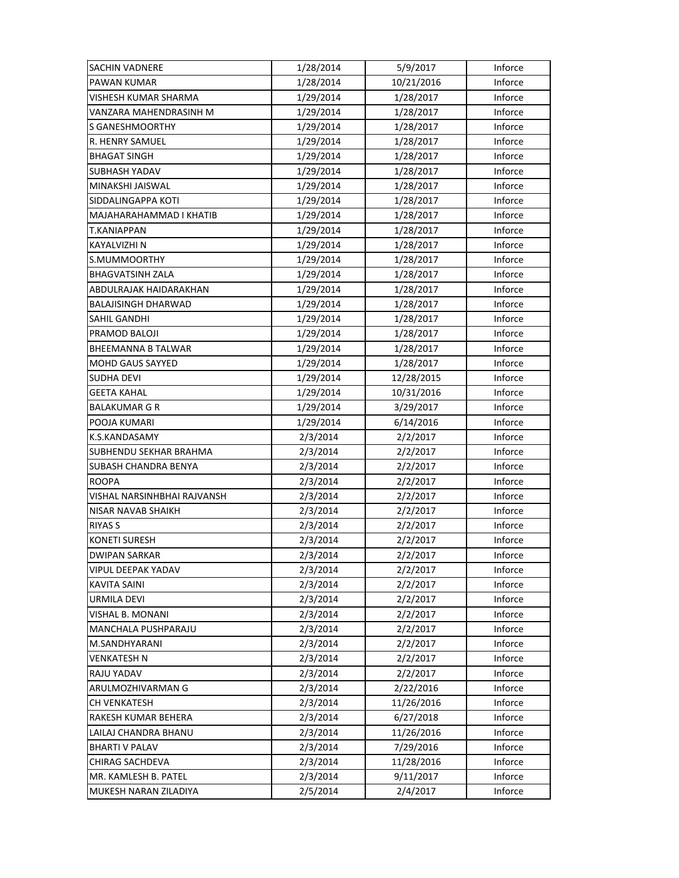| <b>SACHIN VADNERE</b>         | 1/28/2014 | 5/9/2017   | Inforce |
|-------------------------------|-----------|------------|---------|
| PAWAN KUMAR                   | 1/28/2014 | 10/21/2016 | Inforce |
| VISHESH KUMAR SHARMA          | 1/29/2014 | 1/28/2017  | Inforce |
| VANZARA MAHENDRASINH M        | 1/29/2014 | 1/28/2017  | Inforce |
| <b>S GANESHMOORTHY</b>        | 1/29/2014 | 1/28/2017  | Inforce |
| R. HENRY SAMUEL               | 1/29/2014 | 1/28/2017  | Inforce |
| <b>BHAGAT SINGH</b>           | 1/29/2014 | 1/28/2017  | Inforce |
| <b>SUBHASH YADAV</b>          | 1/29/2014 | 1/28/2017  | Inforce |
| MINAKSHI JAISWAL              | 1/29/2014 | 1/28/2017  | Inforce |
| SIDDALINGAPPA KOTI            | 1/29/2014 | 1/28/2017  | Inforce |
| MAJAHARAHAMMAD I KHATIB       | 1/29/2014 | 1/28/2017  | Inforce |
| T.KANIAPPAN                   | 1/29/2014 | 1/28/2017  | Inforce |
| KAYALVIZHI N                  | 1/29/2014 | 1/28/2017  | Inforce |
| S.MUMMOORTHY                  | 1/29/2014 | 1/28/2017  | Inforce |
| <b>BHAGVATSINH ZALA</b>       | 1/29/2014 | 1/28/2017  | Inforce |
| ABDULRAJAK HAIDARAKHAN        | 1/29/2014 | 1/28/2017  | Inforce |
| <b>BALAJISINGH DHARWAD</b>    | 1/29/2014 | 1/28/2017  | Inforce |
| SAHIL GANDHI                  | 1/29/2014 | 1/28/2017  | Inforce |
| PRAMOD BALOJI                 | 1/29/2014 | 1/28/2017  | Inforce |
| <b>BHEEMANNA B TALWAR</b>     | 1/29/2014 | 1/28/2017  | Inforce |
| <b>MOHD GAUS SAYYED</b>       | 1/29/2014 | 1/28/2017  | Inforce |
| <b>SUDHA DEVI</b>             | 1/29/2014 | 12/28/2015 | Inforce |
| GEETA KAHAL                   | 1/29/2014 | 10/31/2016 | Inforce |
| BALAKUMAR G R                 | 1/29/2014 | 3/29/2017  | Inforce |
| POOJA KUMARI                  | 1/29/2014 | 6/14/2016  | Inforce |
| K.S.KANDASAMY                 | 2/3/2014  | 2/2/2017   | Inforce |
| <b>SUBHENDU SEKHAR BRAHMA</b> | 2/3/2014  | 2/2/2017   | Inforce |
| SUBASH CHANDRA BENYA          | 2/3/2014  | 2/2/2017   | Inforce |
| <b>ROOPA</b>                  | 2/3/2014  | 2/2/2017   | Inforce |
| VISHAL NARSINHBHAI RAJVANSH   | 2/3/2014  | 2/2/2017   | Inforce |
| NISAR NAVAB SHAIKH            | 2/3/2014  | 2/2/2017   | Inforce |
| <b>RIYAS S</b>                | 2/3/2014  | 2/2/2017   | Inforce |
| <b>KONETI SURESH</b>          | 2/3/2014  | 2/2/2017   | Inforce |
| <b>DWIPAN SARKAR</b>          | 2/3/2014  | 2/2/2017   | Inforce |
| VIPUL DEEPAK YADAV            | 2/3/2014  | 2/2/2017   | Inforce |
| <b>KAVITA SAINI</b>           | 2/3/2014  | 2/2/2017   | Inforce |
| URMILA DEVI                   | 2/3/2014  | 2/2/2017   | Inforce |
| VISHAL B. MONANI              | 2/3/2014  | 2/2/2017   | Inforce |
| MANCHALA PUSHPARAJU           | 2/3/2014  | 2/2/2017   | Inforce |
| M.SANDHYARANI                 | 2/3/2014  | 2/2/2017   | Inforce |
| VENKATESH N                   | 2/3/2014  | 2/2/2017   | Inforce |
| RAJU YADAV                    | 2/3/2014  | 2/2/2017   | Inforce |
| ARULMOZHIVARMAN G             | 2/3/2014  | 2/22/2016  | Inforce |
| <b>CH VENKATESH</b>           | 2/3/2014  | 11/26/2016 | Inforce |
| RAKESH KUMAR BEHERA           | 2/3/2014  | 6/27/2018  | Inforce |
| LAILAJ CHANDRA BHANU          | 2/3/2014  | 11/26/2016 | Inforce |
| <b>BHARTI V PALAV</b>         | 2/3/2014  | 7/29/2016  | Inforce |
| CHIRAG SACHDEVA               | 2/3/2014  | 11/28/2016 | Inforce |
| MR. KAMLESH B. PATEL          | 2/3/2014  | 9/11/2017  | Inforce |
| MUKESH NARAN ZILADIYA         | 2/5/2014  | 2/4/2017   | Inforce |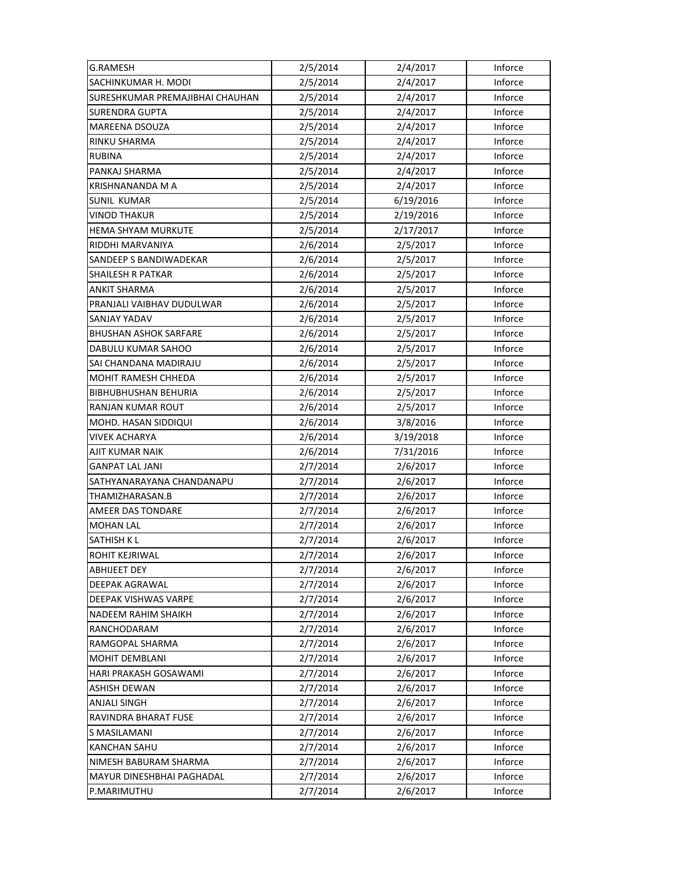| <b>G.RAMESH</b>                 | 2/5/2014 | 2/4/2017  | Inforce |
|---------------------------------|----------|-----------|---------|
| SACHINKUMAR H. MODI             | 2/5/2014 | 2/4/2017  | Inforce |
| SURESHKUMAR PREMAJIBHAI CHAUHAN | 2/5/2014 | 2/4/2017  | Inforce |
| SURENDRA GUPTA                  | 2/5/2014 | 2/4/2017  | Inforce |
| <b>MAREENA DSOUZA</b>           | 2/5/2014 | 2/4/2017  | Inforce |
| RINKU SHARMA                    | 2/5/2014 | 2/4/2017  | Inforce |
| <b>RUBINA</b>                   | 2/5/2014 | 2/4/2017  | Inforce |
| PANKAJ SHARMA                   | 2/5/2014 | 2/4/2017  | Inforce |
| KRISHNANANDA M A                | 2/5/2014 | 2/4/2017  | Inforce |
| <b>SUNIL KUMAR</b>              | 2/5/2014 | 6/19/2016 | Inforce |
| <b>VINOD THAKUR</b>             | 2/5/2014 | 2/19/2016 | Inforce |
| HEMA SHYAM MURKUTE              | 2/5/2014 | 2/17/2017 | Inforce |
| RIDDHI MARVANIYA                | 2/6/2014 | 2/5/2017  | Inforce |
| SANDEEP S BANDIWADEKAR          | 2/6/2014 | 2/5/2017  | Inforce |
| SHAILESH R PATKAR               | 2/6/2014 | 2/5/2017  | Inforce |
| <b>ANKIT SHARMA</b>             | 2/6/2014 | 2/5/2017  | Inforce |
| PRANJALI VAIBHAV DUDULWAR       | 2/6/2014 | 2/5/2017  | Inforce |
| SANJAY YADAV                    | 2/6/2014 | 2/5/2017  | Inforce |
| <b>BHUSHAN ASHOK SARFARE</b>    | 2/6/2014 | 2/5/2017  | Inforce |
| DABULU KUMAR SAHOO              | 2/6/2014 | 2/5/2017  | Inforce |
| SAI CHANDANA MADIRAJU           | 2/6/2014 | 2/5/2017  | Inforce |
| <b>MOHIT RAMESH CHHEDA</b>      | 2/6/2014 | 2/5/2017  | Inforce |
| <b>BIBHUBHUSHAN BEHURIA</b>     | 2/6/2014 | 2/5/2017  | Inforce |
| RANJAN KUMAR ROUT               | 2/6/2014 | 2/5/2017  | Inforce |
| MOHD. HASAN SIDDIQUI            | 2/6/2014 | 3/8/2016  | Inforce |
| <b>VIVEK ACHARYA</b>            | 2/6/2014 | 3/19/2018 | Inforce |
| AJIT KUMAR NAIK                 | 2/6/2014 | 7/31/2016 | Inforce |
| GANPAT LAL JANI                 | 2/7/2014 | 2/6/2017  | Inforce |
| SATHYANARAYANA CHANDANAPU       | 2/7/2014 | 2/6/2017  | Inforce |
| THAMIZHARASAN.B                 | 2/7/2014 | 2/6/2017  | Inforce |
| AMEER DAS TONDARE               | 2/7/2014 | 2/6/2017  | Inforce |
| <b>MOHAN LAL</b>                | 2/7/2014 | 2/6/2017  | Inforce |
| SATHISH K L                     | 2/7/2014 | 2/6/2017  | Inforce |
| ROHIT KEJRIWAL                  | 2/7/2014 | 2/6/2017  | Inforce |
| <b>ABHIJEET DEY</b>             | 2/7/2014 | 2/6/2017  | Inforce |
| <b>DEEPAK AGRAWAL</b>           | 2/7/2014 | 2/6/2017  | Inforce |
| DEEPAK VISHWAS VARPE            | 2/7/2014 | 2/6/2017  | Inforce |
| NADEEM RAHIM SHAIKH             | 2/7/2014 | 2/6/2017  | Inforce |
| RANCHODARAM                     | 2/7/2014 | 2/6/2017  | Inforce |
| RAMGOPAL SHARMA                 | 2/7/2014 | 2/6/2017  | Inforce |
| MOHIT DEMBLANI                  | 2/7/2014 | 2/6/2017  | Inforce |
| HARI PRAKASH GOSAWAMI           | 2/7/2014 | 2/6/2017  | Inforce |
| <b>ASHISH DEWAN</b>             | 2/7/2014 | 2/6/2017  | Inforce |
| <b>ANJALI SINGH</b>             | 2/7/2014 | 2/6/2017  | Inforce |
| RAVINDRA BHARAT FUSE            | 2/7/2014 | 2/6/2017  | Inforce |
| S MASILAMANI                    | 2/7/2014 | 2/6/2017  | Inforce |
| <b>KANCHAN SAHU</b>             | 2/7/2014 | 2/6/2017  | Inforce |
| NIMESH BABURAM SHARMA           | 2/7/2014 | 2/6/2017  | Inforce |
| MAYUR DINESHBHAI PAGHADAL       | 2/7/2014 | 2/6/2017  | Inforce |
| P.MARIMUTHU                     | 2/7/2014 | 2/6/2017  | Inforce |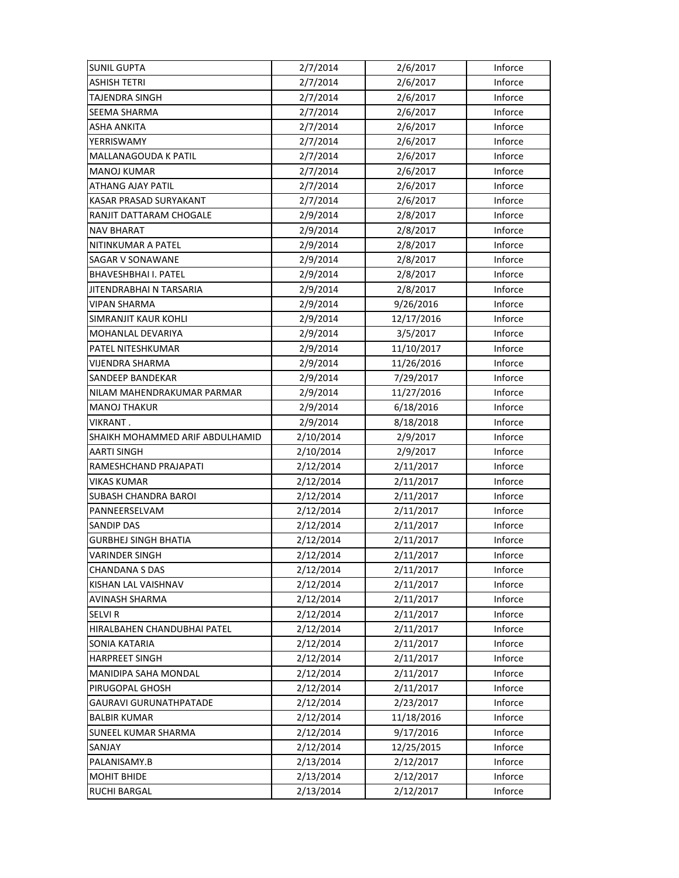| <b>SUNIL GUPTA</b>              | 2/7/2014  | 2/6/2017   | Inforce |
|---------------------------------|-----------|------------|---------|
| <b>ASHISH TETRI</b>             | 2/7/2014  | 2/6/2017   | Inforce |
| <b>TAJENDRA SINGH</b>           | 2/7/2014  | 2/6/2017   | Inforce |
| SEEMA SHARMA                    | 2/7/2014  | 2/6/2017   | Inforce |
| ASHA ANKITA                     | 2/7/2014  | 2/6/2017   | Inforce |
| YERRISWAMY                      | 2/7/2014  | 2/6/2017   | Inforce |
| MALLANAGOUDA K PATIL            | 2/7/2014  | 2/6/2017   | Inforce |
| <b>MANOJ KUMAR</b>              | 2/7/2014  | 2/6/2017   | Inforce |
| <b>ATHANG AJAY PATIL</b>        | 2/7/2014  | 2/6/2017   | Inforce |
| KASAR PRASAD SURYAKANT          | 2/7/2014  | 2/6/2017   | Inforce |
| RANJIT DATTARAM CHOGALE         | 2/9/2014  | 2/8/2017   | Inforce |
| <b>NAV BHARAT</b>               | 2/9/2014  | 2/8/2017   | Inforce |
| NITINKUMAR A PATEL              | 2/9/2014  | 2/8/2017   | Inforce |
| SAGAR V SONAWANE                | 2/9/2014  | 2/8/2017   | Inforce |
| <b>BHAVESHBHAI I. PATEL</b>     | 2/9/2014  | 2/8/2017   | Inforce |
| <b>JITENDRABHAI N TARSARIA</b>  | 2/9/2014  | 2/8/2017   | Inforce |
| <b>VIPAN SHARMA</b>             | 2/9/2014  | 9/26/2016  | Inforce |
| SIMRANJIT KAUR KOHLI            | 2/9/2014  | 12/17/2016 | Inforce |
| MOHANLAL DEVARIYA               | 2/9/2014  | 3/5/2017   | Inforce |
| PATEL NITESHKUMAR               | 2/9/2014  | 11/10/2017 | Inforce |
| VIJENDRA SHARMA                 | 2/9/2014  | 11/26/2016 | Inforce |
| SANDEEP BANDEKAR                | 2/9/2014  | 7/29/2017  | Inforce |
| NILAM MAHENDRAKUMAR PARMAR      | 2/9/2014  | 11/27/2016 | Inforce |
| <b>MANOJ THAKUR</b>             | 2/9/2014  | 6/18/2016  | Inforce |
| VIKRANT.                        | 2/9/2014  | 8/18/2018  | Inforce |
| SHAIKH MOHAMMED ARIF ABDULHAMID | 2/10/2014 | 2/9/2017   | Inforce |
| <b>AARTI SINGH</b>              | 2/10/2014 | 2/9/2017   | Inforce |
| RAMESHCHAND PRAJAPATI           | 2/12/2014 | 2/11/2017  | Inforce |
| VIKAS KUMAR                     | 2/12/2014 | 2/11/2017  | Inforce |
| <b>SUBASH CHANDRA BAROI</b>     | 2/12/2014 | 2/11/2017  | Inforce |
| PANNEERSELVAM                   | 2/12/2014 | 2/11/2017  | Inforce |
| <b>SANDIP DAS</b>               | 2/12/2014 | 2/11/2017  | Inforce |
| <b>GURBHEJ SINGH BHATIA</b>     | 2/12/2014 | 2/11/2017  | Inforce |
| <b>VARINDER SINGH</b>           | 2/12/2014 | 2/11/2017  | Inforce |
| <b>CHANDANA S DAS</b>           | 2/12/2014 | 2/11/2017  | Inforce |
| KISHAN LAL VAISHNAV             | 2/12/2014 | 2/11/2017  | Inforce |
| <b>AVINASH SHARMA</b>           | 2/12/2014 | 2/11/2017  | Inforce |
| <b>SELVIR</b>                   | 2/12/2014 | 2/11/2017  | Inforce |
| HIRALBAHEN CHANDUBHAI PATEL     | 2/12/2014 | 2/11/2017  | Inforce |
| <b>SONIA KATARIA</b>            | 2/12/2014 | 2/11/2017  | Inforce |
| <b>HARPREET SINGH</b>           | 2/12/2014 | 2/11/2017  | Inforce |
| MANIDIPA SAHA MONDAL            | 2/12/2014 | 2/11/2017  | Inforce |
| PIRUGOPAL GHOSH                 | 2/12/2014 | 2/11/2017  | Inforce |
| <b>GAURAVI GURUNATHPATADE</b>   | 2/12/2014 | 2/23/2017  | Inforce |
| <b>BALBIR KUMAR</b>             | 2/12/2014 | 11/18/2016 | Inforce |
| SUNEEL KUMAR SHARMA             | 2/12/2014 | 9/17/2016  | Inforce |
| SANJAY                          | 2/12/2014 | 12/25/2015 | Inforce |
| PALANISAMY.B                    | 2/13/2014 | 2/12/2017  | Inforce |
| <b>MOHIT BHIDE</b>              | 2/13/2014 | 2/12/2017  | Inforce |
| RUCHI BARGAL                    | 2/13/2014 | 2/12/2017  | Inforce |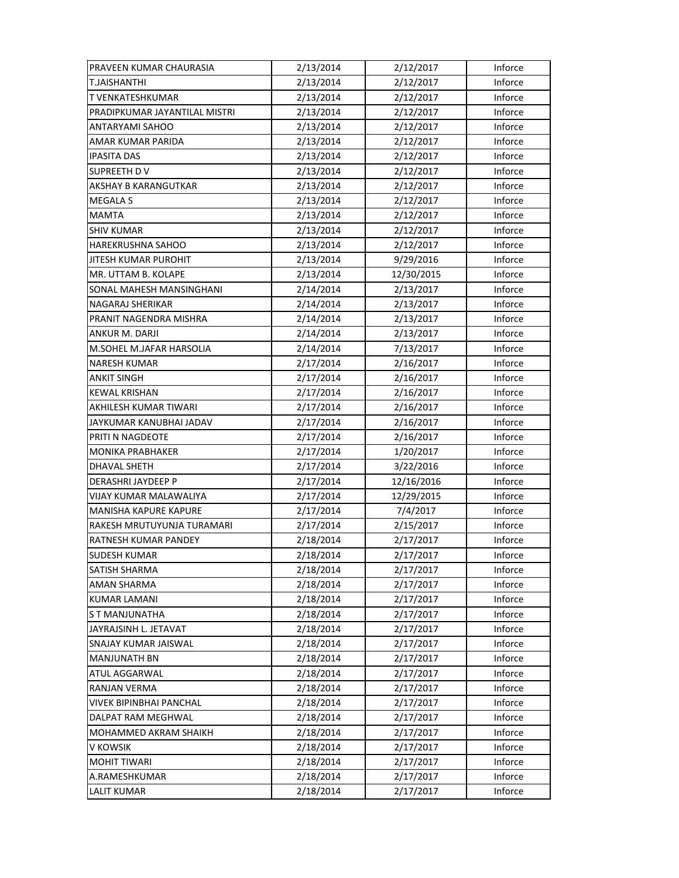| PRAVEEN KUMAR CHAURASIA       | 2/13/2014 | 2/12/2017  | Inforce |
|-------------------------------|-----------|------------|---------|
| <b>T.JAISHANTHI</b>           | 2/13/2014 | 2/12/2017  | Inforce |
| T VENKATESHKUMAR              | 2/13/2014 | 2/12/2017  | Inforce |
| PRADIPKUMAR JAYANTILAL MISTRI | 2/13/2014 | 2/12/2017  | Inforce |
| ANTARYAMI SAHOO               | 2/13/2014 | 2/12/2017  | Inforce |
| AMAR KUMAR PARIDA             | 2/13/2014 | 2/12/2017  | Inforce |
| <b>IPASITA DAS</b>            | 2/13/2014 | 2/12/2017  | Inforce |
| SUPREETH DV                   | 2/13/2014 | 2/12/2017  | Inforce |
| <b>AKSHAY B KARANGUTKAR</b>   | 2/13/2014 | 2/12/2017  | Inforce |
| MEGALA S                      | 2/13/2014 | 2/12/2017  | Inforce |
| <b>MAMTA</b>                  | 2/13/2014 | 2/12/2017  | Inforce |
| <b>SHIV KUMAR</b>             | 2/13/2014 | 2/12/2017  | Inforce |
| HAREKRUSHNA SAHOO             | 2/13/2014 | 2/12/2017  | Inforce |
| JITESH KUMAR PUROHIT          | 2/13/2014 | 9/29/2016  | Inforce |
| MR. UTTAM B. KOLAPE           | 2/13/2014 | 12/30/2015 | Inforce |
| SONAL MAHESH MANSINGHANI      | 2/14/2014 | 2/13/2017  | Inforce |
| NAGARAJ SHERIKAR              | 2/14/2014 | 2/13/2017  | Inforce |
| PRANIT NAGENDRA MISHRA        | 2/14/2014 | 2/13/2017  | Inforce |
| ANKUR M. DARJI                | 2/14/2014 | 2/13/2017  | Inforce |
| M.SOHEL M.JAFAR HARSOLIA      | 2/14/2014 | 7/13/2017  | Inforce |
| <b>NARESH KUMAR</b>           | 2/17/2014 | 2/16/2017  | Inforce |
| <b>ANKIT SINGH</b>            | 2/17/2014 | 2/16/2017  | Inforce |
| <b>KEWAL KRISHAN</b>          | 2/17/2014 | 2/16/2017  | Inforce |
| AKHILESH KUMAR TIWARI         | 2/17/2014 | 2/16/2017  | Inforce |
| JAYKUMAR KANUBHAI JADAV       | 2/17/2014 | 2/16/2017  | Inforce |
| PRITI N NAGDEOTE              | 2/17/2014 | 2/16/2017  | Inforce |
| <b>MONIKA PRABHAKER</b>       | 2/17/2014 | 1/20/2017  | Inforce |
| DHAVAL SHETH                  | 2/17/2014 | 3/22/2016  | Inforce |
| DERASHRI JAYDEEP P            | 2/17/2014 | 12/16/2016 | Inforce |
| VIJAY KUMAR MALAWALIYA        | 2/17/2014 | 12/29/2015 | Inforce |
| <b>MANISHA KAPURE KAPURE</b>  | 2/17/2014 | 7/4/2017   | Inforce |
| RAKESH MRUTUYUNJA TURAMARI    | 2/17/2014 | 2/15/2017  | Inforce |
| RATNESH KUMAR PANDEY          | 2/18/2014 | 2/17/2017  | Inforce |
| <b>SUDESH KUMAR</b>           | 2/18/2014 | 2/17/2017  | Inforce |
| SATISH SHARMA                 | 2/18/2014 | 2/17/2017  | Inforce |
| AMAN SHARMA                   | 2/18/2014 | 2/17/2017  | Inforce |
| <b>KUMAR LAMANI</b>           | 2/18/2014 | 2/17/2017  | Inforce |
| S T MANJUNATHA                | 2/18/2014 | 2/17/2017  | Inforce |
| JAYRAJSINH L. JETAVAT         | 2/18/2014 | 2/17/2017  | Inforce |
| SNAJAY KUMAR JAISWAL          | 2/18/2014 | 2/17/2017  | Inforce |
| <b>MANJUNATH BN</b>           | 2/18/2014 | 2/17/2017  | Inforce |
| ATUL AGGARWAL                 | 2/18/2014 | 2/17/2017  | Inforce |
| RANJAN VERMA                  | 2/18/2014 | 2/17/2017  | Inforce |
| VIVEK BIPINBHAI PANCHAL       | 2/18/2014 | 2/17/2017  | Inforce |
| DALPAT RAM MEGHWAL            | 2/18/2014 | 2/17/2017  | Inforce |
| MOHAMMED AKRAM SHAIKH         | 2/18/2014 | 2/17/2017  | Inforce |
| V KOWSIK                      | 2/18/2014 | 2/17/2017  | Inforce |
| <b>MOHIT TIWARI</b>           | 2/18/2014 | 2/17/2017  | Inforce |
| A.RAMESHKUMAR                 | 2/18/2014 | 2/17/2017  | Inforce |
| LALIT KUMAR                   | 2/18/2014 | 2/17/2017  | Inforce |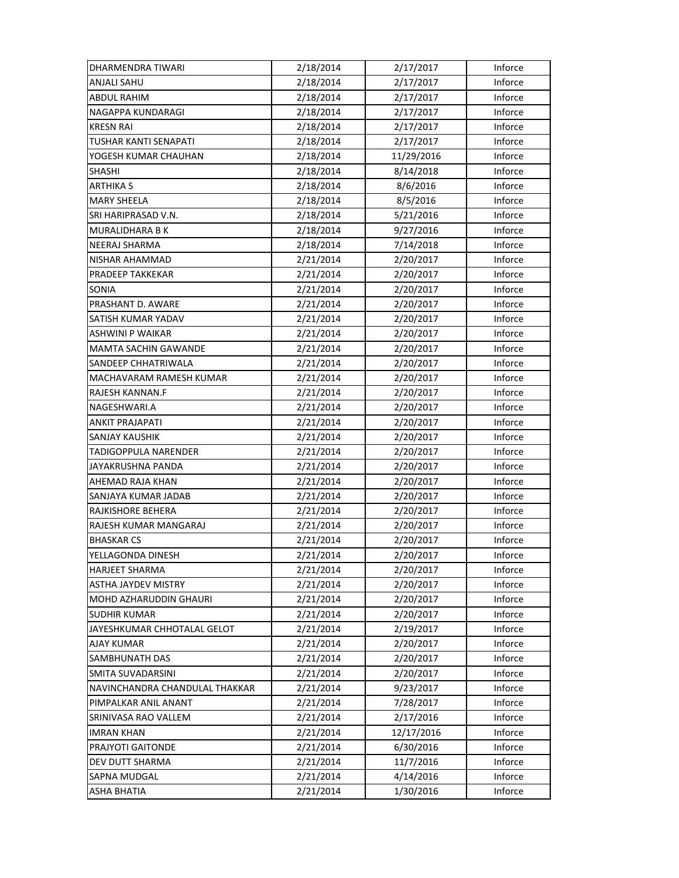| DHARMENDRA TIWARI              | 2/18/2014 | 2/17/2017  | Inforce |
|--------------------------------|-----------|------------|---------|
| <b>ANJALI SAHU</b>             | 2/18/2014 | 2/17/2017  | Inforce |
| ABDUL RAHIM                    | 2/18/2014 | 2/17/2017  | Inforce |
| NAGAPPA KUNDARAGI              | 2/18/2014 | 2/17/2017  | Inforce |
| <b>KRESN RAI</b>               | 2/18/2014 | 2/17/2017  | Inforce |
| TUSHAR KANTI SENAPATI          | 2/18/2014 | 2/17/2017  | Inforce |
| YOGESH KUMAR CHAUHAN           | 2/18/2014 | 11/29/2016 | Inforce |
| <b>SHASHI</b>                  | 2/18/2014 | 8/14/2018  | Inforce |
| ARTHIKA S                      | 2/18/2014 | 8/6/2016   | Inforce |
| <b>MARY SHEELA</b>             | 2/18/2014 | 8/5/2016   | Inforce |
| SRI HARIPRASAD V.N.            | 2/18/2014 | 5/21/2016  | Inforce |
| MURALIDHARA B K                | 2/18/2014 | 9/27/2016  | Inforce |
| NEERAJ SHARMA                  | 2/18/2014 | 7/14/2018  | Inforce |
| NISHAR AHAMMAD                 | 2/21/2014 | 2/20/2017  | Inforce |
| PRADEEP TAKKEKAR               | 2/21/2014 | 2/20/2017  | Inforce |
| SONIA                          | 2/21/2014 | 2/20/2017  | Inforce |
| PRASHANT D. AWARE              | 2/21/2014 | 2/20/2017  | Inforce |
| SATISH KUMAR YADAV             | 2/21/2014 | 2/20/2017  | Inforce |
| ASHWINI P WAIKAR               | 2/21/2014 | 2/20/2017  | Inforce |
| MAMTA SACHIN GAWANDE           | 2/21/2014 | 2/20/2017  | Inforce |
| SANDEEP CHHATRIWALA            | 2/21/2014 | 2/20/2017  | Inforce |
| MACHAVARAM RAMESH KUMAR        | 2/21/2014 | 2/20/2017  | Inforce |
| RAJESH KANNAN.F                | 2/21/2014 | 2/20/2017  | Inforce |
| NAGESHWARI.A                   | 2/21/2014 | 2/20/2017  | Inforce |
| <b>ANKIT PRAJAPATI</b>         | 2/21/2014 | 2/20/2017  | Inforce |
| SANJAY KAUSHIK                 | 2/21/2014 | 2/20/2017  | Inforce |
| TADIGOPPULA NARENDER           | 2/21/2014 | 2/20/2017  | Inforce |
| JAYAKRUSHNA PANDA              | 2/21/2014 | 2/20/2017  | Inforce |
| AHEMAD RAJA KHAN               | 2/21/2014 | 2/20/2017  | Inforce |
| SANJAYA KUMAR JADAB            | 2/21/2014 | 2/20/2017  | Inforce |
| RAJKISHORE BEHERA              | 2/21/2014 | 2/20/2017  | Inforce |
| RAJESH KUMAR MANGARAJ          | 2/21/2014 | 2/20/2017  | Inforce |
| <b>BHASKAR CS</b>              | 2/21/2014 | 2/20/2017  | Inforce |
| YELLAGONDA DINESH              | 2/21/2014 | 2/20/2017  | Inforce |
| <b>HARJEET SHARMA</b>          | 2/21/2014 | 2/20/2017  | Inforce |
| <b>ASTHA JAYDEV MISTRY</b>     | 2/21/2014 | 2/20/2017  | Inforce |
| MOHD AZHARUDDIN GHAURI         | 2/21/2014 | 2/20/2017  | Inforce |
| <b>SUDHIR KUMAR</b>            | 2/21/2014 | 2/20/2017  | Inforce |
| JAYESHKUMAR CHHOTALAL GELOT    | 2/21/2014 | 2/19/2017  | Inforce |
| <b>AJAY KUMAR</b>              | 2/21/2014 | 2/20/2017  | Inforce |
| SAMBHUNATH DAS                 | 2/21/2014 | 2/20/2017  | Inforce |
| SMITA SUVADARSINI              | 2/21/2014 | 2/20/2017  | Inforce |
| NAVINCHANDRA CHANDULAL THAKKAR | 2/21/2014 | 9/23/2017  | Inforce |
| PIMPALKAR ANIL ANANT           | 2/21/2014 | 7/28/2017  | Inforce |
| SRINIVASA RAO VALLEM           | 2/21/2014 | 2/17/2016  | Inforce |
| <b>IMRAN KHAN</b>              | 2/21/2014 | 12/17/2016 | Inforce |
| PRAJYOTI GAITONDE              | 2/21/2014 | 6/30/2016  | Inforce |
| DEV DUTT SHARMA                | 2/21/2014 | 11/7/2016  | Inforce |
| SAPNA MUDGAL                   | 2/21/2014 | 4/14/2016  | Inforce |
| ASHA BHATIA                    | 2/21/2014 | 1/30/2016  | Inforce |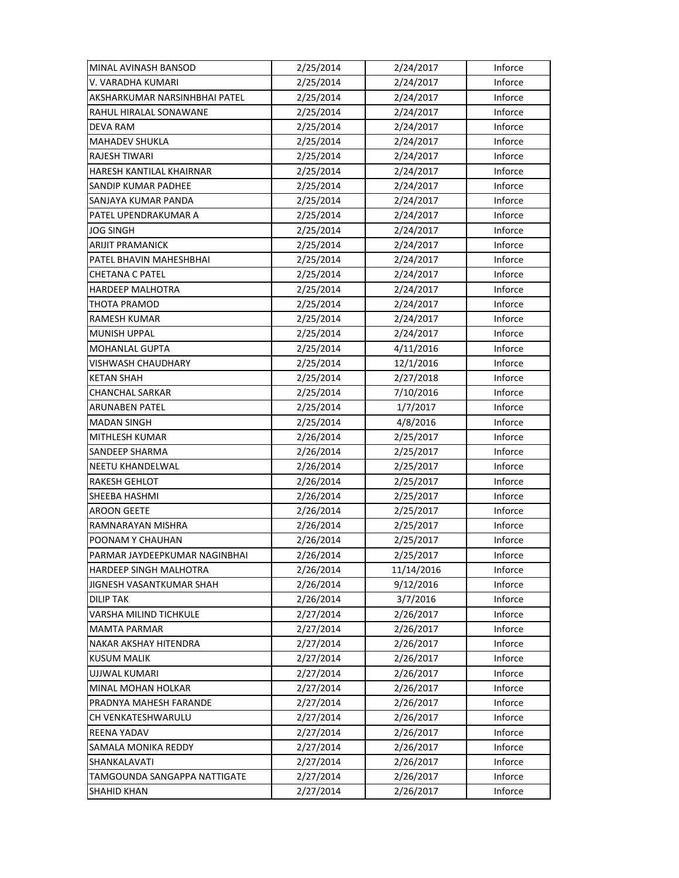| MINAL AVINASH BANSOD          | 2/25/2014 | 2/24/2017  | Inforce |
|-------------------------------|-----------|------------|---------|
| V. VARADHA KUMARI             | 2/25/2014 | 2/24/2017  | Inforce |
| AKSHARKUMAR NARSINHBHAI PATEL | 2/25/2014 | 2/24/2017  | Inforce |
| RAHUL HIRALAL SONAWANE        | 2/25/2014 | 2/24/2017  | Inforce |
| <b>DEVA RAM</b>               | 2/25/2014 | 2/24/2017  | Inforce |
| <b>MAHADEV SHUKLA</b>         | 2/25/2014 | 2/24/2017  | Inforce |
| RAJESH TIWARI                 | 2/25/2014 | 2/24/2017  | Inforce |
| HARESH KANTILAL KHAIRNAR      | 2/25/2014 | 2/24/2017  | Inforce |
| <b>SANDIP KUMAR PADHEE</b>    | 2/25/2014 | 2/24/2017  | Inforce |
| SANJAYA KUMAR PANDA           | 2/25/2014 | 2/24/2017  | Inforce |
| PATEL UPENDRAKUMAR A          | 2/25/2014 | 2/24/2017  | Inforce |
| JOG SINGH                     | 2/25/2014 | 2/24/2017  | Inforce |
| <b>ARIJIT PRAMANICK</b>       | 2/25/2014 | 2/24/2017  | Inforce |
| PATEL BHAVIN MAHESHBHAI       | 2/25/2014 | 2/24/2017  | Inforce |
| <b>CHETANA C PATEL</b>        | 2/25/2014 | 2/24/2017  | Inforce |
| HARDEEP MALHOTRA              | 2/25/2014 | 2/24/2017  | Inforce |
| THOTA PRAMOD                  | 2/25/2014 | 2/24/2017  | Inforce |
| <b>RAMESH KUMAR</b>           | 2/25/2014 | 2/24/2017  | Inforce |
| <b>MUNISH UPPAL</b>           | 2/25/2014 | 2/24/2017  | Inforce |
| MOHANLAL GUPTA                | 2/25/2014 | 4/11/2016  | Inforce |
| VISHWASH CHAUDHARY            | 2/25/2014 | 12/1/2016  | Inforce |
| <b>KETAN SHAH</b>             | 2/25/2014 | 2/27/2018  | Inforce |
| CHANCHAL SARKAR               | 2/25/2014 | 7/10/2016  | Inforce |
| ARUNABEN PATEL                | 2/25/2014 | 1/7/2017   | Inforce |
| <b>MADAN SINGH</b>            | 2/25/2014 | 4/8/2016   | Inforce |
| MITHLESH KUMAR                | 2/26/2014 | 2/25/2017  | Inforce |
| SANDEEP SHARMA                | 2/26/2014 | 2/25/2017  | Inforce |
| NEETU KHANDELWAL              | 2/26/2014 | 2/25/2017  | Inforce |
| <b>RAKESH GEHLOT</b>          | 2/26/2014 | 2/25/2017  | Inforce |
| SHEEBA HASHMI                 | 2/26/2014 | 2/25/2017  | Inforce |
| <b>AROON GEETE</b>            | 2/26/2014 | 2/25/2017  | Inforce |
| RAMNARAYAN MISHRA             | 2/26/2014 | 2/25/2017  | Inforce |
| POONAM Y CHAUHAN              | 2/26/2014 | 2/25/2017  | Inforce |
| PARMAR JAYDEEPKUMAR NAGINBHAI | 2/26/2014 | 2/25/2017  | Inforce |
| HARDEEP SINGH MALHOTRA        | 2/26/2014 | 11/14/2016 | Inforce |
| JIGNESH VASANTKUMAR SHAH      | 2/26/2014 | 9/12/2016  | Inforce |
| <b>DILIP TAK</b>              | 2/26/2014 | 3/7/2016   | Inforce |
| VARSHA MILIND TICHKULE        | 2/27/2014 | 2/26/2017  | Inforce |
| <b>MAMTA PARMAR</b>           | 2/27/2014 | 2/26/2017  | Inforce |
| NAKAR AKSHAY HITENDRA         | 2/27/2014 | 2/26/2017  | Inforce |
| <b>KUSUM MALIK</b>            | 2/27/2014 | 2/26/2017  | Inforce |
| UJJWAL KUMARI                 | 2/27/2014 | 2/26/2017  | Inforce |
| MINAL MOHAN HOLKAR            | 2/27/2014 | 2/26/2017  | Inforce |
| PRADNYA MAHESH FARANDE        | 2/27/2014 | 2/26/2017  | Inforce |
| CH VENKATESHWARULU            | 2/27/2014 | 2/26/2017  | Inforce |
| REENA YADAV                   | 2/27/2014 | 2/26/2017  | Inforce |
| SAMALA MONIKA REDDY           | 2/27/2014 | 2/26/2017  | Inforce |
| SHANKALAVATI                  | 2/27/2014 | 2/26/2017  | Inforce |
| TAMGOUNDA SANGAPPA NATTIGATE  | 2/27/2014 | 2/26/2017  | Inforce |
| <b>SHAHID KHAN</b>            | 2/27/2014 | 2/26/2017  | Inforce |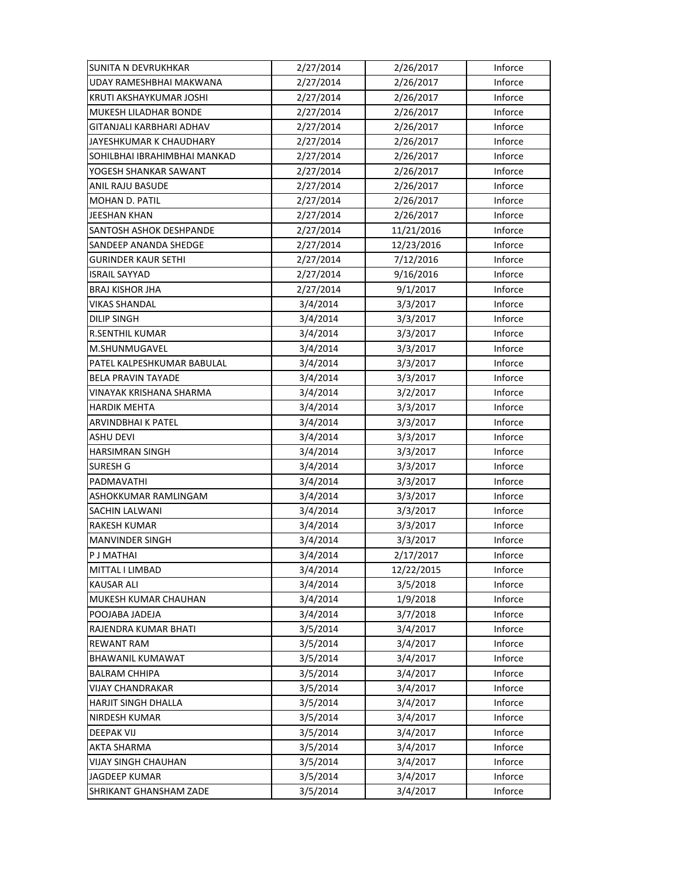| <b>SUNITA N DEVRUKHKAR</b>   | 2/27/2014 | 2/26/2017  | Inforce |
|------------------------------|-----------|------------|---------|
| UDAY RAMESHBHAI MAKWANA      | 2/27/2014 | 2/26/2017  | Inforce |
| KRUTI AKSHAYKUMAR JOSHI      | 2/27/2014 | 2/26/2017  | Inforce |
| MUKESH LILADHAR BONDE        | 2/27/2014 | 2/26/2017  | Inforce |
| GITANJALI KARBHARI ADHAV     | 2/27/2014 | 2/26/2017  | Inforce |
| JAYESHKUMAR K CHAUDHARY      | 2/27/2014 | 2/26/2017  | Inforce |
| SOHILBHAI IBRAHIMBHAI MANKAD | 2/27/2014 | 2/26/2017  | Inforce |
| YOGESH SHANKAR SAWANT        | 2/27/2014 | 2/26/2017  | Inforce |
| ANIL RAJU BASUDE             | 2/27/2014 | 2/26/2017  | Inforce |
| MOHAN D. PATIL               | 2/27/2014 | 2/26/2017  | Inforce |
| JEESHAN KHAN                 | 2/27/2014 | 2/26/2017  | Inforce |
| SANTOSH ASHOK DESHPANDE      | 2/27/2014 | 11/21/2016 | Inforce |
| SANDEEP ANANDA SHEDGE        | 2/27/2014 | 12/23/2016 | Inforce |
| <b>GURINDER KAUR SETHI</b>   | 2/27/2014 | 7/12/2016  | Inforce |
| <b>ISRAIL SAYYAD</b>         | 2/27/2014 | 9/16/2016  | Inforce |
| <b>BRAJ KISHOR JHA</b>       | 2/27/2014 | 9/1/2017   | Inforce |
| <b>VIKAS SHANDAL</b>         | 3/4/2014  | 3/3/2017   | Inforce |
| DILIP SINGH                  | 3/4/2014  | 3/3/2017   | Inforce |
| <b>R.SENTHIL KUMAR</b>       | 3/4/2014  | 3/3/2017   | Inforce |
| M.SHUNMUGAVEL                | 3/4/2014  | 3/3/2017   | Inforce |
| PATEL KALPESHKUMAR BABULAL   | 3/4/2014  | 3/3/2017   | Inforce |
| <b>BELA PRAVIN TAYADE</b>    | 3/4/2014  | 3/3/2017   | Inforce |
| VINAYAK KRISHANA SHARMA      | 3/4/2014  | 3/2/2017   | Inforce |
| <b>HARDIK MEHTA</b>          | 3/4/2014  | 3/3/2017   | Inforce |
| ARVINDBHAI K PATEL           | 3/4/2014  | 3/3/2017   | Inforce |
| <b>ASHU DEVI</b>             | 3/4/2014  | 3/3/2017   | Inforce |
| <b>HARSIMRAN SINGH</b>       | 3/4/2014  | 3/3/2017   | Inforce |
| SURESH G                     | 3/4/2014  | 3/3/2017   | Inforce |
| PADMAVATHI                   | 3/4/2014  | 3/3/2017   | Inforce |
| ASHOKKUMAR RAMLINGAM         | 3/4/2014  | 3/3/2017   | Inforce |
| SACHIN LALWANI               | 3/4/2014  | 3/3/2017   | Inforce |
| <b>RAKESH KUMAR</b>          | 3/4/2014  | 3/3/2017   | Inforce |
| <b>MANVINDER SINGH</b>       | 3/4/2014  | 3/3/2017   | Inforce |
| P J MATHAI                   | 3/4/2014  | 2/17/2017  | Inforce |
| MITTAL I LIMBAD              | 3/4/2014  | 12/22/2015 | Inforce |
| <b>KAUSAR ALI</b>            | 3/4/2014  | 3/5/2018   | Inforce |
| MUKESH KUMAR CHAUHAN         | 3/4/2014  | 1/9/2018   | Inforce |
| POOJABA JADEJA               | 3/4/2014  | 3/7/2018   | Inforce |
| RAJENDRA KUMAR BHATI         | 3/5/2014  | 3/4/2017   | Inforce |
| <b>REWANT RAM</b>            | 3/5/2014  | 3/4/2017   | Inforce |
| <b>BHAWANIL KUMAWAT</b>      | 3/5/2014  | 3/4/2017   | Inforce |
| <b>BALRAM CHHIPA</b>         | 3/5/2014  | 3/4/2017   | Inforce |
| VIJAY CHANDRAKAR             | 3/5/2014  | 3/4/2017   | Inforce |
| <b>HARJIT SINGH DHALLA</b>   | 3/5/2014  | 3/4/2017   | Inforce |
| <b>NIRDESH KUMAR</b>         | 3/5/2014  | 3/4/2017   | Inforce |
| <b>DEEPAK VIJ</b>            | 3/5/2014  | 3/4/2017   | Inforce |
| AKTA SHARMA                  | 3/5/2014  | 3/4/2017   | Inforce |
| <b>VIJAY SINGH CHAUHAN</b>   | 3/5/2014  | 3/4/2017   | Inforce |
| <b>JAGDEEP KUMAR</b>         | 3/5/2014  | 3/4/2017   | Inforce |
| SHRIKANT GHANSHAM ZADE       | 3/5/2014  | 3/4/2017   | Inforce |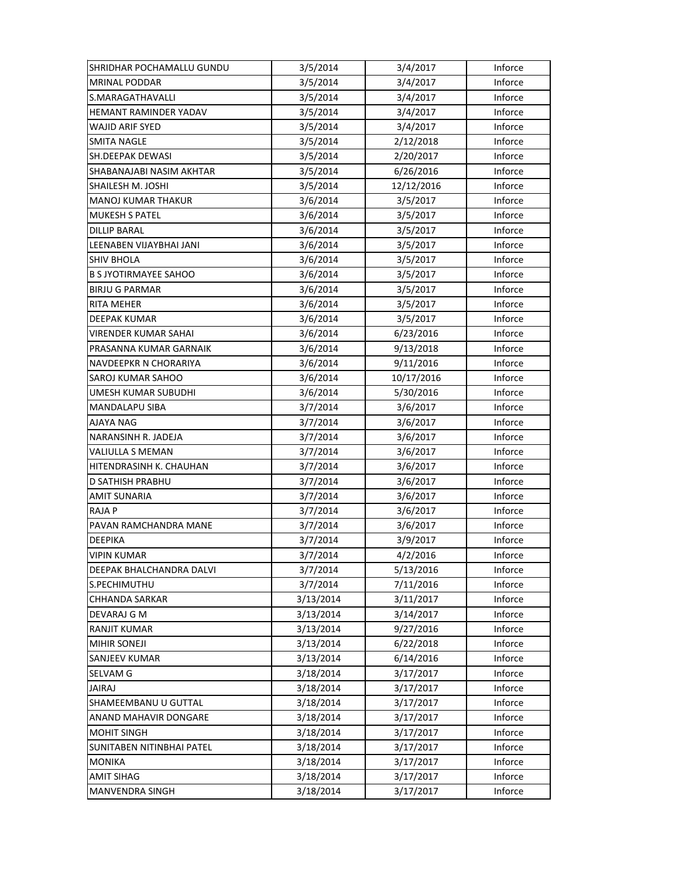| SHRIDHAR POCHAMALLU GUNDU    | 3/5/2014  | 3/4/2017   | Inforce |
|------------------------------|-----------|------------|---------|
| MRINAL PODDAR                | 3/5/2014  | 3/4/2017   | Inforce |
| S.MARAGATHAVALLI             | 3/5/2014  | 3/4/2017   | Inforce |
| HEMANT RAMINDER YADAV        | 3/5/2014  | 3/4/2017   | Inforce |
| WAJID ARIF SYED              | 3/5/2014  | 3/4/2017   | Inforce |
| <b>SMITA NAGLE</b>           | 3/5/2014  | 2/12/2018  | Inforce |
| <b>SH.DEEPAK DEWASI</b>      | 3/5/2014  | 2/20/2017  | Inforce |
| SHABANAJABI NASIM AKHTAR     | 3/5/2014  | 6/26/2016  | Inforce |
| SHAILESH M. JOSHI            | 3/5/2014  | 12/12/2016 | Inforce |
| <b>MANOJ KUMAR THAKUR</b>    | 3/6/2014  | 3/5/2017   | Inforce |
| <b>MUKESH S PATEL</b>        | 3/6/2014  | 3/5/2017   | Inforce |
| <b>DILLIP BARAL</b>          | 3/6/2014  | 3/5/2017   | Inforce |
| LEENABEN VIJAYBHAI JANI      | 3/6/2014  | 3/5/2017   | Inforce |
| SHIV BHOLA                   | 3/6/2014  | 3/5/2017   | Inforce |
| <b>B S JYOTIRMAYEE SAHOO</b> | 3/6/2014  | 3/5/2017   | Inforce |
| <b>BIRJU G PARMAR</b>        | 3/6/2014  | 3/5/2017   | Inforce |
| <b>RITA MEHER</b>            | 3/6/2014  | 3/5/2017   | Inforce |
| <b>DEEPAK KUMAR</b>          | 3/6/2014  | 3/5/2017   | Inforce |
| VIRENDER KUMAR SAHAI         | 3/6/2014  | 6/23/2016  | Inforce |
| PRASANNA KUMAR GARNAIK       | 3/6/2014  | 9/13/2018  | Inforce |
| NAVDEEPKR N CHORARIYA        | 3/6/2014  | 9/11/2016  | Inforce |
| SAROJ KUMAR SAHOO            | 3/6/2014  | 10/17/2016 | Inforce |
| UMESH KUMAR SUBUDHI          | 3/6/2014  | 5/30/2016  | Inforce |
| <b>MANDALAPU SIBA</b>        | 3/7/2014  | 3/6/2017   | Inforce |
| AJAYA NAG                    | 3/7/2014  | 3/6/2017   | Inforce |
| NARANSINH R. JADEJA          | 3/7/2014  | 3/6/2017   | Inforce |
| <b>VALIULLA S MEMAN</b>      | 3/7/2014  | 3/6/2017   | Inforce |
| HITENDRASINH K. CHAUHAN      | 3/7/2014  | 3/6/2017   | Inforce |
| D SATHISH PRABHU             | 3/7/2014  | 3/6/2017   | Inforce |
| <b>AMIT SUNARIA</b>          | 3/7/2014  | 3/6/2017   | Inforce |
| <b>RAJAP</b>                 | 3/7/2014  | 3/6/2017   | Inforce |
| PAVAN RAMCHANDRA MANE        | 3/7/2014  | 3/6/2017   | Inforce |
| <b>DEEPIKA</b>               | 3/7/2014  | 3/9/2017   | Inforce |
| <b>VIPIN KUMAR</b>           | 3/7/2014  | 4/2/2016   | Inforce |
| DEEPAK BHALCHANDRA DALVI     | 3/7/2014  | 5/13/2016  | Inforce |
| S.PECHIMUTHU                 | 3/7/2014  | 7/11/2016  | Inforce |
| CHHANDA SARKAR               | 3/13/2014 | 3/11/2017  | Inforce |
| DEVARAJ G M                  | 3/13/2014 | 3/14/2017  | Inforce |
| <b>RANJIT KUMAR</b>          | 3/13/2014 | 9/27/2016  | Inforce |
| <b>MIHIR SONEJI</b>          | 3/13/2014 | 6/22/2018  | Inforce |
| SANJEEV KUMAR                | 3/13/2014 | 6/14/2016  | Inforce |
| <b>SELVAM G</b>              | 3/18/2014 | 3/17/2017  | Inforce |
| <b>JAIRAJ</b>                | 3/18/2014 | 3/17/2017  | Inforce |
| SHAMEEMBANU U GUTTAL         | 3/18/2014 | 3/17/2017  | Inforce |
| ANAND MAHAVIR DONGARE        | 3/18/2014 | 3/17/2017  | Inforce |
| <b>MOHIT SINGH</b>           | 3/18/2014 | 3/17/2017  | Inforce |
| SUNITABEN NITINBHAI PATEL    | 3/18/2014 | 3/17/2017  | Inforce |
| <b>MONIKA</b>                | 3/18/2014 | 3/17/2017  | Inforce |
| <b>AMIT SIHAG</b>            | 3/18/2014 | 3/17/2017  | Inforce |
| MANVENDRA SINGH              | 3/18/2014 | 3/17/2017  | Inforce |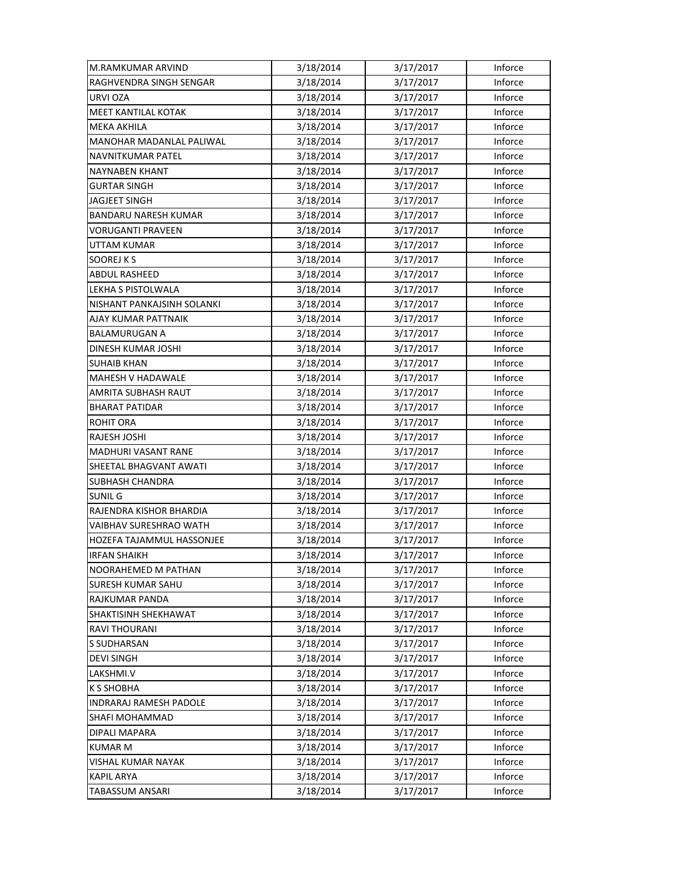| M.RAMKUMAR ARVIND               | 3/18/2014 | 3/17/2017 | Inforce |
|---------------------------------|-----------|-----------|---------|
| RAGHVENDRA SINGH SENGAR         | 3/18/2014 | 3/17/2017 | Inforce |
| URVI OZA                        | 3/18/2014 | 3/17/2017 | Inforce |
| <b>MEET KANTILAL KOTAK</b>      | 3/18/2014 | 3/17/2017 | Inforce |
| <b>MEKA AKHILA</b>              | 3/18/2014 | 3/17/2017 | Inforce |
| <b>MANOHAR MADANLAL PALIWAL</b> | 3/18/2014 | 3/17/2017 | Inforce |
| <b>NAVNITKUMAR PATEL</b>        | 3/18/2014 | 3/17/2017 | Inforce |
| <b>NAYNABEN KHANT</b>           | 3/18/2014 | 3/17/2017 | Inforce |
| <b>GURTAR SINGH</b>             | 3/18/2014 | 3/17/2017 | Inforce |
| <b>JAGJEET SINGH</b>            | 3/18/2014 | 3/17/2017 | Inforce |
| <b>BANDARU NARESH KUMAR</b>     | 3/18/2014 | 3/17/2017 | Inforce |
| VORUGANTI PRAVEEN               | 3/18/2014 | 3/17/2017 | Inforce |
| UTTAM KUMAR                     | 3/18/2014 | 3/17/2017 | Inforce |
| SOOREJ K S                      | 3/18/2014 | 3/17/2017 | Inforce |
| <b>ABDUL RASHEED</b>            | 3/18/2014 | 3/17/2017 | Inforce |
| LEKHA S PISTOLWALA              | 3/18/2014 | 3/17/2017 | Inforce |
| NISHANT PANKAJSINH SOLANKI      | 3/18/2014 | 3/17/2017 | Inforce |
| AJAY KUMAR PATTNAIK             | 3/18/2014 | 3/17/2017 | Inforce |
| BALAMURUGAN A                   | 3/18/2014 | 3/17/2017 | Inforce |
| DINESH KUMAR JOSHI              | 3/18/2014 | 3/17/2017 | Inforce |
| <b>SUHAIB KHAN</b>              | 3/18/2014 | 3/17/2017 | Inforce |
| MAHESH V HADAWALE               | 3/18/2014 | 3/17/2017 | Inforce |
| AMRITA SUBHASH RAUT             | 3/18/2014 | 3/17/2017 | Inforce |
| <b>BHARAT PATIDAR</b>           | 3/18/2014 | 3/17/2017 | Inforce |
| <b>ROHIT ORA</b>                | 3/18/2014 | 3/17/2017 | Inforce |
| <b>RAJESH JOSHI</b>             | 3/18/2014 | 3/17/2017 | Inforce |
| MADHURI VASANT RANE             | 3/18/2014 | 3/17/2017 | Inforce |
| SHEETAL BHAGVANT AWATI          | 3/18/2014 | 3/17/2017 | Inforce |
| <b>SUBHASH CHANDRA</b>          | 3/18/2014 | 3/17/2017 | Inforce |
| SUNIL G                         | 3/18/2014 | 3/17/2017 | Inforce |
| RAJENDRA KISHOR BHARDIA         | 3/18/2014 | 3/17/2017 | Inforce |
| <b>VAIBHAV SURESHRAO WATH</b>   | 3/18/2014 | 3/17/2017 | Inforce |
| HOZEFA TAJAMMUL HASSONJEE       | 3/18/2014 | 3/17/2017 | Inforce |
| <b>IRFAN SHAIKH</b>             | 3/18/2014 | 3/17/2017 | Inforce |
| NOORAHEMED M PATHAN             | 3/18/2014 | 3/17/2017 | Inforce |
| <b>SURESH KUMAR SAHU</b>        | 3/18/2014 | 3/17/2017 | Inforce |
| RAJKUMAR PANDA                  | 3/18/2014 | 3/17/2017 | Inforce |
| SHAKTISINH SHEKHAWAT            | 3/18/2014 | 3/17/2017 | Inforce |
| RAVI THOURANI                   | 3/18/2014 | 3/17/2017 | Inforce |
| S SUDHARSAN                     | 3/18/2014 | 3/17/2017 | Inforce |
| <b>DEVI SINGH</b>               | 3/18/2014 | 3/17/2017 | Inforce |
| LAKSHMI.V                       | 3/18/2014 | 3/17/2017 | Inforce |
| K S SHOBHA                      | 3/18/2014 | 3/17/2017 | Inforce |
| INDRARAJ RAMESH PADOLE          | 3/18/2014 | 3/17/2017 | Inforce |
| SHAFI MOHAMMAD                  | 3/18/2014 | 3/17/2017 | Inforce |
| DIPALI MAPARA                   | 3/18/2014 | 3/17/2017 | Inforce |
| <b>KUMAR M</b>                  | 3/18/2014 | 3/17/2017 | Inforce |
| VISHAL KUMAR NAYAK              | 3/18/2014 | 3/17/2017 | Inforce |
| <b>KAPIL ARYA</b>               | 3/18/2014 | 3/17/2017 | Inforce |
| TABASSUM ANSARI                 | 3/18/2014 | 3/17/2017 | Inforce |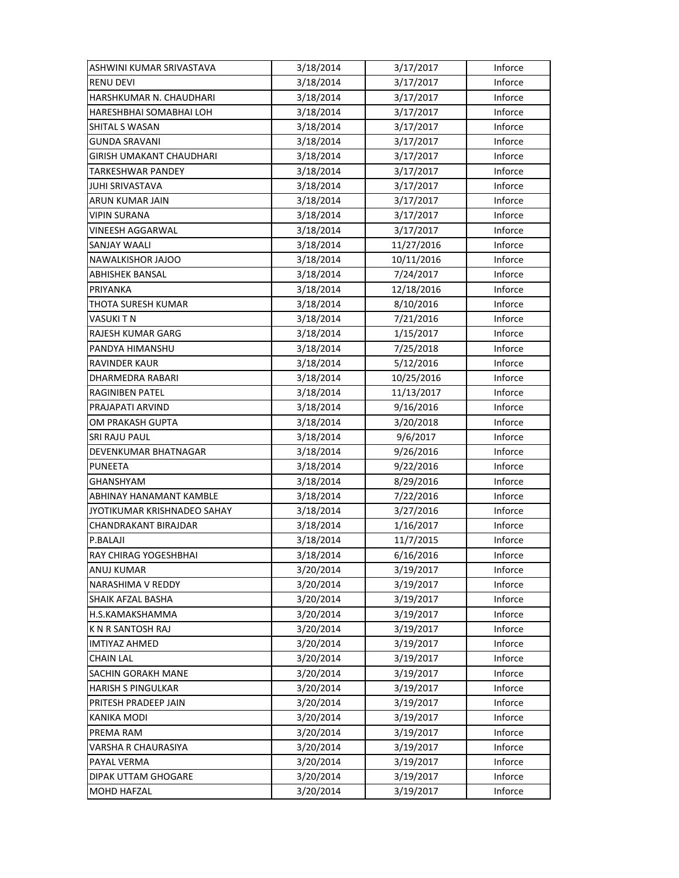| ASHWINI KUMAR SRIVASTAVA        | 3/18/2014 | 3/17/2017  | Inforce |
|---------------------------------|-----------|------------|---------|
| <b>RENU DEVI</b>                | 3/18/2014 | 3/17/2017  | Inforce |
| HARSHKUMAR N. CHAUDHARI         | 3/18/2014 | 3/17/2017  | Inforce |
| HARESHBHAI SOMABHAI LOH         | 3/18/2014 | 3/17/2017  | Inforce |
| SHITAL S WASAN                  | 3/18/2014 | 3/17/2017  | Inforce |
| GUNDA SRAVANI                   | 3/18/2014 | 3/17/2017  | Inforce |
| <b>GIRISH UMAKANT CHAUDHARI</b> | 3/18/2014 | 3/17/2017  | Inforce |
| <b>TARKESHWAR PANDEY</b>        | 3/18/2014 | 3/17/2017  | Inforce |
| <b>JUHI SRIVASTAVA</b>          | 3/18/2014 | 3/17/2017  | Inforce |
| ARUN KUMAR JAIN                 | 3/18/2014 | 3/17/2017  | Inforce |
| <b>VIPIN SURANA</b>             | 3/18/2014 | 3/17/2017  | Inforce |
| <b>VINEESH AGGARWAL</b>         | 3/18/2014 | 3/17/2017  | Inforce |
| SANJAY WAALI                    | 3/18/2014 | 11/27/2016 | Inforce |
| NAWALKISHOR JAJOO               | 3/18/2014 | 10/11/2016 | Inforce |
| <b>ABHISHEK BANSAL</b>          | 3/18/2014 | 7/24/2017  | Inforce |
| PRIYANKA                        | 3/18/2014 | 12/18/2016 | Inforce |
| THOTA SURESH KUMAR              | 3/18/2014 | 8/10/2016  | Inforce |
| VASUKI T N                      | 3/18/2014 | 7/21/2016  | Inforce |
| RAJESH KUMAR GARG               | 3/18/2014 | 1/15/2017  | Inforce |
| PANDYA HIMANSHU                 | 3/18/2014 | 7/25/2018  | Inforce |
| <b>RAVINDER KAUR</b>            | 3/18/2014 | 5/12/2016  | Inforce |
| DHARMEDRA RABARI                | 3/18/2014 | 10/25/2016 | Inforce |
| RAGINIBEN PATEL                 | 3/18/2014 | 11/13/2017 | Inforce |
| PRAJAPATI ARVIND                | 3/18/2014 | 9/16/2016  | Inforce |
| OM PRAKASH GUPTA                | 3/18/2014 | 3/20/2018  | Inforce |
| SRI RAJU PAUL                   | 3/18/2014 | 9/6/2017   | Inforce |
| DEVENKUMAR BHATNAGAR            | 3/18/2014 | 9/26/2016  | Inforce |
| <b>PUNEETA</b>                  | 3/18/2014 | 9/22/2016  | Inforce |
| <b>GHANSHYAM</b>                | 3/18/2014 | 8/29/2016  | Inforce |
| ABHINAY HANAMANT KAMBLE         | 3/18/2014 | 7/22/2016  | Inforce |
| JYOTIKUMAR KRISHNADEO SAHAY     | 3/18/2014 | 3/27/2016  | Inforce |
| CHANDRAKANT BIRAJDAR            | 3/18/2014 | 1/16/2017  | Inforce |
| P.BALAJI                        | 3/18/2014 | 11/7/2015  | Inforce |
| RAY CHIRAG YOGESHBHAI           | 3/18/2014 | 6/16/2016  | Inforce |
| ANUJ KUMAR                      | 3/20/2014 | 3/19/2017  | Inforce |
| NARASHIMA V REDDY               | 3/20/2014 | 3/19/2017  | Inforce |
| SHAIK AFZAL BASHA               | 3/20/2014 | 3/19/2017  | Inforce |
| H.S.KAMAKSHAMMA                 | 3/20/2014 | 3/19/2017  | Inforce |
| <b>KN R SANTOSH RAJ</b>         | 3/20/2014 | 3/19/2017  | Inforce |
| <b>IMTIYAZ AHMED</b>            | 3/20/2014 | 3/19/2017  | Inforce |
| <b>CHAIN LAL</b>                | 3/20/2014 | 3/19/2017  | Inforce |
| SACHIN GORAKH MANE              | 3/20/2014 | 3/19/2017  | Inforce |
| <b>HARISH S PINGULKAR</b>       | 3/20/2014 | 3/19/2017  | Inforce |
| PRITESH PRADEEP JAIN            | 3/20/2014 | 3/19/2017  | Inforce |
| <b>KANIKA MODI</b>              | 3/20/2014 | 3/19/2017  | Inforce |
| PREMA RAM                       | 3/20/2014 | 3/19/2017  | Inforce |
| VARSHA R CHAURASIYA             | 3/20/2014 | 3/19/2017  | Inforce |
| PAYAL VERMA                     | 3/20/2014 | 3/19/2017  | Inforce |
| DIPAK UTTAM GHOGARE             | 3/20/2014 | 3/19/2017  | Inforce |
| MOHD HAFZAL                     | 3/20/2014 | 3/19/2017  | Inforce |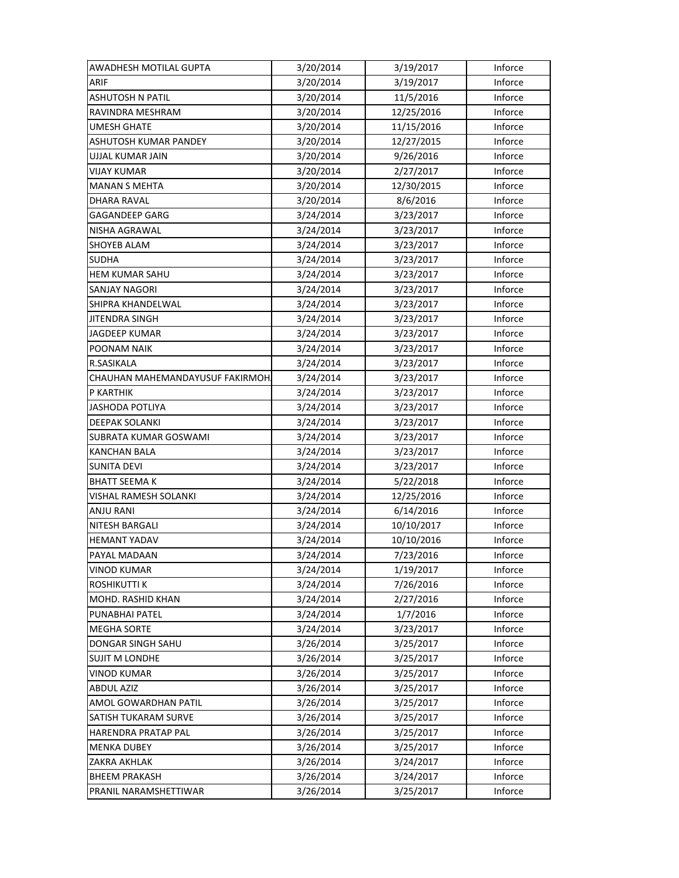| AWADHESH MOTILAL GUPTA           | 3/20/2014 | 3/19/2017  | Inforce |
|----------------------------------|-----------|------------|---------|
| ARIF                             | 3/20/2014 | 3/19/2017  | Inforce |
| <b>ASHUTOSH N PATIL</b>          | 3/20/2014 | 11/5/2016  | Inforce |
| RAVINDRA MESHRAM                 | 3/20/2014 | 12/25/2016 | Inforce |
| UMESH GHATE                      | 3/20/2014 | 11/15/2016 | Inforce |
| ASHUTOSH KUMAR PANDEY            | 3/20/2014 | 12/27/2015 | Inforce |
| UJJAL KUMAR JAIN                 | 3/20/2014 | 9/26/2016  | Inforce |
| <b>VIJAY KUMAR</b>               | 3/20/2014 | 2/27/2017  | Inforce |
| <b>MANAN S MEHTA</b>             | 3/20/2014 | 12/30/2015 | Inforce |
| DHARA RAVAL                      | 3/20/2014 | 8/6/2016   | Inforce |
| <b>GAGANDEEP GARG</b>            | 3/24/2014 | 3/23/2017  | Inforce |
| NISHA AGRAWAL                    | 3/24/2014 | 3/23/2017  | Inforce |
| SHOYEB ALAM                      | 3/24/2014 | 3/23/2017  | Inforce |
| <b>SUDHA</b>                     | 3/24/2014 | 3/23/2017  | Inforce |
| <b>HEM KUMAR SAHU</b>            | 3/24/2014 | 3/23/2017  | Inforce |
| <b>SANJAY NAGORI</b>             | 3/24/2014 | 3/23/2017  | Inforce |
| SHIPRA KHANDELWAL                | 3/24/2014 | 3/23/2017  | Inforce |
| <b>JITENDRA SINGH</b>            | 3/24/2014 | 3/23/2017  | Inforce |
| <b>JAGDEEP KUMAR</b>             | 3/24/2014 | 3/23/2017  | Inforce |
| POONAM NAIK                      | 3/24/2014 | 3/23/2017  | Inforce |
| R.SASIKALA                       | 3/24/2014 | 3/23/2017  | Inforce |
| CHAUHAN MAHEMANDAYUSUF FAKIRMOH. | 3/24/2014 | 3/23/2017  | Inforce |
| P KARTHIK                        | 3/24/2014 | 3/23/2017  | Inforce |
| <b>JASHODA POTLIYA</b>           | 3/24/2014 | 3/23/2017  | Inforce |
| <b>DEEPAK SOLANKI</b>            | 3/24/2014 | 3/23/2017  | Inforce |
| SUBRATA KUMAR GOSWAMI            | 3/24/2014 | 3/23/2017  | Inforce |
| <b>KANCHAN BALA</b>              | 3/24/2014 | 3/23/2017  | Inforce |
| <b>SUNITA DEVI</b>               | 3/24/2014 | 3/23/2017  | Inforce |
| <b>BHATT SEEMA K</b>             | 3/24/2014 | 5/22/2018  | Inforce |
| VISHAL RAMESH SOLANKI            | 3/24/2014 | 12/25/2016 | Inforce |
| <b>ANJU RANI</b>                 | 3/24/2014 | 6/14/2016  | Inforce |
| NITESH BARGALI                   | 3/24/2014 | 10/10/2017 | Inforce |
| <b>HEMANT YADAV</b>              | 3/24/2014 | 10/10/2016 | Inforce |
| PAYAL MADAAN                     | 3/24/2014 | 7/23/2016  | Inforce |
| <b>VINOD KUMAR</b>               | 3/24/2014 | 1/19/2017  | Inforce |
| ROSHIKUTTI K                     | 3/24/2014 | 7/26/2016  | Inforce |
| MOHD. RASHID KHAN                | 3/24/2014 | 2/27/2016  | Inforce |
| PUNABHAI PATEL                   | 3/24/2014 | 1/7/2016   | Inforce |
| <b>MEGHA SORTE</b>               | 3/24/2014 | 3/23/2017  | Inforce |
| DONGAR SINGH SAHU                | 3/26/2014 | 3/25/2017  | Inforce |
| <b>SUJIT M LONDHE</b>            | 3/26/2014 | 3/25/2017  | Inforce |
| <b>VINOD KUMAR</b>               | 3/26/2014 | 3/25/2017  | Inforce |
| <b>ABDUL AZIZ</b>                | 3/26/2014 | 3/25/2017  | Inforce |
| AMOL GOWARDHAN PATIL             | 3/26/2014 | 3/25/2017  | Inforce |
| SATISH TUKARAM SURVE             | 3/26/2014 | 3/25/2017  | Inforce |
| HARENDRA PRATAP PAL              | 3/26/2014 | 3/25/2017  | Inforce |
| <b>MENKA DUBEY</b>               | 3/26/2014 | 3/25/2017  | Inforce |
| ZAKRA AKHLAK                     | 3/26/2014 | 3/24/2017  | Inforce |
| <b>BHEEM PRAKASH</b>             | 3/26/2014 | 3/24/2017  | Inforce |
| PRANIL NARAMSHETTIWAR            | 3/26/2014 | 3/25/2017  | Inforce |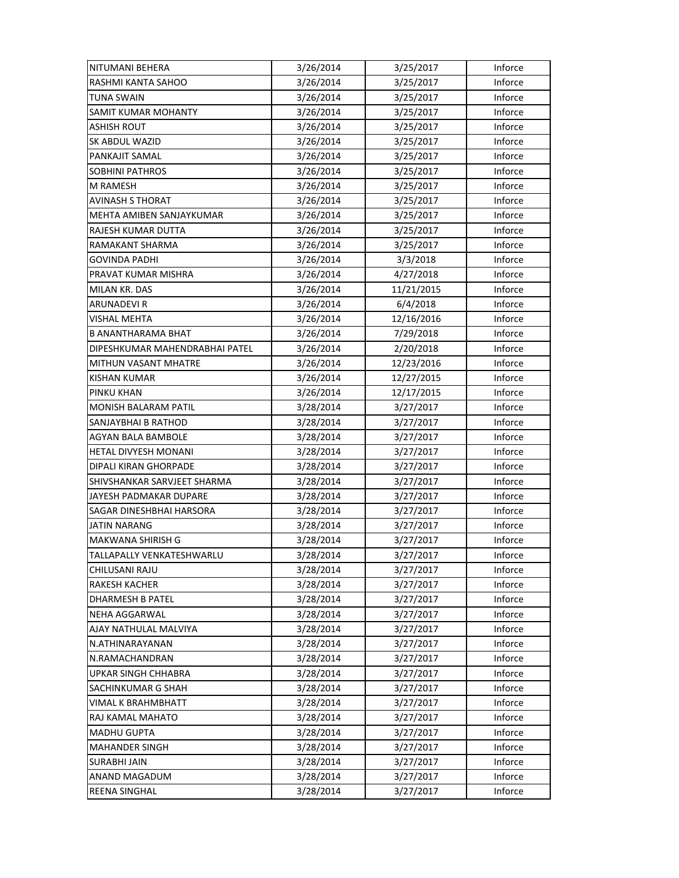| NITUMANI BEHERA                | 3/26/2014 | 3/25/2017  | Inforce |
|--------------------------------|-----------|------------|---------|
| RASHMI KANTA SAHOO             | 3/26/2014 | 3/25/2017  | Inforce |
| TUNA SWAIN                     | 3/26/2014 | 3/25/2017  | Inforce |
| SAMIT KUMAR MOHANTY            | 3/26/2014 | 3/25/2017  | Inforce |
| ASHISH ROUT                    | 3/26/2014 | 3/25/2017  | Inforce |
| SK ABDUL WAZID                 | 3/26/2014 | 3/25/2017  | Inforce |
| PANKAJIT SAMAL                 | 3/26/2014 | 3/25/2017  | Inforce |
| <b>SOBHINI PATHROS</b>         | 3/26/2014 | 3/25/2017  | Inforce |
| M RAMESH                       | 3/26/2014 | 3/25/2017  | Inforce |
| <b>AVINASH S THORAT</b>        | 3/26/2014 | 3/25/2017  | Inforce |
| MEHTA AMIBEN SANJAYKUMAR       | 3/26/2014 | 3/25/2017  | Inforce |
| RAJESH KUMAR DUTTA             | 3/26/2014 | 3/25/2017  | Inforce |
| RAMAKANT SHARMA                | 3/26/2014 | 3/25/2017  | Inforce |
| <b>GOVINDA PADHI</b>           | 3/26/2014 | 3/3/2018   | Inforce |
| PRAVAT KUMAR MISHRA            | 3/26/2014 | 4/27/2018  | Inforce |
| MILAN KR. DAS                  | 3/26/2014 | 11/21/2015 | Inforce |
| <b>ARUNADEVIR</b>              | 3/26/2014 | 6/4/2018   | Inforce |
| <b>VISHAL MEHTA</b>            | 3/26/2014 | 12/16/2016 | Inforce |
| B ANANTHARAMA BHAT             | 3/26/2014 | 7/29/2018  | Inforce |
| DIPESHKUMAR MAHENDRABHAI PATEL | 3/26/2014 | 2/20/2018  | Inforce |
| MITHUN VASANT MHATRE           | 3/26/2014 | 12/23/2016 | Inforce |
| <b>KISHAN KUMAR</b>            | 3/26/2014 | 12/27/2015 | Inforce |
| PINKU KHAN                     | 3/26/2014 | 12/17/2015 | Inforce |
| <b>MONISH BALARAM PATIL</b>    | 3/28/2014 | 3/27/2017  | Inforce |
| SANJAYBHAI B RATHOD            | 3/28/2014 | 3/27/2017  | Inforce |
| AGYAN BALA BAMBOLE             | 3/28/2014 | 3/27/2017  | Inforce |
| HETAL DIVYESH MONANI           | 3/28/2014 | 3/27/2017  | Inforce |
| DIPALI KIRAN GHORPADE          | 3/28/2014 | 3/27/2017  | Inforce |
| SHIVSHANKAR SARVJEET SHARMA    | 3/28/2014 | 3/27/2017  | Inforce |
| JAYESH PADMAKAR DUPARE         | 3/28/2014 | 3/27/2017  | Inforce |
| SAGAR DINESHBHAI HARSORA       | 3/28/2014 | 3/27/2017  | Inforce |
| <b>JATIN NARANG</b>            | 3/28/2014 | 3/27/2017  | Inforce |
| <b>MAKWANA SHIRISH G</b>       | 3/28/2014 | 3/27/2017  | Inforce |
| TALLAPALLY VENKATESHWARLU      | 3/28/2014 | 3/27/2017  | Inforce |
| CHILUSANI RAJU                 | 3/28/2014 | 3/27/2017  | Inforce |
| <b>RAKESH KACHER</b>           | 3/28/2014 | 3/27/2017  | Inforce |
| <b>DHARMESH B PATEL</b>        | 3/28/2014 | 3/27/2017  | Inforce |
| NEHA AGGARWAL                  | 3/28/2014 | 3/27/2017  | Inforce |
| AJAY NATHULAL MALVIYA          | 3/28/2014 | 3/27/2017  | Inforce |
| N.ATHINARAYANAN                | 3/28/2014 | 3/27/2017  | Inforce |
| N.RAMACHANDRAN                 | 3/28/2014 | 3/27/2017  | Inforce |
| <b>UPKAR SINGH CHHABRA</b>     | 3/28/2014 | 3/27/2017  | Inforce |
| SACHINKUMAR G SHAH             | 3/28/2014 | 3/27/2017  | Inforce |
| VIMAL K BRAHMBHATT             | 3/28/2014 | 3/27/2017  | Inforce |
| RAJ KAMAL MAHATO               | 3/28/2014 | 3/27/2017  | Inforce |
| <b>MADHU GUPTA</b>             | 3/28/2014 | 3/27/2017  | Inforce |
| <b>MAHANDER SINGH</b>          | 3/28/2014 | 3/27/2017  | Inforce |
| <b>SURABHI JAIN</b>            | 3/28/2014 | 3/27/2017  | Inforce |
| ANAND MAGADUM                  | 3/28/2014 | 3/27/2017  | Inforce |
| REENA SINGHAL                  | 3/28/2014 | 3/27/2017  | Inforce |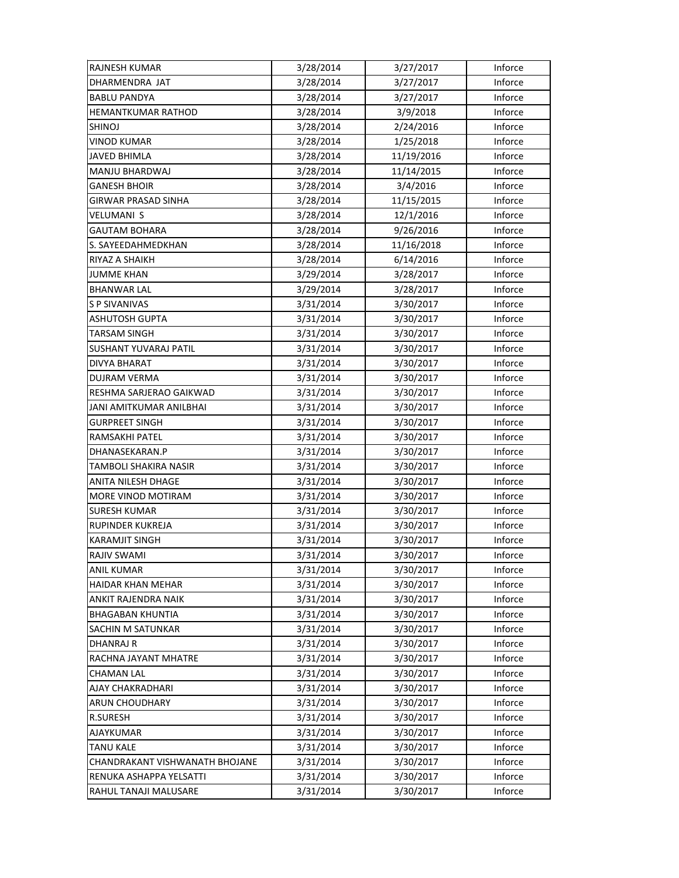| <b>RAJNESH KUMAR</b>           | 3/28/2014 | 3/27/2017  | Inforce |
|--------------------------------|-----------|------------|---------|
| DHARMENDRA JAT                 | 3/28/2014 | 3/27/2017  | Inforce |
| <b>BABLU PANDYA</b>            | 3/28/2014 | 3/27/2017  | Inforce |
| <b>HEMANTKUMAR RATHOD</b>      | 3/28/2014 | 3/9/2018   | Inforce |
| SHINOJ                         | 3/28/2014 | 2/24/2016  | Inforce |
| <b>VINOD KUMAR</b>             | 3/28/2014 | 1/25/2018  | Inforce |
| <b>JAVED BHIMLA</b>            | 3/28/2014 | 11/19/2016 | Inforce |
| <b>MANJU BHARDWAJ</b>          | 3/28/2014 | 11/14/2015 | Inforce |
| <b>GANESH BHOIR</b>            | 3/28/2014 | 3/4/2016   | Inforce |
| GIRWAR PRASAD SINHA            | 3/28/2014 | 11/15/2015 | Inforce |
| VELUMANI S                     | 3/28/2014 | 12/1/2016  | Inforce |
| <b>GAUTAM BOHARA</b>           | 3/28/2014 | 9/26/2016  | Inforce |
| S. SAYEEDAHMEDKHAN             | 3/28/2014 | 11/16/2018 | Inforce |
| RIYAZ A SHAIKH                 | 3/28/2014 | 6/14/2016  | Inforce |
| <b>JUMME KHAN</b>              | 3/29/2014 | 3/28/2017  | Inforce |
| <b>BHANWAR LAL</b>             | 3/29/2014 | 3/28/2017  | Inforce |
| <b>S P SIVANIVAS</b>           | 3/31/2014 | 3/30/2017  | Inforce |
| <b>ASHUTOSH GUPTA</b>          | 3/31/2014 | 3/30/2017  | Inforce |
| <b>TARSAM SINGH</b>            | 3/31/2014 | 3/30/2017  | Inforce |
| SUSHANT YUVARAJ PATIL          | 3/31/2014 | 3/30/2017  | Inforce |
| DIVYA BHARAT                   | 3/31/2014 | 3/30/2017  | Inforce |
| <b>DUJRAM VERMA</b>            | 3/31/2014 | 3/30/2017  | Inforce |
| RESHMA SARJERAO GAIKWAD        | 3/31/2014 | 3/30/2017  | Inforce |
| JANI AMITKUMAR ANILBHAI        | 3/31/2014 | 3/30/2017  | Inforce |
| <b>GURPREET SINGH</b>          | 3/31/2014 | 3/30/2017  | Inforce |
| RAMSAKHI PATEL                 | 3/31/2014 | 3/30/2017  | Inforce |
| DHANASEKARAN.P                 | 3/31/2014 | 3/30/2017  | Inforce |
| TAMBOLI SHAKIRA NASIR          | 3/31/2014 | 3/30/2017  | Inforce |
| ANITA NILESH DHAGE             | 3/31/2014 | 3/30/2017  | Inforce |
| MORE VINOD MOTIRAM             | 3/31/2014 | 3/30/2017  | Inforce |
| <b>SURESH KUMAR</b>            | 3/31/2014 | 3/30/2017  | Inforce |
| RUPINDER KUKREJA               | 3/31/2014 | 3/30/2017  | Inforce |
| <b>KARAMJIT SINGH</b>          | 3/31/2014 | 3/30/2017  | Inforce |
| RAJIV SWAMI                    | 3/31/2014 | 3/30/2017  | Inforce |
| ANIL KUMAR                     | 3/31/2014 | 3/30/2017  | Inforce |
| <b>HAIDAR KHAN MEHAR</b>       | 3/31/2014 | 3/30/2017  | Inforce |
| ANKIT RAJENDRA NAIK            | 3/31/2014 | 3/30/2017  | Inforce |
| <b>BHAGABAN KHUNTIA</b>        | 3/31/2014 | 3/30/2017  | Inforce |
| SACHIN M SATUNKAR              | 3/31/2014 | 3/30/2017  | Inforce |
| <b>DHANRAJ R</b>               | 3/31/2014 | 3/30/2017  | Inforce |
| RACHNA JAYANT MHATRE           | 3/31/2014 | 3/30/2017  | Inforce |
| CHAMAN LAL                     | 3/31/2014 | 3/30/2017  | Inforce |
| AJAY CHAKRADHARI               | 3/31/2014 | 3/30/2017  | Inforce |
| <b>ARUN CHOUDHARY</b>          | 3/31/2014 | 3/30/2017  | Inforce |
| <b>R.SURESH</b>                | 3/31/2014 | 3/30/2017  | Inforce |
| AJAYKUMAR                      | 3/31/2014 | 3/30/2017  | Inforce |
| <b>TANU KALE</b>               | 3/31/2014 | 3/30/2017  | Inforce |
| CHANDRAKANT VISHWANATH BHOJANE | 3/31/2014 | 3/30/2017  | Inforce |
| RENUKA ASHAPPA YELSATTI        | 3/31/2014 | 3/30/2017  | Inforce |
| RAHUL TANAJI MALUSARE          | 3/31/2014 | 3/30/2017  | Inforce |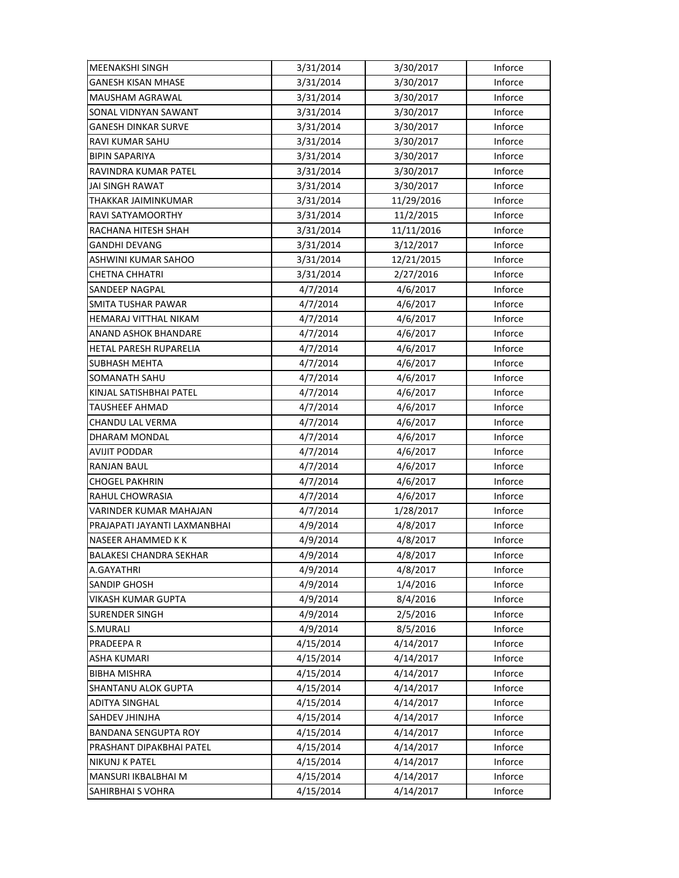| <b>MEENAKSHI SINGH</b>         | 3/31/2014 | 3/30/2017  | Inforce |
|--------------------------------|-----------|------------|---------|
| <b>GANESH KISAN MHASE</b>      | 3/31/2014 | 3/30/2017  | Inforce |
| MAUSHAM AGRAWAL                | 3/31/2014 | 3/30/2017  | Inforce |
| SONAL VIDNYAN SAWANT           | 3/31/2014 | 3/30/2017  | Inforce |
| <b>GANESH DINKAR SURVE</b>     | 3/31/2014 | 3/30/2017  | Inforce |
| <b>RAVI KUMAR SAHU</b>         | 3/31/2014 | 3/30/2017  | Inforce |
| <b>BIPIN SAPARIYA</b>          | 3/31/2014 | 3/30/2017  | Inforce |
| RAVINDRA KUMAR PATEL           | 3/31/2014 | 3/30/2017  | Inforce |
| JAI SINGH RAWAT                | 3/31/2014 | 3/30/2017  | Inforce |
| THAKKAR JAIMINKUMAR            | 3/31/2014 | 11/29/2016 | Inforce |
| RAVI SATYAMOORTHY              | 3/31/2014 | 11/2/2015  | Inforce |
| RACHANA HITESH SHAH            | 3/31/2014 | 11/11/2016 | Inforce |
| <b>GANDHI DEVANG</b>           | 3/31/2014 | 3/12/2017  | Inforce |
| ASHWINI KUMAR SAHOO            | 3/31/2014 | 12/21/2015 | Inforce |
| <b>CHETNA CHHATRI</b>          | 3/31/2014 | 2/27/2016  | Inforce |
| SANDEEP NAGPAL                 | 4/7/2014  | 4/6/2017   | Inforce |
| <b>SMITA TUSHAR PAWAR</b>      | 4/7/2014  | 4/6/2017   | Inforce |
| HEMARAJ VITTHAL NIKAM          | 4/7/2014  | 4/6/2017   | Inforce |
| ANAND ASHOK BHANDARE           | 4/7/2014  | 4/6/2017   | Inforce |
| HETAL PARESH RUPARELIA         | 4/7/2014  | 4/6/2017   | Inforce |
| SUBHASH MEHTA                  | 4/7/2014  | 4/6/2017   | Inforce |
| SOMANATH SAHU                  | 4/7/2014  | 4/6/2017   | Inforce |
| KINJAL SATISHBHAI PATEL        | 4/7/2014  | 4/6/2017   | Inforce |
| TAUSHEEF AHMAD                 | 4/7/2014  | 4/6/2017   | Inforce |
| CHANDU LAL VERMA               | 4/7/2014  | 4/6/2017   | Inforce |
| DHARAM MONDAL                  | 4/7/2014  | 4/6/2017   | Inforce |
| AVIJIT PODDAR                  | 4/7/2014  | 4/6/2017   | Inforce |
| RANJAN BAUL                    | 4/7/2014  | 4/6/2017   | Inforce |
| CHOGEL PAKHRIN                 | 4/7/2014  | 4/6/2017   | Inforce |
| RAHUL CHOWRASIA                | 4/7/2014  | 4/6/2017   | Inforce |
| VARINDER KUMAR MAHAJAN         | 4/7/2014  | 1/28/2017  | Inforce |
| PRAJAPATI JAYANTI LAXMANBHAI   | 4/9/2014  | 4/8/2017   | Inforce |
| NASEER AHAMMED KK              | 4/9/2014  | 4/8/2017   | Inforce |
| <b>BALAKESI CHANDRA SEKHAR</b> | 4/9/2014  | 4/8/2017   | Inforce |
| A.GAYATHRI                     | 4/9/2014  | 4/8/2017   | Inforce |
| <b>SANDIP GHOSH</b>            | 4/9/2014  | 1/4/2016   | Inforce |
| VIKASH KUMAR GUPTA             | 4/9/2014  | 8/4/2016   | Inforce |
| <b>SURENDER SINGH</b>          | 4/9/2014  | 2/5/2016   | Inforce |
| S.MURALI                       | 4/9/2014  | 8/5/2016   | Inforce |
| PRADEEPA R                     | 4/15/2014 | 4/14/2017  | Inforce |
| <b>ASHA KUMARI</b>             | 4/15/2014 | 4/14/2017  | Inforce |
| <b>BIBHA MISHRA</b>            | 4/15/2014 | 4/14/2017  | Inforce |
| SHANTANU ALOK GUPTA            | 4/15/2014 | 4/14/2017  | Inforce |
| <b>ADITYA SINGHAL</b>          | 4/15/2014 | 4/14/2017  | Inforce |
| SAHDEV JHINJHA                 | 4/15/2014 | 4/14/2017  | Inforce |
| <b>BANDANA SENGUPTA ROY</b>    | 4/15/2014 | 4/14/2017  | Inforce |
| PRASHANT DIPAKBHAI PATEL       | 4/15/2014 | 4/14/2017  | Inforce |
| <b>NIKUNJ K PATEL</b>          | 4/15/2014 | 4/14/2017  | Inforce |
| MANSURI IKBALBHAI M            | 4/15/2014 | 4/14/2017  | Inforce |
| SAHIRBHAI S VOHRA              | 4/15/2014 | 4/14/2017  | Inforce |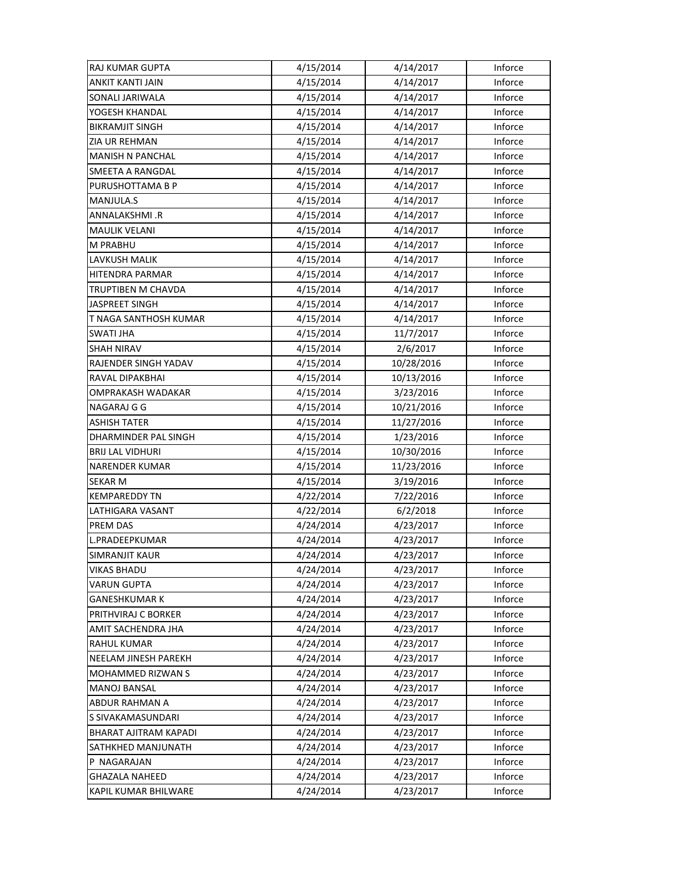| <b>RAJ KUMAR GUPTA</b>  | 4/15/2014 | 4/14/2017  | Inforce |
|-------------------------|-----------|------------|---------|
| ANKIT KANTI JAIN        | 4/15/2014 | 4/14/2017  | Inforce |
| SONALI JARIWALA         | 4/15/2014 | 4/14/2017  | Inforce |
| YOGESH KHANDAL          | 4/15/2014 | 4/14/2017  | Inforce |
| <b>BIKRAMJIT SINGH</b>  | 4/15/2014 | 4/14/2017  | Inforce |
| <b>ZIA UR REHMAN</b>    | 4/15/2014 | 4/14/2017  | Inforce |
| <b>MANISH N PANCHAL</b> | 4/15/2014 | 4/14/2017  | Inforce |
| SMEETA A RANGDAL        | 4/15/2014 | 4/14/2017  | Inforce |
| PURUSHOTTAMA B P        | 4/15/2014 | 4/14/2017  | Inforce |
| MANJULA.S               | 4/15/2014 | 4/14/2017  | Inforce |
| ANNALAKSHMI.R           | 4/15/2014 | 4/14/2017  | Inforce |
| <b>MAULIK VELANI</b>    | 4/15/2014 | 4/14/2017  | Inforce |
| <b>M PRABHU</b>         | 4/15/2014 | 4/14/2017  | Inforce |
| LAVKUSH MALIK           | 4/15/2014 | 4/14/2017  | Inforce |
| HITENDRA PARMAR         | 4/15/2014 | 4/14/2017  | Inforce |
| TRUPTIBEN M CHAVDA      | 4/15/2014 | 4/14/2017  | Inforce |
| <b>JASPREET SINGH</b>   | 4/15/2014 | 4/14/2017  | Inforce |
| T NAGA SANTHOSH KUMAR   | 4/15/2014 | 4/14/2017  | Inforce |
| <b>SWATI JHA</b>        | 4/15/2014 | 11/7/2017  | Inforce |
| <b>SHAH NIRAV</b>       | 4/15/2014 | 2/6/2017   | Inforce |
| RAJENDER SINGH YADAV    | 4/15/2014 | 10/28/2016 | Inforce |
| RAVAL DIPAKBHAI         | 4/15/2014 | 10/13/2016 | Inforce |
| OMPRAKASH WADAKAR       | 4/15/2014 | 3/23/2016  | Inforce |
| NAGARAJ G G             | 4/15/2014 | 10/21/2016 | Inforce |
| <b>ASHISH TATER</b>     | 4/15/2014 | 11/27/2016 | Inforce |
| DHARMINDER PAL SINGH    | 4/15/2014 | 1/23/2016  | Inforce |
| <b>BRIJ LAL VIDHURI</b> | 4/15/2014 | 10/30/2016 | Inforce |
| <b>NARENDER KUMAR</b>   | 4/15/2014 | 11/23/2016 | Inforce |
| <b>SEKAR M</b>          | 4/15/2014 | 3/19/2016  | Inforce |
| <b>KEMPAREDDY TN</b>    | 4/22/2014 | 7/22/2016  | Inforce |
| LATHIGARA VASANT        | 4/22/2014 | 6/2/2018   | Inforce |
| PREM DAS                | 4/24/2014 | 4/23/2017  | Inforce |
| L.PRADEEPKUMAR          | 4/24/2014 | 4/23/2017  | Inforce |
| SIMRANJIT KAUR          | 4/24/2014 | 4/23/2017  | Inforce |
| <b>VIKAS BHADU</b>      | 4/24/2014 | 4/23/2017  | Inforce |
| <b>VARUN GUPTA</b>      | 4/24/2014 | 4/23/2017  | Inforce |
| <b>GANESHKUMAR K</b>    | 4/24/2014 | 4/23/2017  | Inforce |
| PRITHVIRAJ C BORKER     | 4/24/2014 | 4/23/2017  | Inforce |
| AMIT SACHENDRA JHA      | 4/24/2014 | 4/23/2017  | Inforce |
| RAHUL KUMAR             | 4/24/2014 | 4/23/2017  | Inforce |
| NEELAM JINESH PAREKH    | 4/24/2014 | 4/23/2017  | Inforce |
| MOHAMMED RIZWAN S       | 4/24/2014 | 4/23/2017  | Inforce |
| <b>MANOJ BANSAL</b>     | 4/24/2014 | 4/23/2017  | Inforce |
| ABDUR RAHMAN A          | 4/24/2014 | 4/23/2017  | Inforce |
| S SIVAKAMASUNDARI       | 4/24/2014 | 4/23/2017  | Inforce |
| BHARAT AJITRAM KAPADI   | 4/24/2014 | 4/23/2017  | Inforce |
| SATHKHED MANJUNATH      | 4/24/2014 | 4/23/2017  | Inforce |
| P NAGARAJAN             | 4/24/2014 | 4/23/2017  | Inforce |
| <b>GHAZALA NAHEED</b>   | 4/24/2014 | 4/23/2017  | Inforce |
| KAPIL KUMAR BHILWARE    | 4/24/2014 | 4/23/2017  | Inforce |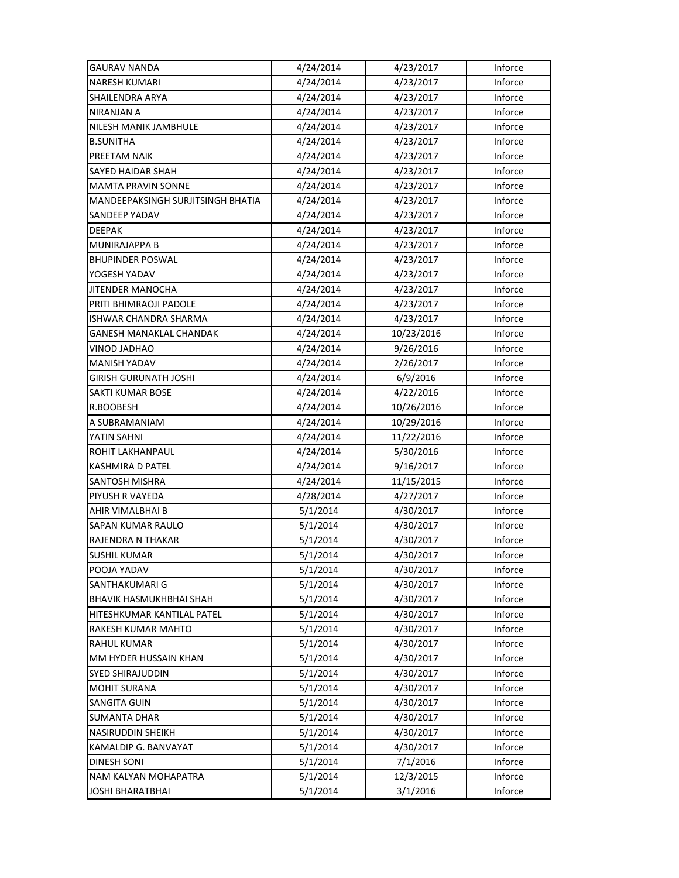| <b>GAURAV NANDA</b>               | 4/24/2014 | 4/23/2017  | Inforce |
|-----------------------------------|-----------|------------|---------|
| <b>NARESH KUMARI</b>              | 4/24/2014 | 4/23/2017  | Inforce |
| SHAILENDRA ARYA                   | 4/24/2014 | 4/23/2017  | Inforce |
| NIRANJAN A                        | 4/24/2014 | 4/23/2017  | Inforce |
| NILESH MANIK JAMBHULE             | 4/24/2014 | 4/23/2017  | Inforce |
| <b>B.SUNITHA</b>                  | 4/24/2014 | 4/23/2017  | Inforce |
| PREETAM NAIK                      | 4/24/2014 | 4/23/2017  | Inforce |
| <b>SAYED HAIDAR SHAH</b>          | 4/24/2014 | 4/23/2017  | Inforce |
| <b>MAMTA PRAVIN SONNE</b>         | 4/24/2014 | 4/23/2017  | Inforce |
| MANDEEPAKSINGH SURJITSINGH BHATIA | 4/24/2014 | 4/23/2017  | Inforce |
| SANDEEP YADAV                     | 4/24/2014 | 4/23/2017  | Inforce |
| DEEPAK                            | 4/24/2014 | 4/23/2017  | Inforce |
| MUNIRAJAPPA B                     | 4/24/2014 | 4/23/2017  | Inforce |
| <b>BHUPINDER POSWAL</b>           | 4/24/2014 | 4/23/2017  | Inforce |
| YOGESH YADAV                      | 4/24/2014 | 4/23/2017  | Inforce |
| <b>JITENDER MANOCHA</b>           | 4/24/2014 | 4/23/2017  | Inforce |
| PRITI BHIMRAOJI PADOLE            | 4/24/2014 | 4/23/2017  | Inforce |
| ISHWAR CHANDRA SHARMA             | 4/24/2014 | 4/23/2017  | Inforce |
| GANESH MANAKLAL CHANDAK           | 4/24/2014 | 10/23/2016 | Inforce |
| VINOD JADHAO                      | 4/24/2014 | 9/26/2016  | Inforce |
| <b>MANISH YADAV</b>               | 4/24/2014 | 2/26/2017  | Inforce |
| <b>GIRISH GURUNATH JOSHI</b>      | 4/24/2014 | 6/9/2016   | Inforce |
| SAKTI KUMAR BOSE                  | 4/24/2014 | 4/22/2016  | Inforce |
| R.BOOBESH                         | 4/24/2014 | 10/26/2016 | Inforce |
| A SUBRAMANIAM                     | 4/24/2014 | 10/29/2016 | Inforce |
| YATIN SAHNI                       | 4/24/2014 | 11/22/2016 | Inforce |
| ROHIT LAKHANPAUL                  | 4/24/2014 | 5/30/2016  | Inforce |
| KASHMIRA D PATEL                  | 4/24/2014 | 9/16/2017  | Inforce |
| SANTOSH MISHRA                    | 4/24/2014 | 11/15/2015 | Inforce |
| PIYUSH R VAYEDA                   | 4/28/2014 | 4/27/2017  | Inforce |
| AHIR VIMALBHAI B                  | 5/1/2014  | 4/30/2017  | Inforce |
| SAPAN KUMAR RAULO                 | 5/1/2014  | 4/30/2017  | Inforce |
| RAJENDRA N THAKAR                 | 5/1/2014  | 4/30/2017  | Inforce |
| <b>SUSHIL KUMAR</b>               | 5/1/2014  | 4/30/2017  | Inforce |
| POOJA YADAV                       | 5/1/2014  | 4/30/2017  | Inforce |
| <b>SANTHAKUMARI G</b>             | 5/1/2014  | 4/30/2017  | Inforce |
| <b>BHAVIK HASMUKHBHAI SHAH</b>    | 5/1/2014  | 4/30/2017  | Inforce |
| HITESHKUMAR KANTILAL PATEL        | 5/1/2014  | 4/30/2017  | Inforce |
| RAKESH KUMAR MAHTO                | 5/1/2014  | 4/30/2017  | Inforce |
| <b>RAHUL KUMAR</b>                | 5/1/2014  | 4/30/2017  | Inforce |
| MM HYDER HUSSAIN KHAN             | 5/1/2014  | 4/30/2017  | Inforce |
| SYED SHIRAJUDDIN                  | 5/1/2014  | 4/30/2017  | Inforce |
| <b>MOHIT SURANA</b>               | 5/1/2014  | 4/30/2017  | Inforce |
| SANGITA GUIN                      | 5/1/2014  | 4/30/2017  | Inforce |
| <b>SUMANTA DHAR</b>               | 5/1/2014  | 4/30/2017  | Inforce |
| <b>NASIRUDDIN SHEIKH</b>          | 5/1/2014  | 4/30/2017  | Inforce |
| KAMALDIP G. BANVAYAT              | 5/1/2014  | 4/30/2017  | Inforce |
| <b>DINESH SONI</b>                | 5/1/2014  | 7/1/2016   | Inforce |
| <b>NAM KALYAN MOHAPATRA</b>       | 5/1/2014  | 12/3/2015  | Inforce |
| <b>JOSHI BHARATBHAI</b>           | 5/1/2014  | 3/1/2016   | Inforce |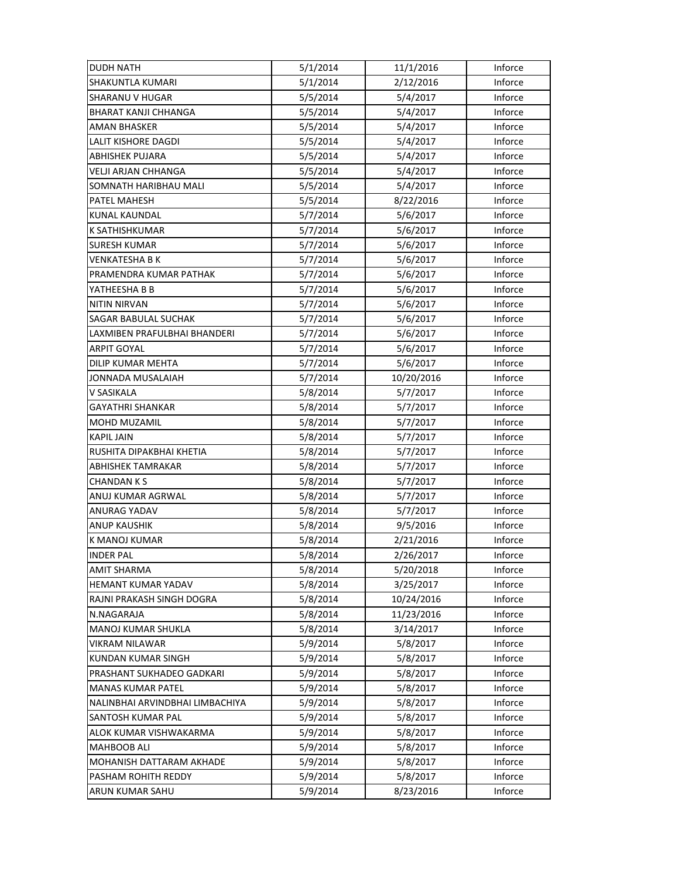| <b>DUDH NATH</b>                | 5/1/2014 | 11/1/2016  | Inforce |
|---------------------------------|----------|------------|---------|
| <b>SHAKUNTLA KUMARI</b>         | 5/1/2014 | 2/12/2016  | Inforce |
| SHARANU V HUGAR                 | 5/5/2014 | 5/4/2017   | Inforce |
| BHARAT KANJI CHHANGA            | 5/5/2014 | 5/4/2017   | Inforce |
| AMAN BHASKER                    | 5/5/2014 | 5/4/2017   | Inforce |
| <b>LALIT KISHORE DAGDI</b>      | 5/5/2014 | 5/4/2017   | Inforce |
| <b>ABHISHEK PUJARA</b>          | 5/5/2014 | 5/4/2017   | Inforce |
| <b>VELJI ARJAN CHHANGA</b>      | 5/5/2014 | 5/4/2017   | Inforce |
| SOMNATH HARIBHAU MALI           | 5/5/2014 | 5/4/2017   | Inforce |
| PATEL MAHESH                    | 5/5/2014 | 8/22/2016  | Inforce |
| <b>KUNAL KAUNDAL</b>            | 5/7/2014 | 5/6/2017   | Inforce |
| K SATHISHKUMAR                  | 5/7/2014 | 5/6/2017   | Inforce |
| <b>SURESH KUMAR</b>             | 5/7/2014 | 5/6/2017   | Inforce |
| VENKATESHA B K                  | 5/7/2014 | 5/6/2017   | Inforce |
| PRAMENDRA KUMAR PATHAK          | 5/7/2014 | 5/6/2017   | Inforce |
| YATHEESHA B B                   | 5/7/2014 | 5/6/2017   | Inforce |
| <b>NITIN NIRVAN</b>             | 5/7/2014 | 5/6/2017   | Inforce |
| <b>SAGAR BABULAL SUCHAK</b>     | 5/7/2014 | 5/6/2017   | Inforce |
| LAXMIBEN PRAFULBHAI BHANDERI    | 5/7/2014 | 5/6/2017   | Inforce |
| ARPIT GOYAL                     | 5/7/2014 | 5/6/2017   | Inforce |
| DILIP KUMAR MEHTA               | 5/7/2014 | 5/6/2017   | Inforce |
| JONNADA MUSALAIAH               | 5/7/2014 | 10/20/2016 | Inforce |
| V SASIKALA                      | 5/8/2014 | 5/7/2017   | Inforce |
| GAYATHRI SHANKAR                | 5/8/2014 | 5/7/2017   | Inforce |
| MOHD MUZAMIL                    | 5/8/2014 | 5/7/2017   | Inforce |
| <b>KAPIL JAIN</b>               | 5/8/2014 | 5/7/2017   | Inforce |
| RUSHITA DIPAKBHAI KHETIA        | 5/8/2014 | 5/7/2017   | Inforce |
| ABHISHEK TAMRAKAR               | 5/8/2014 | 5/7/2017   | Inforce |
| CHANDAN K S                     | 5/8/2014 | 5/7/2017   | Inforce |
| ANUJ KUMAR AGRWAL               | 5/8/2014 | 5/7/2017   | Inforce |
| ANURAG YADAV                    | 5/8/2014 | 5/7/2017   | Inforce |
| <b>ANUP KAUSHIK</b>             | 5/8/2014 | 9/5/2016   | Inforce |
| K MANOJ KUMAR                   | 5/8/2014 | 2/21/2016  | Inforce |
| <b>INDER PAL</b>                | 5/8/2014 | 2/26/2017  | Inforce |
| AMIT SHARMA                     | 5/8/2014 | 5/20/2018  | Inforce |
| <b>HEMANT KUMAR YADAV</b>       | 5/8/2014 | 3/25/2017  | Inforce |
| RAJNI PRAKASH SINGH DOGRA       | 5/8/2014 | 10/24/2016 | Inforce |
| N.NAGARAJA                      | 5/8/2014 | 11/23/2016 | Inforce |
| MANOJ KUMAR SHUKLA              | 5/8/2014 | 3/14/2017  | Inforce |
| <b>VIKRAM NILAWAR</b>           | 5/9/2014 | 5/8/2017   | Inforce |
| <b>KUNDAN KUMAR SINGH</b>       | 5/9/2014 | 5/8/2017   | Inforce |
| PRASHANT SUKHADEO GADKARI       | 5/9/2014 | 5/8/2017   | Inforce |
| <b>MANAS KUMAR PATEL</b>        | 5/9/2014 | 5/8/2017   | Inforce |
| NALINBHAI ARVINDBHAI LIMBACHIYA | 5/9/2014 | 5/8/2017   | Inforce |
| SANTOSH KUMAR PAL               | 5/9/2014 | 5/8/2017   | Inforce |
| ALOK KUMAR VISHWAKARMA          | 5/9/2014 | 5/8/2017   | Inforce |
| <b>MAHBOOB ALI</b>              | 5/9/2014 | 5/8/2017   | Inforce |
|                                 |          |            |         |
| MOHANISH DATTARAM AKHADE        | 5/9/2014 | 5/8/2017   | Inforce |
| PASHAM ROHITH REDDY             | 5/9/2014 | 5/8/2017   | Inforce |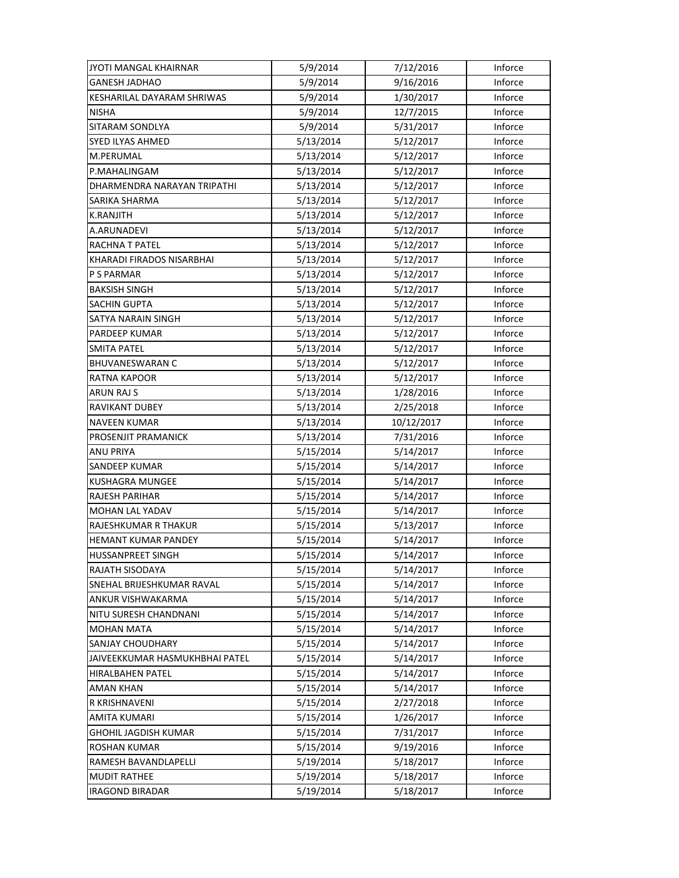| JYOTI MANGAL KHAIRNAR          | 5/9/2014  | 7/12/2016  | Inforce |
|--------------------------------|-----------|------------|---------|
| <b>GANESH JADHAO</b>           | 5/9/2014  | 9/16/2016  | Inforce |
| KESHARILAL DAYARAM SHRIWAS     | 5/9/2014  | 1/30/2017  | Inforce |
| <b>NISHA</b>                   | 5/9/2014  | 12/7/2015  | Inforce |
| SITARAM SONDLYA                | 5/9/2014  | 5/31/2017  | Inforce |
| <b>SYED ILYAS AHMED</b>        | 5/13/2014 | 5/12/2017  | Inforce |
| M.PERUMAL                      | 5/13/2014 | 5/12/2017  | Inforce |
| P.MAHALINGAM                   | 5/13/2014 | 5/12/2017  | Inforce |
| DHARMENDRA NARAYAN TRIPATHI    | 5/13/2014 | 5/12/2017  | Inforce |
| SARIKA SHARMA                  | 5/13/2014 | 5/12/2017  | Inforce |
| <b>K.RANJITH</b>               | 5/13/2014 | 5/12/2017  | Inforce |
| A.ARUNADEVI                    | 5/13/2014 | 5/12/2017  | Inforce |
| RACHNA T PATEL                 | 5/13/2014 | 5/12/2017  | Inforce |
| KHARADI FIRADOS NISARBHAI      | 5/13/2014 | 5/12/2017  | Inforce |
| <b>P S PARMAR</b>              | 5/13/2014 | 5/12/2017  | Inforce |
| <b>BAKSISH SINGH</b>           | 5/13/2014 | 5/12/2017  | Inforce |
| <b>SACHIN GUPTA</b>            | 5/13/2014 | 5/12/2017  | Inforce |
| SATYA NARAIN SINGH             | 5/13/2014 | 5/12/2017  | Inforce |
| PARDEEP KUMAR                  | 5/13/2014 | 5/12/2017  | Inforce |
| <b>SMITA PATEL</b>             | 5/13/2014 | 5/12/2017  | Inforce |
| <b>BHUVANESWARAN C</b>         | 5/13/2014 | 5/12/2017  | Inforce |
| <b>RATNA KAPOOR</b>            | 5/13/2014 | 5/12/2017  | Inforce |
| ARUN RAJ S                     | 5/13/2014 | 1/28/2016  | Inforce |
| <b>RAVIKANT DUBEY</b>          | 5/13/2014 | 2/25/2018  | Inforce |
| <b>NAVEEN KUMAR</b>            | 5/13/2014 | 10/12/2017 | Inforce |
| PROSENJIT PRAMANICK            | 5/13/2014 | 7/31/2016  | Inforce |
| ANU PRIYA                      | 5/15/2014 | 5/14/2017  | Inforce |
| <b>SANDEEP KUMAR</b>           | 5/15/2014 | 5/14/2017  | Inforce |
| <b>KUSHAGRA MUNGEE</b>         | 5/15/2014 | 5/14/2017  | Inforce |
| RAJESH PARIHAR                 | 5/15/2014 | 5/14/2017  | Inforce |
| <b>MOHAN LAL YADAV</b>         | 5/15/2014 | 5/14/2017  | Inforce |
| RAJESHKUMAR R THAKUR           | 5/15/2014 | 5/13/2017  | Inforce |
| HEMANT KUMAR PANDEY            | 5/15/2014 | 5/14/2017  | Inforce |
| <b>HUSSANPREET SINGH</b>       | 5/15/2014 | 5/14/2017  | Inforce |
| RAJATH SISODAYA                | 5/15/2014 | 5/14/2017  | Inforce |
| SNEHAL BRIJESHKUMAR RAVAL      | 5/15/2014 | 5/14/2017  | Inforce |
| ANKUR VISHWAKARMA              | 5/15/2014 | 5/14/2017  | Inforce |
| NITU SURESH CHANDNANI          | 5/15/2014 | 5/14/2017  | Inforce |
| <b>MOHAN MATA</b>              | 5/15/2014 | 5/14/2017  | Inforce |
| <b>SANJAY CHOUDHARY</b>        | 5/15/2014 | 5/14/2017  | Inforce |
| JAIVEEKKUMAR HASMUKHBHAI PATEL | 5/15/2014 | 5/14/2017  | Inforce |
| <b>HIRALBAHEN PATEL</b>        | 5/15/2014 | 5/14/2017  | Inforce |
| AMAN KHAN                      | 5/15/2014 | 5/14/2017  | Inforce |
| R KRISHNAVENI                  | 5/15/2014 | 2/27/2018  | Inforce |
| AMITA KUMARI                   | 5/15/2014 | 1/26/2017  | Inforce |
| GHOHIL JAGDISH KUMAR           | 5/15/2014 | 7/31/2017  | Inforce |
| <b>ROSHAN KUMAR</b>            | 5/15/2014 | 9/19/2016  | Inforce |
| RAMESH BAVANDLAPELLI           | 5/19/2014 | 5/18/2017  | Inforce |
| <b>MUDIT RATHEE</b>            | 5/19/2014 | 5/18/2017  | Inforce |
| <b>IRAGOND BIRADAR</b>         | 5/19/2014 | 5/18/2017  | Inforce |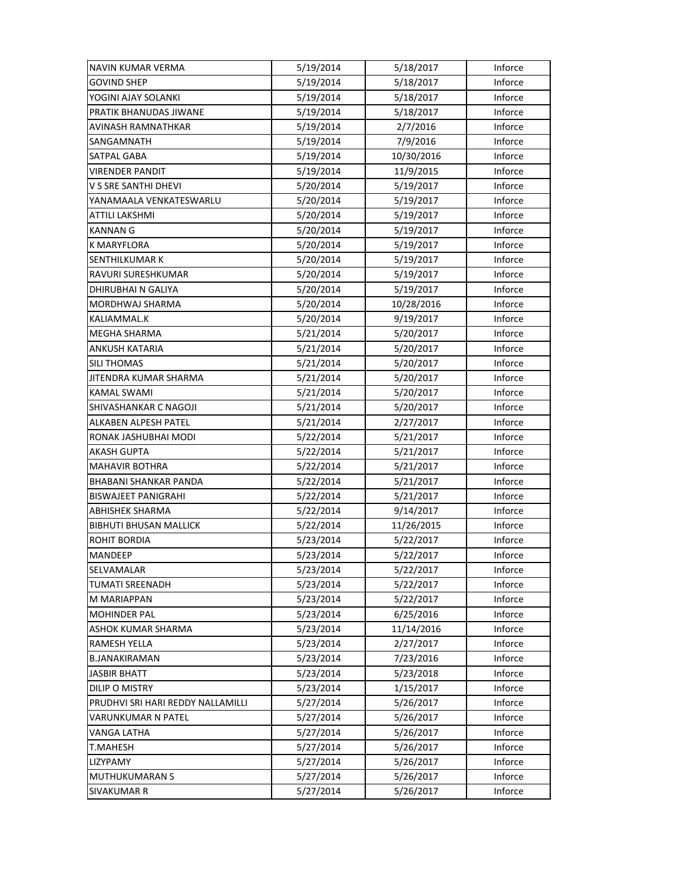| NAVIN KUMAR VERMA                 | 5/19/2014 | 5/18/2017  | Inforce |
|-----------------------------------|-----------|------------|---------|
| <b>GOVIND SHEP</b>                | 5/19/2014 | 5/18/2017  | Inforce |
| YOGINI AJAY SOLANKI               | 5/19/2014 | 5/18/2017  | Inforce |
| PRATIK BHANUDAS JIWANE            | 5/19/2014 | 5/18/2017  | Inforce |
| AVINASH RAMNATHKAR                | 5/19/2014 | 2/7/2016   | Inforce |
| SANGAMNATH                        | 5/19/2014 | 7/9/2016   | Inforce |
| SATPAL GABA                       | 5/19/2014 | 10/30/2016 | Inforce |
| <b>VIRENDER PANDIT</b>            | 5/19/2014 | 11/9/2015  | Inforce |
| V S SRE SANTHI DHEVI              | 5/20/2014 | 5/19/2017  | Inforce |
| YANAMAALA VENKATESWARLU           | 5/20/2014 | 5/19/2017  | Inforce |
| ATTILI LAKSHMI                    | 5/20/2014 | 5/19/2017  | Inforce |
| <b>KANNAN G</b>                   | 5/20/2014 | 5/19/2017  | Inforce |
| <b>K MARYFLORA</b>                | 5/20/2014 | 5/19/2017  | Inforce |
| SENTHILKUMAR K                    | 5/20/2014 | 5/19/2017  | Inforce |
| RAVURI SURESHKUMAR                | 5/20/2014 | 5/19/2017  | Inforce |
| <b>DHIRUBHAI N GALIYA</b>         | 5/20/2014 | 5/19/2017  | Inforce |
| MORDHWAJ SHARMA                   | 5/20/2014 | 10/28/2016 | Inforce |
| KALIAMMAL.K                       | 5/20/2014 | 9/19/2017  | Inforce |
| <b>MEGHA SHARMA</b>               | 5/21/2014 | 5/20/2017  | Inforce |
| ANKUSH KATARIA                    | 5/21/2014 | 5/20/2017  | Inforce |
| SILI THOMAS                       | 5/21/2014 | 5/20/2017  | Inforce |
| JITENDRA KUMAR SHARMA             | 5/21/2014 | 5/20/2017  | Inforce |
| <b>KAMAL SWAMI</b>                | 5/21/2014 | 5/20/2017  | Inforce |
| SHIVASHANKAR C NAGOJI             | 5/21/2014 | 5/20/2017  | Inforce |
| ALKABEN ALPESH PATEL              | 5/21/2014 | 2/27/2017  | Inforce |
| RONAK JASHUBHAI MODI              | 5/22/2014 | 5/21/2017  | Inforce |
| <b>AKASH GUPTA</b>                | 5/22/2014 | 5/21/2017  | Inforce |
| <b>MAHAVIR BOTHRA</b>             | 5/22/2014 | 5/21/2017  | Inforce |
| BHABANI SHANKAR PANDA             | 5/22/2014 | 5/21/2017  | Inforce |
| <b>BISWAJEET PANIGRAHI</b>        | 5/22/2014 | 5/21/2017  | Inforce |
| ABHISHEK SHARMA                   | 5/22/2014 | 9/14/2017  | Inforce |
| <b>BIBHUTI BHUSAN MALLICK</b>     | 5/22/2014 | 11/26/2015 | Inforce |
| <b>ROHIT BORDIA</b>               | 5/23/2014 | 5/22/2017  | Inforce |
| <b>MANDEEP</b>                    | 5/23/2014 | 5/22/2017  | Inforce |
| SELVAMALAR                        | 5/23/2014 | 5/22/2017  | Inforce |
| <b>TUMATI SREENADH</b>            | 5/23/2014 | 5/22/2017  | Inforce |
| M MARIAPPAN                       | 5/23/2014 | 5/22/2017  | Inforce |
| <b>MOHINDER PAL</b>               | 5/23/2014 | 6/25/2016  | Inforce |
| ASHOK KUMAR SHARMA                | 5/23/2014 | 11/14/2016 | Inforce |
| RAMESH YELLA                      | 5/23/2014 | 2/27/2017  | Inforce |
| <b>B.JANAKIRAMAN</b>              | 5/23/2014 | 7/23/2016  | Inforce |
| <b>JASBIR BHATT</b>               | 5/23/2014 | 5/23/2018  | Inforce |
| <b>DILIP O MISTRY</b>             | 5/23/2014 | 1/15/2017  | Inforce |
| PRUDHVI SRI HARI REDDY NALLAMILLI | 5/27/2014 | 5/26/2017  | Inforce |
| VARUNKUMAR N PATEL                | 5/27/2014 | 5/26/2017  | Inforce |
| VANGA LATHA                       | 5/27/2014 | 5/26/2017  | Inforce |
| <b>T.MAHESH</b>                   | 5/27/2014 | 5/26/2017  | Inforce |
| LIZYPAMY                          | 5/27/2014 | 5/26/2017  | Inforce |
| <b>MUTHUKUMARAN S</b>             | 5/27/2014 | 5/26/2017  | Inforce |
| SIVAKUMAR R                       | 5/27/2014 | 5/26/2017  | Inforce |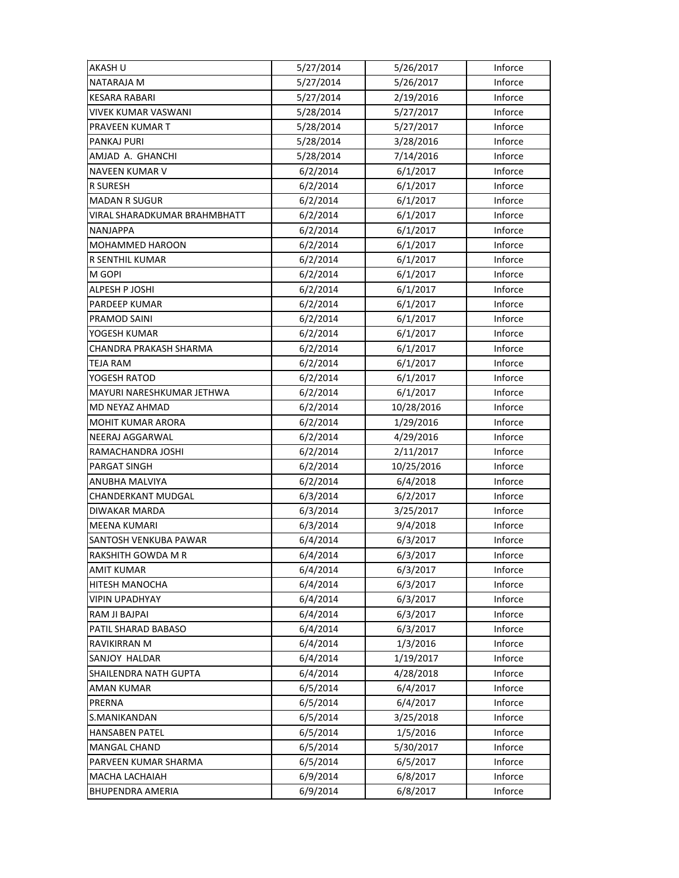| AKASH U                      | 5/27/2014 | 5/26/2017  | Inforce |
|------------------------------|-----------|------------|---------|
| NATARAJA M                   | 5/27/2014 | 5/26/2017  | Inforce |
| <b>KESARA RABARI</b>         | 5/27/2014 | 2/19/2016  | Inforce |
| <b>VIVEK KUMAR VASWANI</b>   | 5/28/2014 | 5/27/2017  | Inforce |
| PRAVEEN KUMAR T              | 5/28/2014 | 5/27/2017  | Inforce |
| PANKAJ PURI                  | 5/28/2014 | 3/28/2016  | Inforce |
| AMJAD A. GHANCHI             | 5/28/2014 | 7/14/2016  | Inforce |
| <b>NAVEEN KUMAR V</b>        | 6/2/2014  | 6/1/2017   | Inforce |
| R SURESH                     | 6/2/2014  | 6/1/2017   | Inforce |
| <b>MADAN R SUGUR</b>         | 6/2/2014  | 6/1/2017   | Inforce |
| VIRAL SHARADKUMAR BRAHMBHATT | 6/2/2014  | 6/1/2017   | Inforce |
| <b>NANJAPPA</b>              | 6/2/2014  | 6/1/2017   | Inforce |
| MOHAMMED HAROON              | 6/2/2014  | 6/1/2017   | Inforce |
| R SENTHIL KUMAR              | 6/2/2014  | 6/1/2017   | Inforce |
| M GOPI                       | 6/2/2014  | 6/1/2017   | Inforce |
| ALPESH P JOSHI               | 6/2/2014  | 6/1/2017   | Inforce |
| <b>PARDEEP KUMAR</b>         | 6/2/2014  | 6/1/2017   | Inforce |
| PRAMOD SAINI                 | 6/2/2014  | 6/1/2017   | Inforce |
| YOGESH KUMAR                 | 6/2/2014  | 6/1/2017   | Inforce |
| CHANDRA PRAKASH SHARMA       | 6/2/2014  | 6/1/2017   | Inforce |
| TEJA RAM                     | 6/2/2014  | 6/1/2017   | Inforce |
| YOGESH RATOD                 | 6/2/2014  | 6/1/2017   | Inforce |
| MAYURI NARESHKUMAR JETHWA    | 6/2/2014  | 6/1/2017   | Inforce |
| MD NEYAZ AHMAD               | 6/2/2014  | 10/28/2016 | Inforce |
| <b>MOHIT KUMAR ARORA</b>     | 6/2/2014  | 1/29/2016  | Inforce |
| NEERAJ AGGARWAL              | 6/2/2014  | 4/29/2016  | Inforce |
| RAMACHANDRA JOSHI            | 6/2/2014  | 2/11/2017  | Inforce |
| PARGAT SINGH                 | 6/2/2014  | 10/25/2016 | Inforce |
| ANUBHA MALVIYA               | 6/2/2014  | 6/4/2018   | Inforce |
| <b>CHANDERKANT MUDGAL</b>    | 6/3/2014  | 6/2/2017   | Inforce |
| DIWAKAR MARDA                | 6/3/2014  | 3/25/2017  | Inforce |
| <b>MEENA KUMARI</b>          | 6/3/2014  | 9/4/2018   | Inforce |
| SANTOSH VENKUBA PAWAR        | 6/4/2014  | 6/3/2017   | Inforce |
| RAKSHITH GOWDA M R           | 6/4/2014  | 6/3/2017   | Inforce |
| <b>AMIT KUMAR</b>            | 6/4/2014  | 6/3/2017   | Inforce |
| HITESH MANOCHA               | 6/4/2014  | 6/3/2017   | Inforce |
| <b>VIPIN UPADHYAY</b>        | 6/4/2014  | 6/3/2017   | Inforce |
| RAM JI BAJPAI                | 6/4/2014  | 6/3/2017   | Inforce |
| PATIL SHARAD BABASO          | 6/4/2014  | 6/3/2017   | Inforce |
| RAVIKIRRAN M                 | 6/4/2014  | 1/3/2016   | Inforce |
| SANJOY HALDAR                | 6/4/2014  | 1/19/2017  | Inforce |
| SHAILENDRA NATH GUPTA        | 6/4/2014  | 4/28/2018  | Inforce |
| <b>AMAN KUMAR</b>            | 6/5/2014  | 6/4/2017   | Inforce |
| PRERNA                       | 6/5/2014  | 6/4/2017   | Inforce |
| S.MANIKANDAN                 | 6/5/2014  | 3/25/2018  | Inforce |
| <b>HANSABEN PATEL</b>        | 6/5/2014  | 1/5/2016   | Inforce |
| <b>MANGAL CHAND</b>          | 6/5/2014  | 5/30/2017  | Inforce |
| PARVEEN KUMAR SHARMA         | 6/5/2014  | 6/5/2017   | Inforce |
| MACHA LACHAIAH               | 6/9/2014  | 6/8/2017   | Inforce |
| <b>BHUPENDRA AMERIA</b>      | 6/9/2014  | 6/8/2017   | Inforce |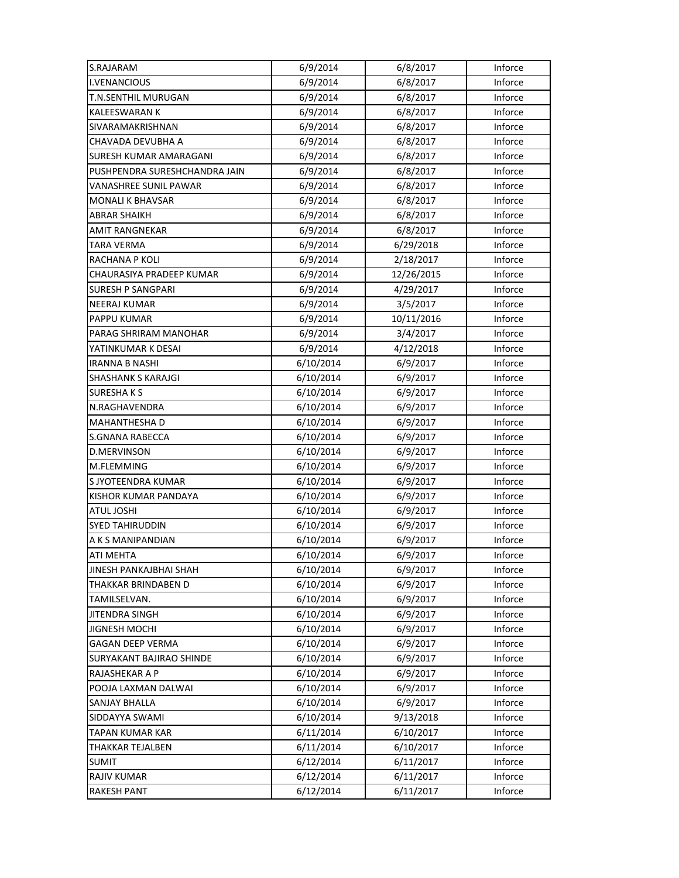| S.RAJARAM                     | 6/9/2014  | 6/8/2017   | Inforce |
|-------------------------------|-----------|------------|---------|
| I.VENANCIOUS                  | 6/9/2014  | 6/8/2017   | Inforce |
| <b>T.N.SENTHIL MURUGAN</b>    | 6/9/2014  | 6/8/2017   | Inforce |
| <b>KALEESWARAN K</b>          | 6/9/2014  | 6/8/2017   | Inforce |
| SIVARAMAKRISHNAN              | 6/9/2014  | 6/8/2017   | Inforce |
| CHAVADA DEVUBHA A             | 6/9/2014  | 6/8/2017   | Inforce |
| <b>SURESH KUMAR AMARAGANI</b> | 6/9/2014  | 6/8/2017   | Inforce |
| PUSHPENDRA SURESHCHANDRA JAIN | 6/9/2014  | 6/8/2017   | Inforce |
| VANASHREE SUNIL PAWAR         | 6/9/2014  | 6/8/2017   | Inforce |
| MONALI K BHAVSAR              | 6/9/2014  | 6/8/2017   | Inforce |
| ABRAR SHAIKH                  | 6/9/2014  | 6/8/2017   | Inforce |
| AMIT RANGNEKAR                | 6/9/2014  | 6/8/2017   | Inforce |
| <b>TARA VERMA</b>             | 6/9/2014  | 6/29/2018  | Inforce |
| RACHANA P KOLI                | 6/9/2014  | 2/18/2017  | Inforce |
| CHAURASIYA PRADEEP KUMAR      | 6/9/2014  | 12/26/2015 | Inforce |
| <b>SURESH P SANGPARI</b>      | 6/9/2014  | 4/29/2017  | Inforce |
| <b>NEERAJ KUMAR</b>           | 6/9/2014  | 3/5/2017   | Inforce |
| <b>PAPPU KUMAR</b>            | 6/9/2014  | 10/11/2016 | Inforce |
| PARAG SHRIRAM MANOHAR         | 6/9/2014  | 3/4/2017   | Inforce |
| YATINKUMAR K DESAI            | 6/9/2014  | 4/12/2018  | Inforce |
| IRANNA B NASHI                | 6/10/2014 | 6/9/2017   | Inforce |
| <b>SHASHANK S KARAJGI</b>     | 6/10/2014 | 6/9/2017   | Inforce |
| <b>SURESHAKS</b>              | 6/10/2014 | 6/9/2017   | Inforce |
| N.RAGHAVENDRA                 | 6/10/2014 | 6/9/2017   | Inforce |
| <b>MAHANTHESHA D</b>          | 6/10/2014 | 6/9/2017   | Inforce |
| <b>S.GNANA RABECCA</b>        | 6/10/2014 | 6/9/2017   | Inforce |
| <b>D.MERVINSON</b>            | 6/10/2014 | 6/9/2017   | Inforce |
| M.FLEMMING                    | 6/10/2014 | 6/9/2017   | Inforce |
| S JYOTEENDRA KUMAR            | 6/10/2014 | 6/9/2017   | Inforce |
| KISHOR KUMAR PANDAYA          | 6/10/2014 | 6/9/2017   | Inforce |
| <b>ATUL JOSHI</b>             | 6/10/2014 | 6/9/2017   | Inforce |
| <b>SYED TAHIRUDDIN</b>        | 6/10/2014 | 6/9/2017   | Inforce |
| A K S MANIPANDIAN             | 6/10/2014 | 6/9/2017   | Inforce |
| ATI MEHTA                     | 6/10/2014 | 6/9/2017   | Inforce |
| JINESH PANKAJBHAI SHAH        | 6/10/2014 | 6/9/2017   | Inforce |
| THAKKAR BRINDABEN D           | 6/10/2014 | 6/9/2017   | Inforce |
| TAMILSELVAN.                  | 6/10/2014 | 6/9/2017   | Inforce |
| <b>JITENDRA SINGH</b>         | 6/10/2014 | 6/9/2017   | Inforce |
| <b>JIGNESH MOCHI</b>          | 6/10/2014 | 6/9/2017   | Inforce |
| <b>GAGAN DEEP VERMA</b>       | 6/10/2014 | 6/9/2017   | Inforce |
| SURYAKANT BAJIRAO SHINDE      | 6/10/2014 | 6/9/2017   | Inforce |
| RAJASHEKAR A P                | 6/10/2014 | 6/9/2017   | Inforce |
| POOJA LAXMAN DALWAI           | 6/10/2014 | 6/9/2017   | Inforce |
| SANJAY BHALLA                 | 6/10/2014 | 6/9/2017   | Inforce |
| SIDDAYYA SWAMI                | 6/10/2014 | 9/13/2018  | Inforce |
| TAPAN KUMAR KAR               | 6/11/2014 | 6/10/2017  | Inforce |
| THAKKAR TEJALBEN              | 6/11/2014 | 6/10/2017  | Inforce |
| <b>SUMIT</b>                  | 6/12/2014 | 6/11/2017  | Inforce |
| RAJIV KUMAR                   | 6/12/2014 | 6/11/2017  | Inforce |
| <b>RAKESH PANT</b>            | 6/12/2014 | 6/11/2017  | Inforce |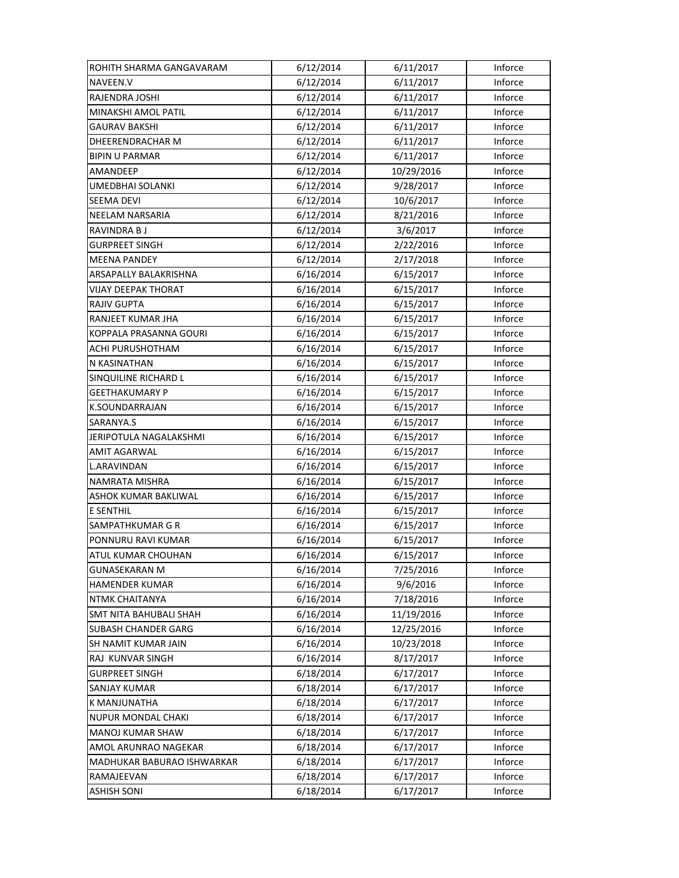| ROHITH SHARMA GANGAVARAM      | 6/12/2014 | 6/11/2017  | Inforce |
|-------------------------------|-----------|------------|---------|
| NAVEEN.V                      | 6/12/2014 | 6/11/2017  | Inforce |
| RAJENDRA JOSHI                | 6/12/2014 | 6/11/2017  | Inforce |
| MINAKSHI AMOL PATIL           | 6/12/2014 | 6/11/2017  | Inforce |
| GAURAV BAKSHI                 | 6/12/2014 | 6/11/2017  | Inforce |
| DHEERENDRACHAR M              | 6/12/2014 | 6/11/2017  | Inforce |
| <b>BIPIN U PARMAR</b>         | 6/12/2014 | 6/11/2017  | Inforce |
| AMANDEEP                      | 6/12/2014 | 10/29/2016 | Inforce |
| <b>UMEDBHAI SOLANKI</b>       | 6/12/2014 | 9/28/2017  | Inforce |
| <b>SEEMA DEVI</b>             | 6/12/2014 | 10/6/2017  | Inforce |
| <b>NEELAM NARSARIA</b>        | 6/12/2014 | 8/21/2016  | Inforce |
| RAVINDRA B J                  | 6/12/2014 | 3/6/2017   | Inforce |
| <b>GURPREET SINGH</b>         | 6/12/2014 | 2/22/2016  | Inforce |
| <b>MEENA PANDEY</b>           | 6/12/2014 | 2/17/2018  | Inforce |
| ARSAPALLY BALAKRISHNA         | 6/16/2014 | 6/15/2017  | Inforce |
| <b>VIJAY DEEPAK THORAT</b>    | 6/16/2014 | 6/15/2017  | Inforce |
| <b>RAJIV GUPTA</b>            | 6/16/2014 | 6/15/2017  | Inforce |
| <b>RANJEET KUMAR JHA</b>      | 6/16/2014 | 6/15/2017  | Inforce |
| KOPPALA PRASANNA GOURI        | 6/16/2014 | 6/15/2017  | Inforce |
| <b>ACHI PURUSHOTHAM</b>       | 6/16/2014 | 6/15/2017  | Inforce |
| N KASINATHAN                  | 6/16/2014 | 6/15/2017  | Inforce |
| SINQUILINE RICHARD L          | 6/16/2014 | 6/15/2017  | Inforce |
| GEETHAKUMARY P                | 6/16/2014 | 6/15/2017  | Inforce |
| K.SOUNDARRAJAN                | 6/16/2014 | 6/15/2017  | Inforce |
| SARANYA.S                     | 6/16/2014 | 6/15/2017  | Inforce |
| JERIPOTULA NAGALAKSHMI        | 6/16/2014 | 6/15/2017  | Inforce |
| <b>AMIT AGARWAL</b>           | 6/16/2014 | 6/15/2017  | Inforce |
| L.ARAVINDAN                   | 6/16/2014 | 6/15/2017  | Inforce |
| <b>NAMRATA MISHRA</b>         | 6/16/2014 | 6/15/2017  | Inforce |
| ASHOK KUMAR BAKLIWAL          | 6/16/2014 | 6/15/2017  | Inforce |
| <b>E SENTHIL</b>              | 6/16/2014 | 6/15/2017  | Inforce |
| SAMPATHKUMAR G R              | 6/16/2014 | 6/15/2017  | Inforce |
| PONNURU RAVI KUMAR            | 6/16/2014 | 6/15/2017  | Inforce |
| ATUL KUMAR CHOUHAN            | 6/16/2014 | 6/15/2017  | Inforce |
| <b>GUNASEKARAN M</b>          | 6/16/2014 | 7/25/2016  | Inforce |
| HAMENDER KUMAR                | 6/16/2014 | 9/6/2016   | Inforce |
| NTMK CHAITANYA                | 6/16/2014 | 7/18/2016  | Inforce |
| <b>SMT NITA BAHUBALI SHAH</b> | 6/16/2014 | 11/19/2016 | Inforce |
| <b>SUBASH CHANDER GARG</b>    | 6/16/2014 | 12/25/2016 | Inforce |
| SH NAMIT KUMAR JAIN           | 6/16/2014 | 10/23/2018 | Inforce |
| RAJ KUNVAR SINGH              | 6/16/2014 | 8/17/2017  | Inforce |
| <b>GURPREET SINGH</b>         | 6/18/2014 | 6/17/2017  | Inforce |
| SANJAY KUMAR                  | 6/18/2014 | 6/17/2017  | Inforce |
| <b>K MANJUNATHA</b>           | 6/18/2014 | 6/17/2017  | Inforce |
| NUPUR MONDAL CHAKI            | 6/18/2014 | 6/17/2017  | Inforce |
| MANOJ KUMAR SHAW              | 6/18/2014 | 6/17/2017  | Inforce |
| AMOL ARUNRAO NAGEKAR          | 6/18/2014 | 6/17/2017  | Inforce |
| MADHUKAR BABURAO ISHWARKAR    | 6/18/2014 | 6/17/2017  | Inforce |
| RAMAJEEVAN                    | 6/18/2014 | 6/17/2017  | Inforce |
| ASHISH SONI                   | 6/18/2014 | 6/17/2017  | Inforce |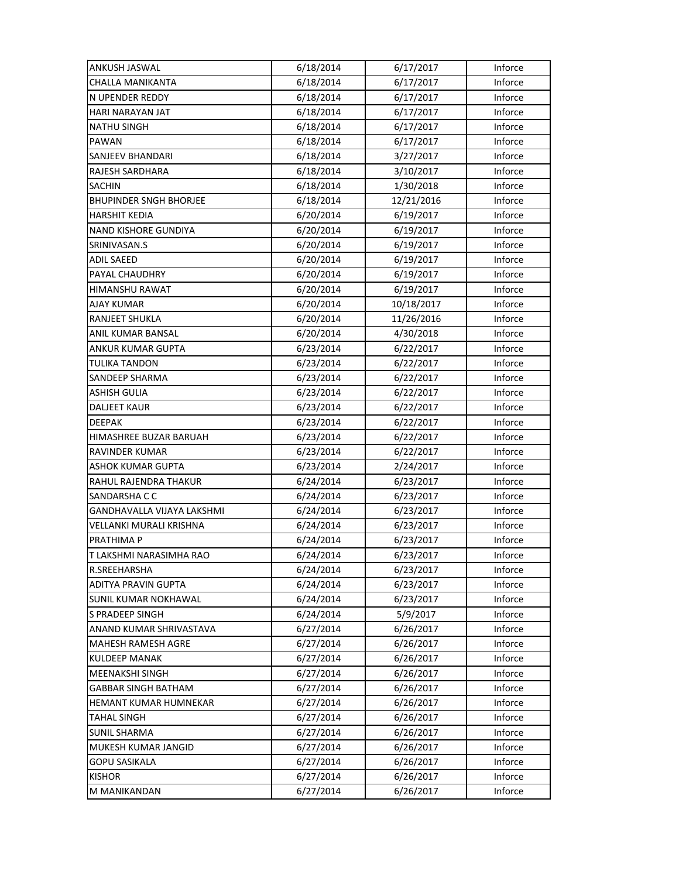| <b>ANKUSH JASWAL</b>          | 6/18/2014 | 6/17/2017  | Inforce |
|-------------------------------|-----------|------------|---------|
| <b>CHALLA MANIKANTA</b>       | 6/18/2014 | 6/17/2017  | Inforce |
| N UPENDER REDDY               | 6/18/2014 | 6/17/2017  | Inforce |
| HARI NARAYAN JAT              | 6/18/2014 | 6/17/2017  | Inforce |
| <b>NATHU SINGH</b>            | 6/18/2014 | 6/17/2017  | Inforce |
| PAWAN                         | 6/18/2014 | 6/17/2017  | Inforce |
| SANJEEV BHANDARI              | 6/18/2014 | 3/27/2017  | Inforce |
| RAJESH SARDHARA               | 6/18/2014 | 3/10/2017  | Inforce |
| <b>SACHIN</b>                 | 6/18/2014 | 1/30/2018  | Inforce |
| <b>BHUPINDER SNGH BHORJEE</b> | 6/18/2014 | 12/21/2016 | Inforce |
| <b>HARSHIT KEDIA</b>          | 6/20/2014 | 6/19/2017  | Inforce |
| <b>NAND KISHORE GUNDIYA</b>   | 6/20/2014 | 6/19/2017  | Inforce |
| SRINIVASAN.S                  | 6/20/2014 | 6/19/2017  | Inforce |
| <b>ADIL SAEED</b>             | 6/20/2014 | 6/19/2017  | Inforce |
| PAYAL CHAUDHRY                | 6/20/2014 | 6/19/2017  | Inforce |
| HIMANSHU RAWAT                | 6/20/2014 | 6/19/2017  | Inforce |
| <b>AJAY KUMAR</b>             | 6/20/2014 | 10/18/2017 | Inforce |
| RANJEET SHUKLA                | 6/20/2014 | 11/26/2016 | Inforce |
| ANIL KUMAR BANSAL             | 6/20/2014 | 4/30/2018  | Inforce |
| ANKUR KUMAR GUPTA             | 6/23/2014 | 6/22/2017  | Inforce |
| <b>TULIKA TANDON</b>          | 6/23/2014 | 6/22/2017  | Inforce |
| SANDEEP SHARMA                | 6/23/2014 | 6/22/2017  | Inforce |
| ASHISH GULIA                  | 6/23/2014 | 6/22/2017  | Inforce |
| <b>DALJEET KAUR</b>           | 6/23/2014 | 6/22/2017  | Inforce |
| <b>DEEPAK</b>                 | 6/23/2014 | 6/22/2017  | Inforce |
| HIMASHREE BUZAR BARUAH        | 6/23/2014 | 6/22/2017  | Inforce |
| <b>RAVINDER KUMAR</b>         | 6/23/2014 | 6/22/2017  | Inforce |
| ASHOK KUMAR GUPTA             | 6/23/2014 | 2/24/2017  | Inforce |
| RAHUL RAJENDRA THAKUR         | 6/24/2014 | 6/23/2017  | Inforce |
| SANDARSHA C C                 | 6/24/2014 | 6/23/2017  | Inforce |
| GANDHAVALLA VIJAYA LAKSHMI    | 6/24/2014 | 6/23/2017  | Inforce |
| VELLANKI MURALI KRISHNA       | 6/24/2014 | 6/23/2017  | Inforce |
| PRATHIMA P                    | 6/24/2014 | 6/23/2017  | Inforce |
| T LAKSHMI NARASIMHA RAO       | 6/24/2014 | 6/23/2017  | Inforce |
| R.SREEHARSHA                  | 6/24/2014 | 6/23/2017  | Inforce |
| <b>ADITYA PRAVIN GUPTA</b>    | 6/24/2014 | 6/23/2017  | Inforce |
| <b>SUNIL KUMAR NOKHAWAL</b>   | 6/24/2014 | 6/23/2017  | Inforce |
| <b>S PRADEEP SINGH</b>        | 6/24/2014 | 5/9/2017   | Inforce |
| ANAND KUMAR SHRIVASTAVA       | 6/27/2014 | 6/26/2017  | Inforce |
| <b>MAHESH RAMESH AGRE</b>     | 6/27/2014 | 6/26/2017  | Inforce |
| <b>KULDEEP MANAK</b>          | 6/27/2014 | 6/26/2017  | Inforce |
| MEENAKSHI SINGH               | 6/27/2014 | 6/26/2017  | Inforce |
| <b>GABBAR SINGH BATHAM</b>    | 6/27/2014 | 6/26/2017  | Inforce |
| HEMANT KUMAR HUMNEKAR         | 6/27/2014 | 6/26/2017  | Inforce |
| <b>TAHAL SINGH</b>            | 6/27/2014 | 6/26/2017  | Inforce |
| <b>SUNIL SHARMA</b>           | 6/27/2014 | 6/26/2017  | Inforce |
| MUKESH KUMAR JANGID           | 6/27/2014 | 6/26/2017  | Inforce |
| <b>GOPU SASIKALA</b>          | 6/27/2014 | 6/26/2017  | Inforce |
| <b>KISHOR</b>                 | 6/27/2014 | 6/26/2017  | Inforce |
| M MANIKANDAN                  | 6/27/2014 | 6/26/2017  | Inforce |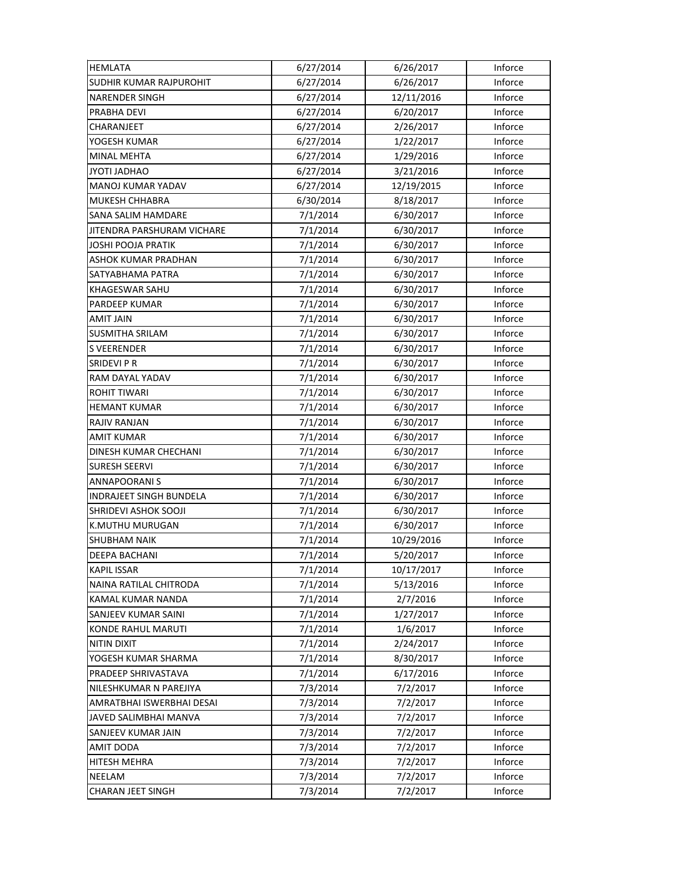| <b>HEMLATA</b>                 | 6/27/2014 | 6/26/2017  | Inforce |
|--------------------------------|-----------|------------|---------|
| <b>SUDHIR KUMAR RAJPUROHIT</b> | 6/27/2014 | 6/26/2017  | Inforce |
| <b>NARENDER SINGH</b>          | 6/27/2014 | 12/11/2016 | Inforce |
| PRABHA DEVI                    | 6/27/2014 | 6/20/2017  | Inforce |
| CHARANJEET                     | 6/27/2014 | 2/26/2017  | Inforce |
| YOGESH KUMAR                   | 6/27/2014 | 1/22/2017  | Inforce |
| <b>MINAL MEHTA</b>             | 6/27/2014 | 1/29/2016  | Inforce |
| JYOTI JADHAO                   | 6/27/2014 | 3/21/2016  | Inforce |
| MANOJ KUMAR YADAV              | 6/27/2014 | 12/19/2015 | Inforce |
| MUKESH CHHABRA                 | 6/30/2014 | 8/18/2017  | Inforce |
| <b>SANA SALIM HAMDARE</b>      | 7/1/2014  | 6/30/2017  | Inforce |
| JITENDRA PARSHURAM VICHARE     | 7/1/2014  | 6/30/2017  | Inforce |
| <b>JOSHI POOJA PRATIK</b>      | 7/1/2014  | 6/30/2017  | Inforce |
| ASHOK KUMAR PRADHAN            | 7/1/2014  | 6/30/2017  | Inforce |
| SATYABHAMA PATRA               | 7/1/2014  | 6/30/2017  | Inforce |
| KHAGESWAR SAHU                 | 7/1/2014  | 6/30/2017  | Inforce |
| PARDEEP KUMAR                  | 7/1/2014  | 6/30/2017  | Inforce |
| <b>AMIT JAIN</b>               | 7/1/2014  | 6/30/2017  | Inforce |
| <b>SUSMITHA SRILAM</b>         | 7/1/2014  | 6/30/2017  | Inforce |
| <b>S VEERENDER</b>             | 7/1/2014  | 6/30/2017  | Inforce |
| <b>SRIDEVIPR</b>               | 7/1/2014  | 6/30/2017  | Inforce |
| RAM DAYAL YADAV                | 7/1/2014  | 6/30/2017  | Inforce |
| ROHIT TIWARI                   | 7/1/2014  | 6/30/2017  | Inforce |
| <b>HEMANT KUMAR</b>            | 7/1/2014  | 6/30/2017  | Inforce |
| <b>RAJIV RANJAN</b>            | 7/1/2014  | 6/30/2017  | Inforce |
| AMIT KUMAR                     | 7/1/2014  | 6/30/2017  | Inforce |
| DINESH KUMAR CHECHANI          | 7/1/2014  | 6/30/2017  | Inforce |
| <b>SURESH SEERVI</b>           | 7/1/2014  | 6/30/2017  | Inforce |
| <b>ANNAPOORANIS</b>            | 7/1/2014  | 6/30/2017  | Inforce |
| <b>INDRAJEET SINGH BUNDELA</b> | 7/1/2014  | 6/30/2017  | Inforce |
| SHRIDEVI ASHOK SOOJI           | 7/1/2014  | 6/30/2017  | Inforce |
| K.MUTHU MURUGAN                | 7/1/2014  | 6/30/2017  | Inforce |
| <b>SHUBHAM NAIK</b>            | 7/1/2014  | 10/29/2016 | Inforce |
| <b>DEEPA BACHANI</b>           | 7/1/2014  | 5/20/2017  | Inforce |
| <b>KAPIL ISSAR</b>             | 7/1/2014  | 10/17/2017 | Inforce |
| NAINA RATILAL CHITRODA         | 7/1/2014  | 5/13/2016  | Inforce |
| KAMAL KUMAR NANDA              | 7/1/2014  | 2/7/2016   | Inforce |
| SANJEEV KUMAR SAINI            | 7/1/2014  | 1/27/2017  | Inforce |
| <b>KONDE RAHUL MARUTI</b>      | 7/1/2014  | 1/6/2017   | Inforce |
| <b>NITIN DIXIT</b>             | 7/1/2014  | 2/24/2017  | Inforce |
| YOGESH KUMAR SHARMA            | 7/1/2014  | 8/30/2017  | Inforce |
| PRADEEP SHRIVASTAVA            | 7/1/2014  | 6/17/2016  | Inforce |
| NILESHKUMAR N PAREJIYA         | 7/3/2014  | 7/2/2017   | Inforce |
| AMRATBHAI ISWERBHAI DESAI      | 7/3/2014  | 7/2/2017   | Inforce |
| JAVED SALIMBHAI MANVA          | 7/3/2014  | 7/2/2017   | Inforce |
| SANJEEV KUMAR JAIN             | 7/3/2014  | 7/2/2017   | Inforce |
| AMIT DODA                      | 7/3/2014  | 7/2/2017   | Inforce |
| <b>HITESH MEHRA</b>            | 7/3/2014  | 7/2/2017   | Inforce |
| NEELAM                         | 7/3/2014  | 7/2/2017   | Inforce |
| <b>CHARAN JEET SINGH</b>       | 7/3/2014  | 7/2/2017   | Inforce |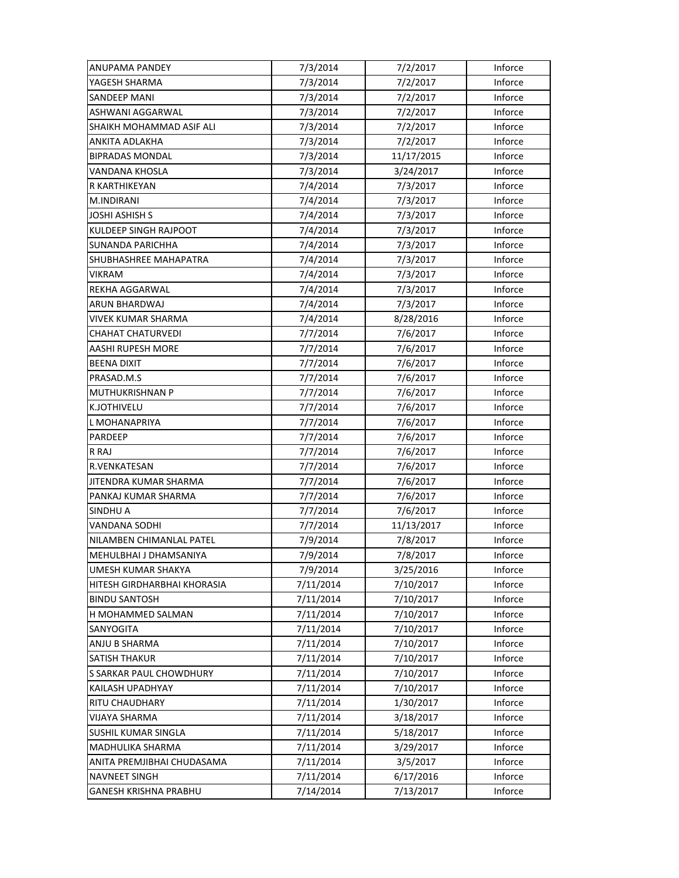| ANUPAMA PANDEY               | 7/3/2014  | 7/2/2017   | Inforce |
|------------------------------|-----------|------------|---------|
| YAGESH SHARMA                | 7/3/2014  | 7/2/2017   | Inforce |
| <b>SANDEEP MANI</b>          | 7/3/2014  | 7/2/2017   | Inforce |
| ASHWANI AGGARWAL             | 7/3/2014  | 7/2/2017   | Inforce |
| SHAIKH MOHAMMAD ASIF ALI     | 7/3/2014  | 7/2/2017   | Inforce |
| ANKITA ADLAKHA               | 7/3/2014  | 7/2/2017   | Inforce |
| <b>BIPRADAS MONDAL</b>       | 7/3/2014  | 11/17/2015 | Inforce |
| VANDANA KHOSLA               | 7/3/2014  | 3/24/2017  | Inforce |
| R KARTHIKEYAN                | 7/4/2014  | 7/3/2017   | Inforce |
| M.INDIRANI                   | 7/4/2014  | 7/3/2017   | Inforce |
| JOSHI ASHISH S               | 7/4/2014  | 7/3/2017   | Inforce |
| <b>KULDEEP SINGH RAJPOOT</b> | 7/4/2014  | 7/3/2017   | Inforce |
| SUNANDA PARICHHA             | 7/4/2014  | 7/3/2017   | Inforce |
| SHUBHASHREE MAHAPATRA        | 7/4/2014  | 7/3/2017   | Inforce |
| <b>VIKRAM</b>                | 7/4/2014  | 7/3/2017   | Inforce |
| REKHA AGGARWAL               | 7/4/2014  | 7/3/2017   | Inforce |
| <b>ARUN BHARDWAJ</b>         | 7/4/2014  | 7/3/2017   | Inforce |
| VIVEK KUMAR SHARMA           | 7/4/2014  | 8/28/2016  | Inforce |
| CHAHAT CHATURVEDI            | 7/7/2014  | 7/6/2017   | Inforce |
| AASHI RUPESH MORE            | 7/7/2014  | 7/6/2017   | Inforce |
| <b>BEENA DIXIT</b>           | 7/7/2014  | 7/6/2017   | Inforce |
| PRASAD.M.S                   | 7/7/2014  | 7/6/2017   | Inforce |
| MUTHUKRISHNAN P              | 7/7/2014  | 7/6/2017   | Inforce |
| <b>K.JOTHIVELU</b>           | 7/7/2014  | 7/6/2017   | Inforce |
| L MOHANAPRIYA                | 7/7/2014  | 7/6/2017   | Inforce |
| PARDEEP                      | 7/7/2014  | 7/6/2017   | Inforce |
| R RAJ                        | 7/7/2014  | 7/6/2017   | Inforce |
| R.VENKATESAN                 | 7/7/2014  | 7/6/2017   | Inforce |
| JITENDRA KUMAR SHARMA        | 7/7/2014  | 7/6/2017   | Inforce |
| PANKAJ KUMAR SHARMA          | 7/7/2014  | 7/6/2017   | Inforce |
| SINDHU A                     | 7/7/2014  | 7/6/2017   | Inforce |
| VANDANA SODHI                | 7/7/2014  | 11/13/2017 | Inforce |
| NILAMBEN CHIMANLAL PATEL     | 7/9/2014  | 7/8/2017   | Inforce |
| MEHULBHAI J DHAMSANIYA       | 7/9/2014  | 7/8/2017   | Inforce |
| UMESH KUMAR SHAKYA           | 7/9/2014  | 3/25/2016  | Inforce |
| HITESH GIRDHARBHAI KHORASIA  | 7/11/2014 | 7/10/2017  | Inforce |
| <b>BINDU SANTOSH</b>         | 7/11/2014 | 7/10/2017  | Inforce |
| H MOHAMMED SALMAN            | 7/11/2014 | 7/10/2017  | Inforce |
| SANYOGITA                    | 7/11/2014 | 7/10/2017  | Inforce |
| ANJU B SHARMA                | 7/11/2014 | 7/10/2017  | Inforce |
| <b>SATISH THAKUR</b>         | 7/11/2014 | 7/10/2017  | Inforce |
| S SARKAR PAUL CHOWDHURY      | 7/11/2014 | 7/10/2017  | Inforce |
| KAILASH UPADHYAY             | 7/11/2014 | 7/10/2017  | Inforce |
| <b>RITU CHAUDHARY</b>        | 7/11/2014 | 1/30/2017  | Inforce |
| VIJAYA SHARMA                | 7/11/2014 | 3/18/2017  | Inforce |
| SUSHIL KUMAR SINGLA          | 7/11/2014 | 5/18/2017  | Inforce |
| MADHULIKA SHARMA             | 7/11/2014 | 3/29/2017  | Inforce |
| ANITA PREMJIBHAI CHUDASAMA   | 7/11/2014 | 3/5/2017   | Inforce |
| <b>NAVNEET SINGH</b>         | 7/11/2014 | 6/17/2016  | Inforce |
| GANESH KRISHNA PRABHU        | 7/14/2014 | 7/13/2017  | Inforce |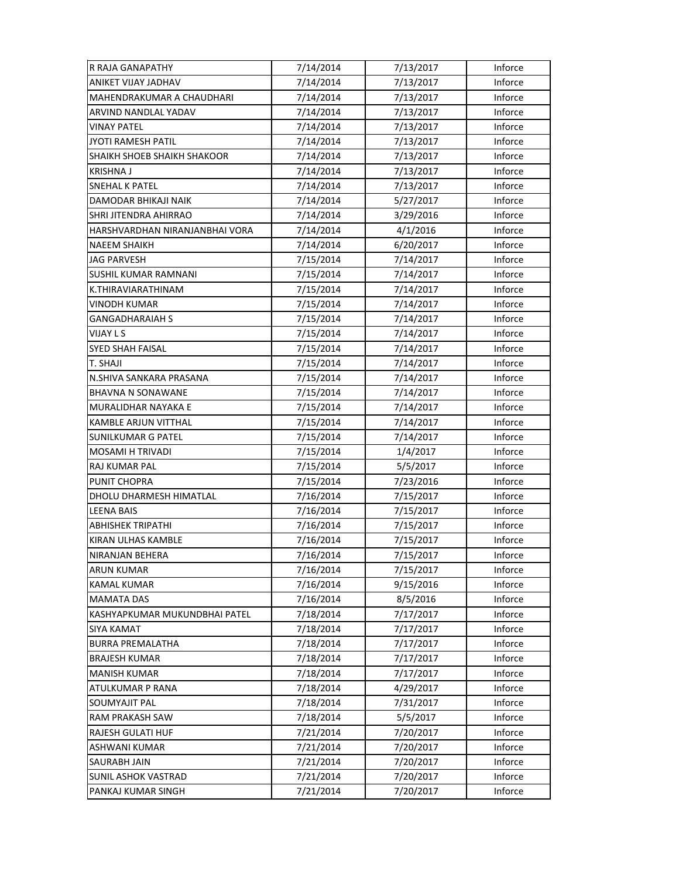| R RAJA GANAPATHY               | 7/14/2014 | 7/13/2017 | Inforce |
|--------------------------------|-----------|-----------|---------|
| ANIKET VIJAY JADHAV            | 7/14/2014 | 7/13/2017 | Inforce |
| MAHENDRAKUMAR A CHAUDHARI      | 7/14/2014 | 7/13/2017 | Inforce |
| ARVIND NANDLAL YADAV           | 7/14/2014 | 7/13/2017 | Inforce |
| VINAY PATEL                    | 7/14/2014 | 7/13/2017 | Inforce |
| JYOTI RAMESH PATIL             | 7/14/2014 | 7/13/2017 | Inforce |
| SHAIKH SHOEB SHAIKH SHAKOOR    | 7/14/2014 | 7/13/2017 | Inforce |
| <b>KRISHNA J</b>               | 7/14/2014 | 7/13/2017 | Inforce |
| <b>SNEHAL K PATEL</b>          | 7/14/2014 | 7/13/2017 | Inforce |
| DAMODAR BHIKAJI NAIK           | 7/14/2014 | 5/27/2017 | Inforce |
| <b>SHRI JITENDRA AHIRRAO</b>   | 7/14/2014 | 3/29/2016 | Inforce |
| HARSHVARDHAN NIRANJANBHAI VORA | 7/14/2014 | 4/1/2016  | Inforce |
| <b>NAEEM SHAIKH</b>            | 7/14/2014 | 6/20/2017 | Inforce |
| JAG PARVESH                    | 7/15/2014 | 7/14/2017 | Inforce |
| <b>SUSHIL KUMAR RAMNANI</b>    | 7/15/2014 | 7/14/2017 | Inforce |
| K.THIRAVIARATHINAM             | 7/15/2014 | 7/14/2017 | Inforce |
| <b>VINODH KUMAR</b>            | 7/15/2014 | 7/14/2017 | Inforce |
| <b>GANGADHARAIAH S</b>         | 7/15/2014 | 7/14/2017 | Inforce |
| VIJAY L S                      | 7/15/2014 | 7/14/2017 | Inforce |
| <b>SYED SHAH FAISAL</b>        | 7/15/2014 | 7/14/2017 | Inforce |
| T. SHAJI                       | 7/15/2014 | 7/14/2017 | Inforce |
| N.SHIVA SANKARA PRASANA        | 7/15/2014 | 7/14/2017 | Inforce |
| <b>BHAVNA N SONAWANE</b>       | 7/15/2014 | 7/14/2017 | Inforce |
| MURALIDHAR NAYAKA E            | 7/15/2014 | 7/14/2017 | Inforce |
| <b>KAMBLE ARJUN VITTHAL</b>    | 7/15/2014 | 7/14/2017 | Inforce |
| <b>SUNILKUMAR G PATEL</b>      | 7/15/2014 | 7/14/2017 | Inforce |
| <b>MOSAMI H TRIVADI</b>        | 7/15/2014 | 1/4/2017  | Inforce |
| RAJ KUMAR PAL                  | 7/15/2014 | 5/5/2017  | Inforce |
| PUNIT CHOPRA                   | 7/15/2014 | 7/23/2016 | Inforce |
| DHOLU DHARMESH HIMATLAL        | 7/16/2014 | 7/15/2017 | Inforce |
| <b>LEENA BAIS</b>              | 7/16/2014 | 7/15/2017 | Inforce |
| <b>ABHISHEK TRIPATHI</b>       | 7/16/2014 | 7/15/2017 | Inforce |
| KIRAN ULHAS KAMBLE             | 7/16/2014 | 7/15/2017 | Inforce |
| NIRANJAN BEHERA                | 7/16/2014 | 7/15/2017 | Inforce |
| <b>ARUN KUMAR</b>              | 7/16/2014 | 7/15/2017 | Inforce |
| <b>KAMAL KUMAR</b>             | 7/16/2014 | 9/15/2016 | Inforce |
| <b>MAMATA DAS</b>              | 7/16/2014 | 8/5/2016  | Inforce |
| KASHYAPKUMAR MUKUNDBHAI PATEL  | 7/18/2014 | 7/17/2017 | Inforce |
| <b>SIYA KAMAT</b>              | 7/18/2014 | 7/17/2017 | Inforce |
| <b>BURRA PREMALATHA</b>        | 7/18/2014 | 7/17/2017 | Inforce |
| <b>BRAJESH KUMAR</b>           | 7/18/2014 | 7/17/2017 | Inforce |
| <b>MANISH KUMAR</b>            | 7/18/2014 | 7/17/2017 | Inforce |
| ATULKUMAR P RANA               | 7/18/2014 | 4/29/2017 | Inforce |
| <b>SOUMYAJIT PAL</b>           | 7/18/2014 | 7/31/2017 | Inforce |
| RAM PRAKASH SAW                | 7/18/2014 | 5/5/2017  | Inforce |
| RAJESH GULATI HUF              | 7/21/2014 | 7/20/2017 | Inforce |
| ASHWANI KUMAR                  | 7/21/2014 | 7/20/2017 | Inforce |
| <b>SAURABH JAIN</b>            | 7/21/2014 | 7/20/2017 | Inforce |
| SUNIL ASHOK VASTRAD            | 7/21/2014 | 7/20/2017 | Inforce |
| PANKAJ KUMAR SINGH             | 7/21/2014 | 7/20/2017 | Inforce |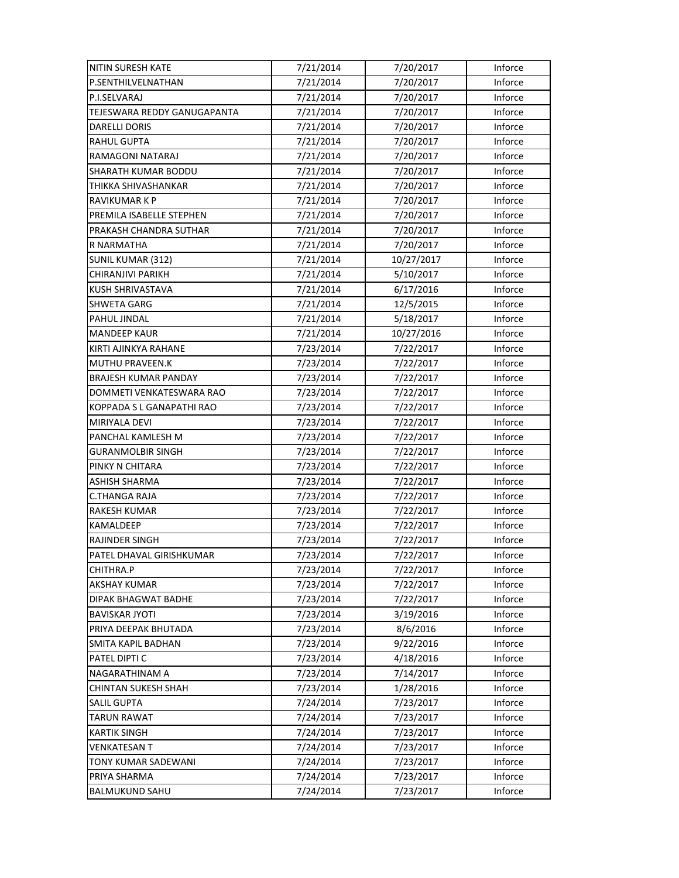| NITIN SURESH KATE           | 7/21/2014 | 7/20/2017  | Inforce |
|-----------------------------|-----------|------------|---------|
| P.SENTHILVELNATHAN          | 7/21/2014 | 7/20/2017  | Inforce |
| P.I.SELVARAJ                | 7/21/2014 | 7/20/2017  | Inforce |
| TEJESWARA REDDY GANUGAPANTA | 7/21/2014 | 7/20/2017  | Inforce |
| DARELLI DORIS               | 7/21/2014 | 7/20/2017  | Inforce |
| <b>RAHUL GUPTA</b>          | 7/21/2014 | 7/20/2017  | Inforce |
| RAMAGONI NATARAJ            | 7/21/2014 | 7/20/2017  | Inforce |
| <b>SHARATH KUMAR BODDU</b>  | 7/21/2014 | 7/20/2017  | Inforce |
| THIKKA SHIVASHANKAR         | 7/21/2014 | 7/20/2017  | Inforce |
| RAVIKUMAR K P               | 7/21/2014 | 7/20/2017  | Inforce |
| PREMILA ISABELLE STEPHEN    | 7/21/2014 | 7/20/2017  | Inforce |
| PRAKASH CHANDRA SUTHAR      | 7/21/2014 | 7/20/2017  | Inforce |
| R NARMATHA                  | 7/21/2014 | 7/20/2017  | Inforce |
| <b>SUNIL KUMAR (312)</b>    | 7/21/2014 | 10/27/2017 | Inforce |
| CHIRANJIVI PARIKH           | 7/21/2014 | 5/10/2017  | Inforce |
| <b>KUSH SHRIVASTAVA</b>     | 7/21/2014 | 6/17/2016  | Inforce |
| <b>SHWETA GARG</b>          | 7/21/2014 | 12/5/2015  | Inforce |
| PAHUL JINDAL                | 7/21/2014 | 5/18/2017  | Inforce |
| <b>MANDEEP KAUR</b>         | 7/21/2014 | 10/27/2016 | Inforce |
| KIRTI AJINKYA RAHANE        | 7/23/2014 | 7/22/2017  | Inforce |
| <b>MUTHU PRAVEEN.K</b>      | 7/23/2014 | 7/22/2017  | Inforce |
| <b>BRAJESH KUMAR PANDAY</b> | 7/23/2014 | 7/22/2017  | Inforce |
| DOMMETI VENKATESWARA RAO    | 7/23/2014 | 7/22/2017  | Inforce |
| KOPPADA S L GANAPATHI RAO   | 7/23/2014 | 7/22/2017  | Inforce |
| MIRIYALA DEVI               | 7/23/2014 | 7/22/2017  | Inforce |
| PANCHAL KAMLESH M           | 7/23/2014 | 7/22/2017  | Inforce |
| <b>GURANMOLBIR SINGH</b>    | 7/23/2014 | 7/22/2017  | Inforce |
| PINKY N CHITARA             | 7/23/2014 | 7/22/2017  | Inforce |
| <b>ASHISH SHARMA</b>        | 7/23/2014 | 7/22/2017  | Inforce |
| <b>C.THANGA RAJA</b>        | 7/23/2014 | 7/22/2017  | Inforce |
| <b>RAKESH KUMAR</b>         | 7/23/2014 | 7/22/2017  | Inforce |
| <b>KAMALDEEP</b>            | 7/23/2014 | 7/22/2017  | Inforce |
| RAJINDER SINGH              | 7/23/2014 | 7/22/2017  | Inforce |
| PATEL DHAVAL GIRISHKUMAR    | 7/23/2014 | 7/22/2017  | Inforce |
| CHITHRA.P                   | 7/23/2014 | 7/22/2017  | Inforce |
| <b>AKSHAY KUMAR</b>         | 7/23/2014 | 7/22/2017  | Inforce |
| DIPAK BHAGWAT BADHE         | 7/23/2014 | 7/22/2017  | Inforce |
| <b>BAVISKAR JYOTI</b>       | 7/23/2014 | 3/19/2016  | Inforce |
| PRIYA DEEPAK BHUTADA        | 7/23/2014 | 8/6/2016   | Inforce |
| <b>SMITA KAPIL BADHAN</b>   | 7/23/2014 | 9/22/2016  | Inforce |
| PATEL DIPTI C               | 7/23/2014 | 4/18/2016  | Inforce |
| NAGARATHINAM A              | 7/23/2014 | 7/14/2017  | Inforce |
| <b>CHINTAN SUKESH SHAH</b>  | 7/23/2014 | 1/28/2016  | Inforce |
| <b>SALIL GUPTA</b>          | 7/24/2014 | 7/23/2017  | Inforce |
| <b>TARUN RAWAT</b>          | 7/24/2014 | 7/23/2017  | Inforce |
| <b>KARTIK SINGH</b>         | 7/24/2014 | 7/23/2017  | Inforce |
| <b>VENKATESAN T</b>         | 7/24/2014 | 7/23/2017  | Inforce |
| TONY KUMAR SADEWANI         | 7/24/2014 | 7/23/2017  | Inforce |
| PRIYA SHARMA                | 7/24/2014 | 7/23/2017  | Inforce |
| <b>BALMUKUND SAHU</b>       | 7/24/2014 | 7/23/2017  | Inforce |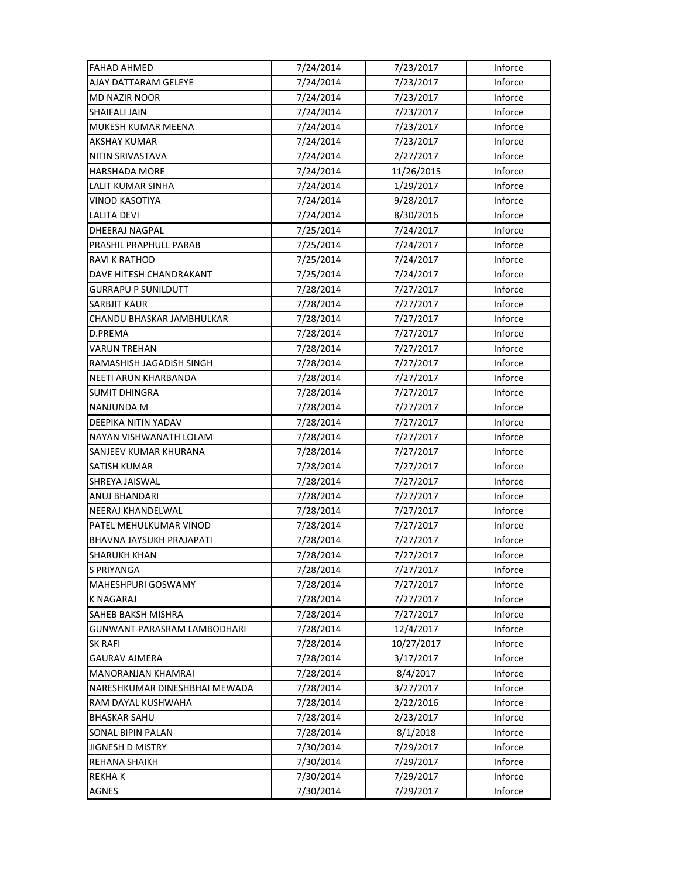| <b>FAHAD AHMED</b>                 | 7/24/2014 | 7/23/2017  | Inforce |
|------------------------------------|-----------|------------|---------|
| AJAY DATTARAM GELEYE               | 7/24/2014 | 7/23/2017  | Inforce |
| <b>MD NAZIR NOOR</b>               | 7/24/2014 | 7/23/2017  | Inforce |
| <b>SHAIFALI JAIN</b>               | 7/24/2014 | 7/23/2017  | Inforce |
| MUKESH KUMAR MEENA                 | 7/24/2014 | 7/23/2017  | Inforce |
| <b>AKSHAY KUMAR</b>                | 7/24/2014 | 7/23/2017  | Inforce |
| NITIN SRIVASTAVA                   | 7/24/2014 | 2/27/2017  | Inforce |
| <b>HARSHADA MORE</b>               | 7/24/2014 | 11/26/2015 | Inforce |
| LALIT KUMAR SINHA                  | 7/24/2014 | 1/29/2017  | Inforce |
| VINOD KASOTIYA                     | 7/24/2014 | 9/28/2017  | Inforce |
| <b>LALITA DEVI</b>                 | 7/24/2014 | 8/30/2016  | Inforce |
| <b>DHEERAJ NAGPAL</b>              | 7/25/2014 | 7/24/2017  | Inforce |
| PRASHIL PRAPHULL PARAB             | 7/25/2014 | 7/24/2017  | Inforce |
| RAVI K RATHOD                      | 7/25/2014 | 7/24/2017  | Inforce |
| DAVE HITESH CHANDRAKANT            | 7/25/2014 | 7/24/2017  | Inforce |
| <b>GURRAPU P SUNILDUTT</b>         | 7/28/2014 | 7/27/2017  | Inforce |
| <b>SARBJIT KAUR</b>                | 7/28/2014 | 7/27/2017  | Inforce |
| CHANDU BHASKAR JAMBHULKAR          | 7/28/2014 | 7/27/2017  | Inforce |
| D.PREMA                            | 7/28/2014 | 7/27/2017  | Inforce |
| VARUN TREHAN                       | 7/28/2014 | 7/27/2017  | Inforce |
| RAMASHISH JAGADISH SINGH           | 7/28/2014 | 7/27/2017  | Inforce |
| NEETI ARUN KHARBANDA               | 7/28/2014 | 7/27/2017  | Inforce |
| SUMIT DHINGRA                      | 7/28/2014 | 7/27/2017  | Inforce |
| <b>NANJUNDA M</b>                  | 7/28/2014 | 7/27/2017  | Inforce |
| DEEPIKA NITIN YADAV                | 7/28/2014 | 7/27/2017  | Inforce |
| NAYAN VISHWANATH LOLAM             | 7/28/2014 | 7/27/2017  | Inforce |
| SANJEEV KUMAR KHURANA              | 7/28/2014 | 7/27/2017  | Inforce |
| SATISH KUMAR                       | 7/28/2014 | 7/27/2017  | Inforce |
| SHREYA JAISWAL                     | 7/28/2014 | 7/27/2017  | Inforce |
| ANUJ BHANDARI                      | 7/28/2014 | 7/27/2017  | Inforce |
| NEERAJ KHANDELWAL                  | 7/28/2014 | 7/27/2017  | Inforce |
| PATEL MEHULKUMAR VINOD             | 7/28/2014 | 7/27/2017  | Inforce |
| BHAVNA JAYSUKH PRAJAPATI           | 7/28/2014 | 7/27/2017  | Inforce |
| <b>SHARUKH KHAN</b>                | 7/28/2014 | 7/27/2017  | Inforce |
| S PRIYANGA                         | 7/28/2014 | 7/27/2017  | Inforce |
| <b>MAHESHPURI GOSWAMY</b>          | 7/28/2014 | 7/27/2017  | Inforce |
| <b>K NAGARAJ</b>                   | 7/28/2014 | 7/27/2017  | Inforce |
| <b>SAHEB BAKSH MISHRA</b>          | 7/28/2014 | 7/27/2017  | Inforce |
| <b>GUNWANT PARASRAM LAMBODHARI</b> | 7/28/2014 | 12/4/2017  | Inforce |
| <b>SK RAFI</b>                     | 7/28/2014 | 10/27/2017 | Inforce |
| <b>GAURAV AJMERA</b>               | 7/28/2014 | 3/17/2017  | Inforce |
| MANORANJAN KHAMRAI                 | 7/28/2014 | 8/4/2017   | Inforce |
| NARESHKUMAR DINESHBHAI MEWADA      | 7/28/2014 | 3/27/2017  | Inforce |
| RAM DAYAL KUSHWAHA                 | 7/28/2014 | 2/22/2016  | Inforce |
| <b>BHASKAR SAHU</b>                | 7/28/2014 | 2/23/2017  | Inforce |
| SONAL BIPIN PALAN                  | 7/28/2014 | 8/1/2018   | Inforce |
| JIGNESH D MISTRY                   | 7/30/2014 | 7/29/2017  | Inforce |
| <b>REHANA SHAIKH</b>               | 7/30/2014 | 7/29/2017  | Inforce |
| <b>REKHAK</b>                      | 7/30/2014 | 7/29/2017  | Inforce |
| <b>AGNES</b>                       | 7/30/2014 | 7/29/2017  | Inforce |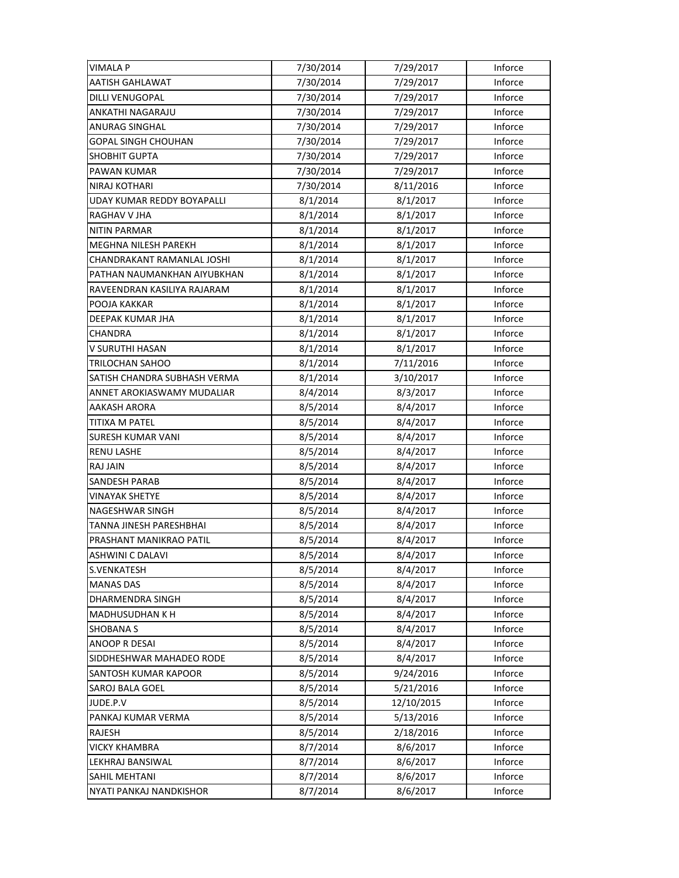| <b>VIMALA P</b>              | 7/30/2014 | 7/29/2017  | Inforce        |
|------------------------------|-----------|------------|----------------|
| AATISH GAHLAWAT              | 7/30/2014 | 7/29/2017  | Inforce        |
| DILLI VENUGOPAL              | 7/30/2014 | 7/29/2017  | Inforce        |
| ANKATHI NAGARAJU             | 7/30/2014 | 7/29/2017  | Inforce        |
| ANURAG SINGHAL               | 7/30/2014 | 7/29/2017  | Inforce        |
| <b>GOPAL SINGH CHOUHAN</b>   | 7/30/2014 | 7/29/2017  | Inforce        |
| SHOBHIT GUPTA                | 7/30/2014 | 7/29/2017  | Inforce        |
| PAWAN KUMAR                  | 7/30/2014 | 7/29/2017  | Inforce        |
| NIRAJ KOTHARI                | 7/30/2014 | 8/11/2016  | Inforce        |
| UDAY KUMAR REDDY BOYAPALLI   | 8/1/2014  | 8/1/2017   | Inforce        |
| RAGHAV V JHA                 | 8/1/2014  | 8/1/2017   | Inforce        |
| NITIN PARMAR                 | 8/1/2014  | 8/1/2017   | Inforce        |
| MEGHNA NILESH PAREKH         | 8/1/2014  | 8/1/2017   | Inforce        |
| CHANDRAKANT RAMANLAL JOSHI   | 8/1/2014  | 8/1/2017   | Inforce        |
| PATHAN NAUMANKHAN AIYUBKHAN  | 8/1/2014  | 8/1/2017   | Inforce        |
| RAVEENDRAN KASILIYA RAJARAM  | 8/1/2014  | 8/1/2017   | Inforce        |
| POOJA KAKKAR                 | 8/1/2014  | 8/1/2017   | Inforce        |
| DEEPAK KUMAR JHA             | 8/1/2014  | 8/1/2017   | Inforce        |
| CHANDRA                      | 8/1/2014  | 8/1/2017   | Inforce        |
| V SURUTHI HASAN              | 8/1/2014  | 8/1/2017   | Inforce        |
| TRILOCHAN SAHOO              | 8/1/2014  | 7/11/2016  | <b>Inforce</b> |
| SATISH CHANDRA SUBHASH VERMA | 8/1/2014  | 3/10/2017  | Inforce        |
| ANNET AROKIASWAMY MUDALIAR   | 8/4/2014  | 8/3/2017   | Inforce        |
| AAKASH ARORA                 | 8/5/2014  | 8/4/2017   | Inforce        |
| TITIXA M PATEL               | 8/5/2014  | 8/4/2017   | Inforce        |
| <b>SURESH KUMAR VANI</b>     | 8/5/2014  | 8/4/2017   | Inforce        |
| <b>RENU LASHE</b>            | 8/5/2014  | 8/4/2017   | Inforce        |
| RAJ JAIN                     | 8/5/2014  | 8/4/2017   | Inforce        |
| SANDESH PARAB                | 8/5/2014  | 8/4/2017   | Inforce        |
| VINAYAK SHETYE               | 8/5/2014  | 8/4/2017   | Inforce        |
| NAGESHWAR SINGH              | 8/5/2014  | 8/4/2017   | Inforce        |
| TANNA JINESH PARESHBHAI      | 8/5/2014  | 8/4/2017   | Inforce        |
| PRASHANT MANIKRAO PATIL      | 8/5/2014  | 8/4/2017   | Inforce        |
| ASHWINI C DALAVI             | 8/5/2014  | 8/4/2017   | Inforce        |
| S.VENKATESH                  | 8/5/2014  | 8/4/2017   | Inforce        |
| <b>MANAS DAS</b>             | 8/5/2014  | 8/4/2017   | Inforce        |
| DHARMENDRA SINGH             | 8/5/2014  | 8/4/2017   | Inforce        |
| MADHUSUDHAN K H              | 8/5/2014  | 8/4/2017   | Inforce        |
| <b>SHOBANA S</b>             | 8/5/2014  | 8/4/2017   | Inforce        |
| ANOOP R DESAI                | 8/5/2014  | 8/4/2017   | Inforce        |
| SIDDHESHWAR MAHADEO RODE     | 8/5/2014  | 8/4/2017   | Inforce        |
| SANTOSH KUMAR KAPOOR         | 8/5/2014  | 9/24/2016  | Inforce        |
| SAROJ BALA GOEL              | 8/5/2014  | 5/21/2016  | Inforce        |
| JUDE.P.V                     | 8/5/2014  | 12/10/2015 | Inforce        |
| PANKAJ KUMAR VERMA           | 8/5/2014  | 5/13/2016  | Inforce        |
| RAJESH                       | 8/5/2014  | 2/18/2016  | Inforce        |
| <b>VICKY KHAMBRA</b>         | 8/7/2014  | 8/6/2017   | Inforce        |
| LEKHRAJ BANSIWAL             | 8/7/2014  | 8/6/2017   | Inforce        |
| SAHIL MEHTANI                | 8/7/2014  | 8/6/2017   | Inforce        |
| NYATI PANKAJ NANDKISHOR      | 8/7/2014  | 8/6/2017   | Inforce        |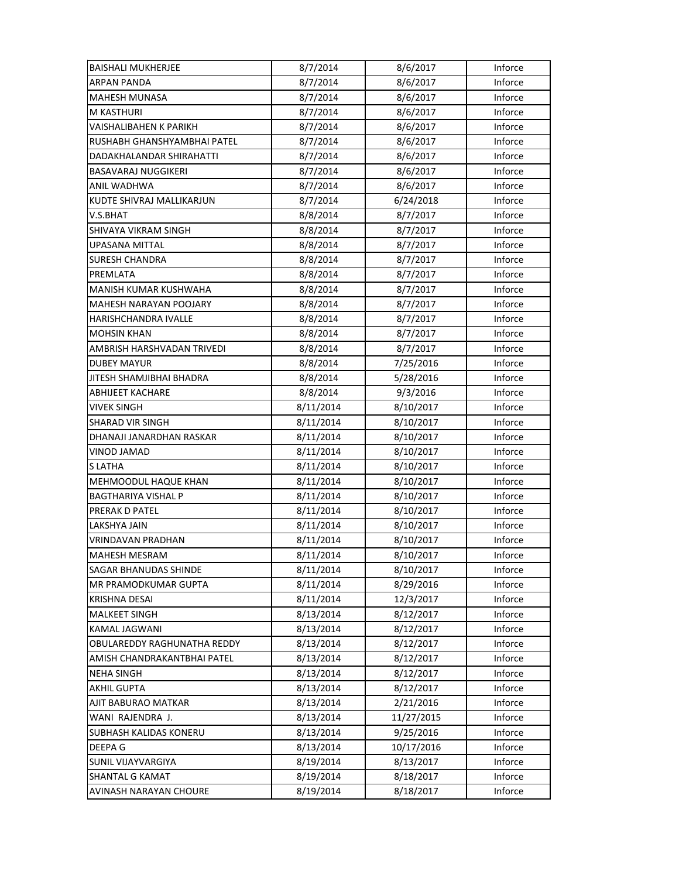| <b>BAISHALI MUKHERJEE</b>   | 8/7/2014  | 8/6/2017   | Inforce |
|-----------------------------|-----------|------------|---------|
| <b>ARPAN PANDA</b>          | 8/7/2014  | 8/6/2017   | Inforce |
| <b>MAHESH MUNASA</b>        | 8/7/2014  | 8/6/2017   | Inforce |
| M KASTHURI                  | 8/7/2014  | 8/6/2017   | Inforce |
| VAISHALIBAHEN K PARIKH      | 8/7/2014  | 8/6/2017   | Inforce |
| RUSHABH GHANSHYAMBHAI PATEL | 8/7/2014  | 8/6/2017   | Inforce |
| DADAKHALANDAR SHIRAHATTI    | 8/7/2014  | 8/6/2017   | Inforce |
| <b>BASAVARAJ NUGGIKERI</b>  | 8/7/2014  | 8/6/2017   | Inforce |
| ANIL WADHWA                 | 8/7/2014  | 8/6/2017   | Inforce |
| KUDTE SHIVRAJ MALLIKARJUN   | 8/7/2014  | 6/24/2018  | Inforce |
| V.S.BHAT                    | 8/8/2014  | 8/7/2017   | Inforce |
| SHIVAYA VIKRAM SINGH        | 8/8/2014  | 8/7/2017   | Inforce |
| UPASANA MITTAL              | 8/8/2014  | 8/7/2017   | Inforce |
| <b>SURESH CHANDRA</b>       | 8/8/2014  | 8/7/2017   | Inforce |
| PREMLATA                    | 8/8/2014  | 8/7/2017   | Inforce |
| MANISH KUMAR KUSHWAHA       | 8/8/2014  | 8/7/2017   | Inforce |
| MAHESH NARAYAN POOJARY      | 8/8/2014  | 8/7/2017   | Inforce |
| HARISHCHANDRA IVALLE        | 8/8/2014  | 8/7/2017   | Inforce |
| <b>MOHSIN KHAN</b>          | 8/8/2014  | 8/7/2017   | Inforce |
| AMBRISH HARSHVADAN TRIVEDI  | 8/8/2014  | 8/7/2017   | Inforce |
| <b>DUBEY MAYUR</b>          | 8/8/2014  | 7/25/2016  | Inforce |
| JITESH SHAMJIBHAI BHADRA    | 8/8/2014  | 5/28/2016  | Inforce |
| <b>ABHIJEET KACHARE</b>     | 8/8/2014  | 9/3/2016   | Inforce |
| VIVEK SINGH                 | 8/11/2014 | 8/10/2017  | Inforce |
| <b>SHARAD VIR SINGH</b>     | 8/11/2014 | 8/10/2017  | Inforce |
| DHANAJI JANARDHAN RASKAR    | 8/11/2014 | 8/10/2017  | Inforce |
| <b>VINOD JAMAD</b>          | 8/11/2014 | 8/10/2017  | Inforce |
| S LATHA                     | 8/11/2014 | 8/10/2017  | Inforce |
| MEHMOODUL HAQUE KHAN        | 8/11/2014 | 8/10/2017  | Inforce |
| BAGTHARIYA VISHAL P         | 8/11/2014 | 8/10/2017  | Inforce |
| PRERAK D PATEL              | 8/11/2014 | 8/10/2017  | Inforce |
| <b>LAKSHYA JAIN</b>         | 8/11/2014 | 8/10/2017  | Inforce |
| VRINDAVAN PRADHAN           | 8/11/2014 | 8/10/2017  | Inforce |
| <b>MAHESH MESRAM</b>        | 8/11/2014 | 8/10/2017  | Inforce |
| SAGAR BHANUDAS SHINDE       | 8/11/2014 | 8/10/2017  | Inforce |
| <b>MR PRAMODKUMAR GUPTA</b> | 8/11/2014 | 8/29/2016  | Inforce |
| <b>KRISHNA DESAI</b>        | 8/11/2014 | 12/3/2017  | Inforce |
| <b>MALKEET SINGH</b>        | 8/13/2014 | 8/12/2017  | Inforce |
| KAMAL JAGWANI               | 8/13/2014 | 8/12/2017  | Inforce |
| OBULAREDDY RAGHUNATHA REDDY | 8/13/2014 | 8/12/2017  | Inforce |
| AMISH CHANDRAKANTBHAI PATEL | 8/13/2014 | 8/12/2017  | Inforce |
| <b>NEHA SINGH</b>           | 8/13/2014 | 8/12/2017  | Inforce |
| <b>AKHIL GUPTA</b>          | 8/13/2014 | 8/12/2017  | Inforce |
| AJIT BABURAO MATKAR         | 8/13/2014 | 2/21/2016  | Inforce |
| WANI RAJENDRA J.            | 8/13/2014 | 11/27/2015 | Inforce |
| SUBHASH KALIDAS KONERU      | 8/13/2014 | 9/25/2016  | Inforce |
| DEEPA G                     | 8/13/2014 | 10/17/2016 | Inforce |
| <b>SUNIL VIJAYVARGIYA</b>   | 8/19/2014 | 8/13/2017  | Inforce |
| <b>SHANTAL G KAMAT</b>      | 8/19/2014 | 8/18/2017  | Inforce |
| AVINASH NARAYAN CHOURE      | 8/19/2014 | 8/18/2017  | Inforce |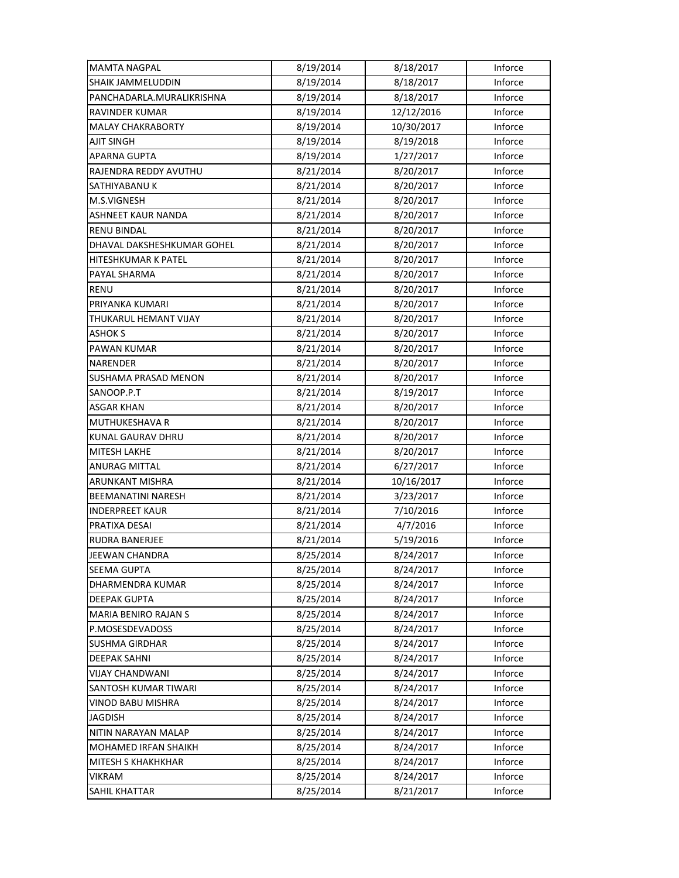| <b>MAMTA NAGPAL</b>        | 8/19/2014 | 8/18/2017  | Inforce |
|----------------------------|-----------|------------|---------|
| <b>SHAIK JAMMELUDDIN</b>   | 8/19/2014 | 8/18/2017  | Inforce |
| PANCHADARLA.MURALIKRISHNA  | 8/19/2014 | 8/18/2017  | Inforce |
| RAVINDER KUMAR             | 8/19/2014 | 12/12/2016 | Inforce |
| <b>MALAY CHAKRABORTY</b>   | 8/19/2014 | 10/30/2017 | Inforce |
| <b>AJIT SINGH</b>          | 8/19/2014 | 8/19/2018  | Inforce |
| <b>APARNA GUPTA</b>        | 8/19/2014 | 1/27/2017  | Inforce |
| RAJENDRA REDDY AVUTHU      | 8/21/2014 | 8/20/2017  | Inforce |
| SATHIYABANU K              | 8/21/2014 | 8/20/2017  | Inforce |
| M.S.VIGNESH                | 8/21/2014 | 8/20/2017  | Inforce |
| <b>ASHNEET KAUR NANDA</b>  | 8/21/2014 | 8/20/2017  | Inforce |
| <b>RENU BINDAL</b>         | 8/21/2014 | 8/20/2017  | Inforce |
| DHAVAL DAKSHESHKUMAR GOHEL | 8/21/2014 | 8/20/2017  | Inforce |
| HITESHKUMAR K PATEL        | 8/21/2014 | 8/20/2017  | Inforce |
| PAYAL SHARMA               | 8/21/2014 | 8/20/2017  | Inforce |
| <b>RENU</b>                | 8/21/2014 | 8/20/2017  | Inforce |
| PRIYANKA KUMARI            | 8/21/2014 | 8/20/2017  | Inforce |
| THUKARUL HEMANT VIJAY      | 8/21/2014 | 8/20/2017  | Inforce |
| <b>ASHOK S</b>             | 8/21/2014 | 8/20/2017  | Inforce |
| PAWAN KUMAR                | 8/21/2014 | 8/20/2017  | Inforce |
| NARENDER                   | 8/21/2014 | 8/20/2017  | Inforce |
| SUSHAMA PRASAD MENON       | 8/21/2014 | 8/20/2017  | Inforce |
| SANOOP.P.T                 | 8/21/2014 | 8/19/2017  | Inforce |
| <b>ASGAR KHAN</b>          | 8/21/2014 | 8/20/2017  | Inforce |
| <b>MUTHUKESHAVA R</b>      | 8/21/2014 | 8/20/2017  | Inforce |
| <b>KUNAL GAURAV DHRU</b>   | 8/21/2014 | 8/20/2017  | Inforce |
| MITESH LAKHE               | 8/21/2014 | 8/20/2017  | Inforce |
| <b>ANURAG MITTAL</b>       | 8/21/2014 | 6/27/2017  | Inforce |
| ARUNKANT MISHRA            | 8/21/2014 | 10/16/2017 | Inforce |
| <b>BEEMANATINI NARESH</b>  | 8/21/2014 | 3/23/2017  | Inforce |
| <b>INDERPREET KAUR</b>     | 8/21/2014 | 7/10/2016  | Inforce |
| PRATIXA DESAI              | 8/21/2014 | 4/7/2016   | Inforce |
| <b>RUDRA BANERJEE</b>      | 8/21/2014 | 5/19/2016  | Inforce |
| JEEWAN CHANDRA             | 8/25/2014 | 8/24/2017  | Inforce |
| <b>SEEMA GUPTA</b>         | 8/25/2014 | 8/24/2017  | Inforce |
| <b>DHARMENDRA KUMAR</b>    | 8/25/2014 | 8/24/2017  | Inforce |
| <b>DEEPAK GUPTA</b>        | 8/25/2014 | 8/24/2017  | Inforce |
| MARIA BENIRO RAJAN S       | 8/25/2014 | 8/24/2017  | Inforce |
| P.MOSESDEVADOSS            | 8/25/2014 | 8/24/2017  | Inforce |
| <b>SUSHMA GIRDHAR</b>      | 8/25/2014 | 8/24/2017  | Inforce |
| <b>DEEPAK SAHNI</b>        | 8/25/2014 | 8/24/2017  | Inforce |
| <b>VIJAY CHANDWANI</b>     | 8/25/2014 | 8/24/2017  | Inforce |
| SANTOSH KUMAR TIWARI       | 8/25/2014 | 8/24/2017  | Inforce |
| VINOD BABU MISHRA          | 8/25/2014 | 8/24/2017  | Inforce |
| <b>JAGDISH</b>             | 8/25/2014 | 8/24/2017  | Inforce |
| NITIN NARAYAN MALAP        | 8/25/2014 | 8/24/2017  | Inforce |
| MOHAMED IRFAN SHAIKH       | 8/25/2014 | 8/24/2017  | Inforce |
| <b>MITESH S KHAKHKHAR</b>  | 8/25/2014 | 8/24/2017  | Inforce |
| <b>VIKRAM</b>              | 8/25/2014 | 8/24/2017  | Inforce |
| SAHIL KHATTAR              | 8/25/2014 | 8/21/2017  | Inforce |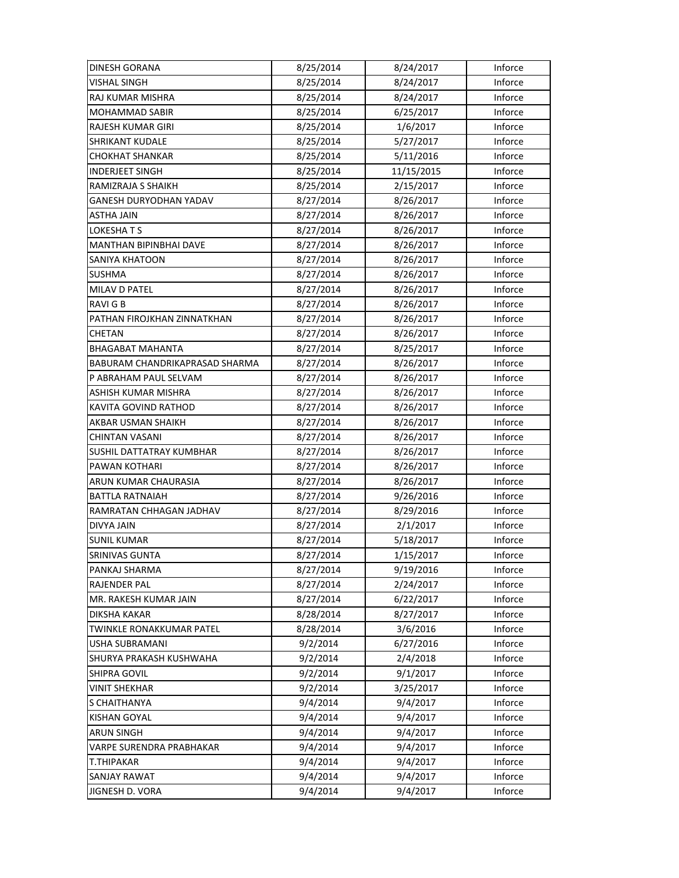| DINESH GORANA                   | 8/25/2014 | 8/24/2017  | Inforce |
|---------------------------------|-----------|------------|---------|
| <b>VISHAL SINGH</b>             | 8/25/2014 | 8/24/2017  | Inforce |
| RAJ KUMAR MISHRA                | 8/25/2014 | 8/24/2017  | Inforce |
| MOHAMMAD SABIR                  | 8/25/2014 | 6/25/2017  | Inforce |
| RAJESH KUMAR GIRI               | 8/25/2014 | 1/6/2017   | Inforce |
| <b>SHRIKANT KUDALE</b>          | 8/25/2014 | 5/27/2017  | Inforce |
| <b>CHOKHAT SHANKAR</b>          | 8/25/2014 | 5/11/2016  | Inforce |
| <b>INDERJEET SINGH</b>          | 8/25/2014 | 11/15/2015 | Inforce |
| RAMIZRAJA S SHAIKH              | 8/25/2014 | 2/15/2017  | Inforce |
| GANESH DURYODHAN YADAV          | 8/27/2014 | 8/26/2017  | Inforce |
| ASTHA JAIN                      | 8/27/2014 | 8/26/2017  | Inforce |
| LOKESHATS                       | 8/27/2014 | 8/26/2017  | Inforce |
| MANTHAN BIPINBHAI DAVE          | 8/27/2014 | 8/26/2017  | Inforce |
| SANIYA KHATOON                  | 8/27/2014 | 8/26/2017  | Inforce |
| <b>SUSHMA</b>                   | 8/27/2014 | 8/26/2017  | Inforce |
| MILAV D PATEL                   | 8/27/2014 | 8/26/2017  | Inforce |
| RAVI G B                        | 8/27/2014 | 8/26/2017  | Inforce |
| PATHAN FIROJKHAN ZINNATKHAN     | 8/27/2014 | 8/26/2017  | Inforce |
| CHETAN                          | 8/27/2014 | 8/26/2017  | Inforce |
| <b>BHAGABAT MAHANTA</b>         | 8/27/2014 | 8/25/2017  | Inforce |
| BABURAM CHANDRIKAPRASAD SHARMA  | 8/27/2014 | 8/26/2017  | Inforce |
| P ABRAHAM PAUL SELVAM           | 8/27/2014 | 8/26/2017  | Inforce |
| ASHISH KUMAR MISHRA             | 8/27/2014 | 8/26/2017  | Inforce |
| KAVITA GOVIND RATHOD            | 8/27/2014 | 8/26/2017  | Inforce |
| AKBAR USMAN SHAIKH              | 8/27/2014 | 8/26/2017  | Inforce |
| <b>CHINTAN VASANI</b>           | 8/27/2014 | 8/26/2017  | Inforce |
| <b>SUSHIL DATTATRAY KUMBHAR</b> | 8/27/2014 | 8/26/2017  | Inforce |
| PAWAN KOTHARI                   | 8/27/2014 | 8/26/2017  | Inforce |
| ARUN KUMAR CHAURASIA            | 8/27/2014 | 8/26/2017  | Inforce |
| <b>BATTLA RATNAIAH</b>          | 8/27/2014 | 9/26/2016  | Inforce |
| RAMRATAN CHHAGAN JADHAV         | 8/27/2014 | 8/29/2016  | Inforce |
| <b>DIVYA JAIN</b>               | 8/27/2014 | 2/1/2017   | Inforce |
| <b>SUNIL KUMAR</b>              | 8/27/2014 | 5/18/2017  | Inforce |
| SRINIVAS GUNTA                  | 8/27/2014 | 1/15/2017  | Inforce |
| PANKAJ SHARMA                   | 8/27/2014 | 9/19/2016  | Inforce |
| RAJENDER PAL                    | 8/27/2014 | 2/24/2017  | Inforce |
| MR. RAKESH KUMAR JAIN           | 8/27/2014 | 6/22/2017  | Inforce |
| DIKSHA KAKAR                    | 8/28/2014 | 8/27/2017  | Inforce |
| TWINKLE RONAKKUMAR PATEL        | 8/28/2014 | 3/6/2016   | Inforce |
| <b>USHA SUBRAMANI</b>           | 9/2/2014  | 6/27/2016  | Inforce |
| SHURYA PRAKASH KUSHWAHA         | 9/2/2014  | 2/4/2018   | Inforce |
| SHIPRA GOVIL                    | 9/2/2014  | 9/1/2017   | Inforce |
| <b>VINIT SHEKHAR</b>            | 9/2/2014  | 3/25/2017  | Inforce |
| S CHAITHANYA                    | 9/4/2014  | 9/4/2017   | Inforce |
| KISHAN GOYAL                    | 9/4/2014  | 9/4/2017   | Inforce |
| <b>ARUN SINGH</b>               | 9/4/2014  | 9/4/2017   | Inforce |
| VARPE SURENDRA PRABHAKAR        | 9/4/2014  | 9/4/2017   | Inforce |
| <b>T.THIPAKAR</b>               | 9/4/2014  | 9/4/2017   | Inforce |
| <b>SANJAY RAWAT</b>             | 9/4/2014  | 9/4/2017   | Inforce |
| JIGNESH D. VORA                 | 9/4/2014  | 9/4/2017   | Inforce |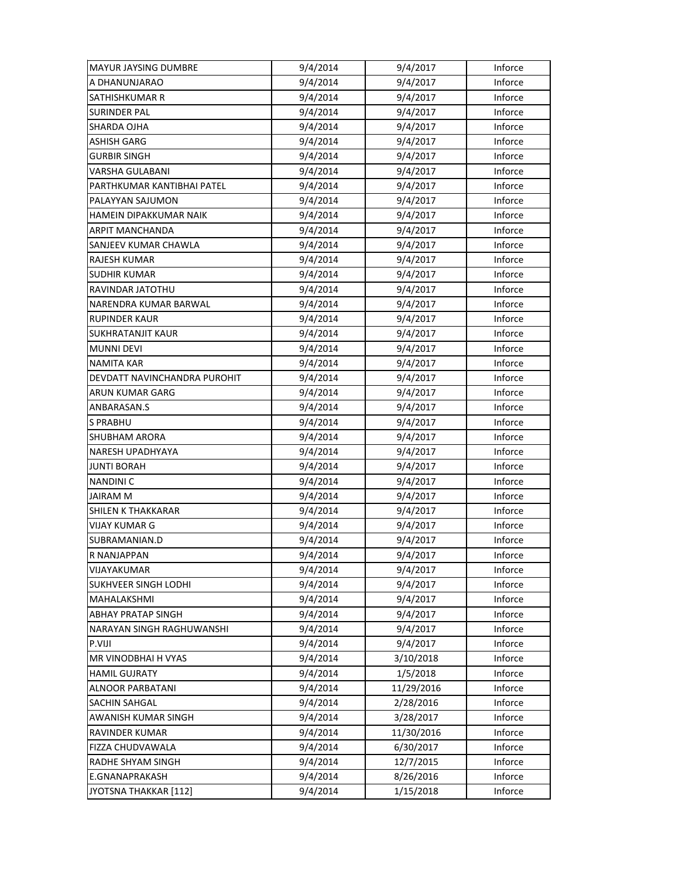| <b>MAYUR JAYSING DUMBRE</b>      | 9/4/2014 | 9/4/2017   | Inforce |
|----------------------------------|----------|------------|---------|
| A DHANUNJARAO                    | 9/4/2014 | 9/4/2017   | Inforce |
| SATHISHKUMAR R                   | 9/4/2014 | 9/4/2017   | Inforce |
| SURINDER PAL                     | 9/4/2014 | 9/4/2017   | Inforce |
| SHARDA OJHA                      | 9/4/2014 | 9/4/2017   | Inforce |
| <b>ASHISH GARG</b>               | 9/4/2014 | 9/4/2017   | Inforce |
| <b>GURBIR SINGH</b>              | 9/4/2014 | 9/4/2017   | Inforce |
| <b>VARSHA GULABANI</b>           | 9/4/2014 | 9/4/2017   | Inforce |
| PARTHKUMAR KANTIBHAI PATEL       | 9/4/2014 | 9/4/2017   | Inforce |
| PALAYYAN SAJUMON                 | 9/4/2014 | 9/4/2017   | Inforce |
| HAMEIN DIPAKKUMAR NAIK           | 9/4/2014 | 9/4/2017   | Inforce |
| ARPIT MANCHANDA                  | 9/4/2014 | 9/4/2017   | Inforce |
| SANJEEV KUMAR CHAWLA             | 9/4/2014 | 9/4/2017   | Inforce |
| <b>RAJESH KUMAR</b>              | 9/4/2014 | 9/4/2017   | Inforce |
| <b>SUDHIR KUMAR</b>              | 9/4/2014 | 9/4/2017   | Inforce |
| RAVINDAR JATOTHU                 | 9/4/2014 | 9/4/2017   | Inforce |
| NARENDRA KUMAR BARWAL            | 9/4/2014 | 9/4/2017   | Inforce |
| <b>RUPINDER KAUR</b>             | 9/4/2014 | 9/4/2017   | Inforce |
| SUKHRATANJIT KAUR                | 9/4/2014 | 9/4/2017   | Inforce |
| <b>MUNNI DEVI</b>                | 9/4/2014 | 9/4/2017   | Inforce |
| <b>NAMITA KAR</b>                | 9/4/2014 | 9/4/2017   | Inforce |
| DEVDATT NAVINCHANDRA PUROHIT     | 9/4/2014 | 9/4/2017   | Inforce |
| ARUN KUMAR GARG                  | 9/4/2014 | 9/4/2017   | Inforce |
| ANBARASAN.S                      | 9/4/2014 | 9/4/2017   | Inforce |
| <b>S PRABHU</b>                  | 9/4/2014 | 9/4/2017   | Inforce |
| <b>SHUBHAM ARORA</b>             | 9/4/2014 | 9/4/2017   | Inforce |
| NARESH UPADHYAYA                 | 9/4/2014 | 9/4/2017   | Inforce |
| JUNTI BORAH                      | 9/4/2014 | 9/4/2017   | Inforce |
| <b>NANDINIC</b>                  | 9/4/2014 | 9/4/2017   | Inforce |
| <b>JAIRAM M</b>                  | 9/4/2014 | 9/4/2017   | Inforce |
| <b>SHILEN K THAKKARAR</b>        | 9/4/2014 | 9/4/2017   | Inforce |
| <b>VIJAY KUMAR G</b>             | 9/4/2014 | 9/4/2017   | Inforce |
| SUBRAMANIAN.D                    | 9/4/2014 | 9/4/2017   | Inforce |
| R NANJAPPAN                      | 9/4/2014 | 9/4/2017   | Inforce |
| VIJAYAKUMAR                      | 9/4/2014 | 9/4/2017   | Inforce |
| <b>SUKHVEER SINGH LODHI</b>      | 9/4/2014 | 9/4/2017   | Inforce |
| MAHALAKSHMI                      | 9/4/2014 | 9/4/2017   | Inforce |
| <b>ABHAY PRATAP SINGH</b>        | 9/4/2014 | 9/4/2017   | Inforce |
| <b>NARAYAN SINGH RAGHUWANSHI</b> | 9/4/2014 | 9/4/2017   | Inforce |
| P.VIJI                           | 9/4/2014 | 9/4/2017   | Inforce |
| MR VINODBHAI H VYAS              | 9/4/2014 | 3/10/2018  | Inforce |
| <b>HAMIL GUJRATY</b>             | 9/4/2014 | 1/5/2018   | Inforce |
| <b>ALNOOR PARBATANI</b>          | 9/4/2014 | 11/29/2016 | Inforce |
| SACHIN SAHGAL                    | 9/4/2014 | 2/28/2016  | Inforce |
| AWANISH KUMAR SINGH              | 9/4/2014 | 3/28/2017  | Inforce |
| RAVINDER KUMAR                   | 9/4/2014 | 11/30/2016 | Inforce |
| FIZZA CHUDVAWALA                 | 9/4/2014 | 6/30/2017  | Inforce |
| RADHE SHYAM SINGH                | 9/4/2014 | 12/7/2015  | Inforce |
| <b>E.GNANAPRAKASH</b>            | 9/4/2014 | 8/26/2016  | Inforce |
| JYOTSNA THAKKAR [112]            | 9/4/2014 | 1/15/2018  | Inforce |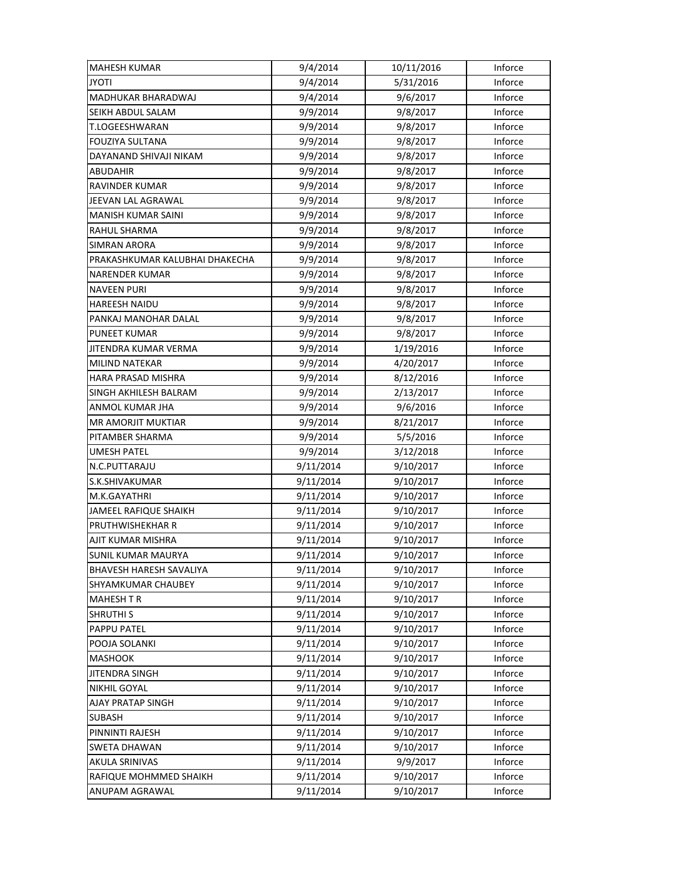| <b>MAHESH KUMAR</b>            | 9/4/2014  | 10/11/2016 | Inforce |
|--------------------------------|-----------|------------|---------|
| <b>ITOYL</b>                   | 9/4/2014  | 5/31/2016  | Inforce |
| MADHUKAR BHARADWAJ             | 9/4/2014  | 9/6/2017   | Inforce |
| SEIKH ABDUL SALAM              | 9/9/2014  | 9/8/2017   | Inforce |
| T.LOGEESHWARAN                 | 9/9/2014  | 9/8/2017   | Inforce |
| <b>FOUZIYA SULTANA</b>         | 9/9/2014  | 9/8/2017   | Inforce |
| DAYANAND SHIVAJI NIKAM         | 9/9/2014  | 9/8/2017   | Inforce |
| <b>ABUDAHIR</b>                | 9/9/2014  | 9/8/2017   | Inforce |
| <b>RAVINDER KUMAR</b>          | 9/9/2014  | 9/8/2017   | Inforce |
| JEEVAN LAL AGRAWAL             | 9/9/2014  | 9/8/2017   | Inforce |
| <b>MANISH KUMAR SAINI</b>      | 9/9/2014  | 9/8/2017   | Inforce |
| RAHUL SHARMA                   | 9/9/2014  | 9/8/2017   | Inforce |
| SIMRAN ARORA                   | 9/9/2014  | 9/8/2017   | Inforce |
| PRAKASHKUMAR KALUBHAI DHAKECHA | 9/9/2014  | 9/8/2017   | Inforce |
| <b>NARENDER KUMAR</b>          | 9/9/2014  | 9/8/2017   | Inforce |
| <b>NAVEEN PURI</b>             | 9/9/2014  | 9/8/2017   | Inforce |
| <b>HAREESH NAIDU</b>           | 9/9/2014  | 9/8/2017   | Inforce |
| PANKAJ MANOHAR DALAL           | 9/9/2014  | 9/8/2017   | Inforce |
| <b>PUNEET KUMAR</b>            | 9/9/2014  | 9/8/2017   | Inforce |
| JITENDRA KUMAR VERMA           | 9/9/2014  | 1/19/2016  | Inforce |
| <b>MILIND NATEKAR</b>          | 9/9/2014  | 4/20/2017  | Inforce |
| <b>HARA PRASAD MISHRA</b>      | 9/9/2014  | 8/12/2016  | Inforce |
| SINGH AKHILESH BALRAM          | 9/9/2014  | 2/13/2017  | Inforce |
| ANMOL KUMAR JHA                | 9/9/2014  | 9/6/2016   | Inforce |
| <b>MR AMORJIT MUKTIAR</b>      | 9/9/2014  | 8/21/2017  | Inforce |
| PITAMBER SHARMA                | 9/9/2014  | 5/5/2016   | Inforce |
| <b>UMESH PATEL</b>             | 9/9/2014  | 3/12/2018  | Inforce |
| N.C.PUTTARAJU                  | 9/11/2014 | 9/10/2017  | Inforce |
| S.K.SHIVAKUMAR                 | 9/11/2014 | 9/10/2017  | Inforce |
| M.K.GAYATHRI                   | 9/11/2014 | 9/10/2017  | Inforce |
| JAMEEL RAFIQUE SHAIKH          | 9/11/2014 | 9/10/2017  | Inforce |
| PRUTHWISHEKHAR R               | 9/11/2014 | 9/10/2017  | Inforce |
| AJIT KUMAR MISHRA              | 9/11/2014 | 9/10/2017  | Inforce |
| <b>SUNIL KUMAR MAURYA</b>      | 9/11/2014 | 9/10/2017  | Inforce |
| <b>BHAVESH HARESH SAVALIYA</b> | 9/11/2014 | 9/10/2017  | Inforce |
| SHYAMKUMAR CHAUBEY             | 9/11/2014 | 9/10/2017  | Inforce |
| <b>MAHESH T R</b>              | 9/11/2014 | 9/10/2017  | Inforce |
| <b>SHRUTHI S</b>               | 9/11/2014 | 9/10/2017  | Inforce |
| PAPPU PATEL                    | 9/11/2014 | 9/10/2017  | Inforce |
| POOJA SOLANKI                  | 9/11/2014 | 9/10/2017  | Inforce |
| <b>MASHOOK</b>                 | 9/11/2014 | 9/10/2017  | Inforce |
| <b>JITENDRA SINGH</b>          | 9/11/2014 | 9/10/2017  | Inforce |
| <b>NIKHIL GOYAL</b>            | 9/11/2014 | 9/10/2017  | Inforce |
| AJAY PRATAP SINGH              | 9/11/2014 | 9/10/2017  | Inforce |
| <b>SUBASH</b>                  | 9/11/2014 | 9/10/2017  | Inforce |
| PINNINTI RAJESH                | 9/11/2014 | 9/10/2017  | Inforce |
| <b>SWETA DHAWAN</b>            | 9/11/2014 | 9/10/2017  | Inforce |
| AKULA SRINIVAS                 | 9/11/2014 | 9/9/2017   | Inforce |
| RAFIQUE MOHMMED SHAIKH         | 9/11/2014 | 9/10/2017  | Inforce |
| ANUPAM AGRAWAL                 | 9/11/2014 | 9/10/2017  | Inforce |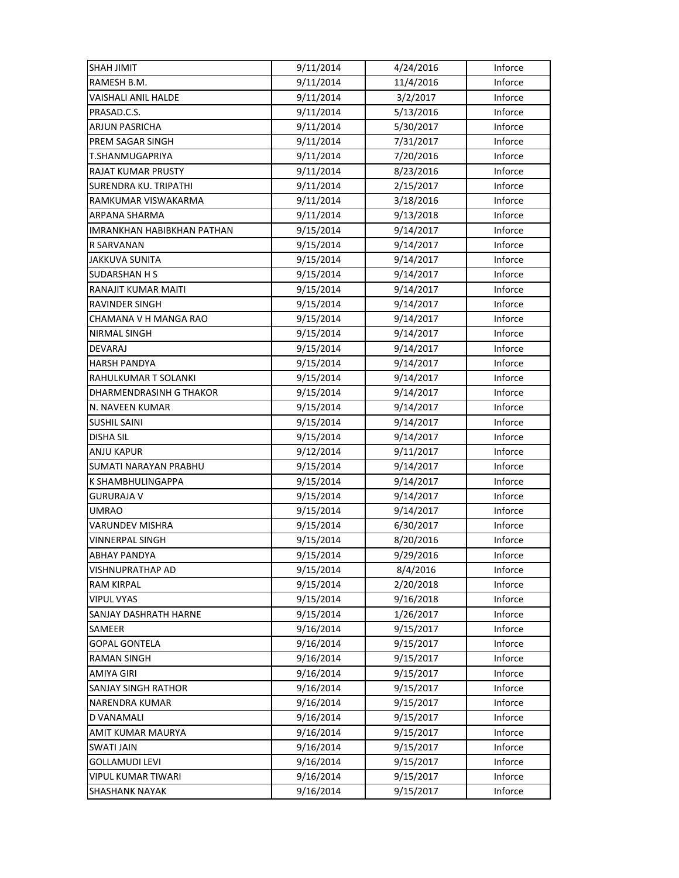| <b>SHAH JIMIT</b>            | 9/11/2014 | 4/24/2016              | Inforce            |
|------------------------------|-----------|------------------------|--------------------|
| RAMESH B.M.                  | 9/11/2014 | 11/4/2016              | Inforce            |
| VAISHALI ANIL HALDE          | 9/11/2014 | 3/2/2017               | Inforce            |
| PRASAD.C.S.                  | 9/11/2014 | 5/13/2016              | Inforce            |
| ARJUN PASRICHA               | 9/11/2014 | 5/30/2017              | Inforce            |
| PREM SAGAR SINGH             | 9/11/2014 | 7/31/2017              | Inforce            |
| T.SHANMUGAPRIYA              | 9/11/2014 | 7/20/2016              | Inforce            |
| <b>RAJAT KUMAR PRUSTY</b>    | 9/11/2014 | 8/23/2016              | Inforce            |
| SURENDRA KU. TRIPATHI        | 9/11/2014 | 2/15/2017              | Inforce            |
| RAMKUMAR VISWAKARMA          | 9/11/2014 | 3/18/2016              | Inforce            |
| ARPANA SHARMA                | 9/11/2014 | 9/13/2018              | Inforce            |
| IMRANKHAN HABIBKHAN PATHAN   | 9/15/2014 | 9/14/2017              | Inforce            |
| R SARVANAN                   | 9/15/2014 | 9/14/2017              | Inforce            |
| JAKKUVA SUNITA               | 9/15/2014 | 9/14/2017              | Inforce            |
| <b>SUDARSHAN H S</b>         | 9/15/2014 | 9/14/2017              | Inforce            |
| RANAJIT KUMAR MAITI          | 9/15/2014 | 9/14/2017              | Inforce            |
| RAVINDER SINGH               | 9/15/2014 | 9/14/2017              | Inforce            |
| CHAMANA V H MANGA RAO        | 9/15/2014 | 9/14/2017              | Inforce            |
| NIRMAL SINGH                 | 9/15/2014 | 9/14/2017              | Inforce            |
| <b>DEVARAJ</b>               | 9/15/2014 | 9/14/2017              | Inforce            |
| <b>HARSH PANDYA</b>          | 9/15/2014 | 9/14/2017              | Inforce            |
| RAHULKUMAR T SOLANKI         | 9/15/2014 | 9/14/2017              | Inforce            |
| DHARMENDRASINH G THAKOR      | 9/15/2014 | 9/14/2017              | Inforce            |
| N. NAVEEN KUMAR              | 9/15/2014 | 9/14/2017              | Inforce            |
| <b>SUSHIL SAINI</b>          | 9/15/2014 | 9/14/2017              | Inforce            |
| <b>DISHA SIL</b>             | 9/15/2014 | 9/14/2017              | Inforce            |
| <b>ANJU KAPUR</b>            | 9/12/2014 | 9/11/2017              | Inforce            |
| SUMATI NARAYAN PRABHU        | 9/15/2014 | 9/14/2017              | Inforce            |
| K SHAMBHULINGAPPA            | 9/15/2014 | 9/14/2017              | Inforce            |
|                              |           |                        |                    |
| <b>GURURAJA V</b>            | 9/15/2014 | 9/14/2017              | Inforce            |
| <b>UMRAO</b>                 | 9/15/2014 | 9/14/2017              | Inforce            |
| VARUNDEV MISHRA              | 9/15/2014 | 6/30/2017              | Inforce            |
| <b>VINNERPAL SINGH</b>       | 9/15/2014 | 8/20/2016              | Inforce            |
| <b>ABHAY PANDYA</b>          | 9/15/2014 | 9/29/2016              | Inforce            |
| VISHNUPRATHAP AD             | 9/15/2014 | 8/4/2016               | Inforce            |
| <b>RAM KIRPAL</b>            | 9/15/2014 | 2/20/2018              | Inforce            |
| <b>VIPUL VYAS</b>            | 9/15/2014 | 9/16/2018              | Inforce            |
| <b>SANJAY DASHRATH HARNE</b> | 9/15/2014 | 1/26/2017              | Inforce            |
| SAMEER                       | 9/16/2014 | 9/15/2017              | Inforce            |
| <b>GOPAL GONTELA</b>         | 9/16/2014 | 9/15/2017              | Inforce            |
| <b>RAMAN SINGH</b>           | 9/16/2014 | 9/15/2017              | Inforce            |
| AMIYA GIRI                   | 9/16/2014 | 9/15/2017              | Inforce            |
| SANJAY SINGH RATHOR          | 9/16/2014 | 9/15/2017              | Inforce            |
| <b>NARENDRA KUMAR</b>        | 9/16/2014 | 9/15/2017              | Inforce            |
| D VANAMALI                   | 9/16/2014 | 9/15/2017              | Inforce            |
| AMIT KUMAR MAURYA            | 9/16/2014 | 9/15/2017              | Inforce            |
| <b>SWATI JAIN</b>            | 9/16/2014 | 9/15/2017              | Inforce            |
| <b>GOLLAMUDI LEVI</b>        | 9/16/2014 | 9/15/2017              | Inforce            |
| VIPUL KUMAR TIWARI           | 9/16/2014 | 9/15/2017<br>9/15/2017 | Inforce<br>Inforce |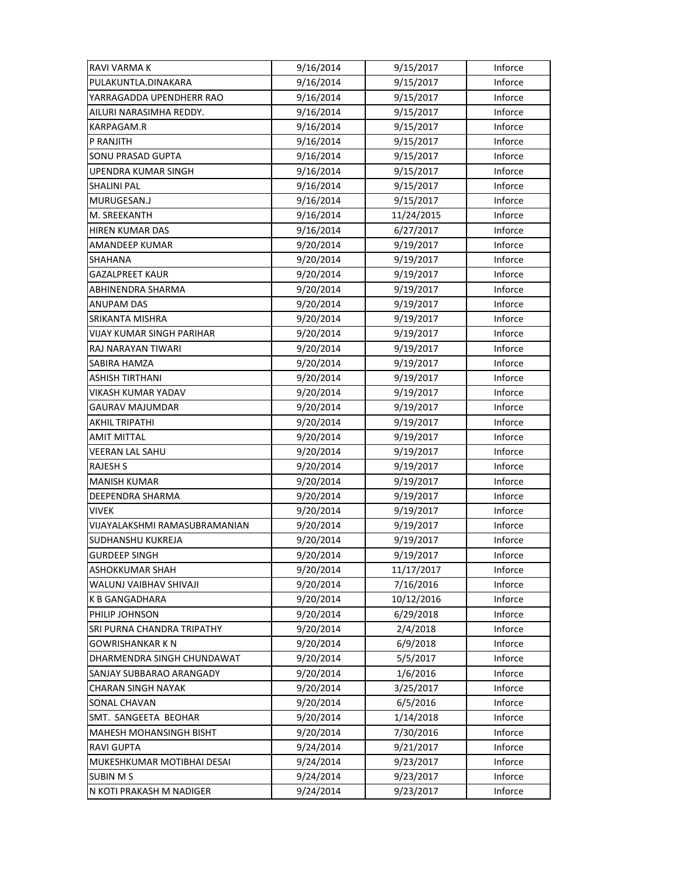| RAVI VARMA K                     | 9/16/2014 | 9/15/2017  | Inforce |
|----------------------------------|-----------|------------|---------|
| PULAKUNTLA.DINAKARA              | 9/16/2014 | 9/15/2017  | Inforce |
| YARRAGADDA UPENDHERR RAO         | 9/16/2014 | 9/15/2017  | Inforce |
| AILURI NARASIMHA REDDY.          | 9/16/2014 | 9/15/2017  | Inforce |
| KARPAGAM.R                       | 9/16/2014 | 9/15/2017  | Inforce |
| P RANJITH                        | 9/16/2014 | 9/15/2017  | Inforce |
| SONU PRASAD GUPTA                | 9/16/2014 | 9/15/2017  | Inforce |
| <b>UPENDRA KUMAR SINGH</b>       | 9/16/2014 | 9/15/2017  | Inforce |
| <b>SHALINI PAL</b>               | 9/16/2014 | 9/15/2017  | Inforce |
| MURUGESAN.J                      | 9/16/2014 | 9/15/2017  | Inforce |
| M. SREEKANTH                     | 9/16/2014 | 11/24/2015 | Inforce |
| HIREN KUMAR DAS                  | 9/16/2014 | 6/27/2017  | Inforce |
| AMANDEEP KUMAR                   | 9/20/2014 | 9/19/2017  | Inforce |
| SHAHANA                          | 9/20/2014 | 9/19/2017  | Inforce |
| <b>GAZALPREET KAUR</b>           | 9/20/2014 | 9/19/2017  | Inforce |
| ABHINENDRA SHARMA                | 9/20/2014 | 9/19/2017  | Inforce |
| <b>ANUPAM DAS</b>                | 9/20/2014 | 9/19/2017  | Inforce |
| SRIKANTA MISHRA                  | 9/20/2014 | 9/19/2017  | Inforce |
| <b>VIJAY KUMAR SINGH PARIHAR</b> | 9/20/2014 | 9/19/2017  | Inforce |
| RAJ NARAYAN TIWARI               | 9/20/2014 | 9/19/2017  | Inforce |
| SABIRA HAMZA                     | 9/20/2014 | 9/19/2017  | Inforce |
| ASHISH TIRTHANI                  | 9/20/2014 | 9/19/2017  | Inforce |
| VIKASH KUMAR YADAV               | 9/20/2014 | 9/19/2017  | Inforce |
| GAURAV MAJUMDAR                  | 9/20/2014 | 9/19/2017  | Inforce |
| <b>AKHIL TRIPATHI</b>            | 9/20/2014 | 9/19/2017  | Inforce |
| AMIT MITTAL                      | 9/20/2014 | 9/19/2017  | Inforce |
| <b>VEERAN LAL SAHU</b>           | 9/20/2014 | 9/19/2017  | Inforce |
| <b>RAJESH S</b>                  | 9/20/2014 | 9/19/2017  | Inforce |
| <b>MANISH KUMAR</b>              | 9/20/2014 | 9/19/2017  | Inforce |
| <b>DEEPENDRA SHARMA</b>          | 9/20/2014 | 9/19/2017  | Inforce |
| VIVEK                            | 9/20/2014 | 9/19/2017  | Inforce |
| VIJAYALAKSHMI RAMASUBRAMANIAN    | 9/20/2014 | 9/19/2017  | Inforce |
| SUDHANSHU KUKREJA                | 9/20/2014 | 9/19/2017  | Inforce |
| <b>GURDEEP SINGH</b>             | 9/20/2014 | 9/19/2017  | Inforce |
| ASHOKKUMAR SHAH                  | 9/20/2014 | 11/17/2017 | Inforce |
| WALUNJ VAIBHAV SHIVAJI           | 9/20/2014 | 7/16/2016  | Inforce |
| <b>K B GANGADHARA</b>            | 9/20/2014 | 10/12/2016 | Inforce |
| PHILIP JOHNSON                   | 9/20/2014 | 6/29/2018  | Inforce |
| SRI PURNA CHANDRA TRIPATHY       | 9/20/2014 | 2/4/2018   | Inforce |
| GOWRISHANKAR K N                 | 9/20/2014 | 6/9/2018   | Inforce |
| DHARMENDRA SINGH CHUNDAWAT       | 9/20/2014 | 5/5/2017   | Inforce |
| SANJAY SUBBARAO ARANGADY         | 9/20/2014 | 1/6/2016   | Inforce |
| <b>CHARAN SINGH NAYAK</b>        | 9/20/2014 | 3/25/2017  | Inforce |
| SONAL CHAVAN                     | 9/20/2014 | 6/5/2016   | Inforce |
| SMT. SANGEETA BEOHAR             | 9/20/2014 | 1/14/2018  | Inforce |
| <b>MAHESH MOHANSINGH BISHT</b>   | 9/20/2014 | 7/30/2016  | Inforce |
| <b>RAVI GUPTA</b>                | 9/24/2014 | 9/21/2017  | Inforce |
| MUKESHKUMAR MOTIBHAI DESAI       | 9/24/2014 | 9/23/2017  | Inforce |
| <b>SUBIN MS</b>                  | 9/24/2014 | 9/23/2017  | Inforce |
| N KOTI PRAKASH M NADIGER         | 9/24/2014 | 9/23/2017  | Inforce |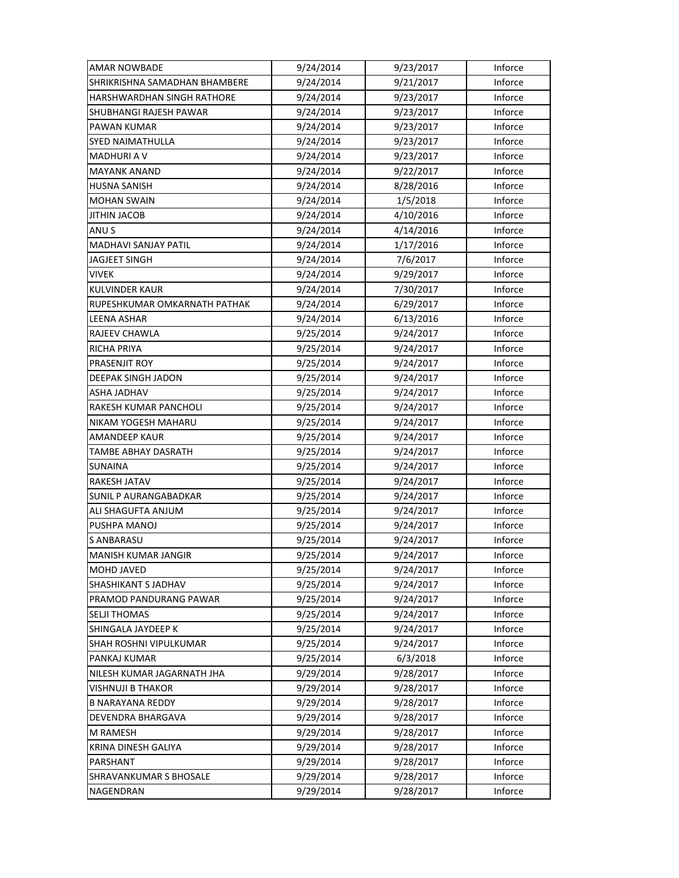| <b>AMAR NOWBADE</b>           | 9/24/2014 | 9/23/2017 | Inforce |
|-------------------------------|-----------|-----------|---------|
| SHRIKRISHNA SAMADHAN BHAMBERE | 9/24/2014 | 9/21/2017 | Inforce |
| HARSHWARDHAN SINGH RATHORE    | 9/24/2014 | 9/23/2017 | Inforce |
| SHUBHANGI RAJESH PAWAR        | 9/24/2014 | 9/23/2017 | Inforce |
| <b>PAWAN KUMAR</b>            | 9/24/2014 | 9/23/2017 | Inforce |
| <b>SYED NAIMATHULLA</b>       | 9/24/2014 | 9/23/2017 | Inforce |
| <b>MADHURIAV</b>              | 9/24/2014 | 9/23/2017 | Inforce |
| <b>MAYANK ANAND</b>           | 9/24/2014 | 9/22/2017 | Inforce |
| <b>HUSNA SANISH</b>           | 9/24/2014 | 8/28/2016 | Inforce |
| <b>MOHAN SWAIN</b>            | 9/24/2014 | 1/5/2018  | Inforce |
| <b>JITHIN JACOB</b>           | 9/24/2014 | 4/10/2016 | Inforce |
| ANU S                         | 9/24/2014 | 4/14/2016 | Inforce |
| <b>MADHAVI SANJAY PATIL</b>   | 9/24/2014 | 1/17/2016 | Inforce |
| JAGJEET SINGH                 | 9/24/2014 | 7/6/2017  | Inforce |
| <b>VIVEK</b>                  | 9/24/2014 | 9/29/2017 | Inforce |
| <b>KULVINDER KAUR</b>         | 9/24/2014 | 7/30/2017 | Inforce |
| RUPESHKUMAR OMKARNATH PATHAK  | 9/24/2014 | 6/29/2017 | Inforce |
| <b>LEENA ASHAR</b>            | 9/24/2014 | 6/13/2016 | Inforce |
| RAJEEV CHAWLA                 | 9/25/2014 | 9/24/2017 | Inforce |
| <b>RICHA PRIYA</b>            | 9/25/2014 | 9/24/2017 | Inforce |
| PRASENJIT ROY                 | 9/25/2014 | 9/24/2017 | Inforce |
| DEEPAK SINGH JADON            | 9/25/2014 | 9/24/2017 | Inforce |
| ASHA JADHAV                   | 9/25/2014 | 9/24/2017 | Inforce |
| RAKESH KUMAR PANCHOLI         | 9/25/2014 | 9/24/2017 | Inforce |
| NIKAM YOGESH MAHARU           | 9/25/2014 | 9/24/2017 | Inforce |
| <b>AMANDEEP KAUR</b>          | 9/25/2014 | 9/24/2017 | Inforce |
| TAMBE ABHAY DASRATH           | 9/25/2014 | 9/24/2017 | Inforce |
| SUNAINA                       | 9/25/2014 | 9/24/2017 | Inforce |
| RAKESH JATAV                  | 9/25/2014 | 9/24/2017 | Inforce |
| <b>SUNIL P AURANGABADKAR</b>  | 9/25/2014 | 9/24/2017 | Inforce |
| ALI SHAGUFTA ANJUM            | 9/25/2014 | 9/24/2017 | Inforce |
| PUSHPA MANOJ                  | 9/25/2014 | 9/24/2017 | Inforce |
| <b>S ANBARASU</b>             | 9/25/2014 | 9/24/2017 | Inforce |
| MANISH KUMAR JANGIR           | 9/25/2014 | 9/24/2017 | Inforce |
| <b>MOHD JAVED</b>             | 9/25/2014 | 9/24/2017 | Inforce |
| SHASHIKANT S JADHAV           | 9/25/2014 | 9/24/2017 | Inforce |
| PRAMOD PANDURANG PAWAR        | 9/25/2014 | 9/24/2017 | Inforce |
| <b>SELJI THOMAS</b>           | 9/25/2014 | 9/24/2017 | Inforce |
| SHINGALA JAYDEEP K            | 9/25/2014 | 9/24/2017 | Inforce |
| <b>SHAH ROSHNI VIPULKUMAR</b> | 9/25/2014 | 9/24/2017 | Inforce |
| PANKAJ KUMAR                  | 9/25/2014 | 6/3/2018  | Inforce |
| NILESH KUMAR JAGARNATH JHA    | 9/29/2014 | 9/28/2017 | Inforce |
| VISHNUJI B THAKOR             | 9/29/2014 | 9/28/2017 | Inforce |
| <b>B NARAYANA REDDY</b>       | 9/29/2014 | 9/28/2017 | Inforce |
| DEVENDRA BHARGAVA             | 9/29/2014 | 9/28/2017 | Inforce |
| M RAMESH                      | 9/29/2014 | 9/28/2017 | Inforce |
| KRINA DINESH GALIYA           | 9/29/2014 | 9/28/2017 | Inforce |
| PARSHANT                      | 9/29/2014 | 9/28/2017 | Inforce |
| <b>SHRAVANKUMAR S BHOSALE</b> | 9/29/2014 | 9/28/2017 | Inforce |
| NAGENDRAN                     | 9/29/2014 | 9/28/2017 | Inforce |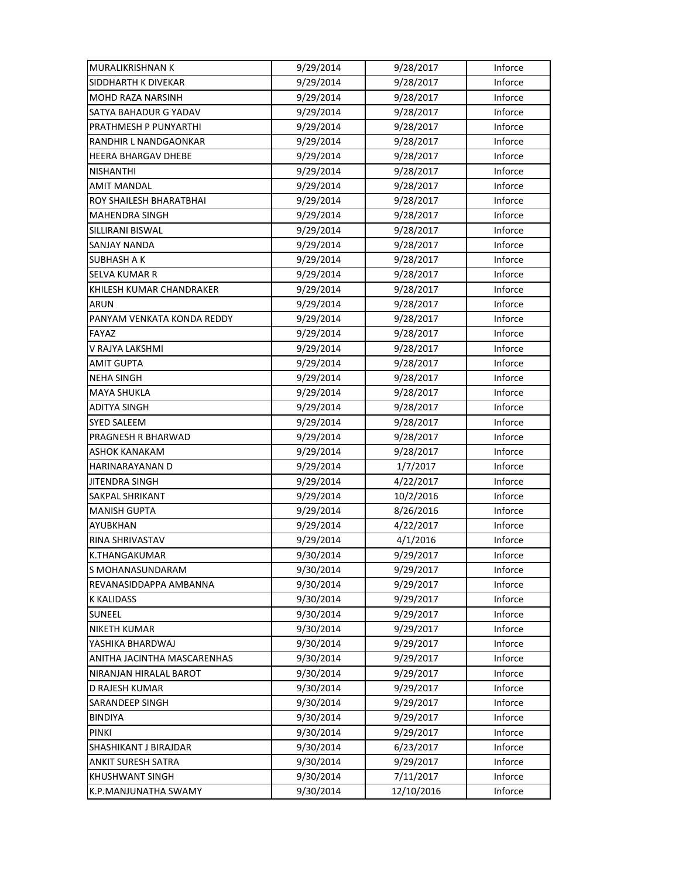| <b>MURALIKRISHNAN K</b>     | 9/29/2014 | 9/28/2017  | Inforce |
|-----------------------------|-----------|------------|---------|
| SIDDHARTH K DIVEKAR         | 9/29/2014 | 9/28/2017  | Inforce |
| <b>MOHD RAZA NARSINH</b>    | 9/29/2014 | 9/28/2017  | Inforce |
| SATYA BAHADUR G YADAV       | 9/29/2014 | 9/28/2017  | Inforce |
| PRATHMESH P PUNYARTHI       | 9/29/2014 | 9/28/2017  | Inforce |
| RANDHIR L NANDGAONKAR       | 9/29/2014 | 9/28/2017  | Inforce |
| <b>HEERA BHARGAV DHEBE</b>  | 9/29/2014 | 9/28/2017  | Inforce |
| <b>NISHANTHI</b>            | 9/29/2014 | 9/28/2017  | Inforce |
| <b>AMIT MANDAL</b>          | 9/29/2014 | 9/28/2017  | Inforce |
| ROY SHAILESH BHARATBHAI     | 9/29/2014 | 9/28/2017  | Inforce |
| <b>MAHENDRA SINGH</b>       | 9/29/2014 | 9/28/2017  | Inforce |
| SILLIRANI BISWAL            | 9/29/2014 | 9/28/2017  | Inforce |
| SANJAY NANDA                | 9/29/2014 | 9/28/2017  | Inforce |
| SUBHASH A K                 | 9/29/2014 | 9/28/2017  | Inforce |
| <b>SELVA KUMAR R</b>        | 9/29/2014 | 9/28/2017  | Inforce |
| KHILESH KUMAR CHANDRAKER    | 9/29/2014 | 9/28/2017  | Inforce |
| <b>ARUN</b>                 | 9/29/2014 | 9/28/2017  | Inforce |
| PANYAM VENKATA KONDA REDDY  | 9/29/2014 | 9/28/2017  | Inforce |
| FAYAZ                       | 9/29/2014 | 9/28/2017  | Inforce |
| V RAJYA LAKSHMI             | 9/29/2014 | 9/28/2017  | Inforce |
| <b>AMIT GUPTA</b>           | 9/29/2014 | 9/28/2017  | Inforce |
| <b>NEHA SINGH</b>           | 9/29/2014 | 9/28/2017  | Inforce |
| MAYA SHUKLA                 | 9/29/2014 | 9/28/2017  | Inforce |
| <b>ADITYA SINGH</b>         | 9/29/2014 | 9/28/2017  | Inforce |
| <b>SYED SALEEM</b>          | 9/29/2014 | 9/28/2017  | Inforce |
| PRAGNESH R BHARWAD          | 9/29/2014 | 9/28/2017  | Inforce |
| <b>ASHOK KANAKAM</b>        | 9/29/2014 | 9/28/2017  | Inforce |
| HARINARAYANAN D             | 9/29/2014 | 1/7/2017   | Inforce |
| <b>JITENDRA SINGH</b>       | 9/29/2014 | 4/22/2017  | Inforce |
| <b>SAKPAL SHRIKANT</b>      | 9/29/2014 | 10/2/2016  | Inforce |
| <b>MANISH GUPTA</b>         | 9/29/2014 | 8/26/2016  | Inforce |
| AYUBKHAN                    | 9/29/2014 | 4/22/2017  | Inforce |
| RINA SHRIVASTAV             | 9/29/2014 | 4/1/2016   | Inforce |
| K.THANGAKUMAR               | 9/30/2014 | 9/29/2017  | Inforce |
| S MOHANASUNDARAM            | 9/30/2014 | 9/29/2017  | Inforce |
| REVANASIDDAPPA AMBANNA      | 9/30/2014 | 9/29/2017  | Inforce |
| <b>K KALIDASS</b>           | 9/30/2014 | 9/29/2017  | Inforce |
| SUNEEL                      | 9/30/2014 | 9/29/2017  | Inforce |
| <b>NIKETH KUMAR</b>         | 9/30/2014 | 9/29/2017  | Inforce |
| YASHIKA BHARDWAJ            | 9/30/2014 | 9/29/2017  | Inforce |
| ANITHA JACINTHA MASCARENHAS | 9/30/2014 | 9/29/2017  | Inforce |
| NIRANJAN HIRALAL BAROT      | 9/30/2014 | 9/29/2017  | Inforce |
| D RAJESH KUMAR              | 9/30/2014 | 9/29/2017  | Inforce |
| SARANDEEP SINGH             | 9/30/2014 | 9/29/2017  | Inforce |
| <b>BINDIYA</b>              | 9/30/2014 | 9/29/2017  | Inforce |
| PINKI                       | 9/30/2014 | 9/29/2017  | Inforce |
| SHASHIKANT J BIRAJDAR       | 9/30/2014 | 6/23/2017  | Inforce |
| <b>ANKIT SURESH SATRA</b>   | 9/30/2014 | 9/29/2017  | Inforce |
| <b>KHUSHWANT SINGH</b>      | 9/30/2014 | 7/11/2017  | Inforce |
| K.P.MANJUNATHA SWAMY        | 9/30/2014 | 12/10/2016 | Inforce |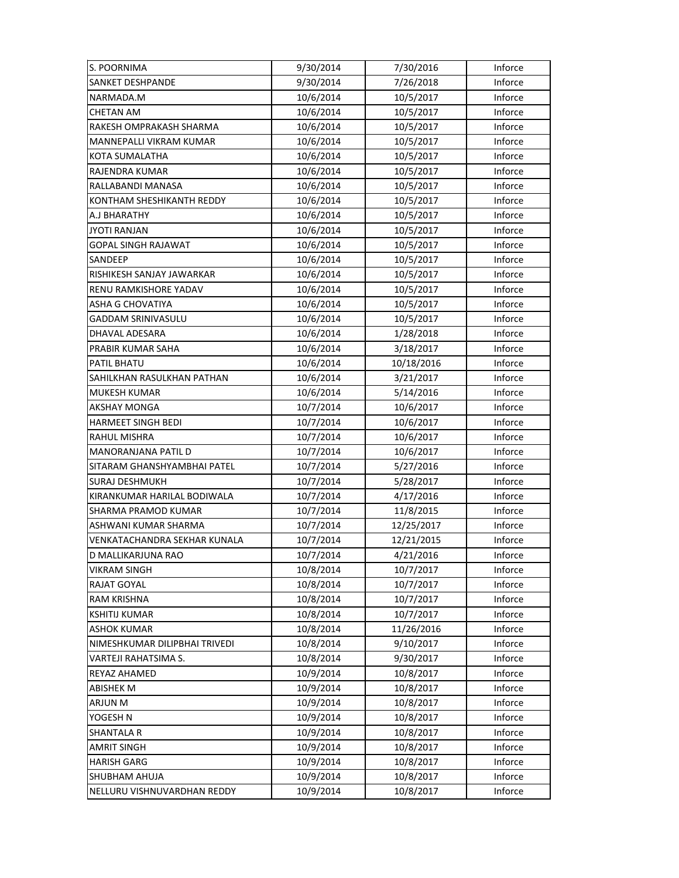| S. POORNIMA                   | 9/30/2014 | 7/30/2016  | Inforce |
|-------------------------------|-----------|------------|---------|
| <b>SANKET DESHPANDE</b>       | 9/30/2014 | 7/26/2018  | Inforce |
| NARMADA.M                     | 10/6/2014 | 10/5/2017  | Inforce |
| CHETAN AM                     | 10/6/2014 | 10/5/2017  | Inforce |
| RAKESH OMPRAKASH SHARMA       | 10/6/2014 | 10/5/2017  | Inforce |
| MANNEPALLI VIKRAM KUMAR       | 10/6/2014 | 10/5/2017  | Inforce |
| <b>KOTA SUMALATHA</b>         | 10/6/2014 | 10/5/2017  | Inforce |
| <b>RAJENDRA KUMAR</b>         | 10/6/2014 | 10/5/2017  | Inforce |
| RALLABANDI MANASA             | 10/6/2014 | 10/5/2017  | Inforce |
| KONTHAM SHESHIKANTH REDDY     | 10/6/2014 | 10/5/2017  | Inforce |
| A.J BHARATHY                  | 10/6/2014 | 10/5/2017  | Inforce |
| <b>JYOTI RANJAN</b>           | 10/6/2014 | 10/5/2017  | Inforce |
| <b>GOPAL SINGH RAJAWAT</b>    | 10/6/2014 | 10/5/2017  | Inforce |
| SANDEEP                       | 10/6/2014 | 10/5/2017  | Inforce |
| RISHIKESH SANJAY JAWARKAR     | 10/6/2014 | 10/5/2017  | Inforce |
| RENU RAMKISHORE YADAV         | 10/6/2014 | 10/5/2017  | Inforce |
| ASHA G CHOVATIYA              | 10/6/2014 | 10/5/2017  | Inforce |
| GADDAM SRINIVASULU            | 10/6/2014 | 10/5/2017  | Inforce |
| DHAVAL ADESARA                | 10/6/2014 | 1/28/2018  | Inforce |
| PRABIR KUMAR SAHA             | 10/6/2014 | 3/18/2017  | Inforce |
| PATIL BHATU                   | 10/6/2014 | 10/18/2016 | Inforce |
| SAHILKHAN RASULKHAN PATHAN    | 10/6/2014 | 3/21/2017  | Inforce |
| <b>MUKESH KUMAR</b>           | 10/6/2014 | 5/14/2016  | Inforce |
| <b>AKSHAY MONGA</b>           | 10/7/2014 | 10/6/2017  | Inforce |
| <b>HARMEET SINGH BEDI</b>     | 10/7/2014 | 10/6/2017  | Inforce |
| <b>RAHUL MISHRA</b>           | 10/7/2014 | 10/6/2017  | Inforce |
| MANORANJANA PATIL D           | 10/7/2014 | 10/6/2017  | Inforce |
| SITARAM GHANSHYAMBHAI PATEL   | 10/7/2014 | 5/27/2016  | Inforce |
| <b>SURAJ DESHMUKH</b>         | 10/7/2014 | 5/28/2017  | Inforce |
| KIRANKUMAR HARILAL BODIWALA   | 10/7/2014 | 4/17/2016  | Inforce |
| SHARMA PRAMOD KUMAR           | 10/7/2014 | 11/8/2015  | Inforce |
| ASHWANI KUMAR SHARMA          | 10/7/2014 | 12/25/2017 | Inforce |
| VENKATACHANDRA SEKHAR KUNALA  | 10/7/2014 | 12/21/2015 | Inforce |
| D MALLIKARJUNA RAO            | 10/7/2014 | 4/21/2016  | Inforce |
| <b>VIKRAM SINGH</b>           | 10/8/2014 | 10/7/2017  | Inforce |
| RAJAT GOYAL                   | 10/8/2014 | 10/7/2017  | Inforce |
| <b>RAM KRISHNA</b>            | 10/8/2014 | 10/7/2017  | Inforce |
| <b>KSHITIJ KUMAR</b>          | 10/8/2014 | 10/7/2017  | Inforce |
| <b>ASHOK KUMAR</b>            | 10/8/2014 | 11/26/2016 | Inforce |
| NIMESHKUMAR DILIPBHAI TRIVEDI | 10/8/2014 | 9/10/2017  | Inforce |
| VARTEJI RAHATSIMA S.          | 10/8/2014 | 9/30/2017  | Inforce |
| REYAZ AHAMED                  | 10/9/2014 | 10/8/2017  | Inforce |
| ABISHEK M                     | 10/9/2014 | 10/8/2017  | Inforce |
| ARJUN M                       | 10/9/2014 | 10/8/2017  | Inforce |
| YOGESH N                      | 10/9/2014 | 10/8/2017  | Inforce |
| <b>SHANTALA R</b>             | 10/9/2014 | 10/8/2017  | Inforce |
| <b>AMRIT SINGH</b>            | 10/9/2014 | 10/8/2017  | Inforce |
| <b>HARISH GARG</b>            | 10/9/2014 | 10/8/2017  | Inforce |
| <b>SHUBHAM AHUJA</b>          | 10/9/2014 | 10/8/2017  | Inforce |
| NELLURU VISHNUVARDHAN REDDY   | 10/9/2014 | 10/8/2017  | Inforce |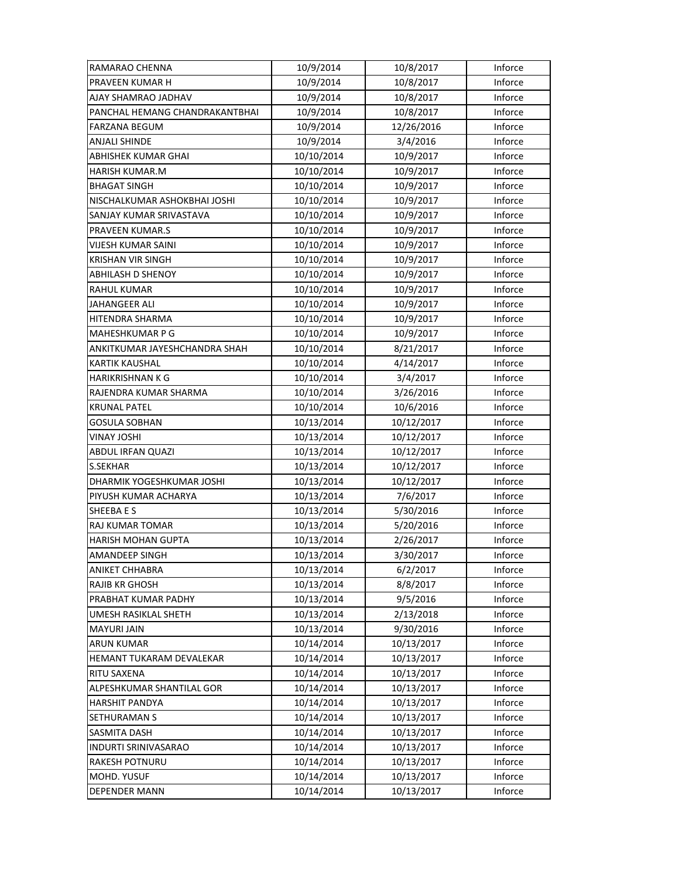| RAMARAO CHENNA                 | 10/9/2014  | 10/8/2017  | Inforce |
|--------------------------------|------------|------------|---------|
| PRAVEEN KUMAR H                | 10/9/2014  | 10/8/2017  | Inforce |
| AJAY SHAMRAO JADHAV            | 10/9/2014  | 10/8/2017  | Inforce |
| PANCHAL HEMANG CHANDRAKANTBHAI | 10/9/2014  | 10/8/2017  | Inforce |
| FARZANA BEGUM                  | 10/9/2014  | 12/26/2016 | Inforce |
| <b>ANJALI SHINDE</b>           | 10/9/2014  | 3/4/2016   | Inforce |
| ABHISHEK KUMAR GHAI            | 10/10/2014 | 10/9/2017  | Inforce |
| <b>HARISH KUMAR.M</b>          | 10/10/2014 | 10/9/2017  | Inforce |
| <b>BHAGAT SINGH</b>            | 10/10/2014 | 10/9/2017  | Inforce |
| NISCHALKUMAR ASHOKBHAI JOSHI   | 10/10/2014 | 10/9/2017  | Inforce |
| SANJAY KUMAR SRIVASTAVA        | 10/10/2014 | 10/9/2017  | Inforce |
| PRAVEEN KUMAR.S                | 10/10/2014 | 10/9/2017  | Inforce |
| <b>VIJESH KUMAR SAINI</b>      | 10/10/2014 | 10/9/2017  | Inforce |
| KRISHAN VIR SINGH              | 10/10/2014 | 10/9/2017  | Inforce |
| <b>ABHILASH D SHENOY</b>       | 10/10/2014 | 10/9/2017  | Inforce |
| <b>RAHUL KUMAR</b>             | 10/10/2014 | 10/9/2017  | Inforce |
| <b>JAHANGEER ALI</b>           | 10/10/2014 | 10/9/2017  | Inforce |
| HITENDRA SHARMA                | 10/10/2014 | 10/9/2017  | Inforce |
| MAHESHKUMAR P G                | 10/10/2014 | 10/9/2017  | Inforce |
| ANKITKUMAR JAYESHCHANDRA SHAH  | 10/10/2014 | 8/21/2017  | Inforce |
| <b>KARTIK KAUSHAL</b>          | 10/10/2014 | 4/14/2017  | Inforce |
| HARIKRISHNAN K G               | 10/10/2014 | 3/4/2017   | Inforce |
| RAJENDRA KUMAR SHARMA          | 10/10/2014 | 3/26/2016  | Inforce |
| <b>KRUNAL PATEL</b>            | 10/10/2014 | 10/6/2016  | Inforce |
| <b>GOSULA SOBHAN</b>           | 10/13/2014 | 10/12/2017 | Inforce |
| VINAY JOSHI                    | 10/13/2014 | 10/12/2017 | Inforce |
| <b>ABDUL IRFAN QUAZI</b>       | 10/13/2014 | 10/12/2017 | Inforce |
| S.SEKHAR                       | 10/13/2014 | 10/12/2017 | Inforce |
| DHARMIK YOGESHKUMAR JOSHI      | 10/13/2014 | 10/12/2017 | Inforce |
| PIYUSH KUMAR ACHARYA           | 10/13/2014 | 7/6/2017   | Inforce |
| SHEEBA E S                     | 10/13/2014 | 5/30/2016  | Inforce |
| <b>RAJ KUMAR TOMAR</b>         | 10/13/2014 | 5/20/2016  | Inforce |
| HARISH MOHAN GUPTA             | 10/13/2014 | 2/26/2017  | Inforce |
| <b>AMANDEEP SINGH</b>          | 10/13/2014 | 3/30/2017  | Inforce |
| ANIKET CHHABRA                 | 10/13/2014 | 6/2/2017   | Inforce |
| <b>RAJIB KR GHOSH</b>          | 10/13/2014 | 8/8/2017   | Inforce |
| PRABHAT KUMAR PADHY            | 10/13/2014 | 9/5/2016   | Inforce |
| UMESH RASIKLAL SHETH           | 10/13/2014 | 2/13/2018  | Inforce |
| <b>MAYURI JAIN</b>             | 10/13/2014 | 9/30/2016  | Inforce |
| <b>ARUN KUMAR</b>              | 10/14/2014 | 10/13/2017 | Inforce |
| HEMANT TUKARAM DEVALEKAR       | 10/14/2014 | 10/13/2017 | Inforce |
| RITU SAXENA                    | 10/14/2014 | 10/13/2017 | Inforce |
| ALPESHKUMAR SHANTILAL GOR      | 10/14/2014 | 10/13/2017 | Inforce |
| <b>HARSHIT PANDYA</b>          | 10/14/2014 | 10/13/2017 | Inforce |
| SETHURAMAN S                   | 10/14/2014 | 10/13/2017 | Inforce |
| SASMITA DASH                   | 10/14/2014 | 10/13/2017 | Inforce |
| INDURTI SRINIVASARAO           | 10/14/2014 | 10/13/2017 | Inforce |
| RAKESH POTNURU                 | 10/14/2014 | 10/13/2017 | Inforce |
| MOHD. YUSUF                    | 10/14/2014 | 10/13/2017 | Inforce |
| <b>DEPENDER MANN</b>           | 10/14/2014 | 10/13/2017 | Inforce |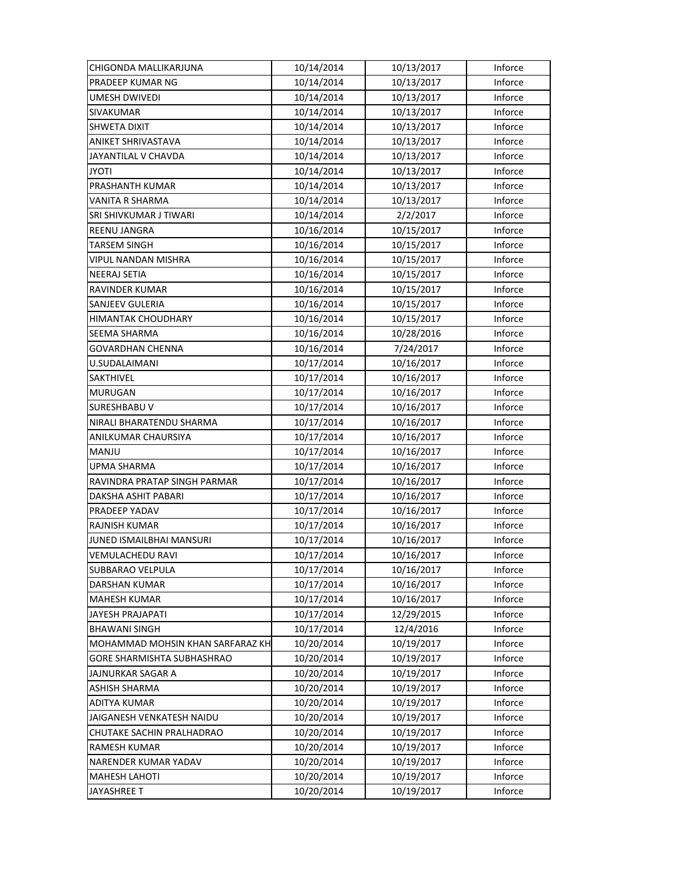| CHIGONDA MALLIKARJUNA            | 10/14/2014 | 10/13/2017 | Inforce |
|----------------------------------|------------|------------|---------|
| PRADEEP KUMAR NG                 | 10/14/2014 | 10/13/2017 | Inforce |
| UMESH DWIVEDI                    | 10/14/2014 | 10/13/2017 | Inforce |
| SIVAKUMAR                        | 10/14/2014 | 10/13/2017 | Inforce |
| SHWETA DIXIT                     | 10/14/2014 | 10/13/2017 | Inforce |
| ANIKET SHRIVASTAVA               | 10/14/2014 | 10/13/2017 | Inforce |
| JAYANTILAL V CHAVDA              | 10/14/2014 | 10/13/2017 | Inforce |
| <b>JYOTI</b>                     | 10/14/2014 | 10/13/2017 | Inforce |
| PRASHANTH KUMAR                  | 10/14/2014 | 10/13/2017 | Inforce |
| VANITA R SHARMA                  | 10/14/2014 | 10/13/2017 | Inforce |
| SRI SHIVKUMAR J TIWARI           | 10/14/2014 | 2/2/2017   | Inforce |
| <b>REENU JANGRA</b>              | 10/16/2014 | 10/15/2017 | Inforce |
| <b>TARSEM SINGH</b>              | 10/16/2014 | 10/15/2017 | Inforce |
| VIPUL NANDAN MISHRA              | 10/16/2014 | 10/15/2017 | Inforce |
| NEERAJ SETIA                     | 10/16/2014 | 10/15/2017 | Inforce |
| RAVINDER KUMAR                   | 10/16/2014 | 10/15/2017 | Inforce |
| SANJEEV GULERIA                  | 10/16/2014 | 10/15/2017 | Inforce |
| HIMANTAK CHOUDHARY               | 10/16/2014 | 10/15/2017 | Inforce |
| SEEMA SHARMA                     | 10/16/2014 | 10/28/2016 | Inforce |
| <b>GOVARDHAN CHENNA</b>          | 10/16/2014 | 7/24/2017  | Inforce |
| U.SUDALAIMANI                    | 10/17/2014 | 10/16/2017 | Inforce |
| SAKTHIVEL                        | 10/17/2014 | 10/16/2017 | Inforce |
| MURUGAN                          | 10/17/2014 | 10/16/2017 | Inforce |
| <b>SURESHBABU V</b>              | 10/17/2014 | 10/16/2017 | Inforce |
| NIRALI BHARATENDU SHARMA         | 10/17/2014 | 10/16/2017 | Inforce |
| ANILKUMAR CHAURSIYA              | 10/17/2014 | 10/16/2017 | Inforce |
| <b>MANJU</b>                     | 10/17/2014 | 10/16/2017 | Inforce |
| UPMA SHARMA                      | 10/17/2014 | 10/16/2017 | Inforce |
| RAVINDRA PRATAP SINGH PARMAR     | 10/17/2014 | 10/16/2017 | Inforce |
| DAKSHA ASHIT PABARI              | 10/17/2014 | 10/16/2017 | Inforce |
| PRADEEP YADAV                    | 10/17/2014 | 10/16/2017 | Inforce |
| <b>RAJNISH KUMAR</b>             | 10/17/2014 | 10/16/2017 | Inforce |
| JUNED ISMAILBHAI MANSURI         | 10/17/2014 | 10/16/2017 | Inforce |
| <b>VEMULACHEDU RAVI</b>          | 10/17/2014 | 10/16/2017 | Inforce |
| SUBBARAO VELPULA                 | 10/17/2014 | 10/16/2017 | Inforce |
| DARSHAN KUMAR                    | 10/17/2014 | 10/16/2017 | Inforce |
| <b>MAHESH KUMAR</b>              | 10/17/2014 | 10/16/2017 | Inforce |
| JAYESH PRAJAPATI                 | 10/17/2014 | 12/29/2015 | Inforce |
| <b>BHAWANI SINGH</b>             | 10/17/2014 | 12/4/2016  | Inforce |
| MOHAMMAD MOHSIN KHAN SARFARAZ KH | 10/20/2014 | 10/19/2017 | Inforce |
| GORE SHARMISHTA SUBHASHRAO       | 10/20/2014 | 10/19/2017 | Inforce |
| JAJNURKAR SAGAR A                | 10/20/2014 | 10/19/2017 | Inforce |
| <b>ASHISH SHARMA</b>             | 10/20/2014 | 10/19/2017 | Inforce |
| ADITYA KUMAR                     | 10/20/2014 | 10/19/2017 | Inforce |
| JAIGANESH VENKATESH NAIDU        | 10/20/2014 | 10/19/2017 | Inforce |
| CHUTAKE SACHIN PRALHADRAO        | 10/20/2014 | 10/19/2017 | Inforce |
| RAMESH KUMAR                     | 10/20/2014 | 10/19/2017 | Inforce |
| NARENDER KUMAR YADAV             | 10/20/2014 | 10/19/2017 | Inforce |
| <b>MAHESH LAHOTI</b>             | 10/20/2014 | 10/19/2017 | Inforce |
| <b>JAYASHREE T</b>               | 10/20/2014 | 10/19/2017 | Inforce |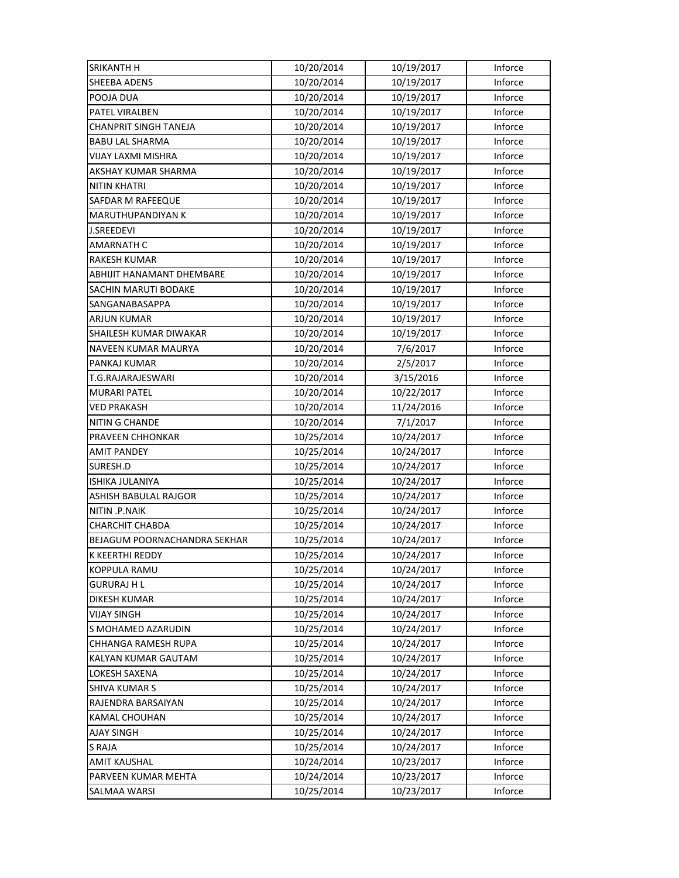| SRIKANTH H                   | 10/20/2014 | 10/19/2017 | Inforce |
|------------------------------|------------|------------|---------|
| SHEEBA ADENS                 | 10/20/2014 | 10/19/2017 | Inforce |
| POOJA DUA                    | 10/20/2014 | 10/19/2017 | Inforce |
| PATEL VIRALBEN               | 10/20/2014 | 10/19/2017 | Inforce |
| <b>CHANPRIT SINGH TANEJA</b> | 10/20/2014 | 10/19/2017 | Inforce |
| <b>BABU LAL SHARMA</b>       | 10/20/2014 | 10/19/2017 | Inforce |
| VIJAY LAXMI MISHRA           | 10/20/2014 | 10/19/2017 | Inforce |
| AKSHAY KUMAR SHARMA          | 10/20/2014 | 10/19/2017 | Inforce |
| <b>NITIN KHATRI</b>          | 10/20/2014 | 10/19/2017 | Inforce |
| SAFDAR M RAFEEQUE            | 10/20/2014 | 10/19/2017 | Inforce |
| MARUTHUPANDIYAN K            | 10/20/2014 | 10/19/2017 | Inforce |
| <b>J.SREEDEVI</b>            | 10/20/2014 | 10/19/2017 | Inforce |
| AMARNATH C                   | 10/20/2014 | 10/19/2017 | Inforce |
| <b>RAKESH KUMAR</b>          | 10/20/2014 | 10/19/2017 | Inforce |
| ABHIJIT HANAMANT DHEMBARE    | 10/20/2014 | 10/19/2017 | Inforce |
| <b>SACHIN MARUTI BODAKE</b>  | 10/20/2014 | 10/19/2017 | Inforce |
| SANGANABASAPPA               | 10/20/2014 | 10/19/2017 | Inforce |
| <b>ARJUN KUMAR</b>           | 10/20/2014 | 10/19/2017 | Inforce |
| SHAILESH KUMAR DIWAKAR       | 10/20/2014 | 10/19/2017 | Inforce |
| NAVEEN KUMAR MAURYA          | 10/20/2014 | 7/6/2017   | Inforce |
| PANKAJ KUMAR                 | 10/20/2014 | 2/5/2017   | Inforce |
| T.G.RAJARAJESWARI            | 10/20/2014 | 3/15/2016  | Inforce |
| <b>MURARI PATEL</b>          | 10/20/2014 | 10/22/2017 | Inforce |
| <b>VED PRAKASH</b>           | 10/20/2014 | 11/24/2016 | Inforce |
| NITIN G CHANDE               | 10/20/2014 | 7/1/2017   | Inforce |
| PRAVEEN CHHONKAR             | 10/25/2014 | 10/24/2017 | Inforce |
| <b>AMIT PANDEY</b>           | 10/25/2014 | 10/24/2017 | Inforce |
| SURESH.D                     | 10/25/2014 | 10/24/2017 | Inforce |
| ISHIKA JULANIYA              | 10/25/2014 | 10/24/2017 | Inforce |
| ASHISH BABULAL RAJGOR        | 10/25/2014 | 10/24/2017 | Inforce |
| NITIN .P.NAIK                | 10/25/2014 | 10/24/2017 | Inforce |
| <b>CHARCHIT CHABDA</b>       | 10/25/2014 | 10/24/2017 | Inforce |
| BEJAGUM POORNACHANDRA SEKHAR | 10/25/2014 | 10/24/2017 | Inforce |
| K KEERTHI REDDY              | 10/25/2014 | 10/24/2017 | Inforce |
| <b>KOPPULA RAMU</b>          | 10/25/2014 | 10/24/2017 | Inforce |
| <b>GURURAJ H L</b>           | 10/25/2014 | 10/24/2017 | Inforce |
| DIKESH KUMAR                 | 10/25/2014 | 10/24/2017 | Inforce |
| <b>VIJAY SINGH</b>           |            |            |         |
|                              | 10/25/2014 | 10/24/2017 | Inforce |
| S MOHAMED AZARUDIN           | 10/25/2014 | 10/24/2017 | Inforce |
| CHHANGA RAMESH RUPA          | 10/25/2014 | 10/24/2017 | Inforce |
| KALYAN KUMAR GAUTAM          | 10/25/2014 | 10/24/2017 | Inforce |
| LOKESH SAXENA                | 10/25/2014 | 10/24/2017 | Inforce |
| <b>SHIVA KUMAR S</b>         | 10/25/2014 | 10/24/2017 | Inforce |
| RAJENDRA BARSAIYAN           | 10/25/2014 | 10/24/2017 | Inforce |
| KAMAL CHOUHAN                | 10/25/2014 | 10/24/2017 | Inforce |
| AJAY SINGH                   | 10/25/2014 | 10/24/2017 | Inforce |
| <b>S RAJA</b>                | 10/25/2014 | 10/24/2017 | Inforce |
| <b>AMIT KAUSHAL</b>          | 10/24/2014 | 10/23/2017 | Inforce |
| PARVEEN KUMAR MEHTA          | 10/24/2014 | 10/23/2017 | Inforce |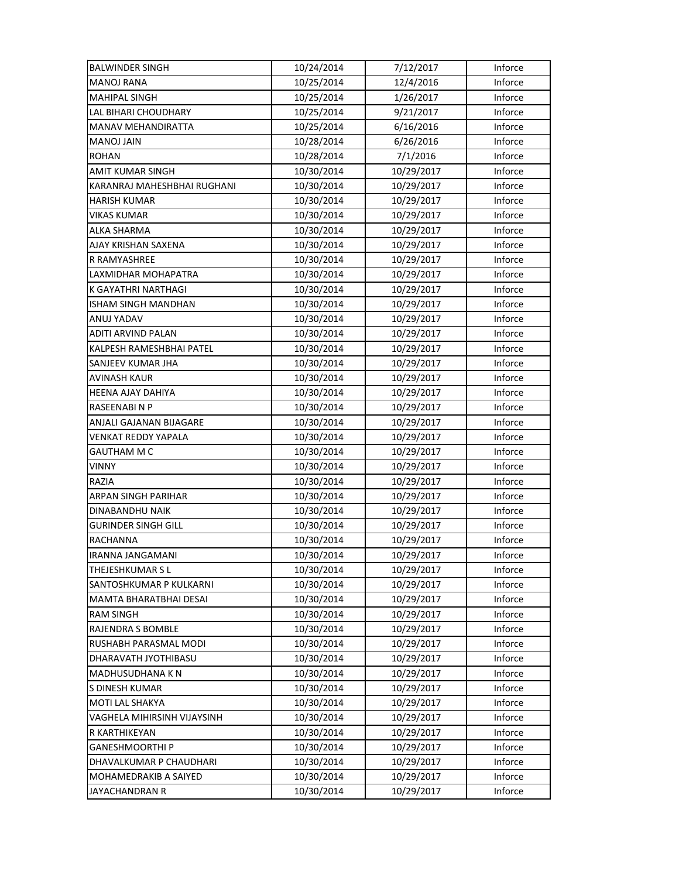| <b>BALWINDER SINGH</b>      | 10/24/2014 | 7/12/2017  | Inforce |
|-----------------------------|------------|------------|---------|
| <b>MANOJ RANA</b>           | 10/25/2014 | 12/4/2016  | Inforce |
| <b>MAHIPAL SINGH</b>        | 10/25/2014 | 1/26/2017  | Inforce |
| LAL BIHARI CHOUDHARY        | 10/25/2014 | 9/21/2017  | Inforce |
| MANAV MEHANDIRATTA          | 10/25/2014 | 6/16/2016  | Inforce |
| <b>MANOJ JAIN</b>           | 10/28/2014 | 6/26/2016  | Inforce |
| <b>ROHAN</b>                | 10/28/2014 | 7/1/2016   | Inforce |
| AMIT KUMAR SINGH            | 10/30/2014 | 10/29/2017 | Inforce |
| KARANRAJ MAHESHBHAI RUGHANI | 10/30/2014 | 10/29/2017 | Inforce |
| HARISH KUMAR                | 10/30/2014 | 10/29/2017 | Inforce |
| <b>VIKAS KUMAR</b>          | 10/30/2014 | 10/29/2017 | Inforce |
| ALKA SHARMA                 | 10/30/2014 | 10/29/2017 | Inforce |
| AJAY KRISHAN SAXENA         | 10/30/2014 | 10/29/2017 | Inforce |
| R RAMYASHREE                | 10/30/2014 | 10/29/2017 | Inforce |
| LAXMIDHAR MOHAPATRA         | 10/30/2014 | 10/29/2017 | Inforce |
| K GAYATHRI NARTHAGI         | 10/30/2014 | 10/29/2017 | Inforce |
| <b>ISHAM SINGH MANDHAN</b>  | 10/30/2014 | 10/29/2017 | Inforce |
| ANUJ YADAV                  | 10/30/2014 | 10/29/2017 | Inforce |
| ADITI ARVIND PALAN          | 10/30/2014 | 10/29/2017 | Inforce |
| KALPESH RAMESHBHAI PATEL    | 10/30/2014 | 10/29/2017 | Inforce |
| SANJEEV KUMAR JHA           | 10/30/2014 | 10/29/2017 | Inforce |
| <b>AVINASH KAUR</b>         | 10/30/2014 | 10/29/2017 | Inforce |
| HEENA AJAY DAHIYA           | 10/30/2014 | 10/29/2017 | Inforce |
| RASEENABINP                 | 10/30/2014 | 10/29/2017 | Inforce |
| ANJALI GAJANAN BIJAGARE     | 10/30/2014 | 10/29/2017 | Inforce |
| <b>VENKAT REDDY YAPALA</b>  | 10/30/2014 | 10/29/2017 | Inforce |
| <b>GAUTHAM M C</b>          | 10/30/2014 | 10/29/2017 | Inforce |
| VINNY                       | 10/30/2014 | 10/29/2017 | Inforce |
| RAZIA                       | 10/30/2014 | 10/29/2017 | Inforce |
| ARPAN SINGH PARIHAR         | 10/30/2014 | 10/29/2017 | Inforce |
| DINABANDHU NAIK             | 10/30/2014 | 10/29/2017 | Inforce |
| <b>GURINDER SINGH GILL</b>  | 10/30/2014 | 10/29/2017 | Inforce |
| <b>RACHANNA</b>             | 10/30/2014 | 10/29/2017 | Inforce |
| IRANNA JANGAMANI            | 10/30/2014 | 10/29/2017 | Inforce |
| THEJESHKUMAR SL             | 10/30/2014 | 10/29/2017 | Inforce |
| SANTOSHKUMAR P KULKARNI     | 10/30/2014 | 10/29/2017 | Inforce |
| MAMTA BHARATBHAI DESAI      | 10/30/2014 | 10/29/2017 | Inforce |
| <b>RAM SINGH</b>            | 10/30/2014 | 10/29/2017 | Inforce |
| RAJENDRA S BOMBLE           | 10/30/2014 | 10/29/2017 | Inforce |
| RUSHABH PARASMAL MODI       | 10/30/2014 | 10/29/2017 | Inforce |
| DHARAVATH JYOTHIBASU        | 10/30/2014 | 10/29/2017 | Inforce |
| MADHUSUDHANA KN             | 10/30/2014 | 10/29/2017 | Inforce |
| S DINESH KUMAR              | 10/30/2014 | 10/29/2017 | Inforce |
| MOTI LAL SHAKYA             | 10/30/2014 | 10/29/2017 | Inforce |
| VAGHELA MIHIRSINH VIJAYSINH | 10/30/2014 | 10/29/2017 | Inforce |
| R KARTHIKEYAN               | 10/30/2014 | 10/29/2017 | Inforce |
| <b>GANESHMOORTHI P</b>      | 10/30/2014 | 10/29/2017 | Inforce |
| DHAVALKUMAR P CHAUDHARI     | 10/30/2014 | 10/29/2017 | Inforce |
| MOHAMEDRAKIB A SAIYED       | 10/30/2014 | 10/29/2017 | Inforce |
| JAYACHANDRAN R              | 10/30/2014 | 10/29/2017 | Inforce |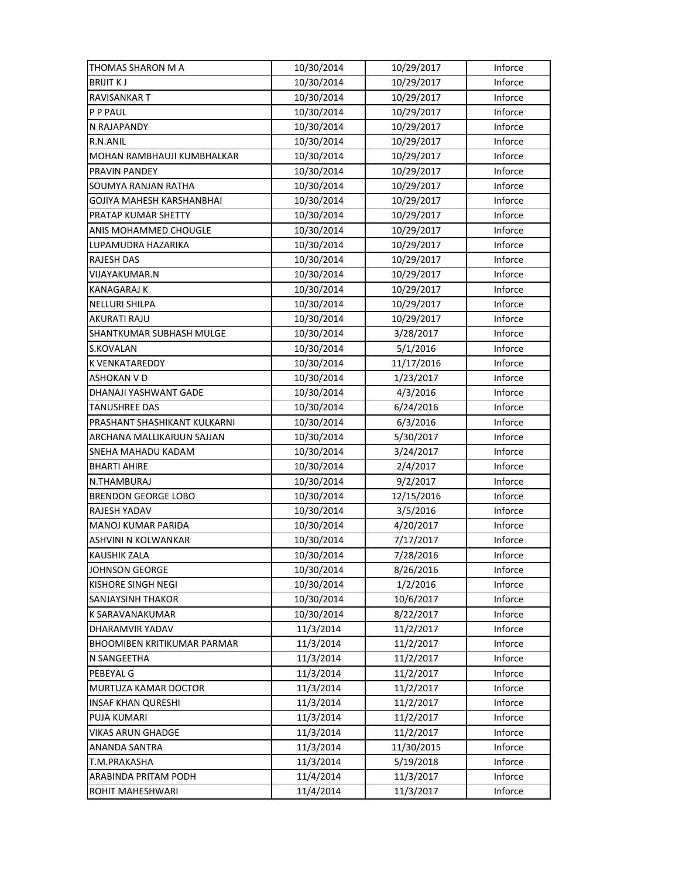| THOMAS SHARON M A                  | 10/30/2014 | 10/29/2017 | Inforce |
|------------------------------------|------------|------------|---------|
| <b>BRIJIT KJ</b>                   | 10/30/2014 | 10/29/2017 | Inforce |
| RAVISANKAR T                       | 10/30/2014 | 10/29/2017 | Inforce |
| P P PAUL                           | 10/30/2014 | 10/29/2017 | Inforce |
| N RAJAPANDY                        | 10/30/2014 | 10/29/2017 | Inforce |
| R.N.ANIL                           | 10/30/2014 | 10/29/2017 | Inforce |
| MOHAN RAMBHAUJI KUMBHALKAR         | 10/30/2014 | 10/29/2017 | Inforce |
| PRAVIN PANDEY                      | 10/30/2014 | 10/29/2017 | Inforce |
| SOUMYA RANJAN RATHA                | 10/30/2014 | 10/29/2017 | Inforce |
| GOJIYA MAHESH KARSHANBHAI          | 10/30/2014 | 10/29/2017 | Inforce |
| PRATAP KUMAR SHETTY                | 10/30/2014 | 10/29/2017 | Inforce |
| ANIS MOHAMMED CHOUGLE              | 10/30/2014 | 10/29/2017 | Inforce |
| LUPAMUDRA HAZARIKA                 | 10/30/2014 | 10/29/2017 | Inforce |
| RAJESH DAS                         | 10/30/2014 | 10/29/2017 | Inforce |
| VIJAYAKUMAR.N                      | 10/30/2014 | 10/29/2017 | Inforce |
| <b>KANAGARAJ K</b>                 | 10/30/2014 | 10/29/2017 | Inforce |
| NELLURI SHILPA                     | 10/30/2014 | 10/29/2017 | Inforce |
| AKURATI RAJU                       | 10/30/2014 | 10/29/2017 | Inforce |
| SHANTKUMAR SUBHASH MULGE           | 10/30/2014 | 3/28/2017  | Inforce |
| S.KOVALAN                          | 10/30/2014 | 5/1/2016   | Inforce |
| K VENKATAREDDY                     | 10/30/2014 | 11/17/2016 | Inforce |
| ASHOKAN V D                        | 10/30/2014 | 1/23/2017  | Inforce |
| DHANAJI YASHWANT GADE              | 10/30/2014 | 4/3/2016   | Inforce |
| <b>TANUSHREE DAS</b>               | 10/30/2014 | 6/24/2016  | Inforce |
| PRASHANT SHASHIKANT KULKARNI       | 10/30/2014 | 6/3/2016   | Inforce |
| ARCHANA MALLIKARJUN SAJJAN         | 10/30/2014 | 5/30/2017  | Inforce |
| SNEHA MAHADU KADAM                 | 10/30/2014 | 3/24/2017  | Inforce |
| <b>BHARTI AHIRE</b>                | 10/30/2014 | 2/4/2017   | Inforce |
| N.THAMBURAJ                        | 10/30/2014 | 9/2/2017   | Inforce |
| BRENDON GEORGE LOBO                | 10/30/2014 | 12/15/2016 | Inforce |
| RAJESH YADAV                       | 10/30/2014 | 3/5/2016   | Inforce |
| MANOJ KUMAR PARIDA                 | 10/30/2014 | 4/20/2017  | Inforce |
| ASHVINI N KOLWANKAR                | 10/30/2014 | 7/17/2017  | Inforce |
| <b>KAUSHIK ZALA</b>                | 10/30/2014 | 7/28/2016  | Inforce |
| <b>JOHNSON GEORGE</b>              | 10/30/2014 | 8/26/2016  | Inforce |
| <b>KISHORE SINGH NEGI</b>          | 10/30/2014 | 1/2/2016   | Inforce |
| <b>SANJAYSINH THAKOR</b>           | 10/30/2014 | 10/6/2017  | Inforce |
| K SARAVANAKUMAR                    | 10/30/2014 | 8/22/2017  | Inforce |
| DHARAMVIR YADAV                    | 11/3/2014  | 11/2/2017  | Inforce |
| <b>BHOOMIBEN KRITIKUMAR PARMAR</b> | 11/3/2014  | 11/2/2017  | Inforce |
| N SANGEETHA                        | 11/3/2014  | 11/2/2017  | Inforce |
| PEBEYAL G                          | 11/3/2014  | 11/2/2017  | Inforce |
| MURTUZA KAMAR DOCTOR               | 11/3/2014  | 11/2/2017  | Inforce |
| <b>INSAF KHAN QURESHI</b>          | 11/3/2014  | 11/2/2017  | Inforce |
| PUJA KUMARI                        | 11/3/2014  | 11/2/2017  | Inforce |
| VIKAS ARUN GHADGE                  | 11/3/2014  | 11/2/2017  | Inforce |
| ANANDA SANTRA                      | 11/3/2014  | 11/30/2015 | Inforce |
| T.M.PRAKASHA                       | 11/3/2014  | 5/19/2018  | Inforce |
| ARABINDA PRITAM PODH               | 11/4/2014  | 11/3/2017  | Inforce |
| ROHIT MAHESHWARI                   | 11/4/2014  | 11/3/2017  | Inforce |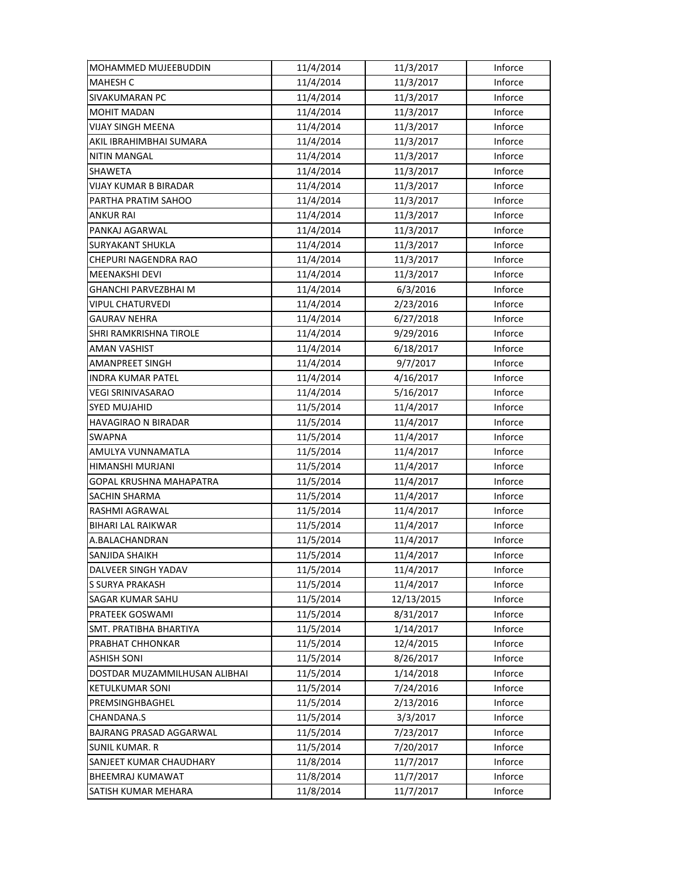| MOHAMMED MUJEEBUDDIN          | 11/4/2014 | 11/3/2017  | Inforce |
|-------------------------------|-----------|------------|---------|
| <b>MAHESH C</b>               | 11/4/2014 | 11/3/2017  | Inforce |
| <b>SIVAKUMARAN PC</b>         | 11/4/2014 | 11/3/2017  | Inforce |
| <b>MOHIT MADAN</b>            | 11/4/2014 | 11/3/2017  | Inforce |
| <b>VIJAY SINGH MEENA</b>      | 11/4/2014 | 11/3/2017  | Inforce |
| AKIL IBRAHIMBHAI SUMARA       | 11/4/2014 | 11/3/2017  | Inforce |
| <b>NITIN MANGAL</b>           | 11/4/2014 | 11/3/2017  | Inforce |
| <b>SHAWETA</b>                | 11/4/2014 | 11/3/2017  | Inforce |
| VIJAY KUMAR B BIRADAR         | 11/4/2014 | 11/3/2017  | Inforce |
| PARTHA PRATIM SAHOO           | 11/4/2014 | 11/3/2017  | Inforce |
| ANKUR RAI                     | 11/4/2014 | 11/3/2017  | Inforce |
| PANKAJ AGARWAL                | 11/4/2014 | 11/3/2017  | Inforce |
| <b>SURYAKANT SHUKLA</b>       | 11/4/2014 | 11/3/2017  | Inforce |
| CHEPURI NAGENDRA RAO          | 11/4/2014 | 11/3/2017  | Inforce |
| MEENAKSHI DEVI                | 11/4/2014 | 11/3/2017  | Inforce |
| GHANCHI PARVEZBHAI M          | 11/4/2014 | 6/3/2016   | Inforce |
| <b>VIPUL CHATURVEDI</b>       | 11/4/2014 | 2/23/2016  | Inforce |
| GAURAV NEHRA                  | 11/4/2014 | 6/27/2018  | Inforce |
| SHRI RAMKRISHNA TIROLE        | 11/4/2014 | 9/29/2016  | Inforce |
| <b>AMAN VASHIST</b>           | 11/4/2014 | 6/18/2017  | Inforce |
| AMANPREET SINGH               | 11/4/2014 | 9/7/2017   | Inforce |
| <b>INDRA KUMAR PATEL</b>      | 11/4/2014 | 4/16/2017  | Inforce |
| VEGI SRINIVASARAO             | 11/4/2014 | 5/16/2017  | Inforce |
| SYED MUJAHID                  | 11/5/2014 | 11/4/2017  | Inforce |
| HAVAGIRAO N BIRADAR           | 11/5/2014 | 11/4/2017  | Inforce |
| <b>SWAPNA</b>                 | 11/5/2014 | 11/4/2017  | Inforce |
| AMULYA VUNNAMATLA             | 11/5/2014 | 11/4/2017  | Inforce |
| HIMANSHI MURJANI              | 11/5/2014 | 11/4/2017  | Inforce |
| GOPAL KRUSHNA MAHAPATRA       | 11/5/2014 | 11/4/2017  | Inforce |
| SACHIN SHARMA                 | 11/5/2014 | 11/4/2017  | Inforce |
| RASHMI AGRAWAL                | 11/5/2014 | 11/4/2017  | Inforce |
| <b>BIHARI LAL RAIKWAR</b>     | 11/5/2014 | 11/4/2017  | Inforce |
| A.BALACHANDRAN                | 11/5/2014 | 11/4/2017  | Inforce |
| SANJIDA SHAIKH                | 11/5/2014 | 11/4/2017  | Inforce |
| DALVEER SINGH YADAV           | 11/5/2014 | 11/4/2017  | Inforce |
| S SURYA PRAKASH               | 11/5/2014 | 11/4/2017  | Inforce |
| SAGAR KUMAR SAHU              | 11/5/2014 | 12/13/2015 | Inforce |
| PRATEEK GOSWAMI               | 11/5/2014 | 8/31/2017  | Inforce |
| SMT. PRATIBHA BHARTIYA        | 11/5/2014 | 1/14/2017  | Inforce |
| PRABHAT CHHONKAR              | 11/5/2014 | 12/4/2015  | Inforce |
| ASHISH SONI                   | 11/5/2014 | 8/26/2017  | Inforce |
| DOSTDAR MUZAMMILHUSAN ALIBHAI | 11/5/2014 | 1/14/2018  | Inforce |
| <b>KETULKUMAR SONI</b>        | 11/5/2014 | 7/24/2016  | Inforce |
| PREMSINGHBAGHEL               | 11/5/2014 | 2/13/2016  | Inforce |
| CHANDANA.S                    | 11/5/2014 | 3/3/2017   | Inforce |
| BAJRANG PRASAD AGGARWAL       | 11/5/2014 | 7/23/2017  | Inforce |
| <b>SUNIL KUMAR. R</b>         | 11/5/2014 | 7/20/2017  | Inforce |
| SANJEET KUMAR CHAUDHARY       | 11/8/2014 | 11/7/2017  | Inforce |
| <b>BHEEMRAJ KUMAWAT</b>       | 11/8/2014 | 11/7/2017  | Inforce |
| SATISH KUMAR MEHARA           | 11/8/2014 | 11/7/2017  | Inforce |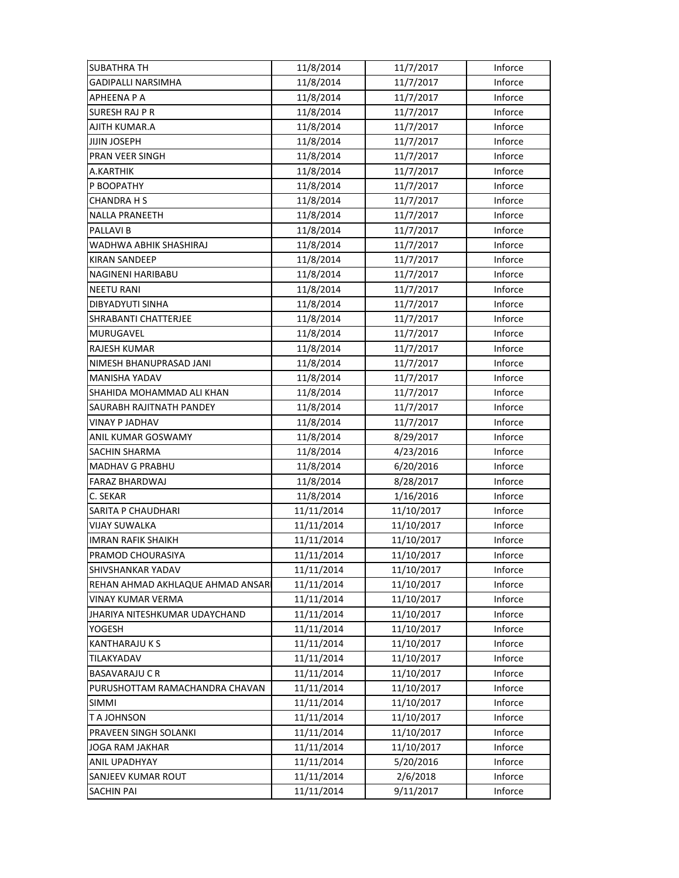| <b>SUBATHRA TH</b>               | 11/8/2014  | 11/7/2017  | Inforce |
|----------------------------------|------------|------------|---------|
| <b>GADIPALLI NARSIMHA</b>        | 11/8/2014  | 11/7/2017  | Inforce |
| APHEENA P A                      | 11/8/2014  | 11/7/2017  | Inforce |
| <b>SURESH RAJ P R</b>            | 11/8/2014  | 11/7/2017  | Inforce |
| AJITH KUMAR.A                    | 11/8/2014  | 11/7/2017  | Inforce |
| <b>JIJIN JOSEPH</b>              | 11/8/2014  | 11/7/2017  | Inforce |
| <b>PRAN VEER SINGH</b>           | 11/8/2014  | 11/7/2017  | Inforce |
| A.KARTHIK                        | 11/8/2014  | 11/7/2017  | Inforce |
| P BOOPATHY                       | 11/8/2014  | 11/7/2017  | Inforce |
| <b>CHANDRA H S</b>               | 11/8/2014  | 11/7/2017  | Inforce |
| <b>NALLA PRANEETH</b>            | 11/8/2014  | 11/7/2017  | Inforce |
| PALLAVI B                        | 11/8/2014  | 11/7/2017  | Inforce |
| WADHWA ABHIK SHASHIRAJ           | 11/8/2014  | 11/7/2017  | Inforce |
| <b>KIRAN SANDEEP</b>             | 11/8/2014  | 11/7/2017  | Inforce |
| NAGINENI HARIBABU                | 11/8/2014  | 11/7/2017  | Inforce |
| <b>NEETU RANI</b>                | 11/8/2014  | 11/7/2017  | Inforce |
| <b>DIBYADYUTI SINHA</b>          | 11/8/2014  | 11/7/2017  | Inforce |
| <b>SHRABANTI CHATTERJEE</b>      | 11/8/2014  | 11/7/2017  | Inforce |
| MURUGAVEL                        | 11/8/2014  | 11/7/2017  | Inforce |
| RAJESH KUMAR                     | 11/8/2014  | 11/7/2017  | Inforce |
| NIMESH BHANUPRASAD JANI          | 11/8/2014  | 11/7/2017  | Inforce |
| MANISHA YADAV                    | 11/8/2014  | 11/7/2017  | Inforce |
| SHAHIDA MOHAMMAD ALI KHAN        | 11/8/2014  | 11/7/2017  | Inforce |
| SAURABH RAJITNATH PANDEY         | 11/8/2014  | 11/7/2017  | Inforce |
| <b>VINAY P JADHAV</b>            | 11/8/2014  | 11/7/2017  | Inforce |
| ANIL KUMAR GOSWAMY               | 11/8/2014  | 8/29/2017  | Inforce |
| SACHIN SHARMA                    | 11/8/2014  | 4/23/2016  | Inforce |
| <b>MADHAV G PRABHU</b>           | 11/8/2014  | 6/20/2016  | Inforce |
| <b>FARAZ BHARDWAJ</b>            | 11/8/2014  | 8/28/2017  | Inforce |
| C. SEKAR                         | 11/8/2014  | 1/16/2016  | Inforce |
| SARITA P CHAUDHARI               | 11/11/2014 | 11/10/2017 | Inforce |
| VIJAY SUWALKA                    | 11/11/2014 | 11/10/2017 | Inforce |
| <b>IMRAN RAFIK SHAIKH</b>        | 11/11/2014 | 11/10/2017 | Inforce |
| PRAMOD CHOURASIYA                | 11/11/2014 | 11/10/2017 | Inforce |
| SHIVSHANKAR YADAV                | 11/11/2014 | 11/10/2017 | Inforce |
| REHAN AHMAD AKHLAQUE AHMAD ANSAR | 11/11/2014 | 11/10/2017 | Inforce |
| VINAY KUMAR VERMA                | 11/11/2014 | 11/10/2017 | Inforce |
| JHARIYA NITESHKUMAR UDAYCHAND    | 11/11/2014 | 11/10/2017 | Inforce |
| YOGESH                           | 11/11/2014 | 11/10/2017 | Inforce |
| <b>KANTHARAJU K S</b>            | 11/11/2014 | 11/10/2017 | Inforce |
| TILAKYADAV                       | 11/11/2014 | 11/10/2017 | Inforce |
| <b>BASAVARAJU CR</b>             | 11/11/2014 | 11/10/2017 | Inforce |
| PURUSHOTTAM RAMACHANDRA CHAVAN   | 11/11/2014 | 11/10/2017 | Inforce |
| <b>SIMMI</b>                     | 11/11/2014 | 11/10/2017 | Inforce |
| T A JOHNSON                      | 11/11/2014 | 11/10/2017 | Inforce |
| PRAVEEN SINGH SOLANKI            | 11/11/2014 | 11/10/2017 | Inforce |
| <b>JOGA RAM JAKHAR</b>           | 11/11/2014 | 11/10/2017 | Inforce |
| ANIL UPADHYAY                    | 11/11/2014 | 5/20/2016  | Inforce |
| SANJEEV KUMAR ROUT               | 11/11/2014 | 2/6/2018   | Inforce |
| <b>SACHIN PAI</b>                | 11/11/2014 | 9/11/2017  | Inforce |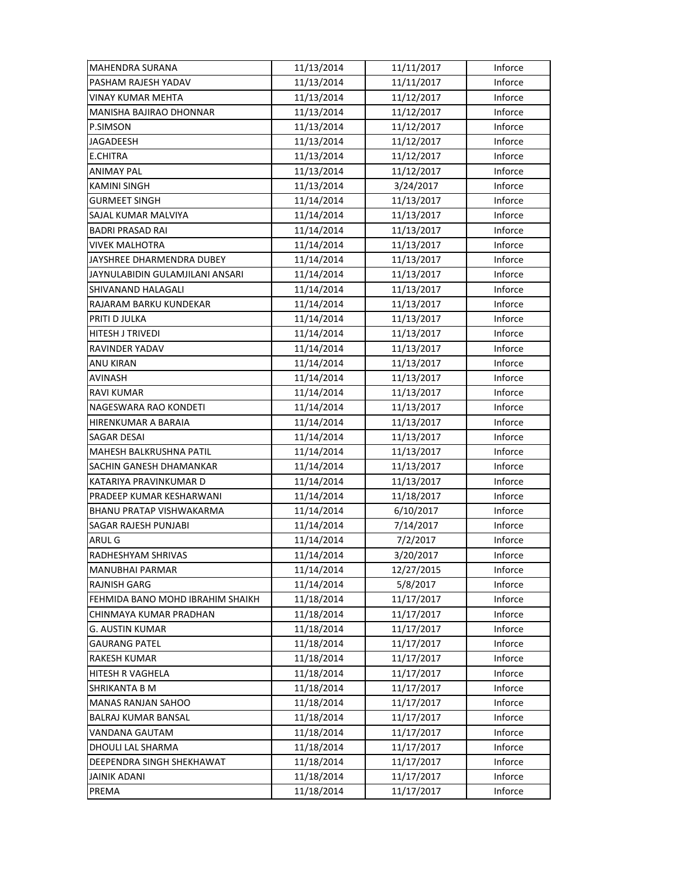| MAHENDRA SURANA                  | 11/13/2014 | 11/11/2017 | Inforce |
|----------------------------------|------------|------------|---------|
| PASHAM RAJESH YADAV              | 11/13/2014 | 11/11/2017 | Inforce |
| VINAY KUMAR MEHTA                | 11/13/2014 | 11/12/2017 | Inforce |
| MANISHA BAJIRAO DHONNAR          | 11/13/2014 | 11/12/2017 | Inforce |
| P.SIMSON                         | 11/13/2014 | 11/12/2017 | Inforce |
| <b>JAGADEESH</b>                 | 11/13/2014 | 11/12/2017 | Inforce |
| <b>E.CHITRA</b>                  | 11/13/2014 | 11/12/2017 | Inforce |
| <b>ANIMAY PAL</b>                | 11/13/2014 | 11/12/2017 | Inforce |
| KAMINI SINGH                     | 11/13/2014 | 3/24/2017  | Inforce |
| <b>GURMEET SINGH</b>             | 11/14/2014 | 11/13/2017 | Inforce |
| SAJAL KUMAR MALVIYA              | 11/14/2014 | 11/13/2017 | Inforce |
| <b>BADRI PRASAD RAI</b>          | 11/14/2014 | 11/13/2017 | Inforce |
| <b>VIVEK MALHOTRA</b>            | 11/14/2014 | 11/13/2017 | Inforce |
| JAYSHREE DHARMENDRA DUBEY        | 11/14/2014 | 11/13/2017 | Inforce |
| JAYNULABIDIN GULAMJILANI ANSARI  | 11/14/2014 | 11/13/2017 | Inforce |
| SHIVANAND HALAGALI               | 11/14/2014 | 11/13/2017 | Inforce |
| RAJARAM BARKU KUNDEKAR           | 11/14/2014 | 11/13/2017 | Inforce |
| PRITI D JULKA                    | 11/14/2014 | 11/13/2017 | Inforce |
| HITESH J TRIVEDI                 | 11/14/2014 | 11/13/2017 | Inforce |
| RAVINDER YADAV                   | 11/14/2014 | 11/13/2017 | Inforce |
| ANU KIRAN                        | 11/14/2014 | 11/13/2017 | Inforce |
| AVINASH                          | 11/14/2014 | 11/13/2017 | Inforce |
| <b>RAVI KUMAR</b>                | 11/14/2014 | 11/13/2017 | Inforce |
| NAGESWARA RAO KONDETI            | 11/14/2014 | 11/13/2017 | Inforce |
| HIRENKUMAR A BARAIA              | 11/14/2014 | 11/13/2017 | Inforce |
| SAGAR DESAI                      | 11/14/2014 | 11/13/2017 | Inforce |
| MAHESH BALKRUSHNA PATIL          | 11/14/2014 | 11/13/2017 | Inforce |
| SACHIN GANESH DHAMANKAR          | 11/14/2014 | 11/13/2017 | Inforce |
| KATARIYA PRAVINKUMAR D           | 11/14/2014 | 11/13/2017 | Inforce |
| PRADEEP KUMAR KESHARWANI         | 11/14/2014 | 11/18/2017 | Inforce |
| BHANU PRATAP VISHWAKARMA         | 11/14/2014 | 6/10/2017  | Inforce |
| SAGAR RAJESH PUNJABI             | 11/14/2014 | 7/14/2017  | Inforce |
| ARUL G                           | 11/14/2014 | 7/2/2017   | Inforce |
| RADHESHYAM SHRIVAS               | 11/14/2014 | 3/20/2017  | Inforce |
| MANUBHAI PARMAR                  | 11/14/2014 | 12/27/2015 | Inforce |
| <b>RAJNISH GARG</b>              | 11/14/2014 | 5/8/2017   | Inforce |
| FEHMIDA BANO MOHD IBRAHIM SHAIKH | 11/18/2014 | 11/17/2017 | Inforce |
| CHINMAYA KUMAR PRADHAN           | 11/18/2014 | 11/17/2017 | Inforce |
| <b>G. AUSTIN KUMAR</b>           | 11/18/2014 | 11/17/2017 | Inforce |
| <b>GAURANG PATEL</b>             | 11/18/2014 | 11/17/2017 | Inforce |
| RAKESH KUMAR                     | 11/18/2014 | 11/17/2017 | Inforce |
| HITESH R VAGHELA                 | 11/18/2014 | 11/17/2017 | Inforce |
| SHRIKANTA B M                    | 11/18/2014 | 11/17/2017 | Inforce |
| <b>MANAS RANJAN SAHOO</b>        | 11/18/2014 | 11/17/2017 | Inforce |
| BALRAJ KUMAR BANSAL              | 11/18/2014 | 11/17/2017 | Inforce |
| VANDANA GAUTAM                   | 11/18/2014 | 11/17/2017 | Inforce |
| DHOULI LAL SHARMA                | 11/18/2014 | 11/17/2017 | Inforce |
| DEEPENDRA SINGH SHEKHAWAT        | 11/18/2014 | 11/17/2017 | Inforce |
| <b>JAINIK ADANI</b>              | 11/18/2014 | 11/17/2017 | Inforce |
| PREMA                            | 11/18/2014 | 11/17/2017 | Inforce |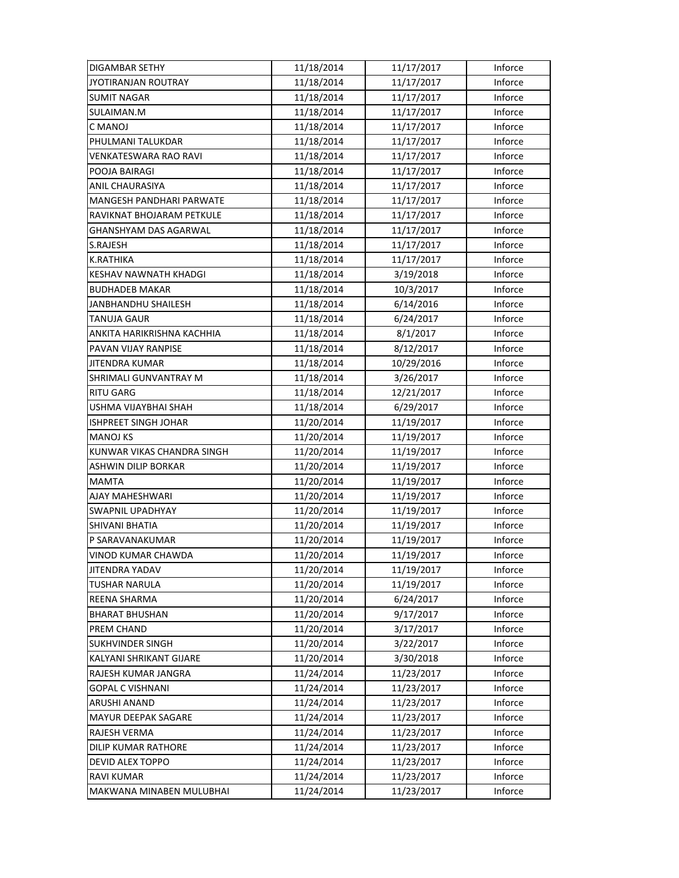| DIGAMBAR SETHY                                | 11/18/2014               | 11/17/2017               | Inforce            |
|-----------------------------------------------|--------------------------|--------------------------|--------------------|
| JYOTIRANJAN ROUTRAY                           | 11/18/2014               | 11/17/2017               | Inforce            |
| <b>SUMIT NAGAR</b>                            | 11/18/2014               | 11/17/2017               | Inforce            |
| SULAIMAN.M                                    | 11/18/2014               | 11/17/2017               | Inforce            |
| C MANOJ                                       | 11/18/2014               | 11/17/2017               | Inforce            |
| PHULMANI TALUKDAR                             | 11/18/2014               | 11/17/2017               | Inforce            |
| VENKATESWARA RAO RAVI                         | 11/18/2014               | 11/17/2017               | Inforce            |
| POOJA BAIRAGI                                 | 11/18/2014               | 11/17/2017               | Inforce            |
| <b>ANIL CHAURASIYA</b>                        | 11/18/2014               | 11/17/2017               | Inforce            |
| MANGESH PANDHARI PARWATE                      | 11/18/2014               | 11/17/2017               | Inforce            |
| RAVIKNAT BHOJARAM PETKULE                     | 11/18/2014               | 11/17/2017               | Inforce            |
| GHANSHYAM DAS AGARWAL                         | 11/18/2014               | 11/17/2017               | Inforce            |
| S.RAJESH                                      | 11/18/2014               | 11/17/2017               | Inforce            |
| K.RATHIKA                                     | 11/18/2014               | 11/17/2017               | Inforce            |
| KESHAV NAWNATH KHADGI                         | 11/18/2014               | 3/19/2018                | Inforce            |
| <b>BUDHADEB MAKAR</b>                         | 11/18/2014               | 10/3/2017                | Inforce            |
| JANBHANDHU SHAILESH                           | 11/18/2014               | 6/14/2016                | Inforce            |
| <b>TANUJA GAUR</b>                            | 11/18/2014               | 6/24/2017                | Inforce            |
| ANKITA HARIKRISHNA KACHHIA                    | 11/18/2014               | 8/1/2017                 | Inforce            |
| PAVAN VIJAY RANPISE                           | 11/18/2014               | 8/12/2017                | Inforce            |
| <b>JITENDRA KUMAR</b>                         | 11/18/2014               | 10/29/2016               | Inforce            |
| SHRIMALI GUNVANTRAY M                         | 11/18/2014               | 3/26/2017                | Inforce            |
| <b>RITU GARG</b>                              | 11/18/2014               | 12/21/2017               | Inforce            |
| USHMA VIJAYBHAI SHAH                          | 11/18/2014               | 6/29/2017                | Inforce            |
| ISHPREET SINGH JOHAR                          | 11/20/2014               | 11/19/2017               | Inforce            |
| <b>MANOJ KS</b>                               | 11/20/2014               | 11/19/2017               | Inforce            |
| KUNWAR VIKAS CHANDRA SINGH                    | 11/20/2014               | 11/19/2017               | Inforce            |
| ASHWIN DILIP BORKAR                           |                          | 11/19/2017               |                    |
|                                               | 11/20/2014               |                          | Inforce            |
| <b>MAMTA</b>                                  | 11/20/2014               | 11/19/2017               | Inforce            |
| AJAY MAHESHWARI                               | 11/20/2014               | 11/19/2017               | Inforce            |
| <b>SWAPNIL UPADHYAY</b>                       | 11/20/2014               | 11/19/2017               | Inforce            |
| <b>SHIVANI BHATIA</b>                         | 11/20/2014               | 11/19/2017               | Inforce            |
| P SARAVANAKUMAR                               | 11/20/2014               | 11/19/2017               | Inforce            |
| <b>VINOD KUMAR CHAWDA</b>                     | 11/20/2014               | 11/19/2017               | Inforce            |
| <b>JITENDRA YADAV</b>                         | 11/20/2014               | 11/19/2017               | Inforce            |
| <b>TUSHAR NARULA</b>                          | 11/20/2014               | 11/19/2017               | Inforce            |
| REENA SHARMA                                  | 11/20/2014               | 6/24/2017                | Inforce            |
| <b>BHARAT BHUSHAN</b>                         | 11/20/2014               | 9/17/2017                | Inforce            |
| PREM CHAND                                    | 11/20/2014               | 3/17/2017                | Inforce            |
| <b>SUKHVINDER SINGH</b>                       | 11/20/2014               | 3/22/2017                | Inforce            |
| KALYANI SHRIKANT GIJARE                       | 11/20/2014               | 3/30/2018                | Inforce            |
| RAJESH KUMAR JANGRA                           | 11/24/2014               | 11/23/2017               | Inforce            |
| <b>GOPAL C VISHNANI</b>                       | 11/24/2014               | 11/23/2017               | Inforce            |
| ARUSHI ANAND                                  | 11/24/2014               | 11/23/2017               | Inforce            |
| <b>MAYUR DEEPAK SAGARE</b>                    | 11/24/2014               | 11/23/2017               | Inforce            |
| RAJESH VERMA                                  | 11/24/2014               | 11/23/2017               | Inforce            |
| DILIP KUMAR RATHORE                           | 11/24/2014               | 11/23/2017               | Inforce            |
| DEVID ALEX TOPPO                              | 11/24/2014               | 11/23/2017               | Inforce            |
| <b>RAVI KUMAR</b><br>MAKWANA MINABEN MULUBHAI | 11/24/2014<br>11/24/2014 | 11/23/2017<br>11/23/2017 | Inforce<br>Inforce |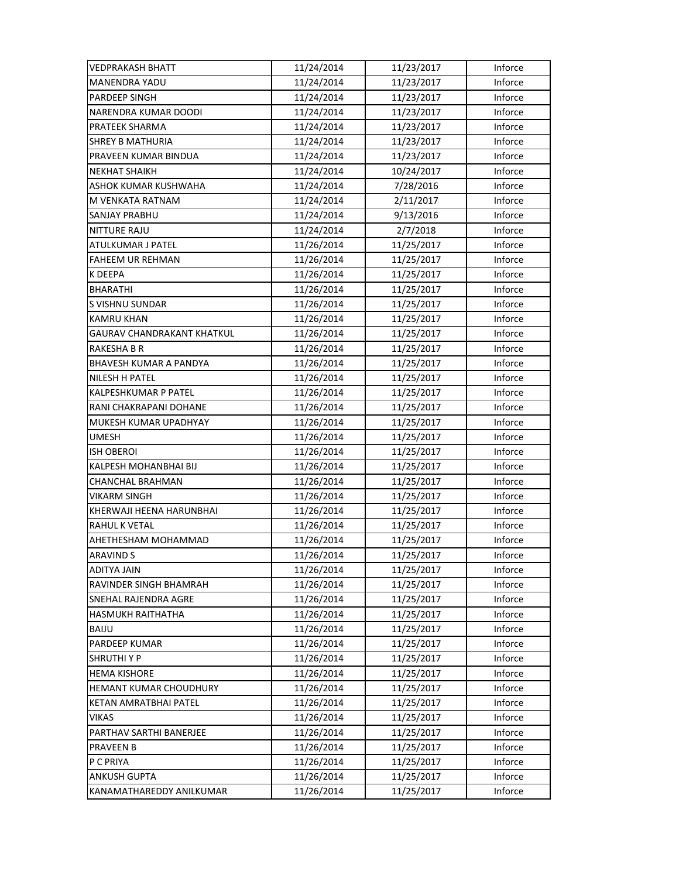| VEDPRAKASH BHATT           | 11/24/2014 | 11/23/2017 | Inforce |
|----------------------------|------------|------------|---------|
| <b>MANENDRA YADU</b>       | 11/24/2014 | 11/23/2017 | Inforce |
| PARDEEP SINGH              | 11/24/2014 | 11/23/2017 | Inforce |
| NARENDRA KUMAR DOODI       | 11/24/2014 | 11/23/2017 | Inforce |
| PRATEEK SHARMA             | 11/24/2014 | 11/23/2017 | Inforce |
| <b>SHREY B MATHURIA</b>    | 11/24/2014 | 11/23/2017 | Inforce |
| PRAVEEN KUMAR BINDUA       | 11/24/2014 | 11/23/2017 | Inforce |
| <b>NEKHAT SHAIKH</b>       | 11/24/2014 | 10/24/2017 | Inforce |
| ASHOK KUMAR KUSHWAHA       | 11/24/2014 | 7/28/2016  | Inforce |
| M VENKATA RATNAM           | 11/24/2014 | 2/11/2017  | Inforce |
| SANJAY PRABHU              | 11/24/2014 | 9/13/2016  | Inforce |
| <b>NITTURE RAJU</b>        | 11/24/2014 | 2/7/2018   | Inforce |
| ATULKUMAR J PATEL          | 11/26/2014 | 11/25/2017 | Inforce |
| <b>FAHEEM UR REHMAN</b>    | 11/26/2014 | 11/25/2017 | Inforce |
| K DEEPA                    | 11/26/2014 | 11/25/2017 | Inforce |
| <b>BHARATHI</b>            | 11/26/2014 | 11/25/2017 | Inforce |
| S VISHNU SUNDAR            | 11/26/2014 | 11/25/2017 | Inforce |
| <b>KAMRU KHAN</b>          | 11/26/2014 | 11/25/2017 | Inforce |
| GAURAV CHANDRAKANT KHATKUL | 11/26/2014 | 11/25/2017 | Inforce |
| RAKESHA B R                | 11/26/2014 | 11/25/2017 | Inforce |
| BHAVESH KUMAR A PANDYA     | 11/26/2014 | 11/25/2017 | Inforce |
| <b>NILESH H PATEL</b>      | 11/26/2014 | 11/25/2017 | Inforce |
| KALPESHKUMAR P PATEL       | 11/26/2014 | 11/25/2017 | Inforce |
| RANI CHAKRAPANI DOHANE     | 11/26/2014 | 11/25/2017 | Inforce |
| MUKESH KUMAR UPADHYAY      | 11/26/2014 | 11/25/2017 | Inforce |
| <b>UMESH</b>               | 11/26/2014 | 11/25/2017 | Inforce |
| <b>ISH OBEROI</b>          | 11/26/2014 | 11/25/2017 | Inforce |
| KALPESH MOHANBHAI BIJ      | 11/26/2014 | 11/25/2017 | Inforce |
| CHANCHAL BRAHMAN           | 11/26/2014 | 11/25/2017 | Inforce |
| <b>VIKARM SINGH</b>        | 11/26/2014 | 11/25/2017 | Inforce |
| KHERWAJI HEENA HARUNBHAI   | 11/26/2014 | 11/25/2017 | Inforce |
| <b>RAHUL K VETAL</b>       | 11/26/2014 | 11/25/2017 | Inforce |
| AHETHESHAM MOHAMMAD        | 11/26/2014 | 11/25/2017 | Inforce |
| ARAVIND S                  | 11/26/2014 | 11/25/2017 | Inforce |
| ADITYA JAIN                | 11/26/2014 | 11/25/2017 | Inforce |
| RAVINDER SINGH BHAMRAH     | 11/26/2014 |            | Inforce |
|                            |            | 11/25/2017 |         |
| SNEHAL RAJENDRA AGRE       | 11/26/2014 | 11/25/2017 | Inforce |
| HASMUKH RAITHATHA          | 11/26/2014 | 11/25/2017 | Inforce |
| <b>BAIJU</b>               | 11/26/2014 | 11/25/2017 | Inforce |
| PARDEEP KUMAR              | 11/26/2014 | 11/25/2017 | Inforce |
| <b>SHRUTHIYP</b>           | 11/26/2014 | 11/25/2017 | Inforce |
| <b>HEMA KISHORE</b>        | 11/26/2014 | 11/25/2017 | Inforce |
| HEMANT KUMAR CHOUDHURY     | 11/26/2014 | 11/25/2017 | Inforce |
| KETAN AMRATBHAI PATEL      | 11/26/2014 | 11/25/2017 | Inforce |
| VIKAS                      | 11/26/2014 | 11/25/2017 | Inforce |
| PARTHAV SARTHI BANERJEE    | 11/26/2014 | 11/25/2017 | Inforce |
| <b>PRAVEEN B</b>           | 11/26/2014 | 11/25/2017 | Inforce |
| P C PRIYA                  | 11/26/2014 | 11/25/2017 | Inforce |
| <b>ANKUSH GUPTA</b>        | 11/26/2014 | 11/25/2017 | Inforce |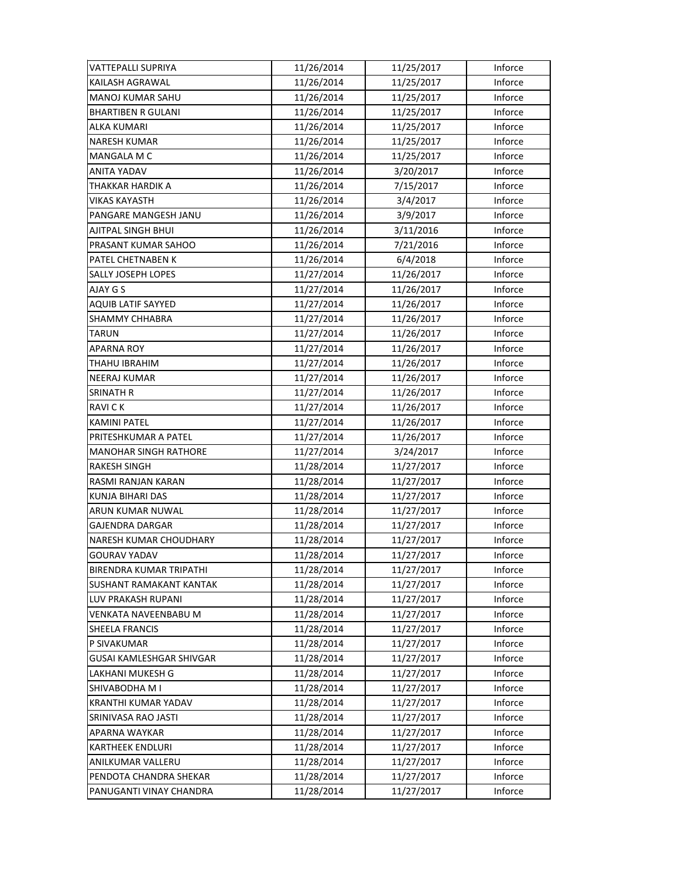| VATTEPALLI SUPRIYA        | 11/26/2014 | 11/25/2017 | Inforce |
|---------------------------|------------|------------|---------|
| KAILASH AGRAWAL           | 11/26/2014 | 11/25/2017 | Inforce |
| MANOJ KUMAR SAHU          | 11/26/2014 | 11/25/2017 | Inforce |
| <b>BHARTIBEN R GULANI</b> | 11/26/2014 | 11/25/2017 | Inforce |
| ALKA KUMARI               | 11/26/2014 | 11/25/2017 | Inforce |
| <b>NARESH KUMAR</b>       | 11/26/2014 | 11/25/2017 | Inforce |
| MANGALA M C               | 11/26/2014 | 11/25/2017 | Inforce |
| ANITA YADAV               | 11/26/2014 | 3/20/2017  | Inforce |
| THAKKAR HARDIK A          | 11/26/2014 | 7/15/2017  | Inforce |
| VIKAS KAYASTH             | 11/26/2014 | 3/4/2017   | Inforce |
| PANGARE MANGESH JANU      | 11/26/2014 | 3/9/2017   | Inforce |
| AJITPAL SINGH BHUI        | 11/26/2014 | 3/11/2016  | Inforce |
| PRASANT KUMAR SAHOO       | 11/26/2014 | 7/21/2016  | Inforce |
| PATEL CHETNABEN K         | 11/26/2014 | 6/4/2018   | Inforce |
| SALLY JOSEPH LOPES        | 11/27/2014 | 11/26/2017 | Inforce |
| AJAY G S                  | 11/27/2014 | 11/26/2017 | Inforce |
| <b>AQUIB LATIF SAYYED</b> | 11/27/2014 | 11/26/2017 | Inforce |
| SHAMMY CHHABRA            | 11/27/2014 | 11/26/2017 | Inforce |
| TARUN                     | 11/27/2014 | 11/26/2017 | Inforce |
| APARNA ROY                | 11/27/2014 | 11/26/2017 | Inforce |
| THAHU IBRAHIM             | 11/27/2014 | 11/26/2017 | Inforce |
| NEERAJ KUMAR              | 11/27/2014 | 11/26/2017 | Inforce |
| SRINATH R                 | 11/27/2014 | 11/26/2017 | Inforce |
| <b>RAVICK</b>             | 11/27/2014 | 11/26/2017 | Inforce |
| <b>KAMINI PATEL</b>       | 11/27/2014 | 11/26/2017 | Inforce |
| PRITESHKUMAR A PATEL      | 11/27/2014 | 11/26/2017 | Inforce |
| MANOHAR SINGH RATHORE     | 11/27/2014 | 3/24/2017  | Inforce |
| RAKESH SINGH              | 11/28/2014 | 11/27/2017 | Inforce |
| RASMI RANJAN KARAN        | 11/28/2014 | 11/27/2017 | Inforce |
| KUNJA BIHARI DAS          | 11/28/2014 | 11/27/2017 | Inforce |
| ARUN KUMAR NUWAL          | 11/28/2014 | 11/27/2017 | Inforce |
| <b>GAJENDRA DARGAR</b>    | 11/28/2014 | 11/27/2017 | Inforce |
| NARESH KUMAR CHOUDHARY    | 11/28/2014 | 11/27/2017 | Inforce |
| GOURAV YADAV              | 11/28/2014 | 11/27/2017 | Inforce |
| BIRENDRA KUMAR TRIPATHI   | 11/28/2014 | 11/27/2017 | Inforce |
| SUSHANT RAMAKANT KANTAK   | 11/28/2014 | 11/27/2017 | Inforce |
| LUV PRAKASH RUPANI        | 11/28/2014 | 11/27/2017 | Inforce |
| VENKATA NAVEENBABU M      | 11/28/2014 | 11/27/2017 | Inforce |
| SHEELA FRANCIS            | 11/28/2014 | 11/27/2017 | Inforce |
| P SIVAKUMAR               | 11/28/2014 | 11/27/2017 | Inforce |
| GUSAI KAMLESHGAR SHIVGAR  | 11/28/2014 | 11/27/2017 | Inforce |
| LAKHANI MUKESH G          | 11/28/2014 | 11/27/2017 | Inforce |
| SHIVABODHA M I            | 11/28/2014 | 11/27/2017 | Inforce |
| KRANTHI KUMAR YADAV       | 11/28/2014 | 11/27/2017 | Inforce |
| SRINIVASA RAO JASTI       | 11/28/2014 | 11/27/2017 | Inforce |
| APARNA WAYKAR             | 11/28/2014 | 11/27/2017 | Inforce |
| KARTHEEK ENDLURI          | 11/28/2014 | 11/27/2017 | Inforce |
| ANILKUMAR VALLERU         | 11/28/2014 | 11/27/2017 | Inforce |
| PENDOTA CHANDRA SHEKAR    | 11/28/2014 | 11/27/2017 | Inforce |
| PANUGANTI VINAY CHANDRA   | 11/28/2014 | 11/27/2017 | Inforce |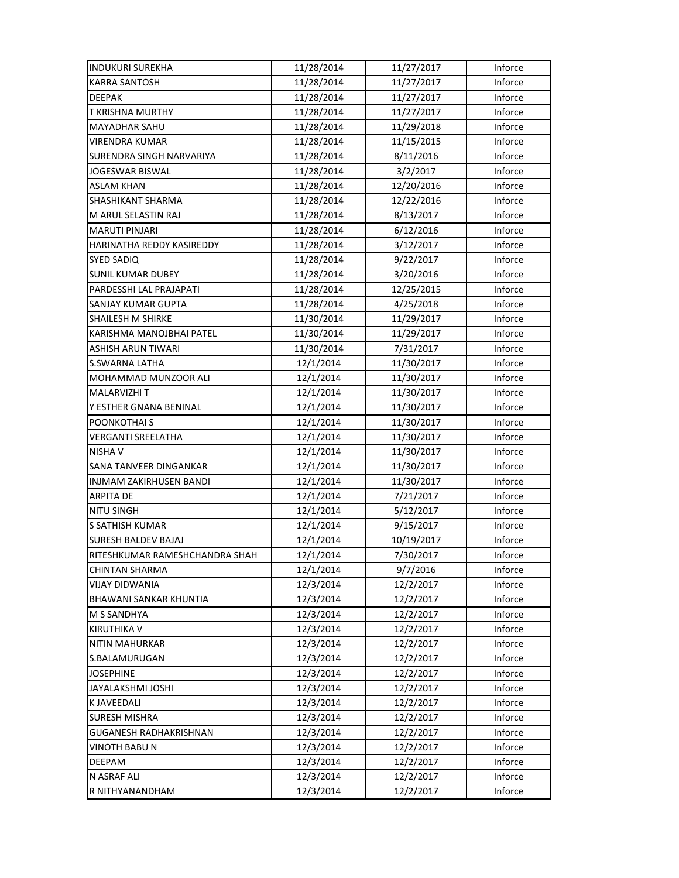| <b>INDUKURI SUREKHA</b>        | 11/28/2014 | 11/27/2017 | Inforce |
|--------------------------------|------------|------------|---------|
| <b>KARRA SANTOSH</b>           | 11/28/2014 | 11/27/2017 | Inforce |
| <b>DEEPAK</b>                  | 11/28/2014 | 11/27/2017 | Inforce |
| <b>T KRISHNA MURTHY</b>        | 11/28/2014 | 11/27/2017 | Inforce |
| MAYADHAR SAHU                  | 11/28/2014 | 11/29/2018 | Inforce |
| <b>VIRENDRA KUMAR</b>          | 11/28/2014 | 11/15/2015 | Inforce |
| SURENDRA SINGH NARVARIYA       | 11/28/2014 | 8/11/2016  | Inforce |
| <b>JOGESWAR BISWAL</b>         | 11/28/2014 | 3/2/2017   | Inforce |
| <b>ASLAM KHAN</b>              | 11/28/2014 | 12/20/2016 | Inforce |
| SHASHIKANT SHARMA              | 11/28/2014 | 12/22/2016 | Inforce |
| M ARUL SELASTIN RAJ            | 11/28/2014 | 8/13/2017  | Inforce |
| <b>MARUTI PINJARI</b>          | 11/28/2014 | 6/12/2016  | Inforce |
| HARINATHA REDDY KASIREDDY      | 11/28/2014 | 3/12/2017  | Inforce |
| SYED SADIQ                     | 11/28/2014 | 9/22/2017  | Inforce |
| <b>SUNIL KUMAR DUBEY</b>       | 11/28/2014 | 3/20/2016  | Inforce |
| PARDESSHI LAL PRAJAPATI        | 11/28/2014 | 12/25/2015 | Inforce |
| <b>SANJAY KUMAR GUPTA</b>      | 11/28/2014 | 4/25/2018  | Inforce |
| SHAILESH M SHIRKE              | 11/30/2014 | 11/29/2017 | Inforce |
| KARISHMA MANOJBHAI PATEL       | 11/30/2014 | 11/29/2017 | Inforce |
| <b>ASHISH ARUN TIWARI</b>      | 11/30/2014 | 7/31/2017  | Inforce |
| <b>S.SWARNA LATHA</b>          | 12/1/2014  | 11/30/2017 | Inforce |
| MOHAMMAD MUNZOOR ALI           | 12/1/2014  | 11/30/2017 | Inforce |
| <b>MALARVIZHI T</b>            | 12/1/2014  | 11/30/2017 | Inforce |
| Y ESTHER GNANA BENINAL         | 12/1/2014  | 11/30/2017 | Inforce |
| POONKOTHAI S                   | 12/1/2014  | 11/30/2017 | Inforce |
| <b>VERGANTI SREELATHA</b>      | 12/1/2014  | 11/30/2017 | Inforce |
| NISHA V                        | 12/1/2014  | 11/30/2017 | Inforce |
| SANA TANVEER DINGANKAR         | 12/1/2014  | 11/30/2017 | Inforce |
| INJMAM ZAKIRHUSEN BANDI        | 12/1/2014  | 11/30/2017 | Inforce |
| <b>ARPITA DE</b>               | 12/1/2014  | 7/21/2017  | Inforce |
| <b>NITU SINGH</b>              | 12/1/2014  | 5/12/2017  | Inforce |
| <b>S SATHISH KUMAR</b>         | 12/1/2014  | 9/15/2017  | Inforce |
| <b>SURESH BALDEV BAJAJ</b>     | 12/1/2014  | 10/19/2017 | Inforce |
| RITESHKUMAR RAMESHCHANDRA SHAH | 12/1/2014  | 7/30/2017  | Inforce |
| CHINTAN SHARMA                 | 12/1/2014  | 9/7/2016   | Inforce |
| <b>VIJAY DIDWANIA</b>          | 12/3/2014  | 12/2/2017  | Inforce |
| <b>BHAWANI SANKAR KHUNTIA</b>  | 12/3/2014  | 12/2/2017  | Inforce |
| M S SANDHYA                    | 12/3/2014  | 12/2/2017  | Inforce |
| <b>KIRUTHIKA V</b>             | 12/3/2014  | 12/2/2017  | Inforce |
| <b>NITIN MAHURKAR</b>          | 12/3/2014  | 12/2/2017  | Inforce |
| S.BALAMURUGAN                  | 12/3/2014  | 12/2/2017  | Inforce |
| <b>JOSEPHINE</b>               | 12/3/2014  | 12/2/2017  | Inforce |
| JAYALAKSHMI JOSHI              | 12/3/2014  | 12/2/2017  | Inforce |
| K JAVEEDALI                    | 12/3/2014  | 12/2/2017  | Inforce |
| <b>SURESH MISHRA</b>           | 12/3/2014  | 12/2/2017  | Inforce |
| <b>GUGANESH RADHAKRISHNAN</b>  | 12/3/2014  | 12/2/2017  | Inforce |
| VINOTH BABU N                  | 12/3/2014  | 12/2/2017  | Inforce |
| DEEPAM                         | 12/3/2014  | 12/2/2017  | Inforce |
| N ASRAF ALI                    | 12/3/2014  | 12/2/2017  | Inforce |
| R NITHYANANDHAM                | 12/3/2014  | 12/2/2017  | Inforce |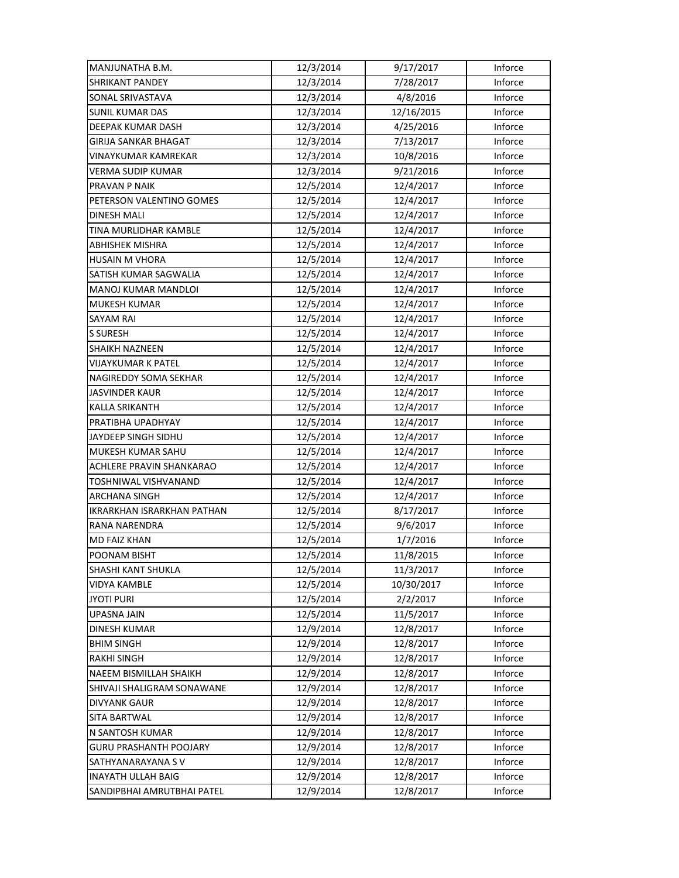| MANJUNATHA B.M.                   | 12/3/2014 | 9/17/2017  | Inforce |
|-----------------------------------|-----------|------------|---------|
| <b>SHRIKANT PANDEY</b>            | 12/3/2014 | 7/28/2017  | Inforce |
| SONAL SRIVASTAVA                  | 12/3/2014 | 4/8/2016   | Inforce |
| <b>SUNIL KUMAR DAS</b>            | 12/3/2014 | 12/16/2015 | Inforce |
| DEEPAK KUMAR DASH                 | 12/3/2014 | 4/25/2016  | Inforce |
| <b>GIRIJA SANKAR BHAGAT</b>       | 12/3/2014 | 7/13/2017  | Inforce |
| VINAYKUMAR KAMREKAR               | 12/3/2014 | 10/8/2016  | Inforce |
| <b>VERMA SUDIP KUMAR</b>          | 12/3/2014 | 9/21/2016  | Inforce |
| PRAVAN P NAIK                     | 12/5/2014 | 12/4/2017  | Inforce |
| PETERSON VALENTINO GOMES          | 12/5/2014 | 12/4/2017  | Inforce |
| <b>DINESH MALI</b>                | 12/5/2014 | 12/4/2017  | Inforce |
| TINA MURLIDHAR KAMBLE             | 12/5/2014 | 12/4/2017  | Inforce |
| <b>ABHISHEK MISHRA</b>            | 12/5/2014 | 12/4/2017  | Inforce |
| <b>HUSAIN M VHORA</b>             | 12/5/2014 | 12/4/2017  | Inforce |
| SATISH KUMAR SAGWALIA             | 12/5/2014 | 12/4/2017  | Inforce |
| <b>MANOJ KUMAR MANDLOI</b>        | 12/5/2014 | 12/4/2017  | Inforce |
| <b>MUKESH KUMAR</b>               | 12/5/2014 | 12/4/2017  | Inforce |
| SAYAM RAI                         | 12/5/2014 | 12/4/2017  | Inforce |
| <b>S SURESH</b>                   | 12/5/2014 | 12/4/2017  | Inforce |
| SHAIKH NAZNEEN                    | 12/5/2014 | 12/4/2017  | Inforce |
| VIJAYKUMAR K PATEL                | 12/5/2014 | 12/4/2017  | Inforce |
| NAGIREDDY SOMA SEKHAR             | 12/5/2014 | 12/4/2017  | Inforce |
| JASVINDER KAUR                    | 12/5/2014 | 12/4/2017  | Inforce |
| <b>KALLA SRIKANTH</b>             | 12/5/2014 | 12/4/2017  | Inforce |
| PRATIBHA UPADHYAY                 | 12/5/2014 | 12/4/2017  | Inforce |
| JAYDEEP SINGH SIDHU               | 12/5/2014 | 12/4/2017  | Inforce |
| MUKESH KUMAR SAHU                 | 12/5/2014 | 12/4/2017  | Inforce |
| ACHLERE PRAVIN SHANKARAO          | 12/5/2014 | 12/4/2017  | Inforce |
| TOSHNIWAL VISHVANAND              | 12/5/2014 | 12/4/2017  | Inforce |
| ARCHANA SINGH                     | 12/5/2014 | 12/4/2017  | Inforce |
| <b>IKRARKHAN ISRARKHAN PATHAN</b> | 12/5/2014 | 8/17/2017  | Inforce |
| RANA NARENDRA                     | 12/5/2014 | 9/6/2017   | Inforce |
| <b>MD FAIZ KHAN</b>               | 12/5/2014 | 1/7/2016   | Inforce |
| POONAM BISHT                      | 12/5/2014 | 11/8/2015  | Inforce |
| SHASHI KANT SHUKLA                | 12/5/2014 | 11/3/2017  | Inforce |
| <b>VIDYA KAMBLE</b>               | 12/5/2014 | 10/30/2017 | Inforce |
| <b>JYOTI PURI</b>                 | 12/5/2014 | 2/2/2017   | Inforce |
| UPASNA JAIN                       | 12/5/2014 | 11/5/2017  | Inforce |
| <b>DINESH KUMAR</b>               | 12/9/2014 | 12/8/2017  | Inforce |
| <b>BHIM SINGH</b>                 | 12/9/2014 | 12/8/2017  | Inforce |
| <b>RAKHI SINGH</b>                | 12/9/2014 | 12/8/2017  | Inforce |
| NAEEM BISMILLAH SHAIKH            | 12/9/2014 | 12/8/2017  | Inforce |
| SHIVAJI SHALIGRAM SONAWANE        | 12/9/2014 | 12/8/2017  | Inforce |
| DIVYANK GAUR                      | 12/9/2014 | 12/8/2017  | Inforce |
| <b>SITA BARTWAL</b>               | 12/9/2014 | 12/8/2017  | Inforce |
| N SANTOSH KUMAR                   | 12/9/2014 | 12/8/2017  | Inforce |
| <b>GURU PRASHANTH POOJARY</b>     | 12/9/2014 | 12/8/2017  | Inforce |
| SATHYANARAYANA SV                 | 12/9/2014 | 12/8/2017  | Inforce |
| <b>INAYATH ULLAH BAIG</b>         | 12/9/2014 | 12/8/2017  | Inforce |
| SANDIPBHAI AMRUTBHAI PATEL        | 12/9/2014 | 12/8/2017  | Inforce |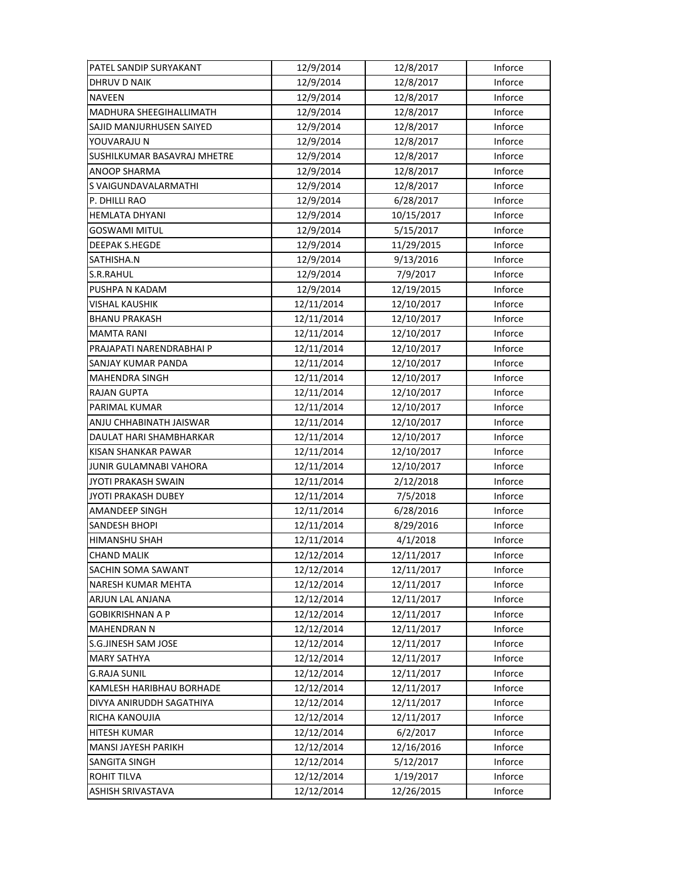| PATEL SANDIP SURYAKANT         | 12/9/2014  | 12/8/2017  | Inforce |
|--------------------------------|------------|------------|---------|
| <b>DHRUV D NAIK</b>            | 12/9/2014  | 12/8/2017  | Inforce |
| NAVEEN                         | 12/9/2014  | 12/8/2017  | Inforce |
| <b>MADHURA SHEEGIHALLIMATH</b> | 12/9/2014  | 12/8/2017  | Inforce |
| SAJID MANJURHUSEN SAIYED       | 12/9/2014  | 12/8/2017  | Inforce |
| YOUVARAJU N                    | 12/9/2014  | 12/8/2017  | Inforce |
| SUSHILKUMAR BASAVRAJ MHETRE    | 12/9/2014  | 12/8/2017  | Inforce |
| <b>ANOOP SHARMA</b>            | 12/9/2014  | 12/8/2017  | Inforce |
| S VAIGUNDAVALARMATHI           | 12/9/2014  | 12/8/2017  | Inforce |
| P. DHILLI RAO                  | 12/9/2014  | 6/28/2017  | Inforce |
| <b>HEMLATA DHYANI</b>          | 12/9/2014  | 10/15/2017 | Inforce |
| GOSWAMI MITUL                  | 12/9/2014  | 5/15/2017  | Inforce |
| DEEPAK S.HEGDE                 | 12/9/2014  | 11/29/2015 | Inforce |
| SATHISHA.N                     | 12/9/2014  | 9/13/2016  | Inforce |
| S.R.RAHUL                      | 12/9/2014  | 7/9/2017   | Inforce |
| PUSHPA N KADAM                 | 12/9/2014  | 12/19/2015 | Inforce |
| <b>VISHAL KAUSHIK</b>          | 12/11/2014 | 12/10/2017 | Inforce |
| <b>BHANU PRAKASH</b>           | 12/11/2014 | 12/10/2017 | Inforce |
| <b>MAMTA RANI</b>              | 12/11/2014 | 12/10/2017 | Inforce |
| PRAJAPATI NARENDRABHAI P       | 12/11/2014 | 12/10/2017 | Inforce |
| SANJAY KUMAR PANDA             | 12/11/2014 | 12/10/2017 | Inforce |
| <b>MAHENDRA SINGH</b>          | 12/11/2014 | 12/10/2017 | Inforce |
| <b>RAJAN GUPTA</b>             | 12/11/2014 | 12/10/2017 | Inforce |
| PARIMAL KUMAR                  | 12/11/2014 | 12/10/2017 | Inforce |
| ANJU CHHABINATH JAISWAR        | 12/11/2014 | 12/10/2017 | Inforce |
| DAULAT HARI SHAMBHARKAR        | 12/11/2014 | 12/10/2017 | Inforce |
| KISAN SHANKAR PAWAR            | 12/11/2014 | 12/10/2017 | Inforce |
| JUNIR GULAMNABI VAHORA         | 12/11/2014 | 12/10/2017 | Inforce |
| JYOTI PRAKASH SWAIN            | 12/11/2014 | 2/12/2018  | Inforce |
| JYOTI PRAKASH DUBEY            | 12/11/2014 | 7/5/2018   | Inforce |
| AMANDEEP SINGH                 | 12/11/2014 | 6/28/2016  | Inforce |
| <b>SANDESH BHOPI</b>           | 12/11/2014 | 8/29/2016  | Inforce |
| HIMANSHU SHAH                  | 12/11/2014 | 4/1/2018   | Inforce |
| <b>CHAND MALIK</b>             | 12/12/2014 | 12/11/2017 | Inforce |
| SACHIN SOMA SAWANT             | 12/12/2014 | 12/11/2017 | Inforce |
| NARESH KUMAR MEHTA             | 12/12/2014 | 12/11/2017 | Inforce |
| ARJUN LAL ANJANA               | 12/12/2014 | 12/11/2017 | Inforce |
| <b>GOBIKRISHNAN A P</b>        | 12/12/2014 | 12/11/2017 | Inforce |
| <b>MAHENDRAN N</b>             | 12/12/2014 | 12/11/2017 | Inforce |
| S.G.JINESH SAM JOSE            | 12/12/2014 | 12/11/2017 | Inforce |
| <b>MARY SATHYA</b>             | 12/12/2014 | 12/11/2017 | Inforce |
| <b>G.RAJA SUNIL</b>            | 12/12/2014 | 12/11/2017 | Inforce |
| KAMLESH HARIBHAU BORHADE       | 12/12/2014 | 12/11/2017 | Inforce |
| DIVYA ANIRUDDH SAGATHIYA       | 12/12/2014 | 12/11/2017 | Inforce |
| RICHA KANOUJIA                 | 12/12/2014 | 12/11/2017 | Inforce |
| <b>HITESH KUMAR</b>            | 12/12/2014 | 6/2/2017   | Inforce |
| MANSI JAYESH PARIKH            | 12/12/2014 | 12/16/2016 | Inforce |
| SANGITA SINGH                  | 12/12/2014 | 5/12/2017  | Inforce |
| <b>ROHIT TILVA</b>             | 12/12/2014 | 1/19/2017  | Inforce |
| ASHISH SRIVASTAVA              | 12/12/2014 | 12/26/2015 | Inforce |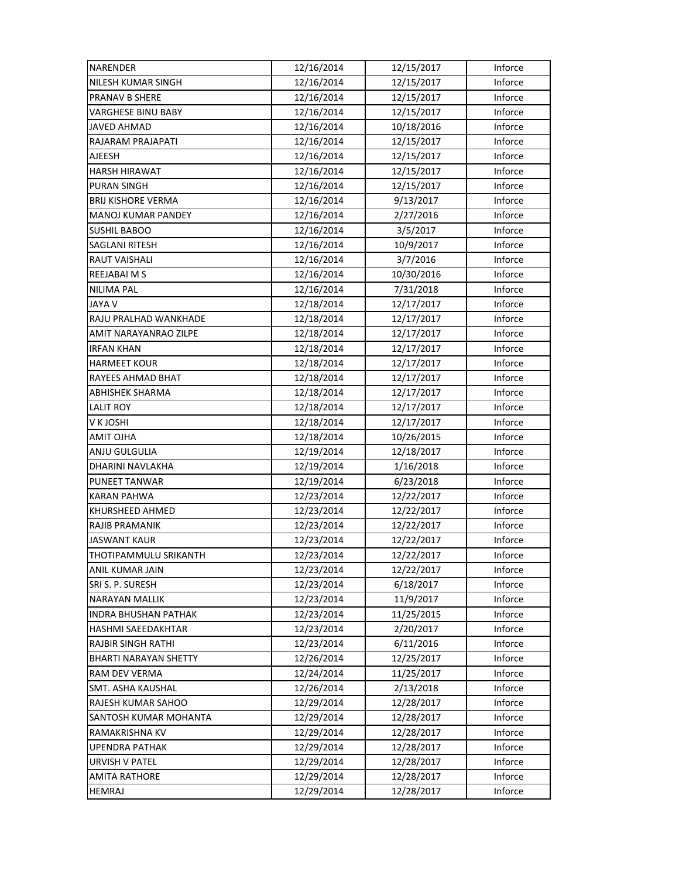| NARENDER                    | 12/16/2014 | 12/15/2017 | Inforce |
|-----------------------------|------------|------------|---------|
| NILESH KUMAR SINGH          | 12/16/2014 | 12/15/2017 | Inforce |
| PRANAV B SHERE              | 12/16/2014 | 12/15/2017 | Inforce |
| <b>VARGHESE BINU BABY</b>   | 12/16/2014 | 12/15/2017 | Inforce |
| JAVED AHMAD                 | 12/16/2014 | 10/18/2016 | Inforce |
| RAJARAM PRAJAPATI           | 12/16/2014 | 12/15/2017 | Inforce |
| AJEESH                      | 12/16/2014 | 12/15/2017 | Inforce |
| <b>HARSH HIRAWAT</b>        | 12/16/2014 | 12/15/2017 | Inforce |
| PURAN SINGH                 | 12/16/2014 | 12/15/2017 | Inforce |
| <b>BRIJ KISHORE VERMA</b>   | 12/16/2014 | 9/13/2017  | Inforce |
| <b>MANOJ KUMAR PANDEY</b>   | 12/16/2014 | 2/27/2016  | Inforce |
| <b>SUSHIL BABOO</b>         | 12/16/2014 | 3/5/2017   | Inforce |
| SAGLANI RITESH              | 12/16/2014 | 10/9/2017  | Inforce |
| RAUT VAISHALI               | 12/16/2014 | 3/7/2016   | Inforce |
| REEJABAI M S                | 12/16/2014 | 10/30/2016 | Inforce |
| <b>NILIMA PAL</b>           | 12/16/2014 | 7/31/2018  | Inforce |
| JAYA V                      | 12/18/2014 | 12/17/2017 | Inforce |
| RAJU PRALHAD WANKHADE       | 12/18/2014 | 12/17/2017 | Inforce |
| AMIT NARAYANRAO ZILPE       | 12/18/2014 | 12/17/2017 | Inforce |
| <b>IRFAN KHAN</b>           | 12/18/2014 | 12/17/2017 | Inforce |
| HARMEET KOUR                | 12/18/2014 | 12/17/2017 | Inforce |
| RAYEES AHMAD BHAT           | 12/18/2014 | 12/17/2017 | Inforce |
| ABHISHEK SHARMA             | 12/18/2014 | 12/17/2017 | Inforce |
| <b>LALIT ROY</b>            | 12/18/2014 | 12/17/2017 | Inforce |
| V K JOSHI                   | 12/18/2014 | 12/17/2017 | Inforce |
| AMIT OJHA                   | 12/18/2014 | 10/26/2015 | Inforce |
| ANJU GULGULIA               | 12/19/2014 | 12/18/2017 | Inforce |
| DHARINI NAVLAKHA            | 12/19/2014 | 1/16/2018  | Inforce |
| PUNEET TANWAR               | 12/19/2014 | 6/23/2018  | Inforce |
| <b>KARAN PAHWA</b>          | 12/23/2014 | 12/22/2017 | Inforce |
| KHURSHEED AHMED             | 12/23/2014 | 12/22/2017 | Inforce |
| RAJIB PRAMANIK              | 12/23/2014 | 12/22/2017 | Inforce |
| <b>JASWANT KAUR</b>         | 12/23/2014 | 12/22/2017 | Inforce |
| THOTIPAMMULU SRIKANTH       | 12/23/2014 | 12/22/2017 | Inforce |
| ANIL KUMAR JAIN             | 12/23/2014 | 12/22/2017 | Inforce |
| SRI S. P. SURESH            | 12/23/2014 | 6/18/2017  | Inforce |
| NARAYAN MALLIK              | 12/23/2014 | 11/9/2017  | Inforce |
| <b>INDRA BHUSHAN PATHAK</b> | 12/23/2014 | 11/25/2015 | Inforce |
| HASHMI SAEEDAKHTAR          | 12/23/2014 | 2/20/2017  | Inforce |
| RAJBIR SINGH RATHI          | 12/23/2014 | 6/11/2016  | Inforce |
| BHARTI NARAYAN SHETTY       | 12/26/2014 | 12/25/2017 | Inforce |
| RAM DEV VERMA               | 12/24/2014 | 11/25/2017 | Inforce |
| SMT. ASHA KAUSHAL           | 12/26/2014 | 2/13/2018  | Inforce |
| RAJESH KUMAR SAHOO          | 12/29/2014 | 12/28/2017 | Inforce |
| SANTOSH KUMAR MOHANTA       | 12/29/2014 | 12/28/2017 | Inforce |
| RAMAKRISHNA KV              | 12/29/2014 | 12/28/2017 | Inforce |
| <b>UPENDRA PATHAK</b>       | 12/29/2014 | 12/28/2017 | Inforce |
| <b>URVISH V PATEL</b>       | 12/29/2014 | 12/28/2017 | Inforce |
| <b>AMITA RATHORE</b>        | 12/29/2014 | 12/28/2017 | Inforce |
| HEMRAJ                      | 12/29/2014 | 12/28/2017 | Inforce |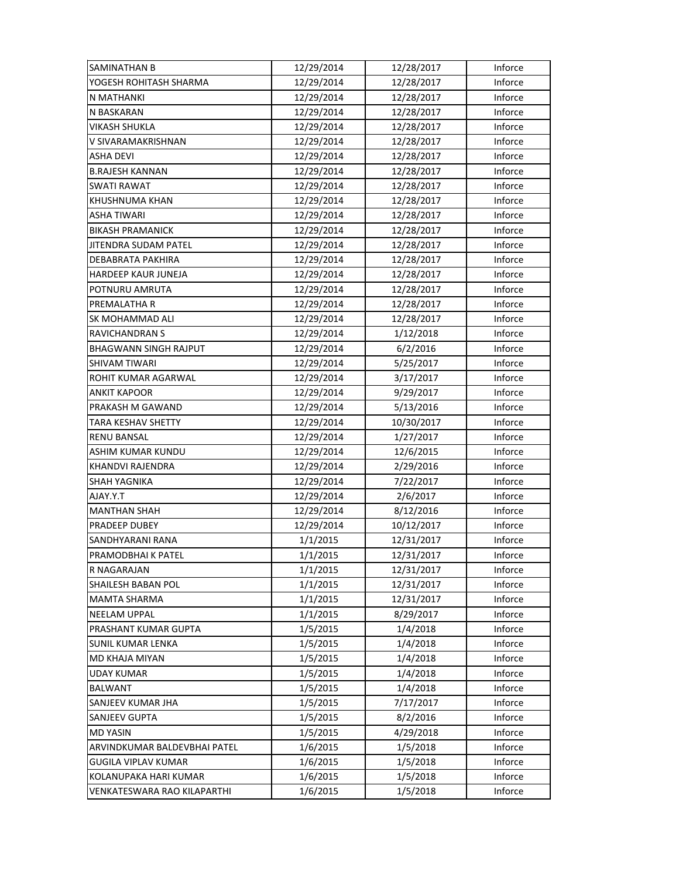| SAMINATHAN B                 | 12/29/2014 | 12/28/2017 | Inforce |
|------------------------------|------------|------------|---------|
| YOGESH ROHITASH SHARMA       | 12/29/2014 | 12/28/2017 | Inforce |
| N MATHANKI                   | 12/29/2014 | 12/28/2017 | Inforce |
| N BASKARAN                   | 12/29/2014 | 12/28/2017 | Inforce |
| VIKASH SHUKLA                | 12/29/2014 | 12/28/2017 | Inforce |
| V SIVARAMAKRISHNAN           | 12/29/2014 | 12/28/2017 | Inforce |
| <b>ASHA DEVI</b>             | 12/29/2014 | 12/28/2017 | Inforce |
| <b>B.RAJESH KANNAN</b>       | 12/29/2014 | 12/28/2017 | Inforce |
| <b>SWATI RAWAT</b>           | 12/29/2014 | 12/28/2017 | Inforce |
| <b>KHUSHNUMA KHAN</b>        | 12/29/2014 | 12/28/2017 | Inforce |
| <b>ASHA TIWARI</b>           | 12/29/2014 | 12/28/2017 | Inforce |
| <b>BIKASH PRAMANICK</b>      | 12/29/2014 | 12/28/2017 | Inforce |
| JITENDRA SUDAM PATEL         | 12/29/2014 | 12/28/2017 | Inforce |
| DEBABRATA PAKHIRA            | 12/29/2014 | 12/28/2017 | Inforce |
| HARDEEP KAUR JUNEJA          | 12/29/2014 | 12/28/2017 | Inforce |
| POTNURU AMRUTA               | 12/29/2014 | 12/28/2017 | Inforce |
| PREMALATHA R                 | 12/29/2014 | 12/28/2017 | Inforce |
| SK MOHAMMAD ALI              | 12/29/2014 | 12/28/2017 | Inforce |
| <b>RAVICHANDRAN S</b>        | 12/29/2014 | 1/12/2018  | Inforce |
| <b>BHAGWANN SINGH RAJPUT</b> | 12/29/2014 | 6/2/2016   | Inforce |
| SHIVAM TIWARI                | 12/29/2014 | 5/25/2017  | Inforce |
| ROHIT KUMAR AGARWAL          | 12/29/2014 | 3/17/2017  | Inforce |
| <b>ANKIT KAPOOR</b>          | 12/29/2014 | 9/29/2017  | Inforce |
| PRAKASH M GAWAND             | 12/29/2014 | 5/13/2016  | Inforce |
| TARA KESHAV SHETTY           | 12/29/2014 | 10/30/2017 | Inforce |
| <b>RENU BANSAL</b>           | 12/29/2014 | 1/27/2017  | Inforce |
| ASHIM KUMAR KUNDU            | 12/29/2014 | 12/6/2015  | Inforce |
| KHANDVI RAJENDRA             | 12/29/2014 | 2/29/2016  | Inforce |
| SHAH YAGNIKA                 | 12/29/2014 | 7/22/2017  | Inforce |
| T.Y.YALA                     | 12/29/2014 | 2/6/2017   | Inforce |
| <b>MANTHAN SHAH</b>          | 12/29/2014 | 8/12/2016  | Inforce |
| PRADEEP DUBEY                | 12/29/2014 | 10/12/2017 | Inforce |
| SANDHYARANI RANA             | 1/1/2015   | 12/31/2017 | Inforce |
| PRAMODBHAI K PATEL           | 1/1/2015   | 12/31/2017 | Inforce |
| R NAGARAJAN                  |            |            |         |
|                              | 1/1/2015   | 12/31/2017 | Inforce |
| <b>SHAILESH BABAN POL</b>    | 1/1/2015   | 12/31/2017 | Inforce |
| <b>MAMTA SHARMA</b>          | 1/1/2015   | 12/31/2017 | Inforce |
| <b>NEELAM UPPAL</b>          | 1/1/2015   | 8/29/2017  | Inforce |
| PRASHANT KUMAR GUPTA         | 1/5/2015   | 1/4/2018   | Inforce |
| <b>SUNIL KUMAR LENKA</b>     | 1/5/2015   | 1/4/2018   | Inforce |
| MD KHAJA MIYAN               | 1/5/2015   | 1/4/2018   | Inforce |
| <b>UDAY KUMAR</b>            | 1/5/2015   | 1/4/2018   | Inforce |
| <b>BALWANT</b>               | 1/5/2015   | 1/4/2018   | Inforce |
| SANJEEV KUMAR JHA            | 1/5/2015   | 7/17/2017  | Inforce |
| SANJEEV GUPTA                | 1/5/2015   | 8/2/2016   | Inforce |
| <b>MD YASIN</b>              | 1/5/2015   | 4/29/2018  | Inforce |
| ARVINDKUMAR BALDEVBHAI PATEL | 1/6/2015   | 1/5/2018   | Inforce |
| <b>GUGILA VIPLAV KUMAR</b>   | 1/6/2015   | 1/5/2018   | Inforce |
| KOLANUPAKA HARI KUMAR        | 1/6/2015   | 1/5/2018   | Inforce |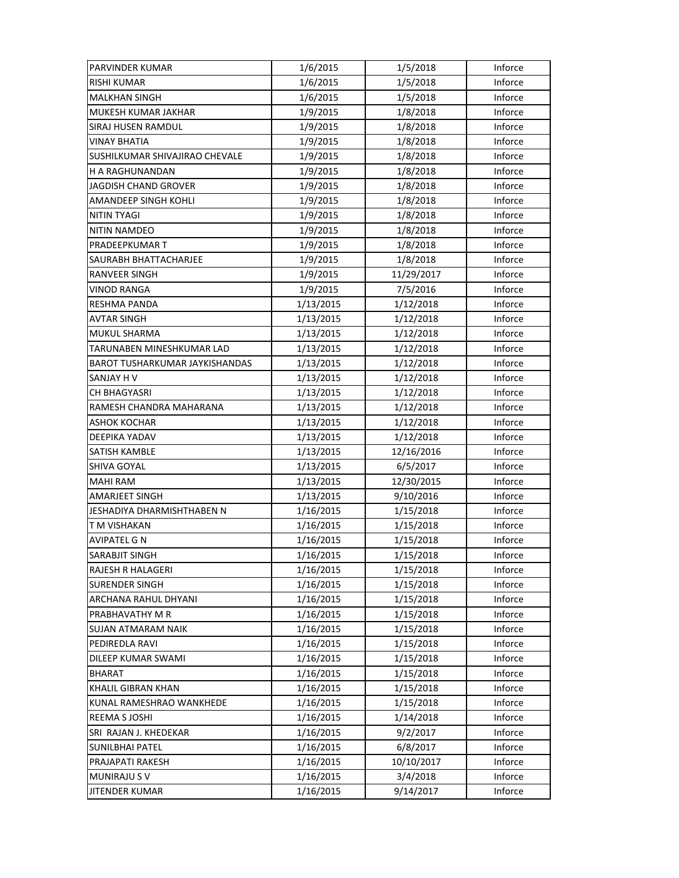| PARVINDER KUMAR                | 1/6/2015  | 1/5/2018   | Inforce |
|--------------------------------|-----------|------------|---------|
| <b>RISHI KUMAR</b>             | 1/6/2015  | 1/5/2018   | Inforce |
| <b>MALKHAN SINGH</b>           | 1/6/2015  | 1/5/2018   | Inforce |
| MUKESH KUMAR JAKHAR            | 1/9/2015  | 1/8/2018   | Inforce |
| SIRAJ HUSEN RAMDUL             | 1/9/2015  | 1/8/2018   | Inforce |
| <b>VINAY BHATIA</b>            | 1/9/2015  | 1/8/2018   | Inforce |
| SUSHILKUMAR SHIVAJIRAO CHEVALE | 1/9/2015  | 1/8/2018   | Inforce |
| <b>H A RAGHUNANDAN</b>         | 1/9/2015  | 1/8/2018   | Inforce |
| JAGDISH CHAND GROVER           | 1/9/2015  | 1/8/2018   | Inforce |
| AMANDEEP SINGH KOHLI           | 1/9/2015  | 1/8/2018   | Inforce |
| NITIN TYAGI                    | 1/9/2015  | 1/8/2018   | Inforce |
| <b>NITIN NAMDEO</b>            | 1/9/2015  | 1/8/2018   | Inforce |
| PRADEEPKUMAR T                 | 1/9/2015  | 1/8/2018   | Inforce |
| SAURABH BHATTACHARJEE          | 1/9/2015  | 1/8/2018   | Inforce |
| <b>RANVEER SINGH</b>           | 1/9/2015  | 11/29/2017 | Inforce |
| <b>VINOD RANGA</b>             | 1/9/2015  | 7/5/2016   | Inforce |
| RESHMA PANDA                   | 1/13/2015 | 1/12/2018  | Inforce |
| <b>AVTAR SINGH</b>             | 1/13/2015 | 1/12/2018  | Inforce |
| MUKUL SHARMA                   | 1/13/2015 | 1/12/2018  | Inforce |
| TARUNABEN MINESHKUMAR LAD      | 1/13/2015 | 1/12/2018  | Inforce |
| BAROT TUSHARKUMAR JAYKISHANDAS | 1/13/2015 | 1/12/2018  | Inforce |
| SANJAY H V                     | 1/13/2015 | 1/12/2018  | Inforce |
| CH BHAGYASRI                   | 1/13/2015 | 1/12/2018  | Inforce |
| RAMESH CHANDRA MAHARANA        | 1/13/2015 | 1/12/2018  | Inforce |
| <b>ASHOK KOCHAR</b>            | 1/13/2015 | 1/12/2018  | Inforce |
| DEEPIKA YADAV                  | 1/13/2015 | 1/12/2018  | Inforce |
| SATISH KAMBLE                  | 1/13/2015 | 12/16/2016 | Inforce |
| SHIVA GOYAL                    | 1/13/2015 | 6/5/2017   | Inforce |
| <b>MAHI RAM</b>                | 1/13/2015 | 12/30/2015 | Inforce |
| <b>AMARJEET SINGH</b>          | 1/13/2015 | 9/10/2016  | Inforce |
| JESHADIYA DHARMISHTHABEN N     | 1/16/2015 | 1/15/2018  | Inforce |
| T M VISHAKAN                   | 1/16/2015 | 1/15/2018  | Inforce |
| <b>AVIPATEL G N</b>            | 1/16/2015 | 1/15/2018  | Inforce |
| SARABJIT SINGH                 | 1/16/2015 | 1/15/2018  | Inforce |
| RAJESH R HALAGERI              | 1/16/2015 | 1/15/2018  | Inforce |
| <b>SURENDER SINGH</b>          | 1/16/2015 | 1/15/2018  | Inforce |
| ARCHANA RAHUL DHYANI           | 1/16/2015 | 1/15/2018  | Inforce |
| PRABHAVATHY M R                | 1/16/2015 | 1/15/2018  | Inforce |
| <b>SUJAN ATMARAM NAIK</b>      | 1/16/2015 | 1/15/2018  | Inforce |
| PEDIREDLA RAVI                 | 1/16/2015 | 1/15/2018  | Inforce |
| DILEEP KUMAR SWAMI             | 1/16/2015 | 1/15/2018  | Inforce |
| <b>BHARAT</b>                  | 1/16/2015 | 1/15/2018  | Inforce |
| KHALIL GIBRAN KHAN             | 1/16/2015 | 1/15/2018  | Inforce |
| KUNAL RAMESHRAO WANKHEDE       | 1/16/2015 | 1/15/2018  | Inforce |
| REEMA S JOSHI                  | 1/16/2015 | 1/14/2018  | Inforce |
| SRI RAJAN J. KHEDEKAR          | 1/16/2015 | 9/2/2017   | Inforce |
| <b>SUNILBHAI PATEL</b>         | 1/16/2015 | 6/8/2017   | Inforce |
| PRAJAPATI RAKESH               | 1/16/2015 | 10/10/2017 | Inforce |
| <b>MUNIRAJU S V</b>            | 1/16/2015 | 3/4/2018   | Inforce |
| <b>JITENDER KUMAR</b>          | 1/16/2015 | 9/14/2017  | Inforce |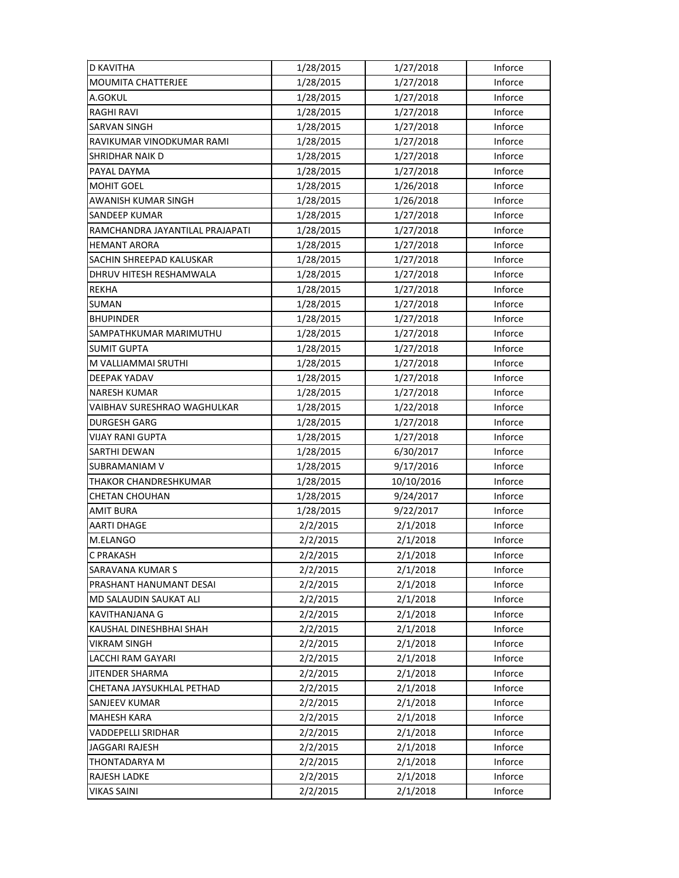| <b>D KAVITHA</b>                | 1/28/2015 | 1/27/2018  | Inforce |
|---------------------------------|-----------|------------|---------|
| MOUMITA CHATTERJEE              | 1/28/2015 | 1/27/2018  | Inforce |
| A.GOKUL                         | 1/28/2015 | 1/27/2018  | Inforce |
| <b>RAGHI RAVI</b>               | 1/28/2015 | 1/27/2018  | Inforce |
| <b>SARVAN SINGH</b>             | 1/28/2015 | 1/27/2018  | Inforce |
| RAVIKUMAR VINODKUMAR RAMI       | 1/28/2015 | 1/27/2018  | Inforce |
| SHRIDHAR NAIK D                 | 1/28/2015 | 1/27/2018  | Inforce |
| PAYAL DAYMA                     | 1/28/2015 | 1/27/2018  | Inforce |
| <b>MOHIT GOEL</b>               | 1/28/2015 | 1/26/2018  | Inforce |
| AWANISH KUMAR SINGH             | 1/28/2015 | 1/26/2018  | Inforce |
| <b>SANDEEP KUMAR</b>            | 1/28/2015 | 1/27/2018  | Inforce |
| RAMCHANDRA JAYANTILAL PRAJAPATI | 1/28/2015 | 1/27/2018  | Inforce |
| <b>HEMANT ARORA</b>             | 1/28/2015 | 1/27/2018  | Inforce |
| SACHIN SHREEPAD KALUSKAR        | 1/28/2015 | 1/27/2018  | Inforce |
| DHRUV HITESH RESHAMWALA         | 1/28/2015 | 1/27/2018  | Inforce |
| <b>REKHA</b>                    | 1/28/2015 | 1/27/2018  | Inforce |
| <b>SUMAN</b>                    | 1/28/2015 | 1/27/2018  | Inforce |
| <b>BHUPINDER</b>                | 1/28/2015 | 1/27/2018  | Inforce |
| SAMPATHKUMAR MARIMUTHU          | 1/28/2015 | 1/27/2018  | Inforce |
| <b>SUMIT GUPTA</b>              | 1/28/2015 | 1/27/2018  | Inforce |
| M VALLIAMMAI SRUTHI             | 1/28/2015 | 1/27/2018  | Inforce |
| DEEPAK YADAV                    | 1/28/2015 | 1/27/2018  | Inforce |
| <b>NARESH KUMAR</b>             | 1/28/2015 | 1/27/2018  | Inforce |
| VAIBHAV SURESHRAO WAGHULKAR     | 1/28/2015 | 1/22/2018  | Inforce |
| <b>DURGESH GARG</b>             | 1/28/2015 | 1/27/2018  | Inforce |
| <b>VIJAY RANI GUPTA</b>         | 1/28/2015 | 1/27/2018  | Inforce |
| SARTHI DEWAN                    | 1/28/2015 | 6/30/2017  | Inforce |
| SUBRAMANIAM V                   | 1/28/2015 | 9/17/2016  | Inforce |
| THAKOR CHANDRESHKUMAR           | 1/28/2015 | 10/10/2016 | Inforce |
| <b>CHETAN CHOUHAN</b>           | 1/28/2015 | 9/24/2017  | Inforce |
| <b>AMIT BURA</b>                | 1/28/2015 | 9/22/2017  | Inforce |
| <b>AARTI DHAGE</b>              | 2/2/2015  | 2/1/2018   | Inforce |
| M.ELANGO                        | 2/2/2015  | 2/1/2018   | Inforce |
| C PRAKASH                       | 2/2/2015  | 2/1/2018   | Inforce |
| SARAVANA KUMAR S                | 2/2/2015  | 2/1/2018   | Inforce |
| PRASHANT HANUMANT DESAI         | 2/2/2015  | 2/1/2018   | Inforce |
| MD SALAUDIN SAUKAT ALI          | 2/2/2015  | 2/1/2018   | Inforce |
| <b>KAVITHANJANA G</b>           | 2/2/2015  | 2/1/2018   | Inforce |
| KAUSHAL DINESHBHAI SHAH         | 2/2/2015  | 2/1/2018   | Inforce |
| VIKRAM SINGH                    | 2/2/2015  | 2/1/2018   | Inforce |
| LACCHI RAM GAYARI               | 2/2/2015  | 2/1/2018   | Inforce |
| JITENDER SHARMA                 | 2/2/2015  | 2/1/2018   | Inforce |
| CHETANA JAYSUKHLAL PETHAD       | 2/2/2015  | 2/1/2018   | Inforce |
| SANJEEV KUMAR                   | 2/2/2015  | 2/1/2018   | Inforce |
| <b>MAHESH KARA</b>              | 2/2/2015  | 2/1/2018   | Inforce |
| VADDEPELLI SRIDHAR              | 2/2/2015  | 2/1/2018   | Inforce |
| JAGGARI RAJESH                  | 2/2/2015  | 2/1/2018   | Inforce |
| THONTADARYA M                   | 2/2/2015  | 2/1/2018   | Inforce |
| RAJESH LADKE                    | 2/2/2015  | 2/1/2018   | Inforce |
| VIKAS SAINI                     | 2/2/2015  | 2/1/2018   | Inforce |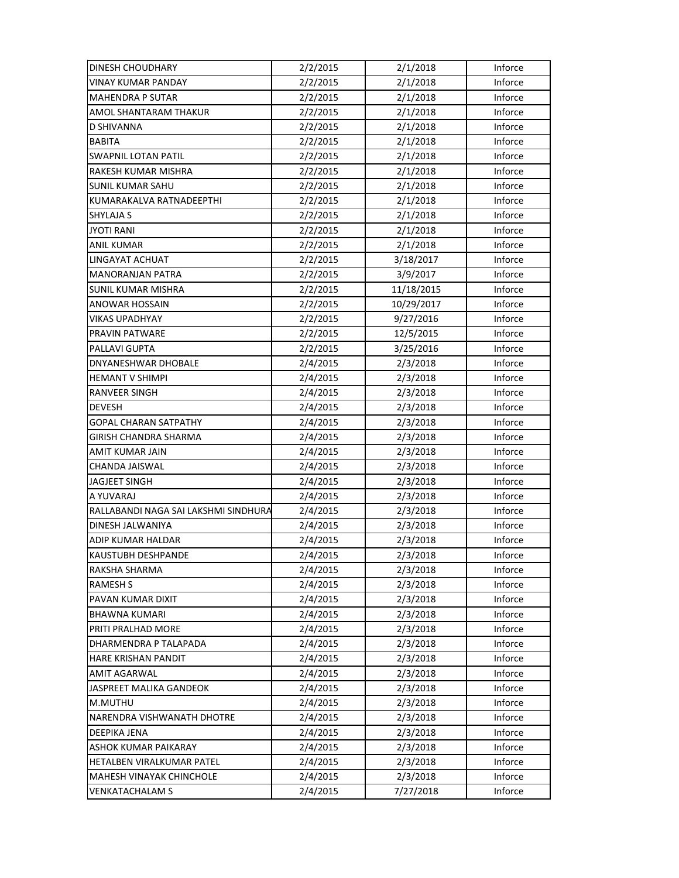| DINESH CHOUDHARY                     | 2/2/2015 | 2/1/2018   | Inforce |
|--------------------------------------|----------|------------|---------|
| VINAY KUMAR PANDAY                   | 2/2/2015 | 2/1/2018   | Inforce |
| <b>MAHENDRA P SUTAR</b>              | 2/2/2015 | 2/1/2018   | Inforce |
| AMOL SHANTARAM THAKUR                | 2/2/2015 | 2/1/2018   | Inforce |
| D SHIVANNA                           | 2/2/2015 | 2/1/2018   | Inforce |
| <b>BABITA</b>                        | 2/2/2015 | 2/1/2018   | Inforce |
| <b>SWAPNIL LOTAN PATIL</b>           | 2/2/2015 | 2/1/2018   | Inforce |
| RAKESH KUMAR MISHRA                  | 2/2/2015 | 2/1/2018   | Inforce |
| SUNIL KUMAR SAHU                     | 2/2/2015 | 2/1/2018   | Inforce |
| KUMARAKALVA RATNADEEPTHI             | 2/2/2015 | 2/1/2018   | Inforce |
| <b>SHYLAJA S</b>                     | 2/2/2015 | 2/1/2018   | Inforce |
| <b>JYOTI RANI</b>                    | 2/2/2015 | 2/1/2018   | Inforce |
| <b>ANIL KUMAR</b>                    | 2/2/2015 | 2/1/2018   | Inforce |
| LINGAYAT ACHUAT                      | 2/2/2015 | 3/18/2017  | Inforce |
| <b>MANORANJAN PATRA</b>              | 2/2/2015 | 3/9/2017   | Inforce |
| <b>SUNIL KUMAR MISHRA</b>            | 2/2/2015 | 11/18/2015 | Inforce |
| ANOWAR HOSSAIN                       | 2/2/2015 | 10/29/2017 | Inforce |
| VIKAS UPADHYAY                       | 2/2/2015 | 9/27/2016  | Inforce |
| <b>PRAVIN PATWARE</b>                | 2/2/2015 | 12/5/2015  | Inforce |
| PALLAVI GUPTA                        | 2/2/2015 | 3/25/2016  | Inforce |
| <b>DNYANESHWAR DHOBALE</b>           | 2/4/2015 | 2/3/2018   | Inforce |
| <b>HEMANT V SHIMPI</b>               | 2/4/2015 | 2/3/2018   | Inforce |
| <b>RANVEER SINGH</b>                 | 2/4/2015 | 2/3/2018   | Inforce |
| <b>DEVESH</b>                        | 2/4/2015 | 2/3/2018   | Inforce |
| <b>GOPAL CHARAN SATPATHY</b>         | 2/4/2015 | 2/3/2018   | Inforce |
| GIRISH CHANDRA SHARMA                | 2/4/2015 | 2/3/2018   | Inforce |
| AMIT KUMAR JAIN                      | 2/4/2015 | 2/3/2018   | Inforce |
| CHANDA JAISWAL                       | 2/4/2015 | 2/3/2018   | Inforce |
| <b>JAGJEET SINGH</b>                 | 2/4/2015 | 2/3/2018   | Inforce |
| A YUVARAJ                            | 2/4/2015 | 2/3/2018   | Inforce |
| RALLABANDI NAGA SAI LAKSHMI SINDHURA | 2/4/2015 | 2/3/2018   | Inforce |
| DINESH JALWANIYA                     | 2/4/2015 | 2/3/2018   | Inforce |
| ADIP KUMAR HALDAR                    | 2/4/2015 | 2/3/2018   | Inforce |
| <b>KAUSTUBH DESHPANDE</b>            | 2/4/2015 | 2/3/2018   | Inforce |
| RAKSHA SHARMA                        | 2/4/2015 | 2/3/2018   | Inforce |
| <b>RAMESH S</b>                      | 2/4/2015 | 2/3/2018   | Inforce |
| PAVAN KUMAR DIXIT                    | 2/4/2015 | 2/3/2018   | Inforce |
| <b>BHAWNA KUMARI</b>                 | 2/4/2015 | 2/3/2018   | Inforce |
| PRITI PRALHAD MORE                   | 2/4/2015 | 2/3/2018   | Inforce |
| DHARMENDRA P TALAPADA                | 2/4/2015 | 2/3/2018   | Inforce |
| HARE KRISHAN PANDIT                  | 2/4/2015 | 2/3/2018   | Inforce |
| AMIT AGARWAL                         | 2/4/2015 | 2/3/2018   | Inforce |
| JASPREET MALIKA GANDEOK              | 2/4/2015 | 2/3/2018   | Inforce |
| M.MUTHU                              | 2/4/2015 | 2/3/2018   | Inforce |
| NARENDRA VISHWANATH DHOTRE           | 2/4/2015 | 2/3/2018   | Inforce |
| DEEPIKA JENA                         | 2/4/2015 | 2/3/2018   | Inforce |
| ASHOK KUMAR PAIKARAY                 | 2/4/2015 | 2/3/2018   | Inforce |
| HETALBEN VIRALKUMAR PATEL            | 2/4/2015 | 2/3/2018   | Inforce |
| <b>MAHESH VINAYAK CHINCHOLE</b>      | 2/4/2015 | 2/3/2018   | Inforce |
| <b>VENKATACHALAM S</b>               | 2/4/2015 | 7/27/2018  | Inforce |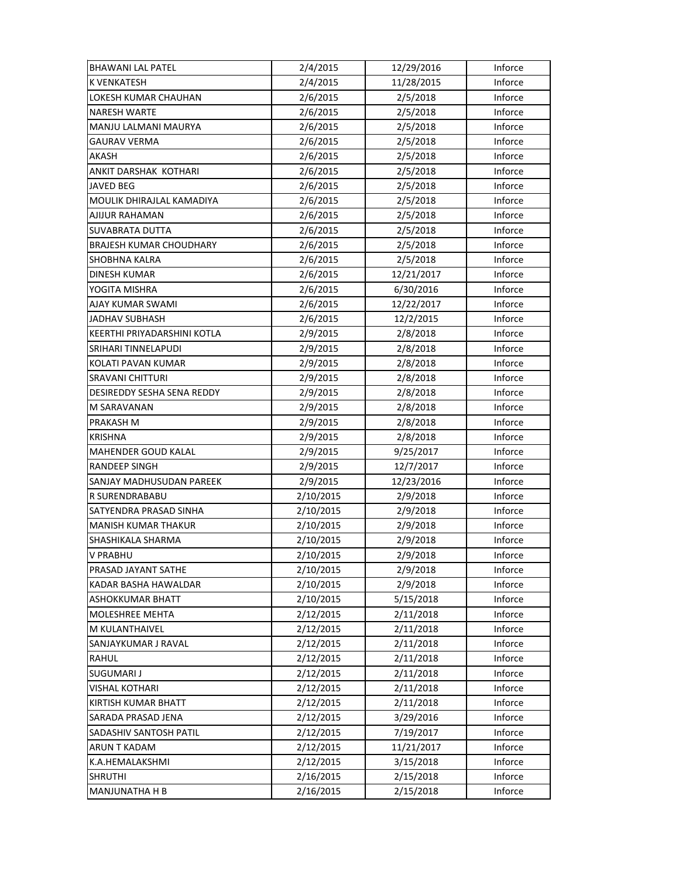| <b>BHAWANI LAL PATEL</b>       | 2/4/2015  | 12/29/2016 | Inforce |
|--------------------------------|-----------|------------|---------|
| <b>K VENKATESH</b>             | 2/4/2015  | 11/28/2015 | Inforce |
| LOKESH KUMAR CHAUHAN           | 2/6/2015  | 2/5/2018   | Inforce |
| <b>NARESH WARTE</b>            | 2/6/2015  | 2/5/2018   | Inforce |
| MANJU LALMANI MAURYA           | 2/6/2015  | 2/5/2018   | Inforce |
| <b>GAURAV VERMA</b>            | 2/6/2015  | 2/5/2018   | Inforce |
| AKASH                          | 2/6/2015  | 2/5/2018   | Inforce |
| ANKIT DARSHAK KOTHARI          | 2/6/2015  | 2/5/2018   | Inforce |
| JAVED BEG                      | 2/6/2015  | 2/5/2018   | Inforce |
| MOULIK DHIRAJLAL KAMADIYA      | 2/6/2015  | 2/5/2018   | Inforce |
| AJIJUR RAHAMAN                 | 2/6/2015  | 2/5/2018   | Inforce |
| SUVABRATA DUTTA                | 2/6/2015  | 2/5/2018   | Inforce |
| <b>BRAJESH KUMAR CHOUDHARY</b> | 2/6/2015  | 2/5/2018   | Inforce |
| SHOBHNA KALRA                  | 2/6/2015  | 2/5/2018   | Inforce |
| <b>DINESH KUMAR</b>            | 2/6/2015  | 12/21/2017 | Inforce |
| YOGITA MISHRA                  | 2/6/2015  | 6/30/2016  | Inforce |
| AJAY KUMAR SWAMI               | 2/6/2015  | 12/22/2017 | Inforce |
| JADHAV SUBHASH                 | 2/6/2015  | 12/2/2015  | Inforce |
| KEERTHI PRIYADARSHINI KOTLA    | 2/9/2015  | 2/8/2018   | Inforce |
| SRIHARI TINNELAPUDI            | 2/9/2015  | 2/8/2018   | Inforce |
| KOLATI PAVAN KUMAR             | 2/9/2015  | 2/8/2018   | Inforce |
| <b>SRAVANI CHITTURI</b>        | 2/9/2015  | 2/8/2018   | Inforce |
| DESIREDDY SESHA SENA REDDY     | 2/9/2015  | 2/8/2018   | Inforce |
| M SARAVANAN                    | 2/9/2015  | 2/8/2018   | Inforce |
| PRAKASH M                      | 2/9/2015  | 2/8/2018   | Inforce |
| <b>KRISHNA</b>                 | 2/9/2015  | 2/8/2018   | Inforce |
| <b>MAHENDER GOUD KALAL</b>     | 2/9/2015  | 9/25/2017  | Inforce |
| RANDEEP SINGH                  | 2/9/2015  | 12/7/2017  | Inforce |
| SANJAY MADHUSUDAN PAREEK       | 2/9/2015  | 12/23/2016 | Inforce |
| R SURENDRABABU                 | 2/10/2015 | 2/9/2018   | Inforce |
| SATYENDRA PRASAD SINHA         | 2/10/2015 | 2/9/2018   | Inforce |
| <b>MANISH KUMAR THAKUR</b>     | 2/10/2015 | 2/9/2018   | Inforce |
| SHASHIKALA SHARMA              | 2/10/2015 | 2/9/2018   | Inforce |
| <b>V PRABHU</b>                | 2/10/2015 | 2/9/2018   | Inforce |
| PRASAD JAYANT SATHE            | 2/10/2015 | 2/9/2018   | Inforce |
| KADAR BASHA HAWALDAR           | 2/10/2015 | 2/9/2018   | Inforce |
| ASHOKKUMAR BHATT               | 2/10/2015 | 5/15/2018  | Inforce |
| MOLESHREE MEHTA                | 2/12/2015 | 2/11/2018  | Inforce |
| M KULANTHAIVEL                 | 2/12/2015 | 2/11/2018  | Inforce |
| SANJAYKUMAR J RAVAL            | 2/12/2015 | 2/11/2018  | Inforce |
| RAHUL                          | 2/12/2015 | 2/11/2018  | Inforce |
| SUGUMARI J                     | 2/12/2015 | 2/11/2018  | Inforce |
| <b>VISHAL KOTHARI</b>          | 2/12/2015 | 2/11/2018  | Inforce |
| <b>KIRTISH KUMAR BHATT</b>     | 2/12/2015 | 2/11/2018  | Inforce |
| SARADA PRASAD JENA             | 2/12/2015 | 3/29/2016  | Inforce |
| SADASHIV SANTOSH PATIL         | 2/12/2015 | 7/19/2017  | Inforce |
| <b>ARUN T KADAM</b>            | 2/12/2015 | 11/21/2017 | Inforce |
| K.A.HEMALAKSHMI                | 2/12/2015 | 3/15/2018  | Inforce |
| <b>SHRUTHI</b>                 | 2/16/2015 | 2/15/2018  | Inforce |
| MANJUNATHA H B                 | 2/16/2015 | 2/15/2018  | Inforce |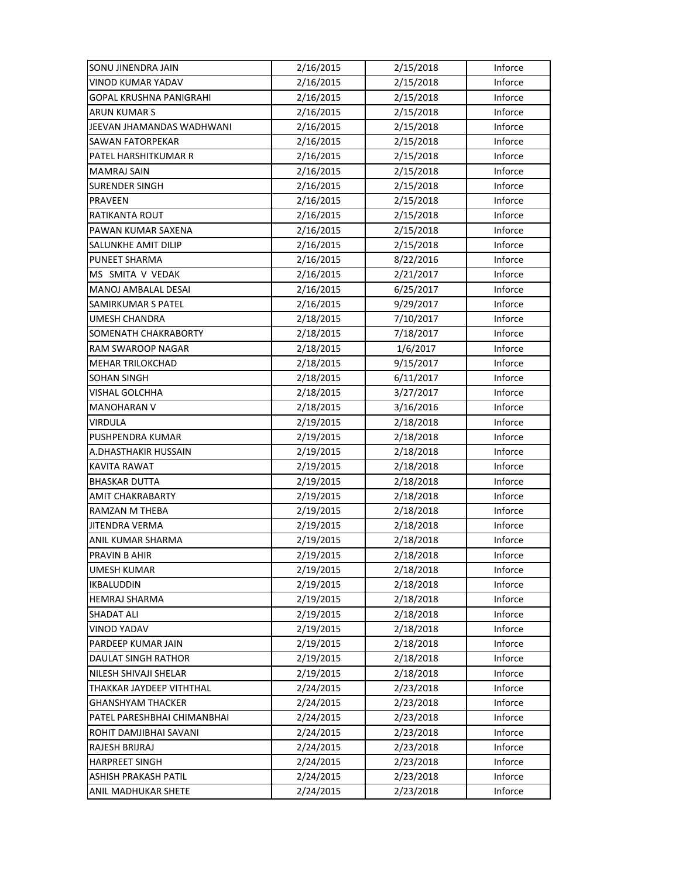| SONU JINENDRA JAIN          | 2/16/2015 | 2/15/2018 | Inforce |
|-----------------------------|-----------|-----------|---------|
| VINOD KUMAR YADAV           | 2/16/2015 | 2/15/2018 | Inforce |
| GOPAL KRUSHNA PANIGRAHI     | 2/16/2015 | 2/15/2018 | Inforce |
| ARUN KUMAR S                | 2/16/2015 | 2/15/2018 | Inforce |
| JEEVAN JHAMANDAS WADHWANI   | 2/16/2015 | 2/15/2018 | Inforce |
| <b>SAWAN FATORPEKAR</b>     | 2/16/2015 | 2/15/2018 | Inforce |
| PATEL HARSHITKUMAR R        | 2/16/2015 | 2/15/2018 | Inforce |
| <b>MAMRAJ SAIN</b>          | 2/16/2015 | 2/15/2018 | Inforce |
| <b>SURENDER SINGH</b>       | 2/16/2015 | 2/15/2018 | Inforce |
| <b>PRAVEEN</b>              | 2/16/2015 | 2/15/2018 | Inforce |
| <b>RATIKANTA ROUT</b>       | 2/16/2015 | 2/15/2018 | Inforce |
| PAWAN KUMAR SAXENA          | 2/16/2015 | 2/15/2018 | Inforce |
| SALUNKHE AMIT DILIP         | 2/16/2015 | 2/15/2018 | Inforce |
| PUNEET SHARMA               | 2/16/2015 | 8/22/2016 | Inforce |
| MS SMITA V VEDAK            | 2/16/2015 | 2/21/2017 | Inforce |
| MANOJ AMBALAL DESAI         | 2/16/2015 | 6/25/2017 | Inforce |
| SAMIRKUMAR S PATEL          | 2/16/2015 | 9/29/2017 | Inforce |
| UMESH CHANDRA               | 2/18/2015 | 7/10/2017 | Inforce |
| SOMENATH CHAKRABORTY        | 2/18/2015 | 7/18/2017 | Inforce |
| RAM SWAROOP NAGAR           | 2/18/2015 | 1/6/2017  | Inforce |
| <b>MEHAR TRILOKCHAD</b>     | 2/18/2015 | 9/15/2017 | Inforce |
| SOHAN SINGH                 | 2/18/2015 | 6/11/2017 | Inforce |
| VISHAL GOLCHHA              | 2/18/2015 | 3/27/2017 | Inforce |
| <b>MANOHARAN V</b>          | 2/18/2015 | 3/16/2016 | Inforce |
| <b>VIRDULA</b>              | 2/19/2015 | 2/18/2018 | Inforce |
| PUSHPENDRA KUMAR            | 2/19/2015 | 2/18/2018 | Inforce |
| A.DHASTHAKIR HUSSAIN        | 2/19/2015 | 2/18/2018 | Inforce |
| KAVITA RAWAT                | 2/19/2015 | 2/18/2018 | Inforce |
| <b>BHASKAR DUTTA</b>        | 2/19/2015 | 2/18/2018 | Inforce |
| <b>AMIT CHAKRABARTY</b>     | 2/19/2015 | 2/18/2018 | Inforce |
| RAMZAN M THEBA              | 2/19/2015 | 2/18/2018 | Inforce |
| <b>JITENDRA VERMA</b>       | 2/19/2015 | 2/18/2018 | Inforce |
| ANIL KUMAR SHARMA           | 2/19/2015 | 2/18/2018 | Inforce |
| PRAVIN B AHIR               | 2/19/2015 | 2/18/2018 | Inforce |
| UMESH KUMAR                 | 2/19/2015 | 2/18/2018 | Inforce |
| <b>IKBALUDDIN</b>           | 2/19/2015 | 2/18/2018 | Inforce |
| <b>HEMRAJ SHARMA</b>        | 2/19/2015 | 2/18/2018 | Inforce |
| <b>SHADAT ALI</b>           | 2/19/2015 | 2/18/2018 | Inforce |
| <b>VINOD YADAV</b>          | 2/19/2015 | 2/18/2018 | Inforce |
| PARDEEP KUMAR JAIN          | 2/19/2015 | 2/18/2018 | Inforce |
| DAULAT SINGH RATHOR         | 2/19/2015 | 2/18/2018 | Inforce |
| NILESH SHIVAJI SHELAR       | 2/19/2015 | 2/18/2018 | Inforce |
| THAKKAR JAYDEEP VITHTHAL    | 2/24/2015 | 2/23/2018 | Inforce |
| <b>GHANSHYAM THACKER</b>    | 2/24/2015 | 2/23/2018 | Inforce |
| PATEL PARESHBHAI CHIMANBHAI | 2/24/2015 | 2/23/2018 | Inforce |
| ROHIT DAMJIBHAI SAVANI      | 2/24/2015 | 2/23/2018 | Inforce |
| RAJESH BRIJRAJ              | 2/24/2015 | 2/23/2018 | Inforce |
| <b>HARPREET SINGH</b>       | 2/24/2015 | 2/23/2018 | Inforce |
| ASHISH PRAKASH PATIL        | 2/24/2015 | 2/23/2018 | Inforce |
| ANIL MADHUKAR SHETE         | 2/24/2015 | 2/23/2018 | Inforce |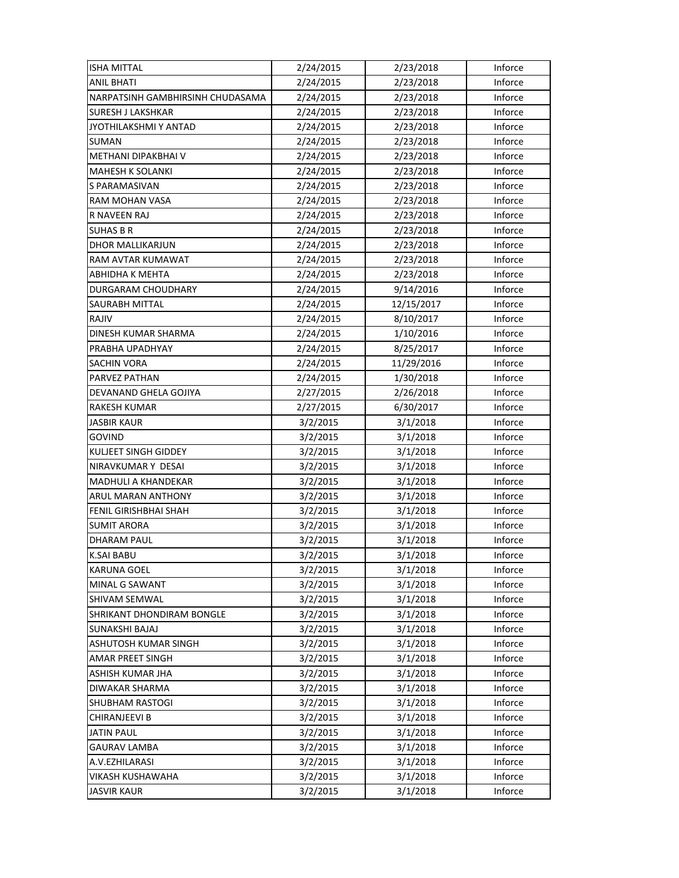| <b>ISHA MITTAL</b>               | 2/24/2015 | 2/23/2018  | Inforce |
|----------------------------------|-----------|------------|---------|
| <b>ANIL BHATI</b>                | 2/24/2015 | 2/23/2018  | Inforce |
| NARPATSINH GAMBHIRSINH CHUDASAMA | 2/24/2015 | 2/23/2018  | Inforce |
| <b>SURESH J LAKSHKAR</b>         | 2/24/2015 | 2/23/2018  | Inforce |
| JYOTHILAKSHMI Y ANTAD            | 2/24/2015 | 2/23/2018  | Inforce |
| <b>SUMAN</b>                     | 2/24/2015 | 2/23/2018  | Inforce |
| METHANI DIPAKBHAI V              | 2/24/2015 | 2/23/2018  | Inforce |
| <b>MAHESH K SOLANKI</b>          | 2/24/2015 | 2/23/2018  | Inforce |
| S PARAMASIVAN                    | 2/24/2015 | 2/23/2018  | Inforce |
| RAM MOHAN VASA                   | 2/24/2015 | 2/23/2018  | Inforce |
| R NAVEEN RAJ                     | 2/24/2015 | 2/23/2018  | Inforce |
| <b>SUHAS B R</b>                 | 2/24/2015 | 2/23/2018  | Inforce |
| DHOR MALLIKARJUN                 | 2/24/2015 | 2/23/2018  | Inforce |
| RAM AVTAR KUMAWAT                | 2/24/2015 | 2/23/2018  | Inforce |
| ABHIDHA K MEHTA                  | 2/24/2015 | 2/23/2018  | Inforce |
| <b>DURGARAM CHOUDHARY</b>        | 2/24/2015 | 9/14/2016  | Inforce |
| <b>SAURABH MITTAL</b>            | 2/24/2015 | 12/15/2017 | Inforce |
| RAJIV                            | 2/24/2015 | 8/10/2017  | Inforce |
| DINESH KUMAR SHARMA              | 2/24/2015 | 1/10/2016  | Inforce |
| PRABHA UPADHYAY                  | 2/24/2015 | 8/25/2017  | Inforce |
| SACHIN VORA                      | 2/24/2015 | 11/29/2016 | Inforce |
| PARVEZ PATHAN                    | 2/24/2015 | 1/30/2018  | Inforce |
| DEVANAND GHELA GOJIYA            | 2/27/2015 | 2/26/2018  | Inforce |
| <b>RAKESH KUMAR</b>              | 2/27/2015 | 6/30/2017  | Inforce |
| <b>JASBIR KAUR</b>               | 3/2/2015  | 3/1/2018   | Inforce |
| GOVIND                           | 3/2/2015  | 3/1/2018   | Inforce |
| KULJEET SINGH GIDDEY             | 3/2/2015  | 3/1/2018   | Inforce |
| NIRAVKUMAR Y DESAI               | 3/2/2015  | 3/1/2018   | Inforce |
| <b>MADHULI A KHANDEKAR</b>       | 3/2/2015  | 3/1/2018   | Inforce |
| ARUL MARAN ANTHONY               | 3/2/2015  | 3/1/2018   | Inforce |
| FENIL GIRISHBHAI SHAH            | 3/2/2015  | 3/1/2018   | Inforce |
| <b>SUMIT ARORA</b>               | 3/2/2015  | 3/1/2018   | Inforce |
| <b>DHARAM PAUL</b>               | 3/2/2015  | 3/1/2018   | Inforce |
| <b>K.SAI BABU</b>                | 3/2/2015  | 3/1/2018   | Inforce |
| <b>KARUNA GOEL</b>               | 3/2/2015  | 3/1/2018   | Inforce |
| MINAL G SAWANT                   | 3/2/2015  | 3/1/2018   | Inforce |
| <b>SHIVAM SEMWAL</b>             | 3/2/2015  | 3/1/2018   | Inforce |
| <b>SHRIKANT DHONDIRAM BONGLE</b> | 3/2/2015  | 3/1/2018   | Inforce |
| SUNAKSHI BAJAJ                   | 3/2/2015  | 3/1/2018   | Inforce |
| ASHUTOSH KUMAR SINGH             | 3/2/2015  | 3/1/2018   | Inforce |
| AMAR PREET SINGH                 | 3/2/2015  | 3/1/2018   | Inforce |
| ASHISH KUMAR JHA                 | 3/2/2015  | 3/1/2018   | Inforce |
| DIWAKAR SHARMA                   | 3/2/2015  | 3/1/2018   | Inforce |
| <b>SHUBHAM RASTOGI</b>           | 3/2/2015  | 3/1/2018   | Inforce |
| <b>CHIRANJEEVI B</b>             | 3/2/2015  | 3/1/2018   | Inforce |
| <b>JATIN PAUL</b>                | 3/2/2015  | 3/1/2018   | Inforce |
| GAURAV LAMBA                     | 3/2/2015  | 3/1/2018   | Inforce |
| A.V.EZHILARASI                   | 3/2/2015  | 3/1/2018   | Inforce |
| <b>VIKASH KUSHAWAHA</b>          | 3/2/2015  | 3/1/2018   | Inforce |
| <b>JASVIR KAUR</b>               | 3/2/2015  | 3/1/2018   | Inforce |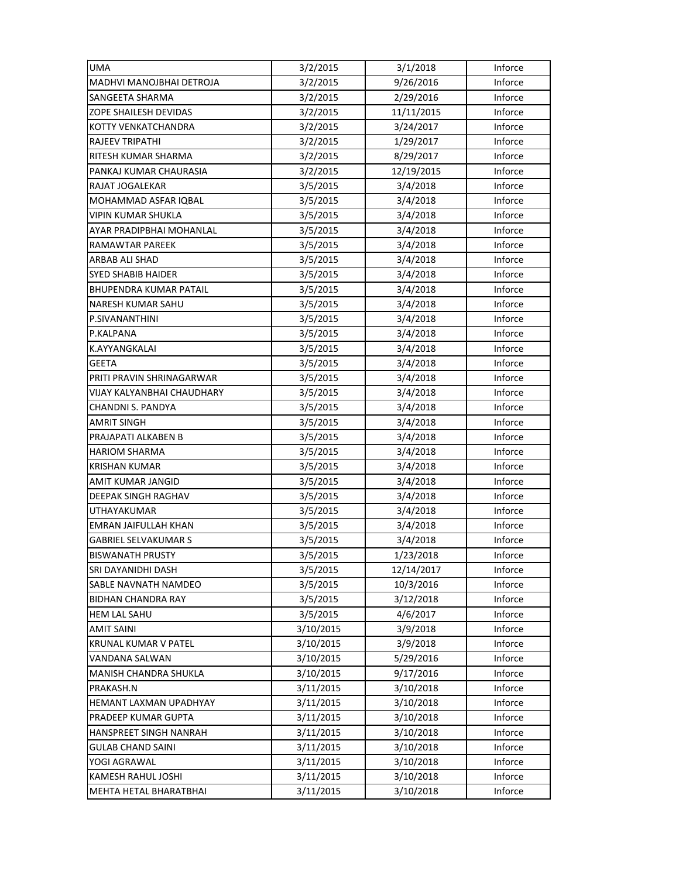| <b>UMA</b>                    | 3/2/2015  | 3/1/2018   | Inforce |
|-------------------------------|-----------|------------|---------|
| MADHVI MANOJBHAI DETROJA      | 3/2/2015  | 9/26/2016  | Inforce |
| SANGEETA SHARMA               | 3/2/2015  | 2/29/2016  | Inforce |
| ZOPE SHAILESH DEVIDAS         | 3/2/2015  | 11/11/2015 | Inforce |
| KOTTY VENKATCHANDRA           | 3/2/2015  | 3/24/2017  | Inforce |
| <b>RAJEEV TRIPATHI</b>        | 3/2/2015  | 1/29/2017  | Inforce |
| RITESH KUMAR SHARMA           | 3/2/2015  | 8/29/2017  | Inforce |
| PANKAJ KUMAR CHAURASIA        | 3/2/2015  | 12/19/2015 | Inforce |
| RAJAT JOGALEKAR               | 3/5/2015  | 3/4/2018   | Inforce |
| MOHAMMAD ASFAR IQBAL          | 3/5/2015  | 3/4/2018   | Inforce |
| VIPIN KUMAR SHUKLA            | 3/5/2015  | 3/4/2018   | Inforce |
| AYAR PRADIPBHAI MOHANLAL      | 3/5/2015  | 3/4/2018   | Inforce |
| RAMAWTAR PAREEK               | 3/5/2015  | 3/4/2018   | Inforce |
| ARBAB ALI SHAD                | 3/5/2015  | 3/4/2018   | Inforce |
| <b>SYED SHABIB HAIDER</b>     | 3/5/2015  | 3/4/2018   | Inforce |
| <b>BHUPENDRA KUMAR PATAIL</b> | 3/5/2015  | 3/4/2018   | Inforce |
| <b>NARESH KUMAR SAHU</b>      | 3/5/2015  | 3/4/2018   | Inforce |
| P.SIVANANTHINI                | 3/5/2015  | 3/4/2018   | Inforce |
| P.KALPANA                     | 3/5/2015  | 3/4/2018   | Inforce |
| K.AYYANGKALAI                 | 3/5/2015  | 3/4/2018   | Inforce |
| <b>GEETA</b>                  | 3/5/2015  | 3/4/2018   | Inforce |
| PRITI PRAVIN SHRINAGARWAR     | 3/5/2015  | 3/4/2018   | Inforce |
| VIJAY KALYANBHAI CHAUDHARY    | 3/5/2015  | 3/4/2018   | Inforce |
| CHANDNI S. PANDYA             | 3/5/2015  | 3/4/2018   | Inforce |
| <b>AMRIT SINGH</b>            | 3/5/2015  | 3/4/2018   | Inforce |
| PRAJAPATI ALKABEN B           | 3/5/2015  | 3/4/2018   | Inforce |
| <b>HARIOM SHARMA</b>          | 3/5/2015  | 3/4/2018   | Inforce |
| <b>KRISHAN KUMAR</b>          | 3/5/2015  | 3/4/2018   | Inforce |
| AMIT KUMAR JANGID             | 3/5/2015  | 3/4/2018   | Inforce |
| DEEPAK SINGH RAGHAV           | 3/5/2015  | 3/4/2018   | Inforce |
| UTHAYAKUMAR                   | 3/5/2015  | 3/4/2018   | Inforce |
| EMRAN JAIFULLAH KHAN          | 3/5/2015  | 3/4/2018   | Inforce |
| <b>GABRIEL SELVAKUMAR S</b>   | 3/5/2015  | 3/4/2018   | Inforce |
| <b>BISWANATH PRUSTY</b>       | 3/5/2015  | 1/23/2018  | Inforce |
| SRI DAYANIDHI DASH            | 3/5/2015  | 12/14/2017 | Inforce |
| SABLE NAVNATH NAMDEO          | 3/5/2015  | 10/3/2016  | Inforce |
| <b>BIDHAN CHANDRA RAY</b>     | 3/5/2015  | 3/12/2018  | Inforce |
| <b>HEM LAL SAHU</b>           | 3/5/2015  | 4/6/2017   | Inforce |
| <b>AMIT SAINI</b>             | 3/10/2015 | 3/9/2018   | Inforce |
| KRUNAL KUMAR V PATEL          | 3/10/2015 | 3/9/2018   | Inforce |
| VANDANA SALWAN                | 3/10/2015 | 5/29/2016  | Inforce |
| MANISH CHANDRA SHUKLA         | 3/10/2015 | 9/17/2016  | Inforce |
| PRAKASH.N                     | 3/11/2015 | 3/10/2018  | Inforce |
| HEMANT LAXMAN UPADHYAY        | 3/11/2015 | 3/10/2018  | Inforce |
| PRADEEP KUMAR GUPTA           | 3/11/2015 | 3/10/2018  | Inforce |
| HANSPREET SINGH NANRAH        | 3/11/2015 | 3/10/2018  | Inforce |
| <b>GULAB CHAND SAINI</b>      | 3/11/2015 | 3/10/2018  | Inforce |
| YOGI AGRAWAL                  | 3/11/2015 | 3/10/2018  | Inforce |
| <b>KAMESH RAHUL JOSHI</b>     | 3/11/2015 | 3/10/2018  | Inforce |
| MEHTA HETAL BHARATBHAI        | 3/11/2015 | 3/10/2018  | Inforce |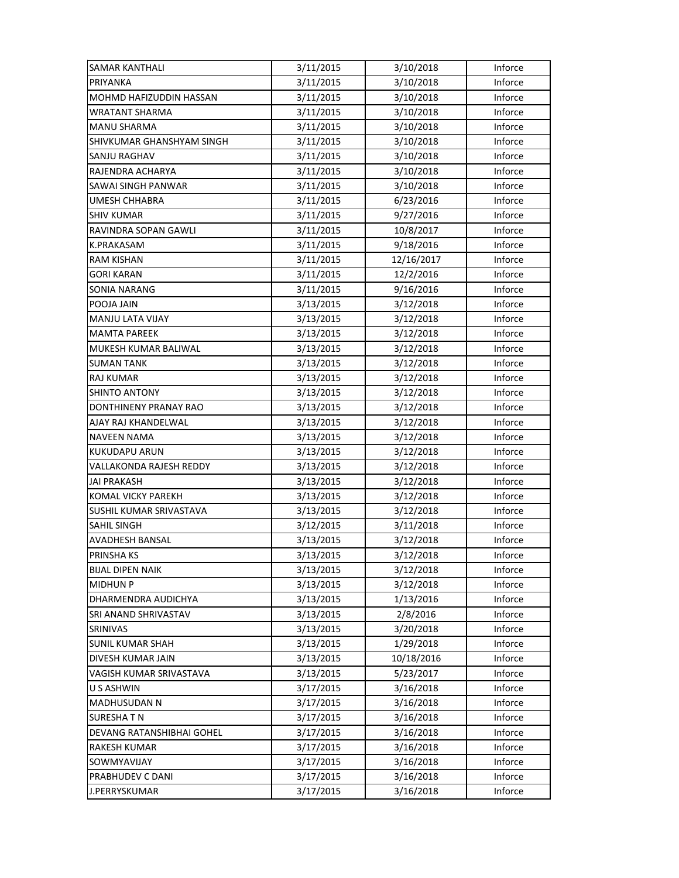| <b>SAMAR KANTHALI</b>     | 3/11/2015 | 3/10/2018  | Inforce |
|---------------------------|-----------|------------|---------|
| PRIYANKA                  | 3/11/2015 | 3/10/2018  | Inforce |
| MOHMD HAFIZUDDIN HASSAN   | 3/11/2015 | 3/10/2018  | Inforce |
| <b>WRATANT SHARMA</b>     | 3/11/2015 | 3/10/2018  | Inforce |
| <b>MANU SHARMA</b>        | 3/11/2015 | 3/10/2018  | Inforce |
| SHIVKUMAR GHANSHYAM SINGH | 3/11/2015 | 3/10/2018  | Inforce |
| SANJU RAGHAV              | 3/11/2015 | 3/10/2018  | Inforce |
| RAJENDRA ACHARYA          | 3/11/2015 | 3/10/2018  | Inforce |
| SAWAI SINGH PANWAR        | 3/11/2015 | 3/10/2018  | Inforce |
| <b>UMESH CHHABRA</b>      | 3/11/2015 | 6/23/2016  | Inforce |
| <b>SHIV KUMAR</b>         | 3/11/2015 | 9/27/2016  | Inforce |
| RAVINDRA SOPAN GAWLI      | 3/11/2015 | 10/8/2017  | Inforce |
| K.PRAKASAM                | 3/11/2015 | 9/18/2016  | Inforce |
| RAM KISHAN                | 3/11/2015 | 12/16/2017 | Inforce |
| <b>GORI KARAN</b>         | 3/11/2015 | 12/2/2016  | Inforce |
| <b>SONIA NARANG</b>       | 3/11/2015 | 9/16/2016  | Inforce |
| POOJA JAIN                | 3/13/2015 | 3/12/2018  | Inforce |
| MANJU LATA VIJAY          | 3/13/2015 | 3/12/2018  | Inforce |
| <b>MAMTA PAREEK</b>       | 3/13/2015 | 3/12/2018  | Inforce |
| MUKESH KUMAR BALIWAL      | 3/13/2015 | 3/12/2018  | Inforce |
| <b>SUMAN TANK</b>         | 3/13/2015 | 3/12/2018  | Inforce |
| RAJ KUMAR                 | 3/13/2015 | 3/12/2018  | Inforce |
| SHINTO ANTONY             | 3/13/2015 | 3/12/2018  | Inforce |
| DONTHINENY PRANAY RAO     | 3/13/2015 | 3/12/2018  | Inforce |
| AJAY RAJ KHANDELWAL       | 3/13/2015 | 3/12/2018  | Inforce |
| <b>NAVEEN NAMA</b>        | 3/13/2015 | 3/12/2018  | Inforce |
| KUKUDAPU ARUN             | 3/13/2015 | 3/12/2018  | Inforce |
| VALLAKONDA RAJESH REDDY   | 3/13/2015 | 3/12/2018  | Inforce |
| <b>JAI PRAKASH</b>        | 3/13/2015 | 3/12/2018  | Inforce |
| <b>KOMAL VICKY PAREKH</b> | 3/13/2015 | 3/12/2018  | Inforce |
| SUSHIL KUMAR SRIVASTAVA   | 3/13/2015 | 3/12/2018  | Inforce |
| SAHIL SINGH               | 3/12/2015 | 3/11/2018  | Inforce |
| <b>AVADHESH BANSAL</b>    | 3/13/2015 | 3/12/2018  | Inforce |
| PRINSHA KS                | 3/13/2015 | 3/12/2018  | Inforce |
| <b>BIJAL DIPEN NAIK</b>   | 3/13/2015 | 3/12/2018  | Inforce |
| <b>MIDHUN P</b>           | 3/13/2015 | 3/12/2018  | Inforce |
| DHARMENDRA AUDICHYA       | 3/13/2015 | 1/13/2016  | Inforce |
| SRI ANAND SHRIVASTAV      | 3/13/2015 | 2/8/2016   | Inforce |
| <b>SRINIVAS</b>           | 3/13/2015 | 3/20/2018  | Inforce |
| <b>SUNIL KUMAR SHAH</b>   | 3/13/2015 | 1/29/2018  | Inforce |
| DIVESH KUMAR JAIN         | 3/13/2015 | 10/18/2016 | Inforce |
| VAGISH KUMAR SRIVASTAVA   | 3/13/2015 | 5/23/2017  | Inforce |
| U S ASHWIN                | 3/17/2015 | 3/16/2018  | Inforce |
| <b>MADHUSUDAN N</b>       | 3/17/2015 | 3/16/2018  | Inforce |
| <b>SURESHATN</b>          | 3/17/2015 | 3/16/2018  | Inforce |
| DEVANG RATANSHIBHAI GOHEL | 3/17/2015 | 3/16/2018  | Inforce |
| <b>RAKESH KUMAR</b>       | 3/17/2015 | 3/16/2018  | Inforce |
| SOWMYAVIJAY               | 3/17/2015 | 3/16/2018  | Inforce |
| PRABHUDEV C DANI          | 3/17/2015 | 3/16/2018  | Inforce |
| J.PERRYSKUMAR             | 3/17/2015 | 3/16/2018  | Inforce |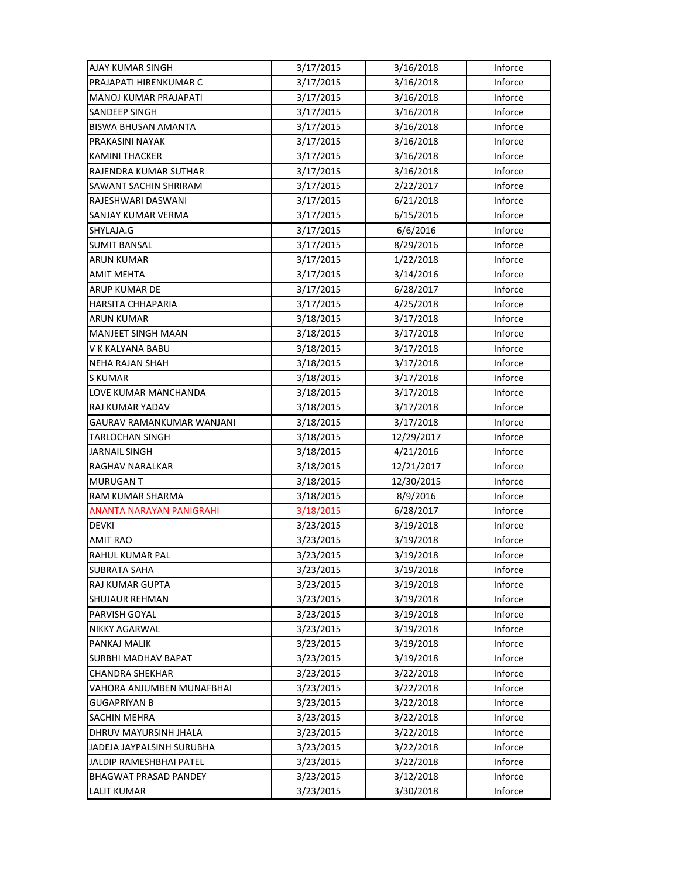| AJAY KUMAR SINGH                | 3/17/2015 | 3/16/2018  | Inforce |
|---------------------------------|-----------|------------|---------|
| PRAJAPATI HIRENKUMAR C          | 3/17/2015 | 3/16/2018  | Inforce |
| <b>MANOJ KUMAR PRAJAPATI</b>    | 3/17/2015 | 3/16/2018  | Inforce |
| SANDEEP SINGH                   | 3/17/2015 | 3/16/2018  | Inforce |
| BISWA BHUSAN AMANTA             | 3/17/2015 | 3/16/2018  | Inforce |
| PRAKASINI NAYAK                 | 3/17/2015 | 3/16/2018  | Inforce |
| <b>KAMINI THACKER</b>           | 3/17/2015 | 3/16/2018  | Inforce |
| RAJENDRA KUMAR SUTHAR           | 3/17/2015 | 3/16/2018  | Inforce |
| SAWANT SACHIN SHRIRAM           | 3/17/2015 | 2/22/2017  | Inforce |
| RAJESHWARI DASWANI              | 3/17/2015 | 6/21/2018  | Inforce |
| SANJAY KUMAR VERMA              | 3/17/2015 | 6/15/2016  | Inforce |
| SHYLAJA.G                       | 3/17/2015 | 6/6/2016   | Inforce |
| <b>SUMIT BANSAL</b>             | 3/17/2015 | 8/29/2016  | Inforce |
| ARUN KUMAR                      | 3/17/2015 | 1/22/2018  | Inforce |
| <b>AMIT MEHTA</b>               | 3/17/2015 | 3/14/2016  | Inforce |
| ARUP KUMAR DE                   | 3/17/2015 | 6/28/2017  | Inforce |
| <b>HARSITA CHHAPARIA</b>        | 3/17/2015 | 4/25/2018  | Inforce |
| <b>ARUN KUMAR</b>               | 3/18/2015 | 3/17/2018  | Inforce |
| <b>MANJEET SINGH MAAN</b>       | 3/18/2015 | 3/17/2018  | Inforce |
| V K KALYANA BABU                | 3/18/2015 | 3/17/2018  | Inforce |
| NEHA RAJAN SHAH                 | 3/18/2015 | 3/17/2018  | Inforce |
| <b>S KUMAR</b>                  | 3/18/2015 | 3/17/2018  | Inforce |
| LOVE KUMAR MANCHANDA            | 3/18/2015 | 3/17/2018  | Inforce |
| RAJ KUMAR YADAV                 | 3/18/2015 | 3/17/2018  | Inforce |
| GAURAV RAMANKUMAR WANJANI       | 3/18/2015 | 3/17/2018  | Inforce |
| <b>TARLOCHAN SINGH</b>          | 3/18/2015 | 12/29/2017 | Inforce |
| <b>JARNAIL SINGH</b>            | 3/18/2015 | 4/21/2016  | Inforce |
| RAGHAV NARALKAR                 | 3/18/2015 | 12/21/2017 | Inforce |
| <b>MURUGANT</b>                 | 3/18/2015 | 12/30/2015 | Inforce |
| RAM KUMAR SHARMA                | 3/18/2015 | 8/9/2016   | Inforce |
| <b>ANANTA NARAYAN PANIGRAHI</b> | 3/18/2015 | 6/28/2017  | Inforce |
| <b>DEVKI</b>                    | 3/23/2015 | 3/19/2018  | Inforce |
| <b>AMIT RAO</b>                 | 3/23/2015 | 3/19/2018  | Inforce |
| RAHUL KUMAR PAL                 | 3/23/2015 | 3/19/2018  | Inforce |
| <b>SUBRATA SAHA</b>             | 3/23/2015 | 3/19/2018  | Inforce |
| RAJ KUMAR GUPTA                 | 3/23/2015 | 3/19/2018  | Inforce |
| SHUJAUR REHMAN                  | 3/23/2015 | 3/19/2018  | Inforce |
| PARVISH GOYAL                   | 3/23/2015 | 3/19/2018  | Inforce |
| <b>NIKKY AGARWAL</b>            | 3/23/2015 | 3/19/2018  | Inforce |
| PANKAJ MALIK                    | 3/23/2015 | 3/19/2018  | Inforce |
| SURBHI MADHAV BAPAT             | 3/23/2015 | 3/19/2018  | Inforce |
| CHANDRA SHEKHAR                 | 3/23/2015 | 3/22/2018  | Inforce |
| VAHORA ANJUMBEN MUNAFBHAI       | 3/23/2015 | 3/22/2018  | Inforce |
| GUGAPRIYAN B                    | 3/23/2015 | 3/22/2018  | Inforce |
| SACHIN MEHRA                    | 3/23/2015 | 3/22/2018  | Inforce |
| DHRUV MAYURSINH JHALA           | 3/23/2015 | 3/22/2018  | Inforce |
| JADEJA JAYPALSINH SURUBHA       | 3/23/2015 | 3/22/2018  | Inforce |
| JALDIP RAMESHBHAI PATEL         | 3/23/2015 | 3/22/2018  | Inforce |
|                                 |           |            |         |
| <b>BHAGWAT PRASAD PANDEY</b>    | 3/23/2015 | 3/12/2018  | Inforce |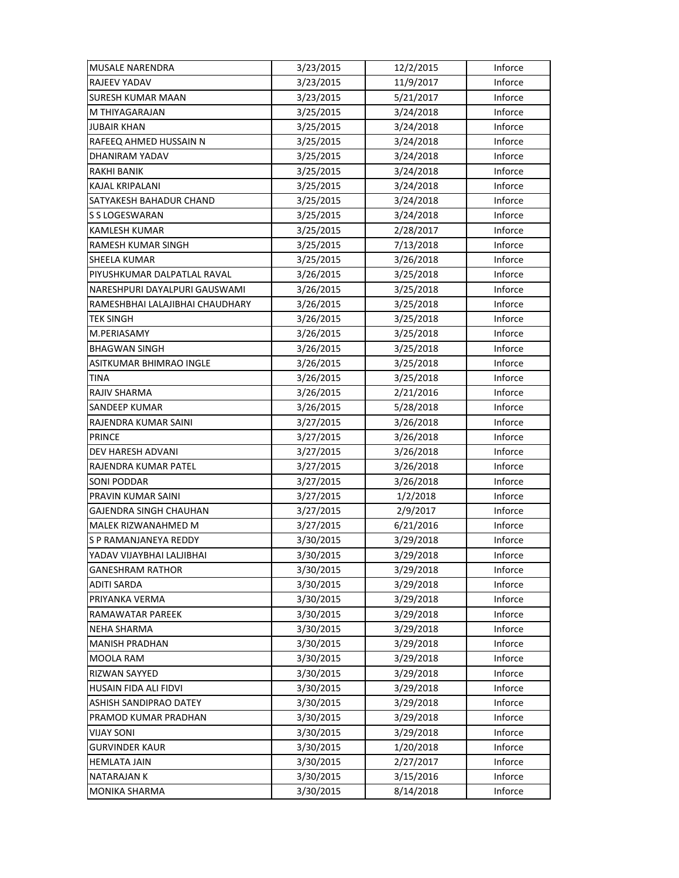| <b>MUSALE NARENDRA</b>          | 3/23/2015 | 12/2/2015 | Inforce |
|---------------------------------|-----------|-----------|---------|
| RAJEEV YADAV                    | 3/23/2015 | 11/9/2017 | Inforce |
| <b>SURESH KUMAR MAAN</b>        | 3/23/2015 | 5/21/2017 | Inforce |
| M THIYAGARAJAN                  | 3/25/2015 | 3/24/2018 | Inforce |
| <b>JUBAIR KHAN</b>              | 3/25/2015 | 3/24/2018 | Inforce |
| RAFEEQ AHMED HUSSAIN N          | 3/25/2015 | 3/24/2018 | Inforce |
| DHANIRAM YADAV                  | 3/25/2015 | 3/24/2018 | Inforce |
| <b>RAKHI BANIK</b>              | 3/25/2015 | 3/24/2018 | Inforce |
| KAJAL KRIPALANI                 | 3/25/2015 | 3/24/2018 | Inforce |
| SATYAKESH BAHADUR CHAND         | 3/25/2015 | 3/24/2018 | Inforce |
| S S LOGESWARAN                  | 3/25/2015 | 3/24/2018 | Inforce |
| KAMLESH KUMAR                   | 3/25/2015 | 2/28/2017 | Inforce |
| RAMESH KUMAR SINGH              | 3/25/2015 | 7/13/2018 | Inforce |
| SHEELA KUMAR                    | 3/25/2015 | 3/26/2018 | Inforce |
| PIYUSHKUMAR DALPATLAL RAVAL     | 3/26/2015 | 3/25/2018 | Inforce |
| NARESHPURI DAYALPURI GAUSWAMI   | 3/26/2015 | 3/25/2018 | Inforce |
| RAMESHBHAI LALAJIBHAI CHAUDHARY | 3/26/2015 | 3/25/2018 | Inforce |
| <b>TEK SINGH</b>                | 3/26/2015 | 3/25/2018 | Inforce |
| M.PERIASAMY                     | 3/26/2015 | 3/25/2018 | Inforce |
| <b>BHAGWAN SINGH</b>            | 3/26/2015 | 3/25/2018 | Inforce |
| ASITKUMAR BHIMRAO INGLE         | 3/26/2015 | 3/25/2018 | Inforce |
| <b>TINA</b>                     | 3/26/2015 | 3/25/2018 | Inforce |
| RAJIV SHARMA                    | 3/26/2015 | 2/21/2016 | Inforce |
| <b>SANDEEP KUMAR</b>            | 3/26/2015 | 5/28/2018 | Inforce |
| RAJENDRA KUMAR SAINI            | 3/27/2015 | 3/26/2018 | Inforce |
| <b>PRINCE</b>                   | 3/27/2015 | 3/26/2018 | Inforce |
| DEV HARESH ADVANI               | 3/27/2015 | 3/26/2018 | Inforce |
| RAJENDRA KUMAR PATEL            | 3/27/2015 | 3/26/2018 | Inforce |
| SONI PODDAR                     | 3/27/2015 | 3/26/2018 | Inforce |
| PRAVIN KUMAR SAINI              | 3/27/2015 | 1/2/2018  | Inforce |
| GAJENDRA SINGH CHAUHAN          | 3/27/2015 | 2/9/2017  | Inforce |
| MALEK RIZWANAHMED M             | 3/27/2015 | 6/21/2016 | Inforce |
| S P RAMANJANEYA REDDY           | 3/30/2015 | 3/29/2018 | Inforce |
| YADAV VIJAYBHAI LALJIBHAI       | 3/30/2015 | 3/29/2018 | Inforce |
| <b>GANESHRAM RATHOR</b>         | 3/30/2015 | 3/29/2018 | Inforce |
| <b>ADITI SARDA</b>              | 3/30/2015 | 3/29/2018 | Inforce |
| PRIYANKA VERMA                  | 3/30/2015 | 3/29/2018 | Inforce |
| RAMAWATAR PAREEK                | 3/30/2015 | 3/29/2018 | Inforce |
| <b>NEHA SHARMA</b>              | 3/30/2015 | 3/29/2018 | Inforce |
| <b>MANISH PRADHAN</b>           | 3/30/2015 | 3/29/2018 | Inforce |
| MOOLA RAM                       | 3/30/2015 | 3/29/2018 | Inforce |
| RIZWAN SAYYED                   | 3/30/2015 | 3/29/2018 | Inforce |
| HUSAIN FIDA ALI FIDVI           | 3/30/2015 | 3/29/2018 | Inforce |
| ASHISH SANDIPRAO DATEY          | 3/30/2015 | 3/29/2018 | Inforce |
| PRAMOD KUMAR PRADHAN            | 3/30/2015 | 3/29/2018 | Inforce |
| <b>VIJAY SONI</b>               | 3/30/2015 | 3/29/2018 | Inforce |
| <b>GURVINDER KAUR</b>           | 3/30/2015 | 1/20/2018 | Inforce |
| <b>HEMLATA JAIN</b>             | 3/30/2015 | 2/27/2017 | Inforce |
| <b>NATARAJAN K</b>              | 3/30/2015 | 3/15/2016 | Inforce |
| MONIKA SHARMA                   | 3/30/2015 | 8/14/2018 | Inforce |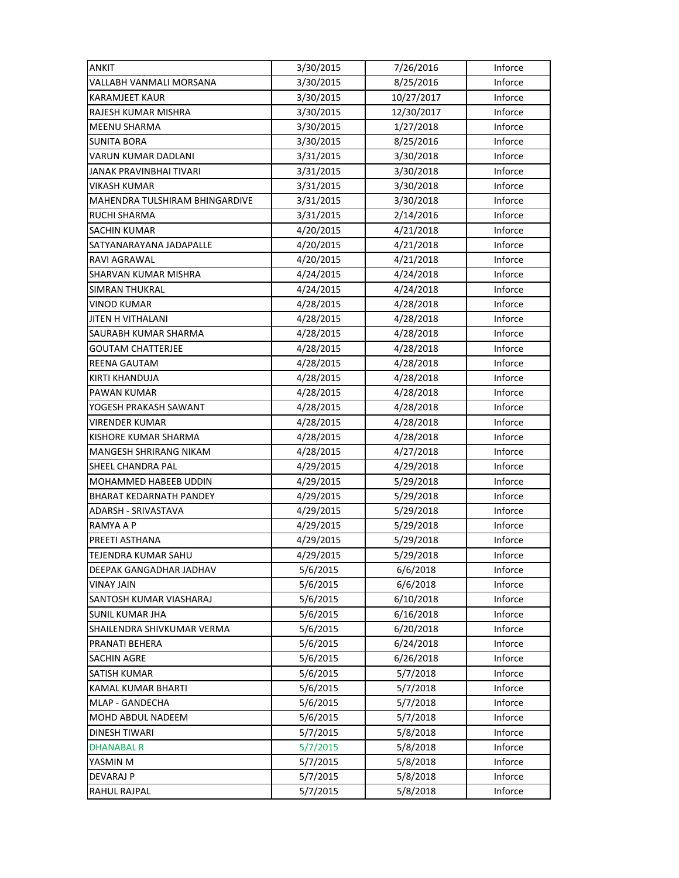| <b>ANKIT</b>                   | 3/30/2015 | 7/26/2016  | Inforce |
|--------------------------------|-----------|------------|---------|
| VALLABH VANMALI MORSANA        | 3/30/2015 | 8/25/2016  | Inforce |
| <b>KARAMJEET KAUR</b>          | 3/30/2015 | 10/27/2017 | Inforce |
| RAJESH KUMAR MISHRA            | 3/30/2015 | 12/30/2017 | Inforce |
| MEENU SHARMA                   | 3/30/2015 | 1/27/2018  | Inforce |
| <b>SUNITA BORA</b>             | 3/30/2015 | 8/25/2016  | Inforce |
| VARUN KUMAR DADLANI            | 3/31/2015 | 3/30/2018  | Inforce |
| JANAK PRAVINBHAI TIVARI        | 3/31/2015 | 3/30/2018  | Inforce |
| <b>VIKASH KUMAR</b>            | 3/31/2015 | 3/30/2018  | Inforce |
| MAHENDRA TULSHIRAM BHINGARDIVE | 3/31/2015 | 3/30/2018  | Inforce |
| RUCHI SHARMA                   | 3/31/2015 | 2/14/2016  | Inforce |
| <b>SACHIN KUMAR</b>            | 4/20/2015 | 4/21/2018  | Inforce |
| SATYANARAYANA JADAPALLE        | 4/20/2015 | 4/21/2018  | Inforce |
| RAVI AGRAWAL                   | 4/20/2015 | 4/21/2018  | Inforce |
| SHARVAN KUMAR MISHRA           | 4/24/2015 | 4/24/2018  | Inforce |
| <b>SIMRAN THUKRAL</b>          | 4/24/2015 | 4/24/2018  | Inforce |
| <b>VINOD KUMAR</b>             | 4/28/2015 | 4/28/2018  | Inforce |
| <b>JITEN H VITHALANI</b>       | 4/28/2015 | 4/28/2018  | Inforce |
| SAURABH KUMAR SHARMA           | 4/28/2015 | 4/28/2018  | Inforce |
| <b>GOUTAM CHATTERJEE</b>       | 4/28/2015 | 4/28/2018  | Inforce |
| REENA GAUTAM                   | 4/28/2015 | 4/28/2018  | Inforce |
| KIRTI KHANDUJA                 | 4/28/2015 | 4/28/2018  | Inforce |
| PAWAN KUMAR                    | 4/28/2015 | 4/28/2018  | Inforce |
| YOGESH PRAKASH SAWANT          | 4/28/2015 | 4/28/2018  | Inforce |
| <b>VIRENDER KUMAR</b>          | 4/28/2015 | 4/28/2018  | Inforce |
| KISHORE KUMAR SHARMA           | 4/28/2015 | 4/28/2018  | Inforce |
| MANGESH SHRIRANG NIKAM         | 4/28/2015 | 4/27/2018  | Inforce |
| SHEEL CHANDRA PAL              | 4/29/2015 | 4/29/2018  | Inforce |
| MOHAMMED HABEEB UDDIN          | 4/29/2015 | 5/29/2018  | Inforce |
| <b>BHARAT KEDARNATH PANDEY</b> | 4/29/2015 | 5/29/2018  | Inforce |
| ADARSH - SRIVASTAVA            | 4/29/2015 | 5/29/2018  | Inforce |
| RAMYA A P                      | 4/29/2015 | 5/29/2018  | Inforce |
| PREETI ASTHANA                 | 4/29/2015 | 5/29/2018  | Inforce |
| TEJENDRA KUMAR SAHU            | 4/29/2015 | 5/29/2018  | Inforce |
| DEEPAK GANGADHAR JADHAV        | 5/6/2015  | 6/6/2018   | Inforce |
| <b>VINAY JAIN</b>              | 5/6/2015  | 6/6/2018   | Inforce |
| SANTOSH KUMAR VIASHARAJ        | 5/6/2015  | 6/10/2018  | Inforce |
| <b>SUNIL KUMAR JHA</b>         | 5/6/2015  | 6/16/2018  | Inforce |
| SHAILENDRA SHIVKUMAR VERMA     | 5/6/2015  | 6/20/2018  | Inforce |
| PRANATI BEHERA                 | 5/6/2015  | 6/24/2018  | Inforce |
| <b>SACHIN AGRE</b>             | 5/6/2015  | 6/26/2018  | Inforce |
| SATISH KUMAR                   | 5/6/2015  | 5/7/2018   | Inforce |
| KAMAL KUMAR BHARTI             | 5/6/2015  | 5/7/2018   | Inforce |
| MLAP - GANDECHA                | 5/6/2015  | 5/7/2018   | Inforce |
| MOHD ABDUL NADEEM              | 5/6/2015  | 5/7/2018   | Inforce |
| <b>DINESH TIWARI</b>           | 5/7/2015  | 5/8/2018   | Inforce |
| DHANABAL R                     | 5/7/2015  | 5/8/2018   | Inforce |
| YASMIN M                       | 5/7/2015  | 5/8/2018   | Inforce |
| <b>DEVARAJ P</b>               | 5/7/2015  | 5/8/2018   | Inforce |
| RAHUL RAJPAL                   | 5/7/2015  | 5/8/2018   | Inforce |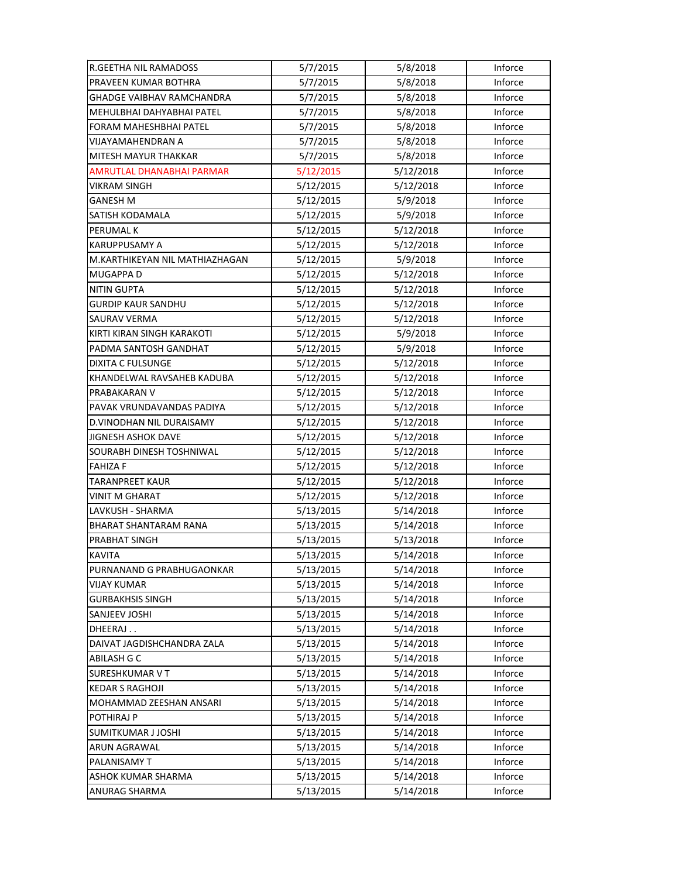| R.GEETHA NIL RAMADOSS          | 5/7/2015  | 5/8/2018  | Inforce |
|--------------------------------|-----------|-----------|---------|
| PRAVEEN KUMAR BOTHRA           | 5/7/2015  | 5/8/2018  | Inforce |
| GHADGE VAIBHAV RAMCHANDRA      | 5/7/2015  | 5/8/2018  | Inforce |
| MEHULBHAI DAHYABHAI PATEL      | 5/7/2015  | 5/8/2018  | Inforce |
| FORAM MAHESHBHAI PATEL         | 5/7/2015  | 5/8/2018  | Inforce |
| VIJAYAMAHENDRAN A              | 5/7/2015  | 5/8/2018  | Inforce |
| MITESH MAYUR THAKKAR           | 5/7/2015  | 5/8/2018  | Inforce |
| AMRUTLAL DHANABHAI PARMAR      | 5/12/2015 | 5/12/2018 | Inforce |
| VIKRAM SINGH                   | 5/12/2015 | 5/12/2018 | Inforce |
| <b>GANESH M</b>                | 5/12/2015 | 5/9/2018  | Inforce |
| SATISH KODAMALA                | 5/12/2015 | 5/9/2018  | Inforce |
| <b>PERUMAL K</b>               | 5/12/2015 | 5/12/2018 | Inforce |
| KARUPPUSAMY A                  | 5/12/2015 | 5/12/2018 | Inforce |
| M.KARTHIKEYAN NIL MATHIAZHAGAN | 5/12/2015 | 5/9/2018  | Inforce |
| <b>MUGAPPA D</b>               | 5/12/2015 | 5/12/2018 | Inforce |
| <b>NITIN GUPTA</b>             | 5/12/2015 | 5/12/2018 | Inforce |
| <b>GURDIP KAUR SANDHU</b>      | 5/12/2015 | 5/12/2018 | Inforce |
| <b>SAURAV VERMA</b>            | 5/12/2015 | 5/12/2018 | Inforce |
| KIRTI KIRAN SINGH KARAKOTI     | 5/12/2015 | 5/9/2018  | Inforce |
| PADMA SANTOSH GANDHAT          | 5/12/2015 | 5/9/2018  | Inforce |
| <b>DIXITA C FULSUNGE</b>       | 5/12/2015 | 5/12/2018 | Inforce |
| KHANDELWAL RAVSAHEB KADUBA     | 5/12/2015 | 5/12/2018 | Inforce |
| PRABAKARAN V                   | 5/12/2015 | 5/12/2018 | Inforce |
| PAVAK VRUNDAVANDAS PADIYA      | 5/12/2015 | 5/12/2018 | Inforce |
| D.VINODHAN NIL DURAISAMY       | 5/12/2015 | 5/12/2018 | Inforce |
| JIGNESH ASHOK DAVE             | 5/12/2015 | 5/12/2018 | Inforce |
| SOURABH DINESH TOSHNIWAL       | 5/12/2015 | 5/12/2018 | Inforce |
| <b>FAHIZA F</b>                | 5/12/2015 | 5/12/2018 | Inforce |
| TARANPREET KAUR                | 5/12/2015 | 5/12/2018 | Inforce |
| <b>VINIT M GHARAT</b>          | 5/12/2015 | 5/12/2018 | Inforce |
| LAVKUSH - SHARMA               | 5/13/2015 | 5/14/2018 | Inforce |
| <b>BHARAT SHANTARAM RANA</b>   | 5/13/2015 | 5/14/2018 | Inforce |
| PRABHAT SINGH                  | 5/13/2015 | 5/13/2018 | Inforce |
| <b>KAVITA</b>                  | 5/13/2015 | 5/14/2018 | Inforce |
| PURNANAND G PRABHUGAONKAR      | 5/13/2015 | 5/14/2018 | Inforce |
| <b>VIJAY KUMAR</b>             | 5/13/2015 | 5/14/2018 | Inforce |
| <b>GURBAKHSIS SINGH</b>        | 5/13/2015 | 5/14/2018 | Inforce |
| SANJEEV JOSHI                  | 5/13/2015 | 5/14/2018 | Inforce |
| DHEERAJ                        | 5/13/2015 | 5/14/2018 | Inforce |
| DAIVAT JAGDISHCHANDRA ZALA     | 5/13/2015 | 5/14/2018 | Inforce |
| ABILASH G C                    | 5/13/2015 | 5/14/2018 | Inforce |
| <b>SURESHKUMAR V T</b>         | 5/13/2015 | 5/14/2018 | Inforce |
| <b>KEDAR S RAGHOJI</b>         | 5/13/2015 | 5/14/2018 | Inforce |
| MOHAMMAD ZEESHAN ANSARI        | 5/13/2015 | 5/14/2018 | Inforce |
| POTHIRAJ P                     | 5/13/2015 | 5/14/2018 | Inforce |
| SUMITKUMAR J JOSHI             | 5/13/2015 | 5/14/2018 | Inforce |
| ARUN AGRAWAL                   | 5/13/2015 | 5/14/2018 | Inforce |
| PALANISAMY T                   | 5/13/2015 | 5/14/2018 | Inforce |
| ASHOK KUMAR SHARMA             | 5/13/2015 | 5/14/2018 | Inforce |
| ANURAG SHARMA                  | 5/13/2015 | 5/14/2018 | Inforce |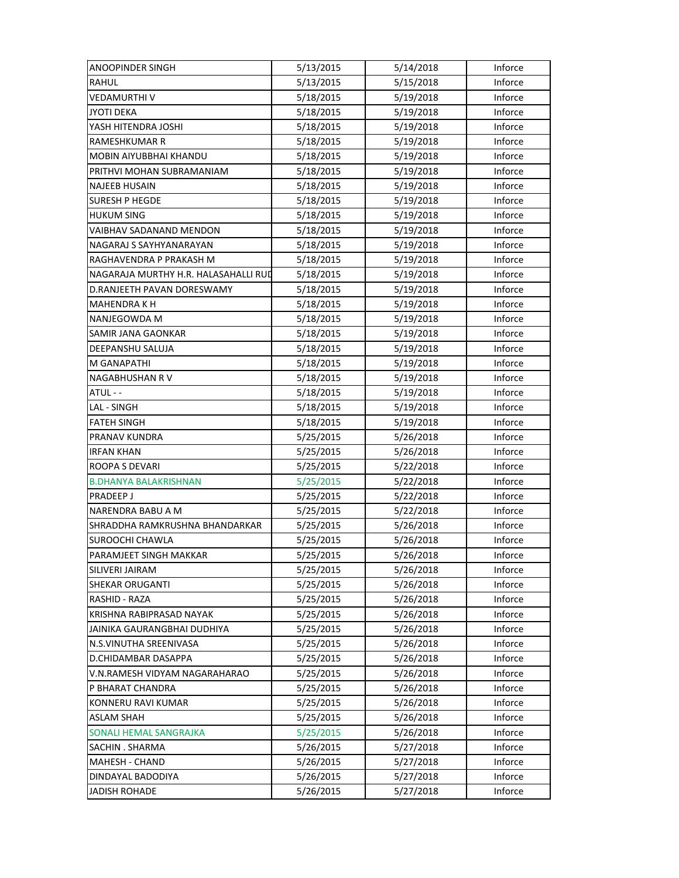| <b>ANOOPINDER SINGH</b>              | 5/13/2015 | 5/14/2018 | Inforce |
|--------------------------------------|-----------|-----------|---------|
| <b>RAHUL</b>                         | 5/13/2015 | 5/15/2018 | Inforce |
| VEDAMURTHI V                         | 5/18/2015 | 5/19/2018 | Inforce |
| <b>JYOTI DEKA</b>                    | 5/18/2015 | 5/19/2018 | Inforce |
| YASH HITENDRA JOSHI                  | 5/18/2015 | 5/19/2018 | Inforce |
| RAMESHKUMAR R                        | 5/18/2015 | 5/19/2018 | Inforce |
| MOBIN AIYUBBHAI KHANDU               | 5/18/2015 | 5/19/2018 | Inforce |
| PRITHVI MOHAN SUBRAMANIAM            | 5/18/2015 | 5/19/2018 | Inforce |
| <b>NAJEEB HUSAIN</b>                 | 5/18/2015 | 5/19/2018 | Inforce |
| <b>SURESH P HEGDE</b>                | 5/18/2015 | 5/19/2018 | Inforce |
| <b>HUKUM SING</b>                    | 5/18/2015 | 5/19/2018 | Inforce |
| VAIBHAV SADANAND MENDON              | 5/18/2015 | 5/19/2018 | Inforce |
| NAGARAJ S SAYHYANARAYAN              | 5/18/2015 | 5/19/2018 | Inforce |
| RAGHAVENDRA P PRAKASH M              | 5/18/2015 | 5/19/2018 | Inforce |
| NAGARAJA MURTHY H.R. HALASAHALLI RUD | 5/18/2015 | 5/19/2018 | Inforce |
| D.RANJEETH PAVAN DORESWAMY           | 5/18/2015 | 5/19/2018 | Inforce |
| <b>MAHENDRAKH</b>                    | 5/18/2015 | 5/19/2018 | Inforce |
| NANJEGOWDA M                         | 5/18/2015 | 5/19/2018 | Inforce |
| SAMIR JANA GAONKAR                   | 5/18/2015 | 5/19/2018 | Inforce |
| DEEPANSHU SALUJA                     | 5/18/2015 | 5/19/2018 | Inforce |
| M GANAPATHI                          | 5/18/2015 | 5/19/2018 | Inforce |
| NAGABHUSHAN R V                      | 5/18/2015 | 5/19/2018 | Inforce |
| ATUL - -                             | 5/18/2015 | 5/19/2018 | Inforce |
| LAL - SINGH                          | 5/18/2015 | 5/19/2018 | Inforce |
| <b>FATEH SINGH</b>                   | 5/18/2015 | 5/19/2018 | Inforce |
| PRANAV KUNDRA                        | 5/25/2015 | 5/26/2018 | Inforce |
| <b>IRFAN KHAN</b>                    | 5/25/2015 | 5/26/2018 | Inforce |
| ROOPA S DEVARI                       | 5/25/2015 | 5/22/2018 | Inforce |
| <b>B.DHANYA BALAKRISHNAN</b>         | 5/25/2015 | 5/22/2018 | Inforce |
| <b>PRADEEP J</b>                     | 5/25/2015 | 5/22/2018 | Inforce |
| NARENDRA BABU A M                    | 5/25/2015 | 5/22/2018 | Inforce |
| SHRADDHA RAMKRUSHNA BHANDARKAR       | 5/25/2015 | 5/26/2018 | Inforce |
| SUROOCHI CHAWLA                      | 5/25/2015 | 5/26/2018 | Inforce |
| PARAMJEET SINGH MAKKAR               | 5/25/2015 | 5/26/2018 | Inforce |
| SILIVERI JAIRAM                      | 5/25/2015 | 5/26/2018 | Inforce |
| <b>SHEKAR ORUGANTI</b>               | 5/25/2015 | 5/26/2018 | Inforce |
| RASHID - RAZA                        | 5/25/2015 | 5/26/2018 | Inforce |
| KRISHNA RABIPRASAD NAYAK             | 5/25/2015 | 5/26/2018 | Inforce |
| JAINIKA GAURANGBHAI DUDHIYA          | 5/25/2015 | 5/26/2018 | Inforce |
| N.S.VINUTHA SREENIVASA               | 5/25/2015 | 5/26/2018 | Inforce |
| D.CHIDAMBAR DASAPPA                  | 5/25/2015 | 5/26/2018 | Inforce |
| V.N.RAMESH VIDYAM NAGARAHARAO        | 5/25/2015 | 5/26/2018 | Inforce |
| P BHARAT CHANDRA                     | 5/25/2015 | 5/26/2018 | Inforce |
| KONNERU RAVI KUMAR                   | 5/25/2015 | 5/26/2018 | Inforce |
| <b>ASLAM SHAH</b>                    | 5/25/2015 | 5/26/2018 | Inforce |
| SONALI HEMAL SANGRAJKA               | 5/25/2015 | 5/26/2018 | Inforce |
| SACHIN . SHARMA                      | 5/26/2015 | 5/27/2018 | Inforce |
| <b>MAHESH - CHAND</b>                | 5/26/2015 | 5/27/2018 | Inforce |
| DINDAYAL BADODIYA                    | 5/26/2015 | 5/27/2018 | Inforce |
| <b>JADISH ROHADE</b>                 | 5/26/2015 | 5/27/2018 | Inforce |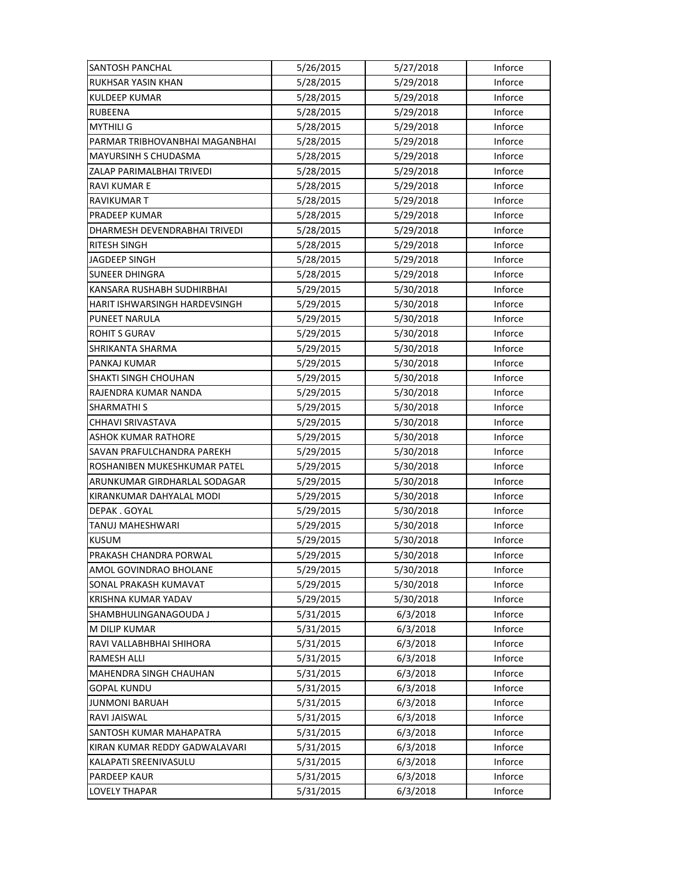| SANTOSH PANCHAL                | 5/26/2015 | 5/27/2018 | Inforce |
|--------------------------------|-----------|-----------|---------|
| RUKHSAR YASIN KHAN             | 5/28/2015 | 5/29/2018 | Inforce |
| <b>KULDEEP KUMAR</b>           | 5/28/2015 | 5/29/2018 | Inforce |
| <b>RUBEENA</b>                 | 5/28/2015 | 5/29/2018 | Inforce |
| <b>MYTHILI G</b>               | 5/28/2015 | 5/29/2018 | Inforce |
| PARMAR TRIBHOVANBHAI MAGANBHAI | 5/28/2015 | 5/29/2018 | Inforce |
| MAYURSINH S CHUDASMA           | 5/28/2015 | 5/29/2018 | Inforce |
| ZALAP PARIMALBHAI TRIVEDI      | 5/28/2015 | 5/29/2018 | Inforce |
| <b>RAVI KUMAR E</b>            | 5/28/2015 | 5/29/2018 | Inforce |
| RAVIKUMAR T                    | 5/28/2015 | 5/29/2018 | Inforce |
| PRADEEP KUMAR                  | 5/28/2015 | 5/29/2018 | Inforce |
| DHARMESH DEVENDRABHAI TRIVEDI  | 5/28/2015 | 5/29/2018 | Inforce |
| RITESH SINGH                   | 5/28/2015 | 5/29/2018 | Inforce |
| JAGDEEP SINGH                  | 5/28/2015 | 5/29/2018 | Inforce |
| <b>SUNEER DHINGRA</b>          | 5/28/2015 | 5/29/2018 | Inforce |
| KANSARA RUSHABH SUDHIRBHAI     | 5/29/2015 | 5/30/2018 | Inforce |
| HARIT ISHWARSINGH HARDEVSINGH  | 5/29/2015 | 5/30/2018 | Inforce |
| PUNEET NARULA                  | 5/29/2015 | 5/30/2018 | Inforce |
| <b>ROHIT S GURAV</b>           | 5/29/2015 | 5/30/2018 | Inforce |
| SHRIKANTA SHARMA               | 5/29/2015 | 5/30/2018 | Inforce |
| PANKAJ KUMAR                   | 5/29/2015 | 5/30/2018 | Inforce |
| <b>SHAKTI SINGH CHOUHAN</b>    | 5/29/2015 | 5/30/2018 | Inforce |
| RAJENDRA KUMAR NANDA           | 5/29/2015 | 5/30/2018 | Inforce |
| SHARMATHI S                    | 5/29/2015 | 5/30/2018 | Inforce |
| CHHAVI SRIVASTAVA              | 5/29/2015 | 5/30/2018 | Inforce |
| <b>ASHOK KUMAR RATHORE</b>     | 5/29/2015 | 5/30/2018 | Inforce |
| SAVAN PRAFULCHANDRA PAREKH     | 5/29/2015 | 5/30/2018 | Inforce |
| ROSHANIBEN MUKESHKUMAR PATEL   | 5/29/2015 | 5/30/2018 | Inforce |
| ARUNKUMAR GIRDHARLAL SODAGAR   | 5/29/2015 | 5/30/2018 | Inforce |
| KIRANKUMAR DAHYALAL MODI       | 5/29/2015 | 5/30/2018 | Inforce |
| DEPAK.GOYAL                    | 5/29/2015 | 5/30/2018 | Inforce |
| TANUJ MAHESHWARI               | 5/29/2015 | 5/30/2018 | Inforce |
| <b>KUSUM</b>                   | 5/29/2015 | 5/30/2018 | Inforce |
| PRAKASH CHANDRA PORWAL         | 5/29/2015 | 5/30/2018 | Inforce |
| AMOL GOVINDRAO BHOLANE         | 5/29/2015 | 5/30/2018 | Inforce |
| SONAL PRAKASH KUMAVAT          | 5/29/2015 | 5/30/2018 | Inforce |
| KRISHNA KUMAR YADAV            | 5/29/2015 | 5/30/2018 | Inforce |
| SHAMBHULINGANAGOUDA J          | 5/31/2015 | 6/3/2018  | Inforce |
| M DILIP KUMAR                  | 5/31/2015 | 6/3/2018  | Inforce |
| RAVI VALLABHBHAI SHIHORA       | 5/31/2015 | 6/3/2018  | Inforce |
| RAMESH ALLI                    | 5/31/2015 | 6/3/2018  | Inforce |
| MAHENDRA SINGH CHAUHAN         | 5/31/2015 | 6/3/2018  | Inforce |
| GOPAL KUNDU                    | 5/31/2015 | 6/3/2018  | Inforce |
| <b>JUNMONI BARUAH</b>          | 5/31/2015 | 6/3/2018  | Inforce |
| RAVI JAISWAL                   | 5/31/2015 | 6/3/2018  | Inforce |
| SANTOSH KUMAR MAHAPATRA        | 5/31/2015 | 6/3/2018  | Inforce |
| KIRAN KUMAR REDDY GADWALAVARI  | 5/31/2015 | 6/3/2018  | Inforce |
| KALAPATI SREENIVASULU          | 5/31/2015 | 6/3/2018  | Inforce |
| <b>PARDEEP KAUR</b>            | 5/31/2015 | 6/3/2018  | Inforce |
| <b>LOVELY THAPAR</b>           | 5/31/2015 | 6/3/2018  | Inforce |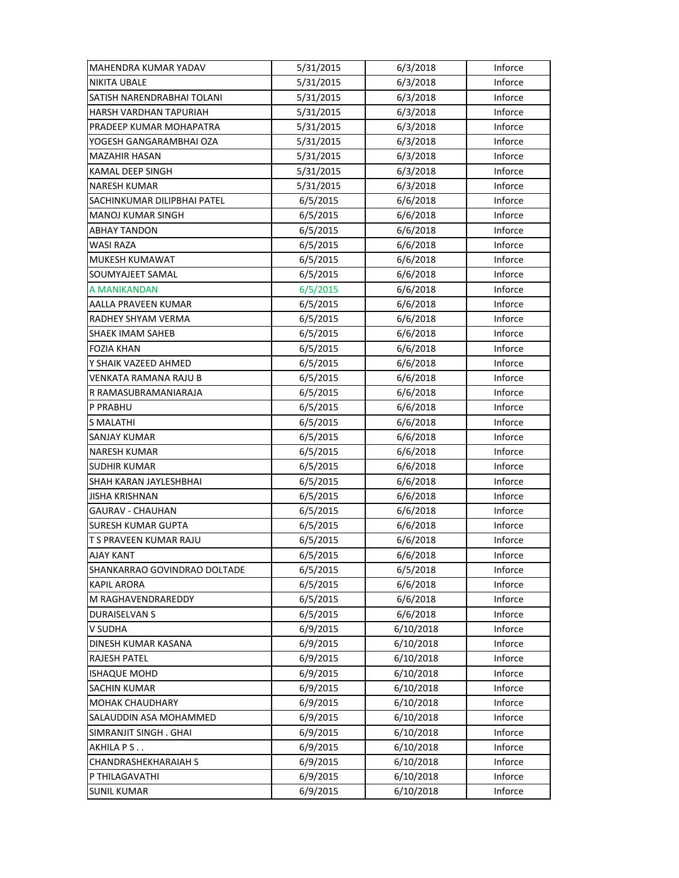| MAHENDRA KUMAR YADAV         | 5/31/2015 | 6/3/2018  | Inforce |
|------------------------------|-----------|-----------|---------|
| <b>NIKITA UBALE</b>          | 5/31/2015 | 6/3/2018  | Inforce |
| SATISH NARENDRABHAI TOLANI   | 5/31/2015 | 6/3/2018  | Inforce |
| HARSH VARDHAN TAPURIAH       | 5/31/2015 | 6/3/2018  | Inforce |
| PRADEEP KUMAR MOHAPATRA      | 5/31/2015 | 6/3/2018  | Inforce |
| YOGESH GANGARAMBHAI OZA      | 5/31/2015 | 6/3/2018  | Inforce |
| <b>MAZAHIR HASAN</b>         | 5/31/2015 | 6/3/2018  | Inforce |
| <b>KAMAL DEEP SINGH</b>      | 5/31/2015 | 6/3/2018  | Inforce |
| <b>NARESH KUMAR</b>          | 5/31/2015 | 6/3/2018  | Inforce |
| SACHINKUMAR DILIPBHAI PATEL  | 6/5/2015  | 6/6/2018  | Inforce |
| <b>MANOJ KUMAR SINGH</b>     | 6/5/2015  | 6/6/2018  | Inforce |
| <b>ABHAY TANDON</b>          | 6/5/2015  | 6/6/2018  | Inforce |
| WASI RAZA                    | 6/5/2015  | 6/6/2018  | Inforce |
| MUKESH KUMAWAT               | 6/5/2015  | 6/6/2018  | Inforce |
| SOUMYAJEET SAMAL             | 6/5/2015  | 6/6/2018  | Inforce |
| A MANIKANDAN                 | 6/5/2015  | 6/6/2018  | Inforce |
| AALLA PRAVEEN KUMAR          | 6/5/2015  | 6/6/2018  | Inforce |
| RADHEY SHYAM VERMA           | 6/5/2015  | 6/6/2018  | Inforce |
| <b>SHAEK IMAM SAHEB</b>      | 6/5/2015  | 6/6/2018  | Inforce |
| <b>FOZIA KHAN</b>            | 6/5/2015  | 6/6/2018  | Inforce |
| Y SHAIK VAZEED AHMED         | 6/5/2015  | 6/6/2018  | Inforce |
| VENKATA RAMANA RAJU B        | 6/5/2015  | 6/6/2018  | Inforce |
| R RAMASUBRAMANIARAJA         | 6/5/2015  | 6/6/2018  | Inforce |
| P PRABHU                     | 6/5/2015  | 6/6/2018  | Inforce |
| <b>S MALATHI</b>             | 6/5/2015  | 6/6/2018  | Inforce |
| <b>SANJAY KUMAR</b>          | 6/5/2015  | 6/6/2018  | Inforce |
| <b>NARESH KUMAR</b>          | 6/5/2015  | 6/6/2018  | Inforce |
| SUDHIR KUMAR                 | 6/5/2015  | 6/6/2018  | Inforce |
| SHAH KARAN JAYLESHBHAI       | 6/5/2015  | 6/6/2018  | Inforce |
| <b>JISHA KRISHNAN</b>        | 6/5/2015  | 6/6/2018  | Inforce |
| <b>GAURAV - CHAUHAN</b>      | 6/5/2015  | 6/6/2018  | Inforce |
| <b>SURESH KUMAR GUPTA</b>    | 6/5/2015  | 6/6/2018  | Inforce |
| T S PRAVEEN KUMAR RAJU       | 6/5/2015  | 6/6/2018  | Inforce |
| <b>AJAY KANT</b>             | 6/5/2015  | 6/6/2018  | Inforce |
| SHANKARRAO GOVINDRAO DOLTADE | 6/5/2015  | 6/5/2018  | Inforce |
| <b>KAPIL ARORA</b>           | 6/5/2015  | 6/6/2018  | Inforce |
| M RAGHAVENDRAREDDY           | 6/5/2015  | 6/6/2018  | Inforce |
| DURAISELVAN S                | 6/5/2015  | 6/6/2018  | Inforce |
| V SUDHA                      | 6/9/2015  | 6/10/2018 | Inforce |
| DINESH KUMAR KASANA          | 6/9/2015  | 6/10/2018 | Inforce |
| <b>RAJESH PATEL</b>          | 6/9/2015  | 6/10/2018 | Inforce |
| <b>ISHAQUE MOHD</b>          | 6/9/2015  | 6/10/2018 | Inforce |
| <b>SACHIN KUMAR</b>          | 6/9/2015  | 6/10/2018 | Inforce |
| MOHAK CHAUDHARY              | 6/9/2015  | 6/10/2018 | Inforce |
| SALAUDDIN ASA MOHAMMED       | 6/9/2015  | 6/10/2018 | Inforce |
| SIMRANJIT SINGH. GHAI        | 6/9/2015  | 6/10/2018 | Inforce |
| AKHILA P S                   | 6/9/2015  | 6/10/2018 | Inforce |
| CHANDRASHEKHARAIAH S         | 6/9/2015  | 6/10/2018 | Inforce |
| P THILAGAVATHI               | 6/9/2015  | 6/10/2018 | Inforce |
| <b>SUNIL KUMAR</b>           | 6/9/2015  | 6/10/2018 | Inforce |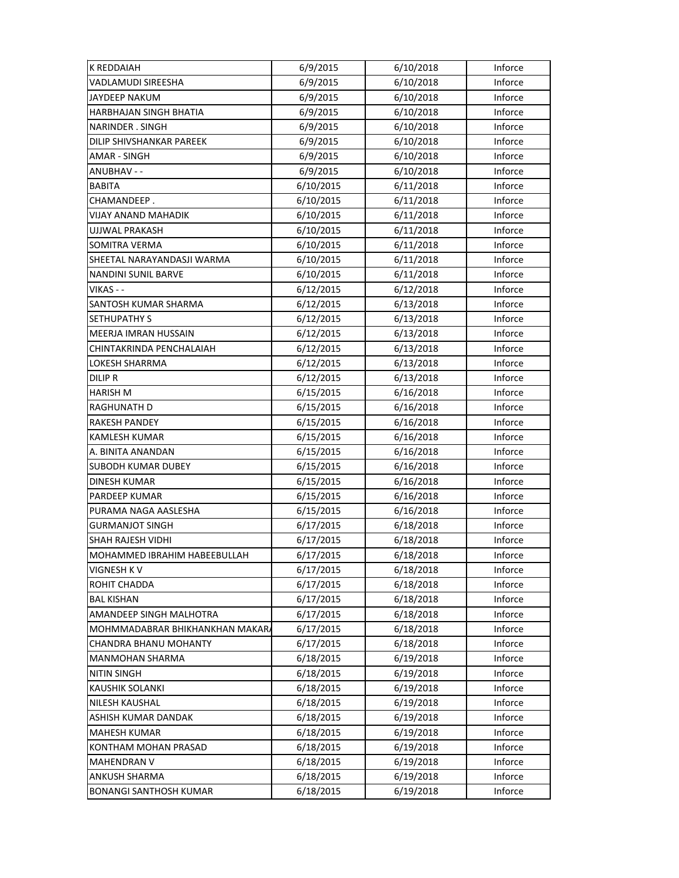| <b>K REDDAIAH</b>               | 6/9/2015  | 6/10/2018 | Inforce |
|---------------------------------|-----------|-----------|---------|
| VADLAMUDI SIREESHA              | 6/9/2015  | 6/10/2018 | Inforce |
| <b>JAYDEEP NAKUM</b>            | 6/9/2015  | 6/10/2018 | Inforce |
| HARBHAJAN SINGH BHATIA          | 6/9/2015  | 6/10/2018 | Inforce |
| NARINDER . SINGH                | 6/9/2015  | 6/10/2018 | Inforce |
| DILIP SHIVSHANKAR PAREEK        | 6/9/2015  | 6/10/2018 | Inforce |
| <b>AMAR - SINGH</b>             | 6/9/2015  | 6/10/2018 | Inforce |
| ANUBHAV - -                     | 6/9/2015  | 6/10/2018 | Inforce |
| <b>BABITA</b>                   | 6/10/2015 | 6/11/2018 | Inforce |
| CHAMANDEEP.                     | 6/10/2015 | 6/11/2018 | Inforce |
| VIJAY ANAND MAHADIK             | 6/10/2015 | 6/11/2018 | Inforce |
| UJJWAL PRAKASH                  | 6/10/2015 | 6/11/2018 | Inforce |
| SOMITRA VERMA                   | 6/10/2015 | 6/11/2018 | Inforce |
| SHEETAL NARAYANDASJI WARMA      | 6/10/2015 | 6/11/2018 | Inforce |
| NANDINI SUNIL BARVE             | 6/10/2015 | 6/11/2018 | Inforce |
| VIKAS - -                       | 6/12/2015 | 6/12/2018 | Inforce |
| SANTOSH KUMAR SHARMA            | 6/12/2015 | 6/13/2018 | Inforce |
| <b>SETHUPATHY S</b>             | 6/12/2015 | 6/13/2018 | Inforce |
| MEERJA IMRAN HUSSAIN            | 6/12/2015 | 6/13/2018 | Inforce |
| CHINTAKRINDA PENCHALAIAH        | 6/12/2015 | 6/13/2018 | Inforce |
| LOKESH SHARRMA                  | 6/12/2015 | 6/13/2018 | Inforce |
| DILIP R                         | 6/12/2015 | 6/13/2018 | Inforce |
| HARISH M                        | 6/15/2015 | 6/16/2018 | Inforce |
| RAGHUNATH D                     | 6/15/2015 | 6/16/2018 | Inforce |
| <b>RAKESH PANDEY</b>            | 6/15/2015 | 6/16/2018 | Inforce |
| <b>KAMLESH KUMAR</b>            | 6/15/2015 | 6/16/2018 | Inforce |
| A. BINITA ANANDAN               | 6/15/2015 | 6/16/2018 | Inforce |
| SUBODH KUMAR DUBEY              | 6/15/2015 | 6/16/2018 | Inforce |
| <b>DINESH KUMAR</b>             | 6/15/2015 | 6/16/2018 | Inforce |
| PARDEEP KUMAR                   | 6/15/2015 | 6/16/2018 | Inforce |
| PURAMA NAGA AASLESHA            | 6/15/2015 | 6/16/2018 | Inforce |
| <b>GURMANJOT SINGH</b>          | 6/17/2015 | 6/18/2018 | Inforce |
| <b>SHAH RAJESH VIDHI</b>        | 6/17/2015 | 6/18/2018 | Inforce |
| MOHAMMED IBRAHIM HABEEBULLAH    | 6/17/2015 | 6/18/2018 | Inforce |
| <b>VIGNESH KV</b>               | 6/17/2015 | 6/18/2018 | Inforce |
| ROHIT CHADDA                    | 6/17/2015 | 6/18/2018 | Inforce |
| <b>BAL KISHAN</b>               | 6/17/2015 | 6/18/2018 | Inforce |
| AMANDEEP SINGH MALHOTRA         | 6/17/2015 | 6/18/2018 | Inforce |
| MOHMMADABRAR BHIKHANKHAN MAKAR/ | 6/17/2015 | 6/18/2018 | Inforce |
| <b>CHANDRA BHANU MOHANTY</b>    | 6/17/2015 | 6/18/2018 | Inforce |
| <b>MANMOHAN SHARMA</b>          | 6/18/2015 | 6/19/2018 | Inforce |
| <b>NITIN SINGH</b>              | 6/18/2015 | 6/19/2018 | Inforce |
| KAUSHIK SOLANKI                 | 6/18/2015 | 6/19/2018 | Inforce |
| <b>NILESH KAUSHAL</b>           | 6/18/2015 | 6/19/2018 | Inforce |
| ASHISH KUMAR DANDAK             | 6/18/2015 | 6/19/2018 | Inforce |
| <b>MAHESH KUMAR</b>             | 6/18/2015 | 6/19/2018 | Inforce |
| KONTHAM MOHAN PRASAD            | 6/18/2015 | 6/19/2018 | Inforce |
| <b>MAHENDRAN V</b>              | 6/18/2015 | 6/19/2018 | Inforce |
| <b>ANKUSH SHARMA</b>            | 6/18/2015 | 6/19/2018 | Inforce |
| <b>BONANGI SANTHOSH KUMAR</b>   | 6/18/2015 | 6/19/2018 | Inforce |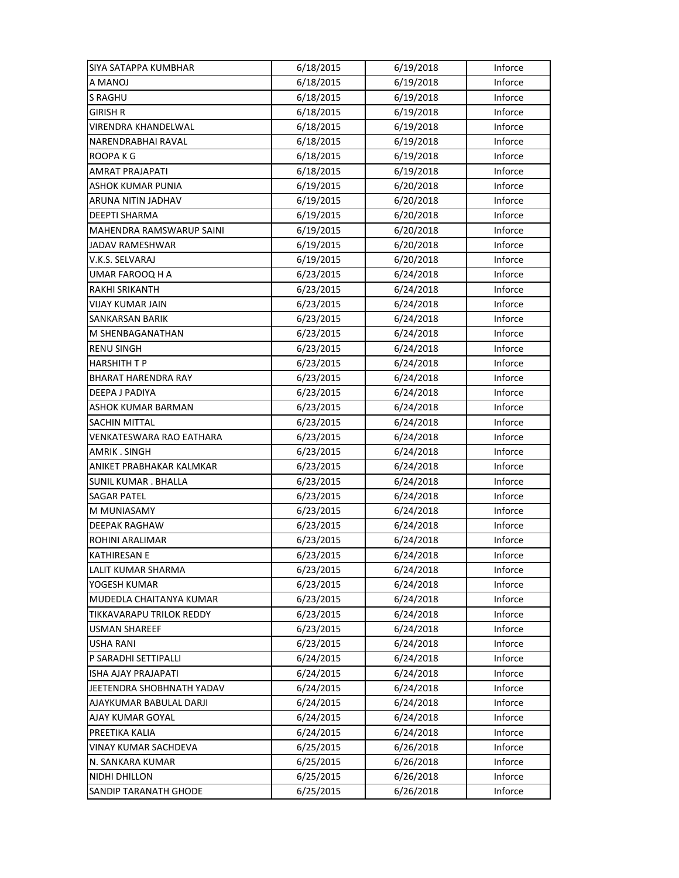| SIYA SATAPPA KUMBHAR       | 6/18/2015 | 6/19/2018 | Inforce |
|----------------------------|-----------|-----------|---------|
| A MANOJ                    | 6/18/2015 | 6/19/2018 | Inforce |
| <b>S RAGHU</b>             | 6/18/2015 | 6/19/2018 | Inforce |
| <b>GIRISH R</b>            | 6/18/2015 | 6/19/2018 | Inforce |
| VIRENDRA KHANDELWAL        | 6/18/2015 | 6/19/2018 | Inforce |
| NARENDRABHAI RAVAL         | 6/18/2015 | 6/19/2018 | Inforce |
| ROOPA K G                  | 6/18/2015 | 6/19/2018 | Inforce |
| <b>AMRAT PRAJAPATI</b>     | 6/18/2015 | 6/19/2018 | Inforce |
| ASHOK KUMAR PUNIA          | 6/19/2015 | 6/20/2018 | Inforce |
| ARUNA NITIN JADHAV         | 6/19/2015 | 6/20/2018 | Inforce |
| <b>DEEPTI SHARMA</b>       | 6/19/2015 | 6/20/2018 | Inforce |
| MAHENDRA RAMSWARUP SAINI   | 6/19/2015 | 6/20/2018 | Inforce |
| JADAV RAMESHWAR            | 6/19/2015 | 6/20/2018 | Inforce |
| V.K.S. SELVARAJ            | 6/19/2015 | 6/20/2018 | Inforce |
| UMAR FAROOQ H A            | 6/23/2015 | 6/24/2018 | Inforce |
| RAKHI SRIKANTH             | 6/23/2015 | 6/24/2018 | Inforce |
| VIJAY KUMAR JAIN           | 6/23/2015 | 6/24/2018 | Inforce |
| SANKARSAN BARIK            | 6/23/2015 | 6/24/2018 | Inforce |
| M SHENBAGANATHAN           | 6/23/2015 | 6/24/2018 | Inforce |
| <b>RENU SINGH</b>          | 6/23/2015 | 6/24/2018 | Inforce |
| <b>HARSHITH T P</b>        | 6/23/2015 | 6/24/2018 | Inforce |
| <b>BHARAT HARENDRA RAY</b> | 6/23/2015 | 6/24/2018 | Inforce |
| DEEPA J PADIYA             | 6/23/2015 | 6/24/2018 | Inforce |
| ASHOK KUMAR BARMAN         | 6/23/2015 | 6/24/2018 | Inforce |
| <b>SACHIN MITTAL</b>       | 6/23/2015 | 6/24/2018 | Inforce |
| VENKATESWARA RAO EATHARA   | 6/23/2015 | 6/24/2018 | Inforce |
| <b>AMRIK. SINGH</b>        | 6/23/2015 | 6/24/2018 | Inforce |
| ANIKET PRABHAKAR KALMKAR   | 6/23/2015 | 6/24/2018 | Inforce |
| <b>SUNIL KUMAR. BHALLA</b> | 6/23/2015 | 6/24/2018 | Inforce |
| <b>SAGAR PATEL</b>         | 6/23/2015 | 6/24/2018 | Inforce |
| M MUNIASAMY                | 6/23/2015 | 6/24/2018 | Inforce |
| <b>DEEPAK RAGHAW</b>       | 6/23/2015 | 6/24/2018 | Inforce |
| ROHINI ARALIMAR            | 6/23/2015 | 6/24/2018 | Inforce |
| <b>KATHIRESAN E</b>        | 6/23/2015 | 6/24/2018 | Inforce |
| LALIT KUMAR SHARMA         | 6/23/2015 | 6/24/2018 | Inforce |
| YOGESH KUMAR               | 6/23/2015 | 6/24/2018 | Inforce |
| MUDEDLA CHAITANYA KUMAR    | 6/23/2015 | 6/24/2018 | Inforce |
| TIKKAVARAPU TRILOK REDDY   | 6/23/2015 | 6/24/2018 | Inforce |
| <b>USMAN SHAREEF</b>       | 6/23/2015 | 6/24/2018 | Inforce |
| USHA RANI                  | 6/23/2015 | 6/24/2018 | Inforce |
| P SARADHI SETTIPALLI       | 6/24/2015 | 6/24/2018 | Inforce |
| <b>ISHA AJAY PRAJAPATI</b> | 6/24/2015 | 6/24/2018 | Inforce |
| JEETENDRA SHOBHNATH YADAV  | 6/24/2015 | 6/24/2018 | Inforce |
| AJAYKUMAR BABULAL DARJI    | 6/24/2015 | 6/24/2018 | Inforce |
| <b>AJAY KUMAR GOYAL</b>    | 6/24/2015 | 6/24/2018 | Inforce |
| PREETIKA KALIA             | 6/24/2015 | 6/24/2018 | Inforce |
| VINAY KUMAR SACHDEVA       | 6/25/2015 | 6/26/2018 | Inforce |
| N. SANKARA KUMAR           | 6/25/2015 | 6/26/2018 | Inforce |
| NIDHI DHILLON              | 6/25/2015 | 6/26/2018 | Inforce |
| SANDIP TARANATH GHODE      | 6/25/2015 | 6/26/2018 | Inforce |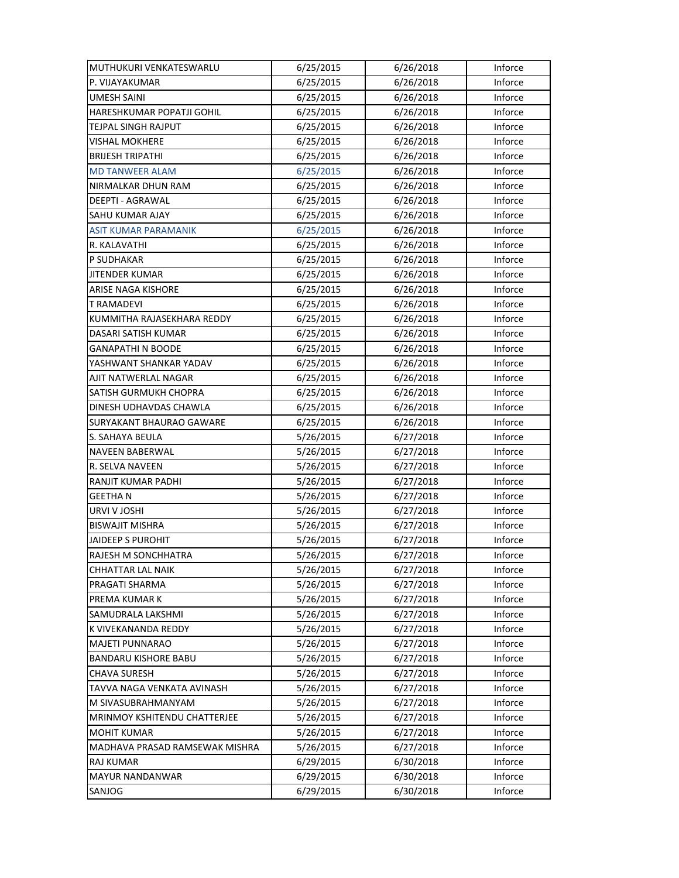| MUTHUKURI VENKATESWARLU         | 6/25/2015 | 6/26/2018 | Inforce |
|---------------------------------|-----------|-----------|---------|
| P. VIJAYAKUMAR                  | 6/25/2015 | 6/26/2018 | Inforce |
| UMESH SAINI                     | 6/25/2015 | 6/26/2018 | Inforce |
| HARESHKUMAR POPATJI GOHIL       | 6/25/2015 | 6/26/2018 | Inforce |
| TEJPAL SINGH RAJPUT             | 6/25/2015 | 6/26/2018 | Inforce |
| <b>VISHAL MOKHERE</b>           | 6/25/2015 | 6/26/2018 | Inforce |
| <b>BRIJESH TRIPATHI</b>         | 6/25/2015 | 6/26/2018 | Inforce |
| <b>MD TANWEER ALAM</b>          | 6/25/2015 | 6/26/2018 | Inforce |
| NIRMALKAR DHUN RAM              | 6/25/2015 | 6/26/2018 | Inforce |
| DEEPTI - AGRAWAL                | 6/25/2015 | 6/26/2018 | Inforce |
| SAHU KUMAR AJAY                 | 6/25/2015 | 6/26/2018 | Inforce |
| <b>ASIT KUMAR PARAMANIK</b>     | 6/25/2015 | 6/26/2018 | Inforce |
| R. KALAVATHI                    | 6/25/2015 | 6/26/2018 | Inforce |
| P SUDHAKAR                      | 6/25/2015 | 6/26/2018 | Inforce |
| <b>JITENDER KUMAR</b>           | 6/25/2015 | 6/26/2018 | Inforce |
| <b>ARISE NAGA KISHORE</b>       | 6/25/2015 | 6/26/2018 | Inforce |
| <b>T RAMADEVI</b>               | 6/25/2015 | 6/26/2018 | Inforce |
| KUMMITHA RAJASEKHARA REDDY      | 6/25/2015 | 6/26/2018 | Inforce |
| DASARI SATISH KUMAR             | 6/25/2015 | 6/26/2018 | Inforce |
| <b>GANAPATHI N BOODE</b>        | 6/25/2015 | 6/26/2018 | Inforce |
| YASHWANT SHANKAR YADAV          | 6/25/2015 | 6/26/2018 | Inforce |
| AJIT NATWERLAL NAGAR            | 6/25/2015 | 6/26/2018 | Inforce |
| SATISH GURMUKH CHOPRA           | 6/25/2015 | 6/26/2018 | Inforce |
| DINESH UDHAVDAS CHAWLA          | 6/25/2015 | 6/26/2018 | Inforce |
| <b>SURYAKANT BHAURAO GAWARE</b> | 6/25/2015 | 6/26/2018 | Inforce |
| S. SAHAYA BEULA                 | 5/26/2015 | 6/27/2018 | Inforce |
| <b>NAVEEN BABERWAL</b>          | 5/26/2015 | 6/27/2018 | Inforce |
| R. SELVA NAVEEN                 | 5/26/2015 | 6/27/2018 | Inforce |
| RANJIT KUMAR PADHI              | 5/26/2015 | 6/27/2018 | Inforce |
| <b>GEETHAN</b>                  | 5/26/2015 | 6/27/2018 | Inforce |
| URVI V JOSHI                    | 5/26/2015 | 6/27/2018 | Inforce |
| <b>BISWAJIT MISHRA</b>          | 5/26/2015 | 6/27/2018 | Inforce |
| JAIDEEP S PUROHIT               | 5/26/2015 | 6/27/2018 | Inforce |
| RAJESH M SONCHHATRA             | 5/26/2015 | 6/27/2018 | Inforce |
| CHHATTAR LAL NAIK               | 5/26/2015 | 6/27/2018 | Inforce |
| PRAGATI SHARMA                  | 5/26/2015 | 6/27/2018 | Inforce |
| PREMA KUMAR K                   | 5/26/2015 | 6/27/2018 | Inforce |
| SAMUDRALA LAKSHMI               | 5/26/2015 | 6/27/2018 | Inforce |
| K VIVEKANANDA REDDY             | 5/26/2015 | 6/27/2018 | Inforce |
| <b>MAJETI PUNNARAO</b>          | 5/26/2015 | 6/27/2018 | Inforce |
| <b>BANDARU KISHORE BABU</b>     | 5/26/2015 | 6/27/2018 | Inforce |
| CHAVA SURESH                    | 5/26/2015 | 6/27/2018 | Inforce |
| TAVVA NAGA VENKATA AVINASH      | 5/26/2015 | 6/27/2018 | Inforce |
| M SIVASUBRAHMANYAM              | 5/26/2015 | 6/27/2018 | Inforce |
| MRINMOY KSHITENDU CHATTERJEE    | 5/26/2015 | 6/27/2018 | Inforce |
| <b>MOHIT KUMAR</b>              | 5/26/2015 | 6/27/2018 | Inforce |
| MADHAVA PRASAD RAMSEWAK MISHRA  | 5/26/2015 | 6/27/2018 | Inforce |
| <b>RAJ KUMAR</b>                | 6/29/2015 | 6/30/2018 | Inforce |
| <b>MAYUR NANDANWAR</b>          | 6/29/2015 | 6/30/2018 | Inforce |
| SANJOG                          | 6/29/2015 | 6/30/2018 | Inforce |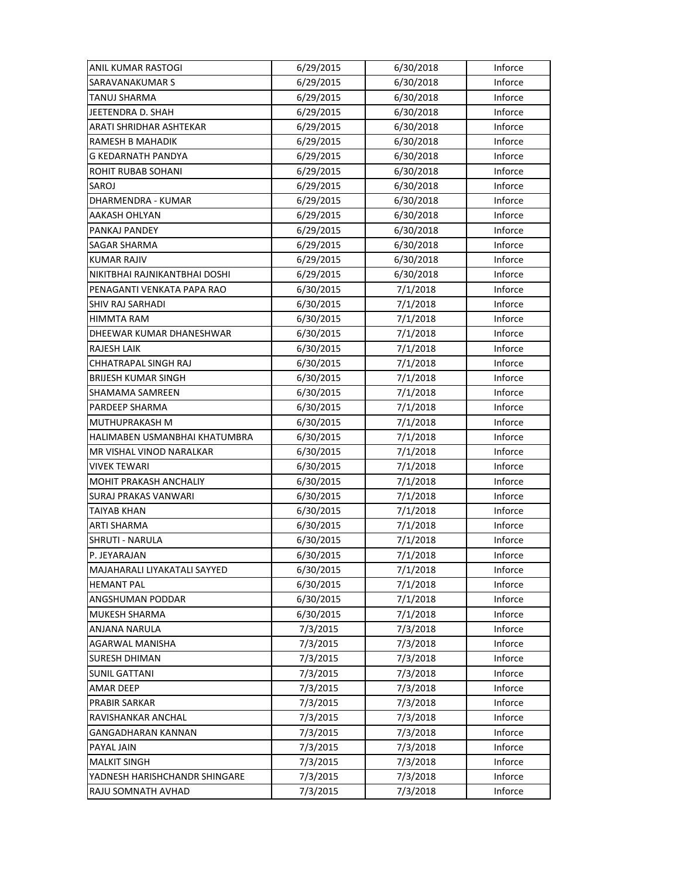| ANIL KUMAR RASTOGI            | 6/29/2015 | 6/30/2018 | Inforce |
|-------------------------------|-----------|-----------|---------|
| SARAVANAKUMAR S               | 6/29/2015 | 6/30/2018 | Inforce |
| TANUJ SHARMA                  | 6/29/2015 | 6/30/2018 | Inforce |
| JEETENDRA D. SHAH             | 6/29/2015 | 6/30/2018 | Inforce |
| ARATI SHRIDHAR ASHTEKAR       | 6/29/2015 | 6/30/2018 | Inforce |
| RAMESH B MAHADIK              | 6/29/2015 | 6/30/2018 | Inforce |
| G KEDARNATH PANDYA            | 6/29/2015 | 6/30/2018 | Inforce |
| <b>ROHIT RUBAB SOHANI</b>     | 6/29/2015 | 6/30/2018 | Inforce |
| SAROJ                         | 6/29/2015 | 6/30/2018 | Inforce |
| DHARMENDRA - KUMAR            | 6/29/2015 | 6/30/2018 | Inforce |
| AAKASH OHLYAN                 | 6/29/2015 | 6/30/2018 | Inforce |
| PANKAJ PANDEY                 | 6/29/2015 | 6/30/2018 | Inforce |
| SAGAR SHARMA                  | 6/29/2015 | 6/30/2018 | Inforce |
| <b>KUMAR RAJIV</b>            | 6/29/2015 | 6/30/2018 | Inforce |
| NIKITBHAI RAJNIKANTBHAI DOSHI | 6/29/2015 | 6/30/2018 | Inforce |
| PENAGANTI VENKATA PAPA RAO    | 6/30/2015 | 7/1/2018  | Inforce |
| SHIV RAJ SARHADI              | 6/30/2015 | 7/1/2018  | Inforce |
| HIMMTA RAM                    | 6/30/2015 | 7/1/2018  | Inforce |
| DHEEWAR KUMAR DHANESHWAR      | 6/30/2015 | 7/1/2018  | Inforce |
| <b>RAJESH LAIK</b>            | 6/30/2015 | 7/1/2018  | Inforce |
| CHHATRAPAL SINGH RAJ          | 6/30/2015 | 7/1/2018  | Inforce |
| <b>BRIJESH KUMAR SINGH</b>    | 6/30/2015 | 7/1/2018  | Inforce |
| SHAMAMA SAMREEN               | 6/30/2015 | 7/1/2018  | Inforce |
| PARDEEP SHARMA                | 6/30/2015 | 7/1/2018  | Inforce |
| MUTHUPRAKASH M                | 6/30/2015 | 7/1/2018  | Inforce |
| HALIMABEN USMANBHAI KHATUMBRA | 6/30/2015 | 7/1/2018  | Inforce |
| MR VISHAL VINOD NARALKAR      | 6/30/2015 | 7/1/2018  | Inforce |
| VIVEK TEWARI                  | 6/30/2015 | 7/1/2018  | Inforce |
| MOHIT PRAKASH ANCHALIY        | 6/30/2015 | 7/1/2018  | Inforce |
| <b>SURAJ PRAKAS VANWARI</b>   | 6/30/2015 | 7/1/2018  | Inforce |
| TAIYAB KHAN                   | 6/30/2015 | 7/1/2018  | Inforce |
| <b>ARTI SHARMA</b>            | 6/30/2015 | 7/1/2018  | Inforce |
| SHRUTI - NARULA               | 6/30/2015 | 7/1/2018  | Inforce |
| P. JEYARAJAN                  | 6/30/2015 | 7/1/2018  | Inforce |
| MAJAHARALI LIYAKATALI SAYYED  | 6/30/2015 | 7/1/2018  | Inforce |
| <b>HEMANT PAL</b>             | 6/30/2015 | 7/1/2018  | Inforce |
| ANGSHUMAN PODDAR              | 6/30/2015 | 7/1/2018  | Inforce |
| <b>MUKESH SHARMA</b>          | 6/30/2015 | 7/1/2018  | Inforce |
| ANJANA NARULA                 | 7/3/2015  | 7/3/2018  | Inforce |
| AGARWAL MANISHA               | 7/3/2015  | 7/3/2018  | Inforce |
| <b>SURESH DHIMAN</b>          | 7/3/2015  | 7/3/2018  | Inforce |
| <b>SUNIL GATTANI</b>          | 7/3/2015  | 7/3/2018  | Inforce |
| <b>AMAR DEEP</b>              | 7/3/2015  | 7/3/2018  | Inforce |
| <b>PRABIR SARKAR</b>          | 7/3/2015  | 7/3/2018  | Inforce |
| RAVISHANKAR ANCHAL            | 7/3/2015  | 7/3/2018  | Inforce |
| GANGADHARAN KANNAN            | 7/3/2015  | 7/3/2018  | Inforce |
| PAYAL JAIN                    | 7/3/2015  | 7/3/2018  | Inforce |
| <b>MALKIT SINGH</b>           | 7/3/2015  | 7/3/2018  | Inforce |
| YADNESH HARISHCHANDR SHINGARE | 7/3/2015  | 7/3/2018  | Inforce |
| RAJU SOMNATH AVHAD            | 7/3/2015  | 7/3/2018  | Inforce |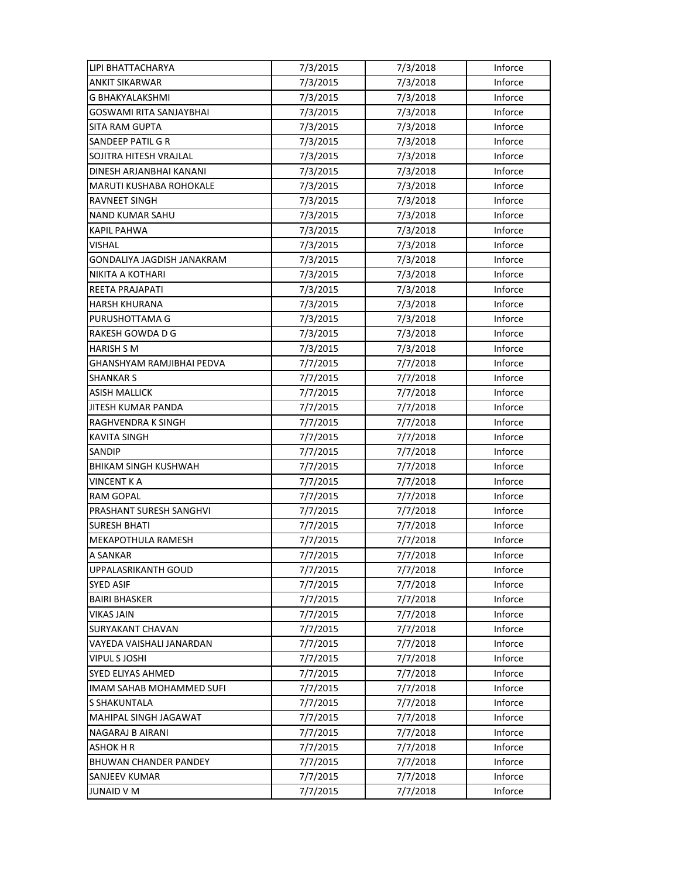| LIPI BHATTACHARYA              | 7/3/2015 | 7/3/2018 | Inforce |
|--------------------------------|----------|----------|---------|
| <b>ANKIT SIKARWAR</b>          | 7/3/2015 | 7/3/2018 | Inforce |
| G BHAKYALAKSHMI                | 7/3/2015 | 7/3/2018 | Inforce |
| GOSWAMI RITA SANJAYBHAI        | 7/3/2015 | 7/3/2018 | Inforce |
| SITA RAM GUPTA                 | 7/3/2015 | 7/3/2018 | Inforce |
| SANDEEP PATIL G R              | 7/3/2015 | 7/3/2018 | Inforce |
| SOJITRA HITESH VRAJLAL         | 7/3/2015 | 7/3/2018 | Inforce |
| DINESH ARJANBHAI KANANI        | 7/3/2015 | 7/3/2018 | Inforce |
| <b>MARUTI KUSHABA ROHOKALE</b> | 7/3/2015 | 7/3/2018 | Inforce |
| RAVNEET SINGH                  | 7/3/2015 | 7/3/2018 | Inforce |
| <b>NAND KUMAR SAHU</b>         | 7/3/2015 | 7/3/2018 | Inforce |
| KAPIL PAHWA                    | 7/3/2015 | 7/3/2018 | Inforce |
| VISHAL                         | 7/3/2015 | 7/3/2018 | Inforce |
| GONDALIYA JAGDISH JANAKRAM     | 7/3/2015 | 7/3/2018 | Inforce |
| NIKITA A KOTHARI               | 7/3/2015 | 7/3/2018 | Inforce |
| REETA PRAJAPATI                | 7/3/2015 | 7/3/2018 | Inforce |
| <b>HARSH KHURANA</b>           | 7/3/2015 | 7/3/2018 | Inforce |
| PURUSHOTTAMA G                 | 7/3/2015 | 7/3/2018 | Inforce |
| RAKESH GOWDA D G               | 7/3/2015 | 7/3/2018 | Inforce |
| <b>HARISH S M</b>              | 7/3/2015 | 7/3/2018 | Inforce |
| GHANSHYAM RAMJIBHAI PEDVA      | 7/7/2015 | 7/7/2018 | Inforce |
| <b>SHANKAR S</b>               | 7/7/2015 | 7/7/2018 | Inforce |
| ASISH MALLICK                  | 7/7/2015 | 7/7/2018 | Inforce |
| JITESH KUMAR PANDA             | 7/7/2015 | 7/7/2018 | Inforce |
| RAGHVENDRA K SINGH             | 7/7/2015 | 7/7/2018 | Inforce |
| <b>KAVITA SINGH</b>            | 7/7/2015 | 7/7/2018 | Inforce |
| <b>SANDIP</b>                  | 7/7/2015 | 7/7/2018 | Inforce |
| <b>BHIKAM SINGH KUSHWAH</b>    | 7/7/2015 | 7/7/2018 | Inforce |
| VINCENT K A                    | 7/7/2015 | 7/7/2018 | Inforce |
| <b>RAM GOPAL</b>               | 7/7/2015 | 7/7/2018 | Inforce |
| PRASHANT SURESH SANGHVI        | 7/7/2015 | 7/7/2018 | Inforce |
| <b>SURESH BHATI</b>            | 7/7/2015 | 7/7/2018 | Inforce |
| <b>MEKAPOTHULA RAMESH</b>      | 7/7/2015 | 7/7/2018 | Inforce |
| A SANKAR                       | 7/7/2015 | 7/7/2018 | Inforce |
| UPPALASRIKANTH GOUD            | 7/7/2015 | 7/7/2018 | Inforce |
| <b>SYED ASIF</b>               | 7/7/2015 | 7/7/2018 | Inforce |
| <b>BAIRI BHASKER</b>           | 7/7/2015 | 7/7/2018 | Inforce |
| <b>VIKAS JAIN</b>              | 7/7/2015 | 7/7/2018 | Inforce |
| <b>SURYAKANT CHAVAN</b>        | 7/7/2015 | 7/7/2018 | Inforce |
| VAYEDA VAISHALI JANARDAN       | 7/7/2015 | 7/7/2018 | Inforce |
| <b>VIPUL S JOSHI</b>           | 7/7/2015 | 7/7/2018 | Inforce |
| SYED ELIYAS AHMED              | 7/7/2015 | 7/7/2018 | Inforce |
| IMAM SAHAB MOHAMMED SUFI       | 7/7/2015 | 7/7/2018 | Inforce |
| S SHAKUNTALA                   | 7/7/2015 | 7/7/2018 | Inforce |
| MAHIPAL SINGH JAGAWAT          | 7/7/2015 | 7/7/2018 | Inforce |
| NAGARAJ B AIRANI               | 7/7/2015 | 7/7/2018 | Inforce |
| <b>ASHOK H R</b>               | 7/7/2015 | 7/7/2018 | Inforce |
| <b>BHUWAN CHANDER PANDEY</b>   | 7/7/2015 | 7/7/2018 | Inforce |
| SANJEEV KUMAR                  | 7/7/2015 | 7/7/2018 | Inforce |
| <b>JUNAID V M</b>              | 7/7/2015 | 7/7/2018 | Inforce |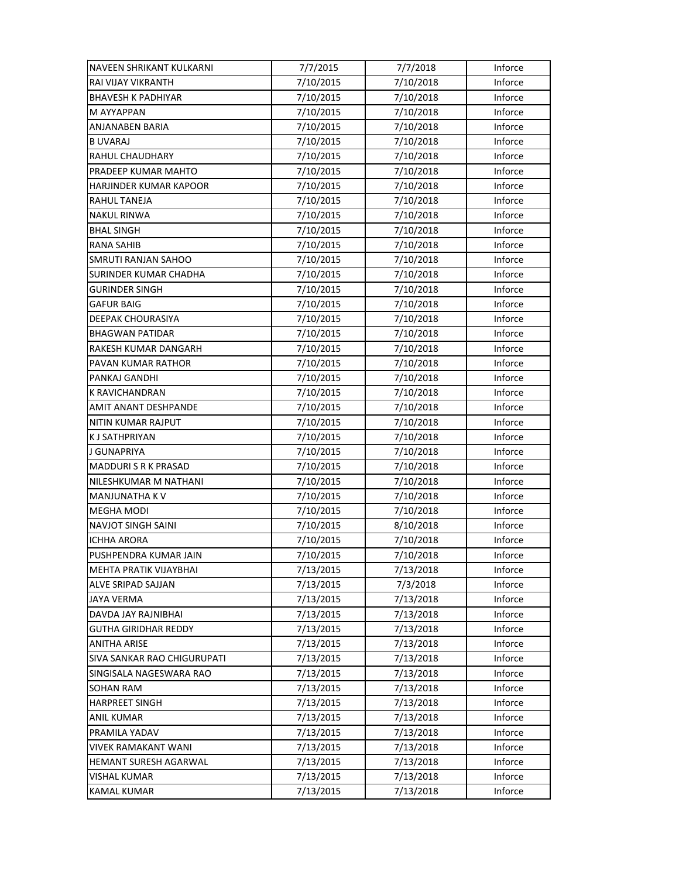| NAVEEN SHRIKANT KULKARNI      | 7/7/2015  | 7/7/2018  | Inforce |
|-------------------------------|-----------|-----------|---------|
| RAI VIJAY VIKRANTH            | 7/10/2015 | 7/10/2018 | Inforce |
| <b>BHAVESH K PADHIYAR</b>     | 7/10/2015 | 7/10/2018 | Inforce |
| M AYYAPPAN                    | 7/10/2015 | 7/10/2018 | Inforce |
| ANJANABEN BARIA               | 7/10/2015 | 7/10/2018 | Inforce |
| <b>B UVARAJ</b>               | 7/10/2015 | 7/10/2018 | Inforce |
| <b>RAHUL CHAUDHARY</b>        | 7/10/2015 | 7/10/2018 | Inforce |
| PRADEEP KUMAR MAHTO           | 7/10/2015 | 7/10/2018 | Inforce |
| HARJINDER KUMAR KAPOOR        | 7/10/2015 | 7/10/2018 | Inforce |
| <b>RAHUL TANEJA</b>           | 7/10/2015 | 7/10/2018 | Inforce |
| <b>NAKUL RINWA</b>            | 7/10/2015 | 7/10/2018 | Inforce |
| <b>BHAL SINGH</b>             | 7/10/2015 | 7/10/2018 | Inforce |
| RANA SAHIB                    | 7/10/2015 | 7/10/2018 | Inforce |
| SMRUTI RANJAN SAHOO           | 7/10/2015 | 7/10/2018 | Inforce |
| SURINDER KUMAR CHADHA         | 7/10/2015 | 7/10/2018 | Inforce |
| <b>GURINDER SINGH</b>         | 7/10/2015 | 7/10/2018 | Inforce |
| <b>GAFUR BAIG</b>             | 7/10/2015 | 7/10/2018 | Inforce |
| <b>DEEPAK CHOURASIYA</b>      | 7/10/2015 | 7/10/2018 | Inforce |
| <b>BHAGWAN PATIDAR</b>        | 7/10/2015 | 7/10/2018 | Inforce |
| RAKESH KUMAR DANGARH          | 7/10/2015 | 7/10/2018 | Inforce |
| PAVAN KUMAR RATHOR            | 7/10/2015 | 7/10/2018 | Inforce |
| PANKAJ GANDHI                 | 7/10/2015 | 7/10/2018 | Inforce |
| K RAVICHANDRAN                | 7/10/2015 | 7/10/2018 | Inforce |
| AMIT ANANT DESHPANDE          | 7/10/2015 | 7/10/2018 | Inforce |
| NITIN KUMAR RAJPUT            | 7/10/2015 | 7/10/2018 | Inforce |
| <b>KJ SATHPRIYAN</b>          | 7/10/2015 | 7/10/2018 | Inforce |
| J GUNAPRIYA                   | 7/10/2015 | 7/10/2018 | Inforce |
| MADDURI S R K PRASAD          | 7/10/2015 | 7/10/2018 | Inforce |
| NILESHKUMAR M NATHANI         | 7/10/2015 | 7/10/2018 | Inforce |
| MANJUNATHA KV                 | 7/10/2015 | 7/10/2018 | Inforce |
| <b>MEGHA MODI</b>             | 7/10/2015 | 7/10/2018 | Inforce |
| <b>NAVJOT SINGH SAINI</b>     | 7/10/2015 | 8/10/2018 | Inforce |
| <b>ICHHA ARORA</b>            | 7/10/2015 | 7/10/2018 | Inforce |
| PUSHPENDRA KUMAR JAIN         | 7/10/2015 | 7/10/2018 | Inforce |
| <b>MEHTA PRATIK VIJAYBHAI</b> | 7/13/2015 | 7/13/2018 | Inforce |
| ALVE SRIPAD SAJJAN            | 7/13/2015 | 7/3/2018  | Inforce |
| <b>JAYA VERMA</b>             | 7/13/2015 | 7/13/2018 | Inforce |
| DAVDA JAY RAJNIBHAI           | 7/13/2015 | 7/13/2018 | Inforce |
| <b>GUTHA GIRIDHAR REDDY</b>   | 7/13/2015 | 7/13/2018 | Inforce |
| <b>ANITHA ARISE</b>           | 7/13/2015 | 7/13/2018 | Inforce |
| SIVA SANKAR RAO CHIGURUPATI   | 7/13/2015 | 7/13/2018 | Inforce |
| SINGISALA NAGESWARA RAO       | 7/13/2015 | 7/13/2018 | Inforce |
| <b>SOHAN RAM</b>              | 7/13/2015 | 7/13/2018 | Inforce |
| <b>HARPREET SINGH</b>         | 7/13/2015 | 7/13/2018 | Inforce |
| <b>ANIL KUMAR</b>             | 7/13/2015 | 7/13/2018 | Inforce |
| PRAMILA YADAV                 | 7/13/2015 | 7/13/2018 | Inforce |
| <b>VIVEK RAMAKANT WANI</b>    | 7/13/2015 | 7/13/2018 | Inforce |
| HEMANT SURESH AGARWAL         | 7/13/2015 | 7/13/2018 | Inforce |
| VISHAL KUMAR                  | 7/13/2015 | 7/13/2018 | Inforce |
| <b>KAMAL KUMAR</b>            | 7/13/2015 | 7/13/2018 | Inforce |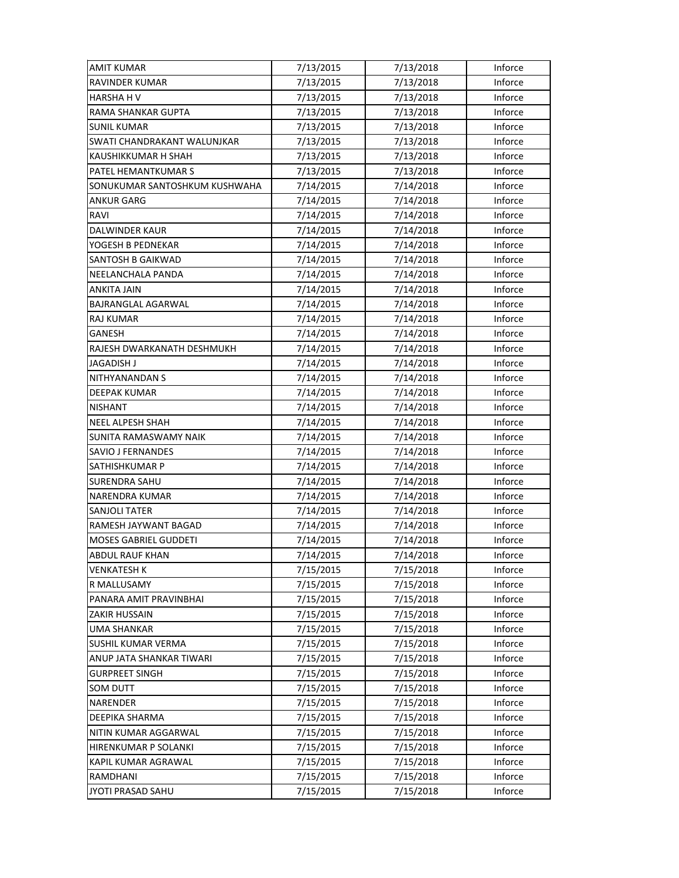| <b>AMIT KUMAR</b>             | 7/13/2015 | 7/13/2018 | Inforce |
|-------------------------------|-----------|-----------|---------|
| <b>RAVINDER KUMAR</b>         | 7/13/2015 | 7/13/2018 | Inforce |
| <b>HARSHA H V</b>             | 7/13/2015 | 7/13/2018 | Inforce |
| RAMA SHANKAR GUPTA            | 7/13/2015 | 7/13/2018 | Inforce |
| <b>SUNIL KUMAR</b>            | 7/13/2015 | 7/13/2018 | Inforce |
| SWATI CHANDRAKANT WALUNJKAR   | 7/13/2015 | 7/13/2018 | Inforce |
| KAUSHIKKUMAR H SHAH           | 7/13/2015 | 7/13/2018 | Inforce |
| PATEL HEMANTKUMAR S           | 7/13/2015 | 7/13/2018 | Inforce |
| SONUKUMAR SANTOSHKUM KUSHWAHA | 7/14/2015 | 7/14/2018 | Inforce |
| ANKUR GARG                    | 7/14/2015 | 7/14/2018 | Inforce |
| RAVI                          | 7/14/2015 | 7/14/2018 | Inforce |
| <b>DALWINDER KAUR</b>         | 7/14/2015 | 7/14/2018 | Inforce |
| YOGESH B PEDNEKAR             | 7/14/2015 | 7/14/2018 | Inforce |
| SANTOSH B GAIKWAD             | 7/14/2015 | 7/14/2018 | Inforce |
| NEELANCHALA PANDA             | 7/14/2015 | 7/14/2018 | Inforce |
| <b>ANKITA JAIN</b>            | 7/14/2015 | 7/14/2018 | Inforce |
| BAJRANGLAL AGARWAL            | 7/14/2015 | 7/14/2018 | Inforce |
| <b>RAJ KUMAR</b>              | 7/14/2015 | 7/14/2018 | Inforce |
| <b>GANESH</b>                 | 7/14/2015 | 7/14/2018 | Inforce |
| RAJESH DWARKANATH DESHMUKH    | 7/14/2015 | 7/14/2018 | Inforce |
| JAGADISH J                    | 7/14/2015 | 7/14/2018 | Inforce |
| NITHYANANDAN S                | 7/14/2015 | 7/14/2018 | Inforce |
| DEEPAK KUMAR                  | 7/14/2015 | 7/14/2018 | Inforce |
| <b>NISHANT</b>                | 7/14/2015 | 7/14/2018 | Inforce |
| <b>NEEL ALPESH SHAH</b>       | 7/14/2015 | 7/14/2018 | Inforce |
| <b>SUNITA RAMASWAMY NAIK</b>  | 7/14/2015 | 7/14/2018 | Inforce |
| SAVIO J FERNANDES             | 7/14/2015 | 7/14/2018 | Inforce |
| SATHISHKUMAR P                | 7/14/2015 | 7/14/2018 | Inforce |
| SURENDRA SAHU                 | 7/14/2015 | 7/14/2018 | Inforce |
| <b>NARENDRA KUMAR</b>         | 7/14/2015 | 7/14/2018 | Inforce |
| <b>SANJOLI TATER</b>          | 7/14/2015 | 7/14/2018 | Inforce |
| RAMESH JAYWANT BAGAD          | 7/14/2015 | 7/14/2018 | Inforce |
| <b>MOSES GABRIEL GUDDETI</b>  | 7/14/2015 | 7/14/2018 | Inforce |
| <b>ABDUL RAUF KHAN</b>        | 7/14/2015 | 7/14/2018 | Inforce |
| <b>VENKATESH K</b>            | 7/15/2015 | 7/15/2018 | Inforce |
| R MALLUSAMY                   | 7/15/2015 | 7/15/2018 | Inforce |
| PANARA AMIT PRAVINBHAI        | 7/15/2015 | 7/15/2018 | Inforce |
| ZAKIR HUSSAIN                 | 7/15/2015 | 7/15/2018 | Inforce |
| <b>UMA SHANKAR</b>            | 7/15/2015 | 7/15/2018 | Inforce |
| <b>SUSHIL KUMAR VERMA</b>     | 7/15/2015 | 7/15/2018 | Inforce |
| ANUP JATA SHANKAR TIWARI      | 7/15/2015 | 7/15/2018 | Inforce |
| <b>GURPREET SINGH</b>         | 7/15/2015 | 7/15/2018 | Inforce |
| <b>SOM DUTT</b>               | 7/15/2015 | 7/15/2018 | Inforce |
| NARENDER                      | 7/15/2015 | 7/15/2018 | Inforce |
| DEEPIKA SHARMA                | 7/15/2015 | 7/15/2018 | Inforce |
| NITIN KUMAR AGGARWAL          | 7/15/2015 | 7/15/2018 | Inforce |
| HIRENKUMAR P SOLANKI          | 7/15/2015 | 7/15/2018 | Inforce |
| KAPIL KUMAR AGRAWAL           | 7/15/2015 | 7/15/2018 | Inforce |
| RAMDHANI                      | 7/15/2015 | 7/15/2018 | Inforce |
| JYOTI PRASAD SAHU             | 7/15/2015 | 7/15/2018 | Inforce |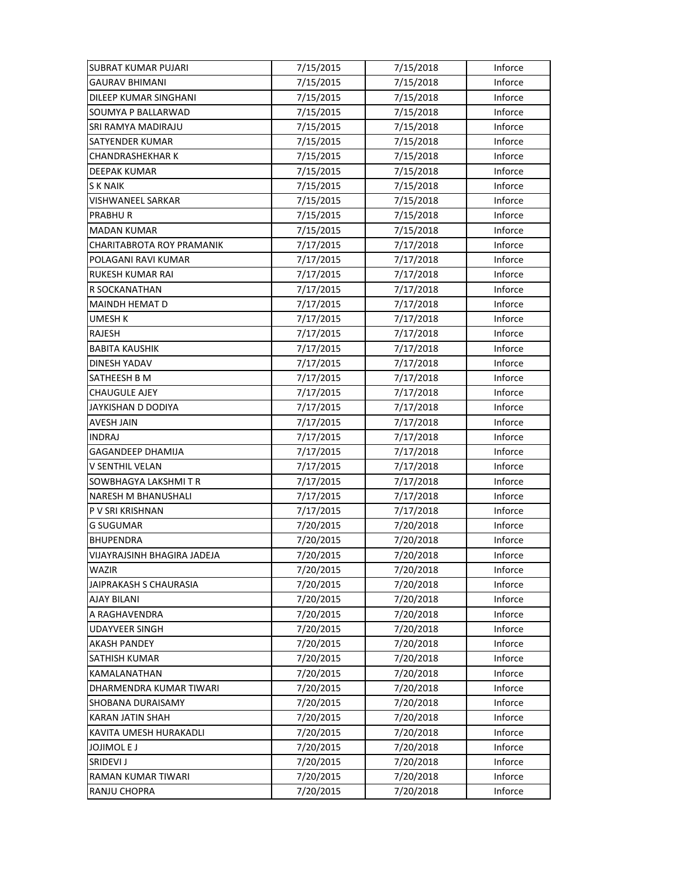| <b>SUBRAT KUMAR PUJARI</b>         | 7/15/2015 | 7/15/2018 | Inforce |
|------------------------------------|-----------|-----------|---------|
| <b>GAURAV BHIMANI</b>              | 7/15/2015 | 7/15/2018 | Inforce |
| <b>DILEEP KUMAR SINGHANI</b>       | 7/15/2015 | 7/15/2018 | Inforce |
| SOUMYA P BALLARWAD                 | 7/15/2015 | 7/15/2018 | Inforce |
| SRI RAMYA MADIRAJU                 | 7/15/2015 | 7/15/2018 | Inforce |
| SATYENDER KUMAR                    | 7/15/2015 | 7/15/2018 | Inforce |
| <b>CHANDRASHEKHAR K</b>            | 7/15/2015 | 7/15/2018 | Inforce |
| <b>DEEPAK KUMAR</b>                | 7/15/2015 | 7/15/2018 | Inforce |
| S K NAIK                           | 7/15/2015 | 7/15/2018 | Inforce |
| VISHWANEEL SARKAR                  | 7/15/2015 | 7/15/2018 | Inforce |
| PRABHUR                            | 7/15/2015 | 7/15/2018 | Inforce |
| <b>MADAN KUMAR</b>                 | 7/15/2015 | 7/15/2018 | Inforce |
| CHARITABROTA ROY PRAMANIK          | 7/17/2015 | 7/17/2018 | Inforce |
| POLAGANI RAVI KUMAR                | 7/17/2015 | 7/17/2018 | Inforce |
| <b>RUKESH KUMAR RAI</b>            | 7/17/2015 | 7/17/2018 | Inforce |
| R SOCKANATHAN                      | 7/17/2015 | 7/17/2018 | Inforce |
| <b>MAINDH HEMAT D</b>              | 7/17/2015 | 7/17/2018 | Inforce |
| <b>UMESH K</b>                     | 7/17/2015 | 7/17/2018 | Inforce |
| RAJESH                             | 7/17/2015 | 7/17/2018 | Inforce |
| <b>BABITA KAUSHIK</b>              | 7/17/2015 | 7/17/2018 | Inforce |
| DINESH YADAV                       | 7/17/2015 | 7/17/2018 | Inforce |
| SATHEESH B M                       | 7/17/2015 | 7/17/2018 | Inforce |
| <b>CHAUGULE AJEY</b>               | 7/17/2015 | 7/17/2018 | Inforce |
| JAYKISHAN D DODIYA                 | 7/17/2015 | 7/17/2018 | Inforce |
| <b>AVESH JAIN</b>                  | 7/17/2015 | 7/17/2018 | Inforce |
| <b>INDRAJ</b>                      | 7/17/2015 | 7/17/2018 | Inforce |
| GAGANDEEP DHAMIJA                  | 7/17/2015 | 7/17/2018 | Inforce |
| V SENTHIL VELAN                    | 7/17/2015 | 7/17/2018 | Inforce |
| SOWBHAGYA LAKSHMI T R              | 7/17/2015 | 7/17/2018 | Inforce |
| NARESH M BHANUSHALI                | 7/17/2015 | 7/17/2018 | Inforce |
| P V SRI KRISHNAN                   | 7/17/2015 | 7/17/2018 | Inforce |
| <b>G SUGUMAR</b>                   | 7/20/2015 | 7/20/2018 | Inforce |
| <b>BHUPENDRA</b>                   | 7/20/2015 | 7/20/2018 | Inforce |
| <b>VIJAYRAJSINH BHAGIRA JADEJA</b> | 7/20/2015 | 7/20/2018 | Inforce |
| WAZIR                              | 7/20/2015 | 7/20/2018 | Inforce |
| JAIPRAKASH S CHAURASIA             | 7/20/2015 | 7/20/2018 | Inforce |
| AJAY BILANI                        | 7/20/2015 | 7/20/2018 | Inforce |
| A RAGHAVENDRA                      | 7/20/2015 | 7/20/2018 | Inforce |
| <b>UDAYVEER SINGH</b>              | 7/20/2015 | 7/20/2018 | Inforce |
| <b>AKASH PANDEY</b>                | 7/20/2015 | 7/20/2018 | Inforce |
| SATHISH KUMAR                      | 7/20/2015 | 7/20/2018 | Inforce |
| KAMALANATHAN                       | 7/20/2015 | 7/20/2018 | Inforce |
| DHARMENDRA KUMAR TIWARI            | 7/20/2015 | 7/20/2018 | Inforce |
| SHOBANA DURAISAMY                  | 7/20/2015 | 7/20/2018 | Inforce |
| <b>KARAN JATIN SHAH</b>            | 7/20/2015 | 7/20/2018 | Inforce |
| KAVITA UMESH HURAKADLI             | 7/20/2015 | 7/20/2018 | Inforce |
| <b>JOJIMOLEJ</b>                   | 7/20/2015 | 7/20/2018 | Inforce |
| SRIDEVI J                          | 7/20/2015 | 7/20/2018 | Inforce |
| RAMAN KUMAR TIWARI                 | 7/20/2015 | 7/20/2018 | Inforce |
| RANJU CHOPRA                       | 7/20/2015 | 7/20/2018 | Inforce |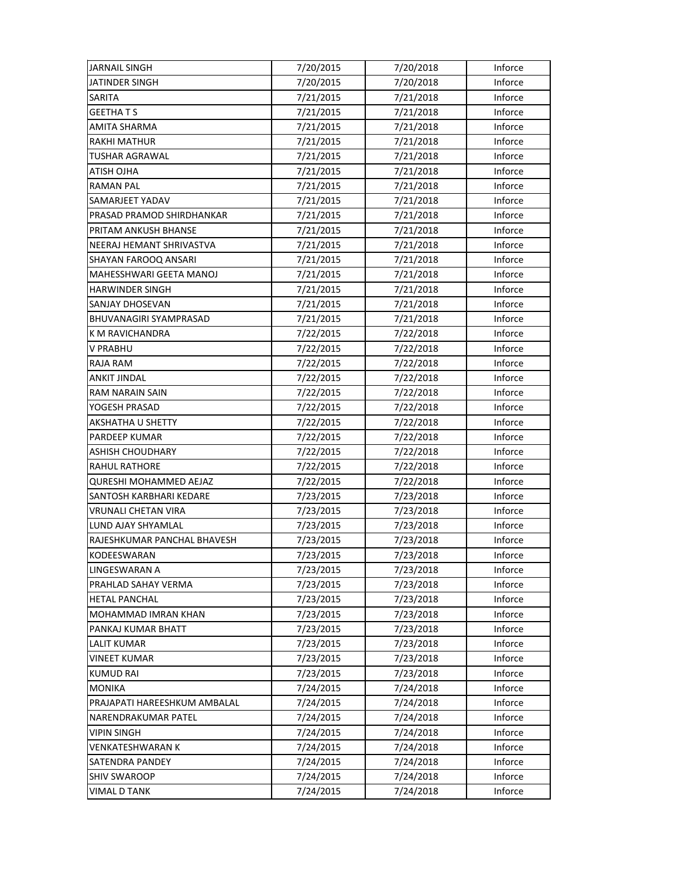| <b>JARNAIL SINGH</b>         | 7/20/2015 | 7/20/2018 | Inforce |
|------------------------------|-----------|-----------|---------|
| JATINDER SINGH               | 7/20/2015 | 7/20/2018 | Inforce |
| SARITA                       | 7/21/2015 | 7/21/2018 | Inforce |
| <b>GEETHATS</b>              | 7/21/2015 | 7/21/2018 | Inforce |
| <b>AMITA SHARMA</b>          | 7/21/2015 | 7/21/2018 | Inforce |
| <b>RAKHI MATHUR</b>          | 7/21/2015 | 7/21/2018 | Inforce |
| <b>TUSHAR AGRAWAL</b>        | 7/21/2015 | 7/21/2018 | Inforce |
| ATISH OJHA                   | 7/21/2015 | 7/21/2018 | Inforce |
| <b>RAMAN PAL</b>             | 7/21/2015 | 7/21/2018 | Inforce |
| SAMARJEET YADAV              | 7/21/2015 | 7/21/2018 | Inforce |
| PRASAD PRAMOD SHIRDHANKAR    | 7/21/2015 | 7/21/2018 | Inforce |
| PRITAM ANKUSH BHANSE         | 7/21/2015 | 7/21/2018 | Inforce |
| NEERAJ HEMANT SHRIVASTVA     | 7/21/2015 | 7/21/2018 | Inforce |
| SHAYAN FAROOQ ANSARI         | 7/21/2015 | 7/21/2018 | Inforce |
| MAHESSHWARI GEETA MANOJ      | 7/21/2015 | 7/21/2018 | Inforce |
| <b>HARWINDER SINGH</b>       | 7/21/2015 | 7/21/2018 | Inforce |
| <b>SANJAY DHOSEVAN</b>       | 7/21/2015 | 7/21/2018 | Inforce |
| BHUVANAGIRI SYAMPRASAD       | 7/21/2015 | 7/21/2018 | Inforce |
| K M RAVICHANDRA              | 7/22/2015 | 7/22/2018 | Inforce |
| V PRABHU                     | 7/22/2015 | 7/22/2018 | Inforce |
| <b>RAJA RAM</b>              | 7/22/2015 | 7/22/2018 | Inforce |
| <b>ANKIT JINDAL</b>          | 7/22/2015 | 7/22/2018 | Inforce |
| RAM NARAIN SAIN              | 7/22/2015 | 7/22/2018 | Inforce |
| YOGESH PRASAD                | 7/22/2015 | 7/22/2018 | Inforce |
| AKSHATHA U SHETTY            | 7/22/2015 | 7/22/2018 | Inforce |
| PARDEEP KUMAR                | 7/22/2015 | 7/22/2018 | Inforce |
| ASHISH CHOUDHARY             | 7/22/2015 | 7/22/2018 | Inforce |
| RAHUL RATHORE                | 7/22/2015 | 7/22/2018 | Inforce |
| QURESHI MOHAMMED AEJAZ       | 7/22/2015 | 7/22/2018 | Inforce |
| SANTOSH KARBHARI KEDARE      | 7/23/2015 | 7/23/2018 | Inforce |
| <b>VRUNALI CHETAN VIRA</b>   | 7/23/2015 | 7/23/2018 | Inforce |
| LUND AJAY SHYAMLAL           | 7/23/2015 | 7/23/2018 | Inforce |
| RAJESHKUMAR PANCHAL BHAVESH  | 7/23/2015 | 7/23/2018 | Inforce |
| KODEESWARAN                  | 7/23/2015 | 7/23/2018 | Inforce |
| LINGESWARAN A                | 7/23/2015 | 7/23/2018 | Inforce |
| PRAHLAD SAHAY VERMA          | 7/23/2015 | 7/23/2018 | Inforce |
| <b>HETAL PANCHAL</b>         | 7/23/2015 | 7/23/2018 | Inforce |
| MOHAMMAD IMRAN KHAN          | 7/23/2015 | 7/23/2018 | Inforce |
| PANKAJ KUMAR BHATT           | 7/23/2015 | 7/23/2018 | Inforce |
| <b>LALIT KUMAR</b>           | 7/23/2015 | 7/23/2018 | Inforce |
| VINEET KUMAR                 | 7/23/2015 | 7/23/2018 | Inforce |
| <b>KUMUD RAI</b>             | 7/23/2015 | 7/23/2018 | Inforce |
| <b>MONIKA</b>                | 7/24/2015 | 7/24/2018 | Inforce |
| PRAJAPATI HAREESHKUM AMBALAL | 7/24/2015 | 7/24/2018 | Inforce |
| NARENDRAKUMAR PATEL          | 7/24/2015 | 7/24/2018 | Inforce |
| VIPIN SINGH                  | 7/24/2015 | 7/24/2018 | Inforce |
| <b>VENKATESHWARAN K</b>      | 7/24/2015 | 7/24/2018 | Inforce |
| <b>SATENDRA PANDEY</b>       | 7/24/2015 | 7/24/2018 | Inforce |
| <b>SHIV SWAROOP</b>          | 7/24/2015 | 7/24/2018 | Inforce |
| <b>VIMAL D TANK</b>          | 7/24/2015 | 7/24/2018 | Inforce |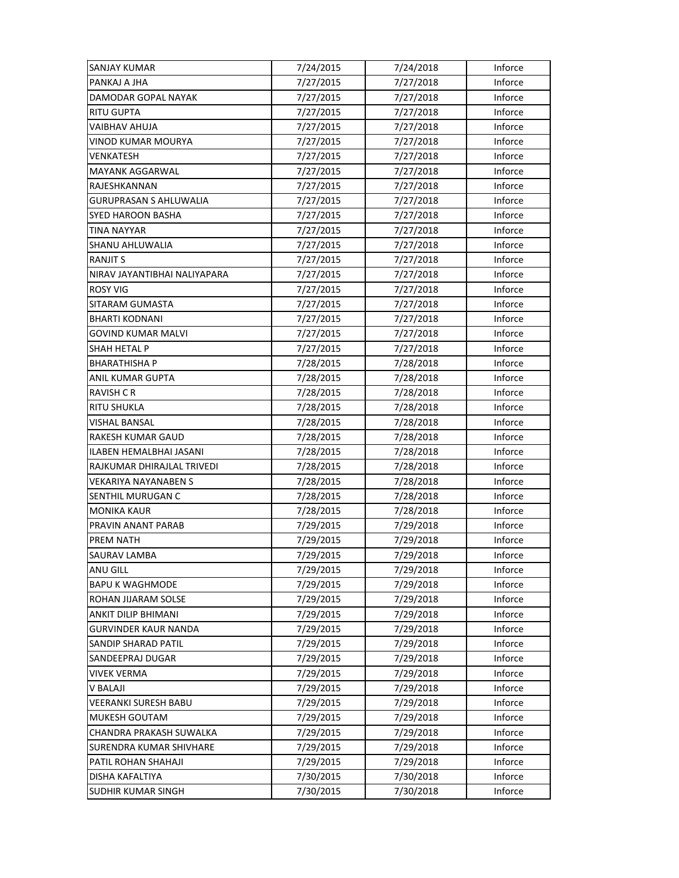| <b>SANJAY KUMAR</b>           | 7/24/2015 | 7/24/2018 | Inforce |
|-------------------------------|-----------|-----------|---------|
| PANKAJ A JHA                  | 7/27/2015 | 7/27/2018 | Inforce |
| DAMODAR GOPAL NAYAK           | 7/27/2015 | 7/27/2018 | Inforce |
| <b>RITU GUPTA</b>             | 7/27/2015 | 7/27/2018 | Inforce |
| VAIBHAV AHUJA                 | 7/27/2015 | 7/27/2018 | Inforce |
| VINOD KUMAR MOURYA            | 7/27/2015 | 7/27/2018 | Inforce |
| VENKATESH                     | 7/27/2015 | 7/27/2018 | Inforce |
| <b>MAYANK AGGARWAL</b>        | 7/27/2015 | 7/27/2018 | Inforce |
| RAJESHKANNAN                  | 7/27/2015 | 7/27/2018 | Inforce |
| <b>GURUPRASAN S AHLUWALIA</b> | 7/27/2015 | 7/27/2018 | Inforce |
| SYED HAROON BASHA             | 7/27/2015 | 7/27/2018 | Inforce |
| TINA NAYYAR                   | 7/27/2015 | 7/27/2018 | Inforce |
| SHANU AHLUWALIA               | 7/27/2015 | 7/27/2018 | Inforce |
| <b>RANJIT S</b>               | 7/27/2015 | 7/27/2018 | Inforce |
| NIRAV JAYANTIBHAI NALIYAPARA  | 7/27/2015 | 7/27/2018 | Inforce |
| <b>ROSY VIG</b>               | 7/27/2015 | 7/27/2018 | Inforce |
| SITARAM GUMASTA               | 7/27/2015 | 7/27/2018 | Inforce |
| <b>BHARTI KODNANI</b>         | 7/27/2015 | 7/27/2018 | Inforce |
| GOVIND KUMAR MALVI            | 7/27/2015 | 7/27/2018 | Inforce |
| SHAH HETAL P                  | 7/27/2015 | 7/27/2018 | Inforce |
| <b>BHARATHISHA P</b>          | 7/28/2015 | 7/28/2018 | Inforce |
| ANIL KUMAR GUPTA              | 7/28/2015 | 7/28/2018 | Inforce |
| RAVISH CR                     | 7/28/2015 | 7/28/2018 | Inforce |
| RITU SHUKLA                   | 7/28/2015 | 7/28/2018 | Inforce |
| VISHAL BANSAL                 | 7/28/2015 | 7/28/2018 | Inforce |
| RAKESH KUMAR GAUD             | 7/28/2015 | 7/28/2018 | Inforce |
| ILABEN HEMALBHAI JASANI       | 7/28/2015 | 7/28/2018 | Inforce |
| RAJKUMAR DHIRAJLAL TRIVEDI    | 7/28/2015 | 7/28/2018 | Inforce |
| VEKARIYA NAYANABEN S          | 7/28/2015 | 7/28/2018 | Inforce |
| SENTHIL MURUGAN C             | 7/28/2015 | 7/28/2018 | Inforce |
| <b>MONIKA KAUR</b>            | 7/28/2015 | 7/28/2018 | Inforce |
| PRAVIN ANANT PARAB            | 7/29/2015 | 7/29/2018 | Inforce |
| PREM NATH                     | 7/29/2015 | 7/29/2018 | Inforce |
| SAURAV LAMBA                  | 7/29/2015 | 7/29/2018 | Inforce |
| ANU GILL                      | 7/29/2015 | 7/29/2018 | Inforce |
| <b>BAPU K WAGHMODE</b>        | 7/29/2015 | 7/29/2018 | Inforce |
| ROHAN JIJARAM SOLSE           | 7/29/2015 | 7/29/2018 | Inforce |
| ANKIT DILIP BHIMANI           | 7/29/2015 | 7/29/2018 | Inforce |
| <b>GURVINDER KAUR NANDA</b>   | 7/29/2015 | 7/29/2018 | Inforce |
| <b>SANDIP SHARAD PATIL</b>    | 7/29/2015 | 7/29/2018 | Inforce |
| SANDEEPRAJ DUGAR              | 7/29/2015 | 7/29/2018 | Inforce |
| VIVEK VERMA                   | 7/29/2015 | 7/29/2018 | Inforce |
| V BALAJI                      | 7/29/2015 | 7/29/2018 | Inforce |
| VEERANKI SURESH BABU          | 7/29/2015 | 7/29/2018 | Inforce |
| MUKESH GOUTAM                 | 7/29/2015 | 7/29/2018 | Inforce |
| CHANDRA PRAKASH SUWALKA       | 7/29/2015 | 7/29/2018 | Inforce |
| SURENDRA KUMAR SHIVHARE       | 7/29/2015 | 7/29/2018 | Inforce |
| PATIL ROHAN SHAHAJI           | 7/29/2015 | 7/29/2018 | Inforce |
| DISHA KAFALTIYA               | 7/30/2015 | 7/30/2018 | Inforce |
| <b>SUDHIR KUMAR SINGH</b>     | 7/30/2015 | 7/30/2018 | Inforce |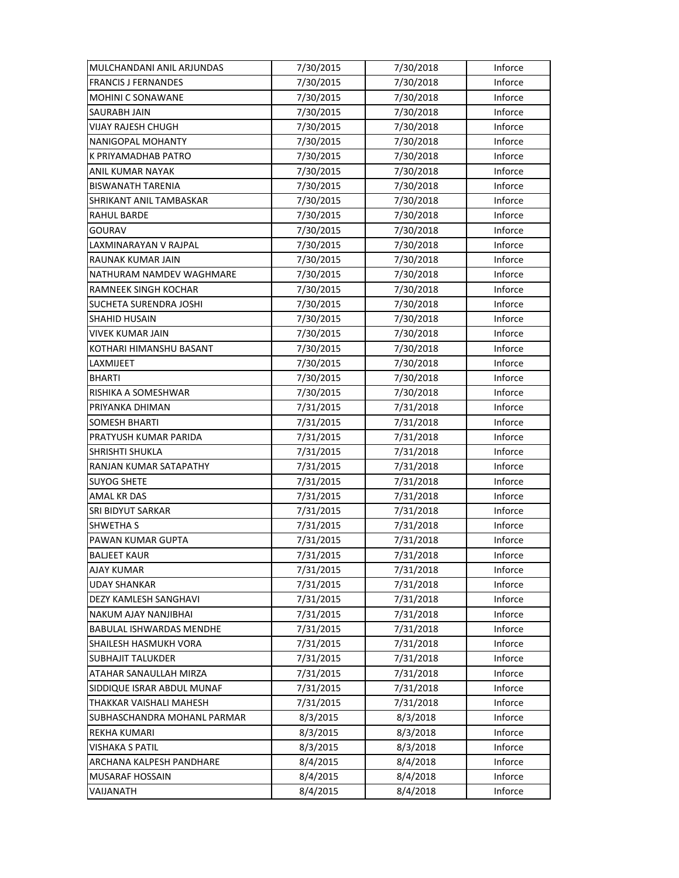| MULCHANDANI ANIL ARJUNDAS      | 7/30/2015 | 7/30/2018 | Inforce |
|--------------------------------|-----------|-----------|---------|
| <b>FRANCIS J FERNANDES</b>     | 7/30/2015 | 7/30/2018 | Inforce |
| MOHINI C SONAWANE              | 7/30/2015 | 7/30/2018 | Inforce |
| SAURABH JAIN                   | 7/30/2015 | 7/30/2018 | Inforce |
| <b>VIJAY RAJESH CHUGH</b>      | 7/30/2015 | 7/30/2018 | Inforce |
| <b>NANIGOPAL MOHANTY</b>       | 7/30/2015 | 7/30/2018 | Inforce |
| K PRIYAMADHAB PATRO            | 7/30/2015 | 7/30/2018 | Inforce |
| ANIL KUMAR NAYAK               | 7/30/2015 | 7/30/2018 | Inforce |
| <b>BISWANATH TARENIA</b>       | 7/30/2015 | 7/30/2018 | Inforce |
| SHRIKANT ANIL TAMBASKAR        | 7/30/2015 | 7/30/2018 | Inforce |
| RAHUL BARDE                    | 7/30/2015 | 7/30/2018 | Inforce |
| GOURAV                         | 7/30/2015 | 7/30/2018 | Inforce |
| LAXMINARAYAN V RAJPAL          | 7/30/2015 | 7/30/2018 | Inforce |
| RAUNAK KUMAR JAIN              | 7/30/2015 | 7/30/2018 | Inforce |
| NATHURAM NAMDEV WAGHMARE       | 7/30/2015 | 7/30/2018 | Inforce |
| <b>RAMNEEK SINGH KOCHAR</b>    | 7/30/2015 | 7/30/2018 | Inforce |
| <b>SUCHETA SURENDRA JOSHI</b>  | 7/30/2015 | 7/30/2018 | Inforce |
| <b>SHAHID HUSAIN</b>           | 7/30/2015 | 7/30/2018 | Inforce |
| VIVEK KUMAR JAIN               | 7/30/2015 | 7/30/2018 | Inforce |
| KOTHARI HIMANSHU BASANT        | 7/30/2015 | 7/30/2018 | Inforce |
| LAXMIJEET                      | 7/30/2015 | 7/30/2018 | Inforce |
| <b>BHARTI</b>                  | 7/30/2015 | 7/30/2018 | Inforce |
| RISHIKA A SOMESHWAR            | 7/30/2015 | 7/30/2018 | Inforce |
| PRIYANKA DHIMAN                | 7/31/2015 | 7/31/2018 | Inforce |
| <b>SOMESH BHARTI</b>           | 7/31/2015 | 7/31/2018 | Inforce |
| PRATYUSH KUMAR PARIDA          | 7/31/2015 | 7/31/2018 | Inforce |
| <b>SHRISHTI SHUKLA</b>         | 7/31/2015 | 7/31/2018 | Inforce |
| RANJAN KUMAR SATAPATHY         | 7/31/2015 | 7/31/2018 | Inforce |
| <b>SUYOG SHETE</b>             | 7/31/2015 | 7/31/2018 | Inforce |
| AMAL KR DAS                    | 7/31/2015 | 7/31/2018 | Inforce |
| <b>SRI BIDYUT SARKAR</b>       | 7/31/2015 | 7/31/2018 | Inforce |
| <b>SHWETHA S</b>               | 7/31/2015 | 7/31/2018 | Inforce |
| PAWAN KUMAR GUPTA              | 7/31/2015 | 7/31/2018 | Inforce |
| <b>BALJEET KAUR</b>            | 7/31/2015 | 7/31/2018 | Inforce |
| AJAY KUMAR                     | 7/31/2015 | 7/31/2018 | Inforce |
| <b>UDAY SHANKAR</b>            | 7/31/2015 | 7/31/2018 | Inforce |
| DEZY KAMLESH SANGHAVI          | 7/31/2015 | 7/31/2018 | Inforce |
| NAKUM AJAY NANJIBHAI           | 7/31/2015 | 7/31/2018 | Inforce |
| BABULAL ISHWARDAS MENDHE       | 7/31/2015 | 7/31/2018 | Inforce |
| SHAILESH HASMUKH VORA          | 7/31/2015 | 7/31/2018 | Inforce |
| <b>SUBHAJIT TALUKDER</b>       | 7/31/2015 | 7/31/2018 | Inforce |
| ATAHAR SANAULLAH MIRZA         | 7/31/2015 | 7/31/2018 | Inforce |
| SIDDIQUE ISRAR ABDUL MUNAF     | 7/31/2015 | 7/31/2018 | Inforce |
| <b>THAKKAR VAISHALI MAHESH</b> | 7/31/2015 | 7/31/2018 | Inforce |
| SUBHASCHANDRA MOHANL PARMAR    | 8/3/2015  | 8/3/2018  | Inforce |
| REKHA KUMARI                   | 8/3/2015  | 8/3/2018  | Inforce |
| <b>VISHAKA S PATIL</b>         | 8/3/2015  | 8/3/2018  | Inforce |
| ARCHANA KALPESH PANDHARE       | 8/4/2015  | 8/4/2018  | Inforce |
| MUSARAF HOSSAIN                | 8/4/2015  | 8/4/2018  | Inforce |
| VAIJANATH                      | 8/4/2015  | 8/4/2018  | Inforce |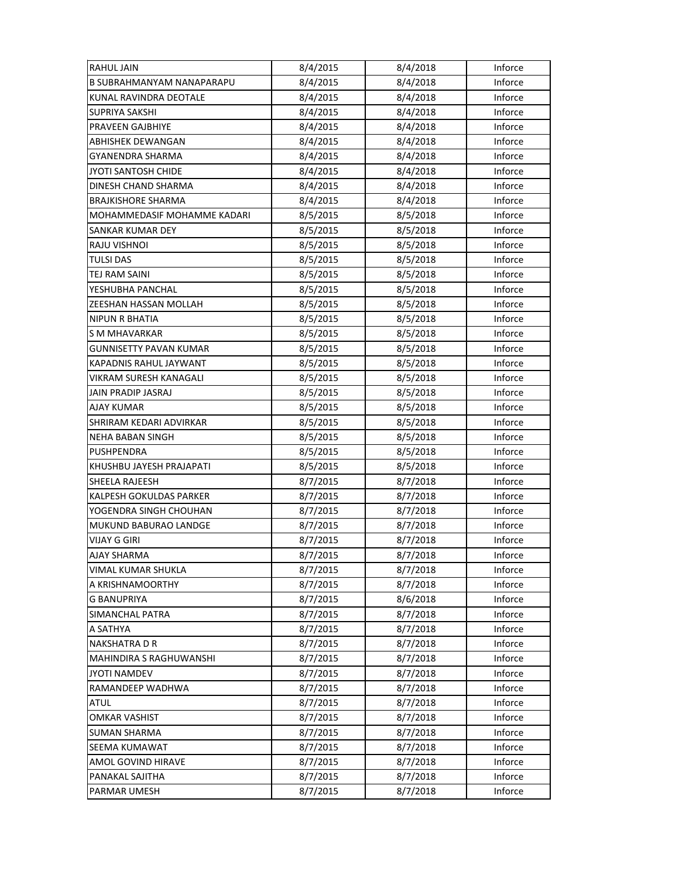| <b>RAHUL JAIN</b>                | 8/4/2015 | 8/4/2018 | Inforce |
|----------------------------------|----------|----------|---------|
| <b>B SUBRAHMANYAM NANAPARAPU</b> | 8/4/2015 | 8/4/2018 | Inforce |
| KUNAL RAVINDRA DEOTALE           | 8/4/2015 | 8/4/2018 | Inforce |
| SUPRIYA SAKSHI                   | 8/4/2015 | 8/4/2018 | Inforce |
| PRAVEEN GAJBHIYE                 | 8/4/2015 | 8/4/2018 | Inforce |
| ABHISHEK DEWANGAN                | 8/4/2015 | 8/4/2018 | Inforce |
| GYANENDRA SHARMA                 | 8/4/2015 | 8/4/2018 | Inforce |
| JYOTI SANTOSH CHIDE              | 8/4/2015 | 8/4/2018 | Inforce |
| DINESH CHAND SHARMA              | 8/4/2015 | 8/4/2018 | Inforce |
| <b>BRAJKISHORE SHARMA</b>        | 8/4/2015 | 8/4/2018 | Inforce |
| MOHAMMEDASIF MOHAMME KADARI      | 8/5/2015 | 8/5/2018 | Inforce |
| SANKAR KUMAR DEY                 | 8/5/2015 | 8/5/2018 | Inforce |
| RAJU VISHNOI                     | 8/5/2015 | 8/5/2018 | Inforce |
| TULSI DAS                        | 8/5/2015 | 8/5/2018 | Inforce |
| TEJ RAM SAINI                    | 8/5/2015 | 8/5/2018 | Inforce |
| YESHUBHA PANCHAL                 | 8/5/2015 | 8/5/2018 | Inforce |
| ZEESHAN HASSAN MOLLAH            | 8/5/2015 | 8/5/2018 | Inforce |
| <b>NIPUN R BHATIA</b>            | 8/5/2015 | 8/5/2018 | Inforce |
| S M MHAVARKAR                    | 8/5/2015 | 8/5/2018 | Inforce |
| <b>GUNNISETTY PAVAN KUMAR</b>    | 8/5/2015 | 8/5/2018 | Inforce |
| KAPADNIS RAHUL JAYWANT           | 8/5/2015 | 8/5/2018 | Inforce |
| VIKRAM SURESH KANAGALI           | 8/5/2015 | 8/5/2018 | Inforce |
| JAIN PRADIP JASRAJ               | 8/5/2015 | 8/5/2018 | Inforce |
| AJAY KUMAR                       | 8/5/2015 | 8/5/2018 | Inforce |
| SHRIRAM KEDARI ADVIRKAR          | 8/5/2015 | 8/5/2018 | Inforce |
| NEHA BABAN SINGH                 | 8/5/2015 | 8/5/2018 | Inforce |
| PUSHPENDRA                       | 8/5/2015 | 8/5/2018 | Inforce |
| KHUSHBU JAYESH PRAJAPATI         | 8/5/2015 | 8/5/2018 | Inforce |
| <b>SHEELA RAJEESH</b>            | 8/7/2015 | 8/7/2018 | Inforce |
| KALPESH GOKULDAS PARKER          | 8/7/2015 | 8/7/2018 | Inforce |
| YOGENDRA SINGH CHOUHAN           | 8/7/2015 | 8/7/2018 | Inforce |
| MUKUND BABURAO LANDGE            | 8/7/2015 | 8/7/2018 | Inforce |
| <b>VIJAY G GIRI</b>              | 8/7/2015 | 8/7/2018 | Inforce |
| <b>AJAY SHARMA</b>               | 8/7/2015 | 8/7/2018 | Inforce |
| VIMAL KUMAR SHUKLA               | 8/7/2015 | 8/7/2018 | Inforce |
| A KRISHNAMOORTHY                 | 8/7/2015 | 8/7/2018 | Inforce |
| <b>G BANUPRIYA</b>               | 8/7/2015 | 8/6/2018 | Inforce |
| <b>SIMANCHAL PATRA</b>           | 8/7/2015 | 8/7/2018 | Inforce |
| A SATHYA                         | 8/7/2015 | 8/7/2018 | Inforce |
| <b>NAKSHATRA D R</b>             | 8/7/2015 | 8/7/2018 | Inforce |
| MAHINDIRA S RAGHUWANSHI          | 8/7/2015 | 8/7/2018 | Inforce |
| <b>JYOTI NAMDEV</b>              | 8/7/2015 | 8/7/2018 | Inforce |
| RAMANDEEP WADHWA                 | 8/7/2015 | 8/7/2018 | Inforce |
| <b>ATUL</b>                      | 8/7/2015 | 8/7/2018 | Inforce |
| <b>OMKAR VASHIST</b>             | 8/7/2015 | 8/7/2018 | Inforce |
| <b>SUMAN SHARMA</b>              | 8/7/2015 | 8/7/2018 | Inforce |
| SEEMA KUMAWAT                    | 8/7/2015 | 8/7/2018 | Inforce |
| AMOL GOVIND HIRAVE               | 8/7/2015 | 8/7/2018 | Inforce |
| PANAKAL SAJITHA                  | 8/7/2015 | 8/7/2018 | Inforce |
| PARMAR UMESH                     | 8/7/2015 | 8/7/2018 | Inforce |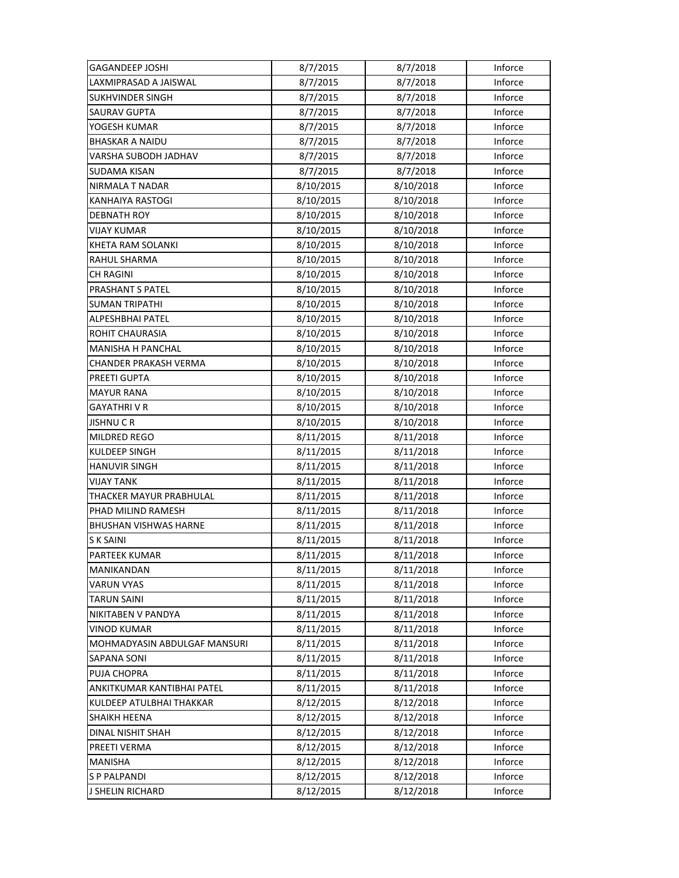| <b>GAGANDEEP JOSHI</b>       | 8/7/2015  | 8/7/2018  | Inforce |
|------------------------------|-----------|-----------|---------|
| LAXMIPRASAD A JAISWAL        | 8/7/2015  | 8/7/2018  | Inforce |
| <b>SUKHVINDER SINGH</b>      | 8/7/2015  | 8/7/2018  | Inforce |
| <b>SAURAV GUPTA</b>          | 8/7/2015  | 8/7/2018  | Inforce |
| YOGESH KUMAR                 | 8/7/2015  | 8/7/2018  | Inforce |
| <b>BHASKAR A NAIDU</b>       | 8/7/2015  | 8/7/2018  | Inforce |
| VARSHA SUBODH JADHAV         | 8/7/2015  | 8/7/2018  | Inforce |
| <b>SUDAMA KISAN</b>          | 8/7/2015  | 8/7/2018  | Inforce |
| <b>NIRMALA T NADAR</b>       | 8/10/2015 | 8/10/2018 | Inforce |
| <b>KANHAIYA RASTOGI</b>      | 8/10/2015 | 8/10/2018 | Inforce |
| <b>DEBNATH ROY</b>           | 8/10/2015 | 8/10/2018 | Inforce |
| <b>VIJAY KUMAR</b>           | 8/10/2015 | 8/10/2018 | Inforce |
| KHETA RAM SOLANKI            | 8/10/2015 | 8/10/2018 | Inforce |
| RAHUL SHARMA                 | 8/10/2015 | 8/10/2018 | Inforce |
| CH RAGINI                    | 8/10/2015 | 8/10/2018 | Inforce |
| PRASHANT S PATEL             | 8/10/2015 | 8/10/2018 | Inforce |
| <b>SUMAN TRIPATHI</b>        | 8/10/2015 | 8/10/2018 | Inforce |
| ALPESHBHAI PATEL             | 8/10/2015 | 8/10/2018 | Inforce |
| ROHIT CHAURASIA              | 8/10/2015 | 8/10/2018 | Inforce |
| MANISHA H PANCHAL            | 8/10/2015 | 8/10/2018 | Inforce |
| CHANDER PRAKASH VERMA        | 8/10/2015 | 8/10/2018 | Inforce |
| PREETI GUPTA                 | 8/10/2015 | 8/10/2018 | Inforce |
| <b>MAYUR RANA</b>            | 8/10/2015 | 8/10/2018 | Inforce |
| GAYATHRI V R                 | 8/10/2015 | 8/10/2018 | Inforce |
| <b>JISHNUCR</b>              | 8/10/2015 | 8/10/2018 | Inforce |
| <b>MILDRED REGO</b>          | 8/11/2015 | 8/11/2018 | Inforce |
| <b>KULDEEP SINGH</b>         | 8/11/2015 | 8/11/2018 | Inforce |
| <b>HANUVIR SINGH</b>         | 8/11/2015 | 8/11/2018 | Inforce |
| <b>VIJAY TANK</b>            | 8/11/2015 | 8/11/2018 | Inforce |
| THACKER MAYUR PRABHULAL      | 8/11/2015 | 8/11/2018 | Inforce |
| PHAD MILIND RAMESH           | 8/11/2015 | 8/11/2018 | Inforce |
| <b>BHUSHAN VISHWAS HARNE</b> | 8/11/2015 | 8/11/2018 | Inforce |
| <b>SK SAINI</b>              | 8/11/2015 | 8/11/2018 | Inforce |
| PARTEEK KUMAR                | 8/11/2015 | 8/11/2018 | Inforce |
| MANIKANDAN                   | 8/11/2015 | 8/11/2018 | Inforce |
| <b>VARUN VYAS</b>            | 8/11/2015 | 8/11/2018 | Inforce |
| <b>TARUN SAINI</b>           | 8/11/2015 | 8/11/2018 | Inforce |
| NIKITABEN V PANDYA           | 8/11/2015 | 8/11/2018 | Inforce |
| <b>VINOD KUMAR</b>           | 8/11/2015 | 8/11/2018 | Inforce |
| MOHMADYASIN ABDULGAF MANSURI | 8/11/2015 | 8/11/2018 | Inforce |
| SAPANA SONI                  | 8/11/2015 | 8/11/2018 | Inforce |
| PUJA CHOPRA                  | 8/11/2015 | 8/11/2018 | Inforce |
| ANKITKUMAR KANTIBHAI PATEL   | 8/11/2015 | 8/11/2018 | Inforce |
| KULDEEP ATULBHAI THAKKAR     | 8/12/2015 | 8/12/2018 | Inforce |
| <b>SHAIKH HEENA</b>          | 8/12/2015 | 8/12/2018 | Inforce |
| DINAL NISHIT SHAH            | 8/12/2015 | 8/12/2018 | Inforce |
| PREETI VERMA                 | 8/12/2015 | 8/12/2018 | Inforce |
| <b>MANISHA</b>               | 8/12/2015 | 8/12/2018 | Inforce |
| <b>SP PALPANDI</b>           | 8/12/2015 | 8/12/2018 | Inforce |
| J SHELIN RICHARD             | 8/12/2015 | 8/12/2018 | Inforce |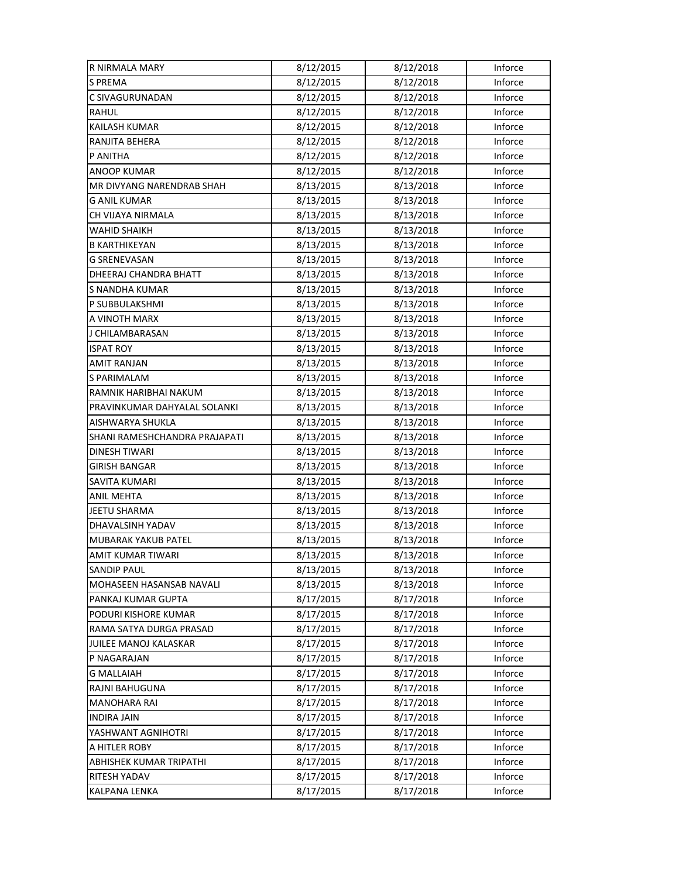| R NIRMALA MARY                | 8/12/2015 | 8/12/2018 | Inforce |
|-------------------------------|-----------|-----------|---------|
| <b>S PREMA</b>                | 8/12/2015 | 8/12/2018 | Inforce |
| C SIVAGURUNADAN               | 8/12/2015 | 8/12/2018 | Inforce |
| RAHUL                         | 8/12/2015 | 8/12/2018 | Inforce |
| KAILASH KUMAR                 | 8/12/2015 | 8/12/2018 | Inforce |
| RANJITA BEHERA                | 8/12/2015 | 8/12/2018 | Inforce |
| P ANITHA                      | 8/12/2015 | 8/12/2018 | Inforce |
| <b>ANOOP KUMAR</b>            | 8/12/2015 | 8/12/2018 | Inforce |
| MR DIVYANG NARENDRAB SHAH     | 8/13/2015 | 8/13/2018 | Inforce |
| <b>G ANIL KUMAR</b>           | 8/13/2015 | 8/13/2018 | Inforce |
| CH VIJAYA NIRMALA             | 8/13/2015 | 8/13/2018 | Inforce |
| WAHID SHAIKH                  | 8/13/2015 | 8/13/2018 | Inforce |
| <b>B KARTHIKEYAN</b>          | 8/13/2015 | 8/13/2018 | Inforce |
| G SRENEVASAN                  | 8/13/2015 | 8/13/2018 | Inforce |
| DHEERAJ CHANDRA BHATT         | 8/13/2015 | 8/13/2018 | Inforce |
| S NANDHA KUMAR                | 8/13/2015 | 8/13/2018 | Inforce |
| P SUBBULAKSHMI                | 8/13/2015 | 8/13/2018 | Inforce |
| A VINOTH MARX                 | 8/13/2015 | 8/13/2018 | Inforce |
| J CHILAMBARASAN               | 8/13/2015 | 8/13/2018 | Inforce |
| <b>ISPAT ROY</b>              | 8/13/2015 | 8/13/2018 | Inforce |
| AMIT RANJAN                   | 8/13/2015 | 8/13/2018 | Inforce |
| S PARIMALAM                   | 8/13/2015 | 8/13/2018 | Inforce |
| RAMNIK HARIBHAI NAKUM         | 8/13/2015 | 8/13/2018 | Inforce |
| PRAVINKUMAR DAHYALAL SOLANKI  | 8/13/2015 | 8/13/2018 | Inforce |
| AISHWARYA SHUKLA              | 8/13/2015 | 8/13/2018 | Inforce |
| SHANI RAMESHCHANDRA PRAJAPATI | 8/13/2015 | 8/13/2018 | Inforce |
| <b>DINESH TIWARI</b>          | 8/13/2015 | 8/13/2018 | Inforce |
| GIRISH BANGAR                 | 8/13/2015 | 8/13/2018 | Inforce |
| SAVITA KUMARI                 | 8/13/2015 | 8/13/2018 | Inforce |
| <b>ANIL MEHTA</b>             | 8/13/2015 | 8/13/2018 | Inforce |
| <b>JEETU SHARMA</b>           | 8/13/2015 | 8/13/2018 | Inforce |
| DHAVALSINH YADAV              | 8/13/2015 | 8/13/2018 | Inforce |
| MUBARAK YAKUB PATEL           | 8/13/2015 | 8/13/2018 | Inforce |
| AMIT KUMAR TIWARI             | 8/13/2015 | 8/13/2018 | Inforce |
| SANDIP PAUL                   | 8/13/2015 | 8/13/2018 | Inforce |
| MOHASEEN HASANSAB NAVALI      | 8/13/2015 | 8/13/2018 | Inforce |
| PANKAJ KUMAR GUPTA            | 8/17/2015 | 8/17/2018 | Inforce |
| PODURI KISHORE KUMAR          | 8/17/2015 | 8/17/2018 | Inforce |
| RAMA SATYA DURGA PRASAD       | 8/17/2015 | 8/17/2018 | Inforce |
| JUILEE MANOJ KALASKAR         | 8/17/2015 | 8/17/2018 | Inforce |
| P NAGARAJAN                   | 8/17/2015 | 8/17/2018 | Inforce |
| <b>G MALLAIAH</b>             | 8/17/2015 | 8/17/2018 | Inforce |
| RAJNI BAHUGUNA                | 8/17/2015 | 8/17/2018 | Inforce |
| <b>MANOHARA RAI</b>           | 8/17/2015 | 8/17/2018 | Inforce |
| <b>INDIRA JAIN</b>            | 8/17/2015 | 8/17/2018 | Inforce |
| YASHWANT AGNIHOTRI            | 8/17/2015 | 8/17/2018 | Inforce |
| A HITLER ROBY                 | 8/17/2015 | 8/17/2018 | Inforce |
| ABHISHEK KUMAR TRIPATHI       | 8/17/2015 | 8/17/2018 | Inforce |
| RITESH YADAV                  | 8/17/2015 | 8/17/2018 | Inforce |
| KALPANA LENKA                 | 8/17/2015 | 8/17/2018 | Inforce |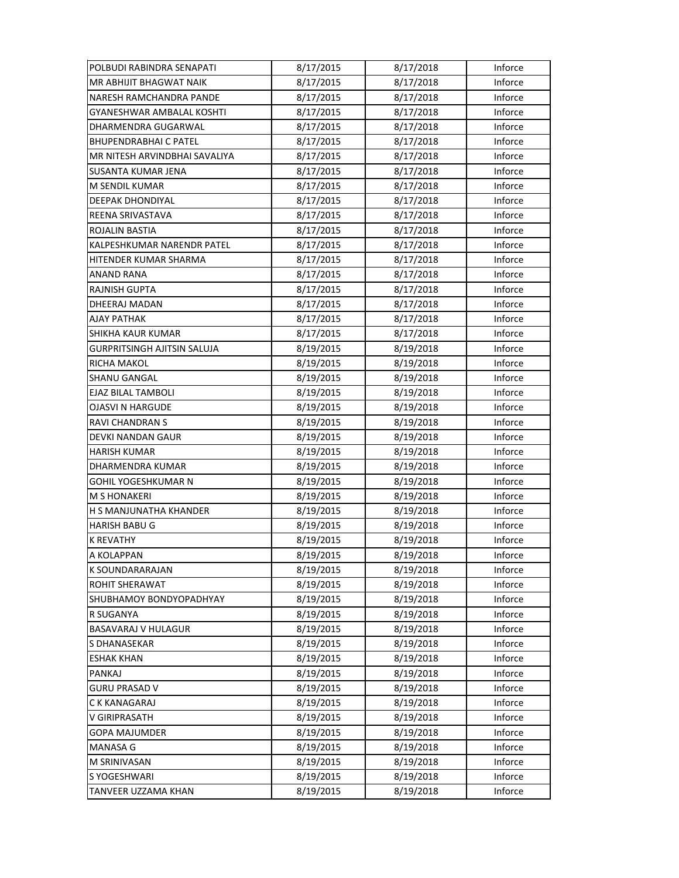| POLBUDI RABINDRA SENAPATI          | 8/17/2015 | 8/17/2018 | Inforce |
|------------------------------------|-----------|-----------|---------|
| <b>MR ABHIJIT BHAGWAT NAIK</b>     | 8/17/2015 | 8/17/2018 | Inforce |
| NARESH RAMCHANDRA PANDE            | 8/17/2015 | 8/17/2018 | Inforce |
| GYANESHWAR AMBALAL KOSHTI          | 8/17/2015 | 8/17/2018 | Inforce |
| DHARMENDRA GUGARWAL                | 8/17/2015 | 8/17/2018 | Inforce |
| <b>BHUPENDRABHAI C PATEL</b>       | 8/17/2015 | 8/17/2018 | Inforce |
| MR NITESH ARVINDBHAI SAVALIYA      | 8/17/2015 | 8/17/2018 | Inforce |
| SUSANTA KUMAR JENA                 | 8/17/2015 | 8/17/2018 | Inforce |
| M SENDIL KUMAR                     | 8/17/2015 | 8/17/2018 | Inforce |
| <b>DEEPAK DHONDIYAL</b>            | 8/17/2015 | 8/17/2018 | Inforce |
| REENA SRIVASTAVA                   | 8/17/2015 | 8/17/2018 | Inforce |
| ROJALIN BASTIA                     | 8/17/2015 | 8/17/2018 | Inforce |
| KALPESHKUMAR NARENDR PATEL         | 8/17/2015 | 8/17/2018 | Inforce |
| HITENDER KUMAR SHARMA              | 8/17/2015 | 8/17/2018 | Inforce |
| ANAND RANA                         | 8/17/2015 | 8/17/2018 | Inforce |
| <b>RAJNISH GUPTA</b>               | 8/17/2015 | 8/17/2018 | Inforce |
| DHEERAJ MADAN                      | 8/17/2015 | 8/17/2018 | Inforce |
| AJAY PATHAK                        | 8/17/2015 | 8/17/2018 | Inforce |
| SHIKHA KAUR KUMAR                  | 8/17/2015 | 8/17/2018 | Inforce |
| <b>GURPRITSINGH AJITSIN SALUJA</b> | 8/19/2015 | 8/19/2018 | Inforce |
| RICHA MAKOL                        | 8/19/2015 | 8/19/2018 | Inforce |
| <b>SHANU GANGAL</b>                | 8/19/2015 | 8/19/2018 | Inforce |
| EJAZ BILAL TAMBOLI                 | 8/19/2015 | 8/19/2018 | Inforce |
| <b>OJASVI N HARGUDE</b>            | 8/19/2015 | 8/19/2018 | Inforce |
| RAVI CHANDRAN S                    | 8/19/2015 | 8/19/2018 | Inforce |
| DEVKI NANDAN GAUR                  | 8/19/2015 | 8/19/2018 | Inforce |
| <b>HARISH KUMAR</b>                | 8/19/2015 | 8/19/2018 | Inforce |
| DHARMENDRA KUMAR                   | 8/19/2015 | 8/19/2018 | Inforce |
| GOHIL YOGESHKUMAR N                | 8/19/2015 | 8/19/2018 | Inforce |
| <b>M S HONAKERI</b>                | 8/19/2015 | 8/19/2018 | Inforce |
| H S MANJUNATHA KHANDER             | 8/19/2015 | 8/19/2018 | Inforce |
| <b>HARISH BABU G</b>               | 8/19/2015 | 8/19/2018 | Inforce |
| <b>K REVATHY</b>                   | 8/19/2015 | 8/19/2018 | Inforce |
| A KOLAPPAN                         | 8/19/2015 | 8/19/2018 | Inforce |
| <b>K SOUNDARARAJAN</b>             | 8/19/2015 | 8/19/2018 | Inforce |
| ROHIT SHERAWAT                     | 8/19/2015 | 8/19/2018 | Inforce |
| SHUBHAMOY BONDYOPADHYAY            | 8/19/2015 | 8/19/2018 | Inforce |
| R SUGANYA                          | 8/19/2015 | 8/19/2018 | Inforce |
| <b>BASAVARAJ V HULAGUR</b>         | 8/19/2015 | 8/19/2018 | Inforce |
| S DHANASEKAR                       | 8/19/2015 | 8/19/2018 | Inforce |
| <b>ESHAK KHAN</b>                  | 8/19/2015 | 8/19/2018 | Inforce |
| PANKAJ                             | 8/19/2015 | 8/19/2018 | Inforce |
| <b>GURU PRASAD V</b>               | 8/19/2015 | 8/19/2018 | Inforce |
| C K KANAGARAJ                      | 8/19/2015 | 8/19/2018 | Inforce |
| V GIRIPRASATH                      | 8/19/2015 | 8/19/2018 | Inforce |
| <b>GOPA MAJUMDER</b>               | 8/19/2015 | 8/19/2018 | Inforce |
| <b>MANASA G</b>                    | 8/19/2015 | 8/19/2018 | Inforce |
| M SRINIVASAN                       | 8/19/2015 | 8/19/2018 | Inforce |
| S YOGESHWARI                       | 8/19/2015 | 8/19/2018 | Inforce |
| TANVEER UZZAMA KHAN                | 8/19/2015 | 8/19/2018 | Inforce |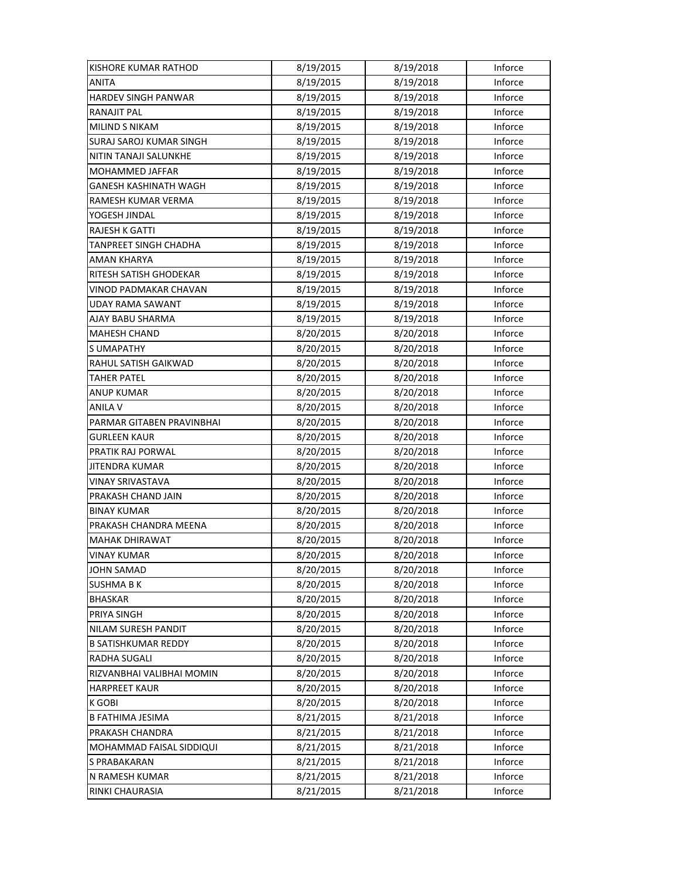| <b>KISHORE KUMAR RATHOD</b>    | 8/19/2015 | 8/19/2018 | Inforce |
|--------------------------------|-----------|-----------|---------|
| <b>ANITA</b>                   | 8/19/2015 | 8/19/2018 | Inforce |
| HARDEV SINGH PANWAR            | 8/19/2015 | 8/19/2018 | Inforce |
| RANAJIT PAL                    | 8/19/2015 | 8/19/2018 | Inforce |
| MILIND S NIKAM                 | 8/19/2015 | 8/19/2018 | Inforce |
| <b>SURAJ SAROJ KUMAR SINGH</b> | 8/19/2015 | 8/19/2018 | Inforce |
| NITIN TANAJI SALUNKHE          | 8/19/2015 | 8/19/2018 | Inforce |
| MOHAMMED JAFFAR                | 8/19/2015 | 8/19/2018 | Inforce |
| GANESH KASHINATH WAGH          | 8/19/2015 | 8/19/2018 | Inforce |
| RAMESH KUMAR VERMA             | 8/19/2015 | 8/19/2018 | Inforce |
| YOGESH JINDAL                  | 8/19/2015 | 8/19/2018 | Inforce |
| RAJESH K GATTI                 | 8/19/2015 | 8/19/2018 | Inforce |
| TANPREET SINGH CHADHA          | 8/19/2015 | 8/19/2018 | Inforce |
| AMAN KHARYA                    | 8/19/2015 | 8/19/2018 | Inforce |
| RITESH SATISH GHODEKAR         | 8/19/2015 | 8/19/2018 | Inforce |
| VINOD PADMAKAR CHAVAN          | 8/19/2015 | 8/19/2018 | Inforce |
| <b>UDAY RAMA SAWANT</b>        | 8/19/2015 | 8/19/2018 | Inforce |
| AJAY BABU SHARMA               | 8/19/2015 | 8/19/2018 | Inforce |
| <b>MAHESH CHAND</b>            | 8/20/2015 | 8/20/2018 | Inforce |
| <b>SUMAPATHY</b>               | 8/20/2015 | 8/20/2018 | Inforce |
| RAHUL SATISH GAIKWAD           | 8/20/2015 | 8/20/2018 | Inforce |
| <b>TAHER PATEL</b>             | 8/20/2015 | 8/20/2018 | Inforce |
| ANUP KUMAR                     | 8/20/2015 | 8/20/2018 | Inforce |
| <b>ANILA V</b>                 | 8/20/2015 | 8/20/2018 | Inforce |
| PARMAR GITABEN PRAVINBHAI      | 8/20/2015 | 8/20/2018 | Inforce |
| <b>GURLEEN KAUR</b>            | 8/20/2015 | 8/20/2018 | Inforce |
| PRATIK RAJ PORWAL              | 8/20/2015 | 8/20/2018 | Inforce |
| JITENDRA KUMAR                 | 8/20/2015 | 8/20/2018 | Inforce |
| VINAY SRIVASTAVA               | 8/20/2015 | 8/20/2018 | Inforce |
| PRAKASH CHAND JAIN             | 8/20/2015 | 8/20/2018 | Inforce |
| <b>BINAY KUMAR</b>             | 8/20/2015 | 8/20/2018 | Inforce |
| PRAKASH CHANDRA MEENA          | 8/20/2015 | 8/20/2018 | Inforce |
| <b>MAHAK DHIRAWAT</b>          | 8/20/2015 | 8/20/2018 | Inforce |
| <b>VINAY KUMAR</b>             | 8/20/2015 | 8/20/2018 | Inforce |
| <b>JOHN SAMAD</b>              | 8/20/2015 | 8/20/2018 | Inforce |
| <b>SUSHMA B K</b>              | 8/20/2015 | 8/20/2018 | Inforce |
| <b>BHASKAR</b>                 | 8/20/2015 | 8/20/2018 | Inforce |
| <b>PRIYA SINGH</b>             | 8/20/2015 | 8/20/2018 | Inforce |
| NILAM SURESH PANDIT            | 8/20/2015 | 8/20/2018 | Inforce |
| <b>B SATISHKUMAR REDDY</b>     | 8/20/2015 | 8/20/2018 | Inforce |
| RADHA SUGALI                   | 8/20/2015 | 8/20/2018 | Inforce |
| RIZVANBHAI VALIBHAI MOMIN      | 8/20/2015 | 8/20/2018 | Inforce |
| <b>HARPREET KAUR</b>           | 8/20/2015 | 8/20/2018 | Inforce |
| K GOBI                         | 8/20/2015 | 8/20/2018 | Inforce |
| <b>B FATHIMA JESIMA</b>        | 8/21/2015 | 8/21/2018 | Inforce |
| PRAKASH CHANDRA                | 8/21/2015 | 8/21/2018 | Inforce |
| MOHAMMAD FAISAL SIDDIQUI       | 8/21/2015 | 8/21/2018 | Inforce |
| S PRABAKARAN                   | 8/21/2015 | 8/21/2018 | Inforce |
| N RAMESH KUMAR                 | 8/21/2015 | 8/21/2018 | Inforce |
| RINKI CHAURASIA                | 8/21/2015 | 8/21/2018 | Inforce |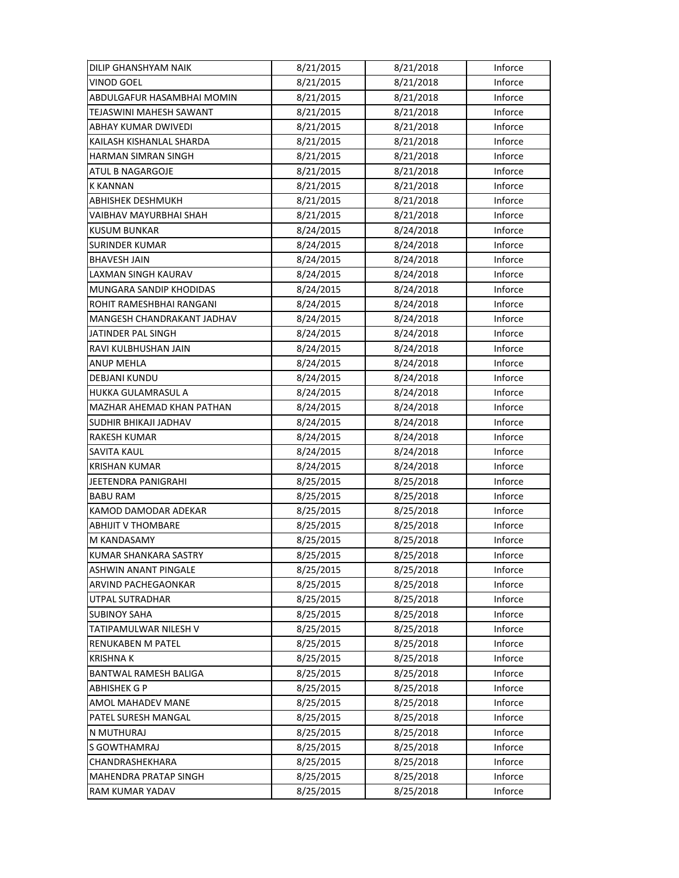| DILIP GHANSHYAM NAIK        | 8/21/2015 | 8/21/2018 | Inforce |
|-----------------------------|-----------|-----------|---------|
| <b>VINOD GOEL</b>           | 8/21/2015 | 8/21/2018 | Inforce |
| ABDULGAFUR HASAMBHAI MOMIN  | 8/21/2015 | 8/21/2018 | Inforce |
| TEJASWINI MAHESH SAWANT     | 8/21/2015 | 8/21/2018 | Inforce |
| ABHAY KUMAR DWIVEDI         | 8/21/2015 | 8/21/2018 | Inforce |
| KAILASH KISHANLAL SHARDA    | 8/21/2015 | 8/21/2018 | Inforce |
| HARMAN SIMRAN SINGH         | 8/21/2015 | 8/21/2018 | Inforce |
| ATUL B NAGARGOJE            | 8/21/2015 | 8/21/2018 | Inforce |
| <b>K KANNAN</b>             | 8/21/2015 | 8/21/2018 | Inforce |
| <b>ABHISHEK DESHMUKH</b>    | 8/21/2015 | 8/21/2018 | Inforce |
| VAIBHAV MAYURBHAI SHAH      | 8/21/2015 | 8/21/2018 | Inforce |
| <b>KUSUM BUNKAR</b>         | 8/24/2015 | 8/24/2018 | Inforce |
| <b>SURINDER KUMAR</b>       | 8/24/2015 | 8/24/2018 | Inforce |
| <b>BHAVESH JAIN</b>         | 8/24/2015 | 8/24/2018 | Inforce |
| LAXMAN SINGH KAURAV         | 8/24/2015 | 8/24/2018 | Inforce |
| MUNGARA SANDIP KHODIDAS     | 8/24/2015 | 8/24/2018 | Inforce |
| ROHIT RAMESHBHAI RANGANI    | 8/24/2015 | 8/24/2018 | Inforce |
| MANGESH CHANDRAKANT JADHAV  | 8/24/2015 | 8/24/2018 | Inforce |
| JATINDER PAL SINGH          | 8/24/2015 | 8/24/2018 | Inforce |
| RAVI KULBHUSHAN JAIN        | 8/24/2015 | 8/24/2018 | Inforce |
| <b>ANUP MEHLA</b>           | 8/24/2015 | 8/24/2018 | Inforce |
| DEBJANI KUNDU               | 8/24/2015 | 8/24/2018 | Inforce |
| HUKKA GULAMRASUL A          | 8/24/2015 | 8/24/2018 | Inforce |
| MAZHAR AHEMAD KHAN PATHAN   | 8/24/2015 | 8/24/2018 | Inforce |
| SUDHIR BHIKAJI JADHAV       | 8/24/2015 | 8/24/2018 | Inforce |
| <b>RAKESH KUMAR</b>         | 8/24/2015 | 8/24/2018 | Inforce |
| <b>SAVITA KAUL</b>          | 8/24/2015 | 8/24/2018 | Inforce |
| <b>KRISHAN KUMAR</b>        | 8/24/2015 | 8/24/2018 | Inforce |
| JEETENDRA PANIGRAHI         | 8/25/2015 | 8/25/2018 | Inforce |
| <b>BABU RAM</b>             | 8/25/2015 | 8/25/2018 | Inforce |
| KAMOD DAMODAR ADEKAR        | 8/25/2015 | 8/25/2018 | Inforce |
| <b>ABHIJIT V THOMBARE</b>   | 8/25/2015 | 8/25/2018 | Inforce |
| M KANDASAMY                 | 8/25/2015 | 8/25/2018 | Inforce |
| KUMAR SHANKARA SASTRY       | 8/25/2015 | 8/25/2018 | Inforce |
| <b>ASHWIN ANANT PINGALE</b> | 8/25/2015 | 8/25/2018 | Inforce |
| ARVIND PACHEGAONKAR         | 8/25/2015 | 8/25/2018 | Inforce |
| UTPAL SUTRADHAR             | 8/25/2015 | 8/25/2018 | Inforce |
| <b>SUBINOY SAHA</b>         | 8/25/2015 | 8/25/2018 | Inforce |
| TATIPAMULWAR NILESH V       | 8/25/2015 | 8/25/2018 | Inforce |
| <b>RENUKABEN M PATEL</b>    | 8/25/2015 | 8/25/2018 | Inforce |
| <b>KRISHNAK</b>             | 8/25/2015 | 8/25/2018 | Inforce |
| BANTWAL RAMESH BALIGA       | 8/25/2015 | 8/25/2018 | Inforce |
| ABHISHEK G P                | 8/25/2015 | 8/25/2018 | Inforce |
| AMOL MAHADEV MANE           | 8/25/2015 | 8/25/2018 | Inforce |
| PATEL SURESH MANGAL         | 8/25/2015 | 8/25/2018 | Inforce |
| N MUTHURAJ                  | 8/25/2015 | 8/25/2018 | Inforce |
| S GOWTHAMRAJ                | 8/25/2015 | 8/25/2018 | Inforce |
| CHANDRASHEKHARA             | 8/25/2015 | 8/25/2018 | Inforce |
| MAHENDRA PRATAP SINGH       | 8/25/2015 | 8/25/2018 | Inforce |
| RAM KUMAR YADAV             | 8/25/2015 | 8/25/2018 | Inforce |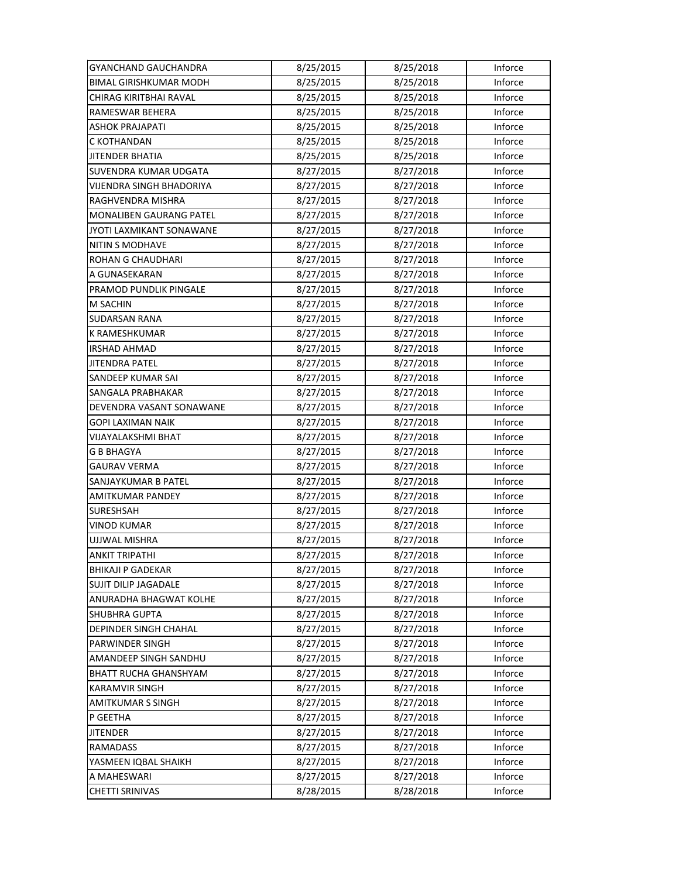| GYANCHAND GAUCHANDRA           | 8/25/2015 | 8/25/2018 | Inforce |
|--------------------------------|-----------|-----------|---------|
| <b>BIMAL GIRISHKUMAR MODH</b>  | 8/25/2015 | 8/25/2018 | Inforce |
| CHIRAG KIRITBHAI RAVAL         | 8/25/2015 | 8/25/2018 | Inforce |
| RAMESWAR BEHERA                | 8/25/2015 | 8/25/2018 | Inforce |
| ASHOK PRAJAPATI                | 8/25/2015 | 8/25/2018 | Inforce |
| C KOTHANDAN                    | 8/25/2015 | 8/25/2018 | Inforce |
| <b>JITENDER BHATIA</b>         | 8/25/2015 | 8/25/2018 | Inforce |
| SUVENDRA KUMAR UDGATA          | 8/27/2015 | 8/27/2018 | Inforce |
| VIJENDRA SINGH BHADORIYA       | 8/27/2015 | 8/27/2018 | Inforce |
| RAGHVENDRA MISHRA              | 8/27/2015 | 8/27/2018 | Inforce |
| <b>MONALIBEN GAURANG PATEL</b> | 8/27/2015 | 8/27/2018 | Inforce |
| JYOTI LAXMIKANT SONAWANE       | 8/27/2015 | 8/27/2018 | Inforce |
| NITIN S MODHAVE                | 8/27/2015 | 8/27/2018 | Inforce |
| ROHAN G CHAUDHARI              | 8/27/2015 | 8/27/2018 | Inforce |
| A GUNASEKARAN                  | 8/27/2015 | 8/27/2018 | Inforce |
| PRAMOD PUNDLIK PINGALE         | 8/27/2015 | 8/27/2018 | Inforce |
| <b>M SACHIN</b>                | 8/27/2015 | 8/27/2018 | Inforce |
| <b>SUDARSAN RANA</b>           | 8/27/2015 | 8/27/2018 | Inforce |
| K RAMESHKUMAR                  | 8/27/2015 | 8/27/2018 | Inforce |
| <b>IRSHAD AHMAD</b>            | 8/27/2015 | 8/27/2018 | Inforce |
| JITENDRA PATEL                 | 8/27/2015 | 8/27/2018 | Inforce |
| SANDEEP KUMAR SAI              | 8/27/2015 | 8/27/2018 | Inforce |
| SANGALA PRABHAKAR              | 8/27/2015 | 8/27/2018 | Inforce |
| DEVENDRA VASANT SONAWANE       | 8/27/2015 | 8/27/2018 | Inforce |
| <b>GOPI LAXIMAN NAIK</b>       | 8/27/2015 | 8/27/2018 | Inforce |
| VIJAYALAKSHMI BHAT             | 8/27/2015 | 8/27/2018 | Inforce |
| G B BHAGYA                     | 8/27/2015 | 8/27/2018 | Inforce |
| GAURAV VERMA                   | 8/27/2015 | 8/27/2018 | Inforce |
| SANJAYKUMAR B PATEL            | 8/27/2015 | 8/27/2018 | Inforce |
| AMITKUMAR PANDEY               | 8/27/2015 | 8/27/2018 | Inforce |
| SURESHSAH                      | 8/27/2015 | 8/27/2018 | Inforce |
| <b>VINOD KUMAR</b>             | 8/27/2015 | 8/27/2018 | Inforce |
| UJJWAL MISHRA                  | 8/27/2015 | 8/27/2018 | Inforce |
| <b>ANKIT TRIPATHI</b>          | 8/27/2015 | 8/27/2018 | Inforce |
| <b>BHIKAJI P GADEKAR</b>       | 8/27/2015 | 8/27/2018 | Inforce |
| SUJIT DILIP JAGADALE           | 8/27/2015 | 8/27/2018 | Inforce |
| ANURADHA BHAGWAT KOLHE         | 8/27/2015 | 8/27/2018 | Inforce |
| <b>SHUBHRA GUPTA</b>           | 8/27/2015 | 8/27/2018 | Inforce |
| DEPINDER SINGH CHAHAL          | 8/27/2015 | 8/27/2018 | Inforce |
| PARWINDER SINGH                | 8/27/2015 | 8/27/2018 | Inforce |
| AMANDEEP SINGH SANDHU          | 8/27/2015 | 8/27/2018 | Inforce |
| BHATT RUCHA GHANSHYAM          | 8/27/2015 | 8/27/2018 | Inforce |
| <b>KARAMVIR SINGH</b>          | 8/27/2015 | 8/27/2018 | Inforce |
| <b>AMITKUMAR S SINGH</b>       | 8/27/2015 | 8/27/2018 | Inforce |
| P GEETHA                       | 8/27/2015 | 8/27/2018 | Inforce |
| <b>JITENDER</b>                | 8/27/2015 | 8/27/2018 | Inforce |
| <b>RAMADASS</b>                | 8/27/2015 | 8/27/2018 | Inforce |
| YASMEEN IQBAL SHAIKH           | 8/27/2015 | 8/27/2018 | Inforce |
| A MAHESWARI                    | 8/27/2015 | 8/27/2018 | Inforce |
| <b>CHETTI SRINIVAS</b>         | 8/28/2015 | 8/28/2018 | Inforce |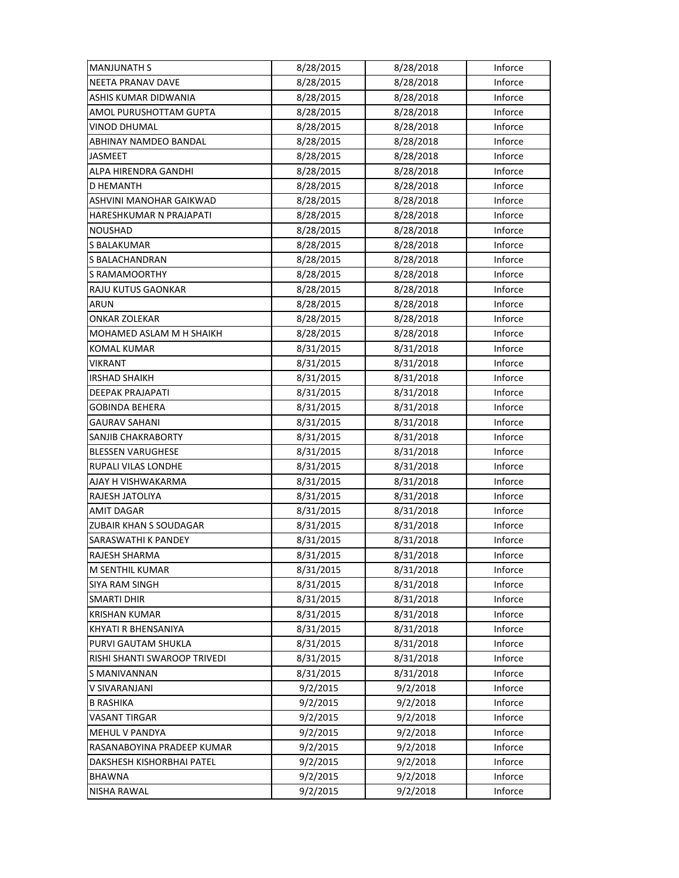| <b>MANJUNATH S</b>           | 8/28/2015 | 8/28/2018 | Inforce |
|------------------------------|-----------|-----------|---------|
| NEETA PRANAV DAVE            | 8/28/2015 | 8/28/2018 | Inforce |
| ASHIS KUMAR DIDWANIA         | 8/28/2015 | 8/28/2018 | Inforce |
| AMOL PURUSHOTTAM GUPTA       | 8/28/2015 | 8/28/2018 | Inforce |
| <b>VINOD DHUMAL</b>          | 8/28/2015 | 8/28/2018 | Inforce |
| ABHINAY NAMDEO BANDAL        | 8/28/2015 | 8/28/2018 | Inforce |
| <b>JASMEET</b>               | 8/28/2015 | 8/28/2018 | Inforce |
| ALPA HIRENDRA GANDHI         | 8/28/2015 | 8/28/2018 | Inforce |
| D HEMANTH                    | 8/28/2015 | 8/28/2018 | Inforce |
| ASHVINI MANOHAR GAIKWAD      | 8/28/2015 | 8/28/2018 | Inforce |
| HARESHKUMAR N PRAJAPATI      | 8/28/2015 | 8/28/2018 | Inforce |
| <b>NOUSHAD</b>               | 8/28/2015 | 8/28/2018 | Inforce |
| S BALAKUMAR                  | 8/28/2015 | 8/28/2018 | Inforce |
| S BALACHANDRAN               | 8/28/2015 | 8/28/2018 | Inforce |
| <b>S RAMAMOORTHY</b>         | 8/28/2015 | 8/28/2018 | Inforce |
| RAJU KUTUS GAONKAR           | 8/28/2015 | 8/28/2018 | Inforce |
| ARUN                         | 8/28/2015 | 8/28/2018 | Inforce |
| ONKAR ZOLEKAR                | 8/28/2015 | 8/28/2018 | Inforce |
| MOHAMED ASLAM M H SHAIKH     | 8/28/2015 | 8/28/2018 | Inforce |
| <b>KOMAL KUMAR</b>           | 8/31/2015 | 8/31/2018 | Inforce |
| VIKRANT                      | 8/31/2015 | 8/31/2018 | Inforce |
| <b>IRSHAD SHAIKH</b>         | 8/31/2015 | 8/31/2018 | Inforce |
| <b>DEEPAK PRAJAPATI</b>      | 8/31/2015 | 8/31/2018 | Inforce |
| GOBINDA BEHERA               | 8/31/2015 | 8/31/2018 | Inforce |
| <b>GAURAV SAHANI</b>         | 8/31/2015 | 8/31/2018 | Inforce |
| SANJIB CHAKRABORTY           | 8/31/2015 | 8/31/2018 | Inforce |
| <b>BLESSEN VARUGHESE</b>     | 8/31/2015 | 8/31/2018 | Inforce |
| RUPALI VILAS LONDHE          | 8/31/2015 | 8/31/2018 | Inforce |
| AJAY H VISHWAKARMA           | 8/31/2015 | 8/31/2018 | Inforce |
| RAJESH JATOLIYA              | 8/31/2015 | 8/31/2018 | Inforce |
| <b>AMIT DAGAR</b>            | 8/31/2015 | 8/31/2018 | Inforce |
| ZUBAIR KHAN S SOUDAGAR       | 8/31/2015 | 8/31/2018 | Inforce |
| SARASWATHI K PANDEY          | 8/31/2015 | 8/31/2018 | Inforce |
| RAJESH SHARMA                | 8/31/2015 | 8/31/2018 | Inforce |
| M SENTHIL KUMAR              | 8/31/2015 | 8/31/2018 | Inforce |
| <b>SIYA RAM SINGH</b>        | 8/31/2015 | 8/31/2018 | Inforce |
| <b>SMARTI DHIR</b>           | 8/31/2015 | 8/31/2018 | Inforce |
| <b>KRISHAN KUMAR</b>         | 8/31/2015 | 8/31/2018 | Inforce |
| KHYATI R BHENSANIYA          | 8/31/2015 | 8/31/2018 | Inforce |
| PURVI GAUTAM SHUKLA          | 8/31/2015 | 8/31/2018 | Inforce |
| RISHI SHANTI SWAROOP TRIVEDI | 8/31/2015 | 8/31/2018 | Inforce |
| S MANIVANNAN                 | 8/31/2015 | 8/31/2018 | Inforce |
| V SIVARANJANI                | 9/2/2015  | 9/2/2018  | Inforce |
| B RASHIKA                    | 9/2/2015  | 9/2/2018  | Inforce |
| VASANT TIRGAR                | 9/2/2015  | 9/2/2018  | Inforce |
| MEHUL V PANDYA               | 9/2/2015  | 9/2/2018  | Inforce |
| RASANABOYINA PRADEEP KUMAR   | 9/2/2015  | 9/2/2018  | Inforce |
| DAKSHESH KISHORBHAI PATEL    | 9/2/2015  | 9/2/2018  | Inforce |
| <b>BHAWNA</b>                | 9/2/2015  | 9/2/2018  | Inforce |
| <b>NISHA RAWAL</b>           | 9/2/2015  | 9/2/2018  | Inforce |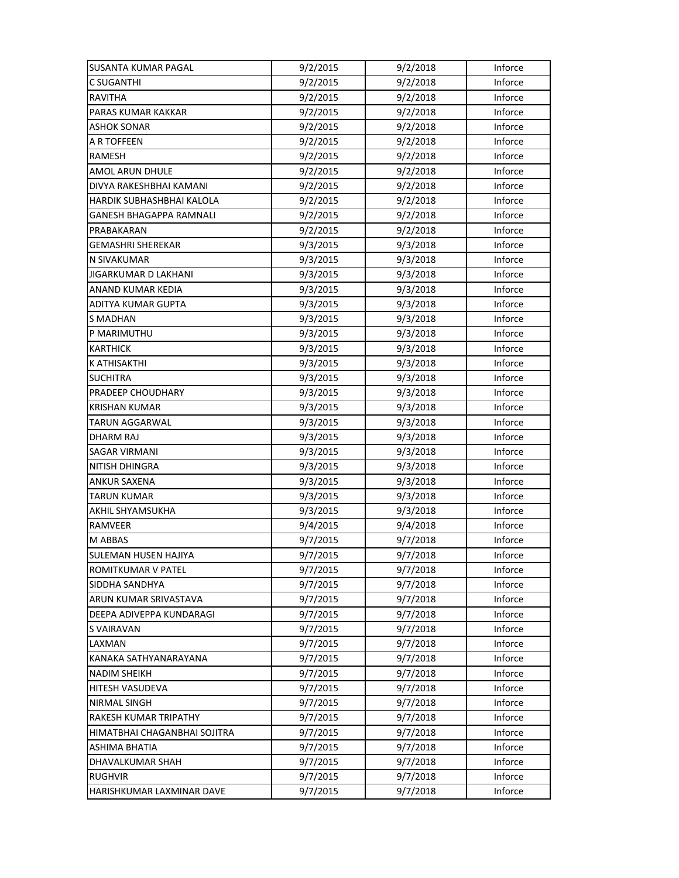| <b>SUSANTA KUMAR PAGAL</b>   | 9/2/2015 | 9/2/2018 | Inforce |
|------------------------------|----------|----------|---------|
| <b>C SUGANTHI</b>            | 9/2/2015 | 9/2/2018 | Inforce |
| RAVITHA                      | 9/2/2015 | 9/2/2018 | Inforce |
| PARAS KUMAR KAKKAR           | 9/2/2015 | 9/2/2018 | Inforce |
| ASHOK SONAR                  | 9/2/2015 | 9/2/2018 | Inforce |
| A R TOFFEEN                  | 9/2/2015 | 9/2/2018 | Inforce |
| RAMESH                       | 9/2/2015 | 9/2/2018 | Inforce |
| AMOL ARUN DHULE              | 9/2/2015 | 9/2/2018 | Inforce |
| DIVYA RAKESHBHAI KAMANI      | 9/2/2015 | 9/2/2018 | Inforce |
| HARDIK SUBHASHBHAI KALOLA    | 9/2/2015 | 9/2/2018 | Inforce |
| GANESH BHAGAPPA RAMNALI      | 9/2/2015 | 9/2/2018 | Inforce |
| PRABAKARAN                   | 9/2/2015 | 9/2/2018 | Inforce |
| <b>GEMASHRI SHEREKAR</b>     | 9/3/2015 | 9/3/2018 | Inforce |
| N SIVAKUMAR                  | 9/3/2015 | 9/3/2018 | Inforce |
| JIGARKUMAR D LAKHANI         | 9/3/2015 | 9/3/2018 | Inforce |
| <b>ANAND KUMAR KEDIA</b>     | 9/3/2015 | 9/3/2018 | Inforce |
| ADITYA KUMAR GUPTA           | 9/3/2015 | 9/3/2018 | Inforce |
| <b>S MADHAN</b>              | 9/3/2015 | 9/3/2018 | Inforce |
| P MARIMUTHU                  | 9/3/2015 | 9/3/2018 | Inforce |
| <b>KARTHICK</b>              | 9/3/2015 | 9/3/2018 | Inforce |
| K ATHISAKTHI                 | 9/3/2015 | 9/3/2018 | Inforce |
| <b>SUCHITRA</b>              | 9/3/2015 | 9/3/2018 | Inforce |
| PRADEEP CHOUDHARY            | 9/3/2015 | 9/3/2018 | Inforce |
| <b>KRISHAN KUMAR</b>         | 9/3/2015 | 9/3/2018 | Inforce |
| <b>TARUN AGGARWAL</b>        | 9/3/2015 | 9/3/2018 | Inforce |
| DHARM RAJ                    | 9/3/2015 | 9/3/2018 | Inforce |
| SAGAR VIRMANI                | 9/3/2015 | 9/3/2018 | Inforce |
| NITISH DHINGRA               | 9/3/2015 | 9/3/2018 | Inforce |
| <b>ANKUR SAXENA</b>          | 9/3/2015 | 9/3/2018 | Inforce |
| <b>TARUN KUMAR</b>           | 9/3/2015 | 9/3/2018 | Inforce |
| AKHIL SHYAMSUKHA             | 9/3/2015 | 9/3/2018 | Inforce |
| <b>RAMVEER</b>               | 9/4/2015 | 9/4/2018 | Inforce |
| M ABBAS                      | 9/7/2015 | 9/7/2018 | Inforce |
| SULEMAN HUSEN HAJIYA         | 9/7/2015 | 9/7/2018 | Inforce |
| ROMITKUMAR V PATEL           | 9/7/2015 | 9/7/2018 | Inforce |
| SIDDHA SANDHYA               | 9/7/2015 | 9/7/2018 | Inforce |
| ARUN KUMAR SRIVASTAVA        | 9/7/2015 | 9/7/2018 | Inforce |
| DEEPA ADIVEPPA KUNDARAGI     | 9/7/2015 | 9/7/2018 | Inforce |
| S VAIRAVAN                   | 9/7/2015 | 9/7/2018 | Inforce |
| LAXMAN                       | 9/7/2015 | 9/7/2018 | Inforce |
| KANAKA SATHYANARAYANA        | 9/7/2015 | 9/7/2018 | Inforce |
| <b>NADIM SHEIKH</b>          | 9/7/2015 | 9/7/2018 | Inforce |
| HITESH VASUDEVA              | 9/7/2015 | 9/7/2018 | Inforce |
| NIRMAL SINGH                 | 9/7/2015 | 9/7/2018 | Inforce |
| RAKESH KUMAR TRIPATHY        | 9/7/2015 | 9/7/2018 | Inforce |
| HIMATBHAI CHAGANBHAI SOJITRA | 9/7/2015 | 9/7/2018 | Inforce |
| <b>ASHIMA BHATIA</b>         | 9/7/2015 | 9/7/2018 | Inforce |
| DHAVALKUMAR SHAH             | 9/7/2015 | 9/7/2018 | Inforce |
| <b>RUGHVIR</b>               | 9/7/2015 | 9/7/2018 | Inforce |
| HARISHKUMAR LAXMINAR DAVE    | 9/7/2015 | 9/7/2018 | Inforce |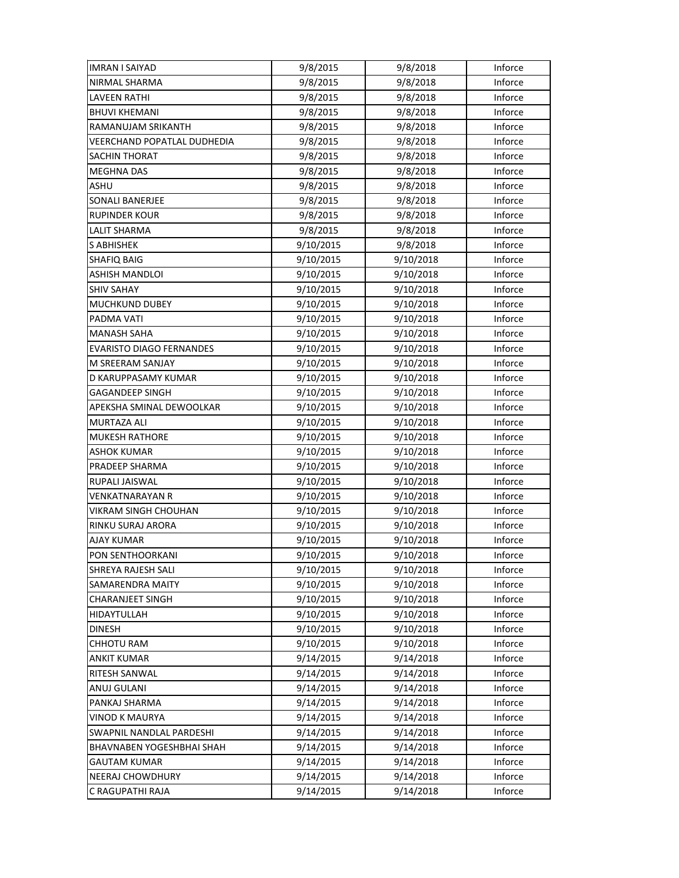| <b>IMRAN I SAIYAD</b>           | 9/8/2015  | 9/8/2018  | Inforce |
|---------------------------------|-----------|-----------|---------|
| NIRMAL SHARMA                   | 9/8/2015  | 9/8/2018  | Inforce |
| <b>LAVEEN RATHI</b>             | 9/8/2015  | 9/8/2018  | Inforce |
| <b>BHUVI KHEMANI</b>            | 9/8/2015  | 9/8/2018  | Inforce |
| <b>RAMANUJAM SRIKANTH</b>       | 9/8/2015  | 9/8/2018  | Inforce |
| VEERCHAND POPATLAL DUDHEDIA     | 9/8/2015  | 9/8/2018  | Inforce |
| <b>SACHIN THORAT</b>            | 9/8/2015  | 9/8/2018  | Inforce |
| <b>MEGHNA DAS</b>               | 9/8/2015  | 9/8/2018  | Inforce |
| ASHU                            | 9/8/2015  | 9/8/2018  | Inforce |
| SONALI BANERJEE                 | 9/8/2015  | 9/8/2018  | Inforce |
| RUPINDER KOUR                   | 9/8/2015  | 9/8/2018  | Inforce |
| <b>LALIT SHARMA</b>             | 9/8/2015  | 9/8/2018  | Inforce |
| <b>S ABHISHEK</b>               | 9/10/2015 | 9/8/2018  | Inforce |
| <b>SHAFIQ BAIG</b>              | 9/10/2015 | 9/10/2018 | Inforce |
| ASHISH MANDLOI                  | 9/10/2015 | 9/10/2018 | Inforce |
| <b>SHIV SAHAY</b>               | 9/10/2015 | 9/10/2018 | Inforce |
| <b>MUCHKUND DUBEY</b>           | 9/10/2015 | 9/10/2018 | Inforce |
| PADMA VATI                      | 9/10/2015 | 9/10/2018 | Inforce |
| <b>MANASH SAHA</b>              | 9/10/2015 | 9/10/2018 | Inforce |
| <b>EVARISTO DIAGO FERNANDES</b> | 9/10/2015 | 9/10/2018 | Inforce |
| M SREERAM SANJAY                | 9/10/2015 | 9/10/2018 | Inforce |
| D KARUPPASAMY KUMAR             | 9/10/2015 | 9/10/2018 | Inforce |
| GAGANDEEP SINGH                 | 9/10/2015 | 9/10/2018 | Inforce |
| APEKSHA SMINAL DEWOOLKAR        | 9/10/2015 | 9/10/2018 | Inforce |
| <b>MURTAZA ALI</b>              | 9/10/2015 | 9/10/2018 | Inforce |
| <b>MUKESH RATHORE</b>           | 9/10/2015 | 9/10/2018 | Inforce |
| <b>ASHOK KUMAR</b>              | 9/10/2015 | 9/10/2018 | Inforce |
| PRADEEP SHARMA                  | 9/10/2015 | 9/10/2018 | Inforce |
| RUPALI JAISWAL                  | 9/10/2015 | 9/10/2018 | Inforce |
| <b>VENKATNARAYAN R</b>          | 9/10/2015 | 9/10/2018 | Inforce |
| VIKRAM SINGH CHOUHAN            | 9/10/2015 | 9/10/2018 | Inforce |
| <b>RINKU SURAJ ARORA</b>        | 9/10/2015 | 9/10/2018 | Inforce |
| <b>AJAY KUMAR</b>               | 9/10/2015 | 9/10/2018 | Inforce |
| PON SENTHOORKANI                | 9/10/2015 | 9/10/2018 | Inforce |
| SHREYA RAJESH SALI              | 9/10/2015 | 9/10/2018 | Inforce |
| SAMARENDRA MAITY                | 9/10/2015 | 9/10/2018 | Inforce |
| <b>CHARANJEET SINGH</b>         | 9/10/2015 | 9/10/2018 | Inforce |
| HIDAYTULLAH                     | 9/10/2015 | 9/10/2018 | Inforce |
| <b>DINESH</b>                   | 9/10/2015 | 9/10/2018 | Inforce |
| <b>CHHOTU RAM</b>               | 9/10/2015 | 9/10/2018 | Inforce |
| ANKIT KUMAR                     | 9/14/2015 | 9/14/2018 | Inforce |
| RITESH SANWAL                   | 9/14/2015 | 9/14/2018 | Inforce |
| ANUJ GULANI                     | 9/14/2015 | 9/14/2018 | Inforce |
| PANKAJ SHARMA                   | 9/14/2015 | 9/14/2018 | Inforce |
| VINOD K MAURYA                  | 9/14/2015 | 9/14/2018 | Inforce |
| SWAPNIL NANDLAL PARDESHI        | 9/14/2015 | 9/14/2018 | Inforce |
| BHAVNABEN YOGESHBHAI SHAH       | 9/14/2015 | 9/14/2018 | Inforce |
| <b>GAUTAM KUMAR</b>             | 9/14/2015 | 9/14/2018 | Inforce |
| <b>NEERAJ CHOWDHURY</b>         | 9/14/2015 | 9/14/2018 | Inforce |
| C RAGUPATHI RAJA                | 9/14/2015 | 9/14/2018 | Inforce |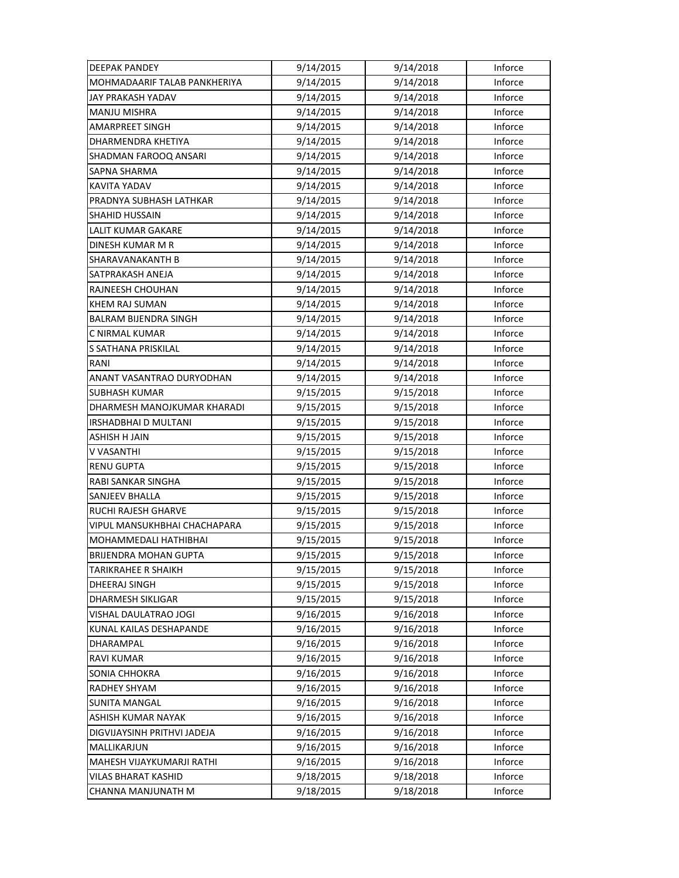| <b>DEEPAK PANDEY</b>         | 9/14/2015 | 9/14/2018 | Inforce |
|------------------------------|-----------|-----------|---------|
| MOHMADAARIF TALAB PANKHERIYA | 9/14/2015 | 9/14/2018 | Inforce |
| JAY PRAKASH YADAV            | 9/14/2015 | 9/14/2018 | Inforce |
| <b>MANJU MISHRA</b>          | 9/14/2015 | 9/14/2018 | Inforce |
| <b>AMARPREET SINGH</b>       | 9/14/2015 | 9/14/2018 | Inforce |
| DHARMENDRA KHETIYA           | 9/14/2015 | 9/14/2018 | Inforce |
| SHADMAN FAROOQ ANSARI        | 9/14/2015 | 9/14/2018 | Inforce |
| SAPNA SHARMA                 | 9/14/2015 | 9/14/2018 | Inforce |
| KAVITA YADAV                 | 9/14/2015 | 9/14/2018 | Inforce |
| PRADNYA SUBHASH LATHKAR      | 9/14/2015 | 9/14/2018 | Inforce |
| <b>SHAHID HUSSAIN</b>        | 9/14/2015 | 9/14/2018 | Inforce |
| <b>LALIT KUMAR GAKARE</b>    | 9/14/2015 | 9/14/2018 | Inforce |
| DINESH KUMAR M R             | 9/14/2015 | 9/14/2018 | Inforce |
| SHARAVANAKANTH B             | 9/14/2015 | 9/14/2018 | Inforce |
| SATPRAKASH ANEJA             | 9/14/2015 | 9/14/2018 | Inforce |
| RAJNEESH CHOUHAN             | 9/14/2015 | 9/14/2018 | Inforce |
| <b>KHEM RAJ SUMAN</b>        | 9/14/2015 | 9/14/2018 | Inforce |
| <b>BALRAM BIJENDRA SINGH</b> | 9/14/2015 | 9/14/2018 | Inforce |
| C NIRMAL KUMAR               | 9/14/2015 | 9/14/2018 | Inforce |
| S SATHANA PRISKILAL          | 9/14/2015 | 9/14/2018 | Inforce |
| RANI                         | 9/14/2015 | 9/14/2018 | Inforce |
| ANANT VASANTRAO DURYODHAN    | 9/14/2015 | 9/14/2018 | Inforce |
| SUBHASH KUMAR                | 9/15/2015 | 9/15/2018 | Inforce |
| DHARMESH MANOJKUMAR KHARADI  | 9/15/2015 | 9/15/2018 | Inforce |
| <b>IRSHADBHAI D MULTANI</b>  | 9/15/2015 | 9/15/2018 | Inforce |
| <b>ASHISH H JAIN</b>         | 9/15/2015 | 9/15/2018 | Inforce |
| V VASANTHI                   | 9/15/2015 | 9/15/2018 | Inforce |
| <b>RENU GUPTA</b>            | 9/15/2015 | 9/15/2018 | Inforce |
| RABI SANKAR SINGHA           | 9/15/2015 | 9/15/2018 | Inforce |
| SANJEEV BHALLA               | 9/15/2015 | 9/15/2018 | Inforce |
| RUCHI RAJESH GHARVE          | 9/15/2015 | 9/15/2018 | Inforce |
| VIPUL MANSUKHBHAI CHACHAPARA | 9/15/2015 | 9/15/2018 | Inforce |
| <b>MOHAMMEDALI HATHIBHAI</b> | 9/15/2015 | 9/15/2018 | Inforce |
| <b>BRIJENDRA MOHAN GUPTA</b> | 9/15/2015 | 9/15/2018 | Inforce |
| <b>TARIKRAHEE R SHAIKH</b>   | 9/15/2015 | 9/15/2018 | Inforce |
| DHEERAJ SINGH                | 9/15/2015 | 9/15/2018 | Inforce |
| DHARMESH SIKLIGAR            | 9/15/2015 | 9/15/2018 | Inforce |
| VISHAL DAULATRAO JOGI        | 9/16/2015 | 9/16/2018 | Inforce |
| KUNAL KAILAS DESHAPANDE      | 9/16/2015 | 9/16/2018 | Inforce |
| DHARAMPAL                    | 9/16/2015 | 9/16/2018 | Inforce |
| <b>RAVI KUMAR</b>            | 9/16/2015 | 9/16/2018 | Inforce |
| SONIA CHHOKRA                | 9/16/2015 | 9/16/2018 | Inforce |
| RADHEY SHYAM                 | 9/16/2015 | 9/16/2018 | Inforce |
| <b>SUNITA MANGAL</b>         | 9/16/2015 | 9/16/2018 | Inforce |
| ASHISH KUMAR NAYAK           | 9/16/2015 | 9/16/2018 | Inforce |
| DIGVIJAYSINH PRITHVI JADEJA  | 9/16/2015 | 9/16/2018 | Inforce |
| MALLIKARJUN                  | 9/16/2015 | 9/16/2018 | Inforce |
| MAHESH VIJAYKUMARJI RATHI    | 9/16/2015 | 9/16/2018 | Inforce |
| VILAS BHARAT KASHID          | 9/18/2015 | 9/18/2018 | Inforce |
| CHANNA MANJUNATH M           | 9/18/2015 | 9/18/2018 | Inforce |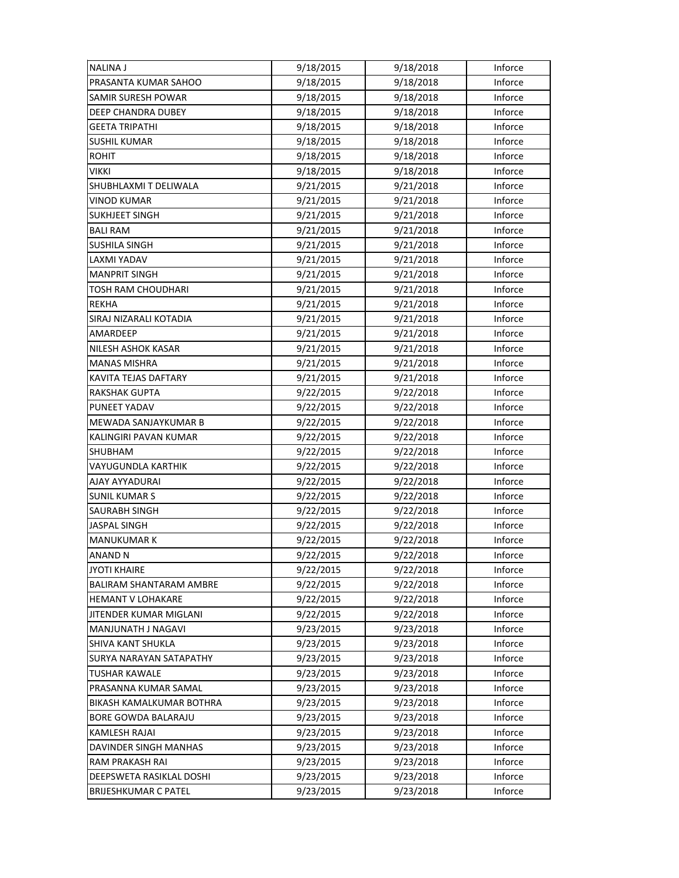| <b>NALINA J</b>             | 9/18/2015 | 9/18/2018 | Inforce        |
|-----------------------------|-----------|-----------|----------------|
| PRASANTA KUMAR SAHOO        | 9/18/2015 | 9/18/2018 | Inforce        |
| SAMIR SURESH POWAR          | 9/18/2015 | 9/18/2018 | Inforce        |
| DEEP CHANDRA DUBEY          | 9/18/2015 | 9/18/2018 | Inforce        |
| <b>GEETA TRIPATHI</b>       | 9/18/2015 | 9/18/2018 | Inforce        |
| <b>SUSHIL KUMAR</b>         | 9/18/2015 | 9/18/2018 | Inforce        |
| <b>ROHIT</b>                | 9/18/2015 | 9/18/2018 | Inforce        |
| <b>VIKKI</b>                | 9/18/2015 | 9/18/2018 | Inforce        |
| SHUBHLAXMI T DELIWALA       | 9/21/2015 | 9/21/2018 | Inforce        |
| <b>VINOD KUMAR</b>          | 9/21/2015 | 9/21/2018 | Inforce        |
| <b>SUKHJEET SINGH</b>       | 9/21/2015 | 9/21/2018 | Inforce        |
| <b>BALI RAM</b>             | 9/21/2015 | 9/21/2018 | Inforce        |
| SUSHILA SINGH               | 9/21/2015 | 9/21/2018 | Inforce        |
| LAXMI YADAV                 | 9/21/2015 | 9/21/2018 | Inforce        |
| <b>MANPRIT SINGH</b>        | 9/21/2015 | 9/21/2018 | Inforce        |
| <b>TOSH RAM CHOUDHARI</b>   | 9/21/2015 | 9/21/2018 | Inforce        |
| <b>REKHA</b>                | 9/21/2015 | 9/21/2018 | Inforce        |
| SIRAJ NIZARALI KOTADIA      | 9/21/2015 | 9/21/2018 | Inforce        |
| AMARDEEP                    | 9/21/2015 | 9/21/2018 | Inforce        |
| NILESH ASHOK KASAR          | 9/21/2015 | 9/21/2018 | Inforce        |
| <b>MANAS MISHRA</b>         | 9/21/2015 | 9/21/2018 | Inforce        |
| KAVITA TEJAS DAFTARY        | 9/21/2015 | 9/21/2018 | Inforce        |
| RAKSHAK GUPTA               | 9/22/2015 | 9/22/2018 | Inforce        |
| PUNEET YADAV                | 9/22/2015 | 9/22/2018 | Inforce        |
| MEWADA SANJAYKUMAR B        | 9/22/2015 | 9/22/2018 | Inforce        |
| KALINGIRI PAVAN KUMAR       | 9/22/2015 | 9/22/2018 | Inforce        |
| SHUBHAM                     | 9/22/2015 | 9/22/2018 | Inforce        |
| VAYUGUNDLA KARTHIK          | 9/22/2015 | 9/22/2018 | Inforce        |
| AJAY AYYADURAI              | 9/22/2015 | 9/22/2018 | Inforce        |
| <b>SUNIL KUMAR S</b>        | 9/22/2015 | 9/22/2018 | Inforce        |
| <b>SAURABH SINGH</b>        | 9/22/2015 | 9/22/2018 | Inforce        |
| <b>JASPAL SINGH</b>         | 9/22/2015 | 9/22/2018 | Inforce        |
| <b>MANUKUMAR K</b>          | 9/22/2015 | 9/22/2018 | Inforce        |
| ANAND N                     | 9/22/2015 | 9/22/2018 | Inforce        |
| <b>JYOTI KHAIRE</b>         | 9/22/2015 | 9/22/2018 | Inforce        |
| BALIRAM SHANTARAM AMBRE     | 9/22/2015 | 9/22/2018 | Inforce        |
| <b>HEMANT V LOHAKARE</b>    | 9/22/2015 | 9/22/2018 | <b>Inforce</b> |
| JITENDER KUMAR MIGLANI      | 9/22/2015 | 9/22/2018 | Inforce        |
| MANJUNATH J NAGAVI          | 9/23/2015 | 9/23/2018 | Inforce        |
| SHIVA KANT SHUKLA           | 9/23/2015 | 9/23/2018 | Inforce        |
| SURYA NARAYAN SATAPATHY     | 9/23/2015 | 9/23/2018 | Inforce        |
| <b>TUSHAR KAWALE</b>        | 9/23/2015 | 9/23/2018 | Inforce        |
| PRASANNA KUMAR SAMAL        | 9/23/2015 | 9/23/2018 | Inforce        |
| BIKASH KAMALKUMAR BOTHRA    | 9/23/2015 | 9/23/2018 | Inforce        |
| BORE GOWDA BALARAJU         | 9/23/2015 | 9/23/2018 | Inforce        |
| <b>KAMLESH RAJAI</b>        | 9/23/2015 | 9/23/2018 | Inforce        |
| DAVINDER SINGH MANHAS       | 9/23/2015 | 9/23/2018 | Inforce        |
| RAM PRAKASH RAI             | 9/23/2015 | 9/23/2018 | Inforce        |
| DEEPSWETA RASIKLAL DOSHI    | 9/23/2015 | 9/23/2018 | Inforce        |
| <b>BRIJESHKUMAR C PATEL</b> | 9/23/2015 | 9/23/2018 | Inforce        |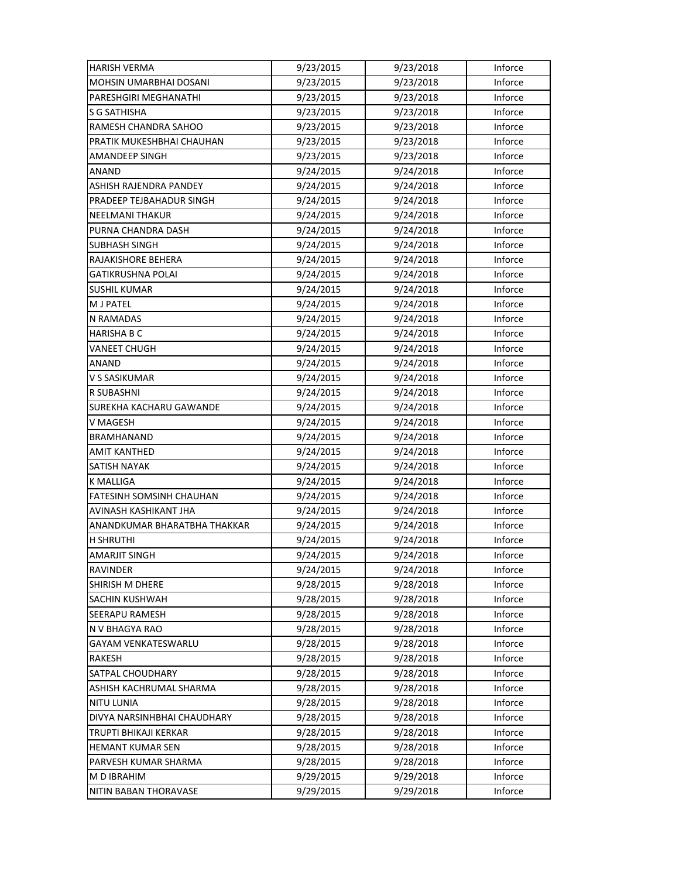| <b>HARISH VERMA</b>             | 9/23/2015 | 9/23/2018 | Inforce |
|---------------------------------|-----------|-----------|---------|
| MOHSIN UMARBHAI DOSANI          | 9/23/2015 | 9/23/2018 | Inforce |
| PARESHGIRI MEGHANATHI           | 9/23/2015 | 9/23/2018 | Inforce |
| S G SATHISHA                    | 9/23/2015 | 9/23/2018 | Inforce |
| RAMESH CHANDRA SAHOO            | 9/23/2015 | 9/23/2018 | Inforce |
| PRATIK MUKESHBHAI CHAUHAN       | 9/23/2015 | 9/23/2018 | Inforce |
| <b>AMANDEEP SINGH</b>           | 9/23/2015 | 9/23/2018 | Inforce |
| <b>ANAND</b>                    | 9/24/2015 | 9/24/2018 | Inforce |
| <b>ASHISH RAJENDRA PANDEY</b>   | 9/24/2015 | 9/24/2018 | Inforce |
| PRADEEP TEJBAHADUR SINGH        | 9/24/2015 | 9/24/2018 | Inforce |
| <b>NEELMANI THAKUR</b>          | 9/24/2015 | 9/24/2018 | Inforce |
| PURNA CHANDRA DASH              | 9/24/2015 | 9/24/2018 | Inforce |
| <b>SUBHASH SINGH</b>            | 9/24/2015 | 9/24/2018 | Inforce |
| RAJAKISHORE BEHERA              | 9/24/2015 | 9/24/2018 | Inforce |
| <b>GATIKRUSHNA POLAI</b>        | 9/24/2015 | 9/24/2018 | Inforce |
| <b>SUSHIL KUMAR</b>             | 9/24/2015 | 9/24/2018 | Inforce |
| <b>M J PATEL</b>                | 9/24/2015 | 9/24/2018 | Inforce |
| N RAMADAS                       | 9/24/2015 | 9/24/2018 | Inforce |
| HARISHA B C                     | 9/24/2015 | 9/24/2018 | Inforce |
| VANEET CHUGH                    | 9/24/2015 | 9/24/2018 | Inforce |
| ANAND                           | 9/24/2015 | 9/24/2018 | Inforce |
| V S SASIKUMAR                   | 9/24/2015 | 9/24/2018 | Inforce |
| R SUBASHNI                      | 9/24/2015 | 9/24/2018 | Inforce |
| SUREKHA KACHARU GAWANDE         | 9/24/2015 | 9/24/2018 | Inforce |
| V MAGESH                        | 9/24/2015 | 9/24/2018 | Inforce |
| BRAMHANAND                      | 9/24/2015 | 9/24/2018 | Inforce |
| <b>AMIT KANTHED</b>             | 9/24/2015 | 9/24/2018 | Inforce |
| SATISH NAYAK                    | 9/24/2015 | 9/24/2018 | Inforce |
| K MALLIGA                       | 9/24/2015 | 9/24/2018 | Inforce |
| <b>FATESINH SOMSINH CHAUHAN</b> | 9/24/2015 | 9/24/2018 | Inforce |
| AVINASH KASHIKANT JHA           | 9/24/2015 | 9/24/2018 | Inforce |
| ANANDKUMAR BHARATBHA THAKKAR    | 9/24/2015 | 9/24/2018 | Inforce |
| <b>H SHRUTHI</b>                | 9/24/2015 | 9/24/2018 | Inforce |
| AMARJIT SINGH                   | 9/24/2015 | 9/24/2018 | Inforce |
| RAVINDER                        | 9/24/2015 | 9/24/2018 | Inforce |
| <b>SHIRISH M DHERE</b>          | 9/28/2015 | 9/28/2018 | Inforce |
| SACHIN KUSHWAH                  | 9/28/2015 | 9/28/2018 | Inforce |
| SEERAPU RAMESH                  | 9/28/2015 | 9/28/2018 | Inforce |
| N V BHAGYA RAO                  | 9/28/2015 | 9/28/2018 | Inforce |
| <b>GAYAM VENKATESWARLU</b>      | 9/28/2015 | 9/28/2018 | Inforce |
| RAKESH                          | 9/28/2015 | 9/28/2018 | Inforce |
| SATPAL CHOUDHARY                | 9/28/2015 | 9/28/2018 | Inforce |
| ASHISH KACHRUMAL SHARMA         | 9/28/2015 | 9/28/2018 | Inforce |
| <b>NITU LUNIA</b>               | 9/28/2015 | 9/28/2018 | Inforce |
| DIVYA NARSINHBHAI CHAUDHARY     | 9/28/2015 | 9/28/2018 | Inforce |
| TRUPTI BHIKAJI KERKAR           | 9/28/2015 | 9/28/2018 | Inforce |
| <b>HEMANT KUMAR SEN</b>         | 9/28/2015 | 9/28/2018 | Inforce |
| PARVESH KUMAR SHARMA            | 9/28/2015 | 9/28/2018 | Inforce |
| M D IBRAHIM                     | 9/29/2015 | 9/29/2018 | Inforce |
| NITIN BABAN THORAVASE           | 9/29/2015 | 9/29/2018 | Inforce |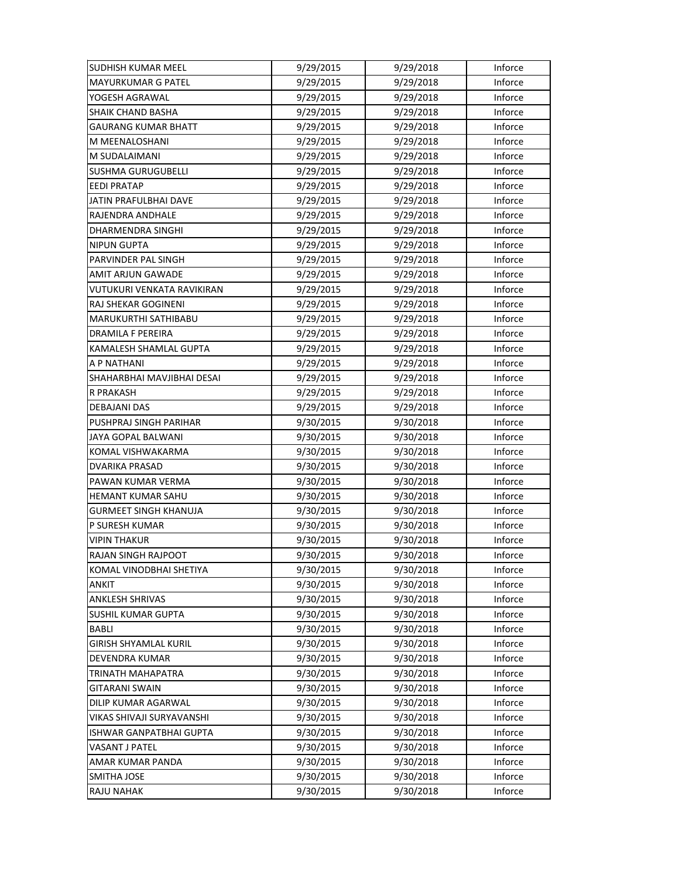| <b>SUDHISH KUMAR MEEL</b>    | 9/29/2015 | 9/29/2018 | Inforce |
|------------------------------|-----------|-----------|---------|
| <b>MAYURKUMAR G PATEL</b>    | 9/29/2015 | 9/29/2018 | Inforce |
| YOGESH AGRAWAL               | 9/29/2015 | 9/29/2018 | Inforce |
| SHAIK CHAND BASHA            | 9/29/2015 | 9/29/2018 | Inforce |
| <b>GAURANG KUMAR BHATT</b>   | 9/29/2015 | 9/29/2018 | Inforce |
| M MEENALOSHANI               | 9/29/2015 | 9/29/2018 | Inforce |
| M SUDALAIMANI                | 9/29/2015 | 9/29/2018 | Inforce |
| <b>SUSHMA GURUGUBELLI</b>    | 9/29/2015 | 9/29/2018 | Inforce |
| <b>EEDI PRATAP</b>           | 9/29/2015 | 9/29/2018 | Inforce |
| JATIN PRAFULBHAI DAVE        | 9/29/2015 | 9/29/2018 | Inforce |
| RAJENDRA ANDHALE             | 9/29/2015 | 9/29/2018 | Inforce |
| DHARMENDRA SINGHI            | 9/29/2015 | 9/29/2018 | Inforce |
| <b>NIPUN GUPTA</b>           | 9/29/2015 | 9/29/2018 | Inforce |
| PARVINDER PAL SINGH          | 9/29/2015 | 9/29/2018 | Inforce |
| AMIT ARJUN GAWADE            | 9/29/2015 | 9/29/2018 | Inforce |
| VUTUKURI VENKATA RAVIKIRAN   | 9/29/2015 | 9/29/2018 | Inforce |
| <b>RAJ SHEKAR GOGINENI</b>   | 9/29/2015 | 9/29/2018 | Inforce |
| MARUKURTHI SATHIBABU         | 9/29/2015 | 9/29/2018 | Inforce |
| DRAMILA F PEREIRA            | 9/29/2015 | 9/29/2018 | Inforce |
| KAMALESH SHAMLAL GUPTA       | 9/29/2015 | 9/29/2018 | Inforce |
| A P NATHANI                  | 9/29/2015 | 9/29/2018 | Inforce |
| SHAHARBHAI MAVJIBHAI DESAI   | 9/29/2015 | 9/29/2018 | Inforce |
| R PRAKASH                    | 9/29/2015 | 9/29/2018 | Inforce |
| DEBAJANI DAS                 | 9/29/2015 | 9/29/2018 | Inforce |
| PUSHPRAJ SINGH PARIHAR       | 9/30/2015 | 9/30/2018 | Inforce |
| JAYA GOPAL BALWANI           | 9/30/2015 | 9/30/2018 | Inforce |
| KOMAL VISHWAKARMA            | 9/30/2015 | 9/30/2018 | Inforce |
| DVARIKA PRASAD               | 9/30/2015 | 9/30/2018 | Inforce |
| PAWAN KUMAR VERMA            | 9/30/2015 | 9/30/2018 | Inforce |
| HEMANT KUMAR SAHU            | 9/30/2015 | 9/30/2018 | Inforce |
| <b>GURMEET SINGH KHANUJA</b> | 9/30/2015 | 9/30/2018 | Inforce |
| P SURESH KUMAR               | 9/30/2015 | 9/30/2018 | Inforce |
| <b>VIPIN THAKUR</b>          | 9/30/2015 | 9/30/2018 | Inforce |
| RAJAN SINGH RAJPOOT          | 9/30/2015 | 9/30/2018 | Inforce |
| KOMAL VINODBHAI SHETIYA      | 9/30/2015 | 9/30/2018 | Inforce |
| <b>ANKIT</b>                 | 9/30/2015 | 9/30/2018 | Inforce |
| ANKLESH SHRIVAS              | 9/30/2015 | 9/30/2018 | Inforce |
| <b>SUSHIL KUMAR GUPTA</b>    | 9/30/2015 | 9/30/2018 | Inforce |
| BABLI                        | 9/30/2015 | 9/30/2018 | Inforce |
| <b>GIRISH SHYAMLAL KURIL</b> | 9/30/2015 | 9/30/2018 | Inforce |
| DEVENDRA KUMAR               | 9/30/2015 | 9/30/2018 | Inforce |
| TRINATH MAHAPATRA            | 9/30/2015 | 9/30/2018 | Inforce |
| GITARANI SWAIN               | 9/30/2015 | 9/30/2018 | Inforce |
| DILIP KUMAR AGARWAL          | 9/30/2015 | 9/30/2018 | Inforce |
| VIKAS SHIVAJI SURYAVANSHI    | 9/30/2015 | 9/30/2018 | Inforce |
| ISHWAR GANPATBHAI GUPTA      | 9/30/2015 | 9/30/2018 | Inforce |
| VASANT J PATEL               | 9/30/2015 | 9/30/2018 | Inforce |
| AMAR KUMAR PANDA             | 9/30/2015 | 9/30/2018 | Inforce |
| <b>SMITHA JOSE</b>           | 9/30/2015 | 9/30/2018 | Inforce |
| RAJU NAHAK                   | 9/30/2015 | 9/30/2018 | Inforce |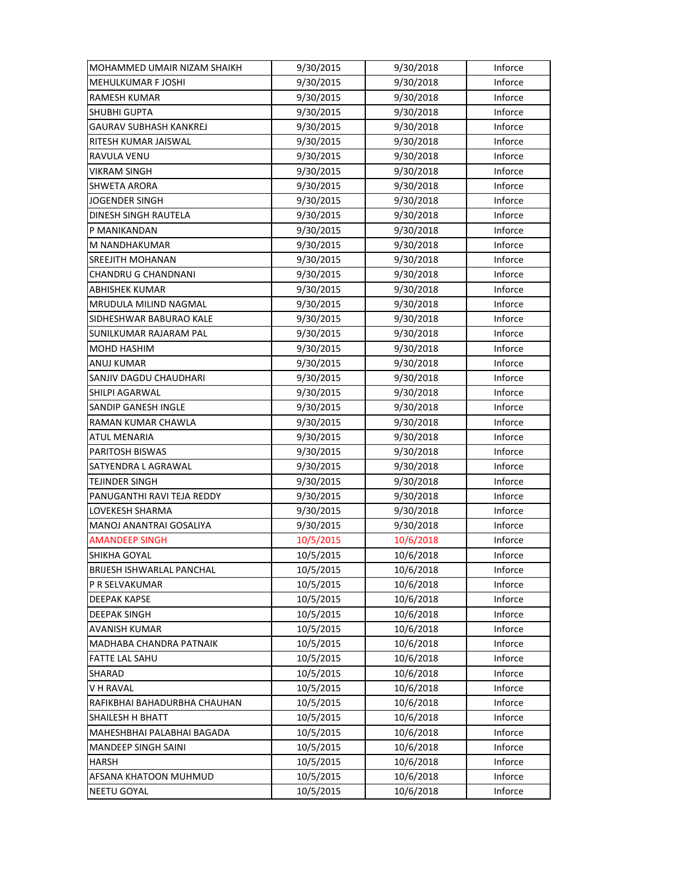| MOHAMMED UMAIR NIZAM SHAIKH      | 9/30/2015 | 9/30/2018 | Inforce |
|----------------------------------|-----------|-----------|---------|
| <b>MEHULKUMAR F JOSHI</b>        | 9/30/2015 | 9/30/2018 | Inforce |
| <b>RAMESH KUMAR</b>              | 9/30/2015 | 9/30/2018 | Inforce |
| <b>SHUBHI GUPTA</b>              | 9/30/2015 | 9/30/2018 | Inforce |
| GAURAV SUBHASH KANKREJ           | 9/30/2015 | 9/30/2018 | Inforce |
| RITESH KUMAR JAISWAL             | 9/30/2015 | 9/30/2018 | Inforce |
| RAVULA VENU                      | 9/30/2015 | 9/30/2018 | Inforce |
| <b>VIKRAM SINGH</b>              | 9/30/2015 | 9/30/2018 | Inforce |
| <b>SHWETA ARORA</b>              | 9/30/2015 | 9/30/2018 | Inforce |
| <b>JOGENDER SINGH</b>            | 9/30/2015 | 9/30/2018 | Inforce |
| DINESH SINGH RAUTELA             | 9/30/2015 | 9/30/2018 | Inforce |
| P MANIKANDAN                     | 9/30/2015 | 9/30/2018 | Inforce |
| M NANDHAKUMAR                    | 9/30/2015 | 9/30/2018 | Inforce |
| SREEJITH MOHANAN                 | 9/30/2015 | 9/30/2018 | Inforce |
| CHANDRU G CHANDNANI              | 9/30/2015 | 9/30/2018 | Inforce |
| <b>ABHISHEK KUMAR</b>            | 9/30/2015 | 9/30/2018 | Inforce |
| MRUDULA MILIND NAGMAL            | 9/30/2015 | 9/30/2018 | Inforce |
| SIDHESHWAR BABURAO KALE          | 9/30/2015 | 9/30/2018 | Inforce |
| SUNILKUMAR RAJARAM PAL           | 9/30/2015 | 9/30/2018 | Inforce |
| MOHD HASHIM                      | 9/30/2015 | 9/30/2018 | Inforce |
| ANUJ KUMAR                       | 9/30/2015 | 9/30/2018 | Inforce |
| SANJIV DAGDU CHAUDHARI           | 9/30/2015 | 9/30/2018 | Inforce |
| SHILPI AGARWAL                   | 9/30/2015 | 9/30/2018 | Inforce |
| SANDIP GANESH INGLE              | 9/30/2015 | 9/30/2018 | Inforce |
| RAMAN KUMAR CHAWLA               | 9/30/2015 | 9/30/2018 | Inforce |
| <b>ATUL MENARIA</b>              | 9/30/2015 | 9/30/2018 | Inforce |
| PARITOSH BISWAS                  | 9/30/2015 | 9/30/2018 | Inforce |
| SATYENDRA L AGRAWAL              | 9/30/2015 | 9/30/2018 | Inforce |
| TEJINDER SINGH                   | 9/30/2015 | 9/30/2018 | Inforce |
| PANUGANTHI RAVI TEJA REDDY       | 9/30/2015 | 9/30/2018 | Inforce |
| LOVEKESH SHARMA                  | 9/30/2015 | 9/30/2018 | Inforce |
| MANOJ ANANTRAI GOSALIYA          | 9/30/2015 | 9/30/2018 | Inforce |
| <b>AMANDEEP SINGH</b>            | 10/5/2015 | 10/6/2018 | Inforce |
| SHIKHA GOYAL                     | 10/5/2015 | 10/6/2018 | Inforce |
| <b>BRIJESH ISHWARLAL PANCHAL</b> | 10/5/2015 | 10/6/2018 | Inforce |
| P R SELVAKUMAR                   | 10/5/2015 | 10/6/2018 | Inforce |
| <b>DEEPAK KAPSE</b>              | 10/5/2015 | 10/6/2018 | Inforce |
| <b>DEEPAK SINGH</b>              | 10/5/2015 | 10/6/2018 | Inforce |
| <b>AVANISH KUMAR</b>             | 10/5/2015 | 10/6/2018 | Inforce |
| MADHABA CHANDRA PATNAIK          | 10/5/2015 | 10/6/2018 | Inforce |
| <b>FATTE LAL SAHU</b>            | 10/5/2015 | 10/6/2018 | Inforce |
| SHARAD                           | 10/5/2015 | 10/6/2018 | Inforce |
| V H RAVAL                        | 10/5/2015 | 10/6/2018 | Inforce |
| RAFIKBHAI BAHADURBHA CHAUHAN     | 10/5/2015 | 10/6/2018 | Inforce |
| <b>SHAILESH H BHATT</b>          | 10/5/2015 | 10/6/2018 | Inforce |
| MAHESHBHAI PALABHAI BAGADA       | 10/5/2015 | 10/6/2018 | Inforce |
| <b>MANDEEP SINGH SAINI</b>       | 10/5/2015 | 10/6/2018 | Inforce |
| HARSH                            | 10/5/2015 | 10/6/2018 | Inforce |
| AFSANA KHATOON MUHMUD            | 10/5/2015 | 10/6/2018 | Inforce |
| <b>NEETU GOYAL</b>               | 10/5/2015 | 10/6/2018 | Inforce |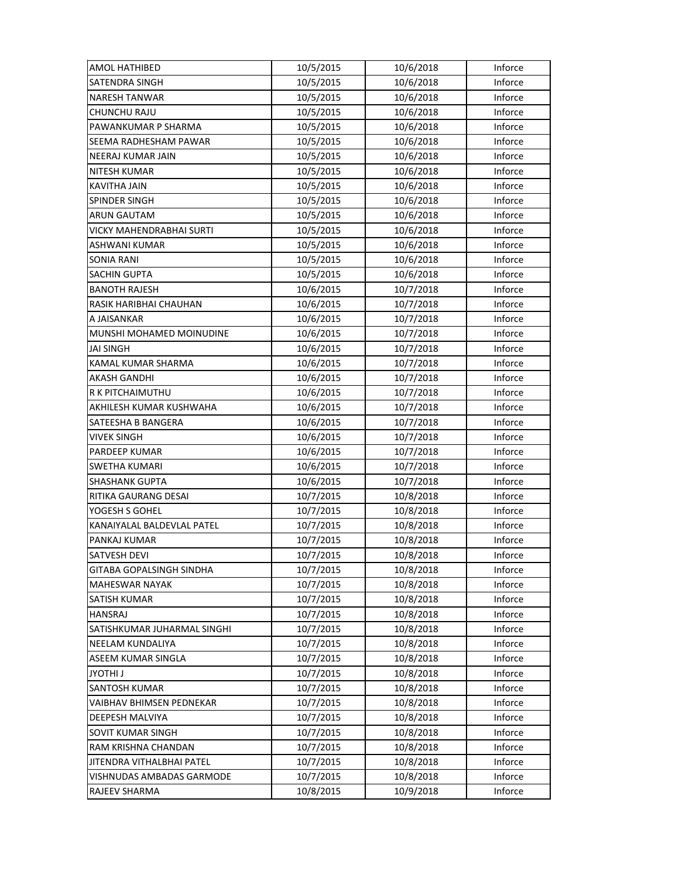| AMOL HATHIBED                | 10/5/2015 | 10/6/2018 | Inforce |
|------------------------------|-----------|-----------|---------|
| <b>SATENDRA SINGH</b>        | 10/5/2015 | 10/6/2018 | Inforce |
| <b>NARESH TANWAR</b>         | 10/5/2015 | 10/6/2018 | Inforce |
| CHUNCHU RAJU                 | 10/5/2015 | 10/6/2018 | Inforce |
| PAWANKUMAR P SHARMA          | 10/5/2015 | 10/6/2018 | Inforce |
| <b>SEEMA RADHESHAM PAWAR</b> | 10/5/2015 | 10/6/2018 | Inforce |
| NEERAJ KUMAR JAIN            | 10/5/2015 | 10/6/2018 | Inforce |
| <b>NITESH KUMAR</b>          | 10/5/2015 | 10/6/2018 | Inforce |
| <b>KAVITHA JAIN</b>          | 10/5/2015 | 10/6/2018 | Inforce |
| SPINDER SINGH                | 10/5/2015 | 10/6/2018 | Inforce |
| <b>ARUN GAUTAM</b>           | 10/5/2015 | 10/6/2018 | Inforce |
| VICKY MAHENDRABHAI SURTI     | 10/5/2015 | 10/6/2018 | Inforce |
| ASHWANI KUMAR                | 10/5/2015 | 10/6/2018 | Inforce |
| SONIA RANI                   | 10/5/2015 | 10/6/2018 | Inforce |
| <b>SACHIN GUPTA</b>          | 10/5/2015 | 10/6/2018 | Inforce |
| <b>BANOTH RAJESH</b>         | 10/6/2015 | 10/7/2018 | Inforce |
| RASIK HARIBHAI CHAUHAN       | 10/6/2015 | 10/7/2018 | Inforce |
| A JAISANKAR                  | 10/6/2015 | 10/7/2018 | Inforce |
| MUNSHI MOHAMED MOINUDINE     | 10/6/2015 | 10/7/2018 | Inforce |
| JAI SINGH                    | 10/6/2015 | 10/7/2018 | Inforce |
| KAMAL KUMAR SHARMA           | 10/6/2015 | 10/7/2018 | Inforce |
| AKASH GANDHI                 | 10/6/2015 | 10/7/2018 | Inforce |
| R K PITCHAIMUTHU             | 10/6/2015 | 10/7/2018 | Inforce |
| AKHILESH KUMAR KUSHWAHA      | 10/6/2015 | 10/7/2018 | Inforce |
| SATEESHA B BANGERA           | 10/6/2015 | 10/7/2018 | Inforce |
| <b>VIVEK SINGH</b>           | 10/6/2015 | 10/7/2018 | Inforce |
| PARDEEP KUMAR                | 10/6/2015 | 10/7/2018 | Inforce |
| SWETHA KUMARI                | 10/6/2015 | 10/7/2018 | Inforce |
| <b>SHASHANK GUPTA</b>        | 10/6/2015 | 10/7/2018 | Inforce |
| RITIKA GAURANG DESAI         | 10/7/2015 | 10/8/2018 | Inforce |
| YOGESH S GOHEL               | 10/7/2015 | 10/8/2018 | Inforce |
| KANAIYALAL BALDEVLAL PATEL   | 10/7/2015 | 10/8/2018 | Inforce |
| PANKAJ KUMAR                 | 10/7/2015 | 10/8/2018 | Inforce |
| SATVESH DEVI                 | 10/7/2015 | 10/8/2018 | Inforce |
| GITABA GOPALSINGH SINDHA     | 10/7/2015 | 10/8/2018 | Inforce |
| <b>MAHESWAR NAYAK</b>        | 10/7/2015 | 10/8/2018 | Inforce |
| SATISH KUMAR                 | 10/7/2015 | 10/8/2018 | Inforce |
| <b>HANSRAJ</b>               | 10/7/2015 | 10/8/2018 | Inforce |
| SATISHKUMAR JUHARMAL SINGHI  | 10/7/2015 | 10/8/2018 | Inforce |
| NEELAM KUNDALIYA             | 10/7/2015 | 10/8/2018 | Inforce |
| ASEEM KUMAR SINGLA           | 10/7/2015 | 10/8/2018 | Inforce |
| <b>LIHTOYL</b>               | 10/7/2015 | 10/8/2018 | Inforce |
| SANTOSH KUMAR                | 10/7/2015 | 10/8/2018 | Inforce |
| VAIBHAV BHIMSEN PEDNEKAR     | 10/7/2015 | 10/8/2018 | Inforce |
| DEEPESH MALVIYA              | 10/7/2015 | 10/8/2018 | Inforce |
| SOVIT KUMAR SINGH            | 10/7/2015 | 10/8/2018 | Inforce |
| RAM KRISHNA CHANDAN          | 10/7/2015 | 10/8/2018 | Inforce |
| JITENDRA VITHALBHAI PATEL    | 10/7/2015 | 10/8/2018 | Inforce |
| VISHNUDAS AMBADAS GARMODE    | 10/7/2015 | 10/8/2018 | Inforce |
| RAJEEV SHARMA                | 10/8/2015 | 10/9/2018 | Inforce |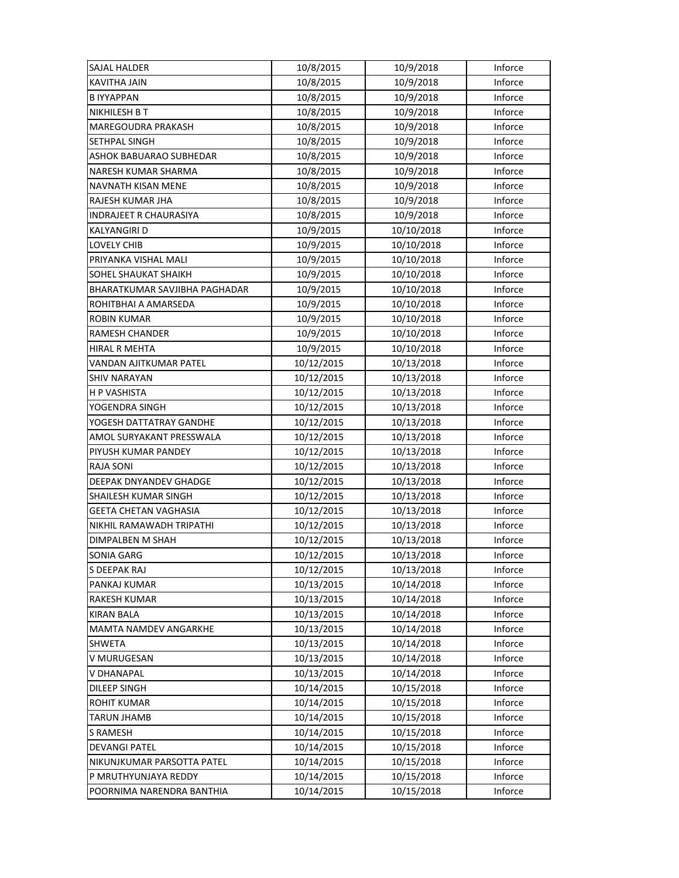| SAJAL HALDER                         | 10/8/2015  | 10/9/2018  | Inforce |
|--------------------------------------|------------|------------|---------|
| <b>KAVITHA JAIN</b>                  | 10/8/2015  | 10/9/2018  | Inforce |
| <b>BIYYAPPAN</b>                     | 10/8/2015  | 10/9/2018  | Inforce |
| NIKHILESH B T                        | 10/8/2015  | 10/9/2018  | Inforce |
| <b>MAREGOUDRA PRAKASH</b>            | 10/8/2015  | 10/9/2018  | Inforce |
| SETHPAL SINGH                        | 10/8/2015  | 10/9/2018  | Inforce |
| ASHOK BABUARAO SUBHEDAR              | 10/8/2015  | 10/9/2018  | Inforce |
| <b>NARESH KUMAR SHARMA</b>           | 10/8/2015  | 10/9/2018  | Inforce |
| NAVNATH KISAN MENE                   | 10/8/2015  | 10/9/2018  | Inforce |
| RAJESH KUMAR JHA                     | 10/8/2015  | 10/9/2018  | Inforce |
| INDRAJEET R CHAURASIYA               | 10/8/2015  | 10/9/2018  | Inforce |
| KALYANGIRI D                         | 10/9/2015  | 10/10/2018 | Inforce |
| <b>LOVELY CHIB</b>                   | 10/9/2015  | 10/10/2018 | Inforce |
| PRIYANKA VISHAL MALI                 | 10/9/2015  | 10/10/2018 | Inforce |
| SOHEL SHAUKAT SHAIKH                 | 10/9/2015  | 10/10/2018 | Inforce |
| <b>BHARATKUMAR SAVJIBHA PAGHADAR</b> | 10/9/2015  | 10/10/2018 | Inforce |
| ROHITBHAI A AMARSEDA                 | 10/9/2015  | 10/10/2018 | Inforce |
| ROBIN KUMAR                          | 10/9/2015  | 10/10/2018 | Inforce |
| RAMESH CHANDER                       | 10/9/2015  | 10/10/2018 | Inforce |
| HIRAL R MEHTA                        | 10/9/2015  | 10/10/2018 | Inforce |
| VANDAN AJITKUMAR PATEL               | 10/12/2015 | 10/13/2018 | Inforce |
| <b>SHIV NARAYAN</b>                  | 10/12/2015 | 10/13/2018 | Inforce |
| H P VASHISTA                         | 10/12/2015 | 10/13/2018 | Inforce |
| YOGENDRA SINGH                       | 10/12/2015 | 10/13/2018 | Inforce |
| YOGESH DATTATRAY GANDHE              | 10/12/2015 | 10/13/2018 | Inforce |
| AMOL SURYAKANT PRESSWALA             | 10/12/2015 | 10/13/2018 | Inforce |
| PIYUSH KUMAR PANDEY                  | 10/12/2015 | 10/13/2018 | Inforce |
| <b>RAJA SONI</b>                     | 10/12/2015 | 10/13/2018 | Inforce |
| DEEPAK DNYANDEV GHADGE               | 10/12/2015 | 10/13/2018 | Inforce |
| SHAILESH KUMAR SINGH                 | 10/12/2015 | 10/13/2018 | Inforce |
| <b>GEETA CHETAN VAGHASIA</b>         | 10/12/2015 | 10/13/2018 | Inforce |
| NIKHIL RAMAWADH TRIPATHI             | 10/12/2015 | 10/13/2018 | Inforce |
| DIMPALBEN M SHAH                     | 10/12/2015 | 10/13/2018 | Inforce |
| SONIA GARG                           | 10/12/2015 | 10/13/2018 | Inforce |
| S DEEPAK RAJ                         | 10/12/2015 | 10/13/2018 | Inforce |
| PANKAJ KUMAR                         | 10/13/2015 | 10/14/2018 | Inforce |
| <b>RAKESH KUMAR</b>                  | 10/13/2015 | 10/14/2018 | Inforce |
| <b>KIRAN BALA</b>                    | 10/13/2015 | 10/14/2018 | Inforce |
| <b>MAMTA NAMDEV ANGARKHE</b>         | 10/13/2015 | 10/14/2018 | Inforce |
| <b>SHWETA</b>                        | 10/13/2015 | 10/14/2018 | Inforce |
| V MURUGESAN                          | 10/13/2015 | 10/14/2018 | Inforce |
| V DHANAPAL                           | 10/13/2015 | 10/14/2018 | Inforce |
| <b>DILEEP SINGH</b>                  | 10/14/2015 | 10/15/2018 | Inforce |
| <b>ROHIT KUMAR</b>                   | 10/14/2015 | 10/15/2018 | Inforce |
| <b>TARUN JHAMB</b>                   | 10/14/2015 | 10/15/2018 | Inforce |
| <b>S RAMESH</b>                      | 10/14/2015 | 10/15/2018 | Inforce |
| <b>DEVANGI PATEL</b>                 | 10/14/2015 | 10/15/2018 | Inforce |
| NIKUNJKUMAR PARSOTTA PATEL           | 10/14/2015 | 10/15/2018 | Inforce |
| P MRUTHYUNJAYA REDDY                 | 10/14/2015 | 10/15/2018 | Inforce |
| POORNIMA NARENDRA BANTHIA            | 10/14/2015 | 10/15/2018 | Inforce |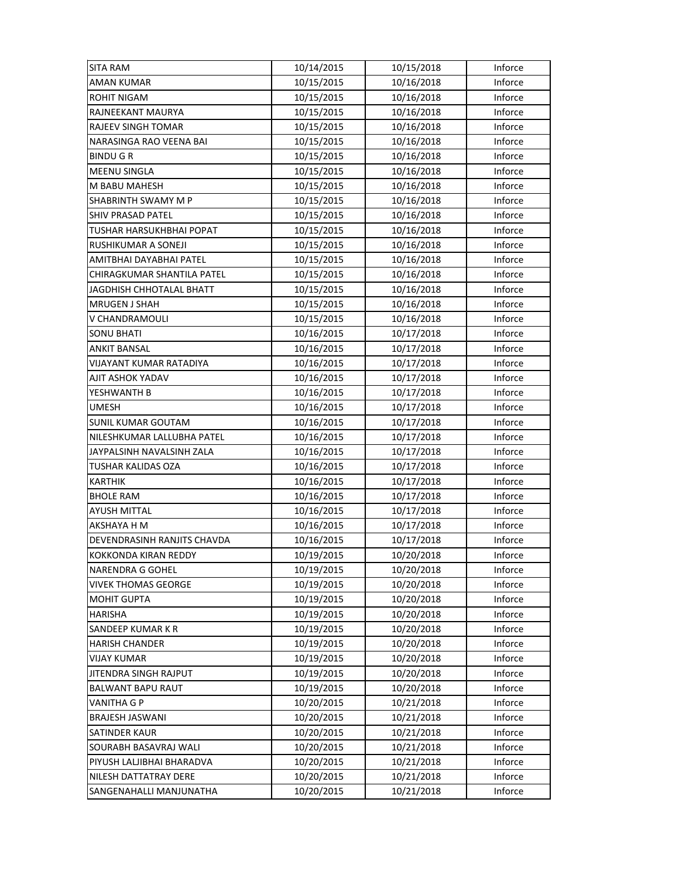| <b>SITA RAM</b>             | 10/14/2015 | 10/15/2018 | Inforce |
|-----------------------------|------------|------------|---------|
| <b>AMAN KUMAR</b>           | 10/15/2015 | 10/16/2018 | Inforce |
| ROHIT NIGAM                 | 10/15/2015 | 10/16/2018 | Inforce |
| RAJNEEKANT MAURYA           | 10/15/2015 | 10/16/2018 | Inforce |
| RAJEEV SINGH TOMAR          | 10/15/2015 | 10/16/2018 | Inforce |
| NARASINGA RAO VEENA BAI     | 10/15/2015 | 10/16/2018 | Inforce |
| <b>BINDU GR</b>             | 10/15/2015 | 10/16/2018 | Inforce |
| <b>MEENU SINGLA</b>         | 10/15/2015 | 10/16/2018 | Inforce |
| M BABU MAHESH               | 10/15/2015 | 10/16/2018 | Inforce |
| SHABRINTH SWAMY M P         | 10/15/2015 | 10/16/2018 | Inforce |
| <b>SHIV PRASAD PATEL</b>    | 10/15/2015 | 10/16/2018 | Inforce |
| TUSHAR HARSUKHBHAI POPAT    | 10/15/2015 | 10/16/2018 | Inforce |
| RUSHIKUMAR A SONEJI         | 10/15/2015 | 10/16/2018 | Inforce |
| AMITBHAI DAYABHAI PATEL     | 10/15/2015 | 10/16/2018 | Inforce |
| CHIRAGKUMAR SHANTILA PATEL  | 10/15/2015 | 10/16/2018 | Inforce |
| JAGDHISH CHHOTALAL BHATT    | 10/15/2015 | 10/16/2018 | Inforce |
| <b>MRUGEN J SHAH</b>        | 10/15/2015 | 10/16/2018 | Inforce |
| V CHANDRAMOULI              | 10/15/2015 | 10/16/2018 | Inforce |
| <b>SONU BHATI</b>           | 10/16/2015 | 10/17/2018 | Inforce |
| ANKIT BANSAL                | 10/16/2015 | 10/17/2018 | Inforce |
| VIJAYANT KUMAR RATADIYA     | 10/16/2015 | 10/17/2018 | Inforce |
| AJIT ASHOK YADAV            | 10/16/2015 | 10/17/2018 | Inforce |
| YESHWANTH B                 | 10/16/2015 | 10/17/2018 | Inforce |
| <b>UMESH</b>                | 10/16/2015 | 10/17/2018 | Inforce |
| <b>SUNIL KUMAR GOUTAM</b>   | 10/16/2015 | 10/17/2018 | Inforce |
| NILESHKUMAR LALLUBHA PATEL  | 10/16/2015 | 10/17/2018 | Inforce |
| JAYPALSINH NAVALSINH ZALA   | 10/16/2015 | 10/17/2018 | Inforce |
| TUSHAR KALIDAS OZA          | 10/16/2015 | 10/17/2018 | Inforce |
| <b>KARTHIK</b>              | 10/16/2015 | 10/17/2018 | Inforce |
| <b>BHOLE RAM</b>            | 10/16/2015 | 10/17/2018 | Inforce |
| <b>AYUSH MITTAL</b>         | 10/16/2015 | 10/17/2018 | Inforce |
| AKSHAYA H M                 | 10/16/2015 | 10/17/2018 | Inforce |
| DEVENDRASINH RANJITS CHAVDA | 10/16/2015 | 10/17/2018 | Inforce |
| KOKKONDA KIRAN REDDY        | 10/19/2015 | 10/20/2018 | Inforce |
| <b>NARENDRA G GOHEL</b>     | 10/19/2015 | 10/20/2018 | Inforce |
| <b>VIVEK THOMAS GEORGE</b>  | 10/19/2015 | 10/20/2018 | Inforce |
| <b>MOHIT GUPTA</b>          | 10/19/2015 | 10/20/2018 | Inforce |
| <b>HARISHA</b>              | 10/19/2015 | 10/20/2018 | Inforce |
| SANDEEP KUMAR K R           | 10/19/2015 | 10/20/2018 | Inforce |
| <b>HARISH CHANDER</b>       | 10/19/2015 | 10/20/2018 | Inforce |
| <b>VIJAY KUMAR</b>          | 10/19/2015 | 10/20/2018 | Inforce |
| JITENDRA SINGH RAJPUT       | 10/19/2015 | 10/20/2018 | Inforce |
| BALWANT BAPU RAUT           | 10/19/2015 | 10/20/2018 | Inforce |
| <b>VANITHA G P</b>          | 10/20/2015 | 10/21/2018 | Inforce |
| BRAJESH JASWANI             | 10/20/2015 | 10/21/2018 | Inforce |
| SATINDER KAUR               | 10/20/2015 | 10/21/2018 | Inforce |
| SOURABH BASAVRAJ WALI       | 10/20/2015 | 10/21/2018 | Inforce |
| PIYUSH LALJIBHAI BHARADVA   | 10/20/2015 | 10/21/2018 | Inforce |
| NILESH DATTATRAY DERE       | 10/20/2015 | 10/21/2018 | Inforce |
| SANGENAHALLI MANJUNATHA     | 10/20/2015 | 10/21/2018 | Inforce |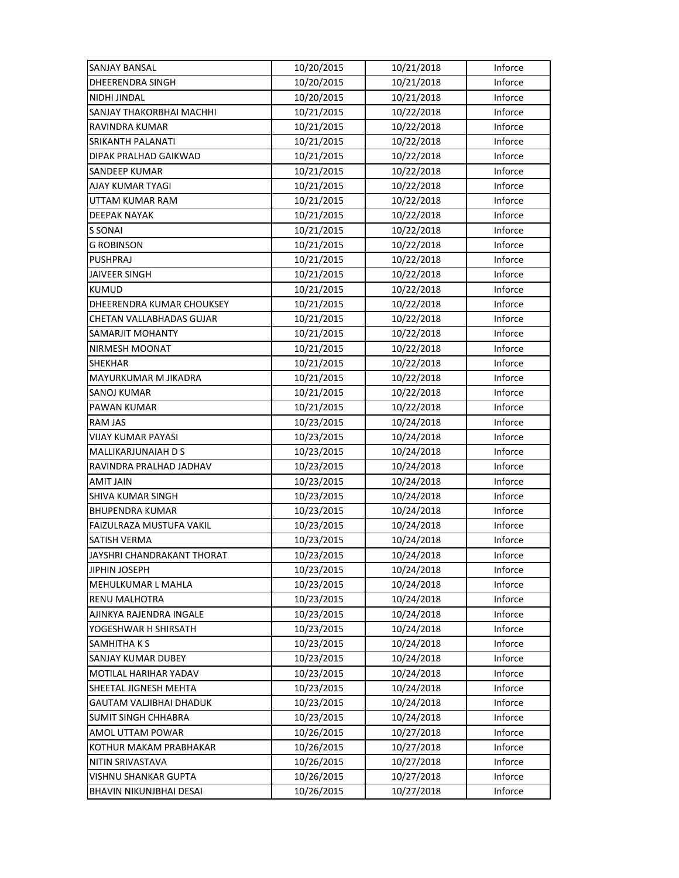| <b>SANJAY BANSAL</b>            | 10/20/2015 | 10/21/2018 | Inforce |
|---------------------------------|------------|------------|---------|
| <b>DHEERENDRA SINGH</b>         | 10/20/2015 | 10/21/2018 | Inforce |
| NIDHI JINDAL                    | 10/20/2015 | 10/21/2018 | Inforce |
| SANJAY THAKORBHAI MACHHI        | 10/21/2015 | 10/22/2018 | Inforce |
| RAVINDRA KUMAR                  | 10/21/2015 | 10/22/2018 | Inforce |
| SRIKANTH PALANATI               | 10/21/2015 | 10/22/2018 | Inforce |
| DIPAK PRALHAD GAIKWAD           | 10/21/2015 | 10/22/2018 | Inforce |
| <b>SANDEEP KUMAR</b>            | 10/21/2015 | 10/22/2018 | Inforce |
| AJAY KUMAR TYAGI                | 10/21/2015 | 10/22/2018 | Inforce |
| UTTAM KUMAR RAM                 | 10/21/2015 | 10/22/2018 | Inforce |
| <b>DEEPAK NAYAK</b>             | 10/21/2015 | 10/22/2018 | Inforce |
| S SONAI                         | 10/21/2015 | 10/22/2018 | Inforce |
| <b>G ROBINSON</b>               | 10/21/2015 | 10/22/2018 | Inforce |
| <b>PUSHPRAJ</b>                 | 10/21/2015 | 10/22/2018 | Inforce |
| <b>JAIVEER SINGH</b>            | 10/21/2015 | 10/22/2018 | Inforce |
| <b>KUMUD</b>                    | 10/21/2015 | 10/22/2018 | Inforce |
| DHEERENDRA KUMAR CHOUKSEY       | 10/21/2015 | 10/22/2018 | Inforce |
| CHETAN VALLABHADAS GUJAR        | 10/21/2015 | 10/22/2018 | Inforce |
| SAMARJIT MOHANTY                | 10/21/2015 | 10/22/2018 | Inforce |
| NIRMESH MOONAT                  | 10/21/2015 | 10/22/2018 | Inforce |
| <b>SHEKHAR</b>                  | 10/21/2015 | 10/22/2018 | Inforce |
| MAYURKUMAR M JIKADRA            | 10/21/2015 | 10/22/2018 | Inforce |
| SANOJ KUMAR                     | 10/21/2015 | 10/22/2018 | Inforce |
| PAWAN KUMAR                     | 10/21/2015 | 10/22/2018 | Inforce |
| <b>RAM JAS</b>                  | 10/23/2015 | 10/24/2018 | Inforce |
| <b>VIJAY KUMAR PAYASI</b>       | 10/23/2015 | 10/24/2018 | Inforce |
| MALLIKARJUNAIAH D S             | 10/23/2015 | 10/24/2018 | Inforce |
| RAVINDRA PRALHAD JADHAV         | 10/23/2015 | 10/24/2018 | Inforce |
| AMIT JAIN                       | 10/23/2015 | 10/24/2018 | Inforce |
| SHIVA KUMAR SINGH               | 10/23/2015 | 10/24/2018 | Inforce |
| <b>BHUPENDRA KUMAR</b>          | 10/23/2015 | 10/24/2018 | Inforce |
| <b>FAIZULRAZA MUSTUFA VAKIL</b> | 10/23/2015 | 10/24/2018 | Inforce |
| SATISH VERMA                    | 10/23/2015 | 10/24/2018 | Inforce |
| JAYSHRI CHANDRAKANT THORAT      | 10/23/2015 | 10/24/2018 | Inforce |
| JIPHIN JOSEPH                   | 10/23/2015 | 10/24/2018 | Inforce |
| <b>MEHULKUMAR L MAHLA</b>       | 10/23/2015 | 10/24/2018 | Inforce |
| RENU MALHOTRA                   | 10/23/2015 | 10/24/2018 | Inforce |
| AJINKYA RAJENDRA INGALE         | 10/23/2015 | 10/24/2018 | Inforce |
| YOGESHWAR H SHIRSATH            | 10/23/2015 | 10/24/2018 | Inforce |
| SAMHITHA K S                    | 10/23/2015 | 10/24/2018 | Inforce |
| SANJAY KUMAR DUBEY              | 10/23/2015 | 10/24/2018 | Inforce |
| MOTILAL HARIHAR YADAV           | 10/23/2015 | 10/24/2018 | Inforce |
| SHEETAL JIGNESH MEHTA           | 10/23/2015 | 10/24/2018 | Inforce |
| GAUTAM VALJIBHAI DHADUK         | 10/23/2015 | 10/24/2018 | Inforce |
| <b>SUMIT SINGH CHHABRA</b>      | 10/23/2015 | 10/24/2018 | Inforce |
| AMOL UTTAM POWAR                | 10/26/2015 | 10/27/2018 | Inforce |
| KOTHUR MAKAM PRABHAKAR          | 10/26/2015 | 10/27/2018 | Inforce |
| NITIN SRIVASTAVA                | 10/26/2015 | 10/27/2018 | Inforce |
| VISHNU SHANKAR GUPTA            | 10/26/2015 | 10/27/2018 | Inforce |
| BHAVIN NIKUNJBHAI DESAI         | 10/26/2015 | 10/27/2018 | Inforce |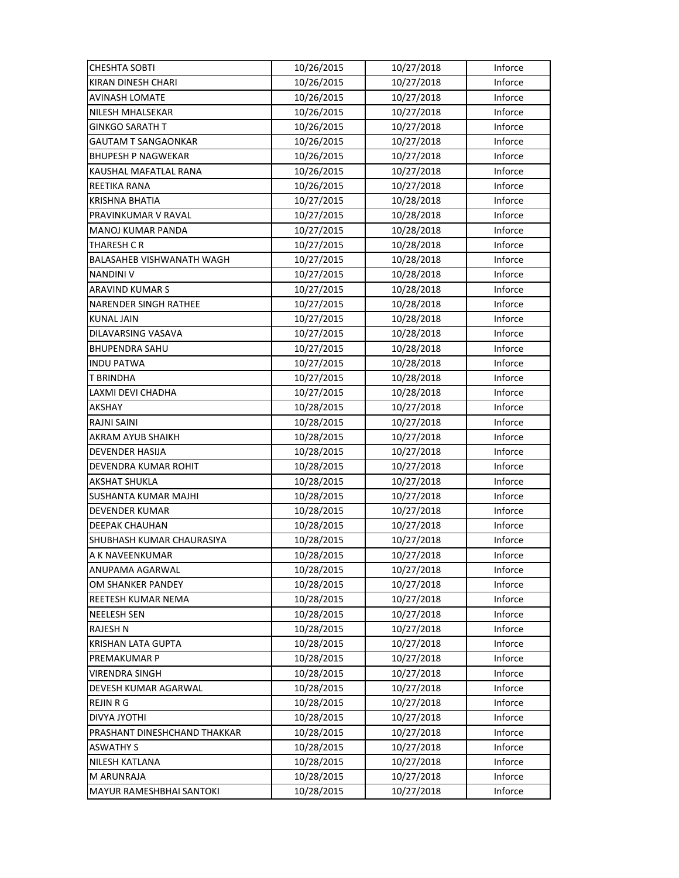| <b>CHESHTA SOBTI</b>         | 10/26/2015 | 10/27/2018 | Inforce |
|------------------------------|------------|------------|---------|
| KIRAN DINESH CHARI           | 10/26/2015 | 10/27/2018 | Inforce |
| <b>AVINASH LOMATE</b>        | 10/26/2015 | 10/27/2018 | Inforce |
| NILESH MHALSEKAR             | 10/26/2015 | 10/27/2018 | Inforce |
| <b>GINKGO SARATH T</b>       | 10/26/2015 | 10/27/2018 | Inforce |
| <b>GAUTAM T SANGAONKAR</b>   | 10/26/2015 | 10/27/2018 | Inforce |
| <b>BHUPESH P NAGWEKAR</b>    | 10/26/2015 | 10/27/2018 | Inforce |
| KAUSHAL MAFATLAL RANA        | 10/26/2015 | 10/27/2018 | Inforce |
| REETIKA RANA                 | 10/26/2015 | 10/27/2018 | Inforce |
| <b>KRISHNA BHATIA</b>        | 10/27/2015 | 10/28/2018 | Inforce |
| PRAVINKUMAR V RAVAL          | 10/27/2015 | 10/28/2018 | Inforce |
| MANOJ KUMAR PANDA            | 10/27/2015 | 10/28/2018 | Inforce |
| THARESH C R                  | 10/27/2015 | 10/28/2018 | Inforce |
| BALASAHEB VISHWANATH WAGH    | 10/27/2015 | 10/28/2018 | Inforce |
| <b>NANDINI V</b>             | 10/27/2015 | 10/28/2018 | Inforce |
| <b>ARAVIND KUMAR S</b>       | 10/27/2015 | 10/28/2018 | Inforce |
| <b>NARENDER SINGH RATHEE</b> | 10/27/2015 | 10/28/2018 | Inforce |
| <b>KUNAL JAIN</b>            | 10/27/2015 | 10/28/2018 | Inforce |
| DILAVARSING VASAVA           | 10/27/2015 | 10/28/2018 | Inforce |
| <b>BHUPENDRA SAHU</b>        | 10/27/2015 | 10/28/2018 | Inforce |
| <b>INDU PATWA</b>            | 10/27/2015 | 10/28/2018 | Inforce |
| <b>T BRINDHA</b>             | 10/27/2015 | 10/28/2018 | Inforce |
| LAXMI DEVI CHADHA            | 10/27/2015 | 10/28/2018 | Inforce |
| AKSHAY                       | 10/28/2015 | 10/27/2018 | Inforce |
| <b>RAJNI SAINI</b>           | 10/28/2015 | 10/27/2018 | Inforce |
| AKRAM AYUB SHAIKH            | 10/28/2015 | 10/27/2018 | Inforce |
| <b>DEVENDER HASIJA</b>       | 10/28/2015 | 10/27/2018 | Inforce |
| DEVENDRA KUMAR ROHIT         | 10/28/2015 | 10/27/2018 | Inforce |
| <b>AKSHAT SHUKLA</b>         | 10/28/2015 | 10/27/2018 | Inforce |
| SUSHANTA KUMAR MAJHI         | 10/28/2015 | 10/27/2018 | Inforce |
| DEVENDER KUMAR               | 10/28/2015 | 10/27/2018 | Inforce |
| <b>DEEPAK CHAUHAN</b>        | 10/28/2015 | 10/27/2018 | Inforce |
| SHUBHASH KUMAR CHAURASIYA    | 10/28/2015 | 10/27/2018 | Inforce |
| A K NAVEENKUMAR              | 10/28/2015 | 10/27/2018 | Inforce |
| ANUPAMA AGARWAL              | 10/28/2015 | 10/27/2018 | Inforce |
| OM SHANKER PANDEY            | 10/28/2015 | 10/27/2018 | Inforce |
| REETESH KUMAR NEMA           | 10/28/2015 | 10/27/2018 | Inforce |
| <b>NEELESH SEN</b>           | 10/28/2015 | 10/27/2018 | Inforce |
| <b>RAJESH N</b>              | 10/28/2015 | 10/27/2018 | Inforce |
| <b>KRISHAN LATA GUPTA</b>    | 10/28/2015 | 10/27/2018 | Inforce |
| PREMAKUMAR P                 | 10/28/2015 | 10/27/2018 | Inforce |
| <b>VIRENDRA SINGH</b>        | 10/28/2015 | 10/27/2018 | Inforce |
| DEVESH KUMAR AGARWAL         | 10/28/2015 | 10/27/2018 | Inforce |
| <b>REJIN R G</b>             | 10/28/2015 | 10/27/2018 | Inforce |
| <b>DIVYA JYOTHI</b>          | 10/28/2015 | 10/27/2018 | Inforce |
| PRASHANT DINESHCHAND THAKKAR | 10/28/2015 | 10/27/2018 | Inforce |
| <b>ASWATHY S</b>             | 10/28/2015 | 10/27/2018 | Inforce |
| NILESH KATLANA               | 10/28/2015 | 10/27/2018 | Inforce |
| <b>M ARUNRAJA</b>            | 10/28/2015 | 10/27/2018 | Inforce |
| MAYUR RAMESHBHAI SANTOKI     | 10/28/2015 | 10/27/2018 | Inforce |